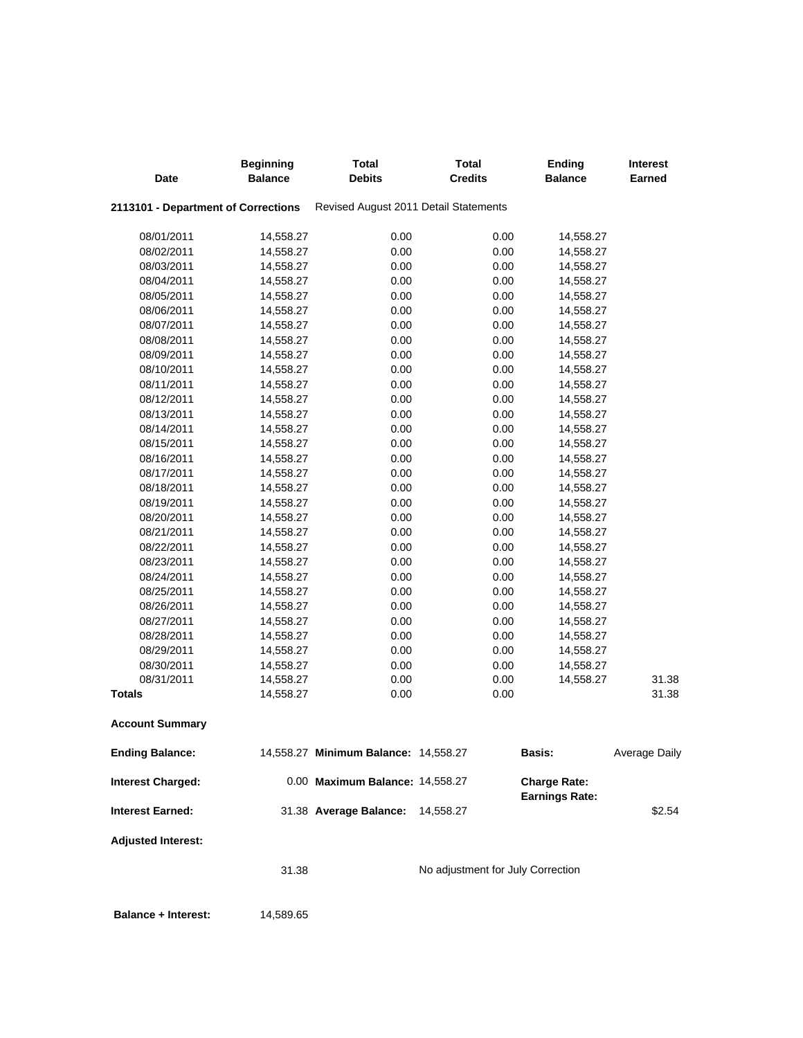| Date                                | <b>Beginning</b><br><b>Balance</b> | <b>Total</b><br><b>Debits</b>         | <b>Total</b><br><b>Credits</b>    | <b>Ending</b><br><b>Balance</b> | <b>Interest</b><br><b>Earned</b> |
|-------------------------------------|------------------------------------|---------------------------------------|-----------------------------------|---------------------------------|----------------------------------|
| 2113101 - Department of Corrections |                                    | Revised August 2011 Detail Statements |                                   |                                 |                                  |
| 08/01/2011                          | 14,558.27                          | 0.00                                  | 0.00                              | 14,558.27                       |                                  |
| 08/02/2011                          | 14,558.27                          | 0.00                                  | 0.00                              | 14,558.27                       |                                  |
| 08/03/2011                          | 14,558.27                          | 0.00                                  | 0.00                              | 14,558.27                       |                                  |
| 08/04/2011                          | 14,558.27                          | 0.00                                  | 0.00                              | 14,558.27                       |                                  |
| 08/05/2011                          | 14,558.27                          | 0.00                                  | 0.00                              | 14,558.27                       |                                  |
| 08/06/2011                          | 14,558.27                          | 0.00                                  | 0.00                              | 14,558.27                       |                                  |
| 08/07/2011                          | 14,558.27                          | 0.00                                  | 0.00                              | 14,558.27                       |                                  |
| 08/08/2011                          | 14,558.27                          | 0.00                                  | 0.00                              | 14,558.27                       |                                  |
| 08/09/2011                          | 14,558.27                          | 0.00                                  | 0.00                              | 14,558.27                       |                                  |
| 08/10/2011                          | 14,558.27                          | 0.00                                  | 0.00                              | 14,558.27                       |                                  |
| 08/11/2011                          | 14,558.27                          | 0.00                                  | 0.00                              | 14,558.27                       |                                  |
| 08/12/2011                          | 14,558.27                          | 0.00                                  | 0.00                              | 14,558.27                       |                                  |
| 08/13/2011                          | 14,558.27                          | 0.00                                  | 0.00                              | 14,558.27                       |                                  |
| 08/14/2011                          | 14,558.27                          | 0.00                                  | 0.00                              | 14,558.27                       |                                  |
| 08/15/2011                          | 14,558.27                          | 0.00                                  | 0.00                              | 14,558.27                       |                                  |
| 08/16/2011                          | 14,558.27                          | 0.00                                  | 0.00                              | 14,558.27                       |                                  |
| 08/17/2011                          | 14,558.27                          | 0.00                                  | 0.00                              | 14,558.27                       |                                  |
| 08/18/2011                          | 14,558.27                          | 0.00                                  | 0.00                              | 14,558.27                       |                                  |
| 08/19/2011                          | 14,558.27                          | 0.00                                  | 0.00                              | 14,558.27                       |                                  |
| 08/20/2011                          | 14,558.27                          | 0.00                                  | 0.00                              | 14,558.27                       |                                  |
| 08/21/2011                          | 14,558.27                          | 0.00                                  | 0.00                              | 14,558.27                       |                                  |
| 08/22/2011                          | 14,558.27                          | 0.00                                  | 0.00                              | 14,558.27                       |                                  |
| 08/23/2011                          | 14,558.27                          | 0.00                                  | 0.00                              | 14,558.27                       |                                  |
| 08/24/2011                          | 14,558.27                          | 0.00                                  | 0.00                              | 14,558.27                       |                                  |
| 08/25/2011                          | 14,558.27                          | 0.00                                  | 0.00                              | 14,558.27                       |                                  |
| 08/26/2011                          | 14,558.27                          | 0.00                                  | 0.00                              | 14,558.27                       |                                  |
| 08/27/2011                          | 14,558.27                          | 0.00                                  | 0.00                              | 14,558.27                       |                                  |
| 08/28/2011                          | 14,558.27                          | 0.00                                  | 0.00                              | 14,558.27                       |                                  |
| 08/29/2011                          | 14,558.27                          | 0.00                                  | 0.00                              | 14,558.27                       |                                  |
| 08/30/2011                          | 14,558.27                          | 0.00                                  | 0.00                              | 14,558.27                       |                                  |
| 08/31/2011                          | 14,558.27                          | 0.00                                  | 0.00                              | 14,558.27                       | 31.38                            |
| <b>Totals</b>                       | 14,558.27                          | 0.00                                  | 0.00                              |                                 | 31.38                            |
| <b>Account Summary</b>              |                                    |                                       |                                   |                                 |                                  |
| <b>Ending Balance:</b>              |                                    | 14,558.27 Minimum Balance: 14,558.27  |                                   | Basis:                          | Average Daily                    |
| <b>Interest Charged:</b>            |                                    | 0.00 Maximum Balance: 14,558.27       |                                   | <b>Charge Rate:</b>             |                                  |
| <b>Interest Earned:</b>             |                                    | 31.38 Average Balance:                | 14,558.27                         | <b>Earnings Rate:</b>           | \$2.54                           |
| <b>Adjusted Interest:</b>           |                                    |                                       |                                   |                                 |                                  |
|                                     | 31.38                              |                                       | No adjustment for July Correction |                                 |                                  |
| <b>Balance + Interest:</b>          | 14,589.65                          |                                       |                                   |                                 |                                  |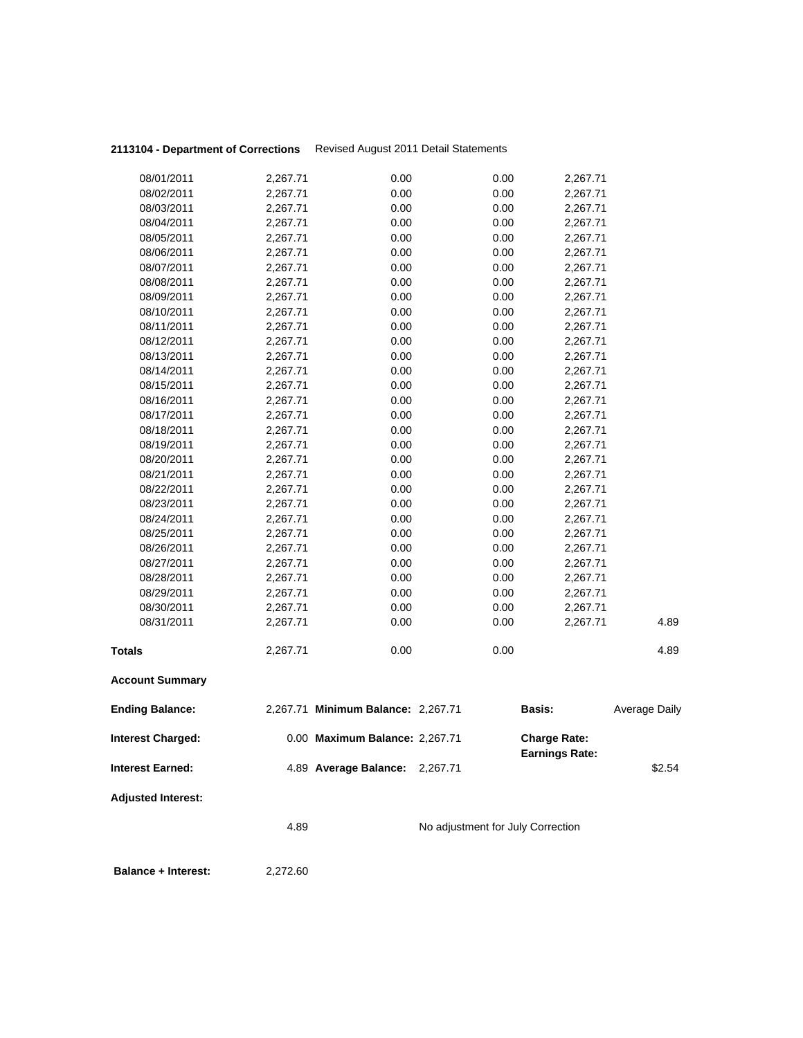| 08/01/2011                 | 2,267.71 | 0.00                               | 0.00                              | 2,267.71                                     |               |
|----------------------------|----------|------------------------------------|-----------------------------------|----------------------------------------------|---------------|
| 08/02/2011                 | 2,267.71 | 0.00                               | 0.00                              | 2,267.71                                     |               |
| 08/03/2011                 | 2,267.71 | 0.00                               | 0.00                              | 2,267.71                                     |               |
| 08/04/2011                 | 2,267.71 | 0.00                               | 0.00                              | 2,267.71                                     |               |
| 08/05/2011                 | 2,267.71 | 0.00                               | 0.00                              | 2,267.71                                     |               |
| 08/06/2011                 | 2,267.71 | 0.00                               | 0.00                              | 2,267.71                                     |               |
| 08/07/2011                 | 2,267.71 | 0.00                               | 0.00                              | 2,267.71                                     |               |
| 08/08/2011                 | 2,267.71 | 0.00                               | 0.00                              | 2,267.71                                     |               |
| 08/09/2011                 | 2,267.71 | 0.00                               | 0.00                              | 2,267.71                                     |               |
| 08/10/2011                 | 2,267.71 | 0.00                               | 0.00                              | 2,267.71                                     |               |
| 08/11/2011                 | 2,267.71 | 0.00                               | 0.00                              | 2,267.71                                     |               |
| 08/12/2011                 | 2,267.71 | 0.00                               | 0.00                              | 2,267.71                                     |               |
| 08/13/2011                 | 2,267.71 | 0.00                               | 0.00                              | 2,267.71                                     |               |
| 08/14/2011                 | 2,267.71 | 0.00                               | 0.00                              | 2,267.71                                     |               |
| 08/15/2011                 | 2,267.71 | 0.00                               | 0.00                              | 2,267.71                                     |               |
| 08/16/2011                 | 2,267.71 | 0.00                               | 0.00                              | 2,267.71                                     |               |
| 08/17/2011                 | 2,267.71 | 0.00                               | 0.00                              | 2,267.71                                     |               |
| 08/18/2011                 | 2,267.71 | 0.00                               | 0.00                              | 2,267.71                                     |               |
| 08/19/2011                 | 2,267.71 | 0.00                               | 0.00                              | 2,267.71                                     |               |
| 08/20/2011                 | 2,267.71 | 0.00                               | 0.00                              | 2,267.71                                     |               |
| 08/21/2011                 | 2,267.71 | 0.00                               | 0.00                              | 2,267.71                                     |               |
| 08/22/2011                 | 2,267.71 | 0.00                               | 0.00                              | 2,267.71                                     |               |
| 08/23/2011                 | 2,267.71 | 0.00                               | 0.00                              | 2,267.71                                     |               |
| 08/24/2011                 | 2,267.71 | 0.00                               | 0.00                              | 2,267.71                                     |               |
| 08/25/2011                 | 2,267.71 | 0.00                               | 0.00                              | 2,267.71                                     |               |
| 08/26/2011                 | 2,267.71 | 0.00                               | 0.00                              | 2,267.71                                     |               |
| 08/27/2011                 | 2,267.71 | 0.00                               | 0.00                              | 2,267.71                                     |               |
| 08/28/2011                 | 2,267.71 | 0.00                               | 0.00                              | 2,267.71                                     |               |
| 08/29/2011                 | 2,267.71 | 0.00                               | 0.00                              | 2,267.71                                     |               |
| 08/30/2011                 | 2,267.71 | 0.00                               | 0.00                              | 2,267.71                                     |               |
| 08/31/2011                 | 2,267.71 | 0.00                               | 0.00                              | 2,267.71                                     | 4.89          |
|                            |          |                                    |                                   |                                              |               |
| <b>Totals</b>              | 2,267.71 | 0.00                               | 0.00                              |                                              | 4.89          |
| <b>Account Summary</b>     |          |                                    |                                   |                                              |               |
| <b>Ending Balance:</b>     |          | 2,267.71 Minimum Balance: 2,267.71 |                                   | Basis:                                       | Average Daily |
| <b>Interest Charged:</b>   |          | 0.00 Maximum Balance: 2,267.71     |                                   | <b>Charge Rate:</b><br><b>Earnings Rate:</b> |               |
| <b>Interest Earned:</b>    |          | 4.89 Average Balance: 2,267.71     |                                   |                                              | \$2.54        |
| <b>Adjusted Interest:</b>  |          |                                    |                                   |                                              |               |
|                            | 4.89     |                                    | No adjustment for July Correction |                                              |               |
| <b>Balance + Interest:</b> | 2,272.60 |                                    |                                   |                                              |               |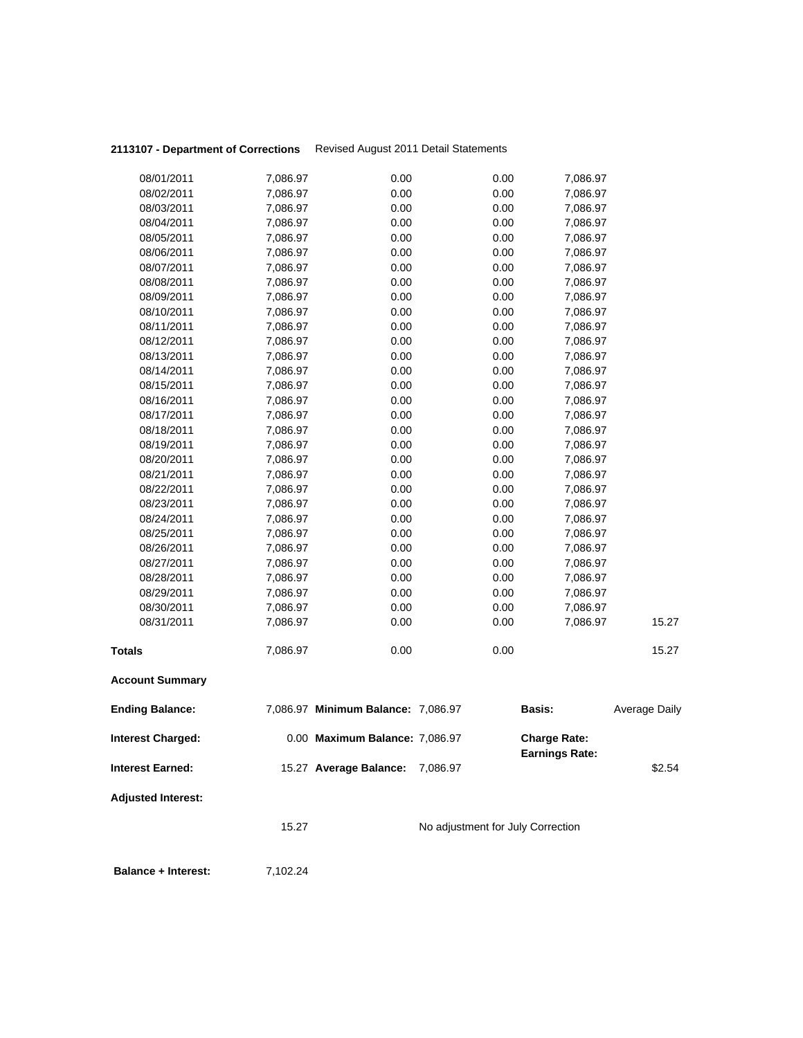|                           | 15.27                |                                    | No adjustment for July Correction |                       |               |
|---------------------------|----------------------|------------------------------------|-----------------------------------|-----------------------|---------------|
| <b>Adjusted Interest:</b> |                      |                                    |                                   |                       |               |
| <b>Interest Earned:</b>   |                      | 15.27 Average Balance: 7,086.97    |                                   | <b>Earnings Rate:</b> | \$2.54        |
| <b>Interest Charged:</b>  |                      | 0.00 Maximum Balance: 7,086.97     |                                   | <b>Charge Rate:</b>   |               |
| <b>Ending Balance:</b>    |                      | 7,086.97 Minimum Balance: 7,086.97 |                                   | Basis:                | Average Daily |
| <b>Account Summary</b>    |                      |                                    |                                   |                       |               |
| <b>Totals</b>             | 7,086.97             | 0.00                               | 0.00                              |                       | 15.27         |
| 08/31/2011                | 7,086.97             | 0.00                               | 0.00                              | 7,086.97              | 15.27         |
| 08/30/2011                | 7,086.97             | 0.00                               | 0.00                              | 7,086.97              |               |
| 08/29/2011                | 7,086.97             | 0.00                               | 0.00                              | 7,086.97              |               |
| 08/28/2011                | 7,086.97             | 0.00                               | 0.00                              | 7,086.97              |               |
| 08/26/2011<br>08/27/2011  | 7,086.97<br>7,086.97 | 0.00<br>0.00                       | 0.00<br>0.00                      | 7,086.97<br>7,086.97  |               |
| 08/25/2011                | 7,086.97             | 0.00                               | 0.00                              | 7,086.97              |               |
| 08/24/2011                | 7,086.97             | 0.00                               | 0.00                              | 7,086.97              |               |
| 08/23/2011                | 7,086.97             | 0.00                               | 0.00                              | 7,086.97              |               |
| 08/22/2011                | 7,086.97             | 0.00                               | 0.00                              | 7,086.97              |               |
| 08/21/2011                | 7,086.97             | 0.00                               | 0.00                              | 7,086.97              |               |
| 08/20/2011                | 7,086.97             | 0.00                               | 0.00                              | 7,086.97              |               |
| 08/19/2011                | 7,086.97             | 0.00                               | 0.00                              | 7,086.97              |               |
| 08/18/2011                | 7,086.97             | 0.00                               | 0.00                              | 7,086.97              |               |
| 08/17/2011                | 7,086.97             | 0.00                               | 0.00                              | 7,086.97              |               |
| 08/16/2011                | 7,086.97             | 0.00                               | 0.00                              | 7,086.97              |               |
| 08/14/2011<br>08/15/2011  | 7,086.97<br>7,086.97 | 0.00<br>0.00                       | 0.00<br>0.00                      | 7,086.97<br>7,086.97  |               |
| 08/13/2011                | 7,086.97             | 0.00                               | 0.00                              | 7,086.97              |               |
| 08/12/2011                | 7,086.97             | 0.00                               | 0.00                              | 7,086.97              |               |
| 08/11/2011                | 7,086.97             | 0.00                               | 0.00                              | 7,086.97              |               |
| 08/10/2011                | 7,086.97             | 0.00                               | 0.00                              | 7,086.97              |               |
| 08/09/2011                | 7,086.97             | 0.00                               | 0.00                              | 7,086.97              |               |
| 08/08/2011                | 7,086.97             | 0.00                               | 0.00                              | 7,086.97              |               |
| 08/07/2011                | 7,086.97             | 0.00                               | 0.00                              | 7,086.97              |               |
| 08/06/2011                | 7,086.97             | 0.00                               | 0.00                              | 7,086.97              |               |
| 08/05/2011                | 7,086.97             | 0.00                               | 0.00                              | 7,086.97              |               |
| 08/04/2011                | 7,086.97             | 0.00                               | 0.00                              | 7,086.97              |               |
| 08/03/2011                | 7,086.97             | 0.00                               | 0.00                              | 7,086.97              |               |
| 08/02/2011                | 7,086.97             | 0.00                               | 0.00                              | 7,086.97              |               |
| 08/01/2011                | 7,086.97             | 0.00                               | 0.00                              | 7,086.97              |               |

**Balance + Interest:** 7,102.24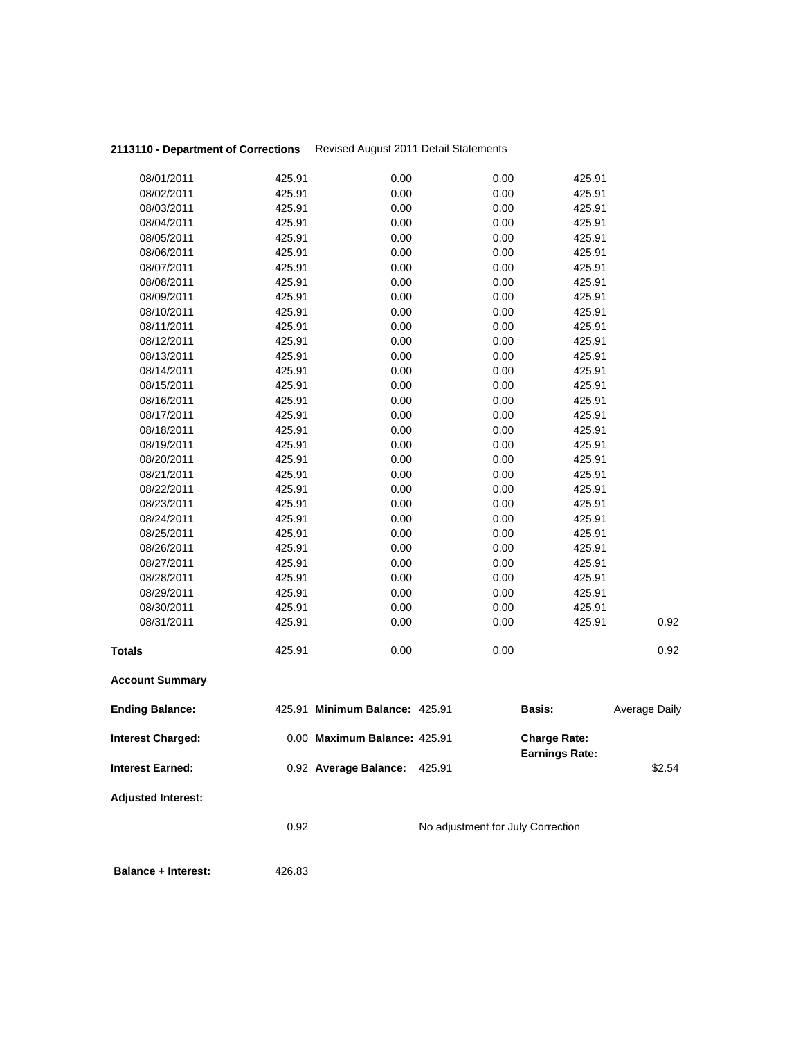| 08/01/2011                 | 425.91 | 0.00                           | 0.00                              | 425.91                                       |                      |
|----------------------------|--------|--------------------------------|-----------------------------------|----------------------------------------------|----------------------|
| 08/02/2011                 | 425.91 | 0.00                           | 0.00                              | 425.91                                       |                      |
| 08/03/2011                 | 425.91 | 0.00                           | 0.00                              | 425.91                                       |                      |
| 08/04/2011                 | 425.91 | 0.00                           | 0.00                              | 425.91                                       |                      |
| 08/05/2011                 | 425.91 | 0.00                           | 0.00                              | 425.91                                       |                      |
| 08/06/2011                 | 425.91 | 0.00                           | 0.00                              | 425.91                                       |                      |
| 08/07/2011                 | 425.91 | 0.00                           | 0.00                              | 425.91                                       |                      |
| 08/08/2011                 | 425.91 | 0.00                           | 0.00                              | 425.91                                       |                      |
| 08/09/2011                 | 425.91 | 0.00                           | 0.00                              | 425.91                                       |                      |
| 08/10/2011                 | 425.91 | 0.00                           | 0.00                              | 425.91                                       |                      |
| 08/11/2011                 | 425.91 | 0.00                           | 0.00                              | 425.91                                       |                      |
| 08/12/2011                 |        |                                |                                   |                                              |                      |
|                            | 425.91 | 0.00                           | 0.00                              | 425.91                                       |                      |
| 08/13/2011                 | 425.91 | 0.00                           | 0.00                              | 425.91                                       |                      |
| 08/14/2011                 | 425.91 | 0.00                           | 0.00                              | 425.91                                       |                      |
| 08/15/2011                 | 425.91 | 0.00                           | 0.00                              | 425.91                                       |                      |
| 08/16/2011                 | 425.91 | 0.00                           | 0.00                              | 425.91                                       |                      |
| 08/17/2011                 | 425.91 | 0.00                           | 0.00                              | 425.91                                       |                      |
| 08/18/2011                 | 425.91 | 0.00                           | 0.00                              | 425.91                                       |                      |
| 08/19/2011                 | 425.91 | 0.00                           | 0.00                              | 425.91                                       |                      |
| 08/20/2011                 | 425.91 | 0.00                           | 0.00                              | 425.91                                       |                      |
| 08/21/2011                 | 425.91 | 0.00                           | 0.00                              | 425.91                                       |                      |
| 08/22/2011                 | 425.91 | 0.00                           | 0.00                              | 425.91                                       |                      |
| 08/23/2011                 | 425.91 | 0.00                           | 0.00                              | 425.91                                       |                      |
| 08/24/2011                 | 425.91 | 0.00                           | 0.00                              | 425.91                                       |                      |
| 08/25/2011                 | 425.91 | 0.00                           | 0.00                              | 425.91                                       |                      |
| 08/26/2011                 | 425.91 | 0.00                           | 0.00                              | 425.91                                       |                      |
| 08/27/2011                 | 425.91 | 0.00                           | 0.00                              | 425.91                                       |                      |
| 08/28/2011                 | 425.91 | 0.00                           | 0.00                              | 425.91                                       |                      |
| 08/29/2011                 | 425.91 | 0.00                           | 0.00                              | 425.91                                       |                      |
| 08/30/2011                 | 425.91 | 0.00                           | 0.00                              | 425.91                                       |                      |
| 08/31/2011                 | 425.91 | 0.00                           | 0.00                              | 425.91                                       | 0.92                 |
| <b>Totals</b>              | 425.91 | 0.00                           | 0.00                              |                                              | 0.92                 |
| <b>Account Summary</b>     |        |                                |                                   |                                              |                      |
| <b>Ending Balance:</b>     |        | 425.91 Minimum Balance: 425.91 |                                   | <b>Basis:</b>                                | <b>Average Daily</b> |
| <b>Interest Charged:</b>   |        | 0.00 Maximum Balance: 425.91   |                                   | <b>Charge Rate:</b><br><b>Earnings Rate:</b> |                      |
| <b>Interest Earned:</b>    |        | 0.92 Average Balance:          | 425.91                            |                                              | \$2.54               |
| <b>Adjusted Interest:</b>  |        |                                |                                   |                                              |                      |
|                            | 0.92   |                                | No adjustment for July Correction |                                              |                      |
| <b>Balance + Interest:</b> | 426.83 |                                |                                   |                                              |                      |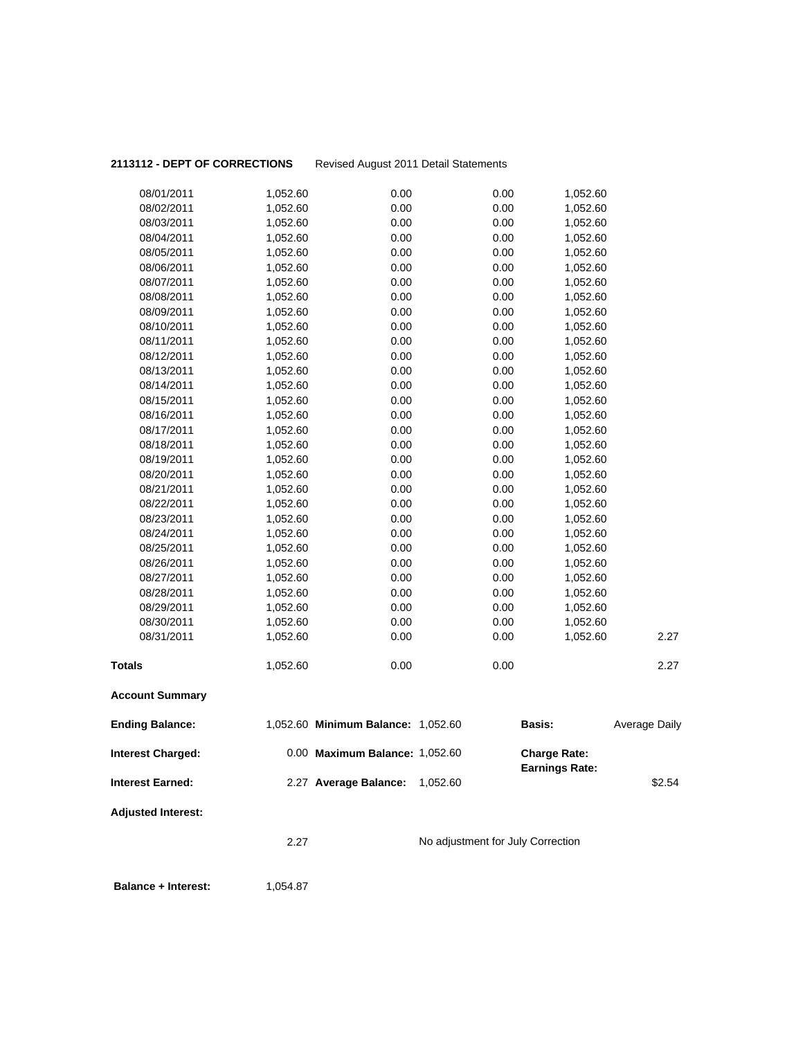## 2113112 - DEPT OF CORRECTIONS Revised August 2011 Detail Statements

| 08/01/2011                | 1,052.60 | 0.00                               | 0.00                              | 1,052.60              |                      |
|---------------------------|----------|------------------------------------|-----------------------------------|-----------------------|----------------------|
| 08/02/2011                | 1,052.60 | 0.00                               | 0.00                              | 1,052.60              |                      |
| 08/03/2011                | 1,052.60 | 0.00                               | 0.00                              | 1,052.60              |                      |
| 08/04/2011                | 1,052.60 | 0.00                               | 0.00                              | 1,052.60              |                      |
| 08/05/2011                | 1,052.60 | 0.00                               | 0.00                              | 1,052.60              |                      |
| 08/06/2011                | 1,052.60 | 0.00                               | 0.00                              | 1,052.60              |                      |
| 08/07/2011                | 1,052.60 | 0.00                               | 0.00                              | 1,052.60              |                      |
| 08/08/2011                | 1,052.60 | 0.00                               | 0.00                              | 1,052.60              |                      |
| 08/09/2011                | 1,052.60 | 0.00                               | 0.00                              | 1,052.60              |                      |
| 08/10/2011                | 1,052.60 | 0.00                               | 0.00                              | 1,052.60              |                      |
| 08/11/2011                | 1,052.60 | 0.00                               | 0.00                              | 1,052.60              |                      |
| 08/12/2011                | 1,052.60 | 0.00                               | 0.00                              | 1,052.60              |                      |
| 08/13/2011                | 1,052.60 | 0.00                               | 0.00                              | 1,052.60              |                      |
| 08/14/2011                | 1,052.60 | 0.00                               | 0.00                              | 1,052.60              |                      |
| 08/15/2011                | 1,052.60 | 0.00                               | 0.00                              | 1,052.60              |                      |
| 08/16/2011                | 1,052.60 | 0.00                               | 0.00                              | 1,052.60              |                      |
| 08/17/2011                | 1,052.60 | 0.00                               | 0.00                              | 1,052.60              |                      |
| 08/18/2011                | 1,052.60 | 0.00                               | 0.00                              | 1,052.60              |                      |
| 08/19/2011                | 1,052.60 | 0.00                               | 0.00                              | 1,052.60              |                      |
| 08/20/2011                | 1,052.60 | 0.00                               | 0.00                              | 1,052.60              |                      |
| 08/21/2011                | 1,052.60 | 0.00                               | 0.00                              | 1,052.60              |                      |
| 08/22/2011                | 1,052.60 | 0.00                               | 0.00                              | 1,052.60              |                      |
| 08/23/2011                | 1,052.60 | 0.00                               | 0.00                              | 1,052.60              |                      |
| 08/24/2011                | 1,052.60 | 0.00                               | 0.00                              | 1,052.60              |                      |
| 08/25/2011                | 1,052.60 | 0.00                               | 0.00                              | 1,052.60              |                      |
| 08/26/2011                | 1,052.60 | 0.00                               | 0.00                              | 1,052.60              |                      |
| 08/27/2011                | 1,052.60 | 0.00                               | 0.00                              | 1,052.60              |                      |
| 08/28/2011                | 1,052.60 | 0.00                               | 0.00                              | 1,052.60              |                      |
| 08/29/2011                | 1,052.60 | 0.00                               | 0.00                              | 1,052.60              |                      |
| 08/30/2011                | 1,052.60 | 0.00                               | 0.00                              | 1,052.60              |                      |
| 08/31/2011                | 1,052.60 | 0.00                               | 0.00                              | 1,052.60              | 2.27                 |
| Totals                    | 1,052.60 | 0.00                               | 0.00                              |                       | 2.27                 |
| <b>Account Summary</b>    |          |                                    |                                   |                       |                      |
| <b>Ending Balance:</b>    |          | 1,052.60 Minimum Balance: 1,052.60 |                                   | <b>Basis:</b>         | <b>Average Daily</b> |
| <b>Interest Charged:</b>  |          | 0.00 Maximum Balance: 1,052.60     |                                   | <b>Charge Rate:</b>   |                      |
| Interest Earned:          |          | 2.27 Average Balance:              | 1,052.60                          | <b>Earnings Rate:</b> | \$2.54               |
| <b>Adjusted Interest:</b> |          |                                    |                                   |                       |                      |
|                           | 2.27     |                                    | No adjustment for July Correction |                       |                      |
|                           |          |                                    |                                   |                       |                      |

**Balance + Interest:** 1,054.87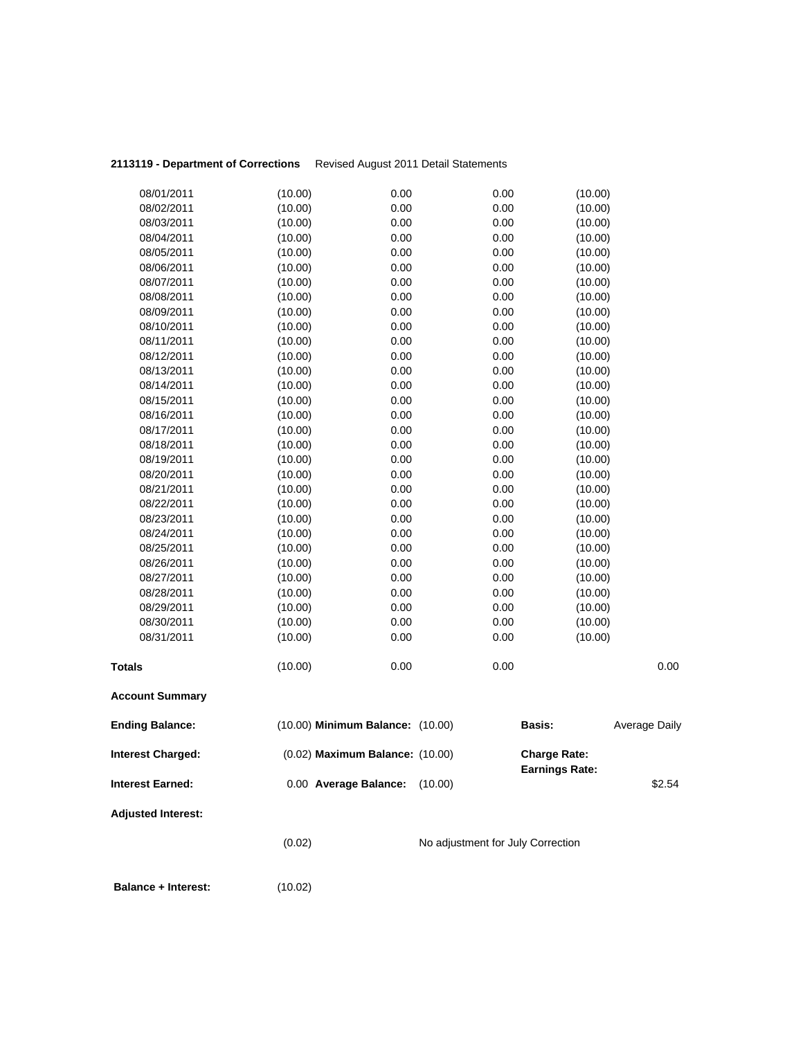| <b>Interest Charged:</b><br><b>Interest Earned:</b> |         | (0.02) Maximum Balance: (10.00)<br>0.00 Average Balance:<br>(10.00) |               | <b>Charge Rate:</b><br><b>Earnings Rate:</b><br>\$2.54 |
|-----------------------------------------------------|---------|---------------------------------------------------------------------|---------------|--------------------------------------------------------|
| <b>Ending Balance:</b>                              |         | (10.00) Minimum Balance: (10.00)                                    | <b>Basis:</b> | <b>Average Daily</b>                                   |
| <b>Account Summary</b>                              |         |                                                                     |               |                                                        |
| <b>Totals</b>                                       | (10.00) | 0.00                                                                | 0.00          | 0.00                                                   |
| 08/31/2011                                          | (10.00) | 0.00                                                                | 0.00          | (10.00)                                                |
| 08/30/2011                                          | (10.00) | 0.00                                                                | 0.00          | (10.00)                                                |
| 08/29/2011                                          | (10.00) | 0.00                                                                | 0.00          | (10.00)                                                |
| 08/28/2011                                          | (10.00) | 0.00                                                                | 0.00          | (10.00)                                                |
| 08/27/2011                                          | (10.00) | 0.00                                                                | 0.00          | (10.00)                                                |
| 08/26/2011                                          | (10.00) | 0.00                                                                | 0.00          | (10.00)                                                |
| 08/25/2011                                          | (10.00) | 0.00                                                                | 0.00          | (10.00)                                                |
| 08/24/2011                                          | (10.00) | 0.00                                                                | 0.00          | (10.00)                                                |
| 08/23/2011                                          | (10.00) | 0.00                                                                | 0.00          | (10.00)                                                |
| 08/22/2011                                          | (10.00) | 0.00                                                                | 0.00          | (10.00)                                                |
| 08/21/2011                                          | (10.00) | 0.00                                                                | 0.00          | (10.00)                                                |
| 08/20/2011                                          | (10.00) | 0.00                                                                | 0.00          | (10.00)                                                |
| 08/19/2011                                          | (10.00) | 0.00                                                                | 0.00          | (10.00)                                                |
| 08/18/2011                                          | (10.00) | 0.00                                                                | 0.00          | (10.00)                                                |
| 08/17/2011                                          | (10.00) | 0.00                                                                | 0.00          | (10.00)                                                |
| 08/16/2011                                          | (10.00) | 0.00                                                                | 0.00          | (10.00)                                                |
| 08/15/2011                                          | (10.00) | 0.00                                                                | 0.00          | (10.00)                                                |
| 08/14/2011                                          | (10.00) | 0.00                                                                | 0.00          | (10.00)                                                |
| 08/13/2011                                          | (10.00) | 0.00                                                                | 0.00          | (10.00)                                                |
| 08/12/2011                                          | (10.00) | 0.00                                                                | 0.00          | (10.00)                                                |
| 08/11/2011                                          | (10.00) | 0.00                                                                | 0.00          | (10.00)                                                |
| 08/10/2011                                          | (10.00) | 0.00                                                                | 0.00          | (10.00)                                                |
| 08/09/2011                                          | (10.00) | 0.00                                                                | 0.00          | (10.00)                                                |
| 08/08/2011                                          | (10.00) | 0.00                                                                | 0.00          | (10.00)                                                |
| 08/07/2011                                          | (10.00) | 0.00                                                                | 0.00          | (10.00)                                                |
| 08/06/2011                                          | (10.00) | 0.00                                                                | 0.00          | (10.00)                                                |
| 08/05/2011                                          | (10.00) | 0.00                                                                | 0.00          | (10.00)                                                |
| 08/04/2011                                          | (10.00) | 0.00                                                                | 0.00          | (10.00)                                                |
| 08/03/2011                                          | (10.00) | 0.00                                                                | 0.00          | (10.00)                                                |
| 08/02/2011                                          | (10.00) | 0.00                                                                | 0.00          | (10.00)                                                |
| 08/01/2011                                          | (10.00) | 0.00                                                                | 0.00          | (10.00)                                                |

 **Balance + Interest:** (10.02)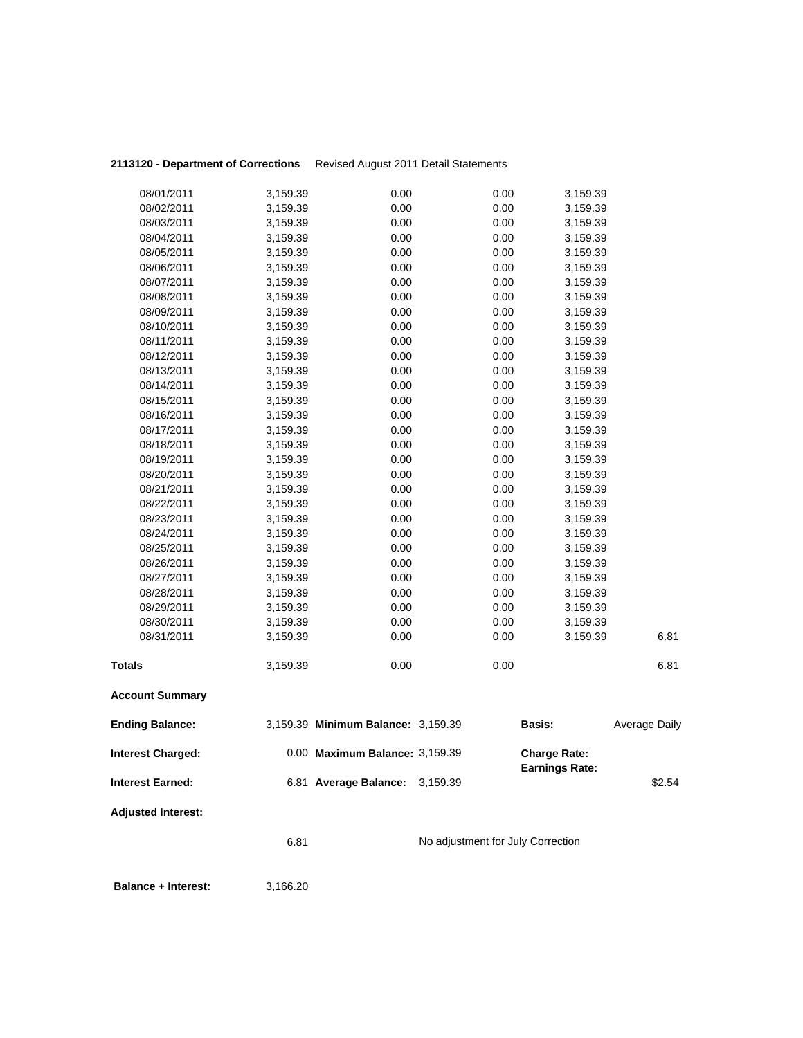| 08/01/2011                | 3,159.39             | 0.00                               | 0.00                              | 3,159.39              |               |
|---------------------------|----------------------|------------------------------------|-----------------------------------|-----------------------|---------------|
| 08/02/2011                | 3,159.39             | 0.00                               | 0.00                              | 3,159.39              |               |
| 08/03/2011                | 3,159.39             | 0.00                               | 0.00                              | 3,159.39              |               |
| 08/04/2011                | 3,159.39             | 0.00                               | 0.00                              | 3,159.39              |               |
| 08/05/2011                | 3,159.39             | 0.00                               | 0.00                              | 3,159.39              |               |
| 08/06/2011                | 3,159.39             | 0.00                               | 0.00                              | 3,159.39              |               |
| 08/07/2011                | 3,159.39             | 0.00                               | 0.00                              | 3,159.39              |               |
| 08/08/2011                | 3,159.39             | 0.00                               | 0.00                              | 3,159.39              |               |
| 08/09/2011                | 3,159.39             | 0.00                               | 0.00                              | 3,159.39              |               |
| 08/10/2011                | 3,159.39             | 0.00                               | 0.00                              | 3,159.39              |               |
| 08/11/2011                | 3,159.39             | 0.00                               | 0.00                              | 3,159.39              |               |
| 08/12/2011                | 3,159.39             | 0.00                               | 0.00                              | 3,159.39              |               |
| 08/13/2011                | 3,159.39             | 0.00                               | 0.00                              | 3,159.39              |               |
| 08/14/2011                | 3,159.39             | 0.00                               | 0.00                              | 3,159.39              |               |
| 08/15/2011                | 3,159.39             | 0.00                               | 0.00                              | 3,159.39              |               |
| 08/16/2011                | 3,159.39             | 0.00                               | 0.00                              | 3,159.39              |               |
| 08/17/2011                | 3,159.39             | 0.00                               | 0.00                              | 3,159.39              |               |
| 08/18/2011<br>08/19/2011  | 3,159.39             | 0.00<br>0.00                       | 0.00<br>0.00                      | 3,159.39              |               |
| 08/20/2011                | 3,159.39             | 0.00                               | 0.00                              | 3,159.39              |               |
| 08/21/2011                | 3,159.39             | 0.00                               | 0.00                              | 3,159.39<br>3,159.39  |               |
| 08/22/2011                | 3,159.39<br>3,159.39 | 0.00                               | 0.00                              | 3,159.39              |               |
| 08/23/2011                | 3,159.39             | 0.00                               | 0.00                              | 3,159.39              |               |
| 08/24/2011                | 3,159.39             | 0.00                               | 0.00                              | 3,159.39              |               |
| 08/25/2011                | 3,159.39             | 0.00                               | 0.00                              | 3,159.39              |               |
| 08/26/2011                | 3,159.39             | 0.00                               | 0.00                              | 3,159.39              |               |
| 08/27/2011                | 3,159.39             | 0.00                               | 0.00                              | 3,159.39              |               |
| 08/28/2011                | 3,159.39             | 0.00                               | 0.00                              | 3,159.39              |               |
| 08/29/2011                | 3,159.39             | 0.00                               | 0.00                              | 3,159.39              |               |
| 08/30/2011                | 3,159.39             | 0.00                               | 0.00                              | 3,159.39              |               |
| 08/31/2011                | 3,159.39             | 0.00                               | 0.00                              | 3,159.39              | 6.81          |
|                           |                      |                                    |                                   |                       |               |
| <b>Totals</b>             | 3,159.39             | 0.00                               | 0.00                              |                       | 6.81          |
| <b>Account Summary</b>    |                      |                                    |                                   |                       |               |
| <b>Ending Balance:</b>    |                      | 3,159.39 Minimum Balance: 3,159.39 |                                   | <b>Basis:</b>         | Average Daily |
| <b>Interest Charged:</b>  |                      | 0.00 Maximum Balance: 3,159.39     |                                   | <b>Charge Rate:</b>   |               |
| <b>Interest Earned:</b>   |                      | 6.81 Average Balance:              | 3,159.39                          | <b>Earnings Rate:</b> | \$2.54        |
| <b>Adjusted Interest:</b> |                      |                                    |                                   |                       |               |
|                           | 6.81                 |                                    | No adjustment for July Correction |                       |               |
|                           |                      |                                    |                                   |                       |               |

**Balance + Interest:** 3,166.20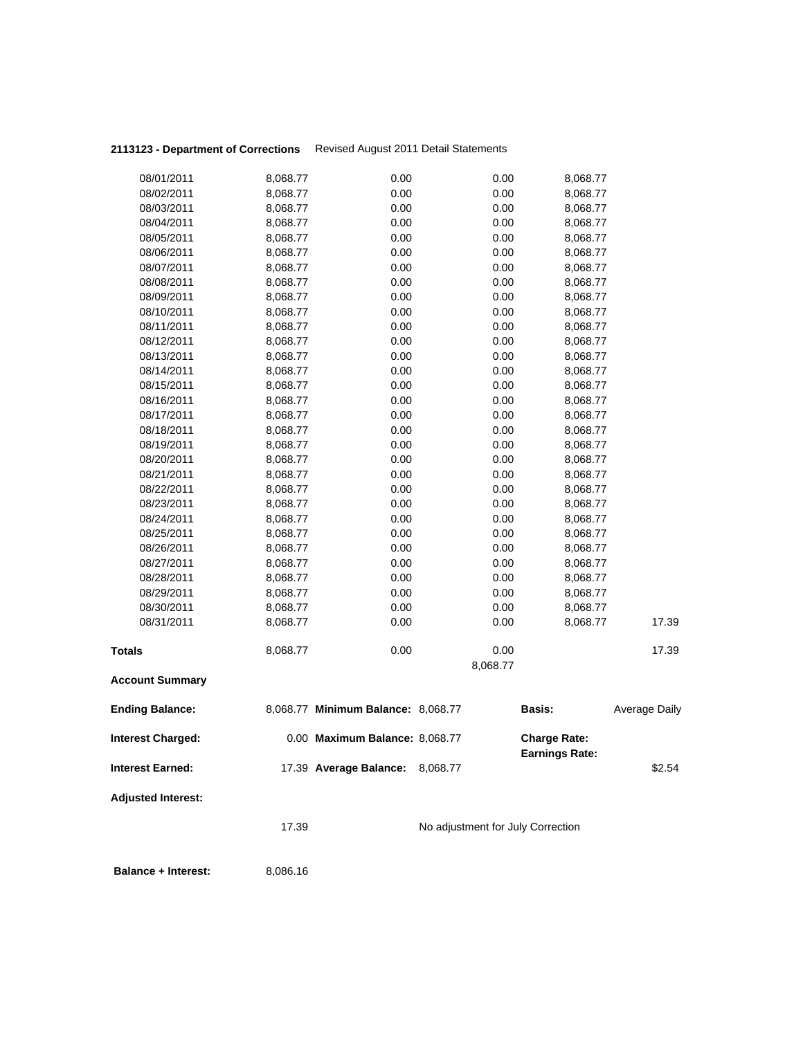|               | <b>Ending Balance:</b> |          |                                    |                  |          |                      |
|---------------|------------------------|----------|------------------------------------|------------------|----------|----------------------|
|               |                        |          | 8,068.77 Minimum Balance: 8,068.77 |                  | Basis:   | <b>Average Daily</b> |
|               | <b>Account Summary</b> |          |                                    |                  |          |                      |
| <b>Totals</b> |                        | 8,068.77 | 0.00                               | 0.00<br>8,068.77 |          | 17.39                |
|               | 08/31/2011             | 8,068.77 | 0.00                               | 0.00             | 8,068.77 | 17.39                |
|               | 08/30/2011             | 8,068.77 | 0.00                               | 0.00             | 8,068.77 |                      |
|               | 08/29/2011             | 8,068.77 | 0.00                               | 0.00             | 8,068.77 |                      |
|               | 08/28/2011             | 8,068.77 | 0.00                               | 0.00             | 8,068.77 |                      |
|               | 08/27/2011             | 8,068.77 | 0.00                               | 0.00             | 8,068.77 |                      |
|               | 08/26/2011             | 8,068.77 | 0.00                               | 0.00             | 8,068.77 |                      |
|               | 08/25/2011             | 8,068.77 | 0.00                               | 0.00             | 8,068.77 |                      |
|               | 08/24/2011             | 8,068.77 | 0.00                               | 0.00             | 8,068.77 |                      |
|               | 08/23/2011             | 8,068.77 | 0.00                               | 0.00             | 8,068.77 |                      |
|               | 08/22/2011             | 8,068.77 | 0.00                               | 0.00             | 8,068.77 |                      |
|               | 08/21/2011             | 8,068.77 | 0.00                               | 0.00             | 8,068.77 |                      |
|               | 08/20/2011             | 8,068.77 | 0.00                               | 0.00             | 8,068.77 |                      |
|               | 08/19/2011             | 8,068.77 | 0.00                               | 0.00             | 8,068.77 |                      |
|               | 08/18/2011             | 8,068.77 | 0.00                               | 0.00             | 8,068.77 |                      |
|               | 08/17/2011             | 8,068.77 | 0.00                               | 0.00             | 8,068.77 |                      |
|               | 08/16/2011             | 8,068.77 | 0.00                               | 0.00             | 8,068.77 |                      |
|               | 08/15/2011             | 8,068.77 | 0.00                               | 0.00             | 8,068.77 |                      |
|               | 08/14/2011             | 8,068.77 | 0.00                               | 0.00             | 8,068.77 |                      |
|               | 08/13/2011             | 8,068.77 | 0.00                               | 0.00             | 8,068.77 |                      |
|               | 08/12/2011             | 8,068.77 | 0.00                               | 0.00             | 8,068.77 |                      |
|               | 08/11/2011             | 8,068.77 | 0.00                               | 0.00             | 8,068.77 |                      |
|               | 08/10/2011             | 8,068.77 | 0.00                               | 0.00             | 8,068.77 |                      |
|               | 08/09/2011             | 8,068.77 | 0.00                               | 0.00             | 8,068.77 |                      |
|               | 08/08/2011             | 8,068.77 | 0.00                               | 0.00             | 8,068.77 |                      |
|               | 08/07/2011             | 8,068.77 | 0.00                               | 0.00             | 8,068.77 |                      |
|               | 08/06/2011             | 8,068.77 | 0.00                               | 0.00             | 8,068.77 |                      |
|               | 08/05/2011             | 8,068.77 | 0.00                               | 0.00             | 8,068.77 |                      |
|               | 08/04/2011             | 8,068.77 | 0.00                               | 0.00             | 8,068.77 |                      |
|               | 08/03/2011             | 8,068.77 | 0.00                               | 0.00             | 8,068.77 |                      |
|               | 08/02/2011             | 8,068.77 | 0.00                               | 0.00             | 8,068.77 |                      |
|               | 08/01/2011             | 8,068.77 | 0.00                               | 0.00             | 8,068.77 |                      |

**Interest Earned:** 17.39 **Average Balance:** 8,068.77 \$2.54

**Adjusted Interest:** 

17.39 No adjustment for July Correction

**Balance + Interest:** 8,086.16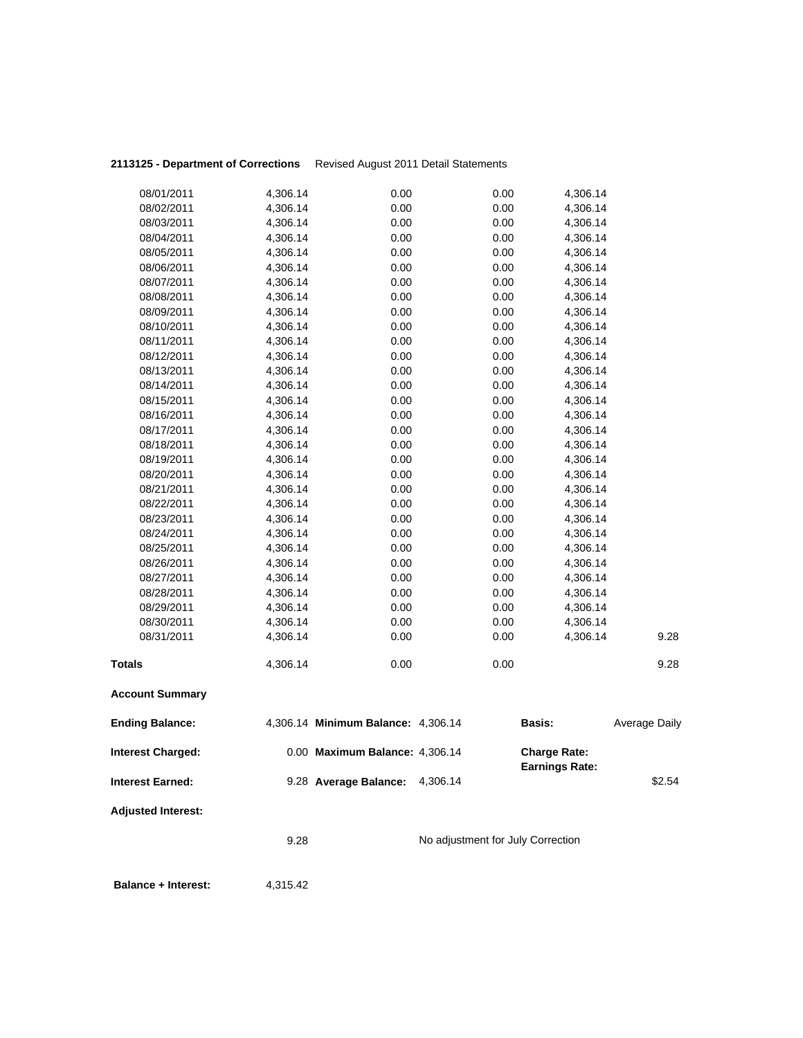|                          |                      | 9.28 Average Balance: 4,306.14     |              | <b>Earnings Rate:</b> | \$2.54               |
|--------------------------|----------------------|------------------------------------|--------------|-----------------------|----------------------|
| Interest Charged:        |                      | 0.00 Maximum Balance: 4,306.14     |              | <b>Charge Rate:</b>   |                      |
| <b>Ending Balance:</b>   |                      | 4,306.14 Minimum Balance: 4,306.14 |              | Basis:                | <b>Average Daily</b> |
| <b>Account Summary</b>   |                      |                                    |              |                       |                      |
| <b>Totals</b>            | 4,306.14             | 0.00                               | 0.00         |                       | 9.28                 |
| 08/31/2011               | 4,306.14             | 0.00                               | 0.00         | 4,306.14              | 9.28                 |
| 08/30/2011               | 4,306.14             | 0.00                               | 0.00         | 4,306.14              |                      |
| 08/29/2011               | 4,306.14             | 0.00                               | 0.00         | 4,306.14              |                      |
| 08/28/2011               | 4,306.14             | 0.00                               | 0.00         | 4,306.14              |                      |
| 08/27/2011               | 4,306.14             | 0.00                               | 0.00         | 4,306.14              |                      |
| 08/26/2011               | 4,306.14             | 0.00                               | 0.00         | 4,306.14              |                      |
| 08/25/2011               | 4,306.14             | 0.00                               | 0.00         | 4,306.14              |                      |
| 08/24/2011               | 4,306.14             | 0.00                               | 0.00         | 4,306.14              |                      |
| 08/23/2011               | 4,306.14             | 0.00                               | 0.00         | 4,306.14              |                      |
| 08/22/2011               | 4,306.14             | 0.00                               | 0.00         | 4,306.14<br>4,306.14  |                      |
| 08/20/2011<br>08/21/2011 | 4,306.14<br>4,306.14 | 0.00<br>0.00                       | 0.00<br>0.00 | 4,306.14              |                      |
| 08/19/2011               | 4,306.14             | 0.00                               | 0.00         | 4,306.14              |                      |
| 08/18/2011               | 4,306.14             | 0.00                               | 0.00         | 4,306.14              |                      |
| 08/17/2011               | 4,306.14             | 0.00                               | 0.00         | 4,306.14              |                      |
| 08/16/2011               | 4,306.14             | 0.00                               | 0.00         | 4,306.14              |                      |
| 08/15/2011               | 4,306.14             | 0.00                               | 0.00         | 4,306.14              |                      |
| 08/14/2011               | 4,306.14             | 0.00                               | 0.00         | 4,306.14              |                      |
| 08/13/2011               | 4,306.14             | 0.00                               | 0.00         | 4,306.14              |                      |
| 08/12/2011               | 4,306.14             | 0.00                               | 0.00         | 4,306.14              |                      |
| 08/11/2011               | 4,306.14             | 0.00                               | 0.00         | 4,306.14              |                      |
| 08/10/2011               | 4,306.14             | 0.00                               | 0.00         | 4,306.14              |                      |
| 08/09/2011               | 4,306.14             | 0.00                               | 0.00         | 4,306.14              |                      |
| 08/08/2011               | 4,306.14             | 0.00                               | 0.00         | 4,306.14              |                      |
| 08/07/2011               | 4,306.14             | 0.00                               | 0.00         | 4,306.14              |                      |
| 08/06/2011               | 4,306.14             | 0.00                               | 0.00         | 4,306.14              |                      |
| 08/05/2011               | 4,306.14             | 0.00                               | 0.00         | 4,306.14              |                      |
| 08/04/2011               | 4,306.14             | 0.00                               | 0.00         | 4,306.14              |                      |
| 08/03/2011               | 4,306.14             | 0.00                               | 0.00         | 4,306.14              |                      |
| 08/02/2011               | 4,306.14             | 0.00                               | 0.00         | 4,306.14              |                      |
| 08/01/2011               | 4,306.14             | 0.00                               | 0.00         | 4,306.14              |                      |

**Balance + Interest:** 4,315.42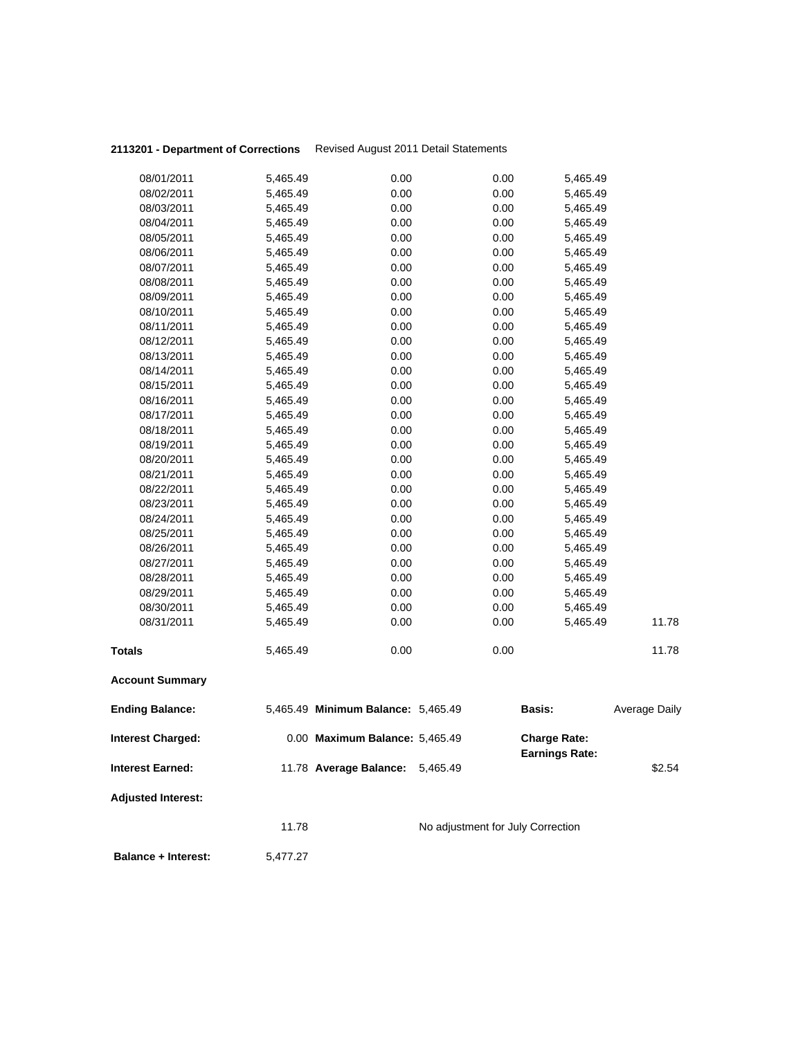| 08/01/2011                 | 5,465.49 | 0.00                               | 0.00                              | 5,465.49              |                      |
|----------------------------|----------|------------------------------------|-----------------------------------|-----------------------|----------------------|
| 08/02/2011                 | 5,465.49 | 0.00                               | 0.00                              | 5,465.49              |                      |
| 08/03/2011                 | 5,465.49 | 0.00                               | 0.00                              | 5,465.49              |                      |
| 08/04/2011                 | 5,465.49 | 0.00                               | 0.00                              | 5,465.49              |                      |
| 08/05/2011                 | 5,465.49 | 0.00                               | 0.00                              | 5,465.49              |                      |
| 08/06/2011                 | 5,465.49 | 0.00                               | 0.00                              | 5,465.49              |                      |
| 08/07/2011                 | 5,465.49 | 0.00                               | 0.00                              | 5,465.49              |                      |
| 08/08/2011                 | 5,465.49 | 0.00                               | 0.00                              | 5,465.49              |                      |
| 08/09/2011                 | 5,465.49 | 0.00                               | 0.00                              | 5,465.49              |                      |
| 08/10/2011                 | 5,465.49 | 0.00                               | 0.00                              | 5,465.49              |                      |
| 08/11/2011                 | 5,465.49 | 0.00                               | 0.00                              | 5,465.49              |                      |
| 08/12/2011                 | 5,465.49 | 0.00                               | 0.00                              | 5,465.49              |                      |
| 08/13/2011                 | 5,465.49 | 0.00                               | 0.00                              | 5,465.49              |                      |
| 08/14/2011                 | 5,465.49 | 0.00                               | 0.00                              | 5,465.49              |                      |
| 08/15/2011                 | 5,465.49 | 0.00                               | 0.00                              | 5,465.49              |                      |
| 08/16/2011                 | 5,465.49 | 0.00                               | 0.00                              | 5,465.49              |                      |
| 08/17/2011                 | 5,465.49 | 0.00                               | 0.00                              | 5,465.49              |                      |
| 08/18/2011                 | 5,465.49 | 0.00                               | 0.00                              | 5,465.49              |                      |
| 08/19/2011                 | 5,465.49 | 0.00                               | 0.00                              | 5,465.49              |                      |
| 08/20/2011                 | 5,465.49 | 0.00                               | 0.00                              | 5,465.49              |                      |
| 08/21/2011                 | 5,465.49 | 0.00                               | 0.00                              | 5,465.49              |                      |
| 08/22/2011                 | 5,465.49 | 0.00                               | 0.00                              | 5,465.49              |                      |
| 08/23/2011                 | 5,465.49 | 0.00                               | 0.00                              | 5,465.49              |                      |
| 08/24/2011                 | 5,465.49 | 0.00                               | 0.00                              | 5,465.49              |                      |
| 08/25/2011                 | 5,465.49 | 0.00                               | 0.00                              | 5,465.49              |                      |
| 08/26/2011                 | 5,465.49 | 0.00                               | 0.00                              | 5,465.49              |                      |
| 08/27/2011                 | 5,465.49 | 0.00                               | 0.00                              | 5,465.49              |                      |
| 08/28/2011                 | 5,465.49 | 0.00                               | 0.00                              | 5,465.49              |                      |
| 08/29/2011                 | 5,465.49 | 0.00                               | 0.00                              | 5,465.49              |                      |
| 08/30/2011                 | 5,465.49 | 0.00                               | 0.00                              | 5,465.49              |                      |
| 08/31/2011                 | 5,465.49 | 0.00                               | 0.00                              | 5,465.49              | 11.78                |
| <b>Totals</b>              | 5,465.49 | 0.00                               | 0.00                              |                       | 11.78                |
| <b>Account Summary</b>     |          |                                    |                                   |                       |                      |
| <b>Ending Balance:</b>     |          | 5,465.49 Minimum Balance: 5,465.49 |                                   | <b>Basis:</b>         | <b>Average Daily</b> |
| <b>Interest Charged:</b>   |          | 0.00 Maximum Balance: 5,465.49     |                                   | <b>Charge Rate:</b>   |                      |
| <b>Interest Earned:</b>    |          | 11.78 Average Balance:             | 5,465.49                          | <b>Earnings Rate:</b> | \$2.54               |
| <b>Adjusted Interest:</b>  |          |                                    |                                   |                       |                      |
|                            | 11.78    |                                    | No adjustment for July Correction |                       |                      |
| <b>Balance + Interest:</b> | 5,477.27 |                                    |                                   |                       |                      |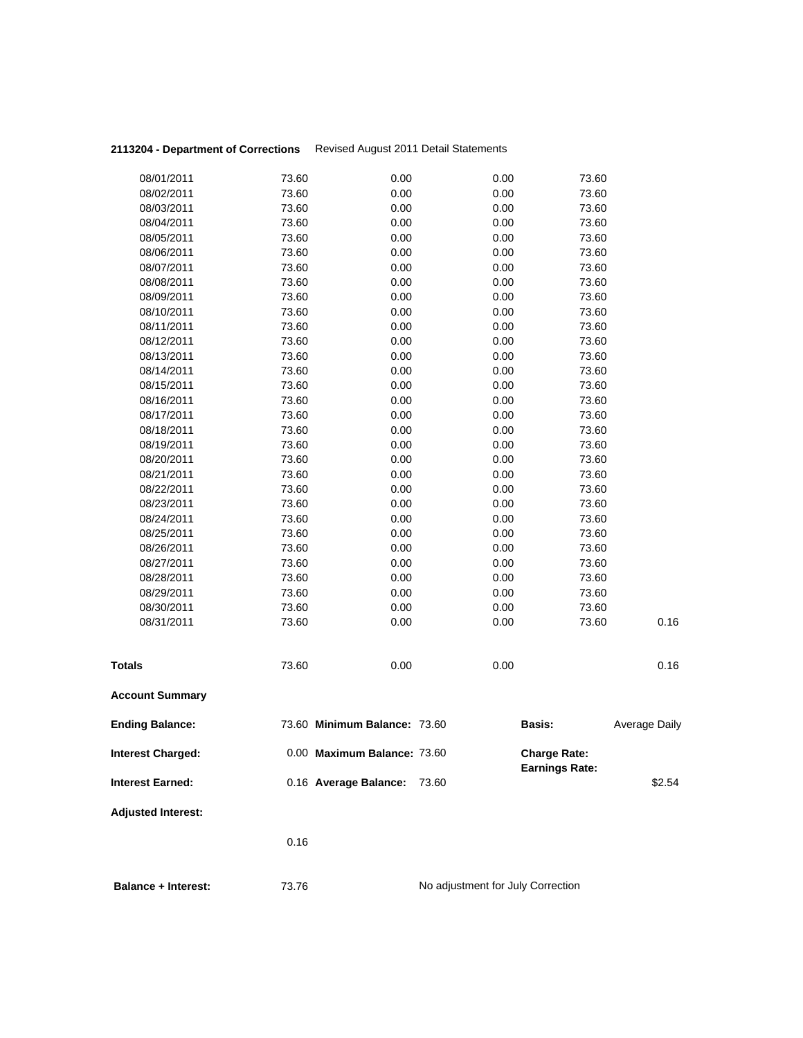|                           | 0.16           |                              |              |                                              |               |
|---------------------------|----------------|------------------------------|--------------|----------------------------------------------|---------------|
| <b>Adjusted Interest:</b> |                |                              |              |                                              |               |
| Interest Earned:          |                | 0.16 Average Balance:        | 73.60        |                                              | \$2.54        |
| <b>Interest Charged:</b>  |                | 0.00 Maximum Balance: 73.60  |              | <b>Charge Rate:</b><br><b>Earnings Rate:</b> |               |
| <b>Ending Balance:</b>    |                | 73.60 Minimum Balance: 73.60 |              | <b>Basis:</b>                                | Average Daily |
| <b>Account Summary</b>    |                |                              |              |                                              |               |
| Totals                    | 73.60          | 0.00                         | 0.00         |                                              | 0.16          |
|                           |                |                              |              |                                              |               |
| 08/31/2011                | 73.60          | 0.00                         | 0.00         | 73.60                                        | 0.16          |
| 08/30/2011                | 73.60          | 0.00                         | 0.00         | 73.60                                        |               |
| 08/29/2011                | 73.60          | 0.00                         | 0.00         | 73.60                                        |               |
| 08/28/2011                | 73.60          | 0.00                         | 0.00         | 73.60                                        |               |
| 08/27/2011                | 73.60          | 0.00                         | 0.00         | 73.60                                        |               |
| 08/26/2011                | 73.60          | 0.00                         | 0.00         | 73.60                                        |               |
| 08/25/2011                | 73.60          | 0.00                         | 0.00         | 73.60                                        |               |
| 08/24/2011                | 73.60          | 0.00                         | 0.00         | 73.60                                        |               |
| 08/23/2011                | 73.60          | 0.00                         | 0.00         | 73.60                                        |               |
| 08/22/2011                | 73.60          | 0.00                         | 0.00         | 73.60                                        |               |
| 08/21/2011                | 73.60          | 0.00                         | 0.00         | 73.60                                        |               |
| 08/20/2011                | 73.60          | 0.00                         | 0.00         | 73.60                                        |               |
| 08/19/2011                | 73.60          | 0.00                         | 0.00         | 73.60                                        |               |
| 08/18/2011                | 73.60          | 0.00                         | 0.00         | 73.60                                        |               |
| 08/17/2011                | 73.60          | 0.00                         | 0.00         | 73.60                                        |               |
| 08/16/2011                | 73.60          | 0.00                         | 0.00         | 73.60                                        |               |
| 08/15/2011                | 73.60          | 0.00                         | 0.00         | 73.60                                        |               |
| 08/14/2011                | 73.60          | 0.00                         | 0.00         | 73.60                                        |               |
| 08/12/2011<br>08/13/2011  | 73.60<br>73.60 | 0.00<br>0.00                 | 0.00<br>0.00 | 73.60<br>73.60                               |               |
| 08/11/2011                | 73.60          | 0.00                         | 0.00         | 73.60                                        |               |
| 08/10/2011                | 73.60          | 0.00                         | 0.00         | 73.60                                        |               |
| 08/09/2011                | 73.60          | 0.00                         | 0.00         | 73.60                                        |               |
| 08/08/2011                | 73.60          | 0.00                         | 0.00         | 73.60                                        |               |
| 08/07/2011                | 73.60          | 0.00                         | 0.00         | 73.60                                        |               |
| 08/06/2011                | 73.60          | 0.00                         | 0.00         | 73.60                                        |               |
| 08/05/2011                | 73.60          | 0.00                         | 0.00         | 73.60                                        |               |
| 08/04/2011                | 73.60          | 0.00                         | 0.00         | 73.60                                        |               |
| 08/03/2011                | 73.60          | 0.00                         | 0.00         | 73.60                                        |               |
| 08/02/2011                | 73.60          | 0.00                         | 0.00         | 73.60                                        |               |
| 08/01/2011                | 73.60          | 0.00                         | 0.00         | 73.60                                        |               |
|                           |                |                              |              |                                              |               |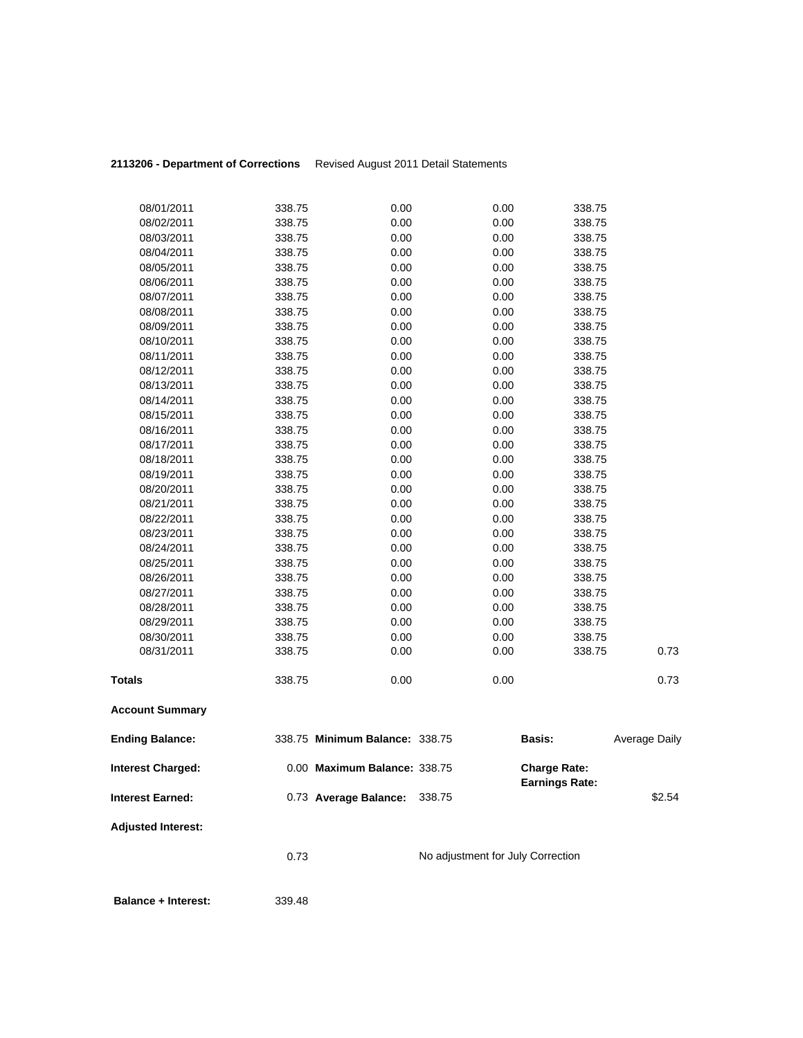| 08/01/2011                 | 338.75 | 0.00                           | 0.00                              | 338.75                |                      |
|----------------------------|--------|--------------------------------|-----------------------------------|-----------------------|----------------------|
| 08/02/2011                 | 338.75 | 0.00                           | 0.00                              | 338.75                |                      |
| 08/03/2011                 | 338.75 | 0.00                           | 0.00                              | 338.75                |                      |
| 08/04/2011                 | 338.75 | 0.00                           | 0.00                              | 338.75                |                      |
| 08/05/2011                 | 338.75 | 0.00                           | 0.00                              | 338.75                |                      |
| 08/06/2011                 | 338.75 | 0.00                           | 0.00                              | 338.75                |                      |
| 08/07/2011                 | 338.75 | 0.00                           | 0.00                              | 338.75                |                      |
| 08/08/2011                 | 338.75 | 0.00                           | 0.00                              | 338.75                |                      |
| 08/09/2011                 | 338.75 | 0.00                           | 0.00                              | 338.75                |                      |
| 08/10/2011                 | 338.75 | 0.00                           | 0.00                              | 338.75                |                      |
| 08/11/2011                 | 338.75 | 0.00                           | 0.00                              | 338.75                |                      |
| 08/12/2011                 | 338.75 | 0.00                           | 0.00                              | 338.75                |                      |
| 08/13/2011                 | 338.75 | 0.00                           | 0.00                              | 338.75                |                      |
| 08/14/2011                 | 338.75 | 0.00                           | 0.00                              | 338.75                |                      |
| 08/15/2011                 | 338.75 | 0.00                           | 0.00                              | 338.75                |                      |
| 08/16/2011                 | 338.75 | 0.00                           | 0.00                              | 338.75                |                      |
| 08/17/2011                 | 338.75 | 0.00                           | 0.00                              | 338.75                |                      |
| 08/18/2011                 | 338.75 | 0.00                           | 0.00                              | 338.75                |                      |
| 08/19/2011                 | 338.75 | 0.00                           | 0.00                              | 338.75                |                      |
| 08/20/2011                 | 338.75 | 0.00                           | 0.00                              | 338.75                |                      |
| 08/21/2011                 | 338.75 | 0.00                           | 0.00                              | 338.75                |                      |
| 08/22/2011                 | 338.75 | 0.00                           | 0.00                              | 338.75                |                      |
| 08/23/2011                 | 338.75 | 0.00                           | 0.00                              | 338.75                |                      |
| 08/24/2011                 | 338.75 | 0.00                           | 0.00                              | 338.75                |                      |
| 08/25/2011                 | 338.75 | 0.00                           | 0.00                              | 338.75                |                      |
| 08/26/2011                 | 338.75 | 0.00                           | 0.00                              | 338.75                |                      |
| 08/27/2011                 | 338.75 | 0.00                           | 0.00                              | 338.75                |                      |
| 08/28/2011                 | 338.75 | 0.00                           | 0.00                              | 338.75                |                      |
| 08/29/2011                 | 338.75 | 0.00                           | 0.00                              | 338.75                |                      |
| 08/30/2011                 | 338.75 | 0.00                           | 0.00                              | 338.75                |                      |
| 08/31/2011                 | 338.75 | 0.00                           | 0.00                              | 338.75                | 0.73                 |
|                            |        |                                |                                   |                       |                      |
| <b>Totals</b>              | 338.75 | 0.00                           | 0.00                              |                       | 0.73                 |
| <b>Account Summary</b>     |        |                                |                                   |                       |                      |
| <b>Ending Balance:</b>     |        | 338.75 Minimum Balance: 338.75 |                                   | <b>Basis:</b>         | <b>Average Daily</b> |
| <b>Interest Charged:</b>   |        | 0.00 Maximum Balance: 338.75   |                                   | <b>Charge Rate:</b>   |                      |
|                            |        |                                |                                   | <b>Earnings Rate:</b> |                      |
| <b>Interest Earned:</b>    |        | 0.73 Average Balance:          | 338.75                            |                       | \$2.54               |
| <b>Adjusted Interest:</b>  |        |                                |                                   |                       |                      |
|                            | 0.73   |                                | No adjustment for July Correction |                       |                      |
| <b>Balance + Interest:</b> | 339.48 |                                |                                   |                       |                      |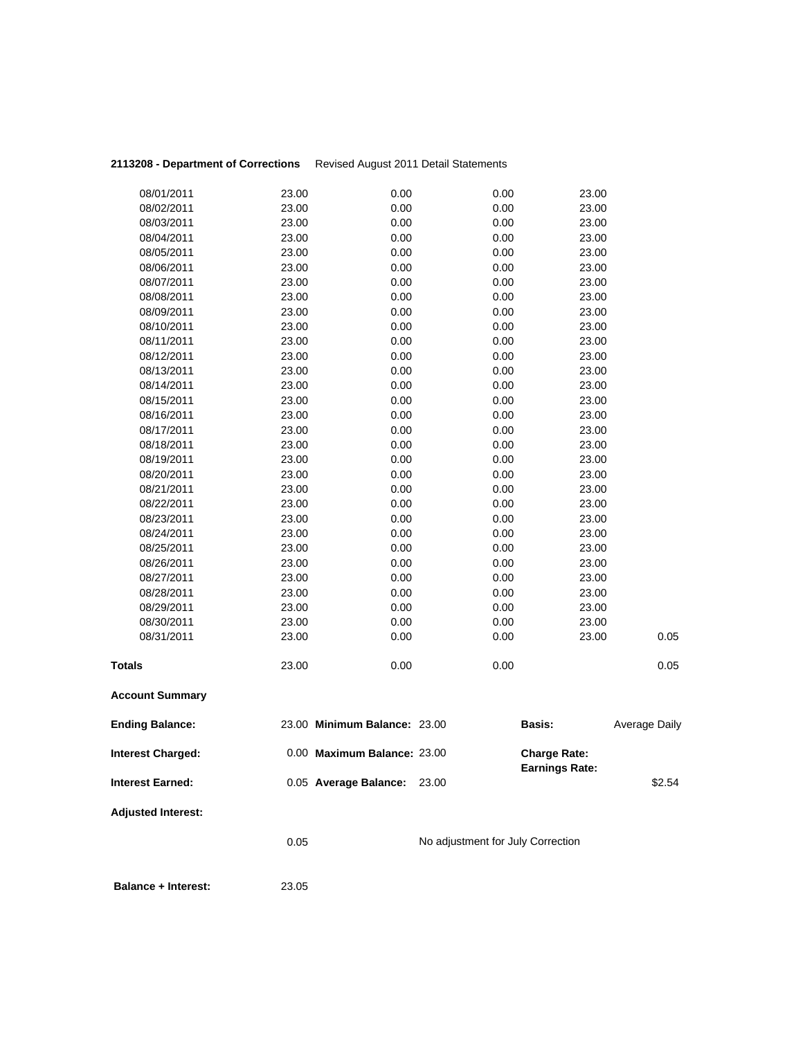| 08/02/2011<br>08/03/2011 | 23.00<br>23.00 | 0.00<br>0.00                 | 0.00<br>0.00 | 23.00<br>23.00        |               |
|--------------------------|----------------|------------------------------|--------------|-----------------------|---------------|
| 08/04/2011               | 23.00          | 0.00                         | 0.00         | 23.00                 |               |
| 08/05/2011               | 23.00          | 0.00                         | 0.00         | 23.00                 |               |
| 08/06/2011               | 23.00          | 0.00                         | 0.00         | 23.00                 |               |
| 08/07/2011               | 23.00          | 0.00                         | 0.00         | 23.00                 |               |
| 08/08/2011               | 23.00          | 0.00                         | 0.00         | 23.00                 |               |
| 08/09/2011               | 23.00          | 0.00                         | 0.00         | 23.00                 |               |
| 08/10/2011               | 23.00          | 0.00                         | 0.00         | 23.00                 |               |
| 08/11/2011               | 23.00          | 0.00                         | 0.00         | 23.00                 |               |
| 08/12/2011               | 23.00          | 0.00                         | 0.00         | 23.00                 |               |
| 08/13/2011               | 23.00          | 0.00                         | 0.00         | 23.00                 |               |
| 08/14/2011               | 23.00          | 0.00                         | 0.00         | 23.00                 |               |
| 08/15/2011               | 23.00          | 0.00                         | 0.00         | 23.00                 |               |
| 08/16/2011               | 23.00          | 0.00                         | 0.00         | 23.00                 |               |
| 08/17/2011               | 23.00          | 0.00                         | 0.00         | 23.00                 |               |
| 08/18/2011               | 23.00          | 0.00                         | 0.00         | 23.00                 |               |
| 08/19/2011               | 23.00          | 0.00                         | 0.00         | 23.00                 |               |
| 08/20/2011               | 23.00          | 0.00                         | 0.00         | 23.00                 |               |
| 08/21/2011               | 23.00          | 0.00                         | 0.00         | 23.00                 |               |
| 08/22/2011               | 23.00          | 0.00                         | 0.00         | 23.00                 |               |
| 08/23/2011               | 23.00          | 0.00                         | 0.00         | 23.00                 |               |
| 08/24/2011               | 23.00          | 0.00                         | 0.00         | 23.00                 |               |
| 08/25/2011               | 23.00          | 0.00                         | 0.00         | 23.00                 |               |
| 08/26/2011               | 23.00          | 0.00                         | 0.00         | 23.00                 |               |
| 08/27/2011               | 23.00          | 0.00                         | 0.00         | 23.00                 |               |
| 08/28/2011               | 23.00          | 0.00                         | 0.00         | 23.00                 |               |
| 08/29/2011               | 23.00          | 0.00                         | 0.00         | 23.00                 |               |
| 08/30/2011               | 23.00          | 0.00                         | 0.00         | 23.00                 |               |
| 08/31/2011               | 23.00          | 0.00                         | 0.00         | 23.00                 | 0.05          |
| <b>Totals</b>            | 23.00          | 0.00                         | 0.00         |                       | 0.05          |
| <b>Account Summary</b>   |                |                              |              |                       |               |
| <b>Ending Balance:</b>   |                | 23.00 Minimum Balance: 23.00 |              | <b>Basis:</b>         | Average Daily |
| <b>Interest Charged:</b> |                | 0.00 Maximum Balance: 23.00  |              | <b>Charge Rate:</b>   |               |
| <b>Interest Earned:</b>  |                | 0.05 Average Balance:        | 23.00        | <b>Earnings Rate:</b> | \$2.54        |
|                          |                |                              |              |                       |               |

**Adjusted Interest:** 

0.05 No adjustment for July Correction

 **Balance + Interest:** 23.05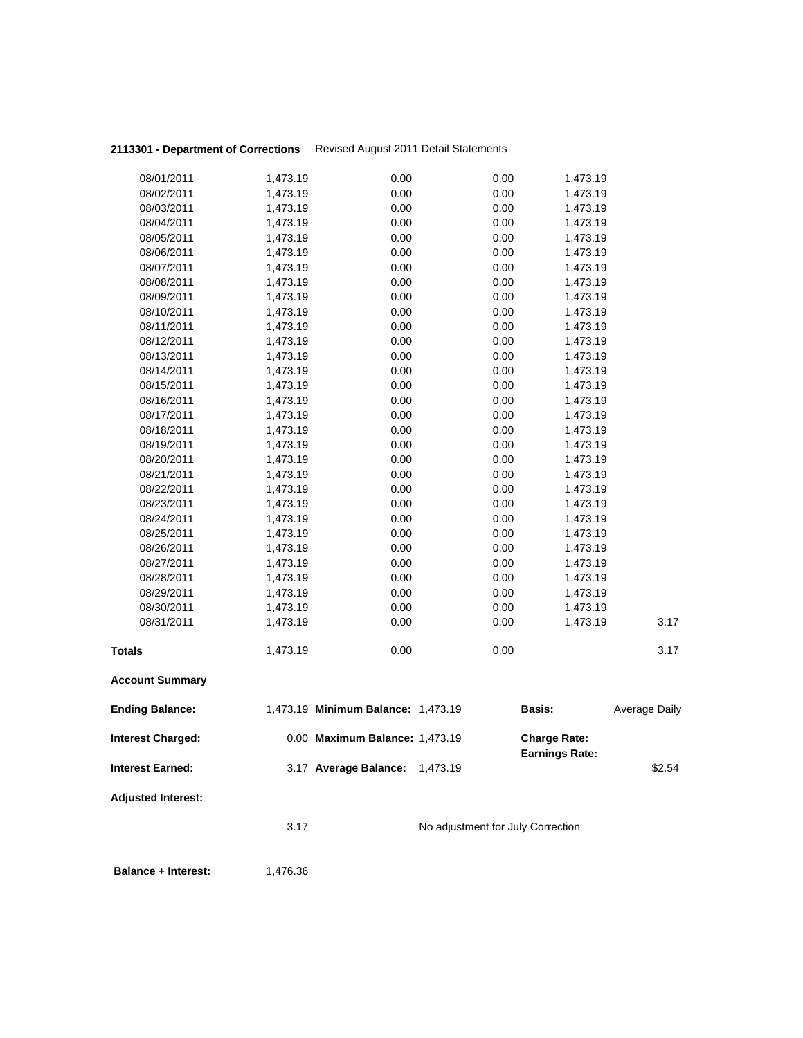| 08/26/2011<br>08/27/2011<br>08/28/2011<br>08/29/2011<br>08/30/2011 | 1,473.19<br>1,473.19<br>1,473.19<br>1,473.19<br>1,473.19 | 0.00<br>0.00<br>0.00<br>0.00<br>0.00 | 0.00<br>0.00<br>0.00<br>0.00<br>0.00 | 1,473.19<br>1,473.19<br>1,473.19<br>1,473.19<br>1,473.19 |  |
|--------------------------------------------------------------------|----------------------------------------------------------|--------------------------------------|--------------------------------------|----------------------------------------------------------|--|
|                                                                    |                                                          |                                      |                                      |                                                          |  |
|                                                                    |                                                          |                                      |                                      |                                                          |  |
|                                                                    |                                                          |                                      |                                      |                                                          |  |
|                                                                    |                                                          |                                      |                                      |                                                          |  |
|                                                                    |                                                          |                                      |                                      |                                                          |  |
| 08/25/2011                                                         | 1,473.19                                                 | 0.00                                 | 0.00                                 | 1,473.19                                                 |  |
| 08/24/2011                                                         | 1,473.19                                                 | 0.00                                 | 0.00                                 | 1,473.19                                                 |  |
| 08/23/2011                                                         | 1,473.19                                                 | 0.00                                 | 0.00                                 | 1,473.19                                                 |  |
|                                                                    |                                                          |                                      |                                      | 1,473.19                                                 |  |
| 08/22/2011                                                         | 1,473.19                                                 | 0.00                                 | 0.00                                 |                                                          |  |
| 08/21/2011                                                         | 1,473.19                                                 | 0.00                                 | 0.00                                 | 1,473.19                                                 |  |
| 08/20/2011                                                         | 1,473.19                                                 | 0.00                                 | 0.00                                 | 1,473.19                                                 |  |
| 08/19/2011                                                         | 1,473.19                                                 | 0.00                                 | 0.00                                 | 1,473.19                                                 |  |
| 08/18/2011                                                         | 1,473.19                                                 | 0.00                                 | 0.00                                 | 1,473.19                                                 |  |
| 08/17/2011                                                         | 1,473.19                                                 | 0.00                                 | 0.00                                 | 1,473.19                                                 |  |
| 08/16/2011                                                         | 1,473.19                                                 | 0.00                                 | 0.00                                 | 1,473.19                                                 |  |
| 08/15/2011                                                         | 1,473.19                                                 | 0.00                                 | 0.00                                 | 1,473.19                                                 |  |
| 08/14/2011                                                         | 1,473.19                                                 | 0.00                                 | 0.00                                 | 1,473.19                                                 |  |
| 08/13/2011                                                         | 1,473.19                                                 | 0.00                                 | 0.00                                 | 1,473.19                                                 |  |
| 08/12/2011                                                         | 1,473.19                                                 | 0.00                                 | 0.00                                 | 1,473.19                                                 |  |
| 08/11/2011                                                         | 1,473.19                                                 | 0.00                                 | 0.00                                 | 1,473.19                                                 |  |
| 08/10/2011                                                         | 1,473.19                                                 | 0.00                                 | 0.00                                 | 1,473.19                                                 |  |
| 08/09/2011                                                         | 1,473.19                                                 | 0.00                                 | 0.00                                 | 1,473.19                                                 |  |
| 08/08/2011                                                         | 1,473.19                                                 | 0.00                                 | 0.00                                 | 1,473.19                                                 |  |
| 08/07/2011                                                         | 1,473.19                                                 | 0.00                                 | 0.00                                 | 1,473.19                                                 |  |
| 08/06/2011                                                         | 1,473.19                                                 | 0.00                                 | 0.00                                 | 1,473.19                                                 |  |
| 08/05/2011                                                         | 1,473.19                                                 | 0.00                                 | 0.00                                 | 1,473.19                                                 |  |
| 08/04/2011                                                         | 1,473.19                                                 | 0.00                                 | 0.00                                 | 1,473.19                                                 |  |
|                                                                    |                                                          |                                      |                                      |                                                          |  |
| 08/03/2011                                                         | 1,473.19                                                 | 0.00                                 | 0.00                                 | 1,473.19                                                 |  |
| 08/01/2011<br>08/02/2011                                           | 1,473.19                                                 | 0.00                                 | 0.00                                 | 1,473.19                                                 |  |
|                                                                    | 1,473.19                                                 | 0.00                                 | 0.00                                 | 1,473.19                                                 |  |

**Balance + Interest:** 1,476.36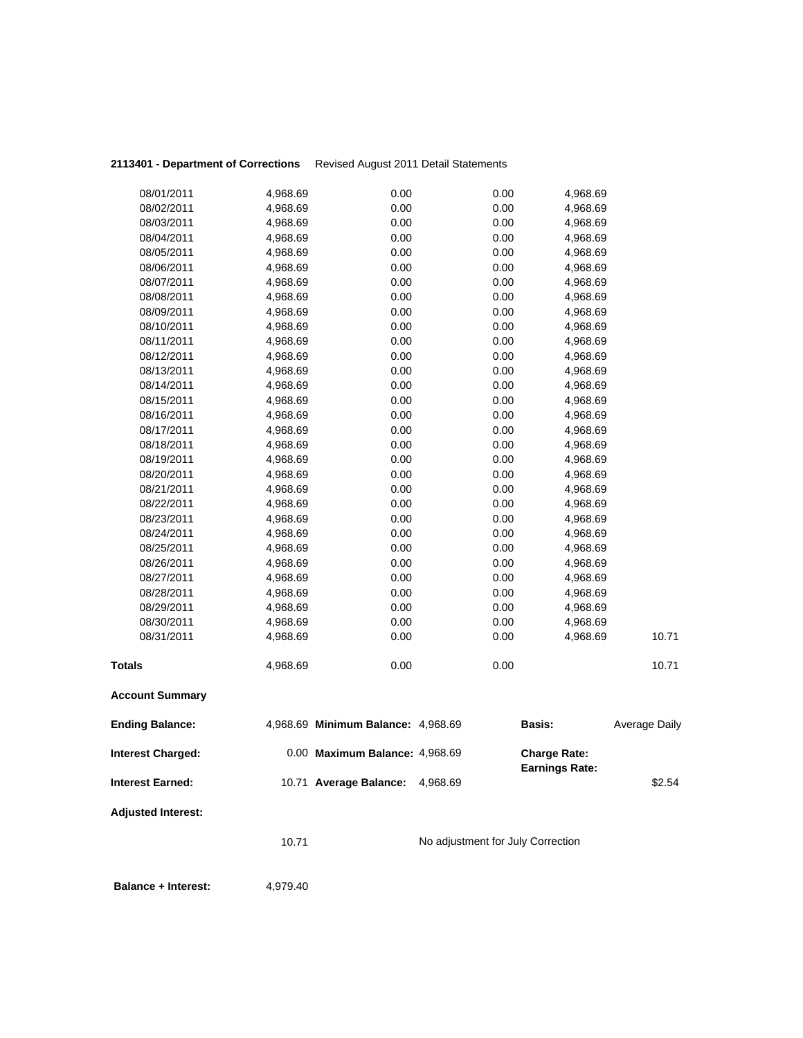|                           | 10.71    |                                    | No adjustment for July Correction |                                              |                      |
|---------------------------|----------|------------------------------------|-----------------------------------|----------------------------------------------|----------------------|
| <b>Adjusted Interest:</b> |          |                                    |                                   |                                              |                      |
| <b>Interest Earned:</b>   |          | 10.71 Average Balance:             | 4,968.69                          |                                              | \$2.54               |
| <b>Interest Charged:</b>  |          | 0.00 Maximum Balance: 4,968.69     |                                   | <b>Charge Rate:</b><br><b>Earnings Rate:</b> |                      |
| <b>Ending Balance:</b>    |          | 4,968.69 Minimum Balance: 4,968.69 |                                   | <b>Basis:</b>                                | <b>Average Daily</b> |
| <b>Account Summary</b>    |          |                                    |                                   |                                              |                      |
| <b>Totals</b>             | 4,968.69 | 0.00                               | 0.00                              |                                              | 10.71                |
| 08/31/2011                | 4,968.69 | 0.00                               | 0.00                              | 4,968.69                                     | 10.71                |
| 08/30/2011                | 4,968.69 | 0.00                               | 0.00                              | 4,968.69                                     |                      |
| 08/29/2011                | 4,968.69 | 0.00                               | 0.00                              | 4,968.69                                     |                      |
| 08/28/2011                | 4,968.69 | 0.00                               | 0.00                              | 4,968.69                                     |                      |
| 08/27/2011                | 4,968.69 | 0.00                               | 0.00                              | 4,968.69                                     |                      |
| 08/26/2011                | 4,968.69 | 0.00                               | 0.00                              | 4,968.69                                     |                      |
| 08/25/2011                | 4,968.69 | 0.00                               | 0.00                              | 4,968.69                                     |                      |
| 08/24/2011                | 4,968.69 | 0.00                               | 0.00                              | 4,968.69                                     |                      |
| 08/23/2011                | 4,968.69 | 0.00                               | 0.00                              | 4,968.69                                     |                      |
| 08/22/2011                | 4,968.69 | 0.00                               | 0.00                              | 4,968.69                                     |                      |
| 08/21/2011                | 4,968.69 | 0.00                               | 0.00                              | 4,968.69                                     |                      |
| 08/20/2011                | 4,968.69 | 0.00                               | 0.00                              | 4,968.69                                     |                      |
| 08/19/2011                | 4,968.69 | 0.00                               | 0.00                              | 4,968.69                                     |                      |
| 08/18/2011                | 4,968.69 | 0.00                               | 0.00                              | 4,968.69                                     |                      |
| 08/17/2011                | 4,968.69 | 0.00                               | 0.00                              | 4,968.69                                     |                      |
| 08/16/2011                | 4,968.69 | 0.00                               | 0.00                              | 4,968.69                                     |                      |
| 08/15/2011                | 4,968.69 | 0.00                               | 0.00                              | 4,968.69                                     |                      |
| 08/14/2011                | 4,968.69 | 0.00                               | 0.00                              | 4,968.69                                     |                      |
| 08/13/2011                | 4,968.69 | 0.00                               | 0.00                              | 4,968.69                                     |                      |
| 08/12/2011                | 4,968.69 | 0.00                               | 0.00                              | 4,968.69                                     |                      |
| 08/11/2011                | 4,968.69 | 0.00                               | 0.00                              | 4,968.69                                     |                      |
| 08/10/2011                | 4,968.69 | 0.00                               | 0.00                              | 4,968.69                                     |                      |
| 08/09/2011                | 4,968.69 | 0.00                               | 0.00                              | 4,968.69                                     |                      |
| 08/08/2011                | 4,968.69 | 0.00                               | 0.00                              | 4,968.69                                     |                      |
| 08/07/2011                | 4,968.69 | 0.00                               | 0.00                              | 4,968.69                                     |                      |
| 08/06/2011                | 4,968.69 | 0.00                               | 0.00                              | 4,968.69                                     |                      |
| 08/05/2011                | 4,968.69 | 0.00                               | 0.00                              | 4,968.69                                     |                      |
| 08/04/2011                | 4,968.69 | 0.00                               | 0.00                              | 4,968.69                                     |                      |
| 08/03/2011                | 4,968.69 | 0.00                               | 0.00                              | 4,968.69                                     |                      |
| 08/02/2011                | 4,968.69 | 0.00                               | 0.00                              | 4,968.69                                     |                      |
| 08/01/2011                | 4,968.69 | 0.00                               | 0.00                              | 4,968.69                                     |                      |

**Balance + Interest:** 4,979.40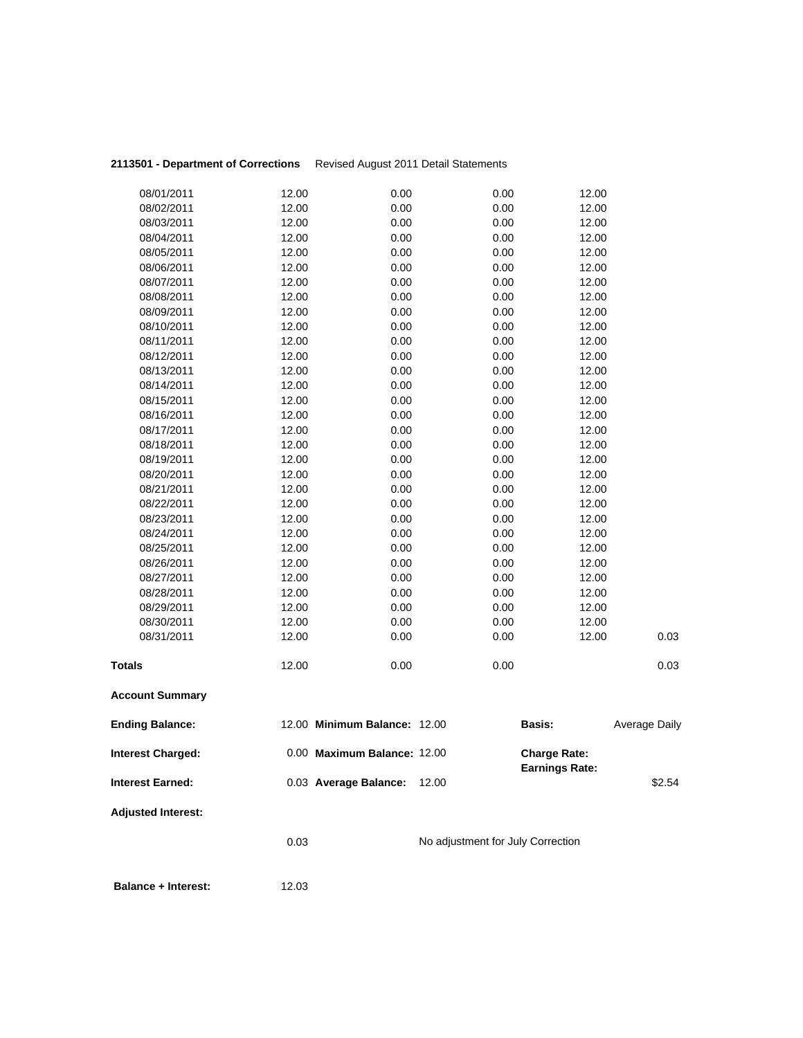| 08/01/2011                 | 12.00 | 0.00                         | 0.00                              | 12.00               |               |
|----------------------------|-------|------------------------------|-----------------------------------|---------------------|---------------|
| 08/02/2011                 | 12.00 | 0.00                         | 0.00                              | 12.00               |               |
| 08/03/2011                 | 12.00 | 0.00                         | 0.00                              | 12.00               |               |
| 08/04/2011                 | 12.00 | 0.00                         | 0.00                              | 12.00               |               |
| 08/05/2011                 | 12.00 | 0.00                         | 0.00                              | 12.00               |               |
| 08/06/2011                 | 12.00 | 0.00                         | 0.00                              | 12.00               |               |
| 08/07/2011                 | 12.00 | 0.00                         | 0.00                              | 12.00               |               |
| 08/08/2011                 | 12.00 | 0.00                         | 0.00                              | 12.00               |               |
| 08/09/2011                 | 12.00 | 0.00                         | 0.00                              | 12.00               |               |
| 08/10/2011                 | 12.00 | 0.00                         | 0.00                              | 12.00               |               |
| 08/11/2011                 | 12.00 | 0.00                         | 0.00                              | 12.00               |               |
| 08/12/2011                 | 12.00 | 0.00                         | 0.00                              | 12.00               |               |
| 08/13/2011                 | 12.00 | 0.00                         | 0.00                              | 12.00               |               |
| 08/14/2011                 | 12.00 | 0.00                         | 0.00                              | 12.00               |               |
| 08/15/2011                 | 12.00 | 0.00                         | 0.00                              | 12.00               |               |
| 08/16/2011                 | 12.00 | 0.00                         | 0.00                              | 12.00               |               |
| 08/17/2011                 | 12.00 | 0.00                         | 0.00                              | 12.00               |               |
| 08/18/2011                 | 12.00 | 0.00                         | 0.00                              | 12.00               |               |
| 08/19/2011                 | 12.00 | 0.00                         | 0.00                              | 12.00               |               |
| 08/20/2011                 | 12.00 | 0.00                         | 0.00                              | 12.00               |               |
| 08/21/2011                 | 12.00 | 0.00                         | 0.00                              | 12.00               |               |
| 08/22/2011                 | 12.00 | 0.00                         | 0.00                              | 12.00               |               |
| 08/23/2011                 | 12.00 | 0.00                         | 0.00                              | 12.00               |               |
| 08/24/2011                 | 12.00 | 0.00                         | 0.00                              | 12.00               |               |
| 08/25/2011                 | 12.00 | 0.00                         | 0.00                              | 12.00               |               |
| 08/26/2011                 | 12.00 | 0.00                         | 0.00                              | 12.00               |               |
| 08/27/2011                 | 12.00 | 0.00                         | 0.00                              | 12.00               |               |
| 08/28/2011                 | 12.00 | 0.00                         | 0.00                              | 12.00               |               |
| 08/29/2011                 | 12.00 | 0.00                         | 0.00                              | 12.00               |               |
| 08/30/2011                 | 12.00 | 0.00                         | 0.00                              | 12.00               |               |
| 08/31/2011                 | 12.00 | 0.00                         | 0.00                              | 12.00               | 0.03          |
| <b>Totals</b>              | 12.00 | 0.00                         | 0.00                              |                     | 0.03          |
|                            |       |                              |                                   |                     |               |
| <b>Account Summary</b>     |       |                              |                                   |                     |               |
| <b>Ending Balance:</b>     |       | 12.00 Minimum Balance: 12.00 |                                   | <b>Basis:</b>       | Average Daily |
| <b>Interest Charged:</b>   |       | 0.00 Maximum Balance: 12.00  |                                   | <b>Charge Rate:</b> |               |
| <b>Interest Earned:</b>    |       | 0.03 Average Balance:        | 12.00                             | Earnings Rate:      | \$2.54        |
| <b>Adjusted Interest:</b>  |       |                              |                                   |                     |               |
|                            | 0.03  |                              | No adjustment for July Correction |                     |               |
|                            |       |                              |                                   |                     |               |
| <b>Balance + Interest:</b> | 12.03 |                              |                                   |                     |               |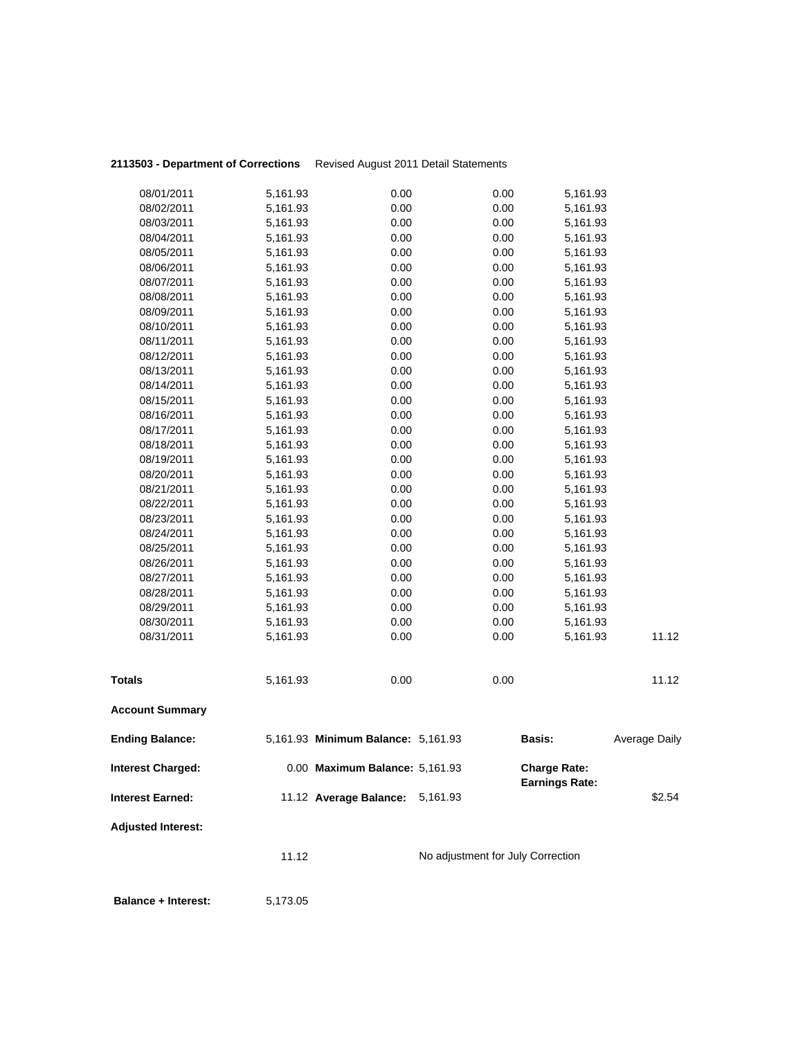| 08/01/2011                 | 5,161.93 | 0.00                               | 0.00                              | 5,161.93                                     |               |
|----------------------------|----------|------------------------------------|-----------------------------------|----------------------------------------------|---------------|
| 08/02/2011                 | 5,161.93 | 0.00                               | 0.00                              | 5,161.93                                     |               |
| 08/03/2011                 | 5,161.93 | 0.00                               | 0.00                              | 5,161.93                                     |               |
| 08/04/2011                 | 5,161.93 | 0.00                               | 0.00                              | 5,161.93                                     |               |
| 08/05/2011                 | 5,161.93 | 0.00                               | 0.00                              | 5,161.93                                     |               |
| 08/06/2011                 | 5,161.93 | 0.00                               | 0.00                              | 5,161.93                                     |               |
| 08/07/2011                 | 5,161.93 | 0.00                               | 0.00                              | 5,161.93                                     |               |
| 08/08/2011                 | 5,161.93 | 0.00                               | 0.00                              | 5,161.93                                     |               |
| 08/09/2011                 | 5,161.93 | 0.00                               | 0.00                              | 5,161.93                                     |               |
| 08/10/2011                 | 5,161.93 | 0.00                               | 0.00                              | 5,161.93                                     |               |
| 08/11/2011                 | 5,161.93 | 0.00                               | 0.00                              | 5,161.93                                     |               |
| 08/12/2011                 | 5,161.93 | 0.00                               | 0.00                              | 5,161.93                                     |               |
| 08/13/2011                 | 5,161.93 | 0.00                               | 0.00                              | 5,161.93                                     |               |
| 08/14/2011                 | 5,161.93 | 0.00                               | 0.00                              | 5,161.93                                     |               |
| 08/15/2011                 | 5,161.93 | 0.00                               | 0.00                              | 5,161.93                                     |               |
| 08/16/2011                 | 5,161.93 | 0.00                               | 0.00                              | 5,161.93                                     |               |
| 08/17/2011                 | 5,161.93 | 0.00                               | 0.00                              | 5,161.93                                     |               |
| 08/18/2011                 | 5,161.93 | 0.00                               | 0.00                              | 5,161.93                                     |               |
| 08/19/2011                 | 5,161.93 | 0.00                               | 0.00                              | 5,161.93                                     |               |
| 08/20/2011                 | 5,161.93 | 0.00                               | 0.00                              | 5,161.93                                     |               |
| 08/21/2011                 | 5,161.93 | 0.00                               | 0.00                              | 5,161.93                                     |               |
| 08/22/2011                 | 5,161.93 | 0.00                               | 0.00                              | 5,161.93                                     |               |
| 08/23/2011                 | 5,161.93 | 0.00                               | 0.00                              | 5,161.93                                     |               |
| 08/24/2011                 | 5,161.93 | 0.00                               | 0.00                              | 5,161.93                                     |               |
| 08/25/2011                 | 5,161.93 | 0.00                               | 0.00                              | 5,161.93                                     |               |
| 08/26/2011                 | 5,161.93 | 0.00                               | 0.00                              | 5,161.93                                     |               |
| 08/27/2011                 | 5,161.93 | 0.00                               | 0.00                              | 5,161.93                                     |               |
| 08/28/2011                 | 5,161.93 | 0.00                               | 0.00                              | 5,161.93                                     |               |
| 08/29/2011                 | 5,161.93 | 0.00                               | 0.00                              | 5,161.93                                     |               |
| 08/30/2011                 | 5,161.93 | 0.00                               | 0.00                              | 5,161.93                                     |               |
| 08/31/2011                 | 5,161.93 | 0.00                               | 0.00                              | 5,161.93                                     | 11.12         |
| <b>Totals</b>              | 5,161.93 | 0.00                               | 0.00                              |                                              | 11.12         |
| <b>Account Summary</b>     |          |                                    |                                   |                                              |               |
| <b>Ending Balance:</b>     |          | 5,161.93 Minimum Balance: 5,161.93 |                                   | <b>Basis:</b>                                | Average Daily |
| Interest Charged:          |          | 0.00 Maximum Balance: 5,161.93     |                                   | <b>Charge Rate:</b><br><b>Earnings Rate:</b> |               |
| <b>Interest Earned:</b>    |          | 11.12 Average Balance: 5,161.93    |                                   |                                              | \$2.54        |
| <b>Adjusted Interest:</b>  |          |                                    |                                   |                                              |               |
|                            | 11.12    |                                    | No adjustment for July Correction |                                              |               |
| <b>Balance + Interest:</b> | 5,173.05 |                                    |                                   |                                              |               |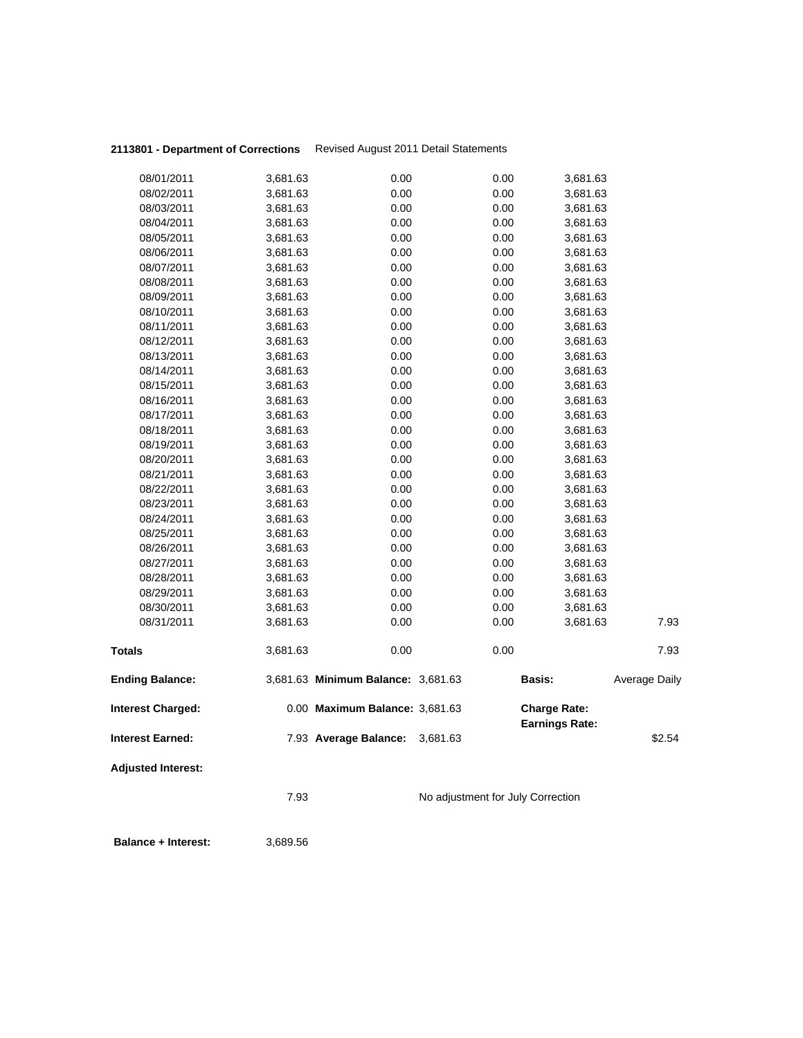|                           | 7.93     |                                    | No adjustment for July Correction |                     |                       |               |
|---------------------------|----------|------------------------------------|-----------------------------------|---------------------|-----------------------|---------------|
| <b>Adjusted Interest:</b> |          |                                    |                                   |                     |                       |               |
| Interest Earned:          |          | 7.93 Average Balance:              | 3,681.63                          |                     |                       | \$2.54        |
| <b>Interest Charged:</b>  |          | 0.00 Maximum Balance: 3,681.63     |                                   | <b>Charge Rate:</b> | <b>Earnings Rate:</b> |               |
| <b>Ending Balance:</b>    |          | 3,681.63 Minimum Balance: 3,681.63 |                                   | <b>Basis:</b>       |                       | Average Daily |
| Totals                    | 3,681.63 | 0.00                               |                                   | 0.00                |                       | 7.93          |
| 08/31/2011                | 3,681.63 | 0.00                               |                                   | 0.00                | 3,681.63              | 7.93          |
| 08/30/2011                | 3,681.63 | 0.00                               |                                   | 0.00                | 3,681.63              |               |
| 08/29/2011                | 3,681.63 | 0.00                               |                                   | 0.00                | 3,681.63              |               |
| 08/28/2011                | 3,681.63 | 0.00                               |                                   | 0.00                | 3,681.63              |               |
| 08/27/2011                | 3,681.63 | 0.00                               |                                   | 0.00                | 3,681.63              |               |
| 08/26/2011                | 3,681.63 | 0.00                               |                                   | 0.00                | 3,681.63              |               |
| 08/25/2011                | 3,681.63 | 0.00                               |                                   | 0.00                | 3,681.63              |               |
| 08/24/2011                | 3,681.63 | 0.00                               |                                   | 0.00                | 3,681.63              |               |
| 08/23/2011                | 3,681.63 | 0.00                               |                                   | 0.00                | 3,681.63              |               |
| 08/22/2011                | 3,681.63 | 0.00                               |                                   | 0.00                | 3,681.63              |               |
| 08/21/2011                | 3,681.63 | 0.00                               |                                   | 0.00                | 3,681.63              |               |
| 08/20/2011                | 3,681.63 | 0.00                               |                                   | 0.00                | 3,681.63              |               |
| 08/19/2011                | 3,681.63 | 0.00                               |                                   | 0.00                | 3,681.63              |               |
| 08/18/2011                | 3,681.63 | 0.00                               |                                   | 0.00                | 3,681.63              |               |
| 08/17/2011                | 3,681.63 | 0.00                               |                                   | 0.00                | 3,681.63              |               |
| 08/16/2011                | 3,681.63 | 0.00                               |                                   | 0.00                | 3,681.63              |               |
| 08/15/2011                | 3,681.63 | 0.00                               |                                   | 0.00                | 3,681.63              |               |
| 08/14/2011                | 3,681.63 | 0.00                               |                                   | 0.00                | 3,681.63              |               |
| 08/13/2011                | 3,681.63 | 0.00                               |                                   | 0.00                | 3,681.63              |               |
| 08/12/2011                | 3,681.63 | 0.00                               |                                   | 0.00                | 3,681.63              |               |
| 08/11/2011                | 3,681.63 | 0.00                               |                                   | 0.00                | 3,681.63              |               |
| 08/10/2011                | 3,681.63 | 0.00                               |                                   | 0.00                | 3,681.63              |               |
| 08/09/2011                | 3,681.63 | 0.00                               |                                   | 0.00                | 3,681.63              |               |
| 08/08/2011                | 3,681.63 | 0.00                               |                                   | 0.00                | 3,681.63              |               |
| 08/07/2011                | 3,681.63 | 0.00                               |                                   | 0.00                | 3,681.63              |               |
| 08/06/2011                | 3,681.63 | 0.00                               |                                   | 0.00                | 3,681.63              |               |
| 08/05/2011                | 3,681.63 | 0.00                               |                                   | 0.00                | 3,681.63              |               |
| 08/04/2011                | 3,681.63 | 0.00                               |                                   | 0.00                | 3,681.63              |               |
| 08/03/2011                | 3,681.63 | 0.00                               |                                   | 0.00                | 3,681.63              |               |
| 08/02/2011                | 3,681.63 | 0.00                               |                                   | 0.00                | 3,681.63              |               |
| 08/01/2011                | 3,681.63 | 0.00                               |                                   | 0.00                | 3,681.63              |               |
|                           |          |                                    |                                   |                     |                       |               |

 **Balance + Interest:** 3,689.56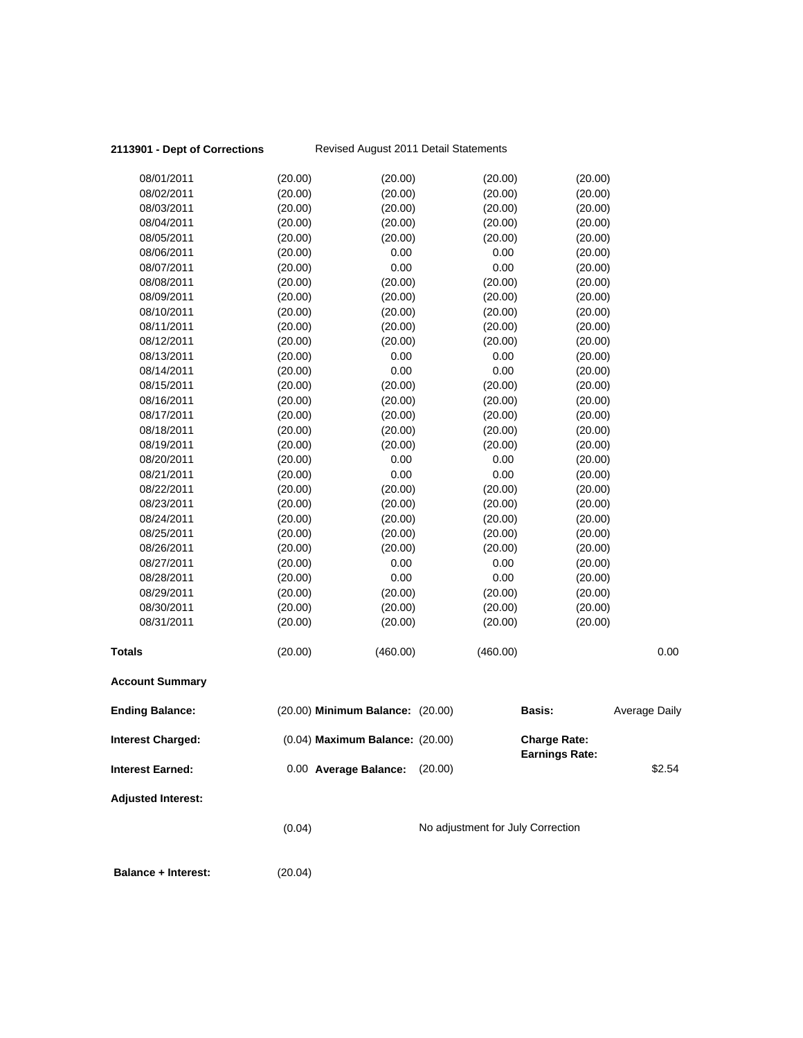| 08/01/2011                 | (20.00) | (20.00)                          | (20.00)                           | (20.00)                                      |                      |
|----------------------------|---------|----------------------------------|-----------------------------------|----------------------------------------------|----------------------|
| 08/02/2011                 | (20.00) | (20.00)                          | (20.00)                           | (20.00)                                      |                      |
| 08/03/2011                 | (20.00) | (20.00)                          | (20.00)                           | (20.00)                                      |                      |
| 08/04/2011                 | (20.00) | (20.00)                          | (20.00)                           | (20.00)                                      |                      |
| 08/05/2011                 | (20.00) | (20.00)                          | (20.00)                           | (20.00)                                      |                      |
| 08/06/2011                 | (20.00) | 0.00                             | 0.00                              | (20.00)                                      |                      |
| 08/07/2011                 | (20.00) | 0.00                             | 0.00                              | (20.00)                                      |                      |
| 08/08/2011                 | (20.00) | (20.00)                          | (20.00)                           | (20.00)                                      |                      |
| 08/09/2011                 | (20.00) | (20.00)                          | (20.00)                           | (20.00)                                      |                      |
| 08/10/2011                 | (20.00) | (20.00)                          | (20.00)                           | (20.00)                                      |                      |
| 08/11/2011                 | (20.00) | (20.00)                          | (20.00)                           | (20.00)                                      |                      |
| 08/12/2011                 | (20.00) | (20.00)                          | (20.00)                           | (20.00)                                      |                      |
| 08/13/2011                 | (20.00) | 0.00                             | 0.00                              | (20.00)                                      |                      |
| 08/14/2011                 | (20.00) | 0.00                             | 0.00                              | (20.00)                                      |                      |
| 08/15/2011                 | (20.00) | (20.00)                          | (20.00)                           | (20.00)                                      |                      |
| 08/16/2011                 | (20.00) | (20.00)                          | (20.00)                           | (20.00)                                      |                      |
| 08/17/2011                 | (20.00) | (20.00)                          | (20.00)                           | (20.00)                                      |                      |
| 08/18/2011                 | (20.00) | (20.00)                          | (20.00)                           | (20.00)                                      |                      |
| 08/19/2011                 | (20.00) | (20.00)                          | (20.00)                           | (20.00)                                      |                      |
| 08/20/2011                 | (20.00) | 0.00                             | 0.00                              | (20.00)                                      |                      |
| 08/21/2011                 | (20.00) | 0.00                             | 0.00                              | (20.00)                                      |                      |
| 08/22/2011                 | (20.00) | (20.00)                          | (20.00)                           | (20.00)                                      |                      |
| 08/23/2011                 | (20.00) | (20.00)                          | (20.00)                           | (20.00)                                      |                      |
| 08/24/2011                 | (20.00) | (20.00)                          | (20.00)                           | (20.00)                                      |                      |
| 08/25/2011                 | (20.00) | (20.00)                          | (20.00)                           | (20.00)                                      |                      |
| 08/26/2011                 | (20.00) | (20.00)                          | (20.00)                           | (20.00)                                      |                      |
| 08/27/2011                 | (20.00) | 0.00                             | 0.00                              | (20.00)                                      |                      |
| 08/28/2011                 | (20.00) | 0.00                             | 0.00                              | (20.00)                                      |                      |
| 08/29/2011                 | (20.00) | (20.00)                          | (20.00)                           | (20.00)                                      |                      |
| 08/30/2011                 | (20.00) | (20.00)                          | (20.00)                           | (20.00)                                      |                      |
| 08/31/2011                 | (20.00) | (20.00)                          | (20.00)                           | (20.00)                                      |                      |
|                            |         |                                  |                                   |                                              |                      |
| <b>Totals</b>              | (20.00) | (460.00)                         | (460.00)                          |                                              | 0.00                 |
| <b>Account Summary</b>     |         |                                  |                                   |                                              |                      |
|                            |         |                                  |                                   |                                              |                      |
| <b>Ending Balance:</b>     |         | (20.00) Minimum Balance: (20.00) |                                   | <b>Basis:</b>                                | <b>Average Daily</b> |
| <b>Interest Charged:</b>   |         | (0.04) Maximum Balance: (20.00)  |                                   | <b>Charge Rate:</b><br><b>Earnings Rate:</b> |                      |
| <b>Interest Earned:</b>    |         | 0.00 Average Balance:            | (20.00)                           |                                              | \$2.54               |
| <b>Adjusted Interest:</b>  |         |                                  |                                   |                                              |                      |
|                            |         |                                  |                                   |                                              |                      |
|                            | (0.04)  |                                  | No adjustment for July Correction |                                              |                      |
| <b>Balance + Interest:</b> | (20.04) |                                  |                                   |                                              |                      |
|                            |         |                                  |                                   |                                              |                      |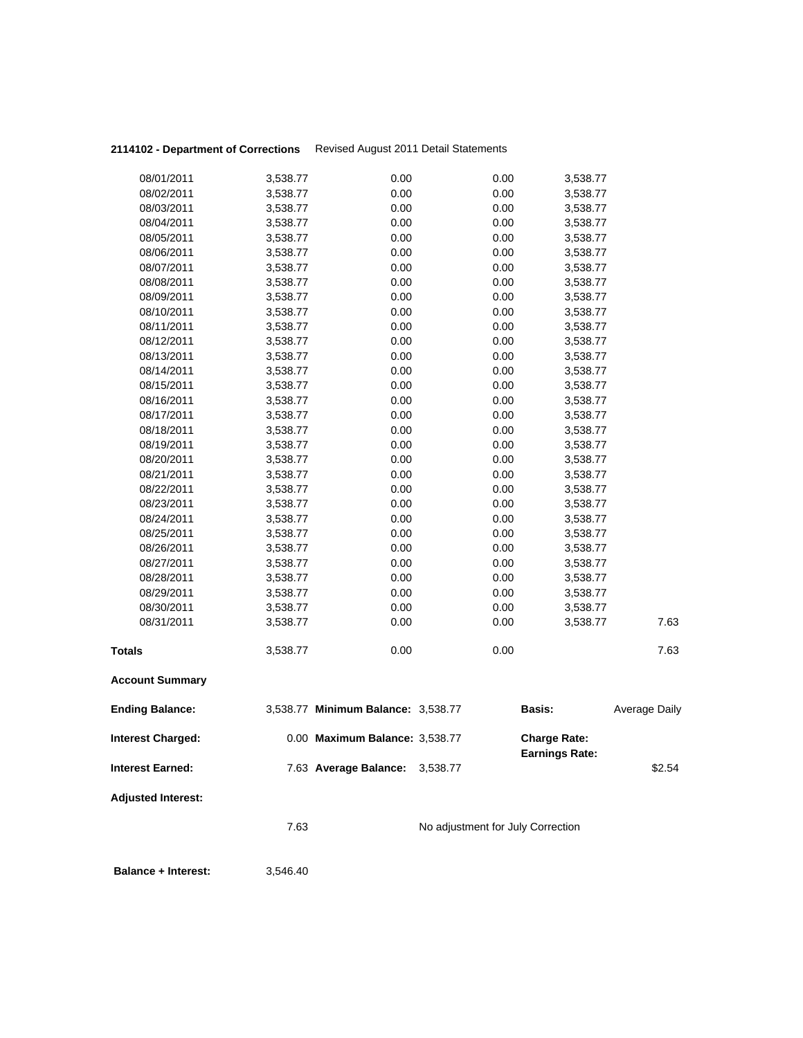| 08/01/2011                | 3,538.77 | 0.00                               | 0.00                              | 3,538.77              |               |
|---------------------------|----------|------------------------------------|-----------------------------------|-----------------------|---------------|
| 08/02/2011                | 3,538.77 | 0.00                               | 0.00                              | 3,538.77              |               |
| 08/03/2011                | 3,538.77 | 0.00                               | 0.00                              | 3,538.77              |               |
| 08/04/2011                | 3,538.77 | 0.00                               | 0.00                              | 3,538.77              |               |
| 08/05/2011                | 3,538.77 | 0.00                               | 0.00                              | 3,538.77              |               |
| 08/06/2011                | 3,538.77 | 0.00                               | 0.00                              | 3,538.77              |               |
| 08/07/2011                | 3,538.77 | 0.00                               | 0.00                              | 3,538.77              |               |
| 08/08/2011                | 3,538.77 | 0.00                               | 0.00                              | 3,538.77              |               |
| 08/09/2011                | 3,538.77 | 0.00                               | 0.00                              | 3,538.77              |               |
| 08/10/2011                | 3,538.77 | 0.00                               | 0.00                              | 3,538.77              |               |
| 08/11/2011                | 3,538.77 | 0.00                               | 0.00                              | 3,538.77              |               |
| 08/12/2011                | 3,538.77 | 0.00                               | 0.00                              | 3,538.77              |               |
| 08/13/2011                | 3,538.77 | 0.00                               | 0.00                              | 3,538.77              |               |
| 08/14/2011                | 3,538.77 | 0.00                               | 0.00                              | 3,538.77              |               |
| 08/15/2011                | 3,538.77 | 0.00                               | 0.00                              | 3,538.77              |               |
| 08/16/2011                | 3,538.77 | 0.00                               | 0.00                              | 3,538.77              |               |
| 08/17/2011                | 3,538.77 | 0.00                               | 0.00                              | 3,538.77              |               |
| 08/18/2011                | 3,538.77 | 0.00                               | 0.00                              | 3,538.77              |               |
| 08/19/2011                | 3,538.77 | 0.00                               | 0.00                              | 3,538.77              |               |
| 08/20/2011                | 3,538.77 | 0.00                               | 0.00                              | 3,538.77              |               |
| 08/21/2011                | 3,538.77 | 0.00                               | 0.00                              | 3,538.77              |               |
| 08/22/2011                | 3,538.77 | 0.00                               | 0.00                              | 3,538.77              |               |
| 08/23/2011                | 3,538.77 | 0.00                               | 0.00                              | 3,538.77              |               |
| 08/24/2011                | 3,538.77 | 0.00                               | 0.00                              | 3,538.77              |               |
| 08/25/2011                | 3,538.77 | 0.00                               | 0.00                              | 3,538.77              |               |
| 08/26/2011                | 3,538.77 | 0.00                               | 0.00                              | 3,538.77              |               |
| 08/27/2011                | 3,538.77 | 0.00                               | 0.00                              | 3,538.77              |               |
| 08/28/2011                | 3,538.77 | 0.00                               | 0.00                              | 3,538.77              |               |
| 08/29/2011                | 3,538.77 | 0.00                               | 0.00                              | 3,538.77              |               |
| 08/30/2011                | 3,538.77 | 0.00                               | 0.00                              | 3,538.77              |               |
| 08/31/2011                | 3,538.77 | 0.00                               | 0.00                              | 3,538.77              | 7.63          |
| <b>Totals</b>             | 3,538.77 | 0.00                               | 0.00                              |                       | 7.63          |
| <b>Account Summary</b>    |          |                                    |                                   |                       |               |
|                           |          |                                    |                                   |                       |               |
| <b>Ending Balance:</b>    |          | 3,538.77 Minimum Balance: 3,538.77 |                                   | Basis:                | Average Daily |
| <b>Interest Charged:</b>  |          | 0.00 Maximum Balance: 3,538.77     |                                   | <b>Charge Rate:</b>   |               |
| <b>Interest Earned:</b>   |          | 7.63 Average Balance: 3,538.77     |                                   | <b>Earnings Rate:</b> | \$2.54        |
| <b>Adjusted Interest:</b> |          |                                    |                                   |                       |               |
|                           | 7.63     |                                    | No adjustment for July Correction |                       |               |
|                           |          |                                    |                                   |                       |               |
|                           |          |                                    |                                   |                       |               |

 **Balance + Interest:** 3,546.40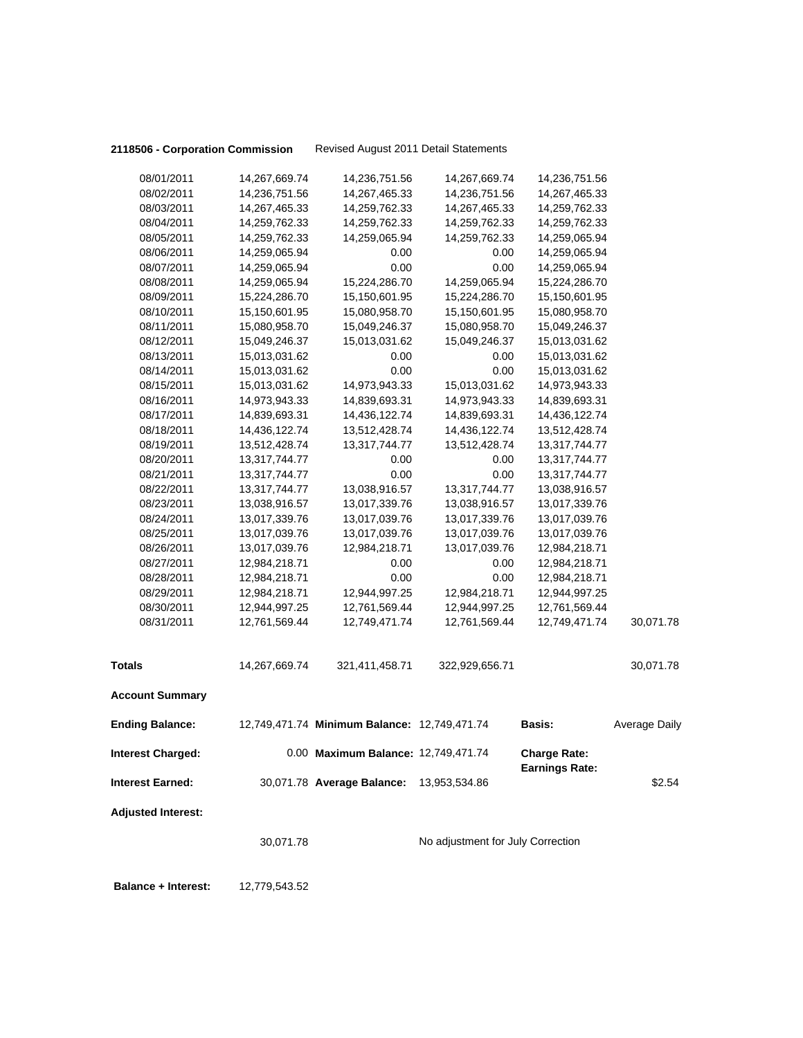**2118506 - Corporation Commission** Revised August 2011 Detail Statements

|                           | 30,071.78                      |                                              | No adjustment for July Correction |                                |               |
|---------------------------|--------------------------------|----------------------------------------------|-----------------------------------|--------------------------------|---------------|
| <b>Adjusted Interest:</b> |                                |                                              |                                   |                                |               |
| <b>Interest Earned:</b>   |                                | 30,071.78 Average Balance:                   | 13,953,534.86                     | <b>Earnings Rate:</b>          | \$2.54        |
| <b>Interest Charged:</b>  |                                | 0.00 Maximum Balance: 12,749,471.74          |                                   | <b>Charge Rate:</b>            |               |
| <b>Ending Balance:</b>    |                                | 12,749,471.74 Minimum Balance: 12,749,471.74 |                                   | <b>Basis:</b>                  | Average Daily |
| <b>Account Summary</b>    |                                |                                              |                                   |                                |               |
| <b>Totals</b>             | 14,267,669.74                  | 321,411,458.71                               | 322,929,656.71                    |                                | 30,071.78     |
|                           |                                |                                              |                                   |                                |               |
| 08/31/2011                | 12,761,569.44                  | 12,749,471.74                                | 12,761,569.44                     | 12,749,471.74                  | 30,071.78     |
| 08/30/2011                | 12,944,997.25                  | 12,761,569.44                                | 12,944,997.25                     | 12,761,569.44                  |               |
| 08/29/2011                | 12,984,218.71                  | 12,944,997.25                                | 12,984,218.71                     | 12,944,997.25                  |               |
| 08/28/2011                | 12,984,218.71                  | 0.00                                         | 0.00                              | 12,984,218.71                  |               |
| 08/26/2011<br>08/27/2011  | 13,017,039.76<br>12,984,218.71 | 12,984,218.71<br>0.00                        | 13,017,039.76<br>0.00             | 12,984,218.71<br>12,984,218.71 |               |
| 08/25/2011                | 13,017,039.76                  | 13,017,039.76                                |                                   | 13,017,039.76                  |               |
| 08/24/2011                | 13,017,339.76                  | 13,017,039.76                                | 13,017,339.76<br>13,017,039.76    | 13,017,039.76                  |               |
| 08/23/2011                | 13,038,916.57                  | 13,017,339.76                                | 13,038,916.57                     |                                |               |
| 08/22/2011                | 13,317,744.77                  |                                              |                                   | 13,017,339.76                  |               |
| 08/21/2011                | 13,317,744.77                  | 0.00<br>13,038,916.57                        | 0.00<br>13,317,744.77             | 13,038,916.57                  |               |
| 08/20/2011                | 13,317,744.77                  | 0.00                                         | 0.00                              | 13,317,744.77<br>13,317,744.77 |               |
| 08/19/2011                | 13,512,428.74                  | 13,317,744.77                                | 13,512,428.74                     | 13,317,744.77                  |               |
| 08/18/2011                | 14,436,122.74                  | 13,512,428.74                                | 14,436,122.74                     | 13,512,428.74                  |               |
| 08/17/2011                | 14,839,693.31                  | 14,436,122.74                                | 14,839,693.31                     | 14,436,122.74                  |               |
| 08/16/2011                | 14,973,943.33                  | 14,839,693.31                                | 14,973,943.33                     | 14,839,693.31                  |               |
| 08/15/2011                | 15,013,031.62                  | 14,973,943.33                                | 15,013,031.62                     | 14,973,943.33                  |               |
| 08/14/2011                | 15,013,031.62                  | 0.00                                         | 0.00                              | 15,013,031.62                  |               |
| 08/13/2011                | 15,013,031.62                  | 0.00                                         | 0.00                              | 15,013,031.62                  |               |
| 08/12/2011                | 15,049,246.37                  | 15,013,031.62                                | 15,049,246.37                     | 15,013,031.62                  |               |
| 08/11/2011                | 15,080,958.70                  | 15,049,246.37                                | 15,080,958.70                     | 15,049,246.37                  |               |
| 08/10/2011                | 15,150,601.95                  | 15,080,958.70                                | 15,150,601.95                     | 15,080,958.70                  |               |
| 08/09/2011                | 15,224,286.70                  | 15,150,601.95                                | 15,224,286.70                     | 15,150,601.95                  |               |
| 08/08/2011                | 14,259,065.94                  | 15,224,286.70                                | 14,259,065.94                     | 15,224,286.70                  |               |
| 08/07/2011                | 14,259,065.94                  | 0.00                                         | 0.00                              | 14,259,065.94                  |               |
| 08/06/2011                | 14,259,065.94                  | 0.00                                         | 0.00                              | 14,259,065.94                  |               |
| 08/05/2011                | 14,259,762.33                  | 14,259,065.94                                | 14,259,762.33                     | 14,259,065.94                  |               |
| 08/04/2011                | 14,259,762.33                  | 14,259,762.33                                | 14,259,762.33                     | 14,259,762.33                  |               |
| 08/03/2011                | 14,267,465.33                  | 14,259,762.33                                | 14,267,465.33                     | 14,259,762.33                  |               |
| 08/02/2011                | 14,236,751.56                  | 14,267,465.33                                | 14,236,751.56                     | 14,267,465.33                  |               |
| 08/01/2011                | 14,267,669.74                  | 14,236,751.56                                | 14,267,669.74                     | 14,236,751.56                  |               |
|                           |                                |                                              |                                   |                                |               |

 **Balance + Interest:** 12,779,543.52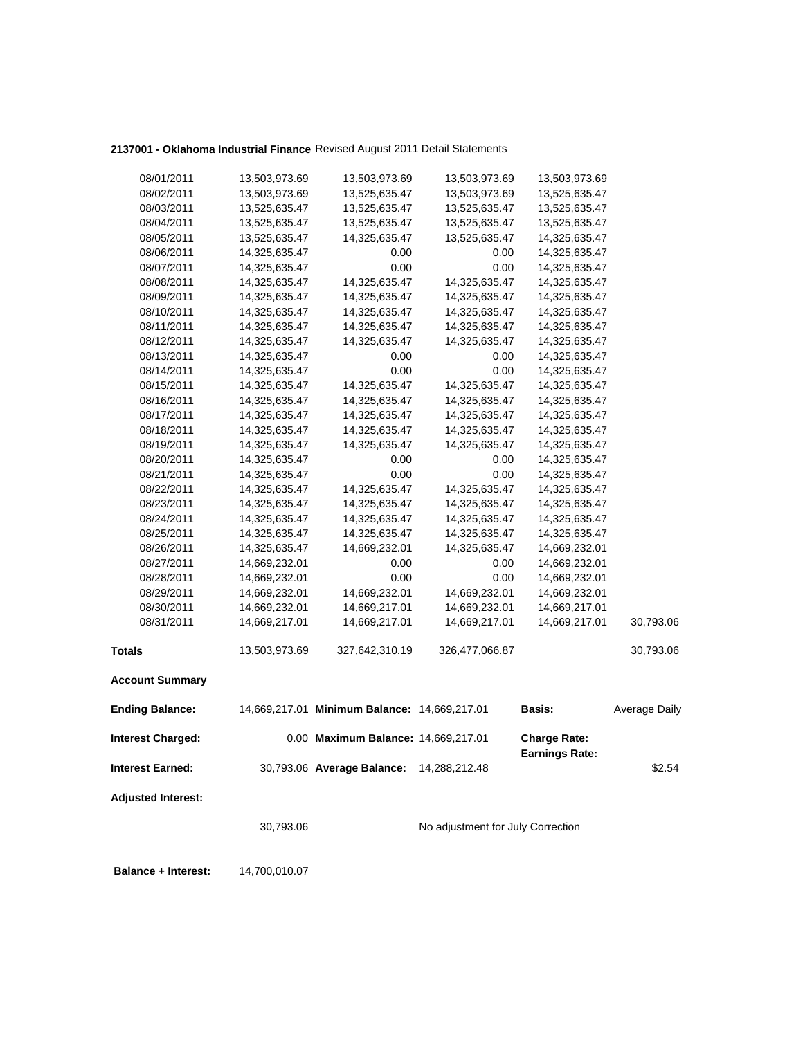## **2137001 - Oklahoma Industrial Finance** Revised August 2011 Detail Statements

| 08/01/2011                 | 13,503,973.69 | 13,503,973.69                                | 13,503,973.69                     | 13,503,973.69                                |                      |
|----------------------------|---------------|----------------------------------------------|-----------------------------------|----------------------------------------------|----------------------|
| 08/02/2011                 | 13,503,973.69 | 13,525,635.47                                | 13,503,973.69                     | 13,525,635.47                                |                      |
| 08/03/2011                 | 13,525,635.47 | 13,525,635.47                                | 13,525,635.47                     | 13,525,635.47                                |                      |
| 08/04/2011                 | 13,525,635.47 | 13,525,635.47                                | 13,525,635.47                     | 13,525,635.47                                |                      |
| 08/05/2011                 | 13,525,635.47 | 14,325,635.47                                | 13,525,635.47                     | 14,325,635.47                                |                      |
| 08/06/2011                 | 14,325,635.47 | 0.00                                         | 0.00                              | 14,325,635.47                                |                      |
| 08/07/2011                 | 14,325,635.47 | 0.00                                         | 0.00                              | 14,325,635.47                                |                      |
| 08/08/2011                 | 14,325,635.47 | 14,325,635.47                                | 14,325,635.47                     | 14,325,635.47                                |                      |
| 08/09/2011                 | 14,325,635.47 | 14,325,635.47                                | 14,325,635.47                     | 14,325,635.47                                |                      |
| 08/10/2011                 | 14,325,635.47 | 14,325,635.47                                | 14,325,635.47                     | 14,325,635.47                                |                      |
| 08/11/2011                 | 14,325,635.47 | 14,325,635.47                                | 14,325,635.47                     | 14,325,635.47                                |                      |
| 08/12/2011                 | 14,325,635.47 | 14,325,635.47                                | 14,325,635.47                     | 14,325,635.47                                |                      |
| 08/13/2011                 | 14,325,635.47 | 0.00                                         | 0.00                              | 14,325,635.47                                |                      |
| 08/14/2011                 | 14,325,635.47 | 0.00                                         | 0.00                              | 14,325,635.47                                |                      |
| 08/15/2011                 | 14,325,635.47 | 14,325,635.47                                | 14,325,635.47                     | 14,325,635.47                                |                      |
| 08/16/2011                 | 14,325,635.47 | 14,325,635.47                                | 14,325,635.47                     | 14,325,635.47                                |                      |
| 08/17/2011                 | 14,325,635.47 | 14,325,635.47                                | 14,325,635.47                     | 14,325,635.47                                |                      |
| 08/18/2011                 | 14,325,635.47 | 14,325,635.47                                | 14,325,635.47                     | 14,325,635.47                                |                      |
| 08/19/2011                 | 14,325,635.47 | 14,325,635.47                                | 14,325,635.47                     | 14,325,635.47                                |                      |
| 08/20/2011                 | 14,325,635.47 | 0.00                                         | 0.00                              | 14,325,635.47                                |                      |
| 08/21/2011                 | 14,325,635.47 | 0.00                                         | 0.00                              | 14,325,635.47                                |                      |
| 08/22/2011                 | 14,325,635.47 | 14,325,635.47                                | 14,325,635.47                     | 14,325,635.47                                |                      |
| 08/23/2011                 | 14,325,635.47 | 14,325,635.47                                | 14,325,635.47                     | 14,325,635.47                                |                      |
| 08/24/2011                 | 14,325,635.47 | 14,325,635.47                                | 14,325,635.47                     | 14,325,635.47                                |                      |
| 08/25/2011                 | 14,325,635.47 | 14,325,635.47                                | 14,325,635.47                     | 14,325,635.47                                |                      |
| 08/26/2011                 | 14,325,635.47 | 14,669,232.01                                | 14,325,635.47                     | 14,669,232.01                                |                      |
| 08/27/2011                 | 14,669,232.01 | 0.00                                         | 0.00                              | 14,669,232.01                                |                      |
| 08/28/2011                 | 14,669,232.01 | 0.00                                         | 0.00                              | 14,669,232.01                                |                      |
| 08/29/2011                 | 14,669,232.01 | 14,669,232.01                                | 14,669,232.01                     | 14,669,232.01                                |                      |
| 08/30/2011                 | 14,669,232.01 | 14,669,217.01                                | 14,669,232.01                     | 14,669,217.01                                |                      |
| 08/31/2011                 | 14,669,217.01 | 14,669,217.01                                | 14,669,217.01                     | 14,669,217.01                                | 30,793.06            |
| <b>Totals</b>              | 13,503,973.69 | 327,642,310.19                               | 326,477,066.87                    |                                              | 30,793.06            |
| <b>Account Summary</b>     |               |                                              |                                   |                                              |                      |
| <b>Ending Balance:</b>     |               | 14,669,217.01 Minimum Balance: 14,669,217.01 |                                   | <b>Basis:</b>                                | <b>Average Daily</b> |
| <b>Interest Charged:</b>   |               | 0.00 Maximum Balance: 14,669,217.01          |                                   | <b>Charge Rate:</b><br><b>Earnings Rate:</b> |                      |
| <b>Interest Earned:</b>    |               | 30,793.06 Average Balance:                   | 14,288,212.48                     |                                              | \$2.54               |
| <b>Adjusted Interest:</b>  |               |                                              |                                   |                                              |                      |
|                            | 30,793.06     |                                              | No adjustment for July Correction |                                              |                      |
| <b>Balance + Interest:</b> | 14,700,010.07 |                                              |                                   |                                              |                      |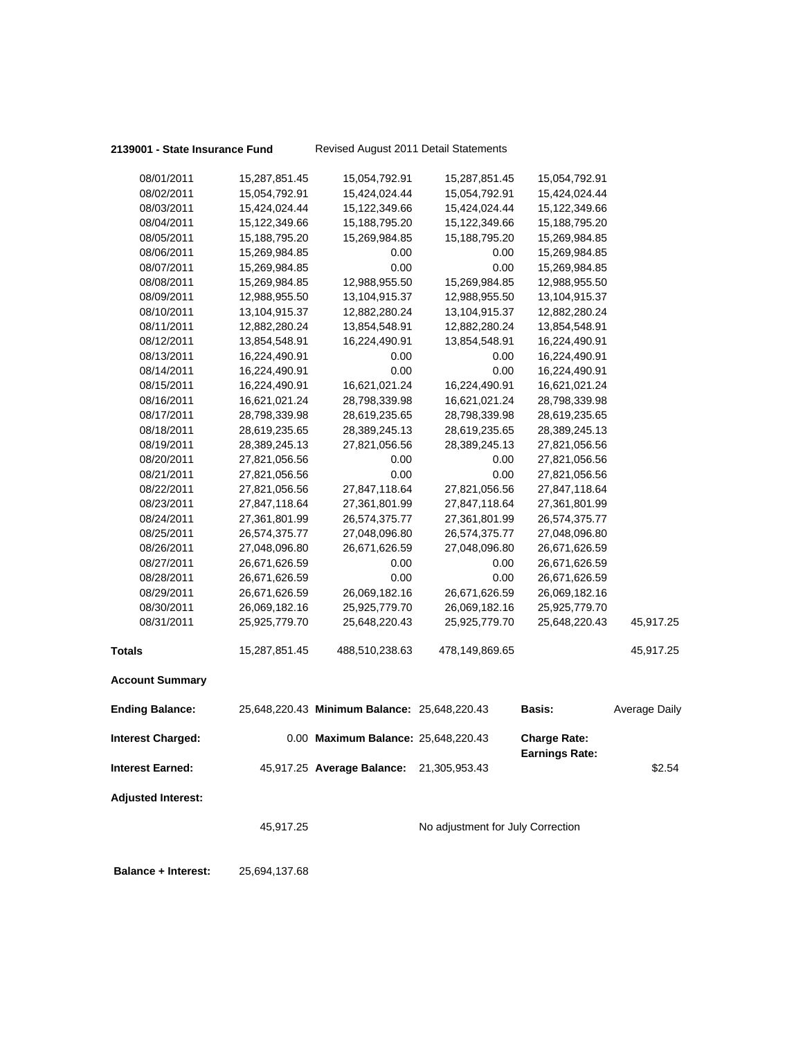### **2139001 - State Insurance Fund** Revised August 2011 Detail Statements

| 08/15/2011<br>08/16/2011<br>08/17/2011<br>08/18/2011<br>08/19/2011<br>08/20/2011<br>08/21/2011<br>08/22/2011<br>08/23/2011<br>08/24/2011<br>08/25/2011<br>08/26/2011<br>08/27/2011<br>08/28/2011<br>08/29/2011<br>08/30/2011<br>08/31/2011<br><b>Totals</b><br><b>Account Summary</b><br><b>Ending Balance:</b><br><b>Interest Charged:</b><br><b>Interest Earned:</b><br><b>Adjusted Interest:</b> | 16,621,021.24<br>28,798,339.98<br>28,619,235.65<br>28,389,245.13<br>27,821,056.56<br>27,821,056.56<br>27,821,056.56<br>27,847,118.64<br>27,361,801.99<br>26,574,375.77<br>27,048,096.80<br>26,671,626.59<br>26,671,626.59<br>26,671,626.59<br>26,069,182.16<br>25,925,779.70<br>15,287,851.45<br>45,917.25 | 28,619,235.65<br>28,389,245.13<br>27,821,056.56<br>0.00<br>0.00<br>27,847,118.64<br>27,361,801.99<br>26,574,375.77<br>27,048,096.80<br>26,671,626.59<br>0.00<br>0.00<br>26,069,182.16<br>25,925,779.70<br>25,648,220.43<br>488,510,238.63<br>25,648,220.43 Minimum Balance: 25,648,220.43<br>0.00 Maximum Balance: 25,648,220.43<br>45,917.25 Average Balance: 21,305,953.43 | 16,621,021.24<br>28,798,339.98<br>28,619,235.65<br>28,389,245.13<br>0.00<br>0.00<br>27,821,056.56<br>27,847,118.64<br>27,361,801.99<br>26,574,375.77<br>27,048,096.80<br>0.00<br>0.00<br>26,671,626.59<br>26,069,182.16<br>25,925,779.70<br>478,149,869.65<br>No adjustment for July Correction | 28,798,339.98<br>28,619,235.65<br>28,389,245.13<br>27,821,056.56<br>27,821,056.56<br>27,821,056.56<br>27,847,118.64<br>27,361,801.99<br>26,574,375.77<br>27,048,096.80<br>26,671,626.59<br>26,671,626.59<br>26,671,626.59<br>26,069,182.16<br>25,925,779.70<br>25,648,220.43<br><b>Basis:</b><br><b>Charge Rate:</b><br><b>Earnings Rate:</b> | 45,917.25<br>45,917.25<br>Average Daily<br>\$2.54                |
|-----------------------------------------------------------------------------------------------------------------------------------------------------------------------------------------------------------------------------------------------------------------------------------------------------------------------------------------------------------------------------------------------------|------------------------------------------------------------------------------------------------------------------------------------------------------------------------------------------------------------------------------------------------------------------------------------------------------------|------------------------------------------------------------------------------------------------------------------------------------------------------------------------------------------------------------------------------------------------------------------------------------------------------------------------------------------------------------------------------|-------------------------------------------------------------------------------------------------------------------------------------------------------------------------------------------------------------------------------------------------------------------------------------------------|-----------------------------------------------------------------------------------------------------------------------------------------------------------------------------------------------------------------------------------------------------------------------------------------------------------------------------------------------|------------------------------------------------------------------|
|                                                                                                                                                                                                                                                                                                                                                                                                     |                                                                                                                                                                                                                                                                                                            |                                                                                                                                                                                                                                                                                                                                                                              |                                                                                                                                                                                                                                                                                                 |                                                                                                                                                                                                                                                                                                                                               |                                                                  |
|                                                                                                                                                                                                                                                                                                                                                                                                     |                                                                                                                                                                                                                                                                                                            |                                                                                                                                                                                                                                                                                                                                                                              |                                                                                                                                                                                                                                                                                                 |                                                                                                                                                                                                                                                                                                                                               |                                                                  |
|                                                                                                                                                                                                                                                                                                                                                                                                     |                                                                                                                                                                                                                                                                                                            |                                                                                                                                                                                                                                                                                                                                                                              |                                                                                                                                                                                                                                                                                                 |                                                                                                                                                                                                                                                                                                                                               |                                                                  |
|                                                                                                                                                                                                                                                                                                                                                                                                     |                                                                                                                                                                                                                                                                                                            |                                                                                                                                                                                                                                                                                                                                                                              |                                                                                                                                                                                                                                                                                                 |                                                                                                                                                                                                                                                                                                                                               |                                                                  |
|                                                                                                                                                                                                                                                                                                                                                                                                     |                                                                                                                                                                                                                                                                                                            |                                                                                                                                                                                                                                                                                                                                                                              |                                                                                                                                                                                                                                                                                                 |                                                                                                                                                                                                                                                                                                                                               |                                                                  |
|                                                                                                                                                                                                                                                                                                                                                                                                     |                                                                                                                                                                                                                                                                                                            |                                                                                                                                                                                                                                                                                                                                                                              |                                                                                                                                                                                                                                                                                                 |                                                                                                                                                                                                                                                                                                                                               |                                                                  |
|                                                                                                                                                                                                                                                                                                                                                                                                     |                                                                                                                                                                                                                                                                                                            |                                                                                                                                                                                                                                                                                                                                                                              |                                                                                                                                                                                                                                                                                                 |                                                                                                                                                                                                                                                                                                                                               |                                                                  |
|                                                                                                                                                                                                                                                                                                                                                                                                     |                                                                                                                                                                                                                                                                                                            |                                                                                                                                                                                                                                                                                                                                                                              |                                                                                                                                                                                                                                                                                                 |                                                                                                                                                                                                                                                                                                                                               |                                                                  |
|                                                                                                                                                                                                                                                                                                                                                                                                     |                                                                                                                                                                                                                                                                                                            |                                                                                                                                                                                                                                                                                                                                                                              |                                                                                                                                                                                                                                                                                                 |                                                                                                                                                                                                                                                                                                                                               |                                                                  |
|                                                                                                                                                                                                                                                                                                                                                                                                     |                                                                                                                                                                                                                                                                                                            |                                                                                                                                                                                                                                                                                                                                                                              |                                                                                                                                                                                                                                                                                                 |                                                                                                                                                                                                                                                                                                                                               |                                                                  |
|                                                                                                                                                                                                                                                                                                                                                                                                     |                                                                                                                                                                                                                                                                                                            |                                                                                                                                                                                                                                                                                                                                                                              |                                                                                                                                                                                                                                                                                                 |                                                                                                                                                                                                                                                                                                                                               |                                                                  |
|                                                                                                                                                                                                                                                                                                                                                                                                     |                                                                                                                                                                                                                                                                                                            |                                                                                                                                                                                                                                                                                                                                                                              |                                                                                                                                                                                                                                                                                                 |                                                                                                                                                                                                                                                                                                                                               |                                                                  |
|                                                                                                                                                                                                                                                                                                                                                                                                     |                                                                                                                                                                                                                                                                                                            |                                                                                                                                                                                                                                                                                                                                                                              |                                                                                                                                                                                                                                                                                                 |                                                                                                                                                                                                                                                                                                                                               |                                                                  |
|                                                                                                                                                                                                                                                                                                                                                                                                     |                                                                                                                                                                                                                                                                                                            |                                                                                                                                                                                                                                                                                                                                                                              |                                                                                                                                                                                                                                                                                                 |                                                                                                                                                                                                                                                                                                                                               |                                                                  |
|                                                                                                                                                                                                                                                                                                                                                                                                     |                                                                                                                                                                                                                                                                                                            |                                                                                                                                                                                                                                                                                                                                                                              |                                                                                                                                                                                                                                                                                                 |                                                                                                                                                                                                                                                                                                                                               |                                                                  |
|                                                                                                                                                                                                                                                                                                                                                                                                     |                                                                                                                                                                                                                                                                                                            |                                                                                                                                                                                                                                                                                                                                                                              |                                                                                                                                                                                                                                                                                                 |                                                                                                                                                                                                                                                                                                                                               |                                                                  |
|                                                                                                                                                                                                                                                                                                                                                                                                     |                                                                                                                                                                                                                                                                                                            |                                                                                                                                                                                                                                                                                                                                                                              |                                                                                                                                                                                                                                                                                                 |                                                                                                                                                                                                                                                                                                                                               |                                                                  |
|                                                                                                                                                                                                                                                                                                                                                                                                     |                                                                                                                                                                                                                                                                                                            |                                                                                                                                                                                                                                                                                                                                                                              |                                                                                                                                                                                                                                                                                                 |                                                                                                                                                                                                                                                                                                                                               |                                                                  |
|                                                                                                                                                                                                                                                                                                                                                                                                     |                                                                                                                                                                                                                                                                                                            |                                                                                                                                                                                                                                                                                                                                                                              |                                                                                                                                                                                                                                                                                                 |                                                                                                                                                                                                                                                                                                                                               |                                                                  |
|                                                                                                                                                                                                                                                                                                                                                                                                     |                                                                                                                                                                                                                                                                                                            |                                                                                                                                                                                                                                                                                                                                                                              |                                                                                                                                                                                                                                                                                                 |                                                                                                                                                                                                                                                                                                                                               |                                                                  |
|                                                                                                                                                                                                                                                                                                                                                                                                     |                                                                                                                                                                                                                                                                                                            |                                                                                                                                                                                                                                                                                                                                                                              |                                                                                                                                                                                                                                                                                                 |                                                                                                                                                                                                                                                                                                                                               |                                                                  |
|                                                                                                                                                                                                                                                                                                                                                                                                     |                                                                                                                                                                                                                                                                                                            |                                                                                                                                                                                                                                                                                                                                                                              |                                                                                                                                                                                                                                                                                                 |                                                                                                                                                                                                                                                                                                                                               |                                                                  |
|                                                                                                                                                                                                                                                                                                                                                                                                     | 16,224,490.91                                                                                                                                                                                                                                                                                              | 16,621,021.24<br>28,798,339.98                                                                                                                                                                                                                                                                                                                                               | 16,224,490.91                                                                                                                                                                                                                                                                                   | 16,621,021.24                                                                                                                                                                                                                                                                                                                                 |                                                                  |
| 08/14/2011                                                                                                                                                                                                                                                                                                                                                                                          | 16,224,490.91                                                                                                                                                                                                                                                                                              | 0.00                                                                                                                                                                                                                                                                                                                                                                         | 0.00                                                                                                                                                                                                                                                                                            | 16,224,490.91                                                                                                                                                                                                                                                                                                                                 |                                                                  |
| 08/13/2011                                                                                                                                                                                                                                                                                                                                                                                          | 16,224,490.91                                                                                                                                                                                                                                                                                              | 0.00                                                                                                                                                                                                                                                                                                                                                                         | 0.00                                                                                                                                                                                                                                                                                            | 16,224,490.91                                                                                                                                                                                                                                                                                                                                 |                                                                  |
|                                                                                                                                                                                                                                                                                                                                                                                                     | 13,854,548.91                                                                                                                                                                                                                                                                                              |                                                                                                                                                                                                                                                                                                                                                                              |                                                                                                                                                                                                                                                                                                 | 16,224,490.91                                                                                                                                                                                                                                                                                                                                 |                                                                  |
|                                                                                                                                                                                                                                                                                                                                                                                                     |                                                                                                                                                                                                                                                                                                            |                                                                                                                                                                                                                                                                                                                                                                              |                                                                                                                                                                                                                                                                                                 |                                                                                                                                                                                                                                                                                                                                               |                                                                  |
|                                                                                                                                                                                                                                                                                                                                                                                                     |                                                                                                                                                                                                                                                                                                            |                                                                                                                                                                                                                                                                                                                                                                              |                                                                                                                                                                                                                                                                                                 |                                                                                                                                                                                                                                                                                                                                               |                                                                  |
|                                                                                                                                                                                                                                                                                                                                                                                                     |                                                                                                                                                                                                                                                                                                            |                                                                                                                                                                                                                                                                                                                                                                              |                                                                                                                                                                                                                                                                                                 |                                                                                                                                                                                                                                                                                                                                               |                                                                  |
|                                                                                                                                                                                                                                                                                                                                                                                                     |                                                                                                                                                                                                                                                                                                            |                                                                                                                                                                                                                                                                                                                                                                              |                                                                                                                                                                                                                                                                                                 |                                                                                                                                                                                                                                                                                                                                               |                                                                  |
| 08/07/2011                                                                                                                                                                                                                                                                                                                                                                                          | 15,269,984.85                                                                                                                                                                                                                                                                                              | 0.00                                                                                                                                                                                                                                                                                                                                                                         | 0.00                                                                                                                                                                                                                                                                                            | 15,269,984.85                                                                                                                                                                                                                                                                                                                                 |                                                                  |
| 08/06/2011                                                                                                                                                                                                                                                                                                                                                                                          | 15,269,984.85                                                                                                                                                                                                                                                                                              | 0.00                                                                                                                                                                                                                                                                                                                                                                         | 0.00                                                                                                                                                                                                                                                                                            | 15,269,984.85                                                                                                                                                                                                                                                                                                                                 |                                                                  |
| 08/05/2011                                                                                                                                                                                                                                                                                                                                                                                          | 15,188,795.20                                                                                                                                                                                                                                                                                              | 15,269,984.85                                                                                                                                                                                                                                                                                                                                                                | 15,188,795.20                                                                                                                                                                                                                                                                                   | 15,269,984.85                                                                                                                                                                                                                                                                                                                                 |                                                                  |
| 08/04/2011                                                                                                                                                                                                                                                                                                                                                                                          | 15,122,349.66                                                                                                                                                                                                                                                                                              | 15,188,795.20                                                                                                                                                                                                                                                                                                                                                                | 15,122,349.66                                                                                                                                                                                                                                                                                   | 15,188,795.20                                                                                                                                                                                                                                                                                                                                 |                                                                  |
| 08/03/2011                                                                                                                                                                                                                                                                                                                                                                                          | 15,424,024.44                                                                                                                                                                                                                                                                                              | 15,122,349.66                                                                                                                                                                                                                                                                                                                                                                | 15,424,024.44                                                                                                                                                                                                                                                                                   | 15,122,349.66                                                                                                                                                                                                                                                                                                                                 |                                                                  |
| 08/02/2011                                                                                                                                                                                                                                                                                                                                                                                          | 15,054,792.91                                                                                                                                                                                                                                                                                              | 15,424,024.44                                                                                                                                                                                                                                                                                                                                                                | 15,054,792.91                                                                                                                                                                                                                                                                                   | 15,424,024.44                                                                                                                                                                                                                                                                                                                                 |                                                                  |
| 08/01/2011                                                                                                                                                                                                                                                                                                                                                                                          | 15,287,851.45                                                                                                                                                                                                                                                                                              | 15,054,792.91                                                                                                                                                                                                                                                                                                                                                                |                                                                                                                                                                                                                                                                                                 | 15,054,792.91                                                                                                                                                                                                                                                                                                                                 |                                                                  |
|                                                                                                                                                                                                                                                                                                                                                                                                     | 08/08/2011<br>08/09/2011<br>08/10/2011<br>08/11/2011<br>08/12/2011                                                                                                                                                                                                                                         | 15,269,984.85<br>12,988,955.50<br>13,104,915.37<br>12,882,280.24                                                                                                                                                                                                                                                                                                             | 12,988,955.50<br>13,104,915.37<br>12,882,280.24<br>13,854,548.91<br>16,224,490.91                                                                                                                                                                                                               | 15,287,851.45<br>15,269,984.85<br>12,988,955.50<br>13,104,915.37<br>12,882,280.24<br>13,854,548.91                                                                                                                                                                                                                                            | 12,988,955.50<br>13,104,915.37<br>12,882,280.24<br>13,854,548.91 |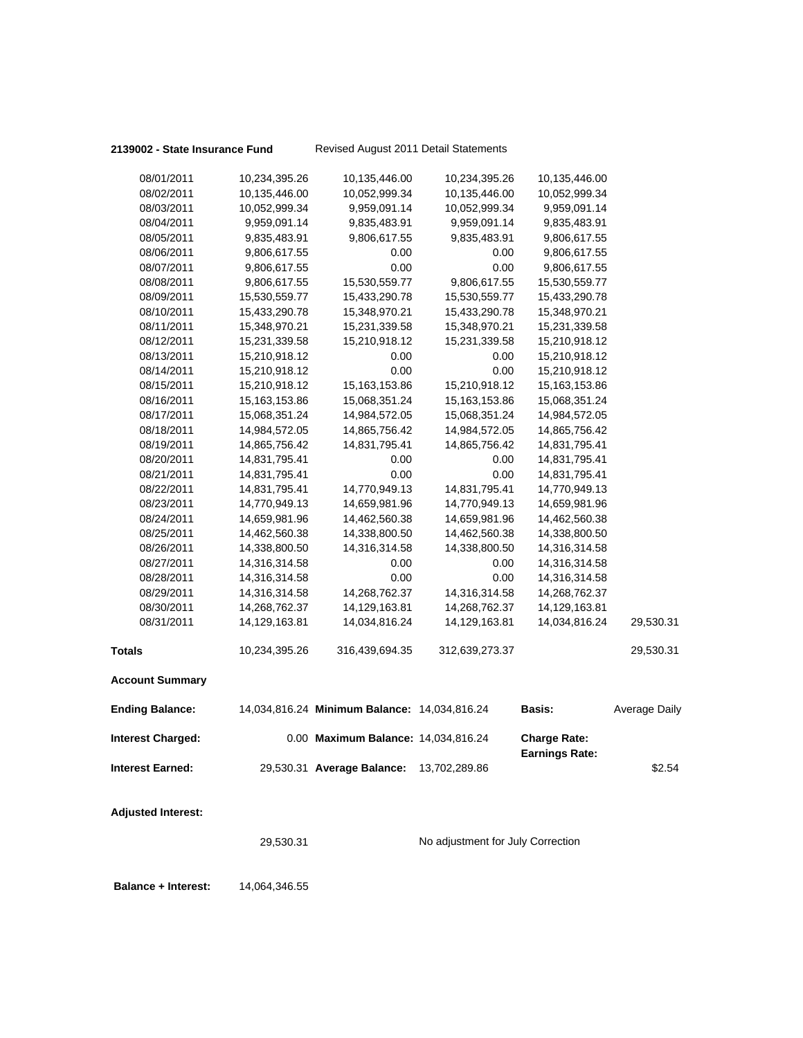## **2139002 - State Insurance Fund** Revised August 2011 Detail Statements

| 08/01/2011                | 10,234,395.26   | 10,135,446.00                                | 10,234,395.26  | 10,135,446.00                                |               |
|---------------------------|-----------------|----------------------------------------------|----------------|----------------------------------------------|---------------|
| 08/02/2011                | 10,135,446.00   | 10,052,999.34                                | 10,135,446.00  | 10,052,999.34                                |               |
| 08/03/2011                | 10,052,999.34   | 9,959,091.14                                 | 10,052,999.34  | 9,959,091.14                                 |               |
| 08/04/2011                | 9,959,091.14    | 9,835,483.91                                 | 9,959,091.14   | 9,835,483.91                                 |               |
| 08/05/2011                | 9,835,483.91    | 9,806,617.55                                 | 9,835,483.91   | 9,806,617.55                                 |               |
| 08/06/2011                | 9,806,617.55    | 0.00                                         | 0.00           | 9,806,617.55                                 |               |
| 08/07/2011                | 9,806,617.55    | 0.00                                         | 0.00           | 9,806,617.55                                 |               |
| 08/08/2011                | 9,806,617.55    | 15,530,559.77                                | 9,806,617.55   | 15,530,559.77                                |               |
| 08/09/2011                | 15,530,559.77   | 15,433,290.78                                | 15,530,559.77  | 15,433,290.78                                |               |
| 08/10/2011                | 15,433,290.78   | 15,348,970.21                                | 15,433,290.78  | 15,348,970.21                                |               |
| 08/11/2011                | 15,348,970.21   | 15,231,339.58                                | 15,348,970.21  | 15,231,339.58                                |               |
| 08/12/2011                | 15,231,339.58   | 15,210,918.12                                | 15,231,339.58  | 15,210,918.12                                |               |
| 08/13/2011                | 15,210,918.12   | 0.00                                         | 0.00           | 15,210,918.12                                |               |
| 08/14/2011                | 15,210,918.12   | 0.00                                         | 0.00           | 15,210,918.12                                |               |
| 08/15/2011                | 15,210,918.12   | 15, 163, 153.86                              | 15,210,918.12  | 15, 163, 153.86                              |               |
| 08/16/2011                | 15, 163, 153.86 | 15,068,351.24                                | 15,163,153.86  | 15,068,351.24                                |               |
| 08/17/2011                | 15,068,351.24   | 14,984,572.05                                | 15,068,351.24  | 14,984,572.05                                |               |
| 08/18/2011                | 14,984,572.05   | 14,865,756.42                                | 14,984,572.05  | 14,865,756.42                                |               |
| 08/19/2011                | 14,865,756.42   | 14,831,795.41                                | 14,865,756.42  | 14,831,795.41                                |               |
| 08/20/2011                | 14,831,795.41   | 0.00                                         | 0.00           | 14,831,795.41                                |               |
| 08/21/2011                | 14,831,795.41   | 0.00                                         | 0.00           | 14,831,795.41                                |               |
| 08/22/2011                | 14,831,795.41   | 14,770,949.13                                | 14,831,795.41  | 14,770,949.13                                |               |
| 08/23/2011                | 14,770,949.13   | 14,659,981.96                                | 14,770,949.13  | 14,659,981.96                                |               |
| 08/24/2011                | 14,659,981.96   | 14,462,560.38                                | 14,659,981.96  | 14,462,560.38                                |               |
| 08/25/2011                | 14,462,560.38   | 14,338,800.50                                | 14,462,560.38  | 14,338,800.50                                |               |
| 08/26/2011                | 14,338,800.50   | 14,316,314.58                                | 14,338,800.50  | 14,316,314.58                                |               |
| 08/27/2011                | 14,316,314.58   | 0.00                                         | 0.00           | 14,316,314.58                                |               |
| 08/28/2011                | 14,316,314.58   | 0.00                                         | 0.00           | 14,316,314.58                                |               |
| 08/29/2011                | 14,316,314.58   | 14,268,762.37                                | 14,316,314.58  | 14,268,762.37                                |               |
| 08/30/2011                | 14,268,762.37   | 14,129,163.81                                | 14,268,762.37  | 14,129,163.81                                |               |
| 08/31/2011                | 14,129,163.81   | 14,034,816.24                                | 14,129,163.81  | 14,034,816.24                                | 29,530.31     |
| <b>Totals</b>             | 10,234,395.26   | 316,439,694.35                               | 312,639,273.37 |                                              | 29,530.31     |
| <b>Account Summary</b>    |                 |                                              |                |                                              |               |
| <b>Ending Balance:</b>    |                 | 14,034,816.24 Minimum Balance: 14,034,816.24 |                | <b>Basis:</b>                                | Average Daily |
| <b>Interest Charged:</b>  |                 | 0.00 Maximum Balance: 14,034,816.24          |                | <b>Charge Rate:</b><br><b>Earnings Rate:</b> |               |
| <b>Interest Earned:</b>   |                 | 29,530.31 Average Balance:                   | 13,702,289.86  |                                              | \$2.54        |
| <b>Adjusted Interest:</b> |                 |                                              |                |                                              |               |

29,530.31 No adjustment for July Correction

 **Balance + Interest:** 14,064,346.55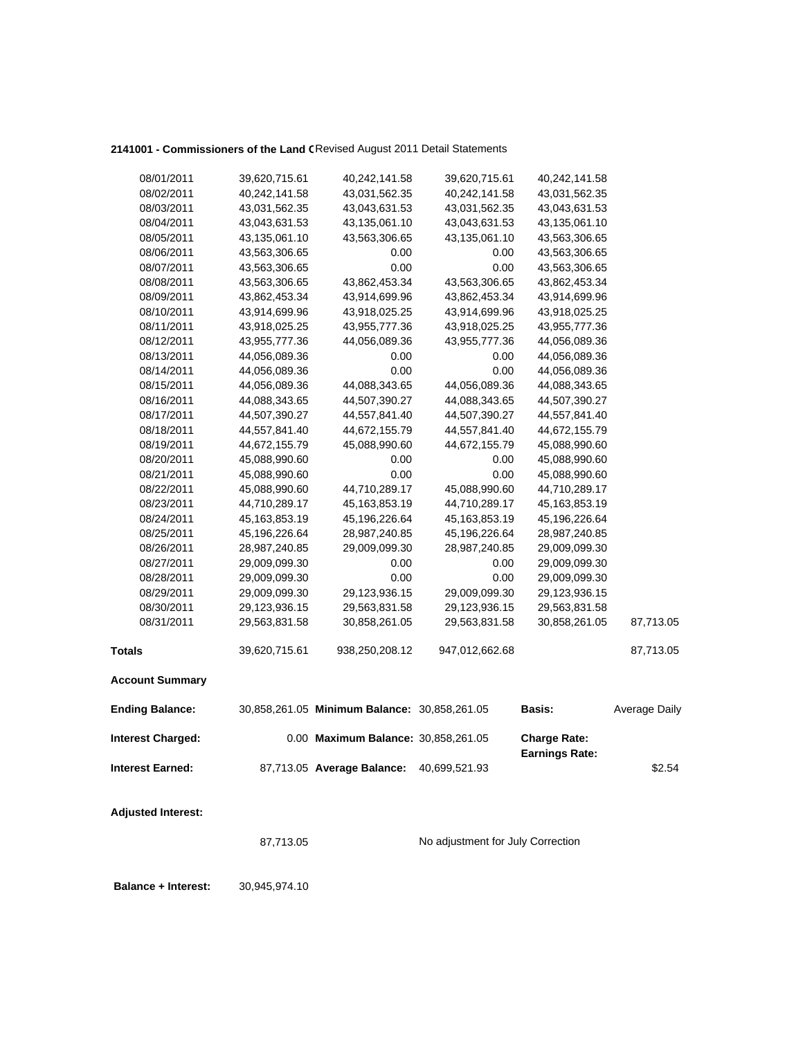## 2141001 - Commissioners of the Land CRevised August 2011 Detail Statements

| 08/01/2011                | 39,620,715.61    | 40,242,141.58                                | 39,620,715.61                     | 40,242,141.58                                |               |
|---------------------------|------------------|----------------------------------------------|-----------------------------------|----------------------------------------------|---------------|
| 08/02/2011                | 40,242,141.58    | 43,031,562.35                                | 40,242,141.58                     | 43,031,562.35                                |               |
| 08/03/2011                | 43,031,562.35    | 43,043,631.53                                | 43,031,562.35                     | 43,043,631.53                                |               |
| 08/04/2011                | 43,043,631.53    | 43,135,061.10                                | 43,043,631.53                     | 43,135,061.10                                |               |
| 08/05/2011                | 43,135,061.10    | 43,563,306.65                                | 43,135,061.10                     | 43,563,306.65                                |               |
| 08/06/2011                | 43,563,306.65    | 0.00                                         | 0.00                              | 43,563,306.65                                |               |
| 08/07/2011                | 43,563,306.65    | 0.00                                         | 0.00                              | 43,563,306.65                                |               |
| 08/08/2011                | 43,563,306.65    | 43,862,453.34                                | 43,563,306.65                     | 43,862,453.34                                |               |
| 08/09/2011                | 43,862,453.34    | 43,914,699.96                                | 43,862,453.34                     | 43,914,699.96                                |               |
| 08/10/2011                | 43,914,699.96    | 43,918,025.25                                | 43,914,699.96                     | 43,918,025.25                                |               |
| 08/11/2011                | 43,918,025.25    | 43,955,777.36                                | 43,918,025.25                     | 43,955,777.36                                |               |
| 08/12/2011                | 43,955,777.36    | 44,056,089.36                                | 43,955,777.36                     | 44,056,089.36                                |               |
| 08/13/2011                | 44,056,089.36    | 0.00                                         | 0.00                              | 44,056,089.36                                |               |
| 08/14/2011                | 44,056,089.36    | 0.00                                         | 0.00                              | 44,056,089.36                                |               |
| 08/15/2011                | 44,056,089.36    | 44,088,343.65                                | 44,056,089.36                     | 44,088,343.65                                |               |
| 08/16/2011                | 44,088,343.65    | 44,507,390.27                                | 44,088,343.65                     | 44,507,390.27                                |               |
| 08/17/2011                | 44,507,390.27    | 44,557,841.40                                | 44,507,390.27                     | 44,557,841.40                                |               |
| 08/18/2011                | 44,557,841.40    | 44,672,155.79                                | 44,557,841.40                     | 44,672,155.79                                |               |
| 08/19/2011                | 44,672,155.79    | 45,088,990.60                                | 44,672,155.79                     | 45,088,990.60                                |               |
| 08/20/2011                | 45,088,990.60    | 0.00                                         | 0.00                              | 45,088,990.60                                |               |
| 08/21/2011                | 45,088,990.60    | 0.00                                         | 0.00                              | 45,088,990.60                                |               |
| 08/22/2011                | 45,088,990.60    | 44,710,289.17                                | 45,088,990.60                     | 44,710,289.17                                |               |
| 08/23/2011                | 44,710,289.17    | 45, 163, 853. 19                             | 44,710,289.17                     | 45, 163, 853. 19                             |               |
| 08/24/2011                | 45, 163, 853. 19 | 45,196,226.64                                | 45,163,853.19                     | 45,196,226.64                                |               |
| 08/25/2011                | 45,196,226.64    | 28,987,240.85                                | 45,196,226.64                     | 28,987,240.85                                |               |
| 08/26/2011                | 28,987,240.85    | 29,009,099.30                                | 28,987,240.85                     | 29,009,099.30                                |               |
| 08/27/2011                | 29,009,099.30    | 0.00                                         | 0.00                              | 29,009,099.30                                |               |
| 08/28/2011                | 29,009,099.30    | 0.00                                         | 0.00                              | 29,009,099.30                                |               |
| 08/29/2011                | 29,009,099.30    | 29,123,936.15                                | 29,009,099.30                     | 29,123,936.15                                |               |
| 08/30/2011                | 29,123,936.15    | 29,563,831.58                                | 29,123,936.15                     | 29,563,831.58                                |               |
| 08/31/2011                | 29,563,831.58    | 30,858,261.05                                | 29,563,831.58                     | 30,858,261.05                                | 87,713.05     |
| <b>Totals</b>             | 39,620,715.61    | 938,250,208.12                               | 947,012,662.68                    |                                              | 87,713.05     |
| <b>Account Summary</b>    |                  |                                              |                                   |                                              |               |
| <b>Ending Balance:</b>    |                  | 30,858,261.05 Minimum Balance: 30,858,261.05 |                                   | <b>Basis:</b>                                | Average Daily |
| <b>Interest Charged:</b>  |                  | 0.00 Maximum Balance: 30,858,261.05          |                                   | <b>Charge Rate:</b><br><b>Earnings Rate:</b> |               |
| <b>Interest Earned:</b>   |                  | 87,713.05 Average Balance:                   | 40,699,521.93                     |                                              | \$2.54        |
| <b>Adjusted Interest:</b> |                  |                                              |                                   |                                              |               |
|                           | 87,713.05        |                                              | No adjustment for July Correction |                                              |               |

**Balance + Interest:** 30,945,974.10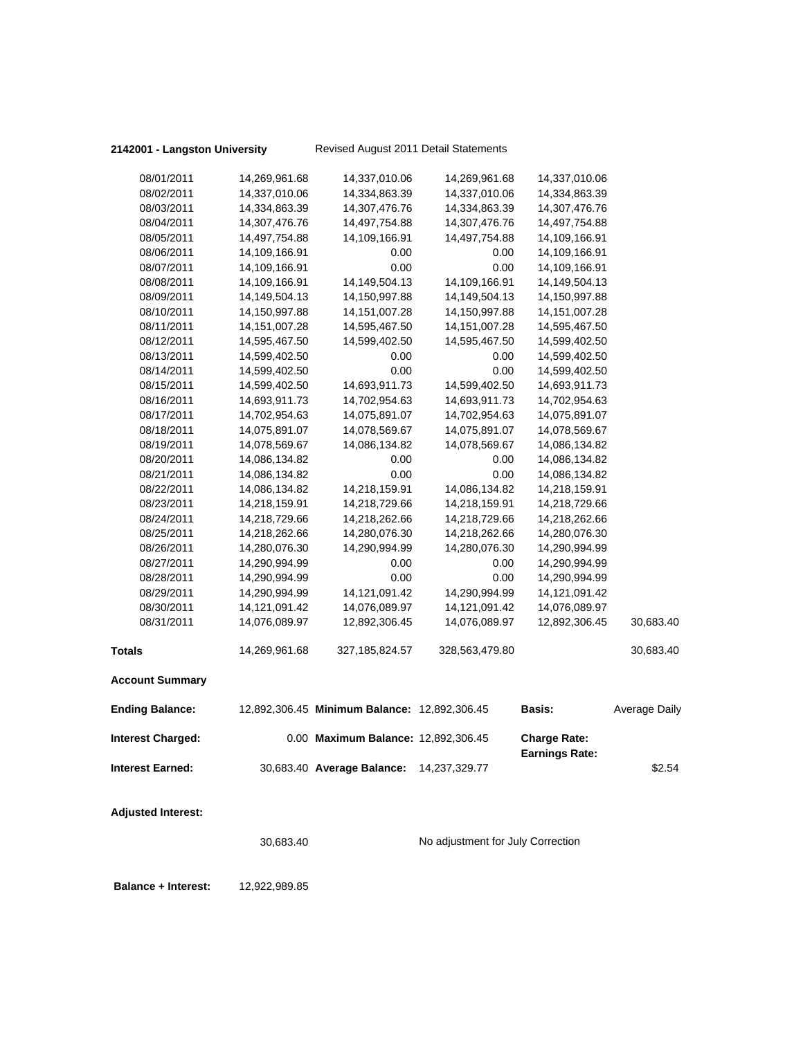## **2142001 - Langston University** Revised August 2011 Detail Statements

| <b>Adjusted Interest:</b> |                  |                                              |                  |                                              |               |
|---------------------------|------------------|----------------------------------------------|------------------|----------------------------------------------|---------------|
| <b>Interest Earned:</b>   |                  | 30,683.40 Average Balance:                   | 14,237,329.77    |                                              | \$2.54        |
| <b>Interest Charged:</b>  |                  | 0.00 Maximum Balance: 12,892,306.45          |                  | <b>Charge Rate:</b><br><b>Earnings Rate:</b> |               |
| <b>Ending Balance:</b>    |                  | 12,892,306.45 Minimum Balance: 12,892,306.45 |                  | <b>Basis:</b>                                | Average Daily |
| <b>Account Summary</b>    |                  |                                              |                  |                                              |               |
| <b>Totals</b>             | 14,269,961.68    | 327, 185, 824.57                             | 328,563,479.80   |                                              | 30,683.40     |
| 08/31/2011                | 14,076,089.97    | 12,892,306.45                                | 14,076,089.97    | 12,892,306.45                                | 30,683.40     |
| 08/30/2011                | 14, 121, 091. 42 | 14,076,089.97                                | 14,121,091.42    | 14,076,089.97                                |               |
| 08/29/2011                | 14,290,994.99    | 14,121,091.42                                | 14,290,994.99    | 14, 121, 091. 42                             |               |
| 08/28/2011                | 14,290,994.99    | 0.00                                         | 0.00             | 14,290,994.99                                |               |
| 08/27/2011                | 14,290,994.99    | 0.00                                         | 0.00             | 14,290,994.99                                |               |
| 08/26/2011                | 14,280,076.30    | 14,290,994.99                                | 14,280,076.30    | 14,290,994.99                                |               |
| 08/25/2011                | 14,218,262.66    | 14,280,076.30                                | 14,218,262.66    | 14,280,076.30                                |               |
| 08/24/2011                | 14,218,729.66    | 14,218,262.66                                | 14,218,729.66    | 14,218,262.66                                |               |
| 08/23/2011                | 14,218,159.91    | 14,218,729.66                                | 14,218,159.91    | 14,218,729.66                                |               |
| 08/22/2011                | 14,086,134.82    | 14,218,159.91                                | 14,086,134.82    | 14,218,159.91                                |               |
| 08/21/2011                | 14,086,134.82    | 0.00                                         | 0.00             | 14,086,134.82                                |               |
| 08/20/2011                | 14,086,134.82    | 0.00                                         | 0.00             | 14,086,134.82                                |               |
| 08/19/2011                | 14,078,569.67    | 14,086,134.82                                | 14,078,569.67    | 14,086,134.82                                |               |
| 08/18/2011                | 14,075,891.07    | 14,078,569.67                                | 14,075,891.07    | 14,078,569.67                                |               |
| 08/17/2011                | 14,702,954.63    | 14,075,891.07                                | 14,702,954.63    | 14,075,891.07                                |               |
| 08/16/2011                | 14,693,911.73    | 14,702,954.63                                | 14,693,911.73    | 14,702,954.63                                |               |
| 08/15/2011                | 14,599,402.50    | 14,693,911.73                                | 14,599,402.50    | 14,693,911.73                                |               |
| 08/14/2011                | 14,599,402.50    | 0.00                                         | 0.00             | 14,599,402.50                                |               |
| 08/13/2011                | 14,599,402.50    | 0.00                                         | 0.00             | 14,599,402.50                                |               |
| 08/12/2011                | 14,595,467.50    | 14,599,402.50                                | 14,595,467.50    | 14,599,402.50                                |               |
| 08/11/2011                | 14, 151, 007. 28 | 14,595,467.50                                | 14, 151, 007. 28 | 14,595,467.50                                |               |
| 08/10/2011                | 14,150,997.88    | 14, 151, 007. 28                             | 14,150,997.88    | 14, 151, 007. 28                             |               |
| 08/09/2011                | 14, 149, 504. 13 | 14,150,997.88                                | 14,149,504.13    | 14,150,997.88                                |               |
| 08/08/2011                | 14,109,166.91    | 14,149,504.13                                | 14,109,166.91    | 14,149,504.13                                |               |
| 08/07/2011                | 14,109,166.91    | 0.00                                         | 0.00             | 14,109,166.91                                |               |
| 08/06/2011                | 14,109,166.91    | 0.00                                         | 0.00             | 14,109,166.91                                |               |
| 08/05/2011                | 14,497,754.88    | 14,109,166.91                                | 14,497,754.88    | 14,109,166.91                                |               |
| 08/04/2011                | 14,307,476.76    | 14,497,754.88                                | 14,307,476.76    | 14,497,754.88                                |               |
| 08/03/2011                | 14,334,863.39    | 14,307,476.76                                | 14,334,863.39    | 14,307,476.76                                |               |
| 08/02/2011                | 14,337,010.06    | 14,334,863.39                                | 14,337,010.06    | 14,334,863.39                                |               |
| 08/01/2011                | 14,269,961.68    | 14,337,010.06                                | 14,269,961.68    | 14,337,010.06                                |               |

30,683.40 No adjustment for July Correction

 **Balance + Interest:** 12,922,989.85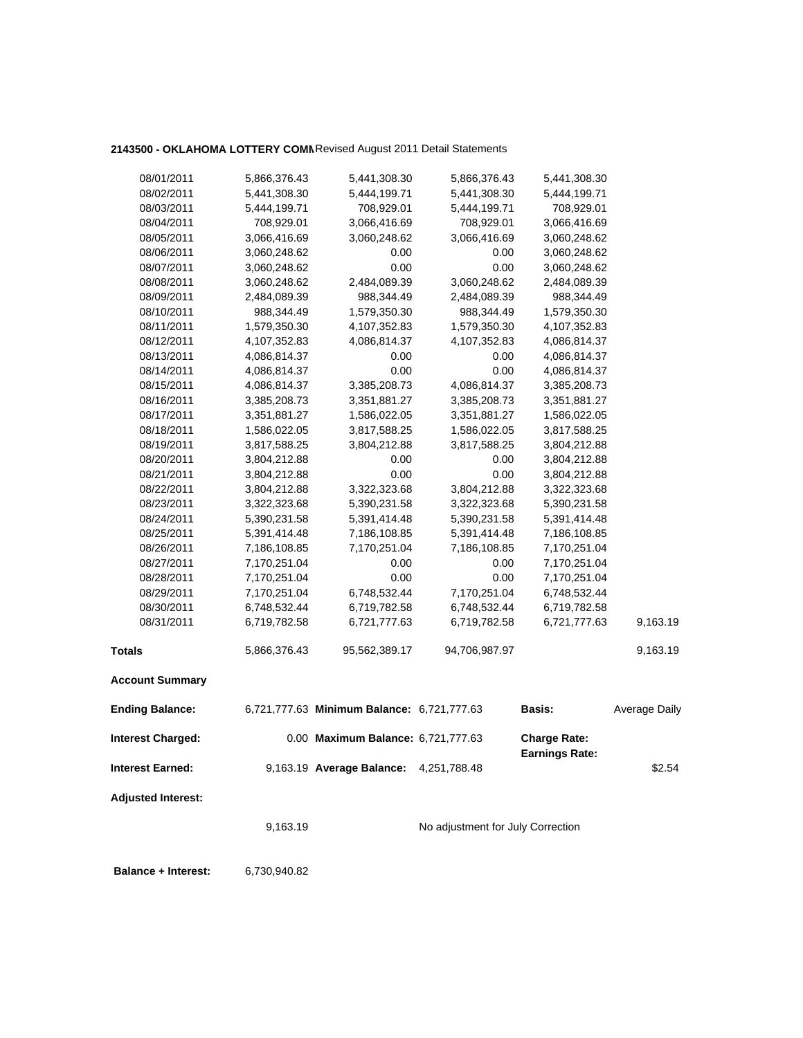## **2143500 - OKLAHOMA LOTTERY COMM**Revised August 2011 Detail Statements

| 08/01/2011                 | 5,866,376.43 | 5,441,308.30                               | 5,866,376.43                      | 5,441,308.30          |                      |
|----------------------------|--------------|--------------------------------------------|-----------------------------------|-----------------------|----------------------|
| 08/02/2011                 | 5,441,308.30 | 5,444,199.71                               | 5,441,308.30                      | 5,444,199.71          |                      |
| 08/03/2011                 | 5,444,199.71 | 708,929.01                                 | 5,444,199.71                      | 708,929.01            |                      |
| 08/04/2011                 | 708,929.01   | 3,066,416.69                               | 708,929.01                        | 3,066,416.69          |                      |
| 08/05/2011                 | 3,066,416.69 | 3,060,248.62                               | 3,066,416.69                      | 3,060,248.62          |                      |
| 08/06/2011                 | 3,060,248.62 | 0.00                                       | 0.00                              | 3,060,248.62          |                      |
| 08/07/2011                 | 3,060,248.62 | 0.00                                       | 0.00                              | 3,060,248.62          |                      |
| 08/08/2011                 | 3,060,248.62 | 2,484,089.39                               | 3,060,248.62                      | 2,484,089.39          |                      |
| 08/09/2011                 | 2,484,089.39 | 988,344.49                                 | 2,484,089.39                      | 988,344.49            |                      |
| 08/10/2011                 | 988,344.49   | 1,579,350.30                               | 988,344.49                        | 1,579,350.30          |                      |
| 08/11/2011                 | 1,579,350.30 | 4,107,352.83                               | 1,579,350.30                      | 4,107,352.83          |                      |
| 08/12/2011                 | 4,107,352.83 | 4,086,814.37                               | 4,107,352.83                      | 4,086,814.37          |                      |
| 08/13/2011                 | 4,086,814.37 | 0.00                                       | 0.00                              | 4,086,814.37          |                      |
| 08/14/2011                 | 4,086,814.37 | 0.00                                       | 0.00                              | 4,086,814.37          |                      |
| 08/15/2011                 | 4,086,814.37 | 3,385,208.73                               | 4,086,814.37                      | 3,385,208.73          |                      |
| 08/16/2011                 | 3,385,208.73 | 3,351,881.27                               | 3,385,208.73                      |                       |                      |
|                            |              |                                            |                                   | 3,351,881.27          |                      |
| 08/17/2011                 | 3,351,881.27 | 1,586,022.05                               | 3,351,881.27                      | 1,586,022.05          |                      |
| 08/18/2011<br>08/19/2011   | 1,586,022.05 | 3,817,588.25                               | 1,586,022.05                      | 3,817,588.25          |                      |
|                            | 3,817,588.25 | 3,804,212.88                               | 3,817,588.25                      | 3,804,212.88          |                      |
| 08/20/2011                 | 3,804,212.88 | 0.00                                       | 0.00                              | 3,804,212.88          |                      |
| 08/21/2011                 | 3,804,212.88 | 0.00                                       | 0.00                              | 3,804,212.88          |                      |
| 08/22/2011                 | 3,804,212.88 | 3,322,323.68                               | 3,804,212.88                      | 3,322,323.68          |                      |
| 08/23/2011                 | 3,322,323.68 | 5,390,231.58                               | 3,322,323.68                      | 5,390,231.58          |                      |
| 08/24/2011                 | 5,390,231.58 | 5,391,414.48                               | 5,390,231.58                      | 5,391,414.48          |                      |
| 08/25/2011                 | 5,391,414.48 | 7,186,108.85                               | 5,391,414.48                      | 7,186,108.85          |                      |
| 08/26/2011                 | 7,186,108.85 | 7,170,251.04                               | 7,186,108.85                      | 7,170,251.04          |                      |
| 08/27/2011                 | 7,170,251.04 | 0.00                                       | 0.00                              | 7,170,251.04          |                      |
| 08/28/2011                 | 7,170,251.04 | 0.00                                       | 0.00                              | 7,170,251.04          |                      |
| 08/29/2011                 | 7,170,251.04 | 6,748,532.44                               | 7,170,251.04                      | 6,748,532.44          |                      |
| 08/30/2011                 | 6,748,532.44 | 6,719,782.58                               | 6,748,532.44                      | 6,719,782.58          |                      |
| 08/31/2011                 | 6,719,782.58 | 6,721,777.63                               | 6,719,782.58                      | 6,721,777.63          | 9,163.19             |
| <b>Totals</b>              | 5,866,376.43 | 95,562,389.17                              | 94,706,987.97                     |                       | 9,163.19             |
| <b>Account Summary</b>     |              |                                            |                                   |                       |                      |
| <b>Ending Balance:</b>     |              | 6,721,777.63 Minimum Balance: 6,721,777.63 |                                   | <b>Basis:</b>         | <b>Average Daily</b> |
| Interest Charged:          |              | 0.00 Maximum Balance: 6,721,777.63         |                                   | <b>Charge Rate:</b>   |                      |
|                            |              |                                            |                                   | <b>Earnings Rate:</b> |                      |
| <b>Interest Earned:</b>    |              | 9,163.19 Average Balance: 4,251,788.48     |                                   |                       | \$2.54               |
| <b>Adjusted Interest:</b>  |              |                                            |                                   |                       |                      |
|                            | 9,163.19     |                                            | No adjustment for July Correction |                       |                      |
|                            |              |                                            |                                   |                       |                      |
| <b>Balance + Interest:</b> | 6,730,940.82 |                                            |                                   |                       |                      |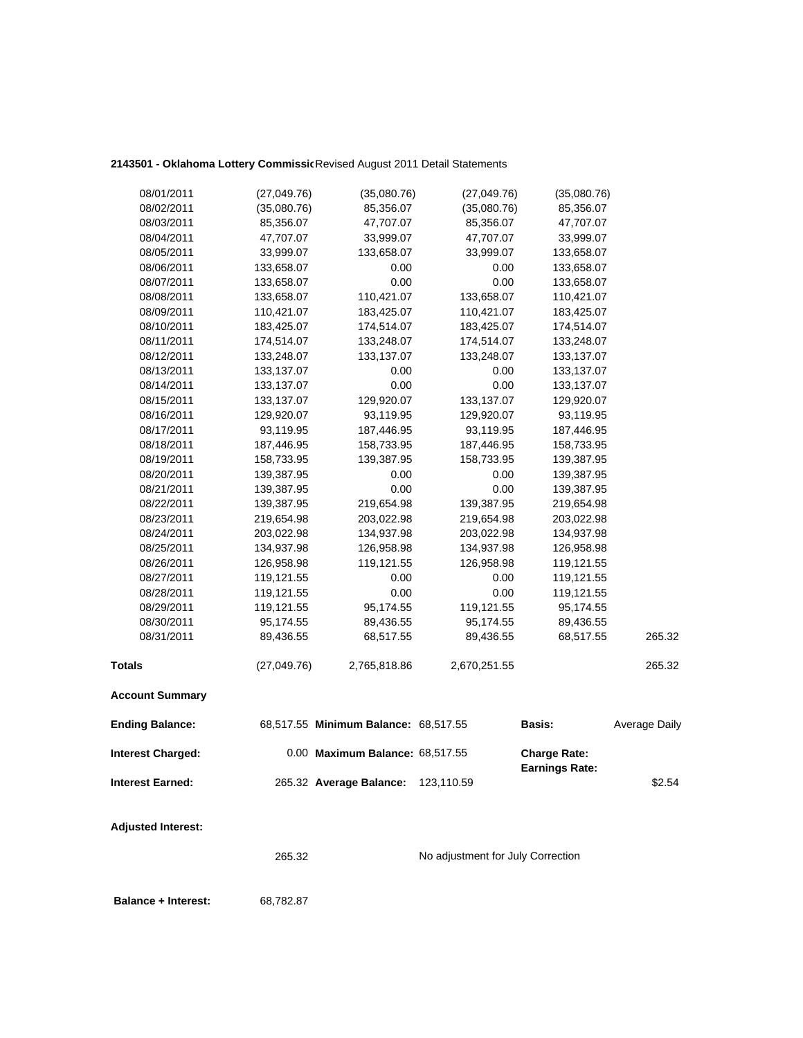## 2143501 - Oklahoma Lottery Commissic Revised August 2011 Detail Statements

| 08/01/2011                 | (27,049.76) | (35,080.76)                          | (27, 049.76)                      | (35,080.76)                                  |               |
|----------------------------|-------------|--------------------------------------|-----------------------------------|----------------------------------------------|---------------|
| 08/02/2011                 | (35,080.76) | 85,356.07                            | (35,080.76)                       | 85,356.07                                    |               |
| 08/03/2011                 | 85,356.07   | 47,707.07                            | 85,356.07                         | 47,707.07                                    |               |
| 08/04/2011                 | 47,707.07   | 33,999.07                            | 47,707.07                         | 33,999.07                                    |               |
| 08/05/2011                 | 33,999.07   | 133,658.07                           | 33,999.07                         | 133,658.07                                   |               |
| 08/06/2011                 | 133,658.07  | 0.00                                 | 0.00                              | 133,658.07                                   |               |
| 08/07/2011                 | 133,658.07  | 0.00                                 | 0.00                              | 133,658.07                                   |               |
| 08/08/2011                 | 133,658.07  | 110,421.07                           | 133,658.07                        | 110,421.07                                   |               |
| 08/09/2011                 | 110,421.07  | 183,425.07                           | 110,421.07                        | 183,425.07                                   |               |
| 08/10/2011                 | 183,425.07  | 174,514.07                           | 183,425.07                        | 174,514.07                                   |               |
| 08/11/2011                 | 174,514.07  | 133,248.07                           | 174,514.07                        | 133,248.07                                   |               |
| 08/12/2011                 | 133,248.07  | 133,137.07                           | 133,248.07                        | 133,137.07                                   |               |
| 08/13/2011                 | 133,137.07  | 0.00                                 | 0.00                              | 133,137.07                                   |               |
| 08/14/2011                 | 133,137.07  | 0.00                                 | 0.00                              | 133,137.07                                   |               |
| 08/15/2011                 | 133,137.07  | 129,920.07                           | 133,137.07                        | 129,920.07                                   |               |
| 08/16/2011                 | 129,920.07  | 93,119.95                            | 129,920.07                        | 93,119.95                                    |               |
| 08/17/2011                 | 93,119.95   | 187,446.95                           | 93,119.95                         | 187,446.95                                   |               |
| 08/18/2011                 | 187,446.95  | 158,733.95                           | 187,446.95                        | 158,733.95                                   |               |
| 08/19/2011                 | 158,733.95  | 139,387.95                           | 158,733.95                        | 139,387.95                                   |               |
| 08/20/2011                 | 139,387.95  | 0.00                                 | 0.00                              | 139,387.95                                   |               |
| 08/21/2011                 | 139,387.95  | 0.00                                 | 0.00                              | 139,387.95                                   |               |
| 08/22/2011                 | 139,387.95  | 219,654.98                           | 139,387.95                        | 219,654.98                                   |               |
| 08/23/2011                 | 219,654.98  | 203,022.98                           | 219,654.98                        | 203,022.98                                   |               |
| 08/24/2011                 | 203,022.98  | 134,937.98                           | 203,022.98                        | 134,937.98                                   |               |
| 08/25/2011                 | 134,937.98  | 126,958.98                           | 134,937.98                        | 126,958.98                                   |               |
| 08/26/2011                 | 126,958.98  | 119,121.55                           | 126,958.98                        | 119,121.55                                   |               |
| 08/27/2011                 | 119,121.55  | 0.00                                 | 0.00                              | 119,121.55                                   |               |
| 08/28/2011                 | 119,121.55  | 0.00                                 | 0.00                              | 119,121.55                                   |               |
| 08/29/2011                 | 119,121.55  | 95,174.55                            | 119,121.55                        | 95,174.55                                    |               |
| 08/30/2011                 | 95,174.55   | 89,436.55                            | 95,174.55                         | 89,436.55                                    |               |
| 08/31/2011                 | 89,436.55   | 68,517.55                            | 89,436.55                         | 68,517.55                                    | 265.32        |
| <b>Totals</b>              | (27,049.76) | 2,765,818.86                         | 2,670,251.55                      |                                              | 265.32        |
| <b>Account Summary</b>     |             |                                      |                                   |                                              |               |
| <b>Ending Balance:</b>     |             | 68,517.55 Minimum Balance: 68,517.55 |                                   | <b>Basis:</b>                                | Average Daily |
| <b>Interest Charged:</b>   |             | 0.00 Maximum Balance: 68,517.55      |                                   | <b>Charge Rate:</b><br><b>Earnings Rate:</b> |               |
| <b>Interest Earned:</b>    |             | 265.32 Average Balance:              | 123,110.59                        |                                              | \$2.54        |
| <b>Adjusted Interest:</b>  |             |                                      |                                   |                                              |               |
|                            |             |                                      |                                   |                                              |               |
|                            | 265.32      |                                      | No adjustment for July Correction |                                              |               |
| <b>Balance + Interest:</b> | 68,782.87   |                                      |                                   |                                              |               |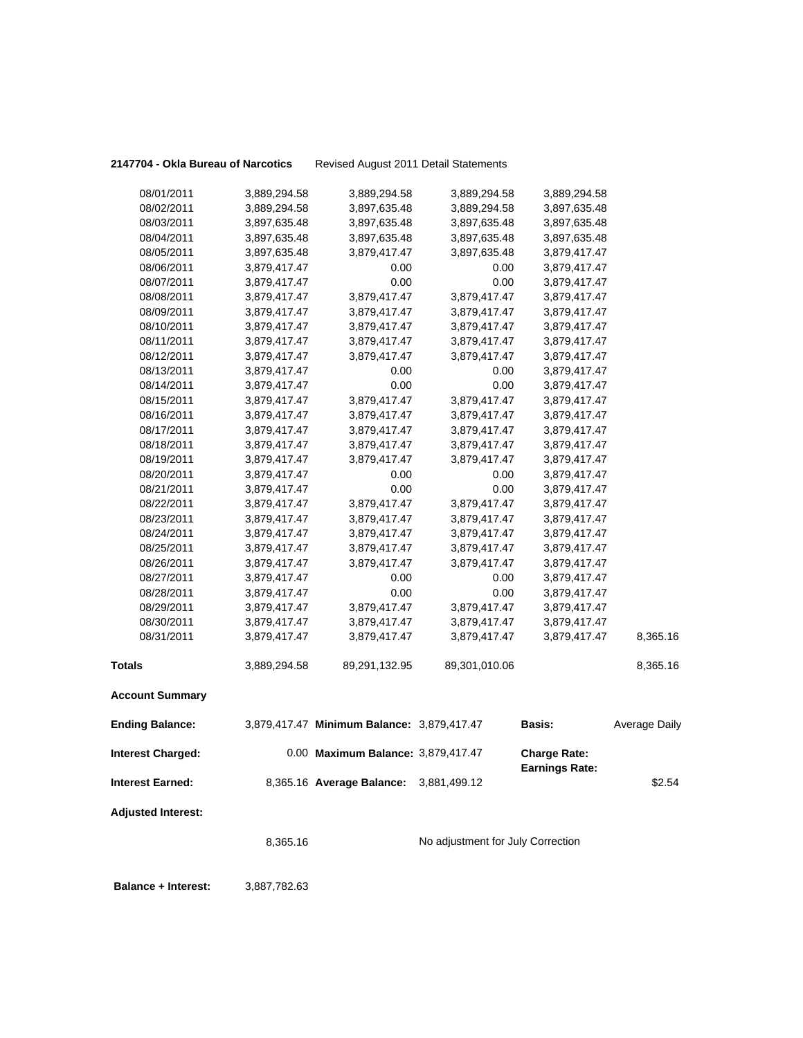**2147704 - Okla Bureau of Narcotics** Revised August 2011 Detail Statements

| 08/01/2011                 | 3,889,294.58 | 3,889,294.58                               | 3,889,294.58                      | 3,889,294.58                                 |                      |
|----------------------------|--------------|--------------------------------------------|-----------------------------------|----------------------------------------------|----------------------|
| 08/02/2011                 | 3,889,294.58 | 3,897,635.48                               | 3,889,294.58                      | 3,897,635.48                                 |                      |
| 08/03/2011                 | 3,897,635.48 | 3,897,635.48                               | 3,897,635.48                      | 3,897,635.48                                 |                      |
| 08/04/2011                 | 3,897,635.48 | 3,897,635.48                               | 3,897,635.48                      | 3,897,635.48                                 |                      |
| 08/05/2011                 | 3,897,635.48 | 3,879,417.47                               | 3,897,635.48                      | 3,879,417.47                                 |                      |
| 08/06/2011                 | 3,879,417.47 | 0.00                                       | 0.00                              | 3,879,417.47                                 |                      |
| 08/07/2011                 | 3,879,417.47 | 0.00                                       | 0.00                              | 3,879,417.47                                 |                      |
| 08/08/2011                 | 3,879,417.47 | 3,879,417.47                               | 3,879,417.47                      | 3,879,417.47                                 |                      |
| 08/09/2011                 | 3,879,417.47 | 3,879,417.47                               | 3,879,417.47                      | 3,879,417.47                                 |                      |
| 08/10/2011                 | 3,879,417.47 | 3,879,417.47                               | 3,879,417.47                      | 3,879,417.47                                 |                      |
| 08/11/2011                 | 3,879,417.47 | 3,879,417.47                               | 3,879,417.47                      | 3,879,417.47                                 |                      |
| 08/12/2011                 | 3,879,417.47 | 3,879,417.47                               | 3,879,417.47                      | 3,879,417.47                                 |                      |
| 08/13/2011                 | 3,879,417.47 | 0.00                                       | 0.00                              | 3,879,417.47                                 |                      |
| 08/14/2011                 | 3,879,417.47 | 0.00                                       | 0.00                              | 3,879,417.47                                 |                      |
| 08/15/2011                 | 3,879,417.47 | 3,879,417.47                               | 3,879,417.47                      | 3,879,417.47                                 |                      |
| 08/16/2011                 | 3,879,417.47 | 3,879,417.47                               | 3,879,417.47                      | 3,879,417.47                                 |                      |
| 08/17/2011                 | 3,879,417.47 | 3,879,417.47                               | 3,879,417.47                      | 3,879,417.47                                 |                      |
| 08/18/2011                 | 3,879,417.47 | 3,879,417.47                               | 3,879,417.47                      | 3,879,417.47                                 |                      |
| 08/19/2011                 | 3,879,417.47 | 3,879,417.47                               | 3,879,417.47                      | 3,879,417.47                                 |                      |
| 08/20/2011                 | 3,879,417.47 | 0.00                                       | 0.00                              | 3,879,417.47                                 |                      |
| 08/21/2011                 | 3,879,417.47 | 0.00                                       | 0.00                              | 3,879,417.47                                 |                      |
| 08/22/2011                 | 3,879,417.47 | 3,879,417.47                               | 3,879,417.47                      | 3,879,417.47                                 |                      |
| 08/23/2011                 | 3,879,417.47 | 3,879,417.47                               | 3,879,417.47                      | 3,879,417.47                                 |                      |
| 08/24/2011                 | 3,879,417.47 | 3,879,417.47                               | 3,879,417.47                      | 3,879,417.47                                 |                      |
| 08/25/2011                 | 3,879,417.47 | 3,879,417.47                               | 3,879,417.47                      | 3,879,417.47                                 |                      |
| 08/26/2011                 | 3,879,417.47 | 3,879,417.47                               | 3,879,417.47                      | 3,879,417.47                                 |                      |
| 08/27/2011                 | 3,879,417.47 | 0.00                                       | 0.00                              | 3,879,417.47                                 |                      |
| 08/28/2011                 | 3,879,417.47 | 0.00                                       | 0.00                              | 3,879,417.47                                 |                      |
| 08/29/2011                 | 3,879,417.47 | 3,879,417.47                               | 3,879,417.47                      | 3,879,417.47                                 |                      |
| 08/30/2011                 | 3,879,417.47 | 3,879,417.47                               | 3,879,417.47                      | 3,879,417.47                                 |                      |
| 08/31/2011                 | 3,879,417.47 | 3,879,417.47                               | 3,879,417.47                      | 3,879,417.47                                 | 8,365.16             |
| <b>Totals</b>              | 3,889,294.58 | 89,291,132.95                              | 89,301,010.06                     |                                              | 8,365.16             |
| <b>Account Summary</b>     |              |                                            |                                   |                                              |                      |
| <b>Ending Balance:</b>     |              | 3,879,417.47 Minimum Balance: 3,879,417.47 |                                   | <b>Basis:</b>                                | <b>Average Daily</b> |
| <b>Interest Charged:</b>   |              | 0.00 Maximum Balance: 3,879,417.47         |                                   | <b>Charge Rate:</b><br><b>Earnings Rate:</b> |                      |
| <b>Interest Earned:</b>    |              | 8,365.16 Average Balance:                  | 3,881,499.12                      |                                              | \$2.54               |
| <b>Adjusted Interest:</b>  |              |                                            |                                   |                                              |                      |
|                            | 8,365.16     |                                            | No adjustment for July Correction |                                              |                      |
| <b>Balance + Interest:</b> | 3,887,782.63 |                                            |                                   |                                              |                      |
|                            |              |                                            |                                   |                                              |                      |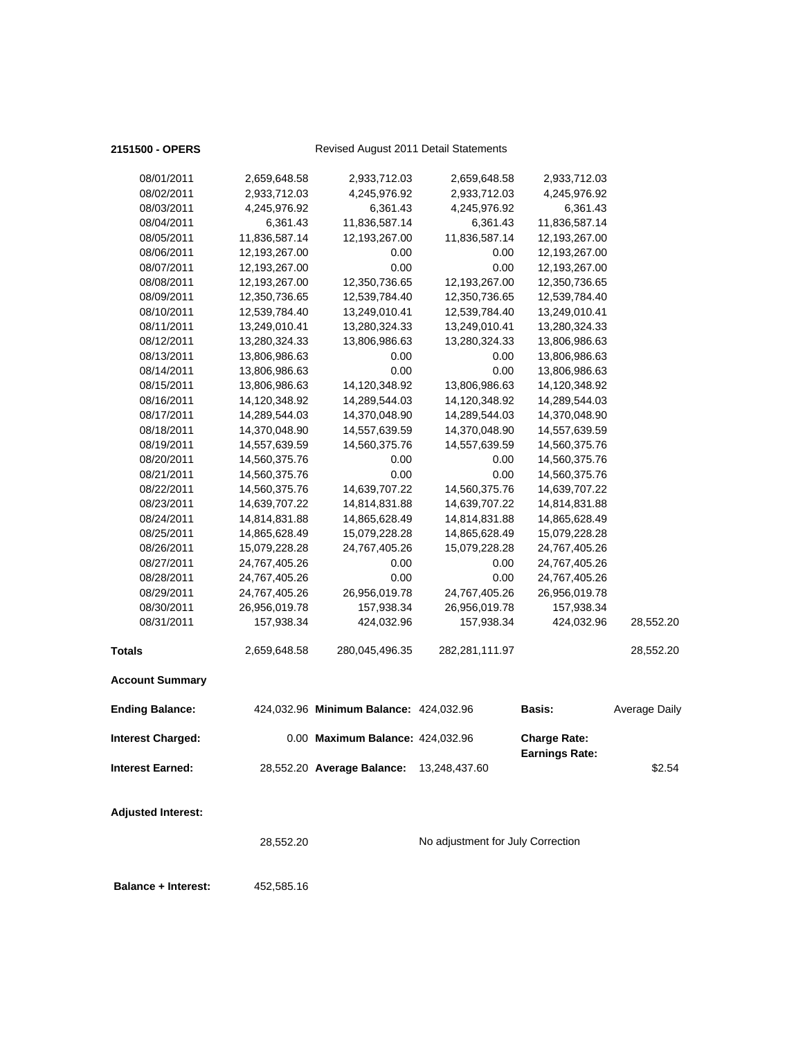## 2151500 - OPERS<br>
Revised August 2011 Detail Statements

| <b>Adjusted Interest:</b> |               |                                        |                |                                              |               |
|---------------------------|---------------|----------------------------------------|----------------|----------------------------------------------|---------------|
| <b>Interest Earned:</b>   |               | 28,552.20 Average Balance:             | 13,248,437.60  |                                              | \$2.54        |
| <b>Interest Charged:</b>  |               | 0.00 Maximum Balance: 424,032.96       |                | <b>Charge Rate:</b><br><b>Earnings Rate:</b> |               |
| <b>Ending Balance:</b>    |               | 424,032.96 Minimum Balance: 424,032.96 |                | Basis:                                       | Average Daily |
| <b>Account Summary</b>    |               |                                        |                |                                              |               |
| <b>Totals</b>             | 2,659,648.58  | 280,045,496.35                         | 282,281,111.97 |                                              | 28,552.20     |
| 08/31/2011                | 157,938.34    | 424,032.96                             | 157,938.34     | 424,032.96                                   | 28,552.20     |
| 08/30/2011                | 26,956,019.78 | 157,938.34                             | 26,956,019.78  | 157,938.34                                   |               |
| 08/29/2011                | 24,767,405.26 | 26,956,019.78                          | 24,767,405.26  | 26,956,019.78                                |               |
| 08/28/2011                | 24,767,405.26 | 0.00                                   | 0.00           | 24,767,405.26                                |               |
| 08/27/2011                | 24,767,405.26 | 0.00                                   | 0.00           | 24,767,405.26                                |               |
| 08/26/2011                | 15,079,228.28 | 24,767,405.26                          | 15,079,228.28  | 24,767,405.26                                |               |
| 08/25/2011                | 14,865,628.49 | 15,079,228.28                          | 14,865,628.49  | 15,079,228.28                                |               |
| 08/24/2011                | 14,814,831.88 | 14,865,628.49                          | 14,814,831.88  | 14,865,628.49                                |               |
| 08/23/2011                | 14,639,707.22 | 14,814,831.88                          | 14,639,707.22  | 14,814,831.88                                |               |
| 08/22/2011                | 14,560,375.76 | 14,639,707.22                          | 14,560,375.76  | 14,639,707.22                                |               |
| 08/21/2011                | 14,560,375.76 | 0.00                                   | 0.00           | 14,560,375.76                                |               |
| 08/20/2011                | 14,560,375.76 | 0.00                                   | 0.00           | 14,560,375.76                                |               |
| 08/19/2011                | 14,557,639.59 | 14,560,375.76                          | 14,557,639.59  | 14,560,375.76                                |               |
| 08/18/2011                | 14,370,048.90 | 14,557,639.59                          | 14,370,048.90  | 14,557,639.59                                |               |
| 08/17/2011                | 14,289,544.03 | 14,370,048.90                          | 14,289,544.03  | 14,370,048.90                                |               |
| 08/16/2011                | 14,120,348.92 | 14,289,544.03                          | 14,120,348.92  | 14,289,544.03                                |               |
| 08/15/2011                | 13,806,986.63 | 14,120,348.92                          | 13,806,986.63  | 14,120,348.92                                |               |
| 08/14/2011                | 13,806,986.63 | 0.00                                   | 0.00           | 13,806,986.63                                |               |
| 08/13/2011                | 13,806,986.63 | 0.00                                   | 0.00           | 13,806,986.63                                |               |
| 08/12/2011                | 13,280,324.33 | 13,806,986.63                          | 13,280,324.33  | 13,806,986.63                                |               |
| 08/11/2011                | 13,249,010.41 | 13,280,324.33                          | 13,249,010.41  | 13,280,324.33                                |               |
| 08/10/2011                | 12,539,784.40 | 13,249,010.41                          | 12,539,784.40  | 13,249,010.41                                |               |
| 08/09/2011                | 12,350,736.65 | 12,539,784.40                          | 12,350,736.65  | 12,539,784.40                                |               |
| 08/08/2011                | 12,193,267.00 | 12,350,736.65                          | 12,193,267.00  | 12,350,736.65                                |               |
| 08/07/2011                | 12,193,267.00 | 0.00                                   | 0.00           | 12,193,267.00                                |               |
| 08/06/2011                | 12,193,267.00 | 0.00                                   | 0.00           | 12,193,267.00                                |               |
| 08/05/2011                | 11,836,587.14 | 12,193,267.00                          | 11,836,587.14  | 12,193,267.00                                |               |
| 08/04/2011                | 6,361.43      | 11,836,587.14                          | 6,361.43       | 11,836,587.14                                |               |
| 08/03/2011                | 4,245,976.92  | 6,361.43                               | 4,245,976.92   | 6,361.43                                     |               |
| 08/02/2011                | 2,933,712.03  | 4,245,976.92                           | 2,933,712.03   | 4,245,976.92                                 |               |
| 08/01/2011                | 2,659,648.58  | 2,933,712.03                           | 2,659,648.58   | 2,933,712.03                                 |               |
|                           |               |                                        |                |                                              |               |

28,552.20 No adjustment for July Correction

 **Balance + Interest:** 452,585.16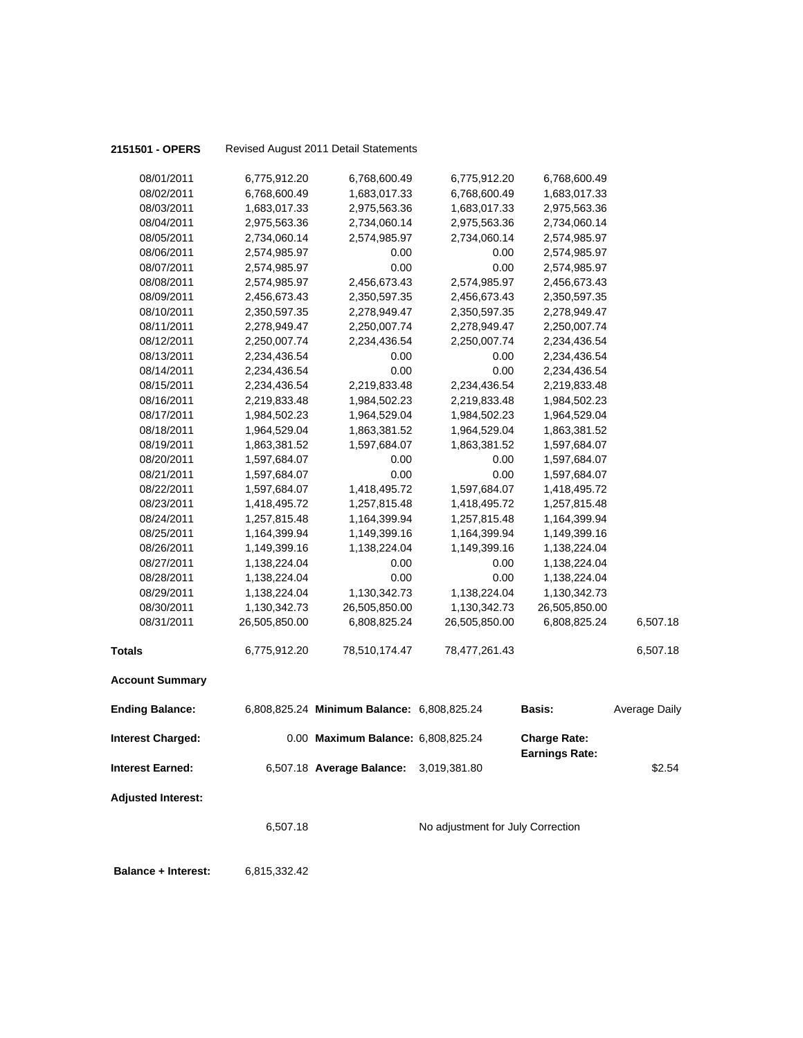| 2151501 - OPERS            |               | Revised August 2011 Detail Statements      |                                   |                       |                      |
|----------------------------|---------------|--------------------------------------------|-----------------------------------|-----------------------|----------------------|
| 08/01/2011                 | 6,775,912.20  | 6,768,600.49                               | 6,775,912.20                      | 6,768,600.49          |                      |
| 08/02/2011                 | 6,768,600.49  | 1,683,017.33                               | 6,768,600.49                      | 1,683,017.33          |                      |
| 08/03/2011                 | 1,683,017.33  | 2,975,563.36                               | 1,683,017.33                      | 2,975,563.36          |                      |
| 08/04/2011                 | 2,975,563.36  | 2,734,060.14                               | 2,975,563.36                      | 2,734,060.14          |                      |
| 08/05/2011                 | 2,734,060.14  | 2,574,985.97                               | 2,734,060.14                      | 2,574,985.97          |                      |
| 08/06/2011                 | 2,574,985.97  | 0.00                                       | 0.00                              | 2,574,985.97          |                      |
| 08/07/2011                 | 2,574,985.97  | 0.00                                       | 0.00                              | 2,574,985.97          |                      |
| 08/08/2011                 | 2,574,985.97  | 2,456,673.43                               | 2,574,985.97                      | 2,456,673.43          |                      |
| 08/09/2011                 | 2,456,673.43  | 2,350,597.35                               | 2,456,673.43                      | 2,350,597.35          |                      |
| 08/10/2011                 | 2,350,597.35  | 2,278,949.47                               | 2,350,597.35                      | 2,278,949.47          |                      |
| 08/11/2011                 | 2,278,949.47  | 2,250,007.74                               | 2,278,949.47                      | 2,250,007.74          |                      |
| 08/12/2011                 | 2,250,007.74  | 2,234,436.54                               | 2,250,007.74                      | 2,234,436.54          |                      |
| 08/13/2011                 | 2,234,436.54  | 0.00                                       | 0.00                              | 2,234,436.54          |                      |
| 08/14/2011                 | 2,234,436.54  | 0.00                                       | 0.00                              | 2,234,436.54          |                      |
| 08/15/2011                 | 2,234,436.54  | 2,219,833.48                               | 2,234,436.54                      | 2,219,833.48          |                      |
| 08/16/2011                 | 2,219,833.48  | 1,984,502.23                               | 2,219,833.48                      | 1,984,502.23          |                      |
| 08/17/2011                 | 1,984,502.23  | 1,964,529.04                               | 1,984,502.23                      | 1,964,529.04          |                      |
| 08/18/2011                 | 1,964,529.04  | 1,863,381.52                               | 1,964,529.04                      | 1,863,381.52          |                      |
| 08/19/2011                 | 1,863,381.52  | 1,597,684.07                               | 1,863,381.52                      | 1,597,684.07          |                      |
| 08/20/2011                 | 1,597,684.07  | 0.00                                       | 0.00                              | 1,597,684.07          |                      |
| 08/21/2011                 | 1,597,684.07  | 0.00                                       | 0.00                              | 1,597,684.07          |                      |
| 08/22/2011                 | 1,597,684.07  | 1,418,495.72                               | 1,597,684.07                      | 1,418,495.72          |                      |
| 08/23/2011                 | 1,418,495.72  | 1,257,815.48                               | 1,418,495.72                      | 1,257,815.48          |                      |
| 08/24/2011                 | 1,257,815.48  | 1,164,399.94                               | 1,257,815.48                      | 1,164,399.94          |                      |
| 08/25/2011                 | 1,164,399.94  | 1,149,399.16                               | 1,164,399.94                      | 1,149,399.16          |                      |
| 08/26/2011                 | 1,149,399.16  | 1,138,224.04                               | 1,149,399.16                      | 1,138,224.04          |                      |
| 08/27/2011                 | 1,138,224.04  | 0.00                                       | 0.00                              | 1,138,224.04          |                      |
| 08/28/2011                 | 1,138,224.04  | 0.00                                       | 0.00                              | 1,138,224.04          |                      |
| 08/29/2011                 | 1,138,224.04  | 1,130,342.73                               | 1,138,224.04                      | 1,130,342.73          |                      |
| 08/30/2011<br>08/31/2011   | 1,130,342.73  | 26,505,850.00                              | 1,130,342.73                      | 26,505,850.00         | 6,507.18             |
|                            | 26,505,850.00 | 6,808,825.24                               | 26,505,850.00                     | 6,808,825.24          |                      |
| <b>Totals</b>              | 6,775,912.20  | 78,510,174.47                              | 78,477,261.43                     |                       | 6,507.18             |
| <b>Account Summary</b>     |               |                                            |                                   |                       |                      |
| <b>Ending Balance:</b>     |               | 6,808,825.24 Minimum Balance: 6,808,825.24 |                                   | <b>Basis:</b>         | <b>Average Daily</b> |
| <b>Interest Charged:</b>   |               | 0.00 Maximum Balance: 6,808,825.24         |                                   | <b>Charge Rate:</b>   |                      |
| <b>Interest Earned:</b>    |               | 6,507.18 Average Balance:                  | 3,019,381.80                      | <b>Earnings Rate:</b> | \$2.54               |
| <b>Adjusted Interest:</b>  |               |                                            |                                   |                       |                      |
|                            | 6,507.18      |                                            | No adjustment for July Correction |                       |                      |
| <b>Balance + Interest:</b> | 6,815,332.42  |                                            |                                   |                       |                      |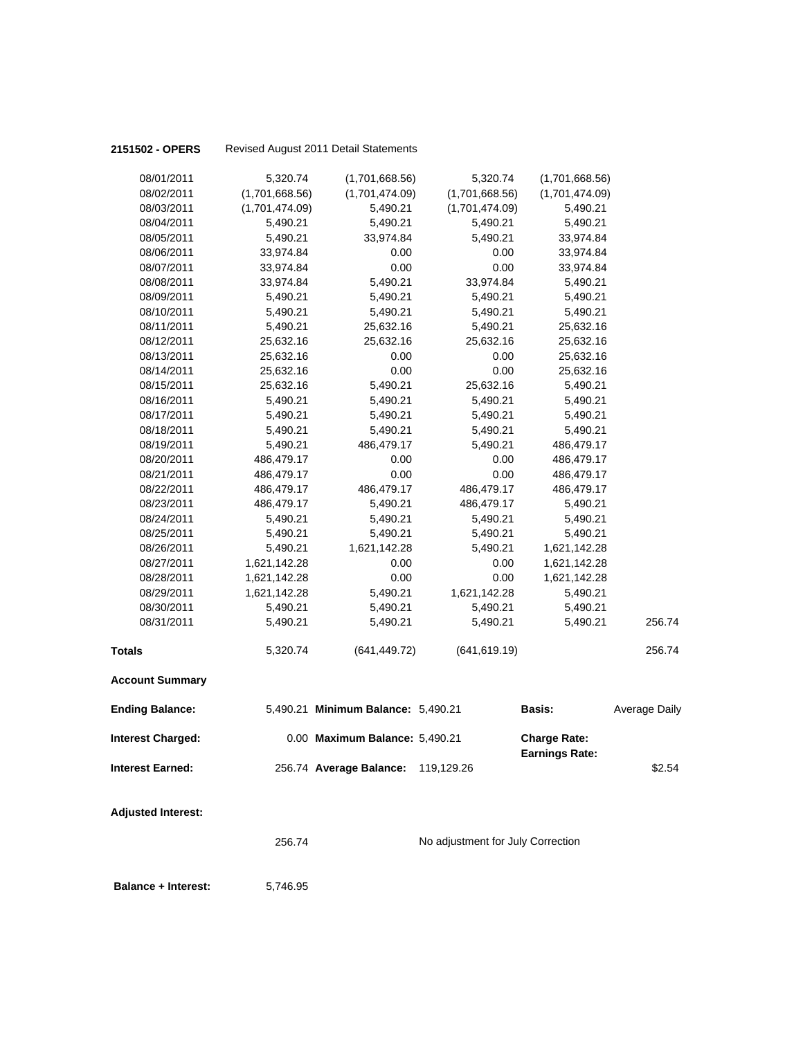| 2151502 - OPERS           |                | Revised August 2011 Detail Statements |                                   |                       |                      |
|---------------------------|----------------|---------------------------------------|-----------------------------------|-----------------------|----------------------|
| 08/01/2011                | 5,320.74       | (1,701,668.56)                        | 5,320.74                          | (1,701,668.56)        |                      |
| 08/02/2011                | (1,701,668.56) | (1,701,474.09)                        | (1,701,668.56)                    | (1,701,474.09)        |                      |
| 08/03/2011                | (1,701,474.09) | 5,490.21                              | (1,701,474.09)                    | 5,490.21              |                      |
| 08/04/2011                | 5,490.21       | 5,490.21                              | 5,490.21                          | 5,490.21              |                      |
| 08/05/2011                | 5,490.21       | 33,974.84                             | 5,490.21                          | 33,974.84             |                      |
| 08/06/2011                | 33,974.84      | 0.00                                  | 0.00                              | 33,974.84             |                      |
| 08/07/2011                | 33,974.84      | 0.00                                  | 0.00                              | 33,974.84             |                      |
| 08/08/2011                | 33,974.84      | 5,490.21                              | 33,974.84                         | 5,490.21              |                      |
| 08/09/2011                | 5,490.21       | 5,490.21                              | 5,490.21                          | 5,490.21              |                      |
| 08/10/2011                | 5,490.21       | 5,490.21                              | 5,490.21                          | 5,490.21              |                      |
| 08/11/2011                | 5,490.21       | 25,632.16                             | 5,490.21                          | 25,632.16             |                      |
| 08/12/2011                | 25,632.16      | 25,632.16                             | 25,632.16                         | 25,632.16             |                      |
| 08/13/2011                | 25,632.16      | 0.00                                  | 0.00                              | 25,632.16             |                      |
| 08/14/2011                | 25,632.16      | 0.00                                  | 0.00                              | 25,632.16             |                      |
| 08/15/2011                | 25,632.16      | 5,490.21                              | 25,632.16                         | 5,490.21              |                      |
| 08/16/2011                | 5,490.21       | 5,490.21                              | 5,490.21                          | 5,490.21              |                      |
| 08/17/2011                | 5,490.21       | 5,490.21                              | 5,490.21                          | 5,490.21              |                      |
| 08/18/2011                | 5,490.21       | 5,490.21                              | 5,490.21                          | 5,490.21              |                      |
| 08/19/2011                | 5,490.21       | 486,479.17                            | 5,490.21                          | 486,479.17            |                      |
| 08/20/2011                | 486,479.17     | 0.00                                  | 0.00                              | 486,479.17            |                      |
| 08/21/2011                | 486,479.17     | 0.00                                  | 0.00                              | 486,479.17            |                      |
| 08/22/2011                | 486,479.17     | 486,479.17                            | 486,479.17                        | 486,479.17            |                      |
| 08/23/2011                | 486,479.17     | 5,490.21                              | 486,479.17                        | 5,490.21              |                      |
| 08/24/2011                | 5,490.21       | 5,490.21                              | 5,490.21                          | 5,490.21              |                      |
| 08/25/2011                | 5,490.21       | 5,490.21                              | 5,490.21                          | 5,490.21              |                      |
| 08/26/2011                | 5,490.21       | 1,621,142.28                          | 5,490.21                          | 1,621,142.28          |                      |
| 08/27/2011                | 1,621,142.28   | 0.00                                  | 0.00                              | 1,621,142.28          |                      |
| 08/28/2011                | 1,621,142.28   | 0.00                                  | 0.00                              | 1,621,142.28          |                      |
| 08/29/2011                | 1,621,142.28   | 5,490.21                              | 1,621,142.28                      | 5,490.21              |                      |
| 08/30/2011                | 5,490.21       | 5,490.21                              | 5,490.21                          | 5,490.21              |                      |
| 08/31/2011                | 5,490.21       | 5,490.21                              | 5,490.21                          | 5,490.21              | 256.74               |
| <b>Totals</b>             | 5,320.74       | (641, 449.72)                         | (641, 619.19)                     |                       | 256.74               |
| <b>Account Summary</b>    |                |                                       |                                   |                       |                      |
| <b>Ending Balance:</b>    |                | 5,490.21 Minimum Balance: 5,490.21    |                                   | Basis:                | <b>Average Daily</b> |
| <b>Interest Charged:</b>  |                | 0.00 Maximum Balance: 5,490.21        |                                   | <b>Charge Rate:</b>   |                      |
| <b>Interest Earned:</b>   |                | 256.74 Average Balance:               | 119,129.26                        | <b>Earnings Rate:</b> | \$2.54               |
| <b>Adjusted Interest:</b> | 256.74         |                                       | No adjustment for July Correction |                       |                      |

**Balance + Interest:** 5,746.95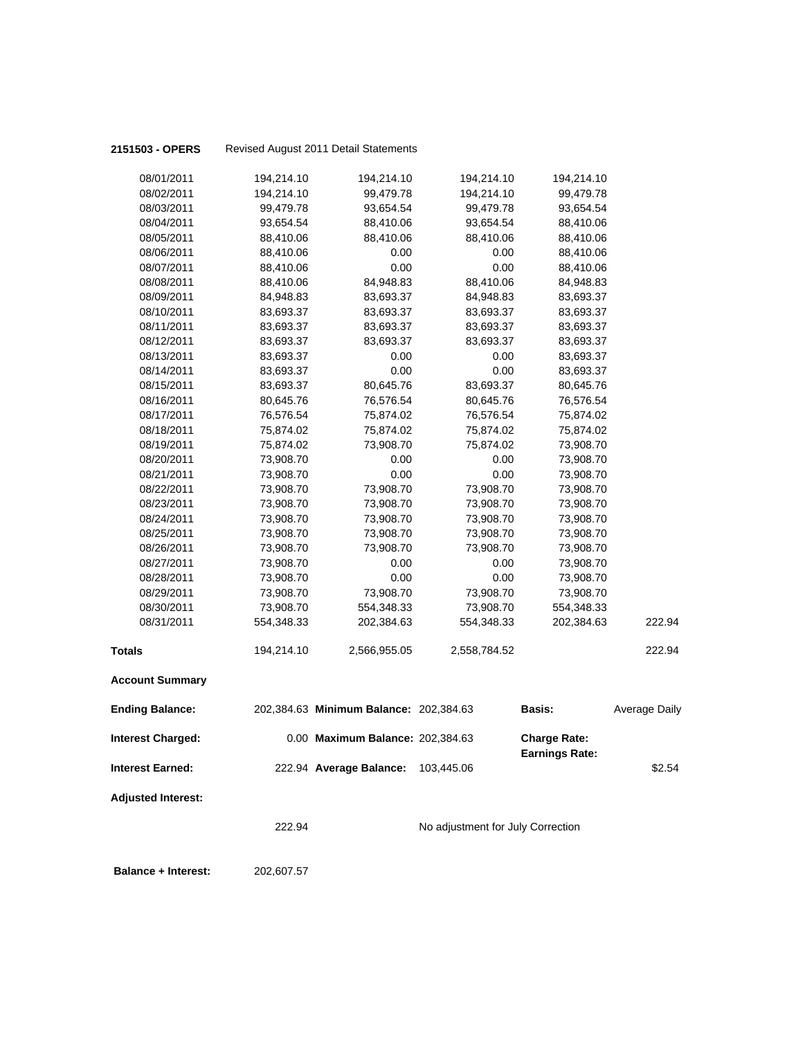| 2151503 - OPERS            |                        | Revised August 2011 Detail Statements  |                                   |                                              |                      |
|----------------------------|------------------------|----------------------------------------|-----------------------------------|----------------------------------------------|----------------------|
| 08/01/2011                 | 194,214.10             | 194,214.10                             | 194,214.10                        | 194,214.10                                   |                      |
| 08/02/2011                 | 194,214.10             | 99,479.78                              | 194,214.10                        | 99,479.78                                    |                      |
| 08/03/2011                 | 99,479.78              | 93,654.54                              | 99,479.78                         | 93,654.54                                    |                      |
| 08/04/2011                 | 93,654.54              | 88,410.06                              | 93,654.54                         | 88,410.06                                    |                      |
| 08/05/2011                 | 88,410.06              | 88,410.06                              | 88,410.06                         | 88,410.06                                    |                      |
| 08/06/2011                 | 88,410.06              | 0.00                                   | 0.00                              | 88,410.06                                    |                      |
| 08/07/2011                 | 88,410.06              | 0.00                                   | 0.00                              | 88,410.06                                    |                      |
| 08/08/2011                 | 88,410.06              | 84,948.83                              | 88,410.06                         | 84,948.83                                    |                      |
| 08/09/2011                 | 84,948.83              | 83,693.37                              | 84,948.83                         | 83,693.37                                    |                      |
| 08/10/2011                 | 83,693.37              | 83,693.37                              | 83,693.37                         | 83,693.37                                    |                      |
| 08/11/2011                 | 83,693.37              | 83,693.37                              | 83,693.37                         | 83,693.37                                    |                      |
| 08/12/2011                 | 83,693.37              | 83,693.37                              | 83,693.37                         | 83,693.37                                    |                      |
| 08/13/2011                 | 83,693.37              | 0.00                                   | 0.00                              | 83,693.37                                    |                      |
| 08/14/2011                 | 83,693.37              | 0.00                                   | 0.00                              | 83,693.37                                    |                      |
| 08/15/2011                 | 83,693.37              | 80,645.76                              | 83,693.37                         | 80,645.76                                    |                      |
| 08/16/2011                 | 80,645.76              | 76,576.54                              | 80,645.76                         | 76,576.54                                    |                      |
| 08/17/2011                 | 76,576.54              | 75,874.02                              | 76,576.54                         | 75,874.02                                    |                      |
| 08/18/2011                 | 75,874.02              | 75,874.02                              | 75,874.02                         | 75,874.02                                    |                      |
| 08/19/2011                 | 75,874.02              | 73,908.70                              | 75,874.02                         | 73,908.70                                    |                      |
| 08/20/2011                 | 73,908.70              | 0.00                                   | 0.00                              | 73,908.70                                    |                      |
| 08/21/2011                 | 73,908.70              | 0.00                                   | 0.00                              | 73,908.70                                    |                      |
| 08/22/2011                 | 73,908.70              | 73,908.70                              | 73,908.70                         | 73,908.70                                    |                      |
| 08/23/2011                 | 73,908.70              | 73,908.70                              | 73,908.70                         | 73,908.70                                    |                      |
| 08/24/2011<br>08/25/2011   | 73,908.70              | 73,908.70                              | 73,908.70<br>73,908.70            | 73,908.70                                    |                      |
| 08/26/2011                 | 73,908.70<br>73,908.70 | 73,908.70<br>73,908.70                 | 73,908.70                         | 73,908.70<br>73,908.70                       |                      |
| 08/27/2011                 | 73,908.70              | 0.00                                   | 0.00                              | 73,908.70                                    |                      |
| 08/28/2011                 | 73,908.70              | 0.00                                   | 0.00                              | 73,908.70                                    |                      |
| 08/29/2011                 | 73,908.70              | 73,908.70                              | 73,908.70                         | 73,908.70                                    |                      |
| 08/30/2011                 | 73,908.70              | 554,348.33                             | 73,908.70                         | 554,348.33                                   |                      |
| 08/31/2011                 | 554,348.33             | 202,384.63                             | 554,348.33                        | 202,384.63                                   | 222.94               |
|                            |                        |                                        |                                   |                                              |                      |
| <b>Totals</b>              | 194,214.10             | 2,566,955.05                           | 2,558,784.52                      |                                              | 222.94               |
| <b>Account Summary</b>     |                        |                                        |                                   |                                              |                      |
|                            |                        |                                        |                                   |                                              |                      |
| <b>Ending Balance:</b>     |                        | 202,384.63 Minimum Balance: 202,384.63 |                                   | <b>Basis:</b>                                | <b>Average Daily</b> |
| <b>Interest Charged:</b>   |                        | 0.00 Maximum Balance: 202,384.63       |                                   | <b>Charge Rate:</b><br><b>Earnings Rate:</b> |                      |
| <b>Interest Earned:</b>    |                        | 222.94 Average Balance:                | 103,445.06                        |                                              | \$2.54               |
| <b>Adjusted Interest:</b>  |                        |                                        |                                   |                                              |                      |
|                            | 222.94                 |                                        | No adjustment for July Correction |                                              |                      |
| <b>Balance + Interest:</b> | 202,607.57             |                                        |                                   |                                              |                      |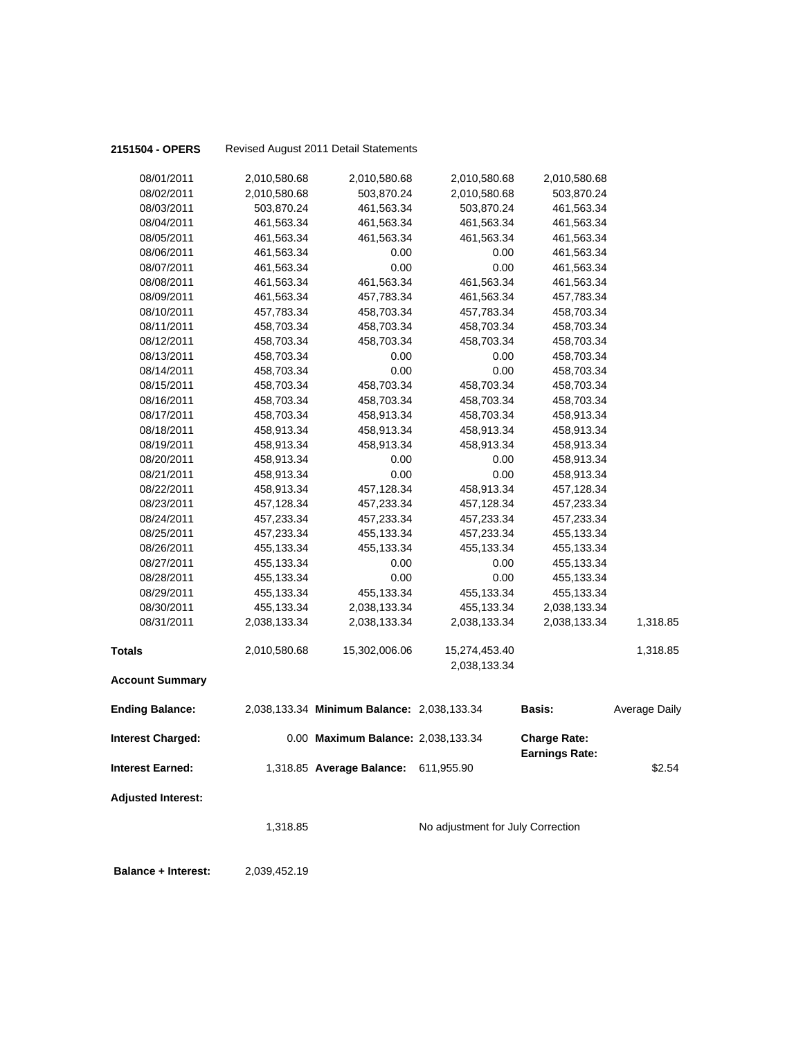| 2151504 - OPERS            |              | Revised August 2011 Detail Statements      |                                   |                       |                      |
|----------------------------|--------------|--------------------------------------------|-----------------------------------|-----------------------|----------------------|
| 08/01/2011                 | 2,010,580.68 | 2,010,580.68                               | 2,010,580.68                      | 2,010,580.68          |                      |
| 08/02/2011                 | 2,010,580.68 | 503,870.24                                 | 2,010,580.68                      | 503,870.24            |                      |
| 08/03/2011                 | 503,870.24   | 461,563.34                                 | 503,870.24                        | 461,563.34            |                      |
| 08/04/2011                 | 461,563.34   | 461,563.34                                 | 461,563.34                        | 461,563.34            |                      |
| 08/05/2011                 | 461,563.34   | 461,563.34                                 | 461,563.34                        | 461,563.34            |                      |
| 08/06/2011                 | 461,563.34   | 0.00                                       | 0.00                              | 461,563.34            |                      |
| 08/07/2011                 | 461,563.34   | 0.00                                       | 0.00                              | 461,563.34            |                      |
| 08/08/2011                 | 461,563.34   | 461,563.34                                 | 461,563.34                        | 461,563.34            |                      |
| 08/09/2011                 | 461,563.34   | 457,783.34                                 | 461,563.34                        | 457,783.34            |                      |
| 08/10/2011                 | 457,783.34   | 458,703.34                                 | 457,783.34                        | 458,703.34            |                      |
| 08/11/2011                 | 458,703.34   | 458,703.34                                 | 458,703.34                        | 458,703.34            |                      |
| 08/12/2011                 | 458,703.34   | 458,703.34                                 | 458,703.34                        | 458,703.34            |                      |
| 08/13/2011                 | 458,703.34   | 0.00                                       | 0.00                              | 458,703.34            |                      |
| 08/14/2011                 | 458,703.34   | 0.00                                       | 0.00                              | 458,703.34            |                      |
| 08/15/2011                 | 458,703.34   | 458,703.34                                 | 458,703.34                        | 458,703.34            |                      |
| 08/16/2011                 | 458,703.34   | 458,703.34                                 | 458,703.34                        | 458,703.34            |                      |
| 08/17/2011                 | 458,703.34   | 458,913.34                                 | 458,703.34                        | 458,913.34            |                      |
| 08/18/2011                 | 458,913.34   | 458,913.34                                 | 458,913.34                        | 458,913.34            |                      |
| 08/19/2011                 | 458,913.34   | 458,913.34                                 | 458,913.34                        | 458,913.34            |                      |
| 08/20/2011                 | 458,913.34   | 0.00                                       | 0.00                              | 458,913.34            |                      |
| 08/21/2011                 | 458,913.34   | 0.00                                       | 0.00                              | 458,913.34            |                      |
| 08/22/2011                 | 458,913.34   | 457,128.34                                 | 458,913.34                        | 457,128.34            |                      |
| 08/23/2011                 | 457,128.34   | 457,233.34                                 | 457,128.34                        | 457,233.34            |                      |
| 08/24/2011                 | 457,233.34   | 457,233.34                                 | 457,233.34                        | 457,233.34            |                      |
| 08/25/2011                 | 457,233.34   | 455,133.34                                 | 457,233.34                        | 455,133.34            |                      |
| 08/26/2011                 | 455,133.34   | 455,133.34                                 | 455,133.34                        | 455,133.34            |                      |
| 08/27/2011                 | 455,133.34   | 0.00                                       | 0.00                              | 455,133.34            |                      |
| 08/28/2011                 | 455,133.34   | 0.00                                       | 0.00                              | 455,133.34            |                      |
| 08/29/2011                 | 455,133.34   | 455,133.34                                 | 455,133.34                        | 455,133.34            |                      |
| 08/30/2011                 | 455,133.34   | 2,038,133.34                               | 455,133.34                        | 2,038,133.34          |                      |
| 08/31/2011                 | 2,038,133.34 | 2,038,133.34                               | 2,038,133.34                      | 2,038,133.34          | 1,318.85             |
| <b>Totals</b>              | 2,010,580.68 | 15,302,006.06                              | 15,274,453.40                     |                       | 1,318.85             |
|                            |              |                                            | 2,038,133.34                      |                       |                      |
| <b>Account Summary</b>     |              |                                            |                                   |                       |                      |
| <b>Ending Balance:</b>     |              | 2,038,133.34 Minimum Balance: 2,038,133.34 |                                   | <b>Basis:</b>         | <b>Average Daily</b> |
| <b>Interest Charged:</b>   |              | 0.00 Maximum Balance: 2,038,133.34         |                                   | <b>Charge Rate:</b>   |                      |
| <b>Interest Earned:</b>    |              | 1,318.85 Average Balance:                  | 611,955.90                        | <b>Earnings Rate:</b> | \$2.54               |
| <b>Adjusted Interest:</b>  |              |                                            |                                   |                       |                      |
|                            | 1,318.85     |                                            | No adjustment for July Correction |                       |                      |
| <b>Balance + Interest:</b> | 2,039,452.19 |                                            |                                   |                       |                      |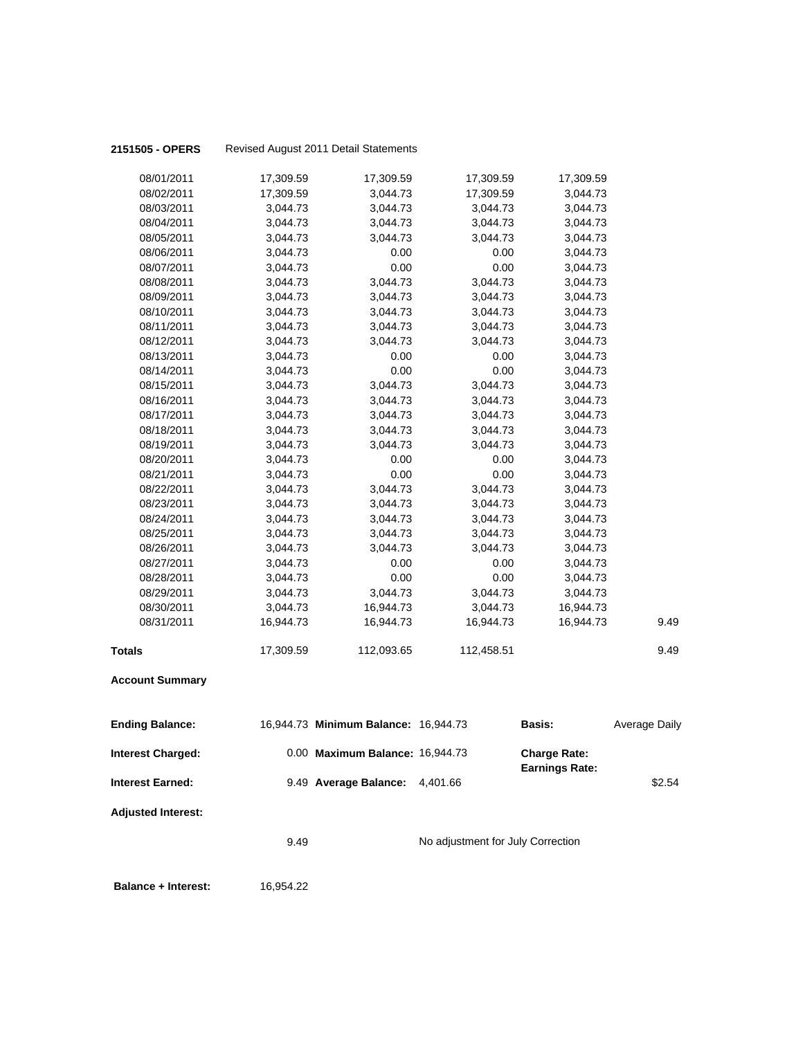| 08/01/2011                 | 17,309.59 | 17,309.59                            | 17,309.59                         | 17,309.59                                    |               |
|----------------------------|-----------|--------------------------------------|-----------------------------------|----------------------------------------------|---------------|
| 08/02/2011                 | 17,309.59 | 3,044.73                             | 17,309.59                         | 3,044.73                                     |               |
| 08/03/2011                 | 3,044.73  | 3,044.73                             | 3,044.73                          | 3,044.73                                     |               |
| 08/04/2011                 | 3,044.73  | 3,044.73                             | 3,044.73                          | 3,044.73                                     |               |
| 08/05/2011                 | 3,044.73  | 3,044.73                             | 3,044.73                          | 3,044.73                                     |               |
| 08/06/2011                 | 3,044.73  | 0.00                                 | 0.00                              | 3,044.73                                     |               |
| 08/07/2011                 | 3,044.73  | 0.00                                 | 0.00                              | 3,044.73                                     |               |
| 08/08/2011                 | 3,044.73  | 3,044.73                             | 3,044.73                          | 3,044.73                                     |               |
| 08/09/2011                 | 3,044.73  | 3,044.73                             | 3,044.73                          | 3,044.73                                     |               |
| 08/10/2011                 | 3,044.73  | 3,044.73                             | 3,044.73                          | 3,044.73                                     |               |
| 08/11/2011                 | 3,044.73  | 3,044.73                             | 3,044.73                          | 3,044.73                                     |               |
| 08/12/2011                 | 3,044.73  | 3,044.73                             | 3,044.73                          | 3,044.73                                     |               |
| 08/13/2011                 | 3,044.73  | 0.00                                 | 0.00                              | 3,044.73                                     |               |
| 08/14/2011                 | 3,044.73  | 0.00                                 | 0.00                              | 3,044.73                                     |               |
| 08/15/2011                 | 3,044.73  | 3,044.73                             | 3,044.73                          | 3,044.73                                     |               |
| 08/16/2011                 | 3,044.73  | 3,044.73                             | 3,044.73                          | 3,044.73                                     |               |
| 08/17/2011                 | 3,044.73  | 3,044.73                             | 3,044.73                          | 3,044.73                                     |               |
| 08/18/2011                 | 3,044.73  | 3,044.73                             | 3,044.73                          | 3,044.73                                     |               |
| 08/19/2011                 | 3,044.73  | 3,044.73                             | 3,044.73                          | 3,044.73                                     |               |
| 08/20/2011                 | 3,044.73  | 0.00                                 | 0.00                              | 3,044.73                                     |               |
| 08/21/2011                 | 3,044.73  | 0.00                                 | 0.00                              | 3,044.73                                     |               |
| 08/22/2011                 | 3,044.73  | 3,044.73                             | 3,044.73                          | 3,044.73                                     |               |
| 08/23/2011                 | 3,044.73  | 3,044.73                             | 3,044.73                          | 3,044.73                                     |               |
| 08/24/2011                 | 3,044.73  | 3,044.73                             | 3,044.73                          | 3,044.73                                     |               |
| 08/25/2011                 | 3,044.73  | 3,044.73                             | 3,044.73                          | 3,044.73                                     |               |
| 08/26/2011                 | 3,044.73  | 3,044.73                             | 3,044.73                          | 3,044.73                                     |               |
| 08/27/2011                 | 3,044.73  | 0.00                                 | 0.00                              | 3,044.73                                     |               |
| 08/28/2011                 | 3,044.73  | 0.00                                 | 0.00                              | 3,044.73                                     |               |
| 08/29/2011                 | 3,044.73  | 3,044.73                             | 3,044.73                          | 3,044.73                                     |               |
| 08/30/2011                 | 3,044.73  | 16,944.73                            | 3,044.73                          | 16,944.73                                    |               |
| 08/31/2011                 | 16,944.73 | 16,944.73                            | 16,944.73                         | 16,944.73                                    | 9.49          |
| <b>Totals</b>              | 17,309.59 | 112,093.65                           | 112,458.51                        |                                              | 9.49          |
| <b>Account Summary</b>     |           |                                      |                                   |                                              |               |
| <b>Ending Balance:</b>     |           | 16,944.73 Minimum Balance: 16,944.73 |                                   | <b>Basis:</b>                                | Average Daily |
| Interest Charged:          |           | 0.00 Maximum Balance: 16,944.73      |                                   | <b>Charge Rate:</b><br><b>Earnings Rate:</b> |               |
| <b>Interest Earned:</b>    |           | 9.49 Average Balance:                | 4,401.66                          |                                              | \$2.54        |
| <b>Adjusted Interest:</b>  |           |                                      |                                   |                                              |               |
|                            | 9.49      |                                      | No adjustment for July Correction |                                              |               |
| <b>Balance + Interest:</b> | 16,954.22 |                                      |                                   |                                              |               |

**2151505 - OPERS** Revised August 2011 Detail Statements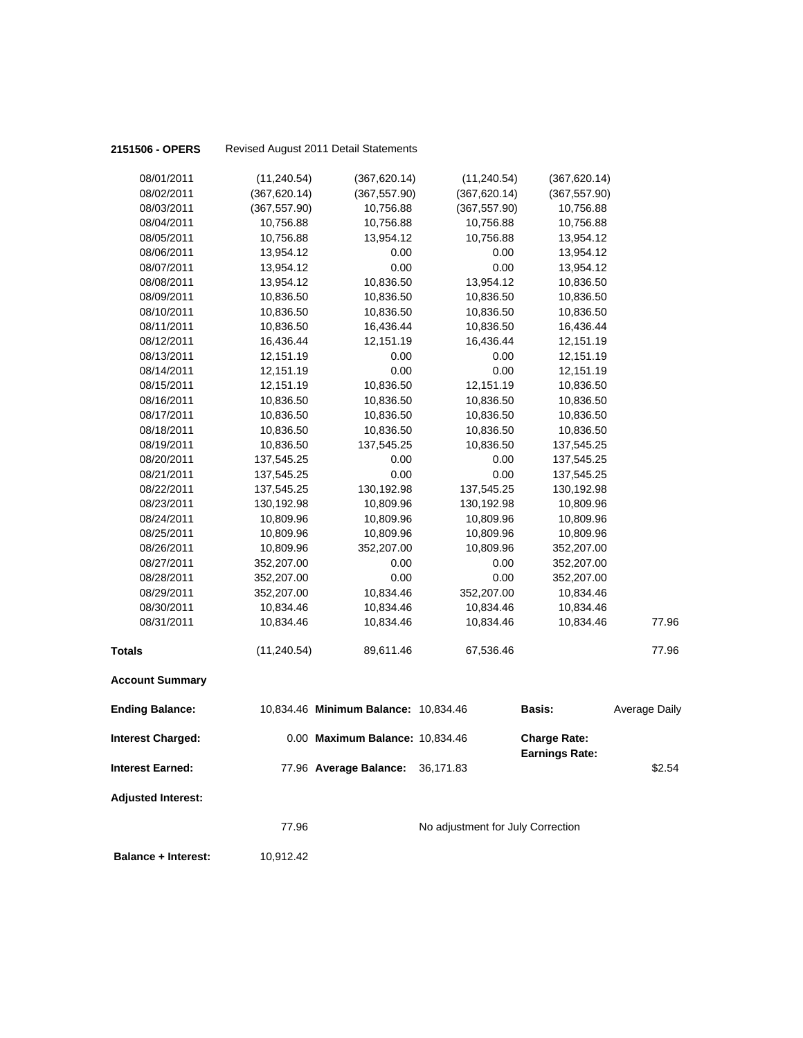| 2151506 - OPERS            |                        | Revised August 2011 Detail Statements |                                   |                                              |                      |
|----------------------------|------------------------|---------------------------------------|-----------------------------------|----------------------------------------------|----------------------|
|                            |                        |                                       |                                   |                                              |                      |
| 08/01/2011                 | (11, 240.54)           | (367, 620.14)                         | (11, 240.54)                      | (367, 620.14)                                |                      |
| 08/02/2011<br>08/03/2011   | (367, 620.14)          | (367, 557.90)<br>10,756.88            | (367, 620.14)<br>(367, 557.90)    | (367, 557.90)<br>10,756.88                   |                      |
|                            | (367, 557.90)          |                                       |                                   |                                              |                      |
| 08/04/2011                 | 10,756.88              | 10,756.88<br>13,954.12                | 10,756.88                         | 10,756.88                                    |                      |
| 08/05/2011                 | 10,756.88              |                                       | 10,756.88                         | 13,954.12                                    |                      |
| 08/06/2011                 | 13,954.12              | 0.00                                  | 0.00                              | 13,954.12                                    |                      |
| 08/07/2011                 | 13,954.12              | 0.00                                  | 0.00                              | 13,954.12                                    |                      |
| 08/08/2011                 | 13,954.12              | 10,836.50                             | 13,954.12                         | 10,836.50                                    |                      |
| 08/09/2011                 | 10,836.50              | 10,836.50                             | 10,836.50                         | 10,836.50                                    |                      |
| 08/10/2011<br>08/11/2011   | 10,836.50<br>10,836.50 | 10,836.50<br>16,436.44                | 10,836.50<br>10,836.50            | 10,836.50<br>16,436.44                       |                      |
| 08/12/2011                 | 16,436.44              | 12,151.19                             | 16,436.44                         |                                              |                      |
| 08/13/2011                 |                        |                                       | 0.00                              | 12,151.19                                    |                      |
| 08/14/2011                 | 12,151.19<br>12,151.19 | 0.00<br>0.00                          | 0.00                              | 12,151.19<br>12,151.19                       |                      |
| 08/15/2011                 | 12,151.19              | 10,836.50                             | 12,151.19                         | 10,836.50                                    |                      |
| 08/16/2011                 | 10,836.50              | 10,836.50                             | 10,836.50                         | 10,836.50                                    |                      |
| 08/17/2011                 | 10,836.50              | 10,836.50                             | 10,836.50                         |                                              |                      |
| 08/18/2011                 | 10,836.50              | 10,836.50                             | 10,836.50                         | 10,836.50<br>10,836.50                       |                      |
| 08/19/2011                 | 10,836.50              | 137,545.25                            | 10,836.50                         | 137,545.25                                   |                      |
| 08/20/2011                 | 137,545.25             | 0.00                                  | 0.00                              | 137,545.25                                   |                      |
| 08/21/2011                 | 137,545.25             | 0.00                                  | 0.00                              | 137,545.25                                   |                      |
| 08/22/2011                 | 137,545.25             | 130,192.98                            | 137,545.25                        | 130,192.98                                   |                      |
| 08/23/2011                 | 130,192.98             | 10,809.96                             | 130,192.98                        | 10,809.96                                    |                      |
| 08/24/2011                 | 10,809.96              | 10,809.96                             | 10,809.96                         | 10,809.96                                    |                      |
| 08/25/2011                 | 10,809.96              | 10,809.96                             | 10,809.96                         | 10,809.96                                    |                      |
| 08/26/2011                 | 10,809.96              | 352,207.00                            | 10,809.96                         | 352,207.00                                   |                      |
| 08/27/2011                 | 352,207.00             | 0.00                                  | 0.00                              | 352,207.00                                   |                      |
| 08/28/2011                 | 352,207.00             | 0.00                                  | 0.00                              | 352,207.00                                   |                      |
| 08/29/2011                 | 352,207.00             | 10,834.46                             | 352,207.00                        | 10,834.46                                    |                      |
| 08/30/2011                 | 10,834.46              | 10,834.46                             | 10,834.46                         | 10,834.46                                    |                      |
| 08/31/2011                 | 10,834.46              | 10,834.46                             | 10,834.46                         | 10,834.46                                    | 77.96                |
|                            |                        |                                       | 67,536.46                         |                                              |                      |
| <b>Totals</b>              | (11, 240.54)           | 89,611.46                             |                                   |                                              | 77.96                |
| <b>Account Summary</b>     |                        |                                       |                                   |                                              |                      |
| <b>Ending Balance:</b>     |                        | 10,834.46 Minimum Balance: 10,834.46  |                                   | <b>Basis:</b>                                | <b>Average Daily</b> |
| <b>Interest Charged:</b>   |                        | 0.00 Maximum Balance: 10,834.46       |                                   | <b>Charge Rate:</b><br><b>Earnings Rate:</b> |                      |
| <b>Interest Earned:</b>    |                        | 77.96 Average Balance:                | 36,171.83                         |                                              | \$2.54               |
| <b>Adjusted Interest:</b>  |                        |                                       |                                   |                                              |                      |
|                            | 77.96                  |                                       | No adjustment for July Correction |                                              |                      |
| <b>Balance + Interest:</b> | 10,912.42              |                                       |                                   |                                              |                      |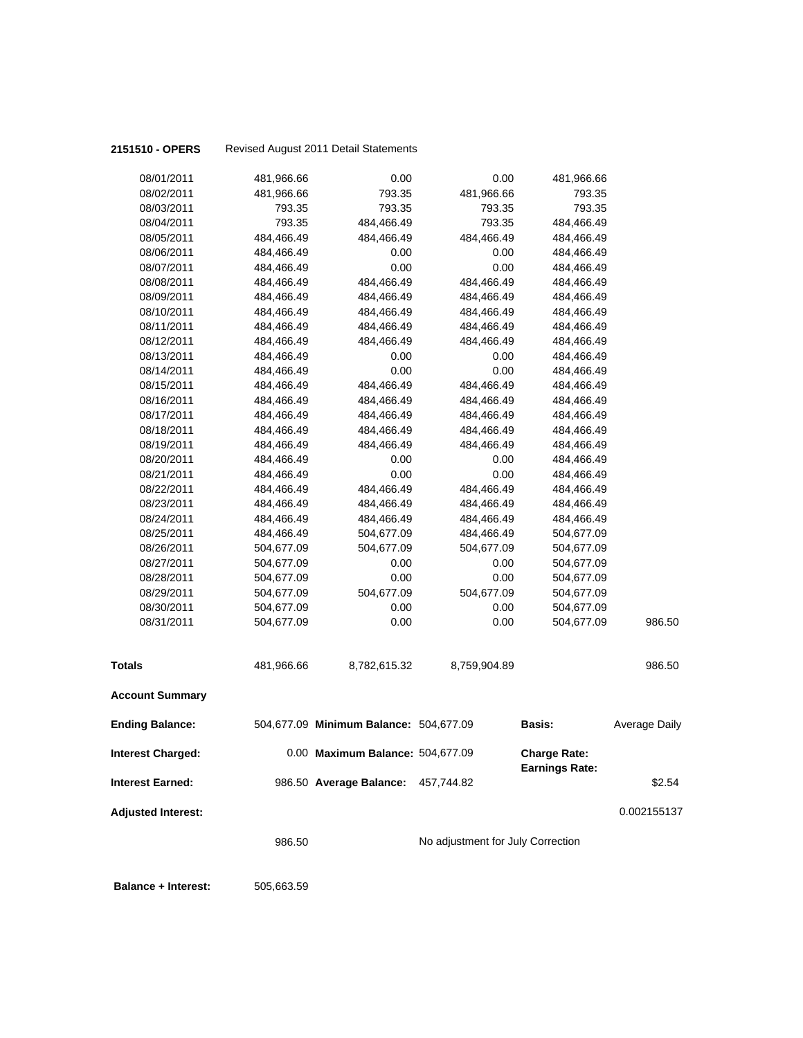| 2151510 - OPERS           |                        |            | Revised August 2011 Detail Statements  |                                   |                                              |               |
|---------------------------|------------------------|------------|----------------------------------------|-----------------------------------|----------------------------------------------|---------------|
|                           | 08/01/2011             | 481,966.66 | 0.00                                   | 0.00                              | 481,966.66                                   |               |
|                           | 08/02/2011             | 481,966.66 | 793.35                                 | 481,966.66                        | 793.35                                       |               |
|                           | 08/03/2011             | 793.35     | 793.35                                 | 793.35                            | 793.35                                       |               |
|                           | 08/04/2011             | 793.35     | 484,466.49                             | 793.35                            | 484,466.49                                   |               |
|                           | 08/05/2011             | 484,466.49 | 484,466.49                             | 484,466.49                        | 484,466.49                                   |               |
|                           | 08/06/2011             | 484,466.49 | 0.00                                   | 0.00                              | 484,466.49                                   |               |
|                           | 08/07/2011             | 484,466.49 | 0.00                                   | 0.00                              | 484,466.49                                   |               |
|                           | 08/08/2011             | 484,466.49 | 484,466.49                             | 484,466.49                        | 484,466.49                                   |               |
|                           | 08/09/2011             | 484,466.49 | 484,466.49                             | 484,466.49                        | 484,466.49                                   |               |
|                           | 08/10/2011             | 484,466.49 | 484,466.49                             | 484,466.49                        | 484,466.49                                   |               |
|                           | 08/11/2011             | 484,466.49 | 484,466.49                             | 484,466.49                        | 484,466.49                                   |               |
|                           | 08/12/2011             | 484,466.49 | 484,466.49                             | 484,466.49                        | 484,466.49                                   |               |
|                           | 08/13/2011             | 484,466.49 | 0.00                                   | 0.00                              | 484,466.49                                   |               |
|                           | 08/14/2011             | 484,466.49 | 0.00                                   | 0.00                              | 484,466.49                                   |               |
|                           | 08/15/2011             | 484,466.49 | 484,466.49                             | 484,466.49                        | 484,466.49                                   |               |
|                           | 08/16/2011             | 484,466.49 | 484,466.49                             | 484,466.49                        | 484,466.49                                   |               |
|                           | 08/17/2011             | 484,466.49 | 484,466.49                             | 484,466.49                        | 484,466.49                                   |               |
|                           | 08/18/2011             | 484,466.49 | 484,466.49                             | 484,466.49                        | 484,466.49                                   |               |
|                           | 08/19/2011             | 484,466.49 | 484,466.49                             | 484,466.49                        | 484,466.49                                   |               |
|                           | 08/20/2011             | 484,466.49 | 0.00                                   | 0.00                              | 484,466.49                                   |               |
|                           | 08/21/2011             | 484,466.49 | 0.00                                   | 0.00                              | 484,466.49                                   |               |
|                           | 08/22/2011             | 484,466.49 | 484,466.49                             | 484,466.49                        | 484,466.49                                   |               |
|                           | 08/23/2011             | 484,466.49 | 484,466.49                             | 484,466.49                        | 484,466.49                                   |               |
|                           | 08/24/2011             | 484,466.49 | 484,466.49                             | 484,466.49                        | 484,466.49                                   |               |
|                           | 08/25/2011             | 484,466.49 | 504,677.09                             | 484,466.49                        | 504,677.09                                   |               |
|                           | 08/26/2011             | 504,677.09 | 504,677.09                             | 504,677.09                        | 504,677.09                                   |               |
|                           | 08/27/2011             | 504,677.09 | 0.00                                   | 0.00                              | 504,677.09                                   |               |
|                           | 08/28/2011             | 504,677.09 | 0.00                                   | 0.00                              | 504,677.09                                   |               |
|                           | 08/29/2011             | 504,677.09 | 504,677.09                             | 504,677.09                        | 504,677.09                                   |               |
|                           | 08/30/2011             | 504,677.09 | 0.00                                   | 0.00                              | 504,677.09                                   |               |
|                           | 08/31/2011             | 504,677.09 | 0.00                                   | 0.00                              | 504,677.09                                   | 986.50        |
| <b>Totals</b>             |                        | 481,966.66 | 8,782,615.32                           | 8,759,904.89                      |                                              | 986.50        |
|                           | <b>Account Summary</b> |            |                                        |                                   |                                              |               |
| <b>Ending Balance:</b>    |                        |            | 504,677.09 Minimum Balance: 504,677.09 |                                   | <b>Basis:</b>                                | Average Daily |
| <b>Interest Charged:</b>  |                        |            | 0.00 Maximum Balance: 504,677.09       |                                   | <b>Charge Rate:</b><br><b>Earnings Rate:</b> |               |
| <b>Interest Earned:</b>   |                        |            | 986.50 Average Balance:                | 457,744.82                        |                                              | \$2.54        |
| <b>Adjusted Interest:</b> |                        |            |                                        |                                   |                                              | 0.002155137   |
|                           |                        | 986.50     |                                        | No adjustment for July Correction |                                              |               |
|                           |                        |            |                                        |                                   |                                              |               |

**Balance + Interest:** 505,663.59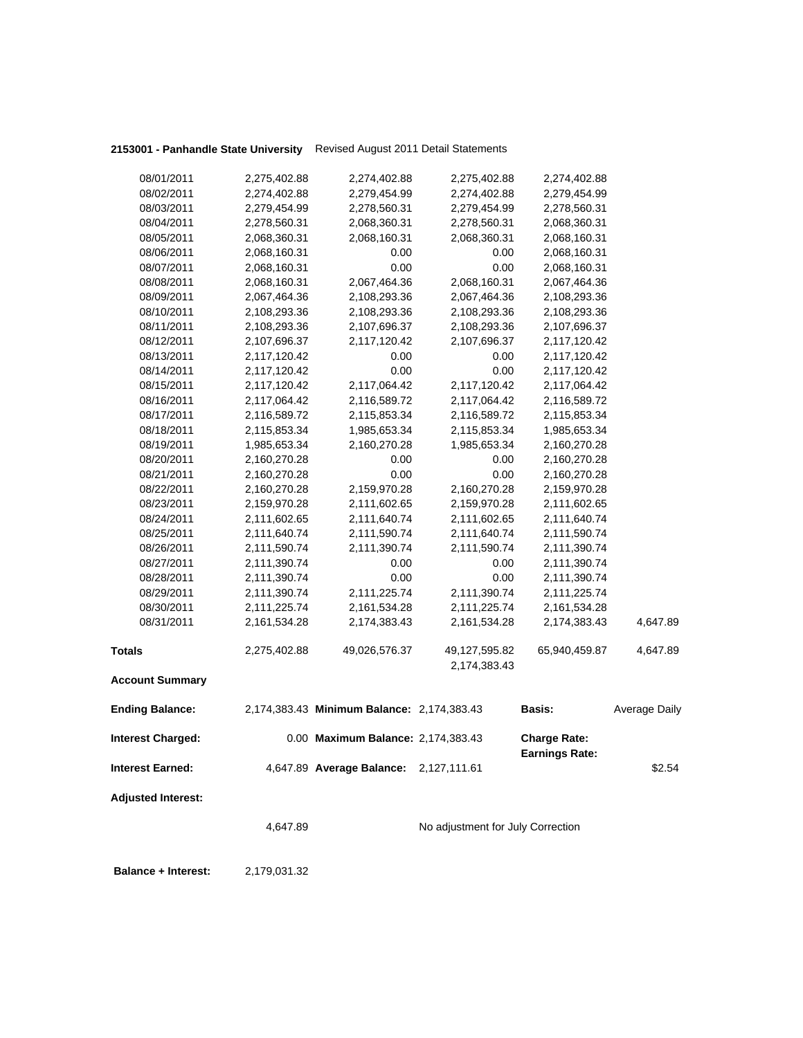**2153001 - Panhandle State University** Revised August 2011 Detail Statements

| 08/01/2011                 | 2,275,402.88 | 2,274,402.88                               | 2,275,402.88                      | 2,274,402.88          |               |
|----------------------------|--------------|--------------------------------------------|-----------------------------------|-----------------------|---------------|
| 08/02/2011                 | 2,274,402.88 | 2,279,454.99                               | 2,274,402.88                      | 2,279,454.99          |               |
| 08/03/2011                 | 2,279,454.99 | 2,278,560.31                               | 2,279,454.99                      | 2,278,560.31          |               |
| 08/04/2011                 | 2,278,560.31 | 2,068,360.31                               | 2,278,560.31                      | 2,068,360.31          |               |
| 08/05/2011                 | 2,068,360.31 | 2,068,160.31                               | 2,068,360.31                      | 2,068,160.31          |               |
| 08/06/2011                 | 2,068,160.31 | 0.00                                       | 0.00                              | 2,068,160.31          |               |
| 08/07/2011                 | 2,068,160.31 | 0.00                                       | 0.00                              | 2,068,160.31          |               |
| 08/08/2011                 | 2,068,160.31 | 2,067,464.36                               | 2,068,160.31                      | 2,067,464.36          |               |
| 08/09/2011                 | 2,067,464.36 | 2,108,293.36                               | 2,067,464.36                      | 2,108,293.36          |               |
| 08/10/2011                 | 2,108,293.36 | 2,108,293.36                               | 2,108,293.36                      | 2,108,293.36          |               |
| 08/11/2011                 | 2,108,293.36 | 2,107,696.37                               | 2,108,293.36                      | 2,107,696.37          |               |
| 08/12/2011                 | 2,107,696.37 | 2,117,120.42                               | 2,107,696.37                      | 2,117,120.42          |               |
| 08/13/2011                 | 2,117,120.42 | 0.00                                       | 0.00                              | 2,117,120.42          |               |
| 08/14/2011                 | 2,117,120.42 | 0.00                                       | 0.00                              | 2,117,120.42          |               |
| 08/15/2011                 | 2,117,120.42 | 2,117,064.42                               | 2,117,120.42                      | 2,117,064.42          |               |
| 08/16/2011                 | 2,117,064.42 | 2,116,589.72                               | 2,117,064.42                      | 2,116,589.72          |               |
| 08/17/2011                 | 2,116,589.72 | 2,115,853.34                               | 2,116,589.72                      | 2,115,853.34          |               |
| 08/18/2011                 | 2,115,853.34 | 1,985,653.34                               | 2,115,853.34                      |                       |               |
| 08/19/2011                 | 1,985,653.34 |                                            | 1,985,653.34                      | 1,985,653.34          |               |
|                            |              | 2,160,270.28                               |                                   | 2,160,270.28          |               |
| 08/20/2011<br>08/21/2011   | 2,160,270.28 | 0.00                                       | 0.00                              | 2,160,270.28          |               |
|                            | 2,160,270.28 | 0.00                                       | 0.00                              | 2,160,270.28          |               |
| 08/22/2011                 | 2,160,270.28 | 2,159,970.28                               | 2,160,270.28                      | 2,159,970.28          |               |
| 08/23/2011                 | 2,159,970.28 | 2,111,602.65                               | 2,159,970.28                      | 2,111,602.65          |               |
| 08/24/2011                 | 2,111,602.65 | 2,111,640.74                               | 2,111,602.65                      | 2,111,640.74          |               |
| 08/25/2011                 | 2,111,640.74 | 2,111,590.74                               | 2,111,640.74                      | 2,111,590.74          |               |
| 08/26/2011                 | 2,111,590.74 | 2,111,390.74                               | 2,111,590.74                      | 2,111,390.74          |               |
| 08/27/2011                 | 2,111,390.74 | 0.00                                       | 0.00                              | 2,111,390.74          |               |
| 08/28/2011                 | 2,111,390.74 | 0.00                                       | 0.00                              | 2,111,390.74          |               |
| 08/29/2011                 | 2,111,390.74 | 2,111,225.74                               | 2,111,390.74                      | 2,111,225.74          |               |
| 08/30/2011                 | 2,111,225.74 | 2,161,534.28                               | 2,111,225.74                      | 2,161,534.28          |               |
| 08/31/2011                 | 2,161,534.28 | 2,174,383.43                               | 2,161,534.28                      | 2,174,383.43          | 4,647.89      |
| <b>Totals</b>              | 2,275,402.88 | 49,026,576.37                              | 49,127,595.82                     | 65,940,459.87         | 4,647.89      |
|                            |              |                                            | 2,174,383.43                      |                       |               |
| <b>Account Summary</b>     |              |                                            |                                   |                       |               |
| <b>Ending Balance:</b>     |              | 2,174,383.43 Minimum Balance: 2,174,383.43 |                                   | Basis:                | Average Daily |
| <b>Interest Charged:</b>   |              | 0.00 Maximum Balance: 2,174,383.43         |                                   | <b>Charge Rate:</b>   |               |
|                            |              |                                            |                                   | <b>Earnings Rate:</b> |               |
| <b>Interest Earned:</b>    |              | 4,647.89 Average Balance: 2,127,111.61     |                                   |                       | \$2.54        |
| <b>Adjusted Interest:</b>  |              |                                            |                                   |                       |               |
|                            | 4,647.89     |                                            | No adjustment for July Correction |                       |               |
|                            |              |                                            |                                   |                       |               |
| <b>Balance + Interest:</b> | 2,179,031.32 |                                            |                                   |                       |               |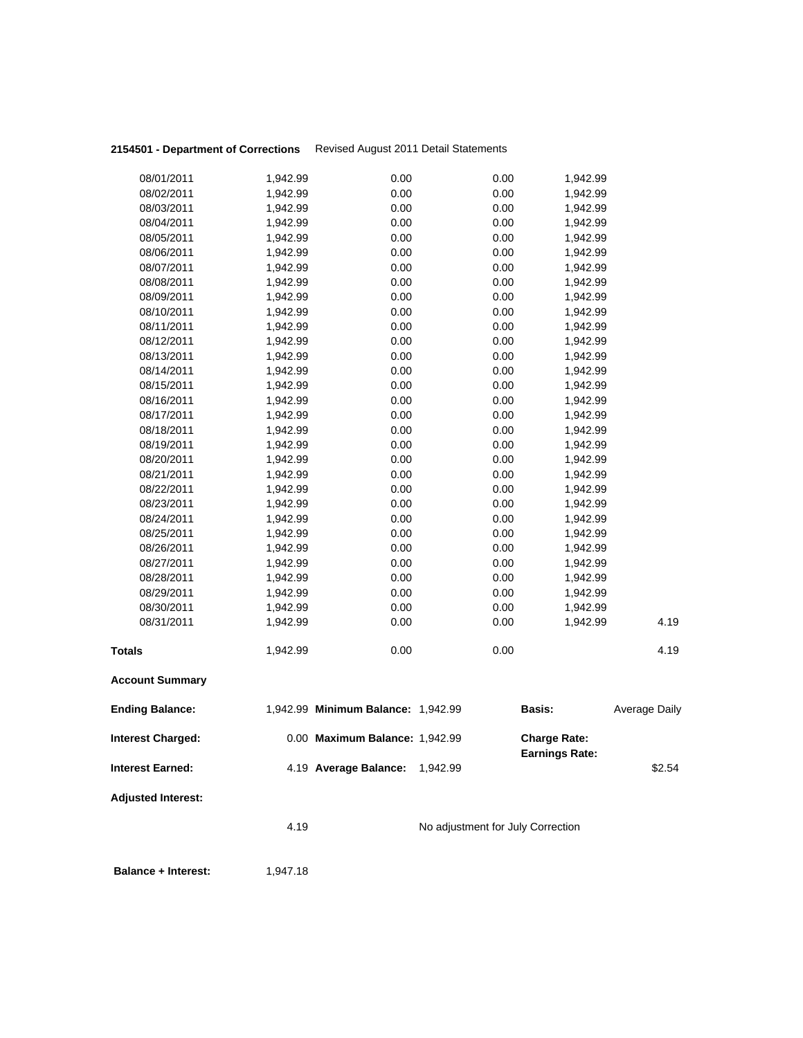## **2154501 - Department of Corrections** Revised August 2011 Detail Statements

|                           | 4.19                 |                                    | No adjustment for July Correction |                                              |                      |
|---------------------------|----------------------|------------------------------------|-----------------------------------|----------------------------------------------|----------------------|
| <b>Adjusted Interest:</b> |                      |                                    |                                   |                                              |                      |
| <b>Interest Earned:</b>   |                      | 4.19 Average Balance: 1,942.99     |                                   |                                              | \$2.54               |
| <b>Interest Charged:</b>  |                      | 0.00 Maximum Balance: 1,942.99     |                                   | <b>Charge Rate:</b><br><b>Earnings Rate:</b> |                      |
| <b>Ending Balance:</b>    |                      | 1,942.99 Minimum Balance: 1,942.99 |                                   | <b>Basis:</b>                                | <b>Average Daily</b> |
| <b>Account Summary</b>    |                      |                                    |                                   |                                              |                      |
| <b>Totals</b>             | 1,942.99             | 0.00                               | 0.00                              |                                              | 4.19                 |
| 08/31/2011                | 1,942.99             | 0.00                               | 0.00                              | 1,942.99                                     | 4.19                 |
| 08/30/2011                | 1,942.99             | 0.00                               | 0.00                              | 1,942.99                                     |                      |
| 08/29/2011                | 1,942.99             | 0.00                               | 0.00                              | 1,942.99                                     |                      |
| 08/28/2011                | 1,942.99             | 0.00                               | 0.00                              | 1,942.99                                     |                      |
| 08/27/2011                | 1,942.99             | 0.00                               | 0.00                              | 1,942.99                                     |                      |
| 08/26/2011                | 1,942.99             | 0.00                               | 0.00                              | 1,942.99                                     |                      |
| 08/25/2011                | 1,942.99             | 0.00                               | 0.00                              | 1,942.99                                     |                      |
| 08/24/2011                | 1,942.99             | 0.00                               | 0.00                              | 1,942.99                                     |                      |
| 08/23/2011                | 1,942.99             | 0.00                               | 0.00                              | 1,942.99                                     |                      |
| 08/22/2011                | 1,942.99             | 0.00                               | 0.00                              | 1,942.99                                     |                      |
| 08/21/2011                | 1,942.99             | 0.00                               | 0.00                              | 1,942.99                                     |                      |
| 08/19/2011<br>08/20/2011  | 1,942.99<br>1,942.99 | 0.00<br>0.00                       | 0.00<br>0.00                      | 1,942.99<br>1,942.99                         |                      |
| 08/18/2011                |                      | 0.00                               | 0.00                              | 1,942.99                                     |                      |
| 08/17/2011                | 1,942.99<br>1,942.99 | 0.00                               | 0.00                              | 1,942.99                                     |                      |
| 08/16/2011                | 1,942.99             | 0.00                               | 0.00                              | 1,942.99                                     |                      |
| 08/15/2011                | 1,942.99             | 0.00                               | 0.00                              | 1,942.99                                     |                      |
| 08/14/2011                | 1,942.99             | 0.00                               | 0.00                              | 1,942.99                                     |                      |
| 08/13/2011                | 1,942.99             | 0.00                               | 0.00                              | 1,942.99                                     |                      |
| 08/12/2011                | 1,942.99             | 0.00                               | 0.00                              | 1,942.99                                     |                      |
| 08/11/2011                | 1,942.99             | 0.00                               | 0.00                              | 1,942.99                                     |                      |
| 08/10/2011                | 1,942.99             | 0.00                               | 0.00                              | 1,942.99                                     |                      |
| 08/09/2011                | 1,942.99             | 0.00                               | 0.00                              | 1,942.99                                     |                      |
| 08/08/2011                | 1,942.99             | 0.00                               | 0.00                              | 1,942.99                                     |                      |
| 08/07/2011                | 1,942.99             | 0.00                               | 0.00                              | 1,942.99                                     |                      |
| 08/06/2011                | 1,942.99             | 0.00                               | 0.00                              | 1,942.99                                     |                      |
| 08/05/2011                | 1,942.99             | 0.00                               | 0.00                              | 1,942.99                                     |                      |
| 08/04/2011                | 1,942.99             | 0.00                               | 0.00                              | 1,942.99                                     |                      |
| 08/03/2011                | 1,942.99             | 0.00                               | 0.00                              | 1,942.99                                     |                      |
| 08/02/2011                | 1,942.99             | 0.00                               | 0.00                              | 1,942.99                                     |                      |
| 08/01/2011                | 1,942.99             | 0.00                               | 0.00                              | 1,942.99                                     |                      |
|                           |                      |                                    |                                   |                                              |                      |

**Balance + Interest:** 1,947.18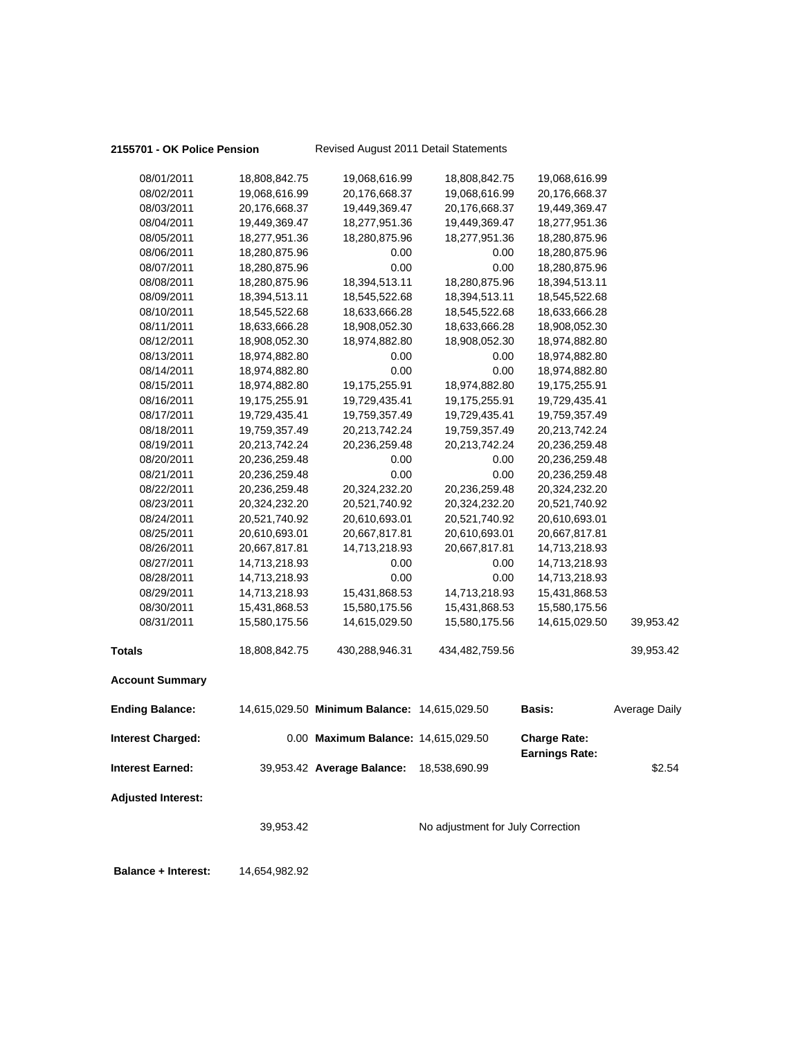#### **2155701 - OK Police Pension** Revised August 2011 Detail Statements

| 08/01/2011                 | 18,808,842.75                  | 19,068,616.99                                | 18,808,842.75                     | 19,068,616.99                                |                      |
|----------------------------|--------------------------------|----------------------------------------------|-----------------------------------|----------------------------------------------|----------------------|
| 08/02/2011                 | 19,068,616.99                  | 20,176,668.37                                | 19,068,616.99                     | 20,176,668.37                                |                      |
| 08/03/2011                 | 20,176,668.37                  | 19,449,369.47                                | 20,176,668.37                     | 19,449,369.47                                |                      |
| 08/04/2011                 | 19,449,369.47                  | 18,277,951.36                                | 19,449,369.47                     | 18,277,951.36                                |                      |
| 08/05/2011                 | 18,277,951.36                  | 18,280,875.96                                | 18,277,951.36                     | 18,280,875.96                                |                      |
| 08/06/2011                 | 18,280,875.96                  | 0.00                                         | 0.00                              | 18,280,875.96                                |                      |
| 08/07/2011                 | 18,280,875.96                  | 0.00                                         | 0.00                              | 18,280,875.96                                |                      |
| 08/08/2011                 | 18,280,875.96                  | 18,394,513.11                                | 18,280,875.96                     | 18,394,513.11                                |                      |
| 08/09/2011                 | 18,394,513.11                  | 18,545,522.68                                | 18,394,513.11                     | 18,545,522.68                                |                      |
| 08/10/2011                 | 18,545,522.68                  | 18,633,666.28                                | 18,545,522.68                     | 18,633,666.28                                |                      |
| 08/11/2011                 | 18,633,666.28                  | 18,908,052.30                                | 18,633,666.28                     | 18,908,052.30                                |                      |
| 08/12/2011                 | 18,908,052.30                  | 18,974,882.80                                | 18,908,052.30                     | 18,974,882.80                                |                      |
| 08/13/2011                 | 18,974,882.80                  | 0.00                                         | 0.00                              | 18,974,882.80                                |                      |
| 08/14/2011                 | 18,974,882.80                  | 0.00                                         | 0.00                              | 18,974,882.80                                |                      |
| 08/15/2011                 | 18,974,882.80                  | 19,175,255.91                                | 18,974,882.80                     | 19,175,255.91                                |                      |
| 08/16/2011                 | 19,175,255.91                  | 19,729,435.41                                | 19,175,255.91                     | 19,729,435.41                                |                      |
| 08/17/2011                 | 19,729,435.41                  | 19,759,357.49                                | 19,729,435.41                     | 19,759,357.49                                |                      |
| 08/18/2011                 | 19,759,357.49                  | 20,213,742.24                                | 19,759,357.49                     | 20,213,742.24                                |                      |
| 08/19/2011                 | 20,213,742.24                  | 20,236,259.48                                | 20,213,742.24                     | 20,236,259.48                                |                      |
| 08/20/2011                 | 20,236,259.48                  | 0.00                                         | 0.00                              | 20,236,259.48                                |                      |
| 08/21/2011                 | 20,236,259.48                  | 0.00                                         | 0.00                              | 20,236,259.48                                |                      |
| 08/22/2011                 | 20,236,259.48                  | 20,324,232.20                                | 20,236,259.48                     | 20,324,232.20                                |                      |
| 08/23/2011                 |                                |                                              |                                   | 20,521,740.92                                |                      |
| 08/24/2011                 | 20,324,232.20<br>20,521,740.92 | 20,521,740.92                                | 20,324,232.20                     |                                              |                      |
|                            |                                | 20,610,693.01                                | 20,521,740.92                     | 20,610,693.01                                |                      |
| 08/25/2011                 | 20,610,693.01                  | 20,667,817.81                                | 20,610,693.01                     | 20,667,817.81                                |                      |
| 08/26/2011                 | 20,667,817.81                  | 14,713,218.93                                | 20,667,817.81                     | 14,713,218.93                                |                      |
| 08/27/2011                 | 14,713,218.93                  | 0.00                                         | 0.00                              | 14,713,218.93                                |                      |
| 08/28/2011                 | 14,713,218.93                  | 0.00                                         | 0.00                              | 14,713,218.93                                |                      |
| 08/29/2011                 | 14,713,218.93                  | 15,431,868.53                                | 14,713,218.93                     | 15,431,868.53                                |                      |
| 08/30/2011                 | 15,431,868.53                  | 15,580,175.56                                | 15,431,868.53                     | 15,580,175.56                                |                      |
| 08/31/2011                 | 15,580,175.56                  | 14,615,029.50                                | 15,580,175.56                     | 14,615,029.50                                | 39,953.42            |
| <b>Totals</b>              | 18,808,842.75                  | 430,288,946.31                               | 434,482,759.56                    |                                              | 39,953.42            |
| <b>Account Summary</b>     |                                |                                              |                                   |                                              |                      |
| <b>Ending Balance:</b>     |                                | 14,615,029.50 Minimum Balance: 14,615,029.50 |                                   | Basis:                                       | <b>Average Daily</b> |
| Interest Charged:          |                                | 0.00 Maximum Balance: 14,615,029.50          |                                   | <b>Charge Rate:</b><br><b>Earnings Rate:</b> |                      |
| <b>Interest Earned:</b>    |                                | 39,953.42 Average Balance:                   | 18,538,690.99                     |                                              | \$2.54               |
| <b>Adjusted Interest:</b>  |                                |                                              |                                   |                                              |                      |
|                            | 39,953.42                      |                                              | No adjustment for July Correction |                                              |                      |
| <b>Balance + Interest:</b> | 14,654,982.92                  |                                              |                                   |                                              |                      |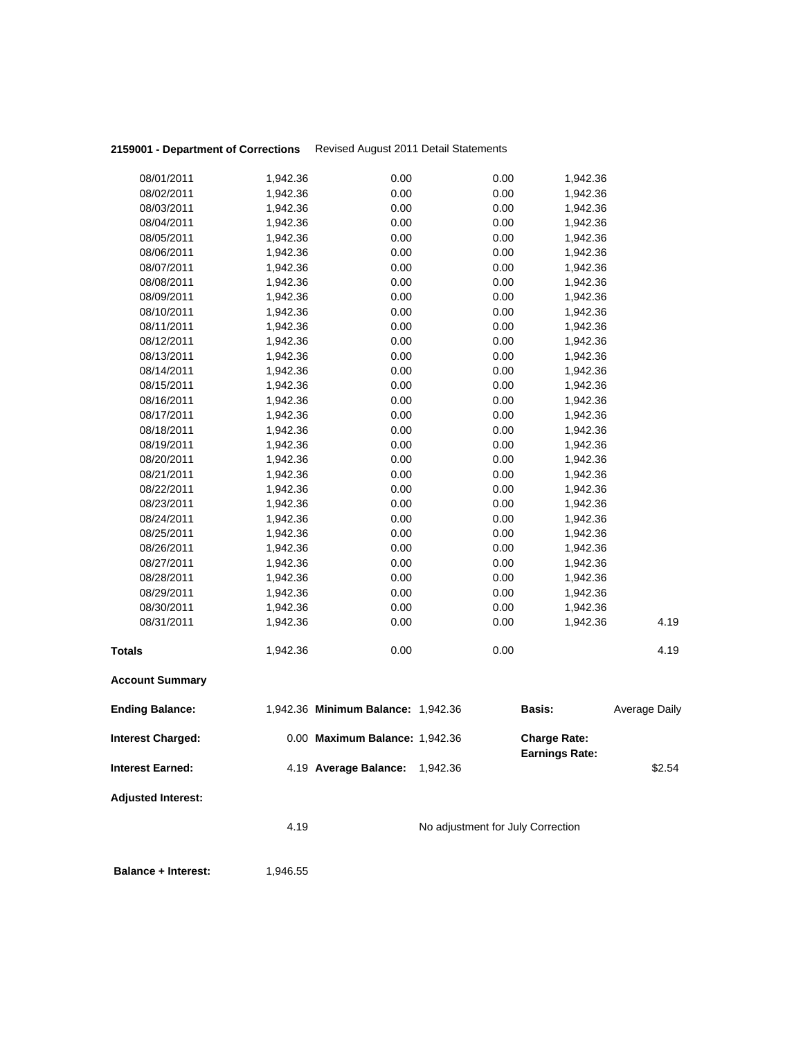## **2159001 - Department of Corrections** Revised August 2011 Detail Statements

| 08/01/2011                | 1,942.36 | 0.00                               |                                   | 0.00 | 1,942.36                                     |                      |
|---------------------------|----------|------------------------------------|-----------------------------------|------|----------------------------------------------|----------------------|
| 08/02/2011                | 1,942.36 | 0.00                               |                                   | 0.00 | 1,942.36                                     |                      |
| 08/03/2011                | 1,942.36 | 0.00                               |                                   | 0.00 | 1,942.36                                     |                      |
| 08/04/2011                | 1,942.36 | 0.00                               |                                   | 0.00 | 1,942.36                                     |                      |
| 08/05/2011                | 1,942.36 | 0.00                               |                                   | 0.00 | 1,942.36                                     |                      |
| 08/06/2011                | 1,942.36 | 0.00                               |                                   | 0.00 | 1,942.36                                     |                      |
| 08/07/2011                | 1,942.36 | 0.00                               |                                   | 0.00 | 1,942.36                                     |                      |
| 08/08/2011                | 1,942.36 | 0.00                               |                                   | 0.00 | 1,942.36                                     |                      |
| 08/09/2011                | 1,942.36 | 0.00                               |                                   | 0.00 | 1,942.36                                     |                      |
| 08/10/2011                | 1,942.36 | 0.00                               |                                   | 0.00 | 1,942.36                                     |                      |
| 08/11/2011                | 1,942.36 | 0.00                               |                                   | 0.00 | 1,942.36                                     |                      |
| 08/12/2011                | 1,942.36 | 0.00                               |                                   | 0.00 | 1,942.36                                     |                      |
| 08/13/2011                | 1,942.36 | 0.00                               |                                   | 0.00 | 1,942.36                                     |                      |
| 08/14/2011                | 1,942.36 | 0.00                               |                                   | 0.00 | 1,942.36                                     |                      |
| 08/15/2011                | 1,942.36 | 0.00                               |                                   | 0.00 | 1,942.36                                     |                      |
| 08/16/2011                | 1,942.36 | 0.00                               |                                   | 0.00 | 1,942.36                                     |                      |
| 08/17/2011                | 1,942.36 | 0.00                               |                                   | 0.00 | 1,942.36                                     |                      |
| 08/18/2011                | 1,942.36 | 0.00                               |                                   | 0.00 | 1,942.36                                     |                      |
| 08/19/2011                | 1,942.36 | 0.00                               |                                   | 0.00 | 1,942.36                                     |                      |
| 08/20/2011                | 1,942.36 | 0.00                               |                                   | 0.00 | 1,942.36                                     |                      |
| 08/21/2011                | 1,942.36 | 0.00                               |                                   | 0.00 | 1,942.36                                     |                      |
| 08/22/2011                | 1,942.36 | 0.00                               |                                   | 0.00 | 1,942.36                                     |                      |
| 08/23/2011                | 1,942.36 | 0.00                               |                                   | 0.00 | 1,942.36                                     |                      |
| 08/24/2011                | 1,942.36 | 0.00                               |                                   | 0.00 | 1,942.36                                     |                      |
| 08/25/2011                | 1,942.36 | 0.00                               |                                   | 0.00 | 1,942.36                                     |                      |
| 08/26/2011                | 1,942.36 | 0.00                               |                                   | 0.00 | 1,942.36                                     |                      |
| 08/27/2011                | 1,942.36 | 0.00                               |                                   | 0.00 | 1,942.36                                     |                      |
| 08/28/2011                | 1,942.36 | 0.00                               |                                   | 0.00 | 1,942.36                                     |                      |
| 08/29/2011                | 1,942.36 | 0.00                               |                                   | 0.00 | 1,942.36                                     |                      |
| 08/30/2011                | 1,942.36 | 0.00                               |                                   | 0.00 | 1,942.36                                     |                      |
| 08/31/2011                | 1,942.36 | 0.00                               |                                   | 0.00 | 1,942.36                                     | 4.19                 |
| <b>Totals</b>             | 1,942.36 | 0.00                               |                                   | 0.00 |                                              | 4.19                 |
| <b>Account Summary</b>    |          |                                    |                                   |      |                                              |                      |
| <b>Ending Balance:</b>    |          | 1,942.36 Minimum Balance: 1,942.36 |                                   |      | <b>Basis:</b>                                | <b>Average Daily</b> |
| <b>Interest Charged:</b>  |          | 0.00 Maximum Balance: 1,942.36     |                                   |      | <b>Charge Rate:</b><br><b>Earnings Rate:</b> |                      |
| <b>Interest Earned:</b>   |          | 4.19 Average Balance: 1,942.36     |                                   |      |                                              | \$2.54               |
| <b>Adjusted Interest:</b> |          |                                    |                                   |      |                                              |                      |
|                           | 4.19     |                                    | No adjustment for July Correction |      |                                              |                      |
|                           |          |                                    |                                   |      |                                              |                      |

**Balance + Interest:** 1,946.55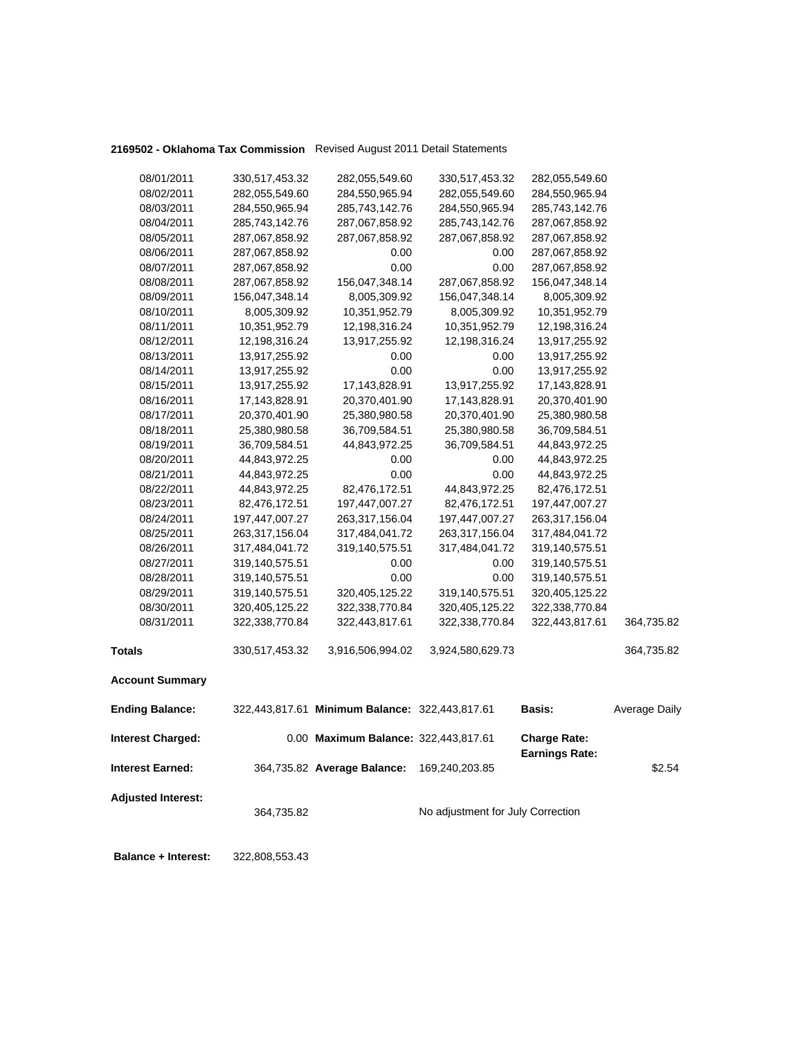## **2169502 - Oklahoma Tax Commission** Revised August 2011 Detail Statements

| 08/01/2011                 | 330,517,453.32 | 282,055,549.60                                 | 330,517,453.32                    | 282,055,549.60                               |               |
|----------------------------|----------------|------------------------------------------------|-----------------------------------|----------------------------------------------|---------------|
| 08/02/2011                 | 282,055,549.60 | 284,550,965.94                                 | 282,055,549.60                    | 284,550,965.94                               |               |
| 08/03/2011                 | 284,550,965.94 | 285,743,142.76                                 | 284,550,965.94                    | 285,743,142.76                               |               |
| 08/04/2011                 | 285,743,142.76 | 287,067,858.92                                 | 285,743,142.76                    | 287,067,858.92                               |               |
| 08/05/2011                 | 287,067,858.92 | 287,067,858.92                                 | 287,067,858.92                    | 287,067,858.92                               |               |
| 08/06/2011                 | 287,067,858.92 | 0.00                                           | 0.00                              | 287,067,858.92                               |               |
| 08/07/2011                 | 287,067,858.92 | 0.00                                           | 0.00                              | 287,067,858.92                               |               |
| 08/08/2011                 | 287,067,858.92 | 156,047,348.14                                 | 287,067,858.92                    | 156,047,348.14                               |               |
| 08/09/2011                 | 156,047,348.14 | 8,005,309.92                                   | 156,047,348.14                    | 8,005,309.92                                 |               |
| 08/10/2011                 | 8,005,309.92   | 10,351,952.79                                  | 8,005,309.92                      | 10,351,952.79                                |               |
| 08/11/2011                 | 10,351,952.79  | 12,198,316.24                                  | 10,351,952.79                     | 12,198,316.24                                |               |
| 08/12/2011                 | 12,198,316.24  | 13,917,255.92                                  | 12,198,316.24                     | 13,917,255.92                                |               |
| 08/13/2011                 | 13,917,255.92  | 0.00                                           | 0.00                              | 13,917,255.92                                |               |
| 08/14/2011                 | 13,917,255.92  | 0.00                                           | 0.00                              | 13,917,255.92                                |               |
| 08/15/2011                 | 13,917,255.92  | 17,143,828.91                                  | 13,917,255.92                     | 17,143,828.91                                |               |
| 08/16/2011                 | 17,143,828.91  | 20,370,401.90                                  | 17,143,828.91                     | 20,370,401.90                                |               |
| 08/17/2011                 | 20,370,401.90  | 25,380,980.58                                  | 20,370,401.90                     | 25,380,980.58                                |               |
| 08/18/2011                 | 25,380,980.58  | 36,709,584.51                                  | 25,380,980.58                     | 36,709,584.51                                |               |
| 08/19/2011                 | 36,709,584.51  | 44,843,972.25                                  | 36,709,584.51                     | 44,843,972.25                                |               |
| 08/20/2011                 | 44,843,972.25  | 0.00                                           | 0.00                              | 44,843,972.25                                |               |
| 08/21/2011                 | 44,843,972.25  | 0.00                                           | 0.00                              | 44,843,972.25                                |               |
| 08/22/2011                 | 44,843,972.25  | 82,476,172.51                                  | 44,843,972.25                     | 82,476,172.51                                |               |
| 08/23/2011                 | 82,476,172.51  | 197,447,007.27                                 | 82,476,172.51                     | 197,447,007.27                               |               |
| 08/24/2011                 | 197,447,007.27 | 263,317,156.04                                 | 197,447,007.27                    | 263,317,156.04                               |               |
| 08/25/2011                 | 263,317,156.04 | 317,484,041.72                                 | 263,317,156.04                    | 317,484,041.72                               |               |
| 08/26/2011                 | 317,484,041.72 | 319,140,575.51                                 | 317,484,041.72                    | 319,140,575.51                               |               |
| 08/27/2011                 | 319,140,575.51 | 0.00                                           | 0.00                              | 319,140,575.51                               |               |
| 08/28/2011                 | 319,140,575.51 | 0.00                                           | 0.00                              | 319,140,575.51                               |               |
| 08/29/2011                 | 319,140,575.51 | 320,405,125.22                                 | 319,140,575.51                    | 320,405,125.22                               |               |
| 08/30/2011                 | 320,405,125.22 | 322,338,770.84                                 | 320,405,125.22                    | 322,338,770.84                               |               |
| 08/31/2011                 | 322,338,770.84 | 322,443,817.61                                 | 322,338,770.84                    | 322,443,817.61                               | 364,735.82    |
| <b>Totals</b>              | 330,517,453.32 | 3,916,506,994.02                               | 3,924,580,629.73                  |                                              | 364,735.82    |
| <b>Account Summary</b>     |                |                                                |                                   |                                              |               |
| <b>Ending Balance:</b>     |                | 322,443,817.61 Minimum Balance: 322,443,817.61 |                                   | <b>Basis:</b>                                | Average Daily |
| <b>Interest Charged:</b>   |                | 0.00 Maximum Balance: 322,443,817.61           |                                   | <b>Charge Rate:</b><br><b>Earnings Rate:</b> |               |
| <b>Interest Earned:</b>    |                | 364,735.82 Average Balance:                    | 169,240,203.85                    |                                              | \$2.54        |
| <b>Adjusted Interest:</b>  | 364,735.82     |                                                | No adjustment for July Correction |                                              |               |
| <b>Balance + Interest:</b> | 322,808,553.43 |                                                |                                   |                                              |               |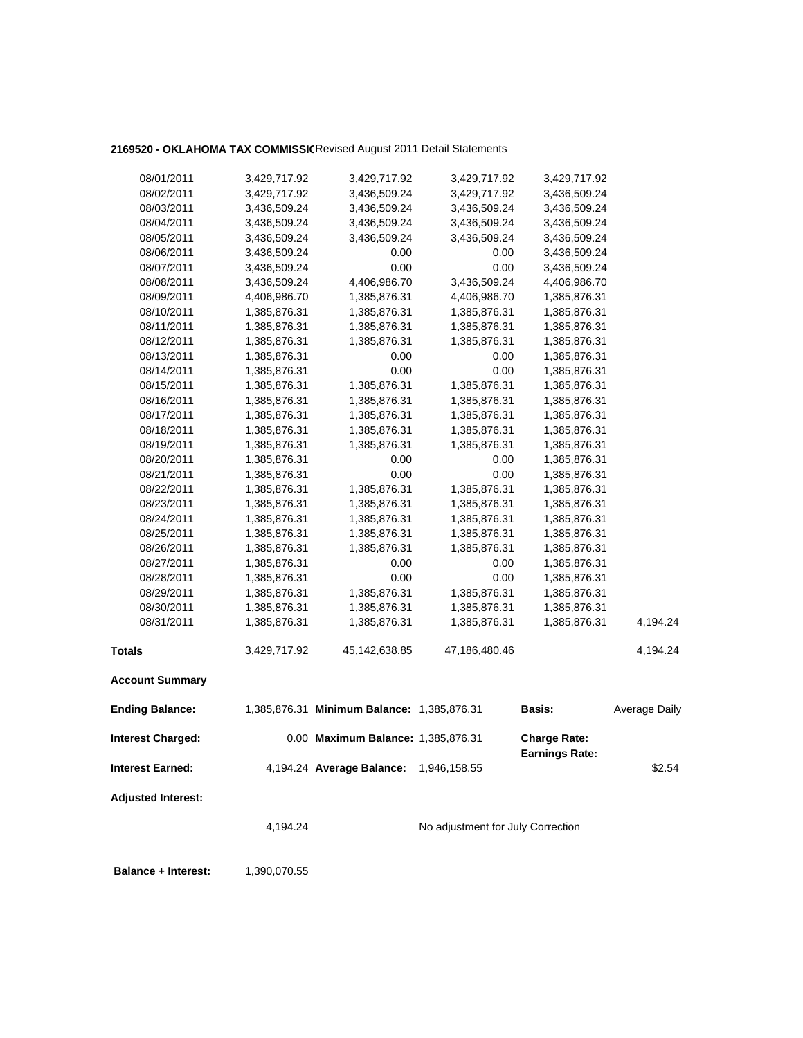### 2169520 - OKLAHOMA TAX COMMISSIC Revised August 2011 Detail Statements

| 08/01/2011                 | 3,429,717.92 | 3,429,717.92                               | 3,429,717.92                      | 3,429,717.92                                 |                      |
|----------------------------|--------------|--------------------------------------------|-----------------------------------|----------------------------------------------|----------------------|
| 08/02/2011                 | 3,429,717.92 | 3,436,509.24                               | 3,429,717.92                      | 3,436,509.24                                 |                      |
| 08/03/2011                 | 3,436,509.24 | 3,436,509.24                               | 3,436,509.24                      | 3,436,509.24                                 |                      |
| 08/04/2011                 | 3,436,509.24 | 3,436,509.24                               | 3,436,509.24                      | 3,436,509.24                                 |                      |
| 08/05/2011                 | 3,436,509.24 | 3,436,509.24                               | 3,436,509.24                      | 3,436,509.24                                 |                      |
| 08/06/2011                 | 3,436,509.24 | 0.00                                       | 0.00                              | 3,436,509.24                                 |                      |
| 08/07/2011                 | 3,436,509.24 | 0.00                                       | 0.00                              | 3,436,509.24                                 |                      |
| 08/08/2011                 | 3,436,509.24 | 4,406,986.70                               | 3,436,509.24                      | 4,406,986.70                                 |                      |
| 08/09/2011                 | 4,406,986.70 | 1,385,876.31                               | 4,406,986.70                      | 1,385,876.31                                 |                      |
| 08/10/2011                 | 1,385,876.31 | 1,385,876.31                               | 1,385,876.31                      | 1,385,876.31                                 |                      |
| 08/11/2011                 | 1,385,876.31 | 1,385,876.31                               | 1,385,876.31                      | 1,385,876.31                                 |                      |
| 08/12/2011                 | 1,385,876.31 | 1,385,876.31                               | 1,385,876.31                      | 1,385,876.31                                 |                      |
| 08/13/2011                 | 1,385,876.31 | 0.00                                       | 0.00                              | 1,385,876.31                                 |                      |
| 08/14/2011                 | 1,385,876.31 | 0.00                                       | 0.00                              | 1,385,876.31                                 |                      |
|                            |              |                                            |                                   |                                              |                      |
| 08/15/2011                 | 1,385,876.31 | 1,385,876.31                               | 1,385,876.31                      | 1,385,876.31                                 |                      |
| 08/16/2011                 | 1,385,876.31 | 1,385,876.31                               | 1,385,876.31                      | 1,385,876.31                                 |                      |
| 08/17/2011                 | 1,385,876.31 | 1,385,876.31                               | 1,385,876.31                      | 1,385,876.31                                 |                      |
| 08/18/2011                 | 1,385,876.31 | 1,385,876.31                               | 1,385,876.31                      | 1,385,876.31                                 |                      |
| 08/19/2011                 | 1,385,876.31 | 1,385,876.31                               | 1,385,876.31                      | 1,385,876.31                                 |                      |
| 08/20/2011                 | 1,385,876.31 | 0.00                                       | 0.00                              | 1,385,876.31                                 |                      |
| 08/21/2011                 | 1,385,876.31 | 0.00                                       | 0.00                              | 1,385,876.31                                 |                      |
| 08/22/2011                 | 1,385,876.31 | 1,385,876.31                               | 1,385,876.31                      | 1,385,876.31                                 |                      |
| 08/23/2011                 | 1,385,876.31 | 1,385,876.31                               | 1,385,876.31                      | 1,385,876.31                                 |                      |
| 08/24/2011                 | 1,385,876.31 | 1,385,876.31                               | 1,385,876.31                      | 1,385,876.31                                 |                      |
| 08/25/2011                 | 1,385,876.31 | 1,385,876.31                               | 1,385,876.31                      | 1,385,876.31                                 |                      |
| 08/26/2011                 | 1,385,876.31 | 1,385,876.31                               | 1,385,876.31                      | 1,385,876.31                                 |                      |
| 08/27/2011                 | 1,385,876.31 | 0.00                                       | 0.00                              | 1,385,876.31                                 |                      |
| 08/28/2011                 | 1,385,876.31 | 0.00                                       | 0.00                              | 1,385,876.31                                 |                      |
| 08/29/2011                 | 1,385,876.31 | 1,385,876.31                               | 1,385,876.31                      | 1,385,876.31                                 |                      |
| 08/30/2011                 | 1,385,876.31 | 1,385,876.31                               | 1,385,876.31                      | 1,385,876.31                                 |                      |
| 08/31/2011                 | 1,385,876.31 | 1,385,876.31                               | 1,385,876.31                      | 1,385,876.31                                 | 4,194.24             |
| <b>Totals</b>              | 3,429,717.92 | 45,142,638.85                              | 47,186,480.46                     |                                              | 4,194.24             |
| <b>Account Summary</b>     |              |                                            |                                   |                                              |                      |
| <b>Ending Balance:</b>     |              | 1,385,876.31 Minimum Balance: 1,385,876.31 |                                   | <b>Basis:</b>                                | <b>Average Daily</b> |
| Interest Charged:          |              | 0.00 Maximum Balance: 1,385,876.31         |                                   | <b>Charge Rate:</b><br><b>Earnings Rate:</b> |                      |
| <b>Interest Earned:</b>    |              | 4,194.24 Average Balance:                  | 1,946,158.55                      |                                              | \$2.54               |
| <b>Adjusted Interest:</b>  |              |                                            |                                   |                                              |                      |
|                            | 4,194.24     |                                            | No adjustment for July Correction |                                              |                      |
|                            |              |                                            |                                   |                                              |                      |
| <b>Balance + Interest:</b> | 1,390,070.55 |                                            |                                   |                                              |                      |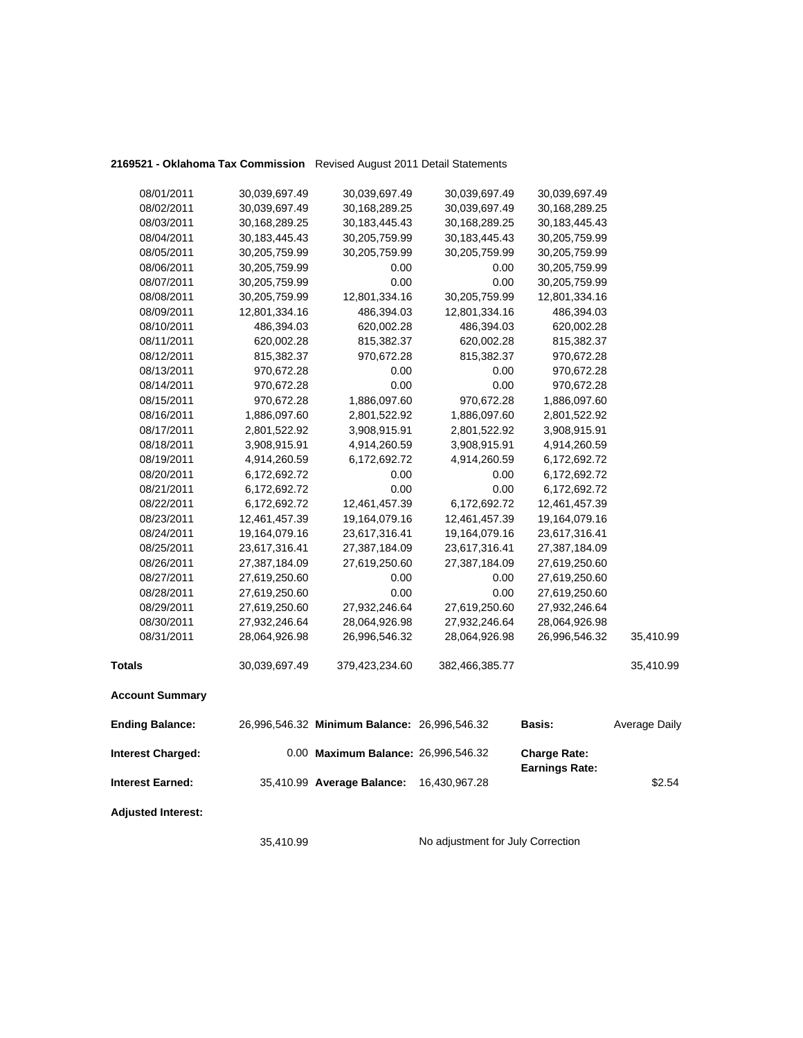### **2169521 - Oklahoma Tax Commission** Revised August 2011 Detail Statements

| 08/01/2011                | 30,039,697.49    | 30,039,697.49                                | 30,039,697.49    | 30,039,697.49                                |               |
|---------------------------|------------------|----------------------------------------------|------------------|----------------------------------------------|---------------|
| 08/02/2011                | 30,039,697.49    | 30,168,289.25                                | 30,039,697.49    | 30,168,289.25                                |               |
| 08/03/2011                | 30,168,289.25    | 30,183,445.43                                | 30,168,289.25    | 30, 183, 445. 43                             |               |
| 08/04/2011                | 30, 183, 445. 43 | 30,205,759.99                                | 30, 183, 445. 43 | 30,205,759.99                                |               |
| 08/05/2011                | 30,205,759.99    | 30,205,759.99                                | 30,205,759.99    | 30,205,759.99                                |               |
| 08/06/2011                | 30,205,759.99    | 0.00                                         | 0.00             | 30,205,759.99                                |               |
| 08/07/2011                | 30,205,759.99    | 0.00                                         | 0.00             | 30,205,759.99                                |               |
| 08/08/2011                | 30,205,759.99    | 12,801,334.16                                | 30,205,759.99    | 12,801,334.16                                |               |
| 08/09/2011                | 12,801,334.16    | 486,394.03                                   | 12,801,334.16    | 486,394.03                                   |               |
| 08/10/2011                | 486,394.03       | 620,002.28                                   | 486,394.03       | 620,002.28                                   |               |
| 08/11/2011                | 620,002.28       | 815,382.37                                   | 620,002.28       | 815,382.37                                   |               |
| 08/12/2011                | 815,382.37       | 970,672.28                                   | 815,382.37       | 970,672.28                                   |               |
| 08/13/2011                | 970,672.28       | 0.00                                         | 0.00             | 970,672.28                                   |               |
| 08/14/2011                | 970,672.28       | 0.00                                         | 0.00             | 970,672.28                                   |               |
| 08/15/2011                | 970,672.28       | 1,886,097.60                                 | 970,672.28       | 1,886,097.60                                 |               |
| 08/16/2011                | 1,886,097.60     | 2,801,522.92                                 | 1,886,097.60     | 2,801,522.92                                 |               |
| 08/17/2011                | 2,801,522.92     | 3,908,915.91                                 | 2,801,522.92     | 3,908,915.91                                 |               |
| 08/18/2011                | 3,908,915.91     | 4,914,260.59                                 | 3,908,915.91     | 4,914,260.59                                 |               |
| 08/19/2011                | 4,914,260.59     | 6,172,692.72                                 | 4,914,260.59     | 6,172,692.72                                 |               |
| 08/20/2011                | 6,172,692.72     | 0.00                                         | 0.00             | 6,172,692.72                                 |               |
| 08/21/2011                | 6,172,692.72     | 0.00                                         | 0.00             | 6,172,692.72                                 |               |
| 08/22/2011                | 6,172,692.72     | 12,461,457.39                                | 6,172,692.72     | 12,461,457.39                                |               |
| 08/23/2011                | 12,461,457.39    | 19,164,079.16                                | 12,461,457.39    | 19,164,079.16                                |               |
| 08/24/2011                | 19,164,079.16    | 23,617,316.41                                | 19,164,079.16    | 23,617,316.41                                |               |
| 08/25/2011                | 23,617,316.41    | 27,387,184.09                                | 23,617,316.41    | 27,387,184.09                                |               |
| 08/26/2011                | 27,387,184.09    | 27,619,250.60                                | 27,387,184.09    | 27,619,250.60                                |               |
| 08/27/2011                | 27,619,250.60    | 0.00                                         | 0.00             | 27,619,250.60                                |               |
| 08/28/2011                | 27,619,250.60    | 0.00                                         | 0.00             | 27,619,250.60                                |               |
| 08/29/2011                | 27,619,250.60    | 27,932,246.64                                | 27,619,250.60    | 27,932,246.64                                |               |
| 08/30/2011                | 27,932,246.64    | 28,064,926.98                                | 27,932,246.64    | 28,064,926.98                                |               |
| 08/31/2011                | 28,064,926.98    | 26,996,546.32                                | 28,064,926.98    | 26,996,546.32                                | 35,410.99     |
| <b>Totals</b>             | 30,039,697.49    | 379,423,234.60                               | 382,466,385.77   |                                              | 35,410.99     |
| <b>Account Summary</b>    |                  |                                              |                  |                                              |               |
| <b>Ending Balance:</b>    |                  | 26,996,546.32 Minimum Balance: 26,996,546.32 |                  | Basis:                                       | Average Daily |
| <b>Interest Charged:</b>  |                  | 0.00 Maximum Balance: 26,996,546.32          |                  | <b>Charge Rate:</b><br><b>Earnings Rate:</b> |               |
| <b>Interest Earned:</b>   |                  | 35,410.99 Average Balance:                   | 16,430,967.28    |                                              | \$2.54        |
| <b>Adjusted Interest:</b> |                  |                                              |                  |                                              |               |

35,410.99 No adjustment for July Correction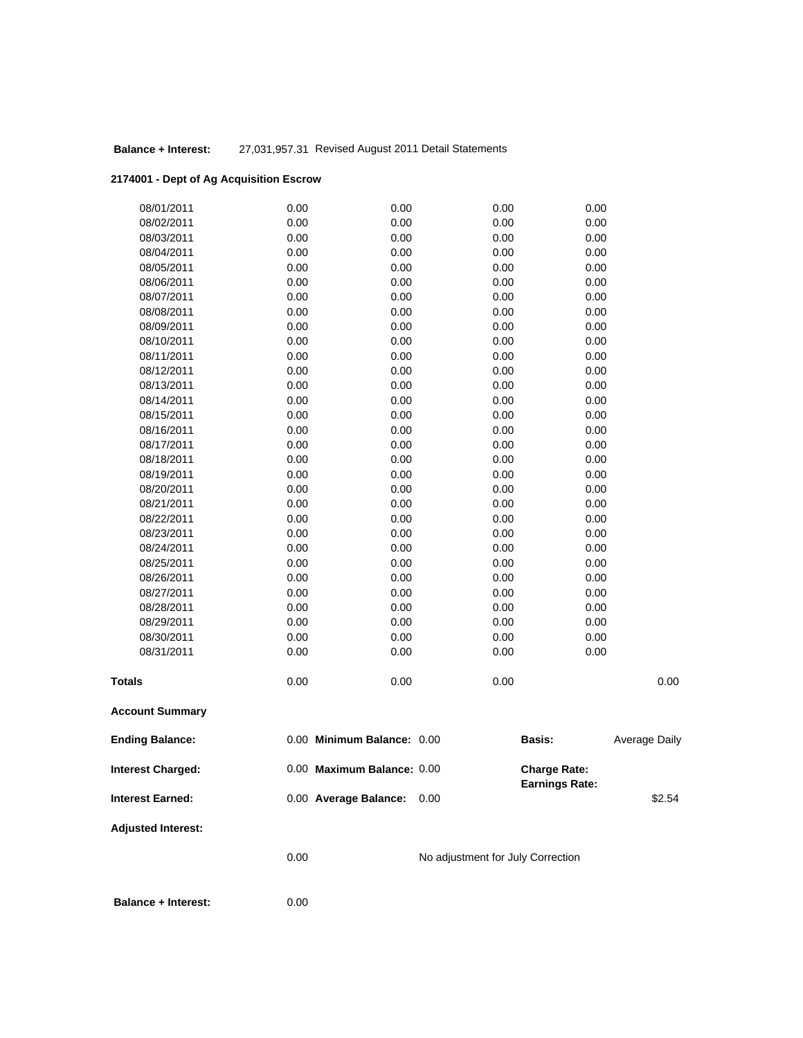### **Balance + Interest:** 27,031,957.31 Revised August 2011 Detail Statements

## **2174001 - Dept of Ag Acquisition Escrow**

| <b>Balance + Interest:</b> | 0.00         |                            |                                   |                                       |               |
|----------------------------|--------------|----------------------------|-----------------------------------|---------------------------------------|---------------|
|                            | 0.00         |                            | No adjustment for July Correction |                                       |               |
| <b>Adjusted Interest:</b>  |              |                            |                                   |                                       |               |
| <b>Interest Earned:</b>    |              | 0.00 Average Balance:      | 0.00                              |                                       | \$2.54        |
| <b>Interest Charged:</b>   |              | 0.00 Maximum Balance: 0.00 |                                   | <b>Charge Rate:</b><br>Earnings Rate: |               |
| <b>Ending Balance:</b>     |              | 0.00 Minimum Balance: 0.00 |                                   | <b>Basis:</b>                         | Average Daily |
| <b>Account Summary</b>     |              |                            |                                   |                                       |               |
| Totals                     | 0.00         | 0.00                       | 0.00                              |                                       | 0.00          |
| 08/31/2011                 | 0.00         | 0.00                       | 0.00                              | 0.00                                  |               |
| 08/30/2011                 | 0.00         | 0.00                       | 0.00                              | 0.00                                  |               |
| 08/29/2011                 | 0.00         | 0.00                       | 0.00                              | 0.00                                  |               |
| 08/28/2011                 | 0.00         | 0.00                       | 0.00                              | 0.00                                  |               |
| 08/27/2011                 | 0.00         | 0.00                       | 0.00                              | 0.00                                  |               |
| 08/26/2011                 | 0.00         | 0.00                       | 0.00                              | 0.00                                  |               |
| 08/25/2011                 | 0.00         | 0.00                       | 0.00                              | 0.00                                  |               |
| 08/24/2011                 | 0.00         | 0.00                       | 0.00                              | 0.00                                  |               |
| 08/23/2011                 | 0.00         | 0.00                       | 0.00                              | 0.00                                  |               |
| 08/22/2011                 | 0.00         | 0.00                       | 0.00                              | 0.00                                  |               |
| 08/21/2011                 | 0.00         | 0.00                       | 0.00                              | 0.00                                  |               |
| 08/20/2011                 | 0.00         | 0.00                       | 0.00                              | 0.00                                  |               |
| 08/19/2011                 | 0.00         | 0.00                       | 0.00                              | 0.00                                  |               |
| 08/18/2011                 | 0.00         | 0.00                       | 0.00                              | 0.00                                  |               |
| 08/17/2011                 | 0.00         | 0.00                       | 0.00                              | 0.00                                  |               |
| 08/16/2011                 | 0.00         | 0.00                       | 0.00                              | 0.00                                  |               |
| 08/15/2011                 | 0.00         | 0.00                       | 0.00                              | 0.00                                  |               |
| 08/14/2011                 | 0.00         | 0.00                       | 0.00                              | 0.00                                  |               |
| 08/13/2011                 | 0.00         | 0.00                       | 0.00                              | 0.00                                  |               |
| 08/11/2011<br>08/12/2011   | 0.00<br>0.00 | 0.00<br>0.00               | 0.00<br>0.00                      | 0.00<br>0.00                          |               |
| 08/10/2011                 | 0.00         | 0.00                       | 0.00                              | 0.00                                  |               |
| 08/09/2011                 | 0.00         | 0.00                       | 0.00                              | 0.00                                  |               |
| 08/08/2011                 | 0.00         | 0.00                       | 0.00                              | 0.00                                  |               |
| 08/07/2011                 | 0.00         | 0.00                       | 0.00                              | 0.00                                  |               |
| 08/06/2011                 | 0.00         | 0.00                       | 0.00                              | 0.00                                  |               |
| 08/05/2011                 | 0.00         | 0.00                       | 0.00                              | 0.00                                  |               |
| 08/04/2011                 | 0.00         | 0.00                       | 0.00                              | 0.00                                  |               |
| 08/03/2011                 | 0.00         | 0.00                       | 0.00                              | 0.00                                  |               |
| 08/02/2011                 | 0.00         | 0.00                       | 0.00                              | 0.00                                  |               |
| 08/01/2011                 | 0.00         | 0.00                       | 0.00                              | 0.00                                  |               |
|                            |              |                            |                                   |                                       |               |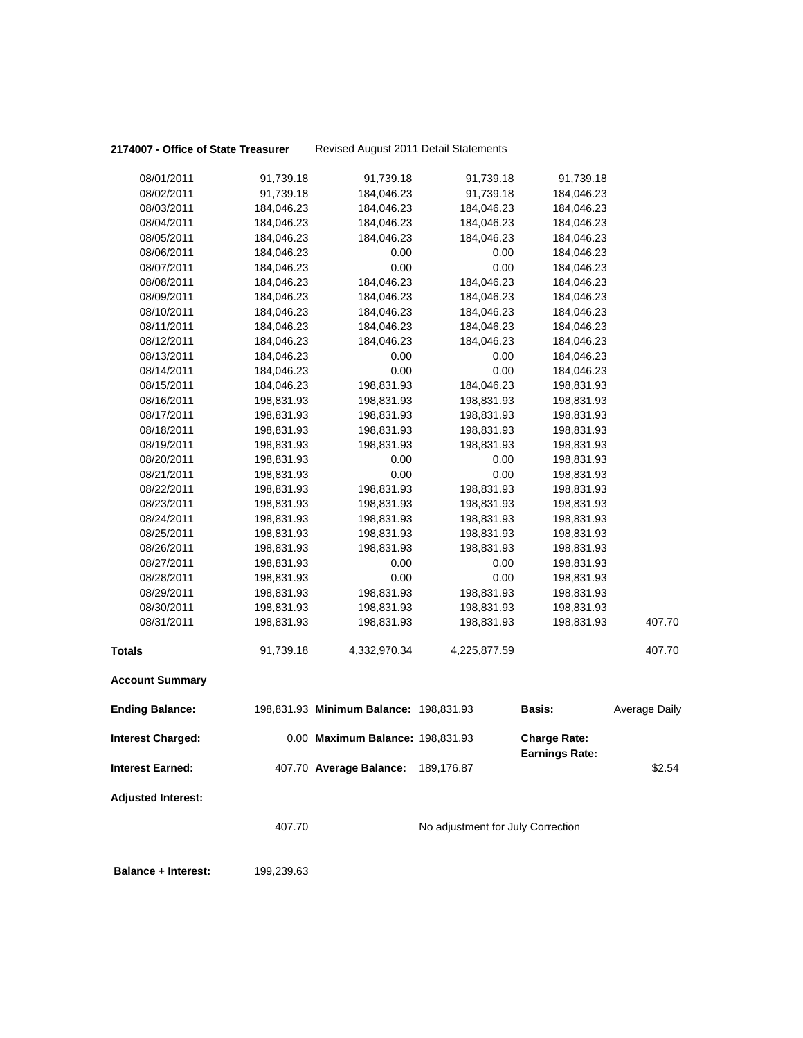#### 2174007 - Office of State Treasurer Revised August 2011 Detail Statements

| <b>Balance + Interest:</b> | 199,239.63 |                                        |                                   |                                       |                      |
|----------------------------|------------|----------------------------------------|-----------------------------------|---------------------------------------|----------------------|
|                            | 407.70     |                                        | No adjustment for July Correction |                                       |                      |
| <b>Adjusted Interest:</b>  |            |                                        |                                   |                                       |                      |
| <b>Interest Earned:</b>    |            | 407.70 Average Balance:                | 189,176.87                        |                                       | \$2.54               |
| <b>Interest Charged:</b>   |            | 0.00 Maximum Balance: 198,831.93       |                                   | <b>Charge Rate:</b><br>Earnings Rate: |                      |
| <b>Ending Balance:</b>     |            | 198,831.93 Minimum Balance: 198,831.93 |                                   | Basis:                                | <b>Average Daily</b> |
| <b>Account Summary</b>     |            |                                        |                                   |                                       |                      |
| Totals                     | 91,739.18  | 4,332,970.34                           | 4,225,877.59                      |                                       | 407.70               |
| 08/31/2011                 | 198,831.93 | 198,831.93                             | 198,831.93                        | 198,831.93                            | 407.70               |
| 08/30/2011                 | 198,831.93 | 198,831.93                             | 198,831.93                        | 198,831.93                            |                      |
| 08/29/2011                 | 198,831.93 | 198,831.93                             | 198,831.93                        | 198,831.93                            |                      |
| 08/28/2011                 | 198,831.93 | 0.00                                   | 0.00                              | 198,831.93                            |                      |
| 08/27/2011                 | 198,831.93 | 0.00                                   | 0.00                              | 198,831.93                            |                      |
| 08/26/2011                 | 198,831.93 | 198,831.93                             | 198,831.93                        | 198,831.93                            |                      |
| 08/25/2011                 | 198,831.93 | 198,831.93                             | 198,831.93                        | 198,831.93                            |                      |
| 08/24/2011                 | 198,831.93 | 198,831.93                             | 198,831.93                        | 198,831.93                            |                      |
| 08/23/2011                 | 198,831.93 | 198,831.93                             | 198,831.93                        | 198,831.93                            |                      |
| 08/22/2011                 | 198,831.93 | 198,831.93                             | 198,831.93                        | 198,831.93                            |                      |
| 08/21/2011                 | 198,831.93 | 0.00                                   | 0.00                              | 198,831.93                            |                      |
| 08/20/2011                 | 198,831.93 | 0.00                                   | 0.00                              | 198,831.93                            |                      |
| 08/19/2011                 | 198,831.93 | 198,831.93                             | 198,831.93                        | 198,831.93                            |                      |
| 08/18/2011                 | 198,831.93 | 198,831.93                             | 198,831.93                        | 198,831.93                            |                      |
| 08/17/2011                 | 198,831.93 | 198,831.93                             | 198,831.93                        | 198,831.93                            |                      |
| 08/16/2011                 | 198,831.93 | 198,831.93                             | 198,831.93                        | 198,831.93                            |                      |
| 08/15/2011                 | 184,046.23 | 198,831.93                             | 184,046.23                        | 198,831.93                            |                      |
| 08/14/2011                 | 184,046.23 | 0.00                                   | 0.00                              | 184,046.23                            |                      |
| 08/13/2011                 | 184,046.23 | 0.00                                   | 0.00                              | 184,046.23                            |                      |
| 08/12/2011                 | 184,046.23 | 184,046.23                             | 184,046.23                        | 184,046.23                            |                      |
| 08/11/2011                 | 184,046.23 | 184,046.23                             | 184,046.23                        | 184,046.23                            |                      |
| 08/10/2011                 | 184,046.23 | 184,046.23                             | 184,046.23                        | 184,046.23                            |                      |
| 08/09/2011                 | 184,046.23 | 184,046.23                             | 184,046.23                        | 184,046.23                            |                      |
| 08/08/2011                 | 184,046.23 | 184,046.23                             | 184,046.23                        | 184,046.23                            |                      |
| 08/07/2011                 | 184,046.23 | 0.00                                   | 0.00                              | 184,046.23                            |                      |
| 08/06/2011                 | 184,046.23 | 0.00                                   | 0.00                              | 184,046.23                            |                      |
| 08/05/2011                 | 184,046.23 | 184,046.23                             | 184,046.23                        | 184,046.23                            |                      |
| 08/04/2011                 | 184,046.23 | 184,046.23                             | 184,046.23                        | 184,046.23                            |                      |
| 08/03/2011                 | 184,046.23 | 184,046.23                             | 184,046.23                        | 184,046.23                            |                      |
| 08/02/2011                 | 91,739.18  | 184,046.23                             | 91,739.18                         | 184,046.23                            |                      |
| 08/01/2011                 | 91,739.18  | 91,739.18                              | 91,739.18                         | 91,739.18                             |                      |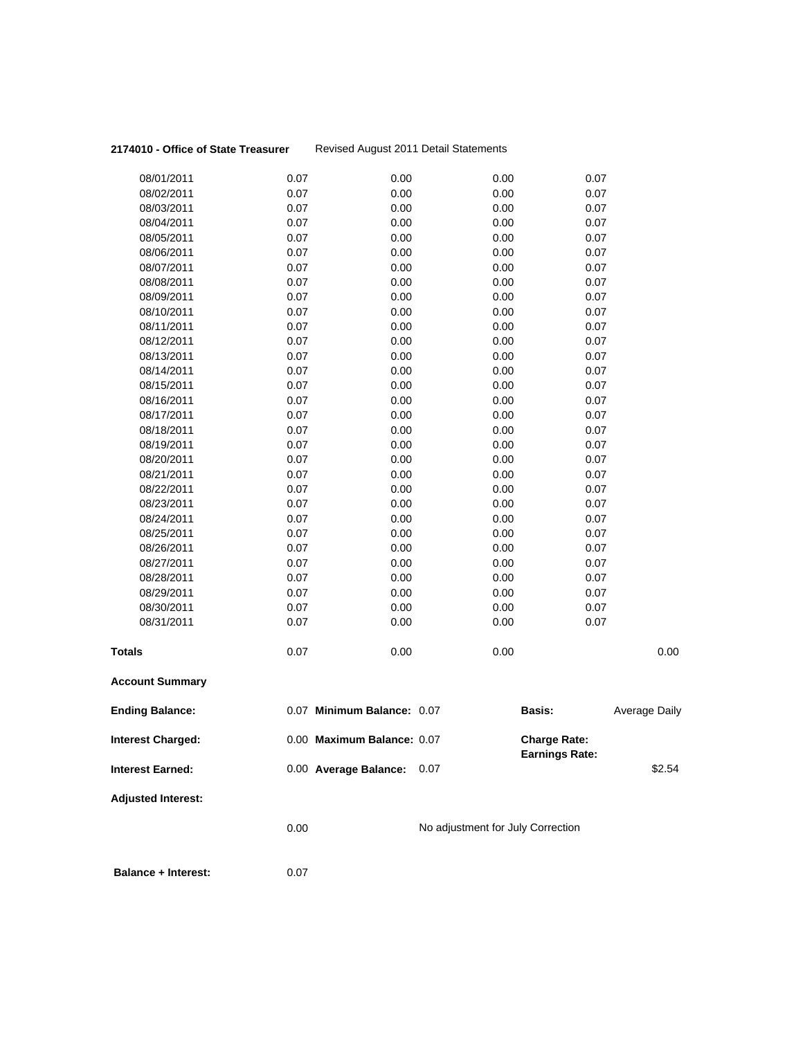#### **2174010 - Office of State Treasurer** Revised August 2011 Detail Statements

| 08/01/2011                 | 0.07 | 0.00                       | 0.00                              | 0.07                                         |               |
|----------------------------|------|----------------------------|-----------------------------------|----------------------------------------------|---------------|
| 08/02/2011                 | 0.07 | 0.00                       | 0.00                              | 0.07                                         |               |
| 08/03/2011                 | 0.07 | 0.00                       | 0.00                              | 0.07                                         |               |
| 08/04/2011                 | 0.07 | 0.00                       | 0.00                              | 0.07                                         |               |
| 08/05/2011                 | 0.07 | 0.00                       | 0.00                              | 0.07                                         |               |
| 08/06/2011                 | 0.07 | 0.00                       | 0.00                              | 0.07                                         |               |
| 08/07/2011                 | 0.07 | 0.00                       | 0.00                              | 0.07                                         |               |
| 08/08/2011                 | 0.07 | 0.00                       | 0.00                              | 0.07                                         |               |
| 08/09/2011                 | 0.07 | 0.00                       | 0.00                              | 0.07                                         |               |
| 08/10/2011                 | 0.07 | 0.00                       | 0.00                              | 0.07                                         |               |
| 08/11/2011                 | 0.07 | 0.00                       | 0.00                              | 0.07                                         |               |
| 08/12/2011                 | 0.07 | 0.00                       | 0.00                              | 0.07                                         |               |
| 08/13/2011                 | 0.07 | 0.00                       | 0.00                              | 0.07                                         |               |
| 08/14/2011                 | 0.07 | 0.00                       | 0.00                              | 0.07                                         |               |
| 08/15/2011                 | 0.07 | 0.00                       | 0.00                              | 0.07                                         |               |
| 08/16/2011                 | 0.07 | 0.00                       | 0.00                              | 0.07                                         |               |
| 08/17/2011                 | 0.07 | 0.00                       | 0.00                              | 0.07                                         |               |
| 08/18/2011                 | 0.07 | 0.00                       | 0.00                              | 0.07                                         |               |
| 08/19/2011                 | 0.07 | 0.00                       | 0.00                              | 0.07                                         |               |
| 08/20/2011                 | 0.07 | 0.00                       | 0.00                              | 0.07                                         |               |
| 08/21/2011                 | 0.07 | 0.00                       | 0.00                              | 0.07                                         |               |
| 08/22/2011                 | 0.07 | 0.00                       | 0.00                              | 0.07                                         |               |
| 08/23/2011                 | 0.07 | 0.00                       | 0.00                              | 0.07                                         |               |
| 08/24/2011                 | 0.07 | 0.00                       | 0.00                              | 0.07                                         |               |
| 08/25/2011                 | 0.07 | 0.00                       | 0.00                              | 0.07                                         |               |
| 08/26/2011                 | 0.07 | 0.00                       | 0.00                              | 0.07                                         |               |
| 08/27/2011                 | 0.07 | 0.00                       | 0.00                              | 0.07                                         |               |
| 08/28/2011                 | 0.07 | 0.00                       | 0.00                              | 0.07                                         |               |
| 08/29/2011                 | 0.07 | 0.00                       | 0.00                              | 0.07                                         |               |
| 08/30/2011                 | 0.07 | 0.00                       | 0.00                              | 0.07                                         |               |
| 08/31/2011                 | 0.07 | 0.00                       | 0.00                              | 0.07                                         |               |
| <b>Totals</b>              | 0.07 | 0.00                       | 0.00                              |                                              | 0.00          |
| <b>Account Summary</b>     |      |                            |                                   |                                              |               |
| <b>Ending Balance:</b>     |      | 0.07 Minimum Balance: 0.07 |                                   | <b>Basis:</b>                                | Average Daily |
| <b>Interest Charged:</b>   |      | 0.00 Maximum Balance: 0.07 |                                   | <b>Charge Rate:</b><br><b>Earnings Rate:</b> |               |
| <b>Interest Earned:</b>    |      | 0.00 Average Balance: 0.07 |                                   |                                              | \$2.54        |
| <b>Adjusted Interest:</b>  |      |                            |                                   |                                              |               |
|                            | 0.00 |                            | No adjustment for July Correction |                                              |               |
| <b>Balance + Interest:</b> | 0.07 |                            |                                   |                                              |               |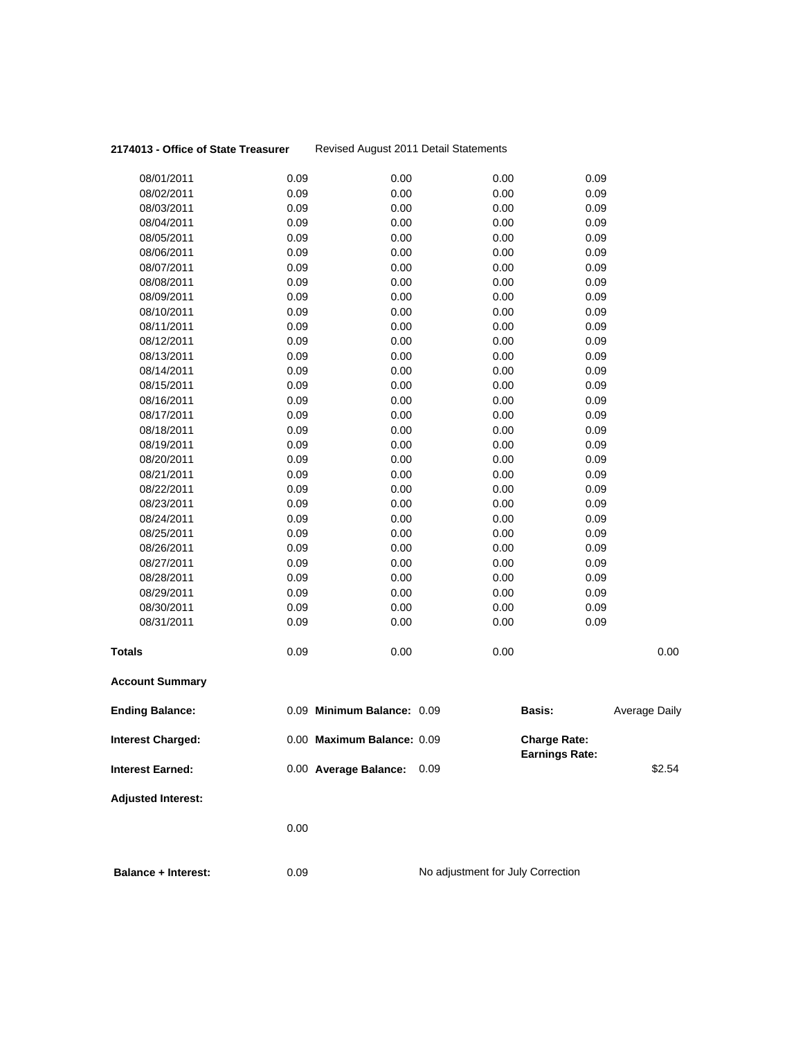#### **2174013 - Office of State Treasurer** Revised August 2011 Detail Statements

| <b>Balance + Interest:</b> | 0.09         |                            | No adjustment for July Correction |                                              |               |
|----------------------------|--------------|----------------------------|-----------------------------------|----------------------------------------------|---------------|
|                            | 0.00         |                            |                                   |                                              |               |
| <b>Adjusted Interest:</b>  |              |                            |                                   |                                              |               |
| <b>Interest Earned:</b>    |              | 0.00 Average Balance:      | 0.09                              |                                              | \$2.54        |
| <b>Interest Charged:</b>   |              | 0.00 Maximum Balance: 0.09 |                                   | <b>Charge Rate:</b><br><b>Earnings Rate:</b> |               |
| <b>Ending Balance:</b>     |              | 0.09 Minimum Balance: 0.09 |                                   | <b>Basis:</b>                                | Average Daily |
| <b>Account Summary</b>     |              |                            |                                   |                                              |               |
| <b>Totals</b>              | 0.09         | 0.00                       | 0.00                              |                                              | 0.00          |
| 08/31/2011                 | 0.09         | 0.00                       | 0.00                              | 0.09                                         |               |
| 08/30/2011                 | 0.09         | 0.00                       | 0.00                              | 0.09                                         |               |
| 08/29/2011                 | 0.09         | 0.00                       | 0.00                              | 0.09                                         |               |
| 08/28/2011                 | 0.09         | 0.00                       | 0.00                              | 0.09                                         |               |
| 08/27/2011                 | 0.09         | 0.00                       | 0.00                              | 0.09                                         |               |
| 08/26/2011                 | 0.09         | 0.00                       | 0.00                              | 0.09                                         |               |
| 08/25/2011                 | 0.09         | 0.00                       | 0.00                              | 0.09                                         |               |
| 08/24/2011                 | 0.09         | 0.00                       | 0.00                              | 0.09                                         |               |
| 08/23/2011                 | 0.09         | 0.00                       | 0.00                              | 0.09                                         |               |
| 08/22/2011                 | 0.09         | 0.00                       | 0.00                              | 0.09                                         |               |
| 08/21/2011                 | 0.09         | 0.00                       | 0.00                              | 0.09                                         |               |
| 08/20/2011                 | 0.09         | 0.00                       | 0.00                              | 0.09                                         |               |
| 08/19/2011                 | 0.09         | 0.00                       | 0.00                              | 0.09                                         |               |
| 08/18/2011                 | 0.09         | 0.00                       | 0.00                              | 0.09                                         |               |
| 08/17/2011                 | 0.09         | 0.00                       | 0.00                              | 0.09                                         |               |
| 08/16/2011                 | 0.09         | 0.00                       | 0.00                              | 0.09                                         |               |
| 08/15/2011                 | 0.09         | 0.00                       | 0.00                              | 0.09                                         |               |
| 08/14/2011                 | 0.09         | 0.00                       | 0.00                              | 0.09                                         |               |
| 08/13/2011                 | 0.09         | 0.00                       | 0.00                              | 0.09                                         |               |
| 08/12/2011                 | 0.09         | 0.00                       | 0.00                              | 0.09                                         |               |
| 08/11/2011                 | 0.09         | 0.00                       | 0.00                              | 0.09                                         |               |
| 08/10/2011                 | 0.09         | 0.00                       | 0.00                              | 0.09                                         |               |
| 08/09/2011                 | 0.09         | 0.00                       | 0.00                              | 0.09                                         |               |
| 08/07/2011<br>08/08/2011   | 0.09<br>0.09 | 0.00<br>0.00               | 0.00<br>0.00                      | 0.09<br>0.09                                 |               |
| 08/06/2011                 | 0.09         | 0.00                       | 0.00                              | 0.09                                         |               |
| 08/05/2011                 | 0.09         | 0.00                       | 0.00                              | 0.09                                         |               |
| 08/04/2011                 | 0.09         | 0.00                       | 0.00                              | 0.09                                         |               |
| 08/03/2011                 | 0.09         | 0.00                       | 0.00                              | 0.09                                         |               |
| 08/02/2011                 | 0.09         | 0.00                       | 0.00                              | 0.09                                         |               |
| 08/01/2011                 | 0.09         | 0.00                       | 0.00                              | 0.09                                         |               |
|                            |              |                            |                                   |                                              |               |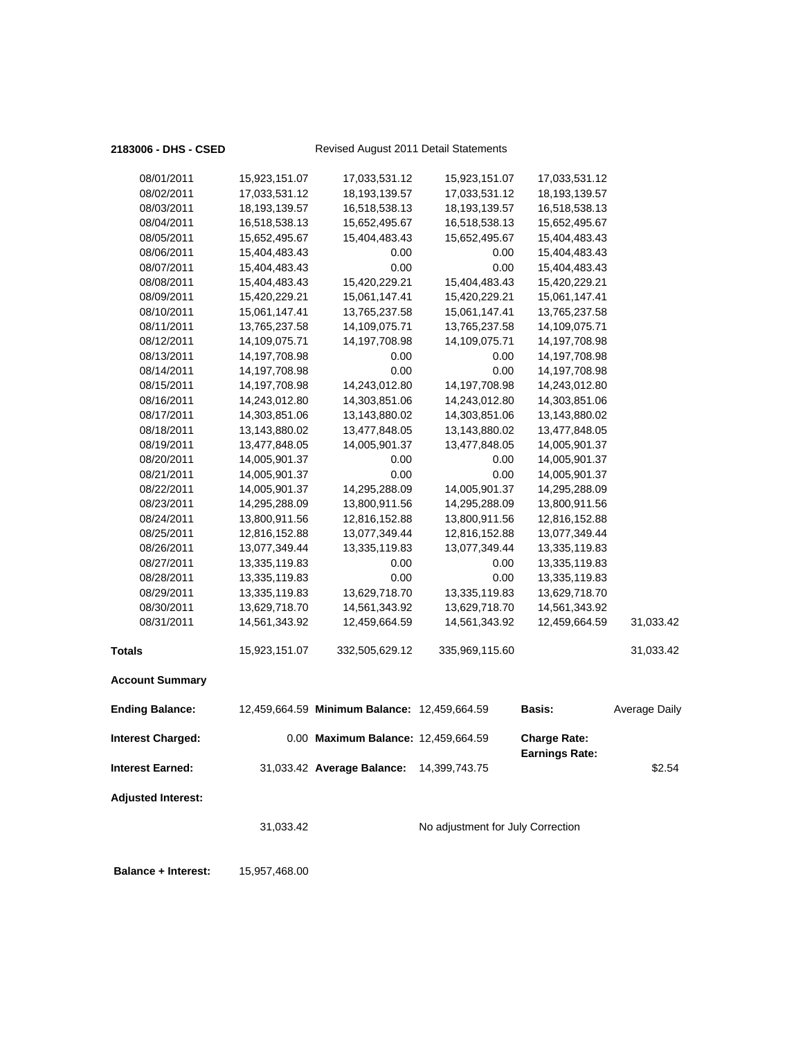#### **2183006 - DHS - CSED** Revised August 2011 Detail Statements

| 08/01/2011                 | 15,923,151.07   | 17,033,531.12                                | 15,923,151.07                     | 17,033,531.12                                |               |
|----------------------------|-----------------|----------------------------------------------|-----------------------------------|----------------------------------------------|---------------|
| 08/02/2011                 | 17,033,531.12   | 18,193,139.57                                | 17,033,531.12                     | 18, 193, 139. 57                             |               |
| 08/03/2011                 | 18, 193, 139.57 | 16,518,538.13                                | 18,193,139.57                     | 16,518,538.13                                |               |
| 08/04/2011                 | 16,518,538.13   | 15,652,495.67                                | 16,518,538.13                     | 15,652,495.67                                |               |
| 08/05/2011                 | 15,652,495.67   | 15,404,483.43                                | 15,652,495.67                     | 15,404,483.43                                |               |
| 08/06/2011                 | 15,404,483.43   | 0.00                                         | 0.00                              | 15,404,483.43                                |               |
| 08/07/2011                 | 15,404,483.43   | 0.00                                         | 0.00                              | 15,404,483.43                                |               |
| 08/08/2011                 | 15,404,483.43   | 15,420,229.21                                | 15,404,483.43                     | 15,420,229.21                                |               |
| 08/09/2011                 | 15,420,229.21   | 15,061,147.41                                | 15,420,229.21                     | 15,061,147.41                                |               |
| 08/10/2011                 | 15,061,147.41   | 13,765,237.58                                | 15,061,147.41                     | 13,765,237.58                                |               |
| 08/11/2011                 | 13,765,237.58   | 14,109,075.71                                | 13,765,237.58                     | 14,109,075.71                                |               |
| 08/12/2011                 | 14,109,075.71   | 14,197,708.98                                | 14,109,075.71                     | 14,197,708.98                                |               |
| 08/13/2011                 | 14,197,708.98   | 0.00                                         | 0.00                              | 14,197,708.98                                |               |
| 08/14/2011                 | 14,197,708.98   | 0.00                                         | 0.00                              | 14,197,708.98                                |               |
| 08/15/2011                 | 14,197,708.98   | 14,243,012.80                                | 14,197,708.98                     | 14,243,012.80                                |               |
| 08/16/2011                 | 14,243,012.80   | 14,303,851.06                                | 14,243,012.80                     | 14,303,851.06                                |               |
| 08/17/2011                 | 14,303,851.06   | 13,143,880.02                                | 14,303,851.06                     | 13,143,880.02                                |               |
| 08/18/2011                 | 13,143,880.02   | 13,477,848.05                                | 13,143,880.02                     | 13,477,848.05                                |               |
| 08/19/2011                 | 13,477,848.05   | 14,005,901.37                                | 13,477,848.05                     | 14,005,901.37                                |               |
| 08/20/2011                 | 14,005,901.37   | 0.00                                         | 0.00                              | 14,005,901.37                                |               |
| 08/21/2011                 | 14,005,901.37   | 0.00                                         | 0.00                              | 14,005,901.37                                |               |
| 08/22/2011                 | 14,005,901.37   | 14,295,288.09                                | 14,005,901.37                     | 14,295,288.09                                |               |
| 08/23/2011                 | 14,295,288.09   | 13,800,911.56                                | 14,295,288.09                     | 13,800,911.56                                |               |
| 08/24/2011                 |                 |                                              |                                   |                                              |               |
| 08/25/2011                 | 13,800,911.56   | 12,816,152.88                                | 13,800,911.56                     | 12,816,152.88<br>13,077,349.44               |               |
|                            | 12,816,152.88   | 13,077,349.44                                | 12,816,152.88                     |                                              |               |
| 08/26/2011                 | 13,077,349.44   | 13,335,119.83                                | 13,077,349.44                     | 13,335,119.83                                |               |
| 08/27/2011                 | 13,335,119.83   | 0.00                                         | 0.00                              | 13,335,119.83                                |               |
| 08/28/2011                 | 13,335,119.83   | 0.00                                         | 0.00                              | 13,335,119.83                                |               |
| 08/29/2011                 | 13,335,119.83   | 13,629,718.70                                | 13,335,119.83                     | 13,629,718.70                                |               |
| 08/30/2011                 | 13,629,718.70   | 14,561,343.92                                | 13,629,718.70                     | 14,561,343.92                                |               |
| 08/31/2011                 | 14,561,343.92   | 12,459,664.59                                | 14,561,343.92                     | 12,459,664.59                                | 31,033.42     |
| <b>Totals</b>              | 15,923,151.07   | 332,505,629.12                               | 335,969,115.60                    |                                              | 31,033.42     |
| <b>Account Summary</b>     |                 |                                              |                                   |                                              |               |
| <b>Ending Balance:</b>     |                 | 12,459,664.59 Minimum Balance: 12,459,664.59 |                                   | <b>Basis:</b>                                | Average Daily |
| Interest Charged:          |                 | 0.00 Maximum Balance: 12,459,664.59          |                                   | <b>Charge Rate:</b><br><b>Earnings Rate:</b> |               |
| <b>Interest Earned:</b>    |                 | 31,033.42 Average Balance: 14,399,743.75     |                                   |                                              | \$2.54        |
| <b>Adjusted Interest:</b>  |                 |                                              |                                   |                                              |               |
|                            | 31,033.42       |                                              | No adjustment for July Correction |                                              |               |
|                            |                 |                                              |                                   |                                              |               |
| <b>Balance + Interest:</b> | 15,957,468.00   |                                              |                                   |                                              |               |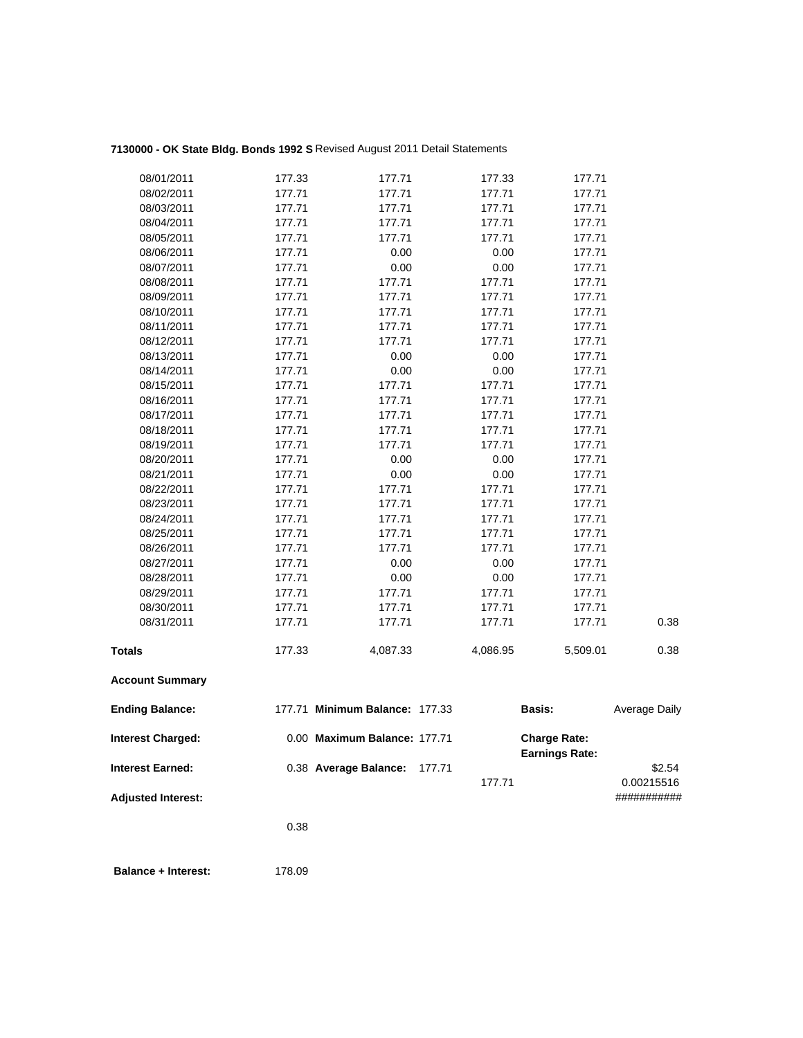## **7130000 - OK State Bldg. Bonds 1992 S** Revised August 2011 Detail Statements

| 08/01/2011                | 177.33 | 177.71                         | 177.33   | 177.71                                       |               |
|---------------------------|--------|--------------------------------|----------|----------------------------------------------|---------------|
| 08/02/2011                | 177.71 | 177.71                         | 177.71   | 177.71                                       |               |
| 08/03/2011                | 177.71 | 177.71                         | 177.71   | 177.71                                       |               |
| 08/04/2011                | 177.71 | 177.71                         | 177.71   | 177.71                                       |               |
| 08/05/2011                | 177.71 | 177.71                         | 177.71   | 177.71                                       |               |
| 08/06/2011                | 177.71 | 0.00                           | 0.00     | 177.71                                       |               |
| 08/07/2011                | 177.71 | 0.00                           | 0.00     | 177.71                                       |               |
| 08/08/2011                | 177.71 | 177.71                         | 177.71   | 177.71                                       |               |
| 08/09/2011                | 177.71 | 177.71                         | 177.71   | 177.71                                       |               |
| 08/10/2011                | 177.71 | 177.71                         | 177.71   | 177.71                                       |               |
| 08/11/2011                | 177.71 | 177.71                         | 177.71   | 177.71                                       |               |
| 08/12/2011                | 177.71 | 177.71                         | 177.71   | 177.71                                       |               |
| 08/13/2011                | 177.71 | 0.00                           | 0.00     | 177.71                                       |               |
| 08/14/2011                | 177.71 | 0.00                           | 0.00     | 177.71                                       |               |
| 08/15/2011                | 177.71 | 177.71                         | 177.71   | 177.71                                       |               |
| 08/16/2011                | 177.71 | 177.71                         | 177.71   | 177.71                                       |               |
| 08/17/2011                | 177.71 | 177.71                         | 177.71   | 177.71                                       |               |
| 08/18/2011                | 177.71 | 177.71                         | 177.71   | 177.71                                       |               |
| 08/19/2011                | 177.71 | 177.71                         | 177.71   | 177.71                                       |               |
| 08/20/2011                | 177.71 | 0.00                           | 0.00     | 177.71                                       |               |
| 08/21/2011                | 177.71 | 0.00                           | 0.00     | 177.71                                       |               |
| 08/22/2011                | 177.71 | 177.71                         | 177.71   | 177.71                                       |               |
| 08/23/2011                | 177.71 | 177.71                         | 177.71   | 177.71                                       |               |
| 08/24/2011                | 177.71 | 177.71                         | 177.71   | 177.71                                       |               |
| 08/25/2011                | 177.71 | 177.71                         | 177.71   | 177.71                                       |               |
| 08/26/2011                | 177.71 | 177.71                         | 177.71   | 177.71                                       |               |
| 08/27/2011                | 177.71 | 0.00                           | 0.00     | 177.71                                       |               |
| 08/28/2011                | 177.71 | 0.00                           | 0.00     | 177.71                                       |               |
| 08/29/2011                | 177.71 | 177.71                         | 177.71   | 177.71                                       |               |
| 08/30/2011                | 177.71 | 177.71                         | 177.71   | 177.71                                       |               |
| 08/31/2011                | 177.71 | 177.71                         | 177.71   | 177.71                                       | 0.38          |
| <b>Totals</b>             | 177.33 | 4,087.33                       | 4,086.95 | 5,509.01                                     | 0.38          |
|                           |        |                                |          |                                              |               |
| <b>Account Summary</b>    |        |                                |          |                                              |               |
| <b>Ending Balance:</b>    |        | 177.71 Minimum Balance: 177.33 |          | Basis:                                       | Average Daily |
| <b>Interest Charged:</b>  |        | 0.00 Maximum Balance: 177.71   |          | <b>Charge Rate:</b><br><b>Earnings Rate:</b> |               |
| <b>Interest Earned:</b>   |        | 0.38 Average Balance:          | 177.71   |                                              | \$2.54        |
|                           |        |                                | 177.71   |                                              | 0.00215516    |
| <b>Adjusted Interest:</b> |        |                                |          |                                              | ###########   |
|                           | 0.38   |                                |          |                                              |               |
|                           |        |                                |          |                                              |               |
|                           |        |                                |          |                                              |               |

**Balance + Interest:** 178.09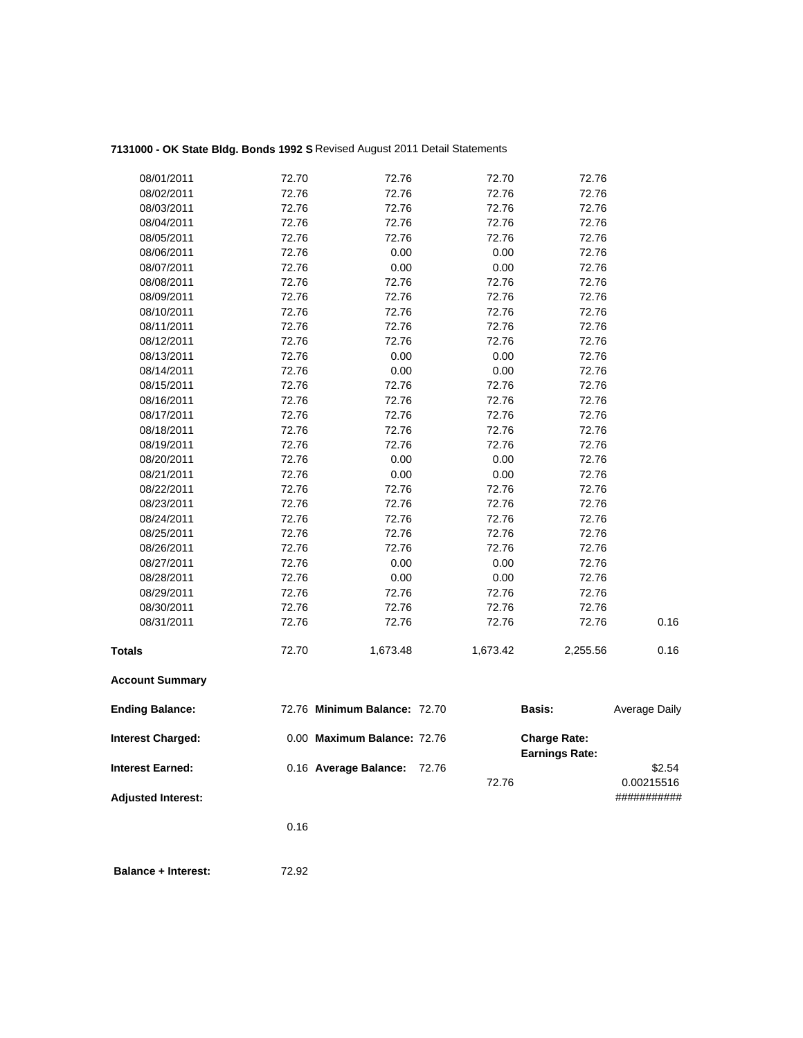# **7131000 - OK State Bldg. Bonds 1992 S** Revised August 2011 Detail Statements

| 08/01/2011                | 72.70 | 72.76                        | 72.70    | 72.76                                        |               |
|---------------------------|-------|------------------------------|----------|----------------------------------------------|---------------|
| 08/02/2011                | 72.76 | 72.76                        | 72.76    | 72.76                                        |               |
| 08/03/2011                | 72.76 | 72.76                        | 72.76    | 72.76                                        |               |
| 08/04/2011                | 72.76 | 72.76                        | 72.76    | 72.76                                        |               |
| 08/05/2011                | 72.76 | 72.76                        | 72.76    | 72.76                                        |               |
| 08/06/2011                | 72.76 | 0.00                         | 0.00     | 72.76                                        |               |
| 08/07/2011                | 72.76 | 0.00                         | 0.00     | 72.76                                        |               |
| 08/08/2011                | 72.76 | 72.76                        | 72.76    | 72.76                                        |               |
| 08/09/2011                | 72.76 | 72.76                        | 72.76    | 72.76                                        |               |
| 08/10/2011                | 72.76 | 72.76                        | 72.76    | 72.76                                        |               |
| 08/11/2011                | 72.76 | 72.76                        | 72.76    | 72.76                                        |               |
| 08/12/2011                | 72.76 | 72.76                        | 72.76    | 72.76                                        |               |
| 08/13/2011                | 72.76 | 0.00                         | 0.00     | 72.76                                        |               |
| 08/14/2011                | 72.76 | 0.00                         | 0.00     | 72.76                                        |               |
| 08/15/2011                | 72.76 | 72.76                        | 72.76    | 72.76                                        |               |
| 08/16/2011                | 72.76 | 72.76                        | 72.76    | 72.76                                        |               |
| 08/17/2011                | 72.76 | 72.76                        | 72.76    | 72.76                                        |               |
| 08/18/2011                | 72.76 | 72.76                        | 72.76    | 72.76                                        |               |
| 08/19/2011                | 72.76 | 72.76                        | 72.76    | 72.76                                        |               |
| 08/20/2011                | 72.76 | 0.00                         | 0.00     | 72.76                                        |               |
| 08/21/2011                | 72.76 | 0.00                         | 0.00     | 72.76                                        |               |
| 08/22/2011                | 72.76 | 72.76                        | 72.76    | 72.76                                        |               |
| 08/23/2011                | 72.76 | 72.76                        | 72.76    | 72.76                                        |               |
| 08/24/2011                | 72.76 | 72.76                        | 72.76    | 72.76                                        |               |
| 08/25/2011                | 72.76 | 72.76                        | 72.76    | 72.76                                        |               |
| 08/26/2011                | 72.76 | 72.76                        | 72.76    | 72.76                                        |               |
| 08/27/2011                | 72.76 | 0.00                         | 0.00     | 72.76                                        |               |
| 08/28/2011                | 72.76 | 0.00                         | 0.00     | 72.76                                        |               |
| 08/29/2011                | 72.76 | 72.76                        | 72.76    | 72.76                                        |               |
| 08/30/2011                | 72.76 | 72.76                        | 72.76    | 72.76                                        |               |
| 08/31/2011                | 72.76 | 72.76                        | 72.76    | 72.76                                        | 0.16          |
| <b>Totals</b>             | 72.70 | 1,673.48                     | 1,673.42 | 2,255.56                                     | 0.16          |
| <b>Account Summary</b>    |       |                              |          |                                              |               |
| <b>Ending Balance:</b>    |       | 72.76 Minimum Balance: 72.70 |          | Basis:                                       | Average Daily |
| <b>Interest Charged:</b>  |       | 0.00 Maximum Balance: 72.76  |          | <b>Charge Rate:</b><br><b>Earnings Rate:</b> |               |
| <b>Interest Earned:</b>   |       | 0.16 Average Balance:        | 72.76    |                                              | \$2.54        |
|                           |       |                              | 72.76    |                                              | 0.00215516    |
| <b>Adjusted Interest:</b> |       |                              |          |                                              | ###########   |
|                           | 0.16  |                              |          |                                              |               |
|                           |       |                              |          |                                              |               |
|                           |       |                              |          |                                              |               |

**Balance + Interest:** 72.92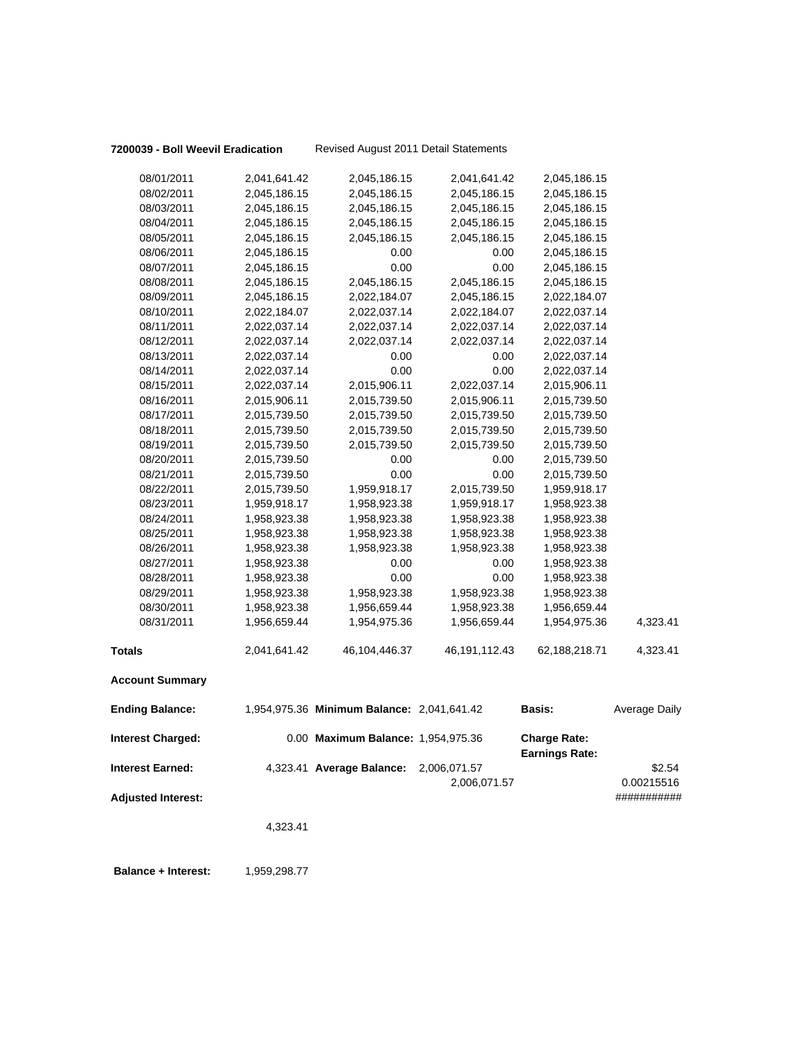#### **7200039 - Boll Weevil Eradication** Revised August 2011 Detail Statements

| 08/01/2011                | 2,041,641.42 | 2,045,186.15                               | 2,041,641.42     | 2,045,186.15                                 |               |
|---------------------------|--------------|--------------------------------------------|------------------|----------------------------------------------|---------------|
| 08/02/2011                | 2,045,186.15 | 2,045,186.15                               | 2,045,186.15     | 2,045,186.15                                 |               |
| 08/03/2011                | 2,045,186.15 | 2,045,186.15                               | 2,045,186.15     | 2,045,186.15                                 |               |
| 08/04/2011                | 2,045,186.15 | 2,045,186.15                               | 2,045,186.15     | 2,045,186.15                                 |               |
| 08/05/2011                | 2,045,186.15 | 2,045,186.15                               | 2,045,186.15     | 2,045,186.15                                 |               |
| 08/06/2011                | 2,045,186.15 | 0.00                                       | 0.00             | 2,045,186.15                                 |               |
| 08/07/2011                | 2,045,186.15 | 0.00                                       | 0.00             | 2,045,186.15                                 |               |
| 08/08/2011                | 2,045,186.15 | 2,045,186.15                               | 2,045,186.15     | 2,045,186.15                                 |               |
| 08/09/2011                | 2,045,186.15 | 2,022,184.07                               | 2,045,186.15     | 2,022,184.07                                 |               |
| 08/10/2011                | 2,022,184.07 | 2,022,037.14                               | 2,022,184.07     | 2,022,037.14                                 |               |
| 08/11/2011                | 2,022,037.14 | 2,022,037.14                               | 2,022,037.14     | 2,022,037.14                                 |               |
| 08/12/2011                | 2,022,037.14 | 2,022,037.14                               | 2,022,037.14     | 2,022,037.14                                 |               |
| 08/13/2011                | 2,022,037.14 | 0.00                                       | 0.00             | 2,022,037.14                                 |               |
| 08/14/2011                | 2,022,037.14 | 0.00                                       | 0.00             | 2,022,037.14                                 |               |
| 08/15/2011                | 2,022,037.14 | 2,015,906.11                               | 2,022,037.14     | 2,015,906.11                                 |               |
| 08/16/2011                | 2,015,906.11 | 2,015,739.50                               | 2,015,906.11     | 2,015,739.50                                 |               |
| 08/17/2011                | 2,015,739.50 | 2,015,739.50                               | 2,015,739.50     | 2,015,739.50                                 |               |
| 08/18/2011                | 2,015,739.50 | 2,015,739.50                               | 2,015,739.50     | 2,015,739.50                                 |               |
| 08/19/2011                | 2,015,739.50 | 2,015,739.50                               | 2,015,739.50     | 2,015,739.50                                 |               |
| 08/20/2011                | 2,015,739.50 | 0.00                                       | 0.00             | 2,015,739.50                                 |               |
| 08/21/2011                | 2,015,739.50 | 0.00                                       | 0.00             | 2,015,739.50                                 |               |
| 08/22/2011                | 2,015,739.50 | 1,959,918.17                               | 2,015,739.50     | 1,959,918.17                                 |               |
| 08/23/2011                | 1,959,918.17 | 1,958,923.38                               | 1,959,918.17     | 1,958,923.38                                 |               |
| 08/24/2011                | 1,958,923.38 | 1,958,923.38                               | 1,958,923.38     | 1,958,923.38                                 |               |
| 08/25/2011                | 1,958,923.38 | 1,958,923.38                               | 1,958,923.38     | 1,958,923.38                                 |               |
| 08/26/2011                | 1,958,923.38 | 1,958,923.38                               | 1,958,923.38     | 1,958,923.38                                 |               |
| 08/27/2011                | 1,958,923.38 | 0.00                                       | 0.00             | 1,958,923.38                                 |               |
| 08/28/2011                | 1,958,923.38 | 0.00                                       | 0.00             | 1,958,923.38                                 |               |
| 08/29/2011                | 1,958,923.38 | 1,958,923.38                               | 1,958,923.38     | 1,958,923.38                                 |               |
| 08/30/2011                | 1,958,923.38 | 1,956,659.44                               | 1,958,923.38     | 1,956,659.44                                 |               |
| 08/31/2011                | 1,956,659.44 | 1,954,975.36                               | 1,956,659.44     | 1,954,975.36                                 | 4,323.41      |
| <b>Totals</b>             | 2,041,641.42 | 46,104,446.37                              | 46, 191, 112. 43 | 62,188,218.71                                | 4,323.41      |
| <b>Account Summary</b>    |              |                                            |                  |                                              |               |
| <b>Ending Balance:</b>    |              | 1,954,975.36 Minimum Balance: 2,041,641.42 |                  | Basis:                                       | Average Daily |
| <b>Interest Charged:</b>  |              | 0.00 Maximum Balance: 1,954,975.36         |                  | <b>Charge Rate:</b><br><b>Earnings Rate:</b> |               |
| <b>Interest Earned:</b>   |              | 4,323.41 Average Balance:                  | 2,006,071.57     |                                              | \$2.54        |
|                           |              |                                            | 2,006,071.57     |                                              | 0.00215516    |
| <b>Adjusted Interest:</b> |              |                                            |                  |                                              | ###########   |
|                           |              |                                            |                  |                                              |               |
|                           | 4,323.41     |                                            |                  |                                              |               |
|                           |              |                                            |                  |                                              |               |
|                           |              |                                            |                  |                                              |               |

**Balance + Interest:** 1,959,298.77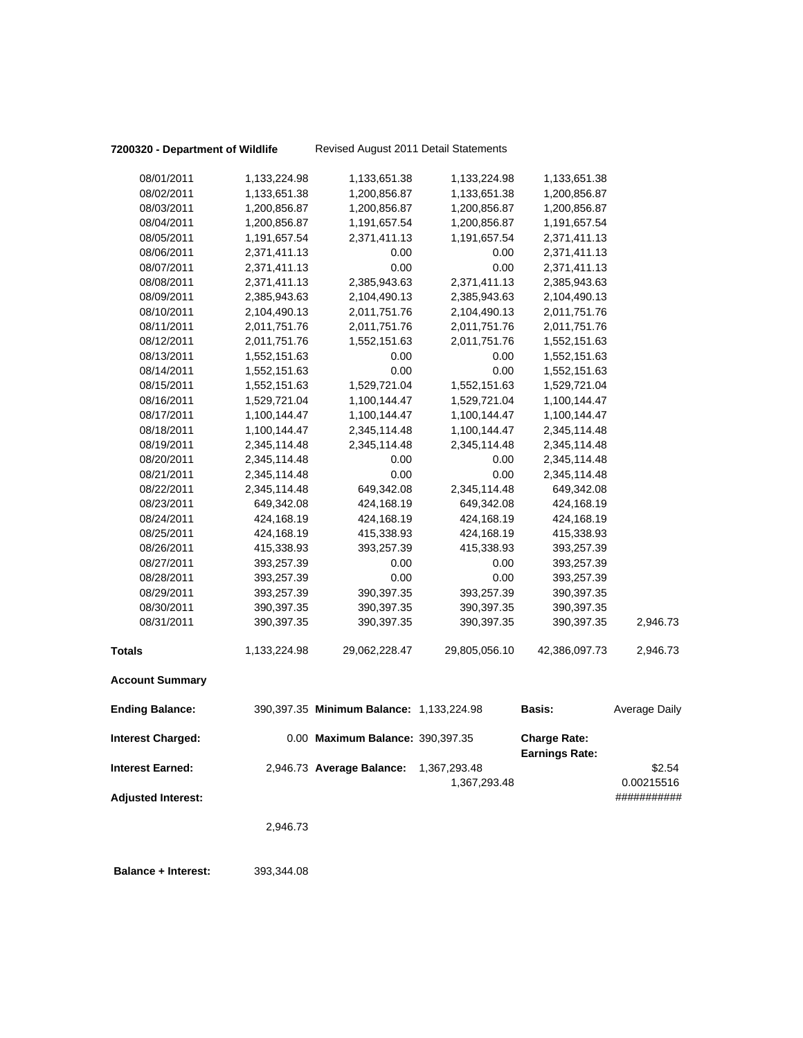### **7200320 - Department of Wildlife** Revised August 2011 Detail Statements

|                           | 2,946.73                     |                                          |                      |                              |                           |
|---------------------------|------------------------------|------------------------------------------|----------------------|------------------------------|---------------------------|
| <b>Adjusted Interest:</b> |                              |                                          | 1,367,293.48         |                              | 0.00215516<br>########### |
| <b>Interest Earned:</b>   |                              | 2,946.73 Average Balance: 1,367,293.48   |                      | <b>Earnings Rate:</b>        | \$2.54                    |
| <b>Interest Charged:</b>  |                              | 0.00 Maximum Balance: 390,397.35         |                      | <b>Charge Rate:</b>          |                           |
| <b>Ending Balance:</b>    |                              | 390,397.35 Minimum Balance: 1,133,224.98 |                      | Basis:                       | <b>Average Daily</b>      |
| <b>Account Summary</b>    |                              |                                          |                      |                              |                           |
| <b>Totals</b>             | 1,133,224.98                 | 29,062,228.47                            | 29,805,056.10        | 42,386,097.73                | 2,946.73                  |
| 08/31/2011                | 390,397.35                   | 390,397.35                               | 390,397.35           | 390,397.35                   | 2,946.73                  |
| 08/30/2011                | 390,397.35                   | 390,397.35                               | 390,397.35           | 390,397.35                   |                           |
| 08/29/2011                | 393,257.39                   | 390,397.35                               | 393,257.39           | 390,397.35                   |                           |
| 08/28/2011                | 393,257.39                   | 0.00                                     | 0.00                 | 393,257.39                   |                           |
| 08/27/2011                | 393,257.39                   | 0.00                                     | 0.00                 | 393,257.39                   |                           |
| 08/26/2011                | 415,338.93                   | 393,257.39                               | 415,338.93           | 393,257.39                   |                           |
| 08/25/2011                | 424,168.19                   | 415,338.93                               | 424,168.19           | 415,338.93                   |                           |
| 08/24/2011                | 424,168.19                   | 424,168.19                               | 424,168.19           | 424,168.19                   |                           |
| 08/23/2011                | 649,342.08                   | 424,168.19                               | 649,342.08           | 424,168.19                   |                           |
| 08/22/2011                | 2,345,114.48                 | 649,342.08                               | 2,345,114.48         | 649,342.08                   |                           |
| 08/21/2011                | 2,345,114.48                 | 0.00                                     | 0.00                 | 2,345,114.48                 |                           |
| 08/20/2011                | 2,345,114.48                 | 0.00                                     | 0.00                 | 2,345,114.48                 |                           |
| 08/19/2011                | 2,345,114.48                 | 2,345,114.48                             | 2,345,114.48         | 2,345,114.48                 |                           |
| 08/18/2011                | 1,100,144.47                 | 2,345,114.48                             | 1,100,144.47         | 2,345,114.48                 |                           |
| 08/17/2011                | 1,100,144.47                 | 1,100,144.47                             | 1,100,144.47         | 1,100,144.47                 |                           |
| 08/16/2011                | 1,529,721.04                 | 1,100,144.47                             | 1,529,721.04         | 1,100,144.47                 |                           |
| 08/15/2011                | 1,552,151.63                 | 1,529,721.04                             | 1,552,151.63         | 1,529,721.04                 |                           |
| 08/14/2011                | 1,552,151.63                 | 0.00                                     | 0.00                 | 1,552,151.63                 |                           |
| 08/13/2011                | 2,011,751.76<br>1,552,151.63 | 0.00                                     | 2,011,751.76<br>0.00 | 1,552,151.63<br>1,552,151.63 |                           |
| 08/11/2011<br>08/12/2011  | 2,011,751.76                 | 2,011,751.76<br>1,552,151.63             | 2,011,751.76         | 2,011,751.76                 |                           |
| 08/10/2011                | 2,104,490.13                 | 2,011,751.76                             | 2,104,490.13         | 2,011,751.76                 |                           |
| 08/09/2011                | 2,385,943.63                 | 2,104,490.13                             | 2,385,943.63         | 2,104,490.13                 |                           |
| 08/08/2011                | 2,371,411.13                 | 2,385,943.63                             | 2,371,411.13         | 2,385,943.63                 |                           |
| 08/07/2011                | 2,371,411.13                 | 0.00                                     | 0.00                 | 2,371,411.13                 |                           |
| 08/06/2011                | 2,371,411.13                 | 0.00                                     | 0.00                 | 2,371,411.13                 |                           |
| 08/05/2011                | 1,191,657.54                 | 2,371,411.13                             | 1,191,657.54         | 2,371,411.13                 |                           |
| 08/04/2011                | 1,200,856.87                 | 1,191,657.54                             | 1,200,856.87         | 1,191,657.54                 |                           |
| 08/03/2011                | 1,200,856.87                 | 1,200,856.87                             | 1,200,856.87         | 1,200,856.87                 |                           |
| 08/02/2011                | 1,133,651.38                 | 1,200,856.87                             | 1,133,651.38         | 1,200,856.87                 |                           |
| 08/01/2011                | 1,133,224.98                 | 1,133,651.38                             | 1,133,224.98         | 1,133,651.38                 |                           |
|                           |                              |                                          |                      |                              |                           |

 **Balance + Interest:** 393,344.08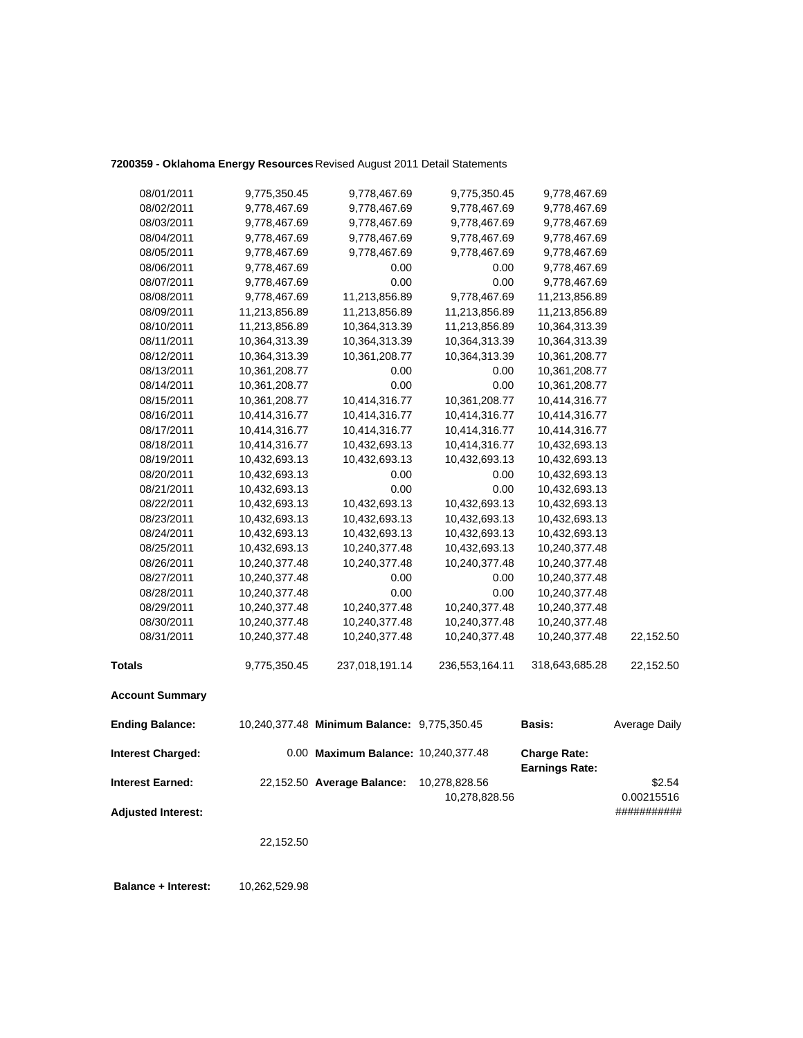## **7200359 - Oklahoma Energy Resources** Revised August 2011 Detail Statements

| 08/01/2011                | 9,775,350.45  | 9,778,467.69                                | 9,775,350.45                   | 9,778,467.69                                 |                      |
|---------------------------|---------------|---------------------------------------------|--------------------------------|----------------------------------------------|----------------------|
| 08/02/2011                | 9,778,467.69  | 9,778,467.69                                | 9,778,467.69                   | 9,778,467.69                                 |                      |
| 08/03/2011                | 9,778,467.69  | 9,778,467.69                                | 9,778,467.69                   | 9,778,467.69                                 |                      |
| 08/04/2011                | 9,778,467.69  | 9,778,467.69                                | 9,778,467.69                   | 9,778,467.69                                 |                      |
| 08/05/2011                | 9,778,467.69  | 9,778,467.69                                | 9,778,467.69                   | 9,778,467.69                                 |                      |
| 08/06/2011                | 9,778,467.69  | 0.00                                        | 0.00                           | 9,778,467.69                                 |                      |
| 08/07/2011                | 9,778,467.69  | 0.00                                        | 0.00                           | 9,778,467.69                                 |                      |
| 08/08/2011                | 9,778,467.69  | 11,213,856.89                               | 9,778,467.69                   | 11,213,856.89                                |                      |
| 08/09/2011                | 11,213,856.89 | 11,213,856.89                               | 11,213,856.89                  | 11,213,856.89                                |                      |
| 08/10/2011                | 11,213,856.89 | 10,364,313.39                               | 11,213,856.89                  | 10,364,313.39                                |                      |
| 08/11/2011                | 10,364,313.39 | 10,364,313.39                               | 10,364,313.39                  | 10,364,313.39                                |                      |
| 08/12/2011                | 10,364,313.39 | 10,361,208.77                               | 10,364,313.39                  | 10,361,208.77                                |                      |
| 08/13/2011                | 10,361,208.77 | 0.00                                        | 0.00                           | 10,361,208.77                                |                      |
| 08/14/2011                | 10,361,208.77 | 0.00                                        | 0.00                           | 10,361,208.77                                |                      |
| 08/15/2011                | 10,361,208.77 | 10,414,316.77                               | 10,361,208.77                  | 10,414,316.77                                |                      |
| 08/16/2011                | 10,414,316.77 | 10,414,316.77                               | 10,414,316.77                  | 10,414,316.77                                |                      |
| 08/17/2011                | 10,414,316.77 | 10,414,316.77                               | 10,414,316.77                  | 10,414,316.77                                |                      |
| 08/18/2011                | 10,414,316.77 | 10,432,693.13                               | 10,414,316.77                  | 10,432,693.13                                |                      |
| 08/19/2011                | 10,432,693.13 | 10,432,693.13                               | 10,432,693.13                  | 10,432,693.13                                |                      |
| 08/20/2011                | 10,432,693.13 | 0.00                                        | 0.00                           | 10,432,693.13                                |                      |
| 08/21/2011                | 10,432,693.13 | 0.00                                        | 0.00                           | 10,432,693.13                                |                      |
| 08/22/2011                | 10,432,693.13 | 10,432,693.13                               | 10,432,693.13                  | 10,432,693.13                                |                      |
| 08/23/2011                | 10,432,693.13 | 10,432,693.13                               | 10,432,693.13                  | 10,432,693.13                                |                      |
| 08/24/2011                | 10,432,693.13 | 10,432,693.13                               | 10,432,693.13                  | 10,432,693.13                                |                      |
| 08/25/2011                | 10,432,693.13 | 10,240,377.48                               | 10,432,693.13                  | 10,240,377.48                                |                      |
| 08/26/2011                | 10,240,377.48 | 10,240,377.48                               | 10,240,377.48                  | 10,240,377.48                                |                      |
| 08/27/2011                | 10,240,377.48 | 0.00                                        | 0.00                           | 10,240,377.48                                |                      |
| 08/28/2011                | 10,240,377.48 | 0.00                                        | 0.00                           | 10,240,377.48                                |                      |
| 08/29/2011                | 10,240,377.48 | 10,240,377.48                               | 10,240,377.48                  | 10,240,377.48                                |                      |
| 08/30/2011                | 10,240,377.48 | 10,240,377.48                               | 10,240,377.48                  | 10,240,377.48                                |                      |
| 08/31/2011                | 10,240,377.48 | 10,240,377.48                               | 10,240,377.48                  | 10,240,377.48                                | 22,152.50            |
| <b>Totals</b>             | 9,775,350.45  | 237,018,191.14                              | 236,553,164.11                 | 318,643,685.28                               | 22,152.50            |
| <b>Account Summary</b>    |               |                                             |                                |                                              |                      |
| <b>Ending Balance:</b>    |               | 10,240,377.48 Minimum Balance: 9,775,350.45 |                                | Basis:                                       | Average Daily        |
| <b>Interest Charged:</b>  |               | 0.00 Maximum Balance: 10,240,377.48         |                                | <b>Charge Rate:</b><br><b>Earnings Rate:</b> |                      |
| <b>Interest Earned:</b>   |               | 22,152.50 Average Balance:                  | 10,278,828.56<br>10,278,828.56 |                                              | \$2.54<br>0.00215516 |
| <b>Adjusted Interest:</b> |               |                                             |                                |                                              | ###########          |

22,152.50

 **Balance + Interest:** 10,262,529.98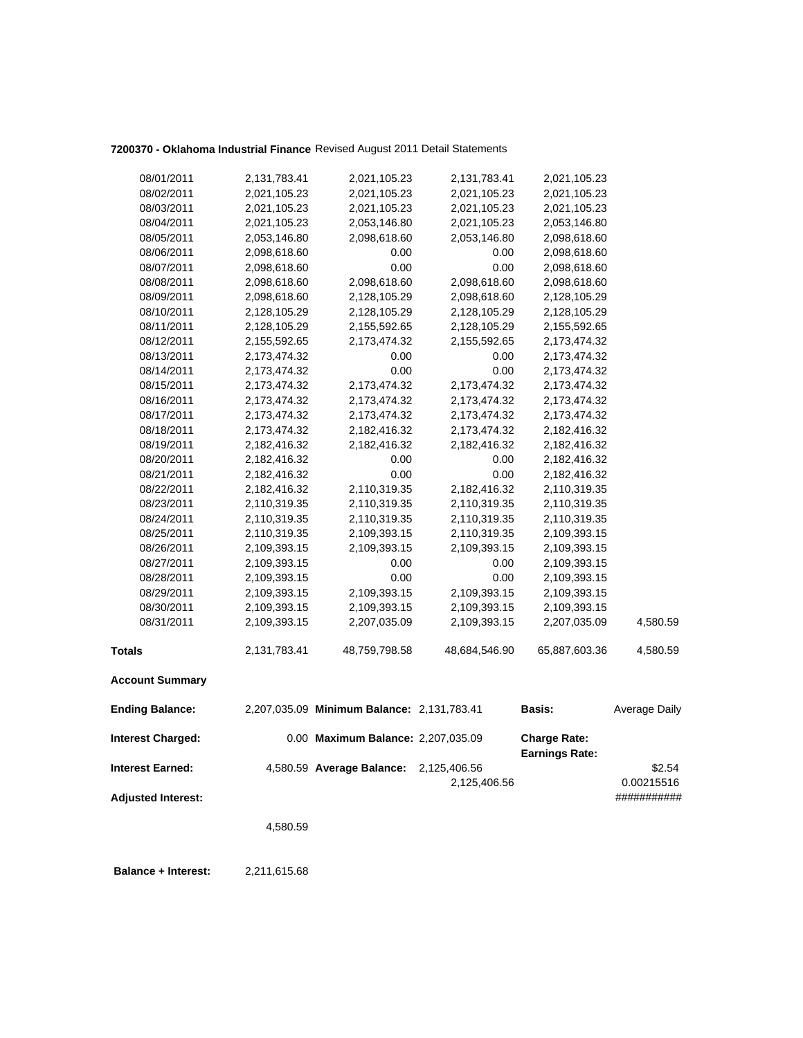## **7200370 - Oklahoma Industrial Finance** Revised August 2011 Detail Statements

| 08/01/2011                | 2,131,783.41 | 2,021,105.23                               | 2,131,783.41  | 2,021,105.23                                 |               |
|---------------------------|--------------|--------------------------------------------|---------------|----------------------------------------------|---------------|
| 08/02/2011                | 2,021,105.23 | 2,021,105.23                               | 2,021,105.23  | 2,021,105.23                                 |               |
| 08/03/2011                | 2,021,105.23 | 2,021,105.23                               | 2,021,105.23  | 2,021,105.23                                 |               |
| 08/04/2011                | 2,021,105.23 | 2,053,146.80                               | 2,021,105.23  | 2,053,146.80                                 |               |
| 08/05/2011                | 2,053,146.80 | 2,098,618.60                               | 2,053,146.80  | 2,098,618.60                                 |               |
| 08/06/2011                | 2,098,618.60 | 0.00                                       | 0.00          | 2,098,618.60                                 |               |
| 08/07/2011                | 2,098,618.60 | 0.00                                       | 0.00          | 2,098,618.60                                 |               |
| 08/08/2011                | 2,098,618.60 | 2,098,618.60                               | 2,098,618.60  | 2,098,618.60                                 |               |
| 08/09/2011                | 2,098,618.60 | 2,128,105.29                               | 2,098,618.60  | 2,128,105.29                                 |               |
| 08/10/2011                | 2,128,105.29 | 2,128,105.29                               | 2,128,105.29  | 2,128,105.29                                 |               |
| 08/11/2011                | 2,128,105.29 | 2,155,592.65                               | 2,128,105.29  | 2,155,592.65                                 |               |
| 08/12/2011                | 2,155,592.65 | 2,173,474.32                               | 2,155,592.65  | 2,173,474.32                                 |               |
| 08/13/2011                | 2,173,474.32 | 0.00                                       | 0.00          | 2,173,474.32                                 |               |
| 08/14/2011                | 2,173,474.32 | 0.00                                       | 0.00          | 2,173,474.32                                 |               |
| 08/15/2011                | 2,173,474.32 | 2,173,474.32                               | 2,173,474.32  | 2,173,474.32                                 |               |
| 08/16/2011                | 2,173,474.32 | 2,173,474.32                               | 2,173,474.32  | 2,173,474.32                                 |               |
| 08/17/2011                | 2,173,474.32 | 2,173,474.32                               | 2,173,474.32  | 2,173,474.32                                 |               |
| 08/18/2011                | 2,173,474.32 | 2,182,416.32                               | 2,173,474.32  | 2,182,416.32                                 |               |
| 08/19/2011                | 2,182,416.32 | 2,182,416.32                               | 2,182,416.32  | 2,182,416.32                                 |               |
| 08/20/2011                | 2,182,416.32 | 0.00                                       | 0.00          | 2,182,416.32                                 |               |
| 08/21/2011                | 2,182,416.32 | 0.00                                       | 0.00          | 2,182,416.32                                 |               |
| 08/22/2011                | 2,182,416.32 | 2,110,319.35                               | 2,182,416.32  | 2,110,319.35                                 |               |
| 08/23/2011                | 2,110,319.35 | 2,110,319.35                               | 2,110,319.35  | 2,110,319.35                                 |               |
| 08/24/2011                | 2,110,319.35 | 2,110,319.35                               | 2,110,319.35  | 2,110,319.35                                 |               |
| 08/25/2011                | 2,110,319.35 | 2,109,393.15                               | 2,110,319.35  | 2,109,393.15                                 |               |
| 08/26/2011                | 2,109,393.15 | 2,109,393.15                               | 2,109,393.15  | 2,109,393.15                                 |               |
| 08/27/2011                | 2,109,393.15 | 0.00                                       | 0.00          | 2,109,393.15                                 |               |
| 08/28/2011                | 2,109,393.15 | 0.00                                       | 0.00          | 2,109,393.15                                 |               |
| 08/29/2011                | 2,109,393.15 | 2,109,393.15                               | 2,109,393.15  | 2,109,393.15                                 |               |
| 08/30/2011                | 2,109,393.15 | 2,109,393.15                               | 2,109,393.15  | 2,109,393.15                                 |               |
| 08/31/2011                | 2,109,393.15 | 2,207,035.09                               | 2,109,393.15  | 2,207,035.09                                 | 4,580.59      |
| <b>Totals</b>             | 2,131,783.41 | 48,759,798.58                              | 48,684,546.90 | 65,887,603.36                                | 4,580.59      |
| <b>Account Summary</b>    |              |                                            |               |                                              |               |
| <b>Ending Balance:</b>    |              | 2,207,035.09 Minimum Balance: 2,131,783.41 |               | <b>Basis:</b>                                | Average Daily |
| <b>Interest Charged:</b>  |              | 0.00 Maximum Balance: 2,207,035.09         |               | <b>Charge Rate:</b><br><b>Earnings Rate:</b> |               |
| <b>Interest Earned:</b>   |              | 4,580.59 Average Balance:                  | 2,125,406.56  |                                              | \$2.54        |
|                           |              |                                            | 2,125,406.56  |                                              | 0.00215516    |
| <b>Adjusted Interest:</b> |              |                                            |               |                                              | ###########   |
|                           | 4,580.59     |                                            |               |                                              |               |
|                           |              |                                            |               |                                              |               |

 **Balance + Interest:** 2,211,615.68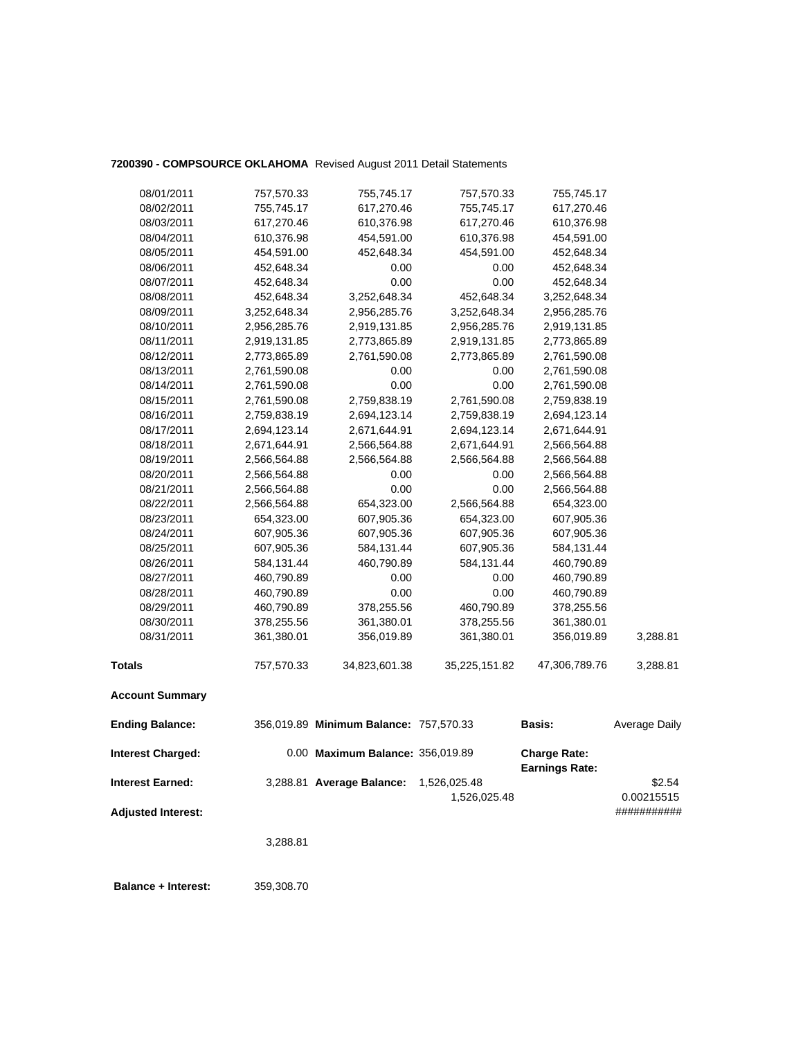### **7200390 - COMPSOURCE OKLAHOMA** Revised August 2011 Detail Statements

| 08/01/2011                | 757,570.33   | 755,745.17                             | 757,570.33                   | 755,745.17                                   |                      |
|---------------------------|--------------|----------------------------------------|------------------------------|----------------------------------------------|----------------------|
| 08/02/2011                | 755,745.17   | 617,270.46                             | 755,745.17                   | 617,270.46                                   |                      |
| 08/03/2011                | 617,270.46   | 610,376.98                             | 617,270.46                   | 610,376.98                                   |                      |
| 08/04/2011                | 610,376.98   | 454,591.00                             | 610,376.98                   | 454,591.00                                   |                      |
| 08/05/2011                | 454,591.00   | 452,648.34                             | 454,591.00                   | 452,648.34                                   |                      |
| 08/06/2011                | 452,648.34   | 0.00                                   | 0.00                         | 452,648.34                                   |                      |
| 08/07/2011                | 452,648.34   | 0.00                                   | 0.00                         | 452,648.34                                   |                      |
| 08/08/2011                | 452,648.34   | 3,252,648.34                           | 452,648.34                   | 3,252,648.34                                 |                      |
| 08/09/2011                | 3,252,648.34 | 2,956,285.76                           | 3,252,648.34                 | 2,956,285.76                                 |                      |
| 08/10/2011                | 2,956,285.76 | 2,919,131.85                           | 2,956,285.76                 | 2,919,131.85                                 |                      |
| 08/11/2011                | 2,919,131.85 | 2,773,865.89                           | 2,919,131.85                 | 2,773,865.89                                 |                      |
| 08/12/2011                | 2,773,865.89 | 2,761,590.08                           | 2,773,865.89                 | 2,761,590.08                                 |                      |
| 08/13/2011                | 2,761,590.08 | 0.00                                   | 0.00                         | 2,761,590.08                                 |                      |
| 08/14/2011                | 2,761,590.08 | 0.00                                   | 0.00                         | 2,761,590.08                                 |                      |
| 08/15/2011                | 2,761,590.08 | 2,759,838.19                           | 2,761,590.08                 | 2,759,838.19                                 |                      |
| 08/16/2011                | 2,759,838.19 | 2,694,123.14                           | 2,759,838.19                 | 2,694,123.14                                 |                      |
| 08/17/2011                | 2,694,123.14 | 2,671,644.91                           | 2,694,123.14                 | 2,671,644.91                                 |                      |
| 08/18/2011                | 2,671,644.91 | 2,566,564.88                           | 2,671,644.91                 | 2,566,564.88                                 |                      |
| 08/19/2011                | 2,566,564.88 | 2,566,564.88                           | 2,566,564.88                 | 2,566,564.88                                 |                      |
| 08/20/2011                | 2,566,564.88 | 0.00                                   | 0.00                         | 2,566,564.88                                 |                      |
| 08/21/2011                | 2,566,564.88 | 0.00                                   | 0.00                         | 2,566,564.88                                 |                      |
| 08/22/2011                | 2,566,564.88 | 654,323.00                             | 2,566,564.88                 | 654,323.00                                   |                      |
| 08/23/2011                | 654,323.00   | 607,905.36                             | 654,323.00                   | 607,905.36                                   |                      |
| 08/24/2011                | 607,905.36   | 607,905.36                             | 607,905.36                   | 607,905.36                                   |                      |
| 08/25/2011                | 607,905.36   | 584,131.44                             | 607,905.36                   | 584,131.44                                   |                      |
| 08/26/2011                | 584,131.44   | 460,790.89                             | 584,131.44                   | 460,790.89                                   |                      |
| 08/27/2011                | 460,790.89   | 0.00                                   | 0.00                         | 460,790.89                                   |                      |
| 08/28/2011                | 460,790.89   | 0.00                                   | 0.00                         | 460,790.89                                   |                      |
| 08/29/2011                | 460,790.89   | 378,255.56                             | 460,790.89                   | 378,255.56                                   |                      |
| 08/30/2011                | 378,255.56   | 361,380.01                             | 378,255.56                   | 361,380.01                                   |                      |
| 08/31/2011                | 361,380.01   | 356,019.89                             | 361,380.01                   | 356,019.89                                   | 3,288.81             |
| <b>Totals</b>             | 757,570.33   | 34,823,601.38                          | 35,225,151.82                | 47,306,789.76                                | 3,288.81             |
| <b>Account Summary</b>    |              |                                        |                              |                                              |                      |
| <b>Ending Balance:</b>    |              | 356,019.89 Minimum Balance: 757,570.33 |                              | Basis:                                       | Average Daily        |
| <b>Interest Charged:</b>  |              | 0.00 Maximum Balance: 356,019.89       |                              | <b>Charge Rate:</b><br><b>Earnings Rate:</b> |                      |
| <b>Interest Earned:</b>   |              | 3,288.81 Average Balance:              | 1,526,025.48<br>1,526,025.48 |                                              | \$2.54<br>0.00215515 |
| <b>Adjusted Interest:</b> |              |                                        |                              |                                              | ###########          |

3,288.81

 **Balance + Interest:** 359,308.70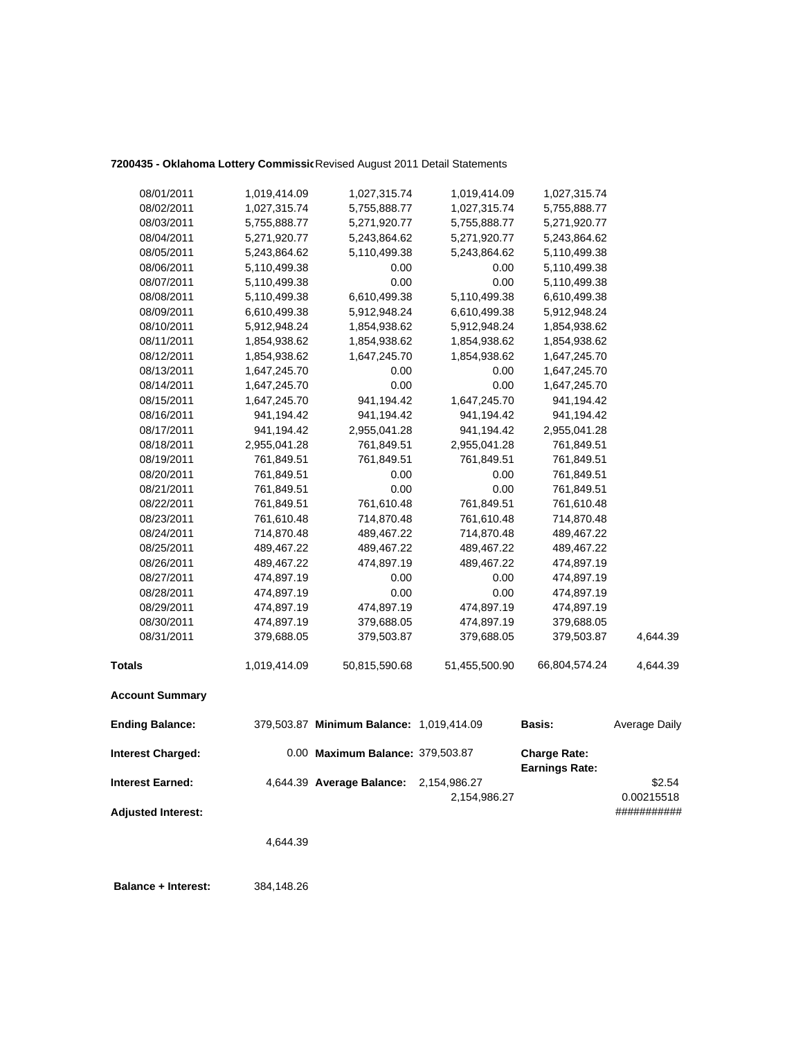### **7200435 - Oklahoma Lottery Commissio**Revised August 2011 Detail Statements

| 08/01/2011                | 1,019,414.09 | 1,027,315.74                             | 1,019,414.09  | 1,027,315.74          |               |
|---------------------------|--------------|------------------------------------------|---------------|-----------------------|---------------|
| 08/02/2011                | 1,027,315.74 | 5,755,888.77                             | 1,027,315.74  | 5,755,888.77          |               |
| 08/03/2011                | 5,755,888.77 | 5,271,920.77                             | 5,755,888.77  | 5,271,920.77          |               |
| 08/04/2011                | 5,271,920.77 | 5,243,864.62                             | 5,271,920.77  | 5,243,864.62          |               |
| 08/05/2011                | 5,243,864.62 | 5,110,499.38                             | 5,243,864.62  | 5,110,499.38          |               |
| 08/06/2011                | 5,110,499.38 | 0.00                                     | 0.00          | 5,110,499.38          |               |
| 08/07/2011                | 5,110,499.38 | 0.00                                     | 0.00          | 5,110,499.38          |               |
| 08/08/2011                | 5,110,499.38 | 6,610,499.38                             | 5,110,499.38  | 6,610,499.38          |               |
| 08/09/2011                | 6,610,499.38 | 5,912,948.24                             | 6,610,499.38  | 5,912,948.24          |               |
| 08/10/2011                | 5,912,948.24 | 1,854,938.62                             | 5,912,948.24  | 1,854,938.62          |               |
| 08/11/2011                | 1,854,938.62 | 1,854,938.62                             | 1,854,938.62  | 1,854,938.62          |               |
| 08/12/2011                | 1,854,938.62 | 1,647,245.70                             | 1,854,938.62  | 1,647,245.70          |               |
| 08/13/2011                | 1,647,245.70 | 0.00                                     | 0.00          | 1,647,245.70          |               |
| 08/14/2011                | 1,647,245.70 | 0.00                                     | 0.00          | 1,647,245.70          |               |
| 08/15/2011                | 1,647,245.70 | 941,194.42                               | 1,647,245.70  | 941,194.42            |               |
| 08/16/2011                | 941,194.42   | 941,194.42                               | 941,194.42    | 941,194.42            |               |
| 08/17/2011                | 941,194.42   | 2,955,041.28                             | 941,194.42    | 2,955,041.28          |               |
| 08/18/2011                | 2,955,041.28 | 761,849.51                               | 2,955,041.28  | 761,849.51            |               |
| 08/19/2011                | 761,849.51   | 761,849.51                               | 761,849.51    | 761,849.51            |               |
| 08/20/2011                | 761,849.51   | 0.00                                     | 0.00          | 761,849.51            |               |
| 08/21/2011                | 761,849.51   | 0.00                                     | 0.00          | 761,849.51            |               |
| 08/22/2011                | 761,849.51   | 761,610.48                               | 761,849.51    | 761,610.48            |               |
| 08/23/2011                | 761,610.48   | 714,870.48                               | 761,610.48    | 714,870.48            |               |
| 08/24/2011                | 714,870.48   | 489,467.22                               | 714,870.48    | 489,467.22            |               |
| 08/25/2011                | 489,467.22   | 489,467.22                               | 489,467.22    | 489,467.22            |               |
| 08/26/2011                | 489,467.22   | 474,897.19                               | 489,467.22    | 474,897.19            |               |
| 08/27/2011                | 474,897.19   | 0.00                                     | 0.00          | 474,897.19            |               |
| 08/28/2011                | 474,897.19   | 0.00                                     | 0.00          | 474,897.19            |               |
| 08/29/2011                | 474,897.19   | 474,897.19                               | 474,897.19    | 474,897.19            |               |
| 08/30/2011                | 474,897.19   | 379,688.05                               | 474,897.19    | 379,688.05            |               |
| 08/31/2011                | 379,688.05   | 379,503.87                               | 379,688.05    | 379,503.87            | 4,644.39      |
| <b>Totals</b>             | 1,019,414.09 | 50,815,590.68                            | 51,455,500.90 | 66,804,574.24         | 4,644.39      |
| <b>Account Summary</b>    |              |                                          |               |                       |               |
| <b>Ending Balance:</b>    |              | 379,503.87 Minimum Balance: 1,019,414.09 |               | <b>Basis:</b>         | Average Daily |
| <b>Interest Charged:</b>  |              | 0.00 Maximum Balance: 379,503.87         |               | <b>Charge Rate:</b>   |               |
| <b>Interest Earned:</b>   |              | 4,644.39 Average Balance:                | 2,154,986.27  | <b>Earnings Rate:</b> | \$2.54        |
|                           |              |                                          | 2,154,986.27  |                       | 0.00215518    |
| <b>Adjusted Interest:</b> |              |                                          |               |                       | ###########   |
|                           |              |                                          |               |                       |               |
|                           | 4,644.39     |                                          |               |                       |               |

 **Balance + Interest:** 384,148.26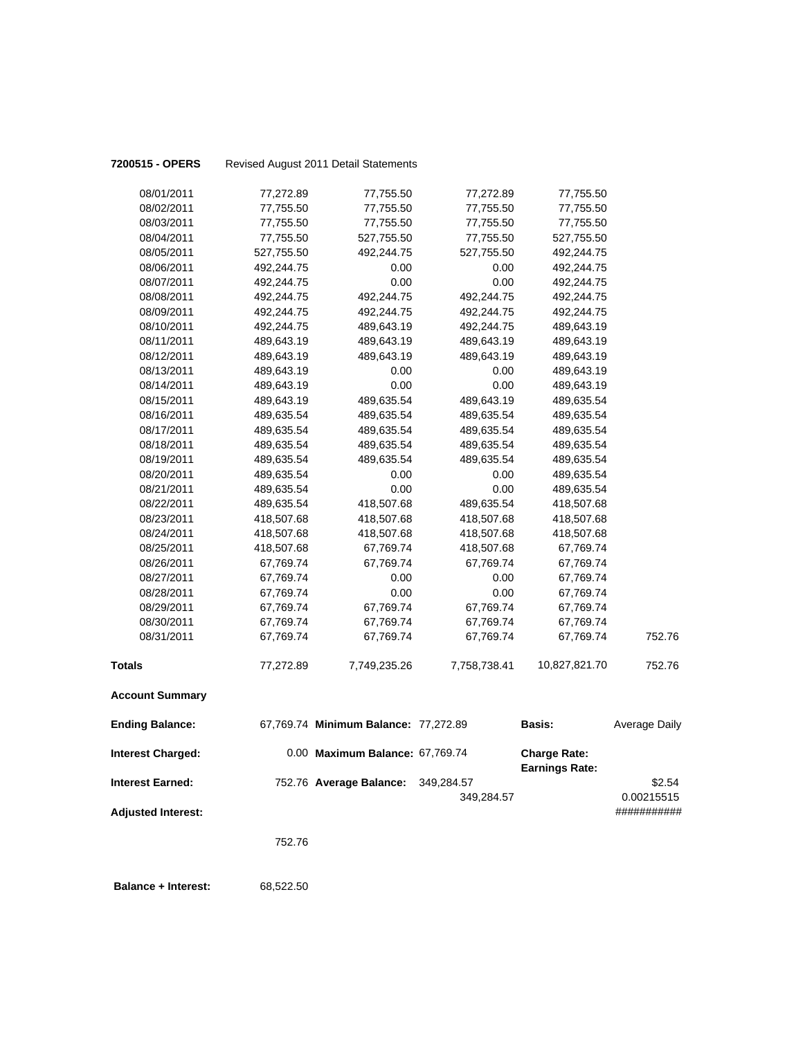| 7200515 - OPERS            |            | Revised August 2011 Detail Statements |              |                                              |                           |
|----------------------------|------------|---------------------------------------|--------------|----------------------------------------------|---------------------------|
| 08/01/2011                 | 77,272.89  | 77,755.50                             | 77,272.89    | 77,755.50                                    |                           |
| 08/02/2011                 | 77,755.50  | 77,755.50                             | 77,755.50    | 77,755.50                                    |                           |
| 08/03/2011                 | 77,755.50  | 77,755.50                             | 77,755.50    | 77,755.50                                    |                           |
| 08/04/2011                 | 77,755.50  | 527,755.50                            | 77,755.50    | 527,755.50                                   |                           |
| 08/05/2011                 | 527,755.50 | 492,244.75                            | 527,755.50   | 492,244.75                                   |                           |
| 08/06/2011                 | 492,244.75 | 0.00                                  | 0.00         | 492,244.75                                   |                           |
| 08/07/2011                 | 492,244.75 | 0.00                                  | 0.00         | 492,244.75                                   |                           |
| 08/08/2011                 | 492,244.75 | 492,244.75                            | 492,244.75   | 492,244.75                                   |                           |
| 08/09/2011                 | 492,244.75 | 492,244.75                            | 492,244.75   | 492,244.75                                   |                           |
| 08/10/2011                 | 492,244.75 | 489,643.19                            | 492,244.75   | 489,643.19                                   |                           |
| 08/11/2011                 | 489,643.19 | 489,643.19                            | 489,643.19   | 489,643.19                                   |                           |
| 08/12/2011                 | 489,643.19 | 489,643.19                            | 489,643.19   | 489,643.19                                   |                           |
| 08/13/2011                 | 489,643.19 | 0.00                                  | 0.00         | 489,643.19                                   |                           |
| 08/14/2011                 | 489,643.19 | 0.00                                  | 0.00         | 489,643.19                                   |                           |
| 08/15/2011                 | 489,643.19 | 489,635.54                            | 489,643.19   | 489,635.54                                   |                           |
| 08/16/2011                 | 489,635.54 | 489,635.54                            | 489,635.54   | 489,635.54                                   |                           |
| 08/17/2011                 | 489,635.54 | 489,635.54                            | 489,635.54   | 489,635.54                                   |                           |
| 08/18/2011                 | 489,635.54 | 489,635.54                            | 489,635.54   | 489,635.54                                   |                           |
| 08/19/2011                 | 489,635.54 | 489,635.54                            | 489,635.54   | 489,635.54                                   |                           |
| 08/20/2011                 | 489,635.54 | 0.00                                  | 0.00         | 489,635.54                                   |                           |
| 08/21/2011                 | 489,635.54 | 0.00                                  | 0.00         | 489,635.54                                   |                           |
| 08/22/2011                 | 489,635.54 | 418,507.68                            | 489,635.54   | 418,507.68                                   |                           |
| 08/23/2011                 | 418,507.68 | 418,507.68                            | 418,507.68   | 418,507.68                                   |                           |
| 08/24/2011                 | 418,507.68 | 418,507.68                            | 418,507.68   | 418,507.68                                   |                           |
| 08/25/2011                 | 418,507.68 | 67,769.74                             | 418,507.68   | 67,769.74                                    |                           |
| 08/26/2011                 | 67,769.74  | 67,769.74                             | 67,769.74    | 67,769.74                                    |                           |
| 08/27/2011                 | 67,769.74  | 0.00                                  | 0.00         | 67,769.74                                    |                           |
| 08/28/2011                 | 67,769.74  | 0.00                                  | 0.00         | 67,769.74                                    |                           |
| 08/29/2011                 | 67,769.74  | 67,769.74                             | 67,769.74    | 67,769.74                                    |                           |
| 08/30/2011                 | 67,769.74  | 67,769.74                             | 67,769.74    | 67,769.74                                    |                           |
| 08/31/2011                 | 67,769.74  | 67,769.74                             | 67,769.74    | 67,769.74                                    | 752.76                    |
| <b>Totals</b>              | 77,272.89  | 7,749,235.26                          | 7,758,738.41 | 10,827,821.70                                | 752.76                    |
| <b>Account Summary</b>     |            |                                       |              |                                              |                           |
| <b>Ending Balance:</b>     |            | 67,769.74 Minimum Balance: 77,272.89  |              | Basis:                                       | Average Daily             |
| <b>Interest Charged:</b>   |            | 0.00 Maximum Balance: 67,769.74       |              | <b>Charge Rate:</b><br><b>Earnings Rate:</b> |                           |
| <b>Interest Earned:</b>    |            | 752.76 Average Balance:               | 349,284.57   |                                              | \$2.54                    |
| <b>Adjusted Interest:</b>  |            |                                       | 349,284.57   |                                              | 0.00215515<br>########### |
|                            |            |                                       |              |                                              |                           |
|                            | 752.76     |                                       |              |                                              |                           |
| <b>Balance + Interest:</b> | 68,522.50  |                                       |              |                                              |                           |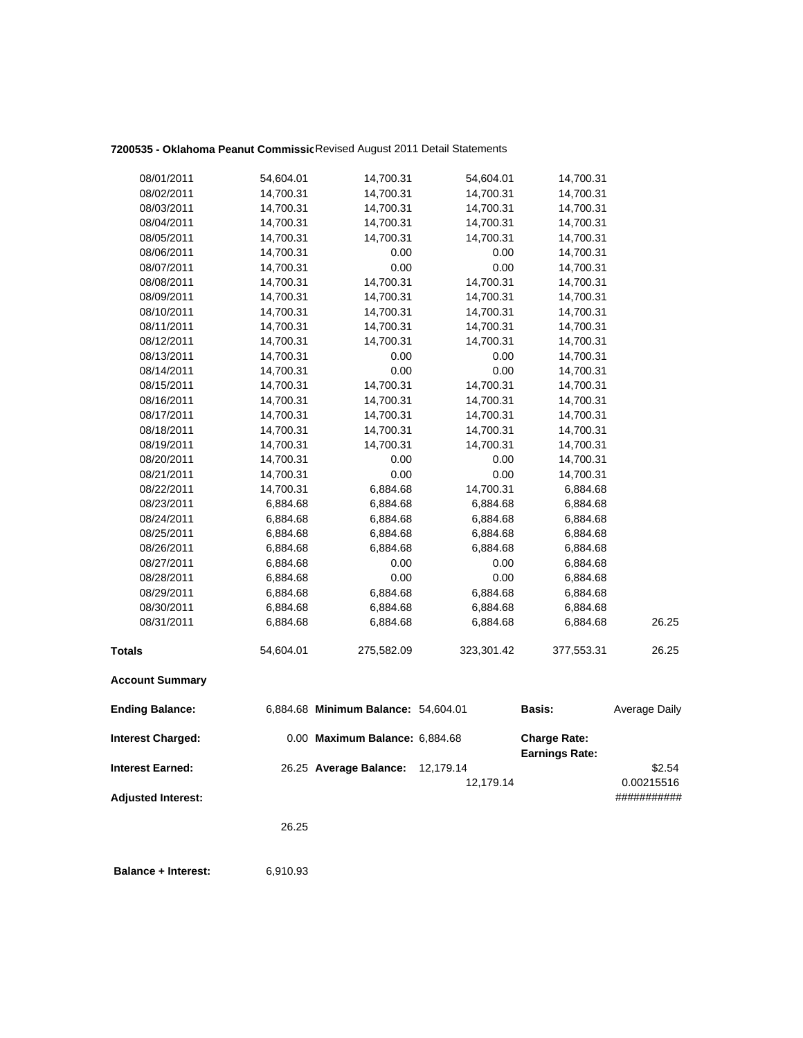## **7200535 - Oklahoma Peanut Commissio**Revised August 2011 Detail Statements

| 08/01/2011                | 54,604.01 | 14,700.31                           | 54,604.01  | 14,700.31                                    |               |
|---------------------------|-----------|-------------------------------------|------------|----------------------------------------------|---------------|
| 08/02/2011                | 14,700.31 | 14,700.31                           | 14,700.31  | 14,700.31                                    |               |
| 08/03/2011                | 14,700.31 | 14,700.31                           | 14,700.31  | 14,700.31                                    |               |
| 08/04/2011                | 14,700.31 | 14,700.31                           | 14,700.31  | 14,700.31                                    |               |
| 08/05/2011                | 14,700.31 | 14,700.31                           | 14,700.31  | 14,700.31                                    |               |
| 08/06/2011                | 14,700.31 | 0.00                                | 0.00       | 14,700.31                                    |               |
| 08/07/2011                | 14,700.31 | 0.00                                | 0.00       | 14,700.31                                    |               |
| 08/08/2011                | 14,700.31 | 14,700.31                           | 14,700.31  | 14,700.31                                    |               |
| 08/09/2011                | 14,700.31 | 14,700.31                           | 14,700.31  | 14,700.31                                    |               |
| 08/10/2011                | 14,700.31 | 14,700.31                           | 14,700.31  | 14,700.31                                    |               |
| 08/11/2011                | 14,700.31 | 14,700.31                           | 14,700.31  | 14,700.31                                    |               |
| 08/12/2011                | 14,700.31 | 14,700.31                           | 14,700.31  | 14,700.31                                    |               |
| 08/13/2011                | 14,700.31 | 0.00                                | 0.00       | 14,700.31                                    |               |
| 08/14/2011                | 14,700.31 | 0.00                                | 0.00       | 14,700.31                                    |               |
| 08/15/2011                | 14,700.31 | 14,700.31                           | 14,700.31  | 14,700.31                                    |               |
| 08/16/2011                | 14,700.31 | 14,700.31                           | 14,700.31  | 14,700.31                                    |               |
| 08/17/2011                | 14,700.31 | 14,700.31                           | 14,700.31  | 14,700.31                                    |               |
| 08/18/2011                | 14,700.31 | 14,700.31                           | 14,700.31  | 14,700.31                                    |               |
| 08/19/2011                | 14,700.31 | 14,700.31                           | 14,700.31  | 14,700.31                                    |               |
| 08/20/2011                | 14,700.31 | 0.00                                | 0.00       | 14,700.31                                    |               |
| 08/21/2011                | 14,700.31 | 0.00                                | 0.00       | 14,700.31                                    |               |
| 08/22/2011                | 14,700.31 | 6,884.68                            | 14,700.31  | 6,884.68                                     |               |
| 08/23/2011                | 6,884.68  | 6,884.68                            | 6,884.68   | 6,884.68                                     |               |
| 08/24/2011                | 6,884.68  | 6,884.68                            | 6,884.68   | 6,884.68                                     |               |
| 08/25/2011                | 6,884.68  | 6,884.68                            | 6,884.68   | 6,884.68                                     |               |
| 08/26/2011                | 6,884.68  | 6,884.68                            | 6,884.68   | 6,884.68                                     |               |
| 08/27/2011                | 6,884.68  | 0.00                                | 0.00       | 6,884.68                                     |               |
| 08/28/2011                | 6,884.68  | 0.00                                | 0.00       | 6,884.68                                     |               |
| 08/29/2011                | 6,884.68  | 6,884.68                            | 6,884.68   | 6,884.68                                     |               |
| 08/30/2011                | 6,884.68  | 6,884.68                            | 6,884.68   | 6,884.68                                     |               |
| 08/31/2011                | 6,884.68  | 6,884.68                            | 6,884.68   | 6,884.68                                     | 26.25         |
| <b>Totals</b>             | 54,604.01 | 275,582.09                          | 323,301.42 | 377,553.31                                   | 26.25         |
| <b>Account Summary</b>    |           |                                     |            |                                              |               |
| <b>Ending Balance:</b>    |           | 6,884.68 Minimum Balance: 54,604.01 |            | Basis:                                       | Average Daily |
| <b>Interest Charged:</b>  |           | 0.00 Maximum Balance: 6,884.68      |            | <b>Charge Rate:</b><br><b>Earnings Rate:</b> |               |
| <b>Interest Earned:</b>   |           | 26.25 Average Balance:              | 12,179.14  |                                              | \$2.54        |
|                           |           |                                     | 12,179.14  |                                              | 0.00215516    |
| <b>Adjusted Interest:</b> |           |                                     |            |                                              | ###########   |
|                           | 26.25     |                                     |            |                                              |               |
|                           |           |                                     |            |                                              |               |

 **Balance + Interest:** 6,910.93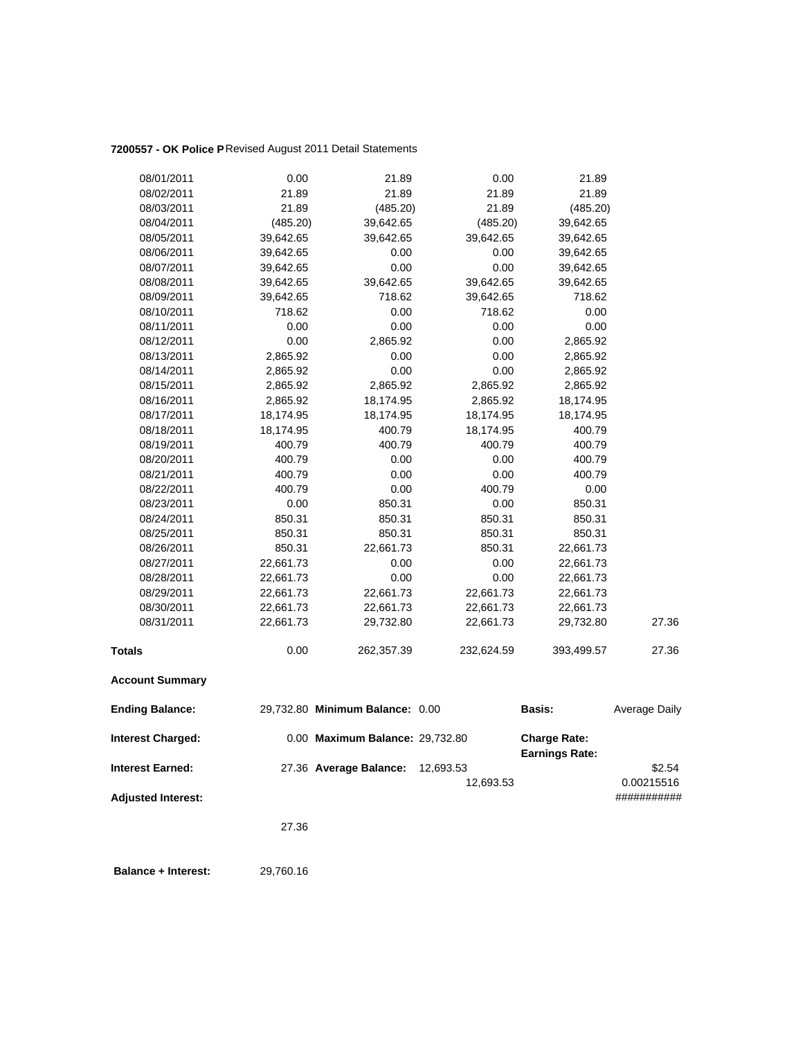### **7200557 - OK Police P**Revised August 2011 Detail Statements

| 08/01/2011                | 0.00      | 21.89                           | 0.00       | 21.89                                        |               |
|---------------------------|-----------|---------------------------------|------------|----------------------------------------------|---------------|
| 08/02/2011                | 21.89     | 21.89                           | 21.89      | 21.89                                        |               |
| 08/03/2011                | 21.89     | (485.20)                        | 21.89      | (485.20)                                     |               |
| 08/04/2011                | (485.20)  | 39,642.65                       | (485.20)   | 39,642.65                                    |               |
| 08/05/2011                | 39,642.65 | 39,642.65                       | 39,642.65  | 39,642.65                                    |               |
| 08/06/2011                | 39,642.65 | 0.00                            | 0.00       | 39,642.65                                    |               |
| 08/07/2011                | 39,642.65 | 0.00                            | 0.00       | 39,642.65                                    |               |
| 08/08/2011                | 39,642.65 | 39,642.65                       | 39,642.65  | 39,642.65                                    |               |
| 08/09/2011                | 39,642.65 | 718.62                          | 39,642.65  | 718.62                                       |               |
| 08/10/2011                | 718.62    | 0.00                            | 718.62     | 0.00                                         |               |
| 08/11/2011                | 0.00      | 0.00                            | 0.00       | 0.00                                         |               |
| 08/12/2011                | 0.00      | 2,865.92                        | 0.00       | 2,865.92                                     |               |
| 08/13/2011                | 2,865.92  | 0.00                            | 0.00       | 2,865.92                                     |               |
| 08/14/2011                | 2,865.92  | 0.00                            | 0.00       | 2,865.92                                     |               |
| 08/15/2011                | 2,865.92  | 2,865.92                        | 2,865.92   | 2,865.92                                     |               |
| 08/16/2011                | 2,865.92  | 18,174.95                       | 2,865.92   | 18,174.95                                    |               |
| 08/17/2011                | 18,174.95 | 18,174.95                       | 18,174.95  | 18,174.95                                    |               |
| 08/18/2011                | 18,174.95 | 400.79                          | 18,174.95  | 400.79                                       |               |
| 08/19/2011                | 400.79    | 400.79                          | 400.79     | 400.79                                       |               |
| 08/20/2011                | 400.79    | 0.00                            | 0.00       | 400.79                                       |               |
| 08/21/2011                | 400.79    | 0.00                            | 0.00       | 400.79                                       |               |
| 08/22/2011                | 400.79    | 0.00                            | 400.79     | 0.00                                         |               |
| 08/23/2011                | 0.00      | 850.31                          | 0.00       | 850.31                                       |               |
| 08/24/2011                | 850.31    | 850.31                          | 850.31     | 850.31                                       |               |
| 08/25/2011                | 850.31    | 850.31                          | 850.31     | 850.31                                       |               |
| 08/26/2011                | 850.31    | 22,661.73                       | 850.31     | 22,661.73                                    |               |
| 08/27/2011                | 22,661.73 | 0.00                            | 0.00       | 22,661.73                                    |               |
| 08/28/2011                | 22,661.73 | 0.00                            | 0.00       | 22,661.73                                    |               |
| 08/29/2011                | 22,661.73 | 22,661.73                       | 22,661.73  | 22,661.73                                    |               |
| 08/30/2011                | 22,661.73 | 22,661.73                       | 22,661.73  | 22,661.73                                    |               |
| 08/31/2011                | 22,661.73 | 29,732.80                       | 22,661.73  | 29,732.80                                    | 27.36         |
| <b>Totals</b>             | 0.00      | 262,357.39                      | 232,624.59 | 393,499.57                                   | 27.36         |
| <b>Account Summary</b>    |           |                                 |            |                                              |               |
| <b>Ending Balance:</b>    |           | 29,732.80 Minimum Balance: 0.00 |            | <b>Basis:</b>                                | Average Daily |
| <b>Interest Charged:</b>  |           | 0.00 Maximum Balance: 29,732.80 |            | <b>Charge Rate:</b><br><b>Earnings Rate:</b> |               |
| <b>Interest Earned:</b>   |           | 27.36 Average Balance:          | 12,693.53  |                                              | \$2.54        |
|                           |           |                                 | 12,693.53  |                                              | 0.00215516    |
| <b>Adjusted Interest:</b> |           |                                 |            |                                              | ###########   |
|                           | 27.36     |                                 |            |                                              |               |
|                           |           |                                 |            |                                              |               |

 **Balance + Interest:** 29,760.16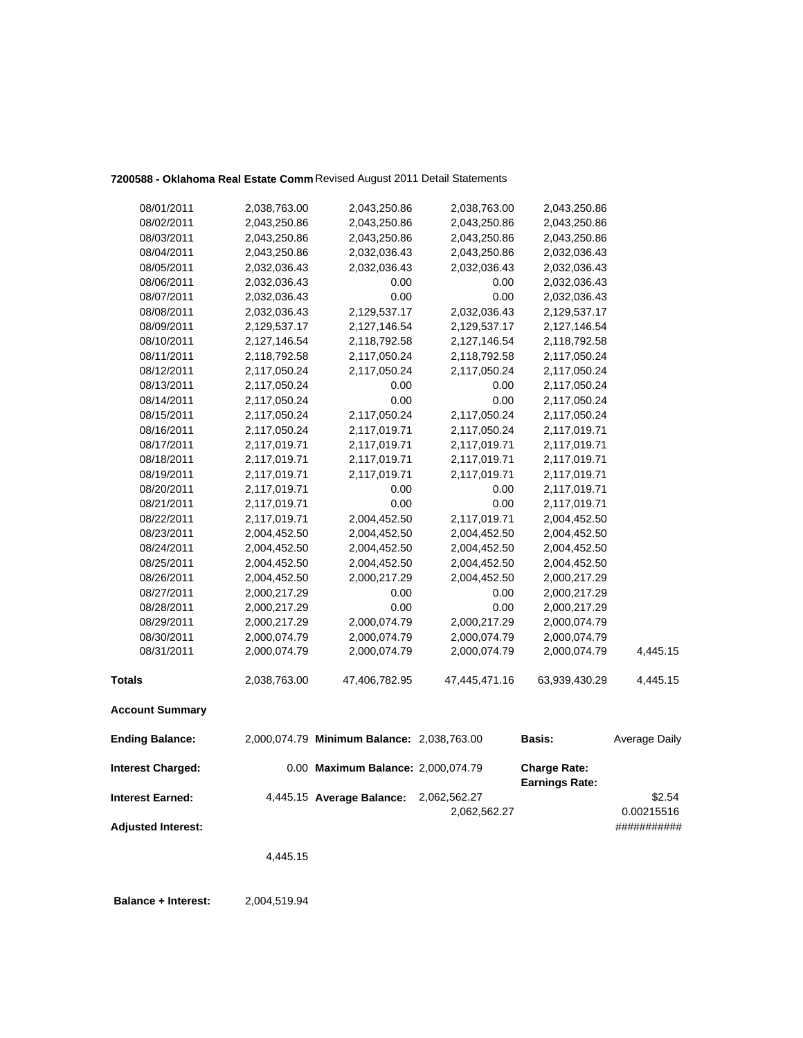|                           | 4,445.15                     |                                            |                              |                              |                           |
|---------------------------|------------------------------|--------------------------------------------|------------------------------|------------------------------|---------------------------|
| <b>Adjusted Interest:</b> |                              |                                            | 2,062,562.27                 |                              | 0.00215516<br>########### |
| <b>Interest Earned:</b>   |                              | 4,445.15 Average Balance:                  | 2,062,562.27                 | <b>Earnings Rate:</b>        | \$2.54                    |
| <b>Interest Charged:</b>  |                              | 0.00 Maximum Balance: 2,000,074.79         |                              | <b>Charge Rate:</b>          |                           |
| <b>Ending Balance:</b>    |                              | 2,000,074.79 Minimum Balance: 2,038,763.00 |                              | <b>Basis:</b>                | Average Daily             |
| <b>Account Summary</b>    |                              |                                            |                              |                              |                           |
| <b>Totals</b>             | 2,038,763.00                 | 47,406,782.95                              | 47,445,471.16                | 63,939,430.29                | 4,445.15                  |
| 08/31/2011                | 2,000,074.79                 | 2,000,074.79                               | 2,000,074.79                 | 2,000,074.79                 | 4,445.15                  |
| 08/30/2011                | 2,000,074.79                 | 2,000,074.79                               | 2,000,074.79                 | 2,000,074.79                 |                           |
| 08/29/2011                | 2,000,217.29                 | 2,000,074.79                               | 2,000,217.29                 | 2,000,074.79                 |                           |
| 08/28/2011                | 2,000,217.29                 | 0.00                                       | 0.00                         | 2,000,217.29                 |                           |
| 08/26/2011<br>08/27/2011  | 2,004,452.50<br>2,000,217.29 | 2,000,217.29<br>0.00                       | 2,004,452.50<br>0.00         | 2,000,217.29<br>2,000,217.29 |                           |
| 08/25/2011                | 2,004,452.50                 | 2,004,452.50                               | 2,004,452.50                 | 2,004,452.50                 |                           |
| 08/24/2011                | 2,004,452.50                 | 2,004,452.50                               | 2,004,452.50                 | 2,004,452.50                 |                           |
| 08/23/2011                | 2,004,452.50                 | 2,004,452.50                               | 2,004,452.50                 | 2,004,452.50                 |                           |
| 08/22/2011                | 2,117,019.71                 | 2,004,452.50                               | 2,117,019.71                 | 2,004,452.50                 |                           |
| 08/21/2011                | 2,117,019.71                 | 0.00                                       | 0.00                         | 2,117,019.71                 |                           |
| 08/20/2011                | 2,117,019.71                 | 0.00                                       | 0.00                         | 2,117,019.71                 |                           |
| 08/19/2011                | 2,117,019.71                 | 2,117,019.71                               | 2,117,019.71                 | 2,117,019.71                 |                           |
| 08/18/2011                | 2,117,019.71                 | 2,117,019.71                               | 2,117,019.71                 | 2,117,019.71                 |                           |
| 08/17/2011                | 2,117,019.71                 | 2,117,019.71                               | 2,117,019.71                 | 2,117,019.71                 |                           |
| 08/16/2011                | 2,117,050.24                 | 2,117,019.71                               | 2,117,050.24                 | 2,117,019.71                 |                           |
| 08/15/2011                | 2,117,050.24                 | 2,117,050.24                               | 2,117,050.24                 | 2,117,050.24                 |                           |
| 08/14/2011                | 2,117,050.24                 | 0.00                                       | 0.00                         | 2,117,050.24                 |                           |
| 08/13/2011                | 2,117,050.24                 | 0.00                                       | 0.00                         | 2,117,050.24                 |                           |
| 08/12/2011                | 2,117,050.24                 | 2,117,050.24                               | 2,117,050.24                 | 2,117,050.24                 |                           |
| 08/11/2011                | 2,118,792.58                 | 2,117,050.24                               | 2,118,792.58                 | 2,117,050.24                 |                           |
| 08/10/2011                | 2,127,146.54                 | 2,118,792.58                               | 2,127,146.54                 | 2,118,792.58                 |                           |
| 08/09/2011                | 2,129,537.17                 | 2,127,146.54                               | 2,129,537.17                 | 2,127,146.54                 |                           |
| 08/08/2011                | 2,032,036.43                 | 2,129,537.17                               | 2,032,036.43                 | 2,129,537.17                 |                           |
| 08/07/2011                | 2,032,036.43                 | 0.00                                       | 0.00                         | 2,032,036.43                 |                           |
| 08/06/2011                | 2,032,036.43                 | 0.00                                       | 0.00                         | 2,032,036.43                 |                           |
| 08/05/2011                | 2,032,036.43                 | 2,032,036.43                               | 2,032,036.43                 | 2,032,036.43<br>2,032,036.43 |                           |
| 08/03/2011<br>08/04/2011  | 2,043,250.86<br>2,043,250.86 | 2,032,036.43                               | 2,043,250.86<br>2,043,250.86 | 2,043,250.86                 |                           |
| 08/02/2011                | 2,043,250.86                 | 2,043,250.86<br>2,043,250.86               | 2,043,250.86                 | 2,043,250.86                 |                           |
| 08/01/2011                | 2,038,763.00                 | 2,043,250.86                               | 2,038,763.00                 | 2,043,250.86                 |                           |
|                           |                              |                                            |                              |                              |                           |

**7200588 - Oklahoma Real Estate Comm** Revised August 2011 Detail Statements

 **Balance + Interest:** 2,004,519.94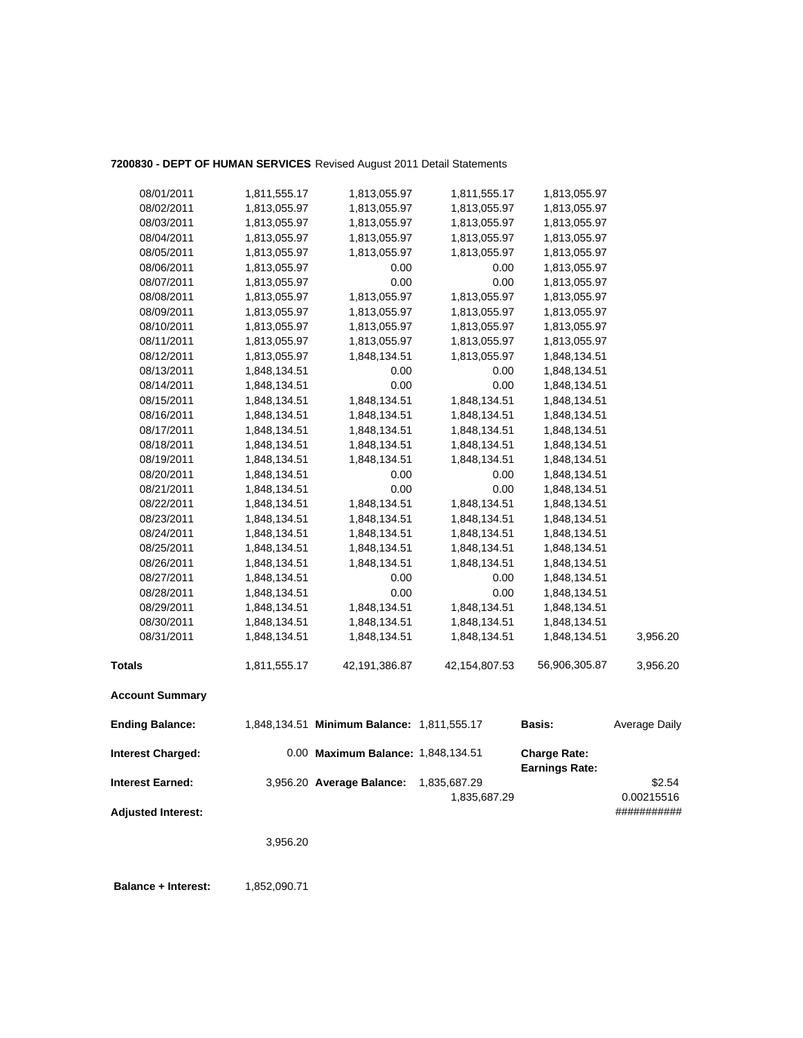### **7200830 - DEPT OF HUMAN SERVICES** Revised August 2011 Detail Statements

| 08/01/2011                | 1,811,555.17 | 1,813,055.97                               | 1,811,555.17  | 1,813,055.97          |               |
|---------------------------|--------------|--------------------------------------------|---------------|-----------------------|---------------|
| 08/02/2011                | 1,813,055.97 | 1,813,055.97                               | 1,813,055.97  | 1,813,055.97          |               |
| 08/03/2011                | 1,813,055.97 | 1,813,055.97                               | 1,813,055.97  | 1,813,055.97          |               |
| 08/04/2011                | 1,813,055.97 | 1,813,055.97                               | 1,813,055.97  | 1,813,055.97          |               |
| 08/05/2011                | 1,813,055.97 | 1,813,055.97                               | 1,813,055.97  | 1,813,055.97          |               |
| 08/06/2011                | 1,813,055.97 | 0.00                                       | 0.00          | 1,813,055.97          |               |
| 08/07/2011                | 1,813,055.97 | 0.00                                       | 0.00          | 1,813,055.97          |               |
| 08/08/2011                | 1,813,055.97 | 1,813,055.97                               | 1,813,055.97  | 1,813,055.97          |               |
| 08/09/2011                | 1,813,055.97 | 1,813,055.97                               | 1,813,055.97  | 1,813,055.97          |               |
| 08/10/2011                | 1,813,055.97 | 1,813,055.97                               | 1,813,055.97  | 1,813,055.97          |               |
| 08/11/2011                | 1,813,055.97 | 1,813,055.97                               | 1,813,055.97  | 1,813,055.97          |               |
| 08/12/2011                | 1,813,055.97 | 1,848,134.51                               | 1,813,055.97  | 1,848,134.51          |               |
| 08/13/2011                | 1,848,134.51 | 0.00                                       | 0.00          | 1,848,134.51          |               |
| 08/14/2011                | 1,848,134.51 | 0.00                                       | 0.00          | 1,848,134.51          |               |
| 08/15/2011                | 1,848,134.51 | 1,848,134.51                               | 1,848,134.51  | 1,848,134.51          |               |
| 08/16/2011                | 1,848,134.51 | 1,848,134.51                               | 1,848,134.51  | 1,848,134.51          |               |
| 08/17/2011                | 1,848,134.51 | 1,848,134.51                               | 1,848,134.51  | 1,848,134.51          |               |
| 08/18/2011                | 1,848,134.51 | 1,848,134.51                               | 1,848,134.51  | 1,848,134.51          |               |
| 08/19/2011                | 1,848,134.51 | 1,848,134.51                               | 1,848,134.51  | 1,848,134.51          |               |
| 08/20/2011                | 1,848,134.51 | 0.00                                       | 0.00          | 1,848,134.51          |               |
| 08/21/2011                | 1,848,134.51 | 0.00                                       | 0.00          | 1,848,134.51          |               |
| 08/22/2011                | 1,848,134.51 | 1,848,134.51                               | 1,848,134.51  | 1,848,134.51          |               |
| 08/23/2011                | 1,848,134.51 | 1,848,134.51                               | 1,848,134.51  | 1,848,134.51          |               |
| 08/24/2011                | 1,848,134.51 | 1,848,134.51                               | 1,848,134.51  | 1,848,134.51          |               |
| 08/25/2011                | 1,848,134.51 | 1,848,134.51                               | 1,848,134.51  | 1,848,134.51          |               |
| 08/26/2011                | 1,848,134.51 | 1,848,134.51                               | 1,848,134.51  | 1,848,134.51          |               |
| 08/27/2011                | 1,848,134.51 | 0.00                                       | 0.00          | 1,848,134.51          |               |
| 08/28/2011                | 1,848,134.51 | 0.00                                       | 0.00          | 1,848,134.51          |               |
| 08/29/2011                | 1,848,134.51 | 1,848,134.51                               | 1,848,134.51  | 1,848,134.51          |               |
| 08/30/2011                | 1,848,134.51 | 1,848,134.51                               | 1,848,134.51  | 1,848,134.51          |               |
| 08/31/2011                | 1,848,134.51 | 1,848,134.51                               | 1,848,134.51  | 1,848,134.51          | 3,956.20      |
| <b>Totals</b>             | 1,811,555.17 | 42,191,386.87                              | 42,154,807.53 | 56,906,305.87         | 3,956.20      |
| <b>Account Summary</b>    |              |                                            |               |                       |               |
| <b>Ending Balance:</b>    |              | 1,848,134.51 Minimum Balance: 1,811,555.17 |               | <b>Basis:</b>         | Average Daily |
| <b>Interest Charged:</b>  |              | 0.00 Maximum Balance: 1,848,134.51         |               | <b>Charge Rate:</b>   |               |
|                           |              |                                            |               | <b>Earnings Rate:</b> |               |
| <b>Interest Earned:</b>   |              | 3,956.20 Average Balance:                  | 1,835,687.29  |                       | \$2.54        |
|                           |              |                                            | 1,835,687.29  |                       | 0.00215516    |
| <b>Adjusted Interest:</b> |              |                                            |               |                       | ###########   |
|                           | 3,956.20     |                                            |               |                       |               |
|                           |              |                                            |               |                       |               |

**Balance + Interest:** 1,852,090.71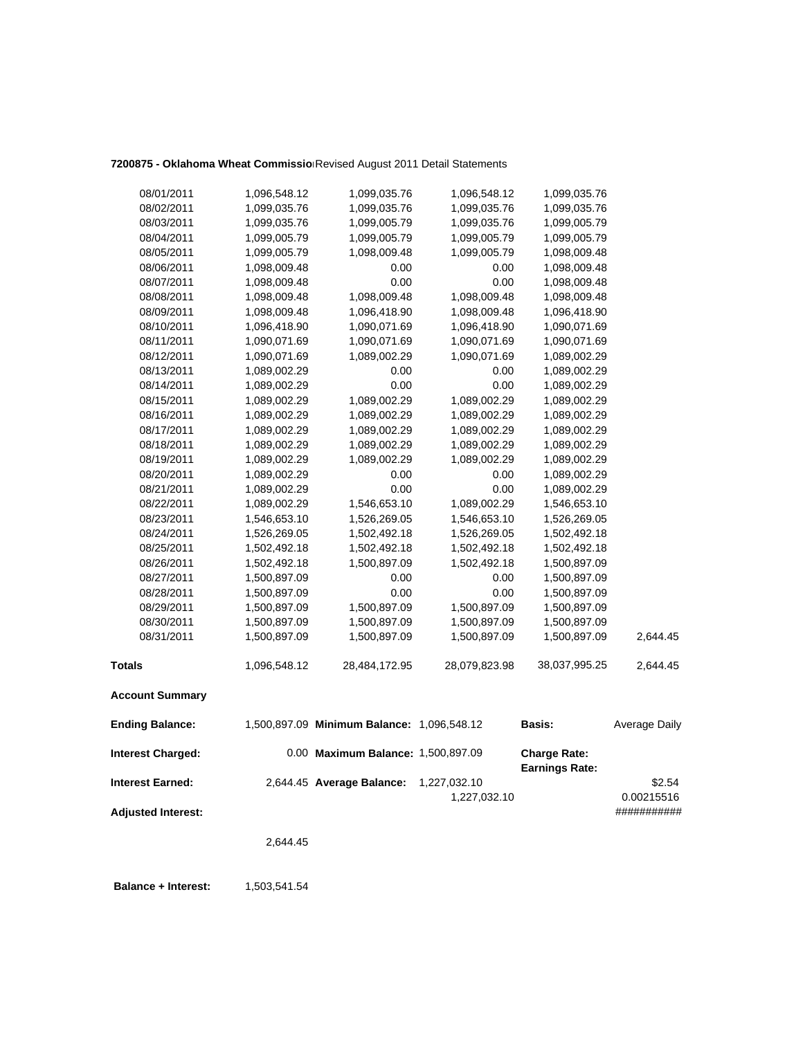### 7200875 - Oklahoma Wheat Commissio Revised August 2011 Detail Statements

| <b>Ending Balance:</b> |              | 1,500,897.09 Minimum Balance: 1,096,548.12 |               | <b>Basis:</b> | Average Daily |
|------------------------|--------------|--------------------------------------------|---------------|---------------|---------------|
| <b>Account Summary</b> |              |                                            |               |               |               |
| <b>Totals</b>          | 1,096,548.12 | 28,484,172.95                              | 28,079,823.98 | 38,037,995.25 | 2,644.45      |
| 08/31/2011             | 1,500,897.09 | 1,500,897.09                               | 1,500,897.09  | 1,500,897.09  | 2,644.45      |
| 08/30/2011             | 1,500,897.09 | 1,500,897.09                               | 1,500,897.09  | 1,500,897.09  |               |
| 08/29/2011             | 1,500,897.09 | 1,500,897.09                               | 1,500,897.09  | 1,500,897.09  |               |
| 08/28/2011             | 1,500,897.09 | 0.00                                       | 0.00          | 1,500,897.09  |               |
| 08/27/2011             | 1,500,897.09 | 0.00                                       | 0.00          | 1,500,897.09  |               |
| 08/26/2011             | 1,502,492.18 | 1,500,897.09                               | 1,502,492.18  | 1,500,897.09  |               |
| 08/25/2011             | 1,502,492.18 | 1,502,492.18                               | 1,502,492.18  | 1,502,492.18  |               |
| 08/24/2011             | 1,526,269.05 | 1,502,492.18                               | 1,526,269.05  | 1,502,492.18  |               |
| 08/23/2011             | 1,546,653.10 | 1,526,269.05                               | 1,546,653.10  | 1,526,269.05  |               |
| 08/22/2011             | 1,089,002.29 | 1,546,653.10                               | 1,089,002.29  | 1,546,653.10  |               |
| 08/21/2011             | 1,089,002.29 | 0.00                                       | 0.00          | 1,089,002.29  |               |
| 08/20/2011             | 1,089,002.29 | 0.00                                       | 0.00          | 1,089,002.29  |               |
| 08/19/2011             | 1,089,002.29 | 1,089,002.29                               | 1,089,002.29  | 1,089,002.29  |               |
| 08/18/2011             | 1,089,002.29 | 1,089,002.29                               | 1,089,002.29  | 1,089,002.29  |               |
| 08/17/2011             | 1,089,002.29 | 1,089,002.29                               | 1,089,002.29  | 1,089,002.29  |               |
| 08/16/2011             | 1,089,002.29 | 1,089,002.29                               | 1,089,002.29  | 1,089,002.29  |               |
| 08/15/2011             | 1,089,002.29 | 1,089,002.29                               | 1,089,002.29  | 1,089,002.29  |               |
| 08/14/2011             | 1,089,002.29 | 0.00                                       | 0.00          | 1,089,002.29  |               |
| 08/13/2011             | 1,089,002.29 | 0.00                                       | 0.00          | 1,089,002.29  |               |
| 08/12/2011             | 1,090,071.69 | 1,089,002.29                               | 1,090,071.69  | 1,089,002.29  |               |
| 08/11/2011             | 1,090,071.69 | 1,090,071.69                               | 1,090,071.69  | 1,090,071.69  |               |
| 08/10/2011             | 1,096,418.90 | 1,090,071.69                               | 1,096,418.90  | 1,090,071.69  |               |
| 08/09/2011             | 1,098,009.48 | 1,096,418.90                               | 1,098,009.48  | 1,096,418.90  |               |
| 08/08/2011             | 1,098,009.48 | 1,098,009.48                               | 1,098,009.48  | 1,098,009.48  |               |
| 08/07/2011             | 1,098,009.48 | 0.00                                       | 0.00          | 1,098,009.48  |               |
| 08/06/2011             | 1,098,009.48 | 0.00                                       | 0.00          | 1,098,009.48  |               |
| 08/05/2011             | 1,099,005.79 | 1,098,009.48                               | 1,099,005.79  | 1,098,009.48  |               |
| 08/04/2011             | 1,099,005.79 | 1,099,005.79                               | 1,099,005.79  | 1,099,005.79  |               |
| 08/03/2011             | 1,099,035.76 | 1,099,005.79                               | 1,099,035.76  | 1,099,005.79  |               |
| 08/02/2011             | 1,099,035.76 | 1,099,035.76                               | 1,099,035.76  | 1,099,035.76  |               |
| 08/01/2011             | 1,096,548.12 | 1,099,035.76                               | 1,096,548.12  | 1,099,035.76  |               |

| Interest Charged:  | 0.00 Maximum Balance: 1.500.897.09 |              | <b>Charge Rate:</b>   |             |
|--------------------|------------------------------------|--------------|-----------------------|-------------|
|                    |                                    |              | <b>Earnings Rate:</b> |             |
| Interest Earned:   | 2,644.45 Average Balance:          | 1,227,032.10 |                       | \$2.54      |
|                    |                                    | 1.227.032.10 |                       | 0.00215516  |
| Adjusted Interest: |                                    |              |                       | ########### |

2,644.45

**Balance + Interest:** 1,503,541.54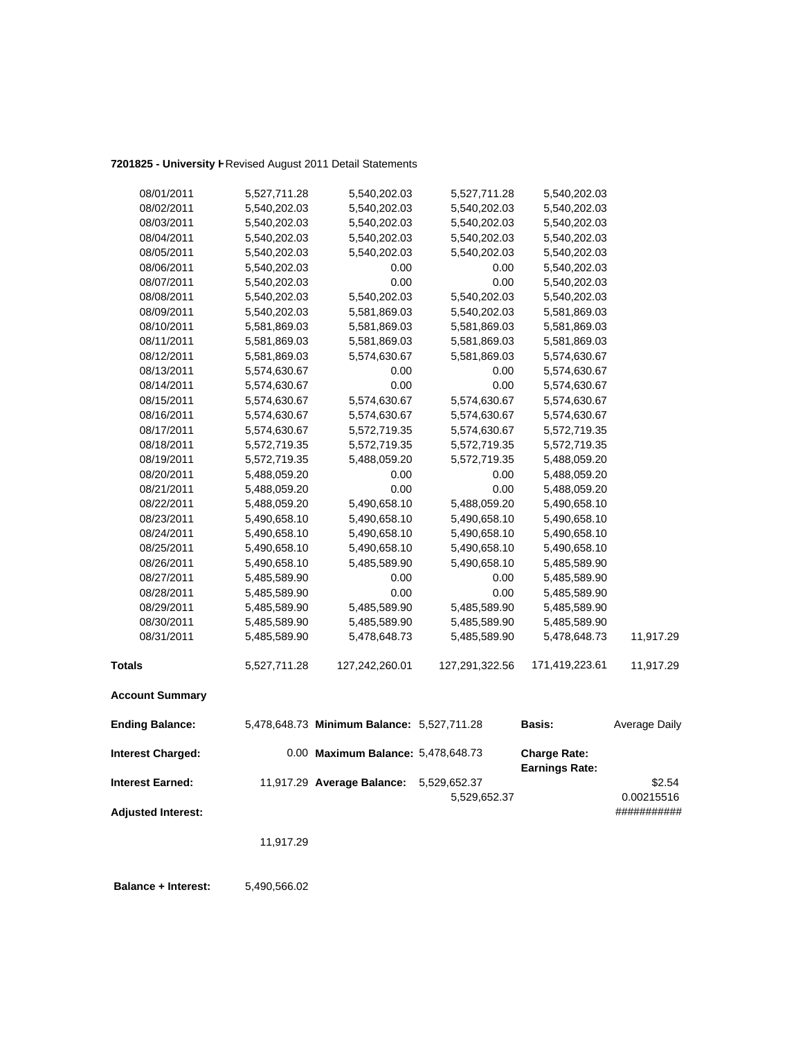### **7201825 - University H**Revised August 2011 Detail Statements

| 08/01/2011                | 5,527,711.28 | 5,540,202.03                               | 5,527,711.28   | 5,540,202.03                                 |                      |
|---------------------------|--------------|--------------------------------------------|----------------|----------------------------------------------|----------------------|
| 08/02/2011                | 5,540,202.03 | 5,540,202.03                               | 5,540,202.03   | 5,540,202.03                                 |                      |
| 08/03/2011                | 5,540,202.03 | 5,540,202.03                               | 5,540,202.03   | 5,540,202.03                                 |                      |
| 08/04/2011                | 5,540,202.03 | 5,540,202.03                               | 5,540,202.03   | 5,540,202.03                                 |                      |
| 08/05/2011                | 5,540,202.03 | 5,540,202.03                               | 5,540,202.03   | 5,540,202.03                                 |                      |
| 08/06/2011                | 5,540,202.03 | 0.00                                       | 0.00           | 5,540,202.03                                 |                      |
| 08/07/2011                | 5,540,202.03 | 0.00                                       | 0.00           | 5,540,202.03                                 |                      |
| 08/08/2011                | 5,540,202.03 | 5,540,202.03                               | 5,540,202.03   | 5,540,202.03                                 |                      |
| 08/09/2011                | 5,540,202.03 | 5,581,869.03                               | 5,540,202.03   | 5,581,869.03                                 |                      |
| 08/10/2011                | 5,581,869.03 | 5,581,869.03                               | 5,581,869.03   | 5,581,869.03                                 |                      |
| 08/11/2011                | 5,581,869.03 | 5,581,869.03                               | 5,581,869.03   | 5,581,869.03                                 |                      |
| 08/12/2011                | 5,581,869.03 | 5,574,630.67                               | 5,581,869.03   | 5,574,630.67                                 |                      |
| 08/13/2011                | 5,574,630.67 | 0.00                                       | 0.00           | 5,574,630.67                                 |                      |
| 08/14/2011                | 5,574,630.67 | 0.00                                       | 0.00           | 5,574,630.67                                 |                      |
| 08/15/2011                | 5,574,630.67 | 5,574,630.67                               | 5,574,630.67   | 5,574,630.67                                 |                      |
| 08/16/2011                | 5,574,630.67 | 5,574,630.67                               | 5,574,630.67   | 5,574,630.67                                 |                      |
| 08/17/2011                | 5,574,630.67 | 5,572,719.35                               | 5,574,630.67   | 5,572,719.35                                 |                      |
| 08/18/2011                | 5,572,719.35 | 5,572,719.35                               | 5,572,719.35   | 5,572,719.35                                 |                      |
| 08/19/2011                | 5,572,719.35 | 5,488,059.20                               | 5,572,719.35   | 5,488,059.20                                 |                      |
| 08/20/2011                | 5,488,059.20 | 0.00                                       | 0.00           | 5,488,059.20                                 |                      |
| 08/21/2011                | 5,488,059.20 | 0.00                                       | 0.00           | 5,488,059.20                                 |                      |
| 08/22/2011                | 5,488,059.20 | 5,490,658.10                               | 5,488,059.20   | 5,490,658.10                                 |                      |
| 08/23/2011                | 5,490,658.10 | 5,490,658.10                               | 5,490,658.10   | 5,490,658.10                                 |                      |
| 08/24/2011                | 5,490,658.10 | 5,490,658.10                               | 5,490,658.10   | 5,490,658.10                                 |                      |
| 08/25/2011                | 5,490,658.10 | 5,490,658.10                               | 5,490,658.10   | 5,490,658.10                                 |                      |
| 08/26/2011                | 5,490,658.10 | 5,485,589.90                               | 5,490,658.10   | 5,485,589.90                                 |                      |
| 08/27/2011                | 5,485,589.90 | 0.00                                       | 0.00           | 5,485,589.90                                 |                      |
| 08/28/2011                | 5,485,589.90 | 0.00                                       | 0.00           | 5,485,589.90                                 |                      |
| 08/29/2011                | 5,485,589.90 | 5,485,589.90                               | 5,485,589.90   | 5,485,589.90                                 |                      |
| 08/30/2011                | 5,485,589.90 | 5,485,589.90                               | 5,485,589.90   | 5,485,589.90                                 |                      |
| 08/31/2011                | 5,485,589.90 | 5,478,648.73                               | 5,485,589.90   | 5,478,648.73                                 | 11,917.29            |
| <b>Totals</b>             | 5,527,711.28 | 127,242,260.01                             | 127,291,322.56 | 171,419,223.61                               | 11,917.29            |
| <b>Account Summary</b>    |              |                                            |                |                                              |                      |
| <b>Ending Balance:</b>    |              | 5,478,648.73 Minimum Balance: 5,527,711.28 |                | <b>Basis:</b>                                | <b>Average Daily</b> |
| <b>Interest Charged:</b>  |              | 0.00 Maximum Balance: 5,478,648.73         |                | <b>Charge Rate:</b><br><b>Earnings Rate:</b> |                      |
| <b>Interest Earned:</b>   |              | 11,917.29 Average Balance:                 | 5,529,652.37   |                                              | \$2.54               |
|                           |              |                                            | 5,529,652.37   |                                              | 0.00215516           |
| <b>Adjusted Interest:</b> |              |                                            |                |                                              | ###########          |
|                           | 11,917.29    |                                            |                |                                              |                      |
|                           |              |                                            |                |                                              |                      |

 **Balance + Interest:** 5,490,566.02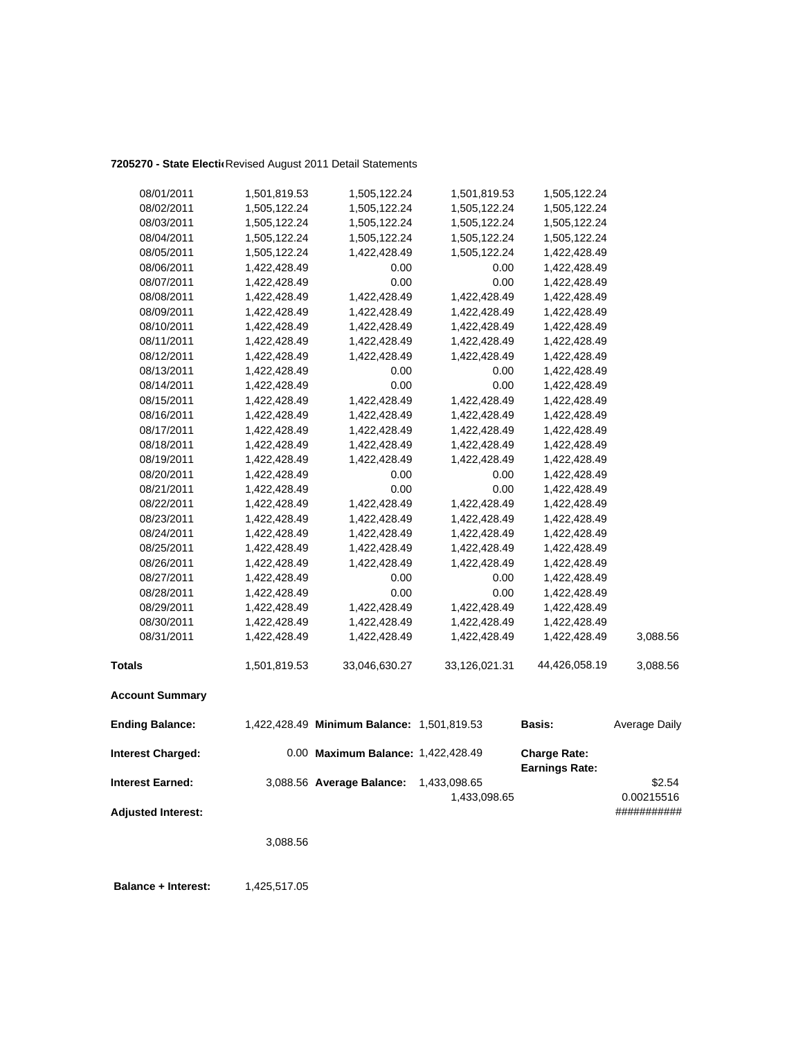### **7205270 - State Electio**Revised August 2011 Detail Statements

| <b>Adjusted Interest:</b>                           |              |                                                                 | 1,433,098.65  |                                              | 0.00215516<br>########### |
|-----------------------------------------------------|--------------|-----------------------------------------------------------------|---------------|----------------------------------------------|---------------------------|
| <b>Interest Charged:</b><br><b>Interest Earned:</b> |              | 0.00 Maximum Balance: 1,422,428.49<br>3,088.56 Average Balance: | 1,433,098.65  | <b>Charge Rate:</b><br><b>Earnings Rate:</b> | \$2.54                    |
| <b>Ending Balance:</b>                              |              | 1,422,428.49 Minimum Balance: 1,501,819.53                      |               | Basis:                                       | Average Daily             |
| <b>Account Summary</b>                              |              |                                                                 |               |                                              |                           |
| <b>Totals</b>                                       | 1,501,819.53 | 33,046,630.27                                                   | 33,126,021.31 | 44,426,058.19                                | 3,088.56                  |
| 08/31/2011                                          | 1,422,428.49 | 1,422,428.49                                                    | 1,422,428.49  | 1,422,428.49                                 | 3,088.56                  |
| 08/30/2011                                          | 1,422,428.49 | 1,422,428.49                                                    | 1,422,428.49  | 1,422,428.49                                 |                           |
| 08/29/2011                                          | 1,422,428.49 | 1,422,428.49                                                    | 1,422,428.49  | 1,422,428.49                                 |                           |
| 08/28/2011                                          | 1,422,428.49 | 0.00                                                            | 0.00          | 1,422,428.49                                 |                           |
| 08/27/2011                                          | 1,422,428.49 | 0.00                                                            | 0.00          | 1,422,428.49                                 |                           |
| 08/26/2011                                          | 1,422,428.49 | 1,422,428.49                                                    | 1,422,428.49  | 1,422,428.49                                 |                           |
| 08/25/2011                                          | 1,422,428.49 | 1,422,428.49                                                    | 1,422,428.49  | 1,422,428.49                                 |                           |
| 08/24/2011                                          | 1,422,428.49 | 1,422,428.49                                                    | 1,422,428.49  | 1,422,428.49                                 |                           |
| 08/23/2011                                          | 1,422,428.49 | 1,422,428.49                                                    | 1,422,428.49  | 1,422,428.49                                 |                           |
| 08/22/2011                                          | 1,422,428.49 | 1,422,428.49                                                    | 1,422,428.49  | 1,422,428.49                                 |                           |
| 08/21/2011                                          | 1,422,428.49 | 0.00                                                            | 0.00          | 1,422,428.49                                 |                           |
| 08/20/2011                                          | 1,422,428.49 | 0.00                                                            | 0.00          | 1,422,428.49                                 |                           |
| 08/19/2011                                          | 1,422,428.49 | 1,422,428.49                                                    | 1,422,428.49  | 1,422,428.49                                 |                           |
| 08/18/2011                                          | 1,422,428.49 | 1,422,428.49                                                    | 1,422,428.49  | 1,422,428.49                                 |                           |
| 08/17/2011                                          | 1,422,428.49 | 1,422,428.49                                                    | 1,422,428.49  | 1,422,428.49                                 |                           |
| 08/16/2011                                          | 1,422,428.49 | 1,422,428.49                                                    | 1,422,428.49  | 1,422,428.49                                 |                           |
| 08/15/2011                                          | 1,422,428.49 | 1,422,428.49                                                    | 1,422,428.49  | 1,422,428.49                                 |                           |
| 08/14/2011                                          | 1,422,428.49 | 0.00                                                            | 0.00          | 1,422,428.49                                 |                           |
| 08/13/2011                                          | 1,422,428.49 | 0.00                                                            | 0.00          | 1,422,428.49                                 |                           |
| 08/12/2011                                          | 1,422,428.49 | 1,422,428.49                                                    | 1,422,428.49  | 1,422,428.49                                 |                           |
| 08/11/2011                                          | 1,422,428.49 | 1,422,428.49                                                    | 1,422,428.49  | 1,422,428.49                                 |                           |
| 08/10/2011                                          | 1,422,428.49 | 1,422,428.49                                                    | 1,422,428.49  | 1,422,428.49                                 |                           |
| 08/09/2011                                          | 1,422,428.49 | 1,422,428.49                                                    | 1,422,428.49  | 1,422,428.49                                 |                           |
| 08/08/2011                                          | 1,422,428.49 | 1,422,428.49                                                    | 1,422,428.49  | 1,422,428.49                                 |                           |
| 08/07/2011                                          | 1,422,428.49 | 0.00                                                            | 0.00          | 1,422,428.49                                 |                           |
| 08/06/2011                                          | 1,422,428.49 | 0.00                                                            | 0.00          | 1,422,428.49                                 |                           |
| 08/05/2011                                          | 1,505,122.24 | 1,422,428.49                                                    | 1,505,122.24  | 1,422,428.49                                 |                           |
| 08/04/2011                                          | 1,505,122.24 | 1,505,122.24                                                    | 1,505,122.24  | 1,505,122.24                                 |                           |
| 08/03/2011                                          | 1,505,122.24 | 1,505,122.24                                                    | 1,505,122.24  | 1,505,122.24                                 |                           |
| 08/01/2011<br>08/02/2011                            | 1,505,122.24 | 1,505,122.24<br>1,505,122.24                                    | 1,505,122.24  | 1,505,122.24                                 |                           |
|                                                     | 1,501,819.53 |                                                                 | 1,501,819.53  | 1,505,122.24                                 |                           |

3,088.56

**Balance + Interest:** 1,425,517.05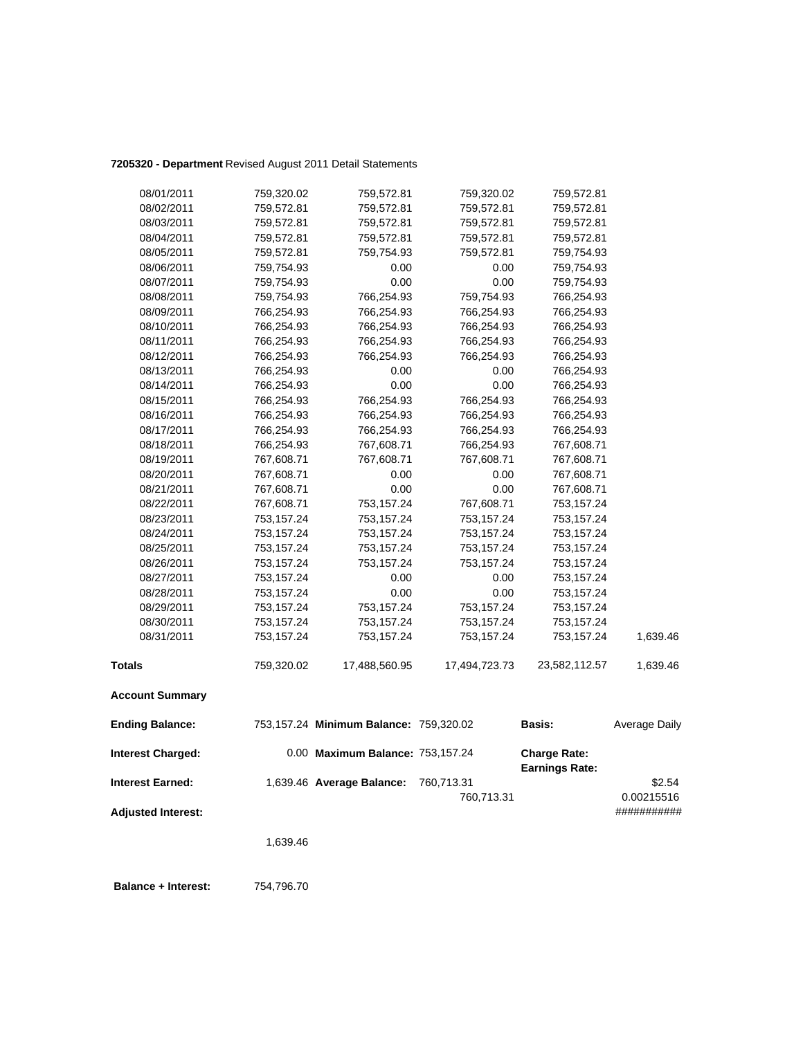### **7205320 - Department** Revised August 2011 Detail Statements

| 08/01/2011                | 759,320.02 | 759,572.81                             | 759,320.02    | 759,572.81                                   |               |
|---------------------------|------------|----------------------------------------|---------------|----------------------------------------------|---------------|
| 08/02/2011                | 759,572.81 | 759,572.81                             | 759,572.81    | 759,572.81                                   |               |
| 08/03/2011                | 759,572.81 | 759,572.81                             | 759,572.81    | 759,572.81                                   |               |
| 08/04/2011                | 759,572.81 | 759,572.81                             | 759,572.81    | 759,572.81                                   |               |
| 08/05/2011                | 759,572.81 | 759,754.93                             | 759,572.81    | 759,754.93                                   |               |
| 08/06/2011                | 759,754.93 | 0.00                                   | 0.00          | 759,754.93                                   |               |
| 08/07/2011                | 759,754.93 | 0.00                                   | 0.00          | 759,754.93                                   |               |
| 08/08/2011                | 759,754.93 | 766,254.93                             | 759,754.93    | 766,254.93                                   |               |
| 08/09/2011                | 766,254.93 | 766,254.93                             | 766,254.93    | 766,254.93                                   |               |
| 08/10/2011                | 766,254.93 | 766,254.93                             | 766,254.93    | 766,254.93                                   |               |
| 08/11/2011                | 766,254.93 | 766,254.93                             | 766,254.93    | 766,254.93                                   |               |
| 08/12/2011                | 766,254.93 | 766,254.93                             | 766,254.93    | 766,254.93                                   |               |
| 08/13/2011                | 766,254.93 | 0.00                                   | 0.00          | 766,254.93                                   |               |
| 08/14/2011                | 766,254.93 | 0.00                                   | 0.00          | 766,254.93                                   |               |
| 08/15/2011                | 766,254.93 | 766,254.93                             | 766,254.93    | 766,254.93                                   |               |
| 08/16/2011                | 766,254.93 | 766,254.93                             | 766,254.93    | 766,254.93                                   |               |
| 08/17/2011                | 766,254.93 | 766,254.93                             | 766,254.93    | 766,254.93                                   |               |
| 08/18/2011                | 766,254.93 | 767,608.71                             | 766,254.93    | 767,608.71                                   |               |
| 08/19/2011                | 767,608.71 | 767,608.71                             | 767,608.71    | 767,608.71                                   |               |
| 08/20/2011                | 767,608.71 | 0.00                                   | 0.00          | 767,608.71                                   |               |
| 08/21/2011                | 767,608.71 | 0.00                                   | 0.00          | 767,608.71                                   |               |
| 08/22/2011                | 767,608.71 | 753,157.24                             | 767,608.71    | 753,157.24                                   |               |
| 08/23/2011                | 753,157.24 | 753,157.24                             | 753,157.24    | 753,157.24                                   |               |
| 08/24/2011                | 753,157.24 | 753,157.24                             | 753,157.24    | 753,157.24                                   |               |
| 08/25/2011                | 753,157.24 | 753,157.24                             | 753,157.24    | 753,157.24                                   |               |
| 08/26/2011                | 753,157.24 | 753,157.24                             | 753,157.24    | 753,157.24                                   |               |
| 08/27/2011                | 753,157.24 | 0.00                                   | 0.00          | 753,157.24                                   |               |
| 08/28/2011                | 753,157.24 | 0.00                                   | 0.00          | 753,157.24                                   |               |
| 08/29/2011                | 753,157.24 | 753,157.24                             | 753,157.24    | 753,157.24                                   |               |
| 08/30/2011                | 753,157.24 | 753,157.24                             | 753,157.24    | 753,157.24                                   |               |
| 08/31/2011                | 753,157.24 | 753,157.24                             | 753,157.24    | 753,157.24                                   | 1,639.46      |
| <b>Totals</b>             | 759,320.02 | 17,488,560.95                          | 17,494,723.73 | 23,582,112.57                                | 1,639.46      |
| <b>Account Summary</b>    |            |                                        |               |                                              |               |
| <b>Ending Balance:</b>    |            | 753,157.24 Minimum Balance: 759,320.02 |               | Basis:                                       | Average Daily |
| <b>Interest Charged:</b>  |            | 0.00 Maximum Balance: 753,157.24       |               | <b>Charge Rate:</b><br><b>Earnings Rate:</b> |               |
| <b>Interest Earned:</b>   |            | 1,639.46 Average Balance:              | 760,713.31    |                                              | \$2.54        |
|                           |            |                                        | 760,713.31    |                                              | 0.00215516    |
| <b>Adjusted Interest:</b> |            |                                        |               |                                              | ###########   |
|                           |            |                                        |               |                                              |               |
|                           | 1,639.46   |                                        |               |                                              |               |

 **Balance + Interest:** 754,796.70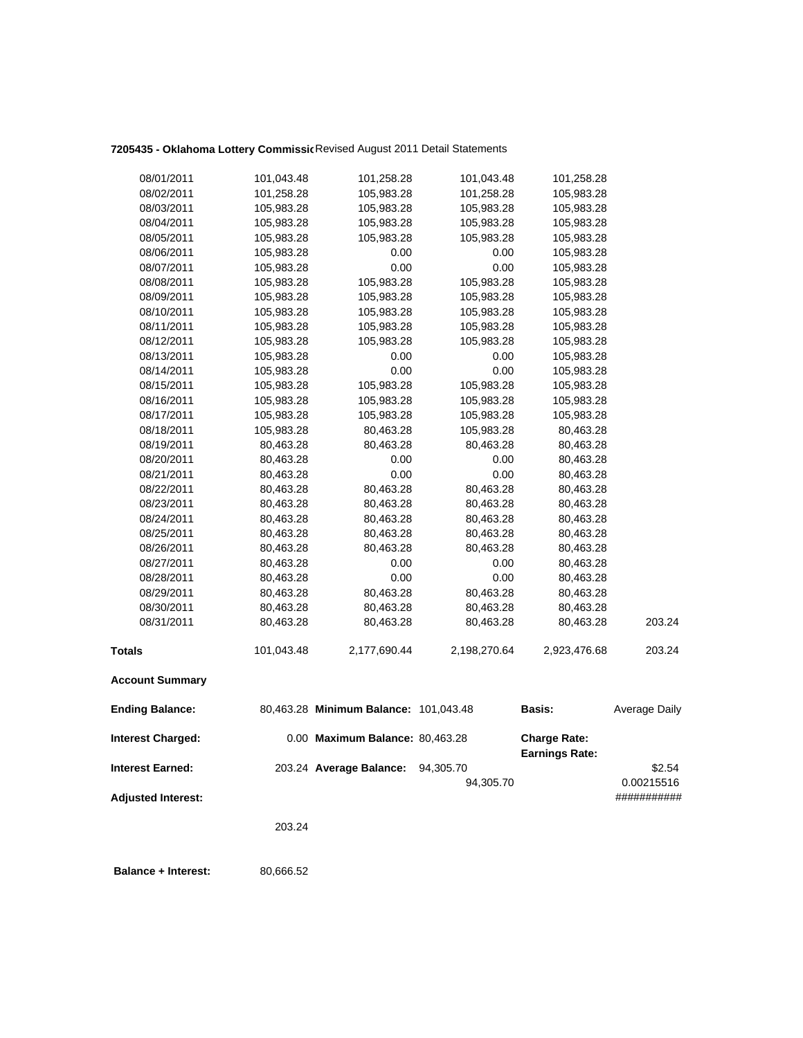## **7205435 - Oklahoma Lottery Commissio**Revised August 2011 Detail Statements

| 08/01/2011                | 101,043.48 | 101,258.28                            | 101,043.48               | 101,258.28               |                           |
|---------------------------|------------|---------------------------------------|--------------------------|--------------------------|---------------------------|
| 08/02/2011                | 101,258.28 | 105,983.28                            | 101,258.28               | 105,983.28               |                           |
| 08/03/2011                | 105,983.28 | 105,983.28                            | 105,983.28               | 105,983.28               |                           |
| 08/04/2011                | 105,983.28 | 105,983.28                            | 105,983.28               | 105,983.28               |                           |
| 08/05/2011                | 105,983.28 | 105,983.28                            | 105,983.28               | 105,983.28               |                           |
| 08/06/2011                | 105,983.28 | 0.00                                  | 0.00                     | 105,983.28               |                           |
| 08/07/2011                | 105,983.28 | 0.00                                  | 0.00                     | 105,983.28               |                           |
| 08/08/2011                | 105,983.28 | 105,983.28                            | 105,983.28               | 105,983.28               |                           |
| 08/09/2011                | 105,983.28 | 105,983.28                            | 105,983.28               | 105,983.28               |                           |
| 08/10/2011                | 105,983.28 | 105,983.28                            | 105,983.28               | 105,983.28               |                           |
| 08/11/2011                | 105,983.28 | 105,983.28                            | 105,983.28               | 105,983.28               |                           |
| 08/12/2011                | 105,983.28 | 105,983.28                            | 105,983.28               | 105,983.28               |                           |
| 08/13/2011                | 105,983.28 | 0.00                                  | 0.00                     | 105,983.28               |                           |
| 08/14/2011                | 105,983.28 | 0.00                                  | 0.00                     | 105,983.28               |                           |
| 08/15/2011                | 105,983.28 | 105,983.28                            | 105,983.28               | 105,983.28               |                           |
| 08/16/2011                | 105,983.28 |                                       |                          |                          |                           |
| 08/17/2011                | 105,983.28 | 105,983.28<br>105,983.28              | 105,983.28<br>105,983.28 | 105,983.28<br>105,983.28 |                           |
| 08/18/2011                | 105,983.28 | 80,463.28                             | 105,983.28               | 80,463.28                |                           |
| 08/19/2011                | 80,463.28  | 80,463.28                             | 80,463.28                | 80,463.28                |                           |
| 08/20/2011                | 80,463.28  | 0.00                                  | 0.00                     | 80,463.28                |                           |
| 08/21/2011                | 80,463.28  | 0.00                                  | 0.00                     | 80,463.28                |                           |
| 08/22/2011                | 80,463.28  | 80,463.28                             | 80,463.28                | 80,463.28                |                           |
| 08/23/2011                | 80,463.28  | 80,463.28                             | 80,463.28                | 80,463.28                |                           |
| 08/24/2011                | 80,463.28  | 80,463.28                             | 80,463.28                | 80,463.28                |                           |
| 08/25/2011                | 80,463.28  | 80,463.28                             | 80,463.28                | 80,463.28                |                           |
| 08/26/2011                | 80,463.28  | 80,463.28                             | 80,463.28                | 80,463.28                |                           |
| 08/27/2011                | 80,463.28  | 0.00                                  | 0.00                     | 80,463.28                |                           |
| 08/28/2011                | 80,463.28  | 0.00                                  | 0.00                     | 80,463.28                |                           |
| 08/29/2011                | 80,463.28  | 80,463.28                             | 80,463.28                | 80,463.28                |                           |
| 08/30/2011                | 80,463.28  | 80,463.28                             | 80,463.28                | 80,463.28                |                           |
| 08/31/2011                |            | 80,463.28                             |                          |                          | 203.24                    |
|                           | 80,463.28  |                                       | 80,463.28                | 80,463.28                |                           |
| <b>Totals</b>             | 101,043.48 | 2,177,690.44                          | 2,198,270.64             | 2,923,476.68             | 203.24                    |
| <b>Account Summary</b>    |            |                                       |                          |                          |                           |
| <b>Ending Balance:</b>    |            | 80,463.28 Minimum Balance: 101,043.48 |                          | <b>Basis:</b>            | Average Daily             |
| <b>Interest Charged:</b>  |            | 0.00 Maximum Balance: 80,463.28       |                          | <b>Charge Rate:</b>      |                           |
|                           |            |                                       |                          | <b>Earnings Rate:</b>    |                           |
| <b>Interest Earned:</b>   |            | 203.24 Average Balance:               | 94,305.70                |                          | \$2.54                    |
| <b>Adjusted Interest:</b> |            |                                       | 94,305.70                |                          | 0.00215516<br>########### |
|                           |            |                                       |                          |                          |                           |
|                           | 203.24     |                                       |                          |                          |                           |
|                           |            |                                       |                          |                          |                           |

**Balance + Interest:** 80,666.52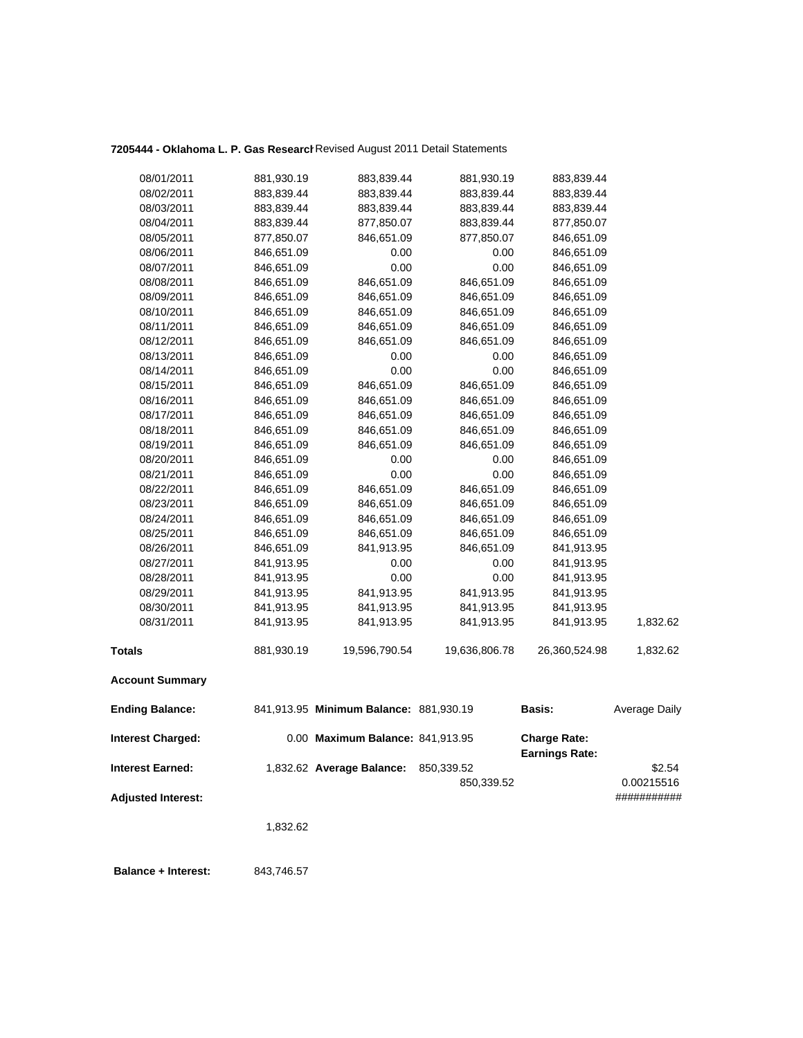## **7205444 - Oklahoma L. P. Gas Research**Revised August 2011 Detail Statements

| 08/01/2011                | 881,930.19 | 883,839.44                             | 881,930.19    | 883,839.44                                   |                      |
|---------------------------|------------|----------------------------------------|---------------|----------------------------------------------|----------------------|
| 08/02/2011                | 883,839.44 | 883,839.44                             | 883,839.44    | 883,839.44                                   |                      |
| 08/03/2011                | 883,839.44 | 883,839.44                             | 883,839.44    | 883,839.44                                   |                      |
| 08/04/2011                | 883,839.44 | 877,850.07                             | 883,839.44    | 877,850.07                                   |                      |
| 08/05/2011                | 877,850.07 | 846,651.09                             | 877,850.07    | 846,651.09                                   |                      |
| 08/06/2011                | 846,651.09 | 0.00                                   | 0.00          | 846,651.09                                   |                      |
| 08/07/2011                | 846,651.09 | 0.00                                   | 0.00          | 846,651.09                                   |                      |
| 08/08/2011                | 846,651.09 | 846,651.09                             | 846,651.09    | 846,651.09                                   |                      |
| 08/09/2011                | 846,651.09 | 846,651.09                             | 846,651.09    | 846,651.09                                   |                      |
| 08/10/2011                | 846,651.09 | 846,651.09                             | 846,651.09    | 846,651.09                                   |                      |
| 08/11/2011                | 846,651.09 | 846,651.09                             | 846,651.09    | 846,651.09                                   |                      |
| 08/12/2011                | 846,651.09 | 846,651.09                             | 846,651.09    | 846,651.09                                   |                      |
| 08/13/2011                | 846,651.09 | 0.00                                   | 0.00          | 846,651.09                                   |                      |
| 08/14/2011                | 846,651.09 | 0.00                                   | 0.00          | 846,651.09                                   |                      |
| 08/15/2011                | 846,651.09 | 846,651.09                             | 846,651.09    | 846,651.09                                   |                      |
| 08/16/2011                | 846,651.09 | 846,651.09                             | 846,651.09    | 846,651.09                                   |                      |
| 08/17/2011                | 846,651.09 | 846,651.09                             | 846,651.09    | 846,651.09                                   |                      |
| 08/18/2011                | 846,651.09 | 846,651.09                             | 846,651.09    | 846,651.09                                   |                      |
| 08/19/2011                | 846,651.09 | 846,651.09                             | 846,651.09    | 846,651.09                                   |                      |
| 08/20/2011                | 846,651.09 | 0.00                                   | 0.00          | 846,651.09                                   |                      |
| 08/21/2011                | 846,651.09 | 0.00                                   | 0.00          | 846,651.09                                   |                      |
| 08/22/2011                | 846,651.09 | 846,651.09                             | 846,651.09    | 846,651.09                                   |                      |
| 08/23/2011                | 846,651.09 | 846,651.09                             | 846,651.09    | 846,651.09                                   |                      |
| 08/24/2011                | 846,651.09 | 846,651.09                             | 846,651.09    | 846,651.09                                   |                      |
| 08/25/2011                | 846,651.09 | 846,651.09                             | 846,651.09    | 846,651.09                                   |                      |
| 08/26/2011                | 846,651.09 | 841,913.95                             | 846,651.09    | 841,913.95                                   |                      |
| 08/27/2011                | 841,913.95 | 0.00                                   | 0.00          | 841,913.95                                   |                      |
| 08/28/2011                | 841,913.95 | 0.00                                   | 0.00          | 841,913.95                                   |                      |
| 08/29/2011                | 841,913.95 | 841,913.95                             | 841,913.95    | 841,913.95                                   |                      |
| 08/30/2011                | 841,913.95 | 841,913.95                             | 841,913.95    | 841,913.95                                   |                      |
| 08/31/2011                | 841,913.95 | 841,913.95                             | 841,913.95    | 841,913.95                                   | 1,832.62             |
| <b>Totals</b>             | 881,930.19 | 19,596,790.54                          | 19,636,806.78 | 26,360,524.98                                | 1,832.62             |
| <b>Account Summary</b>    |            |                                        |               |                                              |                      |
| <b>Ending Balance:</b>    |            | 841,913.95 Minimum Balance: 881,930.19 |               | Basis:                                       | <b>Average Daily</b> |
| <b>Interest Charged:</b>  |            | 0.00 Maximum Balance: 841,913.95       |               | <b>Charge Rate:</b><br><b>Earnings Rate:</b> |                      |
| <b>Interest Earned:</b>   |            | 1,832.62 Average Balance:              | 850,339.52    |                                              | \$2.54               |
|                           |            |                                        | 850,339.52    |                                              | 0.00215516           |
| <b>Adjusted Interest:</b> |            |                                        |               |                                              | ###########          |
|                           |            |                                        |               |                                              |                      |
|                           | 1,832.62   |                                        |               |                                              |                      |
|                           |            |                                        |               |                                              |                      |
|                           |            |                                        |               |                                              |                      |

 **Balance + Interest:** 843,746.57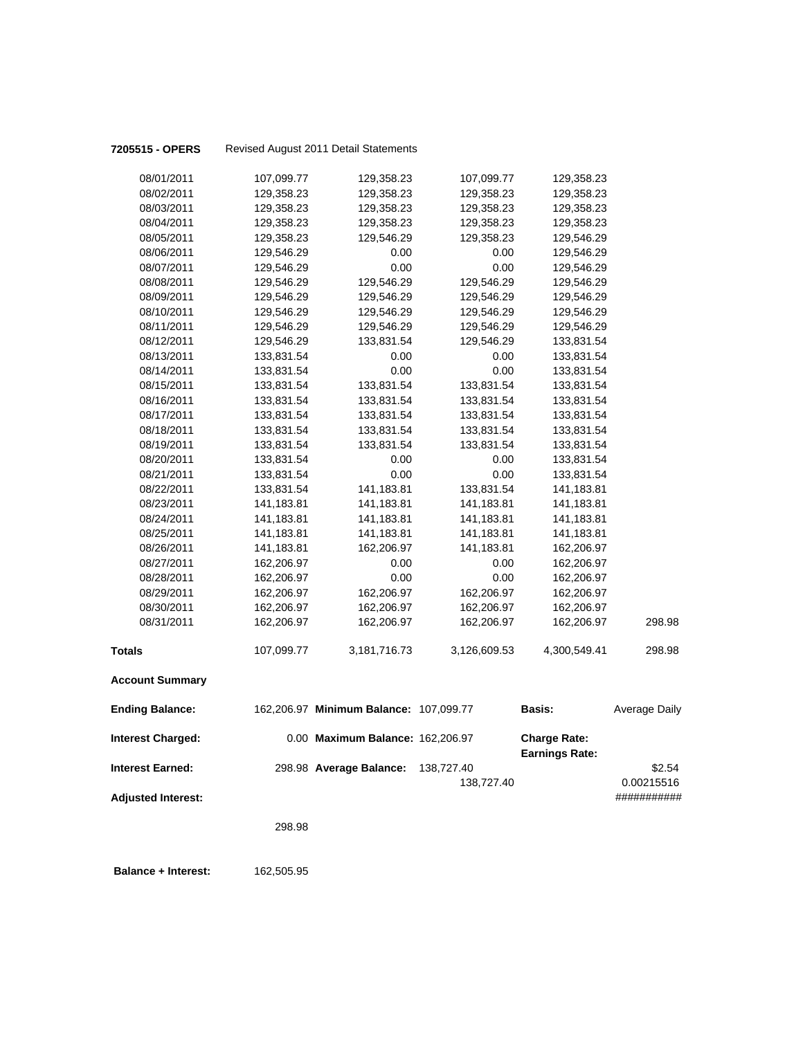| 7205515 - OPERS           |            | Revised August 2011 Detail Statements  |              |                                              |                      |
|---------------------------|------------|----------------------------------------|--------------|----------------------------------------------|----------------------|
| 08/01/2011                | 107,099.77 | 129,358.23                             | 107,099.77   | 129,358.23                                   |                      |
| 08/02/2011                | 129,358.23 | 129,358.23                             | 129,358.23   | 129,358.23                                   |                      |
| 08/03/2011                | 129,358.23 | 129,358.23                             | 129,358.23   | 129,358.23                                   |                      |
| 08/04/2011                | 129,358.23 | 129,358.23                             | 129,358.23   | 129,358.23                                   |                      |
| 08/05/2011                | 129,358.23 | 129,546.29                             | 129,358.23   | 129,546.29                                   |                      |
| 08/06/2011                | 129,546.29 | 0.00                                   | 0.00         | 129,546.29                                   |                      |
| 08/07/2011                | 129,546.29 | 0.00                                   | 0.00         | 129,546.29                                   |                      |
| 08/08/2011                | 129,546.29 | 129,546.29                             | 129,546.29   | 129,546.29                                   |                      |
| 08/09/2011                | 129,546.29 | 129,546.29                             | 129,546.29   | 129,546.29                                   |                      |
| 08/10/2011                | 129,546.29 | 129,546.29                             | 129,546.29   | 129,546.29                                   |                      |
| 08/11/2011                | 129,546.29 | 129,546.29                             | 129,546.29   | 129,546.29                                   |                      |
| 08/12/2011                | 129,546.29 | 133,831.54                             | 129,546.29   | 133,831.54                                   |                      |
| 08/13/2011                | 133,831.54 | 0.00                                   | 0.00         | 133,831.54                                   |                      |
| 08/14/2011                | 133,831.54 | 0.00                                   | 0.00         | 133,831.54                                   |                      |
| 08/15/2011                | 133,831.54 | 133,831.54                             | 133,831.54   | 133,831.54                                   |                      |
| 08/16/2011                | 133,831.54 | 133,831.54                             | 133,831.54   | 133,831.54                                   |                      |
| 08/17/2011                | 133,831.54 | 133,831.54                             | 133,831.54   | 133,831.54                                   |                      |
| 08/18/2011                | 133,831.54 | 133,831.54                             | 133,831.54   | 133,831.54                                   |                      |
| 08/19/2011                | 133,831.54 | 133,831.54                             | 133,831.54   | 133,831.54                                   |                      |
| 08/20/2011                | 133,831.54 | 0.00                                   | 0.00         | 133,831.54                                   |                      |
| 08/21/2011                | 133,831.54 | 0.00                                   | 0.00         | 133,831.54                                   |                      |
| 08/22/2011                | 133,831.54 | 141,183.81                             | 133,831.54   | 141,183.81                                   |                      |
| 08/23/2011                | 141,183.81 | 141,183.81                             | 141,183.81   | 141,183.81                                   |                      |
| 08/24/2011                | 141,183.81 | 141,183.81                             | 141,183.81   | 141,183.81                                   |                      |
| 08/25/2011                | 141,183.81 | 141,183.81                             | 141,183.81   | 141,183.81                                   |                      |
| 08/26/2011                | 141,183.81 | 162,206.97                             | 141,183.81   | 162,206.97                                   |                      |
| 08/27/2011                | 162,206.97 | 0.00                                   | 0.00         | 162,206.97                                   |                      |
| 08/28/2011                | 162,206.97 | 0.00                                   | 0.00         | 162,206.97                                   |                      |
| 08/29/2011                | 162,206.97 | 162,206.97                             | 162,206.97   | 162,206.97                                   |                      |
| 08/30/2011<br>08/31/2011  | 162,206.97 | 162,206.97                             | 162,206.97   | 162,206.97                                   | 298.98               |
|                           | 162,206.97 | 162,206.97                             | 162,206.97   | 162,206.97                                   |                      |
| <b>Totals</b>             | 107,099.77 | 3,181,716.73                           | 3,126,609.53 | 4,300,549.41                                 | 298.98               |
| <b>Account Summary</b>    |            |                                        |              |                                              |                      |
| <b>Ending Balance:</b>    |            | 162,206.97 Minimum Balance: 107,099.77 |              | <b>Basis:</b>                                | <b>Average Daily</b> |
| <b>Interest Charged:</b>  |            | 0.00 Maximum Balance: 162,206.97       |              | <b>Charge Rate:</b><br><b>Earnings Rate:</b> |                      |
| <b>Interest Earned:</b>   |            | 298.98 Average Balance:                | 138,727.40   |                                              | \$2.54               |
|                           |            |                                        | 138,727.40   |                                              | 0.00215516           |
| <b>Adjusted Interest:</b> |            |                                        |              |                                              | ###########          |
|                           |            |                                        |              |                                              |                      |
|                           | 298.98     |                                        |              |                                              |                      |
|                           |            |                                        |              |                                              |                      |

 **Balance + Interest:** 162,505.95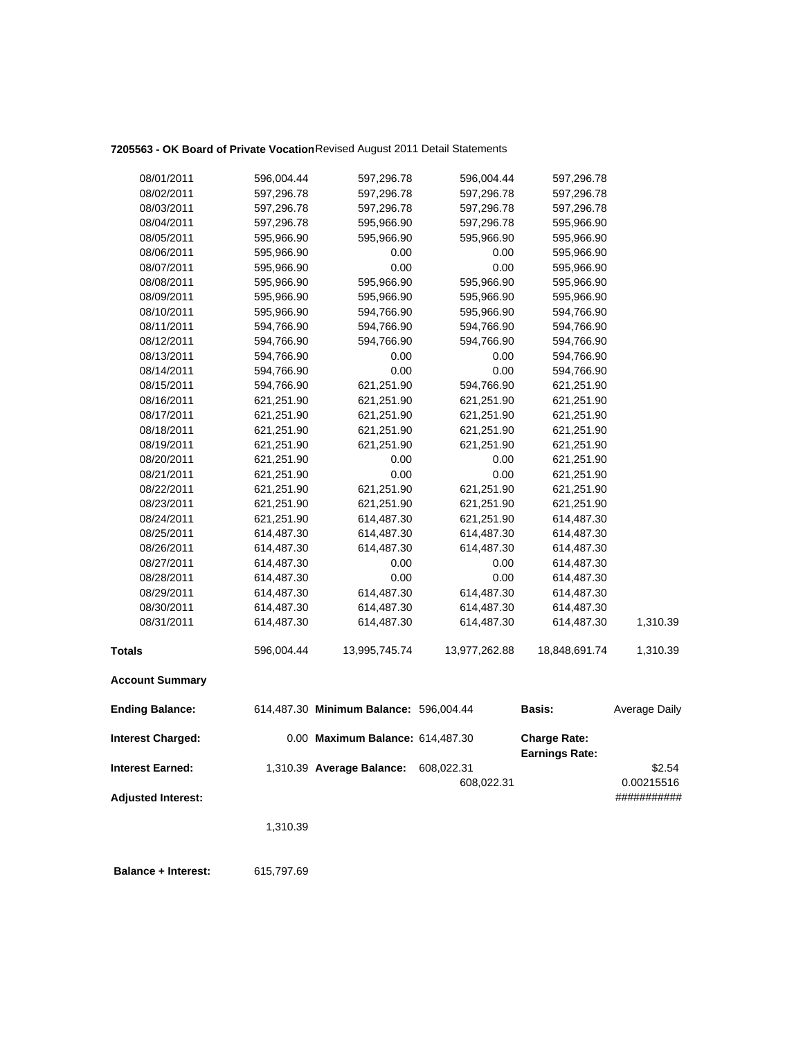## **7205563 - OK Board of Private Vocation**Revised August 2011 Detail Statements

| 08/01/2011                | 596,004.44 | 597,296.78                             | 596,004.44    | 597,296.78                                   |                      |
|---------------------------|------------|----------------------------------------|---------------|----------------------------------------------|----------------------|
| 08/02/2011                | 597,296.78 | 597,296.78                             | 597,296.78    | 597,296.78                                   |                      |
| 08/03/2011                | 597,296.78 | 597,296.78                             | 597,296.78    | 597,296.78                                   |                      |
| 08/04/2011                | 597,296.78 | 595,966.90                             | 597,296.78    | 595,966.90                                   |                      |
| 08/05/2011                | 595,966.90 | 595,966.90                             | 595,966.90    | 595,966.90                                   |                      |
| 08/06/2011                | 595,966.90 | 0.00                                   | 0.00          | 595,966.90                                   |                      |
| 08/07/2011                | 595,966.90 | 0.00                                   | 0.00          | 595,966.90                                   |                      |
| 08/08/2011                | 595,966.90 | 595,966.90                             | 595,966.90    | 595,966.90                                   |                      |
| 08/09/2011                | 595,966.90 | 595,966.90                             | 595,966.90    | 595,966.90                                   |                      |
| 08/10/2011                | 595,966.90 | 594,766.90                             | 595,966.90    | 594,766.90                                   |                      |
| 08/11/2011                | 594,766.90 | 594,766.90                             | 594,766.90    | 594,766.90                                   |                      |
| 08/12/2011                | 594,766.90 | 594,766.90                             | 594,766.90    | 594,766.90                                   |                      |
| 08/13/2011                | 594,766.90 | 0.00                                   | 0.00          | 594,766.90                                   |                      |
| 08/14/2011                | 594,766.90 | 0.00                                   | 0.00          | 594,766.90                                   |                      |
| 08/15/2011                | 594,766.90 | 621,251.90                             | 594,766.90    | 621,251.90                                   |                      |
| 08/16/2011                | 621,251.90 | 621,251.90                             | 621,251.90    | 621,251.90                                   |                      |
| 08/17/2011                | 621,251.90 | 621,251.90                             | 621,251.90    | 621,251.90                                   |                      |
| 08/18/2011                | 621,251.90 | 621,251.90                             | 621,251.90    | 621,251.90                                   |                      |
| 08/19/2011                | 621,251.90 | 621,251.90                             | 621,251.90    | 621,251.90                                   |                      |
| 08/20/2011                | 621,251.90 | 0.00                                   | 0.00          | 621,251.90                                   |                      |
| 08/21/2011                | 621,251.90 | 0.00                                   | 0.00          | 621,251.90                                   |                      |
| 08/22/2011                | 621,251.90 | 621,251.90                             | 621,251.90    | 621,251.90                                   |                      |
| 08/23/2011                | 621,251.90 | 621,251.90                             | 621,251.90    | 621,251.90                                   |                      |
| 08/24/2011                | 621,251.90 | 614,487.30                             | 621,251.90    | 614,487.30                                   |                      |
| 08/25/2011                | 614,487.30 | 614,487.30                             | 614,487.30    | 614,487.30                                   |                      |
| 08/26/2011                | 614,487.30 | 614,487.30                             | 614,487.30    | 614,487.30                                   |                      |
| 08/27/2011                | 614,487.30 | 0.00                                   | 0.00          | 614,487.30                                   |                      |
| 08/28/2011                | 614,487.30 | 0.00                                   | 0.00          | 614,487.30                                   |                      |
| 08/29/2011                | 614,487.30 | 614,487.30                             | 614,487.30    | 614,487.30                                   |                      |
| 08/30/2011                | 614,487.30 | 614,487.30                             | 614,487.30    | 614,487.30                                   |                      |
| 08/31/2011                | 614,487.30 | 614,487.30                             | 614,487.30    | 614,487.30                                   | 1,310.39             |
| <b>Totals</b>             | 596,004.44 | 13,995,745.74                          | 13,977,262.88 | 18,848,691.74                                | 1,310.39             |
| <b>Account Summary</b>    |            |                                        |               |                                              |                      |
| <b>Ending Balance:</b>    |            | 614,487.30 Minimum Balance: 596,004.44 |               | Basis:                                       | <b>Average Daily</b> |
| <b>Interest Charged:</b>  |            | 0.00 Maximum Balance: 614,487.30       |               | <b>Charge Rate:</b><br><b>Earnings Rate:</b> |                      |
| <b>Interest Earned:</b>   |            | 1,310.39 Average Balance:              | 608,022.31    |                                              | \$2.54               |
|                           |            |                                        | 608,022.31    |                                              | 0.00215516           |
| <b>Adjusted Interest:</b> |            |                                        |               |                                              | ###########          |
|                           |            |                                        |               |                                              |                      |
|                           | 1,310.39   |                                        |               |                                              |                      |
|                           |            |                                        |               |                                              |                      |
|                           |            |                                        |               |                                              |                      |

 **Balance + Interest:** 615,797.69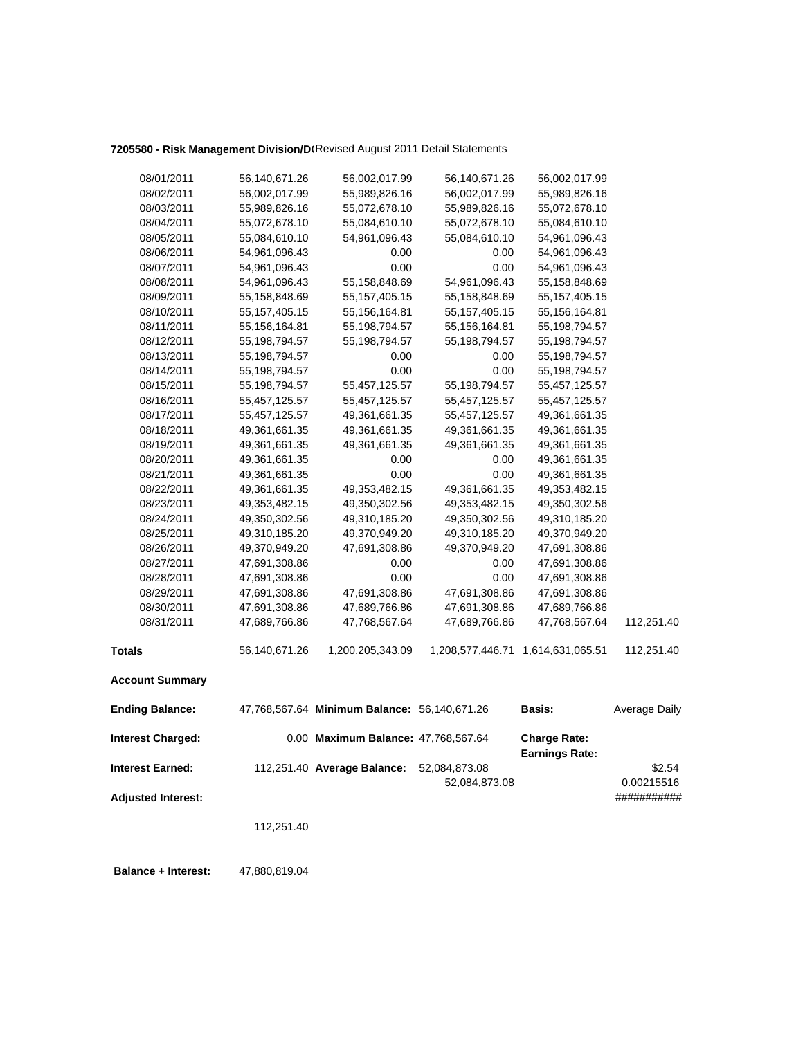# **7205580 - Risk Management Division/DI Revised August 2011 Detail Statements**

| 08/01/2011                | 56,140,671.26    | 56,002,017.99                                | 56,140,671.26    | 56,002,017.99                                |                      |
|---------------------------|------------------|----------------------------------------------|------------------|----------------------------------------------|----------------------|
| 08/02/2011                | 56,002,017.99    | 55,989,826.16                                | 56,002,017.99    | 55,989,826.16                                |                      |
| 08/03/2011                | 55,989,826.16    | 55,072,678.10                                | 55,989,826.16    | 55,072,678.10                                |                      |
| 08/04/2011                | 55,072,678.10    | 55,084,610.10                                | 55,072,678.10    | 55,084,610.10                                |                      |
| 08/05/2011                | 55,084,610.10    | 54,961,096.43                                | 55,084,610.10    | 54,961,096.43                                |                      |
| 08/06/2011                | 54,961,096.43    | 0.00                                         | 0.00             | 54,961,096.43                                |                      |
| 08/07/2011                | 54,961,096.43    | 0.00                                         | 0.00             | 54,961,096.43                                |                      |
| 08/08/2011                | 54,961,096.43    | 55,158,848.69                                | 54,961,096.43    | 55,158,848.69                                |                      |
| 08/09/2011                | 55,158,848.69    | 55, 157, 405. 15                             | 55,158,848.69    | 55, 157, 405. 15                             |                      |
| 08/10/2011                | 55, 157, 405. 15 | 55,156,164.81                                | 55, 157, 405. 15 | 55, 156, 164.81                              |                      |
| 08/11/2011                | 55, 156, 164.81  | 55,198,794.57                                | 55,156,164.81    | 55, 198, 794. 57                             |                      |
| 08/12/2011                | 55, 198, 794. 57 | 55,198,794.57                                | 55,198,794.57    | 55, 198, 794. 57                             |                      |
| 08/13/2011                | 55, 198, 794. 57 | 0.00                                         | 0.00             | 55, 198, 794. 57                             |                      |
| 08/14/2011                | 55, 198, 794. 57 | 0.00                                         | 0.00             | 55, 198, 794. 57                             |                      |
| 08/15/2011                | 55, 198, 794. 57 | 55,457,125.57                                | 55,198,794.57    | 55,457,125.57                                |                      |
| 08/16/2011                | 55,457,125.57    | 55,457,125.57                                | 55,457,125.57    | 55,457,125.57                                |                      |
| 08/17/2011                | 55,457,125.57    | 49,361,661.35                                | 55,457,125.57    | 49,361,661.35                                |                      |
| 08/18/2011                | 49,361,661.35    | 49,361,661.35                                | 49,361,661.35    | 49,361,661.35                                |                      |
| 08/19/2011                | 49,361,661.35    | 49,361,661.35                                | 49,361,661.35    | 49,361,661.35                                |                      |
| 08/20/2011                | 49,361,661.35    | 0.00                                         | 0.00             | 49,361,661.35                                |                      |
| 08/21/2011                | 49,361,661.35    | 0.00                                         | 0.00             | 49,361,661.35                                |                      |
| 08/22/2011                | 49,361,661.35    | 49,353,482.15                                | 49,361,661.35    | 49, 353, 482. 15                             |                      |
| 08/23/2011                | 49, 353, 482. 15 | 49,350,302.56                                | 49,353,482.15    | 49,350,302.56                                |                      |
| 08/24/2011                | 49,350,302.56    | 49,310,185.20                                | 49,350,302.56    | 49,310,185.20                                |                      |
| 08/25/2011                | 49,310,185.20    | 49,370,949.20                                | 49,310,185.20    | 49,370,949.20                                |                      |
| 08/26/2011                | 49,370,949.20    | 47,691,308.86                                | 49,370,949.20    | 47,691,308.86                                |                      |
| 08/27/2011                | 47,691,308.86    | 0.00                                         | 0.00             | 47,691,308.86                                |                      |
| 08/28/2011                | 47,691,308.86    | 0.00                                         | 0.00             | 47,691,308.86                                |                      |
| 08/29/2011                | 47,691,308.86    | 47,691,308.86                                | 47,691,308.86    | 47,691,308.86                                |                      |
| 08/30/2011                | 47,691,308.86    | 47,689,766.86                                | 47,691,308.86    | 47,689,766.86                                |                      |
| 08/31/2011                | 47,689,766.86    | 47,768,567.64                                | 47,689,766.86    | 47,768,567.64                                | 112,251.40           |
| <b>Totals</b>             | 56,140,671.26    | 1,200,205,343.09                             | 1,208,577,446.71 | 1,614,631,065.51                             | 112,251.40           |
| <b>Account Summary</b>    |                  |                                              |                  |                                              |                      |
| <b>Ending Balance:</b>    |                  | 47,768,567.64 Minimum Balance: 56,140,671.26 |                  | <b>Basis:</b>                                | <b>Average Daily</b> |
| <b>Interest Charged:</b>  |                  | 0.00 Maximum Balance: 47,768,567.64          |                  | <b>Charge Rate:</b><br><b>Earnings Rate:</b> |                      |
| <b>Interest Earned:</b>   |                  | 112,251.40 Average Balance:                  | 52,084,873.08    |                                              | \$2.54               |
|                           |                  |                                              | 52,084,873.08    |                                              | 0.00215516           |
| <b>Adjusted Interest:</b> |                  |                                              |                  |                                              | ###########          |
|                           | 112,251.40       |                                              |                  |                                              |                      |
|                           |                  |                                              |                  |                                              |                      |
|                           |                  |                                              |                  |                                              |                      |

 **Balance + Interest:** 47,880,819.04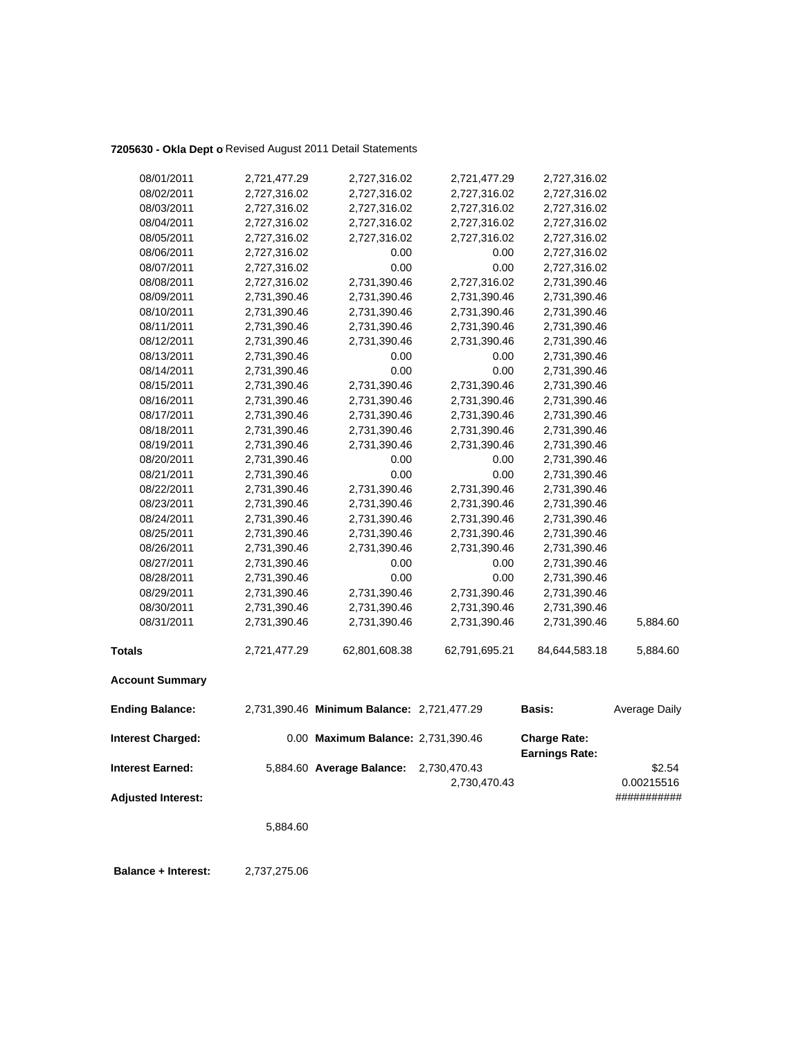## 7205630 - Okla Dept o Revised August 2011 Detail Statements

| 08/01/2011                | 2,721,477.29 | 2,727,316.02                               | 2,721,477.29  | 2,727,316.02                                 |               |
|---------------------------|--------------|--------------------------------------------|---------------|----------------------------------------------|---------------|
| 08/02/2011                | 2,727,316.02 | 2,727,316.02                               | 2,727,316.02  | 2,727,316.02                                 |               |
| 08/03/2011                | 2,727,316.02 | 2,727,316.02                               | 2,727,316.02  | 2,727,316.02                                 |               |
| 08/04/2011                | 2,727,316.02 | 2,727,316.02                               | 2,727,316.02  | 2,727,316.02                                 |               |
| 08/05/2011                | 2,727,316.02 | 2,727,316.02                               | 2,727,316.02  | 2,727,316.02                                 |               |
| 08/06/2011                | 2,727,316.02 | 0.00                                       | 0.00          | 2,727,316.02                                 |               |
| 08/07/2011                | 2,727,316.02 | 0.00                                       | 0.00          | 2,727,316.02                                 |               |
| 08/08/2011                | 2,727,316.02 | 2,731,390.46                               | 2,727,316.02  | 2,731,390.46                                 |               |
| 08/09/2011                | 2,731,390.46 | 2,731,390.46                               | 2,731,390.46  | 2,731,390.46                                 |               |
| 08/10/2011                | 2,731,390.46 | 2,731,390.46                               | 2,731,390.46  | 2,731,390.46                                 |               |
| 08/11/2011                | 2,731,390.46 | 2,731,390.46                               | 2,731,390.46  | 2,731,390.46                                 |               |
| 08/12/2011                | 2,731,390.46 | 2,731,390.46                               | 2,731,390.46  | 2,731,390.46                                 |               |
| 08/13/2011                | 2,731,390.46 | 0.00                                       | 0.00          | 2,731,390.46                                 |               |
| 08/14/2011                | 2,731,390.46 | $0.00\,$                                   | 0.00          | 2,731,390.46                                 |               |
| 08/15/2011                | 2,731,390.46 | 2,731,390.46                               | 2,731,390.46  | 2,731,390.46                                 |               |
| 08/16/2011                | 2,731,390.46 | 2,731,390.46                               | 2,731,390.46  | 2,731,390.46                                 |               |
| 08/17/2011                | 2,731,390.46 | 2,731,390.46                               | 2,731,390.46  | 2,731,390.46                                 |               |
| 08/18/2011                | 2,731,390.46 | 2,731,390.46                               | 2,731,390.46  | 2,731,390.46                                 |               |
| 08/19/2011                | 2,731,390.46 | 2,731,390.46                               | 2,731,390.46  | 2,731,390.46                                 |               |
| 08/20/2011                | 2,731,390.46 | 0.00                                       | 0.00          | 2,731,390.46                                 |               |
| 08/21/2011                | 2,731,390.46 | 0.00                                       | 0.00          | 2,731,390.46                                 |               |
| 08/22/2011                | 2,731,390.46 | 2,731,390.46                               | 2,731,390.46  | 2,731,390.46                                 |               |
| 08/23/2011                | 2,731,390.46 | 2,731,390.46                               | 2,731,390.46  | 2,731,390.46                                 |               |
| 08/24/2011                | 2,731,390.46 | 2,731,390.46                               | 2,731,390.46  | 2,731,390.46                                 |               |
| 08/25/2011                | 2,731,390.46 | 2,731,390.46                               | 2,731,390.46  | 2,731,390.46                                 |               |
| 08/26/2011                | 2,731,390.46 | 2,731,390.46                               | 2,731,390.46  | 2,731,390.46                                 |               |
| 08/27/2011                | 2,731,390.46 | 0.00                                       | 0.00          | 2,731,390.46                                 |               |
| 08/28/2011                | 2,731,390.46 | 0.00                                       | 0.00          | 2,731,390.46                                 |               |
| 08/29/2011                | 2,731,390.46 | 2,731,390.46                               | 2,731,390.46  | 2,731,390.46                                 |               |
| 08/30/2011                | 2,731,390.46 | 2,731,390.46                               | 2,731,390.46  | 2,731,390.46                                 |               |
| 08/31/2011                | 2,731,390.46 | 2,731,390.46                               | 2,731,390.46  | 2,731,390.46                                 | 5,884.60      |
| <b>Totals</b>             | 2,721,477.29 | 62,801,608.38                              | 62,791,695.21 | 84,644,583.18                                | 5,884.60      |
| <b>Account Summary</b>    |              |                                            |               |                                              |               |
| <b>Ending Balance:</b>    |              | 2,731,390.46 Minimum Balance: 2,721,477.29 |               | Basis:                                       | Average Daily |
| <b>Interest Charged:</b>  |              | 0.00 Maximum Balance: 2,731,390.46         |               | <b>Charge Rate:</b><br><b>Earnings Rate:</b> |               |
| <b>Interest Earned:</b>   |              | 5,884.60 Average Balance:                  | 2,730,470.43  |                                              | \$2.54        |
|                           |              |                                            | 2,730,470.43  |                                              | 0.00215516    |
| <b>Adjusted Interest:</b> |              |                                            |               |                                              | ###########   |
|                           | 5,884.60     |                                            |               |                                              |               |
|                           |              |                                            |               |                                              |               |
|                           |              |                                            |               |                                              |               |

 **Balance + Interest:** 2,737,275.06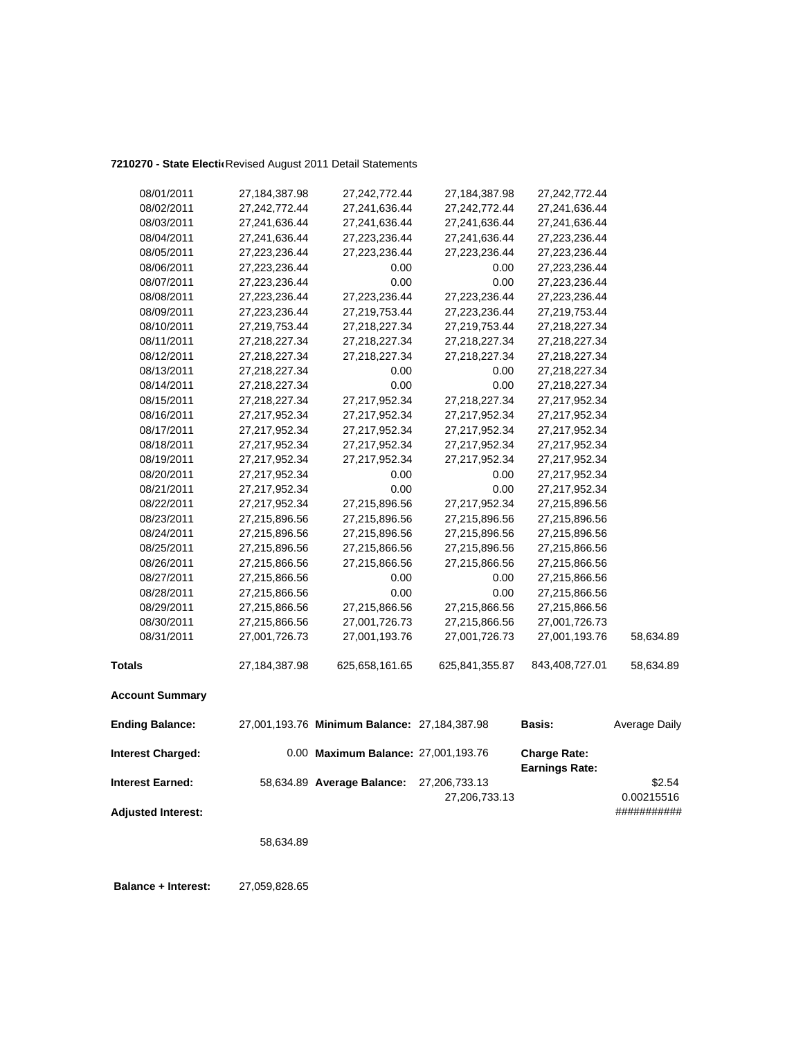### 7210270 - State Electic Revised August 2011 Detail Statements

| 08/01/2011                | 27,184,387.98 | 27,242,772.44                                | 27,184,387.98  | 27,242,772.44                                |               |
|---------------------------|---------------|----------------------------------------------|----------------|----------------------------------------------|---------------|
| 08/02/2011                | 27,242,772.44 | 27,241,636.44                                | 27,242,772.44  | 27,241,636.44                                |               |
| 08/03/2011                | 27,241,636.44 | 27,241,636.44                                | 27,241,636.44  | 27,241,636.44                                |               |
| 08/04/2011                | 27,241,636.44 | 27,223,236.44                                | 27,241,636.44  | 27,223,236.44                                |               |
| 08/05/2011                | 27,223,236.44 | 27,223,236.44                                | 27,223,236.44  | 27,223,236.44                                |               |
| 08/06/2011                | 27,223,236.44 | 0.00                                         | 0.00           | 27,223,236.44                                |               |
| 08/07/2011                | 27,223,236.44 | 0.00                                         | 0.00           | 27,223,236.44                                |               |
| 08/08/2011                | 27,223,236.44 | 27,223,236.44                                | 27,223,236.44  | 27,223,236.44                                |               |
| 08/09/2011                | 27,223,236.44 | 27,219,753.44                                | 27,223,236.44  | 27,219,753.44                                |               |
| 08/10/2011                | 27,219,753.44 | 27,218,227.34                                | 27,219,753.44  | 27,218,227.34                                |               |
| 08/11/2011                | 27,218,227.34 | 27,218,227.34                                | 27,218,227.34  | 27,218,227.34                                |               |
| 08/12/2011                | 27,218,227.34 | 27,218,227.34                                | 27,218,227.34  | 27,218,227.34                                |               |
| 08/13/2011                | 27,218,227.34 | 0.00                                         | 0.00           | 27,218,227.34                                |               |
| 08/14/2011                | 27,218,227.34 | 0.00                                         | 0.00           | 27,218,227.34                                |               |
| 08/15/2011                | 27,218,227.34 | 27,217,952.34                                | 27,218,227.34  | 27,217,952.34                                |               |
| 08/16/2011                | 27,217,952.34 | 27,217,952.34                                | 27,217,952.34  | 27,217,952.34                                |               |
| 08/17/2011                | 27,217,952.34 | 27,217,952.34                                | 27,217,952.34  | 27,217,952.34                                |               |
| 08/18/2011                | 27,217,952.34 | 27,217,952.34                                | 27,217,952.34  | 27,217,952.34                                |               |
| 08/19/2011                | 27,217,952.34 | 27,217,952.34                                | 27,217,952.34  | 27,217,952.34                                |               |
| 08/20/2011                | 27,217,952.34 | 0.00                                         | 0.00           | 27,217,952.34                                |               |
| 08/21/2011                | 27,217,952.34 | 0.00                                         | 0.00           | 27,217,952.34                                |               |
| 08/22/2011                | 27,217,952.34 | 27,215,896.56                                | 27,217,952.34  | 27,215,896.56                                |               |
| 08/23/2011                | 27,215,896.56 | 27,215,896.56                                | 27,215,896.56  | 27,215,896.56                                |               |
| 08/24/2011                | 27,215,896.56 | 27,215,896.56                                | 27,215,896.56  | 27,215,896.56                                |               |
| 08/25/2011                | 27,215,896.56 | 27,215,866.56                                | 27,215,896.56  | 27,215,866.56                                |               |
| 08/26/2011                | 27,215,866.56 | 27,215,866.56                                | 27,215,866.56  | 27,215,866.56                                |               |
| 08/27/2011                | 27,215,866.56 | 0.00                                         | 0.00           | 27,215,866.56                                |               |
| 08/28/2011                | 27,215,866.56 | 0.00                                         | 0.00           | 27,215,866.56                                |               |
| 08/29/2011                | 27,215,866.56 | 27,215,866.56                                | 27,215,866.56  | 27,215,866.56                                |               |
| 08/30/2011                | 27,215,866.56 | 27,001,726.73                                | 27,215,866.56  | 27,001,726.73                                |               |
| 08/31/2011                | 27,001,726.73 | 27,001,193.76                                | 27,001,726.73  | 27,001,193.76                                | 58,634.89     |
| <b>Totals</b>             | 27,184,387.98 | 625,658,161.65                               | 625,841,355.87 | 843,408,727.01                               | 58,634.89     |
| <b>Account Summary</b>    |               |                                              |                |                                              |               |
| <b>Ending Balance:</b>    |               | 27,001,193.76 Minimum Balance: 27,184,387.98 |                | <b>Basis:</b>                                | Average Daily |
| <b>Interest Charged:</b>  |               | 0.00 Maximum Balance: 27,001,193.76          |                | <b>Charge Rate:</b><br><b>Earnings Rate:</b> |               |
| <b>Interest Earned:</b>   |               | 58,634.89 Average Balance:                   | 27,206,733.13  |                                              | \$2.54        |
|                           |               |                                              | 27,206,733.13  |                                              | 0.00215516    |
| <b>Adjusted Interest:</b> |               |                                              |                |                                              | ###########   |
|                           | 58,634.89     |                                              |                |                                              |               |
|                           |               |                                              |                |                                              |               |

 **Balance + Interest:** 27,059,828.65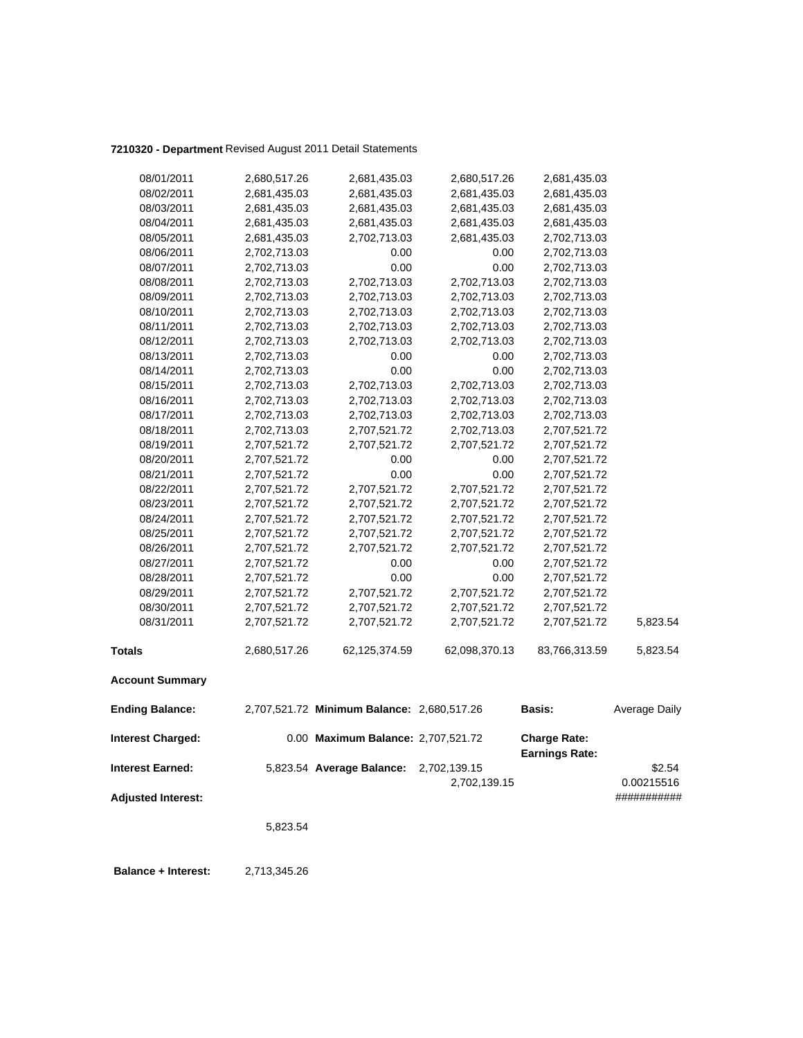# **7210320 - Department** Revised August 2011 Detail Statements

| 08/01/2011                | 2,680,517.26 | 2,681,435.03                               | 2,680,517.26  | 2,681,435.03                                 |               |
|---------------------------|--------------|--------------------------------------------|---------------|----------------------------------------------|---------------|
| 08/02/2011                | 2,681,435.03 | 2,681,435.03                               | 2,681,435.03  | 2,681,435.03                                 |               |
| 08/03/2011                | 2,681,435.03 | 2,681,435.03                               | 2,681,435.03  | 2,681,435.03                                 |               |
| 08/04/2011                | 2,681,435.03 | 2,681,435.03                               | 2,681,435.03  | 2,681,435.03                                 |               |
| 08/05/2011                | 2,681,435.03 | 2,702,713.03                               | 2,681,435.03  | 2,702,713.03                                 |               |
| 08/06/2011                | 2,702,713.03 | 0.00                                       | 0.00          | 2,702,713.03                                 |               |
| 08/07/2011                | 2,702,713.03 | 0.00                                       | 0.00          | 2,702,713.03                                 |               |
| 08/08/2011                | 2,702,713.03 | 2,702,713.03                               | 2,702,713.03  | 2,702,713.03                                 |               |
| 08/09/2011                | 2,702,713.03 | 2,702,713.03                               | 2,702,713.03  | 2,702,713.03                                 |               |
| 08/10/2011                | 2,702,713.03 | 2,702,713.03                               | 2,702,713.03  | 2,702,713.03                                 |               |
| 08/11/2011                | 2,702,713.03 | 2,702,713.03                               | 2,702,713.03  | 2,702,713.03                                 |               |
| 08/12/2011                | 2,702,713.03 | 2,702,713.03                               | 2,702,713.03  | 2,702,713.03                                 |               |
| 08/13/2011                | 2,702,713.03 | 0.00                                       | 0.00          | 2,702,713.03                                 |               |
| 08/14/2011                | 2,702,713.03 | 0.00                                       | 0.00          | 2,702,713.03                                 |               |
| 08/15/2011                | 2,702,713.03 | 2,702,713.03                               | 2,702,713.03  | 2,702,713.03                                 |               |
| 08/16/2011                | 2,702,713.03 | 2,702,713.03                               | 2,702,713.03  | 2,702,713.03                                 |               |
| 08/17/2011                | 2,702,713.03 | 2,702,713.03                               | 2,702,713.03  | 2,702,713.03                                 |               |
| 08/18/2011                | 2,702,713.03 | 2,707,521.72                               | 2,702,713.03  | 2,707,521.72                                 |               |
| 08/19/2011                | 2,707,521.72 | 2,707,521.72                               | 2,707,521.72  | 2,707,521.72                                 |               |
| 08/20/2011                | 2,707,521.72 | 0.00                                       | 0.00          | 2,707,521.72                                 |               |
| 08/21/2011                | 2,707,521.72 | 0.00                                       | 0.00          | 2,707,521.72                                 |               |
| 08/22/2011                | 2,707,521.72 | 2,707,521.72                               | 2,707,521.72  | 2,707,521.72                                 |               |
| 08/23/2011                | 2,707,521.72 | 2,707,521.72                               | 2,707,521.72  | 2,707,521.72                                 |               |
| 08/24/2011                | 2,707,521.72 | 2,707,521.72                               | 2,707,521.72  | 2,707,521.72                                 |               |
| 08/25/2011                | 2,707,521.72 | 2,707,521.72                               | 2,707,521.72  | 2,707,521.72                                 |               |
| 08/26/2011                | 2,707,521.72 | 2,707,521.72                               | 2,707,521.72  | 2,707,521.72                                 |               |
| 08/27/2011                | 2,707,521.72 | 0.00                                       | 0.00          | 2,707,521.72                                 |               |
| 08/28/2011                | 2,707,521.72 | 0.00                                       | 0.00          | 2,707,521.72                                 |               |
| 08/29/2011                | 2,707,521.72 | 2,707,521.72                               | 2,707,521.72  | 2,707,521.72                                 |               |
| 08/30/2011                | 2,707,521.72 | 2,707,521.72                               | 2,707,521.72  | 2,707,521.72                                 |               |
| 08/31/2011                | 2,707,521.72 | 2,707,521.72                               | 2,707,521.72  | 2,707,521.72                                 | 5,823.54      |
| <b>Totals</b>             | 2,680,517.26 | 62,125,374.59                              | 62,098,370.13 | 83,766,313.59                                | 5,823.54      |
| <b>Account Summary</b>    |              |                                            |               |                                              |               |
| <b>Ending Balance:</b>    |              | 2,707,521.72 Minimum Balance: 2,680,517.26 |               | Basis:                                       | Average Daily |
| <b>Interest Charged:</b>  |              | 0.00 Maximum Balance: 2,707,521.72         |               | <b>Charge Rate:</b><br><b>Earnings Rate:</b> |               |
| <b>Interest Earned:</b>   |              | 5,823.54 Average Balance:                  | 2,702,139.15  |                                              | \$2.54        |
|                           |              |                                            | 2,702,139.15  |                                              | 0.00215516    |
| <b>Adjusted Interest:</b> |              |                                            |               |                                              | ###########   |
|                           |              |                                            |               |                                              |               |
|                           | 5,823.54     |                                            |               |                                              |               |
|                           |              |                                            |               |                                              |               |

 **Balance + Interest:** 2,713,345.26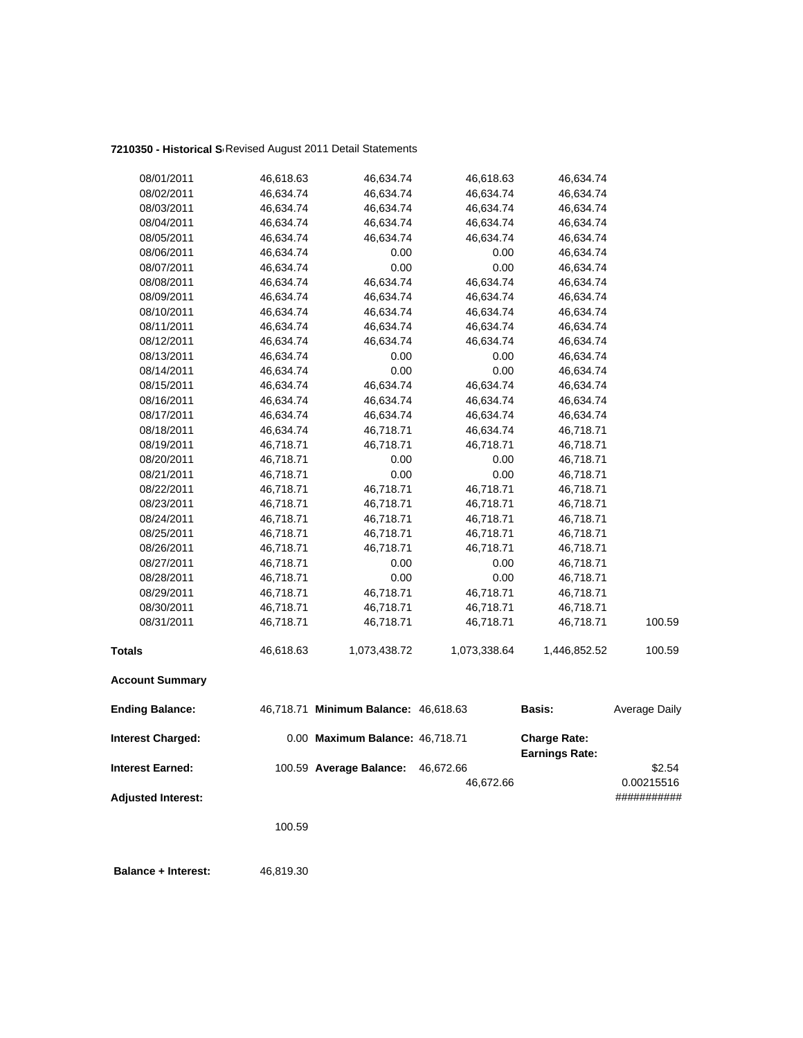## **7210350 - Historical So**Revised August 2011 Detail Statements

| 08/01/2011                | 46,618.63 | 46,634.74                            | 46,618.63    | 46,634.74                                    |                      |
|---------------------------|-----------|--------------------------------------|--------------|----------------------------------------------|----------------------|
| 08/02/2011                | 46,634.74 | 46,634.74                            | 46,634.74    | 46,634.74                                    |                      |
| 08/03/2011                | 46,634.74 | 46,634.74                            | 46,634.74    | 46,634.74                                    |                      |
| 08/04/2011                | 46,634.74 | 46,634.74                            | 46,634.74    | 46,634.74                                    |                      |
| 08/05/2011                | 46,634.74 | 46,634.74                            | 46,634.74    | 46,634.74                                    |                      |
| 08/06/2011                | 46,634.74 | 0.00                                 | 0.00         | 46,634.74                                    |                      |
| 08/07/2011                | 46,634.74 | 0.00                                 | 0.00         | 46,634.74                                    |                      |
| 08/08/2011                | 46,634.74 | 46,634.74                            | 46,634.74    | 46,634.74                                    |                      |
| 08/09/2011                | 46,634.74 | 46,634.74                            | 46,634.74    | 46,634.74                                    |                      |
| 08/10/2011                | 46,634.74 | 46,634.74                            | 46,634.74    | 46,634.74                                    |                      |
| 08/11/2011                | 46,634.74 | 46,634.74                            | 46,634.74    | 46,634.74                                    |                      |
| 08/12/2011                | 46,634.74 | 46,634.74                            | 46,634.74    | 46,634.74                                    |                      |
| 08/13/2011                | 46,634.74 | 0.00                                 | 0.00         | 46,634.74                                    |                      |
| 08/14/2011                | 46,634.74 | 0.00                                 | 0.00         | 46,634.74                                    |                      |
| 08/15/2011                | 46,634.74 | 46,634.74                            | 46,634.74    | 46,634.74                                    |                      |
| 08/16/2011                | 46,634.74 | 46,634.74                            | 46,634.74    | 46,634.74                                    |                      |
| 08/17/2011                | 46,634.74 | 46,634.74                            | 46,634.74    | 46,634.74                                    |                      |
| 08/18/2011                | 46,634.74 | 46,718.71                            | 46,634.74    | 46,718.71                                    |                      |
| 08/19/2011                | 46,718.71 | 46,718.71                            | 46,718.71    | 46,718.71                                    |                      |
| 08/20/2011                | 46,718.71 | 0.00                                 | 0.00         | 46,718.71                                    |                      |
| 08/21/2011                | 46,718.71 | 0.00                                 | 0.00         | 46,718.71                                    |                      |
| 08/22/2011                | 46,718.71 | 46,718.71                            | 46,718.71    | 46,718.71                                    |                      |
| 08/23/2011                | 46,718.71 | 46,718.71                            | 46,718.71    | 46,718.71                                    |                      |
| 08/24/2011                | 46,718.71 | 46,718.71                            | 46,718.71    | 46,718.71                                    |                      |
| 08/25/2011                | 46,718.71 | 46,718.71                            | 46,718.71    | 46,718.71                                    |                      |
| 08/26/2011                | 46,718.71 | 46,718.71                            | 46,718.71    | 46,718.71                                    |                      |
| 08/27/2011                | 46,718.71 | 0.00                                 | 0.00         | 46,718.71                                    |                      |
| 08/28/2011                | 46,718.71 | 0.00                                 | 0.00         | 46,718.71                                    |                      |
| 08/29/2011                | 46,718.71 | 46,718.71                            | 46,718.71    | 46,718.71                                    |                      |
| 08/30/2011                | 46,718.71 | 46,718.71                            | 46,718.71    | 46,718.71                                    |                      |
| 08/31/2011                | 46,718.71 | 46,718.71                            | 46,718.71    | 46,718.71                                    | 100.59               |
| <b>Totals</b>             | 46,618.63 | 1,073,438.72                         | 1,073,338.64 | 1,446,852.52                                 | 100.59               |
| <b>Account Summary</b>    |           |                                      |              |                                              |                      |
| <b>Ending Balance:</b>    |           | 46,718.71 Minimum Balance: 46,618.63 |              | Basis:                                       | <b>Average Daily</b> |
| <b>Interest Charged:</b>  |           | 0.00 Maximum Balance: 46,718.71      |              | <b>Charge Rate:</b><br><b>Earnings Rate:</b> |                      |
| <b>Interest Earned:</b>   |           | 100.59 Average Balance:              | 46,672.66    |                                              | \$2.54               |
|                           |           |                                      | 46,672.66    |                                              | 0.00215516           |
| <b>Adjusted Interest:</b> |           |                                      |              |                                              | ###########          |
|                           |           |                                      |              |                                              |                      |
|                           | 100.59    |                                      |              |                                              |                      |
|                           |           |                                      |              |                                              |                      |

**Balance + Interest:** 46,819.30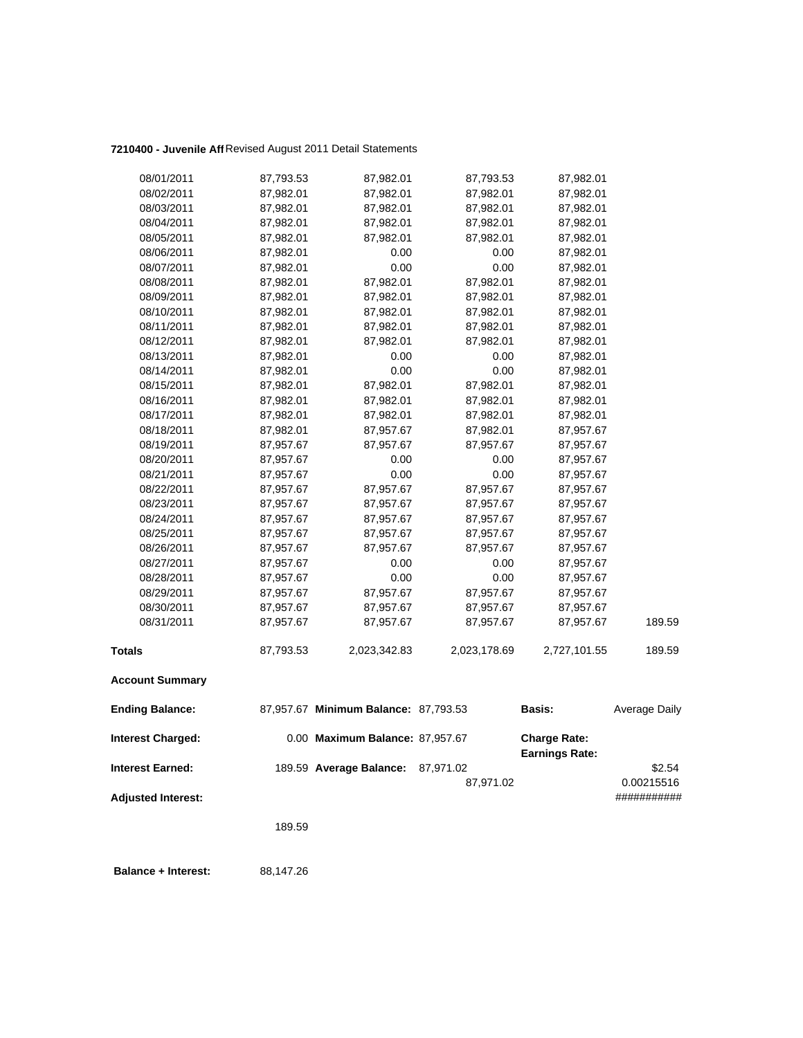## **7210400 - Juvenile Aff**Revised August 2011 Detail Statements

| 08/01/2011                | 87,793.53 | 87,982.01                            | 87,793.53    | 87,982.01                                    |               |
|---------------------------|-----------|--------------------------------------|--------------|----------------------------------------------|---------------|
| 08/02/2011                | 87,982.01 | 87,982.01                            | 87,982.01    | 87,982.01                                    |               |
| 08/03/2011                | 87,982.01 | 87,982.01                            | 87,982.01    | 87,982.01                                    |               |
| 08/04/2011                | 87,982.01 | 87,982.01                            | 87,982.01    | 87,982.01                                    |               |
| 08/05/2011                | 87,982.01 | 87,982.01                            | 87,982.01    | 87,982.01                                    |               |
| 08/06/2011                | 87,982.01 | 0.00                                 | 0.00         | 87,982.01                                    |               |
| 08/07/2011                | 87,982.01 | 0.00                                 | 0.00         | 87,982.01                                    |               |
| 08/08/2011                | 87,982.01 | 87,982.01                            | 87,982.01    | 87,982.01                                    |               |
| 08/09/2011                | 87,982.01 | 87,982.01                            | 87,982.01    | 87,982.01                                    |               |
| 08/10/2011                | 87,982.01 | 87,982.01                            | 87,982.01    | 87,982.01                                    |               |
| 08/11/2011                | 87,982.01 | 87,982.01                            | 87,982.01    | 87,982.01                                    |               |
| 08/12/2011                | 87,982.01 | 87,982.01                            | 87,982.01    | 87,982.01                                    |               |
| 08/13/2011                | 87,982.01 | 0.00                                 | 0.00         | 87,982.01                                    |               |
| 08/14/2011                | 87,982.01 | 0.00                                 | 0.00         | 87,982.01                                    |               |
| 08/15/2011                | 87,982.01 | 87,982.01                            | 87,982.01    | 87,982.01                                    |               |
| 08/16/2011                | 87,982.01 | 87,982.01                            | 87,982.01    | 87,982.01                                    |               |
| 08/17/2011                | 87,982.01 | 87,982.01                            | 87,982.01    | 87,982.01                                    |               |
| 08/18/2011                | 87,982.01 | 87,957.67                            | 87,982.01    | 87,957.67                                    |               |
| 08/19/2011                | 87,957.67 | 87,957.67                            | 87,957.67    | 87,957.67                                    |               |
| 08/20/2011                | 87,957.67 | 0.00                                 | 0.00         | 87,957.67                                    |               |
| 08/21/2011                | 87,957.67 | 0.00                                 | 0.00         | 87,957.67                                    |               |
| 08/22/2011                | 87,957.67 | 87,957.67                            | 87,957.67    | 87,957.67                                    |               |
| 08/23/2011                | 87,957.67 | 87,957.67                            | 87,957.67    | 87,957.67                                    |               |
| 08/24/2011                | 87,957.67 | 87,957.67                            | 87,957.67    | 87,957.67                                    |               |
| 08/25/2011                | 87,957.67 | 87,957.67                            | 87,957.67    | 87,957.67                                    |               |
| 08/26/2011                | 87,957.67 | 87,957.67                            | 87,957.67    | 87,957.67                                    |               |
| 08/27/2011                | 87,957.67 | 0.00                                 | 0.00         | 87,957.67                                    |               |
| 08/28/2011                | 87,957.67 | 0.00                                 | 0.00         | 87,957.67                                    |               |
| 08/29/2011                | 87,957.67 | 87,957.67                            | 87,957.67    | 87,957.67                                    |               |
| 08/30/2011                | 87,957.67 | 87,957.67                            | 87,957.67    | 87,957.67                                    |               |
| 08/31/2011                | 87,957.67 | 87,957.67                            | 87,957.67    | 87,957.67                                    | 189.59        |
| <b>Totals</b>             | 87,793.53 | 2,023,342.83                         | 2,023,178.69 | 2,727,101.55                                 | 189.59        |
| <b>Account Summary</b>    |           |                                      |              |                                              |               |
| <b>Ending Balance:</b>    |           | 87,957.67 Minimum Balance: 87,793.53 |              | Basis:                                       | Average Daily |
| <b>Interest Charged:</b>  |           | 0.00 Maximum Balance: 87,957.67      |              | <b>Charge Rate:</b><br><b>Earnings Rate:</b> |               |
| <b>Interest Earned:</b>   |           | 189.59 Average Balance:              | 87,971.02    |                                              | \$2.54        |
|                           |           |                                      | 87,971.02    |                                              | 0.00215516    |
| <b>Adjusted Interest:</b> |           |                                      |              |                                              | ###########   |
|                           |           |                                      |              |                                              |               |
|                           | 189.59    |                                      |              |                                              |               |
|                           |           |                                      |              |                                              |               |

 **Balance + Interest:** 88,147.26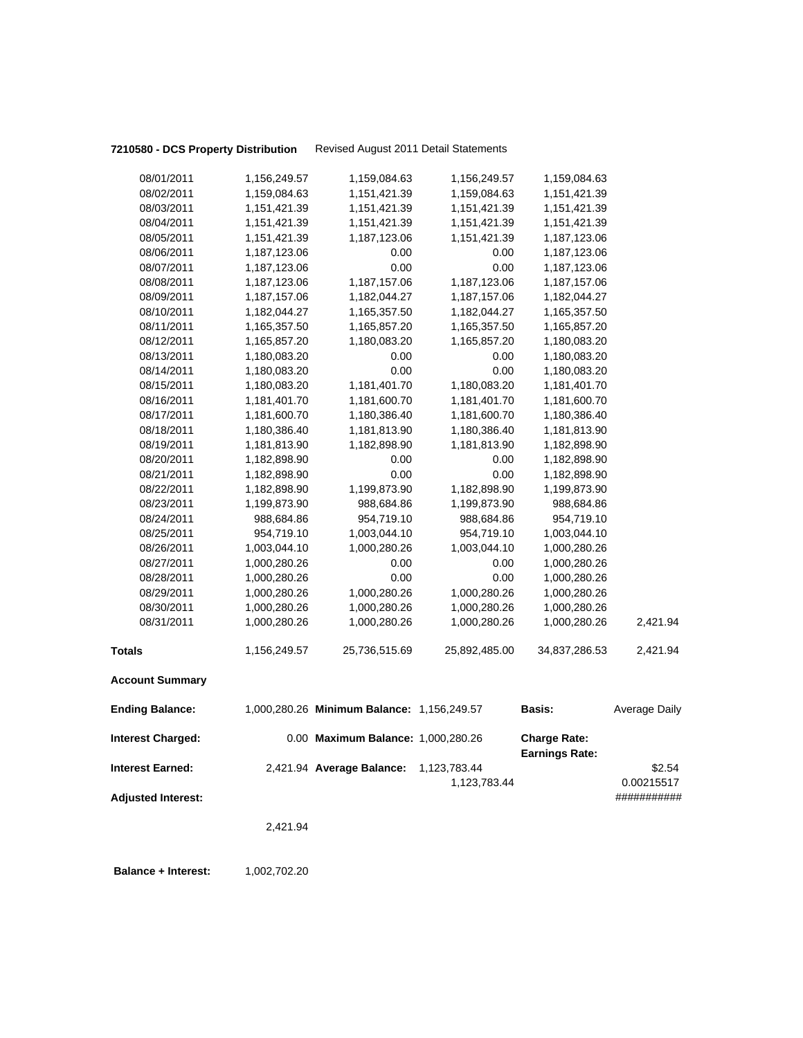**7210580 - DCS Property Distribution** Revised August 2011 Detail Statements

|                           | 2,421.94                     |                                            |                      |                              |                           |
|---------------------------|------------------------------|--------------------------------------------|----------------------|------------------------------|---------------------------|
| <b>Adjusted Interest:</b> |                              |                                            | 1,123,783.44         |                              | 0.00215517<br>########### |
| Interest Earned:          |                              | 2,421.94 Average Balance:                  | 1,123,783.44         | <b>Earnings Rate:</b>        | \$2.54                    |
| <b>Interest Charged:</b>  |                              | 0.00 Maximum Balance: 1,000,280.26         |                      | <b>Charge Rate:</b>          |                           |
| <b>Ending Balance:</b>    |                              | 1,000,280.26 Minimum Balance: 1,156,249.57 |                      | Basis:                       | Average Daily             |
| <b>Account Summary</b>    |                              |                                            |                      |                              |                           |
| Totals                    | 1,156,249.57                 | 25,736,515.69                              | 25,892,485.00        | 34,837,286.53                | 2,421.94                  |
| 08/31/2011                | 1,000,280.26                 | 1,000,280.26                               | 1,000,280.26         | 1,000,280.26                 | 2,421.94                  |
| 08/30/2011                | 1,000,280.26                 | 1,000,280.26                               | 1,000,280.26         | 1,000,280.26                 |                           |
| 08/29/2011                | 1,000,280.26                 | 1,000,280.26                               | 1,000,280.26         | 1,000,280.26                 |                           |
| 08/28/2011                | 1,000,280.26                 | 0.00                                       | 0.00                 | 1,000,280.26                 |                           |
| 08/27/2011                | 1,000,280.26                 | 0.00                                       | 0.00                 | 1,000,280.26                 |                           |
| 08/26/2011                | 1,003,044.10                 | 1,000,280.26                               | 1,003,044.10         | 1,000,280.26                 |                           |
| 08/25/2011                | 954,719.10                   | 1,003,044.10                               | 954,719.10           | 1,003,044.10                 |                           |
| 08/24/2011                | 988,684.86                   | 954,719.10                                 | 988,684.86           | 954,719.10                   |                           |
| 08/23/2011                | 1,199,873.90                 | 988,684.86                                 | 1,199,873.90         | 988,684.86                   |                           |
| 08/22/2011                | 1,182,898.90                 | 1,199,873.90                               | 1,182,898.90         | 1,199,873.90                 |                           |
| 08/21/2011                | 1,182,898.90                 | 0.00                                       | 0.00                 | 1,182,898.90                 |                           |
| 08/20/2011                | 1,182,898.90                 | 0.00                                       | 0.00                 | 1,182,898.90                 |                           |
| 08/19/2011                | 1,181,813.90                 | 1,182,898.90                               | 1,181,813.90         | 1,182,898.90                 |                           |
| 08/18/2011                | 1,180,386.40                 | 1,181,813.90                               | 1,180,386.40         | 1,181,813.90                 |                           |
| 08/17/2011                | 1,181,600.70                 | 1,180,386.40                               | 1,181,600.70         | 1,180,386.40                 |                           |
| 08/16/2011                | 1,181,401.70                 | 1,181,600.70                               | 1,181,401.70         | 1,181,600.70                 |                           |
| 08/15/2011                | 1,180,083.20                 | 1,181,401.70                               | 1,180,083.20         | 1,181,401.70                 |                           |
| 08/14/2011                | 1,180,083.20<br>1,180,083.20 | 0.00                                       | 0.00                 | 1,180,083.20<br>1,180,083.20 |                           |
| 08/12/2011<br>08/13/2011  | 1,165,857.20                 | 1,180,083.20<br>0.00                       | 1,165,857.20<br>0.00 | 1,180,083.20                 |                           |
| 08/11/2011                | 1,165,357.50                 | 1,165,857.20                               | 1,165,357.50         | 1,165,857.20                 |                           |
| 08/10/2011                | 1,182,044.27                 | 1,165,357.50                               | 1,182,044.27         | 1,165,357.50                 |                           |
| 08/09/2011                | 1,187,157.06                 | 1,182,044.27                               | 1,187,157.06         | 1,182,044.27                 |                           |
| 08/08/2011                | 1,187,123.06                 | 1,187,157.06                               | 1,187,123.06         | 1,187,157.06                 |                           |
| 08/07/2011                | 1,187,123.06                 | 0.00                                       | 0.00                 | 1,187,123.06                 |                           |
| 08/06/2011                | 1,187,123.06                 | 0.00                                       | 0.00                 | 1,187,123.06                 |                           |
| 08/05/2011                | 1,151,421.39                 | 1,187,123.06                               | 1,151,421.39         | 1,187,123.06                 |                           |
| 08/04/2011                | 1,151,421.39                 | 1,151,421.39                               | 1,151,421.39         | 1,151,421.39                 |                           |
| 08/03/2011                | 1,151,421.39                 | 1,151,421.39                               | 1,151,421.39         | 1,151,421.39                 |                           |
| 08/02/2011                | 1,159,084.63                 | 1,151,421.39                               | 1,159,084.63         | 1,151,421.39                 |                           |
| 08/01/2011                | 1,156,249.57                 | 1,159,084.63                               | 1,156,249.57         | 1,159,084.63                 |                           |
|                           |                              |                                            |                      |                              |                           |

**Balance + Interest:** 1,002,702.20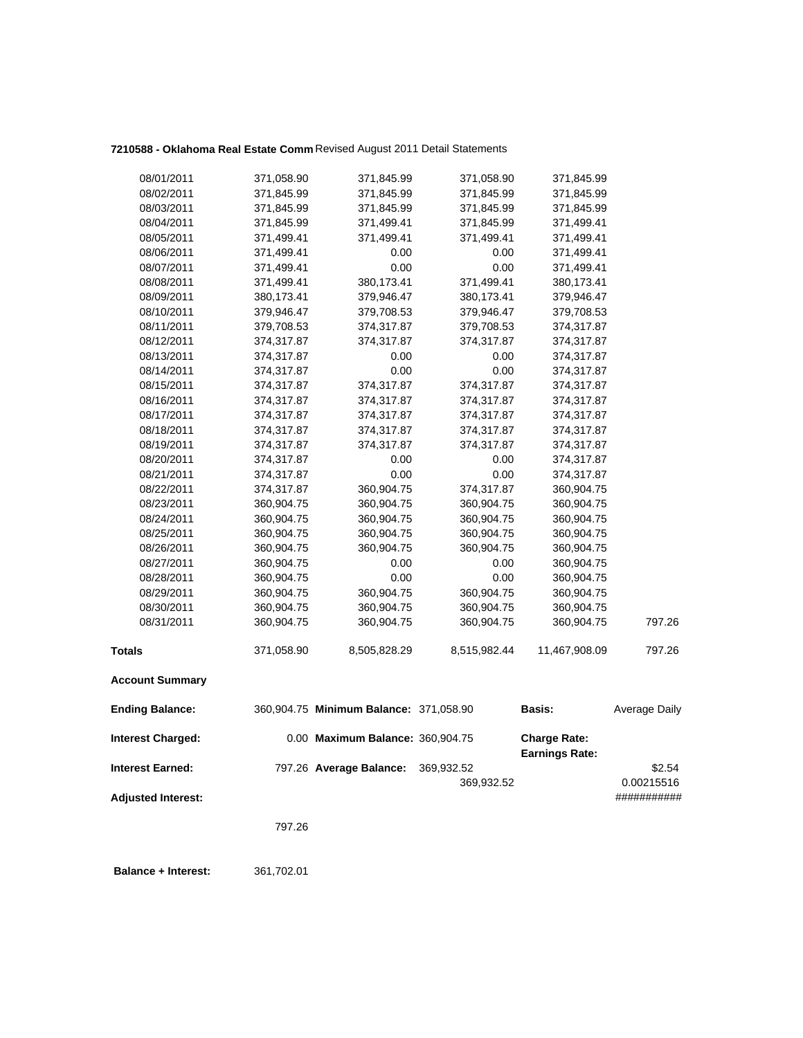# **7210588 - Oklahoma Real Estate Comm** Revised August 2011 Detail Statements

| 08/14/2011                | 374,317.87 | 0.00                                   | 0.00                     | 374,317.87                                   |                      |
|---------------------------|------------|----------------------------------------|--------------------------|----------------------------------------------|----------------------|
| 08/15/2011                | 374,317.87 | 374,317.87                             | 374,317.87               | 374,317.87                                   |                      |
| 08/16/2011                | 374,317.87 | 374,317.87                             | 374,317.87               | 374,317.87                                   |                      |
| 08/17/2011                | 374,317.87 | 374,317.87                             | 374,317.87               | 374,317.87                                   |                      |
| 08/18/2011                | 374,317.87 | 374,317.87                             | 374,317.87               | 374,317.87                                   |                      |
| 08/19/2011                | 374,317.87 | 374,317.87                             | 374,317.87               | 374,317.87                                   |                      |
| 08/20/2011                | 374,317.87 | 0.00                                   | 0.00                     | 374,317.87                                   |                      |
| 08/21/2011                | 374,317.87 | 0.00                                   | 0.00                     | 374,317.87                                   |                      |
| 08/22/2011                | 374,317.87 | 360,904.75                             | 374,317.87               | 360,904.75                                   |                      |
| 08/23/2011                | 360,904.75 | 360,904.75                             | 360,904.75               | 360,904.75                                   |                      |
| 08/24/2011                | 360,904.75 | 360,904.75                             | 360,904.75               | 360,904.75                                   |                      |
| 08/25/2011                | 360,904.75 | 360,904.75                             | 360,904.75               | 360,904.75                                   |                      |
| 08/26/2011                | 360,904.75 | 360,904.75                             | 360,904.75               | 360,904.75                                   |                      |
| 08/27/2011                | 360,904.75 | 0.00                                   | 0.00                     | 360,904.75                                   |                      |
| 08/28/2011                | 360,904.75 | 0.00                                   | 0.00                     | 360,904.75                                   |                      |
| 08/29/2011                | 360,904.75 | 360,904.75                             | 360,904.75               | 360,904.75                                   |                      |
| 08/30/2011                | 360,904.75 | 360,904.75                             | 360,904.75               | 360,904.75                                   | 797.26               |
| 08/31/2011                | 360,904.75 | 360,904.75                             | 360,904.75               | 360,904.75                                   |                      |
| <b>Totals</b>             | 371,058.90 | 8,505,828.29                           | 8,515,982.44             | 11,467,908.09                                | 797.26               |
| <b>Account Summary</b>    |            |                                        |                          |                                              |                      |
| <b>Ending Balance:</b>    |            | 360,904.75 Minimum Balance: 371,058.90 |                          | Basis:                                       | Average Daily        |
| <b>Interest Charged:</b>  |            | 0.00 Maximum Balance: 360,904.75       |                          | <b>Charge Rate:</b><br><b>Earnings Rate:</b> |                      |
| <b>Interest Earned:</b>   |            | 797.26 Average Balance:                | 369,932.52<br>369,932.52 |                                              | \$2.54<br>0.00215516 |
| <b>Adjusted Interest:</b> |            |                                        |                          |                                              | ###########          |
|                           | 797.26     |                                        |                          |                                              |                      |

 **Balance + Interest:** 361,702.01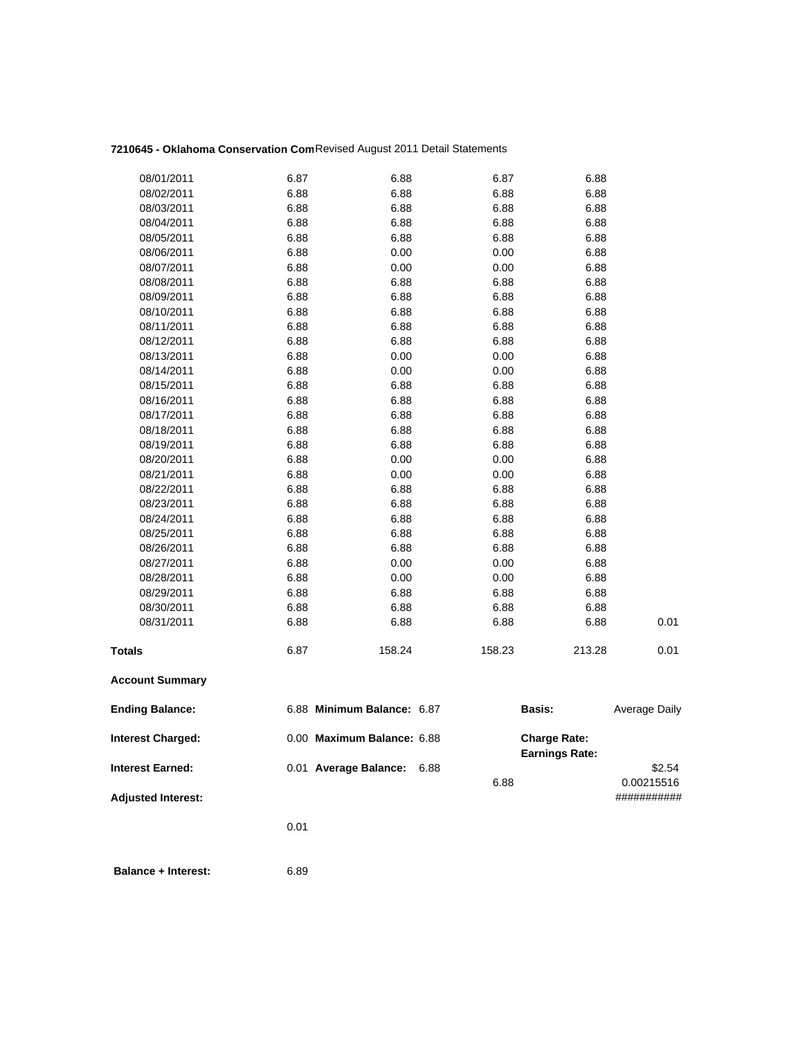# **7210645 - Oklahoma Conservation Com**Revised August 2011 Detail Statements

|                           | 0.01 |                            |              |                                              |                      |
|---------------------------|------|----------------------------|--------------|----------------------------------------------|----------------------|
| <b>Adjusted Interest:</b> |      |                            |              |                                              | ###########          |
| <b>Interest Earned:</b>   |      | 0.01 Average Balance:      | 6.88<br>6.88 |                                              | \$2.54<br>0.00215516 |
| <b>Interest Charged:</b>  |      | 0.00 Maximum Balance: 6.88 |              | <b>Charge Rate:</b><br><b>Earnings Rate:</b> |                      |
| <b>Ending Balance:</b>    |      | 6.88 Minimum Balance: 6.87 |              | <b>Basis:</b>                                | Average Daily        |
| <b>Account Summary</b>    |      |                            |              |                                              |                      |
| <b>Totals</b>             | 6.87 | 158.24                     | 158.23       | 213.28                                       | 0.01                 |
| 08/31/2011                | 6.88 | 6.88                       | 6.88         | 6.88                                         | 0.01                 |
| 08/30/2011                | 6.88 | 6.88                       | 6.88         | 6.88                                         |                      |
| 08/29/2011                | 6.88 | 6.88                       | 6.88         | 6.88                                         |                      |
| 08/28/2011                | 6.88 | 0.00                       | 0.00         | 6.88                                         |                      |
| 08/27/2011                | 6.88 | 0.00                       | 0.00         | 6.88                                         |                      |
| 08/26/2011                | 6.88 | 6.88                       | 6.88         | 6.88                                         |                      |
| 08/25/2011                | 6.88 | 6.88                       | 6.88         | 6.88                                         |                      |
| 08/24/2011                | 6.88 | 6.88                       | 6.88         | 6.88                                         |                      |
| 08/23/2011                | 6.88 | 6.88                       | 6.88         | 6.88                                         |                      |
| 08/22/2011                | 6.88 | 6.88                       | 6.88         | 6.88                                         |                      |
| 08/21/2011                | 6.88 | 0.00                       | 0.00         | 6.88                                         |                      |
| 08/20/2011                | 6.88 | 0.00                       | 0.00         | 6.88                                         |                      |
| 08/19/2011                | 6.88 | 6.88                       | 6.88         | 6.88                                         |                      |
| 08/18/2011                | 6.88 | 6.88                       | 6.88         | 6.88                                         |                      |
| 08/17/2011                | 6.88 | 6.88                       | 6.88         | 6.88                                         |                      |
| 08/16/2011                | 6.88 | 6.88                       | 6.88         | 6.88                                         |                      |
| 08/15/2011                | 6.88 | 6.88                       | 6.88         | 6.88                                         |                      |
| 08/14/2011                | 6.88 | 0.00                       | 0.00         | 6.88                                         |                      |
| 08/13/2011                | 6.88 | 0.00                       | 0.00         | 6.88                                         |                      |
| 08/12/2011                | 6.88 | 6.88                       | 6.88         | 6.88                                         |                      |
| 08/11/2011                | 6.88 | 6.88                       | 6.88         | 6.88                                         |                      |
| 08/10/2011                | 6.88 | 6.88                       | 6.88         | 6.88                                         |                      |
| 08/09/2011                | 6.88 | 6.88                       | 6.88         | 6.88                                         |                      |
| 08/08/2011                | 6.88 | 6.88                       | 6.88         | 6.88                                         |                      |
| 08/07/2011                | 6.88 | 0.00                       | $0.00\,$     | 6.88                                         |                      |
| 08/06/2011                | 6.88 | 0.00                       | 0.00         | 6.88                                         |                      |
| 08/05/2011                | 6.88 | 6.88                       | 6.88         | 6.88                                         |                      |
| 08/04/2011                | 6.88 | 6.88                       | 6.88         | 6.88                                         |                      |
| 08/03/2011                | 6.88 | 6.88                       | 6.88         | 6.88                                         |                      |
| 08/02/2011                | 6.88 | 6.88                       | 6.88         | 6.88                                         |                      |
| 08/01/2011                | 6.87 | 6.88                       | 6.87         | 6.88                                         |                      |
|                           |      |                            |              |                                              |                      |

 **Balance + Interest:** 6.89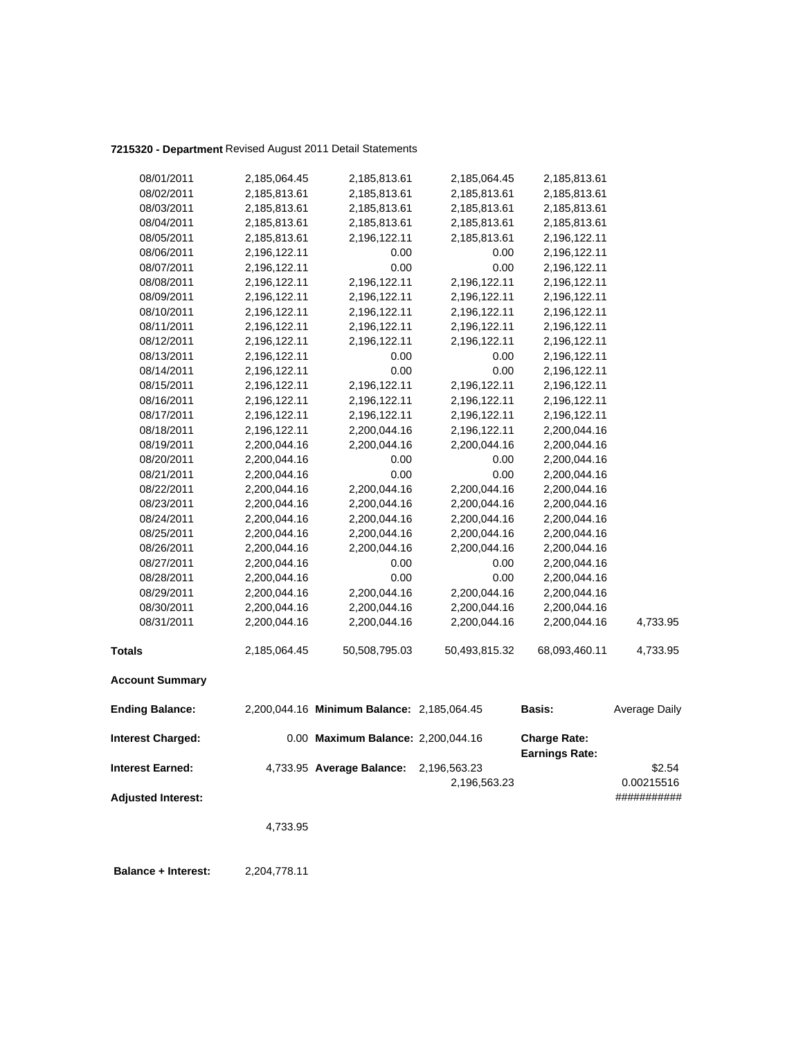### **7215320 - Department** Revised August 2011 Detail Statements

| 08/01/2011                | 2,185,064.45 | 2,185,813.61                               | 2,185,064.45  | 2,185,813.61                                 |               |
|---------------------------|--------------|--------------------------------------------|---------------|----------------------------------------------|---------------|
| 08/02/2011                | 2,185,813.61 | 2,185,813.61                               | 2,185,813.61  | 2,185,813.61                                 |               |
| 08/03/2011                | 2,185,813.61 | 2,185,813.61                               | 2,185,813.61  | 2,185,813.61                                 |               |
| 08/04/2011                | 2,185,813.61 | 2,185,813.61                               | 2,185,813.61  | 2,185,813.61                                 |               |
| 08/05/2011                | 2,185,813.61 | 2,196,122.11                               | 2,185,813.61  | 2,196,122.11                                 |               |
| 08/06/2011                | 2,196,122.11 | 0.00                                       | 0.00          | 2,196,122.11                                 |               |
| 08/07/2011                | 2,196,122.11 | 0.00                                       | 0.00          | 2,196,122.11                                 |               |
| 08/08/2011                | 2,196,122.11 | 2,196,122.11                               | 2,196,122.11  | 2,196,122.11                                 |               |
| 08/09/2011                | 2,196,122.11 | 2,196,122.11                               | 2,196,122.11  | 2,196,122.11                                 |               |
| 08/10/2011                | 2,196,122.11 | 2,196,122.11                               | 2,196,122.11  | 2,196,122.11                                 |               |
| 08/11/2011                | 2,196,122.11 | 2,196,122.11                               | 2,196,122.11  | 2,196,122.11                                 |               |
| 08/12/2011                | 2,196,122.11 | 2,196,122.11                               | 2,196,122.11  | 2,196,122.11                                 |               |
| 08/13/2011                | 2,196,122.11 | 0.00                                       | 0.00          | 2,196,122.11                                 |               |
| 08/14/2011                | 2,196,122.11 | 0.00                                       | 0.00          | 2,196,122.11                                 |               |
| 08/15/2011                | 2,196,122.11 | 2,196,122.11                               | 2,196,122.11  | 2,196,122.11                                 |               |
| 08/16/2011                | 2,196,122.11 | 2,196,122.11                               | 2,196,122.11  | 2,196,122.11                                 |               |
| 08/17/2011                | 2,196,122.11 | 2,196,122.11                               | 2,196,122.11  | 2,196,122.11                                 |               |
| 08/18/2011                | 2,196,122.11 | 2,200,044.16                               | 2,196,122.11  | 2,200,044.16                                 |               |
| 08/19/2011                | 2,200,044.16 | 2,200,044.16                               | 2,200,044.16  | 2,200,044.16                                 |               |
| 08/20/2011                | 2,200,044.16 | 0.00                                       | 0.00          | 2,200,044.16                                 |               |
| 08/21/2011                | 2,200,044.16 | 0.00                                       | 0.00          | 2,200,044.16                                 |               |
| 08/22/2011                | 2,200,044.16 | 2,200,044.16                               | 2,200,044.16  | 2,200,044.16                                 |               |
| 08/23/2011                | 2,200,044.16 | 2,200,044.16                               | 2,200,044.16  | 2,200,044.16                                 |               |
| 08/24/2011                | 2,200,044.16 | 2,200,044.16                               | 2,200,044.16  | 2,200,044.16                                 |               |
| 08/25/2011                | 2,200,044.16 | 2,200,044.16                               | 2,200,044.16  | 2,200,044.16                                 |               |
| 08/26/2011                | 2,200,044.16 | 2,200,044.16                               | 2,200,044.16  | 2,200,044.16                                 |               |
| 08/27/2011                | 2,200,044.16 | 0.00                                       | 0.00          | 2,200,044.16                                 |               |
| 08/28/2011                | 2,200,044.16 | 0.00                                       | 0.00          | 2,200,044.16                                 |               |
| 08/29/2011                | 2,200,044.16 | 2,200,044.16                               | 2,200,044.16  | 2,200,044.16                                 |               |
| 08/30/2011                | 2,200,044.16 | 2,200,044.16                               | 2,200,044.16  | 2,200,044.16                                 |               |
| 08/31/2011                | 2,200,044.16 | 2,200,044.16                               | 2,200,044.16  | 2,200,044.16                                 | 4,733.95      |
| <b>Totals</b>             | 2,185,064.45 | 50,508,795.03                              | 50,493,815.32 | 68,093,460.11                                | 4,733.95      |
| <b>Account Summary</b>    |              |                                            |               |                                              |               |
| <b>Ending Balance:</b>    |              | 2,200,044.16 Minimum Balance: 2,185,064.45 |               | <b>Basis:</b>                                | Average Daily |
| <b>Interest Charged:</b>  |              | 0.00 Maximum Balance: 2,200,044.16         |               | <b>Charge Rate:</b><br><b>Earnings Rate:</b> |               |
| <b>Interest Earned:</b>   |              | 4,733.95 Average Balance:                  | 2,196,563.23  |                                              | \$2.54        |
|                           |              |                                            | 2,196,563.23  |                                              | 0.00215516    |
| <b>Adjusted Interest:</b> |              |                                            |               |                                              | ###########   |
|                           | 4,733.95     |                                            |               |                                              |               |
|                           |              |                                            |               |                                              |               |

 **Balance + Interest:** 2,204,778.11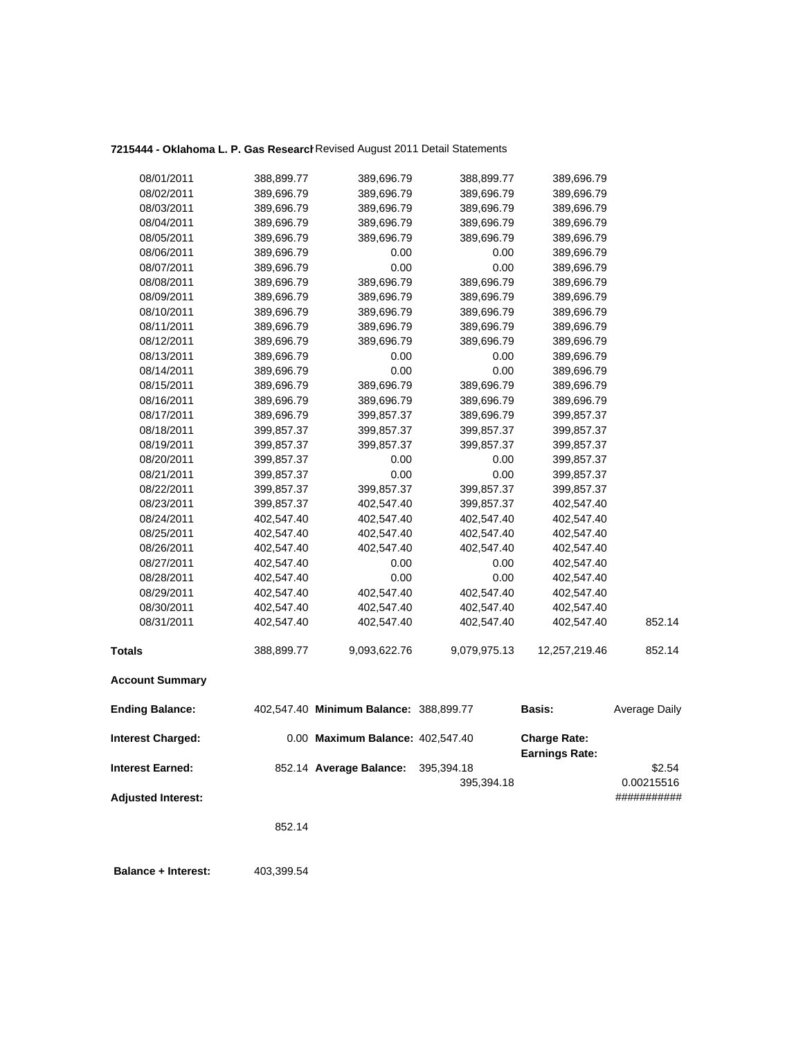# **7215444 - Oklahoma L. P. Gas Research**Revised August 2011 Detail Statements

| 08/03/2011<br>389,696.79<br>389,696.79<br>389,696.79<br>08/04/2011<br>389,696.79<br>08/05/2011<br>389,696.79<br>389,696.79<br>08/06/2011<br>389,696.79<br>08/07/2011<br>389,696.79<br>389,696.79<br>08/08/2011<br>389,696.79<br>08/09/2011<br>389,696.79<br>389,696.79<br>08/10/2011<br>389,696.79<br>389,696.79<br>08/11/2011<br>389,696.79<br>389,696.79<br>08/12/2011<br>389,696.79<br>389,696.79<br>08/13/2011<br>389,696.79<br>08/14/2011<br>389,696.79<br>08/15/2011<br>389,696.79<br>389,696.79<br>08/16/2011<br>389,696.79<br>389,696.79<br>08/17/2011<br>389,696.79<br>399,857.37<br>08/18/2011<br>399,857.37<br>399,857.37<br>08/19/2011<br>399,857.37<br>399,857.37<br>08/20/2011<br>399,857.37<br>08/21/2011<br>399,857.37<br>08/22/2011<br>399,857.37<br>399,857.37<br>08/23/2011<br>399,857.37<br>402,547.40<br>08/24/2011<br>402,547.40<br>402,547.40<br>08/25/2011<br>402,547.40<br>402,547.40<br>08/26/2011<br>402,547.40<br>402,547.40<br>08/27/2011<br>402,547.40<br>08/28/2011<br>402,547.40<br>08/29/2011<br>402,547.40<br>402,547.40<br>08/30/2011<br>402,547.40<br>402,547.40<br>08/31/2011<br>402,547.40<br>402,547.40<br><b>Totals</b><br>388,899.77<br>9,093,622.76<br><b>Account Summary</b> | 12,257,219.46<br>9,079,975.13 | 852.14<br>852.14 |
|-------------------------------------------------------------------------------------------------------------------------------------------------------------------------------------------------------------------------------------------------------------------------------------------------------------------------------------------------------------------------------------------------------------------------------------------------------------------------------------------------------------------------------------------------------------------------------------------------------------------------------------------------------------------------------------------------------------------------------------------------------------------------------------------------------------------------------------------------------------------------------------------------------------------------------------------------------------------------------------------------------------------------------------------------------------------------------------------------------------------------------------------------------------------------------------------------------------------------|-------------------------------|------------------|
|                                                                                                                                                                                                                                                                                                                                                                                                                                                                                                                                                                                                                                                                                                                                                                                                                                                                                                                                                                                                                                                                                                                                                                                                                         |                               |                  |
|                                                                                                                                                                                                                                                                                                                                                                                                                                                                                                                                                                                                                                                                                                                                                                                                                                                                                                                                                                                                                                                                                                                                                                                                                         |                               |                  |
|                                                                                                                                                                                                                                                                                                                                                                                                                                                                                                                                                                                                                                                                                                                                                                                                                                                                                                                                                                                                                                                                                                                                                                                                                         | 402,547.40<br>402,547.40      |                  |
|                                                                                                                                                                                                                                                                                                                                                                                                                                                                                                                                                                                                                                                                                                                                                                                                                                                                                                                                                                                                                                                                                                                                                                                                                         | 402,547.40<br>402,547.40      |                  |
|                                                                                                                                                                                                                                                                                                                                                                                                                                                                                                                                                                                                                                                                                                                                                                                                                                                                                                                                                                                                                                                                                                                                                                                                                         | 402,547.40<br>402,547.40      |                  |
|                                                                                                                                                                                                                                                                                                                                                                                                                                                                                                                                                                                                                                                                                                                                                                                                                                                                                                                                                                                                                                                                                                                                                                                                                         | 0.00<br>0.00<br>402,547.40    |                  |
|                                                                                                                                                                                                                                                                                                                                                                                                                                                                                                                                                                                                                                                                                                                                                                                                                                                                                                                                                                                                                                                                                                                                                                                                                         | 0.00<br>0.00<br>402,547.40    |                  |
|                                                                                                                                                                                                                                                                                                                                                                                                                                                                                                                                                                                                                                                                                                                                                                                                                                                                                                                                                                                                                                                                                                                                                                                                                         | 402,547.40<br>402,547.40      |                  |
|                                                                                                                                                                                                                                                                                                                                                                                                                                                                                                                                                                                                                                                                                                                                                                                                                                                                                                                                                                                                                                                                                                                                                                                                                         | 402,547.40<br>402,547.40      |                  |
|                                                                                                                                                                                                                                                                                                                                                                                                                                                                                                                                                                                                                                                                                                                                                                                                                                                                                                                                                                                                                                                                                                                                                                                                                         | 402,547.40<br>402,547.40      |                  |
|                                                                                                                                                                                                                                                                                                                                                                                                                                                                                                                                                                                                                                                                                                                                                                                                                                                                                                                                                                                                                                                                                                                                                                                                                         | 399,857.37<br>402,547.40      |                  |
|                                                                                                                                                                                                                                                                                                                                                                                                                                                                                                                                                                                                                                                                                                                                                                                                                                                                                                                                                                                                                                                                                                                                                                                                                         | 399,857.37<br>399,857.37      |                  |
|                                                                                                                                                                                                                                                                                                                                                                                                                                                                                                                                                                                                                                                                                                                                                                                                                                                                                                                                                                                                                                                                                                                                                                                                                         | 0.00<br>0.00<br>399,857.37    |                  |
|                                                                                                                                                                                                                                                                                                                                                                                                                                                                                                                                                                                                                                                                                                                                                                                                                                                                                                                                                                                                                                                                                                                                                                                                                         | 0.00<br>0.00<br>399,857.37    |                  |
|                                                                                                                                                                                                                                                                                                                                                                                                                                                                                                                                                                                                                                                                                                                                                                                                                                                                                                                                                                                                                                                                                                                                                                                                                         | 399,857.37<br>399,857.37      |                  |
|                                                                                                                                                                                                                                                                                                                                                                                                                                                                                                                                                                                                                                                                                                                                                                                                                                                                                                                                                                                                                                                                                                                                                                                                                         | 399,857.37<br>399,857.37      |                  |
|                                                                                                                                                                                                                                                                                                                                                                                                                                                                                                                                                                                                                                                                                                                                                                                                                                                                                                                                                                                                                                                                                                                                                                                                                         | 389,696.79<br>399,857.37      |                  |
|                                                                                                                                                                                                                                                                                                                                                                                                                                                                                                                                                                                                                                                                                                                                                                                                                                                                                                                                                                                                                                                                                                                                                                                                                         | 389,696.79<br>389,696.79      |                  |
|                                                                                                                                                                                                                                                                                                                                                                                                                                                                                                                                                                                                                                                                                                                                                                                                                                                                                                                                                                                                                                                                                                                                                                                                                         | 389,696.79<br>389,696.79      |                  |
|                                                                                                                                                                                                                                                                                                                                                                                                                                                                                                                                                                                                                                                                                                                                                                                                                                                                                                                                                                                                                                                                                                                                                                                                                         | 0.00<br>0.00<br>389,696.79    |                  |
|                                                                                                                                                                                                                                                                                                                                                                                                                                                                                                                                                                                                                                                                                                                                                                                                                                                                                                                                                                                                                                                                                                                                                                                                                         | 0.00<br>0.00<br>389,696.79    |                  |
|                                                                                                                                                                                                                                                                                                                                                                                                                                                                                                                                                                                                                                                                                                                                                                                                                                                                                                                                                                                                                                                                                                                                                                                                                         | 389,696.79<br>389,696.79      |                  |
|                                                                                                                                                                                                                                                                                                                                                                                                                                                                                                                                                                                                                                                                                                                                                                                                                                                                                                                                                                                                                                                                                                                                                                                                                         | 389,696.79<br>389,696.79      |                  |
|                                                                                                                                                                                                                                                                                                                                                                                                                                                                                                                                                                                                                                                                                                                                                                                                                                                                                                                                                                                                                                                                                                                                                                                                                         | 389,696.79<br>389,696.79      |                  |
|                                                                                                                                                                                                                                                                                                                                                                                                                                                                                                                                                                                                                                                                                                                                                                                                                                                                                                                                                                                                                                                                                                                                                                                                                         | 389,696.79<br>389,696.79      |                  |
|                                                                                                                                                                                                                                                                                                                                                                                                                                                                                                                                                                                                                                                                                                                                                                                                                                                                                                                                                                                                                                                                                                                                                                                                                         | 389,696.79<br>389,696.79      |                  |
|                                                                                                                                                                                                                                                                                                                                                                                                                                                                                                                                                                                                                                                                                                                                                                                                                                                                                                                                                                                                                                                                                                                                                                                                                         | 0.00<br>0.00<br>389,696.79    |                  |
|                                                                                                                                                                                                                                                                                                                                                                                                                                                                                                                                                                                                                                                                                                                                                                                                                                                                                                                                                                                                                                                                                                                                                                                                                         | 0.00<br>0.00<br>389,696.79    |                  |
|                                                                                                                                                                                                                                                                                                                                                                                                                                                                                                                                                                                                                                                                                                                                                                                                                                                                                                                                                                                                                                                                                                                                                                                                                         | 389,696.79<br>389,696.79      |                  |
|                                                                                                                                                                                                                                                                                                                                                                                                                                                                                                                                                                                                                                                                                                                                                                                                                                                                                                                                                                                                                                                                                                                                                                                                                         | 389,696.79<br>389,696.79      |                  |
|                                                                                                                                                                                                                                                                                                                                                                                                                                                                                                                                                                                                                                                                                                                                                                                                                                                                                                                                                                                                                                                                                                                                                                                                                         | 389,696.79<br>389,696.79      |                  |
| 08/02/2011<br>389,696.79<br>389,696.79                                                                                                                                                                                                                                                                                                                                                                                                                                                                                                                                                                                                                                                                                                                                                                                                                                                                                                                                                                                                                                                                                                                                                                                  | 389,696.79<br>389,696.79      |                  |
| 388,899.77<br>08/01/2011<br>389,696.79                                                                                                                                                                                                                                                                                                                                                                                                                                                                                                                                                                                                                                                                                                                                                                                                                                                                                                                                                                                                                                                                                                                                                                                  | 388,899.77<br>389,696.79      |                  |

**Balance + Interest:** 403,399.54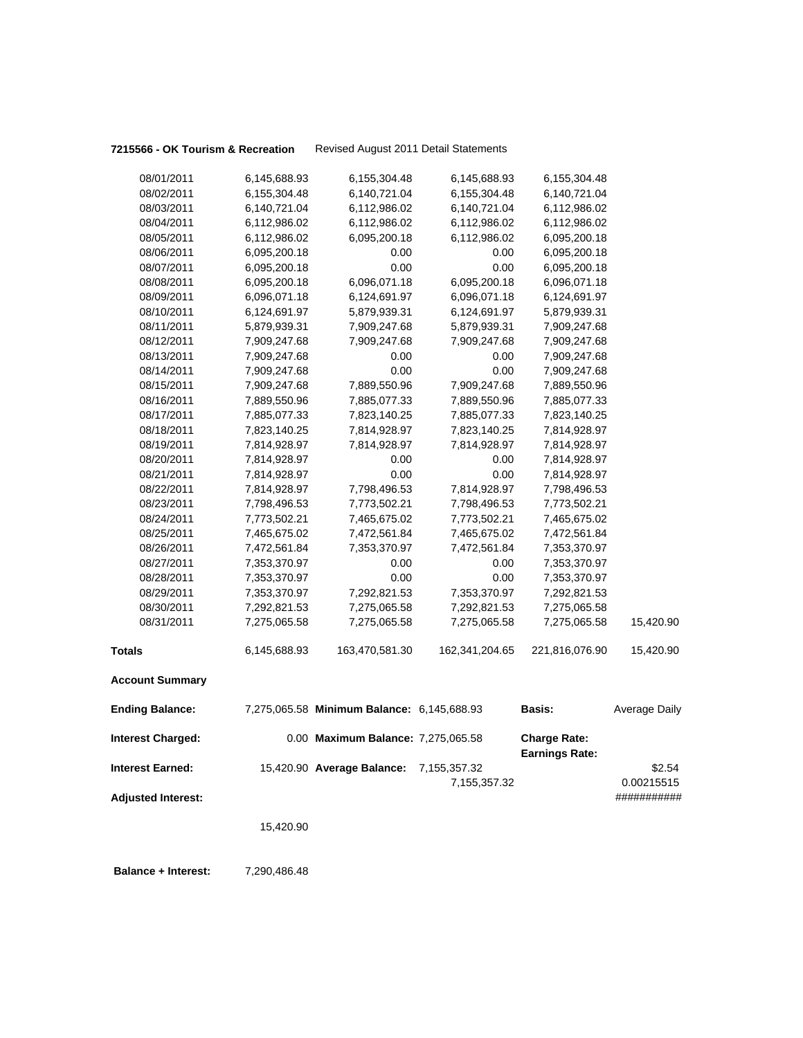### **7215566 - OK Tourism & Recreation** Revised August 2011 Detail Statements

| 08/01/2011                | 6,145,688.93 | 6,155,304.48                               | 6,145,688.93   | 6,155,304.48                                 |               |
|---------------------------|--------------|--------------------------------------------|----------------|----------------------------------------------|---------------|
| 08/02/2011                | 6,155,304.48 | 6,140,721.04                               | 6,155,304.48   | 6,140,721.04                                 |               |
| 08/03/2011                | 6,140,721.04 | 6,112,986.02                               | 6,140,721.04   | 6,112,986.02                                 |               |
| 08/04/2011                | 6,112,986.02 | 6,112,986.02                               | 6,112,986.02   | 6,112,986.02                                 |               |
| 08/05/2011                | 6,112,986.02 | 6,095,200.18                               | 6,112,986.02   | 6,095,200.18                                 |               |
| 08/06/2011                | 6,095,200.18 | 0.00                                       | 0.00           | 6,095,200.18                                 |               |
| 08/07/2011                | 6,095,200.18 | 0.00                                       | 0.00           | 6,095,200.18                                 |               |
| 08/08/2011                | 6,095,200.18 | 6,096,071.18                               | 6,095,200.18   | 6,096,071.18                                 |               |
| 08/09/2011                | 6,096,071.18 | 6,124,691.97                               | 6,096,071.18   | 6,124,691.97                                 |               |
| 08/10/2011                | 6,124,691.97 | 5,879,939.31                               | 6,124,691.97   | 5,879,939.31                                 |               |
| 08/11/2011                | 5,879,939.31 | 7,909,247.68                               | 5,879,939.31   | 7,909,247.68                                 |               |
| 08/12/2011                | 7,909,247.68 | 7,909,247.68                               | 7,909,247.68   | 7,909,247.68                                 |               |
| 08/13/2011                | 7,909,247.68 | 0.00                                       | 0.00           | 7,909,247.68                                 |               |
| 08/14/2011                | 7,909,247.68 | 0.00                                       | 0.00           | 7,909,247.68                                 |               |
| 08/15/2011                | 7,909,247.68 | 7,889,550.96                               | 7,909,247.68   | 7,889,550.96                                 |               |
| 08/16/2011                | 7,889,550.96 | 7,885,077.33                               | 7,889,550.96   | 7,885,077.33                                 |               |
| 08/17/2011                | 7,885,077.33 | 7,823,140.25                               | 7,885,077.33   | 7,823,140.25                                 |               |
| 08/18/2011                | 7,823,140.25 | 7,814,928.97                               | 7,823,140.25   | 7,814,928.97                                 |               |
| 08/19/2011                | 7,814,928.97 | 7,814,928.97                               | 7,814,928.97   | 7,814,928.97                                 |               |
| 08/20/2011                | 7,814,928.97 | 0.00                                       | 0.00           | 7,814,928.97                                 |               |
| 08/21/2011                | 7,814,928.97 | 0.00                                       | 0.00           | 7,814,928.97                                 |               |
| 08/22/2011                | 7,814,928.97 | 7,798,496.53                               | 7,814,928.97   | 7,798,496.53                                 |               |
| 08/23/2011                | 7,798,496.53 | 7,773,502.21                               | 7,798,496.53   | 7,773,502.21                                 |               |
| 08/24/2011                | 7,773,502.21 | 7,465,675.02                               | 7,773,502.21   | 7,465,675.02                                 |               |
| 08/25/2011                | 7,465,675.02 | 7,472,561.84                               | 7,465,675.02   | 7,472,561.84                                 |               |
| 08/26/2011                | 7,472,561.84 | 7,353,370.97                               | 7,472,561.84   | 7,353,370.97                                 |               |
| 08/27/2011                | 7,353,370.97 | 0.00                                       | 0.00           | 7,353,370.97                                 |               |
| 08/28/2011                | 7,353,370.97 | 0.00                                       | 0.00           | 7,353,370.97                                 |               |
| 08/29/2011                | 7,353,370.97 | 7,292,821.53                               | 7,353,370.97   | 7,292,821.53                                 |               |
| 08/30/2011                | 7,292,821.53 | 7,275,065.58                               | 7,292,821.53   | 7,275,065.58                                 |               |
| 08/31/2011                | 7,275,065.58 | 7,275,065.58                               | 7,275,065.58   | 7,275,065.58                                 | 15,420.90     |
| <b>Totals</b>             | 6,145,688.93 | 163,470,581.30                             | 162,341,204.65 | 221,816,076.90                               | 15,420.90     |
| <b>Account Summary</b>    |              |                                            |                |                                              |               |
| <b>Ending Balance:</b>    |              | 7,275,065.58 Minimum Balance: 6,145,688.93 |                | <b>Basis:</b>                                | Average Daily |
| <b>Interest Charged:</b>  |              | 0.00 Maximum Balance: 7,275,065.58         |                | <b>Charge Rate:</b><br><b>Earnings Rate:</b> |               |
| <b>Interest Earned:</b>   |              | 15,420.90 Average Balance: 7,155,357.32    |                |                                              | \$2.54        |
|                           |              |                                            | 7,155,357.32   |                                              | 0.00215515    |
| <b>Adjusted Interest:</b> |              |                                            |                |                                              | ###########   |
|                           |              |                                            |                |                                              |               |
|                           | 15,420.90    |                                            |                |                                              |               |
|                           |              |                                            |                |                                              |               |
|                           |              |                                            |                |                                              |               |

**Balance + Interest:** 7,290,486.48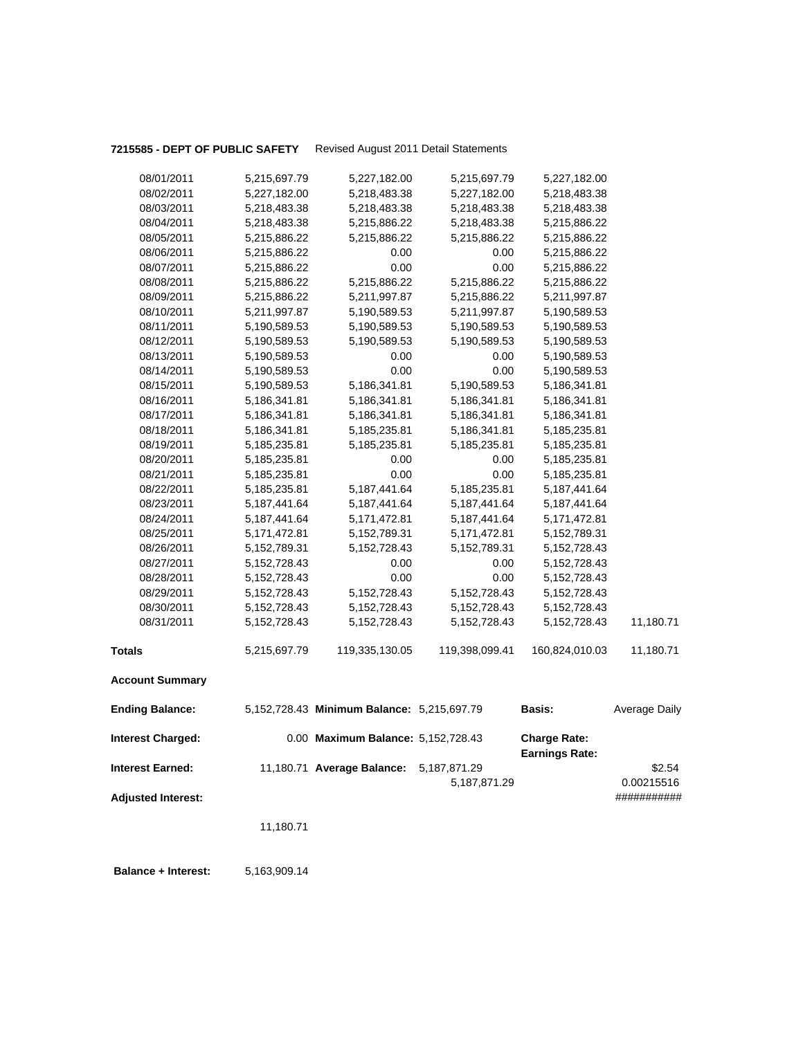# **7215585 - DEPT OF PUBLIC SAFETY** Revised August 2011 Detail Statements

| 08/01/2011                | 5,215,697.79    | 5,227,182.00                               | 5,215,697.79    | 5,227,182.00                                 |               |
|---------------------------|-----------------|--------------------------------------------|-----------------|----------------------------------------------|---------------|
| 08/02/2011                | 5,227,182.00    | 5,218,483.38                               | 5,227,182.00    | 5,218,483.38                                 |               |
| 08/03/2011                | 5,218,483.38    | 5,218,483.38                               | 5,218,483.38    | 5,218,483.38                                 |               |
| 08/04/2011                | 5,218,483.38    | 5,215,886.22                               | 5,218,483.38    | 5,215,886.22                                 |               |
| 08/05/2011                | 5,215,886.22    | 5,215,886.22                               | 5,215,886.22    | 5,215,886.22                                 |               |
| 08/06/2011                | 5,215,886.22    | 0.00                                       | 0.00            | 5,215,886.22                                 |               |
| 08/07/2011                | 5,215,886.22    | 0.00                                       | 0.00            | 5,215,886.22                                 |               |
| 08/08/2011                | 5,215,886.22    | 5,215,886.22                               | 5,215,886.22    | 5,215,886.22                                 |               |
| 08/09/2011                | 5,215,886.22    | 5,211,997.87                               | 5,215,886.22    | 5,211,997.87                                 |               |
| 08/10/2011                | 5,211,997.87    | 5,190,589.53                               | 5,211,997.87    | 5,190,589.53                                 |               |
| 08/11/2011                | 5,190,589.53    | 5,190,589.53                               | 5,190,589.53    | 5,190,589.53                                 |               |
| 08/12/2011                | 5,190,589.53    | 5,190,589.53                               | 5,190,589.53    | 5,190,589.53                                 |               |
| 08/13/2011                | 5,190,589.53    | 0.00                                       | 0.00            | 5,190,589.53                                 |               |
| 08/14/2011                | 5,190,589.53    | 0.00                                       | 0.00            | 5,190,589.53                                 |               |
| 08/15/2011                | 5,190,589.53    | 5,186,341.81                               | 5,190,589.53    | 5,186,341.81                                 |               |
| 08/16/2011                | 5,186,341.81    | 5,186,341.81                               | 5,186,341.81    | 5,186,341.81                                 |               |
| 08/17/2011                | 5,186,341.81    | 5,186,341.81                               | 5,186,341.81    | 5,186,341.81                                 |               |
| 08/18/2011                | 5,186,341.81    | 5,185,235.81                               | 5,186,341.81    | 5,185,235.81                                 |               |
| 08/19/2011                | 5,185,235.81    | 5,185,235.81                               | 5,185,235.81    | 5,185,235.81                                 |               |
| 08/20/2011                | 5,185,235.81    | 0.00                                       | 0.00            | 5,185,235.81                                 |               |
| 08/21/2011                | 5,185,235.81    | 0.00                                       | 0.00            | 5,185,235.81                                 |               |
| 08/22/2011                | 5,185,235.81    | 5, 187, 441.64                             | 5,185,235.81    | 5, 187, 441.64                               |               |
| 08/23/2011                | 5, 187, 441.64  | 5, 187, 441.64                             | 5, 187, 441.64  | 5, 187, 441.64                               |               |
| 08/24/2011                | 5, 187, 441.64  | 5,171,472.81                               | 5,187,441.64    | 5, 171, 472.81                               |               |
| 08/25/2011                | 5, 171, 472.81  | 5, 152, 789. 31                            | 5,171,472.81    | 5,152,789.31                                 |               |
| 08/26/2011                | 5,152,789.31    | 5, 152, 728. 43                            | 5,152,789.31    | 5, 152, 728. 43                              |               |
| 08/27/2011                | 5, 152, 728. 43 | 0.00                                       | 0.00            | 5, 152, 728. 43                              |               |
| 08/28/2011                | 5, 152, 728. 43 | 0.00                                       | 0.00            | 5, 152, 728. 43                              |               |
| 08/29/2011                | 5, 152, 728. 43 | 5, 152, 728. 43                            | 5, 152, 728. 43 | 5, 152, 728. 43                              |               |
| 08/30/2011                | 5, 152, 728. 43 | 5, 152, 728.43                             | 5, 152, 728. 43 | 5, 152, 728. 43                              |               |
| 08/31/2011                | 5, 152, 728. 43 | 5, 152, 728. 43                            | 5, 152, 728. 43 | 5, 152, 728. 43                              | 11,180.71     |
| <b>Totals</b>             | 5,215,697.79    | 119,335,130.05                             | 119,398,099.41  | 160,824,010.03                               | 11,180.71     |
| <b>Account Summary</b>    |                 |                                            |                 |                                              |               |
| <b>Ending Balance:</b>    |                 | 5,152,728.43 Minimum Balance: 5,215,697.79 |                 | <b>Basis:</b>                                | Average Daily |
| <b>Interest Charged:</b>  |                 | 0.00 Maximum Balance: 5,152,728.43         |                 | <b>Charge Rate:</b><br><b>Earnings Rate:</b> |               |
| <b>Interest Earned:</b>   |                 | 11,180.71 Average Balance: 5,187,871.29    |                 |                                              | \$2.54        |
|                           |                 |                                            | 5,187,871.29    |                                              | 0.00215516    |
| <b>Adjusted Interest:</b> |                 |                                            |                 |                                              | ###########   |
|                           | 11,180.71       |                                            |                 |                                              |               |
|                           |                 |                                            |                 |                                              |               |
|                           |                 |                                            |                 |                                              |               |

 **Balance + Interest:** 5,163,909.14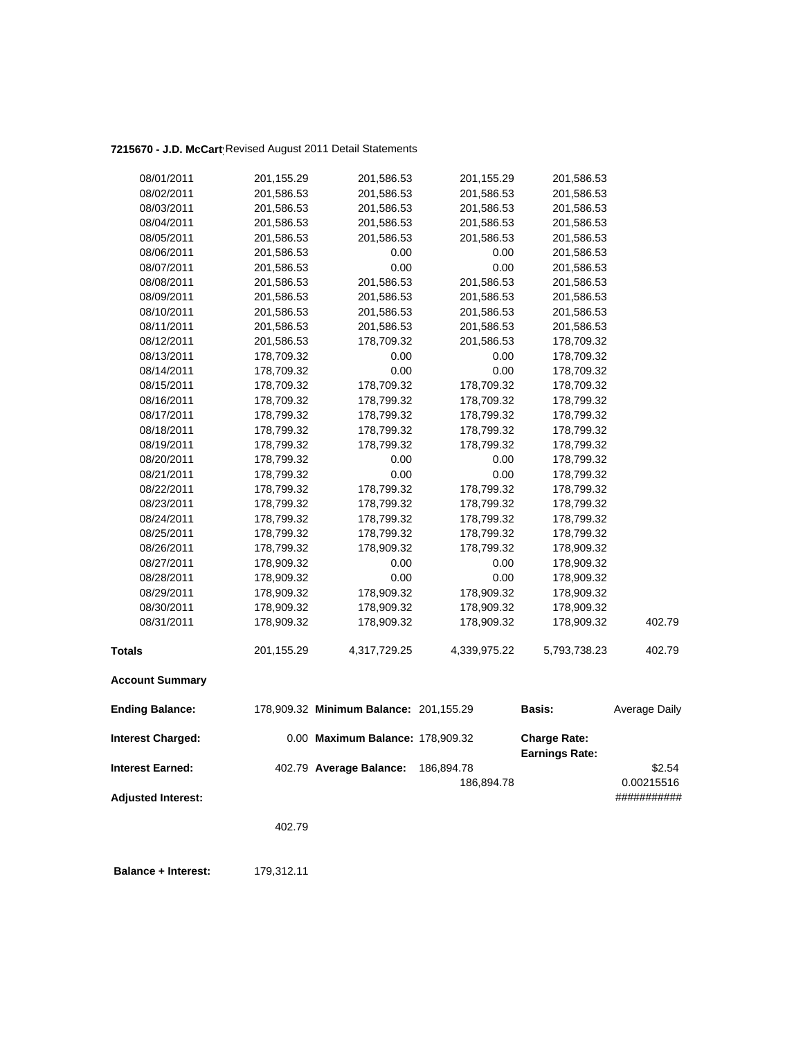# **7215670 - J.D. McCarty**Revised August 2011 Detail Statements

| 08/01/2011                | 201,155.29 | 201,586.53                             | 201,155.29   | 201,586.53                                   |                      |
|---------------------------|------------|----------------------------------------|--------------|----------------------------------------------|----------------------|
| 08/02/2011                | 201,586.53 | 201,586.53                             | 201,586.53   | 201,586.53                                   |                      |
| 08/03/2011                | 201,586.53 | 201,586.53                             | 201,586.53   | 201,586.53                                   |                      |
| 08/04/2011                | 201,586.53 | 201,586.53                             | 201,586.53   | 201,586.53                                   |                      |
| 08/05/2011                | 201,586.53 | 201,586.53                             | 201,586.53   | 201,586.53                                   |                      |
| 08/06/2011                | 201,586.53 | 0.00                                   | 0.00         | 201,586.53                                   |                      |
| 08/07/2011                | 201,586.53 | 0.00                                   | 0.00         | 201,586.53                                   |                      |
| 08/08/2011                | 201,586.53 | 201,586.53                             | 201,586.53   | 201,586.53                                   |                      |
| 08/09/2011                | 201,586.53 | 201,586.53                             | 201,586.53   | 201,586.53                                   |                      |
| 08/10/2011                | 201,586.53 | 201,586.53                             | 201,586.53   | 201,586.53                                   |                      |
| 08/11/2011                | 201,586.53 | 201,586.53                             | 201,586.53   | 201,586.53                                   |                      |
| 08/12/2011                | 201,586.53 | 178,709.32                             | 201,586.53   | 178,709.32                                   |                      |
| 08/13/2011                | 178,709.32 | 0.00                                   | 0.00         | 178,709.32                                   |                      |
| 08/14/2011                | 178,709.32 | 0.00                                   | 0.00         | 178,709.32                                   |                      |
| 08/15/2011                | 178,709.32 | 178,709.32                             | 178,709.32   | 178,709.32                                   |                      |
| 08/16/2011                | 178,709.32 | 178,799.32                             | 178,709.32   | 178,799.32                                   |                      |
| 08/17/2011                | 178,799.32 | 178,799.32                             | 178,799.32   | 178,799.32                                   |                      |
| 08/18/2011                | 178,799.32 | 178,799.32                             | 178,799.32   | 178,799.32                                   |                      |
| 08/19/2011                | 178,799.32 | 178,799.32                             | 178,799.32   | 178,799.32                                   |                      |
| 08/20/2011                | 178,799.32 | 0.00                                   | 0.00         | 178,799.32                                   |                      |
| 08/21/2011                | 178,799.32 | 0.00                                   | 0.00         | 178,799.32                                   |                      |
| 08/22/2011                | 178,799.32 | 178,799.32                             | 178,799.32   | 178,799.32                                   |                      |
| 08/23/2011                | 178,799.32 | 178,799.32                             | 178,799.32   | 178,799.32                                   |                      |
| 08/24/2011                | 178,799.32 | 178,799.32                             | 178,799.32   | 178,799.32                                   |                      |
| 08/25/2011                | 178,799.32 | 178,799.32                             | 178,799.32   | 178,799.32                                   |                      |
| 08/26/2011                | 178,799.32 | 178,909.32                             | 178,799.32   | 178,909.32                                   |                      |
| 08/27/2011                | 178,909.32 | 0.00                                   | 0.00         | 178,909.32                                   |                      |
| 08/28/2011                | 178,909.32 | 0.00                                   | 0.00         | 178,909.32                                   |                      |
| 08/29/2011                | 178,909.32 | 178,909.32                             | 178,909.32   | 178,909.32                                   |                      |
| 08/30/2011                | 178,909.32 | 178,909.32                             | 178,909.32   | 178,909.32                                   |                      |
| 08/31/2011                | 178,909.32 | 178,909.32                             | 178,909.32   | 178,909.32                                   | 402.79               |
| <b>Totals</b>             | 201,155.29 | 4,317,729.25                           | 4,339,975.22 | 5,793,738.23                                 | 402.79               |
| <b>Account Summary</b>    |            |                                        |              |                                              |                      |
| <b>Ending Balance:</b>    |            | 178,909.32 Minimum Balance: 201,155.29 |              | <b>Basis:</b>                                | <b>Average Daily</b> |
| <b>Interest Charged:</b>  |            | 0.00 Maximum Balance: 178,909.32       |              | <b>Charge Rate:</b><br><b>Earnings Rate:</b> |                      |
| <b>Interest Earned:</b>   |            | 402.79 Average Balance:                | 186,894.78   |                                              | \$2.54               |
|                           |            |                                        | 186,894.78   |                                              | 0.00215516           |
| <b>Adjusted Interest:</b> |            |                                        |              |                                              | ###########          |
|                           | 402.79     |                                        |              |                                              |                      |
|                           |            |                                        |              |                                              |                      |
|                           |            |                                        |              |                                              |                      |

 **Balance + Interest:** 179,312.11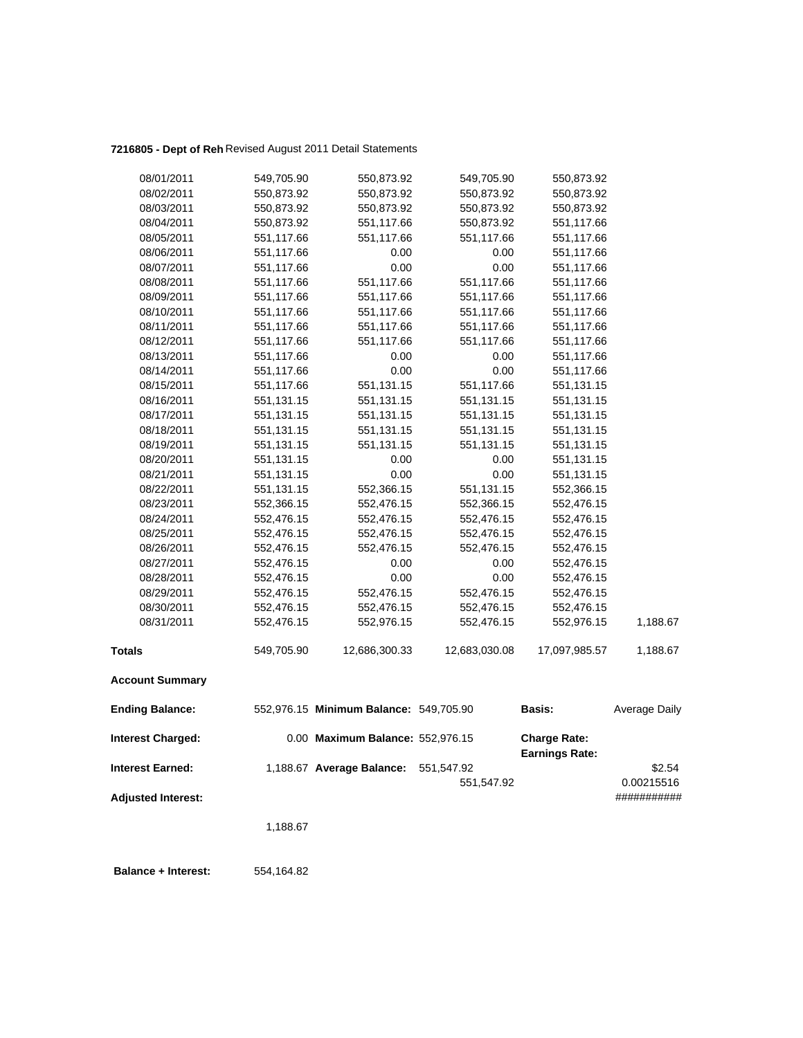### **7216805 - Dept of Reh** Revised August 2011 Detail Statements

| 08/01/2011                | 549,705.90 | 550,873.92                             | 549,705.90    | 550,873.92                                   |               |
|---------------------------|------------|----------------------------------------|---------------|----------------------------------------------|---------------|
| 08/02/2011                | 550,873.92 | 550,873.92                             | 550,873.92    | 550,873.92                                   |               |
| 08/03/2011                | 550,873.92 | 550,873.92                             | 550,873.92    | 550,873.92                                   |               |
| 08/04/2011                | 550,873.92 | 551,117.66                             | 550,873.92    | 551,117.66                                   |               |
| 08/05/2011                | 551,117.66 | 551,117.66                             | 551,117.66    | 551,117.66                                   |               |
| 08/06/2011                | 551,117.66 | 0.00                                   | 0.00          | 551,117.66                                   |               |
| 08/07/2011                | 551,117.66 | 0.00                                   | 0.00          | 551,117.66                                   |               |
| 08/08/2011                | 551,117.66 | 551,117.66                             | 551,117.66    | 551,117.66                                   |               |
| 08/09/2011                | 551,117.66 | 551,117.66                             | 551,117.66    | 551,117.66                                   |               |
| 08/10/2011                | 551,117.66 | 551,117.66                             | 551,117.66    | 551,117.66                                   |               |
| 08/11/2011                | 551,117.66 | 551,117.66                             | 551,117.66    | 551,117.66                                   |               |
| 08/12/2011                | 551,117.66 | 551,117.66                             | 551,117.66    | 551,117.66                                   |               |
| 08/13/2011                | 551,117.66 | 0.00                                   | 0.00          | 551,117.66                                   |               |
| 08/14/2011                | 551,117.66 | 0.00                                   | 0.00          | 551,117.66                                   |               |
| 08/15/2011                | 551,117.66 | 551,131.15                             | 551,117.66    | 551,131.15                                   |               |
| 08/16/2011                | 551,131.15 | 551,131.15                             | 551,131.15    | 551,131.15                                   |               |
| 08/17/2011                | 551,131.15 | 551,131.15                             | 551,131.15    | 551,131.15                                   |               |
| 08/18/2011                | 551,131.15 | 551,131.15                             | 551,131.15    | 551,131.15                                   |               |
| 08/19/2011                | 551,131.15 | 551,131.15                             | 551,131.15    | 551,131.15                                   |               |
| 08/20/2011                | 551,131.15 | 0.00                                   | 0.00          | 551,131.15                                   |               |
| 08/21/2011                | 551,131.15 | 0.00                                   | 0.00          | 551,131.15                                   |               |
| 08/22/2011                | 551,131.15 | 552,366.15                             | 551,131.15    | 552,366.15                                   |               |
| 08/23/2011                | 552,366.15 | 552,476.15                             | 552,366.15    | 552,476.15                                   |               |
| 08/24/2011                | 552,476.15 | 552,476.15                             | 552,476.15    | 552,476.15                                   |               |
| 08/25/2011                | 552,476.15 | 552,476.15                             | 552,476.15    | 552,476.15                                   |               |
| 08/26/2011                | 552,476.15 | 552,476.15                             | 552,476.15    | 552,476.15                                   |               |
| 08/27/2011                | 552,476.15 | 0.00                                   | 0.00          | 552,476.15                                   |               |
| 08/28/2011                | 552,476.15 | 0.00                                   | 0.00          | 552,476.15                                   |               |
| 08/29/2011                | 552,476.15 | 552,476.15                             | 552,476.15    | 552,476.15                                   |               |
| 08/30/2011                | 552,476.15 | 552,476.15                             | 552,476.15    | 552,476.15                                   |               |
| 08/31/2011                | 552,476.15 | 552,976.15                             | 552,476.15    | 552,976.15                                   | 1,188.67      |
| <b>Totals</b>             | 549,705.90 | 12,686,300.33                          | 12,683,030.08 | 17,097,985.57                                | 1,188.67      |
| <b>Account Summary</b>    |            |                                        |               |                                              |               |
| <b>Ending Balance:</b>    |            | 552,976.15 Minimum Balance: 549,705.90 |               | Basis:                                       | Average Daily |
| <b>Interest Charged:</b>  |            | 0.00 Maximum Balance: 552,976.15       |               | <b>Charge Rate:</b><br><b>Earnings Rate:</b> |               |
| <b>Interest Earned:</b>   |            | 1,188.67 Average Balance:              | 551,547.92    |                                              | \$2.54        |
|                           |            |                                        | 551,547.92    |                                              | 0.00215516    |
| <b>Adjusted Interest:</b> |            |                                        |               |                                              | ###########   |
|                           | 1,188.67   |                                        |               |                                              |               |
|                           |            |                                        |               |                                              |               |

 **Balance + Interest:** 554,164.82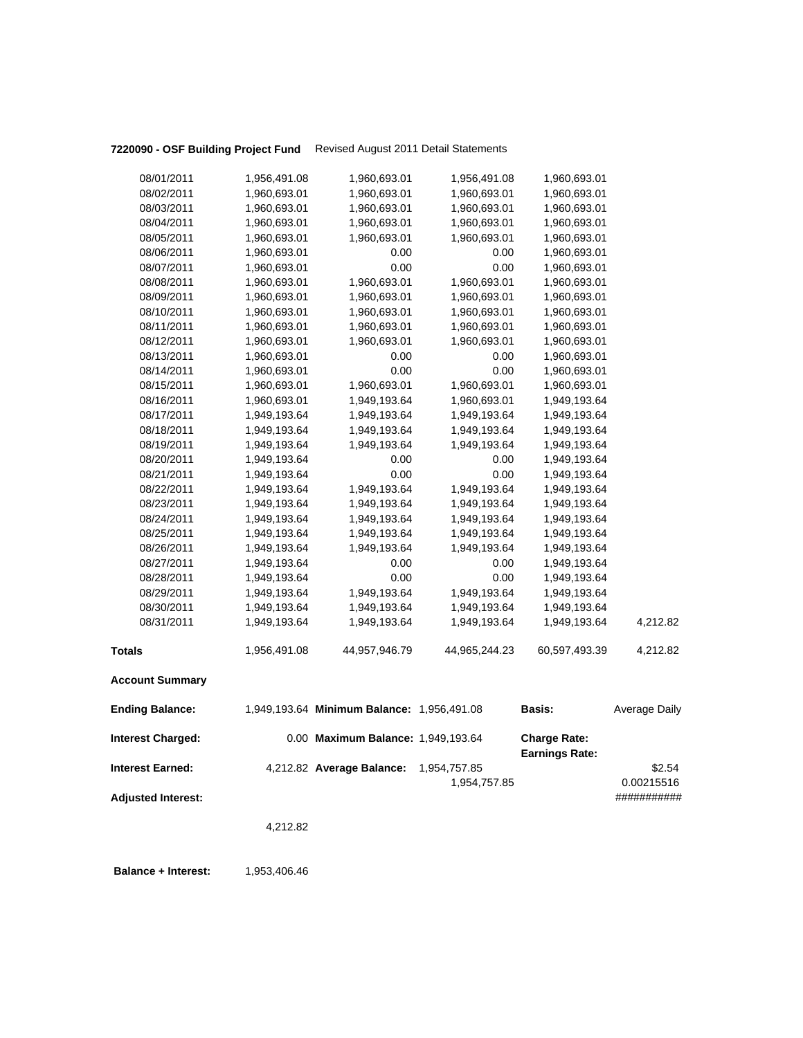# **7220090 - OSF Building Project Fund** Revised August 2011 Detail Statements

|                                                      | 4,212.82     |                                            |                              |                                              |                                     |
|------------------------------------------------------|--------------|--------------------------------------------|------------------------------|----------------------------------------------|-------------------------------------|
| <b>Interest Earned:</b><br><b>Adjusted Interest:</b> |              | 4,212.82 Average Balance:                  | 1,954,757.85<br>1,954,757.85 |                                              | \$2.54<br>0.00215516<br>########### |
| <b>Interest Charged:</b>                             |              | 0.00 Maximum Balance: 1,949,193.64         |                              | <b>Charge Rate:</b><br><b>Earnings Rate:</b> |                                     |
| <b>Ending Balance:</b>                               |              | 1,949,193.64 Minimum Balance: 1,956,491.08 |                              | Basis:                                       | Average Daily                       |
| <b>Account Summary</b>                               |              |                                            |                              |                                              |                                     |
| <b>Totals</b>                                        | 1,956,491.08 | 44,957,946.79                              | 44,965,244.23                | 60,597,493.39                                | 4,212.82                            |
| 08/31/2011                                           | 1,949,193.64 | 1,949,193.64                               | 1,949,193.64                 | 1,949,193.64                                 | 4,212.82                            |
| 08/30/2011                                           | 1,949,193.64 | 1,949,193.64                               | 1,949,193.64                 | 1,949,193.64                                 |                                     |
| 08/29/2011                                           | 1,949,193.64 | 1,949,193.64                               | 1,949,193.64                 | 1,949,193.64                                 |                                     |
| 08/28/2011                                           | 1,949,193.64 | 0.00                                       | 0.00                         | 1,949,193.64                                 |                                     |
| 08/27/2011                                           | 1,949,193.64 | 0.00                                       | 0.00                         | 1,949,193.64                                 |                                     |
| 08/26/2011                                           | 1,949,193.64 | 1,949,193.64                               | 1,949,193.64                 | 1,949,193.64                                 |                                     |
| 08/25/2011                                           | 1,949,193.64 | 1,949,193.64                               | 1,949,193.64                 | 1,949,193.64                                 |                                     |
| 08/24/2011                                           | 1,949,193.64 | 1,949,193.64                               | 1,949,193.64                 | 1,949,193.64                                 |                                     |
| 08/23/2011                                           | 1,949,193.64 | 1,949,193.64                               | 1,949,193.64                 | 1,949,193.64                                 |                                     |
| 08/22/2011                                           | 1,949,193.64 | 1,949,193.64                               | 1,949,193.64                 | 1,949,193.64                                 |                                     |
| 08/21/2011                                           | 1,949,193.64 | 0.00                                       | 0.00                         | 1,949,193.64                                 |                                     |
| 08/20/2011                                           | 1,949,193.64 | 0.00                                       | 0.00                         | 1,949,193.64                                 |                                     |
| 08/19/2011                                           | 1,949,193.64 | 1,949,193.64                               | 1,949,193.64                 | 1,949,193.64                                 |                                     |
| 08/18/2011                                           | 1,949,193.64 | 1,949,193.64                               | 1,949,193.64                 | 1,949,193.64                                 |                                     |
| 08/17/2011                                           | 1,949,193.64 | 1,949,193.64                               | 1,949,193.64                 | 1,949,193.64                                 |                                     |
| 08/16/2011                                           | 1,960,693.01 | 1,949,193.64                               | 1,960,693.01                 | 1,949,193.64                                 |                                     |
| 08/15/2011                                           | 1,960,693.01 | 1,960,693.01                               | 1,960,693.01                 | 1,960,693.01                                 |                                     |
| 08/14/2011                                           | 1,960,693.01 | 0.00                                       | 0.00                         | 1,960,693.01                                 |                                     |
| 08/13/2011                                           | 1,960,693.01 | 0.00                                       | 0.00                         | 1,960,693.01                                 |                                     |
| 08/12/2011                                           | 1,960,693.01 | 1,960,693.01                               | 1,960,693.01                 | 1,960,693.01                                 |                                     |
| 08/11/2011                                           | 1,960,693.01 | 1,960,693.01                               | 1,960,693.01                 | 1,960,693.01                                 |                                     |
| 08/10/2011                                           | 1,960,693.01 | 1,960,693.01                               | 1,960,693.01                 | 1,960,693.01                                 |                                     |
| 08/09/2011                                           | 1,960,693.01 | 1,960,693.01                               | 1,960,693.01                 | 1,960,693.01                                 |                                     |
| 08/08/2011                                           | 1,960,693.01 | 1,960,693.01                               | 1,960,693.01                 | 1,960,693.01                                 |                                     |
| 08/07/2011                                           | 1,960,693.01 | 0.00                                       | 0.00                         | 1,960,693.01                                 |                                     |
| 08/06/2011                                           | 1,960,693.01 | 0.00                                       | 0.00                         | 1,960,693.01                                 |                                     |
| 08/05/2011                                           | 1,960,693.01 | 1,960,693.01                               | 1,960,693.01                 | 1,960,693.01                                 |                                     |
| 08/04/2011                                           | 1,960,693.01 | 1,960,693.01                               | 1,960,693.01                 | 1,960,693.01                                 |                                     |
| 08/03/2011                                           | 1,960,693.01 | 1,960,693.01                               | 1,960,693.01                 | 1,960,693.01                                 |                                     |
| 08/02/2011                                           | 1,960,693.01 | 1,960,693.01                               | 1,960,693.01                 | 1,960,693.01                                 |                                     |
| 08/01/2011                                           | 1,956,491.08 | 1,960,693.01                               | 1,956,491.08                 | 1,960,693.01                                 |                                     |

**Balance + Interest:** 1,953,406.46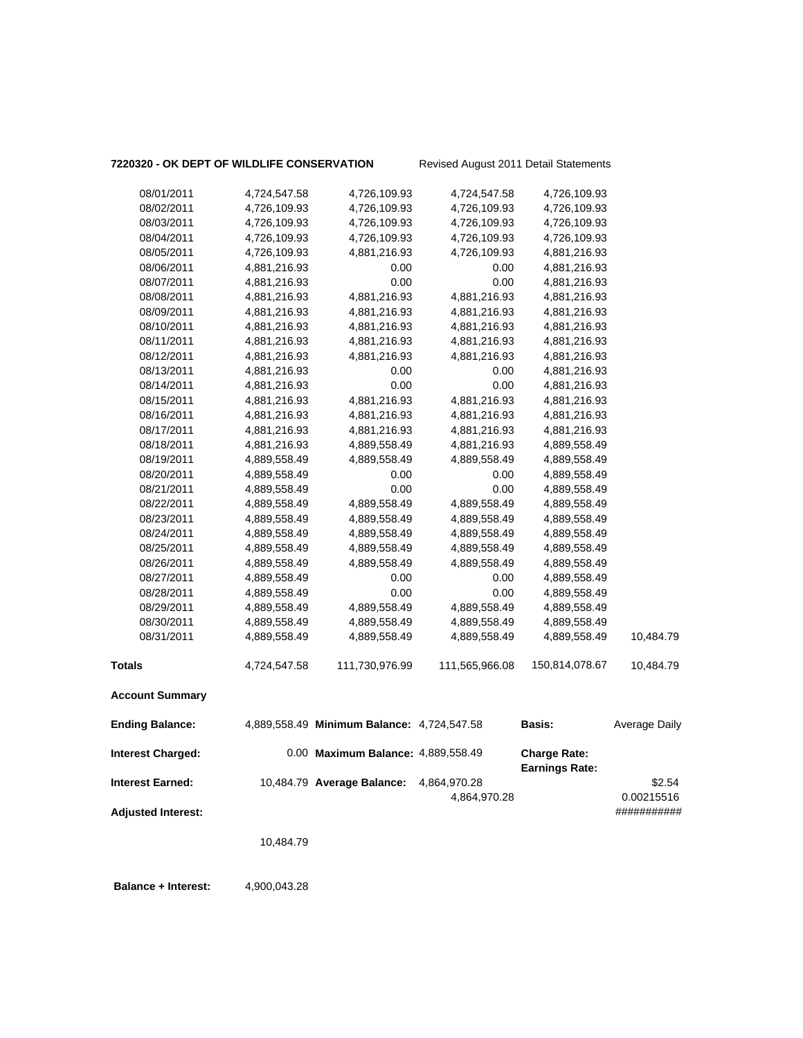### **7220320 - OK DEPT OF WILDLIFE CONSERVATION** Revised August 2011 Detail Statements

| 08/01/2011                | 4,724,547.58 | 4,726,109.93                               | 4,724,547.58   | 4,726,109.93                                 |               |
|---------------------------|--------------|--------------------------------------------|----------------|----------------------------------------------|---------------|
| 08/02/2011                | 4,726,109.93 | 4,726,109.93                               | 4,726,109.93   | 4,726,109.93                                 |               |
| 08/03/2011                | 4,726,109.93 | 4,726,109.93                               | 4,726,109.93   | 4,726,109.93                                 |               |
| 08/04/2011                | 4,726,109.93 | 4,726,109.93                               | 4,726,109.93   | 4,726,109.93                                 |               |
| 08/05/2011                | 4,726,109.93 | 4,881,216.93                               | 4,726,109.93   | 4,881,216.93                                 |               |
| 08/06/2011                | 4,881,216.93 | 0.00                                       | 0.00           | 4,881,216.93                                 |               |
| 08/07/2011                | 4,881,216.93 | 0.00                                       | 0.00           | 4,881,216.93                                 |               |
| 08/08/2011                | 4,881,216.93 | 4,881,216.93                               | 4,881,216.93   | 4,881,216.93                                 |               |
| 08/09/2011                | 4,881,216.93 | 4,881,216.93                               | 4,881,216.93   | 4,881,216.93                                 |               |
| 08/10/2011                | 4,881,216.93 | 4,881,216.93                               | 4,881,216.93   | 4,881,216.93                                 |               |
| 08/11/2011                | 4,881,216.93 | 4,881,216.93                               | 4,881,216.93   | 4,881,216.93                                 |               |
| 08/12/2011                | 4,881,216.93 | 4,881,216.93                               | 4,881,216.93   | 4,881,216.93                                 |               |
| 08/13/2011                | 4,881,216.93 | 0.00                                       | 0.00           | 4,881,216.93                                 |               |
| 08/14/2011                | 4,881,216.93 | 0.00                                       | 0.00           | 4,881,216.93                                 |               |
| 08/15/2011                | 4,881,216.93 | 4,881,216.93                               | 4,881,216.93   | 4,881,216.93                                 |               |
| 08/16/2011                | 4,881,216.93 | 4,881,216.93                               | 4,881,216.93   | 4,881,216.93                                 |               |
| 08/17/2011                | 4,881,216.93 | 4,881,216.93                               | 4,881,216.93   | 4,881,216.93                                 |               |
| 08/18/2011                | 4,881,216.93 | 4,889,558.49                               | 4,881,216.93   | 4,889,558.49                                 |               |
| 08/19/2011                | 4,889,558.49 | 4,889,558.49                               | 4,889,558.49   | 4,889,558.49                                 |               |
| 08/20/2011                | 4,889,558.49 | 0.00                                       | 0.00           | 4,889,558.49                                 |               |
| 08/21/2011                | 4,889,558.49 | 0.00                                       | 0.00           | 4,889,558.49                                 |               |
| 08/22/2011                | 4,889,558.49 | 4,889,558.49                               | 4,889,558.49   | 4,889,558.49                                 |               |
| 08/23/2011                | 4,889,558.49 | 4,889,558.49                               | 4,889,558.49   | 4,889,558.49                                 |               |
| 08/24/2011                | 4,889,558.49 | 4,889,558.49                               | 4,889,558.49   | 4,889,558.49                                 |               |
| 08/25/2011                | 4,889,558.49 | 4,889,558.49                               | 4,889,558.49   | 4,889,558.49                                 |               |
| 08/26/2011                | 4,889,558.49 | 4,889,558.49                               | 4,889,558.49   | 4,889,558.49                                 |               |
| 08/27/2011                | 4,889,558.49 | 0.00                                       | 0.00           | 4,889,558.49                                 |               |
| 08/28/2011                | 4,889,558.49 | 0.00                                       | 0.00           | 4,889,558.49                                 |               |
| 08/29/2011                | 4,889,558.49 | 4,889,558.49                               | 4,889,558.49   | 4,889,558.49                                 |               |
| 08/30/2011                | 4,889,558.49 | 4,889,558.49                               | 4,889,558.49   | 4,889,558.49                                 |               |
| 08/31/2011                | 4,889,558.49 | 4,889,558.49                               | 4,889,558.49   | 4,889,558.49                                 | 10,484.79     |
| <b>Totals</b>             | 4,724,547.58 | 111,730,976.99                             | 111,565,966.08 | 150,814,078.67                               | 10,484.79     |
| <b>Account Summary</b>    |              |                                            |                |                                              |               |
| <b>Ending Balance:</b>    |              | 4,889,558.49 Minimum Balance: 4,724,547.58 |                | <b>Basis:</b>                                | Average Daily |
| <b>Interest Charged:</b>  |              | 0.00 Maximum Balance: 4,889,558.49         |                | <b>Charge Rate:</b><br><b>Earnings Rate:</b> |               |
| <b>Interest Earned:</b>   |              | 10,484.79 Average Balance:                 | 4,864,970.28   |                                              | \$2.54        |
|                           |              |                                            | 4,864,970.28   |                                              | 0.00215516    |
| <b>Adjusted Interest:</b> |              |                                            |                |                                              | ###########   |
|                           | 10,484.79    |                                            |                |                                              |               |
|                           |              |                                            |                |                                              |               |

**Balance + Interest:** 4,900,043.28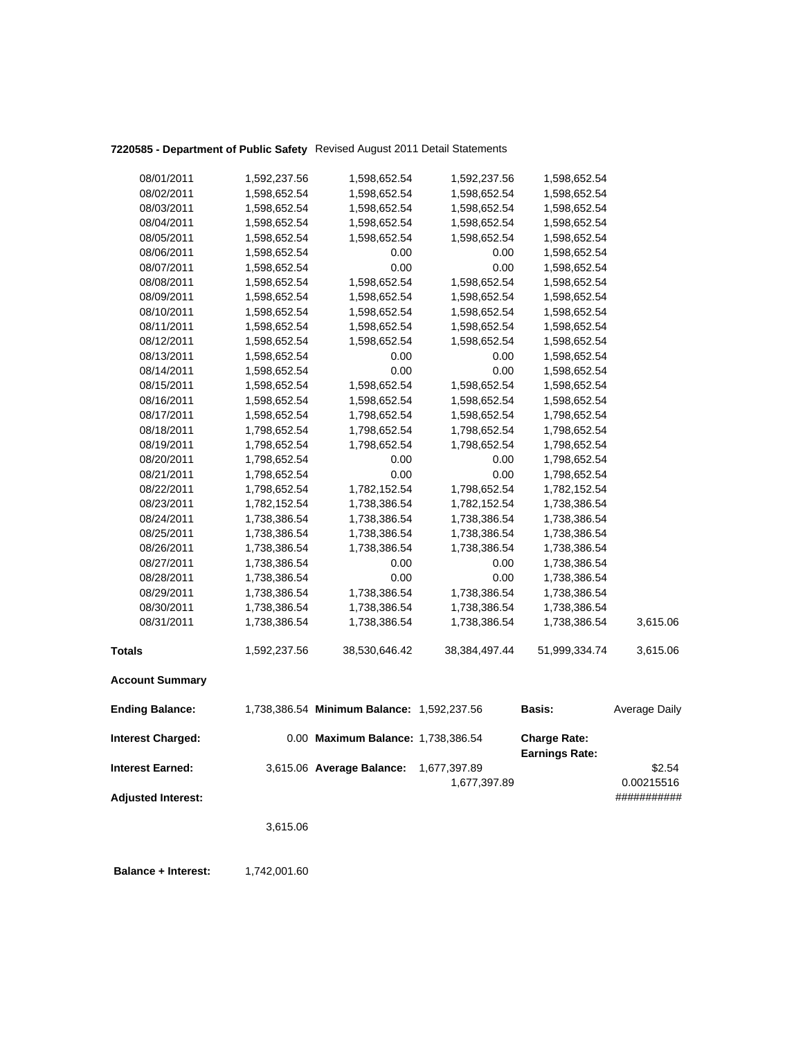# **7220585 - Department of Public Safety** Revised August 2011 Detail Statements

|                                                      |              |                                            |                              |                                              | ###########          |
|------------------------------------------------------|--------------|--------------------------------------------|------------------------------|----------------------------------------------|----------------------|
| <b>Interest Earned:</b><br><b>Adjusted Interest:</b> |              | 3,615.06 Average Balance:                  | 1,677,397.89<br>1,677,397.89 |                                              | \$2.54<br>0.00215516 |
| <b>Interest Charged:</b>                             |              | 0.00 Maximum Balance: 1,738,386.54         |                              | <b>Charge Rate:</b><br><b>Earnings Rate:</b> |                      |
| <b>Ending Balance:</b>                               |              | 1,738,386.54 Minimum Balance: 1,592,237.56 |                              | <b>Basis:</b>                                | Average Daily        |
| <b>Account Summary</b>                               |              |                                            |                              |                                              |                      |
| <b>Totals</b>                                        | 1,592,237.56 | 38,530,646.42                              | 38,384,497.44                | 51,999,334.74                                | 3,615.06             |
| 08/31/2011                                           | 1,738,386.54 | 1,738,386.54                               | 1,738,386.54                 | 1,738,386.54                                 | 3,615.06             |
| 08/30/2011                                           | 1,738,386.54 | 1,738,386.54                               | 1,738,386.54                 | 1,738,386.54                                 |                      |
| 08/29/2011                                           | 1,738,386.54 | 1,738,386.54                               | 1,738,386.54                 | 1,738,386.54                                 |                      |
| 08/28/2011                                           | 1,738,386.54 | 0.00                                       | 0.00                         | 1,738,386.54                                 |                      |
| 08/27/2011                                           | 1,738,386.54 | 0.00                                       | 0.00                         | 1,738,386.54                                 |                      |
| 08/26/2011                                           | 1,738,386.54 | 1,738,386.54                               | 1,738,386.54                 | 1,738,386.54                                 |                      |
| 08/25/2011                                           | 1,738,386.54 | 1,738,386.54                               | 1,738,386.54                 | 1,738,386.54                                 |                      |
| 08/24/2011                                           | 1,738,386.54 | 1,738,386.54                               | 1,738,386.54                 | 1,738,386.54                                 |                      |
| 08/23/2011                                           | 1,782,152.54 | 1,738,386.54                               | 1,782,152.54                 | 1,738,386.54                                 |                      |
| 08/22/2011                                           | 1,798,652.54 | 1,782,152.54                               | 1,798,652.54                 | 1,782,152.54                                 |                      |
| 08/21/2011                                           | 1,798,652.54 | 0.00                                       | 0.00                         | 1,798,652.54                                 |                      |
| 08/20/2011                                           | 1,798,652.54 | 0.00                                       | 0.00                         | 1,798,652.54                                 |                      |
| 08/19/2011                                           | 1,798,652.54 | 1,798,652.54                               | 1,798,652.54                 | 1,798,652.54                                 |                      |
| 08/18/2011                                           | 1,798,652.54 | 1,798,652.54                               | 1,798,652.54                 | 1,798,652.54                                 |                      |
| 08/17/2011                                           | 1,598,652.54 | 1,798,652.54                               | 1,598,652.54                 | 1,798,652.54                                 |                      |
| 08/16/2011                                           | 1,598,652.54 | 1,598,652.54                               | 1,598,652.54                 | 1,598,652.54                                 |                      |
| 08/15/2011                                           | 1,598,652.54 | 1,598,652.54                               | 1,598,652.54                 | 1,598,652.54                                 |                      |
| 08/14/2011                                           | 1,598,652.54 | 0.00                                       | 0.00                         | 1,598,652.54                                 |                      |
| 08/13/2011                                           | 1,598,652.54 | 0.00                                       | 0.00                         | 1,598,652.54                                 |                      |
| 08/12/2011                                           | 1,598,652.54 | 1,598,652.54                               | 1,598,652.54                 | 1,598,652.54                                 |                      |
| 08/11/2011                                           | 1,598,652.54 | 1,598,652.54                               | 1,598,652.54                 | 1,598,652.54                                 |                      |
| 08/10/2011                                           | 1,598,652.54 | 1,598,652.54                               | 1,598,652.54                 | 1,598,652.54                                 |                      |
| 08/09/2011                                           | 1,598,652.54 | 1,598,652.54                               | 1,598,652.54                 | 1,598,652.54                                 |                      |
| 08/08/2011                                           | 1,598,652.54 | 1,598,652.54                               | 1,598,652.54                 | 1,598,652.54                                 |                      |
| 08/07/2011                                           | 1,598,652.54 | 0.00                                       | 0.00                         | 1,598,652.54                                 |                      |
| 08/06/2011                                           | 1,598,652.54 | 0.00                                       | 0.00                         | 1,598,652.54                                 |                      |
| 08/05/2011                                           | 1,598,652.54 | 1,598,652.54                               | 1,598,652.54                 | 1,598,652.54                                 |                      |
| 08/04/2011                                           | 1,598,652.54 | 1,598,652.54                               | 1,598,652.54                 | 1,598,652.54                                 |                      |
| 08/03/2011                                           | 1,598,652.54 | 1,598,652.54                               | 1,598,652.54                 | 1,598,652.54                                 |                      |
| 08/02/2011                                           | 1,598,652.54 | 1,598,652.54                               | 1,598,652.54                 | 1,598,652.54                                 |                      |
| 08/01/2011                                           | 1,592,237.56 | 1,598,652.54                               | 1,592,237.56                 | 1,598,652.54                                 |                      |

**Balance + Interest:** 1,742,001.60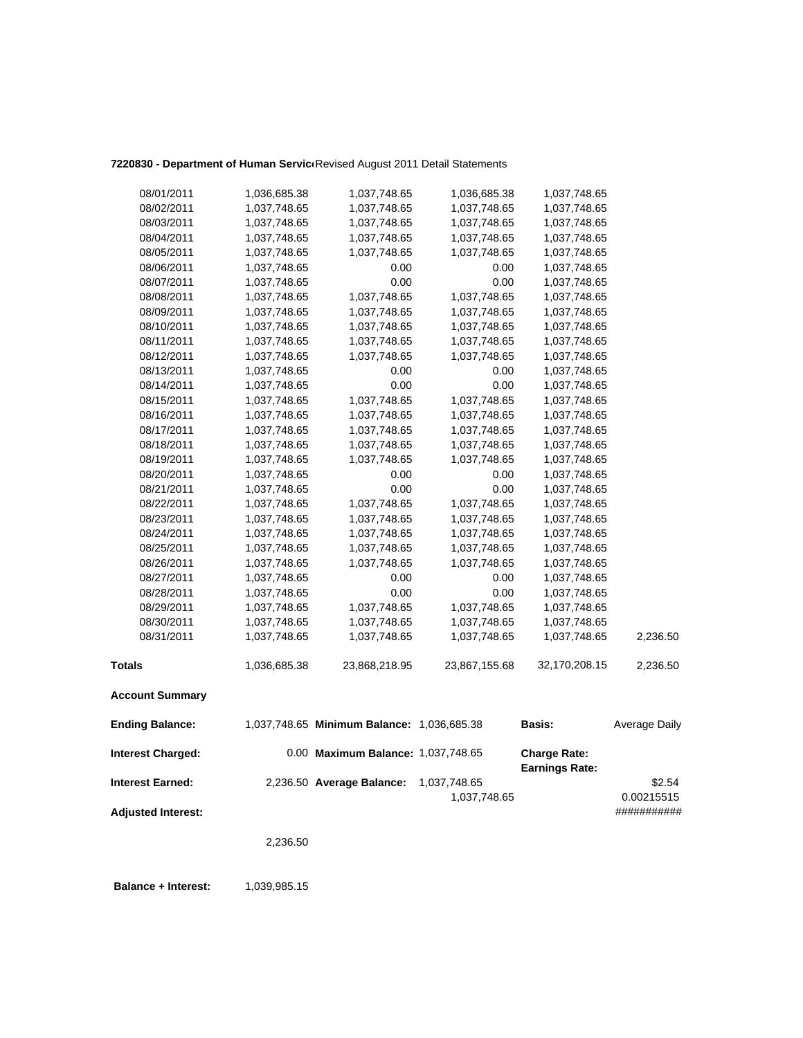### 7220830 - Department of Human Servic<sup>(Revised August 2011 Detail Statements</sup>

| <b>Interest Charged:</b> |                              | 0.00 Maximum Balance: 1,037,748.65         |                              | <b>Charge Rate:</b><br><b>Earnings Rate:</b> |               |
|--------------------------|------------------------------|--------------------------------------------|------------------------------|----------------------------------------------|---------------|
| <b>Ending Balance:</b>   |                              | 1,037,748.65 Minimum Balance: 1,036,685.38 |                              | Basis:                                       | Average Daily |
| <b>Account Summary</b>   |                              |                                            |                              |                                              |               |
| <b>Totals</b>            | 1,036,685.38                 | 23,868,218.95                              | 23,867,155.68                | 32,170,208.15                                | 2,236.50      |
| 08/31/2011               | 1,037,748.65                 | 1,037,748.65                               | 1,037,748.65                 | 1,037,748.65                                 | 2,236.50      |
| 08/30/2011               | 1,037,748.65                 | 1,037,748.65                               | 1,037,748.65                 | 1,037,748.65                                 |               |
| 08/29/2011               | 1,037,748.65                 | 1,037,748.65                               | 1,037,748.65                 | 1,037,748.65                                 |               |
| 08/28/2011               | 1,037,748.65                 | 0.00                                       | 0.00                         | 1,037,748.65                                 |               |
| 08/27/2011               | 1,037,748.65                 | 0.00                                       | 0.00                         | 1,037,748.65                                 |               |
| 08/26/2011               | 1,037,748.65                 | 1,037,748.65                               | 1,037,748.65                 | 1,037,748.65                                 |               |
| 08/25/2011               | 1,037,748.65                 | 1,037,748.65                               | 1,037,748.65                 | 1,037,748.65                                 |               |
| 08/24/2011               | 1,037,748.65                 | 1,037,748.65                               | 1,037,748.65                 | 1,037,748.65                                 |               |
| 08/23/2011               | 1,037,748.65                 | 1,037,748.65                               | 1,037,748.65                 | 1,037,748.65                                 |               |
| 08/22/2011               | 1,037,748.65                 | 1,037,748.65                               | 1,037,748.65                 | 1,037,748.65                                 |               |
| 08/21/2011               | 1,037,748.65                 | 0.00                                       | 0.00                         | 1,037,748.65                                 |               |
| 08/20/2011               | 1,037,748.65                 | 0.00                                       | 0.00                         | 1,037,748.65                                 |               |
| 08/19/2011               | 1,037,748.65                 | 1,037,748.65                               | 1,037,748.65                 | 1,037,748.65                                 |               |
| 08/18/2011               | 1,037,748.65                 | 1,037,748.65                               | 1,037,748.65                 | 1,037,748.65                                 |               |
| 08/17/2011               | 1,037,748.65                 | 1,037,748.65                               | 1,037,748.65                 | 1,037,748.65                                 |               |
| 08/16/2011               | 1,037,748.65                 | 1,037,748.65                               | 1,037,748.65                 | 1,037,748.65                                 |               |
| 08/15/2011               | 1,037,748.65                 | 1,037,748.65                               | 1,037,748.65                 | 1,037,748.65                                 |               |
| 08/14/2011               | 1,037,748.65                 | 0.00                                       | 0.00                         | 1,037,748.65                                 |               |
| 08/13/2011               | 1,037,748.65                 | 0.00                                       | 0.00                         | 1,037,748.65                                 |               |
| 08/12/2011               | 1,037,748.65                 | 1,037,748.65                               | 1,037,748.65                 | 1,037,748.65                                 |               |
| 08/11/2011               | 1,037,748.65                 | 1,037,748.65                               | 1,037,748.65                 | 1,037,748.65                                 |               |
| 08/10/2011               | 1,037,748.65                 | 1,037,748.65                               | 1,037,748.65                 | 1,037,748.65                                 |               |
| 08/09/2011               | 1,037,748.65                 | 1,037,748.65                               | 1,037,748.65                 | 1,037,748.65                                 |               |
| 08/08/2011               | 1,037,748.65                 | 1,037,748.65                               | 1,037,748.65                 | 1,037,748.65                                 |               |
| 08/07/2011               | 1,037,748.65                 | 0.00                                       | 0.00                         | 1,037,748.65                                 |               |
| 08/06/2011               | 1,037,748.65                 | 0.00                                       | 0.00                         | 1,037,748.65                                 |               |
| 08/05/2011               | 1,037,748.65                 | 1,037,748.65                               | 1,037,748.65                 | 1,037,748.65                                 |               |
| 08/03/2011<br>08/04/2011 | 1,037,748.65<br>1,037,748.65 | 1,037,748.65<br>1,037,748.65               | 1,037,748.65<br>1,037,748.65 | 1,037,748.65<br>1,037,748.65                 |               |
| 08/02/2011               | 1,037,748.65                 | 1,037,748.65                               | 1,037,748.65                 | 1,037,748.65                                 |               |
| 08/01/2011               | 1,036,685.38                 | 1,037,748.65                               | 1,036,685.38                 | 1,037,748.65                                 |               |
|                          |                              |                                            |                              |                                              |               |

**Earnings Rate: Interest Earned:** 2,236.50 **Average Balance:** 1,037,748.65 \$2.54 1,037,748.65 0.00215515 **Adjusted Interest:** ###########

2,236.50

**Balance + Interest:** 1,039,985.15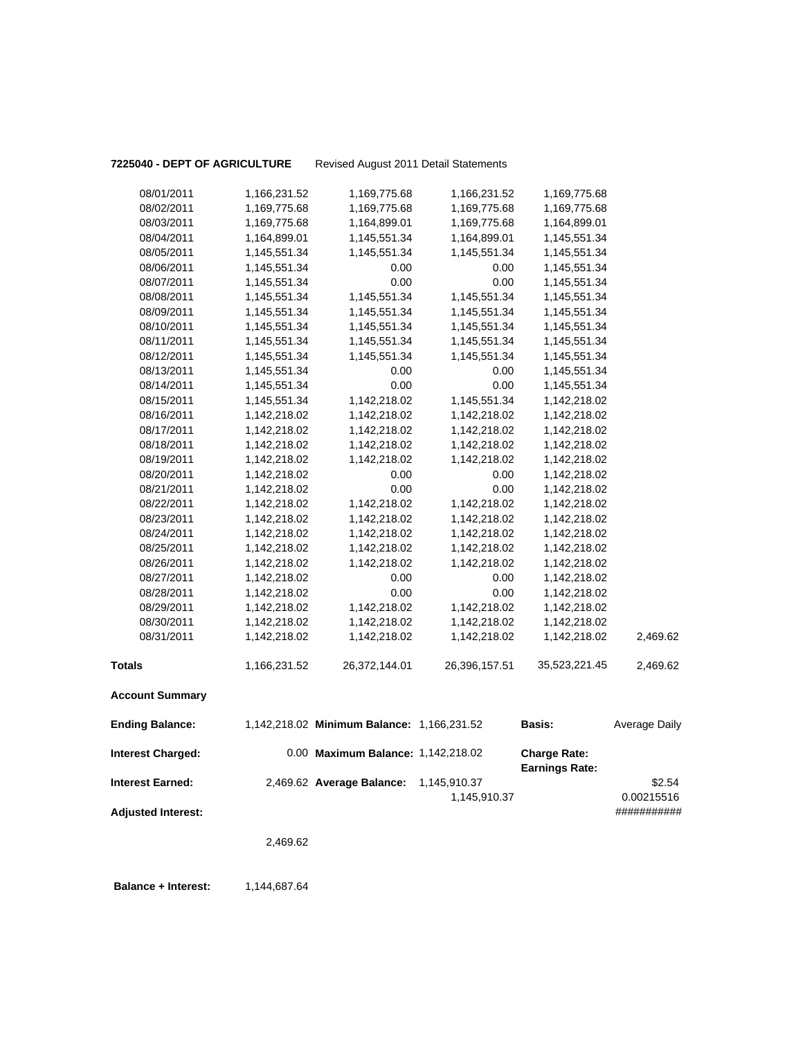**7225040 - DEPT OF AGRICULTURE** Revised August 2011 Detail Statements

|                                                      | 2,469.62     |                                            |                              |                                              |                                     |
|------------------------------------------------------|--------------|--------------------------------------------|------------------------------|----------------------------------------------|-------------------------------------|
| <b>Interest Earned:</b><br><b>Adjusted Interest:</b> |              | 2,469.62 Average Balance:                  | 1,145,910.37<br>1,145,910.37 |                                              | \$2.54<br>0.00215516<br>########### |
| <b>Interest Charged:</b>                             |              | 0.00 Maximum Balance: 1,142,218.02         |                              | <b>Charge Rate:</b><br><b>Earnings Rate:</b> |                                     |
| <b>Ending Balance:</b>                               |              | 1,142,218.02 Minimum Balance: 1,166,231.52 |                              | Basis:                                       | Average Daily                       |
| <b>Account Summary</b>                               |              |                                            |                              |                                              |                                     |
| <b>Totals</b>                                        | 1,166,231.52 | 26,372,144.01                              | 26,396,157.51                | 35,523,221.45                                | 2,469.62                            |
| 08/31/2011                                           | 1,142,218.02 | 1,142,218.02                               | 1,142,218.02                 | 1,142,218.02                                 | 2,469.62                            |
| 08/30/2011                                           | 1,142,218.02 | 1,142,218.02                               | 1,142,218.02                 | 1,142,218.02                                 |                                     |
| 08/29/2011                                           | 1,142,218.02 | 1,142,218.02                               | 1,142,218.02                 | 1,142,218.02                                 |                                     |
| 08/28/2011                                           | 1,142,218.02 | 0.00                                       | 0.00                         | 1,142,218.02                                 |                                     |
| 08/27/2011                                           | 1,142,218.02 | 0.00                                       | 0.00                         | 1,142,218.02                                 |                                     |
| 08/26/2011                                           | 1,142,218.02 | 1,142,218.02                               | 1,142,218.02                 | 1,142,218.02                                 |                                     |
| 08/25/2011                                           | 1,142,218.02 | 1,142,218.02                               | 1,142,218.02                 | 1,142,218.02                                 |                                     |
| 08/24/2011                                           | 1,142,218.02 | 1,142,218.02                               | 1,142,218.02                 | 1,142,218.02                                 |                                     |
| 08/23/2011                                           | 1,142,218.02 | 1,142,218.02                               | 1,142,218.02                 | 1,142,218.02                                 |                                     |
| 08/22/2011                                           | 1,142,218.02 | 1,142,218.02                               | 1,142,218.02                 | 1,142,218.02                                 |                                     |
| 08/21/2011                                           | 1,142,218.02 | 0.00                                       | 0.00                         | 1,142,218.02                                 |                                     |
| 08/20/2011                                           | 1,142,218.02 | 0.00                                       | 0.00                         | 1,142,218.02                                 |                                     |
| 08/19/2011                                           | 1,142,218.02 | 1,142,218.02                               | 1,142,218.02                 | 1,142,218.02                                 |                                     |
| 08/18/2011                                           | 1,142,218.02 | 1,142,218.02                               | 1,142,218.02                 | 1,142,218.02                                 |                                     |
| 08/17/2011                                           | 1,142,218.02 | 1,142,218.02                               | 1,142,218.02                 | 1,142,218.02                                 |                                     |
| 08/16/2011                                           | 1,142,218.02 | 1,142,218.02                               | 1,142,218.02                 | 1,142,218.02                                 |                                     |
| 08/15/2011                                           | 1,145,551.34 | 1,142,218.02                               | 1,145,551.34                 | 1,142,218.02                                 |                                     |
| 08/14/2011                                           | 1,145,551.34 | 0.00                                       | 0.00                         | 1,145,551.34                                 |                                     |
| 08/13/2011                                           | 1,145,551.34 | 0.00                                       | 0.00                         | 1,145,551.34                                 |                                     |
| 08/12/2011                                           | 1,145,551.34 | 1,145,551.34                               | 1,145,551.34                 | 1,145,551.34                                 |                                     |
| 08/11/2011                                           | 1,145,551.34 | 1,145,551.34                               | 1,145,551.34                 | 1,145,551.34                                 |                                     |
| 08/10/2011                                           | 1,145,551.34 | 1,145,551.34                               | 1,145,551.34                 | 1,145,551.34                                 |                                     |
| 08/09/2011                                           | 1,145,551.34 | 1,145,551.34                               | 1,145,551.34                 | 1,145,551.34                                 |                                     |
| 08/08/2011                                           | 1,145,551.34 | 1,145,551.34                               | 1,145,551.34                 | 1,145,551.34                                 |                                     |
| 08/07/2011                                           | 1,145,551.34 | 0.00                                       | 0.00                         | 1,145,551.34                                 |                                     |
| 08/06/2011                                           | 1,145,551.34 | 0.00                                       | 0.00                         | 1,145,551.34                                 |                                     |
| 08/05/2011                                           | 1,145,551.34 | 1,145,551.34                               | 1,145,551.34                 | 1,145,551.34                                 |                                     |
| 08/04/2011                                           | 1,164,899.01 | 1,145,551.34                               | 1,164,899.01                 | 1,145,551.34                                 |                                     |
| 08/03/2011                                           | 1,169,775.68 | 1,164,899.01                               | 1,169,775.68                 | 1,164,899.01                                 |                                     |
| 08/02/2011                                           | 1,169,775.68 | 1,169,775.68                               | 1,169,775.68                 | 1,169,775.68                                 |                                     |
| 08/01/2011                                           | 1,166,231.52 | 1,169,775.68                               | 1,166,231.52                 | 1,169,775.68                                 |                                     |

**Balance + Interest:** 1,144,687.64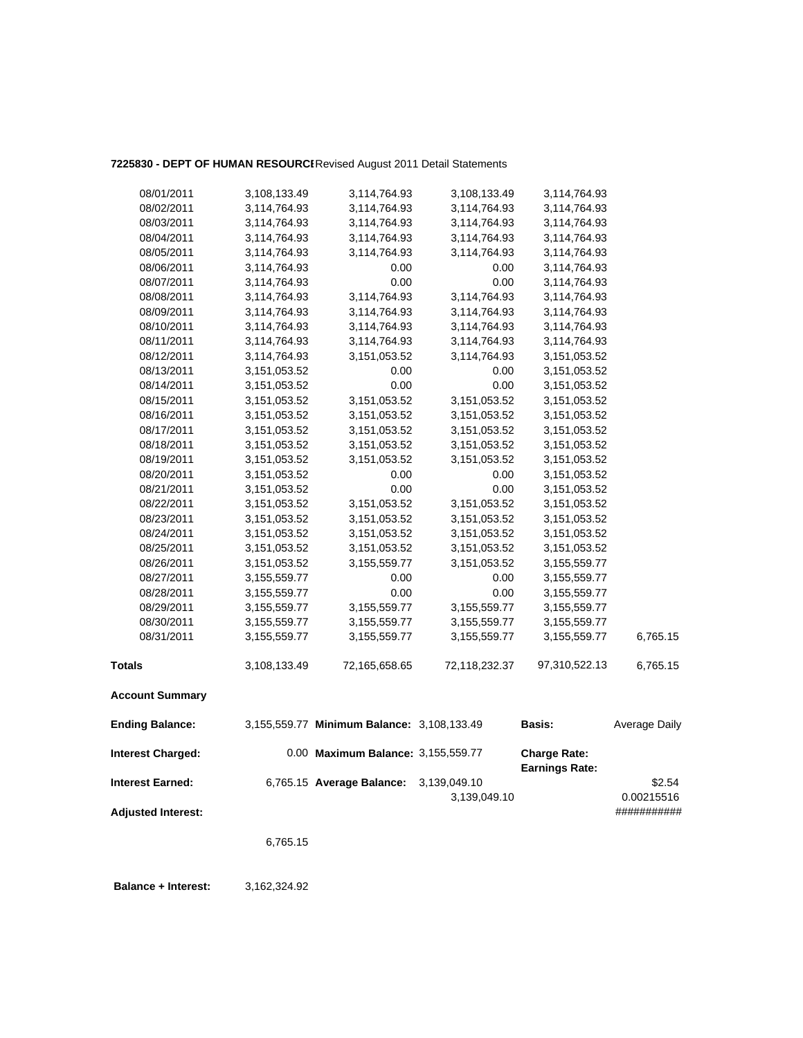### **7225830 - DEPT OF HUMAN RESOURCE**Revised August 2011 Detail Statements

| 08/01/2011                | 3,108,133.49   | 3,114,764.93                               | 3,108,133.49                 | 3,114,764.93                                 |                      |
|---------------------------|----------------|--------------------------------------------|------------------------------|----------------------------------------------|----------------------|
| 08/02/2011                | 3,114,764.93   | 3,114,764.93                               | 3,114,764.93                 | 3,114,764.93                                 |                      |
| 08/03/2011                | 3,114,764.93   | 3,114,764.93                               | 3,114,764.93                 | 3,114,764.93                                 |                      |
| 08/04/2011                | 3,114,764.93   | 3,114,764.93                               | 3,114,764.93                 | 3,114,764.93                                 |                      |
| 08/05/2011                | 3,114,764.93   | 3,114,764.93                               | 3,114,764.93                 | 3,114,764.93                                 |                      |
| 08/06/2011                | 3,114,764.93   | 0.00                                       | 0.00                         | 3,114,764.93                                 |                      |
| 08/07/2011                | 3,114,764.93   | 0.00                                       | 0.00                         | 3,114,764.93                                 |                      |
| 08/08/2011                | 3,114,764.93   | 3,114,764.93                               | 3,114,764.93                 | 3,114,764.93                                 |                      |
| 08/09/2011                | 3,114,764.93   | 3,114,764.93                               | 3,114,764.93                 | 3,114,764.93                                 |                      |
| 08/10/2011                | 3,114,764.93   | 3,114,764.93                               | 3,114,764.93                 | 3,114,764.93                                 |                      |
| 08/11/2011                | 3,114,764.93   | 3,114,764.93                               | 3,114,764.93                 | 3,114,764.93                                 |                      |
| 08/12/2011                | 3,114,764.93   | 3, 151, 053.52                             | 3,114,764.93                 | 3,151,053.52                                 |                      |
| 08/13/2011                | 3,151,053.52   | 0.00                                       | 0.00                         | 3,151,053.52                                 |                      |
| 08/14/2011                | 3, 151, 053.52 | 0.00                                       | 0.00                         | 3,151,053.52                                 |                      |
| 08/15/2011                | 3,151,053.52   | 3,151,053.52                               | 3,151,053.52                 | 3,151,053.52                                 |                      |
| 08/16/2011                | 3, 151, 053.52 | 3,151,053.52                               | 3,151,053.52                 | 3,151,053.52                                 |                      |
| 08/17/2011                | 3, 151, 053.52 | 3, 151, 053.52                             | 3,151,053.52                 | 3, 151, 053.52                               |                      |
| 08/18/2011                | 3, 151, 053.52 | 3,151,053.52                               | 3,151,053.52                 | 3,151,053.52                                 |                      |
| 08/19/2011                | 3, 151, 053.52 | 3, 151, 053.52                             | 3,151,053.52                 | 3, 151, 053.52                               |                      |
| 08/20/2011                | 3,151,053.52   | 0.00                                       | 0.00                         | 3,151,053.52                                 |                      |
| 08/21/2011                | 3,151,053.52   | 0.00                                       | 0.00                         | 3,151,053.52                                 |                      |
| 08/22/2011                | 3,151,053.52   | 3,151,053.52                               | 3,151,053.52                 | 3,151,053.52                                 |                      |
| 08/23/2011                | 3, 151, 053.52 | 3,151,053.52                               | 3, 151, 053.52               | 3,151,053.52                                 |                      |
| 08/24/2011                | 3, 151, 053.52 | 3, 151, 053.52                             | 3,151,053.52                 | 3, 151, 053.52                               |                      |
| 08/25/2011                | 3, 151, 053.52 | 3, 151, 053.52                             | 3,151,053.52                 | 3,151,053.52                                 |                      |
| 08/26/2011                | 3,151,053.52   | 3,155,559.77                               | 3,151,053.52                 | 3,155,559.77                                 |                      |
| 08/27/2011                | 3,155,559.77   | 0.00                                       | 0.00                         | 3,155,559.77                                 |                      |
| 08/28/2011                | 3,155,559.77   | 0.00                                       | 0.00                         | 3,155,559.77                                 |                      |
| 08/29/2011                | 3,155,559.77   | 3,155,559.77                               | 3,155,559.77                 | 3,155,559.77                                 |                      |
| 08/30/2011                | 3,155,559.77   | 3,155,559.77                               | 3,155,559.77                 | 3,155,559.77                                 |                      |
| 08/31/2011                | 3,155,559.77   | 3,155,559.77                               | 3,155,559.77                 | 3,155,559.77                                 | 6,765.15             |
| <b>Totals</b>             | 3,108,133.49   | 72,165,658.65                              | 72,118,232.37                | 97,310,522.13                                | 6,765.15             |
| <b>Account Summary</b>    |                |                                            |                              |                                              |                      |
| <b>Ending Balance:</b>    |                | 3,155,559.77 Minimum Balance: 3,108,133.49 |                              | <b>Basis:</b>                                | Average Daily        |
| <b>Interest Charged:</b>  |                | 0.00 Maximum Balance: 3,155,559.77         |                              | <b>Charge Rate:</b><br><b>Earnings Rate:</b> |                      |
| <b>Interest Earned:</b>   |                | 6,765.15 Average Balance:                  | 3,139,049.10<br>3,139,049.10 |                                              | \$2.54<br>0.00215516 |
| <b>Adjusted Interest:</b> |                |                                            |                              |                                              | ###########          |

6,765.15

 **Balance + Interest:** 3,162,324.92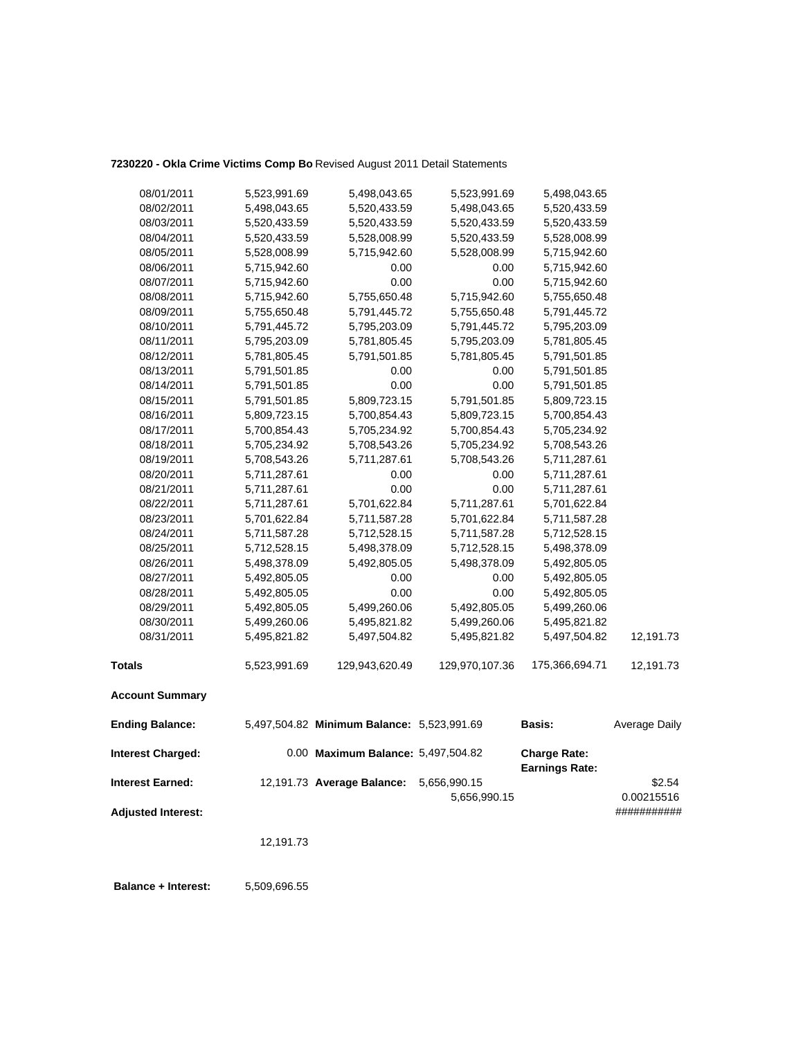### **7230220 - Okla Crime Victims Comp Bo** Revised August 2011 Detail Statements

| 08/01/2011               | 5,523,991.69 | 5,498,043.65                               | 5,523,991.69   | 5,498,043.65                                 |               |
|--------------------------|--------------|--------------------------------------------|----------------|----------------------------------------------|---------------|
| 08/02/2011               | 5,498,043.65 | 5,520,433.59                               | 5,498,043.65   | 5,520,433.59                                 |               |
| 08/03/2011               | 5,520,433.59 | 5,520,433.59                               | 5,520,433.59   | 5,520,433.59                                 |               |
| 08/04/2011               | 5,520,433.59 | 5,528,008.99                               | 5,520,433.59   | 5,528,008.99                                 |               |
| 08/05/2011               | 5,528,008.99 | 5,715,942.60                               | 5,528,008.99   | 5,715,942.60                                 |               |
| 08/06/2011               | 5,715,942.60 | 0.00                                       | 0.00           | 5,715,942.60                                 |               |
| 08/07/2011               | 5,715,942.60 | 0.00                                       | 0.00           | 5,715,942.60                                 |               |
| 08/08/2011               | 5,715,942.60 | 5,755,650.48                               | 5,715,942.60   | 5,755,650.48                                 |               |
| 08/09/2011               | 5,755,650.48 | 5,791,445.72                               | 5,755,650.48   | 5,791,445.72                                 |               |
| 08/10/2011               | 5,791,445.72 | 5,795,203.09                               | 5,791,445.72   | 5,795,203.09                                 |               |
| 08/11/2011               | 5,795,203.09 | 5,781,805.45                               | 5,795,203.09   | 5,781,805.45                                 |               |
| 08/12/2011               | 5,781,805.45 | 5,791,501.85                               | 5,781,805.45   | 5,791,501.85                                 |               |
| 08/13/2011               | 5,791,501.85 | 0.00                                       | 0.00           | 5,791,501.85                                 |               |
| 08/14/2011               | 5,791,501.85 | 0.00                                       | 0.00           | 5,791,501.85                                 |               |
| 08/15/2011               | 5,791,501.85 | 5,809,723.15                               | 5,791,501.85   | 5,809,723.15                                 |               |
| 08/16/2011               | 5,809,723.15 | 5,700,854.43                               | 5,809,723.15   | 5,700,854.43                                 |               |
| 08/17/2011               | 5,700,854.43 | 5,705,234.92                               | 5,700,854.43   | 5,705,234.92                                 |               |
| 08/18/2011               | 5,705,234.92 | 5,708,543.26                               | 5,705,234.92   | 5,708,543.26                                 |               |
| 08/19/2011               | 5,708,543.26 | 5,711,287.61                               | 5,708,543.26   | 5,711,287.61                                 |               |
| 08/20/2011               | 5,711,287.61 | 0.00                                       | 0.00           | 5,711,287.61                                 |               |
| 08/21/2011               | 5,711,287.61 | 0.00                                       | 0.00           | 5,711,287.61                                 |               |
| 08/22/2011               | 5,711,287.61 | 5,701,622.84                               | 5,711,287.61   | 5,701,622.84                                 |               |
| 08/23/2011               | 5,701,622.84 | 5,711,587.28                               | 5,701,622.84   | 5,711,587.28                                 |               |
| 08/24/2011               | 5,711,587.28 | 5,712,528.15                               | 5,711,587.28   | 5,712,528.15                                 |               |
| 08/25/2011               | 5,712,528.15 | 5,498,378.09                               | 5,712,528.15   | 5,498,378.09                                 |               |
| 08/26/2011               | 5,498,378.09 | 5,492,805.05                               | 5,498,378.09   | 5,492,805.05                                 |               |
| 08/27/2011               | 5,492,805.05 | 0.00                                       | 0.00           | 5,492,805.05                                 |               |
| 08/28/2011               | 5,492,805.05 | 0.00                                       | 0.00           | 5,492,805.05                                 |               |
| 08/29/2011               | 5,492,805.05 | 5,499,260.06                               | 5,492,805.05   | 5,499,260.06                                 |               |
| 08/30/2011               | 5,499,260.06 | 5,495,821.82                               | 5,499,260.06   | 5,495,821.82                                 |               |
| 08/31/2011               | 5,495,821.82 | 5,497,504.82                               | 5,495,821.82   | 5,497,504.82                                 | 12,191.73     |
| <b>Totals</b>            | 5,523,991.69 | 129,943,620.49                             | 129,970,107.36 | 175,366,694.71                               | 12,191.73     |
| <b>Account Summary</b>   |              |                                            |                |                                              |               |
| <b>Ending Balance:</b>   |              | 5,497,504.82 Minimum Balance: 5,523,991.69 |                | <b>Basis:</b>                                | Average Daily |
| <b>Interest Charged:</b> |              | 0.00 Maximum Balance: 5,497,504.82         |                | <b>Charge Rate:</b><br><b>Earnings Rate:</b> |               |
| <b>Interest Earned:</b>  |              | 12,191.73 Average Balance:                 | 5,656,990.15   |                                              | \$2.54        |
|                          |              |                                            | 5,656,990.15   |                                              | 0.00215516    |

**Adjusted Interest:** ###########

12,191.73

 **Balance + Interest:** 5,509,696.55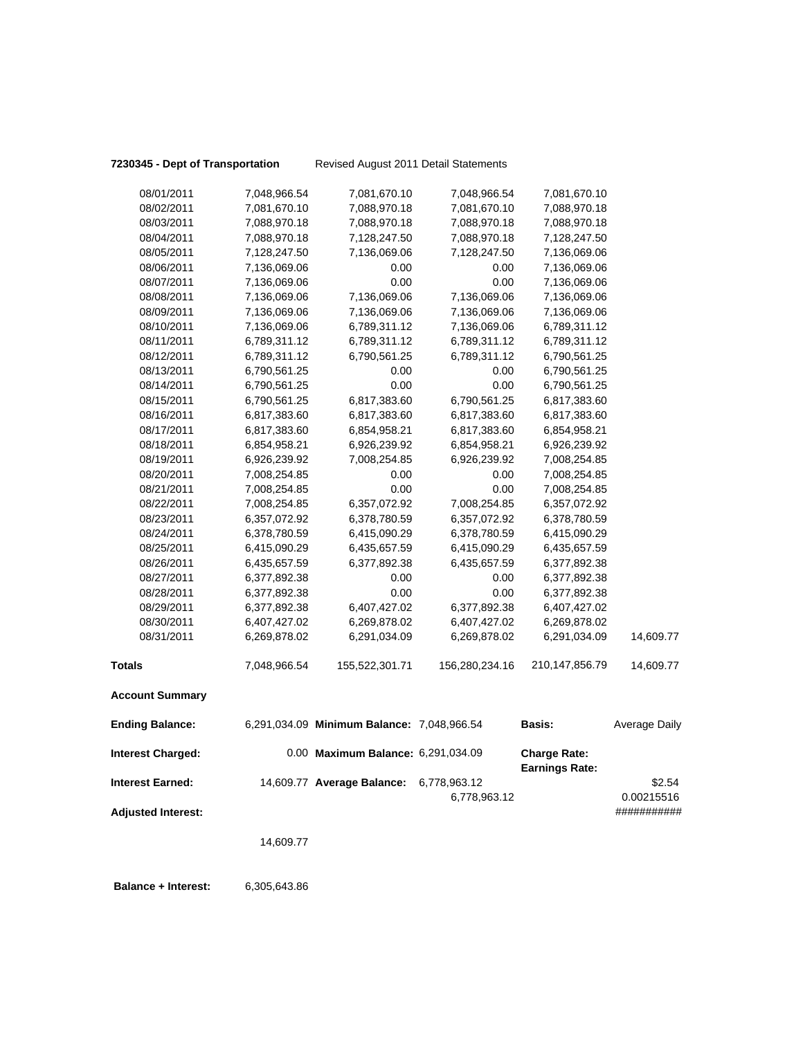**7230345 - Dept of Transportation** Revised August 2011 Detail Statements

| 08/01/2011                | 7,048,966.54 | 7,081,670.10                               | 7,048,966.54   | 7,081,670.10                                 |                      |
|---------------------------|--------------|--------------------------------------------|----------------|----------------------------------------------|----------------------|
| 08/02/2011                | 7,081,670.10 | 7,088,970.18                               | 7,081,670.10   | 7,088,970.18                                 |                      |
| 08/03/2011                | 7,088,970.18 | 7,088,970.18                               | 7,088,970.18   | 7,088,970.18                                 |                      |
| 08/04/2011                | 7,088,970.18 | 7,128,247.50                               | 7,088,970.18   | 7,128,247.50                                 |                      |
| 08/05/2011                | 7,128,247.50 | 7,136,069.06                               | 7,128,247.50   | 7,136,069.06                                 |                      |
| 08/06/2011                | 7,136,069.06 | 0.00                                       | 0.00           | 7,136,069.06                                 |                      |
| 08/07/2011                | 7,136,069.06 | 0.00                                       | 0.00           | 7,136,069.06                                 |                      |
| 08/08/2011                | 7,136,069.06 | 7,136,069.06                               | 7,136,069.06   | 7,136,069.06                                 |                      |
| 08/09/2011                | 7,136,069.06 | 7,136,069.06                               | 7,136,069.06   | 7,136,069.06                                 |                      |
| 08/10/2011                | 7,136,069.06 | 6,789,311.12                               | 7,136,069.06   | 6,789,311.12                                 |                      |
| 08/11/2011                | 6,789,311.12 | 6,789,311.12                               | 6,789,311.12   | 6,789,311.12                                 |                      |
| 08/12/2011                | 6,789,311.12 | 6,790,561.25                               | 6,789,311.12   | 6,790,561.25                                 |                      |
| 08/13/2011                | 6,790,561.25 | 0.00                                       | 0.00           | 6,790,561.25                                 |                      |
| 08/14/2011                | 6,790,561.25 | 0.00                                       | 0.00           | 6,790,561.25                                 |                      |
| 08/15/2011                | 6,790,561.25 | 6,817,383.60                               | 6,790,561.25   | 6,817,383.60                                 |                      |
| 08/16/2011                | 6,817,383.60 | 6,817,383.60                               | 6,817,383.60   | 6,817,383.60                                 |                      |
| 08/17/2011                | 6,817,383.60 | 6,854,958.21                               | 6,817,383.60   | 6,854,958.21                                 |                      |
| 08/18/2011                | 6,854,958.21 | 6,926,239.92                               | 6,854,958.21   | 6,926,239.92                                 |                      |
| 08/19/2011                | 6,926,239.92 | 7,008,254.85                               | 6,926,239.92   | 7,008,254.85                                 |                      |
| 08/20/2011                | 7,008,254.85 | 0.00                                       | 0.00           | 7,008,254.85                                 |                      |
| 08/21/2011                | 7,008,254.85 | 0.00                                       | 0.00           | 7,008,254.85                                 |                      |
| 08/22/2011                | 7,008,254.85 | 6,357,072.92                               | 7,008,254.85   | 6,357,072.92                                 |                      |
| 08/23/2011                | 6,357,072.92 | 6,378,780.59                               | 6,357,072.92   | 6,378,780.59                                 |                      |
| 08/24/2011                | 6,378,780.59 | 6,415,090.29                               | 6,378,780.59   | 6,415,090.29                                 |                      |
| 08/25/2011                | 6,415,090.29 | 6,435,657.59                               | 6,415,090.29   | 6,435,657.59                                 |                      |
| 08/26/2011                | 6,435,657.59 | 6,377,892.38                               | 6,435,657.59   | 6,377,892.38                                 |                      |
| 08/27/2011                | 6,377,892.38 | 0.00                                       | 0.00           | 6,377,892.38                                 |                      |
| 08/28/2011                | 6,377,892.38 | 0.00                                       | 0.00           | 6,377,892.38                                 |                      |
| 08/29/2011                | 6,377,892.38 | 6,407,427.02                               | 6,377,892.38   | 6,407,427.02                                 |                      |
| 08/30/2011                | 6,407,427.02 | 6,269,878.02                               | 6,407,427.02   | 6,269,878.02                                 |                      |
| 08/31/2011                | 6,269,878.02 | 6,291,034.09                               | 6,269,878.02   | 6,291,034.09                                 | 14,609.77            |
| <b>Totals</b>             | 7,048,966.54 | 155,522,301.71                             | 156,280,234.16 | 210,147,856.79                               | 14,609.77            |
| <b>Account Summary</b>    |              |                                            |                |                                              |                      |
| <b>Ending Balance:</b>    |              | 6,291,034.09 Minimum Balance: 7,048,966.54 |                | <b>Basis:</b>                                | <b>Average Daily</b> |
| <b>Interest Charged:</b>  |              | 0.00 Maximum Balance: 6,291,034.09         |                | <b>Charge Rate:</b><br><b>Earnings Rate:</b> |                      |
| <b>Interest Earned:</b>   |              | 14,609.77 Average Balance:                 | 6,778,963.12   |                                              | \$2.54               |
|                           |              |                                            | 6,778,963.12   |                                              | 0.00215516           |
| <b>Adjusted Interest:</b> |              |                                            |                |                                              | ###########          |
|                           | 14,609.77    |                                            |                |                                              |                      |
|                           |              |                                            |                |                                              |                      |
|                           |              |                                            |                |                                              |                      |

 **Balance + Interest:** 6,305,643.86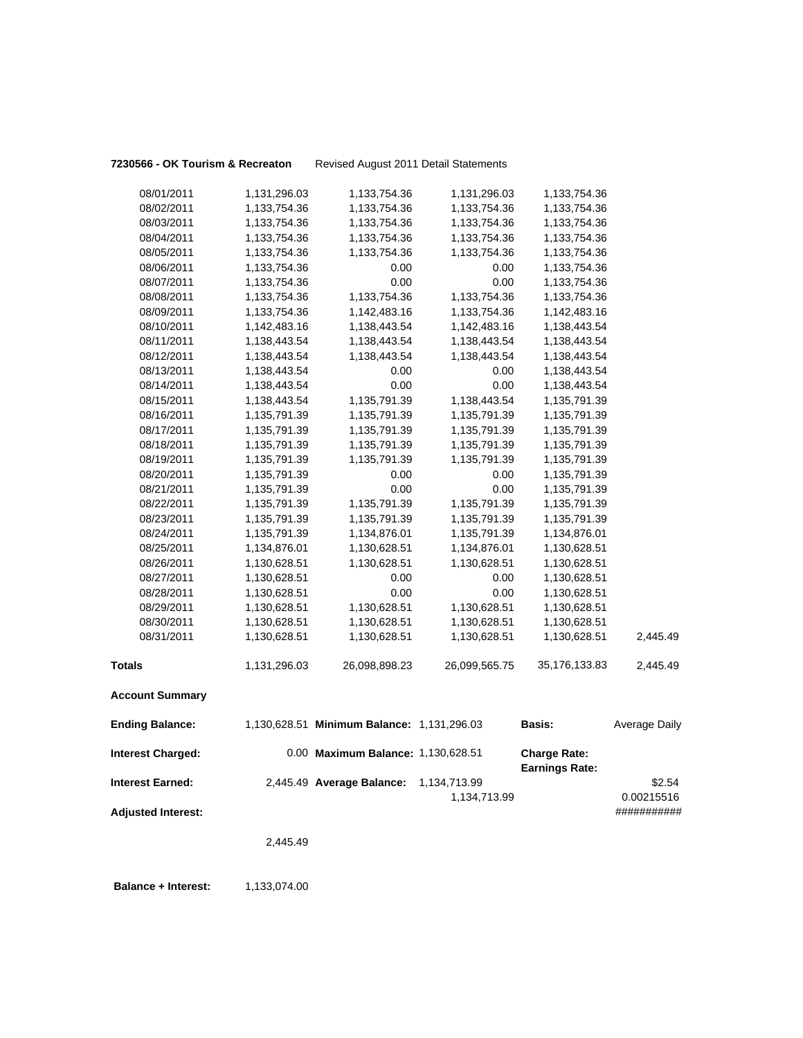**7230566 - OK Tourism & Recreaton** Revised August 2011 Detail Statements

|                                                      | 2,445.49     |                                            |                              |                                              |                                     |
|------------------------------------------------------|--------------|--------------------------------------------|------------------------------|----------------------------------------------|-------------------------------------|
| <b>Interest Earned:</b><br><b>Adjusted Interest:</b> |              | 2,445.49 Average Balance:                  | 1,134,713.99<br>1,134,713.99 |                                              | \$2.54<br>0.00215516<br>########### |
| <b>Interest Charged:</b>                             |              | 0.00 Maximum Balance: 1,130,628.51         |                              | <b>Charge Rate:</b><br><b>Earnings Rate:</b> |                                     |
| <b>Ending Balance:</b>                               |              | 1,130,628.51 Minimum Balance: 1,131,296.03 |                              | Basis:                                       | Average Daily                       |
| <b>Account Summary</b>                               |              |                                            |                              |                                              |                                     |
| <b>Totals</b>                                        | 1,131,296.03 | 26,098,898.23                              | 26,099,565.75                | 35,176,133.83                                | 2,445.49                            |
| 08/31/2011                                           | 1,130,628.51 | 1,130,628.51                               | 1,130,628.51                 | 1,130,628.51                                 | 2,445.49                            |
| 08/30/2011                                           | 1,130,628.51 | 1,130,628.51                               | 1,130,628.51                 | 1,130,628.51                                 |                                     |
| 08/29/2011                                           | 1,130,628.51 | 1,130,628.51                               | 1,130,628.51                 | 1,130,628.51                                 |                                     |
| 08/28/2011                                           | 1,130,628.51 | 0.00                                       | 0.00                         | 1,130,628.51                                 |                                     |
| 08/27/2011                                           | 1,130,628.51 | 0.00                                       | 0.00                         | 1,130,628.51                                 |                                     |
| 08/26/2011                                           | 1,130,628.51 | 1,130,628.51                               | 1,130,628.51                 | 1,130,628.51                                 |                                     |
| 08/25/2011                                           | 1,134,876.01 | 1,130,628.51                               | 1,134,876.01                 | 1,130,628.51                                 |                                     |
| 08/24/2011                                           | 1,135,791.39 | 1,134,876.01                               | 1,135,791.39                 | 1,134,876.01                                 |                                     |
| 08/23/2011                                           | 1,135,791.39 | 1,135,791.39                               | 1,135,791.39                 | 1,135,791.39                                 |                                     |
| 08/22/2011                                           | 1,135,791.39 | 1,135,791.39                               | 1,135,791.39                 | 1,135,791.39                                 |                                     |
| 08/21/2011                                           | 1,135,791.39 | $0.00\,$                                   | 0.00                         | 1,135,791.39                                 |                                     |
| 08/20/2011                                           | 1,135,791.39 | 0.00                                       | 0.00                         | 1,135,791.39                                 |                                     |
| 08/19/2011                                           | 1,135,791.39 | 1,135,791.39                               | 1,135,791.39                 | 1,135,791.39                                 |                                     |
| 08/18/2011                                           | 1,135,791.39 | 1,135,791.39                               | 1,135,791.39                 | 1,135,791.39                                 |                                     |
| 08/17/2011                                           | 1,135,791.39 | 1,135,791.39                               | 1,135,791.39                 | 1,135,791.39                                 |                                     |
| 08/16/2011                                           | 1,135,791.39 | 1,135,791.39                               | 1,135,791.39                 | 1,135,791.39                                 |                                     |
| 08/15/2011                                           | 1,138,443.54 | 1,135,791.39                               | 1,138,443.54                 | 1,135,791.39                                 |                                     |
| 08/14/2011                                           | 1,138,443.54 | 0.00                                       | 0.00                         | 1,138,443.54                                 |                                     |
| 08/13/2011                                           | 1,138,443.54 | 0.00                                       | 0.00                         | 1,138,443.54                                 |                                     |
| 08/12/2011                                           | 1,138,443.54 | 1,138,443.54                               | 1,138,443.54                 | 1,138,443.54                                 |                                     |
| 08/11/2011                                           | 1,138,443.54 | 1,138,443.54                               | 1,138,443.54                 | 1,138,443.54                                 |                                     |
| 08/10/2011                                           | 1,142,483.16 | 1,138,443.54                               | 1,142,483.16                 | 1,138,443.54                                 |                                     |
| 08/09/2011                                           | 1,133,754.36 | 1,142,483.16                               | 1,133,754.36                 | 1,142,483.16                                 |                                     |
| 08/08/2011                                           | 1,133,754.36 | 1,133,754.36                               | 1,133,754.36                 | 1,133,754.36                                 |                                     |
| 08/07/2011                                           | 1,133,754.36 | 0.00                                       | 0.00                         | 1,133,754.36                                 |                                     |
| 08/06/2011                                           | 1,133,754.36 | 0.00                                       | 0.00                         | 1,133,754.36                                 |                                     |
| 08/05/2011                                           | 1,133,754.36 | 1,133,754.36                               | 1,133,754.36                 | 1,133,754.36                                 |                                     |
| 08/04/2011                                           | 1,133,754.36 | 1,133,754.36                               | 1,133,754.36                 | 1,133,754.36                                 |                                     |
| 08/03/2011                                           | 1,133,754.36 | 1,133,754.36                               | 1,133,754.36                 | 1,133,754.36                                 |                                     |
| 08/02/2011                                           | 1,133,754.36 | 1,133,754.36                               | 1,133,754.36                 | 1,133,754.36                                 |                                     |
| 08/01/2011                                           | 1,131,296.03 | 1,133,754.36                               | 1,131,296.03                 | 1,133,754.36                                 |                                     |

**Balance + Interest:** 1,133,074.00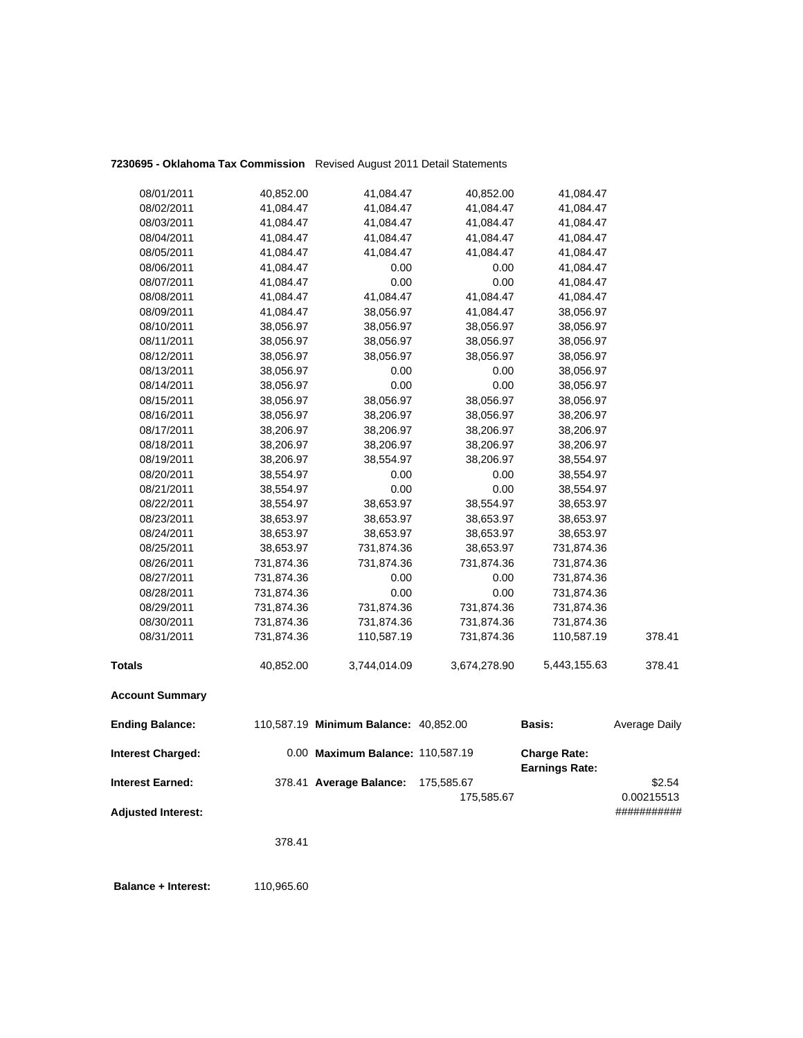| <b>Account Summary</b> |            |              |              |              |        |
|------------------------|------------|--------------|--------------|--------------|--------|
| Totals                 | 40,852.00  | 3,744,014.09 | 3,674,278.90 | 5,443,155.63 | 378.41 |
| 08/31/2011             | 731,874.36 | 110,587.19   | 731,874.36   | 110,587.19   | 378.41 |
| 08/30/2011             | 731,874.36 | 731,874.36   | 731,874.36   | 731,874.36   |        |
| 08/29/2011             | 731,874.36 | 731,874.36   | 731,874.36   | 731,874.36   |        |
| 08/28/2011             | 731,874.36 | 0.00         | 0.00         | 731,874.36   |        |
| 08/27/2011             | 731,874.36 | 0.00         | 0.00         | 731,874.36   |        |
| 08/26/2011             | 731,874.36 | 731,874.36   | 731,874.36   | 731,874.36   |        |
| 08/25/2011             | 38,653.97  | 731,874.36   | 38,653.97    | 731,874.36   |        |
| 08/24/2011             | 38,653.97  | 38,653.97    | 38,653.97    | 38,653.97    |        |
| 08/23/2011             | 38,653.97  | 38,653.97    | 38,653.97    | 38,653.97    |        |
| 08/22/2011             | 38,554.97  | 38,653.97    | 38,554.97    | 38,653.97    |        |
| 08/21/2011             | 38,554.97  | 0.00         | 0.00         | 38,554.97    |        |
| 08/20/2011             | 38,554.97  | 0.00         | 0.00         | 38,554.97    |        |
| 08/19/2011             | 38,206.97  | 38,554.97    | 38,206.97    | 38,554.97    |        |
| 08/18/2011             | 38,206.97  | 38,206.97    | 38,206.97    | 38,206.97    |        |
| 08/17/2011             | 38,206.97  | 38,206.97    | 38,206.97    | 38,206.97    |        |
| 08/16/2011             | 38,056.97  | 38,206.97    | 38,056.97    | 38,206.97    |        |
| 08/15/2011             | 38,056.97  | 38,056.97    | 38,056.97    | 38,056.97    |        |
| 08/14/2011             | 38,056.97  | 0.00         | 0.00         | 38,056.97    |        |
| 08/13/2011             | 38,056.97  | 0.00         | 0.00         | 38,056.97    |        |
| 08/12/2011             | 38,056.97  | 38,056.97    | 38,056.97    | 38,056.97    |        |
| 08/11/2011             | 38,056.97  | 38,056.97    | 38,056.97    | 38,056.97    |        |
| 08/10/2011             | 38,056.97  | 38,056.97    | 38,056.97    | 38,056.97    |        |
| 08/09/2011             | 41,084.47  | 38,056.97    | 41,084.47    | 38,056.97    |        |
| 08/08/2011             | 41,084.47  | 41,084.47    | 41,084.47    | 41,084.47    |        |
| 08/07/2011             | 41,084.47  | 0.00         | 0.00         | 41,084.47    |        |
| 08/06/2011             | 41,084.47  | 0.00         | 0.00         | 41,084.47    |        |
| 08/05/2011             | 41,084.47  | 41,084.47    | 41,084.47    | 41,084.47    |        |
| 08/04/2011             | 41,084.47  | 41,084.47    | 41,084.47    | 41,084.47    |        |
| 08/03/2011             | 41,084.47  | 41,084.47    | 41,084.47    | 41,084.47    |        |
| 08/02/2011             | 41,084.47  | 41,084.47    | 41,084.47    | 41,084.47    |        |
| 08/01/2011             | 40,852.00  | 41,084.47    | 40,852.00    | 41,084.47    |        |
|                        |            |              |              |              |        |

### **7230695 - Oklahoma Tax Commission** Revised August 2011 Detail Statements

| <b>Ending Balance:</b>    | 110,587.19 Minimum Balance: 40,852.00 |            | Basis:                                       | Average Daily |
|---------------------------|---------------------------------------|------------|----------------------------------------------|---------------|
| <b>Interest Charged:</b>  | 0.00 Maximum Balance: 110,587.19      |            | <b>Charge Rate:</b><br><b>Earnings Rate:</b> |               |
| <b>Interest Earned:</b>   | 378.41 Average Balance:               | 175,585.67 |                                              | \$2.54        |
|                           |                                       | 175.585.67 |                                              | 0.00215513    |
| <b>Adjusted Interest:</b> |                                       |            |                                              | ###########   |

378.41

 **Balance + Interest:** 110,965.60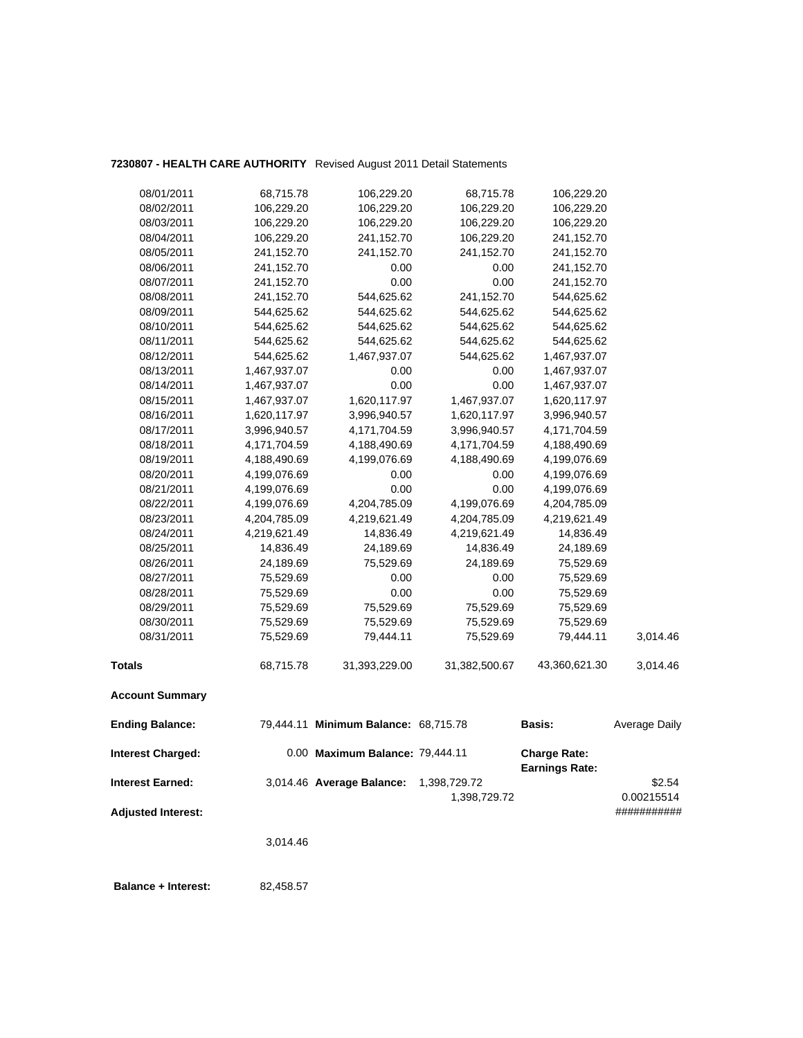### **7230807 - HEALTH CARE AUTHORITY** Revised August 2011 Detail Statements

| <b>Interest Earned:</b>  |              | 3,014.46 Average Balance:            | 1,398,729.72  | <b>Earnings Rate:</b> | \$2.54        |
|--------------------------|--------------|--------------------------------------|---------------|-----------------------|---------------|
| <b>Interest Charged:</b> |              | 0.00 Maximum Balance: 79,444.11      |               | <b>Charge Rate:</b>   |               |
| <b>Ending Balance:</b>   |              | 79,444.11 Minimum Balance: 68,715.78 |               | Basis:                | Average Daily |
| <b>Account Summary</b>   |              |                                      |               |                       |               |
| <b>Totals</b>            | 68,715.78    | 31,393,229.00                        | 31,382,500.67 | 43,360,621.30         | 3,014.46      |
| 08/31/2011               | 75,529.69    | 79,444.11                            | 75,529.69     | 79,444.11             | 3,014.46      |
| 08/30/2011               | 75,529.69    | 75,529.69                            | 75,529.69     | 75,529.69             |               |
| 08/29/2011               | 75,529.69    | 75,529.69                            | 75,529.69     | 75,529.69             |               |
| 08/28/2011               | 75,529.69    | 0.00                                 | 0.00          | 75,529.69             |               |
| 08/27/2011               | 75,529.69    | 0.00                                 | 0.00          | 75,529.69             |               |
| 08/26/2011               | 24,189.69    | 75,529.69                            | 24,189.69     | 75,529.69             |               |
| 08/25/2011               | 14,836.49    | 24,189.69                            | 14,836.49     | 24,189.69             |               |
| 08/24/2011               | 4,219,621.49 | 14,836.49                            | 4,219,621.49  | 14,836.49             |               |
| 08/23/2011               | 4,204,785.09 | 4,219,621.49                         | 4,204,785.09  | 4,219,621.49          |               |
| 08/22/2011               | 4,199,076.69 | 4,204,785.09                         | 4,199,076.69  | 4,204,785.09          |               |
| 08/21/2011               | 4,199,076.69 | 0.00                                 | 0.00          | 4,199,076.69          |               |
| 08/20/2011               | 4,199,076.69 | 0.00                                 | 0.00          | 4,199,076.69          |               |
| 08/19/2011               | 4,188,490.69 | 4,199,076.69                         | 4,188,490.69  | 4,199,076.69          |               |
| 08/18/2011               | 4,171,704.59 | 4,188,490.69                         | 4,171,704.59  | 4,188,490.69          |               |
| 08/17/2011               | 3,996,940.57 | 4,171,704.59                         | 3,996,940.57  | 4,171,704.59          |               |
| 08/16/2011               | 1,620,117.97 | 3,996,940.57                         | 1,620,117.97  | 3,996,940.57          |               |
| 08/15/2011               | 1,467,937.07 | 1,620,117.97                         | 1,467,937.07  | 1,620,117.97          |               |
| 08/14/2011               | 1,467,937.07 | 0.00                                 | 0.00          | 1,467,937.07          |               |
| 08/13/2011               | 1,467,937.07 | 0.00                                 | 0.00          | 1,467,937.07          |               |
| 08/12/2011               | 544,625.62   | 1,467,937.07                         | 544,625.62    | 1,467,937.07          |               |
| 08/11/2011               | 544,625.62   | 544,625.62                           | 544,625.62    | 544,625.62            |               |
| 08/10/2011               | 544,625.62   | 544,625.62                           | 544,625.62    | 544,625.62            |               |
| 08/09/2011               | 544,625.62   | 544,625.62                           | 544,625.62    | 544,625.62            |               |
| 08/08/2011               | 241,152.70   | 544,625.62                           | 241,152.70    | 544,625.62            |               |
| 08/07/2011               | 241,152.70   | 0.00                                 | 0.00          | 241,152.70            |               |
| 08/06/2011               | 241,152.70   | 0.00                                 | 0.00          | 241,152.70            |               |
| 08/05/2011               | 241,152.70   | 241,152.70                           | 241,152.70    | 241,152.70            |               |
| 08/04/2011               | 106,229.20   | 241,152.70                           | 106,229.20    | 241,152.70            |               |
| 08/03/2011               | 106,229.20   | 106,229.20                           | 106,229.20    | 106,229.20            |               |
| 08/02/2011               | 106,229.20   | 106,229.20                           | 106,229.20    | 106,229.20            |               |
| 08/01/2011               | 68,715.78    | 106,229.20                           | 68,715.78     | 106,229.20            |               |

1,398,729.72 0.00215514

**Adjusted Interest:** ###########

3,014.46

 **Balance + Interest:** 82,458.57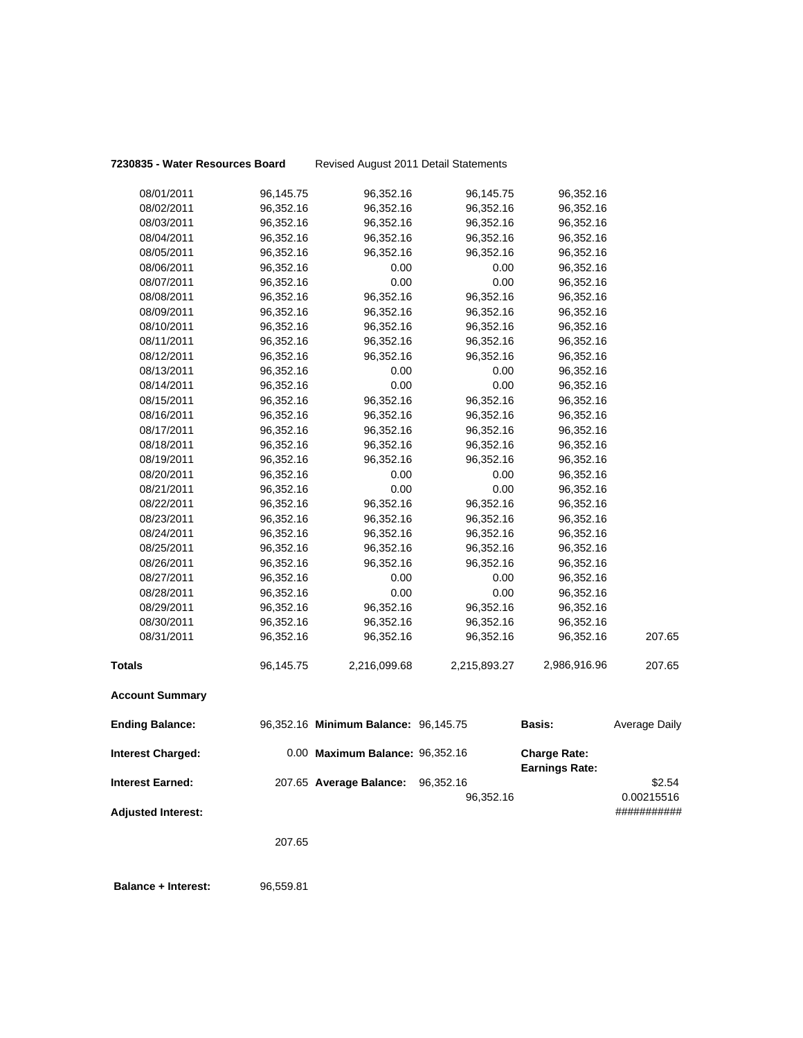# **7230835 - Water Resources Board** Revised August 2011 Detail Statements

| 08/01/2011                | 96,145.75 | 96,352.16                            | 96,145.75    | 96,352.16                                    |                      |
|---------------------------|-----------|--------------------------------------|--------------|----------------------------------------------|----------------------|
| 08/02/2011                | 96,352.16 | 96,352.16                            | 96,352.16    | 96,352.16                                    |                      |
| 08/03/2011                | 96,352.16 | 96,352.16                            | 96,352.16    | 96,352.16                                    |                      |
| 08/04/2011                | 96,352.16 | 96,352.16                            | 96,352.16    | 96,352.16                                    |                      |
| 08/05/2011                | 96,352.16 | 96,352.16                            | 96,352.16    | 96,352.16                                    |                      |
| 08/06/2011                | 96,352.16 | 0.00                                 | 0.00         | 96,352.16                                    |                      |
| 08/07/2011                | 96,352.16 | 0.00                                 | 0.00         | 96,352.16                                    |                      |
| 08/08/2011                | 96,352.16 | 96,352.16                            | 96,352.16    | 96,352.16                                    |                      |
| 08/09/2011                | 96,352.16 | 96,352.16                            | 96,352.16    | 96,352.16                                    |                      |
| 08/10/2011                | 96,352.16 | 96,352.16                            | 96,352.16    | 96,352.16                                    |                      |
| 08/11/2011                | 96,352.16 | 96,352.16                            | 96,352.16    | 96,352.16                                    |                      |
| 08/12/2011                | 96,352.16 | 96,352.16                            | 96,352.16    | 96,352.16                                    |                      |
| 08/13/2011                | 96,352.16 | 0.00                                 | 0.00         | 96,352.16                                    |                      |
| 08/14/2011                | 96,352.16 | 0.00                                 | 0.00         | 96,352.16                                    |                      |
| 08/15/2011                | 96,352.16 | 96,352.16                            | 96,352.16    | 96,352.16                                    |                      |
| 08/16/2011                | 96,352.16 | 96,352.16                            | 96,352.16    | 96,352.16                                    |                      |
| 08/17/2011                | 96,352.16 | 96,352.16                            | 96,352.16    | 96,352.16                                    |                      |
| 08/18/2011                | 96,352.16 | 96,352.16                            | 96,352.16    | 96,352.16                                    |                      |
| 08/19/2011                | 96,352.16 | 96,352.16                            | 96,352.16    | 96,352.16                                    |                      |
| 08/20/2011                | 96,352.16 | 0.00                                 | 0.00         | 96,352.16                                    |                      |
| 08/21/2011                | 96,352.16 | 0.00                                 | 0.00         | 96,352.16                                    |                      |
| 08/22/2011                | 96,352.16 | 96,352.16                            | 96,352.16    | 96,352.16                                    |                      |
| 08/23/2011                | 96,352.16 | 96,352.16                            | 96,352.16    | 96,352.16                                    |                      |
| 08/24/2011                | 96,352.16 | 96,352.16                            | 96,352.16    | 96,352.16                                    |                      |
| 08/25/2011                | 96,352.16 | 96,352.16                            | 96,352.16    | 96,352.16                                    |                      |
| 08/26/2011                | 96,352.16 | 96,352.16                            | 96,352.16    | 96,352.16                                    |                      |
| 08/27/2011                | 96,352.16 | 0.00                                 | 0.00         | 96,352.16                                    |                      |
| 08/28/2011                | 96,352.16 | 0.00                                 | 0.00         | 96,352.16                                    |                      |
| 08/29/2011                | 96,352.16 | 96,352.16                            | 96,352.16    | 96,352.16                                    |                      |
| 08/30/2011                | 96,352.16 | 96,352.16                            | 96,352.16    | 96,352.16                                    |                      |
| 08/31/2011                | 96,352.16 | 96,352.16                            | 96,352.16    | 96,352.16                                    | 207.65               |
| <b>Totals</b>             | 96,145.75 | 2,216,099.68                         | 2,215,893.27 | 2,986,916.96                                 | 207.65               |
| <b>Account Summary</b>    |           |                                      |              |                                              |                      |
| <b>Ending Balance:</b>    |           | 96,352.16 Minimum Balance: 96,145.75 |              | <b>Basis:</b>                                | <b>Average Daily</b> |
| <b>Interest Charged:</b>  |           | 0.00 Maximum Balance: 96,352.16      |              | <b>Charge Rate:</b><br><b>Earnings Rate:</b> |                      |
| <b>Interest Earned:</b>   |           | 207.65 Average Balance: 96,352.16    |              |                                              | \$2.54               |
|                           |           |                                      | 96,352.16    |                                              | 0.00215516           |
| <b>Adjusted Interest:</b> |           |                                      |              |                                              | ###########          |
|                           | 207.65    |                                      |              |                                              |                      |
|                           |           |                                      |              |                                              |                      |

 **Balance + Interest:** 96,559.81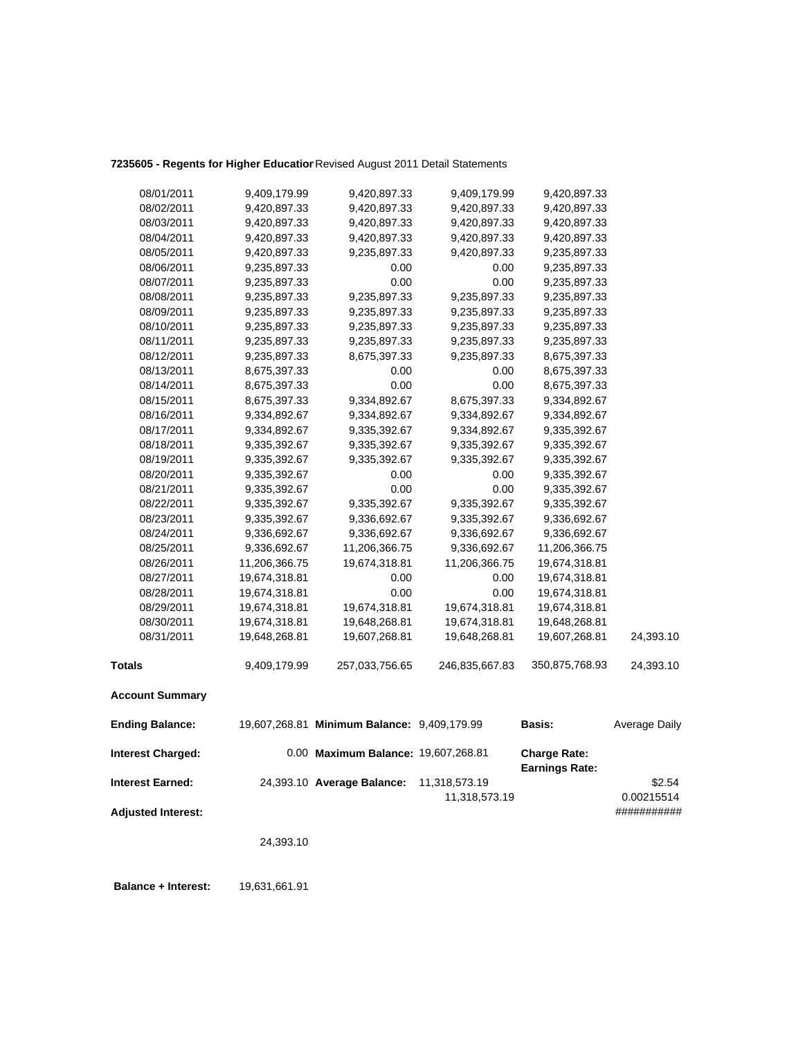# **7235605 - Regents for Higher Education**Revised August 2011 Detail Statements

| <b>Adjusted Interest:</b> |               |                                             |                                |                                              | ###########          |
|---------------------------|---------------|---------------------------------------------|--------------------------------|----------------------------------------------|----------------------|
| <b>Interest Earned:</b>   |               | 24,393.10 Average Balance:                  | 11,318,573.19<br>11,318,573.19 |                                              | \$2.54<br>0.00215514 |
| <b>Interest Charged:</b>  |               | 0.00 Maximum Balance: 19,607,268.81         |                                | <b>Charge Rate:</b><br><b>Earnings Rate:</b> |                      |
| <b>Ending Balance:</b>    |               | 19,607,268.81 Minimum Balance: 9,409,179.99 |                                | <b>Basis:</b>                                | Average Daily        |
| <b>Account Summary</b>    |               |                                             |                                |                                              |                      |
| <b>Totals</b>             | 9,409,179.99  | 257,033,756.65                              | 246,835,667.83                 | 350,875,768.93                               | 24,393.10            |
| 08/31/2011                | 19,648,268.81 | 19,607,268.81                               | 19,648,268.81                  | 19,607,268.81                                | 24,393.10            |
| 08/30/2011                | 19,674,318.81 | 19,648,268.81                               | 19,674,318.81                  | 19,648,268.81                                |                      |
| 08/29/2011                | 19,674,318.81 | 19,674,318.81                               | 19,674,318.81                  | 19,674,318.81                                |                      |
| 08/28/2011                | 19,674,318.81 | 0.00                                        | 0.00                           | 19,674,318.81                                |                      |
| 08/27/2011                | 19,674,318.81 | 0.00                                        | 0.00                           | 19,674,318.81                                |                      |
| 08/26/2011                | 11,206,366.75 | 19,674,318.81                               | 11,206,366.75                  | 19,674,318.81                                |                      |
| 08/25/2011                | 9,336,692.67  | 11,206,366.75                               | 9,336,692.67                   | 11,206,366.75                                |                      |
| 08/24/2011                | 9,336,692.67  | 9,336,692.67                                | 9,336,692.67                   | 9,336,692.67                                 |                      |
| 08/23/2011                | 9,335,392.67  | 9,336,692.67                                | 9,335,392.67                   | 9,336,692.67                                 |                      |
| 08/22/2011                | 9,335,392.67  | 9,335,392.67                                | 9,335,392.67                   | 9,335,392.67                                 |                      |
| 08/21/2011                | 9,335,392.67  | 0.00                                        | 0.00                           | 9,335,392.67                                 |                      |
| 08/20/2011                | 9,335,392.67  | 0.00                                        | 0.00                           | 9,335,392.67                                 |                      |
| 08/19/2011                | 9,335,392.67  | 9,335,392.67                                | 9,335,392.67                   | 9,335,392.67                                 |                      |
| 08/18/2011                | 9,335,392.67  | 9,335,392.67                                | 9,335,392.67                   | 9,335,392.67                                 |                      |
| 08/17/2011                | 9,334,892.67  | 9,335,392.67                                | 9,334,892.67                   | 9,335,392.67                                 |                      |
| 08/16/2011                | 9,334,892.67  | 9,334,892.67                                | 9,334,892.67                   | 9,334,892.67                                 |                      |
| 08/15/2011                | 8,675,397.33  | 9,334,892.67                                | 8,675,397.33                   | 9,334,892.67                                 |                      |
| 08/14/2011                | 8,675,397.33  | 0.00                                        | 0.00                           | 8,675,397.33                                 |                      |
| 08/13/2011                | 8,675,397.33  | 0.00                                        | 0.00                           | 8,675,397.33                                 |                      |
| 08/12/2011                | 9,235,897.33  | 8,675,397.33                                | 9,235,897.33                   | 8,675,397.33                                 |                      |
| 08/11/2011                | 9,235,897.33  | 9,235,897.33                                | 9,235,897.33                   | 9,235,897.33                                 |                      |
| 08/10/2011                | 9,235,897.33  | 9,235,897.33                                | 9,235,897.33                   | 9,235,897.33                                 |                      |
| 08/09/2011                | 9,235,897.33  | 9,235,897.33                                | 9,235,897.33                   | 9,235,897.33                                 |                      |
| 08/08/2011                | 9,235,897.33  | 9,235,897.33                                | 9,235,897.33                   | 9,235,897.33                                 |                      |
| 08/07/2011                | 9,235,897.33  | 0.00                                        | 0.00                           | 9,235,897.33                                 |                      |
| 08/06/2011                | 9,235,897.33  | 0.00                                        | 0.00                           | 9,235,897.33                                 |                      |
| 08/05/2011                | 9,420,897.33  | 9,235,897.33                                | 9,420,897.33                   | 9,235,897.33                                 |                      |
| 08/04/2011                | 9,420,897.33  | 9,420,897.33                                | 9,420,897.33                   | 9,420,897.33                                 |                      |
| 08/03/2011                | 9,420,897.33  | 9,420,897.33                                | 9,420,897.33                   | 9,420,897.33                                 |                      |
| 08/02/2011                | 9,420,897.33  | 9,420,897.33                                | 9,420,897.33                   | 9,420,897.33                                 |                      |
| 08/01/2011                | 9,409,179.99  | 9,420,897.33                                | 9,409,179.99                   | 9,420,897.33                                 |                      |

24,393.10

 **Balance + Interest:** 19,631,661.91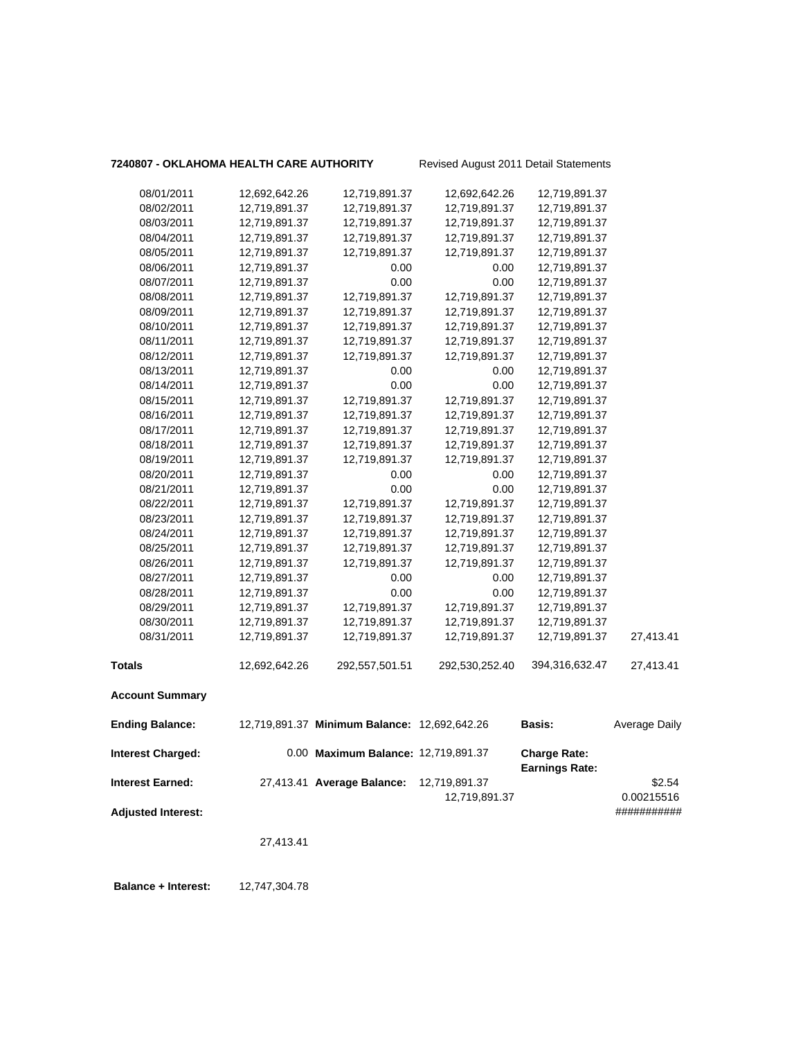### **7240807 - OKLAHOMA HEALTH CARE AUTHORITY** Revised August 2011 Detail Statements

| 08/01/2011                | 12,692,642.26 | 12,719,891.37                                | 12,692,642.26  | 12,719,891.37                                |               |
|---------------------------|---------------|----------------------------------------------|----------------|----------------------------------------------|---------------|
| 08/02/2011                | 12,719,891.37 | 12,719,891.37                                | 12,719,891.37  | 12,719,891.37                                |               |
| 08/03/2011                | 12,719,891.37 | 12,719,891.37                                | 12,719,891.37  | 12,719,891.37                                |               |
| 08/04/2011                | 12,719,891.37 | 12,719,891.37                                | 12,719,891.37  | 12,719,891.37                                |               |
| 08/05/2011                | 12,719,891.37 | 12,719,891.37                                | 12,719,891.37  | 12,719,891.37                                |               |
| 08/06/2011                | 12,719,891.37 | 0.00                                         | 0.00           | 12,719,891.37                                |               |
| 08/07/2011                | 12,719,891.37 | 0.00                                         | 0.00           | 12,719,891.37                                |               |
| 08/08/2011                | 12,719,891.37 | 12,719,891.37                                | 12,719,891.37  | 12,719,891.37                                |               |
| 08/09/2011                | 12,719,891.37 | 12,719,891.37                                | 12,719,891.37  | 12,719,891.37                                |               |
| 08/10/2011                | 12,719,891.37 | 12,719,891.37                                | 12,719,891.37  | 12,719,891.37                                |               |
| 08/11/2011                | 12,719,891.37 | 12,719,891.37                                | 12,719,891.37  | 12,719,891.37                                |               |
| 08/12/2011                | 12,719,891.37 | 12,719,891.37                                | 12,719,891.37  | 12,719,891.37                                |               |
| 08/13/2011                | 12,719,891.37 | 0.00                                         | 0.00           | 12,719,891.37                                |               |
| 08/14/2011                | 12,719,891.37 | 0.00                                         | 0.00           | 12,719,891.37                                |               |
| 08/15/2011                | 12,719,891.37 | 12,719,891.37                                | 12,719,891.37  | 12,719,891.37                                |               |
| 08/16/2011                | 12,719,891.37 | 12,719,891.37                                | 12,719,891.37  | 12,719,891.37                                |               |
| 08/17/2011                | 12,719,891.37 | 12,719,891.37                                | 12,719,891.37  | 12,719,891.37                                |               |
| 08/18/2011                | 12,719,891.37 | 12,719,891.37                                | 12,719,891.37  | 12,719,891.37                                |               |
| 08/19/2011                | 12,719,891.37 | 12,719,891.37                                | 12,719,891.37  | 12,719,891.37                                |               |
| 08/20/2011                | 12,719,891.37 | 0.00                                         | 0.00           | 12,719,891.37                                |               |
| 08/21/2011                | 12,719,891.37 | 0.00                                         | 0.00           | 12,719,891.37                                |               |
| 08/22/2011                | 12,719,891.37 | 12,719,891.37                                | 12,719,891.37  | 12,719,891.37                                |               |
| 08/23/2011                | 12,719,891.37 | 12,719,891.37                                | 12,719,891.37  | 12,719,891.37                                |               |
| 08/24/2011                | 12,719,891.37 | 12,719,891.37                                | 12,719,891.37  | 12,719,891.37                                |               |
| 08/25/2011                | 12,719,891.37 | 12,719,891.37                                | 12,719,891.37  | 12,719,891.37                                |               |
| 08/26/2011                | 12,719,891.37 | 12,719,891.37                                | 12,719,891.37  | 12,719,891.37                                |               |
| 08/27/2011                | 12,719,891.37 | 0.00                                         | 0.00           | 12,719,891.37                                |               |
| 08/28/2011                | 12,719,891.37 | 0.00                                         | 0.00           | 12,719,891.37                                |               |
| 08/29/2011                | 12,719,891.37 | 12,719,891.37                                | 12,719,891.37  | 12,719,891.37                                |               |
| 08/30/2011                | 12,719,891.37 | 12,719,891.37                                | 12,719,891.37  | 12,719,891.37                                |               |
| 08/31/2011                | 12,719,891.37 | 12,719,891.37                                | 12,719,891.37  | 12,719,891.37                                | 27,413.41     |
| <b>Totals</b>             | 12,692,642.26 | 292,557,501.51                               | 292,530,252.40 | 394,316,632.47                               | 27,413.41     |
| <b>Account Summary</b>    |               |                                              |                |                                              |               |
| <b>Ending Balance:</b>    |               | 12,719,891.37 Minimum Balance: 12,692,642.26 |                | <b>Basis:</b>                                | Average Daily |
| <b>Interest Charged:</b>  |               | 0.00 Maximum Balance: 12,719,891.37          |                | <b>Charge Rate:</b><br><b>Earnings Rate:</b> |               |
| <b>Interest Earned:</b>   |               | 27,413.41 Average Balance:                   | 12,719,891.37  |                                              | \$2.54        |
|                           |               |                                              | 12,719,891.37  |                                              | 0.00215516    |
| <b>Adjusted Interest:</b> |               |                                              |                |                                              | ###########   |
|                           |               |                                              |                |                                              |               |
|                           | 27,413.41     |                                              |                |                                              |               |
|                           |               |                                              |                |                                              |               |

 **Balance + Interest:** 12,747,304.78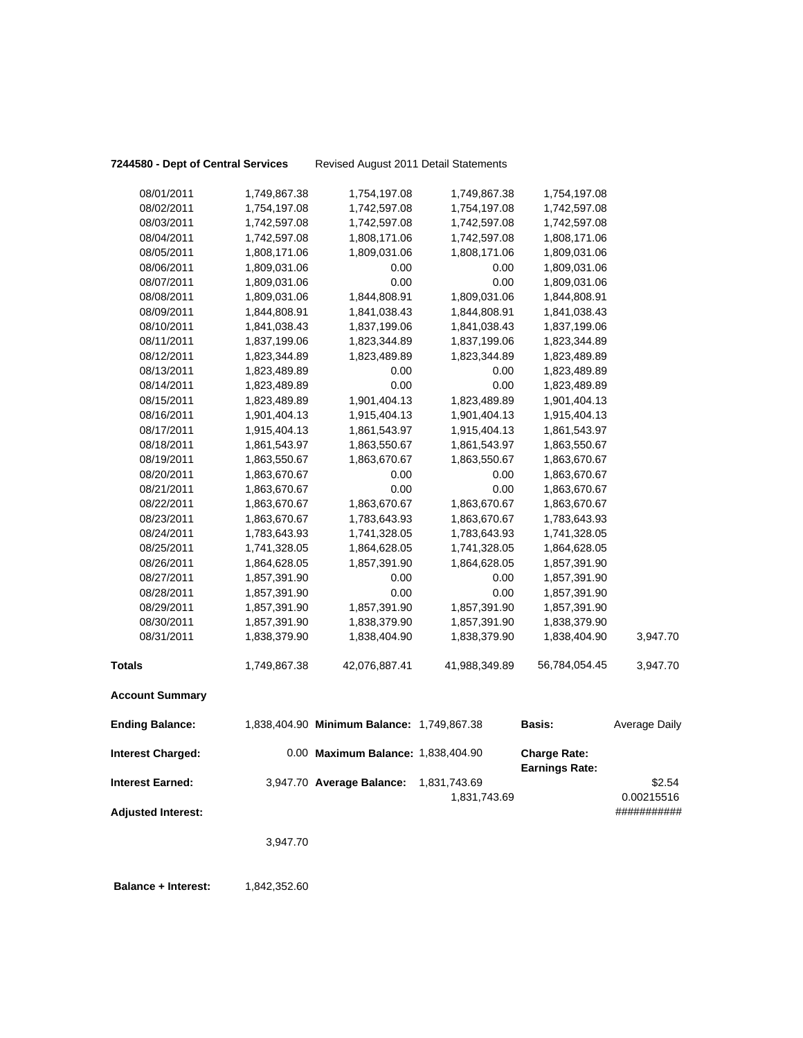|  |  | 7244580 - Dept of Central Service |  |
|--|--|-----------------------------------|--|
|--|--|-----------------------------------|--|

**Pept of Central Services** Revised August 2011 Detail Statements

| 08/01/2011                | 1,749,867.38 | 1,754,197.08                               | 1,749,867.38                 | 1,754,197.08                                 |                      |
|---------------------------|--------------|--------------------------------------------|------------------------------|----------------------------------------------|----------------------|
| 08/02/2011                | 1,754,197.08 | 1,742,597.08                               | 1,754,197.08                 | 1,742,597.08                                 |                      |
| 08/03/2011                | 1,742,597.08 | 1,742,597.08                               | 1,742,597.08                 | 1,742,597.08                                 |                      |
| 08/04/2011                | 1,742,597.08 | 1,808,171.06                               | 1,742,597.08                 | 1,808,171.06                                 |                      |
| 08/05/2011                | 1,808,171.06 | 1,809,031.06                               | 1,808,171.06                 | 1,809,031.06                                 |                      |
| 08/06/2011                | 1,809,031.06 | 0.00                                       | 0.00                         | 1,809,031.06                                 |                      |
| 08/07/2011                | 1,809,031.06 | 0.00                                       | 0.00                         | 1,809,031.06                                 |                      |
| 08/08/2011                | 1,809,031.06 | 1,844,808.91                               | 1,809,031.06                 | 1,844,808.91                                 |                      |
| 08/09/2011                | 1,844,808.91 | 1,841,038.43                               | 1,844,808.91                 | 1,841,038.43                                 |                      |
| 08/10/2011                | 1,841,038.43 | 1,837,199.06                               | 1,841,038.43                 | 1,837,199.06                                 |                      |
| 08/11/2011                | 1,837,199.06 | 1,823,344.89                               | 1,837,199.06                 | 1,823,344.89                                 |                      |
| 08/12/2011                | 1,823,344.89 | 1,823,489.89                               | 1,823,344.89                 | 1,823,489.89                                 |                      |
| 08/13/2011                | 1,823,489.89 | 0.00                                       | 0.00                         | 1,823,489.89                                 |                      |
| 08/14/2011                | 1,823,489.89 | 0.00                                       | 0.00                         | 1,823,489.89                                 |                      |
| 08/15/2011                | 1,823,489.89 | 1,901,404.13                               | 1,823,489.89                 | 1,901,404.13                                 |                      |
| 08/16/2011                | 1,901,404.13 | 1,915,404.13                               | 1,901,404.13                 | 1,915,404.13                                 |                      |
| 08/17/2011                | 1,915,404.13 | 1,861,543.97                               | 1,915,404.13                 | 1,861,543.97                                 |                      |
| 08/18/2011                | 1,861,543.97 | 1,863,550.67                               | 1,861,543.97                 | 1,863,550.67                                 |                      |
| 08/19/2011                | 1,863,550.67 | 1,863,670.67                               | 1,863,550.67                 | 1,863,670.67                                 |                      |
| 08/20/2011                | 1,863,670.67 | 0.00                                       | 0.00                         | 1,863,670.67                                 |                      |
| 08/21/2011                | 1,863,670.67 | 0.00                                       | 0.00                         | 1,863,670.67                                 |                      |
| 08/22/2011                | 1,863,670.67 | 1,863,670.67                               | 1,863,670.67                 | 1,863,670.67                                 |                      |
| 08/23/2011                | 1,863,670.67 | 1,783,643.93                               | 1,863,670.67                 | 1,783,643.93                                 |                      |
| 08/24/2011                | 1,783,643.93 | 1,741,328.05                               | 1,783,643.93                 | 1,741,328.05                                 |                      |
| 08/25/2011                | 1,741,328.05 | 1,864,628.05                               | 1,741,328.05                 | 1,864,628.05                                 |                      |
| 08/26/2011                | 1,864,628.05 | 1,857,391.90                               | 1,864,628.05                 | 1,857,391.90                                 |                      |
| 08/27/2011                | 1,857,391.90 | 0.00                                       | 0.00                         | 1,857,391.90                                 |                      |
| 08/28/2011                | 1,857,391.90 | 0.00                                       | 0.00                         | 1,857,391.90                                 |                      |
| 08/29/2011                | 1,857,391.90 | 1,857,391.90                               | 1,857,391.90                 | 1,857,391.90                                 |                      |
| 08/30/2011                | 1,857,391.90 | 1,838,379.90                               | 1,857,391.90                 | 1,838,379.90                                 |                      |
| 08/31/2011                | 1,838,379.90 | 1,838,404.90                               | 1,838,379.90                 | 1,838,404.90                                 | 3,947.70             |
| <b>Totals</b>             | 1,749,867.38 | 42,076,887.41                              | 41,988,349.89                | 56,784,054.45                                | 3,947.70             |
| <b>Account Summary</b>    |              |                                            |                              |                                              |                      |
| <b>Ending Balance:</b>    |              | 1,838,404.90 Minimum Balance: 1,749,867.38 |                              | Basis:                                       | Average Daily        |
| <b>Interest Charged:</b>  |              | 0.00 Maximum Balance: 1,838,404.90         |                              | <b>Charge Rate:</b><br><b>Earnings Rate:</b> |                      |
| <b>Interest Earned:</b>   |              | 3,947.70 Average Balance:                  | 1,831,743.69<br>1,831,743.69 |                                              | \$2.54<br>0.00215516 |
| <b>Adjusted Interest:</b> |              |                                            |                              |                                              | ###########          |

3,947.70

**Balance + Interest:** 1,842,352.60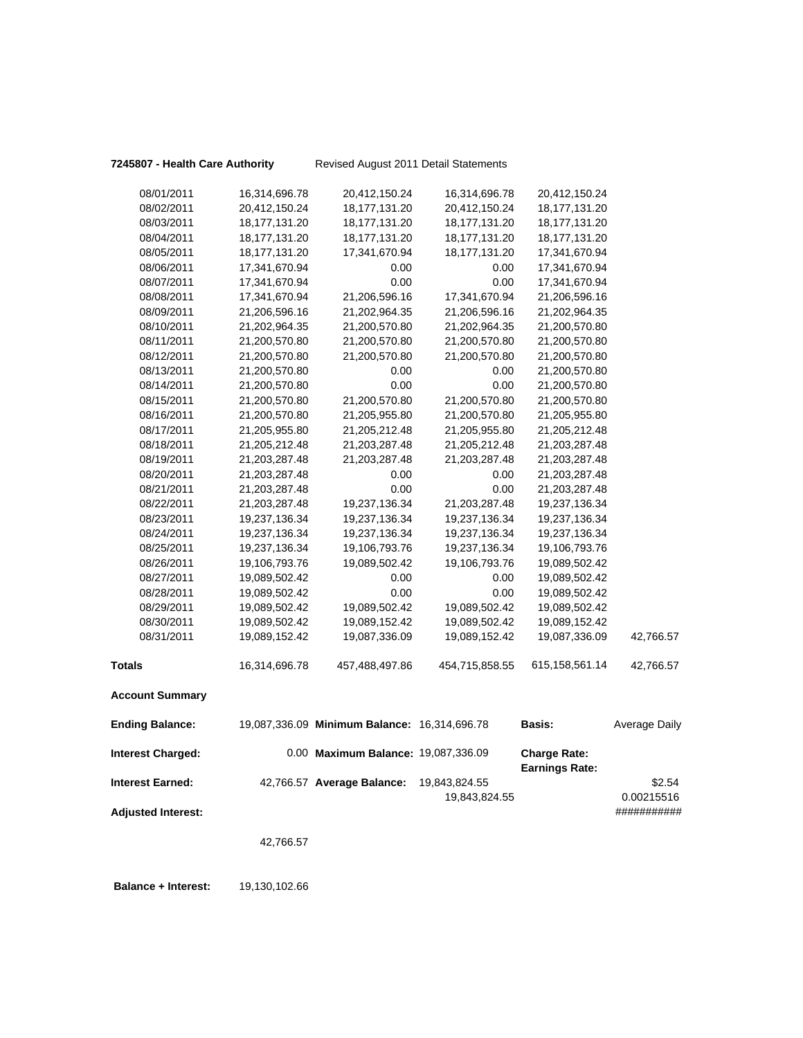**7245807 - Health Care Authority** Revised August 2011 Detail Statements

| 08/01/2011                | 16,314,696.78    | 20,412,150.24                                | 16,314,696.78  | 20,412,150.24                                |                      |
|---------------------------|------------------|----------------------------------------------|----------------|----------------------------------------------|----------------------|
| 08/02/2011                | 20,412,150.24    | 18,177,131.20                                | 20,412,150.24  | 18, 177, 131. 20                             |                      |
| 08/03/2011                | 18, 177, 131. 20 | 18,177,131.20                                | 18,177,131.20  | 18, 177, 131. 20                             |                      |
| 08/04/2011                | 18, 177, 131. 20 | 18, 177, 131. 20                             | 18,177,131.20  | 18, 177, 131. 20                             |                      |
| 08/05/2011                | 18, 177, 131. 20 | 17,341,670.94                                | 18,177,131.20  | 17,341,670.94                                |                      |
| 08/06/2011                | 17,341,670.94    | 0.00                                         | 0.00           | 17,341,670.94                                |                      |
| 08/07/2011                | 17,341,670.94    | 0.00                                         | $0.00\,$       | 17,341,670.94                                |                      |
| 08/08/2011                | 17,341,670.94    | 21,206,596.16                                | 17,341,670.94  | 21,206,596.16                                |                      |
| 08/09/2011                | 21,206,596.16    | 21,202,964.35                                | 21,206,596.16  | 21,202,964.35                                |                      |
| 08/10/2011                | 21,202,964.35    | 21,200,570.80                                | 21,202,964.35  | 21,200,570.80                                |                      |
| 08/11/2011                | 21,200,570.80    | 21,200,570.80                                | 21,200,570.80  | 21,200,570.80                                |                      |
| 08/12/2011                | 21,200,570.80    | 21,200,570.80                                | 21,200,570.80  | 21,200,570.80                                |                      |
| 08/13/2011                | 21,200,570.80    | 0.00                                         | 0.00           | 21,200,570.80                                |                      |
| 08/14/2011                | 21,200,570.80    | 0.00                                         | 0.00           | 21,200,570.80                                |                      |
| 08/15/2011                | 21,200,570.80    | 21,200,570.80                                | 21,200,570.80  | 21,200,570.80                                |                      |
| 08/16/2011                | 21,200,570.80    | 21,205,955.80                                | 21,200,570.80  | 21,205,955.80                                |                      |
| 08/17/2011                | 21,205,955.80    | 21,205,212.48                                | 21,205,955.80  | 21,205,212.48                                |                      |
| 08/18/2011                | 21,205,212.48    | 21,203,287.48                                | 21,205,212.48  | 21,203,287.48                                |                      |
| 08/19/2011                | 21,203,287.48    | 21,203,287.48                                | 21,203,287.48  | 21,203,287.48                                |                      |
| 08/20/2011                | 21,203,287.48    | 0.00                                         | 0.00           | 21,203,287.48                                |                      |
| 08/21/2011                | 21,203,287.48    | 0.00                                         | 0.00           | 21,203,287.48                                |                      |
| 08/22/2011                | 21,203,287.48    | 19,237,136.34                                | 21,203,287.48  | 19,237,136.34                                |                      |
| 08/23/2011                | 19,237,136.34    | 19,237,136.34                                | 19,237,136.34  | 19,237,136.34                                |                      |
| 08/24/2011                | 19,237,136.34    | 19,237,136.34                                | 19,237,136.34  | 19,237,136.34                                |                      |
| 08/25/2011                | 19,237,136.34    | 19,106,793.76                                | 19,237,136.34  | 19,106,793.76                                |                      |
| 08/26/2011                | 19,106,793.76    | 19,089,502.42                                | 19,106,793.76  | 19,089,502.42                                |                      |
| 08/27/2011                | 19,089,502.42    | 0.00                                         | 0.00           | 19,089,502.42                                |                      |
| 08/28/2011                | 19,089,502.42    | 0.00                                         | 0.00           | 19,089,502.42                                |                      |
| 08/29/2011                | 19,089,502.42    | 19,089,502.42                                | 19,089,502.42  | 19,089,502.42                                |                      |
| 08/30/2011                | 19,089,502.42    | 19,089,152.42                                | 19,089,502.42  | 19,089,152.42                                |                      |
| 08/31/2011                | 19,089,152.42    | 19,087,336.09                                | 19,089,152.42  | 19,087,336.09                                | 42,766.57            |
| <b>Totals</b>             | 16,314,696.78    | 457,488,497.86                               | 454,715,858.55 | 615, 158, 561. 14                            | 42,766.57            |
| <b>Account Summary</b>    |                  |                                              |                |                                              |                      |
| <b>Ending Balance:</b>    |                  | 19,087,336.09 Minimum Balance: 16,314,696.78 |                | <b>Basis:</b>                                | <b>Average Daily</b> |
| <b>Interest Charged:</b>  |                  | 0.00 Maximum Balance: 19,087,336.09          |                | <b>Charge Rate:</b><br><b>Earnings Rate:</b> |                      |
| <b>Interest Earned:</b>   |                  | 42,766.57 Average Balance:                   | 19,843,824.55  |                                              | \$2.54               |
|                           |                  |                                              | 19,843,824.55  |                                              | 0.00215516           |
| <b>Adjusted Interest:</b> |                  |                                              |                |                                              | ###########          |
|                           | 42,766.57        |                                              |                |                                              |                      |
|                           |                  |                                              |                |                                              |                      |

 **Balance + Interest:** 19,130,102.66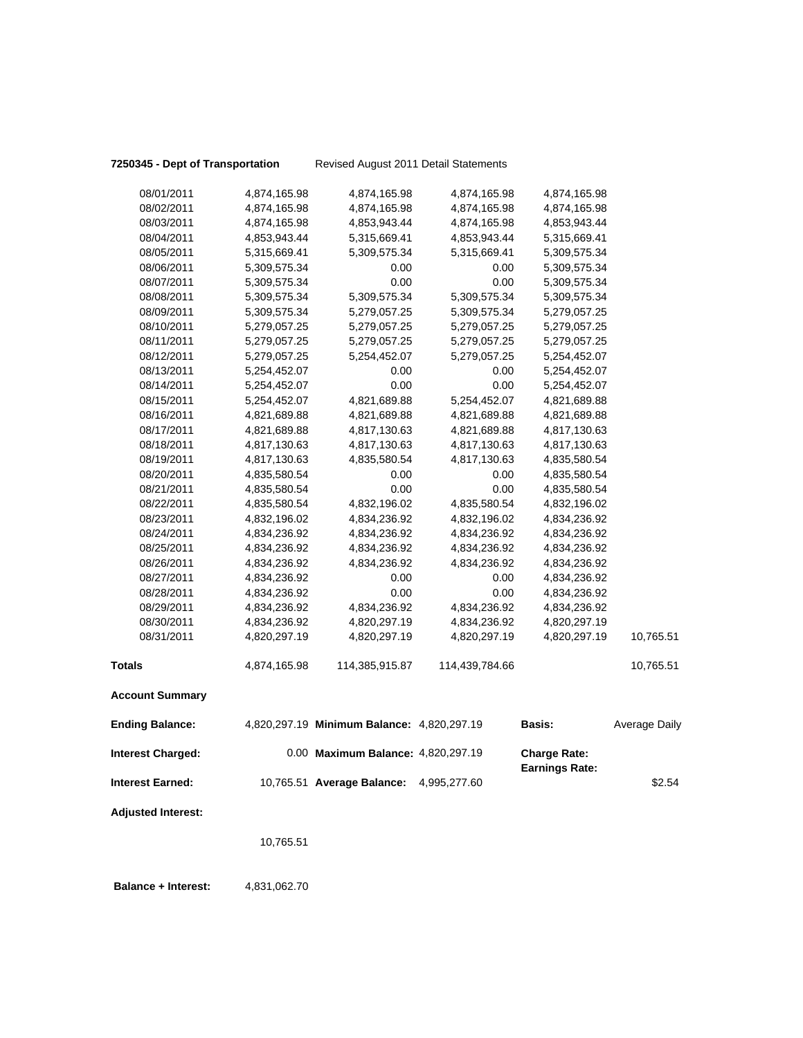**Balance + Interest:** 4,831,062.70

**7250345 - Dept of Transportation** Revised August 2011 Detail Statements

| 08/01/2011                | 4,874,165.98 | 4,874,165.98                               | 4,874,165.98   | 4,874,165.98                                 |               |
|---------------------------|--------------|--------------------------------------------|----------------|----------------------------------------------|---------------|
| 08/02/2011                | 4,874,165.98 | 4,874,165.98                               | 4,874,165.98   | 4,874,165.98                                 |               |
| 08/03/2011                | 4,874,165.98 | 4,853,943.44                               | 4,874,165.98   | 4,853,943.44                                 |               |
| 08/04/2011                | 4,853,943.44 | 5,315,669.41                               | 4,853,943.44   | 5,315,669.41                                 |               |
| 08/05/2011                | 5,315,669.41 | 5,309,575.34                               | 5,315,669.41   | 5,309,575.34                                 |               |
| 08/06/2011                | 5,309,575.34 | 0.00                                       | 0.00           | 5,309,575.34                                 |               |
| 08/07/2011                | 5,309,575.34 | 0.00                                       | 0.00           | 5,309,575.34                                 |               |
| 08/08/2011                | 5,309,575.34 | 5,309,575.34                               | 5,309,575.34   | 5,309,575.34                                 |               |
| 08/09/2011                | 5,309,575.34 | 5,279,057.25                               | 5,309,575.34   | 5,279,057.25                                 |               |
| 08/10/2011                | 5,279,057.25 | 5,279,057.25                               | 5,279,057.25   | 5,279,057.25                                 |               |
| 08/11/2011                | 5,279,057.25 | 5,279,057.25                               | 5,279,057.25   | 5,279,057.25                                 |               |
| 08/12/2011                | 5,279,057.25 | 5,254,452.07                               | 5,279,057.25   | 5,254,452.07                                 |               |
| 08/13/2011                | 5,254,452.07 | 0.00                                       | 0.00           | 5,254,452.07                                 |               |
| 08/14/2011                | 5,254,452.07 | 0.00                                       | 0.00           | 5,254,452.07                                 |               |
| 08/15/2011                | 5,254,452.07 | 4,821,689.88                               | 5,254,452.07   | 4,821,689.88                                 |               |
| 08/16/2011                | 4,821,689.88 | 4,821,689.88                               | 4,821,689.88   | 4,821,689.88                                 |               |
| 08/17/2011                | 4,821,689.88 | 4,817,130.63                               | 4,821,689.88   | 4,817,130.63                                 |               |
| 08/18/2011                | 4,817,130.63 | 4,817,130.63                               | 4,817,130.63   | 4,817,130.63                                 |               |
| 08/19/2011                | 4,817,130.63 | 4,835,580.54                               | 4,817,130.63   | 4,835,580.54                                 |               |
| 08/20/2011                | 4,835,580.54 | 0.00                                       | 0.00           | 4,835,580.54                                 |               |
| 08/21/2011                | 4,835,580.54 | 0.00                                       | 0.00           | 4,835,580.54                                 |               |
| 08/22/2011                | 4,835,580.54 | 4,832,196.02                               | 4,835,580.54   | 4,832,196.02                                 |               |
| 08/23/2011                | 4,832,196.02 | 4,834,236.92                               | 4,832,196.02   | 4,834,236.92                                 |               |
| 08/24/2011                | 4,834,236.92 | 4,834,236.92                               | 4,834,236.92   | 4,834,236.92                                 |               |
| 08/25/2011                | 4,834,236.92 | 4,834,236.92                               | 4,834,236.92   | 4,834,236.92                                 |               |
| 08/26/2011                | 4,834,236.92 | 4,834,236.92                               | 4,834,236.92   | 4,834,236.92                                 |               |
| 08/27/2011                | 4,834,236.92 | 0.00                                       | 0.00           | 4,834,236.92                                 |               |
| 08/28/2011                | 4,834,236.92 | 0.00                                       | 0.00           | 4,834,236.92                                 |               |
| 08/29/2011                | 4,834,236.92 | 4,834,236.92                               | 4,834,236.92   | 4,834,236.92                                 |               |
| 08/30/2011                | 4,834,236.92 | 4,820,297.19                               | 4,834,236.92   | 4,820,297.19                                 |               |
| 08/31/2011                | 4,820,297.19 | 4,820,297.19                               | 4,820,297.19   | 4,820,297.19                                 | 10,765.51     |
| <b>Totals</b>             | 4,874,165.98 | 114,385,915.87                             | 114,439,784.66 |                                              | 10,765.51     |
| <b>Account Summary</b>    |              |                                            |                |                                              |               |
| <b>Ending Balance:</b>    |              | 4,820,297.19 Minimum Balance: 4,820,297.19 |                | <b>Basis:</b>                                | Average Daily |
| <b>Interest Charged:</b>  |              | 0.00 Maximum Balance: 4,820,297.19         |                | <b>Charge Rate:</b><br><b>Earnings Rate:</b> |               |
| <b>Interest Earned:</b>   |              | 10,765.51 Average Balance: 4,995,277.60    |                |                                              | \$2.54        |
| <b>Adjusted Interest:</b> |              |                                            |                |                                              |               |
|                           | 10,765.51    |                                            |                |                                              |               |
|                           |              |                                            |                |                                              |               |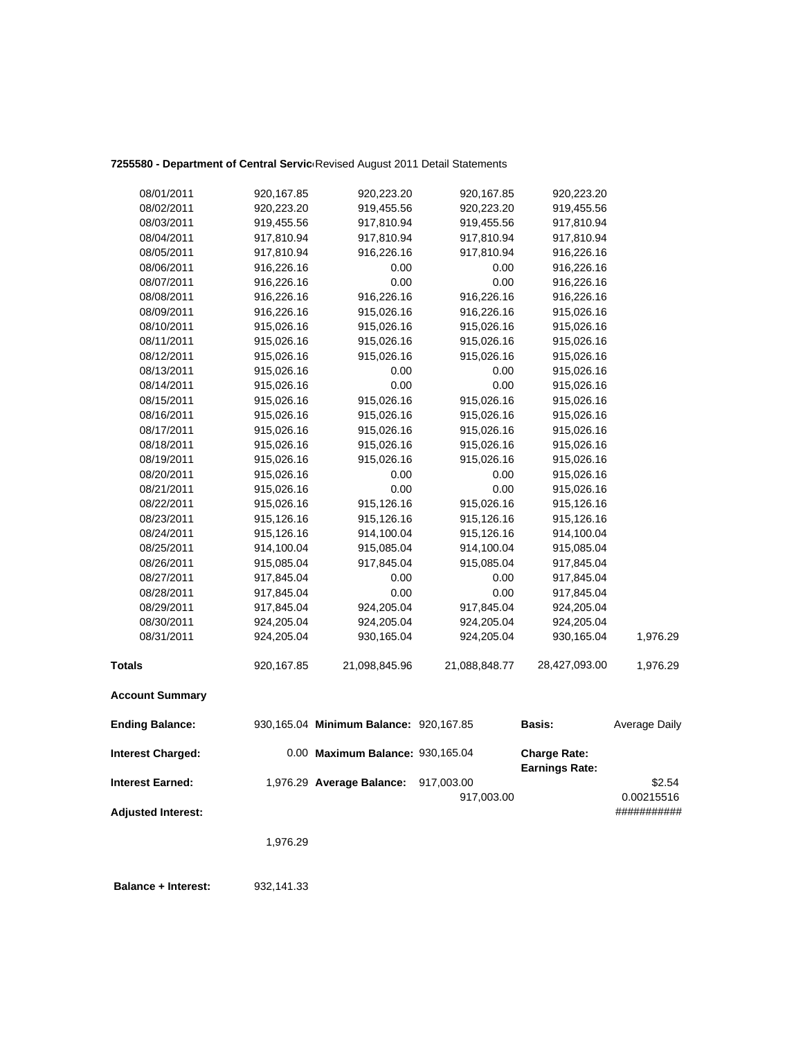### 7255580 - Department of Central Servic<sup>,</sup> Revised August 2011 Detail Statements

| 08/01/2011                | 920,167.85 | 920,223.20                             | 920,167.85               | 920,223.20                                   |                      |
|---------------------------|------------|----------------------------------------|--------------------------|----------------------------------------------|----------------------|
| 08/02/2011                | 920,223.20 | 919,455.56                             | 920,223.20               | 919,455.56                                   |                      |
| 08/03/2011                | 919,455.56 | 917,810.94                             | 919,455.56               | 917,810.94                                   |                      |
| 08/04/2011                | 917,810.94 | 917,810.94                             | 917,810.94               | 917,810.94                                   |                      |
| 08/05/2011                | 917,810.94 | 916,226.16                             | 917,810.94               | 916,226.16                                   |                      |
| 08/06/2011                | 916,226.16 | 0.00                                   | 0.00                     | 916,226.16                                   |                      |
| 08/07/2011                | 916,226.16 | 0.00                                   | 0.00                     | 916,226.16                                   |                      |
| 08/08/2011                | 916,226.16 | 916,226.16                             | 916,226.16               | 916,226.16                                   |                      |
| 08/09/2011                | 916,226.16 | 915,026.16                             | 916,226.16               | 915,026.16                                   |                      |
| 08/10/2011                | 915,026.16 | 915,026.16                             | 915,026.16               | 915,026.16                                   |                      |
| 08/11/2011                | 915,026.16 | 915,026.16                             | 915,026.16               | 915,026.16                                   |                      |
| 08/12/2011                | 915,026.16 | 915,026.16                             | 915,026.16               | 915,026.16                                   |                      |
| 08/13/2011                | 915,026.16 | 0.00                                   | 0.00                     | 915,026.16                                   |                      |
| 08/14/2011                | 915,026.16 | 0.00                                   | 0.00                     | 915,026.16                                   |                      |
| 08/15/2011                | 915,026.16 | 915,026.16                             | 915,026.16               | 915,026.16                                   |                      |
| 08/16/2011                | 915,026.16 | 915,026.16                             | 915,026.16               | 915,026.16                                   |                      |
| 08/17/2011                | 915,026.16 | 915,026.16                             | 915,026.16               | 915,026.16                                   |                      |
| 08/18/2011                | 915,026.16 | 915,026.16                             | 915,026.16               | 915,026.16                                   |                      |
| 08/19/2011                | 915,026.16 | 915,026.16                             | 915,026.16               | 915,026.16                                   |                      |
| 08/20/2011                | 915,026.16 | 0.00                                   | 0.00                     | 915,026.16                                   |                      |
| 08/21/2011                | 915,026.16 | 0.00                                   | 0.00                     | 915,026.16                                   |                      |
| 08/22/2011                | 915,026.16 | 915,126.16                             | 915,026.16               | 915,126.16                                   |                      |
| 08/23/2011                | 915,126.16 | 915,126.16                             | 915,126.16               | 915,126.16                                   |                      |
| 08/24/2011                | 915,126.16 | 914,100.04                             | 915,126.16               | 914,100.04                                   |                      |
| 08/25/2011                | 914,100.04 | 915,085.04                             | 914,100.04               | 915,085.04                                   |                      |
| 08/26/2011                | 915,085.04 | 917,845.04                             | 915,085.04               | 917,845.04                                   |                      |
| 08/27/2011                | 917,845.04 | 0.00                                   | 0.00                     | 917,845.04                                   |                      |
| 08/28/2011                | 917,845.04 | 0.00                                   | 0.00                     | 917,845.04                                   |                      |
| 08/29/2011                | 917,845.04 | 924,205.04                             | 917,845.04               | 924,205.04                                   |                      |
| 08/30/2011                | 924,205.04 | 924,205.04                             | 924,205.04               | 924,205.04                                   |                      |
| 08/31/2011                | 924,205.04 | 930,165.04                             | 924,205.04               | 930,165.04                                   | 1,976.29             |
| <b>Totals</b>             | 920,167.85 | 21,098,845.96                          | 21,088,848.77            | 28,427,093.00                                | 1,976.29             |
| <b>Account Summary</b>    |            |                                        |                          |                                              |                      |
| <b>Ending Balance:</b>    |            | 930,165.04 Minimum Balance: 920,167.85 |                          | <b>Basis:</b>                                | Average Daily        |
| <b>Interest Charged:</b>  |            | 0.00 Maximum Balance: 930,165.04       |                          | <b>Charge Rate:</b><br><b>Earnings Rate:</b> |                      |
| <b>Interest Earned:</b>   |            | 1,976.29 Average Balance:              | 917,003.00<br>917,003.00 |                                              | \$2.54<br>0.00215516 |
| <b>Adjusted Interest:</b> |            |                                        |                          |                                              | ###########          |

1,976.29

 **Balance + Interest:** 932,141.33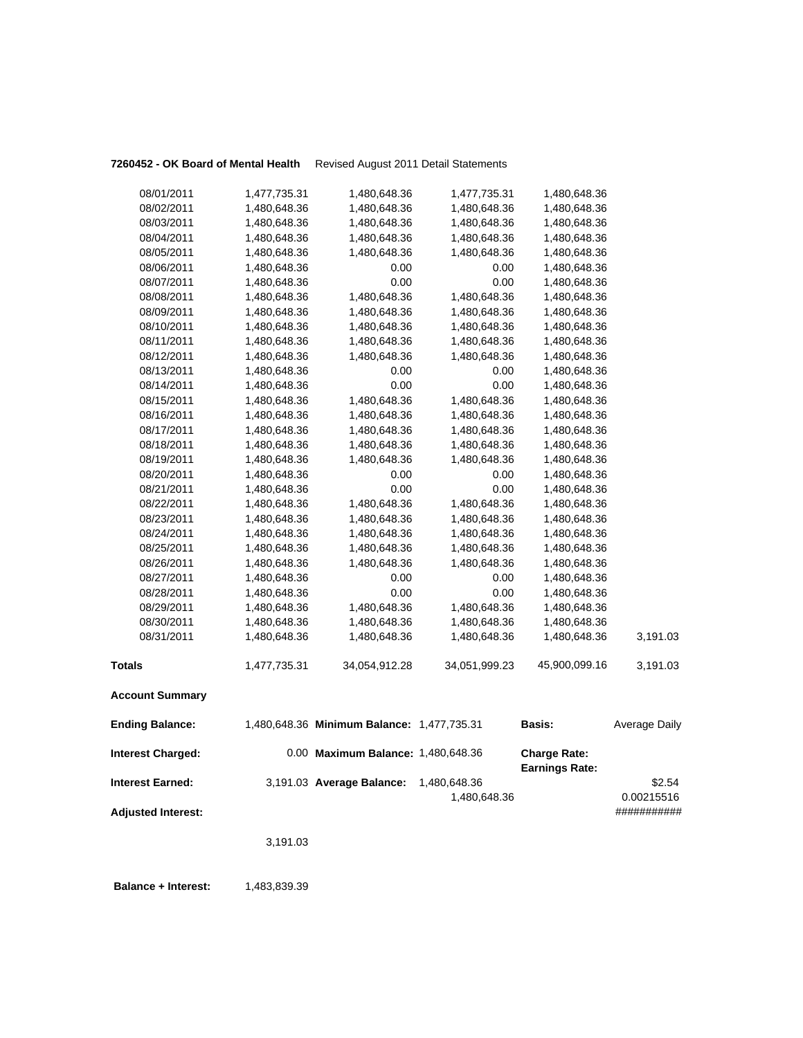### **7260452 - OK Board of Mental Health** Revised August 2011 Detail Statements

| <b>Account Summary</b> |              |               |               |               |          |
|------------------------|--------------|---------------|---------------|---------------|----------|
| <b>Totals</b>          | 1,477,735.31 | 34,054,912.28 | 34,051,999.23 | 45,900,099.16 | 3,191.03 |
| 08/31/2011             | 1,480,648.36 | 1,480,648.36  | 1,480,648.36  | 1,480,648.36  | 3,191.03 |
| 08/30/2011             | 1,480,648.36 | 1,480,648.36  | 1,480,648.36  | 1,480,648.36  |          |
| 08/29/2011             | 1,480,648.36 | 1,480,648.36  | 1,480,648.36  | 1,480,648.36  |          |
| 08/28/2011             | 1,480,648.36 | 0.00          | 0.00          | 1,480,648.36  |          |
| 08/27/2011             | 1,480,648.36 | 0.00          | 0.00          | 1,480,648.36  |          |
| 08/26/2011             | 1,480,648.36 | 1,480,648.36  | 1,480,648.36  | 1,480,648.36  |          |
| 08/25/2011             | 1,480,648.36 | 1,480,648.36  | 1,480,648.36  | 1,480,648.36  |          |
| 08/24/2011             | 1,480,648.36 | 1,480,648.36  | 1,480,648.36  | 1,480,648.36  |          |
| 08/23/2011             | 1,480,648.36 | 1,480,648.36  | 1,480,648.36  | 1,480,648.36  |          |
| 08/22/2011             | 1,480,648.36 | 1,480,648.36  | 1,480,648.36  | 1,480,648.36  |          |
| 08/21/2011             | 1,480,648.36 | 0.00          | 0.00          | 1,480,648.36  |          |
| 08/20/2011             | 1,480,648.36 | 0.00          | 0.00          | 1,480,648.36  |          |
| 08/19/2011             | 1,480,648.36 | 1,480,648.36  | 1,480,648.36  | 1,480,648.36  |          |
| 08/18/2011             | 1,480,648.36 | 1,480,648.36  | 1,480,648.36  | 1,480,648.36  |          |
| 08/17/2011             | 1,480,648.36 | 1,480,648.36  | 1,480,648.36  | 1,480,648.36  |          |
| 08/16/2011             | 1,480,648.36 | 1,480,648.36  | 1,480,648.36  | 1,480,648.36  |          |
| 08/15/2011             | 1,480,648.36 | 1,480,648.36  | 1,480,648.36  | 1,480,648.36  |          |
| 08/14/2011             | 1,480,648.36 | 0.00          | 0.00          | 1,480,648.36  |          |
| 08/13/2011             | 1,480,648.36 | 0.00          | 0.00          | 1,480,648.36  |          |
| 08/12/2011             | 1,480,648.36 | 1,480,648.36  | 1,480,648.36  | 1,480,648.36  |          |
| 08/11/2011             | 1,480,648.36 | 1,480,648.36  | 1,480,648.36  | 1,480,648.36  |          |
| 08/10/2011             | 1,480,648.36 | 1,480,648.36  | 1,480,648.36  | 1,480,648.36  |          |
| 08/09/2011             | 1,480,648.36 | 1,480,648.36  | 1,480,648.36  | 1,480,648.36  |          |
| 08/08/2011             | 1,480,648.36 | 1,480,648.36  | 1,480,648.36  | 1,480,648.36  |          |
| 08/07/2011             | 1,480,648.36 | 0.00          | 0.00          | 1,480,648.36  |          |
| 08/06/2011             | 1,480,648.36 | 0.00          | 0.00          | 1,480,648.36  |          |
| 08/05/2011             | 1,480,648.36 | 1,480,648.36  | 1,480,648.36  | 1,480,648.36  |          |
| 08/04/2011             | 1,480,648.36 | 1,480,648.36  | 1,480,648.36  | 1,480,648.36  |          |
| 08/03/2011             | 1,480,648.36 | 1,480,648.36  | 1,480,648.36  | 1,480,648.36  |          |
| 08/02/2011             | 1,480,648.36 | 1,480,648.36  | 1,480,648.36  | 1,480,648.36  |          |
| 08/01/2011             | 1,477,735.31 | 1,480,648.36  | 1,477,735.31  | 1,480,648.36  |          |
|                        |              |               |               |               |          |

| <b>Ending Balance:</b>    | 1,480,648.36 Minimum Balance: 1,477,735.31 |              | <b>Basis:</b>                                | Average Daily                     |
|---------------------------|--------------------------------------------|--------------|----------------------------------------------|-----------------------------------|
| <b>Interest Charged:</b>  | 0.00 Maximum Balance: 1,480,648.36         |              | <b>Charge Rate:</b><br><b>Earnings Rate:</b> |                                   |
| <b>Interest Earned:</b>   | 3,191.03 Average Balance:                  | 1.480.648.36 |                                              | \$2.54                            |
| <b>Adjusted Interest:</b> |                                            | 1.480.648.36 |                                              | 0.00215516<br><i>************</i> |

3,191.03

**Balance + Interest:** 1,483,839.39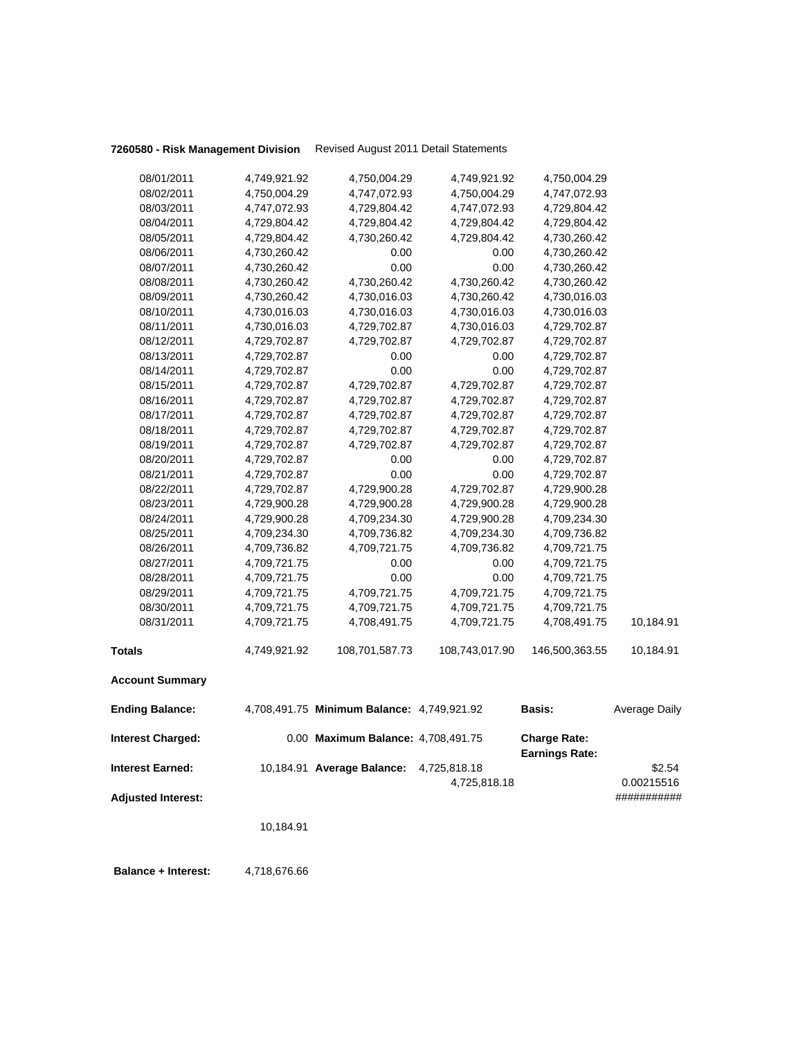**7260580 - Risk Management Division** Revised August 2011 Detail Statements

|            | 10,184.91                                                                                                                                                                                                                                                                                                                                                                             |                                                                                                                                                                                                                                                                                                                              |                                                                                                                                                                                                                                                                            |                                                                                                                                                                                                                                                                                                                                                                                  |                                                                                                                                                                                                                                                                                              |
|------------|---------------------------------------------------------------------------------------------------------------------------------------------------------------------------------------------------------------------------------------------------------------------------------------------------------------------------------------------------------------------------------------|------------------------------------------------------------------------------------------------------------------------------------------------------------------------------------------------------------------------------------------------------------------------------------------------------------------------------|----------------------------------------------------------------------------------------------------------------------------------------------------------------------------------------------------------------------------------------------------------------------------|----------------------------------------------------------------------------------------------------------------------------------------------------------------------------------------------------------------------------------------------------------------------------------------------------------------------------------------------------------------------------------|----------------------------------------------------------------------------------------------------------------------------------------------------------------------------------------------------------------------------------------------------------------------------------------------|
|            |                                                                                                                                                                                                                                                                                                                                                                                       |                                                                                                                                                                                                                                                                                                                              |                                                                                                                                                                                                                                                                            |                                                                                                                                                                                                                                                                                                                                                                                  | 0.00215516<br>###########                                                                                                                                                                                                                                                                    |
|            |                                                                                                                                                                                                                                                                                                                                                                                       |                                                                                                                                                                                                                                                                                                                              | 4,725,818.18                                                                                                                                                                                                                                                               |                                                                                                                                                                                                                                                                                                                                                                                  | \$2.54                                                                                                                                                                                                                                                                                       |
|            |                                                                                                                                                                                                                                                                                                                                                                                       |                                                                                                                                                                                                                                                                                                                              |                                                                                                                                                                                                                                                                            | <b>Charge Rate:</b><br><b>Earnings Rate:</b>                                                                                                                                                                                                                                                                                                                                     |                                                                                                                                                                                                                                                                                              |
|            |                                                                                                                                                                                                                                                                                                                                                                                       |                                                                                                                                                                                                                                                                                                                              |                                                                                                                                                                                                                                                                            | <b>Basis:</b>                                                                                                                                                                                                                                                                                                                                                                    | Average Daily                                                                                                                                                                                                                                                                                |
|            |                                                                                                                                                                                                                                                                                                                                                                                       |                                                                                                                                                                                                                                                                                                                              |                                                                                                                                                                                                                                                                            |                                                                                                                                                                                                                                                                                                                                                                                  |                                                                                                                                                                                                                                                                                              |
|            | 4,749,921.92                                                                                                                                                                                                                                                                                                                                                                          | 108,701,587.73                                                                                                                                                                                                                                                                                                               | 108,743,017.90                                                                                                                                                                                                                                                             | 146,500,363.55                                                                                                                                                                                                                                                                                                                                                                   | 10,184.91                                                                                                                                                                                                                                                                                    |
| 08/31/2011 | 4,709,721.75                                                                                                                                                                                                                                                                                                                                                                          | 4,708,491.75                                                                                                                                                                                                                                                                                                                 | 4,709,721.75                                                                                                                                                                                                                                                               | 4,708,491.75                                                                                                                                                                                                                                                                                                                                                                     | 10,184.91                                                                                                                                                                                                                                                                                    |
| 08/30/2011 | 4,709,721.75                                                                                                                                                                                                                                                                                                                                                                          | 4,709,721.75                                                                                                                                                                                                                                                                                                                 | 4,709,721.75                                                                                                                                                                                                                                                               | 4,709,721.75                                                                                                                                                                                                                                                                                                                                                                     |                                                                                                                                                                                                                                                                                              |
| 08/29/2011 | 4,709,721.75                                                                                                                                                                                                                                                                                                                                                                          | 4,709,721.75                                                                                                                                                                                                                                                                                                                 | 4,709,721.75                                                                                                                                                                                                                                                               | 4,709,721.75                                                                                                                                                                                                                                                                                                                                                                     |                                                                                                                                                                                                                                                                                              |
| 08/28/2011 | 4,709,721.75                                                                                                                                                                                                                                                                                                                                                                          | 0.00                                                                                                                                                                                                                                                                                                                         | 0.00                                                                                                                                                                                                                                                                       | 4,709,721.75                                                                                                                                                                                                                                                                                                                                                                     |                                                                                                                                                                                                                                                                                              |
| 08/27/2011 | 4,709,721.75                                                                                                                                                                                                                                                                                                                                                                          | 0.00                                                                                                                                                                                                                                                                                                                         | 0.00                                                                                                                                                                                                                                                                       | 4,709,721.75                                                                                                                                                                                                                                                                                                                                                                     |                                                                                                                                                                                                                                                                                              |
| 08/26/2011 | 4,709,736.82                                                                                                                                                                                                                                                                                                                                                                          | 4,709,721.75                                                                                                                                                                                                                                                                                                                 | 4,709,736.82                                                                                                                                                                                                                                                               | 4,709,721.75                                                                                                                                                                                                                                                                                                                                                                     |                                                                                                                                                                                                                                                                                              |
| 08/25/2011 |                                                                                                                                                                                                                                                                                                                                                                                       |                                                                                                                                                                                                                                                                                                                              |                                                                                                                                                                                                                                                                            |                                                                                                                                                                                                                                                                                                                                                                                  |                                                                                                                                                                                                                                                                                              |
|            |                                                                                                                                                                                                                                                                                                                                                                                       |                                                                                                                                                                                                                                                                                                                              |                                                                                                                                                                                                                                                                            |                                                                                                                                                                                                                                                                                                                                                                                  |                                                                                                                                                                                                                                                                                              |
|            |                                                                                                                                                                                                                                                                                                                                                                                       |                                                                                                                                                                                                                                                                                                                              |                                                                                                                                                                                                                                                                            |                                                                                                                                                                                                                                                                                                                                                                                  |                                                                                                                                                                                                                                                                                              |
|            |                                                                                                                                                                                                                                                                                                                                                                                       |                                                                                                                                                                                                                                                                                                                              |                                                                                                                                                                                                                                                                            |                                                                                                                                                                                                                                                                                                                                                                                  |                                                                                                                                                                                                                                                                                              |
|            |                                                                                                                                                                                                                                                                                                                                                                                       |                                                                                                                                                                                                                                                                                                                              |                                                                                                                                                                                                                                                                            |                                                                                                                                                                                                                                                                                                                                                                                  |                                                                                                                                                                                                                                                                                              |
|            |                                                                                                                                                                                                                                                                                                                                                                                       |                                                                                                                                                                                                                                                                                                                              |                                                                                                                                                                                                                                                                            |                                                                                                                                                                                                                                                                                                                                                                                  |                                                                                                                                                                                                                                                                                              |
|            |                                                                                                                                                                                                                                                                                                                                                                                       |                                                                                                                                                                                                                                                                                                                              |                                                                                                                                                                                                                                                                            |                                                                                                                                                                                                                                                                                                                                                                                  |                                                                                                                                                                                                                                                                                              |
|            |                                                                                                                                                                                                                                                                                                                                                                                       |                                                                                                                                                                                                                                                                                                                              |                                                                                                                                                                                                                                                                            |                                                                                                                                                                                                                                                                                                                                                                                  |                                                                                                                                                                                                                                                                                              |
|            |                                                                                                                                                                                                                                                                                                                                                                                       |                                                                                                                                                                                                                                                                                                                              |                                                                                                                                                                                                                                                                            |                                                                                                                                                                                                                                                                                                                                                                                  |                                                                                                                                                                                                                                                                                              |
|            |                                                                                                                                                                                                                                                                                                                                                                                       |                                                                                                                                                                                                                                                                                                                              |                                                                                                                                                                                                                                                                            |                                                                                                                                                                                                                                                                                                                                                                                  |                                                                                                                                                                                                                                                                                              |
|            |                                                                                                                                                                                                                                                                                                                                                                                       |                                                                                                                                                                                                                                                                                                                              |                                                                                                                                                                                                                                                                            |                                                                                                                                                                                                                                                                                                                                                                                  |                                                                                                                                                                                                                                                                                              |
|            |                                                                                                                                                                                                                                                                                                                                                                                       |                                                                                                                                                                                                                                                                                                                              |                                                                                                                                                                                                                                                                            |                                                                                                                                                                                                                                                                                                                                                                                  |                                                                                                                                                                                                                                                                                              |
|            |                                                                                                                                                                                                                                                                                                                                                                                       |                                                                                                                                                                                                                                                                                                                              |                                                                                                                                                                                                                                                                            |                                                                                                                                                                                                                                                                                                                                                                                  |                                                                                                                                                                                                                                                                                              |
|            |                                                                                                                                                                                                                                                                                                                                                                                       |                                                                                                                                                                                                                                                                                                                              |                                                                                                                                                                                                                                                                            |                                                                                                                                                                                                                                                                                                                                                                                  |                                                                                                                                                                                                                                                                                              |
|            |                                                                                                                                                                                                                                                                                                                                                                                       |                                                                                                                                                                                                                                                                                                                              |                                                                                                                                                                                                                                                                            |                                                                                                                                                                                                                                                                                                                                                                                  |                                                                                                                                                                                                                                                                                              |
|            |                                                                                                                                                                                                                                                                                                                                                                                       |                                                                                                                                                                                                                                                                                                                              |                                                                                                                                                                                                                                                                            |                                                                                                                                                                                                                                                                                                                                                                                  |                                                                                                                                                                                                                                                                                              |
| 08/08/2011 |                                                                                                                                                                                                                                                                                                                                                                                       | 4,730,260.42                                                                                                                                                                                                                                                                                                                 |                                                                                                                                                                                                                                                                            | 4,730,260.42                                                                                                                                                                                                                                                                                                                                                                     |                                                                                                                                                                                                                                                                                              |
| 08/07/2011 |                                                                                                                                                                                                                                                                                                                                                                                       | 0.00                                                                                                                                                                                                                                                                                                                         | 0.00                                                                                                                                                                                                                                                                       | 4,730,260.42                                                                                                                                                                                                                                                                                                                                                                     |                                                                                                                                                                                                                                                                                              |
| 08/06/2011 | 4,730,260.42                                                                                                                                                                                                                                                                                                                                                                          | 0.00                                                                                                                                                                                                                                                                                                                         | 0.00                                                                                                                                                                                                                                                                       | 4,730,260.42                                                                                                                                                                                                                                                                                                                                                                     |                                                                                                                                                                                                                                                                                              |
| 08/05/2011 | 4,729,804.42                                                                                                                                                                                                                                                                                                                                                                          | 4,730,260.42                                                                                                                                                                                                                                                                                                                 | 4,729,804.42                                                                                                                                                                                                                                                               | 4,730,260.42                                                                                                                                                                                                                                                                                                                                                                     |                                                                                                                                                                                                                                                                                              |
| 08/04/2011 | 4,729,804.42                                                                                                                                                                                                                                                                                                                                                                          | 4,729,804.42                                                                                                                                                                                                                                                                                                                 | 4,729,804.42                                                                                                                                                                                                                                                               | 4,729,804.42                                                                                                                                                                                                                                                                                                                                                                     |                                                                                                                                                                                                                                                                                              |
| 08/03/2011 | 4,747,072.93                                                                                                                                                                                                                                                                                                                                                                          | 4,729,804.42                                                                                                                                                                                                                                                                                                                 | 4,747,072.93                                                                                                                                                                                                                                                               | 4,729,804.42                                                                                                                                                                                                                                                                                                                                                                     |                                                                                                                                                                                                                                                                                              |
| 08/02/2011 | 4,750,004.29                                                                                                                                                                                                                                                                                                                                                                          | 4,747,072.93                                                                                                                                                                                                                                                                                                                 | 4,750,004.29                                                                                                                                                                                                                                                               | 4,747,072.93                                                                                                                                                                                                                                                                                                                                                                     |                                                                                                                                                                                                                                                                                              |
|            |                                                                                                                                                                                                                                                                                                                                                                                       | 4,750,004.29                                                                                                                                                                                                                                                                                                                 |                                                                                                                                                                                                                                                                            |                                                                                                                                                                                                                                                                                                                                                                                  |                                                                                                                                                                                                                                                                                              |
|            | 08/01/2011<br>08/09/2011<br>08/10/2011<br>08/11/2011<br>08/12/2011<br>08/13/2011<br>08/14/2011<br>08/15/2011<br>08/16/2011<br>08/17/2011<br>08/18/2011<br>08/19/2011<br>08/20/2011<br>08/21/2011<br>08/22/2011<br>08/23/2011<br>08/24/2011<br>Totals<br><b>Account Summary</b><br><b>Ending Balance:</b><br><b>Interest Charged:</b><br>Interest Earned:<br><b>Adjusted Interest:</b> | 4,749,921.92<br>4,730,260.42<br>4,730,260.42<br>4,730,260.42<br>4,730,016.03<br>4,730,016.03<br>4,729,702.87<br>4,729,702.87<br>4,729,702.87<br>4,729,702.87<br>4,729,702.87<br>4,729,702.87<br>4,729,702.87<br>4,729,702.87<br>4,729,702.87<br>4,729,702.87<br>4,729,702.87<br>4,729,900.28<br>4,729,900.28<br>4,709,234.30 | 4,730,016.03<br>4,730,016.03<br>4,729,702.87<br>4,729,702.87<br>0.00<br>0.00<br>4,729,702.87<br>4,729,702.87<br>4,729,702.87<br>4,729,702.87<br>4,729,702.87<br>0.00<br>0.00<br>4,729,900.28<br>4,729,900.28<br>4,709,234.30<br>4,709,736.82<br>10,184.91 Average Balance: | 4,749,921.92<br>4,730,260.42<br>4,730,260.42<br>4,730,016.03<br>4,730,016.03<br>4,729,702.87<br>0.00<br>0.00<br>4,729,702.87<br>4,729,702.87<br>4,729,702.87<br>4,729,702.87<br>4,729,702.87<br>0.00<br>0.00<br>4,729,702.87<br>4,729,900.28<br>4,729,900.28<br>4,709,234.30<br>4,708,491.75 Minimum Balance: 4,749,921.92<br>0.00 Maximum Balance: 4,708,491.75<br>4,725,818.18 | 4,750,004.29<br>4,730,016.03<br>4,730,016.03<br>4,729,702.87<br>4,729,702.87<br>4,729,702.87<br>4,729,702.87<br>4,729,702.87<br>4,729,702.87<br>4,729,702.87<br>4,729,702.87<br>4,729,702.87<br>4,729,702.87<br>4,729,702.87<br>4,729,900.28<br>4,729,900.28<br>4,709,234.30<br>4,709,736.82 |

 **Balance + Interest:** 4,718,676.66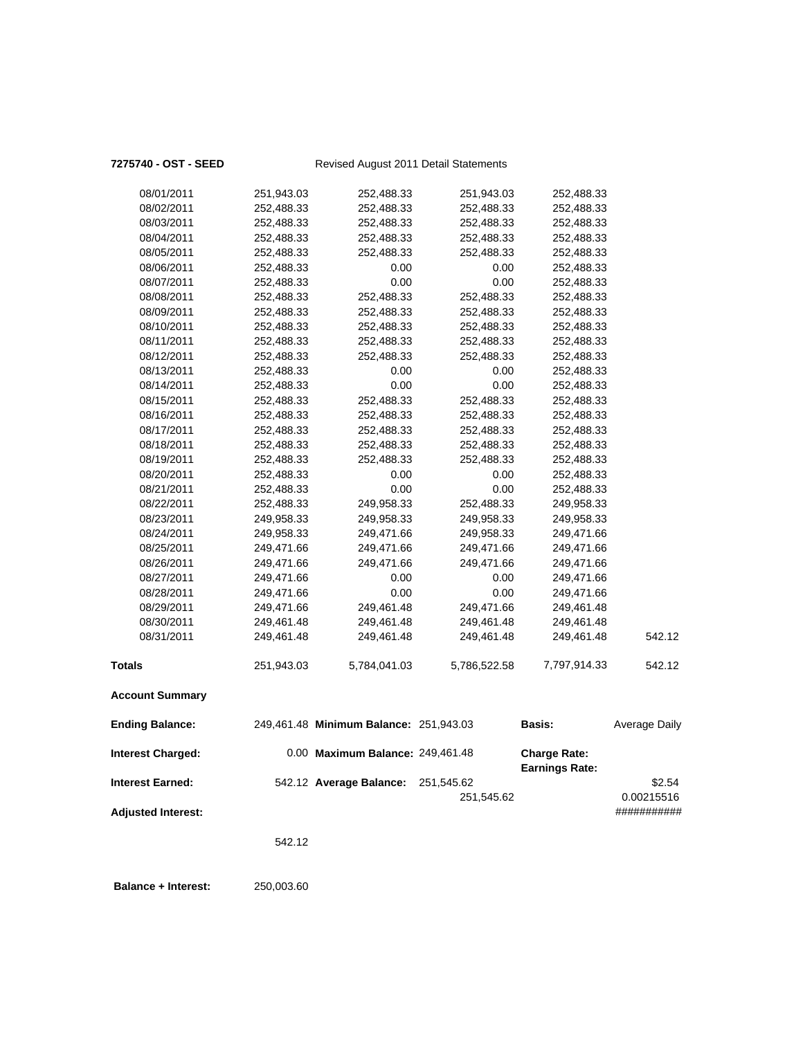### **7275740 - OST - SEED** Revised August 2011 Detail Statements

| Interest Charged:      |            | 0.00 Maximum Balance: 249,461.48       |              | <b>Charge Rate:</b> |               |
|------------------------|------------|----------------------------------------|--------------|---------------------|---------------|
| <b>Ending Balance:</b> |            | 249,461.48 Minimum Balance: 251,943.03 |              | Basis:              | Average Daily |
| <b>Account Summary</b> |            |                                        |              |                     |               |
| <b>Totals</b>          | 251,943.03 | 5,784,041.03                           | 5,786,522.58 | 7,797,914.33        | 542.12        |
| 08/31/2011             | 249,461.48 | 249,461.48                             | 249,461.48   | 249,461.48          | 542.12        |
| 08/30/2011             | 249,461.48 | 249,461.48                             | 249,461.48   | 249,461.48          |               |
| 08/29/2011             | 249,471.66 | 249,461.48                             | 249,471.66   | 249,461.48          |               |
| 08/28/2011             | 249,471.66 | 0.00                                   | 0.00         | 249,471.66          |               |
| 08/27/2011             | 249,471.66 | 0.00                                   | 0.00         | 249,471.66          |               |
| 08/26/2011             | 249,471.66 | 249,471.66                             | 249,471.66   | 249,471.66          |               |
| 08/25/2011             | 249,471.66 | 249,471.66                             | 249,471.66   | 249,471.66          |               |
| 08/24/2011             | 249,958.33 | 249,471.66                             | 249,958.33   | 249,471.66          |               |
| 08/23/2011             | 249,958.33 | 249,958.33                             | 249,958.33   | 249,958.33          |               |
| 08/22/2011             | 252,488.33 | 249,958.33                             | 252,488.33   | 249,958.33          |               |
| 08/21/2011             | 252,488.33 | 0.00                                   | 0.00         | 252,488.33          |               |
| 08/20/2011             | 252,488.33 | 0.00                                   | 0.00         | 252,488.33          |               |
| 08/19/2011             | 252,488.33 | 252,488.33                             | 252,488.33   | 252,488.33          |               |
| 08/18/2011             | 252,488.33 | 252,488.33                             | 252,488.33   | 252,488.33          |               |
| 08/17/2011             | 252,488.33 | 252,488.33                             | 252,488.33   | 252,488.33          |               |
| 08/16/2011             | 252,488.33 | 252,488.33                             | 252,488.33   | 252,488.33          |               |
| 08/15/2011             | 252,488.33 | 252,488.33                             | 252,488.33   | 252,488.33          |               |
| 08/14/2011             | 252,488.33 | 0.00                                   | 0.00         | 252,488.33          |               |
| 08/13/2011             | 252,488.33 | 0.00                                   | 0.00         | 252,488.33          |               |
| 08/12/2011             | 252,488.33 | 252,488.33                             | 252,488.33   | 252,488.33          |               |
| 08/11/2011             | 252,488.33 | 252,488.33                             | 252,488.33   | 252,488.33          |               |
| 08/10/2011             | 252,488.33 | 252,488.33                             | 252,488.33   | 252,488.33          |               |
| 08/09/2011             | 252,488.33 | 252,488.33                             | 252,488.33   | 252,488.33          |               |
| 08/08/2011             | 252,488.33 | 252,488.33                             | 252,488.33   | 252,488.33          |               |
| 08/07/2011             | 252,488.33 | 0.00                                   | 0.00         | 252,488.33          |               |
| 08/06/2011             | 252,488.33 | 0.00                                   | 0.00         | 252,488.33          |               |
| 08/05/2011             | 252,488.33 | 252,488.33                             | 252,488.33   | 252,488.33          |               |
| 08/04/2011             | 252,488.33 | 252,488.33                             | 252,488.33   | 252,488.33          |               |
| 08/03/2011             | 252,488.33 | 252,488.33                             | 252,488.33   | 252,488.33          |               |
| 08/02/2011             | 252,488.33 | 252,488.33                             | 252,488.33   | 252,488.33          |               |
| 08/01/2011             | 251,943.03 | 252,488.33                             | 251,943.03   | 252,488.33          |               |

**Earnings Rate: Interest Earned:** 542.12 **Average Balance:** 251,545.62 \$2.54 251,545.62 0.00215516 **Adjusted Interest:** ###########

542.12

 **Balance + Interest:** 250,003.60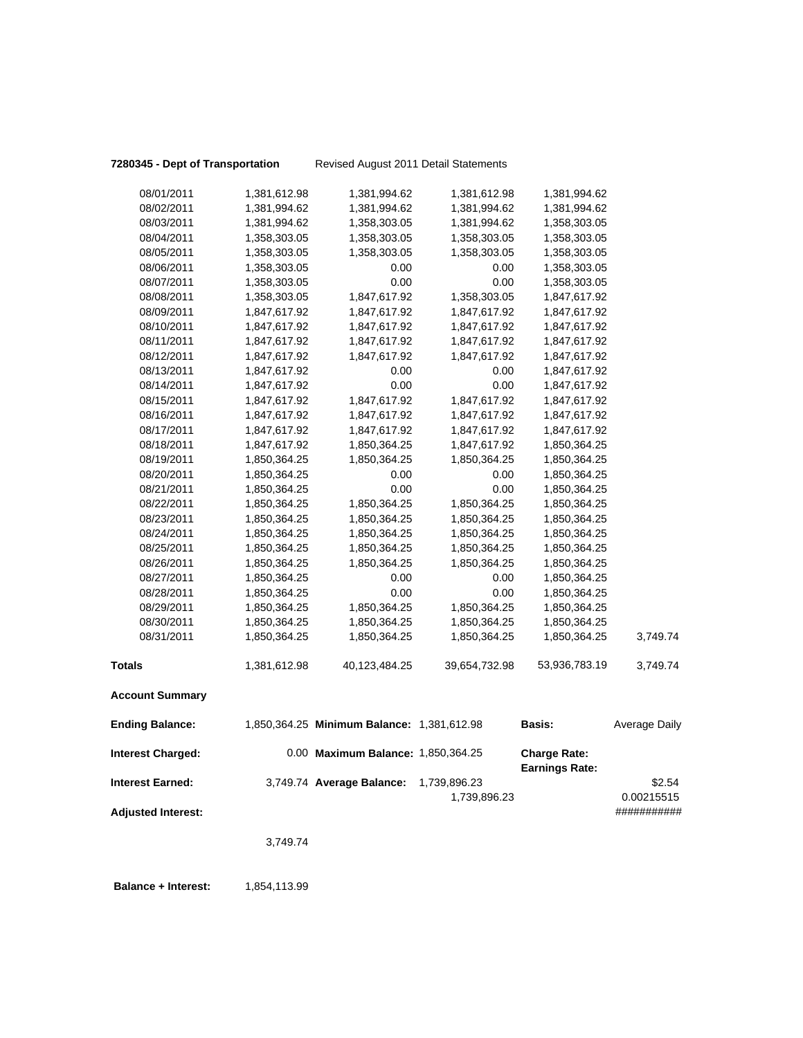**7280345 - Dept of Transportation** Revised August 2011 Detail Statements

| 08/01/2011                | 1,381,612.98 | 1,381,994.62                               | 1,381,612.98  | 1,381,994.62                                 |                           |
|---------------------------|--------------|--------------------------------------------|---------------|----------------------------------------------|---------------------------|
| 08/02/2011                | 1,381,994.62 | 1,381,994.62                               | 1,381,994.62  | 1,381,994.62                                 |                           |
| 08/03/2011                | 1,381,994.62 | 1,358,303.05                               | 1,381,994.62  | 1,358,303.05                                 |                           |
| 08/04/2011                | 1,358,303.05 | 1,358,303.05                               | 1,358,303.05  | 1,358,303.05                                 |                           |
| 08/05/2011                | 1,358,303.05 | 1,358,303.05                               | 1,358,303.05  | 1,358,303.05                                 |                           |
| 08/06/2011                | 1,358,303.05 | 0.00                                       | 0.00          | 1,358,303.05                                 |                           |
| 08/07/2011                | 1,358,303.05 | 0.00                                       | 0.00          | 1,358,303.05                                 |                           |
| 08/08/2011                | 1,358,303.05 | 1,847,617.92                               | 1,358,303.05  | 1,847,617.92                                 |                           |
| 08/09/2011                | 1,847,617.92 | 1,847,617.92                               | 1,847,617.92  | 1,847,617.92                                 |                           |
| 08/10/2011                | 1,847,617.92 | 1,847,617.92                               | 1,847,617.92  | 1,847,617.92                                 |                           |
| 08/11/2011                | 1,847,617.92 | 1,847,617.92                               | 1,847,617.92  | 1,847,617.92                                 |                           |
| 08/12/2011                | 1,847,617.92 | 1,847,617.92                               | 1,847,617.92  | 1,847,617.92                                 |                           |
| 08/13/2011                | 1,847,617.92 | 0.00                                       | 0.00          | 1,847,617.92                                 |                           |
| 08/14/2011                | 1,847,617.92 | 0.00                                       | 0.00          | 1,847,617.92                                 |                           |
| 08/15/2011                | 1,847,617.92 | 1,847,617.92                               | 1,847,617.92  | 1,847,617.92                                 |                           |
| 08/16/2011                | 1,847,617.92 | 1,847,617.92                               | 1,847,617.92  | 1,847,617.92                                 |                           |
| 08/17/2011                | 1,847,617.92 | 1,847,617.92                               | 1,847,617.92  | 1,847,617.92                                 |                           |
| 08/18/2011                | 1,847,617.92 | 1,850,364.25                               | 1,847,617.92  | 1,850,364.25                                 |                           |
| 08/19/2011                | 1,850,364.25 | 1,850,364.25                               | 1,850,364.25  | 1,850,364.25                                 |                           |
| 08/20/2011                | 1,850,364.25 | 0.00                                       | 0.00          | 1,850,364.25                                 |                           |
| 08/21/2011                | 1,850,364.25 | 0.00                                       | 0.00          | 1,850,364.25                                 |                           |
| 08/22/2011                | 1,850,364.25 | 1,850,364.25                               | 1,850,364.25  | 1,850,364.25                                 |                           |
| 08/23/2011                | 1,850,364.25 | 1,850,364.25                               | 1,850,364.25  | 1,850,364.25                                 |                           |
| 08/24/2011                | 1,850,364.25 | 1,850,364.25                               | 1,850,364.25  | 1,850,364.25                                 |                           |
| 08/25/2011                | 1,850,364.25 | 1,850,364.25                               | 1,850,364.25  | 1,850,364.25                                 |                           |
| 08/26/2011                | 1,850,364.25 | 1,850,364.25                               | 1,850,364.25  | 1,850,364.25                                 |                           |
| 08/27/2011                | 1,850,364.25 | 0.00                                       | 0.00          | 1,850,364.25                                 |                           |
| 08/28/2011                | 1,850,364.25 | 0.00                                       | 0.00          | 1,850,364.25                                 |                           |
| 08/29/2011                | 1,850,364.25 | 1,850,364.25                               | 1,850,364.25  | 1,850,364.25                                 |                           |
| 08/30/2011                | 1,850,364.25 | 1,850,364.25                               | 1,850,364.25  | 1,850,364.25                                 |                           |
| 08/31/2011                | 1,850,364.25 | 1,850,364.25                               | 1,850,364.25  | 1,850,364.25                                 | 3,749.74                  |
| <b>Totals</b>             | 1,381,612.98 | 40,123,484.25                              | 39,654,732.98 | 53,936,783.19                                | 3,749.74                  |
| <b>Account Summary</b>    |              |                                            |               |                                              |                           |
| <b>Ending Balance:</b>    |              | 1,850,364.25 Minimum Balance: 1,381,612.98 |               | <b>Basis:</b>                                | Average Daily             |
| <b>Interest Charged:</b>  |              | 0.00 Maximum Balance: 1,850,364.25         |               | <b>Charge Rate:</b><br><b>Earnings Rate:</b> |                           |
| <b>Interest Earned:</b>   |              | 3,749.74 Average Balance:                  | 1,739,896.23  |                                              | \$2.54                    |
| <b>Adjusted Interest:</b> |              |                                            | 1,739,896.23  |                                              | 0.00215515<br>########### |
|                           | 3,749.74     |                                            |               |                                              |                           |
|                           |              |                                            |               |                                              |                           |

**Balance + Interest:** 1,854,113.99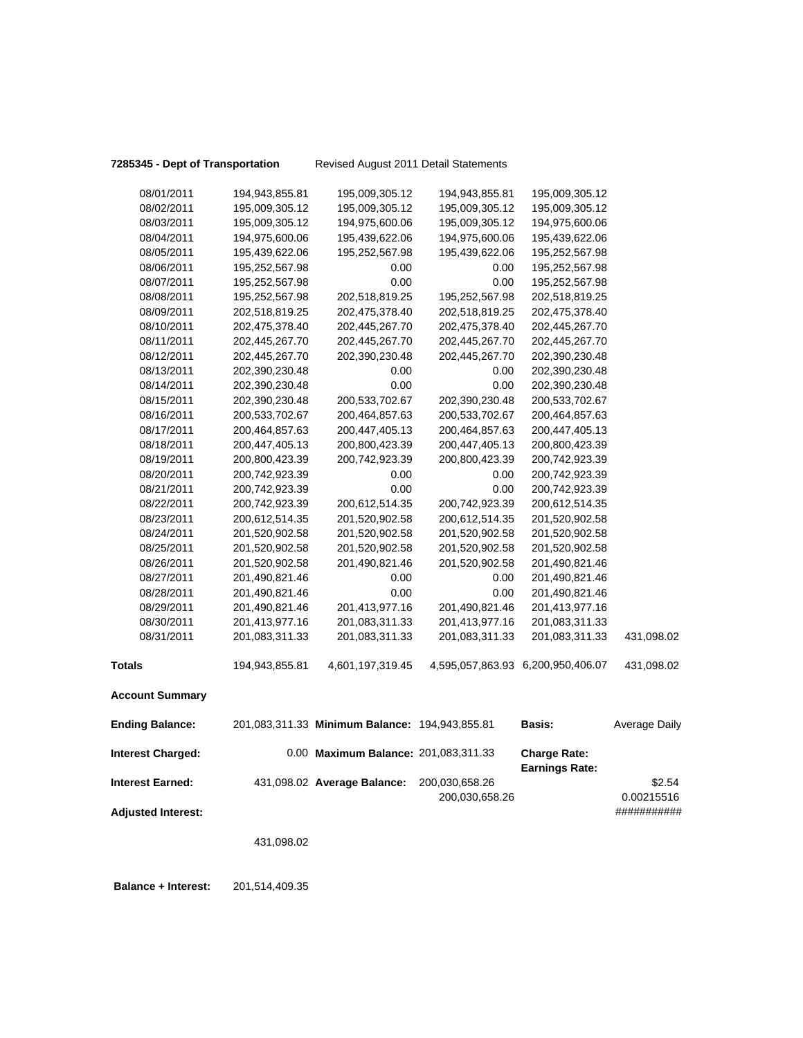**7285345 - Dept of Transportation** Revised August 2011 Detail Statements

| 08/01/2011                | 194,943,855.81 | 195,009,305.12                                 | 194,943,855.81 | 195,009,305.12                               |               |
|---------------------------|----------------|------------------------------------------------|----------------|----------------------------------------------|---------------|
| 08/02/2011                | 195,009,305.12 | 195,009,305.12                                 | 195,009,305.12 | 195,009,305.12                               |               |
| 08/03/2011                | 195,009,305.12 | 194,975,600.06                                 | 195,009,305.12 | 194,975,600.06                               |               |
| 08/04/2011                | 194,975,600.06 | 195,439,622.06                                 | 194,975,600.06 | 195,439,622.06                               |               |
| 08/05/2011                | 195,439,622.06 | 195,252,567.98                                 | 195,439,622.06 | 195,252,567.98                               |               |
| 08/06/2011                | 195,252,567.98 | 0.00                                           | 0.00           | 195,252,567.98                               |               |
| 08/07/2011                | 195,252,567.98 | 0.00                                           | 0.00           | 195,252,567.98                               |               |
| 08/08/2011                | 195,252,567.98 | 202,518,819.25                                 | 195,252,567.98 | 202,518,819.25                               |               |
| 08/09/2011                | 202,518,819.25 | 202,475,378.40                                 | 202,518,819.25 | 202,475,378.40                               |               |
| 08/10/2011                | 202,475,378.40 | 202,445,267.70                                 | 202,475,378.40 | 202,445,267.70                               |               |
| 08/11/2011                | 202,445,267.70 | 202,445,267.70                                 | 202,445,267.70 | 202,445,267.70                               |               |
| 08/12/2011                | 202,445,267.70 | 202,390,230.48                                 | 202,445,267.70 | 202,390,230.48                               |               |
| 08/13/2011                | 202,390,230.48 | 0.00                                           | 0.00           | 202,390,230.48                               |               |
| 08/14/2011                | 202,390,230.48 | 0.00                                           | 0.00           | 202,390,230.48                               |               |
| 08/15/2011                | 202,390,230.48 | 200,533,702.67                                 | 202,390,230.48 | 200,533,702.67                               |               |
| 08/16/2011                | 200,533,702.67 | 200,464,857.63                                 | 200,533,702.67 | 200,464,857.63                               |               |
| 08/17/2011                | 200,464,857.63 | 200,447,405.13                                 | 200,464,857.63 | 200,447,405.13                               |               |
| 08/18/2011                | 200,447,405.13 | 200,800,423.39                                 | 200,447,405.13 | 200,800,423.39                               |               |
| 08/19/2011                | 200,800,423.39 | 200,742,923.39                                 | 200,800,423.39 | 200,742,923.39                               |               |
| 08/20/2011                | 200,742,923.39 | 0.00                                           | 0.00           | 200,742,923.39                               |               |
| 08/21/2011                | 200,742,923.39 | 0.00                                           | 0.00           | 200,742,923.39                               |               |
| 08/22/2011                | 200,742,923.39 | 200,612,514.35                                 | 200,742,923.39 | 200,612,514.35                               |               |
| 08/23/2011                | 200,612,514.35 | 201,520,902.58                                 | 200,612,514.35 | 201,520,902.58                               |               |
| 08/24/2011                | 201,520,902.58 | 201,520,902.58                                 | 201,520,902.58 | 201,520,902.58                               |               |
| 08/25/2011                | 201,520,902.58 | 201,520,902.58                                 | 201,520,902.58 | 201,520,902.58                               |               |
| 08/26/2011                | 201,520,902.58 | 201,490,821.46                                 | 201,520,902.58 | 201,490,821.46                               |               |
| 08/27/2011                | 201,490,821.46 | 0.00                                           | 0.00           | 201,490,821.46                               |               |
| 08/28/2011                | 201,490,821.46 | 0.00                                           | 0.00           | 201,490,821.46                               |               |
| 08/29/2011                | 201,490,821.46 | 201,413,977.16                                 | 201,490,821.46 | 201,413,977.16                               |               |
| 08/30/2011                | 201,413,977.16 | 201,083,311.33                                 | 201,413,977.16 | 201,083,311.33                               |               |
| 08/31/2011                | 201,083,311.33 | 201,083,311.33                                 | 201,083,311.33 | 201,083,311.33                               | 431,098.02    |
| <b>Totals</b>             | 194,943,855.81 | 4,601,197,319.45                               |                | 4,595,057,863.93 6,200,950,406.07            | 431,098.02    |
| <b>Account Summary</b>    |                |                                                |                |                                              |               |
| <b>Ending Balance:</b>    |                | 201,083,311.33 Minimum Balance: 194,943,855.81 |                | <b>Basis:</b>                                | Average Daily |
| <b>Interest Charged:</b>  |                | 0.00 Maximum Balance: 201,083,311.33           |                | <b>Charge Rate:</b><br><b>Earnings Rate:</b> |               |
| <b>Interest Earned:</b>   |                | 431,098.02 Average Balance:                    | 200,030,658.26 |                                              | \$2.54        |
|                           |                |                                                | 200,030,658.26 |                                              | 0.00215516    |
| <b>Adjusted Interest:</b> |                |                                                |                |                                              | ###########   |
|                           | 431,098.02     |                                                |                |                                              |               |
|                           |                |                                                |                |                                              |               |

 **Balance + Interest:** 201,514,409.35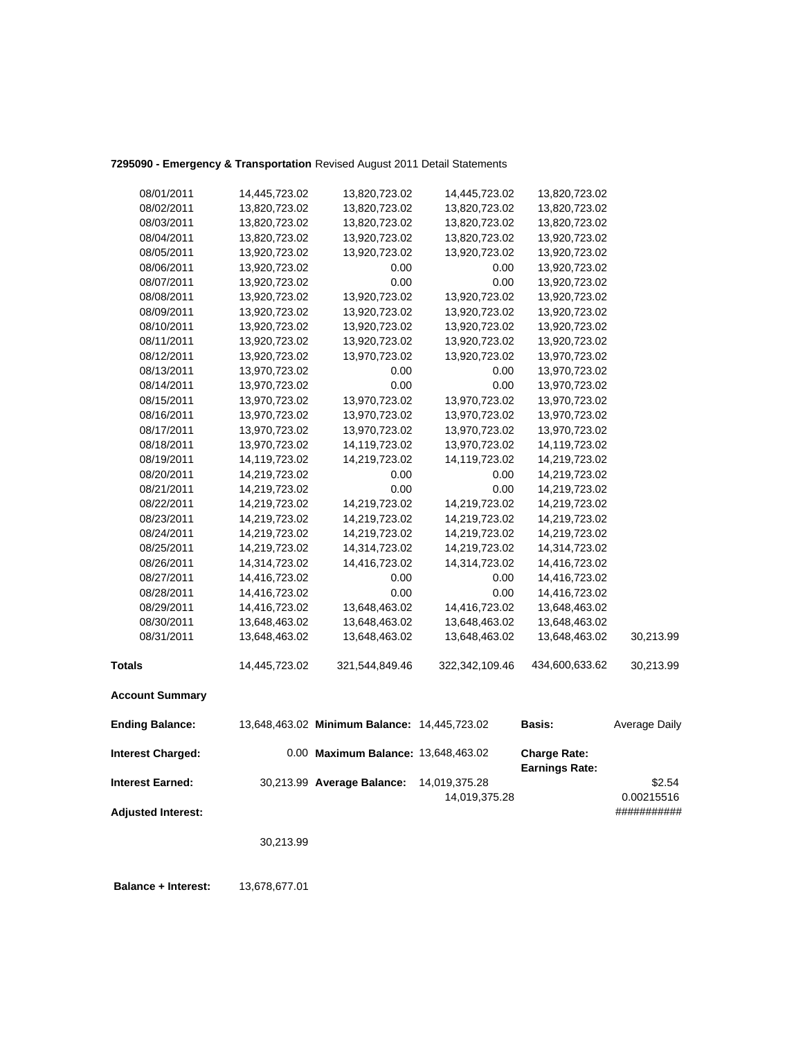## **7295090 - Emergency & Transportation** Revised August 2011 Detail Statements

| 08/01/2011                | 14,445,723.02 | 13,820,723.02                                | 14,445,723.02  | 13,820,723.02                                |               |
|---------------------------|---------------|----------------------------------------------|----------------|----------------------------------------------|---------------|
| 08/02/2011                | 13,820,723.02 | 13,820,723.02                                | 13,820,723.02  | 13,820,723.02                                |               |
| 08/03/2011                | 13,820,723.02 | 13,820,723.02                                | 13,820,723.02  | 13,820,723.02                                |               |
| 08/04/2011                | 13,820,723.02 | 13,920,723.02                                | 13,820,723.02  | 13,920,723.02                                |               |
| 08/05/2011                | 13,920,723.02 | 13,920,723.02                                | 13,920,723.02  | 13,920,723.02                                |               |
| 08/06/2011                | 13,920,723.02 | 0.00                                         | 0.00           | 13,920,723.02                                |               |
| 08/07/2011                | 13,920,723.02 | 0.00                                         | 0.00           | 13,920,723.02                                |               |
| 08/08/2011                | 13,920,723.02 | 13,920,723.02                                | 13,920,723.02  | 13,920,723.02                                |               |
| 08/09/2011                | 13,920,723.02 | 13,920,723.02                                | 13,920,723.02  | 13,920,723.02                                |               |
| 08/10/2011                | 13,920,723.02 | 13,920,723.02                                | 13,920,723.02  | 13,920,723.02                                |               |
| 08/11/2011                | 13,920,723.02 | 13,920,723.02                                | 13,920,723.02  | 13,920,723.02                                |               |
| 08/12/2011                | 13,920,723.02 | 13,970,723.02                                | 13,920,723.02  | 13,970,723.02                                |               |
| 08/13/2011                | 13,970,723.02 | 0.00                                         | 0.00           | 13,970,723.02                                |               |
| 08/14/2011                | 13,970,723.02 | 0.00                                         | 0.00           | 13,970,723.02                                |               |
| 08/15/2011                | 13,970,723.02 | 13,970,723.02                                | 13,970,723.02  | 13,970,723.02                                |               |
| 08/16/2011                | 13,970,723.02 | 13,970,723.02                                | 13,970,723.02  | 13,970,723.02                                |               |
| 08/17/2011                | 13,970,723.02 | 13,970,723.02                                | 13,970,723.02  | 13,970,723.02                                |               |
| 08/18/2011                | 13,970,723.02 | 14,119,723.02                                | 13,970,723.02  | 14,119,723.02                                |               |
| 08/19/2011                | 14,119,723.02 | 14,219,723.02                                | 14,119,723.02  | 14,219,723.02                                |               |
| 08/20/2011                | 14,219,723.02 | 0.00                                         | 0.00           | 14,219,723.02                                |               |
| 08/21/2011                | 14,219,723.02 | 0.00                                         | 0.00           | 14,219,723.02                                |               |
| 08/22/2011                | 14,219,723.02 | 14,219,723.02                                | 14,219,723.02  | 14,219,723.02                                |               |
| 08/23/2011                | 14,219,723.02 | 14,219,723.02                                | 14,219,723.02  | 14,219,723.02                                |               |
| 08/24/2011                | 14,219,723.02 | 14,219,723.02                                | 14,219,723.02  | 14,219,723.02                                |               |
| 08/25/2011                | 14,219,723.02 | 14,314,723.02                                | 14,219,723.02  | 14,314,723.02                                |               |
| 08/26/2011                | 14,314,723.02 | 14,416,723.02                                | 14,314,723.02  | 14,416,723.02                                |               |
| 08/27/2011                | 14,416,723.02 | 0.00                                         | 0.00           | 14,416,723.02                                |               |
| 08/28/2011                | 14,416,723.02 | 0.00                                         | 0.00           | 14,416,723.02                                |               |
| 08/29/2011                | 14,416,723.02 | 13,648,463.02                                | 14,416,723.02  | 13,648,463.02                                |               |
| 08/30/2011                | 13,648,463.02 | 13,648,463.02                                | 13,648,463.02  | 13,648,463.02                                |               |
| 08/31/2011                | 13,648,463.02 | 13,648,463.02                                | 13,648,463.02  | 13,648,463.02                                | 30,213.99     |
| <b>Totals</b>             | 14,445,723.02 | 321,544,849.46                               | 322,342,109.46 | 434,600,633.62                               | 30,213.99     |
| <b>Account Summary</b>    |               |                                              |                |                                              |               |
| <b>Ending Balance:</b>    |               | 13,648,463.02 Minimum Balance: 14,445,723.02 |                | <b>Basis:</b>                                | Average Daily |
| <b>Interest Charged:</b>  |               | 0.00 Maximum Balance: 13,648,463.02          |                | <b>Charge Rate:</b><br><b>Earnings Rate:</b> |               |
| <b>Interest Earned:</b>   |               | 30,213.99 Average Balance:                   | 14,019,375.28  |                                              | \$2.54        |
|                           |               |                                              | 14,019,375.28  |                                              | 0.00215516    |
| <b>Adjusted Interest:</b> |               |                                              |                |                                              | ###########   |
|                           | 30,213.99     |                                              |                |                                              |               |
|                           |               |                                              |                |                                              |               |

 **Balance + Interest:** 13,678,677.01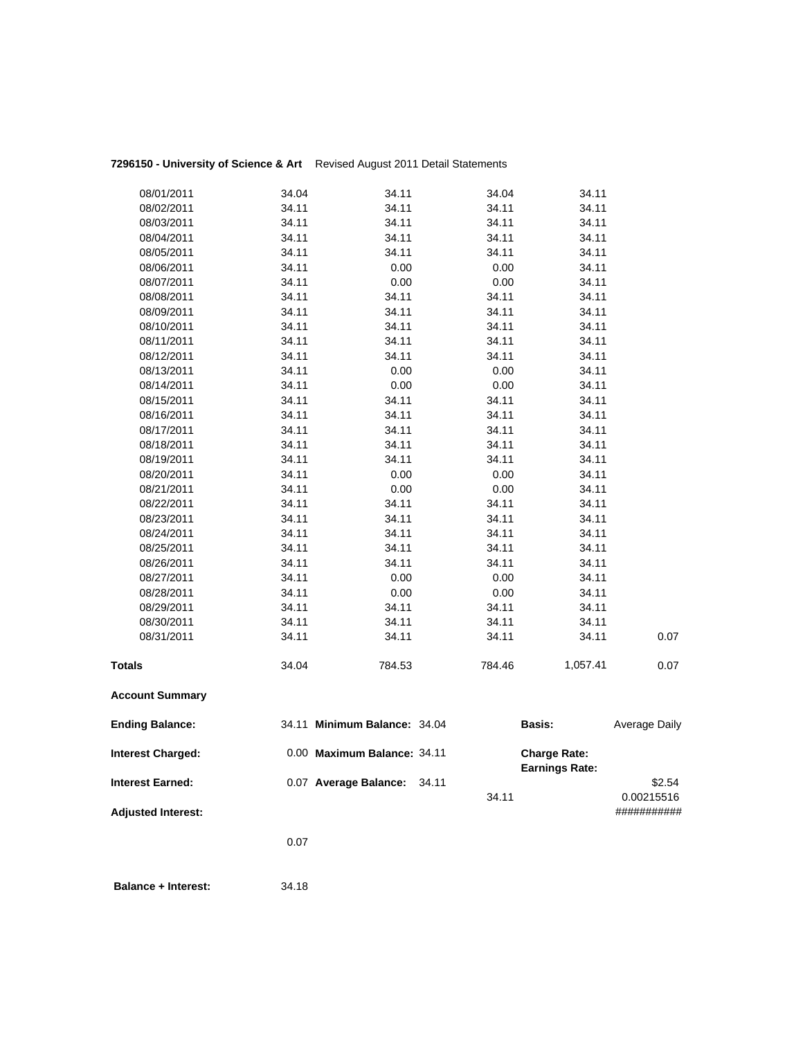## **7296150 - University of Science & Art** Revised August 2011 Detail Statements

| <b>Interest Earned:</b>  |                | 0.07 Average Balance:        | 34.11 | 34.11          |                                              | \$2.54<br>0.00215516 |
|--------------------------|----------------|------------------------------|-------|----------------|----------------------------------------------|----------------------|
| <b>Interest Charged:</b> |                | 0.00 Maximum Balance: 34.11  |       |                | <b>Charge Rate:</b><br><b>Earnings Rate:</b> |                      |
| <b>Ending Balance:</b>   |                | 34.11 Minimum Balance: 34.04 |       |                | Basis:                                       | Average Daily        |
| <b>Account Summary</b>   |                |                              |       |                |                                              |                      |
| <b>Totals</b>            | 34.04          | 784.53                       |       | 784.46         | 1,057.41                                     | 0.07                 |
| 08/31/2011               | 34.11          | 34.11                        |       | 34.11          | 34.11                                        | 0.07                 |
| 08/30/2011               | 34.11          | 34.11                        |       | 34.11          | 34.11                                        |                      |
| 08/29/2011               | 34.11          | 34.11                        |       | 34.11          | 34.11                                        |                      |
| 08/28/2011               | 34.11          | 0.00                         |       | 0.00           | 34.11                                        |                      |
| 08/27/2011               | 34.11          | 0.00                         |       | 0.00           | 34.11                                        |                      |
| 08/26/2011               | 34.11          | 34.11                        |       | 34.11          | 34.11                                        |                      |
| 08/25/2011               | 34.11          | 34.11                        |       | 34.11          | 34.11                                        |                      |
| 08/24/2011               | 34.11          | 34.11                        |       | 34.11          | 34.11                                        |                      |
| 08/23/2011               | 34.11          | 34.11                        |       | 34.11          | 34.11                                        |                      |
| 08/22/2011               | 34.11          | 34.11                        |       | 34.11          | 34.11                                        |                      |
| 08/21/2011               | 34.11          | 0.00                         |       | 0.00           | 34.11                                        |                      |
| 08/20/2011               | 34.11          | 0.00                         |       | 0.00           | 34.11                                        |                      |
| 08/19/2011               | 34.11          | 34.11                        |       | 34.11          | 34.11                                        |                      |
| 08/18/2011               | 34.11          | 34.11                        |       | 34.11          | 34.11                                        |                      |
| 08/17/2011               | 34.11          | 34.11                        |       | 34.11          | 34.11                                        |                      |
| 08/16/2011               | 34.11          | 34.11                        |       | 34.11          | 34.11                                        |                      |
| 08/15/2011               | 34.11          | 34.11                        |       | 34.11          | 34.11                                        |                      |
| 08/14/2011               | 34.11          | 0.00                         |       | 0.00           | 34.11                                        |                      |
| 08/13/2011               | 34.11          | 0.00                         |       | 0.00           | 34.11                                        |                      |
| 08/12/2011               | 34.11          | 34.11                        |       | 34.11          | 34.11                                        |                      |
| 08/11/2011               | 34.11          | 34.11                        |       | 34.11          | 34.11                                        |                      |
| 08/10/2011               | 34.11          | 34.11                        |       | 34.11          | 34.11                                        |                      |
| 08/09/2011               | 34.11          | 34.11                        |       | 34.11          | 34.11                                        |                      |
| 08/08/2011               | 34.11          | 34.11                        |       | 34.11          | 34.11                                        |                      |
| 08/07/2011               | 34.11          | 0.00                         |       | 0.00           | 34.11                                        |                      |
| 08/06/2011               | 34.11          | 0.00                         |       | 0.00           | 34.11                                        |                      |
| 08/05/2011               | 34.11          | 34.11                        |       | 34.11          | 34.11                                        |                      |
| 08/03/2011<br>08/04/2011 | 34.11<br>34.11 | 34.11<br>34.11               |       | 34.11<br>34.11 | 34.11<br>34.11                               |                      |
| 08/02/2011               | 34.11          | 34.11                        |       | 34.11          | 34.11                                        |                      |
| 08/01/2011               | 34.04          | 34.11                        |       | 34.04          | 34.11                                        |                      |
|                          |                |                              |       |                |                                              |                      |

**Adjusted Interest:** ###########

0.07

**Balance + Interest:** 34.18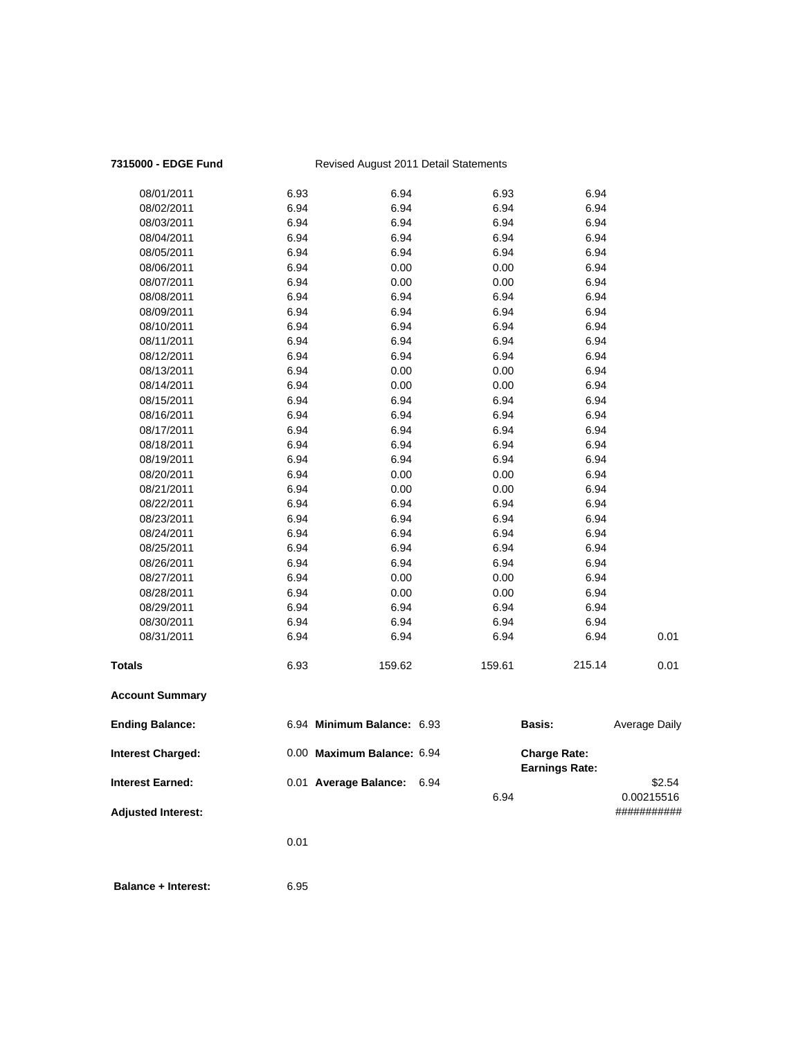## **7315000 - EDGE Fund** Revised August 2011 Detail Statements

| <b>Interest Charged:</b> |      | 0.00 Maximum Balance: 6.94 |        | <b>Charge Rate:</b><br><b>Earnings Rate:</b> |                      |
|--------------------------|------|----------------------------|--------|----------------------------------------------|----------------------|
| <b>Ending Balance:</b>   |      | 6.94 Minimum Balance: 6.93 |        | <b>Basis:</b>                                | <b>Average Daily</b> |
| <b>Account Summary</b>   |      |                            |        |                                              |                      |
| <b>Totals</b>            | 6.93 | 159.62                     | 159.61 | 215.14                                       | 0.01                 |
| 08/31/2011               | 6.94 | 6.94                       | 6.94   | 6.94                                         | 0.01                 |
| 08/30/2011               | 6.94 | 6.94                       | 6.94   | 6.94                                         |                      |
| 08/29/2011               | 6.94 | 6.94                       | 6.94   | 6.94                                         |                      |
| 08/28/2011               | 6.94 | 0.00                       | 0.00   | 6.94                                         |                      |
| 08/27/2011               | 6.94 | 0.00                       | 0.00   | 6.94                                         |                      |
| 08/26/2011               | 6.94 | 6.94                       | 6.94   | 6.94                                         |                      |
| 08/25/2011               | 6.94 | 6.94                       | 6.94   | 6.94                                         |                      |
| 08/24/2011               | 6.94 | 6.94                       | 6.94   | 6.94                                         |                      |
| 08/23/2011               | 6.94 | 6.94                       | 6.94   | 6.94                                         |                      |
| 08/22/2011               | 6.94 | 6.94                       | 6.94   | 6.94                                         |                      |
| 08/21/2011               | 6.94 | 0.00                       | 0.00   | 6.94                                         |                      |
| 08/20/2011               | 6.94 | 0.00                       | 0.00   | 6.94                                         |                      |
| 08/19/2011               | 6.94 | 6.94                       | 6.94   | 6.94                                         |                      |
| 08/18/2011               | 6.94 | 6.94                       | 6.94   | 6.94                                         |                      |
| 08/17/2011               | 6.94 | 6.94                       | 6.94   | 6.94                                         |                      |
| 08/16/2011               | 6.94 | 6.94                       | 6.94   | 6.94                                         |                      |
| 08/15/2011               | 6.94 | 6.94                       | 6.94   | 6.94                                         |                      |
| 08/14/2011               | 6.94 | 0.00                       | 0.00   | 6.94                                         |                      |
| 08/13/2011               | 6.94 | 0.00                       | 0.00   | 6.94                                         |                      |
| 08/12/2011               | 6.94 | 6.94                       | 6.94   | 6.94                                         |                      |
| 08/11/2011               | 6.94 | 6.94                       | 6.94   | 6.94                                         |                      |
| 08/10/2011               | 6.94 | 6.94                       | 6.94   | 6.94                                         |                      |
| 08/09/2011               | 6.94 | 6.94                       | 6.94   | 6.94                                         |                      |
| 08/08/2011               | 6.94 | 6.94                       | 6.94   | 6.94                                         |                      |
| 08/07/2011               | 6.94 | 0.00                       | 0.00   | 6.94                                         |                      |
| 08/06/2011               | 6.94 | 0.00                       | 0.00   | 6.94                                         |                      |
| 08/05/2011               | 6.94 | 6.94                       | 6.94   | 6.94                                         |                      |
| 08/04/2011               | 6.94 | 6.94                       | 6.94   | 6.94                                         |                      |
| 08/03/2011               | 6.94 | 6.94                       | 6.94   | 6.94                                         |                      |
| 08/02/2011               | 6.94 | 6.94                       | 6.94   | 6.94                                         |                      |
| 08/01/2011               | 6.93 | 6.94                       | 6.93   | 6.94                                         |                      |

**Interest Earned:** 0.01 **Average Balance:** 6.94 **\$2.54** \$2.54 6.94 0.00215516

**Adjusted Interest:** ###########

0.01

 **Balance + Interest:** 6.95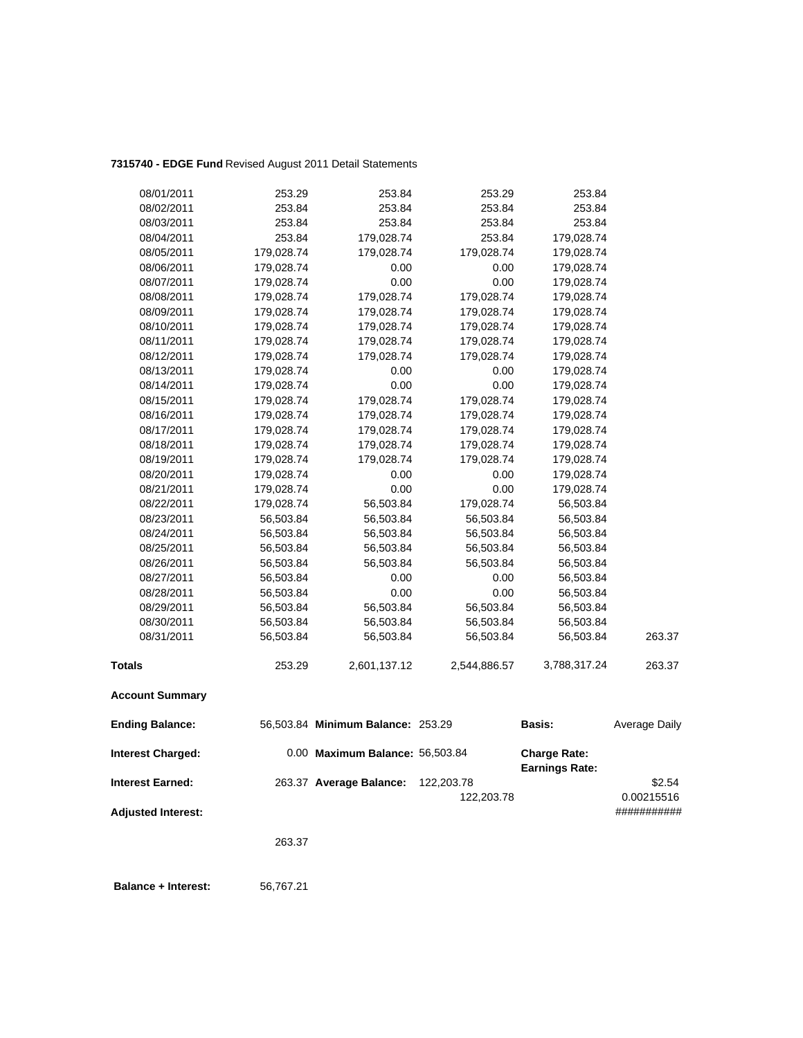## **7315740 - EDGE Fund** Revised August 2011 Detail Statements

| 08/01/2011                | 253.29     | 253.84                            | 253.29       | 253.84                                       |                           |
|---------------------------|------------|-----------------------------------|--------------|----------------------------------------------|---------------------------|
| 08/02/2011                | 253.84     | 253.84                            | 253.84       | 253.84                                       |                           |
| 08/03/2011                | 253.84     | 253.84                            | 253.84       | 253.84                                       |                           |
| 08/04/2011                | 253.84     | 179,028.74                        | 253.84       | 179,028.74                                   |                           |
| 08/05/2011                | 179,028.74 | 179,028.74                        | 179,028.74   | 179,028.74                                   |                           |
| 08/06/2011                | 179,028.74 | 0.00                              | 0.00         | 179,028.74                                   |                           |
| 08/07/2011                | 179,028.74 | 0.00                              | 0.00         | 179,028.74                                   |                           |
| 08/08/2011                | 179,028.74 | 179,028.74                        | 179,028.74   | 179,028.74                                   |                           |
| 08/09/2011                | 179,028.74 | 179,028.74                        | 179,028.74   | 179,028.74                                   |                           |
| 08/10/2011                | 179,028.74 | 179,028.74                        | 179,028.74   | 179,028.74                                   |                           |
| 08/11/2011                | 179,028.74 | 179,028.74                        | 179,028.74   | 179,028.74                                   |                           |
| 08/12/2011                | 179,028.74 | 179,028.74                        | 179,028.74   | 179,028.74                                   |                           |
| 08/13/2011                | 179,028.74 | 0.00                              | 0.00         | 179,028.74                                   |                           |
| 08/14/2011                | 179,028.74 | 0.00                              | 0.00         | 179,028.74                                   |                           |
| 08/15/2011                | 179,028.74 | 179,028.74                        | 179,028.74   | 179,028.74                                   |                           |
| 08/16/2011                | 179,028.74 | 179,028.74                        | 179,028.74   | 179,028.74                                   |                           |
| 08/17/2011                | 179,028.74 | 179,028.74                        | 179,028.74   | 179,028.74                                   |                           |
| 08/18/2011                | 179,028.74 | 179,028.74                        | 179,028.74   | 179,028.74                                   |                           |
| 08/19/2011                | 179,028.74 | 179,028.74                        | 179,028.74   | 179,028.74                                   |                           |
| 08/20/2011                | 179,028.74 | 0.00                              | 0.00         | 179,028.74                                   |                           |
| 08/21/2011                | 179,028.74 | 0.00                              | 0.00         | 179,028.74                                   |                           |
| 08/22/2011                | 179,028.74 | 56,503.84                         | 179,028.74   | 56,503.84                                    |                           |
| 08/23/2011                | 56,503.84  | 56,503.84                         | 56,503.84    | 56,503.84                                    |                           |
| 08/24/2011                | 56,503.84  | 56,503.84                         | 56,503.84    | 56,503.84                                    |                           |
| 08/25/2011                | 56,503.84  | 56,503.84                         | 56,503.84    | 56,503.84                                    |                           |
| 08/26/2011                | 56,503.84  | 56,503.84                         | 56,503.84    | 56,503.84                                    |                           |
| 08/27/2011                | 56,503.84  | 0.00                              | 0.00         | 56,503.84                                    |                           |
| 08/28/2011                | 56,503.84  | 0.00                              | 0.00         | 56,503.84                                    |                           |
| 08/29/2011                | 56,503.84  | 56,503.84                         | 56,503.84    | 56,503.84                                    |                           |
| 08/30/2011                | 56,503.84  | 56,503.84                         | 56,503.84    | 56,503.84                                    |                           |
| 08/31/2011                | 56,503.84  | 56,503.84                         | 56,503.84    | 56,503.84                                    | 263.37                    |
| <b>Totals</b>             | 253.29     | 2,601,137.12                      | 2,544,886.57 | 3,788,317.24                                 | 263.37                    |
| <b>Account Summary</b>    |            |                                   |              |                                              |                           |
| <b>Ending Balance:</b>    |            | 56,503.84 Minimum Balance: 253.29 |              | Basis:                                       | Average Daily             |
| <b>Interest Charged:</b>  |            | 0.00 Maximum Balance: 56,503.84   |              | <b>Charge Rate:</b><br><b>Earnings Rate:</b> |                           |
| <b>Interest Earned:</b>   |            | 263.37 Average Balance:           | 122,203.78   |                                              | \$2.54                    |
| <b>Adjusted Interest:</b> |            |                                   | 122,203.78   |                                              | 0.00215516<br>########### |
|                           |            |                                   |              |                                              |                           |

263.37

 **Balance + Interest:** 56,767.21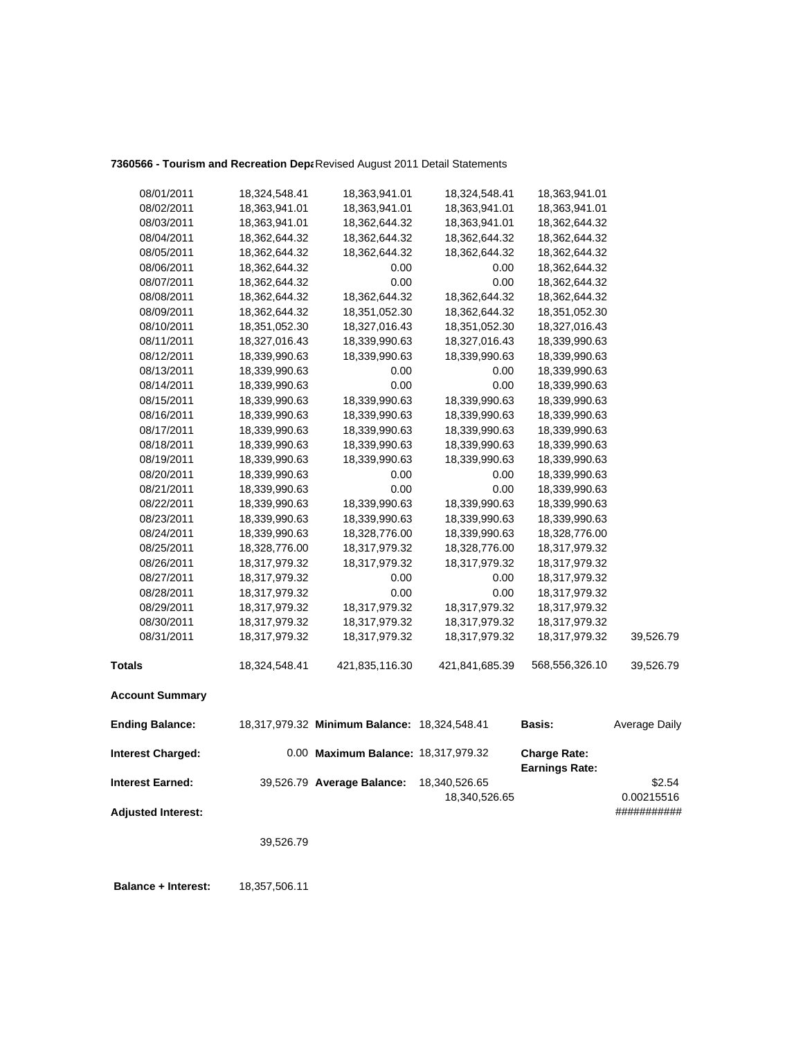## 7360566 - Tourism and Recreation Depa Revised August 2011 Detail Statements

| 08/01/2011                | 18,324,548.41 | 18,363,941.01                                | 18,324,548.41  | 18,363,941.01                                |                      |
|---------------------------|---------------|----------------------------------------------|----------------|----------------------------------------------|----------------------|
| 08/02/2011                | 18,363,941.01 | 18,363,941.01                                | 18,363,941.01  | 18,363,941.01                                |                      |
| 08/03/2011                | 18,363,941.01 | 18,362,644.32                                | 18,363,941.01  | 18,362,644.32                                |                      |
| 08/04/2011                | 18,362,644.32 | 18,362,644.32                                | 18,362,644.32  | 18,362,644.32                                |                      |
| 08/05/2011                | 18,362,644.32 | 18,362,644.32                                | 18,362,644.32  | 18,362,644.32                                |                      |
| 08/06/2011                | 18,362,644.32 | 0.00                                         | 0.00           | 18,362,644.32                                |                      |
| 08/07/2011                | 18,362,644.32 | 0.00                                         | 0.00           | 18,362,644.32                                |                      |
| 08/08/2011                | 18,362,644.32 | 18,362,644.32                                | 18,362,644.32  | 18,362,644.32                                |                      |
| 08/09/2011                | 18,362,644.32 | 18,351,052.30                                | 18,362,644.32  | 18,351,052.30                                |                      |
| 08/10/2011                | 18,351,052.30 | 18,327,016.43                                | 18,351,052.30  | 18,327,016.43                                |                      |
| 08/11/2011                | 18,327,016.43 | 18,339,990.63                                | 18,327,016.43  | 18,339,990.63                                |                      |
| 08/12/2011                | 18,339,990.63 | 18,339,990.63                                | 18,339,990.63  | 18,339,990.63                                |                      |
| 08/13/2011                | 18,339,990.63 | 0.00                                         | 0.00           | 18,339,990.63                                |                      |
| 08/14/2011                | 18,339,990.63 | 0.00                                         | 0.00           | 18,339,990.63                                |                      |
| 08/15/2011                | 18,339,990.63 | 18,339,990.63                                | 18,339,990.63  | 18,339,990.63                                |                      |
| 08/16/2011                | 18,339,990.63 | 18,339,990.63                                | 18,339,990.63  | 18,339,990.63                                |                      |
| 08/17/2011                | 18,339,990.63 | 18,339,990.63                                | 18,339,990.63  | 18,339,990.63                                |                      |
| 08/18/2011                | 18,339,990.63 | 18,339,990.63                                | 18,339,990.63  | 18,339,990.63                                |                      |
| 08/19/2011                | 18,339,990.63 | 18,339,990.63                                | 18,339,990.63  | 18,339,990.63                                |                      |
| 08/20/2011                | 18,339,990.63 | 0.00                                         | 0.00           | 18,339,990.63                                |                      |
| 08/21/2011                | 18,339,990.63 | 0.00                                         | 0.00           | 18,339,990.63                                |                      |
| 08/22/2011                | 18,339,990.63 | 18,339,990.63                                | 18,339,990.63  | 18,339,990.63                                |                      |
| 08/23/2011                | 18,339,990.63 | 18,339,990.63                                | 18,339,990.63  | 18,339,990.63                                |                      |
| 08/24/2011                | 18,339,990.63 | 18,328,776.00                                | 18,339,990.63  | 18,328,776.00                                |                      |
| 08/25/2011                | 18,328,776.00 | 18,317,979.32                                | 18,328,776.00  | 18,317,979.32                                |                      |
| 08/26/2011                | 18,317,979.32 | 18,317,979.32                                | 18,317,979.32  | 18,317,979.32                                |                      |
| 08/27/2011                | 18,317,979.32 | 0.00                                         | 0.00           | 18,317,979.32                                |                      |
| 08/28/2011                | 18,317,979.32 | 0.00                                         | 0.00           | 18,317,979.32                                |                      |
| 08/29/2011                | 18,317,979.32 | 18,317,979.32                                | 18,317,979.32  | 18,317,979.32                                |                      |
| 08/30/2011                | 18,317,979.32 | 18,317,979.32                                | 18,317,979.32  | 18,317,979.32                                |                      |
| 08/31/2011                | 18,317,979.32 | 18,317,979.32                                | 18,317,979.32  | 18,317,979.32                                | 39,526.79            |
| <b>Totals</b>             | 18,324,548.41 | 421,835,116.30                               | 421,841,685.39 | 568,556,326.10                               | 39,526.79            |
| <b>Account Summary</b>    |               |                                              |                |                                              |                      |
| <b>Ending Balance:</b>    |               | 18,317,979.32 Minimum Balance: 18,324,548.41 |                | <b>Basis:</b>                                | <b>Average Daily</b> |
| <b>Interest Charged:</b>  |               | 0.00 Maximum Balance: 18,317,979.32          |                | <b>Charge Rate:</b><br><b>Earnings Rate:</b> |                      |
| <b>Interest Earned:</b>   |               | 39,526.79 Average Balance:                   | 18,340,526.65  |                                              | \$2.54               |
|                           |               |                                              | 18,340,526.65  |                                              | 0.00215516           |
| <b>Adjusted Interest:</b> |               |                                              |                |                                              | ###########          |
|                           |               |                                              |                |                                              |                      |
|                           | 39,526.79     |                                              |                |                                              |                      |
|                           |               |                                              |                |                                              |                      |

 **Balance + Interest:** 18,357,506.11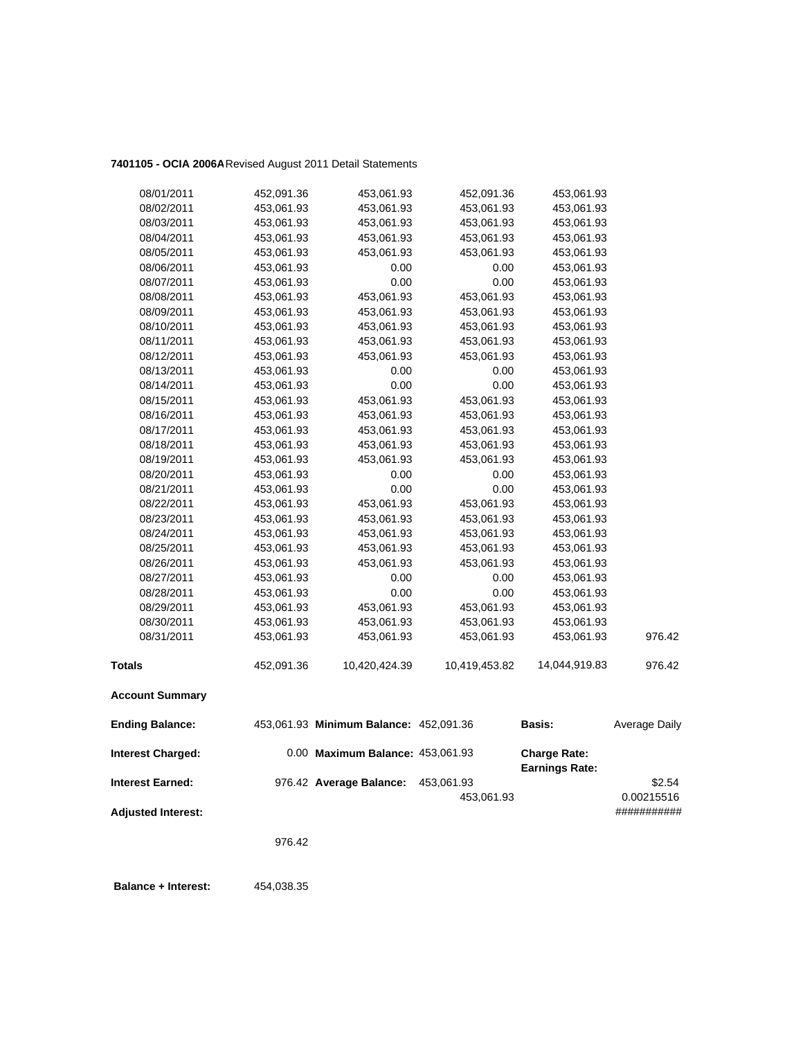## **7401105 - OCIA 2006A**Revised August 2011 Detail Statements

| <b>Interest Earned:</b>  |                          | 976.42 Average Balance:                | 453,061.93<br>453,061.93 |                                              | \$2.54<br>0.00215516 |
|--------------------------|--------------------------|----------------------------------------|--------------------------|----------------------------------------------|----------------------|
| <b>Interest Charged:</b> |                          | 0.00 Maximum Balance: 453,061.93       |                          | <b>Charge Rate:</b><br><b>Earnings Rate:</b> |                      |
| <b>Ending Balance:</b>   |                          | 453,061.93 Minimum Balance: 452,091.36 |                          | <b>Basis:</b>                                | Average Daily        |
| <b>Account Summary</b>   |                          |                                        |                          |                                              |                      |
| <b>Totals</b>            | 452,091.36               | 10,420,424.39                          | 10,419,453.82            | 14,044,919.83                                | 976.42               |
| 08/31/2011               | 453,061.93               | 453,061.93                             | 453,061.93               | 453,061.93                                   | 976.42               |
| 08/30/2011               | 453,061.93               | 453,061.93                             | 453,061.93               | 453,061.93                                   |                      |
| 08/29/2011               | 453,061.93               | 453,061.93                             | 453,061.93               | 453,061.93                                   |                      |
| 08/28/2011               | 453,061.93               | 0.00                                   | 0.00                     | 453,061.93                                   |                      |
| 08/27/2011               | 453,061.93               | 0.00                                   | 0.00                     | 453,061.93                                   |                      |
| 08/26/2011               | 453,061.93               | 453,061.93                             | 453,061.93               | 453,061.93                                   |                      |
| 08/25/2011               | 453,061.93               | 453,061.93                             | 453,061.93               | 453,061.93                                   |                      |
| 08/24/2011               | 453,061.93               | 453,061.93                             | 453,061.93               | 453,061.93                                   |                      |
| 08/23/2011               | 453,061.93               | 453,061.93                             | 453,061.93               | 453,061.93                                   |                      |
| 08/22/2011               | 453,061.93               | 453,061.93                             | 453,061.93               | 453,061.93                                   |                      |
| 08/21/2011               | 453,061.93               | 0.00                                   | 0.00                     | 453,061.93                                   |                      |
| 08/20/2011               | 453,061.93               | 0.00                                   | 0.00                     | 453,061.93                                   |                      |
| 08/19/2011               | 453,061.93               | 453,061.93                             | 453,061.93               | 453,061.93                                   |                      |
| 08/18/2011               | 453,061.93               | 453,061.93                             | 453,061.93               | 453,061.93                                   |                      |
| 08/17/2011               | 453,061.93               | 453,061.93                             | 453,061.93               | 453,061.93                                   |                      |
| 08/16/2011               | 453,061.93               | 453,061.93                             | 453,061.93               | 453,061.93                                   |                      |
| 08/15/2011               | 453,061.93               | 453,061.93                             | 453,061.93               | 453,061.93                                   |                      |
| 08/14/2011               | 453,061.93               | 0.00                                   | 0.00                     | 453,061.93                                   |                      |
| 08/13/2011               | 453,061.93               | 0.00                                   | 0.00                     | 453,061.93                                   |                      |
| 08/12/2011               | 453,061.93               | 453,061.93                             | 453,061.93               | 453,061.93                                   |                      |
| 08/11/2011               | 453,061.93               | 453,061.93                             | 453,061.93               | 453,061.93                                   |                      |
| 08/10/2011               | 453,061.93               | 453,061.93                             | 453,061.93               | 453,061.93                                   |                      |
| 08/09/2011               | 453,061.93               | 453,061.93                             | 453,061.93               | 453,061.93                                   |                      |
| 08/08/2011               | 453,061.93               | 453,061.93                             | 453,061.93               | 453,061.93                                   |                      |
| 08/07/2011               | 453,061.93               | 0.00                                   | 0.00                     | 453,061.93                                   |                      |
| 08/06/2011               | 453,061.93               | 0.00                                   | 0.00                     | 453,061.93                                   |                      |
| 08/05/2011               | 453,061.93               | 453,061.93                             | 453,061.93               | 453,061.93                                   |                      |
| 08/04/2011               | 453,061.93               | 453,061.93                             | 453,061.93               | 453,061.93                                   |                      |
| 08/03/2011               | 453,061.93<br>453,061.93 | 453,061.93<br>453,061.93               | 453,061.93<br>453,061.93 | 453,061.93<br>453,061.93                     |                      |
| 08/02/2011               |                          |                                        |                          |                                              |                      |
| 08/01/2011               | 452,091.36               | 453,061.93                             | 452,091.36               | 453,061.93                                   |                      |

**Adjusted Interest:** ###########

976.42

 **Balance + Interest:** 454,038.35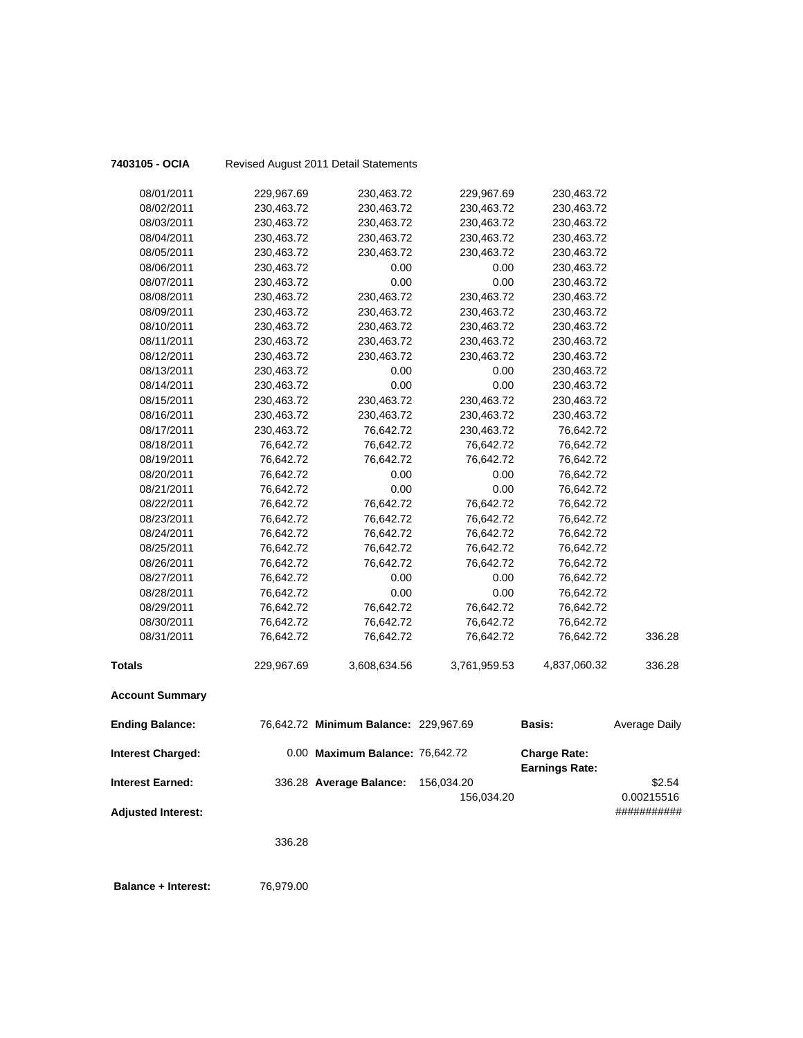| 7403105 - OCIA             |            | Revised August 2011 Detail Statements |              |                                              |                           |
|----------------------------|------------|---------------------------------------|--------------|----------------------------------------------|---------------------------|
| 08/01/2011                 | 229,967.69 | 230,463.72                            | 229,967.69   | 230,463.72                                   |                           |
| 08/02/2011                 | 230,463.72 | 230,463.72                            | 230,463.72   | 230,463.72                                   |                           |
| 08/03/2011                 | 230,463.72 | 230,463.72                            | 230,463.72   | 230,463.72                                   |                           |
| 08/04/2011                 | 230,463.72 | 230,463.72                            | 230,463.72   | 230,463.72                                   |                           |
| 08/05/2011                 | 230,463.72 | 230,463.72                            | 230,463.72   | 230,463.72                                   |                           |
| 08/06/2011                 | 230,463.72 | 0.00                                  | 0.00         | 230,463.72                                   |                           |
| 08/07/2011                 | 230,463.72 | 0.00                                  | 0.00         | 230,463.72                                   |                           |
| 08/08/2011                 | 230,463.72 | 230,463.72                            | 230,463.72   | 230,463.72                                   |                           |
| 08/09/2011                 | 230,463.72 | 230,463.72                            | 230,463.72   | 230,463.72                                   |                           |
| 08/10/2011                 | 230,463.72 | 230,463.72                            | 230,463.72   | 230,463.72                                   |                           |
| 08/11/2011                 | 230,463.72 | 230,463.72                            | 230,463.72   | 230,463.72                                   |                           |
| 08/12/2011                 | 230,463.72 | 230,463.72                            | 230,463.72   | 230,463.72                                   |                           |
| 08/13/2011                 | 230,463.72 | 0.00                                  | 0.00         | 230,463.72                                   |                           |
| 08/14/2011                 | 230,463.72 | 0.00                                  | 0.00         | 230,463.72                                   |                           |
| 08/15/2011                 | 230,463.72 | 230,463.72                            | 230,463.72   | 230,463.72                                   |                           |
| 08/16/2011                 | 230,463.72 | 230,463.72                            | 230,463.72   | 230,463.72                                   |                           |
| 08/17/2011                 | 230,463.72 | 76,642.72                             | 230,463.72   | 76,642.72                                    |                           |
| 08/18/2011                 | 76,642.72  | 76,642.72                             | 76,642.72    | 76,642.72                                    |                           |
| 08/19/2011                 | 76,642.72  | 76,642.72                             | 76,642.72    | 76,642.72                                    |                           |
| 08/20/2011                 | 76,642.72  | 0.00                                  | 0.00         | 76,642.72                                    |                           |
| 08/21/2011                 | 76,642.72  | 0.00                                  | 0.00         | 76,642.72                                    |                           |
| 08/22/2011                 | 76,642.72  | 76,642.72                             | 76,642.72    | 76,642.72                                    |                           |
| 08/23/2011                 | 76,642.72  | 76,642.72                             | 76,642.72    | 76,642.72                                    |                           |
| 08/24/2011                 | 76,642.72  | 76,642.72                             | 76,642.72    | 76,642.72                                    |                           |
| 08/25/2011                 | 76,642.72  | 76,642.72                             | 76,642.72    | 76,642.72                                    |                           |
| 08/26/2011                 | 76,642.72  | 76,642.72                             | 76,642.72    | 76,642.72                                    |                           |
| 08/27/2011                 | 76,642.72  | 0.00                                  | 0.00         | 76,642.72                                    |                           |
| 08/28/2011                 | 76,642.72  | 0.00                                  | 0.00         | 76,642.72                                    |                           |
| 08/29/2011                 | 76,642.72  | 76,642.72                             | 76,642.72    | 76,642.72                                    |                           |
| 08/30/2011                 | 76,642.72  | 76,642.72                             | 76,642.72    | 76,642.72                                    |                           |
| 08/31/2011                 | 76,642.72  | 76,642.72                             | 76,642.72    | 76,642.72                                    | 336.28                    |
| <b>Totals</b>              | 229,967.69 | 3,608,634.56                          | 3,761,959.53 | 4,837,060.32                                 | 336.28                    |
| <b>Account Summary</b>     |            |                                       |              |                                              |                           |
| <b>Ending Balance:</b>     |            | 76,642.72 Minimum Balance: 229,967.69 |              | <b>Basis:</b>                                | <b>Average Daily</b>      |
| <b>Interest Charged:</b>   |            | 0.00 Maximum Balance: 76,642.72       |              | <b>Charge Rate:</b><br><b>Earnings Rate:</b> |                           |
| <b>Interest Earned:</b>    |            | 336.28 Average Balance:               | 156,034.20   |                                              | \$2.54                    |
| <b>Adjusted Interest:</b>  |            |                                       | 156,034.20   |                                              | 0.00215516<br>########### |
|                            | 336.28     |                                       |              |                                              |                           |
|                            |            |                                       |              |                                              |                           |
| <b>Balance + Interest:</b> | 76,979.00  |                                       |              |                                              |                           |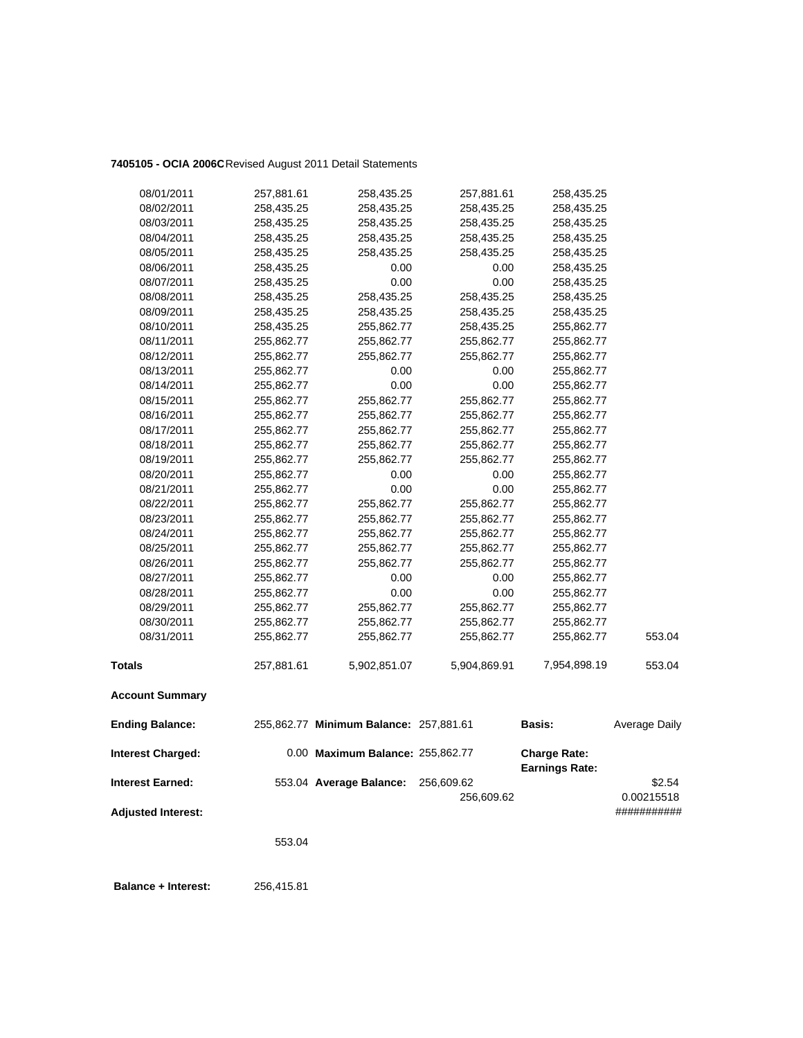## **7405105 - OCIA 2006C**Revised August 2011 Detail Statements

| 08/01/2011                | 257,881.61 | 258,435.25                             | 257,881.61   | 258,435.25                                   |               |
|---------------------------|------------|----------------------------------------|--------------|----------------------------------------------|---------------|
| 08/02/2011                | 258,435.25 | 258,435.25                             | 258,435.25   | 258,435.25                                   |               |
| 08/03/2011                | 258,435.25 | 258,435.25                             | 258,435.25   | 258,435.25                                   |               |
| 08/04/2011                | 258,435.25 | 258,435.25                             | 258,435.25   | 258,435.25                                   |               |
| 08/05/2011                | 258,435.25 | 258,435.25                             | 258,435.25   | 258,435.25                                   |               |
| 08/06/2011                | 258,435.25 | 0.00                                   | 0.00         | 258,435.25                                   |               |
| 08/07/2011                | 258,435.25 | 0.00                                   | 0.00         | 258,435.25                                   |               |
| 08/08/2011                | 258,435.25 | 258,435.25                             | 258,435.25   | 258,435.25                                   |               |
| 08/09/2011                | 258,435.25 | 258,435.25                             | 258,435.25   | 258,435.25                                   |               |
| 08/10/2011                | 258,435.25 | 255,862.77                             | 258,435.25   | 255,862.77                                   |               |
| 08/11/2011                | 255,862.77 | 255,862.77                             | 255,862.77   | 255,862.77                                   |               |
| 08/12/2011                | 255,862.77 | 255,862.77                             | 255,862.77   | 255,862.77                                   |               |
| 08/13/2011                | 255,862.77 | 0.00                                   | 0.00         | 255,862.77                                   |               |
| 08/14/2011                | 255,862.77 | 0.00                                   | 0.00         | 255,862.77                                   |               |
| 08/15/2011                | 255,862.77 | 255,862.77                             | 255,862.77   | 255,862.77                                   |               |
| 08/16/2011                | 255,862.77 | 255,862.77                             | 255,862.77   | 255,862.77                                   |               |
| 08/17/2011                | 255,862.77 | 255,862.77                             | 255,862.77   | 255,862.77                                   |               |
| 08/18/2011                | 255,862.77 | 255,862.77                             | 255,862.77   | 255,862.77                                   |               |
| 08/19/2011                | 255,862.77 | 255,862.77                             | 255,862.77   | 255,862.77                                   |               |
| 08/20/2011                | 255,862.77 | 0.00                                   | 0.00         | 255,862.77                                   |               |
| 08/21/2011                | 255,862.77 | 0.00                                   | 0.00         | 255,862.77                                   |               |
| 08/22/2011                | 255,862.77 | 255,862.77                             | 255,862.77   | 255,862.77                                   |               |
| 08/23/2011                | 255,862.77 | 255,862.77                             | 255,862.77   | 255,862.77                                   |               |
| 08/24/2011                | 255,862.77 | 255,862.77                             | 255,862.77   | 255,862.77                                   |               |
| 08/25/2011                | 255,862.77 | 255,862.77                             | 255,862.77   | 255,862.77                                   |               |
| 08/26/2011                | 255,862.77 | 255,862.77                             | 255,862.77   | 255,862.77                                   |               |
| 08/27/2011                | 255,862.77 | 0.00                                   | 0.00         | 255,862.77                                   |               |
| 08/28/2011                | 255,862.77 | 0.00                                   | 0.00         | 255,862.77                                   |               |
| 08/29/2011                | 255,862.77 | 255,862.77                             | 255,862.77   | 255,862.77                                   |               |
| 08/30/2011                | 255,862.77 | 255,862.77                             | 255,862.77   | 255,862.77                                   |               |
| 08/31/2011                | 255,862.77 | 255,862.77                             | 255,862.77   | 255,862.77                                   | 553.04        |
| <b>Totals</b>             | 257,881.61 | 5,902,851.07                           | 5,904,869.91 | 7,954,898.19                                 | 553.04        |
| <b>Account Summary</b>    |            |                                        |              |                                              |               |
| <b>Ending Balance:</b>    |            | 255,862.77 Minimum Balance: 257,881.61 |              | <b>Basis:</b>                                | Average Daily |
| <b>Interest Charged:</b>  |            | 0.00 Maximum Balance: 255,862.77       |              | <b>Charge Rate:</b><br><b>Earnings Rate:</b> |               |
| <b>Interest Earned:</b>   |            | 553.04 Average Balance:                | 256,609.62   |                                              | \$2.54        |
|                           |            |                                        | 256,609.62   |                                              | 0.00215518    |
| <b>Adjusted Interest:</b> |            |                                        |              |                                              | ###########   |
|                           |            |                                        |              |                                              |               |

553.04

 **Balance + Interest:** 256,415.81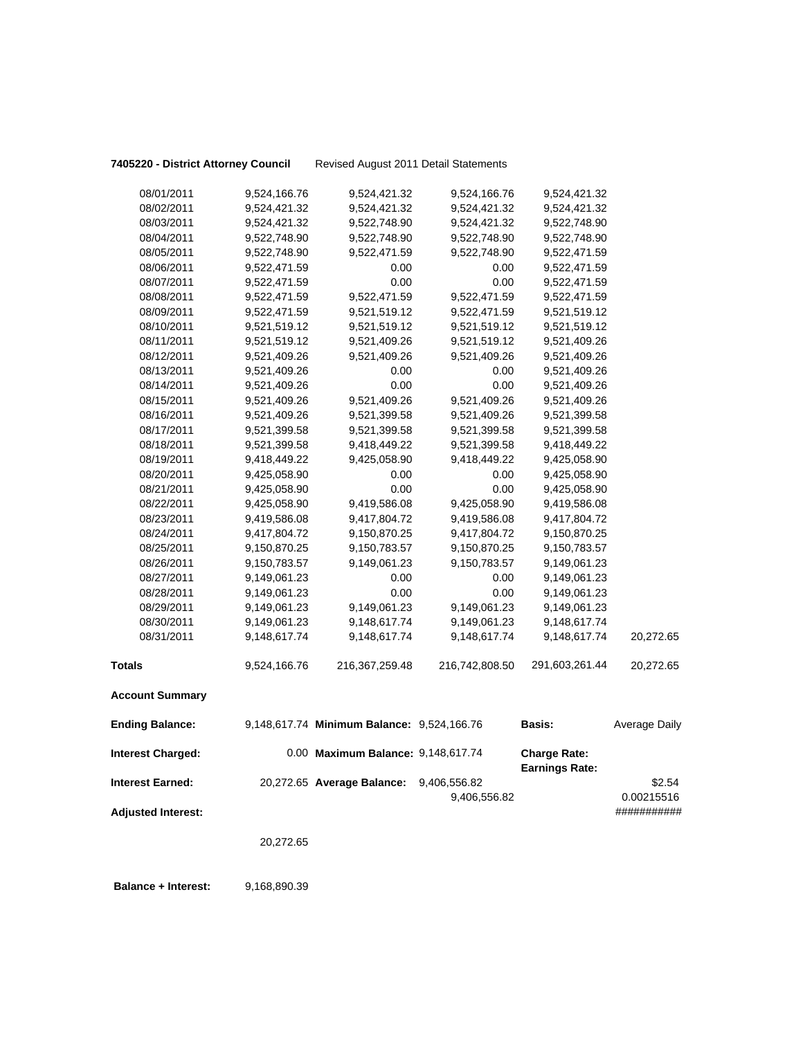**7405220 - District Attorney Council** Revised August 2011 Detail Statements

| 08/01/2011                | 9,524,166.76 | 9,524,421.32                               | 9,524,166.76   | 9,524,421.32                                 |               |
|---------------------------|--------------|--------------------------------------------|----------------|----------------------------------------------|---------------|
| 08/02/2011                | 9,524,421.32 | 9,524,421.32                               | 9,524,421.32   | 9,524,421.32                                 |               |
| 08/03/2011                | 9,524,421.32 | 9,522,748.90                               | 9,524,421.32   | 9,522,748.90                                 |               |
| 08/04/2011                | 9,522,748.90 | 9,522,748.90                               | 9,522,748.90   | 9,522,748.90                                 |               |
| 08/05/2011                | 9,522,748.90 | 9,522,471.59                               | 9,522,748.90   | 9,522,471.59                                 |               |
| 08/06/2011                | 9,522,471.59 | 0.00                                       | 0.00           | 9,522,471.59                                 |               |
| 08/07/2011                | 9,522,471.59 | 0.00                                       | 0.00           | 9,522,471.59                                 |               |
| 08/08/2011                | 9,522,471.59 | 9,522,471.59                               | 9,522,471.59   | 9,522,471.59                                 |               |
| 08/09/2011                | 9,522,471.59 | 9,521,519.12                               | 9,522,471.59   | 9,521,519.12                                 |               |
| 08/10/2011                | 9,521,519.12 | 9,521,519.12                               | 9,521,519.12   | 9,521,519.12                                 |               |
| 08/11/2011                | 9,521,519.12 | 9,521,409.26                               | 9,521,519.12   | 9,521,409.26                                 |               |
| 08/12/2011                | 9,521,409.26 | 9,521,409.26                               | 9,521,409.26   | 9,521,409.26                                 |               |
| 08/13/2011                | 9,521,409.26 | 0.00                                       | 0.00           | 9,521,409.26                                 |               |
| 08/14/2011                | 9,521,409.26 | 0.00                                       | 0.00           | 9,521,409.26                                 |               |
| 08/15/2011                | 9,521,409.26 | 9,521,409.26                               | 9,521,409.26   | 9,521,409.26                                 |               |
| 08/16/2011                | 9,521,409.26 | 9,521,399.58                               | 9,521,409.26   | 9,521,399.58                                 |               |
| 08/17/2011                | 9,521,399.58 | 9,521,399.58                               | 9,521,399.58   | 9,521,399.58                                 |               |
| 08/18/2011                | 9,521,399.58 | 9,418,449.22                               | 9,521,399.58   | 9,418,449.22                                 |               |
| 08/19/2011                | 9,418,449.22 | 9,425,058.90                               | 9,418,449.22   | 9,425,058.90                                 |               |
| 08/20/2011                | 9,425,058.90 | 0.00                                       | 0.00           | 9,425,058.90                                 |               |
| 08/21/2011                | 9,425,058.90 | 0.00                                       | 0.00           | 9,425,058.90                                 |               |
| 08/22/2011                | 9,425,058.90 | 9,419,586.08                               | 9,425,058.90   | 9,419,586.08                                 |               |
| 08/23/2011                | 9,419,586.08 | 9,417,804.72                               | 9,419,586.08   | 9,417,804.72                                 |               |
| 08/24/2011                | 9,417,804.72 | 9,150,870.25                               | 9,417,804.72   | 9,150,870.25                                 |               |
| 08/25/2011                | 9,150,870.25 | 9,150,783.57                               | 9,150,870.25   | 9,150,783.57                                 |               |
| 08/26/2011                | 9,150,783.57 | 9,149,061.23                               | 9,150,783.57   | 9,149,061.23                                 |               |
| 08/27/2011                | 9,149,061.23 | 0.00                                       | 0.00           | 9,149,061.23                                 |               |
| 08/28/2011                | 9,149,061.23 | 0.00                                       | 0.00           | 9,149,061.23                                 |               |
| 08/29/2011                | 9,149,061.23 | 9,149,061.23                               | 9,149,061.23   | 9,149,061.23                                 |               |
| 08/30/2011                | 9,149,061.23 | 9,148,617.74                               | 9,149,061.23   | 9,148,617.74                                 |               |
| 08/31/2011                | 9,148,617.74 | 9,148,617.74                               | 9,148,617.74   | 9,148,617.74                                 | 20,272.65     |
| <b>Totals</b>             | 9,524,166.76 | 216, 367, 259. 48                          | 216,742,808.50 | 291,603,261.44                               | 20,272.65     |
| <b>Account Summary</b>    |              |                                            |                |                                              |               |
| <b>Ending Balance:</b>    |              | 9,148,617.74 Minimum Balance: 9,524,166.76 |                | <b>Basis:</b>                                | Average Daily |
| <b>Interest Charged:</b>  |              | 0.00 Maximum Balance: 9,148,617.74         |                | <b>Charge Rate:</b><br><b>Earnings Rate:</b> |               |
| <b>Interest Earned:</b>   |              | 20,272.65 Average Balance:                 | 9,406,556.82   |                                              | \$2.54        |
|                           |              |                                            | 9,406,556.82   |                                              | 0.00215516    |
| <b>Adjusted Interest:</b> |              |                                            |                |                                              | ###########   |
|                           | 20,272.65    |                                            |                |                                              |               |
|                           |              |                                            |                |                                              |               |

**Balance + Interest:** 9,168,890.39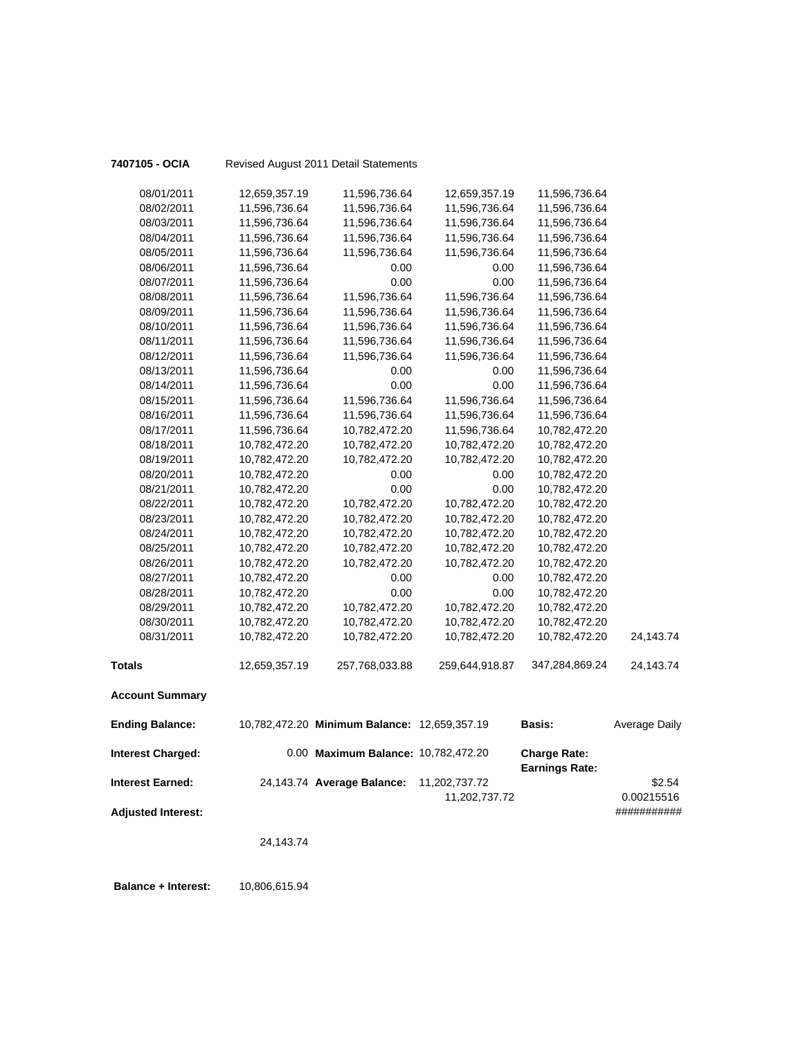| 7407105 - OCIA            |               | Revised August 2011 Detail Statements        |                |                                              |               |
|---------------------------|---------------|----------------------------------------------|----------------|----------------------------------------------|---------------|
| 08/01/2011                | 12,659,357.19 | 11,596,736.64                                | 12,659,357.19  | 11,596,736.64                                |               |
| 08/02/2011                | 11,596,736.64 | 11,596,736.64                                | 11,596,736.64  | 11,596,736.64                                |               |
| 08/03/2011                | 11,596,736.64 | 11,596,736.64                                | 11,596,736.64  | 11,596,736.64                                |               |
| 08/04/2011                | 11,596,736.64 | 11,596,736.64                                | 11,596,736.64  | 11,596,736.64                                |               |
| 08/05/2011                | 11,596,736.64 | 11,596,736.64                                | 11,596,736.64  | 11,596,736.64                                |               |
| 08/06/2011                | 11,596,736.64 | 0.00                                         | 0.00           | 11,596,736.64                                |               |
| 08/07/2011                | 11,596,736.64 | 0.00                                         | 0.00           | 11,596,736.64                                |               |
| 08/08/2011                | 11,596,736.64 | 11,596,736.64                                | 11,596,736.64  | 11,596,736.64                                |               |
| 08/09/2011                | 11,596,736.64 | 11,596,736.64                                | 11,596,736.64  | 11,596,736.64                                |               |
| 08/10/2011                | 11,596,736.64 | 11,596,736.64                                | 11,596,736.64  | 11,596,736.64                                |               |
| 08/11/2011                | 11,596,736.64 | 11,596,736.64                                | 11,596,736.64  | 11,596,736.64                                |               |
| 08/12/2011                | 11,596,736.64 | 11,596,736.64                                | 11,596,736.64  | 11,596,736.64                                |               |
| 08/13/2011                | 11,596,736.64 | 0.00                                         | 0.00           | 11,596,736.64                                |               |
| 08/14/2011                | 11,596,736.64 | 0.00                                         | 0.00           | 11,596,736.64                                |               |
| 08/15/2011                | 11,596,736.64 | 11,596,736.64                                | 11,596,736.64  | 11,596,736.64                                |               |
| 08/16/2011                | 11,596,736.64 | 11,596,736.64                                | 11,596,736.64  | 11,596,736.64                                |               |
| 08/17/2011                | 11,596,736.64 | 10,782,472.20                                | 11,596,736.64  | 10,782,472.20                                |               |
| 08/18/2011                | 10,782,472.20 | 10,782,472.20                                | 10,782,472.20  | 10,782,472.20                                |               |
| 08/19/2011                | 10,782,472.20 | 10,782,472.20                                | 10,782,472.20  | 10,782,472.20                                |               |
| 08/20/2011                | 10,782,472.20 | 0.00                                         | 0.00           | 10,782,472.20                                |               |
| 08/21/2011                | 10,782,472.20 | 0.00                                         | 0.00           | 10,782,472.20                                |               |
| 08/22/2011                | 10,782,472.20 | 10,782,472.20                                | 10,782,472.20  | 10,782,472.20                                |               |
| 08/23/2011                | 10,782,472.20 | 10,782,472.20                                | 10,782,472.20  | 10,782,472.20                                |               |
| 08/24/2011                | 10,782,472.20 | 10,782,472.20                                | 10,782,472.20  | 10,782,472.20                                |               |
| 08/25/2011                | 10,782,472.20 | 10,782,472.20                                | 10,782,472.20  | 10,782,472.20                                |               |
| 08/26/2011                | 10,782,472.20 | 10,782,472.20                                | 10,782,472.20  | 10,782,472.20                                |               |
| 08/27/2011                | 10,782,472.20 | 0.00                                         | 0.00           | 10,782,472.20                                |               |
| 08/28/2011                | 10,782,472.20 | 0.00                                         | 0.00           | 10,782,472.20                                |               |
| 08/29/2011                | 10,782,472.20 | 10,782,472.20                                | 10,782,472.20  | 10,782,472.20                                |               |
| 08/30/2011                | 10,782,472.20 | 10,782,472.20                                | 10,782,472.20  | 10,782,472.20                                |               |
| 08/31/2011                | 10,782,472.20 | 10,782,472.20                                | 10,782,472.20  | 10,782,472.20                                | 24,143.74     |
| <b>Totals</b>             | 12,659,357.19 | 257,768,033.88                               | 259,644,918.87 | 347,284,869.24                               | 24,143.74     |
| <b>Account Summary</b>    |               |                                              |                |                                              |               |
| <b>Ending Balance:</b>    |               | 10,782,472.20 Minimum Balance: 12,659,357.19 |                | <b>Basis:</b>                                | Average Daily |
| <b>Interest Charged:</b>  |               | 0.00 Maximum Balance: 10,782,472.20          |                | <b>Charge Rate:</b><br><b>Earnings Rate:</b> |               |
| <b>Interest Earned:</b>   |               | 24,143.74 Average Balance:                   | 11,202,737.72  |                                              | \$2.54        |
|                           |               |                                              | 11,202,737.72  |                                              | 0.00215516    |
| <b>Adjusted Interest:</b> |               |                                              |                |                                              | ###########   |
|                           | 24,143.74     |                                              |                |                                              |               |
|                           |               |                                              |                |                                              |               |
|                           |               |                                              |                |                                              |               |

 **Balance + Interest:** 10,806,615.94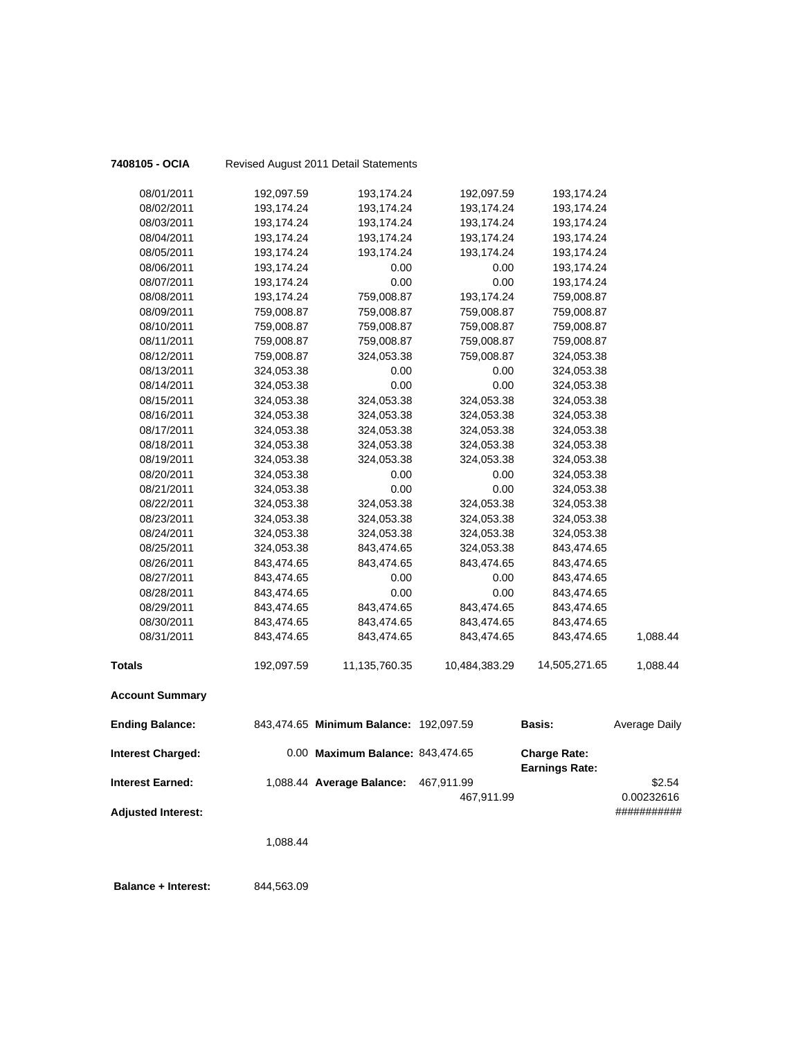| 7408105 - OCIA            |                          | Revised August 2011 Detail Statements  |                    |                                              |               |
|---------------------------|--------------------------|----------------------------------------|--------------------|----------------------------------------------|---------------|
| 08/01/2011                | 192,097.59               | 193,174.24                             | 192,097.59         | 193,174.24                                   |               |
| 08/02/2011                | 193,174.24               | 193,174.24                             | 193,174.24         | 193,174.24                                   |               |
| 08/03/2011                | 193,174.24               | 193,174.24                             | 193,174.24         | 193,174.24                                   |               |
| 08/04/2011                | 193,174.24               | 193,174.24                             | 193,174.24         | 193,174.24                                   |               |
| 08/05/2011                | 193,174.24               | 193,174.24                             | 193,174.24         | 193,174.24                                   |               |
| 08/06/2011                | 193,174.24               | 0.00                                   | 0.00               | 193,174.24                                   |               |
| 08/07/2011                | 193,174.24               | 0.00                                   | 0.00               | 193,174.24                                   |               |
| 08/08/2011                | 193,174.24               | 759,008.87                             | 193,174.24         | 759,008.87                                   |               |
| 08/09/2011                | 759,008.87               | 759,008.87                             | 759,008.87         | 759,008.87                                   |               |
| 08/10/2011                | 759,008.87               | 759,008.87                             | 759,008.87         | 759,008.87                                   |               |
| 08/11/2011                | 759,008.87               | 759,008.87                             | 759,008.87         | 759,008.87                                   |               |
| 08/12/2011                | 759,008.87               | 324,053.38                             | 759,008.87         | 324,053.38                                   |               |
| 08/13/2011                | 324,053.38               | 0.00                                   | 0.00               | 324,053.38                                   |               |
| 08/14/2011                | 324,053.38               | 0.00                                   | 0.00               | 324,053.38                                   |               |
| 08/15/2011                | 324,053.38               | 324,053.38                             | 324,053.38         | 324,053.38                                   |               |
| 08/16/2011                | 324,053.38               | 324,053.38                             | 324,053.38         | 324,053.38                                   |               |
| 08/17/2011                | 324,053.38               | 324,053.38                             | 324,053.38         | 324,053.38                                   |               |
| 08/18/2011                | 324,053.38               | 324,053.38                             | 324,053.38         | 324,053.38                                   |               |
| 08/19/2011                | 324,053.38               | 324,053.38                             | 324,053.38         | 324,053.38                                   |               |
| 08/20/2011                | 324,053.38               | 0.00                                   | 0.00               | 324,053.38                                   |               |
| 08/21/2011                | 324,053.38               | 0.00                                   | 0.00               | 324,053.38                                   |               |
| 08/22/2011                | 324,053.38               | 324,053.38                             | 324,053.38         | 324,053.38                                   |               |
| 08/23/2011                | 324,053.38               | 324,053.38                             | 324,053.38         | 324,053.38                                   |               |
| 08/24/2011                | 324,053.38               | 324,053.38                             | 324,053.38         | 324,053.38                                   |               |
| 08/25/2011                | 324,053.38               | 843,474.65                             | 324,053.38         | 843,474.65                                   |               |
| 08/26/2011<br>08/27/2011  | 843,474.65<br>843,474.65 | 843,474.65<br>0.00                     | 843,474.65<br>0.00 | 843,474.65                                   |               |
| 08/28/2011                | 843,474.65               | 0.00                                   | 0.00               | 843,474.65<br>843,474.65                     |               |
| 08/29/2011                | 843,474.65               | 843,474.65                             | 843,474.65         | 843,474.65                                   |               |
| 08/30/2011                | 843,474.65               | 843,474.65                             | 843,474.65         | 843,474.65                                   |               |
| 08/31/2011                | 843,474.65               | 843,474.65                             | 843,474.65         | 843,474.65                                   | 1,088.44      |
|                           |                          |                                        |                    |                                              |               |
| <b>Totals</b>             | 192,097.59               | 11,135,760.35                          | 10,484,383.29      | 14,505,271.65                                | 1,088.44      |
| <b>Account Summary</b>    |                          |                                        |                    |                                              |               |
| <b>Ending Balance:</b>    |                          | 843,474.65 Minimum Balance: 192,097.59 |                    | <b>Basis:</b>                                | Average Daily |
| <b>Interest Charged:</b>  |                          | 0.00 Maximum Balance: 843,474.65       |                    | <b>Charge Rate:</b><br><b>Earnings Rate:</b> |               |
| <b>Interest Earned:</b>   |                          | 1,088.44 Average Balance:              | 467,911.99         |                                              | \$2.54        |
|                           |                          |                                        | 467,911.99         |                                              | 0.00232616    |
| <b>Adjusted Interest:</b> |                          |                                        |                    |                                              | ###########   |
|                           |                          |                                        |                    |                                              |               |
|                           | 1,088.44                 |                                        |                    |                                              |               |
|                           |                          |                                        |                    |                                              |               |
|                           |                          |                                        |                    |                                              |               |

 **Balance + Interest:** 844,563.09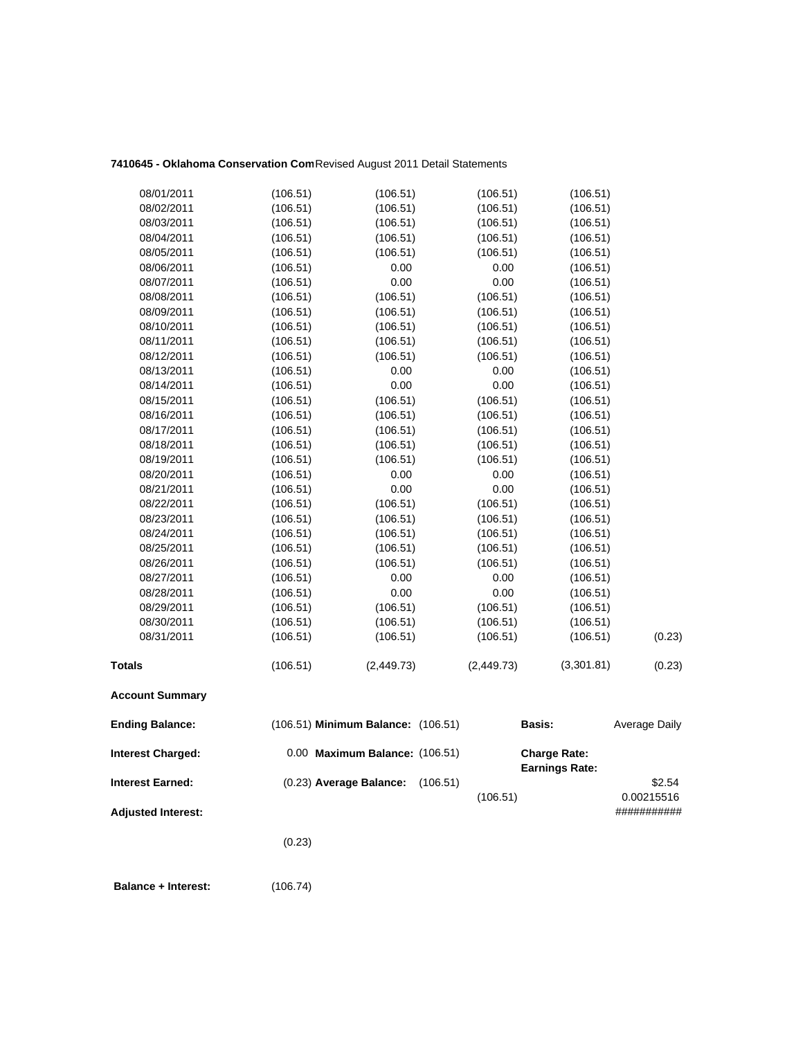## **7410645 - Oklahoma Conservation Com**Revised August 2011 Detail Statements

| 08/01/2011                | (106.51) | (106.51)                           |          | (106.51)   | (106.51)              |                           |
|---------------------------|----------|------------------------------------|----------|------------|-----------------------|---------------------------|
| 08/02/2011                | (106.51) | (106.51)                           |          | (106.51)   | (106.51)              |                           |
| 08/03/2011                | (106.51) | (106.51)                           |          | (106.51)   | (106.51)              |                           |
| 08/04/2011                | (106.51) | (106.51)                           |          | (106.51)   | (106.51)              |                           |
| 08/05/2011                | (106.51) | (106.51)                           |          | (106.51)   | (106.51)              |                           |
| 08/06/2011                | (106.51) | 0.00                               |          | 0.00       | (106.51)              |                           |
| 08/07/2011                | (106.51) | 0.00                               |          | 0.00       | (106.51)              |                           |
| 08/08/2011                | (106.51) | (106.51)                           |          | (106.51)   | (106.51)              |                           |
| 08/09/2011                | (106.51) | (106.51)                           |          | (106.51)   | (106.51)              |                           |
| 08/10/2011                | (106.51) | (106.51)                           |          | (106.51)   | (106.51)              |                           |
| 08/11/2011                | (106.51) | (106.51)                           |          | (106.51)   | (106.51)              |                           |
| 08/12/2011                | (106.51) | (106.51)                           |          | (106.51)   | (106.51)              |                           |
| 08/13/2011                | (106.51) | 0.00                               |          | 0.00       | (106.51)              |                           |
| 08/14/2011                | (106.51) | 0.00                               |          | 0.00       | (106.51)              |                           |
| 08/15/2011                | (106.51) | (106.51)                           |          | (106.51)   | (106.51)              |                           |
| 08/16/2011                | (106.51) | (106.51)                           |          | (106.51)   | (106.51)              |                           |
| 08/17/2011                | (106.51) | (106.51)                           |          | (106.51)   | (106.51)              |                           |
| 08/18/2011                | (106.51) | (106.51)                           |          | (106.51)   | (106.51)              |                           |
| 08/19/2011                | (106.51) | (106.51)                           |          | (106.51)   | (106.51)              |                           |
| 08/20/2011                | (106.51) | 0.00                               |          | 0.00       | (106.51)              |                           |
| 08/21/2011                | (106.51) | 0.00                               |          | 0.00       | (106.51)              |                           |
| 08/22/2011                | (106.51) | (106.51)                           |          | (106.51)   | (106.51)              |                           |
| 08/23/2011                | (106.51) | (106.51)                           |          | (106.51)   | (106.51)              |                           |
| 08/24/2011                | (106.51) | (106.51)                           |          | (106.51)   | (106.51)              |                           |
| 08/25/2011                | (106.51) | (106.51)                           |          | (106.51)   | (106.51)              |                           |
| 08/26/2011                | (106.51) | (106.51)                           |          | (106.51)   | (106.51)              |                           |
| 08/27/2011                | (106.51) | 0.00                               |          | 0.00       | (106.51)              |                           |
| 08/28/2011                | (106.51) | 0.00                               |          | 0.00       | (106.51)              |                           |
| 08/29/2011                | (106.51) | (106.51)                           |          | (106.51)   | (106.51)              |                           |
| 08/30/2011                | (106.51) | (106.51)                           |          | (106.51)   | (106.51)              |                           |
| 08/31/2011                | (106.51) | (106.51)                           |          | (106.51)   | (106.51)              | (0.23)                    |
| <b>Totals</b>             | (106.51) | (2,449.73)                         |          | (2,449.73) | (3,301.81)            | (0.23)                    |
| <b>Account Summary</b>    |          |                                    |          |            |                       |                           |
| <b>Ending Balance:</b>    |          | (106.51) Minimum Balance: (106.51) |          |            | <b>Basis:</b>         | Average Daily             |
| <b>Interest Charged:</b>  |          | 0.00 Maximum Balance: (106.51)     |          |            | <b>Charge Rate:</b>   |                           |
| <b>Interest Earned:</b>   |          | (0.23) Average Balance:            | (106.51) |            | <b>Earnings Rate:</b> | \$2.54                    |
| <b>Adjusted Interest:</b> |          |                                    |          | (106.51)   |                       | 0.00215516<br>########### |
|                           |          |                                    |          |            |                       |                           |
|                           | (0.23)   |                                    |          |            |                       |                           |
|                           |          |                                    |          |            |                       |                           |

 **Balance + Interest:** (106.74)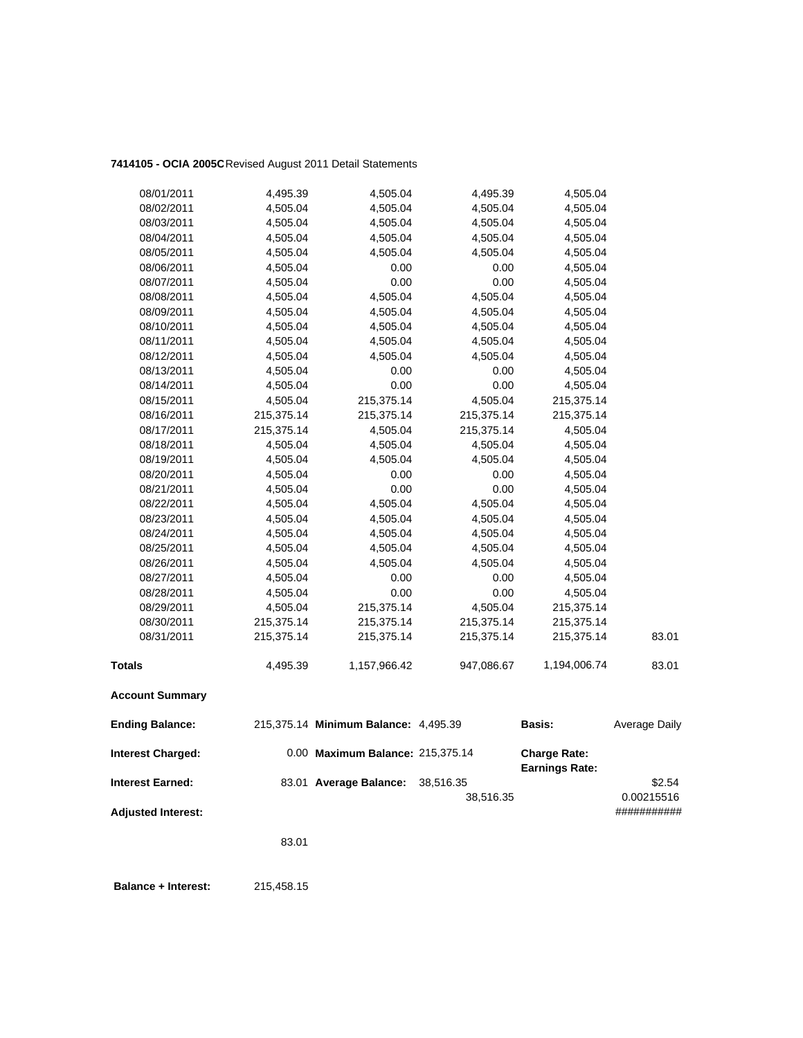## **7414105 - OCIA 2005C**Revised August 2011 Detail Statements

| <b>Interest Earned:</b>                            |                      | 83.01 Average Balance:                                                   | 38,516.35    | <b>Earnings Rate:</b>                | \$2.54        |
|----------------------------------------------------|----------------------|--------------------------------------------------------------------------|--------------|--------------------------------------|---------------|
| <b>Ending Balance:</b><br><b>Interest Charged:</b> |                      | 215,375.14 Minimum Balance: 4,495.39<br>0.00 Maximum Balance: 215,375.14 |              | <b>Basis:</b><br><b>Charge Rate:</b> | Average Daily |
| <b>Account Summary</b>                             |                      |                                                                          |              |                                      |               |
| <b>Totals</b>                                      | 4,495.39             | 1,157,966.42                                                             | 947,086.67   | 1,194,006.74                         | 83.01         |
| 08/31/2011                                         | 215,375.14           | 215,375.14                                                               | 215,375.14   | 215,375.14                           | 83.01         |
| 08/30/2011                                         | 215,375.14           | 215,375.14                                                               | 215,375.14   | 215,375.14                           |               |
| 08/29/2011                                         | 4,505.04             | 215,375.14                                                               | 4,505.04     | 215,375.14                           |               |
| 08/28/2011                                         | 4,505.04             | 0.00                                                                     | 0.00         | 4,505.04                             |               |
| 08/27/2011                                         | 4,505.04             | 0.00                                                                     | 0.00         | 4,505.04                             |               |
| 08/26/2011                                         | 4,505.04             | 4,505.04                                                                 | 4,505.04     | 4,505.04                             |               |
| 08/25/2011                                         | 4,505.04             | 4,505.04                                                                 | 4,505.04     | 4,505.04                             |               |
| 08/24/2011                                         | 4,505.04             | 4,505.04                                                                 | 4,505.04     | 4,505.04                             |               |
| 08/23/2011                                         | 4,505.04             | 4,505.04                                                                 | 4,505.04     | 4,505.04                             |               |
| 08/22/2011                                         | 4,505.04             | 4,505.04                                                                 | 4,505.04     | 4,505.04                             |               |
| 08/21/2011                                         | 4,505.04             | 0.00                                                                     | 0.00         | 4,505.04                             |               |
| 08/20/2011                                         | 4,505.04             | 0.00                                                                     | 0.00         | 4,505.04                             |               |
| 08/19/2011                                         | 4,505.04             | 4,505.04                                                                 | 4,505.04     | 4,505.04                             |               |
| 08/18/2011                                         | 4,505.04             | 4,505.04                                                                 | 4,505.04     | 4,505.04                             |               |
| 08/17/2011                                         | 215,375.14           | 4,505.04                                                                 | 215,375.14   | 4,505.04                             |               |
| 08/16/2011                                         | 215,375.14           | 215,375.14                                                               | 215,375.14   | 215,375.14                           |               |
| 08/15/2011                                         | 4,505.04             | 215,375.14                                                               | 4,505.04     | 215,375.14                           |               |
| 08/14/2011                                         | 4,505.04             | 0.00                                                                     | 0.00         | 4,505.04                             |               |
| 08/13/2011                                         | 4,505.04             | 0.00                                                                     | 0.00         | 4,505.04                             |               |
| 08/12/2011                                         | 4,505.04             | 4,505.04                                                                 | 4,505.04     | 4,505.04                             |               |
| 08/11/2011                                         | 4,505.04             | 4,505.04                                                                 | 4,505.04     | 4,505.04                             |               |
| 08/10/2011                                         | 4,505.04             | 4,505.04                                                                 | 4,505.04     | 4,505.04                             |               |
| 08/09/2011                                         | 4,505.04             | 4,505.04                                                                 | 4,505.04     | 4,505.04                             |               |
| 08/08/2011                                         | 4,505.04             | 4,505.04                                                                 | 4,505.04     | 4,505.04                             |               |
| 08/06/2011<br>08/07/2011                           | 4,505.04<br>4,505.04 | 0.00<br>0.00                                                             | 0.00<br>0.00 | 4,505.04<br>4,505.04                 |               |
| 08/05/2011                                         | 4,505.04             | 4,505.04                                                                 | 4,505.04     | 4,505.04                             |               |
| 08/04/2011                                         | 4,505.04             | 4,505.04                                                                 | 4,505.04     | 4,505.04                             |               |
| 08/03/2011                                         | 4,505.04             | 4,505.04                                                                 | 4,505.04     | 4,505.04                             |               |
| 08/02/2011                                         | 4,505.04             | 4,505.04                                                                 | 4,505.04     | 4,505.04                             |               |
| 08/01/2011                                         | 4,495.39             | 4,505.04                                                                 | 4,495.39     | 4,505.04                             |               |
|                                                    |                      |                                                                          |              |                                      |               |

**Adjusted Interest:** ###########

38,516.35 0.00215516

83.01

 **Balance + Interest:** 215,458.15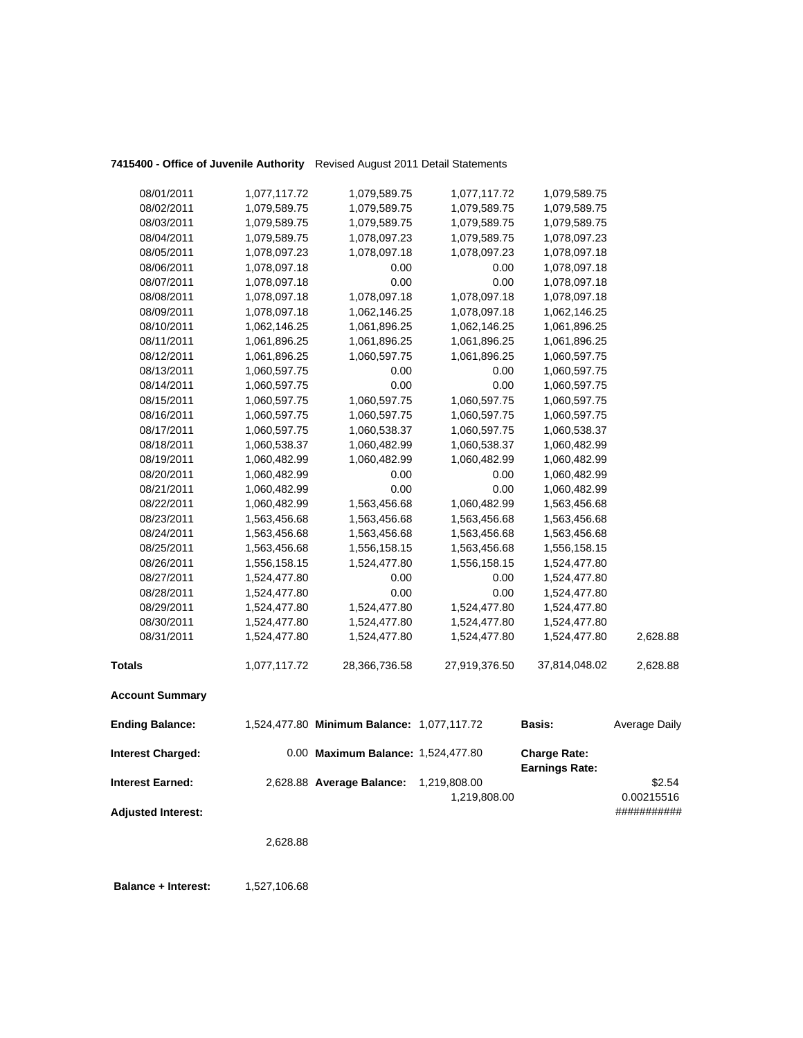## **7415400 - Office of Juvenile Authority** Revised August 2011 Detail Statements

| <b>Interest Charged:</b> |              | 0.00 Maximum Balance: 1,524,477.80         |               | <b>Charge Rate:</b> |               |
|--------------------------|--------------|--------------------------------------------|---------------|---------------------|---------------|
| <b>Ending Balance:</b>   |              | 1,524,477.80 Minimum Balance: 1,077,117.72 |               | <b>Basis:</b>       | Average Daily |
| <b>Account Summary</b>   |              |                                            |               |                     |               |
| <b>Totals</b>            | 1,077,117.72 | 28,366,736.58                              | 27,919,376.50 | 37,814,048.02       | 2,628.88      |
| 08/31/2011               | 1,524,477.80 | 1,524,477.80                               | 1,524,477.80  | 1,524,477.80        | 2,628.88      |
| 08/30/2011               | 1,524,477.80 | 1,524,477.80                               | 1,524,477.80  | 1,524,477.80        |               |
| 08/29/2011               | 1,524,477.80 | 1,524,477.80                               | 1,524,477.80  | 1,524,477.80        |               |
| 08/28/2011               | 1,524,477.80 | 0.00                                       | 0.00          | 1,524,477.80        |               |
| 08/27/2011               | 1,524,477.80 | 0.00                                       | 0.00          | 1,524,477.80        |               |
| 08/26/2011               | 1,556,158.15 | 1,524,477.80                               | 1,556,158.15  | 1,524,477.80        |               |
| 08/25/2011               | 1,563,456.68 | 1,556,158.15                               | 1,563,456.68  | 1,556,158.15        |               |
| 08/24/2011               | 1,563,456.68 | 1,563,456.68                               | 1,563,456.68  | 1,563,456.68        |               |
| 08/23/2011               | 1,563,456.68 | 1,563,456.68                               | 1,563,456.68  | 1,563,456.68        |               |
| 08/22/2011               | 1,060,482.99 | 1,563,456.68                               | 1,060,482.99  | 1,563,456.68        |               |
| 08/21/2011               | 1,060,482.99 | 0.00                                       | 0.00          | 1,060,482.99        |               |
| 08/20/2011               | 1,060,482.99 | 0.00                                       | 0.00          | 1,060,482.99        |               |
| 08/19/2011               | 1,060,482.99 | 1,060,482.99                               | 1,060,482.99  | 1,060,482.99        |               |
| 08/18/2011               | 1,060,538.37 | 1,060,482.99                               | 1,060,538.37  | 1,060,482.99        |               |
| 08/17/2011               | 1,060,597.75 | 1,060,538.37                               | 1,060,597.75  | 1,060,538.37        |               |
| 08/16/2011               | 1,060,597.75 | 1,060,597.75                               | 1,060,597.75  | 1,060,597.75        |               |
| 08/15/2011               | 1,060,597.75 | 1,060,597.75                               | 1,060,597.75  | 1,060,597.75        |               |
| 08/14/2011               | 1,060,597.75 | 0.00                                       | 0.00          | 1,060,597.75        |               |
| 08/13/2011               | 1,060,597.75 | 0.00                                       | 0.00          | 1,060,597.75        |               |
| 08/12/2011               | 1,061,896.25 | 1,060,597.75                               | 1,061,896.25  | 1,060,597.75        |               |
| 08/11/2011               | 1,061,896.25 | 1,061,896.25                               | 1,061,896.25  | 1,061,896.25        |               |
| 08/10/2011               | 1,062,146.25 | 1,061,896.25                               | 1,062,146.25  | 1,061,896.25        |               |
| 08/09/2011               | 1,078,097.18 | 1,062,146.25                               | 1,078,097.18  | 1,062,146.25        |               |
| 08/08/2011               | 1,078,097.18 | 1,078,097.18                               | 1,078,097.18  | 1,078,097.18        |               |
| 08/07/2011               | 1,078,097.18 | 0.00                                       | 0.00          | 1,078,097.18        |               |
| 08/06/2011               | 1,078,097.18 | 0.00                                       | 0.00          | 1,078,097.18        |               |
| 08/05/2011               | 1,078,097.23 | 1,078,097.18                               | 1,078,097.23  | 1,078,097.18        |               |
| 08/04/2011               | 1,079,589.75 | 1,078,097.23                               | 1,079,589.75  | 1,078,097.23        |               |
| 08/03/2011               | 1,079,589.75 | 1,079,589.75                               | 1,079,589.75  | 1,079,589.75        |               |
| 08/02/2011               | 1,079,589.75 | 1,079,589.75                               | 1,079,589.75  | 1,079,589.75        |               |
| 08/01/2011               | 1,077,117.72 | 1,079,589.75                               | 1,077,117.72  | 1,079,589.75        |               |

**Earnings Rate: Interest Earned:** 2,628.88 **Average Balance:** 1,219,808.00 \$2.54 1,219,808.00 0.00215516 **Adjusted Interest:** ###########

2,628.88

**Balance + Interest:** 1,527,106.68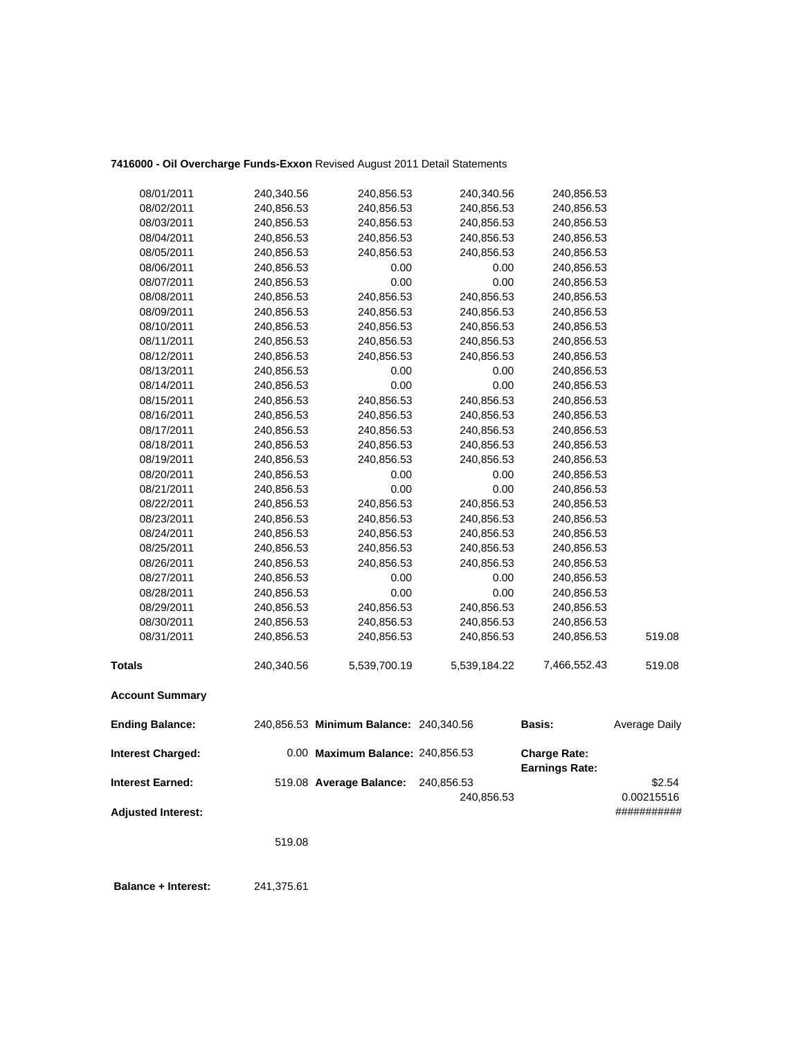## **7416000 - Oil Overcharge Funds-Exxon** Revised August 2011 Detail Statements

| <b>Interest Charged:</b> |            | 0.00 Maximum Balance: 240,856.53       |              | <b>Charge Rate:</b><br><b>Earnings Rate:</b> |               |
|--------------------------|------------|----------------------------------------|--------------|----------------------------------------------|---------------|
| <b>Ending Balance:</b>   |            | 240,856.53 Minimum Balance: 240,340.56 |              | <b>Basis:</b>                                | Average Daily |
| <b>Account Summary</b>   |            |                                        |              |                                              |               |
| <b>Totals</b>            | 240,340.56 | 5,539,700.19                           | 5,539,184.22 | 7,466,552.43                                 | 519.08        |
| 08/31/2011               | 240,856.53 | 240,856.53                             | 240,856.53   | 240,856.53                                   | 519.08        |
| 08/30/2011               | 240,856.53 | 240,856.53                             | 240,856.53   | 240,856.53                                   |               |
| 08/29/2011               | 240,856.53 | 240,856.53                             | 240,856.53   | 240,856.53                                   |               |
| 08/28/2011               | 240,856.53 | 0.00                                   | 0.00         | 240,856.53                                   |               |
| 08/27/2011               | 240,856.53 | 0.00                                   | 0.00         | 240,856.53                                   |               |
| 08/26/2011               | 240,856.53 | 240,856.53                             | 240,856.53   | 240,856.53                                   |               |
| 08/25/2011               | 240,856.53 | 240,856.53                             | 240,856.53   | 240,856.53                                   |               |
| 08/24/2011               | 240,856.53 | 240,856.53                             | 240,856.53   | 240,856.53                                   |               |
| 08/23/2011               | 240,856.53 | 240,856.53                             | 240,856.53   | 240,856.53                                   |               |
| 08/22/2011               | 240,856.53 | 240,856.53                             | 240,856.53   | 240,856.53                                   |               |
| 08/21/2011               | 240,856.53 | 0.00                                   | 0.00         | 240,856.53                                   |               |
| 08/20/2011               | 240,856.53 | 0.00                                   | 0.00         | 240,856.53                                   |               |
| 08/19/2011               | 240,856.53 | 240,856.53                             | 240,856.53   | 240,856.53                                   |               |
| 08/18/2011               | 240,856.53 | 240,856.53                             | 240,856.53   | 240,856.53                                   |               |
| 08/17/2011               | 240,856.53 | 240,856.53                             | 240,856.53   | 240,856.53                                   |               |
| 08/16/2011               | 240,856.53 | 240,856.53                             | 240,856.53   | 240,856.53                                   |               |
| 08/15/2011               | 240,856.53 | 240,856.53                             | 240,856.53   | 240,856.53                                   |               |
| 08/14/2011               | 240,856.53 | 0.00                                   | 0.00         | 240,856.53                                   |               |
| 08/13/2011               | 240,856.53 | 0.00                                   | 0.00         | 240,856.53                                   |               |
| 08/12/2011               | 240,856.53 | 240,856.53                             | 240,856.53   | 240,856.53                                   |               |
| 08/11/2011               | 240,856.53 | 240,856.53                             | 240,856.53   | 240,856.53                                   |               |
| 08/10/2011               | 240,856.53 | 240,856.53                             | 240,856.53   | 240,856.53                                   |               |
| 08/09/2011               | 240,856.53 | 240,856.53                             | 240,856.53   | 240,856.53                                   |               |
| 08/08/2011               | 240,856.53 | 240,856.53                             | 240,856.53   | 240,856.53                                   |               |
| 08/07/2011               | 240,856.53 | 0.00                                   | 0.00         | 240,856.53                                   |               |
| 08/06/2011               | 240,856.53 | 0.00                                   | 0.00         | 240,856.53                                   |               |
| 08/05/2011               | 240,856.53 | 240,856.53                             | 240,856.53   | 240,856.53                                   |               |
| 08/04/2011               | 240,856.53 | 240,856.53                             | 240,856.53   | 240,856.53                                   |               |
| 08/03/2011               | 240,856.53 | 240,856.53                             | 240,856.53   | 240,856.53                                   |               |
| 08/02/2011               | 240,856.53 | 240,856.53                             | 240,856.53   | 240,856.53                                   |               |
| 08/01/2011               | 240,340.56 | 240,856.53                             | 240,340.56   | 240,856.53                                   |               |

**Interest Earned:** 519.08 **Average Balance:** 240,856.53 \$2.54 240,856.53 0.00215516 **Adjusted Interest:** ###########

519.08

 **Balance + Interest:** 241,375.61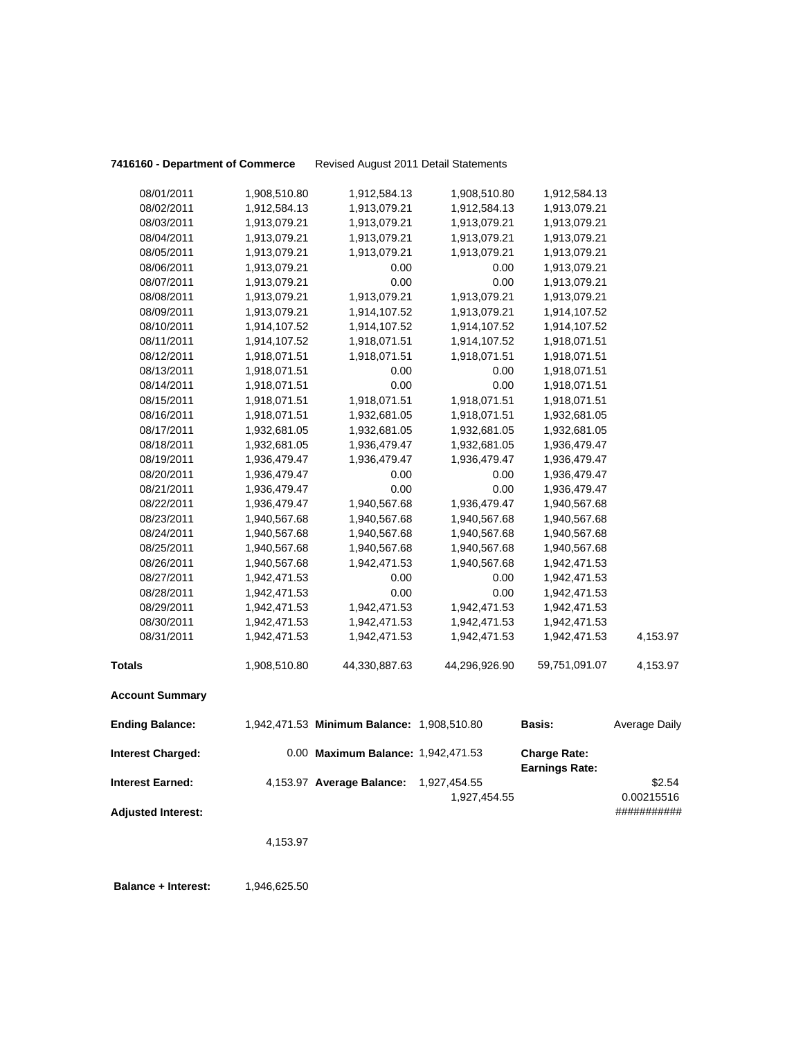**7416160 - Department of Commerce** Revised August 2011 Detail Statements

| 08/01/2011               | 1,908,510.80 | 1,912,584.13                               | 1,908,510.80  | 1,912,584.13                                 |               |
|--------------------------|--------------|--------------------------------------------|---------------|----------------------------------------------|---------------|
| 08/02/2011               | 1,912,584.13 | 1,913,079.21                               | 1,912,584.13  | 1,913,079.21                                 |               |
| 08/03/2011               | 1,913,079.21 | 1,913,079.21                               | 1,913,079.21  | 1,913,079.21                                 |               |
| 08/04/2011               | 1,913,079.21 | 1,913,079.21                               | 1,913,079.21  | 1,913,079.21                                 |               |
| 08/05/2011               | 1,913,079.21 | 1,913,079.21                               | 1,913,079.21  | 1,913,079.21                                 |               |
| 08/06/2011               | 1,913,079.21 | 0.00                                       | 0.00          | 1,913,079.21                                 |               |
| 08/07/2011               | 1,913,079.21 | 0.00                                       | 0.00          | 1,913,079.21                                 |               |
| 08/08/2011               | 1,913,079.21 | 1,913,079.21                               | 1,913,079.21  | 1,913,079.21                                 |               |
| 08/09/2011               | 1,913,079.21 | 1,914,107.52                               | 1,913,079.21  | 1,914,107.52                                 |               |
| 08/10/2011               | 1,914,107.52 | 1,914,107.52                               | 1,914,107.52  | 1,914,107.52                                 |               |
| 08/11/2011               | 1,914,107.52 | 1,918,071.51                               | 1,914,107.52  | 1,918,071.51                                 |               |
| 08/12/2011               | 1,918,071.51 | 1,918,071.51                               | 1,918,071.51  | 1,918,071.51                                 |               |
| 08/13/2011               | 1,918,071.51 | 0.00                                       | 0.00          | 1,918,071.51                                 |               |
| 08/14/2011               | 1,918,071.51 | 0.00                                       | 0.00          | 1,918,071.51                                 |               |
| 08/15/2011               | 1,918,071.51 | 1,918,071.51                               | 1,918,071.51  | 1,918,071.51                                 |               |
| 08/16/2011               | 1,918,071.51 | 1,932,681.05                               | 1,918,071.51  | 1,932,681.05                                 |               |
| 08/17/2011               | 1,932,681.05 | 1,932,681.05                               | 1,932,681.05  | 1,932,681.05                                 |               |
| 08/18/2011               | 1,932,681.05 | 1,936,479.47                               | 1,932,681.05  | 1,936,479.47                                 |               |
| 08/19/2011               | 1,936,479.47 | 1,936,479.47                               | 1,936,479.47  | 1,936,479.47                                 |               |
| 08/20/2011               | 1,936,479.47 | 0.00                                       | 0.00          | 1,936,479.47                                 |               |
| 08/21/2011               | 1,936,479.47 | 0.00                                       | 0.00          | 1,936,479.47                                 |               |
| 08/22/2011               | 1,936,479.47 | 1,940,567.68                               | 1,936,479.47  | 1,940,567.68                                 |               |
| 08/23/2011               | 1,940,567.68 | 1,940,567.68                               | 1,940,567.68  | 1,940,567.68                                 |               |
| 08/24/2011               | 1,940,567.68 | 1,940,567.68                               | 1,940,567.68  | 1,940,567.68                                 |               |
| 08/25/2011               | 1,940,567.68 | 1,940,567.68                               | 1,940,567.68  | 1,940,567.68                                 |               |
| 08/26/2011               | 1,940,567.68 | 1,942,471.53                               | 1,940,567.68  | 1,942,471.53                                 |               |
| 08/27/2011               | 1,942,471.53 | 0.00                                       | 0.00          | 1,942,471.53                                 |               |
| 08/28/2011               | 1,942,471.53 | 0.00                                       | 0.00          | 1,942,471.53                                 |               |
| 08/29/2011               | 1,942,471.53 | 1,942,471.53                               | 1,942,471.53  | 1,942,471.53                                 |               |
| 08/30/2011               | 1,942,471.53 | 1,942,471.53                               | 1,942,471.53  | 1,942,471.53                                 |               |
| 08/31/2011               | 1,942,471.53 | 1,942,471.53                               | 1,942,471.53  | 1,942,471.53                                 | 4,153.97      |
| <b>Totals</b>            | 1,908,510.80 | 44,330,887.63                              | 44,296,926.90 | 59,751,091.07                                | 4,153.97      |
| <b>Account Summary</b>   |              |                                            |               |                                              |               |
| <b>Ending Balance:</b>   |              | 1,942,471.53 Minimum Balance: 1,908,510.80 |               | Basis:                                       | Average Daily |
| <b>Interest Charged:</b> |              | 0.00 Maximum Balance: 1,942,471.53         |               | <b>Charge Rate:</b><br><b>Earnings Rate:</b> |               |
| <b>Interest Earned:</b>  |              | 4,153.97 Average Balance:                  | 1,927,454.55  |                                              | \$2.54        |
|                          |              |                                            | 1,927,454.55  |                                              | 0.00215516    |

**Adjusted Interest:** ###########

4,153.97

**Balance + Interest:** 1,946,625.50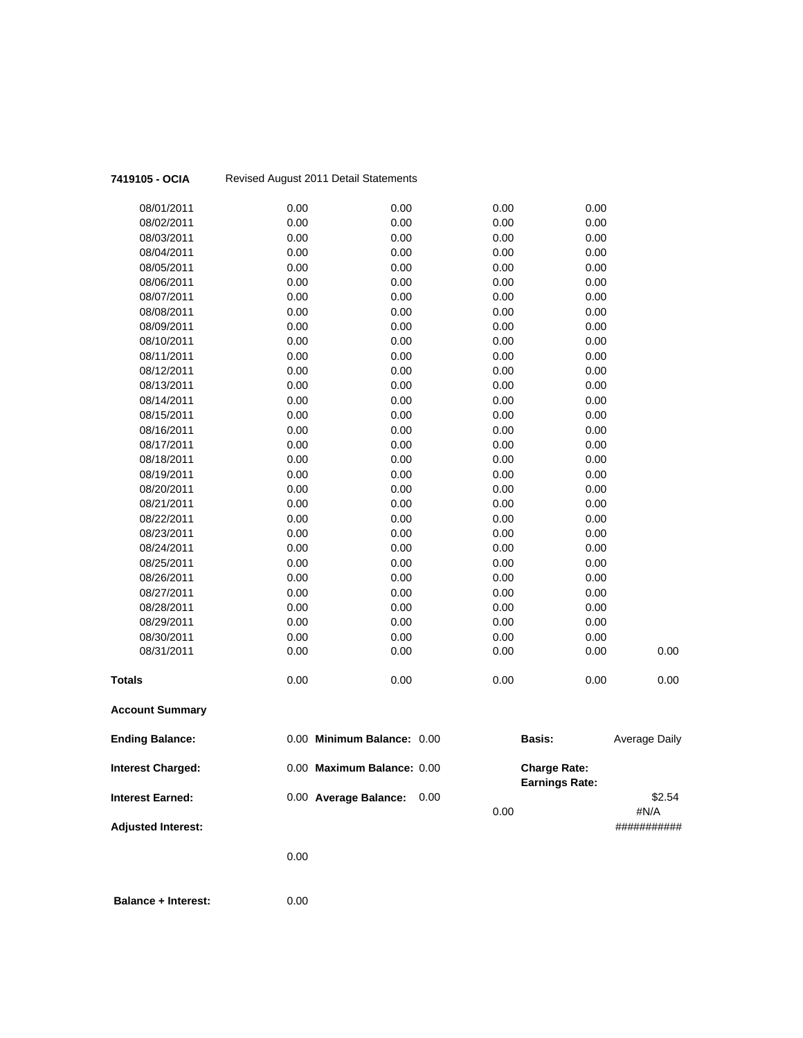| 7419105 - OCIA             |      | Revised August 2011 Detail Statements |              |                       |                      |
|----------------------------|------|---------------------------------------|--------------|-----------------------|----------------------|
| 08/01/2011                 | 0.00 | 0.00                                  | 0.00         | 0.00                  |                      |
| 08/02/2011                 | 0.00 | 0.00                                  | 0.00         | 0.00                  |                      |
| 08/03/2011                 | 0.00 | 0.00                                  | 0.00         | 0.00                  |                      |
| 08/04/2011                 | 0.00 | 0.00                                  | 0.00         | 0.00                  |                      |
| 08/05/2011                 | 0.00 | 0.00                                  | 0.00         | 0.00                  |                      |
| 08/06/2011                 | 0.00 | 0.00                                  | 0.00         | 0.00                  |                      |
| 08/07/2011                 | 0.00 | 0.00                                  | 0.00         | 0.00                  |                      |
| 08/08/2011                 | 0.00 | 0.00                                  | 0.00         | 0.00                  |                      |
| 08/09/2011                 | 0.00 | 0.00                                  | 0.00         | 0.00                  |                      |
| 08/10/2011                 | 0.00 | 0.00                                  | 0.00         | 0.00                  |                      |
| 08/11/2011                 | 0.00 | 0.00                                  | 0.00         | 0.00                  |                      |
| 08/12/2011                 | 0.00 | 0.00                                  | 0.00         | 0.00                  |                      |
| 08/13/2011                 | 0.00 | 0.00                                  | 0.00         | 0.00                  |                      |
| 08/14/2011                 | 0.00 | 0.00                                  | 0.00         | 0.00                  |                      |
| 08/15/2011                 | 0.00 | 0.00                                  | 0.00         | 0.00                  |                      |
| 08/16/2011                 | 0.00 | 0.00                                  | 0.00         | 0.00                  |                      |
| 08/17/2011                 | 0.00 | 0.00                                  | 0.00         | 0.00                  |                      |
| 08/18/2011                 | 0.00 | 0.00                                  | 0.00         | 0.00                  |                      |
| 08/19/2011                 | 0.00 | 0.00                                  | 0.00         | 0.00                  |                      |
| 08/20/2011                 | 0.00 | 0.00                                  | 0.00         | 0.00                  |                      |
| 08/21/2011                 | 0.00 | 0.00                                  | 0.00         | 0.00                  |                      |
| 08/22/2011                 | 0.00 | 0.00                                  | 0.00         | 0.00                  |                      |
| 08/23/2011                 | 0.00 | 0.00                                  | 0.00         | 0.00                  |                      |
| 08/24/2011                 | 0.00 | 0.00                                  | 0.00         | 0.00                  |                      |
| 08/25/2011                 | 0.00 | 0.00                                  | 0.00         | 0.00                  |                      |
| 08/26/2011                 | 0.00 | 0.00                                  | 0.00         | 0.00                  |                      |
| 08/27/2011                 | 0.00 | 0.00                                  | 0.00         | 0.00                  |                      |
| 08/28/2011                 | 0.00 | 0.00                                  | 0.00         | 0.00                  |                      |
| 08/29/2011                 | 0.00 | 0.00                                  | 0.00         | 0.00                  |                      |
| 08/30/2011                 | 0.00 | 0.00                                  | 0.00         | 0.00                  |                      |
| 08/31/2011                 | 0.00 | 0.00                                  | 0.00         | 0.00                  | 0.00                 |
| <b>Totals</b>              | 0.00 | 0.00                                  | 0.00         | 0.00                  | 0.00                 |
| <b>Account Summary</b>     |      |                                       |              |                       |                      |
| <b>Ending Balance:</b>     |      | 0.00 Minimum Balance: 0.00            |              | <b>Basis:</b>         | <b>Average Daily</b> |
| <b>Interest Charged:</b>   |      | 0.00 Maximum Balance: 0.00            |              | <b>Charge Rate:</b>   |                      |
|                            |      |                                       |              | <b>Earnings Rate:</b> |                      |
| <b>Interest Earned:</b>    |      | 0.00 Average Balance:                 | 0.00<br>0.00 |                       | \$2.54<br>#N/A       |
| <b>Adjusted Interest:</b>  |      |                                       |              |                       | ###########          |
|                            | 0.00 |                                       |              |                       |                      |
|                            |      |                                       |              |                       |                      |
| <b>Balance + Interest:</b> | 0.00 |                                       |              |                       |                      |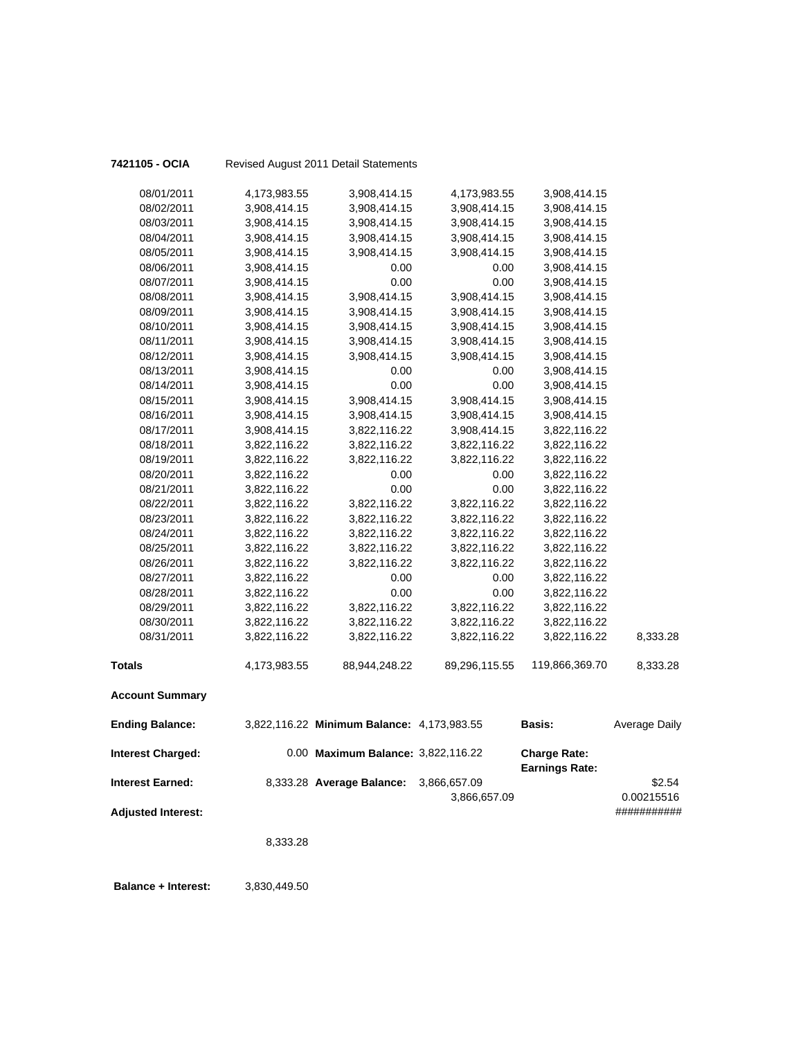| 7421105 - OCIA            |                              | Revised August 2011 Detail Statements      |                              |                                              |                           |
|---------------------------|------------------------------|--------------------------------------------|------------------------------|----------------------------------------------|---------------------------|
| 08/01/2011                | 4,173,983.55                 | 3,908,414.15                               | 4,173,983.55                 | 3,908,414.15                                 |                           |
| 08/02/2011                | 3,908,414.15                 | 3,908,414.15                               | 3,908,414.15                 | 3,908,414.15                                 |                           |
| 08/03/2011                | 3,908,414.15                 | 3,908,414.15                               | 3,908,414.15                 | 3,908,414.15                                 |                           |
| 08/04/2011                | 3,908,414.15                 | 3,908,414.15                               | 3,908,414.15                 | 3,908,414.15                                 |                           |
| 08/05/2011                | 3,908,414.15                 | 3,908,414.15                               | 3,908,414.15                 | 3,908,414.15                                 |                           |
| 08/06/2011                | 3,908,414.15                 | 0.00                                       | 0.00                         | 3,908,414.15                                 |                           |
| 08/07/2011                | 3,908,414.15                 | 0.00                                       | 0.00                         | 3,908,414.15                                 |                           |
| 08/08/2011                | 3,908,414.15                 | 3,908,414.15                               | 3,908,414.15                 | 3,908,414.15                                 |                           |
| 08/09/2011                | 3,908,414.15                 | 3,908,414.15                               | 3,908,414.15                 | 3,908,414.15                                 |                           |
| 08/10/2011                | 3,908,414.15                 | 3,908,414.15                               | 3,908,414.15                 | 3,908,414.15                                 |                           |
| 08/11/2011                | 3,908,414.15                 | 3,908,414.15                               | 3,908,414.15                 | 3,908,414.15                                 |                           |
| 08/12/2011                | 3,908,414.15                 | 3,908,414.15                               | 3,908,414.15                 | 3,908,414.15                                 |                           |
| 08/13/2011                | 3,908,414.15                 | 0.00                                       | 0.00                         | 3,908,414.15                                 |                           |
| 08/14/2011                | 3,908,414.15                 | 0.00                                       | 0.00                         | 3,908,414.15                                 |                           |
| 08/15/2011                | 3,908,414.15                 | 3,908,414.15                               | 3,908,414.15                 | 3,908,414.15                                 |                           |
| 08/16/2011                | 3,908,414.15                 | 3,908,414.15                               | 3,908,414.15                 | 3,908,414.15                                 |                           |
| 08/17/2011                | 3,908,414.15                 | 3,822,116.22                               | 3,908,414.15                 | 3,822,116.22                                 |                           |
| 08/18/2011                | 3,822,116.22                 | 3,822,116.22                               | 3,822,116.22                 | 3,822,116.22                                 |                           |
| 08/19/2011                | 3,822,116.22                 | 3,822,116.22                               | 3,822,116.22                 | 3,822,116.22                                 |                           |
| 08/20/2011                | 3,822,116.22                 | 0.00                                       | 0.00                         | 3,822,116.22                                 |                           |
| 08/21/2011                | 3,822,116.22                 | 0.00                                       | 0.00                         | 3,822,116.22                                 |                           |
| 08/22/2011                | 3,822,116.22                 | 3,822,116.22                               | 3,822,116.22                 | 3,822,116.22                                 |                           |
| 08/23/2011                | 3,822,116.22                 | 3,822,116.22                               | 3,822,116.22                 | 3,822,116.22                                 |                           |
| 08/24/2011                | 3,822,116.22                 | 3,822,116.22                               | 3,822,116.22                 | 3,822,116.22                                 |                           |
| 08/25/2011                | 3,822,116.22                 | 3,822,116.22                               | 3,822,116.22                 | 3,822,116.22                                 |                           |
| 08/26/2011                | 3,822,116.22                 | 3,822,116.22                               | 3,822,116.22                 | 3,822,116.22                                 |                           |
| 08/27/2011                | 3,822,116.22                 | 0.00                                       | 0.00                         | 3,822,116.22                                 |                           |
| 08/28/2011                | 3,822,116.22                 | 0.00                                       | 0.00                         | 3,822,116.22                                 |                           |
| 08/29/2011                | 3,822,116.22                 | 3,822,116.22                               | 3,822,116.22                 | 3,822,116.22                                 |                           |
| 08/30/2011<br>08/31/2011  | 3,822,116.22<br>3,822,116.22 | 3,822,116.22<br>3,822,116.22               | 3,822,116.22<br>3,822,116.22 | 3,822,116.22<br>3,822,116.22                 | 8,333.28                  |
|                           |                              |                                            |                              |                                              |                           |
| <b>Totals</b>             | 4,173,983.55                 | 88,944,248.22                              | 89,296,115.55                | 119,866,369.70                               | 8,333.28                  |
| <b>Account Summary</b>    |                              |                                            |                              |                                              |                           |
| <b>Ending Balance:</b>    |                              | 3,822,116.22 Minimum Balance: 4,173,983.55 |                              | <b>Basis:</b>                                | <b>Average Daily</b>      |
| <b>Interest Charged:</b>  |                              | 0.00 Maximum Balance: 3,822,116.22         |                              | <b>Charge Rate:</b><br><b>Earnings Rate:</b> |                           |
| <b>Interest Earned:</b>   |                              | 8,333.28 Average Balance:                  | 3,866,657.09                 |                                              | \$2.54                    |
| <b>Adjusted Interest:</b> |                              |                                            | 3,866,657.09                 |                                              | 0.00215516<br>########### |
|                           |                              |                                            |                              |                                              |                           |
|                           | 8,333.28                     |                                            |                              |                                              |                           |
|                           |                              |                                            |                              |                                              |                           |

 **Balance + Interest:** 3,830,449.50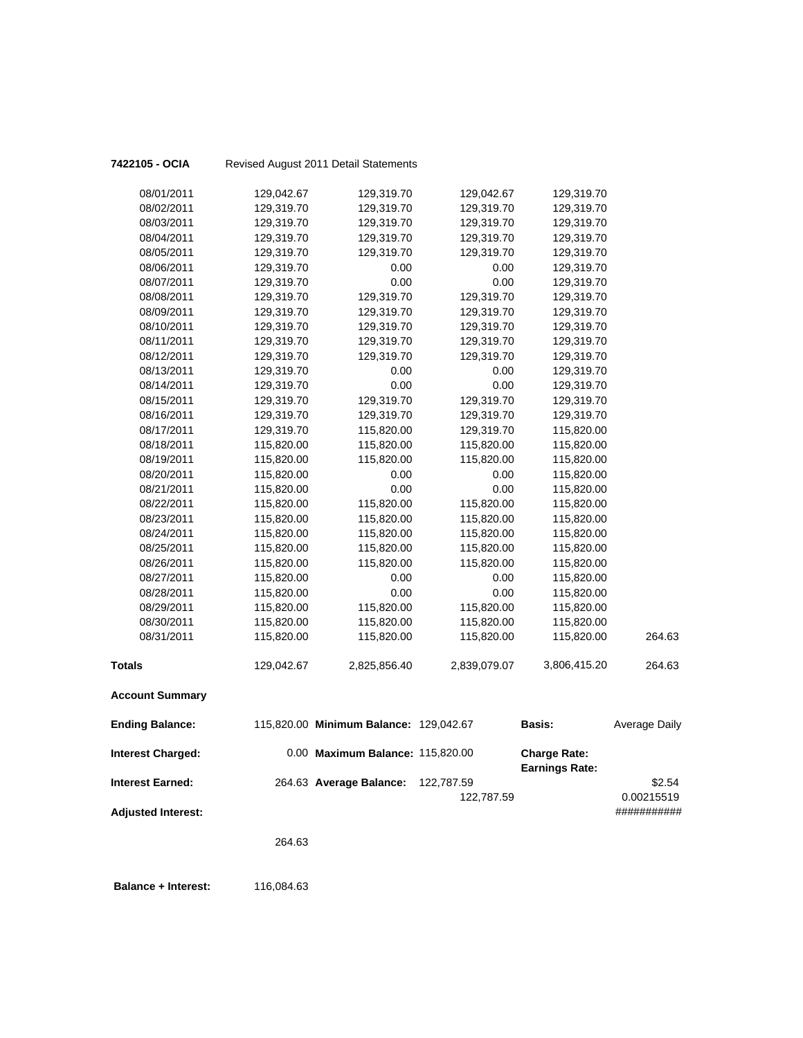| 7422105 - OCIA             |            | Revised August 2011 Detail Statements  |              |                                              |                           |
|----------------------------|------------|----------------------------------------|--------------|----------------------------------------------|---------------------------|
| 08/01/2011                 | 129,042.67 | 129,319.70                             | 129,042.67   | 129,319.70                                   |                           |
| 08/02/2011                 | 129,319.70 | 129,319.70                             | 129,319.70   | 129,319.70                                   |                           |
| 08/03/2011                 | 129,319.70 | 129,319.70                             | 129,319.70   | 129,319.70                                   |                           |
| 08/04/2011                 | 129,319.70 | 129,319.70                             | 129,319.70   | 129,319.70                                   |                           |
| 08/05/2011                 | 129,319.70 | 129,319.70                             | 129,319.70   | 129,319.70                                   |                           |
| 08/06/2011                 | 129,319.70 | 0.00                                   | 0.00         | 129,319.70                                   |                           |
| 08/07/2011                 | 129,319.70 | 0.00                                   | 0.00         | 129,319.70                                   |                           |
| 08/08/2011                 | 129,319.70 | 129,319.70                             | 129,319.70   | 129,319.70                                   |                           |
| 08/09/2011                 | 129,319.70 | 129,319.70                             | 129,319.70   | 129,319.70                                   |                           |
| 08/10/2011                 | 129,319.70 | 129,319.70                             | 129,319.70   | 129,319.70                                   |                           |
| 08/11/2011                 | 129,319.70 | 129,319.70                             | 129,319.70   | 129,319.70                                   |                           |
| 08/12/2011                 | 129,319.70 | 129,319.70                             | 129,319.70   | 129,319.70                                   |                           |
| 08/13/2011                 | 129,319.70 | 0.00                                   | 0.00         | 129,319.70                                   |                           |
| 08/14/2011                 | 129,319.70 | 0.00                                   | 0.00         | 129,319.70                                   |                           |
| 08/15/2011                 | 129,319.70 | 129,319.70                             | 129,319.70   | 129,319.70                                   |                           |
| 08/16/2011                 | 129,319.70 | 129,319.70                             | 129,319.70   | 129,319.70                                   |                           |
| 08/17/2011                 | 129,319.70 | 115,820.00                             | 129,319.70   | 115,820.00                                   |                           |
| 08/18/2011                 | 115,820.00 | 115,820.00                             | 115,820.00   | 115,820.00                                   |                           |
| 08/19/2011                 | 115,820.00 | 115,820.00                             | 115,820.00   | 115,820.00                                   |                           |
| 08/20/2011                 | 115,820.00 | 0.00                                   | 0.00         | 115,820.00                                   |                           |
| 08/21/2011                 | 115,820.00 | 0.00                                   | 0.00         | 115,820.00                                   |                           |
| 08/22/2011                 | 115,820.00 | 115,820.00                             | 115,820.00   | 115,820.00                                   |                           |
| 08/23/2011                 | 115,820.00 | 115,820.00                             | 115,820.00   | 115,820.00                                   |                           |
| 08/24/2011                 | 115,820.00 | 115,820.00                             | 115,820.00   | 115,820.00                                   |                           |
| 08/25/2011                 | 115,820.00 | 115,820.00                             | 115,820.00   | 115,820.00                                   |                           |
| 08/26/2011                 | 115,820.00 | 115,820.00                             | 115,820.00   | 115,820.00                                   |                           |
| 08/27/2011                 | 115,820.00 | 0.00                                   | 0.00         | 115,820.00                                   |                           |
| 08/28/2011                 | 115,820.00 | 0.00                                   | 0.00         | 115,820.00                                   |                           |
| 08/29/2011                 | 115,820.00 | 115,820.00                             | 115,820.00   | 115,820.00                                   |                           |
| 08/30/2011                 | 115,820.00 | 115,820.00                             | 115,820.00   | 115,820.00                                   |                           |
| 08/31/2011                 | 115,820.00 | 115,820.00                             | 115,820.00   | 115,820.00                                   | 264.63                    |
| <b>Totals</b>              | 129,042.67 | 2,825,856.40                           | 2,839,079.07 | 3,806,415.20                                 | 264.63                    |
| <b>Account Summary</b>     |            |                                        |              |                                              |                           |
| <b>Ending Balance:</b>     |            | 115,820.00 Minimum Balance: 129,042.67 |              | <b>Basis:</b>                                | Average Daily             |
| <b>Interest Charged:</b>   |            | 0.00 Maximum Balance: 115,820.00       |              | <b>Charge Rate:</b><br><b>Earnings Rate:</b> |                           |
| <b>Interest Earned:</b>    |            | 264.63 Average Balance:                | 122,787.59   |                                              | \$2.54                    |
| <b>Adjusted Interest:</b>  |            |                                        | 122,787.59   |                                              | 0.00215519<br>########### |
|                            |            |                                        |              |                                              |                           |
|                            | 264.63     |                                        |              |                                              |                           |
| <b>Balance + Interest:</b> | 116,084.63 |                                        |              |                                              |                           |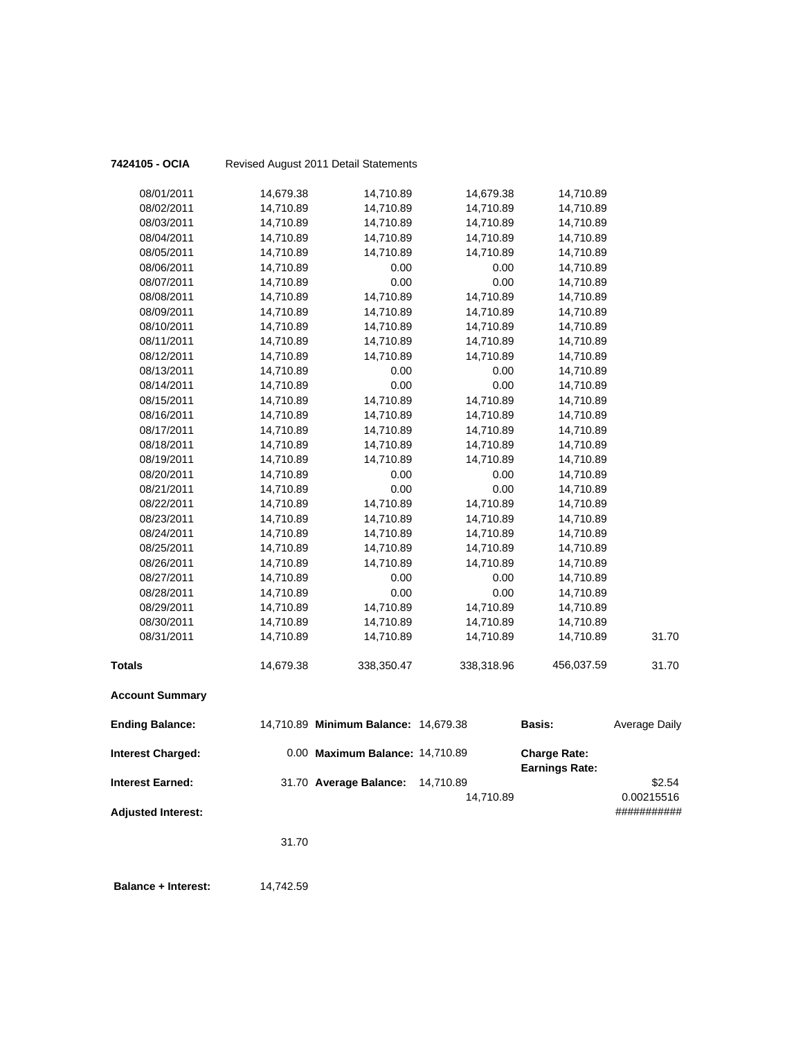| 7424105 - OCIA             |           | Revised August 2011 Detail Statements |            |                                              |                      |
|----------------------------|-----------|---------------------------------------|------------|----------------------------------------------|----------------------|
| 08/01/2011                 | 14,679.38 | 14,710.89                             | 14,679.38  | 14,710.89                                    |                      |
| 08/02/2011                 | 14,710.89 | 14,710.89                             | 14,710.89  | 14,710.89                                    |                      |
| 08/03/2011                 | 14,710.89 | 14,710.89                             | 14,710.89  | 14,710.89                                    |                      |
| 08/04/2011                 | 14,710.89 | 14,710.89                             | 14,710.89  | 14,710.89                                    |                      |
| 08/05/2011                 | 14,710.89 | 14,710.89                             | 14,710.89  | 14,710.89                                    |                      |
| 08/06/2011                 | 14,710.89 | 0.00                                  | 0.00       | 14,710.89                                    |                      |
| 08/07/2011                 | 14,710.89 | 0.00                                  | 0.00       | 14,710.89                                    |                      |
| 08/08/2011                 | 14,710.89 | 14,710.89                             | 14,710.89  | 14,710.89                                    |                      |
| 08/09/2011                 | 14,710.89 | 14,710.89                             | 14,710.89  | 14,710.89                                    |                      |
| 08/10/2011                 | 14,710.89 | 14,710.89                             | 14,710.89  | 14,710.89                                    |                      |
| 08/11/2011                 | 14,710.89 | 14,710.89                             | 14,710.89  | 14,710.89                                    |                      |
| 08/12/2011                 | 14,710.89 | 14,710.89                             | 14,710.89  | 14,710.89                                    |                      |
| 08/13/2011                 | 14,710.89 | 0.00                                  | 0.00       | 14,710.89                                    |                      |
| 08/14/2011                 | 14,710.89 | 0.00                                  | 0.00       | 14,710.89                                    |                      |
| 08/15/2011                 | 14,710.89 | 14,710.89                             | 14,710.89  | 14,710.89                                    |                      |
| 08/16/2011                 | 14,710.89 | 14,710.89                             | 14,710.89  | 14,710.89                                    |                      |
| 08/17/2011                 | 14,710.89 | 14,710.89                             | 14,710.89  | 14,710.89                                    |                      |
| 08/18/2011                 | 14,710.89 | 14,710.89                             | 14,710.89  | 14,710.89                                    |                      |
| 08/19/2011                 | 14,710.89 | 14,710.89                             | 14,710.89  | 14,710.89                                    |                      |
| 08/20/2011                 | 14,710.89 | 0.00                                  | 0.00       | 14,710.89                                    |                      |
| 08/21/2011                 | 14,710.89 | 0.00                                  | 0.00       | 14,710.89                                    |                      |
| 08/22/2011                 | 14,710.89 | 14,710.89                             | 14,710.89  | 14,710.89                                    |                      |
| 08/23/2011                 | 14,710.89 | 14,710.89                             | 14,710.89  | 14,710.89                                    |                      |
| 08/24/2011                 | 14,710.89 | 14,710.89                             | 14,710.89  | 14,710.89                                    |                      |
| 08/25/2011                 | 14,710.89 | 14,710.89                             | 14,710.89  | 14,710.89                                    |                      |
| 08/26/2011                 | 14,710.89 | 14,710.89                             | 14,710.89  | 14,710.89                                    |                      |
| 08/27/2011                 | 14,710.89 | 0.00                                  | 0.00       | 14,710.89                                    |                      |
| 08/28/2011                 | 14,710.89 | 0.00                                  | 0.00       | 14,710.89                                    |                      |
| 08/29/2011                 | 14,710.89 | 14,710.89                             | 14,710.89  | 14,710.89                                    |                      |
| 08/30/2011                 | 14,710.89 | 14,710.89                             | 14,710.89  | 14,710.89                                    |                      |
| 08/31/2011                 | 14,710.89 | 14,710.89                             | 14,710.89  | 14,710.89                                    | 31.70                |
| <b>Totals</b>              | 14,679.38 | 338,350.47                            | 338,318.96 | 456,037.59                                   | 31.70                |
| <b>Account Summary</b>     |           |                                       |            |                                              |                      |
| <b>Ending Balance:</b>     |           | 14,710.89 Minimum Balance: 14,679.38  |            | Basis:                                       | <b>Average Daily</b> |
| <b>Interest Charged:</b>   |           | 0.00 Maximum Balance: 14,710.89       |            | <b>Charge Rate:</b><br><b>Earnings Rate:</b> |                      |
| <b>Interest Earned:</b>    |           | 31.70 Average Balance:                | 14,710.89  |                                              | \$2.54               |
|                            |           |                                       | 14,710.89  |                                              | 0.00215516           |
| <b>Adjusted Interest:</b>  |           |                                       |            |                                              | ###########          |
|                            | 31.70     |                                       |            |                                              |                      |
| <b>Balance + Interest:</b> | 14,742.59 |                                       |            |                                              |                      |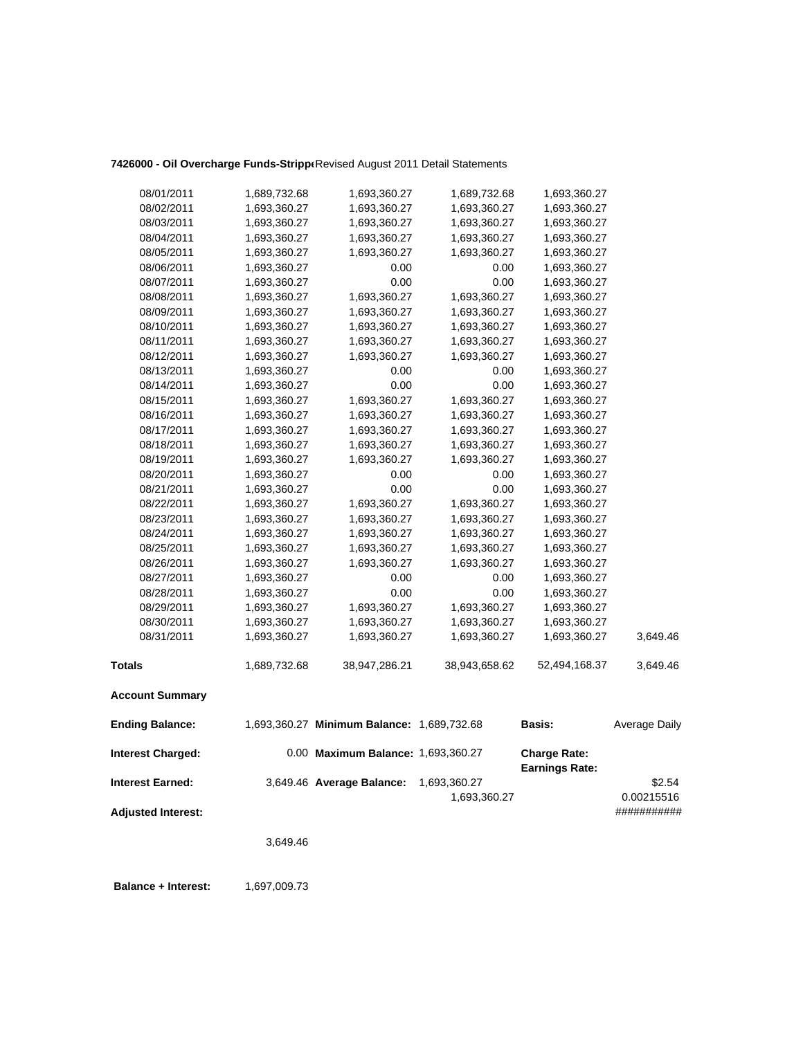## **7426000 - Oil Overcharge Funds-Strippe**Revised August 2011 Detail Statements

| 08/01/2011                | 1,689,732.68 | 1,693,360.27                               | 1,689,732.68                 | 1,693,360.27                                 |                      |
|---------------------------|--------------|--------------------------------------------|------------------------------|----------------------------------------------|----------------------|
| 08/02/2011                | 1,693,360.27 | 1,693,360.27                               | 1,693,360.27                 | 1,693,360.27                                 |                      |
| 08/03/2011                | 1,693,360.27 | 1,693,360.27                               | 1,693,360.27                 | 1,693,360.27                                 |                      |
| 08/04/2011                | 1,693,360.27 | 1,693,360.27                               | 1,693,360.27                 | 1,693,360.27                                 |                      |
| 08/05/2011                | 1,693,360.27 | 1,693,360.27                               | 1,693,360.27                 | 1,693,360.27                                 |                      |
| 08/06/2011                | 1,693,360.27 | 0.00                                       | 0.00                         | 1,693,360.27                                 |                      |
| 08/07/2011                | 1,693,360.27 | 0.00                                       | 0.00                         | 1,693,360.27                                 |                      |
| 08/08/2011                | 1,693,360.27 | 1,693,360.27                               | 1,693,360.27                 | 1,693,360.27                                 |                      |
| 08/09/2011                | 1,693,360.27 | 1,693,360.27                               | 1,693,360.27                 | 1,693,360.27                                 |                      |
| 08/10/2011                | 1,693,360.27 | 1,693,360.27                               | 1,693,360.27                 | 1,693,360.27                                 |                      |
| 08/11/2011                | 1,693,360.27 | 1,693,360.27                               | 1,693,360.27                 | 1,693,360.27                                 |                      |
| 08/12/2011                | 1,693,360.27 | 1,693,360.27                               | 1,693,360.27                 | 1,693,360.27                                 |                      |
| 08/13/2011                | 1,693,360.27 | 0.00                                       | 0.00                         | 1,693,360.27                                 |                      |
| 08/14/2011                | 1,693,360.27 | 0.00                                       | 0.00                         | 1,693,360.27                                 |                      |
| 08/15/2011                | 1,693,360.27 | 1,693,360.27                               | 1,693,360.27                 | 1,693,360.27                                 |                      |
| 08/16/2011                | 1,693,360.27 | 1,693,360.27                               | 1,693,360.27                 | 1,693,360.27                                 |                      |
| 08/17/2011                | 1,693,360.27 | 1,693,360.27                               | 1,693,360.27                 | 1,693,360.27                                 |                      |
| 08/18/2011                | 1,693,360.27 | 1,693,360.27                               | 1,693,360.27                 | 1,693,360.27                                 |                      |
| 08/19/2011                | 1,693,360.27 | 1,693,360.27                               | 1,693,360.27                 | 1,693,360.27                                 |                      |
| 08/20/2011                | 1,693,360.27 | 0.00                                       | 0.00                         | 1,693,360.27                                 |                      |
| 08/21/2011                | 1,693,360.27 | 0.00                                       | 0.00                         | 1,693,360.27                                 |                      |
| 08/22/2011                | 1,693,360.27 | 1,693,360.27                               | 1,693,360.27                 | 1,693,360.27                                 |                      |
| 08/23/2011                | 1,693,360.27 | 1,693,360.27                               | 1,693,360.27                 | 1,693,360.27                                 |                      |
| 08/24/2011                | 1,693,360.27 | 1,693,360.27                               | 1,693,360.27                 | 1,693,360.27                                 |                      |
| 08/25/2011                | 1,693,360.27 | 1,693,360.27                               | 1,693,360.27                 | 1,693,360.27                                 |                      |
| 08/26/2011                | 1,693,360.27 | 1,693,360.27                               | 1,693,360.27                 | 1,693,360.27                                 |                      |
| 08/27/2011                | 1,693,360.27 | 0.00                                       | 0.00                         | 1,693,360.27                                 |                      |
| 08/28/2011                | 1,693,360.27 | 0.00                                       | 0.00                         | 1,693,360.27                                 |                      |
| 08/29/2011                | 1,693,360.27 | 1,693,360.27                               | 1,693,360.27                 | 1,693,360.27                                 |                      |
| 08/30/2011                | 1,693,360.27 | 1,693,360.27                               | 1,693,360.27                 | 1,693,360.27                                 |                      |
| 08/31/2011                | 1,693,360.27 | 1,693,360.27                               | 1,693,360.27                 | 1,693,360.27                                 | 3,649.46             |
| <b>Totals</b>             | 1,689,732.68 | 38,947,286.21                              | 38,943,658.62                | 52,494,168.37                                | 3,649.46             |
| <b>Account Summary</b>    |              |                                            |                              |                                              |                      |
| <b>Ending Balance:</b>    |              | 1,693,360.27 Minimum Balance: 1,689,732.68 |                              | Basis:                                       | Average Daily        |
| <b>Interest Charged:</b>  |              | 0.00 Maximum Balance: 1,693,360.27         |                              | <b>Charge Rate:</b><br><b>Earnings Rate:</b> |                      |
| <b>Interest Earned:</b>   |              | 3,649.46 Average Balance:                  | 1,693,360.27<br>1,693,360.27 |                                              | \$2.54<br>0.00215516 |
| <b>Adjusted Interest:</b> |              |                                            |                              |                                              | ###########          |

3,649.46

**Balance + Interest:** 1,697,009.73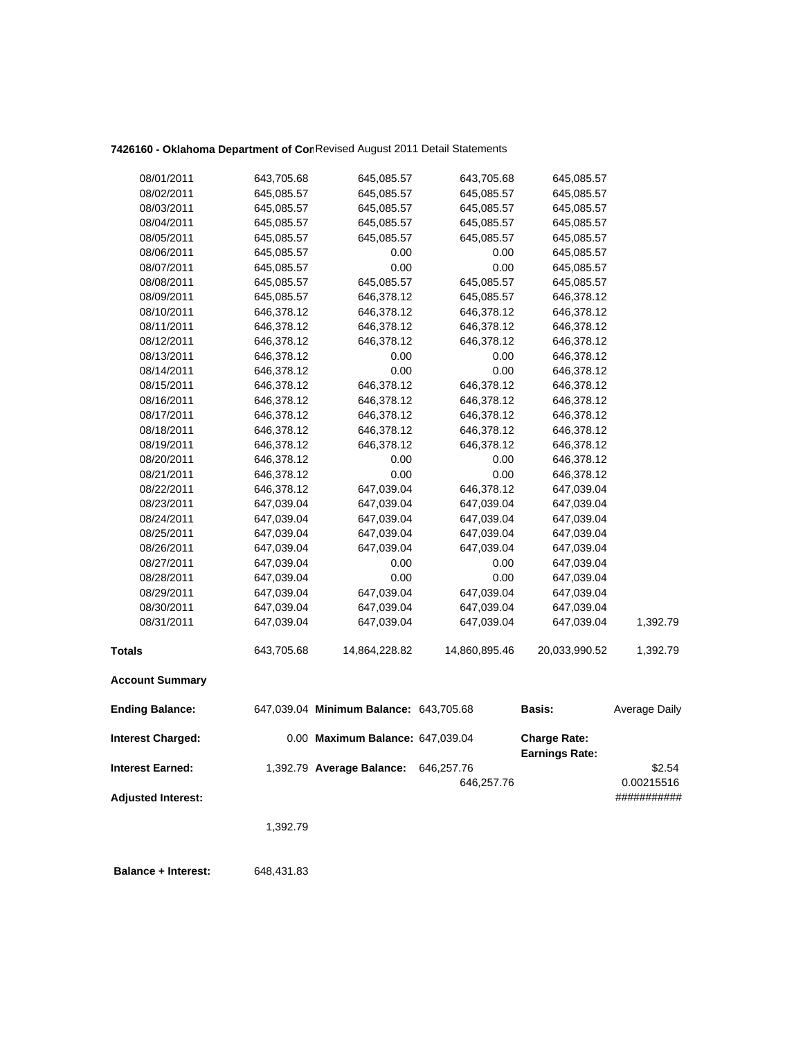# **7426160 - Oklahoma Department of Com**Revised August 2011 Detail Statements

| 08/01/2011                | 643,705.68 | 645,085.57                             | 643,705.68    | 645,085.57                                   |               |
|---------------------------|------------|----------------------------------------|---------------|----------------------------------------------|---------------|
| 08/02/2011                | 645,085.57 | 645,085.57                             | 645,085.57    | 645,085.57                                   |               |
| 08/03/2011                | 645,085.57 | 645,085.57                             | 645,085.57    | 645,085.57                                   |               |
| 08/04/2011                | 645,085.57 | 645,085.57                             | 645,085.57    | 645,085.57                                   |               |
| 08/05/2011                | 645,085.57 | 645,085.57                             | 645,085.57    | 645,085.57                                   |               |
| 08/06/2011                | 645,085.57 | 0.00                                   | 0.00          | 645,085.57                                   |               |
| 08/07/2011                | 645,085.57 | 0.00                                   | 0.00          | 645,085.57                                   |               |
| 08/08/2011                | 645,085.57 | 645,085.57                             | 645,085.57    | 645,085.57                                   |               |
| 08/09/2011                | 645,085.57 | 646,378.12                             | 645,085.57    | 646,378.12                                   |               |
| 08/10/2011                | 646,378.12 | 646,378.12                             | 646,378.12    | 646,378.12                                   |               |
| 08/11/2011                | 646,378.12 | 646,378.12                             | 646,378.12    | 646,378.12                                   |               |
| 08/12/2011                | 646,378.12 | 646,378.12                             | 646,378.12    | 646,378.12                                   |               |
| 08/13/2011                | 646,378.12 | 0.00                                   | 0.00          | 646,378.12                                   |               |
| 08/14/2011                | 646,378.12 | 0.00                                   | 0.00          | 646,378.12                                   |               |
| 08/15/2011                | 646,378.12 | 646,378.12                             | 646,378.12    | 646,378.12                                   |               |
| 08/16/2011                | 646,378.12 | 646,378.12                             | 646,378.12    | 646,378.12                                   |               |
| 08/17/2011                | 646,378.12 | 646,378.12                             | 646,378.12    | 646,378.12                                   |               |
| 08/18/2011                | 646,378.12 | 646,378.12                             | 646,378.12    | 646,378.12                                   |               |
| 08/19/2011                | 646,378.12 | 646,378.12                             | 646,378.12    | 646,378.12                                   |               |
| 08/20/2011                | 646,378.12 | 0.00                                   | 0.00          | 646,378.12                                   |               |
| 08/21/2011                | 646,378.12 | 0.00                                   | 0.00          | 646,378.12                                   |               |
| 08/22/2011                | 646,378.12 | 647,039.04                             | 646,378.12    | 647,039.04                                   |               |
| 08/23/2011                | 647,039.04 | 647,039.04                             | 647,039.04    | 647,039.04                                   |               |
| 08/24/2011                | 647,039.04 | 647,039.04                             | 647,039.04    | 647,039.04                                   |               |
| 08/25/2011                | 647,039.04 | 647,039.04                             | 647,039.04    | 647,039.04                                   |               |
| 08/26/2011                | 647,039.04 | 647,039.04                             | 647,039.04    | 647,039.04                                   |               |
| 08/27/2011                | 647,039.04 | 0.00                                   | 0.00          | 647,039.04                                   |               |
| 08/28/2011                | 647,039.04 | 0.00                                   | 0.00          | 647,039.04                                   |               |
| 08/29/2011                | 647,039.04 | 647,039.04                             | 647,039.04    | 647,039.04                                   |               |
| 08/30/2011                | 647,039.04 | 647,039.04                             | 647,039.04    | 647,039.04                                   |               |
| 08/31/2011                | 647,039.04 | 647,039.04                             | 647,039.04    | 647,039.04                                   | 1,392.79      |
| <b>Totals</b>             | 643,705.68 | 14,864,228.82                          | 14,860,895.46 | 20,033,990.52                                | 1,392.79      |
| <b>Account Summary</b>    |            |                                        |               |                                              |               |
| <b>Ending Balance:</b>    |            | 647,039.04 Minimum Balance: 643,705.68 |               | <b>Basis:</b>                                | Average Daily |
| <b>Interest Charged:</b>  |            | 0.00 Maximum Balance: 647,039.04       |               | <b>Charge Rate:</b><br><b>Earnings Rate:</b> |               |
| <b>Interest Earned:</b>   |            | 1,392.79 Average Balance:              | 646,257.76    |                                              | \$2.54        |
|                           |            |                                        | 646,257.76    |                                              | 0.00215516    |
| <b>Adjusted Interest:</b> |            |                                        |               |                                              | ###########   |
|                           | 1,392.79   |                                        |               |                                              |               |
|                           |            |                                        |               |                                              |               |

 **Balance + Interest:** 648,431.83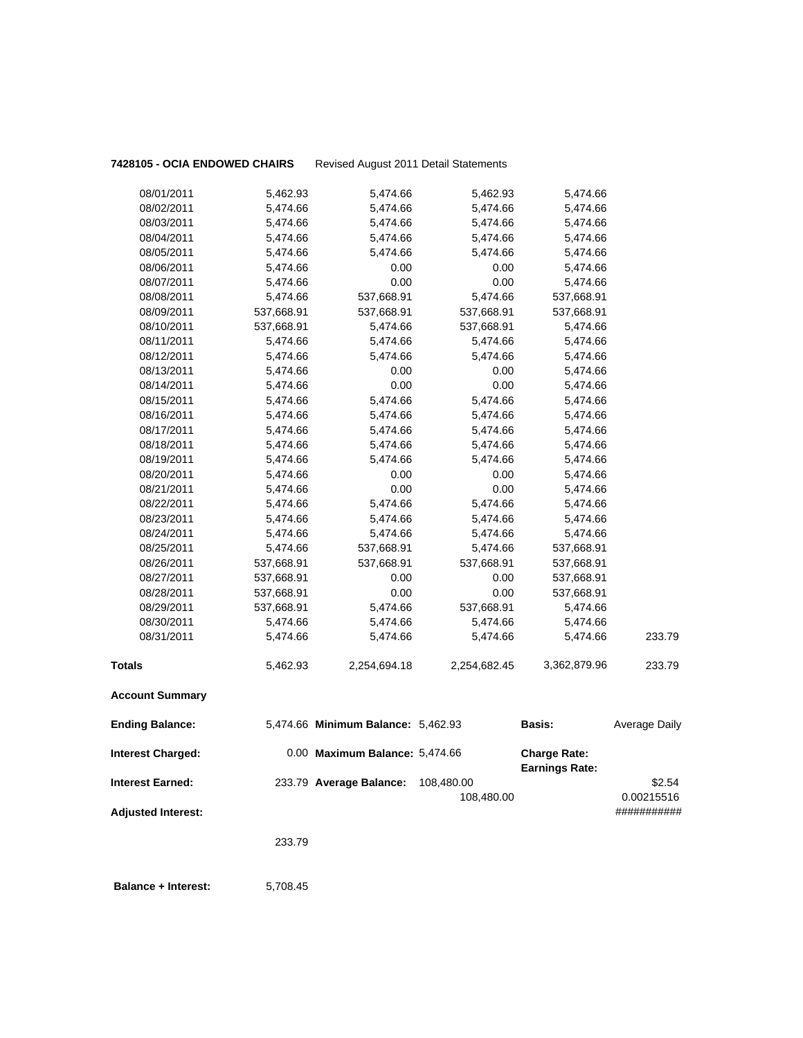**7428105 - OCIA ENDOWED CHAIRS** Revised August 2011 Detail Statements

| 08/31/2011 | 5,474.66   | 5,474.66   | 5,474.66   | 5,474.66   | 233.79 |
|------------|------------|------------|------------|------------|--------|
|            |            |            |            |            |        |
| 08/30/2011 | 5,474.66   | 5,474.66   | 5,474.66   | 5,474.66   |        |
| 08/29/2011 | 537,668.91 | 5,474.66   | 537,668.91 | 5,474.66   |        |
| 08/28/2011 | 537,668.91 | 0.00       | 0.00       | 537,668.91 |        |
| 08/27/2011 | 537,668.91 | 0.00       | 0.00       | 537,668.91 |        |
| 08/26/2011 | 537,668.91 | 537,668.91 | 537,668.91 | 537,668.91 |        |
| 08/25/2011 | 5,474.66   | 537,668.91 | 5,474.66   | 537,668.91 |        |
| 08/24/2011 | 5,474.66   | 5,474.66   | 5,474.66   | 5,474.66   |        |
| 08/23/2011 | 5,474.66   | 5,474.66   | 5,474.66   | 5,474.66   |        |
| 08/22/2011 | 5,474.66   | 5,474.66   | 5,474.66   | 5,474.66   |        |
| 08/21/2011 | 5,474.66   | 0.00       | 0.00       | 5,474.66   |        |
| 08/20/2011 | 5,474.66   | 0.00       | 0.00       | 5,474.66   |        |
| 08/19/2011 | 5,474.66   | 5,474.66   | 5,474.66   | 5,474.66   |        |
| 08/18/2011 | 5,474.66   | 5,474.66   | 5,474.66   | 5,474.66   |        |
| 08/17/2011 | 5,474.66   | 5,474.66   | 5,474.66   | 5,474.66   |        |
| 08/16/2011 | 5,474.66   | 5,474.66   | 5,474.66   | 5,474.66   |        |
| 08/15/2011 | 5,474.66   | 5,474.66   | 5,474.66   | 5,474.66   |        |
| 08/14/2011 | 5,474.66   | 0.00       | 0.00       | 5,474.66   |        |
| 08/13/2011 | 5,474.66   | 0.00       | 0.00       | 5,474.66   |        |
| 08/12/2011 | 5,474.66   | 5,474.66   | 5,474.66   | 5,474.66   |        |
| 08/11/2011 | 5,474.66   | 5,474.66   | 5,474.66   | 5,474.66   |        |
| 08/10/2011 | 537,668.91 | 5,474.66   | 537,668.91 | 5,474.66   |        |
| 08/09/2011 | 537,668.91 | 537,668.91 | 537,668.91 | 537,668.91 |        |
| 08/08/2011 | 5,474.66   | 537,668.91 | 5,474.66   | 537,668.91 |        |
| 08/07/2011 | 5,474.66   | 0.00       | 0.00       | 5,474.66   |        |
| 08/06/2011 | 5,474.66   | 0.00       | 0.00       | 5,474.66   |        |
| 08/05/2011 | 5,474.66   | 5,474.66   | 5,474.66   | 5,474.66   |        |
| 08/04/2011 | 5,474.66   | 5,474.66   | 5,474.66   | 5,474.66   |        |
| 08/03/2011 | 5,474.66   | 5,474.66   | 5,474.66   | 5,474.66   |        |
| 08/02/2011 | 5,474.66   | 5,474.66   | 5,474.66   | 5,474.66   |        |
| 08/01/2011 | 5,462.93   | 5,474.66   | 5,462.93   | 5,474.66   |        |

233.79

 **Balance + Interest:** 5,708.45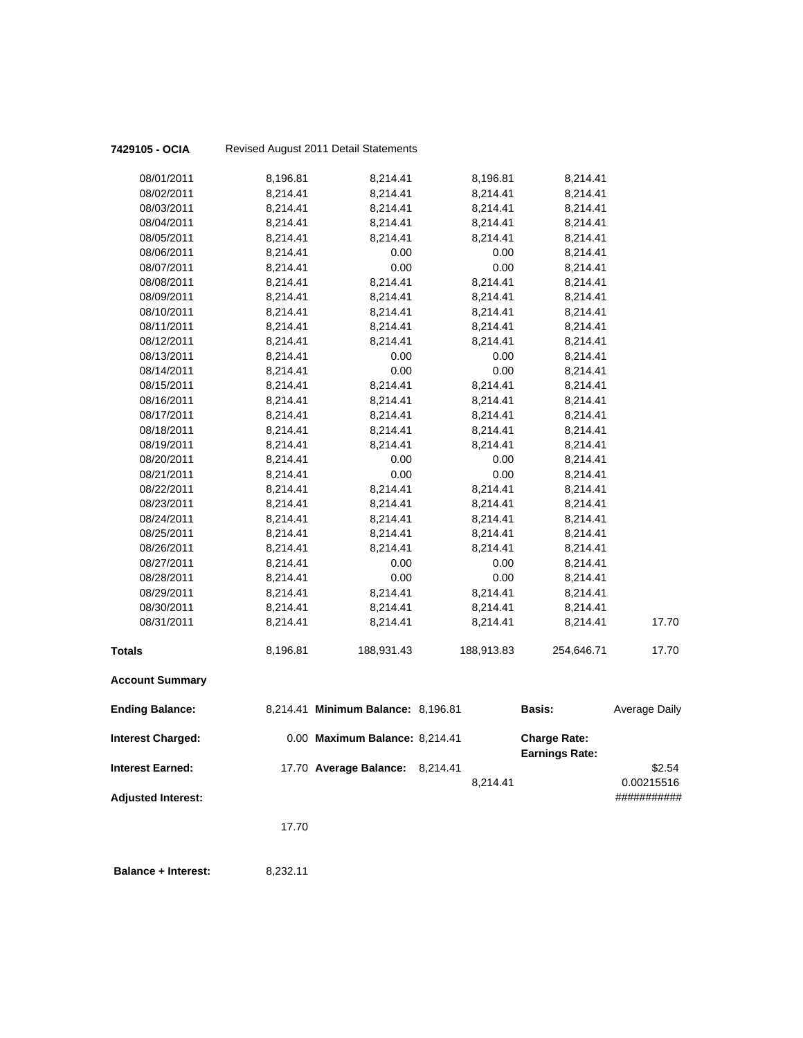| 7429105 - OCIA             |          | Revised August 2011 Detail Statements |            |                       |                      |
|----------------------------|----------|---------------------------------------|------------|-----------------------|----------------------|
| 08/01/2011                 | 8,196.81 | 8,214.41                              | 8,196.81   | 8,214.41              |                      |
| 08/02/2011                 | 8,214.41 | 8,214.41                              | 8,214.41   | 8,214.41              |                      |
| 08/03/2011                 | 8,214.41 | 8,214.41                              | 8,214.41   | 8,214.41              |                      |
| 08/04/2011                 | 8,214.41 | 8,214.41                              | 8,214.41   | 8,214.41              |                      |
| 08/05/2011                 | 8,214.41 | 8,214.41                              | 8,214.41   | 8,214.41              |                      |
| 08/06/2011                 | 8,214.41 | 0.00                                  | 0.00       | 8,214.41              |                      |
| 08/07/2011                 | 8,214.41 | 0.00                                  | 0.00       | 8,214.41              |                      |
| 08/08/2011                 | 8,214.41 | 8,214.41                              | 8,214.41   | 8,214.41              |                      |
| 08/09/2011                 | 8,214.41 | 8,214.41                              | 8,214.41   | 8,214.41              |                      |
| 08/10/2011                 | 8,214.41 | 8,214.41                              | 8,214.41   | 8,214.41              |                      |
| 08/11/2011                 | 8,214.41 | 8,214.41                              | 8,214.41   | 8,214.41              |                      |
| 08/12/2011                 | 8,214.41 | 8,214.41                              | 8,214.41   | 8,214.41              |                      |
| 08/13/2011                 | 8,214.41 | 0.00                                  | 0.00       | 8,214.41              |                      |
| 08/14/2011                 | 8,214.41 | 0.00                                  | 0.00       | 8,214.41              |                      |
| 08/15/2011                 | 8,214.41 | 8,214.41                              | 8,214.41   | 8,214.41              |                      |
| 08/16/2011                 | 8,214.41 | 8,214.41                              | 8,214.41   | 8,214.41              |                      |
| 08/17/2011                 | 8,214.41 | 8,214.41                              | 8,214.41   | 8,214.41              |                      |
| 08/18/2011                 | 8,214.41 | 8,214.41                              | 8,214.41   | 8,214.41              |                      |
| 08/19/2011                 | 8,214.41 | 8,214.41                              | 8,214.41   | 8,214.41              |                      |
| 08/20/2011                 | 8,214.41 | 0.00                                  | 0.00       | 8,214.41              |                      |
| 08/21/2011                 | 8,214.41 | 0.00                                  | 0.00       | 8,214.41              |                      |
| 08/22/2011                 | 8,214.41 | 8,214.41                              | 8,214.41   | 8,214.41              |                      |
| 08/23/2011                 | 8,214.41 | 8,214.41                              | 8,214.41   | 8,214.41              |                      |
| 08/24/2011                 | 8,214.41 | 8,214.41                              | 8,214.41   | 8,214.41              |                      |
| 08/25/2011                 | 8,214.41 | 8,214.41                              | 8,214.41   | 8,214.41              |                      |
| 08/26/2011                 | 8,214.41 | 8,214.41                              | 8,214.41   | 8,214.41              |                      |
| 08/27/2011                 | 8,214.41 | 0.00                                  | 0.00       | 8,214.41              |                      |
| 08/28/2011                 | 8,214.41 | 0.00                                  | 0.00       | 8,214.41              |                      |
| 08/29/2011                 | 8,214.41 | 8,214.41                              | 8,214.41   | 8,214.41              |                      |
| 08/30/2011                 | 8,214.41 | 8,214.41                              | 8,214.41   | 8,214.41              |                      |
| 08/31/2011                 | 8,214.41 | 8,214.41                              | 8,214.41   | 8,214.41              | 17.70                |
| <b>Totals</b>              | 8,196.81 | 188,931.43                            | 188,913.83 | 254,646.71            | 17.70                |
| <b>Account Summary</b>     |          |                                       |            |                       |                      |
| <b>Ending Balance:</b>     |          | 8,214.41 Minimum Balance: 8,196.81    |            | <b>Basis:</b>         | <b>Average Daily</b> |
| <b>Interest Charged:</b>   |          | 0.00 Maximum Balance: 8,214.41        |            | <b>Charge Rate:</b>   |                      |
| <b>Interest Earned:</b>    |          | 17.70 Average Balance: 8,214.41       |            | <b>Earnings Rate:</b> | \$2.54               |
|                            |          |                                       | 8.214.41   |                       | 0.00215516           |
| <b>Adjusted Interest:</b>  |          |                                       |            |                       | ###########          |
|                            | 17.70    |                                       |            |                       |                      |
| <b>Balance + Interest:</b> | 8,232.11 |                                       |            |                       |                      |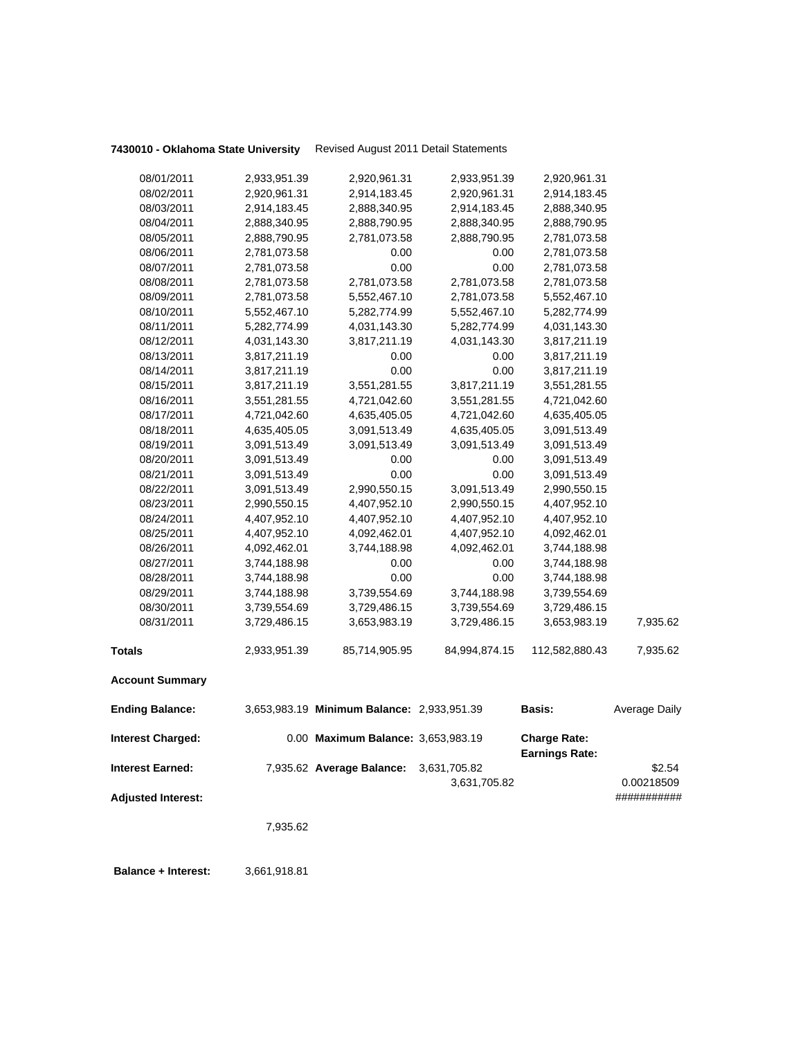| <b>Adjusted Interest:</b> | 7,935.62     |                                            |                              |                                              | ###########          |
|---------------------------|--------------|--------------------------------------------|------------------------------|----------------------------------------------|----------------------|
| Interest Earned:          |              | 7,935.62 Average Balance:                  | 3,631,705.82<br>3,631,705.82 |                                              | \$2.54<br>0.00218509 |
| <b>Interest Charged:</b>  |              | 0.00 Maximum Balance: 3,653,983.19         |                              | <b>Charge Rate:</b><br><b>Earnings Rate:</b> |                      |
| <b>Ending Balance:</b>    |              | 3,653,983.19 Minimum Balance: 2,933,951.39 |                              | <b>Basis:</b>                                | Average Daily        |
| <b>Account Summary</b>    |              |                                            |                              |                                              |                      |
| Totals                    | 2,933,951.39 | 85,714,905.95                              | 84,994,874.15                | 112,582,880.43                               | 7,935.62             |
| 08/31/2011                | 3,729,486.15 | 3,653,983.19                               | 3,729,486.15                 | 3,653,983.19                                 | 7,935.62             |
| 08/30/2011                | 3,739,554.69 | 3,729,486.15                               | 3,739,554.69                 | 3,729,486.15                                 |                      |
| 08/29/2011                | 3,744,188.98 | 3,739,554.69                               | 3,744,188.98                 | 3,739,554.69                                 |                      |
| 08/28/2011                | 3,744,188.98 | 0.00                                       | 0.00                         | 3,744,188.98                                 |                      |
| 08/27/2011                | 3,744,188.98 | 0.00                                       | 0.00                         | 3,744,188.98                                 |                      |
| 08/26/2011                | 4,092,462.01 | 3,744,188.98                               | 4,092,462.01                 | 3,744,188.98                                 |                      |
| 08/25/2011                | 4,407,952.10 | 4,092,462.01                               | 4,407,952.10                 | 4,092,462.01                                 |                      |
| 08/24/2011                | 4,407,952.10 | 4,407,952.10                               | 4,407,952.10                 | 4,407,952.10                                 |                      |
| 08/23/2011                | 2,990,550.15 | 4,407,952.10                               | 2,990,550.15                 | 4,407,952.10                                 |                      |
| 08/22/2011                | 3,091,513.49 | 2,990,550.15                               | 3,091,513.49                 | 2,990,550.15                                 |                      |
| 08/21/2011                | 3,091,513.49 | 0.00                                       | 0.00                         | 3,091,513.49                                 |                      |
| 08/20/2011                | 3,091,513.49 | 0.00                                       | 0.00                         | 3,091,513.49                                 |                      |
| 08/19/2011                | 3,091,513.49 | 3,091,513.49                               | 3,091,513.49                 | 3,091,513.49                                 |                      |
| 08/18/2011                | 4,635,405.05 | 3,091,513.49                               | 4,635,405.05                 | 3,091,513.49                                 |                      |
| 08/17/2011                | 4,721,042.60 | 4,635,405.05                               | 4,721,042.60                 | 4,635,405.05                                 |                      |
| 08/16/2011                | 3,551,281.55 | 4,721,042.60                               | 3,551,281.55                 | 4,721,042.60                                 |                      |
| 08/15/2011                | 3,817,211.19 | 3,551,281.55                               | 3,817,211.19                 | 3,551,281.55                                 |                      |
| 08/14/2011                | 3,817,211.19 | 0.00                                       | 0.00                         | 3,817,211.19                                 |                      |
| 08/13/2011                | 3,817,211.19 | 0.00                                       | 0.00                         | 3,817,211.19                                 |                      |
| 08/12/2011                | 4,031,143.30 | 3,817,211.19                               | 4,031,143.30                 | 3,817,211.19                                 |                      |
| 08/11/2011                | 5,282,774.99 | 4,031,143.30                               | 5,282,774.99                 | 4,031,143.30                                 |                      |
| 08/10/2011                | 5,552,467.10 | 5,282,774.99                               | 5,552,467.10                 | 5,282,774.99                                 |                      |
| 08/09/2011                | 2,781,073.58 | 5,552,467.10                               | 2,781,073.58                 | 5,552,467.10                                 |                      |
| 08/08/2011                | 2,781,073.58 | 2,781,073.58                               | 2,781,073.58                 | 2,781,073.58                                 |                      |
| 08/07/2011                | 2,781,073.58 | 0.00                                       | 0.00                         | 2,781,073.58                                 |                      |
| 08/06/2011                | 2,781,073.58 | 0.00                                       | 0.00                         | 2,781,073.58                                 |                      |
| 08/05/2011                | 2,888,790.95 | 2,781,073.58                               | 2,888,790.95                 | 2,781,073.58                                 |                      |
| 08/04/2011                | 2,888,340.95 | 2,888,790.95                               | 2,888,340.95                 | 2,888,790.95                                 |                      |
| 08/03/2011                | 2,914,183.45 | 2,888,340.95                               | 2,914,183.45                 | 2,888,340.95                                 |                      |
| 08/02/2011                | 2,920,961.31 | 2,914,183.45                               | 2,920,961.31                 | 2,914,183.45                                 |                      |
| 08/01/2011                | 2,933,951.39 | 2,920,961.31                               | 2,933,951.39                 | 2,920,961.31                                 |                      |

 **Balance + Interest:** 3,661,918.81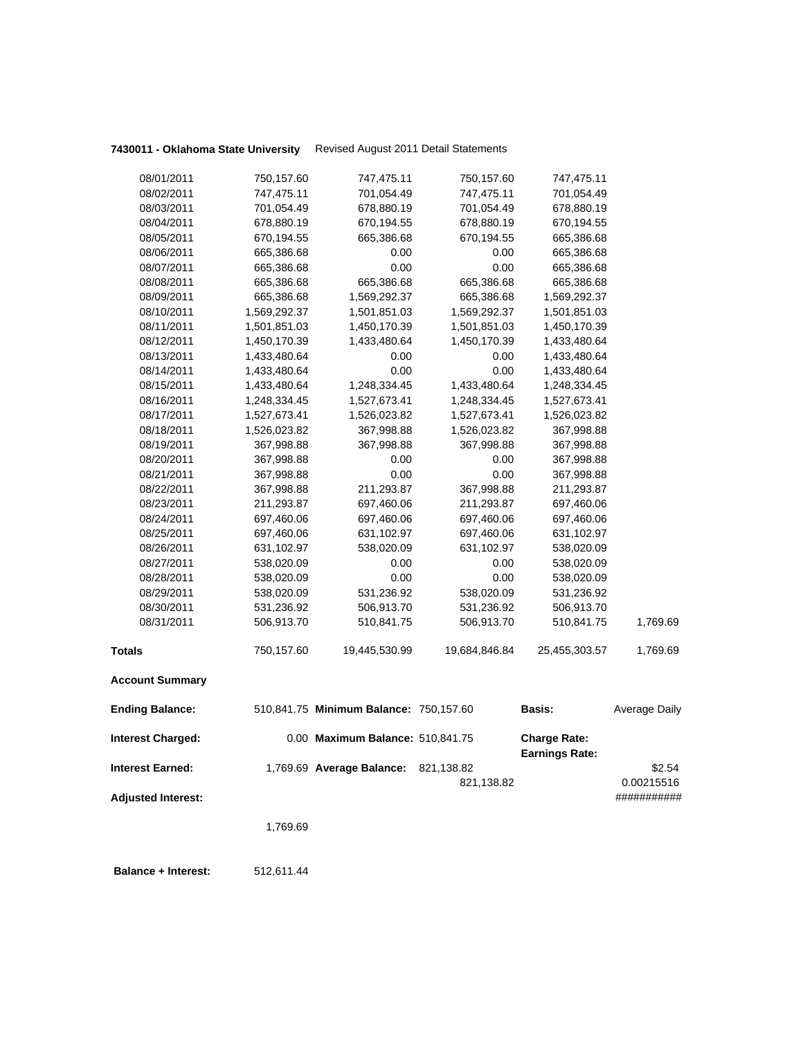| 08/01/2011                | 750,157.60   | 747,475.11                             | 750,157.60    | 747,475.11                                   |                      |
|---------------------------|--------------|----------------------------------------|---------------|----------------------------------------------|----------------------|
| 08/02/2011                | 747,475.11   | 701,054.49                             | 747,475.11    | 701,054.49                                   |                      |
| 08/03/2011                | 701,054.49   | 678,880.19                             | 701,054.49    | 678,880.19                                   |                      |
| 08/04/2011                | 678,880.19   | 670,194.55                             | 678,880.19    | 670,194.55                                   |                      |
| 08/05/2011                | 670,194.55   | 665,386.68                             | 670,194.55    | 665,386.68                                   |                      |
| 08/06/2011                | 665,386.68   | 0.00                                   | 0.00          | 665,386.68                                   |                      |
| 08/07/2011                | 665,386.68   | 0.00                                   | 0.00          | 665,386.68                                   |                      |
| 08/08/2011                | 665,386.68   | 665,386.68                             | 665,386.68    | 665,386.68                                   |                      |
| 08/09/2011                | 665,386.68   | 1,569,292.37                           | 665,386.68    | 1,569,292.37                                 |                      |
| 08/10/2011                | 1,569,292.37 | 1,501,851.03                           | 1,569,292.37  | 1,501,851.03                                 |                      |
| 08/11/2011                | 1,501,851.03 | 1,450,170.39                           | 1,501,851.03  | 1,450,170.39                                 |                      |
| 08/12/2011                | 1,450,170.39 | 1,433,480.64                           | 1,450,170.39  | 1,433,480.64                                 |                      |
| 08/13/2011                | 1,433,480.64 | 0.00                                   | 0.00          | 1,433,480.64                                 |                      |
| 08/14/2011                | 1,433,480.64 | 0.00                                   | 0.00          | 1,433,480.64                                 |                      |
| 08/15/2011                | 1,433,480.64 | 1,248,334.45                           | 1,433,480.64  | 1,248,334.45                                 |                      |
| 08/16/2011                | 1,248,334.45 | 1,527,673.41                           | 1,248,334.45  | 1,527,673.41                                 |                      |
| 08/17/2011                | 1,527,673.41 | 1,526,023.82                           | 1,527,673.41  | 1,526,023.82                                 |                      |
| 08/18/2011                | 1,526,023.82 | 367,998.88                             | 1,526,023.82  | 367,998.88                                   |                      |
| 08/19/2011                | 367,998.88   | 367,998.88                             | 367,998.88    | 367,998.88                                   |                      |
| 08/20/2011                | 367,998.88   | 0.00                                   | 0.00          | 367,998.88                                   |                      |
| 08/21/2011                | 367,998.88   | 0.00                                   | 0.00          | 367,998.88                                   |                      |
| 08/22/2011                | 367,998.88   | 211,293.87                             | 367,998.88    | 211,293.87                                   |                      |
| 08/23/2011                | 211,293.87   | 697,460.06                             | 211,293.87    | 697,460.06                                   |                      |
| 08/24/2011                | 697,460.06   | 697,460.06                             | 697,460.06    | 697,460.06                                   |                      |
| 08/25/2011                | 697,460.06   | 631,102.97                             | 697,460.06    | 631,102.97                                   |                      |
| 08/26/2011                | 631,102.97   | 538,020.09                             | 631,102.97    | 538,020.09                                   |                      |
| 08/27/2011                | 538,020.09   | 0.00                                   | 0.00          | 538,020.09                                   |                      |
| 08/28/2011                | 538,020.09   | 0.00                                   | 0.00          | 538,020.09                                   |                      |
| 08/29/2011                | 538,020.09   | 531,236.92                             | 538,020.09    | 531,236.92                                   |                      |
| 08/30/2011                | 531,236.92   | 506,913.70                             | 531,236.92    | 506,913.70                                   |                      |
| 08/31/2011                | 506,913.70   | 510,841.75                             | 506,913.70    | 510,841.75                                   | 1,769.69             |
| <b>Totals</b>             | 750,157.60   | 19,445,530.99                          | 19,684,846.84 | 25,455,303.57                                | 1,769.69             |
| <b>Account Summary</b>    |              |                                        |               |                                              |                      |
| <b>Ending Balance:</b>    |              | 510,841.75 Minimum Balance: 750,157.60 |               | Basis:                                       | <b>Average Daily</b> |
| <b>Interest Charged:</b>  |              | 0.00 Maximum Balance: 510,841.75       |               | <b>Charge Rate:</b><br><b>Earnings Rate:</b> |                      |
| <b>Interest Earned:</b>   |              | 1,769.69 Average Balance: 821,138.82   |               |                                              | \$2.54               |
|                           |              |                                        | 821,138.82    |                                              | 0.00215516           |
| <b>Adjusted Interest:</b> |              |                                        |               |                                              | ###########          |
|                           |              |                                        |               |                                              |                      |
|                           | 1,769.69     |                                        |               |                                              |                      |
|                           |              |                                        |               |                                              |                      |
|                           |              |                                        |               |                                              |                      |

 **Balance + Interest:** 512,611.44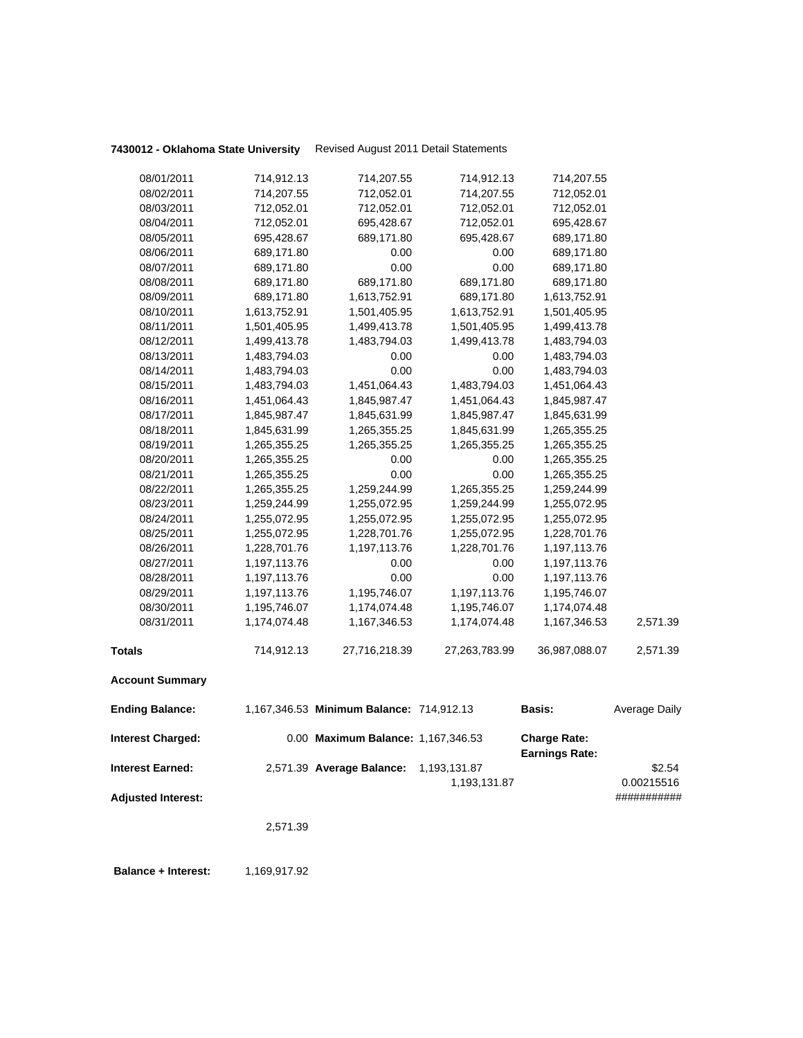| 1,259,244.99<br>1,255,072.95<br>1,255,072.95<br>1,255,072.95<br>1,228,701.76<br>1,228,701.76<br>1,197,113.76<br>0.00<br>1,197,113.76 |
|--------------------------------------------------------------------------------------------------------------------------------------|
|                                                                                                                                      |
|                                                                                                                                      |
|                                                                                                                                      |
|                                                                                                                                      |
| 0.00<br>1,197,113.76                                                                                                                 |
| 1,197,113.76<br>1,195,746.07                                                                                                         |
| 1,195,746.07<br>1,174,074.48                                                                                                         |
| 2,571.39<br>1,174,074.48<br>1,167,346.53                                                                                             |
| 36,987,088.07<br>27,263,783.99<br>2,571.39                                                                                           |
|                                                                                                                                      |
| 1,167,346.53 Minimum Balance: 714,912.13<br>Basis:<br>Average Daily                                                                  |
| 0.00 Maximum Balance: 1,167,346.53<br><b>Charge Rate:</b><br><b>Earnings Rate:</b>                                                   |
| \$2.54<br>2,571.39 Average Balance: 1,193,131.87                                                                                     |
| 0.00215516<br>1,193,131.87                                                                                                           |
| ###########                                                                                                                          |
|                                                                                                                                      |
|                                                                                                                                      |
|                                                                                                                                      |

**Balance + Interest:** 1,169,917.92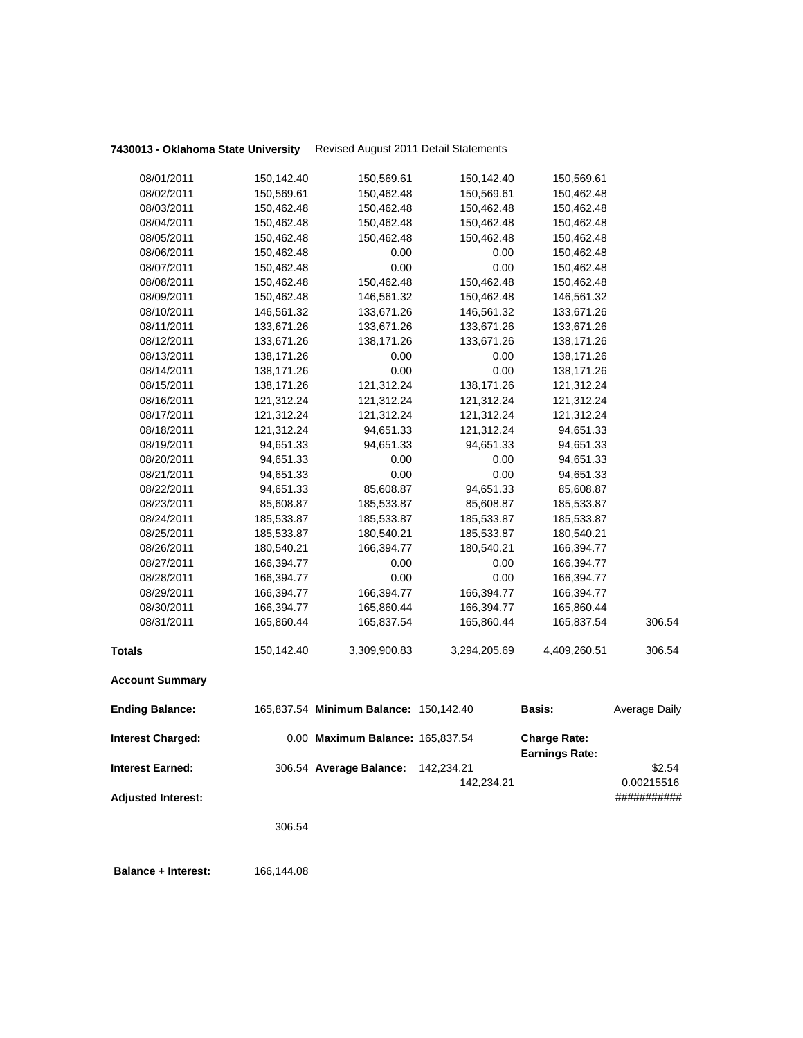| 08/01/2011                | 150,142.40 | 150,569.61                             | 150,142.40   | 150,569.61                                   |               |
|---------------------------|------------|----------------------------------------|--------------|----------------------------------------------|---------------|
| 08/02/2011                | 150,569.61 | 150,462.48                             | 150,569.61   | 150,462.48                                   |               |
| 08/03/2011                | 150,462.48 | 150,462.48                             | 150,462.48   | 150,462.48                                   |               |
| 08/04/2011                | 150,462.48 | 150,462.48                             | 150,462.48   | 150,462.48                                   |               |
| 08/05/2011                | 150,462.48 | 150,462.48                             | 150,462.48   | 150,462.48                                   |               |
| 08/06/2011                | 150,462.48 | 0.00                                   | 0.00         | 150,462.48                                   |               |
| 08/07/2011                | 150,462.48 | 0.00                                   | 0.00         | 150,462.48                                   |               |
| 08/08/2011                | 150,462.48 | 150,462.48                             | 150,462.48   | 150,462.48                                   |               |
| 08/09/2011                | 150,462.48 | 146,561.32                             | 150,462.48   | 146,561.32                                   |               |
| 08/10/2011                | 146,561.32 | 133,671.26                             | 146,561.32   | 133,671.26                                   |               |
| 08/11/2011                | 133,671.26 | 133,671.26                             | 133,671.26   | 133,671.26                                   |               |
| 08/12/2011                | 133,671.26 | 138,171.26                             | 133,671.26   | 138,171.26                                   |               |
| 08/13/2011                | 138,171.26 | 0.00                                   | 0.00         | 138,171.26                                   |               |
| 08/14/2011                | 138,171.26 | 0.00                                   | 0.00         | 138,171.26                                   |               |
| 08/15/2011                | 138,171.26 | 121,312.24                             | 138,171.26   | 121,312.24                                   |               |
| 08/16/2011                | 121,312.24 | 121,312.24                             | 121,312.24   | 121,312.24                                   |               |
| 08/17/2011                | 121,312.24 | 121,312.24                             | 121,312.24   | 121,312.24                                   |               |
| 08/18/2011                | 121,312.24 | 94,651.33                              | 121,312.24   | 94,651.33                                    |               |
| 08/19/2011                | 94,651.33  | 94,651.33                              | 94,651.33    | 94,651.33                                    |               |
| 08/20/2011                | 94,651.33  | 0.00                                   | 0.00         | 94,651.33                                    |               |
| 08/21/2011                | 94,651.33  | 0.00                                   | 0.00         | 94,651.33                                    |               |
| 08/22/2011                | 94,651.33  | 85,608.87                              | 94,651.33    | 85,608.87                                    |               |
| 08/23/2011                | 85,608.87  | 185,533.87                             | 85,608.87    | 185,533.87                                   |               |
| 08/24/2011                | 185,533.87 | 185,533.87                             | 185,533.87   | 185,533.87                                   |               |
| 08/25/2011                | 185,533.87 | 180,540.21                             | 185,533.87   | 180,540.21                                   |               |
| 08/26/2011                | 180,540.21 | 166,394.77                             | 180,540.21   | 166,394.77                                   |               |
| 08/27/2011                | 166,394.77 | 0.00                                   | 0.00         | 166,394.77                                   |               |
| 08/28/2011                | 166,394.77 | 0.00                                   | 0.00         | 166,394.77                                   |               |
| 08/29/2011                | 166,394.77 | 166,394.77                             | 166,394.77   | 166,394.77                                   |               |
| 08/30/2011                | 166,394.77 | 165,860.44                             | 166,394.77   | 165,860.44                                   |               |
| 08/31/2011                | 165,860.44 | 165,837.54                             | 165,860.44   | 165,837.54                                   | 306.54        |
| <b>Totals</b>             | 150,142.40 | 3,309,900.83                           | 3,294,205.69 | 4,409,260.51                                 | 306.54        |
| <b>Account Summary</b>    |            |                                        |              |                                              |               |
| <b>Ending Balance:</b>    |            | 165,837.54 Minimum Balance: 150,142.40 |              | Basis:                                       | Average Daily |
| <b>Interest Charged:</b>  |            | 0.00 Maximum Balance: 165,837.54       |              | <b>Charge Rate:</b><br><b>Earnings Rate:</b> |               |
| <b>Interest Earned:</b>   |            | 306.54 Average Balance:                | 142,234.21   |                                              | \$2.54        |
|                           |            |                                        | 142,234.21   |                                              | 0.00215516    |
| <b>Adjusted Interest:</b> |            |                                        |              |                                              | ###########   |
|                           |            |                                        |              |                                              |               |
|                           | 306.54     |                                        |              |                                              |               |
|                           |            |                                        |              |                                              |               |

 **Balance + Interest:** 166,144.08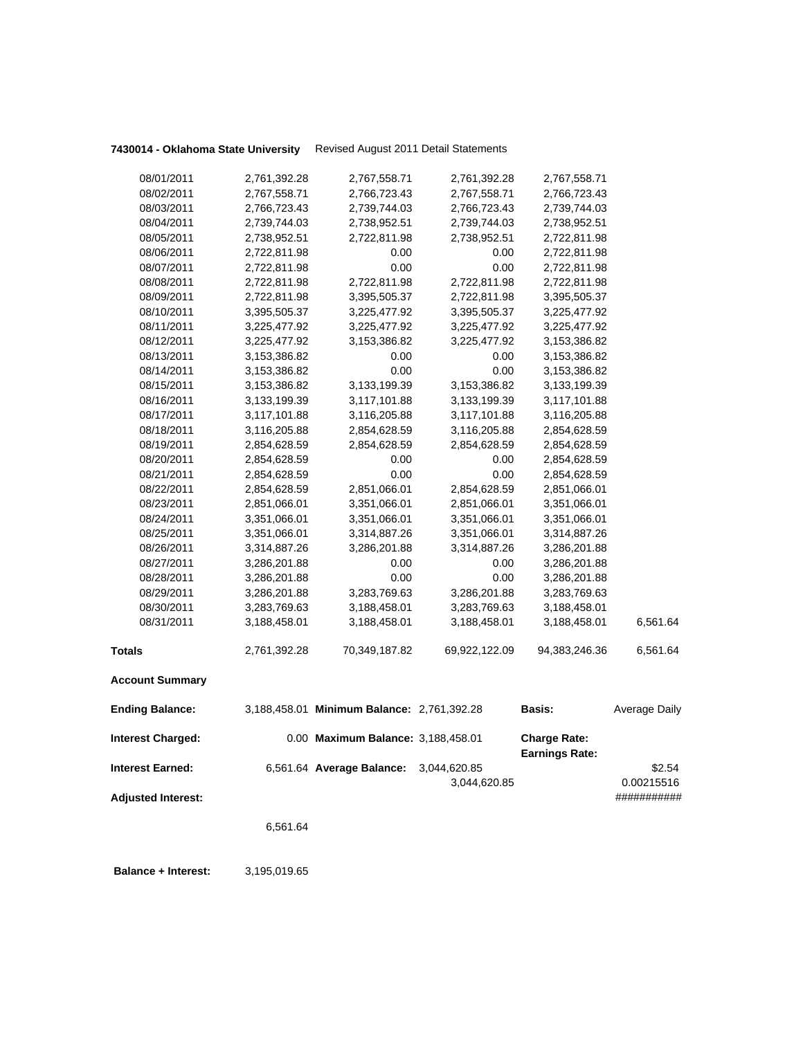|                           | 6,561.64                     |                                            |                              |                                              |                      |
|---------------------------|------------------------------|--------------------------------------------|------------------------------|----------------------------------------------|----------------------|
| <b>Adjusted Interest:</b> |                              |                                            |                              |                                              | ###########          |
| Interest Earned:          |                              | 6,561.64 Average Balance:                  | 3,044,620.85<br>3,044,620.85 |                                              | \$2.54<br>0.00215516 |
| <b>Interest Charged:</b>  |                              | 0.00 Maximum Balance: 3,188,458.01         |                              | <b>Charge Rate:</b><br><b>Earnings Rate:</b> |                      |
| <b>Ending Balance:</b>    |                              | 3,188,458.01 Minimum Balance: 2,761,392.28 |                              | Basis:                                       | Average Daily        |
| <b>Account Summary</b>    |                              |                                            |                              |                                              |                      |
| Totals                    | 2,761,392.28                 | 70,349,187.82                              | 69,922,122.09                | 94,383,246.36                                | 6,561.64             |
|                           |                              |                                            |                              |                                              |                      |
| 08/31/2011                | 3,188,458.01                 | 3,188,458.01                               | 3,188,458.01                 | 3,188,458.01                                 | 6,561.64             |
| 08/30/2011                | 3,283,769.63                 | 3,188,458.01                               | 3,283,769.63                 | 3,188,458.01                                 |                      |
| 08/29/2011                | 3,286,201.88                 | 3,283,769.63                               | 3,286,201.88                 | 3,283,769.63                                 |                      |
| 08/28/2011                | 3,286,201.88                 | 0.00                                       | 0.00                         | 3,286,201.88                                 |                      |
| 08/27/2011                | 3,314,887.26<br>3,286,201.88 | 3,286,201.88<br>0.00                       | 3,314,887.26<br>0.00         | 3,286,201.88<br>3,286,201.88                 |                      |
| 08/26/2011                | 3,351,066.01                 | 3,314,887.26                               | 3,351,066.01                 | 3,314,887.26                                 |                      |
| 08/24/2011<br>08/25/2011  | 3,351,066.01                 | 3,351,066.01                               | 3,351,066.01                 | 3,351,066.01                                 |                      |
| 08/23/2011                | 2,851,066.01                 | 3,351,066.01                               | 2,851,066.01                 | 3,351,066.01                                 |                      |
| 08/22/2011                | 2,854,628.59                 | 2,851,066.01                               | 2,854,628.59                 | 2,851,066.01                                 |                      |
| 08/21/2011                | 2,854,628.59                 | 0.00                                       | 0.00                         | 2,854,628.59                                 |                      |
| 08/20/2011                | 2,854,628.59                 | 0.00                                       | 0.00                         | 2,854,628.59                                 |                      |
| 08/19/2011                | 2,854,628.59                 | 2,854,628.59                               | 2,854,628.59                 | 2,854,628.59                                 |                      |
| 08/18/2011                | 3,116,205.88                 | 2,854,628.59                               | 3,116,205.88                 | 2,854,628.59                                 |                      |
| 08/17/2011                | 3,117,101.88                 | 3,116,205.88                               | 3,117,101.88                 | 3,116,205.88                                 |                      |
| 08/16/2011                | 3,133,199.39                 | 3,117,101.88                               | 3,133,199.39                 | 3,117,101.88                                 |                      |
| 08/15/2011                | 3,153,386.82                 | 3,133,199.39                               | 3,153,386.82                 | 3,133,199.39                                 |                      |
| 08/14/2011                | 3,153,386.82                 | 0.00                                       | 0.00                         | 3,153,386.82                                 |                      |
| 08/13/2011                | 3,153,386.82                 | 0.00                                       | 0.00                         | 3,153,386.82                                 |                      |
| 08/12/2011                | 3,225,477.92                 | 3,153,386.82                               | 3,225,477.92                 | 3,153,386.82                                 |                      |
| 08/11/2011                | 3,225,477.92                 | 3,225,477.92                               | 3,225,477.92                 | 3,225,477.92                                 |                      |
| 08/10/2011                | 3,395,505.37                 | 3,225,477.92                               | 3,395,505.37                 | 3,225,477.92                                 |                      |
| 08/09/2011                | 2,722,811.98                 | 3,395,505.37                               | 2,722,811.98                 | 3,395,505.37                                 |                      |
| 08/08/2011                | 2,722,811.98                 | 2,722,811.98                               | 2,722,811.98                 | 2,722,811.98                                 |                      |
| 08/07/2011                | 2,722,811.98                 | 0.00                                       | 0.00                         | 2,722,811.98                                 |                      |
| 08/06/2011                | 2,722,811.98                 | 0.00                                       | 0.00                         | 2,722,811.98                                 |                      |
| 08/05/2011                | 2,738,952.51                 | 2,722,811.98                               | 2,738,952.51                 | 2,722,811.98                                 |                      |
| 08/04/2011                | 2,739,744.03                 | 2,738,952.51                               | 2,739,744.03                 | 2,738,952.51                                 |                      |
| 08/03/2011                | 2,766,723.43                 | 2,739,744.03                               | 2,766,723.43                 | 2,739,744.03                                 |                      |
| 08/02/2011                | 2,767,558.71                 | 2,766,723.43                               | 2,767,558.71                 | 2,766,723.43                                 |                      |
| 08/01/2011                | 2,761,392.28                 | 2,767,558.71                               | 2,761,392.28                 | 2,767,558.71                                 |                      |
|                           |                              |                                            |                              |                                              |                      |

 **Balance + Interest:** 3,195,019.65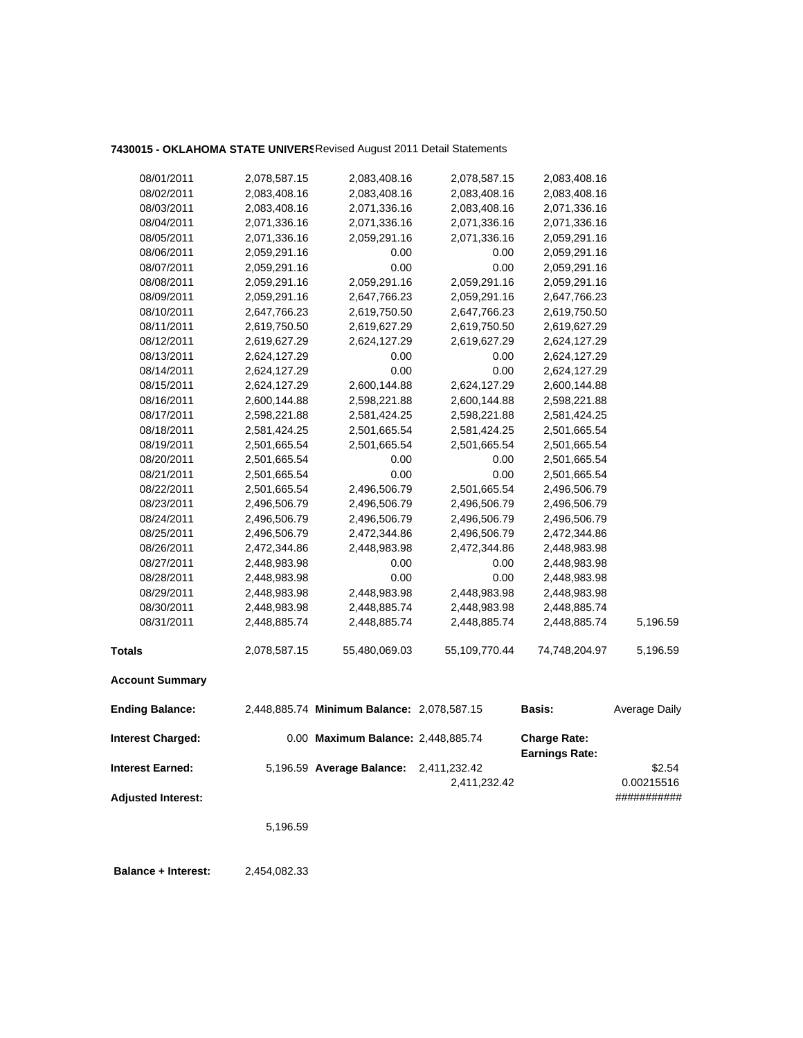# **7430015 - OKLAHOMA STATE UNIVERS**Revised August 2011 Detail Statements

| 08/01/2011                | 2,078,587.15 | 2,083,408.16                               | 2,078,587.15  | 2,083,408.16                                 |                      |
|---------------------------|--------------|--------------------------------------------|---------------|----------------------------------------------|----------------------|
| 08/02/2011                | 2,083,408.16 | 2,083,408.16                               | 2,083,408.16  | 2,083,408.16                                 |                      |
| 08/03/2011                | 2,083,408.16 | 2,071,336.16                               | 2,083,408.16  | 2,071,336.16                                 |                      |
| 08/04/2011                | 2,071,336.16 | 2,071,336.16                               | 2,071,336.16  | 2,071,336.16                                 |                      |
| 08/05/2011                | 2,071,336.16 | 2,059,291.16                               | 2,071,336.16  |                                              |                      |
|                           |              |                                            |               | 2,059,291.16                                 |                      |
| 08/06/2011                | 2,059,291.16 | 0.00<br>0.00                               | 0.00<br>0.00  | 2,059,291.16                                 |                      |
| 08/07/2011                | 2,059,291.16 |                                            |               | 2,059,291.16                                 |                      |
| 08/08/2011                | 2,059,291.16 | 2,059,291.16                               | 2,059,291.16  | 2,059,291.16                                 |                      |
| 08/09/2011                | 2,059,291.16 | 2,647,766.23                               | 2,059,291.16  | 2,647,766.23                                 |                      |
| 08/10/2011                | 2,647,766.23 | 2,619,750.50                               | 2,647,766.23  | 2,619,750.50                                 |                      |
| 08/11/2011                | 2,619,750.50 | 2,619,627.29                               | 2,619,750.50  | 2,619,627.29                                 |                      |
| 08/12/2011                | 2,619,627.29 | 2,624,127.29                               | 2,619,627.29  | 2,624,127.29                                 |                      |
| 08/13/2011                | 2,624,127.29 | 0.00                                       | 0.00          | 2,624,127.29                                 |                      |
| 08/14/2011                | 2,624,127.29 | 0.00                                       | 0.00          | 2,624,127.29                                 |                      |
| 08/15/2011                | 2,624,127.29 | 2,600,144.88                               | 2,624,127.29  | 2,600,144.88                                 |                      |
| 08/16/2011                | 2,600,144.88 | 2,598,221.88                               | 2,600,144.88  | 2,598,221.88                                 |                      |
| 08/17/2011                | 2,598,221.88 | 2,581,424.25                               | 2,598,221.88  | 2,581,424.25                                 |                      |
| 08/18/2011                | 2,581,424.25 | 2,501,665.54                               | 2,581,424.25  | 2,501,665.54                                 |                      |
| 08/19/2011                | 2,501,665.54 | 2,501,665.54                               | 2,501,665.54  | 2,501,665.54                                 |                      |
| 08/20/2011                | 2,501,665.54 | 0.00                                       | 0.00          | 2,501,665.54                                 |                      |
| 08/21/2011                | 2,501,665.54 | 0.00                                       | 0.00          | 2,501,665.54                                 |                      |
| 08/22/2011                | 2,501,665.54 | 2,496,506.79                               | 2,501,665.54  | 2,496,506.79                                 |                      |
| 08/23/2011                | 2,496,506.79 | 2,496,506.79                               | 2,496,506.79  | 2,496,506.79                                 |                      |
| 08/24/2011                | 2,496,506.79 | 2,496,506.79                               | 2,496,506.79  | 2,496,506.79                                 |                      |
| 08/25/2011                | 2,496,506.79 | 2,472,344.86                               | 2,496,506.79  | 2,472,344.86                                 |                      |
| 08/26/2011                | 2,472,344.86 | 2,448,983.98                               | 2,472,344.86  | 2,448,983.98                                 |                      |
| 08/27/2011                | 2,448,983.98 | 0.00                                       | 0.00          | 2,448,983.98                                 |                      |
| 08/28/2011                | 2,448,983.98 | 0.00                                       | 0.00          | 2,448,983.98                                 |                      |
| 08/29/2011                | 2,448,983.98 | 2,448,983.98                               | 2,448,983.98  | 2,448,983.98                                 |                      |
| 08/30/2011                | 2,448,983.98 | 2,448,885.74                               | 2,448,983.98  | 2,448,885.74                                 |                      |
| 08/31/2011                | 2,448,885.74 | 2,448,885.74                               | 2,448,885.74  | 2,448,885.74                                 | 5,196.59             |
| <b>Totals</b>             | 2,078,587.15 | 55,480,069.03                              | 55,109,770.44 | 74,748,204.97                                | 5,196.59             |
| <b>Account Summary</b>    |              |                                            |               |                                              |                      |
| <b>Ending Balance:</b>    |              | 2,448,885.74 Minimum Balance: 2,078,587.15 |               | Basis:                                       | <b>Average Daily</b> |
| <b>Interest Charged:</b>  |              | 0.00 Maximum Balance: 2,448,885.74         |               | <b>Charge Rate:</b><br><b>Earnings Rate:</b> |                      |
| <b>Interest Earned:</b>   |              | 5,196.59 Average Balance:                  | 2,411,232.42  |                                              | \$2.54               |
|                           |              |                                            | 2,411,232.42  |                                              | 0.00215516           |
| <b>Adjusted Interest:</b> |              |                                            |               |                                              | ###########          |
|                           |              |                                            |               |                                              |                      |
|                           | 5,196.59     |                                            |               |                                              |                      |
|                           |              |                                            |               |                                              |                      |

 **Balance + Interest:** 2,454,082.33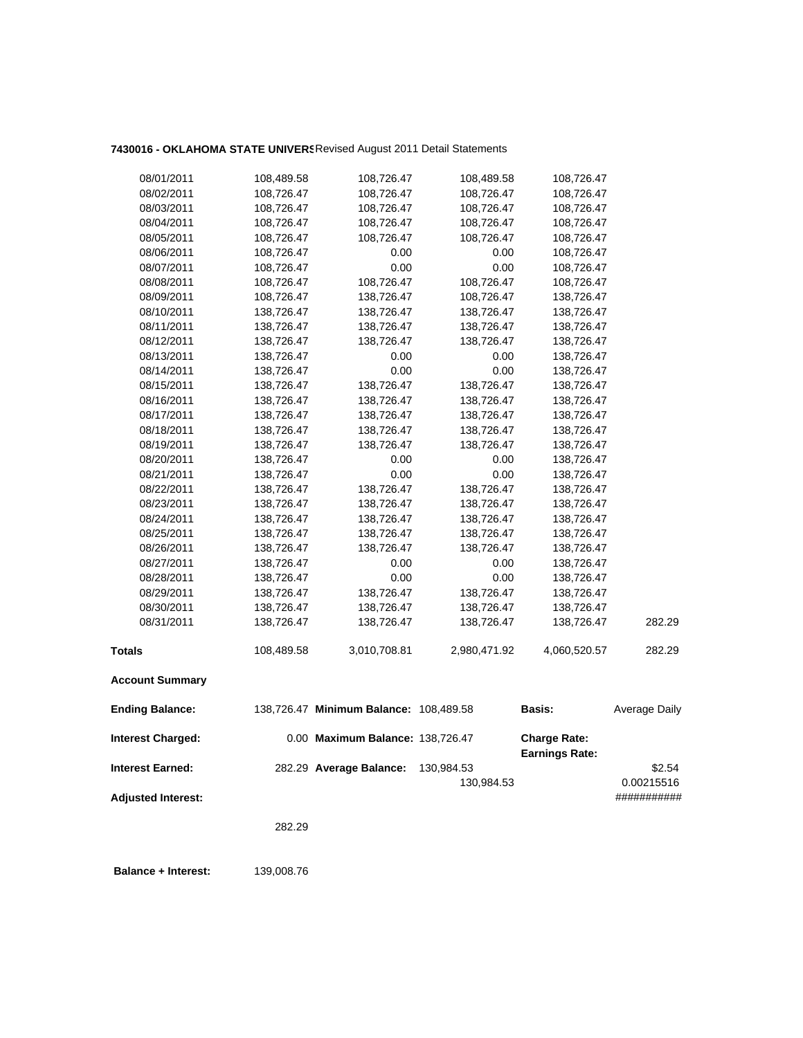# **7430016 - OKLAHOMA STATE UNIVERS**Revised August 2011 Detail Statements

| 08/01/2011                | 108,489.58 | 108,726.47                             | 108,489.58   | 108,726.47                                   |               |
|---------------------------|------------|----------------------------------------|--------------|----------------------------------------------|---------------|
| 08/02/2011                | 108,726.47 | 108,726.47                             | 108,726.47   | 108,726.47                                   |               |
| 08/03/2011                | 108,726.47 | 108,726.47                             | 108,726.47   | 108,726.47                                   |               |
| 08/04/2011                | 108,726.47 | 108,726.47                             | 108,726.47   | 108,726.47                                   |               |
| 08/05/2011                | 108,726.47 | 108,726.47                             | 108,726.47   | 108,726.47                                   |               |
| 08/06/2011                | 108,726.47 | 0.00                                   | 0.00         | 108,726.47                                   |               |
| 08/07/2011                | 108,726.47 | 0.00                                   | 0.00         | 108,726.47                                   |               |
| 08/08/2011                | 108,726.47 | 108,726.47                             | 108,726.47   | 108,726.47                                   |               |
| 08/09/2011                | 108,726.47 | 138,726.47                             | 108,726.47   | 138,726.47                                   |               |
| 08/10/2011                | 138,726.47 | 138,726.47                             | 138,726.47   | 138,726.47                                   |               |
| 08/11/2011                | 138,726.47 | 138,726.47                             | 138,726.47   | 138,726.47                                   |               |
| 08/12/2011                | 138,726.47 | 138,726.47                             | 138,726.47   | 138,726.47                                   |               |
| 08/13/2011                | 138,726.47 | 0.00                                   | 0.00         | 138,726.47                                   |               |
| 08/14/2011                | 138,726.47 | 0.00                                   | 0.00         | 138,726.47                                   |               |
| 08/15/2011                | 138,726.47 | 138,726.47                             | 138,726.47   | 138,726.47                                   |               |
| 08/16/2011                | 138,726.47 | 138,726.47                             | 138,726.47   | 138,726.47                                   |               |
| 08/17/2011                | 138,726.47 | 138,726.47                             | 138,726.47   | 138,726.47                                   |               |
| 08/18/2011                | 138,726.47 | 138,726.47                             | 138,726.47   | 138,726.47                                   |               |
| 08/19/2011                | 138,726.47 | 138,726.47                             | 138,726.47   | 138,726.47                                   |               |
| 08/20/2011                | 138,726.47 | 0.00                                   | 0.00         | 138,726.47                                   |               |
| 08/21/2011                | 138,726.47 | 0.00                                   | 0.00         | 138,726.47                                   |               |
| 08/22/2011                | 138,726.47 | 138,726.47                             | 138,726.47   | 138,726.47                                   |               |
| 08/23/2011                | 138,726.47 | 138,726.47                             | 138,726.47   | 138,726.47                                   |               |
| 08/24/2011                | 138,726.47 | 138,726.47                             | 138,726.47   | 138,726.47                                   |               |
| 08/25/2011                | 138,726.47 | 138,726.47                             | 138,726.47   | 138,726.47                                   |               |
| 08/26/2011                | 138,726.47 | 138,726.47                             | 138,726.47   | 138,726.47                                   |               |
| 08/27/2011                | 138,726.47 | 0.00                                   | 0.00         | 138,726.47                                   |               |
| 08/28/2011                | 138,726.47 | 0.00                                   | 0.00         | 138,726.47                                   |               |
| 08/29/2011                | 138,726.47 | 138,726.47                             | 138,726.47   | 138,726.47                                   |               |
| 08/30/2011                | 138,726.47 | 138,726.47                             | 138,726.47   | 138,726.47                                   |               |
| 08/31/2011                | 138,726.47 | 138,726.47                             | 138,726.47   | 138,726.47                                   | 282.29        |
| <b>Totals</b>             | 108,489.58 | 3,010,708.81                           | 2,980,471.92 | 4,060,520.57                                 | 282.29        |
| <b>Account Summary</b>    |            |                                        |              |                                              |               |
| <b>Ending Balance:</b>    |            | 138,726.47 Minimum Balance: 108,489.58 |              | <b>Basis:</b>                                | Average Daily |
| <b>Interest Charged:</b>  |            | 0.00 Maximum Balance: 138,726.47       |              | <b>Charge Rate:</b><br><b>Earnings Rate:</b> |               |
| <b>Interest Earned:</b>   |            | 282.29 Average Balance:                | 130,984.53   |                                              | \$2.54        |
|                           |            |                                        | 130,984.53   |                                              | 0.00215516    |
| <b>Adjusted Interest:</b> |            |                                        |              |                                              | ###########   |
|                           |            |                                        |              |                                              |               |
|                           | 282.29     |                                        |              |                                              |               |
|                           |            |                                        |              |                                              |               |

 **Balance + Interest:** 139,008.76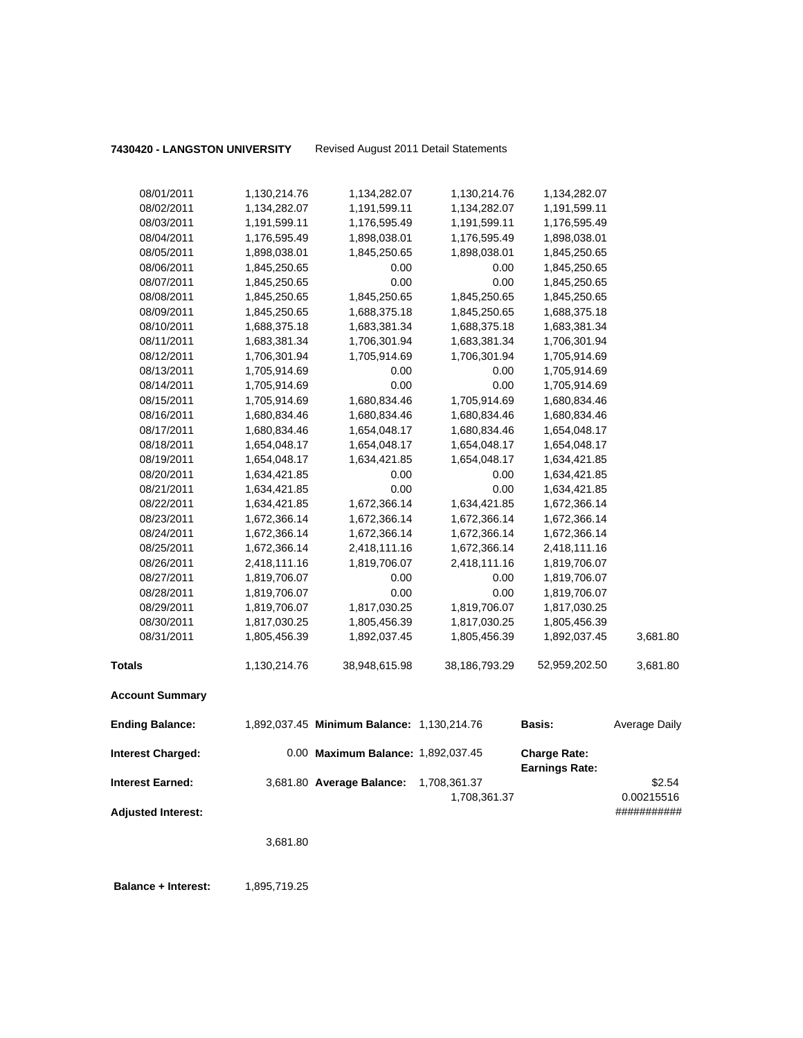**7430420 - LANGSTON UNIVERSITY** Revised August 2011 Detail Statements

| <b>Interest Earned:</b><br><b>Adjusted Interest:</b> |              | 3,681.80 Average Balance:                  | 1,708,361.37<br>1,708,361.37 |                                              | \$2.54<br>0.00215516<br>########### |
|------------------------------------------------------|--------------|--------------------------------------------|------------------------------|----------------------------------------------|-------------------------------------|
| <b>Interest Charged:</b>                             |              | 0.00 Maximum Balance: 1,892,037.45         |                              | <b>Charge Rate:</b><br><b>Earnings Rate:</b> |                                     |
| <b>Ending Balance:</b>                               |              | 1,892,037.45 Minimum Balance: 1,130,214.76 |                              | <b>Basis:</b>                                | Average Daily                       |
| <b>Account Summary</b>                               |              |                                            |                              |                                              |                                     |
| <b>Totals</b>                                        | 1,130,214.76 | 38,948,615.98                              | 38,186,793.29                | 52,959,202.50                                | 3,681.80                            |
| 08/31/2011                                           | 1,805,456.39 | 1,892,037.45                               | 1,805,456.39                 | 1,892,037.45                                 | 3,681.80                            |
| 08/30/2011                                           | 1,817,030.25 | 1,805,456.39                               | 1,817,030.25                 | 1,805,456.39                                 |                                     |
| 08/29/2011                                           | 1,819,706.07 | 1,817,030.25                               | 1,819,706.07                 | 1,817,030.25                                 |                                     |
| 08/28/2011                                           | 1,819,706.07 | 0.00                                       | 0.00                         | 1,819,706.07                                 |                                     |
| 08/27/2011                                           | 1,819,706.07 | 0.00                                       | 0.00                         | 1,819,706.07                                 |                                     |
| 08/26/2011                                           | 2,418,111.16 | 1,819,706.07                               | 2,418,111.16                 | 1,819,706.07                                 |                                     |
| 08/25/2011                                           | 1,672,366.14 | 2,418,111.16                               | 1,672,366.14                 | 2,418,111.16                                 |                                     |
| 08/24/2011                                           | 1,672,366.14 | 1,672,366.14                               | 1,672,366.14                 | 1,672,366.14                                 |                                     |
| 08/23/2011                                           | 1,672,366.14 | 1,672,366.14                               | 1,672,366.14                 | 1,672,366.14                                 |                                     |
| 08/22/2011                                           | 1,634,421.85 | 1,672,366.14                               | 1,634,421.85                 | 1,672,366.14                                 |                                     |
| 08/21/2011                                           | 1,634,421.85 | 0.00                                       | 0.00                         | 1,634,421.85                                 |                                     |
| 08/20/2011                                           | 1,634,421.85 | 0.00                                       | 0.00                         | 1,634,421.85                                 |                                     |
| 08/19/2011                                           | 1,654,048.17 | 1,634,421.85                               | 1,654,048.17                 | 1,634,421.85                                 |                                     |
| 08/18/2011                                           | 1,654,048.17 | 1,654,048.17                               | 1,654,048.17                 | 1,654,048.17                                 |                                     |
| 08/17/2011                                           | 1,680,834.46 | 1,654,048.17                               | 1,680,834.46                 | 1,654,048.17                                 |                                     |
| 08/16/2011                                           | 1,680,834.46 | 1,680,834.46                               | 1,680,834.46                 | 1,680,834.46                                 |                                     |
| 08/15/2011                                           | 1,705,914.69 | 1,680,834.46                               | 1,705,914.69                 | 1,680,834.46                                 |                                     |
| 08/14/2011                                           | 1,705,914.69 | 0.00                                       | 0.00                         | 1,705,914.69                                 |                                     |
| 08/13/2011                                           | 1,705,914.69 | 0.00                                       | 0.00                         | 1,705,914.69                                 |                                     |
| 08/12/2011                                           | 1,706,301.94 | 1,705,914.69                               | 1,706,301.94                 | 1,705,914.69                                 |                                     |
| 08/11/2011                                           | 1,683,381.34 | 1,706,301.94                               | 1,683,381.34                 | 1,706,301.94                                 |                                     |
| 08/10/2011                                           | 1,688,375.18 | 1,683,381.34                               | 1,688,375.18                 | 1,683,381.34                                 |                                     |
| 08/09/2011                                           | 1,845,250.65 | 1,688,375.18                               | 1,845,250.65                 | 1,688,375.18                                 |                                     |
| 08/08/2011                                           | 1,845,250.65 | 1,845,250.65                               | 1,845,250.65                 | 1,845,250.65                                 |                                     |
| 08/07/2011                                           | 1,845,250.65 | 0.00                                       | 0.00                         | 1,845,250.65                                 |                                     |
| 08/06/2011                                           | 1,845,250.65 | 0.00                                       | 0.00                         | 1,845,250.65                                 |                                     |
| 08/05/2011                                           | 1,898,038.01 | 1,845,250.65                               | 1,898,038.01                 | 1,845,250.65                                 |                                     |
| 08/04/2011                                           | 1,176,595.49 | 1,898,038.01                               | 1,176,595.49                 | 1,898,038.01                                 |                                     |
| 08/03/2011                                           | 1,191,599.11 | 1,176,595.49                               | 1,191,599.11                 | 1,176,595.49                                 |                                     |
| 08/02/2011                                           | 1,134,282.07 | 1,191,599.11                               | 1,134,282.07                 | 1,191,599.11                                 |                                     |
| 08/01/2011                                           | 1,130,214.76 | 1,134,282.07                               | 1,130,214.76                 | 1,134,282.07                                 |                                     |
|                                                      |              |                                            |                              |                                              |                                     |

3,681.80

**Balance + Interest:** 1,895,719.25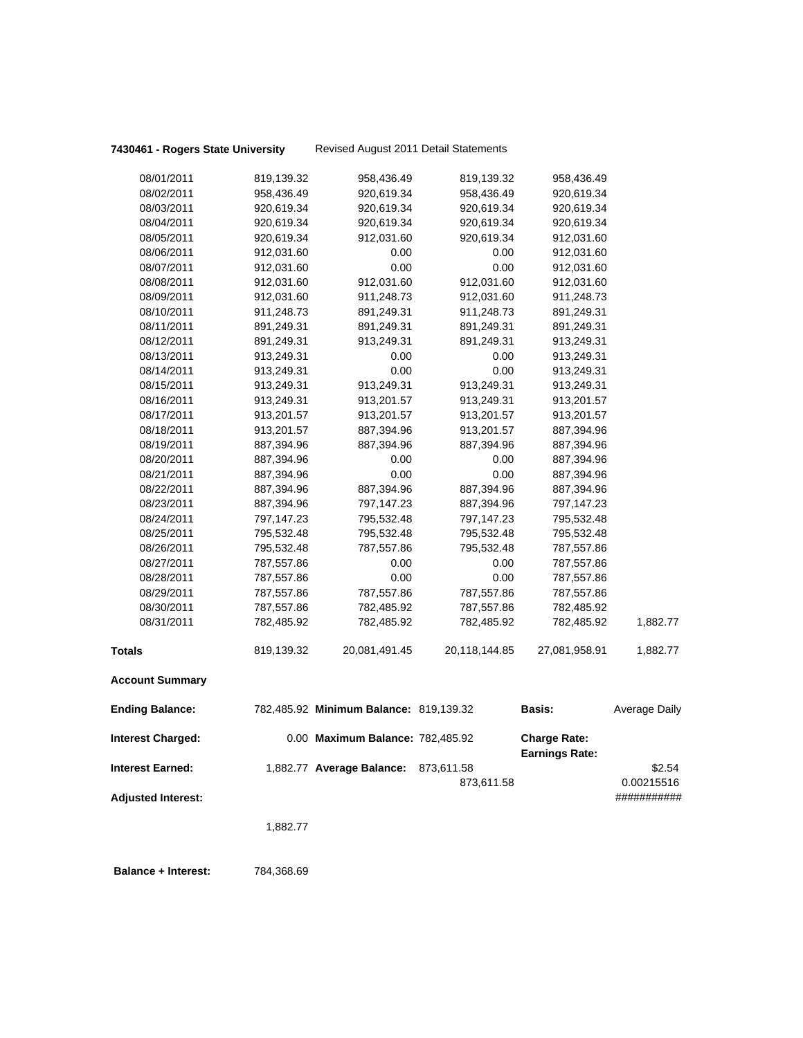| 08/01/2011                | 819,139.32 | 958,436.49                             | 819,139.32    | 958,436.49                                   |               |
|---------------------------|------------|----------------------------------------|---------------|----------------------------------------------|---------------|
| 08/02/2011                | 958,436.49 | 920,619.34                             | 958,436.49    | 920,619.34                                   |               |
| 08/03/2011                | 920,619.34 | 920,619.34                             | 920,619.34    | 920,619.34                                   |               |
| 08/04/2011                | 920,619.34 | 920,619.34                             | 920,619.34    | 920,619.34                                   |               |
| 08/05/2011                | 920,619.34 | 912,031.60                             | 920,619.34    | 912,031.60                                   |               |
| 08/06/2011                | 912,031.60 | 0.00                                   | 0.00          | 912,031.60                                   |               |
| 08/07/2011                | 912,031.60 | 0.00                                   | 0.00          | 912,031.60                                   |               |
| 08/08/2011                | 912,031.60 | 912,031.60                             | 912,031.60    | 912,031.60                                   |               |
| 08/09/2011                | 912,031.60 | 911,248.73                             | 912,031.60    | 911,248.73                                   |               |
| 08/10/2011                | 911,248.73 | 891,249.31                             | 911,248.73    | 891,249.31                                   |               |
| 08/11/2011                | 891,249.31 | 891,249.31                             | 891,249.31    | 891,249.31                                   |               |
| 08/12/2011                | 891,249.31 | 913,249.31                             | 891,249.31    | 913,249.31                                   |               |
| 08/13/2011                | 913,249.31 | 0.00                                   | 0.00          | 913,249.31                                   |               |
| 08/14/2011                | 913,249.31 | 0.00                                   | 0.00          | 913,249.31                                   |               |
| 08/15/2011                | 913,249.31 | 913,249.31                             | 913,249.31    | 913,249.31                                   |               |
| 08/16/2011                | 913,249.31 | 913,201.57                             | 913,249.31    | 913,201.57                                   |               |
| 08/17/2011                | 913,201.57 | 913,201.57                             | 913,201.57    | 913,201.57                                   |               |
| 08/18/2011                | 913,201.57 | 887,394.96                             | 913,201.57    | 887,394.96                                   |               |
| 08/19/2011                | 887,394.96 | 887,394.96                             | 887,394.96    | 887,394.96                                   |               |
| 08/20/2011                | 887,394.96 | 0.00                                   | 0.00          | 887,394.96                                   |               |
| 08/21/2011                | 887,394.96 | 0.00                                   | 0.00          | 887,394.96                                   |               |
| 08/22/2011                | 887,394.96 | 887,394.96                             | 887,394.96    | 887,394.96                                   |               |
| 08/23/2011                | 887,394.96 | 797,147.23                             | 887,394.96    | 797,147.23                                   |               |
| 08/24/2011                | 797,147.23 | 795,532.48                             | 797,147.23    | 795,532.48                                   |               |
| 08/25/2011                | 795,532.48 | 795,532.48                             | 795,532.48    | 795,532.48                                   |               |
| 08/26/2011                | 795,532.48 | 787,557.86                             | 795,532.48    | 787,557.86                                   |               |
| 08/27/2011                | 787,557.86 | 0.00                                   | 0.00          | 787,557.86                                   |               |
| 08/28/2011                | 787,557.86 | 0.00                                   | 0.00          | 787,557.86                                   |               |
| 08/29/2011                | 787,557.86 | 787,557.86                             | 787,557.86    | 787,557.86                                   |               |
| 08/30/2011                | 787,557.86 | 782,485.92                             | 787,557.86    | 782,485.92                                   |               |
| 08/31/2011                | 782,485.92 | 782,485.92                             | 782,485.92    | 782,485.92                                   | 1,882.77      |
| Totals                    | 819,139.32 | 20,081,491.45                          | 20,118,144.85 | 27,081,958.91                                | 1,882.77      |
|                           |            |                                        |               |                                              |               |
| <b>Account Summary</b>    |            |                                        |               |                                              |               |
| <b>Ending Balance:</b>    |            | 782,485.92 Minimum Balance: 819,139.32 |               | Basis:                                       | Average Daily |
| <b>Interest Charged:</b>  |            | 0.00 Maximum Balance: 782,485.92       |               | <b>Charge Rate:</b><br><b>Earnings Rate:</b> |               |
| <b>Interest Earned:</b>   |            | 1,882.77 Average Balance: 873,611.58   |               |                                              | \$2.54        |
|                           |            |                                        | 873,611.58    |                                              | 0.00215516    |
| <b>Adjusted Interest:</b> |            |                                        |               |                                              | ###########   |
|                           |            |                                        |               |                                              |               |
|                           | 1,882.77   |                                        |               |                                              |               |
|                           |            |                                        |               |                                              |               |
|                           |            |                                        |               |                                              |               |

 **Balance + Interest:** 784,368.69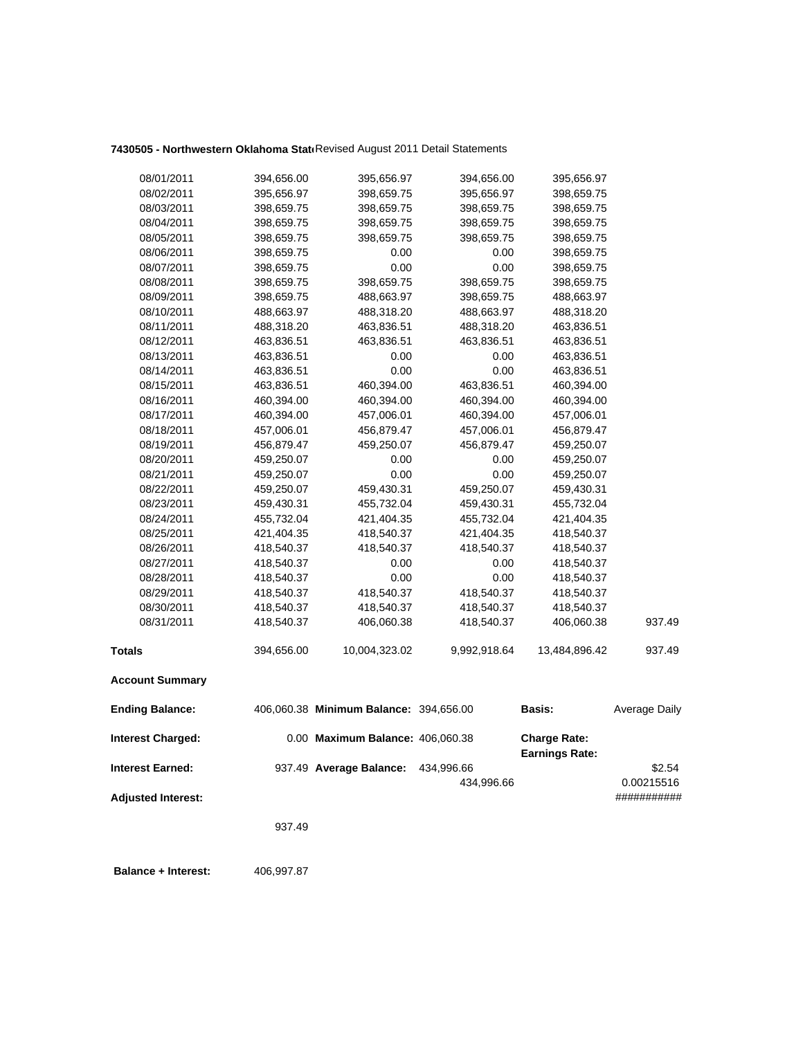# 7430505 - Northwestern Oklahoma Stati Revised August 2011 Detail Statements

| 08/01/2011<br>08/02/2011  | 394,656.00 | 395,656.97                             | 394,656.00   | 395,656.97                                   |               |
|---------------------------|------------|----------------------------------------|--------------|----------------------------------------------|---------------|
|                           | 395,656.97 | 398,659.75                             | 395,656.97   | 398,659.75                                   |               |
| 08/03/2011                | 398,659.75 | 398,659.75                             | 398,659.75   | 398,659.75                                   |               |
| 08/04/2011                | 398,659.75 | 398,659.75                             | 398,659.75   | 398,659.75                                   |               |
| 08/05/2011                | 398,659.75 | 398,659.75                             | 398,659.75   | 398,659.75                                   |               |
| 08/06/2011                | 398,659.75 | 0.00                                   | 0.00         | 398,659.75                                   |               |
| 08/07/2011                | 398,659.75 | 0.00                                   | 0.00         | 398,659.75                                   |               |
| 08/08/2011                | 398,659.75 | 398,659.75                             | 398,659.75   | 398,659.75                                   |               |
| 08/09/2011                | 398,659.75 | 488,663.97                             | 398,659.75   | 488,663.97                                   |               |
| 08/10/2011                | 488,663.97 | 488,318.20                             | 488,663.97   | 488,318.20                                   |               |
| 08/11/2011                | 488,318.20 | 463,836.51                             | 488,318.20   | 463,836.51                                   |               |
| 08/12/2011                | 463,836.51 | 463,836.51                             | 463,836.51   | 463,836.51                                   |               |
| 08/13/2011                | 463,836.51 | 0.00                                   | 0.00         | 463,836.51                                   |               |
| 08/14/2011                | 463,836.51 | 0.00                                   | 0.00         | 463,836.51                                   |               |
| 08/15/2011                | 463,836.51 | 460,394.00                             | 463,836.51   | 460,394.00                                   |               |
| 08/16/2011                | 460,394.00 | 460,394.00                             | 460,394.00   | 460,394.00                                   |               |
| 08/17/2011                | 460,394.00 | 457,006.01                             | 460,394.00   | 457,006.01                                   |               |
| 08/18/2011                | 457,006.01 | 456,879.47                             | 457,006.01   | 456,879.47                                   |               |
| 08/19/2011                | 456,879.47 | 459,250.07                             | 456,879.47   | 459,250.07                                   |               |
| 08/20/2011                | 459,250.07 | 0.00                                   | 0.00         | 459,250.07                                   |               |
| 08/21/2011                | 459,250.07 | 0.00                                   | 0.00         | 459,250.07                                   |               |
| 08/22/2011                | 459,250.07 | 459,430.31                             | 459,250.07   | 459,430.31                                   |               |
| 08/23/2011                | 459,430.31 | 455,732.04                             | 459,430.31   | 455,732.04                                   |               |
| 08/24/2011                | 455,732.04 | 421,404.35                             | 455,732.04   | 421,404.35                                   |               |
| 08/25/2011                | 421,404.35 | 418,540.37                             | 421,404.35   | 418,540.37                                   |               |
| 08/26/2011                | 418,540.37 | 418,540.37                             | 418,540.37   | 418,540.37                                   |               |
| 08/27/2011                | 418,540.37 | 0.00                                   | 0.00         | 418,540.37                                   |               |
| 08/28/2011                | 418,540.37 | 0.00                                   | 0.00         | 418,540.37                                   |               |
| 08/29/2011                | 418,540.37 | 418,540.37                             | 418,540.37   | 418,540.37                                   |               |
| 08/30/2011                | 418,540.37 | 418,540.37                             | 418,540.37   | 418,540.37                                   |               |
| 08/31/2011                | 418,540.37 | 406,060.38                             | 418,540.37   | 406,060.38                                   | 937.49        |
| <b>Totals</b>             | 394,656.00 | 10,004,323.02                          | 9,992,918.64 | 13,484,896.42                                | 937.49        |
| <b>Account Summary</b>    |            |                                        |              |                                              |               |
| <b>Ending Balance:</b>    |            | 406,060.38 Minimum Balance: 394,656.00 |              | <b>Basis:</b>                                | Average Daily |
| <b>Interest Charged:</b>  |            | 0.00 Maximum Balance: 406,060.38       |              | <b>Charge Rate:</b><br><b>Earnings Rate:</b> |               |
| <b>Interest Earned:</b>   |            | 937.49 Average Balance:                | 434,996.66   |                                              | \$2.54        |
|                           |            |                                        | 434,996.66   |                                              | 0.00215516    |
| <b>Adjusted Interest:</b> |            |                                        |              |                                              | ###########   |
|                           |            |                                        |              |                                              |               |
|                           | 937.49     |                                        |              |                                              |               |
|                           |            |                                        |              |                                              |               |

**Balance + Interest:** 406,997.87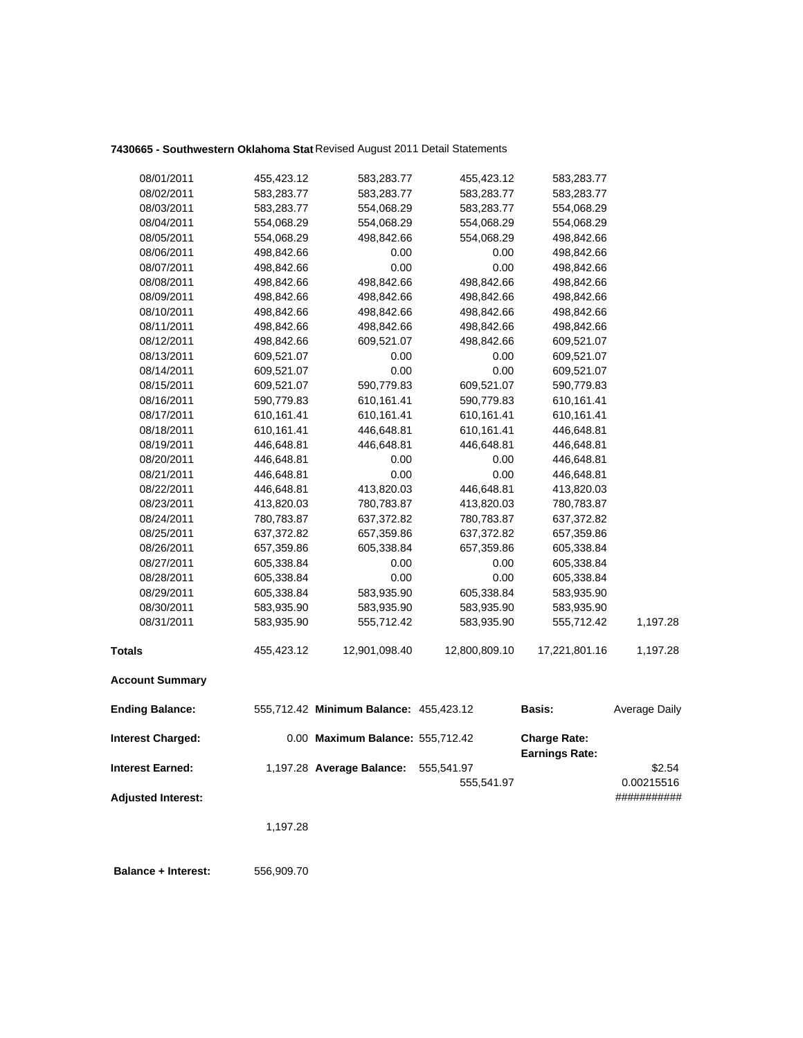# **7430665 - Southwestern Oklahoma Stat** Revised August 2011 Detail Statements

| 08/01/2011                | 455,423.12 | 583,283.77                             | 455,423.12    | 583,283.77                                   |                      |
|---------------------------|------------|----------------------------------------|---------------|----------------------------------------------|----------------------|
| 08/02/2011                | 583,283.77 | 583,283.77                             | 583,283.77    | 583,283.77                                   |                      |
| 08/03/2011                | 583,283.77 | 554,068.29                             | 583,283.77    | 554,068.29                                   |                      |
| 08/04/2011                | 554,068.29 | 554,068.29                             | 554,068.29    | 554,068.29                                   |                      |
| 08/05/2011                | 554,068.29 | 498,842.66                             | 554,068.29    | 498,842.66                                   |                      |
| 08/06/2011                | 498,842.66 | 0.00                                   | 0.00          | 498,842.66                                   |                      |
| 08/07/2011                | 498,842.66 | 0.00                                   | 0.00          | 498,842.66                                   |                      |
| 08/08/2011                | 498,842.66 | 498,842.66                             | 498,842.66    | 498,842.66                                   |                      |
| 08/09/2011                | 498,842.66 | 498,842.66                             | 498,842.66    | 498,842.66                                   |                      |
| 08/10/2011                | 498,842.66 | 498,842.66                             | 498,842.66    | 498,842.66                                   |                      |
| 08/11/2011                | 498,842.66 | 498,842.66                             | 498,842.66    | 498,842.66                                   |                      |
| 08/12/2011                | 498,842.66 | 609,521.07                             | 498,842.66    | 609,521.07                                   |                      |
| 08/13/2011                | 609,521.07 | 0.00                                   | 0.00          | 609,521.07                                   |                      |
| 08/14/2011                | 609,521.07 | 0.00                                   | 0.00          | 609,521.07                                   |                      |
| 08/15/2011                | 609,521.07 | 590,779.83                             | 609,521.07    | 590,779.83                                   |                      |
| 08/16/2011                | 590,779.83 | 610,161.41                             | 590,779.83    | 610,161.41                                   |                      |
| 08/17/2011                | 610,161.41 | 610,161.41                             | 610,161.41    | 610,161.41                                   |                      |
| 08/18/2011                | 610,161.41 | 446,648.81                             | 610,161.41    | 446,648.81                                   |                      |
| 08/19/2011                | 446,648.81 | 446,648.81                             | 446,648.81    | 446,648.81                                   |                      |
| 08/20/2011                | 446,648.81 | 0.00                                   | 0.00          | 446,648.81                                   |                      |
| 08/21/2011                | 446,648.81 | 0.00                                   | 0.00          | 446,648.81                                   |                      |
| 08/22/2011                | 446,648.81 | 413,820.03                             | 446,648.81    | 413,820.03                                   |                      |
| 08/23/2011                | 413,820.03 | 780,783.87                             | 413,820.03    | 780,783.87                                   |                      |
| 08/24/2011                | 780,783.87 | 637,372.82                             | 780,783.87    | 637,372.82                                   |                      |
| 08/25/2011                | 637,372.82 | 657,359.86                             | 637,372.82    | 657,359.86                                   |                      |
| 08/26/2011                | 657,359.86 | 605,338.84                             | 657,359.86    | 605,338.84                                   |                      |
| 08/27/2011                | 605,338.84 | 0.00                                   | 0.00          | 605,338.84                                   |                      |
| 08/28/2011                | 605,338.84 | 0.00                                   | 0.00          | 605,338.84                                   |                      |
| 08/29/2011                | 605,338.84 | 583,935.90                             | 605,338.84    | 583,935.90                                   |                      |
| 08/30/2011                | 583,935.90 | 583,935.90                             | 583,935.90    | 583,935.90                                   |                      |
| 08/31/2011                | 583,935.90 | 555,712.42                             | 583,935.90    | 555,712.42                                   | 1,197.28             |
| <b>Totals</b>             | 455,423.12 | 12,901,098.40                          | 12,800,809.10 | 17,221,801.16                                | 1,197.28             |
| <b>Account Summary</b>    |            |                                        |               |                                              |                      |
| <b>Ending Balance:</b>    |            | 555,712.42 Minimum Balance: 455,423.12 |               | Basis:                                       | <b>Average Daily</b> |
| <b>Interest Charged:</b>  |            | 0.00 Maximum Balance: 555,712.42       |               | <b>Charge Rate:</b><br><b>Earnings Rate:</b> |                      |
| <b>Interest Earned:</b>   |            | 1,197.28 Average Balance:              | 555,541.97    |                                              | \$2.54               |
|                           |            |                                        | 555,541.97    |                                              | 0.00215516           |
| <b>Adjusted Interest:</b> |            |                                        |               |                                              | ###########          |
|                           | 1,197.28   |                                        |               |                                              |                      |
|                           |            |                                        |               |                                              |                      |
|                           |            |                                        |               |                                              |                      |

 **Balance + Interest:** 556,909.70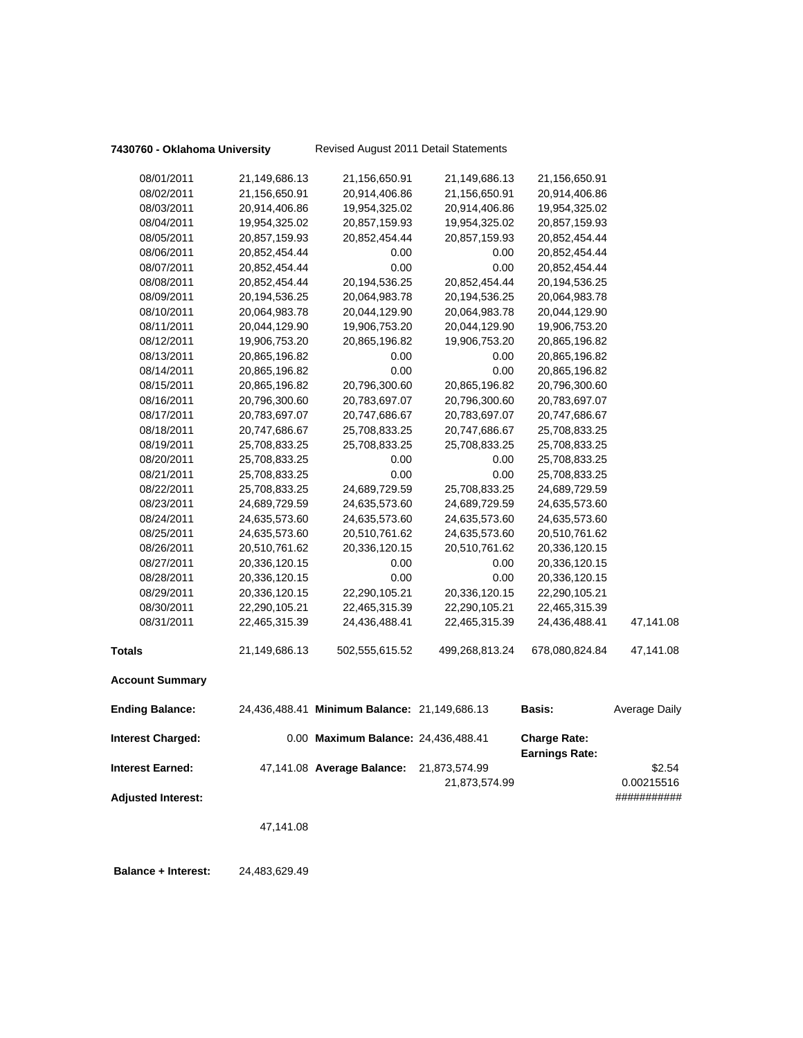|                           | 47,141.08     |                                              |                |                                              |                           |
|---------------------------|---------------|----------------------------------------------|----------------|----------------------------------------------|---------------------------|
| <b>Adjusted Interest:</b> |               |                                              | 21,873,574.99  |                                              | 0.00215516<br>########### |
| <b>Interest Earned:</b>   |               | 47,141.08 Average Balance:                   | 21,873,574.99  |                                              | \$2.54                    |
| <b>Interest Charged:</b>  |               | 0.00 Maximum Balance: 24,436,488.41          |                | <b>Charge Rate:</b><br><b>Earnings Rate:</b> |                           |
| <b>Ending Balance:</b>    |               | 24,436,488.41 Minimum Balance: 21,149,686.13 |                | <b>Basis:</b>                                | Average Daily             |
| <b>Account Summary</b>    |               |                                              |                |                                              |                           |
| <b>Totals</b>             | 21,149,686.13 | 502,555,615.52                               | 499,268,813.24 | 678,080,824.84                               | 47,141.08                 |
| 08/31/2011                | 22,465,315.39 | 24,436,488.41                                | 22,465,315.39  | 24,436,488.41                                | 47,141.08                 |
| 08/30/2011                | 22,290,105.21 | 22,465,315.39                                | 22,290,105.21  | 22,465,315.39                                |                           |
| 08/29/2011                | 20,336,120.15 | 22,290,105.21                                | 20,336,120.15  | 22,290,105.21                                |                           |
| 08/28/2011                | 20,336,120.15 | 0.00                                         | 0.00           | 20,336,120.15                                |                           |
| 08/27/2011                | 20,336,120.15 | 0.00                                         | 0.00           | 20,336,120.15                                |                           |
| 08/26/2011                | 20,510,761.62 | 20,336,120.15                                | 20,510,761.62  | 20,336,120.15                                |                           |
| 08/25/2011                | 24,635,573.60 | 20,510,761.62                                | 24,635,573.60  | 20,510,761.62                                |                           |
| 08/24/2011                | 24,635,573.60 | 24,635,573.60                                | 24,635,573.60  | 24,635,573.60                                |                           |
| 08/23/2011                | 24,689,729.59 | 24,635,573.60                                | 24,689,729.59  | 24,635,573.60                                |                           |
| 08/22/2011                | 25,708,833.25 | 24,689,729.59                                | 25,708,833.25  | 24,689,729.59                                |                           |
| 08/21/2011                | 25,708,833.25 | 0.00                                         | 0.00           | 25,708,833.25                                |                           |
| 08/20/2011                | 25,708,833.25 | 0.00                                         | 0.00           | 25,708,833.25                                |                           |
| 08/19/2011                | 25,708,833.25 | 25,708,833.25                                | 25,708,833.25  | 25,708,833.25                                |                           |
| 08/18/2011                | 20,747,686.67 | 25,708,833.25                                | 20,747,686.67  | 25,708,833.25                                |                           |
| 08/17/2011                | 20,783,697.07 | 20,747,686.67                                | 20,783,697.07  | 20,747,686.67                                |                           |
| 08/16/2011                | 20,796,300.60 | 20,783,697.07                                | 20,796,300.60  | 20,783,697.07                                |                           |
| 08/15/2011                | 20,865,196.82 | 20,796,300.60                                | 20,865,196.82  | 20,796,300.60                                |                           |
| 08/14/2011                | 20,865,196.82 | 0.00                                         | 0.00           | 20,865,196.82                                |                           |
| 08/13/2011                | 20,865,196.82 | 0.00                                         | 0.00           | 20,865,196.82                                |                           |
| 08/12/2011                | 19,906,753.20 | 20,865,196.82                                | 19,906,753.20  | 20,865,196.82                                |                           |
| 08/11/2011                | 20,044,129.90 | 19,906,753.20                                | 20,044,129.90  | 19,906,753.20                                |                           |
| 08/10/2011                | 20,064,983.78 | 20,044,129.90                                | 20,064,983.78  | 20,044,129.90                                |                           |
| 08/09/2011                | 20,194,536.25 | 20,064,983.78                                | 20,194,536.25  | 20,064,983.78                                |                           |
| 08/08/2011                | 20,852,454.44 | 20,194,536.25                                | 20,852,454.44  | 20,194,536.25                                |                           |
| 08/07/2011                | 20,852,454.44 | 0.00                                         | 0.00           | 20,852,454.44                                |                           |
| 08/06/2011                | 20,852,454.44 | 0.00                                         | 0.00           | 20,852,454.44                                |                           |
| 08/05/2011                | 20,857,159.93 | 20,852,454.44                                | 20,857,159.93  | 20,852,454.44                                |                           |
| 08/04/2011                | 19,954,325.02 | 20,857,159.93                                | 19,954,325.02  | 20,857,159.93                                |                           |
| 08/03/2011                | 20,914,406.86 | 19,954,325.02                                | 20,914,406.86  | 19,954,325.02                                |                           |
| 08/02/2011                | 21,156,650.91 | 20,914,406.86                                | 21,156,650.91  | 20,914,406.86                                |                           |
| 08/01/2011                | 21,149,686.13 | 21,156,650.91                                | 21,149,686.13  | 21,156,650.91                                |                           |
|                           |               |                                              |                |                                              |                           |

 **Balance + Interest:** 24,483,629.49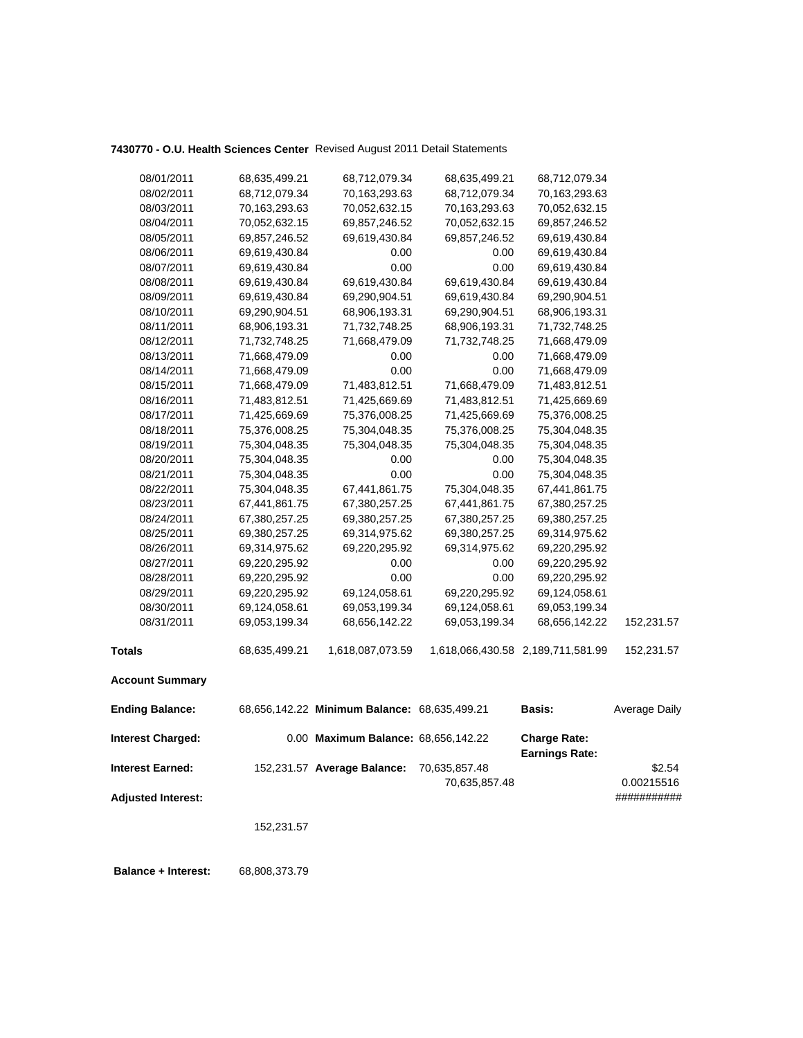# **7430770 - O.U. Health Sciences Center** Revised August 2011 Detail Statements

| 08/01/2011                | 68,635,499.21 | 68,712,079.34                                | 68,635,499.21 | 68,712,079.34                                |                      |
|---------------------------|---------------|----------------------------------------------|---------------|----------------------------------------------|----------------------|
| 08/02/2011                | 68,712,079.34 | 70,163,293.63                                | 68,712,079.34 | 70,163,293.63                                |                      |
| 08/03/2011                | 70,163,293.63 | 70,052,632.15                                | 70,163,293.63 | 70,052,632.15                                |                      |
| 08/04/2011                | 70,052,632.15 | 69,857,246.52                                | 70,052,632.15 | 69,857,246.52                                |                      |
| 08/05/2011                | 69,857,246.52 | 69,619,430.84                                | 69,857,246.52 | 69,619,430.84                                |                      |
| 08/06/2011                | 69,619,430.84 | 0.00                                         | 0.00          | 69,619,430.84                                |                      |
| 08/07/2011                | 69,619,430.84 | 0.00                                         | 0.00          | 69,619,430.84                                |                      |
| 08/08/2011                | 69,619,430.84 | 69,619,430.84                                | 69,619,430.84 | 69,619,430.84                                |                      |
| 08/09/2011                | 69,619,430.84 | 69,290,904.51                                | 69,619,430.84 | 69,290,904.51                                |                      |
| 08/10/2011                | 69,290,904.51 | 68,906,193.31                                | 69,290,904.51 | 68,906,193.31                                |                      |
| 08/11/2011                | 68,906,193.31 | 71,732,748.25                                | 68,906,193.31 | 71,732,748.25                                |                      |
| 08/12/2011                | 71,732,748.25 | 71,668,479.09                                | 71,732,748.25 | 71,668,479.09                                |                      |
| 08/13/2011                | 71,668,479.09 | 0.00                                         | 0.00          | 71,668,479.09                                |                      |
| 08/14/2011                | 71,668,479.09 | 0.00                                         | 0.00          | 71,668,479.09                                |                      |
| 08/15/2011                | 71,668,479.09 | 71,483,812.51                                | 71,668,479.09 | 71,483,812.51                                |                      |
| 08/16/2011                | 71,483,812.51 | 71,425,669.69                                | 71,483,812.51 | 71,425,669.69                                |                      |
| 08/17/2011                | 71,425,669.69 | 75,376,008.25                                | 71,425,669.69 | 75,376,008.25                                |                      |
| 08/18/2011                | 75,376,008.25 | 75,304,048.35                                | 75,376,008.25 | 75,304,048.35                                |                      |
| 08/19/2011                | 75,304,048.35 | 75,304,048.35                                | 75,304,048.35 | 75,304,048.35                                |                      |
| 08/20/2011                | 75,304,048.35 | 0.00                                         | 0.00          | 75,304,048.35                                |                      |
| 08/21/2011                | 75,304,048.35 | 0.00                                         | 0.00          | 75,304,048.35                                |                      |
| 08/22/2011                | 75,304,048.35 | 67,441,861.75                                | 75,304,048.35 | 67,441,861.75                                |                      |
| 08/23/2011                | 67,441,861.75 | 67,380,257.25                                | 67,441,861.75 | 67,380,257.25                                |                      |
| 08/24/2011                | 67,380,257.25 | 69,380,257.25                                | 67,380,257.25 | 69,380,257.25                                |                      |
| 08/25/2011                | 69,380,257.25 | 69,314,975.62                                | 69,380,257.25 | 69,314,975.62                                |                      |
| 08/26/2011                | 69,314,975.62 | 69,220,295.92                                | 69,314,975.62 | 69,220,295.92                                |                      |
| 08/27/2011                | 69,220,295.92 | 0.00                                         | 0.00          | 69,220,295.92                                |                      |
| 08/28/2011                | 69,220,295.92 | 0.00                                         | 0.00          | 69,220,295.92                                |                      |
| 08/29/2011                | 69,220,295.92 | 69,124,058.61                                | 69,220,295.92 | 69,124,058.61                                |                      |
| 08/30/2011                | 69,124,058.61 | 69,053,199.34                                | 69,124,058.61 | 69,053,199.34                                |                      |
| 08/31/2011                | 69,053,199.34 | 68,656,142.22                                | 69,053,199.34 | 68,656,142.22                                | 152,231.57           |
| <b>Totals</b>             | 68,635,499.21 | 1,618,087,073.59                             |               | 1,618,066,430.58 2,189,711,581.99            | 152,231.57           |
| <b>Account Summary</b>    |               |                                              |               |                                              |                      |
| <b>Ending Balance:</b>    |               | 68,656,142.22 Minimum Balance: 68,635,499.21 |               | <b>Basis:</b>                                | <b>Average Daily</b> |
| Interest Charged:         |               | 0.00 Maximum Balance: 68,656,142.22          |               | <b>Charge Rate:</b><br><b>Earnings Rate:</b> |                      |
| <b>Interest Earned:</b>   |               | 152,231.57 Average Balance:                  | 70,635,857.48 |                                              | \$2.54               |
|                           |               |                                              | 70,635,857.48 |                                              | 0.00215516           |
| <b>Adjusted Interest:</b> |               |                                              |               |                                              | ###########          |
|                           |               |                                              |               |                                              |                      |
|                           | 152,231.57    |                                              |               |                                              |                      |
|                           |               |                                              |               |                                              |                      |

 **Balance + Interest:** 68,808,373.79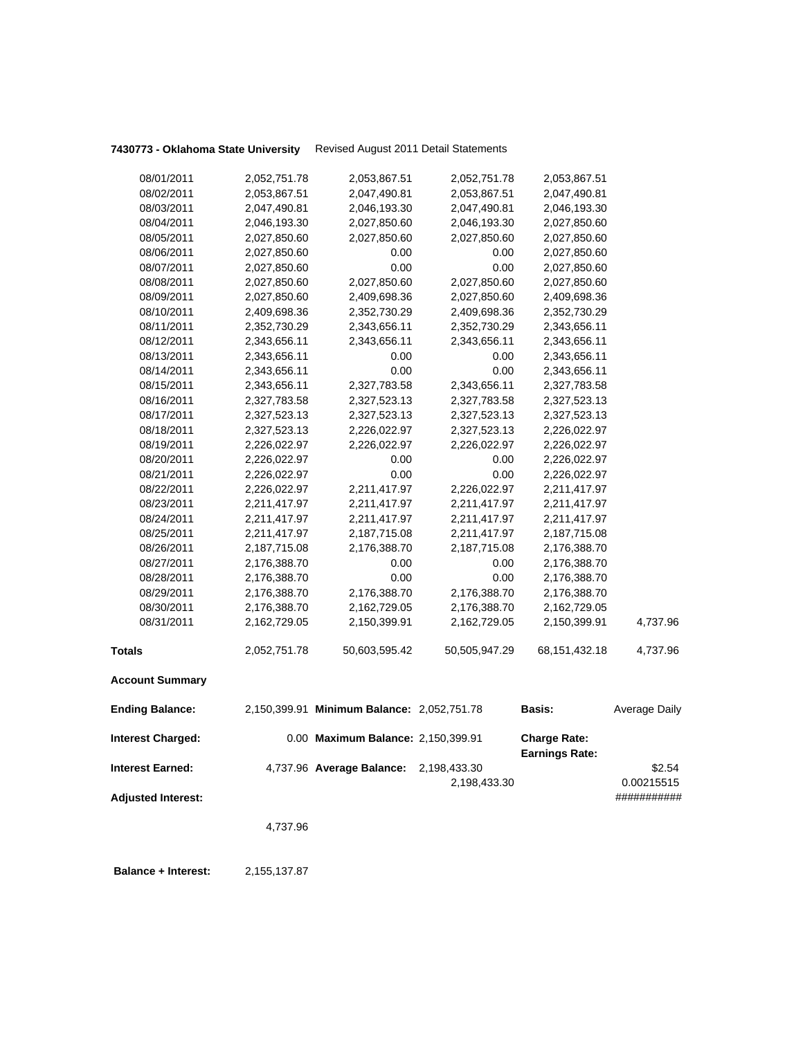**7430773 - Oklahoma State University** Revised August 2011 Detail Statements

| 08/01/2011                | 2,052,751.78 | 2,053,867.51                               | 2,052,751.78  | 2,053,867.51                                 |               |
|---------------------------|--------------|--------------------------------------------|---------------|----------------------------------------------|---------------|
| 08/02/2011                | 2,053,867.51 | 2,047,490.81                               | 2,053,867.51  | 2,047,490.81                                 |               |
| 08/03/2011                | 2,047,490.81 | 2,046,193.30                               | 2,047,490.81  | 2,046,193.30                                 |               |
| 08/04/2011                | 2,046,193.30 | 2,027,850.60                               | 2,046,193.30  | 2,027,850.60                                 |               |
| 08/05/2011                | 2,027,850.60 | 2,027,850.60                               | 2,027,850.60  | 2,027,850.60                                 |               |
| 08/06/2011                | 2,027,850.60 | 0.00                                       | 0.00          | 2,027,850.60                                 |               |
| 08/07/2011                | 2,027,850.60 | 0.00                                       | 0.00          | 2,027,850.60                                 |               |
| 08/08/2011                | 2,027,850.60 | 2,027,850.60                               | 2,027,850.60  | 2,027,850.60                                 |               |
| 08/09/2011                | 2,027,850.60 | 2,409,698.36                               | 2,027,850.60  | 2,409,698.36                                 |               |
| 08/10/2011                | 2,409,698.36 | 2,352,730.29                               | 2,409,698.36  | 2,352,730.29                                 |               |
| 08/11/2011                | 2,352,730.29 | 2,343,656.11                               | 2,352,730.29  | 2,343,656.11                                 |               |
| 08/12/2011                | 2,343,656.11 | 2,343,656.11                               | 2,343,656.11  | 2,343,656.11                                 |               |
| 08/13/2011                | 2,343,656.11 | 0.00                                       | 0.00          | 2,343,656.11                                 |               |
| 08/14/2011                | 2,343,656.11 | 0.00                                       | 0.00          | 2,343,656.11                                 |               |
| 08/15/2011                | 2,343,656.11 | 2,327,783.58                               | 2,343,656.11  | 2,327,783.58                                 |               |
| 08/16/2011                | 2,327,783.58 | 2,327,523.13                               | 2,327,783.58  | 2,327,523.13                                 |               |
| 08/17/2011                | 2,327,523.13 | 2,327,523.13                               | 2,327,523.13  | 2,327,523.13                                 |               |
| 08/18/2011                | 2,327,523.13 | 2,226,022.97                               | 2,327,523.13  | 2,226,022.97                                 |               |
| 08/19/2011                | 2,226,022.97 | 2,226,022.97                               | 2,226,022.97  | 2,226,022.97                                 |               |
| 08/20/2011                | 2,226,022.97 | 0.00                                       | 0.00          | 2,226,022.97                                 |               |
| 08/21/2011                | 2,226,022.97 | 0.00                                       | 0.00          | 2,226,022.97                                 |               |
| 08/22/2011                | 2,226,022.97 | 2,211,417.97                               | 2,226,022.97  | 2,211,417.97                                 |               |
| 08/23/2011                | 2,211,417.97 | 2,211,417.97                               | 2,211,417.97  | 2,211,417.97                                 |               |
| 08/24/2011                | 2,211,417.97 | 2,211,417.97                               | 2,211,417.97  | 2,211,417.97                                 |               |
| 08/25/2011                | 2,211,417.97 | 2,187,715.08                               | 2,211,417.97  | 2,187,715.08                                 |               |
| 08/26/2011                | 2,187,715.08 | 2,176,388.70                               | 2,187,715.08  | 2,176,388.70                                 |               |
| 08/27/2011                | 2,176,388.70 | 0.00                                       | 0.00          | 2,176,388.70                                 |               |
| 08/28/2011                | 2,176,388.70 | 0.00                                       | 0.00          | 2,176,388.70                                 |               |
| 08/29/2011                | 2,176,388.70 | 2,176,388.70                               | 2,176,388.70  | 2,176,388.70                                 |               |
| 08/30/2011                | 2,176,388.70 | 2,162,729.05                               | 2,176,388.70  | 2,162,729.05                                 |               |
| 08/31/2011                | 2,162,729.05 | 2,150,399.91                               | 2,162,729.05  | 2,150,399.91                                 | 4,737.96      |
| <b>Totals</b>             | 2,052,751.78 | 50,603,595.42                              | 50,505,947.29 | 68, 151, 432. 18                             | 4,737.96      |
| <b>Account Summary</b>    |              |                                            |               |                                              |               |
| <b>Ending Balance:</b>    |              | 2,150,399.91 Minimum Balance: 2,052,751.78 |               | <b>Basis:</b>                                | Average Daily |
| <b>Interest Charged:</b>  |              | 0.00 Maximum Balance: 2,150,399.91         |               | <b>Charge Rate:</b><br><b>Earnings Rate:</b> |               |
| <b>Interest Earned:</b>   |              | 4,737.96 Average Balance: 2,198,433.30     |               |                                              | \$2.54        |
|                           |              |                                            | 2,198,433.30  |                                              | 0.00215515    |
| <b>Adjusted Interest:</b> |              |                                            |               |                                              | ###########   |
|                           |              |                                            |               |                                              |               |
|                           | 4,737.96     |                                            |               |                                              |               |
|                           |              |                                            |               |                                              |               |
|                           |              |                                            |               |                                              |               |

 **Balance + Interest:** 2,155,137.87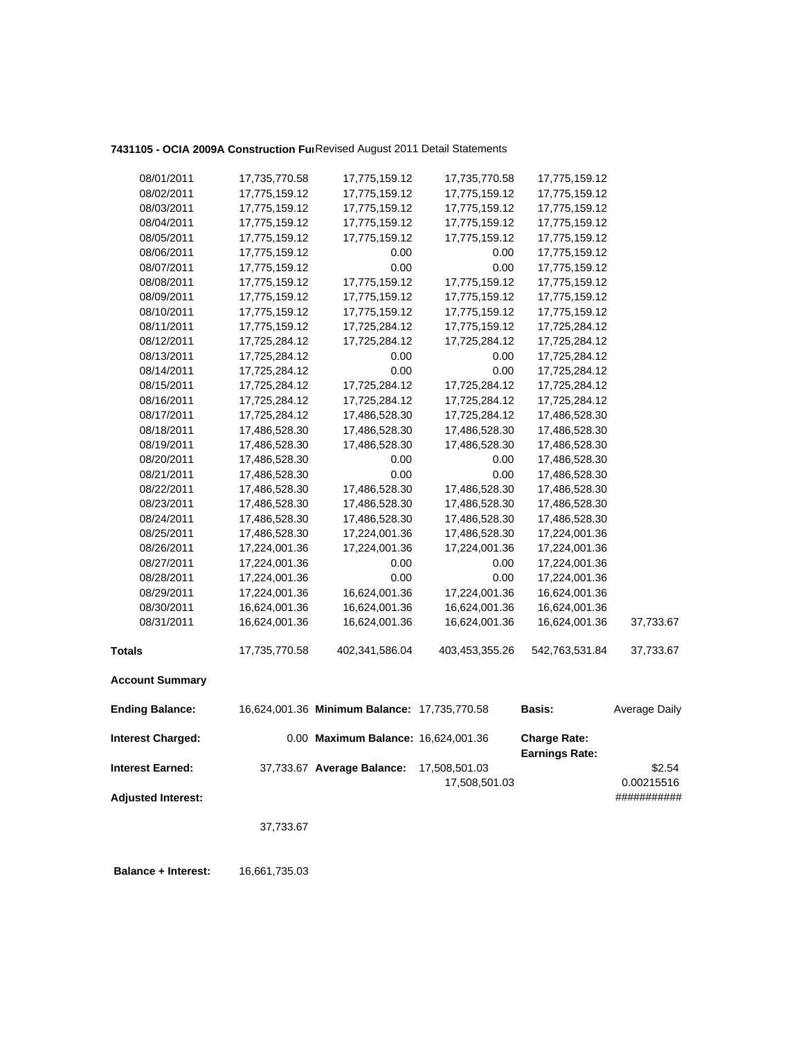# **7431105 - OCIA 2009A Construction Fun**Revised August 2011 Detail Statements

| 08/01/2011                | 17,735,770.58 | 17,775,159.12                                | 17,735,770.58  | 17,775,159.12                                |               |
|---------------------------|---------------|----------------------------------------------|----------------|----------------------------------------------|---------------|
| 08/02/2011                | 17,775,159.12 | 17,775,159.12                                | 17,775,159.12  | 17,775,159.12                                |               |
| 08/03/2011                | 17,775,159.12 | 17,775,159.12                                | 17,775,159.12  | 17,775,159.12                                |               |
| 08/04/2011                | 17,775,159.12 | 17,775,159.12                                | 17,775,159.12  | 17,775,159.12                                |               |
| 08/05/2011                | 17,775,159.12 | 17,775,159.12                                | 17,775,159.12  | 17,775,159.12                                |               |
| 08/06/2011                | 17,775,159.12 | 0.00                                         | 0.00           | 17,775,159.12                                |               |
| 08/07/2011                | 17,775,159.12 | 0.00                                         | 0.00           | 17,775,159.12                                |               |
| 08/08/2011                | 17,775,159.12 | 17,775,159.12                                | 17,775,159.12  | 17,775,159.12                                |               |
| 08/09/2011                | 17,775,159.12 | 17,775,159.12                                | 17,775,159.12  | 17,775,159.12                                |               |
| 08/10/2011                | 17,775,159.12 | 17,775,159.12                                | 17,775,159.12  | 17,775,159.12                                |               |
| 08/11/2011                | 17,775,159.12 | 17,725,284.12                                | 17,775,159.12  | 17,725,284.12                                |               |
| 08/12/2011                | 17,725,284.12 | 17,725,284.12                                | 17,725,284.12  | 17,725,284.12                                |               |
| 08/13/2011                | 17,725,284.12 | 0.00                                         | 0.00           | 17,725,284.12                                |               |
| 08/14/2011                | 17,725,284.12 | 0.00                                         | 0.00           | 17,725,284.12                                |               |
| 08/15/2011                | 17,725,284.12 | 17,725,284.12                                | 17,725,284.12  | 17,725,284.12                                |               |
| 08/16/2011                | 17,725,284.12 | 17,725,284.12                                | 17,725,284.12  | 17,725,284.12                                |               |
| 08/17/2011                | 17,725,284.12 | 17,486,528.30                                | 17,725,284.12  | 17,486,528.30                                |               |
| 08/18/2011                | 17,486,528.30 | 17,486,528.30                                | 17,486,528.30  | 17,486,528.30                                |               |
| 08/19/2011                | 17,486,528.30 | 17,486,528.30                                | 17,486,528.30  | 17,486,528.30                                |               |
| 08/20/2011                | 17,486,528.30 | 0.00                                         | 0.00           | 17,486,528.30                                |               |
| 08/21/2011                | 17,486,528.30 | 0.00                                         | 0.00           | 17,486,528.30                                |               |
| 08/22/2011                | 17,486,528.30 | 17,486,528.30                                | 17,486,528.30  | 17,486,528.30                                |               |
| 08/23/2011                | 17,486,528.30 | 17,486,528.30                                | 17,486,528.30  | 17,486,528.30                                |               |
| 08/24/2011                | 17,486,528.30 | 17,486,528.30                                | 17,486,528.30  | 17,486,528.30                                |               |
| 08/25/2011                | 17,486,528.30 | 17,224,001.36                                | 17,486,528.30  | 17,224,001.36                                |               |
| 08/26/2011                | 17,224,001.36 | 17,224,001.36                                | 17,224,001.36  | 17,224,001.36                                |               |
| 08/27/2011                | 17,224,001.36 | 0.00                                         | 0.00           | 17,224,001.36                                |               |
| 08/28/2011                | 17,224,001.36 | 0.00                                         | 0.00           | 17,224,001.36                                |               |
| 08/29/2011                | 17,224,001.36 | 16,624,001.36                                | 17,224,001.36  | 16,624,001.36                                |               |
| 08/30/2011                | 16,624,001.36 | 16,624,001.36                                | 16,624,001.36  | 16,624,001.36                                |               |
| 08/31/2011                | 16,624,001.36 | 16,624,001.36                                | 16,624,001.36  | 16,624,001.36                                | 37,733.67     |
| <b>Totals</b>             | 17,735,770.58 | 402,341,586.04                               | 403,453,355.26 | 542,763,531.84                               | 37,733.67     |
| <b>Account Summary</b>    |               |                                              |                |                                              |               |
| <b>Ending Balance:</b>    |               | 16,624,001.36 Minimum Balance: 17,735,770.58 |                | <b>Basis:</b>                                | Average Daily |
| <b>Interest Charged:</b>  |               | 0.00 Maximum Balance: 16,624,001.36          |                | <b>Charge Rate:</b><br><b>Earnings Rate:</b> |               |
| <b>Interest Earned:</b>   |               | 37,733.67 Average Balance:                   | 17,508,501.03  |                                              | \$2.54        |
|                           |               |                                              | 17,508,501.03  |                                              | 0.00215516    |
| <b>Adjusted Interest:</b> |               |                                              |                |                                              | ###########   |
|                           |               |                                              |                |                                              |               |
|                           | 37,733.67     |                                              |                |                                              |               |
|                           |               |                                              |                |                                              |               |

 **Balance + Interest:** 16,661,735.03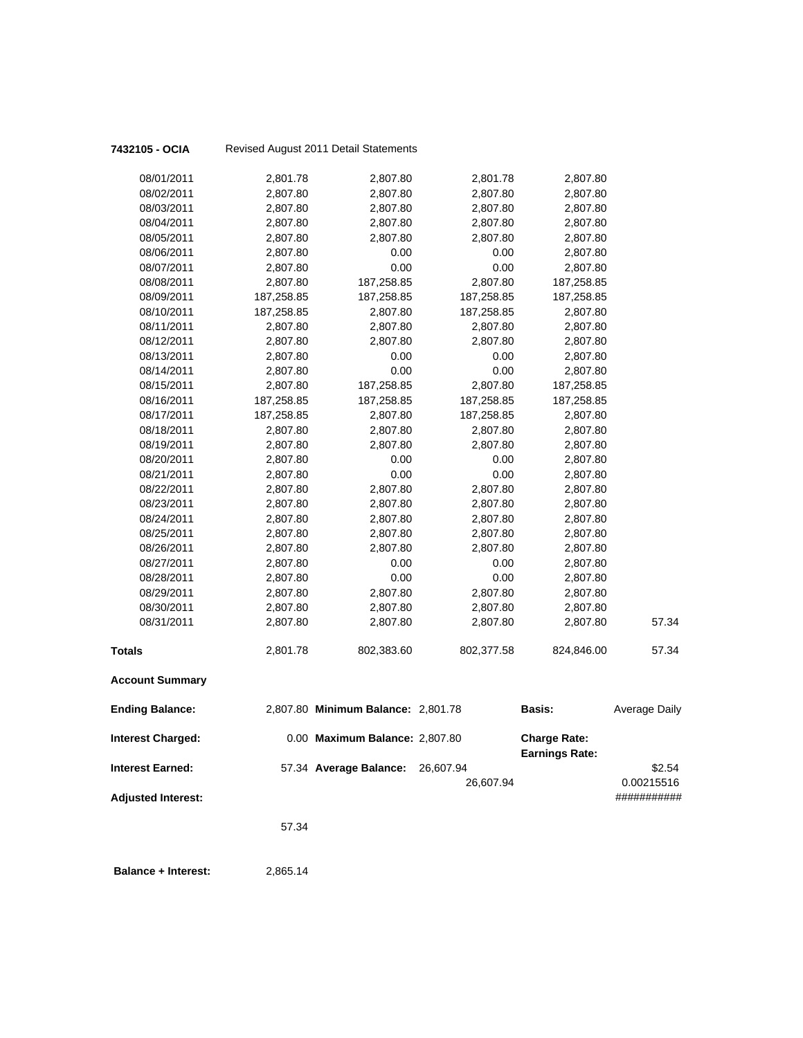| 7432105 - OCIA            |            | Revised August 2011 Detail Statements |            |                                              |                      |
|---------------------------|------------|---------------------------------------|------------|----------------------------------------------|----------------------|
| 08/01/2011                | 2,801.78   | 2,807.80                              | 2,801.78   | 2,807.80                                     |                      |
| 08/02/2011                | 2,807.80   | 2,807.80                              | 2,807.80   | 2,807.80                                     |                      |
| 08/03/2011                | 2,807.80   | 2,807.80                              | 2,807.80   | 2,807.80                                     |                      |
| 08/04/2011                | 2,807.80   | 2,807.80                              | 2,807.80   | 2,807.80                                     |                      |
| 08/05/2011                | 2,807.80   | 2,807.80                              | 2,807.80   | 2,807.80                                     |                      |
| 08/06/2011                | 2,807.80   | 0.00                                  | 0.00       | 2,807.80                                     |                      |
| 08/07/2011                | 2,807.80   | 0.00                                  | 0.00       | 2,807.80                                     |                      |
| 08/08/2011                | 2,807.80   | 187,258.85                            | 2,807.80   | 187,258.85                                   |                      |
| 08/09/2011                | 187,258.85 | 187,258.85                            | 187,258.85 | 187,258.85                                   |                      |
| 08/10/2011                | 187,258.85 | 2,807.80                              | 187,258.85 | 2,807.80                                     |                      |
| 08/11/2011                | 2,807.80   | 2,807.80                              | 2,807.80   | 2,807.80                                     |                      |
| 08/12/2011                | 2,807.80   | 2,807.80                              | 2,807.80   | 2,807.80                                     |                      |
| 08/13/2011                | 2,807.80   | 0.00                                  | 0.00       | 2,807.80                                     |                      |
| 08/14/2011                | 2,807.80   | 0.00                                  | 0.00       | 2,807.80                                     |                      |
| 08/15/2011                | 2,807.80   | 187,258.85                            | 2,807.80   | 187,258.85                                   |                      |
| 08/16/2011                | 187,258.85 | 187,258.85                            | 187,258.85 | 187,258.85                                   |                      |
| 08/17/2011                | 187,258.85 | 2,807.80                              | 187,258.85 | 2,807.80                                     |                      |
| 08/18/2011                | 2,807.80   | 2,807.80                              | 2,807.80   | 2,807.80                                     |                      |
| 08/19/2011                | 2,807.80   | 2,807.80                              | 2,807.80   | 2,807.80                                     |                      |
| 08/20/2011                | 2,807.80   | 0.00                                  | 0.00       | 2,807.80                                     |                      |
| 08/21/2011                | 2,807.80   | 0.00                                  | 0.00       | 2,807.80                                     |                      |
| 08/22/2011                | 2,807.80   | 2,807.80                              | 2,807.80   | 2,807.80                                     |                      |
| 08/23/2011                | 2,807.80   | 2,807.80                              | 2,807.80   | 2,807.80                                     |                      |
| 08/24/2011                | 2,807.80   | 2,807.80                              | 2,807.80   | 2,807.80                                     |                      |
| 08/25/2011                | 2,807.80   | 2,807.80                              | 2,807.80   | 2,807.80                                     |                      |
| 08/26/2011                | 2,807.80   | 2,807.80                              | 2,807.80   | 2,807.80                                     |                      |
| 08/27/2011                | 2,807.80   | 0.00                                  | 0.00       | 2,807.80                                     |                      |
| 08/28/2011                | 2,807.80   | 0.00                                  | 0.00       | 2,807.80                                     |                      |
| 08/29/2011                | 2,807.80   | 2,807.80                              | 2,807.80   | 2,807.80                                     |                      |
| 08/30/2011                | 2,807.80   | 2,807.80                              | 2,807.80   | 2,807.80                                     |                      |
| 08/31/2011                | 2,807.80   | 2,807.80                              | 2,807.80   | 2,807.80                                     | 57.34                |
| <b>Totals</b>             | 2,801.78   | 802,383.60                            | 802,377.58 | 824,846.00                                   | 57.34                |
| <b>Account Summary</b>    |            |                                       |            |                                              |                      |
| <b>Ending Balance:</b>    |            | 2,807.80 Minimum Balance: 2,801.78    |            | <b>Basis:</b>                                | <b>Average Daily</b> |
| Interest Charged:         |            | 0.00 Maximum Balance: 2,807.80        |            | <b>Charge Rate:</b><br><b>Earnings Rate:</b> |                      |
| <b>Interest Earned:</b>   |            | 57.34 Average Balance:                | 26,607.94  |                                              | \$2.54               |
|                           |            |                                       | 26,607.94  |                                              | 0.00215516           |
| <b>Adjusted Interest:</b> |            |                                       |            |                                              | ###########          |
|                           |            |                                       |            |                                              |                      |
|                           | 57.34      |                                       |            |                                              |                      |
|                           |            |                                       |            |                                              |                      |

**Balance + Interest:** 2,865.14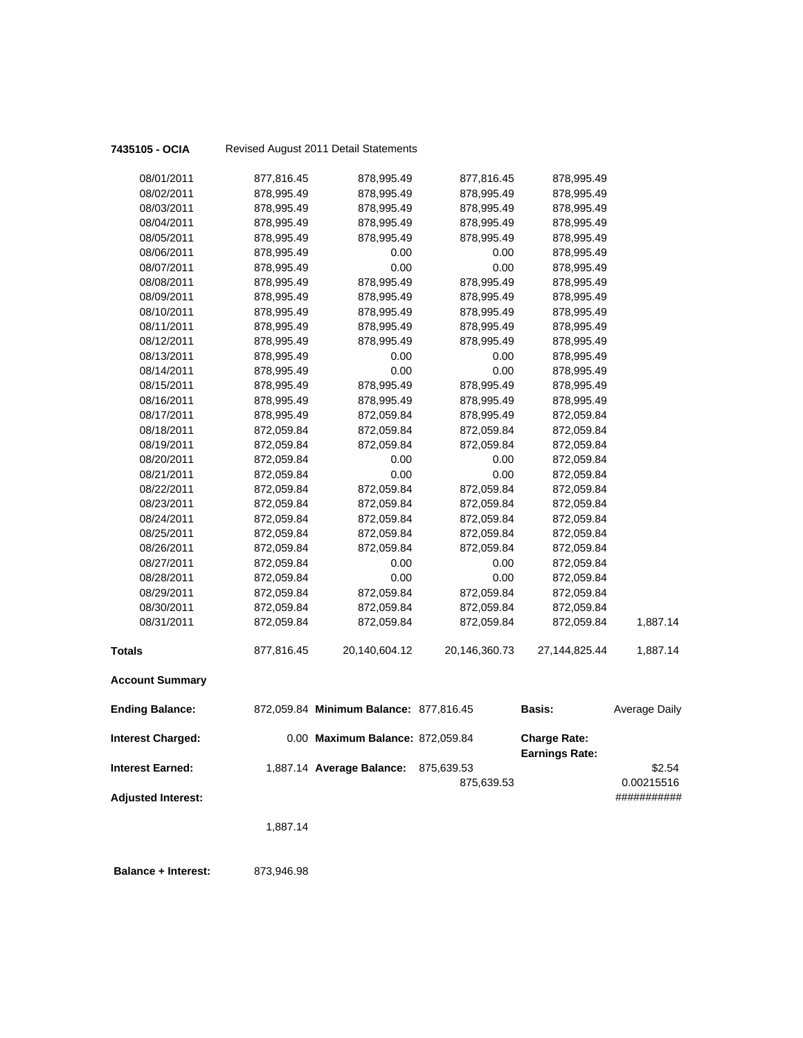| 7435105 - OCIA            |            | Revised August 2011 Detail Statements  |               |                                              |                      |
|---------------------------|------------|----------------------------------------|---------------|----------------------------------------------|----------------------|
| 08/01/2011                | 877,816.45 | 878,995.49                             | 877,816.45    | 878,995.49                                   |                      |
| 08/02/2011                | 878,995.49 | 878,995.49                             | 878,995.49    | 878,995.49                                   |                      |
| 08/03/2011                | 878,995.49 | 878,995.49                             | 878,995.49    | 878,995.49                                   |                      |
| 08/04/2011                | 878,995.49 | 878,995.49                             | 878,995.49    | 878,995.49                                   |                      |
| 08/05/2011                | 878,995.49 | 878,995.49                             | 878,995.49    | 878,995.49                                   |                      |
| 08/06/2011                | 878,995.49 | 0.00                                   | 0.00          | 878,995.49                                   |                      |
| 08/07/2011                | 878,995.49 | 0.00                                   | 0.00          | 878,995.49                                   |                      |
| 08/08/2011                | 878,995.49 | 878,995.49                             | 878,995.49    | 878,995.49                                   |                      |
| 08/09/2011                | 878,995.49 | 878,995.49                             | 878,995.49    | 878,995.49                                   |                      |
| 08/10/2011                | 878,995.49 | 878,995.49                             | 878,995.49    | 878,995.49                                   |                      |
| 08/11/2011                | 878,995.49 | 878,995.49                             | 878,995.49    | 878,995.49                                   |                      |
| 08/12/2011                | 878,995.49 | 878,995.49                             | 878,995.49    | 878,995.49                                   |                      |
| 08/13/2011                | 878,995.49 | 0.00                                   | 0.00          | 878,995.49                                   |                      |
| 08/14/2011                | 878,995.49 | 0.00                                   | 0.00          | 878,995.49                                   |                      |
| 08/15/2011                | 878,995.49 | 878,995.49                             | 878,995.49    | 878,995.49                                   |                      |
| 08/16/2011                | 878,995.49 | 878,995.49                             | 878,995.49    | 878,995.49                                   |                      |
| 08/17/2011                | 878,995.49 | 872,059.84                             | 878,995.49    | 872,059.84                                   |                      |
| 08/18/2011                | 872,059.84 | 872,059.84                             | 872,059.84    | 872,059.84                                   |                      |
| 08/19/2011                | 872,059.84 | 872,059.84                             | 872,059.84    | 872,059.84                                   |                      |
| 08/20/2011                | 872,059.84 | 0.00                                   | 0.00          | 872,059.84                                   |                      |
| 08/21/2011                | 872,059.84 | 0.00                                   | 0.00          | 872,059.84                                   |                      |
| 08/22/2011                | 872,059.84 | 872,059.84                             | 872,059.84    | 872,059.84                                   |                      |
| 08/23/2011                | 872,059.84 | 872,059.84                             | 872,059.84    | 872,059.84                                   |                      |
| 08/24/2011                | 872,059.84 | 872,059.84                             | 872,059.84    | 872,059.84                                   |                      |
| 08/25/2011                | 872,059.84 | 872,059.84                             | 872,059.84    | 872,059.84                                   |                      |
| 08/26/2011                | 872,059.84 | 872,059.84                             | 872,059.84    | 872,059.84                                   |                      |
| 08/27/2011                | 872,059.84 | 0.00                                   | 0.00          | 872,059.84                                   |                      |
| 08/28/2011                | 872,059.84 | 0.00                                   | 0.00          | 872,059.84                                   |                      |
| 08/29/2011                | 872,059.84 | 872,059.84                             | 872,059.84    | 872,059.84                                   |                      |
| 08/30/2011                | 872,059.84 | 872,059.84                             | 872,059.84    | 872,059.84                                   |                      |
| 08/31/2011                | 872,059.84 | 872,059.84                             | 872,059.84    | 872,059.84                                   | 1,887.14             |
| <b>Totals</b>             | 877,816.45 | 20,140,604.12                          | 20,146,360.73 | 27,144,825.44                                | 1,887.14             |
| <b>Account Summary</b>    |            |                                        |               |                                              |                      |
| <b>Ending Balance:</b>    |            | 872,059.84 Minimum Balance: 877,816.45 |               | <b>Basis:</b>                                | <b>Average Daily</b> |
| <b>Interest Charged:</b>  |            | 0.00 Maximum Balance: 872,059.84       |               | <b>Charge Rate:</b><br><b>Earnings Rate:</b> |                      |
| <b>Interest Earned:</b>   |            | 1,887.14 Average Balance:              | 875,639.53    |                                              | \$2.54               |
|                           |            |                                        | 875,639.53    |                                              | 0.00215516           |
| <b>Adjusted Interest:</b> |            |                                        |               |                                              | ###########          |
|                           |            |                                        |               |                                              |                      |
|                           | 1,887.14   |                                        |               |                                              |                      |
|                           |            |                                        |               |                                              |                      |
|                           |            |                                        |               |                                              |                      |

 **Balance + Interest:** 873,946.98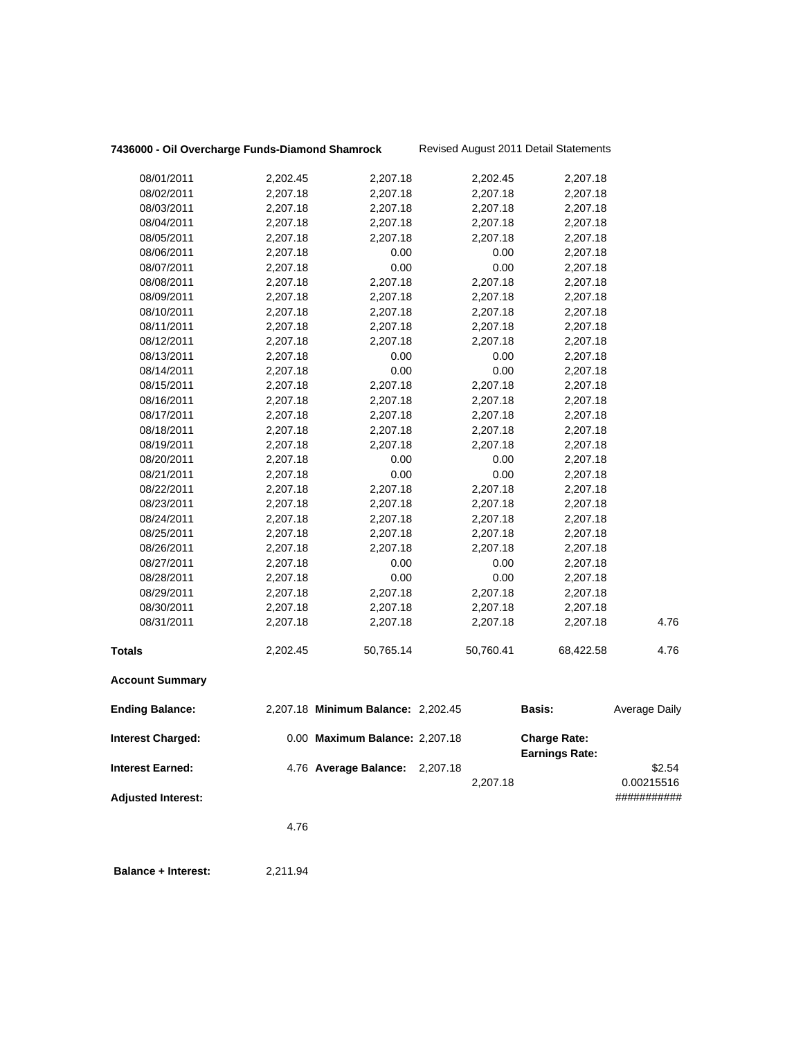# **7436000 - Oil Overcharge Funds-Diamond Shamrock** Revised August 2011 Detail Statements

|                           | 4.76     |                                    |           |                       |                           |
|---------------------------|----------|------------------------------------|-----------|-----------------------|---------------------------|
| <b>Adjusted Interest:</b> |          |                                    | 2,207.18  |                       | 0.00215516<br>########### |
| <b>Interest Earned:</b>   |          | 4.76 Average Balance: 2,207.18     |           | <b>Earnings Rate:</b> | \$2.54                    |
| <b>Interest Charged:</b>  |          | 0.00 Maximum Balance: 2,207.18     |           | <b>Charge Rate:</b>   |                           |
| <b>Ending Balance:</b>    |          | 2,207.18 Minimum Balance: 2,202.45 |           | Basis:                | Average Daily             |
| <b>Account Summary</b>    |          |                                    |           |                       |                           |
| Totals                    | 2,202.45 | 50,765.14                          | 50,760.41 | 68,422.58             | 4.76                      |
| 08/31/2011                | 2,207.18 | 2,207.18                           | 2,207.18  | 2,207.18              | 4.76                      |
| 08/30/2011                | 2,207.18 | 2,207.18                           | 2,207.18  | 2,207.18              |                           |
| 08/29/2011                | 2,207.18 | 2,207.18                           | 2,207.18  | 2,207.18              |                           |
| 08/28/2011                | 2,207.18 | 0.00                               | 0.00      | 2,207.18              |                           |
| 08/27/2011                | 2,207.18 | 0.00                               | 0.00      | 2,207.18              |                           |
| 08/26/2011                | 2,207.18 | 2,207.18                           | 2,207.18  | 2,207.18              |                           |
| 08/25/2011                | 2,207.18 | 2,207.18                           | 2,207.18  | 2,207.18              |                           |
| 08/24/2011                | 2,207.18 | 2,207.18                           | 2,207.18  | 2,207.18              |                           |
| 08/23/2011                | 2,207.18 | 2,207.18                           | 2,207.18  | 2,207.18              |                           |
| 08/22/2011                | 2,207.18 | 2,207.18                           | 2,207.18  | 2,207.18              |                           |
| 08/21/2011                | 2,207.18 | 0.00                               | 0.00      | 2,207.18              |                           |
| 08/20/2011                | 2,207.18 | 0.00                               | 0.00      | 2,207.18              |                           |
| 08/19/2011                | 2,207.18 | 2,207.18                           | 2,207.18  | 2,207.18              |                           |
| 08/18/2011                | 2,207.18 | 2,207.18                           | 2,207.18  | 2,207.18              |                           |
| 08/17/2011                | 2,207.18 | 2,207.18                           | 2,207.18  | 2,207.18              |                           |
| 08/16/2011                | 2,207.18 | 2,207.18                           | 2,207.18  | 2,207.18              |                           |
| 08/15/2011                | 2,207.18 | 2,207.18                           | 2,207.18  | 2,207.18              |                           |
| 08/14/2011                | 2,207.18 | 0.00                               | 0.00      | 2,207.18              |                           |
| 08/13/2011                | 2,207.18 | 0.00                               | 0.00      | 2,207.18              |                           |
| 08/12/2011                | 2,207.18 | 2,207.18                           | 2,207.18  | 2,207.18              |                           |
| 08/11/2011                | 2,207.18 | 2,207.18                           | 2,207.18  | 2,207.18              |                           |
| 08/10/2011                | 2,207.18 | 2,207.18                           | 2,207.18  | 2,207.18              |                           |
| 08/09/2011                | 2,207.18 | 2,207.18                           | 2,207.18  | 2,207.18              |                           |
| 08/08/2011                | 2,207.18 | 2,207.18                           | 2,207.18  | 2,207.18              |                           |
| 08/07/2011                | 2,207.18 | 0.00                               | 0.00      | 2,207.18              |                           |
| 08/06/2011                | 2,207.18 | 0.00                               | 0.00      | 2,207.18              |                           |
| 08/05/2011                | 2,207.18 | 2,207.18                           | 2,207.18  | 2,207.18              |                           |
| 08/04/2011                | 2,207.18 | 2,207.18                           | 2,207.18  | 2,207.18              |                           |
| 08/03/2011                | 2,207.18 | 2,207.18                           | 2,207.18  | 2,207.18              |                           |
| 08/02/2011                | 2,207.18 | 2,207.18                           | 2,207.18  | 2,207.18              |                           |
| 08/01/2011                | 2,202.45 | 2,207.18                           | 2,202.45  | 2,207.18              |                           |
|                           |          |                                    |           |                       |                           |

 **Balance + Interest:** 2,211.94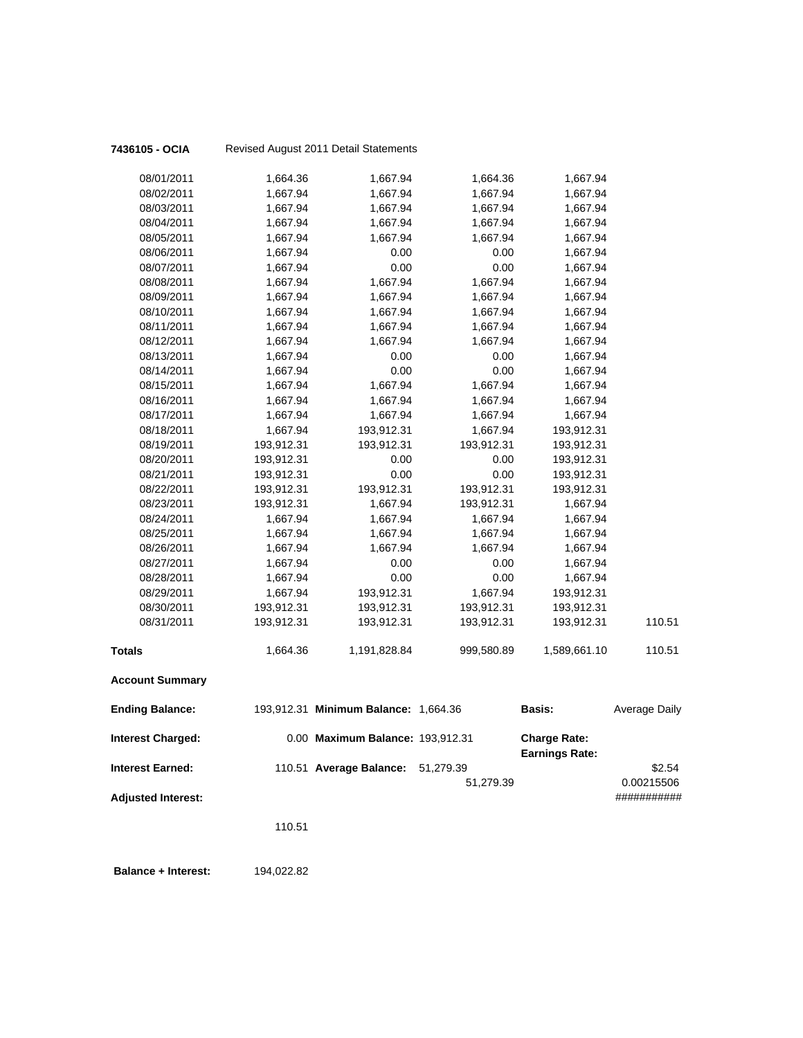| 7436105 - OCIA             |            | Revised August 2011 Detail Statements |            |                                              |                      |
|----------------------------|------------|---------------------------------------|------------|----------------------------------------------|----------------------|
| 08/01/2011                 | 1,664.36   | 1,667.94                              | 1,664.36   | 1,667.94                                     |                      |
| 08/02/2011                 | 1,667.94   | 1,667.94                              | 1,667.94   | 1,667.94                                     |                      |
| 08/03/2011                 | 1,667.94   | 1,667.94                              | 1,667.94   | 1,667.94                                     |                      |
| 08/04/2011                 | 1,667.94   | 1,667.94                              | 1,667.94   | 1,667.94                                     |                      |
| 08/05/2011                 | 1,667.94   | 1,667.94                              | 1,667.94   | 1,667.94                                     |                      |
| 08/06/2011                 | 1,667.94   | 0.00                                  | 0.00       | 1,667.94                                     |                      |
| 08/07/2011                 | 1,667.94   | 0.00                                  | 0.00       | 1,667.94                                     |                      |
| 08/08/2011                 | 1,667.94   | 1,667.94                              | 1,667.94   | 1,667.94                                     |                      |
| 08/09/2011                 | 1,667.94   | 1,667.94                              | 1,667.94   | 1,667.94                                     |                      |
| 08/10/2011                 | 1,667.94   | 1,667.94                              | 1,667.94   | 1,667.94                                     |                      |
| 08/11/2011                 | 1,667.94   | 1,667.94                              | 1,667.94   | 1,667.94                                     |                      |
| 08/12/2011                 | 1,667.94   | 1,667.94                              | 1,667.94   | 1,667.94                                     |                      |
| 08/13/2011                 | 1,667.94   | 0.00                                  | 0.00       | 1,667.94                                     |                      |
| 08/14/2011                 | 1,667.94   | 0.00                                  | 0.00       | 1,667.94                                     |                      |
| 08/15/2011                 | 1,667.94   | 1,667.94                              | 1,667.94   | 1,667.94                                     |                      |
| 08/16/2011                 | 1,667.94   | 1,667.94                              | 1,667.94   | 1,667.94                                     |                      |
| 08/17/2011                 | 1,667.94   | 1,667.94                              | 1,667.94   | 1,667.94                                     |                      |
| 08/18/2011                 | 1,667.94   | 193,912.31                            | 1,667.94   | 193,912.31                                   |                      |
| 08/19/2011                 | 193,912.31 | 193,912.31                            | 193,912.31 | 193,912.31                                   |                      |
| 08/20/2011                 | 193,912.31 | 0.00                                  | 0.00       | 193,912.31                                   |                      |
| 08/21/2011                 | 193,912.31 | 0.00                                  | 0.00       | 193,912.31                                   |                      |
| 08/22/2011                 | 193,912.31 | 193,912.31                            | 193,912.31 | 193,912.31                                   |                      |
| 08/23/2011                 | 193,912.31 | 1,667.94                              | 193,912.31 | 1,667.94                                     |                      |
| 08/24/2011                 | 1,667.94   | 1,667.94                              | 1,667.94   | 1,667.94                                     |                      |
| 08/25/2011                 | 1,667.94   | 1,667.94                              | 1,667.94   | 1,667.94                                     |                      |
| 08/26/2011                 | 1,667.94   | 1,667.94                              | 1,667.94   | 1,667.94                                     |                      |
| 08/27/2011                 | 1,667.94   | 0.00                                  | 0.00       | 1,667.94                                     |                      |
| 08/28/2011                 | 1,667.94   | 0.00                                  | 0.00       | 1,667.94                                     |                      |
| 08/29/2011                 | 1,667.94   | 193,912.31                            | 1,667.94   | 193,912.31                                   |                      |
| 08/30/2011                 | 193,912.31 | 193,912.31                            | 193,912.31 | 193,912.31                                   |                      |
| 08/31/2011                 | 193,912.31 | 193,912.31                            | 193,912.31 | 193,912.31                                   | 110.51               |
| <b>Totals</b>              | 1,664.36   | 1,191,828.84                          | 999,580.89 | 1,589,661.10                                 | 110.51               |
| <b>Account Summary</b>     |            |                                       |            |                                              |                      |
| <b>Ending Balance:</b>     |            | 193,912.31 Minimum Balance: 1,664.36  |            | <b>Basis:</b>                                | <b>Average Daily</b> |
| Interest Charged:          |            | 0.00 Maximum Balance: 193,912.31      |            | <b>Charge Rate:</b><br><b>Earnings Rate:</b> |                      |
| <b>Interest Earned:</b>    |            | 110.51 Average Balance:               | 51,279.39  |                                              | \$2.54               |
|                            |            |                                       | 51,279.39  |                                              | 0.00215506           |
| <b>Adjusted Interest:</b>  |            |                                       |            |                                              | ###########          |
|                            | 110.51     |                                       |            |                                              |                      |
| <b>Balance + Interest:</b> | 194,022.82 |                                       |            |                                              |                      |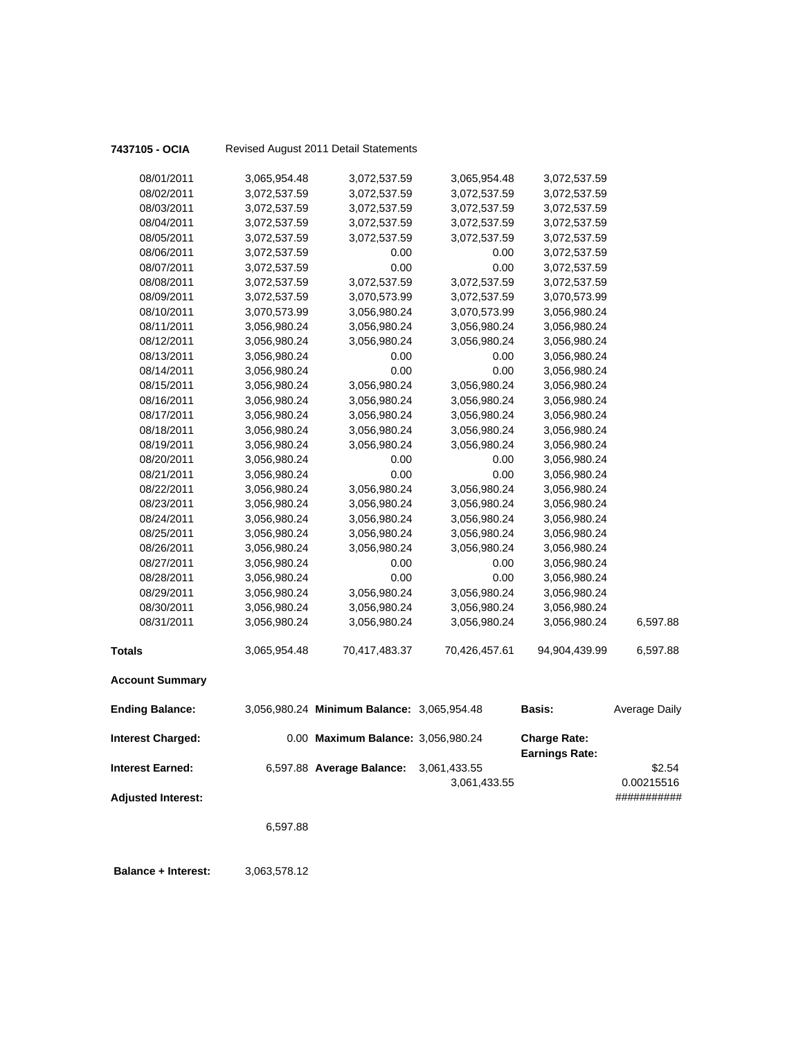| 7437105 - OCIA            |              | Revised August 2011 Detail Statements      |               |                                              |                           |
|---------------------------|--------------|--------------------------------------------|---------------|----------------------------------------------|---------------------------|
| 08/01/2011                | 3,065,954.48 | 3,072,537.59                               | 3,065,954.48  | 3,072,537.59                                 |                           |
| 08/02/2011                | 3,072,537.59 | 3,072,537.59                               | 3,072,537.59  | 3,072,537.59                                 |                           |
| 08/03/2011                | 3,072,537.59 | 3,072,537.59                               | 3,072,537.59  | 3,072,537.59                                 |                           |
| 08/04/2011                | 3,072,537.59 | 3,072,537.59                               | 3,072,537.59  | 3,072,537.59                                 |                           |
| 08/05/2011                | 3,072,537.59 | 3,072,537.59                               | 3,072,537.59  | 3,072,537.59                                 |                           |
| 08/06/2011                | 3,072,537.59 | 0.00                                       | 0.00          | 3,072,537.59                                 |                           |
| 08/07/2011                | 3,072,537.59 | 0.00                                       | 0.00          | 3,072,537.59                                 |                           |
| 08/08/2011                | 3,072,537.59 | 3,072,537.59                               | 3,072,537.59  | 3,072,537.59                                 |                           |
| 08/09/2011                | 3,072,537.59 | 3,070,573.99                               | 3,072,537.59  | 3,070,573.99                                 |                           |
| 08/10/2011                | 3,070,573.99 | 3,056,980.24                               | 3,070,573.99  | 3,056,980.24                                 |                           |
| 08/11/2011                | 3,056,980.24 | 3,056,980.24                               | 3,056,980.24  | 3,056,980.24                                 |                           |
| 08/12/2011                | 3,056,980.24 | 3,056,980.24                               | 3,056,980.24  | 3,056,980.24                                 |                           |
| 08/13/2011                | 3,056,980.24 | 0.00                                       | 0.00          | 3,056,980.24                                 |                           |
| 08/14/2011                | 3,056,980.24 | 0.00                                       | 0.00          | 3,056,980.24                                 |                           |
| 08/15/2011                | 3,056,980.24 | 3,056,980.24                               | 3,056,980.24  | 3,056,980.24                                 |                           |
| 08/16/2011                | 3,056,980.24 | 3,056,980.24                               | 3,056,980.24  | 3,056,980.24                                 |                           |
| 08/17/2011                | 3,056,980.24 | 3,056,980.24                               | 3,056,980.24  | 3,056,980.24                                 |                           |
| 08/18/2011                | 3,056,980.24 | 3,056,980.24                               | 3,056,980.24  | 3,056,980.24                                 |                           |
| 08/19/2011                | 3,056,980.24 | 3,056,980.24                               | 3,056,980.24  | 3,056,980.24                                 |                           |
| 08/20/2011                | 3,056,980.24 | 0.00                                       | 0.00          | 3,056,980.24                                 |                           |
| 08/21/2011                | 3,056,980.24 | 0.00                                       | 0.00          | 3,056,980.24                                 |                           |
| 08/22/2011                | 3,056,980.24 | 3,056,980.24                               | 3,056,980.24  | 3,056,980.24                                 |                           |
| 08/23/2011                | 3,056,980.24 | 3,056,980.24                               | 3,056,980.24  | 3,056,980.24                                 |                           |
| 08/24/2011                | 3,056,980.24 | 3,056,980.24                               | 3,056,980.24  | 3,056,980.24                                 |                           |
| 08/25/2011                | 3,056,980.24 | 3,056,980.24                               | 3,056,980.24  | 3,056,980.24                                 |                           |
| 08/26/2011                | 3,056,980.24 | 3,056,980.24                               | 3,056,980.24  | 3,056,980.24                                 |                           |
| 08/27/2011                | 3,056,980.24 | 0.00                                       | 0.00          | 3,056,980.24                                 |                           |
| 08/28/2011                | 3,056,980.24 | 0.00                                       | 0.00          | 3,056,980.24                                 |                           |
| 08/29/2011                | 3,056,980.24 | 3,056,980.24                               | 3,056,980.24  | 3,056,980.24                                 |                           |
| 08/30/2011                | 3,056,980.24 | 3,056,980.24                               | 3,056,980.24  | 3,056,980.24                                 |                           |
| 08/31/2011                | 3,056,980.24 | 3,056,980.24                               | 3,056,980.24  | 3,056,980.24                                 | 6,597.88                  |
| <b>Totals</b>             | 3,065,954.48 | 70,417,483.37                              | 70,426,457.61 | 94,904,439.99                                | 6,597.88                  |
| <b>Account Summary</b>    |              |                                            |               |                                              |                           |
| <b>Ending Balance:</b>    |              | 3,056,980.24 Minimum Balance: 3,065,954.48 |               | <b>Basis:</b>                                | <b>Average Daily</b>      |
| Interest Charged:         |              | 0.00 Maximum Balance: 3,056,980.24         |               | <b>Charge Rate:</b><br><b>Earnings Rate:</b> |                           |
| <b>Interest Earned:</b>   |              | 6,597.88 Average Balance:                  | 3,061,433.55  |                                              | \$2.54                    |
| <b>Adjusted Interest:</b> |              |                                            | 3,061,433.55  |                                              | 0.00215516<br>########### |
|                           |              |                                            |               |                                              |                           |
|                           | 6,597.88     |                                            |               |                                              |                           |
|                           |              |                                            |               |                                              |                           |

 **Balance + Interest:** 3,063,578.12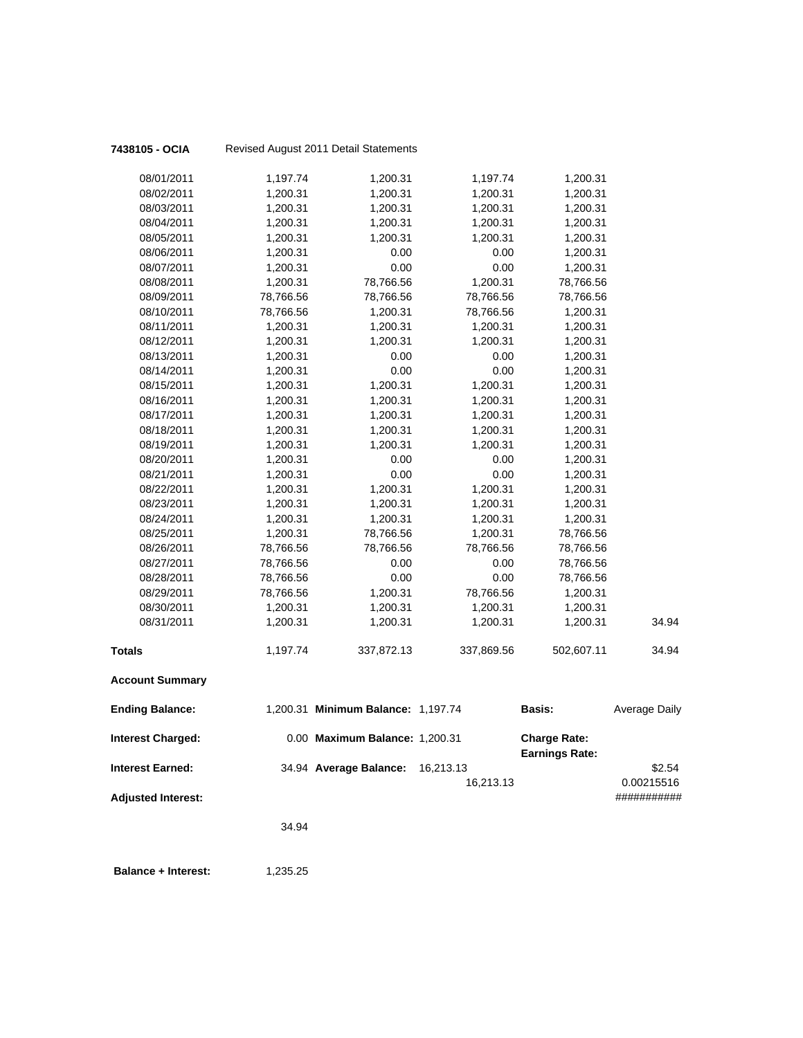| 7438105 - OCIA            |           | Revised August 2011 Detail Statements |            |                                              |                      |
|---------------------------|-----------|---------------------------------------|------------|----------------------------------------------|----------------------|
| 08/01/2011                | 1,197.74  | 1,200.31                              | 1,197.74   | 1,200.31                                     |                      |
| 08/02/2011                | 1,200.31  | 1,200.31                              | 1,200.31   | 1,200.31                                     |                      |
| 08/03/2011                | 1,200.31  | 1,200.31                              | 1,200.31   | 1,200.31                                     |                      |
| 08/04/2011                | 1,200.31  | 1,200.31                              | 1,200.31   | 1,200.31                                     |                      |
| 08/05/2011                | 1,200.31  | 1,200.31                              | 1,200.31   | 1,200.31                                     |                      |
| 08/06/2011                | 1,200.31  | 0.00                                  | 0.00       | 1,200.31                                     |                      |
| 08/07/2011                | 1,200.31  | 0.00                                  | 0.00       | 1,200.31                                     |                      |
| 08/08/2011                | 1,200.31  | 78,766.56                             | 1,200.31   | 78,766.56                                    |                      |
| 08/09/2011                | 78,766.56 | 78,766.56                             | 78,766.56  | 78,766.56                                    |                      |
| 08/10/2011                | 78,766.56 | 1,200.31                              | 78,766.56  | 1,200.31                                     |                      |
| 08/11/2011                | 1,200.31  | 1,200.31                              | 1,200.31   | 1,200.31                                     |                      |
| 08/12/2011                | 1,200.31  | 1,200.31                              | 1,200.31   | 1,200.31                                     |                      |
| 08/13/2011                | 1,200.31  | 0.00                                  | 0.00       | 1,200.31                                     |                      |
| 08/14/2011                | 1,200.31  | 0.00                                  | 0.00       | 1,200.31                                     |                      |
| 08/15/2011                | 1,200.31  | 1,200.31                              | 1,200.31   | 1,200.31                                     |                      |
| 08/16/2011                | 1,200.31  | 1,200.31                              | 1,200.31   | 1,200.31                                     |                      |
| 08/17/2011                | 1,200.31  | 1,200.31                              | 1,200.31   | 1,200.31                                     |                      |
| 08/18/2011                | 1,200.31  | 1,200.31                              | 1,200.31   | 1,200.31                                     |                      |
| 08/19/2011                | 1,200.31  | 1,200.31                              | 1,200.31   | 1,200.31                                     |                      |
| 08/20/2011                | 1,200.31  | 0.00                                  | 0.00       | 1,200.31                                     |                      |
| 08/21/2011                | 1,200.31  | 0.00                                  | 0.00       | 1,200.31                                     |                      |
| 08/22/2011                | 1,200.31  | 1,200.31                              | 1,200.31   | 1,200.31                                     |                      |
| 08/23/2011                | 1,200.31  | 1,200.31                              | 1,200.31   | 1,200.31                                     |                      |
| 08/24/2011                | 1,200.31  | 1,200.31                              | 1,200.31   | 1,200.31                                     |                      |
| 08/25/2011                | 1,200.31  | 78,766.56                             | 1,200.31   | 78,766.56                                    |                      |
| 08/26/2011                | 78,766.56 | 78,766.56                             | 78,766.56  | 78,766.56                                    |                      |
| 08/27/2011                | 78,766.56 | 0.00                                  | 0.00       | 78,766.56                                    |                      |
| 08/28/2011                | 78,766.56 | 0.00                                  | 0.00       | 78,766.56                                    |                      |
| 08/29/2011                | 78,766.56 | 1,200.31                              | 78,766.56  | 1,200.31                                     |                      |
| 08/30/2011                | 1,200.31  | 1,200.31                              | 1,200.31   | 1,200.31                                     |                      |
| 08/31/2011                | 1,200.31  | 1,200.31                              | 1,200.31   | 1,200.31                                     | 34.94                |
| Totals                    | 1,197.74  | 337,872.13                            | 337,869.56 | 502,607.11                                   | 34.94                |
| <b>Account Summary</b>    |           |                                       |            |                                              |                      |
| <b>Ending Balance:</b>    |           | 1,200.31 Minimum Balance: 1,197.74    |            | <b>Basis:</b>                                | <b>Average Daily</b> |
| <b>Interest Charged:</b>  |           | 0.00 Maximum Balance: 1,200.31        |            | <b>Charge Rate:</b><br><b>Earnings Rate:</b> |                      |
| <b>Interest Earned:</b>   |           | 34.94 Average Balance:                | 16,213.13  |                                              | \$2.54               |
|                           |           |                                       | 16,213.13  |                                              | 0.00215516           |
| <b>Adjusted Interest:</b> |           |                                       |            |                                              | ###########          |
|                           | 34.94     |                                       |            |                                              |                      |
|                           |           |                                       |            |                                              |                      |

**Balance + Interest:** 1,235.25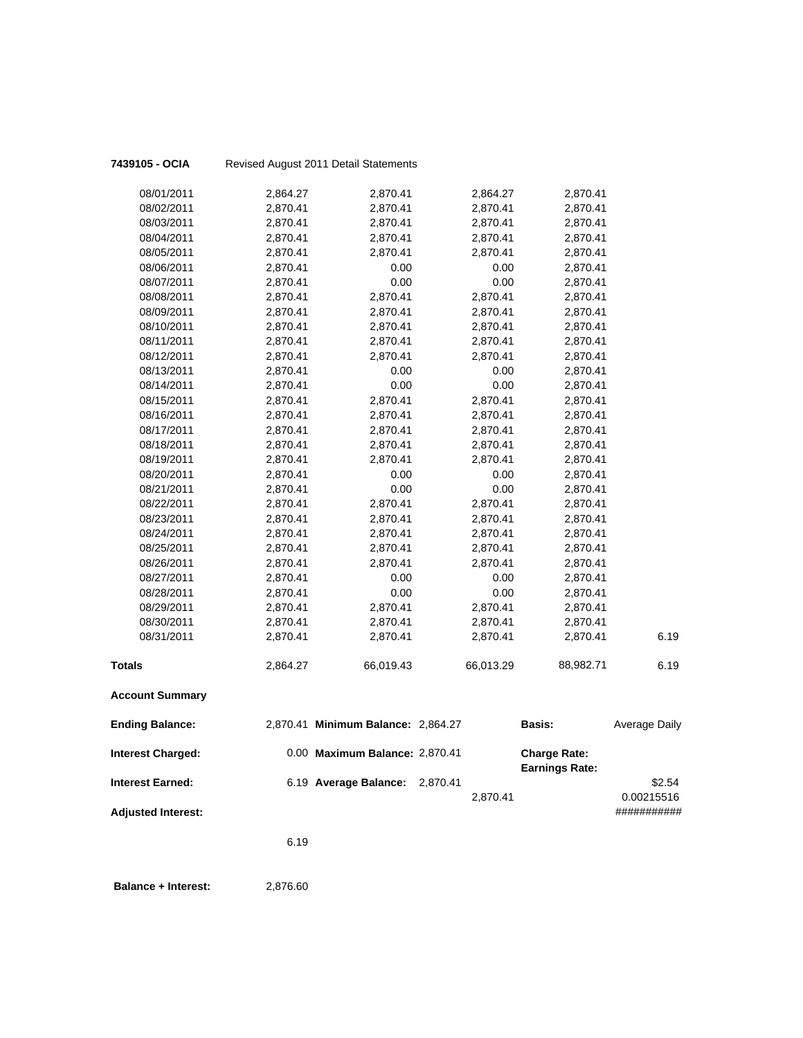| 7439105 - OCIA            |          | Revised August 2011 Detail Statements |           |                                              |                           |
|---------------------------|----------|---------------------------------------|-----------|----------------------------------------------|---------------------------|
| 08/01/2011                | 2,864.27 | 2,870.41                              | 2,864.27  | 2,870.41                                     |                           |
| 08/02/2011                | 2,870.41 | 2,870.41                              | 2,870.41  | 2,870.41                                     |                           |
| 08/03/2011                | 2,870.41 | 2,870.41                              | 2,870.41  | 2,870.41                                     |                           |
| 08/04/2011                | 2,870.41 | 2,870.41                              | 2,870.41  | 2,870.41                                     |                           |
| 08/05/2011                | 2,870.41 | 2,870.41                              | 2,870.41  | 2,870.41                                     |                           |
| 08/06/2011                | 2,870.41 | 0.00                                  | 0.00      | 2,870.41                                     |                           |
| 08/07/2011                | 2,870.41 | 0.00                                  | 0.00      | 2,870.41                                     |                           |
| 08/08/2011                | 2,870.41 | 2,870.41                              | 2,870.41  | 2,870.41                                     |                           |
| 08/09/2011                | 2,870.41 | 2,870.41                              | 2,870.41  | 2,870.41                                     |                           |
| 08/10/2011                | 2,870.41 | 2,870.41                              | 2,870.41  | 2,870.41                                     |                           |
| 08/11/2011                | 2,870.41 | 2,870.41                              | 2,870.41  | 2,870.41                                     |                           |
| 08/12/2011                | 2,870.41 | 2,870.41                              | 2,870.41  | 2,870.41                                     |                           |
| 08/13/2011                | 2,870.41 | 0.00                                  | 0.00      | 2,870.41                                     |                           |
| 08/14/2011                | 2,870.41 | 0.00                                  | 0.00      | 2,870.41                                     |                           |
| 08/15/2011                | 2,870.41 | 2,870.41                              | 2,870.41  | 2,870.41                                     |                           |
| 08/16/2011                | 2,870.41 | 2,870.41                              | 2,870.41  | 2,870.41                                     |                           |
| 08/17/2011                | 2,870.41 | 2,870.41                              | 2,870.41  | 2,870.41                                     |                           |
| 08/18/2011                | 2,870.41 | 2,870.41                              | 2,870.41  | 2,870.41                                     |                           |
| 08/19/2011                | 2,870.41 | 2,870.41                              | 2,870.41  | 2,870.41                                     |                           |
| 08/20/2011                | 2,870.41 | 0.00                                  | 0.00      | 2,870.41                                     |                           |
| 08/21/2011                | 2,870.41 | 0.00                                  | 0.00      | 2,870.41                                     |                           |
| 08/22/2011                | 2,870.41 | 2,870.41                              | 2,870.41  | 2,870.41                                     |                           |
| 08/23/2011                | 2,870.41 | 2,870.41                              | 2,870.41  | 2,870.41                                     |                           |
| 08/24/2011                | 2,870.41 | 2,870.41                              | 2,870.41  | 2,870.41                                     |                           |
| 08/25/2011                | 2,870.41 | 2,870.41                              | 2,870.41  | 2,870.41                                     |                           |
| 08/26/2011                | 2,870.41 | 2,870.41                              | 2,870.41  | 2,870.41                                     |                           |
| 08/27/2011                | 2,870.41 | 0.00                                  | 0.00      | 2,870.41                                     |                           |
| 08/28/2011                | 2,870.41 | 0.00                                  | 0.00      | 2,870.41                                     |                           |
| 08/29/2011                | 2,870.41 | 2,870.41                              | 2,870.41  | 2,870.41                                     |                           |
| 08/30/2011                | 2,870.41 | 2,870.41                              | 2,870.41  | 2,870.41                                     |                           |
| 08/31/2011                | 2,870.41 | 2,870.41                              | 2,870.41  | 2,870.41                                     | 6.19                      |
| <b>Totals</b>             | 2,864.27 | 66,019.43                             | 66,013.29 | 88,982.71                                    | 6.19                      |
| <b>Account Summary</b>    |          |                                       |           |                                              |                           |
| <b>Ending Balance:</b>    |          | 2,870.41 Minimum Balance: 2,864.27    |           | Basis:                                       | <b>Average Daily</b>      |
| <b>Interest Charged:</b>  |          | 0.00 Maximum Balance: 2,870.41        |           | <b>Charge Rate:</b><br><b>Earnings Rate:</b> |                           |
| <b>Interest Earned:</b>   |          | 6.19 Average Balance:                 | 2,870.41  |                                              | \$2.54                    |
| <b>Adjusted Interest:</b> |          |                                       | 2,870.41  |                                              | 0.00215516<br>########### |
|                           |          |                                       |           |                                              |                           |
|                           | 6.19     |                                       |           |                                              |                           |
|                           |          |                                       |           |                                              |                           |

**Balance + Interest:** 2,876.60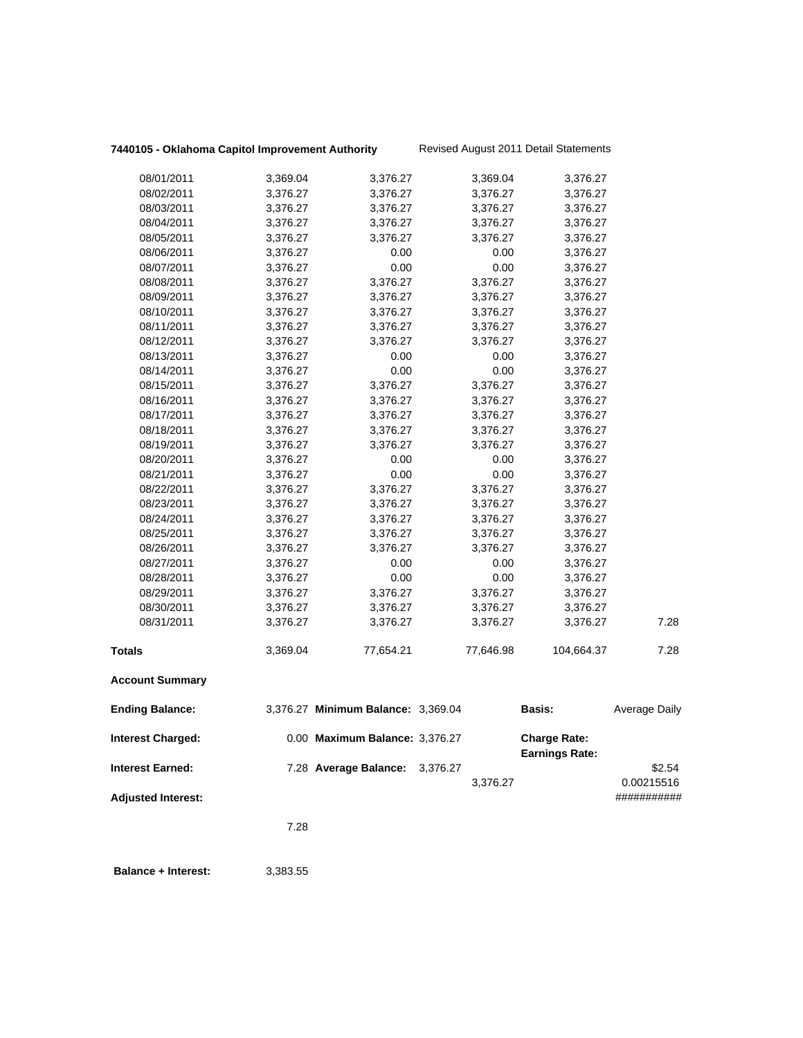# **7440105 - Oklahoma Capitol Improvement Authority** Revised August 2011 Detail Statements

|                                               | 7.28     |                                    |                      |                                              |                                     |
|-----------------------------------------------|----------|------------------------------------|----------------------|----------------------------------------------|-------------------------------------|
| Interest Earned:<br><b>Adjusted Interest:</b> |          | 7.28 Average Balance:              | 3,376.27<br>3,376.27 |                                              | \$2.54<br>0.00215516<br>########### |
| <b>Interest Charged:</b>                      |          | 0.00 Maximum Balance: 3,376.27     |                      | <b>Charge Rate:</b><br><b>Earnings Rate:</b> |                                     |
| <b>Ending Balance:</b>                        |          | 3,376.27 Minimum Balance: 3,369.04 |                      | Basis:                                       | Average Daily                       |
| <b>Account Summary</b>                        |          |                                    |                      |                                              |                                     |
| Totals                                        | 3,369.04 | 77,654.21                          | 77,646.98            | 104,664.37                                   | 7.28                                |
| 08/31/2011                                    | 3,376.27 | 3,376.27                           | 3,376.27             | 3,376.27                                     | 7.28                                |
| 08/30/2011                                    | 3,376.27 | 3,376.27                           | 3,376.27             | 3,376.27                                     |                                     |
| 08/29/2011                                    | 3,376.27 | 3,376.27                           | 3,376.27             | 3,376.27                                     |                                     |
| 08/28/2011                                    | 3,376.27 | 0.00                               | 0.00                 | 3,376.27                                     |                                     |
| 08/27/2011                                    | 3,376.27 | 0.00                               | 0.00                 | 3,376.27                                     |                                     |
| 08/26/2011                                    | 3,376.27 | 3,376.27                           | 3,376.27             | 3,376.27                                     |                                     |
| 08/25/2011                                    | 3,376.27 | 3,376.27                           | 3,376.27             | 3,376.27                                     |                                     |
| 08/24/2011                                    | 3,376.27 | 3,376.27                           | 3,376.27             | 3,376.27                                     |                                     |
| 08/23/2011                                    | 3,376.27 | 3,376.27                           | 3,376.27             | 3,376.27                                     |                                     |
| 08/22/2011                                    | 3,376.27 | 3,376.27                           | 3,376.27             | 3,376.27                                     |                                     |
| 08/21/2011                                    | 3,376.27 | 0.00                               | 0.00                 | 3,376.27                                     |                                     |
| 08/20/2011                                    | 3,376.27 | 0.00                               | 0.00                 | 3,376.27                                     |                                     |
| 08/19/2011                                    | 3,376.27 | 3,376.27                           | 3,376.27             | 3,376.27                                     |                                     |
| 08/18/2011                                    | 3,376.27 | 3,376.27                           | 3,376.27             | 3,376.27                                     |                                     |
| 08/17/2011                                    | 3,376.27 | 3,376.27                           | 3,376.27             | 3,376.27                                     |                                     |
| 08/16/2011                                    | 3,376.27 | 3,376.27                           | 3,376.27             | 3,376.27                                     |                                     |
| 08/15/2011                                    | 3,376.27 | 3,376.27                           | 3,376.27             | 3,376.27                                     |                                     |
| 08/14/2011                                    | 3,376.27 | 0.00                               | 0.00                 | 3,376.27                                     |                                     |
| 08/13/2011                                    | 3,376.27 | 0.00                               | 0.00                 | 3,376.27                                     |                                     |
| 08/12/2011                                    | 3,376.27 | 3,376.27                           | 3,376.27             | 3,376.27                                     |                                     |
| 08/11/2011                                    | 3,376.27 | 3,376.27                           | 3,376.27             | 3,376.27                                     |                                     |
| 08/10/2011                                    | 3,376.27 | 3,376.27                           | 3,376.27             | 3,376.27                                     |                                     |
| 08/09/2011                                    | 3,376.27 | 3,376.27                           | 3,376.27             | 3,376.27                                     |                                     |
| 08/08/2011                                    | 3,376.27 | 3,376.27                           | 3,376.27             | 3,376.27                                     |                                     |
| 08/07/2011                                    | 3,376.27 | 0.00                               | 0.00                 | 3,376.27                                     |                                     |
| 08/06/2011                                    | 3,376.27 | 0.00                               | 0.00                 | 3,376.27                                     |                                     |
| 08/05/2011                                    | 3,376.27 | 3,376.27                           | 3,376.27             | 3,376.27                                     |                                     |
| 08/04/2011                                    | 3,376.27 | 3,376.27                           | 3,376.27             | 3,376.27                                     |                                     |
| 08/03/2011                                    | 3,376.27 | 3,376.27                           | 3,376.27             | 3,376.27                                     |                                     |
| 08/02/2011                                    | 3,376.27 | 3,376.27                           | 3,376.27             | 3,376.27                                     |                                     |
| 08/01/2011                                    | 3,369.04 | 3,376.27                           | 3,369.04             | 3,376.27                                     |                                     |
|                                               |          |                                    |                      |                                              |                                     |

 **Balance + Interest:** 3,383.55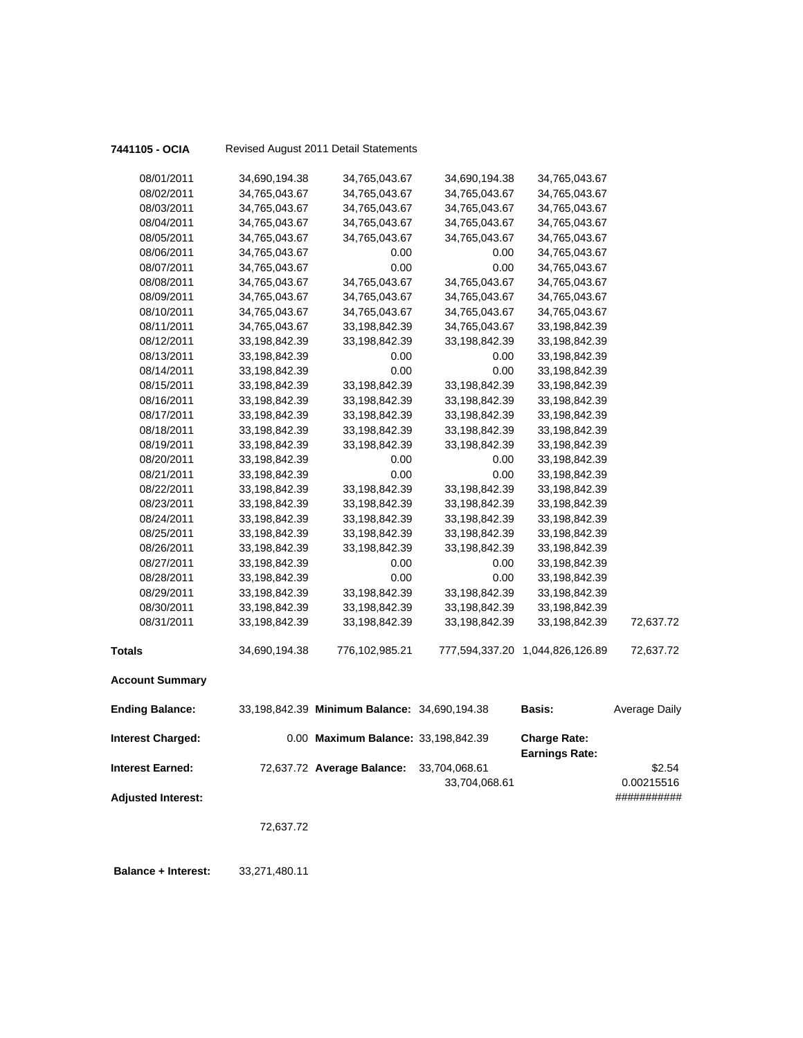| 7441105 - OCIA            |               | Revised August 2011 Detail Statements        |               |                                              |                           |
|---------------------------|---------------|----------------------------------------------|---------------|----------------------------------------------|---------------------------|
| 08/01/2011                | 34,690,194.38 | 34,765,043.67                                | 34,690,194.38 | 34,765,043.67                                |                           |
| 08/02/2011                | 34,765,043.67 | 34,765,043.67                                | 34,765,043.67 | 34,765,043.67                                |                           |
| 08/03/2011                | 34,765,043.67 | 34,765,043.67                                | 34,765,043.67 | 34,765,043.67                                |                           |
| 08/04/2011                | 34,765,043.67 | 34,765,043.67                                | 34,765,043.67 | 34,765,043.67                                |                           |
| 08/05/2011                | 34,765,043.67 | 34,765,043.67                                | 34,765,043.67 | 34,765,043.67                                |                           |
| 08/06/2011                | 34,765,043.67 | 0.00                                         | 0.00          | 34,765,043.67                                |                           |
| 08/07/2011                | 34,765,043.67 | 0.00                                         | 0.00          | 34,765,043.67                                |                           |
| 08/08/2011                | 34,765,043.67 | 34,765,043.67                                | 34,765,043.67 | 34,765,043.67                                |                           |
| 08/09/2011                | 34,765,043.67 | 34,765,043.67                                | 34,765,043.67 | 34,765,043.67                                |                           |
| 08/10/2011                | 34,765,043.67 | 34,765,043.67                                | 34,765,043.67 | 34,765,043.67                                |                           |
| 08/11/2011                | 34,765,043.67 | 33,198,842.39                                | 34,765,043.67 | 33,198,842.39                                |                           |
| 08/12/2011                | 33,198,842.39 | 33,198,842.39                                | 33,198,842.39 | 33,198,842.39                                |                           |
| 08/13/2011                | 33,198,842.39 | 0.00                                         | 0.00          | 33,198,842.39                                |                           |
| 08/14/2011                | 33,198,842.39 | 0.00                                         | 0.00          | 33,198,842.39                                |                           |
| 08/15/2011                | 33,198,842.39 | 33,198,842.39                                | 33,198,842.39 | 33,198,842.39                                |                           |
| 08/16/2011                | 33,198,842.39 | 33,198,842.39                                | 33,198,842.39 | 33,198,842.39                                |                           |
| 08/17/2011                | 33,198,842.39 | 33,198,842.39                                | 33,198,842.39 | 33,198,842.39                                |                           |
| 08/18/2011                | 33,198,842.39 | 33,198,842.39                                | 33,198,842.39 | 33,198,842.39                                |                           |
| 08/19/2011                | 33,198,842.39 | 33,198,842.39                                | 33,198,842.39 | 33,198,842.39                                |                           |
| 08/20/2011                | 33,198,842.39 | 0.00                                         | 0.00          | 33,198,842.39                                |                           |
| 08/21/2011                | 33,198,842.39 | 0.00                                         | 0.00          | 33,198,842.39                                |                           |
| 08/22/2011                | 33,198,842.39 | 33,198,842.39                                | 33,198,842.39 | 33,198,842.39                                |                           |
| 08/23/2011                | 33,198,842.39 | 33,198,842.39                                | 33,198,842.39 | 33,198,842.39                                |                           |
| 08/24/2011                | 33,198,842.39 | 33,198,842.39                                | 33,198,842.39 | 33,198,842.39                                |                           |
| 08/25/2011                | 33,198,842.39 | 33,198,842.39                                | 33,198,842.39 | 33,198,842.39                                |                           |
| 08/26/2011                | 33,198,842.39 | 33,198,842.39                                | 33,198,842.39 | 33,198,842.39                                |                           |
| 08/27/2011                | 33,198,842.39 | 0.00                                         | 0.00          | 33,198,842.39                                |                           |
| 08/28/2011                | 33,198,842.39 | 0.00                                         | 0.00          | 33,198,842.39                                |                           |
| 08/29/2011                | 33,198,842.39 | 33,198,842.39                                | 33,198,842.39 | 33,198,842.39                                |                           |
| 08/30/2011                | 33,198,842.39 | 33,198,842.39                                | 33,198,842.39 | 33,198,842.39                                |                           |
| 08/31/2011                | 33,198,842.39 | 33,198,842.39                                | 33,198,842.39 | 33,198,842.39                                | 72,637.72                 |
| <b>Totals</b>             | 34,690,194.38 | 776,102,985.21                               |               | 777,594,337.20 1,044,826,126.89              | 72,637.72                 |
| <b>Account Summary</b>    |               |                                              |               |                                              |                           |
| <b>Ending Balance:</b>    |               | 33,198,842.39 Minimum Balance: 34,690,194.38 |               | <b>Basis:</b>                                | <b>Average Daily</b>      |
| <b>Interest Charged:</b>  |               | 0.00 Maximum Balance: 33,198,842.39          |               | <b>Charge Rate:</b><br><b>Earnings Rate:</b> |                           |
| <b>Interest Earned:</b>   |               | 72,637.72 Average Balance:                   | 33,704,068.61 |                                              | \$2.54                    |
| <b>Adjusted Interest:</b> |               |                                              | 33,704,068.61 |                                              | 0.00215516<br>########### |
|                           |               |                                              |               |                                              |                           |
|                           | 72,637.72     |                                              |               |                                              |                           |
|                           |               |                                              |               |                                              |                           |
|                           |               |                                              |               |                                              |                           |

 **Balance + Interest:** 33,271,480.11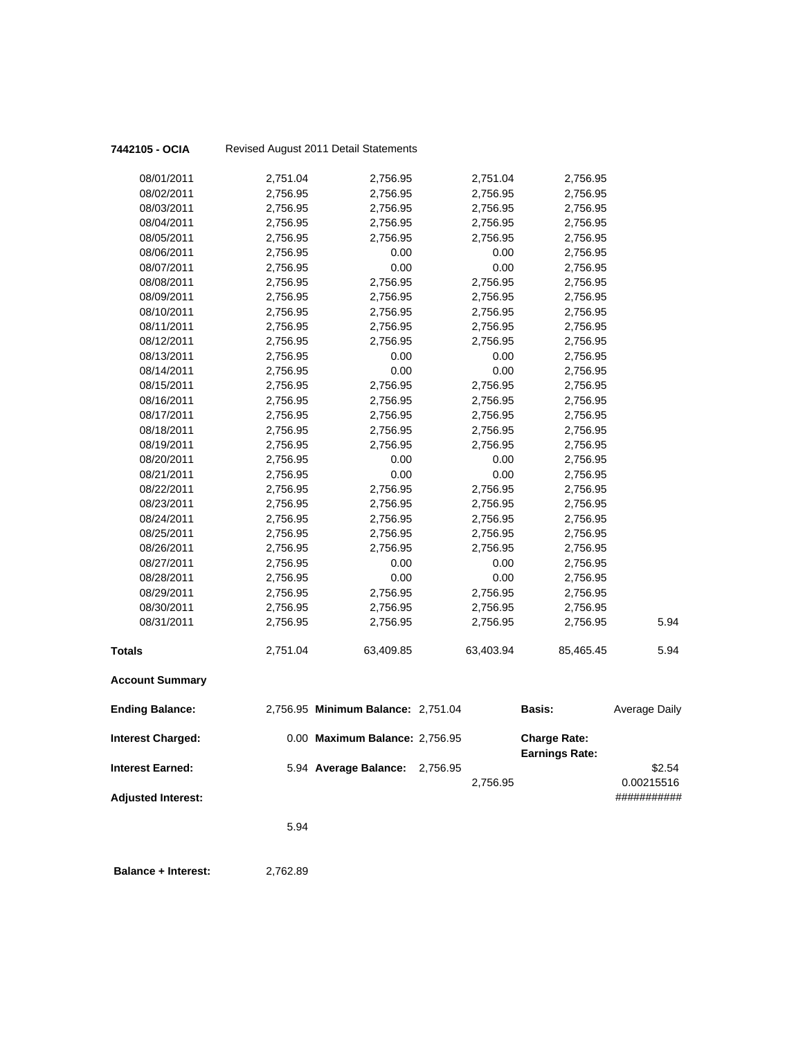|                           |          | No nood August Zo FF Boldin Oldionionio |           |                                              |               |
|---------------------------|----------|-----------------------------------------|-----------|----------------------------------------------|---------------|
| 08/01/2011                | 2,751.04 | 2,756.95                                | 2,751.04  | 2,756.95                                     |               |
| 08/02/2011                | 2,756.95 | 2,756.95                                | 2,756.95  | 2,756.95                                     |               |
| 08/03/2011                | 2,756.95 | 2,756.95                                | 2,756.95  | 2,756.95                                     |               |
| 08/04/2011                | 2,756.95 | 2,756.95                                | 2,756.95  | 2,756.95                                     |               |
| 08/05/2011                | 2,756.95 | 2,756.95                                | 2,756.95  | 2,756.95                                     |               |
| 08/06/2011                | 2,756.95 | 0.00                                    | 0.00      | 2,756.95                                     |               |
| 08/07/2011                | 2,756.95 | 0.00                                    | 0.00      | 2,756.95                                     |               |
| 08/08/2011                | 2,756.95 | 2,756.95                                | 2,756.95  | 2,756.95                                     |               |
| 08/09/2011                | 2,756.95 | 2,756.95                                | 2,756.95  | 2,756.95                                     |               |
| 08/10/2011                | 2,756.95 | 2,756.95                                | 2,756.95  | 2,756.95                                     |               |
| 08/11/2011                | 2,756.95 | 2,756.95                                | 2,756.95  | 2,756.95                                     |               |
| 08/12/2011                | 2,756.95 | 2,756.95                                | 2,756.95  | 2,756.95                                     |               |
| 08/13/2011                | 2,756.95 | 0.00                                    | 0.00      | 2,756.95                                     |               |
| 08/14/2011                | 2,756.95 | 0.00                                    | 0.00      | 2,756.95                                     |               |
| 08/15/2011                | 2,756.95 | 2,756.95                                | 2,756.95  | 2,756.95                                     |               |
| 08/16/2011                | 2,756.95 | 2,756.95                                | 2,756.95  | 2,756.95                                     |               |
| 08/17/2011                | 2,756.95 | 2,756.95                                | 2,756.95  | 2,756.95                                     |               |
| 08/18/2011                | 2,756.95 | 2,756.95                                | 2,756.95  | 2,756.95                                     |               |
| 08/19/2011                | 2,756.95 | 2,756.95                                | 2,756.95  | 2,756.95                                     |               |
| 08/20/2011                | 2,756.95 | 0.00                                    | 0.00      | 2,756.95                                     |               |
| 08/21/2011                | 2,756.95 | 0.00                                    | 0.00      | 2,756.95                                     |               |
| 08/22/2011                | 2,756.95 | 2,756.95                                | 2,756.95  | 2,756.95                                     |               |
| 08/23/2011                | 2,756.95 | 2,756.95                                | 2,756.95  | 2,756.95                                     |               |
| 08/24/2011                | 2,756.95 | 2,756.95                                | 2,756.95  | 2,756.95                                     |               |
| 08/25/2011                | 2,756.95 | 2,756.95                                | 2,756.95  | 2,756.95                                     |               |
| 08/26/2011                | 2,756.95 | 2,756.95                                | 2,756.95  | 2,756.95                                     |               |
| 08/27/2011                | 2,756.95 | 0.00                                    | 0.00      | 2,756.95                                     |               |
| 08/28/2011                | 2,756.95 | 0.00                                    | 0.00      | 2,756.95                                     |               |
| 08/29/2011                | 2,756.95 | 2,756.95                                | 2,756.95  | 2,756.95                                     |               |
| 08/30/2011                | 2,756.95 | 2,756.95                                | 2,756.95  | 2,756.95                                     |               |
| 08/31/2011                | 2,756.95 | 2,756.95                                | 2,756.95  | 2,756.95                                     | 5.94          |
| Totals                    | 2,751.04 | 63,409.85                               | 63,403.94 | 85,465.45                                    | 5.94          |
| <b>Account Summary</b>    |          |                                         |           |                                              |               |
| <b>Ending Balance:</b>    |          | 2,756.95 Minimum Balance: 2,751.04      |           | <b>Basis:</b>                                | Average Daily |
| Interest Charged:         |          | 0.00 Maximum Balance: 2,756.95          |           | <b>Charge Rate:</b><br><b>Earnings Rate:</b> |               |
| <b>Interest Earned:</b>   |          | 5.94 Average Balance: 2,756.95          |           |                                              | \$2.54        |
|                           |          |                                         | 2,756.95  |                                              | 0.00215516    |
| <b>Adjusted Interest:</b> |          |                                         |           |                                              | ###########   |
|                           | 5.94     |                                         |           |                                              |               |
|                           |          |                                         |           |                                              |               |
|                           |          |                                         |           |                                              |               |

 **Balance + Interest:** 2,762.89

# **7442105 - OCIA** Revised August 2011 Detail Statements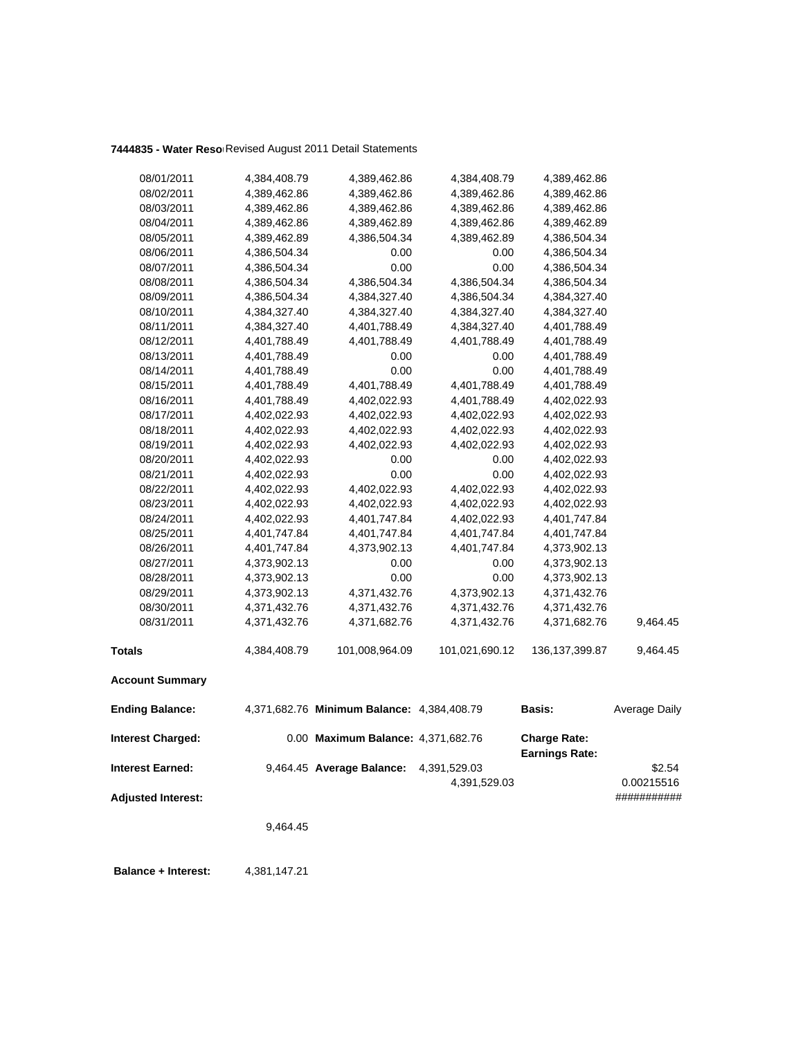| 08/01/2011                | 4,384,408.79 | 4,389,462.86                               | 4,384,408.79   | 4,389,462.86                                 |                      |
|---------------------------|--------------|--------------------------------------------|----------------|----------------------------------------------|----------------------|
| 08/02/2011                | 4,389,462.86 | 4,389,462.86                               | 4,389,462.86   | 4,389,462.86                                 |                      |
| 08/03/2011                | 4,389,462.86 | 4,389,462.86                               | 4,389,462.86   | 4,389,462.86                                 |                      |
| 08/04/2011                | 4,389,462.86 | 4,389,462.89                               | 4,389,462.86   | 4,389,462.89                                 |                      |
| 08/05/2011                | 4,389,462.89 | 4,386,504.34                               | 4,389,462.89   | 4,386,504.34                                 |                      |
| 08/06/2011                | 4,386,504.34 | 0.00                                       | 0.00           | 4,386,504.34                                 |                      |
| 08/07/2011                | 4,386,504.34 | 0.00                                       | 0.00           | 4,386,504.34                                 |                      |
| 08/08/2011                | 4,386,504.34 | 4,386,504.34                               | 4,386,504.34   | 4,386,504.34                                 |                      |
| 08/09/2011                | 4,386,504.34 | 4,384,327.40                               | 4,386,504.34   | 4,384,327.40                                 |                      |
| 08/10/2011                | 4,384,327.40 | 4,384,327.40                               | 4,384,327.40   | 4,384,327.40                                 |                      |
| 08/11/2011                | 4,384,327.40 | 4,401,788.49                               | 4,384,327.40   | 4,401,788.49                                 |                      |
| 08/12/2011                | 4,401,788.49 | 4,401,788.49                               | 4,401,788.49   | 4,401,788.49                                 |                      |
| 08/13/2011                | 4,401,788.49 | 0.00                                       | 0.00           | 4,401,788.49                                 |                      |
| 08/14/2011                | 4,401,788.49 | 0.00                                       | 0.00           | 4,401,788.49                                 |                      |
| 08/15/2011                | 4,401,788.49 | 4,401,788.49                               | 4,401,788.49   | 4,401,788.49                                 |                      |
| 08/16/2011                | 4,401,788.49 | 4,402,022.93                               | 4,401,788.49   | 4,402,022.93                                 |                      |
| 08/17/2011                | 4,402,022.93 | 4,402,022.93                               | 4,402,022.93   | 4,402,022.93                                 |                      |
| 08/18/2011                | 4,402,022.93 | 4,402,022.93                               | 4,402,022.93   | 4,402,022.93                                 |                      |
| 08/19/2011                | 4,402,022.93 | 4,402,022.93                               | 4,402,022.93   | 4,402,022.93                                 |                      |
| 08/20/2011                | 4,402,022.93 | 0.00                                       | 0.00           | 4,402,022.93                                 |                      |
| 08/21/2011                | 4,402,022.93 | 0.00                                       | 0.00           | 4,402,022.93                                 |                      |
| 08/22/2011                | 4,402,022.93 | 4,402,022.93                               | 4,402,022.93   | 4,402,022.93                                 |                      |
| 08/23/2011                | 4,402,022.93 | 4,402,022.93                               | 4,402,022.93   | 4,402,022.93                                 |                      |
| 08/24/2011                | 4,402,022.93 | 4,401,747.84                               | 4,402,022.93   | 4,401,747.84                                 |                      |
| 08/25/2011                | 4,401,747.84 | 4,401,747.84                               | 4,401,747.84   | 4,401,747.84                                 |                      |
| 08/26/2011                | 4,401,747.84 | 4,373,902.13                               | 4,401,747.84   | 4,373,902.13                                 |                      |
| 08/27/2011                | 4,373,902.13 | 0.00                                       | 0.00           | 4,373,902.13                                 |                      |
| 08/28/2011                | 4,373,902.13 | 0.00                                       | 0.00           | 4,373,902.13                                 |                      |
| 08/29/2011                | 4,373,902.13 | 4,371,432.76                               | 4,373,902.13   | 4,371,432.76                                 |                      |
| 08/30/2011                | 4,371,432.76 | 4,371,432.76                               | 4,371,432.76   | 4,371,432.76                                 |                      |
| 08/31/2011                | 4,371,432.76 | 4,371,682.76                               | 4,371,432.76   | 4,371,682.76                                 | 9,464.45             |
| <b>Totals</b>             | 4,384,408.79 | 101,008,964.09                             | 101,021,690.12 | 136, 137, 399.87                             | 9,464.45             |
| <b>Account Summary</b>    |              |                                            |                |                                              |                      |
| <b>Ending Balance:</b>    |              | 4,371,682.76 Minimum Balance: 4,384,408.79 |                | <b>Basis:</b>                                | <b>Average Daily</b> |
| <b>Interest Charged:</b>  |              | 0.00 Maximum Balance: 4,371,682.76         |                | <b>Charge Rate:</b><br><b>Earnings Rate:</b> |                      |
| <b>Interest Earned:</b>   |              | 9,464.45 Average Balance:                  | 4,391,529.03   |                                              | \$2.54               |
|                           |              |                                            | 4,391,529.03   |                                              | 0.00215516           |
| <b>Adjusted Interest:</b> |              |                                            |                |                                              | ###########          |
|                           | 9,464.45     |                                            |                |                                              |                      |
|                           |              |                                            |                |                                              |                      |

 **Balance + Interest:** 4,381,147.21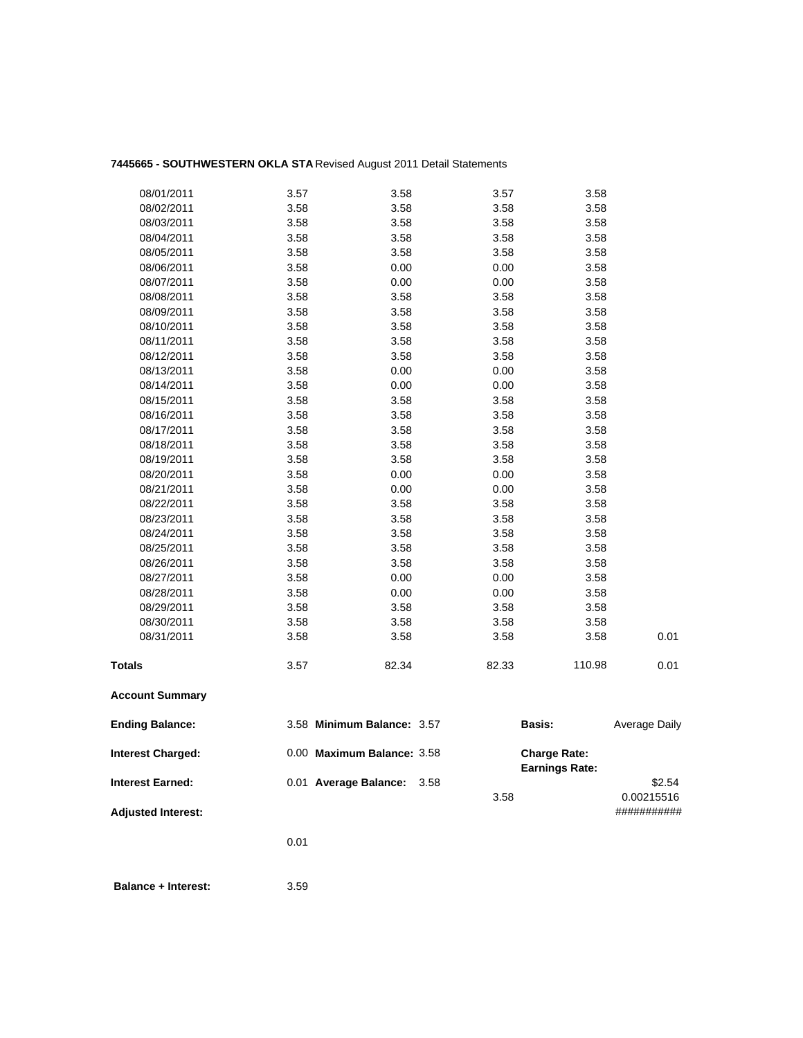# **7445665 - SOUTHWESTERN OKLA STA** Revised August 2011 Detail Statements

| <b>Adjusted Interest:</b> |      |                            |      | 3.58  |                                              | 0.00215516<br>########### |
|---------------------------|------|----------------------------|------|-------|----------------------------------------------|---------------------------|
| <b>Interest Earned:</b>   |      | 0.01 Average Balance:      | 3.58 |       |                                              | \$2.54                    |
| <b>Interest Charged:</b>  |      | 0.00 Maximum Balance: 3.58 |      |       | <b>Charge Rate:</b><br><b>Earnings Rate:</b> |                           |
| <b>Ending Balance:</b>    |      | 3.58 Minimum Balance: 3.57 |      |       | Basis:                                       | Average Daily             |
| <b>Account Summary</b>    |      |                            |      |       |                                              |                           |
| <b>Totals</b>             | 3.57 | 82.34                      |      | 82.33 | 110.98                                       | 0.01                      |
| 08/31/2011                | 3.58 | 3.58                       |      | 3.58  | 3.58                                         | 0.01                      |
| 08/30/2011                | 3.58 | 3.58                       |      | 3.58  | 3.58                                         |                           |
| 08/29/2011                | 3.58 | 3.58                       |      | 3.58  | 3.58                                         |                           |
| 08/28/2011                | 3.58 | 0.00                       |      | 0.00  | 3.58                                         |                           |
| 08/27/2011                | 3.58 | 0.00                       |      | 0.00  | 3.58                                         |                           |
| 08/26/2011                | 3.58 | 3.58                       |      | 3.58  | 3.58                                         |                           |
| 08/25/2011                | 3.58 | 3.58                       |      | 3.58  | 3.58                                         |                           |
| 08/24/2011                | 3.58 | 3.58                       |      | 3.58  | 3.58                                         |                           |
| 08/23/2011                | 3.58 | 3.58                       |      | 3.58  | 3.58                                         |                           |
| 08/22/2011                | 3.58 | 3.58                       |      | 3.58  | 3.58                                         |                           |
| 08/21/2011                | 3.58 | 0.00                       |      | 0.00  | 3.58                                         |                           |
| 08/20/2011                | 3.58 | 0.00                       |      | 0.00  | 3.58                                         |                           |
| 08/19/2011                | 3.58 | 3.58                       |      | 3.58  | 3.58                                         |                           |
| 08/18/2011                | 3.58 | 3.58                       |      | 3.58  | 3.58                                         |                           |
| 08/17/2011                | 3.58 | 3.58                       |      | 3.58  | 3.58                                         |                           |
| 08/16/2011                | 3.58 | 3.58                       |      | 3.58  | 3.58                                         |                           |
| 08/15/2011                | 3.58 | 3.58                       |      | 3.58  | 3.58                                         |                           |
| 08/14/2011                | 3.58 | 0.00                       |      | 0.00  | 3.58                                         |                           |
| 08/13/2011                | 3.58 | 0.00                       |      | 0.00  | 3.58                                         |                           |
| 08/12/2011                | 3.58 | 3.58                       |      | 3.58  | 3.58                                         |                           |
| 08/11/2011                | 3.58 | 3.58                       |      | 3.58  | 3.58                                         |                           |
| 08/10/2011                | 3.58 | 3.58                       |      | 3.58  | 3.58                                         |                           |
| 08/09/2011                | 3.58 | 3.58                       |      | 3.58  | 3.58                                         |                           |
| 08/08/2011                | 3.58 | 3.58                       |      | 3.58  | 3.58                                         |                           |
| 08/07/2011                | 3.58 | 0.00                       |      | 0.00  | 3.58                                         |                           |
| 08/06/2011                | 3.58 | 0.00                       |      | 0.00  | 3.58                                         |                           |
| 08/05/2011                | 3.58 | 3.58                       |      | 3.58  | 3.58                                         |                           |
| 08/04/2011                | 3.58 | 3.58                       |      | 3.58  | 3.58                                         |                           |
| 08/03/2011                | 3.58 | 3.58                       |      | 3.58  | 3.58                                         |                           |
| 08/02/2011                | 3.58 | 3.58                       |      | 3.58  | 3.58                                         |                           |
| 08/01/2011                | 3.57 | 3.58                       |      | 3.57  | 3.58                                         |                           |

0.01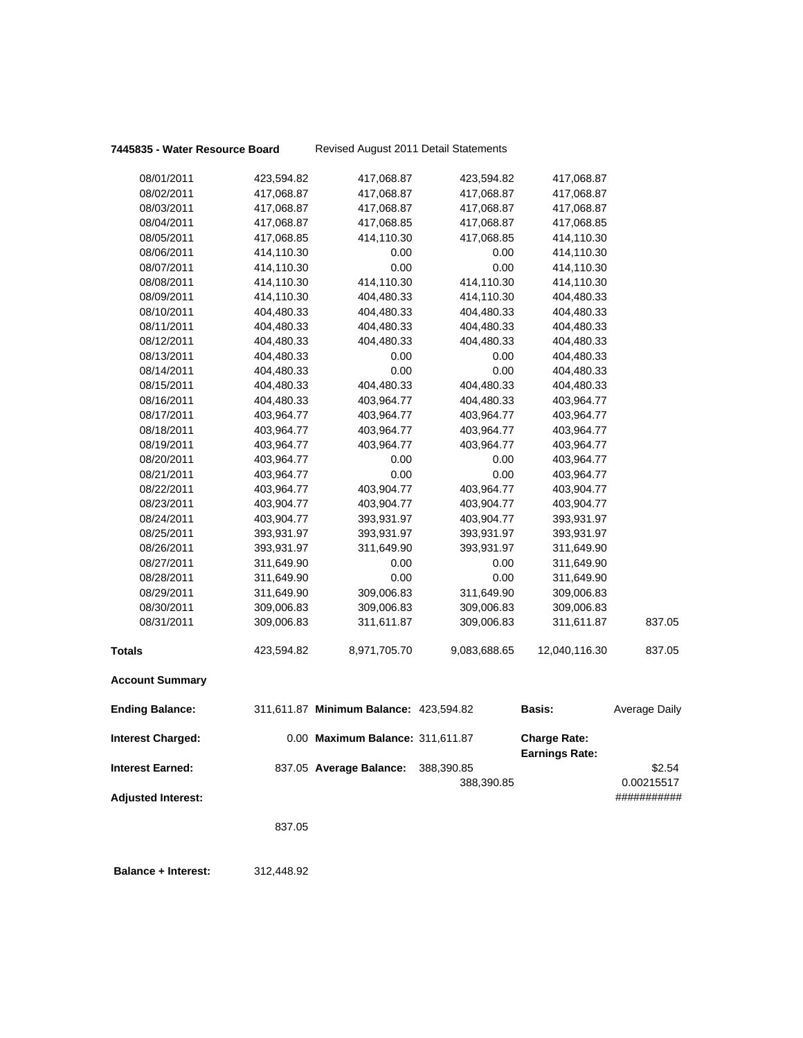| 08/01/2011                | 423,594.82 | 417,068.87                             | 423,594.82   | 417,068.87                                   |                      |
|---------------------------|------------|----------------------------------------|--------------|----------------------------------------------|----------------------|
| 08/02/2011                | 417,068.87 | 417,068.87                             | 417,068.87   | 417,068.87                                   |                      |
| 08/03/2011                | 417,068.87 | 417,068.87                             | 417,068.87   | 417,068.87                                   |                      |
| 08/04/2011                | 417,068.87 | 417,068.85                             | 417,068.87   | 417,068.85                                   |                      |
| 08/05/2011                | 417,068.85 | 414,110.30                             | 417,068.85   | 414,110.30                                   |                      |
| 08/06/2011                | 414,110.30 | 0.00                                   | 0.00         | 414,110.30                                   |                      |
| 08/07/2011                | 414,110.30 | 0.00                                   | 0.00         | 414,110.30                                   |                      |
| 08/08/2011                | 414,110.30 | 414,110.30                             | 414,110.30   | 414,110.30                                   |                      |
| 08/09/2011                | 414,110.30 | 404,480.33                             | 414,110.30   | 404,480.33                                   |                      |
| 08/10/2011                | 404,480.33 | 404,480.33                             | 404,480.33   | 404,480.33                                   |                      |
| 08/11/2011                | 404,480.33 | 404,480.33                             | 404,480.33   | 404,480.33                                   |                      |
| 08/12/2011                | 404,480.33 | 404,480.33                             | 404,480.33   | 404,480.33                                   |                      |
| 08/13/2011                | 404,480.33 | 0.00                                   | 0.00         | 404,480.33                                   |                      |
| 08/14/2011                | 404,480.33 | 0.00                                   | 0.00         | 404,480.33                                   |                      |
| 08/15/2011                | 404,480.33 | 404,480.33                             | 404,480.33   | 404,480.33                                   |                      |
| 08/16/2011                | 404,480.33 | 403,964.77                             | 404,480.33   | 403,964.77                                   |                      |
| 08/17/2011                | 403,964.77 | 403,964.77                             | 403,964.77   | 403,964.77                                   |                      |
| 08/18/2011                | 403,964.77 | 403,964.77                             | 403,964.77   | 403,964.77                                   |                      |
| 08/19/2011                | 403,964.77 | 403,964.77                             | 403,964.77   | 403,964.77                                   |                      |
| 08/20/2011                | 403,964.77 | 0.00                                   | 0.00         | 403,964.77                                   |                      |
| 08/21/2011                | 403,964.77 | 0.00                                   | 0.00         | 403,964.77                                   |                      |
| 08/22/2011                | 403,964.77 | 403,904.77                             | 403,964.77   | 403,904.77                                   |                      |
| 08/23/2011                | 403,904.77 | 403,904.77                             | 403,904.77   | 403,904.77                                   |                      |
| 08/24/2011                | 403,904.77 | 393,931.97                             | 403,904.77   | 393,931.97                                   |                      |
| 08/25/2011                | 393,931.97 | 393,931.97                             | 393,931.97   | 393,931.97                                   |                      |
| 08/26/2011                | 393,931.97 | 311,649.90                             | 393,931.97   | 311,649.90                                   |                      |
| 08/27/2011                | 311,649.90 | 0.00                                   | 0.00         | 311,649.90                                   |                      |
| 08/28/2011                | 311,649.90 | 0.00                                   | 0.00         | 311,649.90                                   |                      |
| 08/29/2011                | 311,649.90 | 309,006.83                             | 311,649.90   | 309,006.83                                   |                      |
| 08/30/2011                | 309,006.83 | 309,006.83                             | 309,006.83   | 309,006.83                                   |                      |
| 08/31/2011                | 309,006.83 | 311,611.87                             | 309,006.83   | 311,611.87                                   | 837.05               |
| <b>Totals</b>             | 423,594.82 | 8,971,705.70                           | 9,083,688.65 | 12,040,116.30                                | 837.05               |
| <b>Account Summary</b>    |            |                                        |              |                                              |                      |
| <b>Ending Balance:</b>    |            | 311,611.87 Minimum Balance: 423,594.82 |              | <b>Basis:</b>                                | <b>Average Daily</b> |
| <b>Interest Charged:</b>  |            | 0.00 Maximum Balance: 311,611.87       |              | <b>Charge Rate:</b><br><b>Earnings Rate:</b> |                      |
| <b>Interest Earned:</b>   |            | 837.05 Average Balance:                | 388,390.85   |                                              | \$2.54               |
|                           |            |                                        | 388,390.85   |                                              | 0.00215517           |
| <b>Adjusted Interest:</b> |            |                                        |              |                                              | ###########          |
|                           | 837.05     |                                        |              |                                              |                      |
|                           |            |                                        |              |                                              |                      |

 **Balance + Interest:** 312,448.92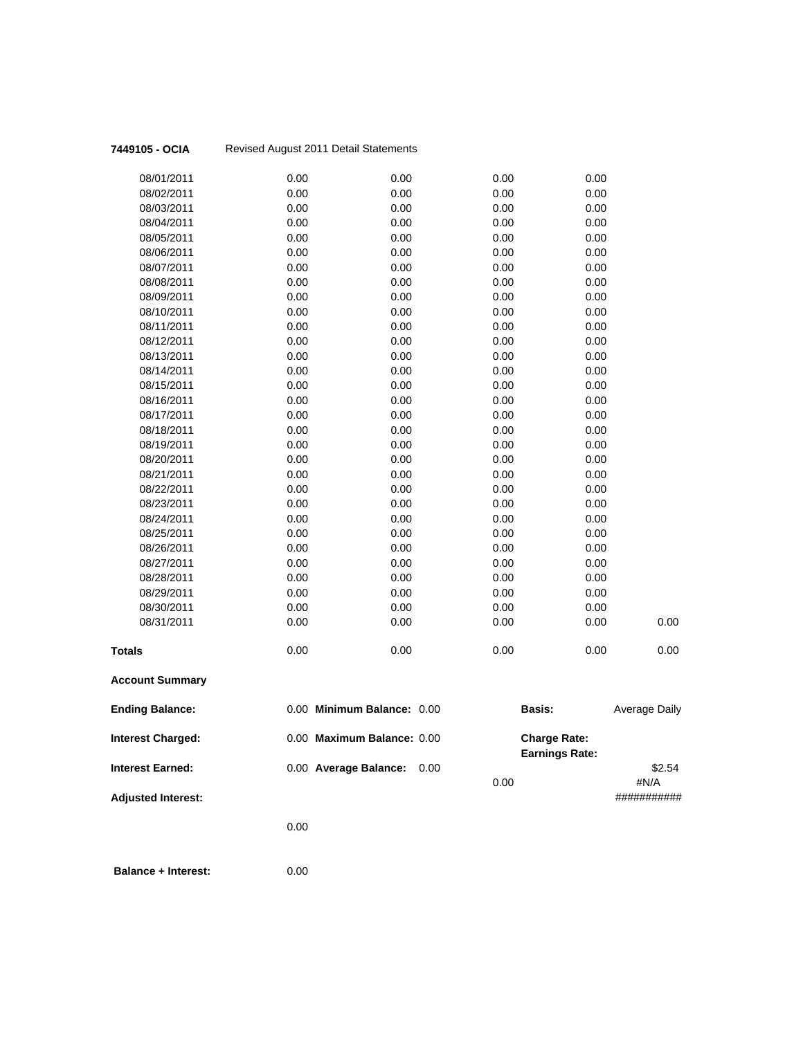| 7449105 - OCIA            |      | Revised August 2011 Detail Statements |              |                                              |                      |
|---------------------------|------|---------------------------------------|--------------|----------------------------------------------|----------------------|
| 08/01/2011                | 0.00 | 0.00                                  | 0.00         | 0.00                                         |                      |
| 08/02/2011                | 0.00 | 0.00                                  | 0.00         | 0.00                                         |                      |
| 08/03/2011                | 0.00 | 0.00                                  | 0.00         | 0.00                                         |                      |
| 08/04/2011                | 0.00 | 0.00                                  | 0.00         | 0.00                                         |                      |
| 08/05/2011                | 0.00 | 0.00                                  | 0.00         | 0.00                                         |                      |
| 08/06/2011                | 0.00 | 0.00                                  | 0.00         | 0.00                                         |                      |
| 08/07/2011                | 0.00 | 0.00                                  | 0.00         | 0.00                                         |                      |
| 08/08/2011                | 0.00 | 0.00                                  | 0.00         | 0.00                                         |                      |
| 08/09/2011                | 0.00 | 0.00                                  | 0.00         | 0.00                                         |                      |
| 08/10/2011                | 0.00 | 0.00                                  | 0.00         | 0.00                                         |                      |
| 08/11/2011                | 0.00 | 0.00                                  | 0.00         | 0.00                                         |                      |
| 08/12/2011                | 0.00 | 0.00                                  | 0.00         | 0.00                                         |                      |
| 08/13/2011                | 0.00 | 0.00                                  | 0.00         | 0.00                                         |                      |
| 08/14/2011                | 0.00 | 0.00                                  | 0.00         | 0.00                                         |                      |
| 08/15/2011                | 0.00 | 0.00                                  | 0.00         | 0.00                                         |                      |
| 08/16/2011                | 0.00 | 0.00                                  | 0.00         | 0.00                                         |                      |
| 08/17/2011                | 0.00 | 0.00                                  | 0.00         | 0.00                                         |                      |
| 08/18/2011                | 0.00 | 0.00                                  | 0.00         | 0.00                                         |                      |
| 08/19/2011                | 0.00 | 0.00                                  | 0.00         | 0.00                                         |                      |
| 08/20/2011                | 0.00 | 0.00                                  | 0.00         | 0.00                                         |                      |
| 08/21/2011                | 0.00 | 0.00                                  | 0.00         | 0.00                                         |                      |
| 08/22/2011                | 0.00 | 0.00                                  | 0.00         | 0.00                                         |                      |
| 08/23/2011                | 0.00 | 0.00                                  | 0.00         | 0.00                                         |                      |
| 08/24/2011                | 0.00 | 0.00                                  | 0.00         | 0.00                                         |                      |
| 08/25/2011                | 0.00 | 0.00                                  | 0.00         | 0.00                                         |                      |
| 08/26/2011                | 0.00 | 0.00                                  | 0.00         | 0.00                                         |                      |
| 08/27/2011                | 0.00 | 0.00                                  | 0.00         | 0.00                                         |                      |
| 08/28/2011                | 0.00 | 0.00                                  | 0.00         | 0.00                                         |                      |
| 08/29/2011                | 0.00 | 0.00                                  | 0.00         | 0.00                                         |                      |
| 08/30/2011                | 0.00 | 0.00                                  | 0.00         | 0.00                                         |                      |
| 08/31/2011                | 0.00 | 0.00                                  | 0.00         | 0.00                                         | 0.00                 |
| <b>Totals</b>             | 0.00 | 0.00                                  | 0.00         | 0.00                                         | 0.00                 |
| <b>Account Summary</b>    |      |                                       |              |                                              |                      |
| <b>Ending Balance:</b>    |      | 0.00 Minimum Balance: 0.00            |              | <b>Basis:</b>                                | <b>Average Daily</b> |
| Interest Charged:         |      | 0.00 Maximum Balance: 0.00            |              | <b>Charge Rate:</b><br><b>Earnings Rate:</b> |                      |
| <b>Interest Earned:</b>   |      | 0.00 Average Balance:                 | 0.00<br>0.00 |                                              | \$2.54<br>#N/A       |
| <b>Adjusted Interest:</b> |      |                                       |              |                                              | ###########          |
|                           | 0.00 |                                       |              |                                              |                      |
|                           |      |                                       |              |                                              |                      |
|                           |      |                                       |              |                                              |                      |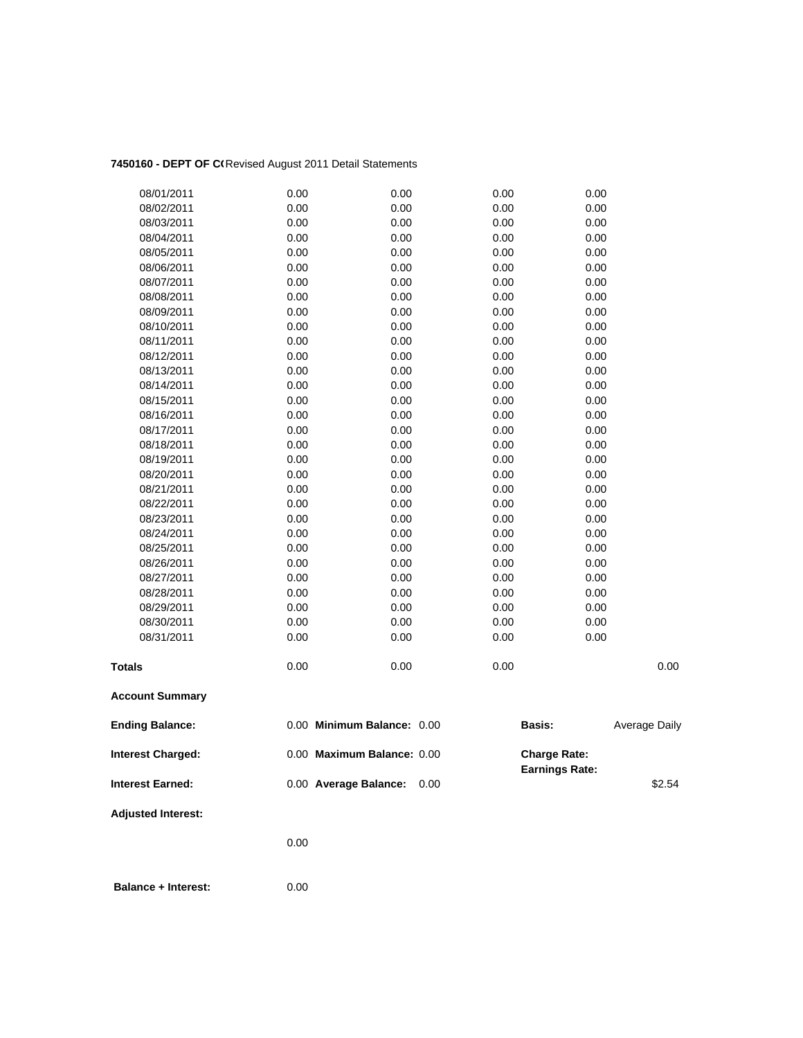# 7450160 - DEPT OF C(Revised August 2011 Detail Statements

| 08/01/2011                | 0.00 | 0.00                       | 0.00 | 0.00                                         |               |
|---------------------------|------|----------------------------|------|----------------------------------------------|---------------|
| 08/02/2011                | 0.00 | 0.00                       | 0.00 | 0.00                                         |               |
| 08/03/2011                | 0.00 | 0.00                       | 0.00 | 0.00                                         |               |
| 08/04/2011                | 0.00 | 0.00                       | 0.00 | 0.00                                         |               |
| 08/05/2011                | 0.00 | 0.00                       | 0.00 | 0.00                                         |               |
| 08/06/2011                | 0.00 | 0.00                       | 0.00 | 0.00                                         |               |
| 08/07/2011                | 0.00 | 0.00                       | 0.00 | 0.00                                         |               |
| 08/08/2011                | 0.00 | 0.00                       | 0.00 | 0.00                                         |               |
| 08/09/2011                | 0.00 | 0.00                       | 0.00 | 0.00                                         |               |
| 08/10/2011                | 0.00 | 0.00                       | 0.00 | 0.00                                         |               |
| 08/11/2011                | 0.00 | 0.00                       | 0.00 | 0.00                                         |               |
| 08/12/2011                | 0.00 | 0.00                       | 0.00 | 0.00                                         |               |
| 08/13/2011                | 0.00 | 0.00                       | 0.00 | 0.00                                         |               |
| 08/14/2011                | 0.00 | 0.00                       | 0.00 | 0.00                                         |               |
| 08/15/2011                | 0.00 | 0.00                       | 0.00 | 0.00                                         |               |
| 08/16/2011                | 0.00 | 0.00                       | 0.00 | 0.00                                         |               |
| 08/17/2011                | 0.00 | 0.00                       | 0.00 | 0.00                                         |               |
| 08/18/2011                | 0.00 | 0.00                       | 0.00 | 0.00                                         |               |
| 08/19/2011                | 0.00 | 0.00                       | 0.00 | 0.00                                         |               |
| 08/20/2011                | 0.00 | 0.00                       | 0.00 | 0.00                                         |               |
| 08/21/2011                | 0.00 | 0.00                       | 0.00 | 0.00                                         |               |
| 08/22/2011                | 0.00 | 0.00                       | 0.00 | 0.00                                         |               |
| 08/23/2011                | 0.00 | 0.00                       | 0.00 | 0.00                                         |               |
| 08/24/2011                | 0.00 | 0.00                       | 0.00 | 0.00                                         |               |
| 08/25/2011                | 0.00 | 0.00                       | 0.00 | 0.00                                         |               |
| 08/26/2011                | 0.00 | 0.00                       | 0.00 | 0.00                                         |               |
| 08/27/2011                | 0.00 | 0.00                       | 0.00 | 0.00                                         |               |
| 08/28/2011                | 0.00 | 0.00                       | 0.00 | 0.00                                         |               |
| 08/29/2011                | 0.00 | 0.00                       | 0.00 | 0.00                                         |               |
| 08/30/2011                | 0.00 | 0.00                       | 0.00 | 0.00                                         |               |
| 08/31/2011                | 0.00 | 0.00                       | 0.00 | 0.00                                         |               |
| <b>Totals</b>             | 0.00 | 0.00                       | 0.00 |                                              | 0.00          |
| <b>Account Summary</b>    |      |                            |      |                                              |               |
| <b>Ending Balance:</b>    |      | 0.00 Minimum Balance: 0.00 |      | <b>Basis:</b>                                | Average Daily |
| <b>Interest Charged:</b>  |      | 0.00 Maximum Balance: 0.00 |      | <b>Charge Rate:</b><br><b>Earnings Rate:</b> |               |
| <b>Interest Earned:</b>   |      | 0.00 Average Balance:      | 0.00 |                                              | \$2.54        |
| <b>Adjusted Interest:</b> |      |                            |      |                                              |               |
|                           | 0.00 |                            |      |                                              |               |
|                           |      |                            |      |                                              |               |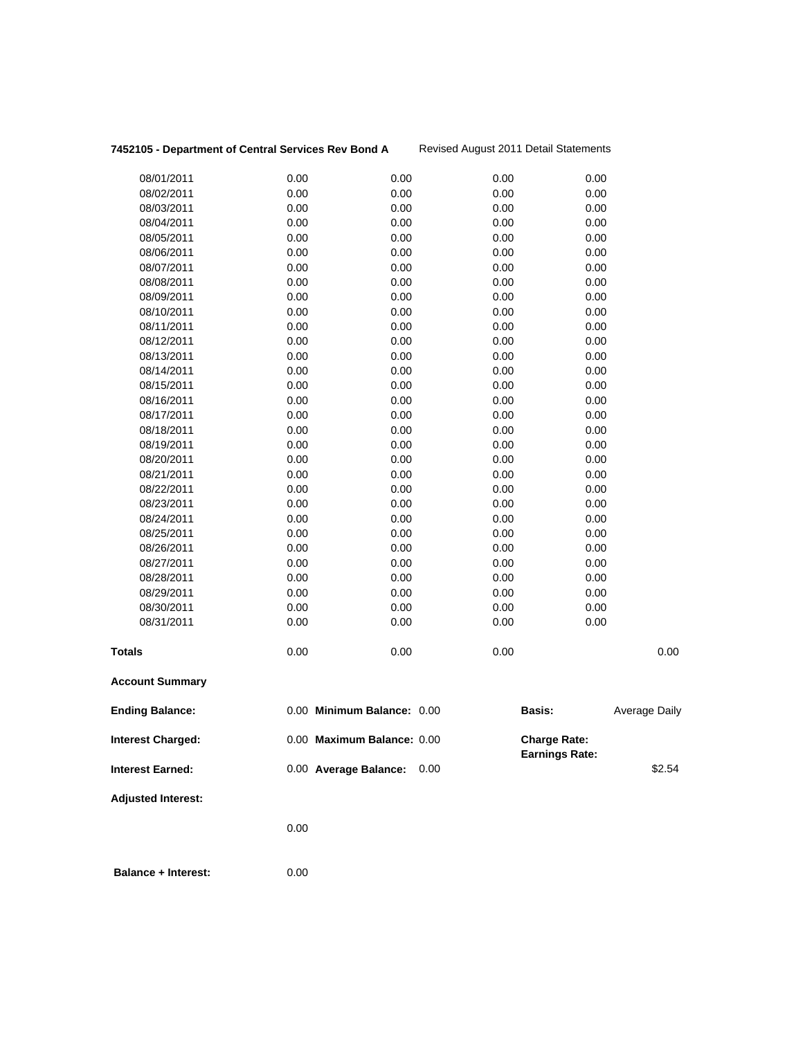# 7452105 - Department of Central Services Rev Bond A Revised August 2011 Detail Statements

|                           | 0.00                       |              |                                              |                      |
|---------------------------|----------------------------|--------------|----------------------------------------------|----------------------|
| <b>Adjusted Interest:</b> |                            |              |                                              |                      |
| <b>Interest Earned:</b>   | 0.00 Average Balance:      | 0.00         |                                              | \$2.54               |
| <b>Interest Charged:</b>  | 0.00 Maximum Balance: 0.00 |              | <b>Charge Rate:</b><br><b>Earnings Rate:</b> |                      |
| <b>Ending Balance:</b>    | 0.00 Minimum Balance: 0.00 |              | <b>Basis:</b>                                | <b>Average Daily</b> |
| <b>Account Summary</b>    |                            |              |                                              |                      |
| <b>Totals</b>             | 0.00                       | 0.00         | 0.00                                         | 0.00                 |
| 08/31/2011                | 0.00                       | 0.00         | 0.00                                         | 0.00                 |
| 08/30/2011                | 0.00                       | 0.00         | 0.00                                         | 0.00                 |
| 08/29/2011                | 0.00                       | 0.00         | 0.00                                         | 0.00                 |
| 08/28/2011                | 0.00                       | 0.00         | 0.00                                         | 0.00                 |
| 08/27/2011                | 0.00                       | 0.00         | 0.00                                         | 0.00                 |
| 08/26/2011                | 0.00                       | 0.00         | 0.00                                         | 0.00                 |
| 08/25/2011                | 0.00                       | 0.00         | 0.00                                         | 0.00                 |
| 08/24/2011                | 0.00                       | 0.00         | 0.00                                         | 0.00                 |
| 08/23/2011                | 0.00                       | 0.00         | 0.00                                         | 0.00                 |
| 08/22/2011                | 0.00                       | 0.00         | 0.00                                         | 0.00                 |
| 08/21/2011                | 0.00                       | 0.00         | 0.00                                         | 0.00                 |
| 08/20/2011                | 0.00                       | 0.00         | 0.00                                         | 0.00                 |
| 08/19/2011                | 0.00                       | 0.00         | 0.00                                         | 0.00                 |
| 08/18/2011                | 0.00                       | 0.00         | 0.00                                         | 0.00                 |
| 08/17/2011                | 0.00                       | 0.00         | 0.00                                         | 0.00                 |
| 08/16/2011                | 0.00                       | 0.00         | 0.00                                         | 0.00                 |
| 08/15/2011                | 0.00                       | 0.00         | 0.00                                         | 0.00                 |
| 08/14/2011                | 0.00                       | 0.00         | 0.00                                         | 0.00                 |
| 08/13/2011                | 0.00                       | 0.00         | 0.00                                         | 0.00                 |
| 08/12/2011                | 0.00                       | 0.00         | 0.00                                         | 0.00                 |
| 08/11/2011                | 0.00                       | 0.00         | 0.00                                         | 0.00                 |
| 08/10/2011                | 0.00                       | 0.00         | 0.00                                         | 0.00                 |
| 08/09/2011                | 0.00                       | 0.00         | 0.00                                         | 0.00                 |
| 08/08/2011                | 0.00                       | 0.00         | 0.00                                         | 0.00                 |
| 08/07/2011                | 0.00                       | 0.00         | 0.00                                         | 0.00                 |
| 08/06/2011                | 0.00                       | 0.00         | 0.00                                         | 0.00                 |
| 08/05/2011                | 0.00                       | 0.00         | 0.00                                         | 0.00                 |
| 08/04/2011                | 0.00                       | 0.00         | 0.00                                         | 0.00                 |
| 08/02/2011<br>08/03/2011  | 0.00                       | 0.00<br>0.00 | 0.00<br>0.00                                 | 0.00<br>0.00         |
| 08/01/2011                | 0.00<br>0.00               | 0.00         | 0.00                                         | 0.00                 |
|                           |                            |              |                                              |                      |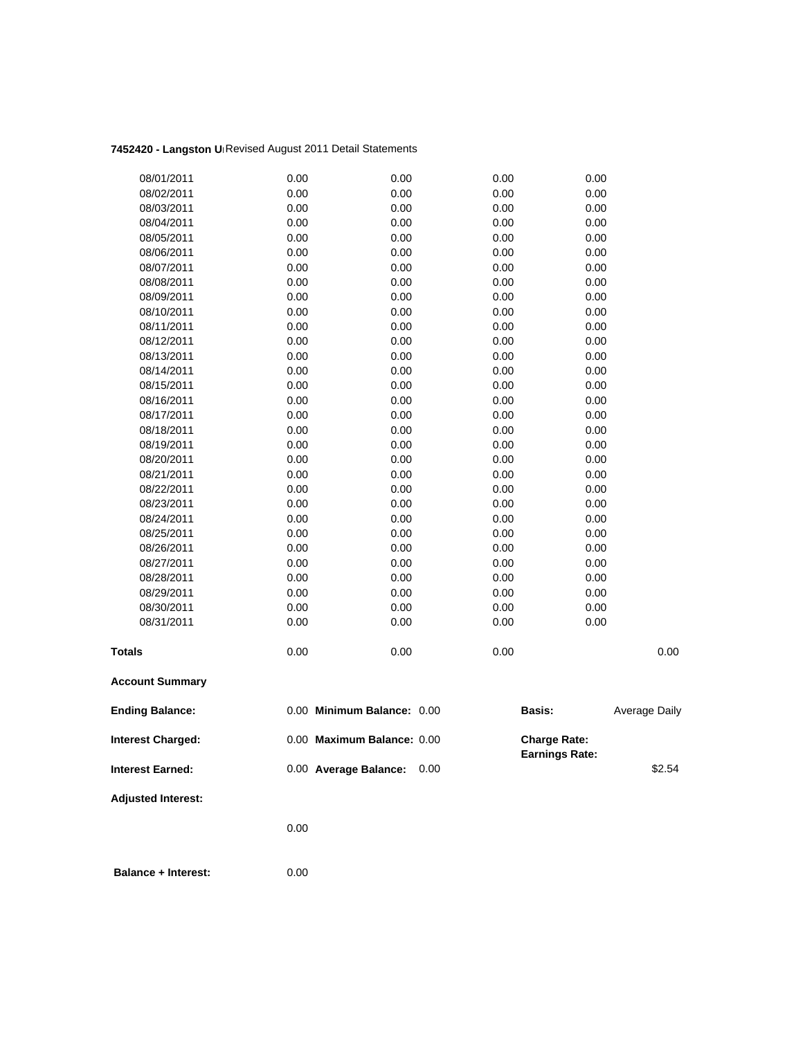# **7452420 - Langston Un**Revised August 2011 Detail Statements

| 08/01/2011                | 0.00 | 0.00                       | 0.00 | 0.00                                         |               |
|---------------------------|------|----------------------------|------|----------------------------------------------|---------------|
| 08/02/2011                | 0.00 | 0.00                       | 0.00 | 0.00                                         |               |
| 08/03/2011                | 0.00 | 0.00                       | 0.00 | 0.00                                         |               |
| 08/04/2011                | 0.00 | 0.00                       | 0.00 | 0.00                                         |               |
| 08/05/2011                | 0.00 | 0.00                       | 0.00 | 0.00                                         |               |
| 08/06/2011                | 0.00 | 0.00                       | 0.00 | 0.00                                         |               |
| 08/07/2011                | 0.00 | 0.00                       | 0.00 | 0.00                                         |               |
| 08/08/2011                | 0.00 | 0.00                       | 0.00 | 0.00                                         |               |
| 08/09/2011                | 0.00 | 0.00                       | 0.00 | 0.00                                         |               |
| 08/10/2011                | 0.00 | 0.00                       | 0.00 | 0.00                                         |               |
| 08/11/2011                | 0.00 | 0.00                       | 0.00 | 0.00                                         |               |
| 08/12/2011                | 0.00 | 0.00                       | 0.00 | 0.00                                         |               |
| 08/13/2011                | 0.00 | 0.00                       | 0.00 | 0.00                                         |               |
| 08/14/2011                | 0.00 | 0.00                       | 0.00 | 0.00                                         |               |
| 08/15/2011                | 0.00 | 0.00                       | 0.00 | 0.00                                         |               |
| 08/16/2011                | 0.00 | 0.00                       | 0.00 | 0.00                                         |               |
| 08/17/2011                | 0.00 | 0.00                       | 0.00 | 0.00                                         |               |
| 08/18/2011                | 0.00 | 0.00                       | 0.00 | 0.00                                         |               |
| 08/19/2011                | 0.00 | 0.00                       | 0.00 | 0.00                                         |               |
| 08/20/2011                | 0.00 | 0.00                       | 0.00 | 0.00                                         |               |
| 08/21/2011                | 0.00 | 0.00                       | 0.00 | 0.00                                         |               |
| 08/22/2011                | 0.00 | 0.00                       | 0.00 | 0.00                                         |               |
| 08/23/2011                | 0.00 | 0.00                       | 0.00 | 0.00                                         |               |
| 08/24/2011                | 0.00 | 0.00                       | 0.00 | 0.00                                         |               |
| 08/25/2011                | 0.00 | 0.00                       | 0.00 | 0.00                                         |               |
| 08/26/2011                | 0.00 | 0.00                       | 0.00 | 0.00                                         |               |
| 08/27/2011                | 0.00 | 0.00                       | 0.00 | 0.00                                         |               |
| 08/28/2011                | 0.00 | 0.00                       | 0.00 | 0.00                                         |               |
| 08/29/2011                | 0.00 | 0.00                       | 0.00 | 0.00                                         |               |
| 08/30/2011                | 0.00 | 0.00                       | 0.00 | 0.00                                         |               |
| 08/31/2011                | 0.00 | 0.00                       | 0.00 | 0.00                                         |               |
| <b>Totals</b>             | 0.00 | 0.00                       | 0.00 |                                              | 0.00          |
| <b>Account Summary</b>    |      |                            |      |                                              |               |
| <b>Ending Balance:</b>    |      | 0.00 Minimum Balance: 0.00 |      | <b>Basis:</b>                                | Average Daily |
| <b>Interest Charged:</b>  |      | 0.00 Maximum Balance: 0.00 |      | <b>Charge Rate:</b><br><b>Earnings Rate:</b> |               |
| <b>Interest Earned:</b>   |      | 0.00 Average Balance:      | 0.00 |                                              | \$2.54        |
| <b>Adjusted Interest:</b> |      |                            |      |                                              |               |
|                           | 0.00 |                            |      |                                              |               |
|                           |      |                            |      |                                              |               |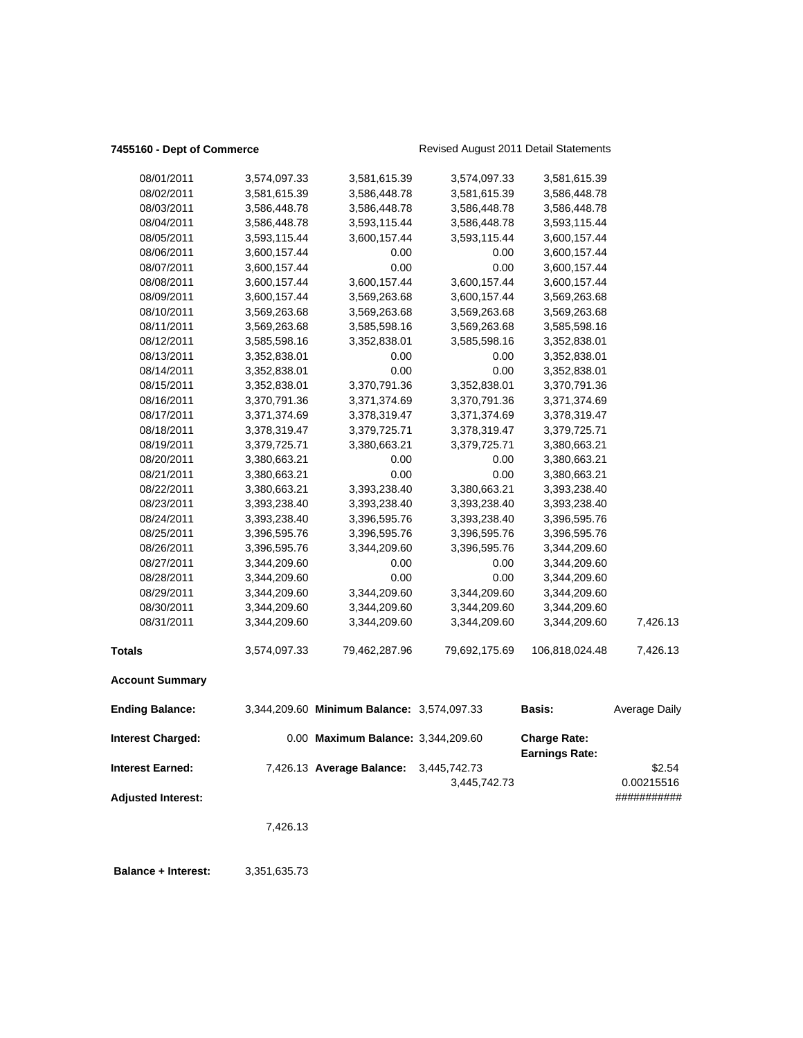# **7455160 - Dept of Commerce Revised August 2011 Detail Statements**

| 08/01/2011                | 3,574,097.33 | 3,581,615.39                               | 3,574,097.33  | 3,581,615.39                                 |               |
|---------------------------|--------------|--------------------------------------------|---------------|----------------------------------------------|---------------|
| 08/02/2011                | 3,581,615.39 | 3,586,448.78                               | 3,581,615.39  | 3,586,448.78                                 |               |
| 08/03/2011                | 3,586,448.78 | 3,586,448.78                               | 3,586,448.78  | 3,586,448.78                                 |               |
| 08/04/2011                | 3,586,448.78 | 3,593,115.44                               | 3,586,448.78  | 3,593,115.44                                 |               |
| 08/05/2011                | 3,593,115.44 | 3,600,157.44                               | 3,593,115.44  | 3,600,157.44                                 |               |
| 08/06/2011                | 3,600,157.44 | 0.00                                       | 0.00          | 3,600,157.44                                 |               |
| 08/07/2011                | 3,600,157.44 | 0.00                                       | 0.00          | 3,600,157.44                                 |               |
| 08/08/2011                | 3,600,157.44 | 3,600,157.44                               | 3,600,157.44  | 3,600,157.44                                 |               |
| 08/09/2011                | 3,600,157.44 | 3,569,263.68                               | 3,600,157.44  | 3,569,263.68                                 |               |
| 08/10/2011                | 3,569,263.68 | 3,569,263.68                               | 3,569,263.68  | 3,569,263.68                                 |               |
| 08/11/2011                | 3,569,263.68 | 3,585,598.16                               | 3,569,263.68  | 3,585,598.16                                 |               |
| 08/12/2011                | 3,585,598.16 | 3,352,838.01                               | 3,585,598.16  | 3,352,838.01                                 |               |
| 08/13/2011                | 3,352,838.01 | 0.00                                       | 0.00          | 3,352,838.01                                 |               |
| 08/14/2011                | 3,352,838.01 | 0.00                                       | 0.00          | 3,352,838.01                                 |               |
| 08/15/2011                | 3,352,838.01 | 3,370,791.36                               | 3,352,838.01  | 3,370,791.36                                 |               |
| 08/16/2011                | 3,370,791.36 | 3,371,374.69                               | 3,370,791.36  | 3,371,374.69                                 |               |
| 08/17/2011                | 3,371,374.69 | 3,378,319.47                               | 3,371,374.69  | 3,378,319.47                                 |               |
| 08/18/2011                | 3,378,319.47 | 3,379,725.71                               | 3,378,319.47  | 3,379,725.71                                 |               |
| 08/19/2011                | 3,379,725.71 | 3,380,663.21                               | 3,379,725.71  | 3,380,663.21                                 |               |
| 08/20/2011                | 3,380,663.21 | 0.00                                       | 0.00          | 3,380,663.21                                 |               |
| 08/21/2011                | 3,380,663.21 | 0.00                                       | 0.00          | 3,380,663.21                                 |               |
| 08/22/2011                | 3,380,663.21 | 3,393,238.40                               | 3,380,663.21  | 3,393,238.40                                 |               |
| 08/23/2011                | 3,393,238.40 | 3,393,238.40                               | 3,393,238.40  | 3,393,238.40                                 |               |
| 08/24/2011                | 3,393,238.40 | 3,396,595.76                               | 3,393,238.40  | 3,396,595.76                                 |               |
| 08/25/2011                | 3,396,595.76 | 3,396,595.76                               | 3,396,595.76  | 3,396,595.76                                 |               |
| 08/26/2011                | 3,396,595.76 | 3,344,209.60                               | 3,396,595.76  | 3,344,209.60                                 |               |
| 08/27/2011                | 3,344,209.60 | 0.00                                       | 0.00          | 3,344,209.60                                 |               |
| 08/28/2011                | 3,344,209.60 | 0.00                                       | 0.00          | 3,344,209.60                                 |               |
| 08/29/2011                | 3,344,209.60 | 3,344,209.60                               | 3,344,209.60  | 3,344,209.60                                 |               |
| 08/30/2011                | 3,344,209.60 | 3,344,209.60                               | 3,344,209.60  |                                              |               |
| 08/31/2011                | 3,344,209.60 | 3,344,209.60                               | 3,344,209.60  | 3,344,209.60<br>3,344,209.60                 | 7,426.13      |
|                           |              |                                            |               |                                              |               |
| <b>Totals</b>             | 3,574,097.33 | 79,462,287.96                              | 79,692,175.69 | 106,818,024.48                               | 7,426.13      |
| <b>Account Summary</b>    |              |                                            |               |                                              |               |
| <b>Ending Balance:</b>    |              | 3,344,209.60 Minimum Balance: 3,574,097.33 |               | Basis:                                       | Average Daily |
| <b>Interest Charged:</b>  |              | 0.00 Maximum Balance: 3,344,209.60         |               | <b>Charge Rate:</b><br><b>Earnings Rate:</b> |               |
| <b>Interest Earned:</b>   |              | 7,426.13 Average Balance:                  | 3,445,742.73  |                                              | \$2.54        |
|                           |              |                                            | 3,445,742.73  |                                              | 0.00215516    |
| <b>Adjusted Interest:</b> |              |                                            |               |                                              | ###########   |
|                           |              |                                            |               |                                              |               |
|                           | 7,426.13     |                                            |               |                                              |               |
|                           |              |                                            |               |                                              |               |

 **Balance + Interest:** 3,351,635.73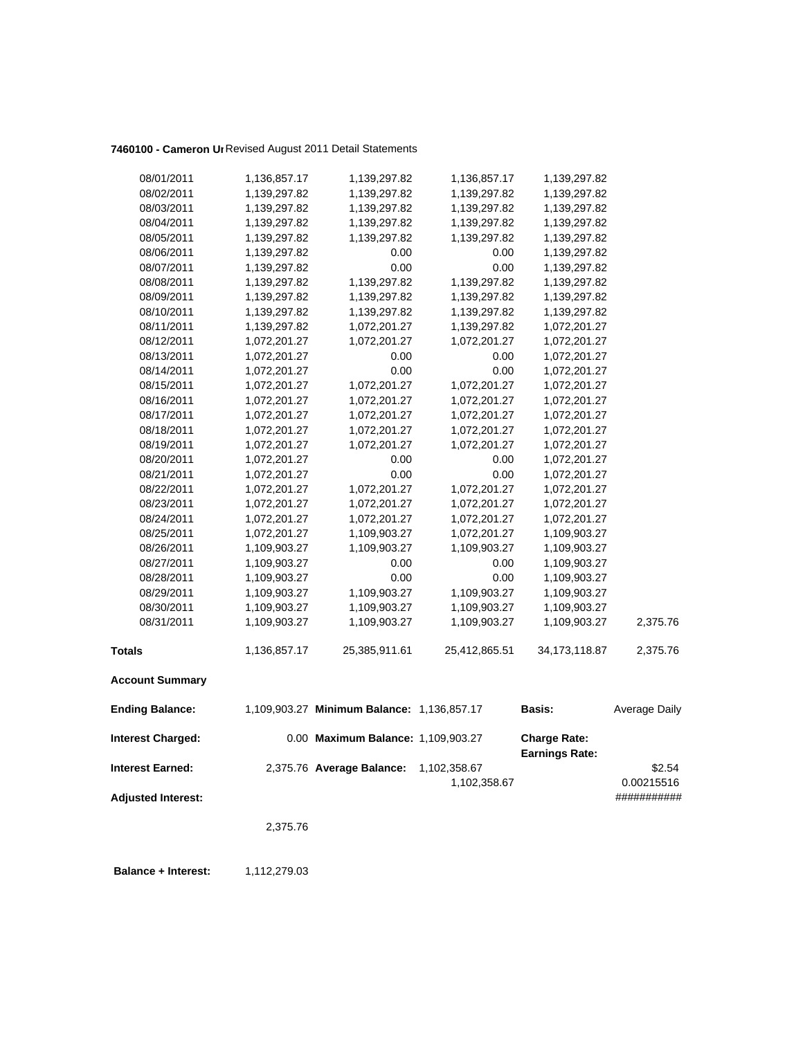# **7460100 - Cameron Un**Revised August 2011 Detail Statements

| 08/01/2011                | 1,136,857.17 | 1,139,297.82                               | 1,136,857.17  | 1,139,297.82                                 |               |
|---------------------------|--------------|--------------------------------------------|---------------|----------------------------------------------|---------------|
| 08/02/2011                | 1,139,297.82 | 1,139,297.82                               | 1,139,297.82  | 1,139,297.82                                 |               |
| 08/03/2011                | 1,139,297.82 | 1,139,297.82                               | 1,139,297.82  | 1,139,297.82                                 |               |
| 08/04/2011                | 1,139,297.82 | 1,139,297.82                               | 1,139,297.82  | 1,139,297.82                                 |               |
| 08/05/2011                | 1,139,297.82 | 1,139,297.82                               | 1,139,297.82  | 1,139,297.82                                 |               |
| 08/06/2011                | 1,139,297.82 | 0.00                                       | 0.00          | 1,139,297.82                                 |               |
| 08/07/2011                | 1,139,297.82 | 0.00                                       | 0.00          | 1,139,297.82                                 |               |
| 08/08/2011                | 1,139,297.82 | 1,139,297.82                               | 1,139,297.82  | 1,139,297.82                                 |               |
| 08/09/2011                | 1,139,297.82 | 1,139,297.82                               | 1,139,297.82  | 1,139,297.82                                 |               |
| 08/10/2011                | 1,139,297.82 | 1,139,297.82                               | 1,139,297.82  | 1,139,297.82                                 |               |
| 08/11/2011                | 1,139,297.82 | 1,072,201.27                               | 1,139,297.82  | 1,072,201.27                                 |               |
| 08/12/2011                | 1,072,201.27 | 1,072,201.27                               | 1,072,201.27  | 1,072,201.27                                 |               |
| 08/13/2011                | 1,072,201.27 | 0.00                                       | 0.00          | 1,072,201.27                                 |               |
| 08/14/2011                | 1,072,201.27 | 0.00                                       | 0.00          | 1,072,201.27                                 |               |
| 08/15/2011                | 1,072,201.27 | 1,072,201.27                               | 1,072,201.27  | 1,072,201.27                                 |               |
| 08/16/2011                | 1,072,201.27 | 1,072,201.27                               | 1,072,201.27  | 1,072,201.27                                 |               |
| 08/17/2011                | 1,072,201.27 | 1,072,201.27                               | 1,072,201.27  | 1,072,201.27                                 |               |
| 08/18/2011                | 1,072,201.27 | 1,072,201.27                               | 1,072,201.27  | 1,072,201.27                                 |               |
| 08/19/2011                | 1,072,201.27 | 1,072,201.27                               | 1,072,201.27  | 1,072,201.27                                 |               |
| 08/20/2011                | 1,072,201.27 | 0.00                                       | 0.00          | 1,072,201.27                                 |               |
| 08/21/2011                | 1,072,201.27 | 0.00                                       | 0.00          | 1,072,201.27                                 |               |
| 08/22/2011                | 1,072,201.27 | 1,072,201.27                               | 1,072,201.27  | 1,072,201.27                                 |               |
| 08/23/2011                | 1,072,201.27 | 1,072,201.27                               | 1,072,201.27  | 1,072,201.27                                 |               |
| 08/24/2011                | 1,072,201.27 | 1,072,201.27                               | 1,072,201.27  | 1,072,201.27                                 |               |
| 08/25/2011                | 1,072,201.27 | 1,109,903.27                               | 1,072,201.27  | 1,109,903.27                                 |               |
| 08/26/2011                | 1,109,903.27 | 1,109,903.27                               | 1,109,903.27  | 1,109,903.27                                 |               |
| 08/27/2011                | 1,109,903.27 | 0.00                                       | 0.00          | 1,109,903.27                                 |               |
| 08/28/2011                | 1,109,903.27 | 0.00                                       | 0.00          | 1,109,903.27                                 |               |
| 08/29/2011                | 1,109,903.27 | 1,109,903.27                               | 1,109,903.27  | 1,109,903.27                                 |               |
| 08/30/2011                | 1,109,903.27 | 1,109,903.27                               | 1,109,903.27  | 1,109,903.27                                 |               |
| 08/31/2011                | 1,109,903.27 | 1,109,903.27                               | 1,109,903.27  | 1,109,903.27                                 | 2,375.76      |
| <b>Totals</b>             | 1,136,857.17 | 25,385,911.61                              | 25,412,865.51 | 34, 173, 118.87                              | 2,375.76      |
| <b>Account Summary</b>    |              |                                            |               |                                              |               |
| <b>Ending Balance:</b>    |              | 1,109,903.27 Minimum Balance: 1,136,857.17 |               | <b>Basis:</b>                                | Average Daily |
| <b>Interest Charged:</b>  |              | 0.00 Maximum Balance: 1,109,903.27         |               | <b>Charge Rate:</b><br><b>Earnings Rate:</b> |               |
| <b>Interest Earned:</b>   |              | 2,375.76 Average Balance:                  | 1,102,358.67  |                                              | \$2.54        |
|                           |              |                                            | 1,102,358.67  |                                              | 0.00215516    |
| <b>Adjusted Interest:</b> |              |                                            |               |                                              | ###########   |
|                           | 2,375.76     |                                            |               |                                              |               |
|                           |              |                                            |               |                                              |               |

**Balance + Interest:** 1,112,279.03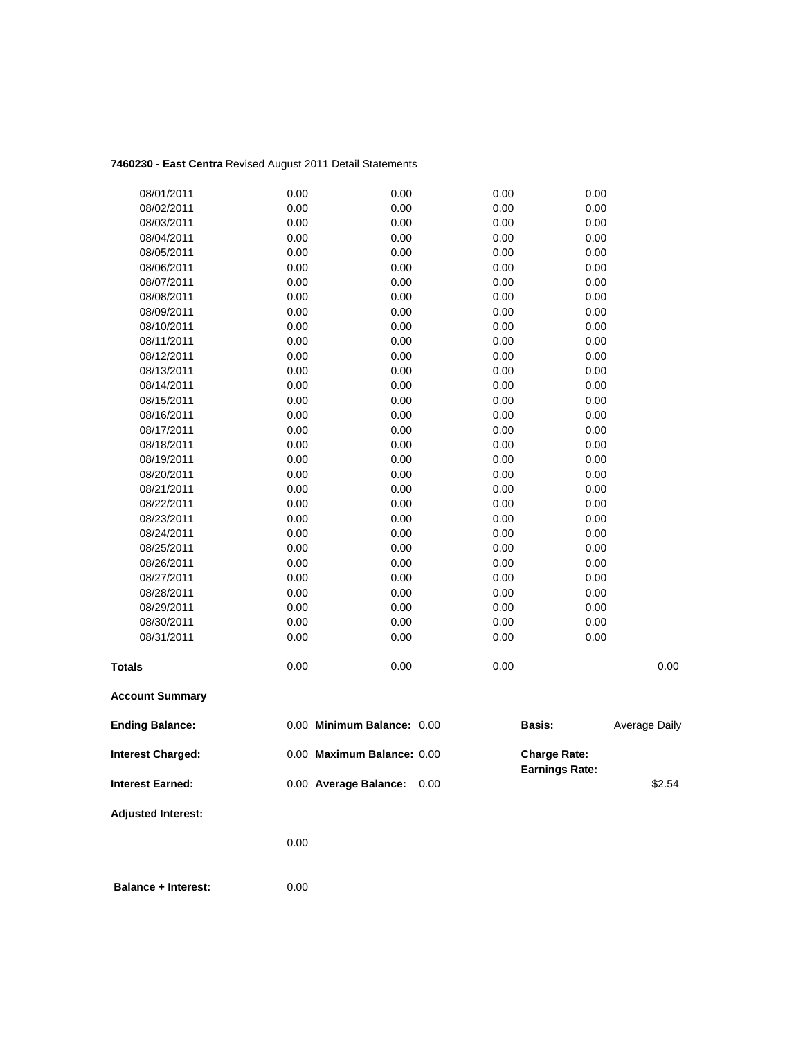# **7460230 - East Centra** Revised August 2011 Detail Statements

| 08/01/2011                | 0.00 | 0.00                       | 0.00 | 0.00                                         |               |
|---------------------------|------|----------------------------|------|----------------------------------------------|---------------|
| 08/02/2011                | 0.00 | 0.00                       | 0.00 | 0.00                                         |               |
| 08/03/2011                | 0.00 | 0.00                       | 0.00 | 0.00                                         |               |
| 08/04/2011                | 0.00 | 0.00                       | 0.00 | 0.00                                         |               |
| 08/05/2011                | 0.00 | 0.00                       | 0.00 | 0.00                                         |               |
| 08/06/2011                | 0.00 | 0.00                       | 0.00 | 0.00                                         |               |
| 08/07/2011                | 0.00 | 0.00                       | 0.00 | 0.00                                         |               |
| 08/08/2011                | 0.00 | 0.00                       | 0.00 | 0.00                                         |               |
| 08/09/2011                | 0.00 | 0.00                       | 0.00 | 0.00                                         |               |
| 08/10/2011                | 0.00 | 0.00                       | 0.00 | 0.00                                         |               |
| 08/11/2011                | 0.00 | 0.00                       | 0.00 | 0.00                                         |               |
| 08/12/2011                | 0.00 | 0.00                       | 0.00 | 0.00                                         |               |
| 08/13/2011                | 0.00 | 0.00                       | 0.00 | 0.00                                         |               |
| 08/14/2011                | 0.00 | 0.00                       | 0.00 | 0.00                                         |               |
| 08/15/2011                | 0.00 | 0.00                       | 0.00 | 0.00                                         |               |
| 08/16/2011                | 0.00 | 0.00                       | 0.00 | 0.00                                         |               |
| 08/17/2011                | 0.00 | 0.00                       | 0.00 | 0.00                                         |               |
| 08/18/2011                | 0.00 | 0.00                       | 0.00 | 0.00                                         |               |
| 08/19/2011                | 0.00 | 0.00                       | 0.00 | 0.00                                         |               |
| 08/20/2011                | 0.00 | 0.00                       | 0.00 | 0.00                                         |               |
| 08/21/2011                | 0.00 | 0.00                       | 0.00 | 0.00                                         |               |
| 08/22/2011                | 0.00 | 0.00                       | 0.00 | 0.00                                         |               |
| 08/23/2011                | 0.00 | 0.00                       | 0.00 | 0.00                                         |               |
| 08/24/2011                | 0.00 | 0.00                       | 0.00 | 0.00                                         |               |
| 08/25/2011                | 0.00 | 0.00                       | 0.00 | 0.00                                         |               |
| 08/26/2011                | 0.00 | 0.00                       | 0.00 | 0.00                                         |               |
| 08/27/2011                | 0.00 | 0.00                       | 0.00 | 0.00                                         |               |
| 08/28/2011                | 0.00 | 0.00                       | 0.00 | 0.00                                         |               |
| 08/29/2011                | 0.00 | 0.00                       | 0.00 | 0.00                                         |               |
| 08/30/2011                | 0.00 | 0.00                       | 0.00 | 0.00                                         |               |
| 08/31/2011                | 0.00 | 0.00                       | 0.00 | 0.00                                         |               |
| <b>Totals</b>             | 0.00 | 0.00                       | 0.00 |                                              | 0.00          |
| <b>Account Summary</b>    |      |                            |      |                                              |               |
| <b>Ending Balance:</b>    |      | 0.00 Minimum Balance: 0.00 |      | Basis:                                       | Average Daily |
| <b>Interest Charged:</b>  |      | 0.00 Maximum Balance: 0.00 |      | <b>Charge Rate:</b><br><b>Earnings Rate:</b> |               |
| <b>Interest Earned:</b>   |      | 0.00 Average Balance:      | 0.00 |                                              | \$2.54        |
| <b>Adjusted Interest:</b> |      |                            |      |                                              |               |
|                           | 0.00 |                            |      |                                              |               |
|                           |      |                            |      |                                              |               |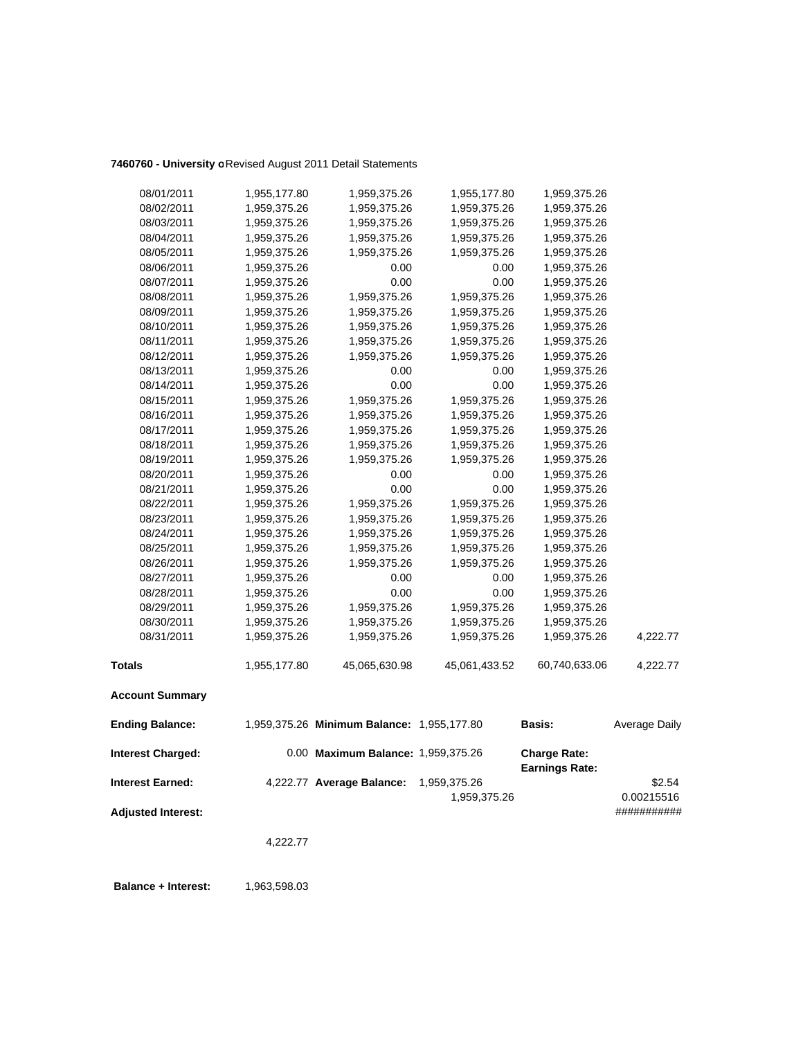# **7460760 - University o**Revised August 2011 Detail Statements

| <b>Interest Earned:</b>  |                              | 4,222.77 Average Balance:                  | 1,959,375.26<br>1,959,375.26 |                                              | \$2.54<br>0.00215516 |
|--------------------------|------------------------------|--------------------------------------------|------------------------------|----------------------------------------------|----------------------|
| <b>Interest Charged:</b> |                              | 0.00 Maximum Balance: 1,959,375.26         |                              | <b>Charge Rate:</b><br><b>Earnings Rate:</b> |                      |
| <b>Ending Balance:</b>   |                              | 1,959,375.26 Minimum Balance: 1,955,177.80 |                              | <b>Basis:</b>                                | Average Daily        |
| <b>Account Summary</b>   |                              |                                            |                              |                                              |                      |
| <b>Totals</b>            | 1,955,177.80                 | 45,065,630.98                              | 45,061,433.52                | 60,740,633.06                                | 4,222.77             |
| 08/31/2011               | 1,959,375.26                 | 1,959,375.26                               | 1,959,375.26                 | 1,959,375.26                                 | 4,222.77             |
| 08/30/2011               | 1,959,375.26                 | 1,959,375.26                               | 1,959,375.26                 | 1,959,375.26                                 |                      |
| 08/29/2011               | 1,959,375.26                 | 1,959,375.26                               | 1,959,375.26                 | 1,959,375.26                                 |                      |
| 08/28/2011               | 1,959,375.26                 | 0.00                                       | 0.00                         | 1,959,375.26                                 |                      |
| 08/27/2011               | 1,959,375.26                 | 0.00                                       | 0.00                         | 1,959,375.26                                 |                      |
| 08/26/2011               | 1,959,375.26                 | 1,959,375.26                               | 1,959,375.26                 | 1,959,375.26                                 |                      |
| 08/25/2011               | 1,959,375.26                 | 1,959,375.26                               | 1,959,375.26                 | 1,959,375.26                                 |                      |
| 08/24/2011               | 1,959,375.26                 | 1,959,375.26                               | 1,959,375.26                 | 1,959,375.26                                 |                      |
| 08/23/2011               | 1,959,375.26                 | 1,959,375.26                               | 1,959,375.26                 | 1,959,375.26                                 |                      |
| 08/22/2011               | 1,959,375.26                 | 1,959,375.26                               | 1,959,375.26                 | 1,959,375.26                                 |                      |
| 08/21/2011               | 1,959,375.26                 | 0.00                                       | 0.00                         | 1,959,375.26                                 |                      |
| 08/20/2011               | 1,959,375.26                 | 0.00                                       | 0.00                         | 1,959,375.26                                 |                      |
| 08/19/2011               | 1,959,375.26                 | 1,959,375.26                               | 1,959,375.26                 | 1,959,375.26                                 |                      |
| 08/18/2011               | 1,959,375.26                 | 1,959,375.26                               | 1,959,375.26                 | 1,959,375.26                                 |                      |
| 08/17/2011               | 1,959,375.26                 | 1,959,375.26                               | 1,959,375.26                 | 1,959,375.26                                 |                      |
| 08/16/2011               | 1,959,375.26                 | 1,959,375.26                               | 1,959,375.26                 | 1,959,375.26                                 |                      |
| 08/15/2011               | 1,959,375.26                 | 1,959,375.26                               | 1,959,375.26                 | 1,959,375.26                                 |                      |
| 08/14/2011               | 1,959,375.26                 | 0.00                                       | 0.00                         | 1,959,375.26                                 |                      |
| 08/13/2011               | 1,959,375.26                 | 0.00                                       | 0.00                         | 1,959,375.26                                 |                      |
| 08/12/2011               | 1,959,375.26                 | 1,959,375.26                               | 1,959,375.26                 | 1,959,375.26                                 |                      |
| 08/11/2011               | 1,959,375.26                 | 1,959,375.26                               | 1,959,375.26                 | 1,959,375.26                                 |                      |
| 08/10/2011               | 1,959,375.26                 | 1,959,375.26                               | 1,959,375.26                 | 1,959,375.26                                 |                      |
| 08/09/2011               | 1,959,375.26                 | 1,959,375.26                               | 1,959,375.26                 | 1,959,375.26                                 |                      |
| 08/08/2011               | 1,959,375.26                 | 1,959,375.26                               | 1,959,375.26                 | 1,959,375.26                                 |                      |
| 08/07/2011               | 1,959,375.26                 | 0.00                                       | 0.00                         | 1,959,375.26                                 |                      |
| 08/06/2011               | 1,959,375.26                 | 0.00                                       | 0.00                         | 1,959,375.26                                 |                      |
| 08/05/2011               | 1,959,375.26                 | 1,959,375.26                               | 1,959,375.26                 | 1,959,375.26                                 |                      |
| 08/04/2011               | 1,959,375.26                 | 1,959,375.26                               | 1,959,375.26                 | 1,959,375.26<br>1,959,375.26                 |                      |
| 08/02/2011<br>08/03/2011 | 1,959,375.26<br>1,959,375.26 | 1,959,375.26<br>1,959,375.26               | 1,959,375.26<br>1,959,375.26 | 1,959,375.26                                 |                      |
| 08/01/2011               | 1,955,177.80                 | 1,959,375.26                               | 1,955,177.80                 | 1,959,375.26                                 |                      |
|                          |                              |                                            |                              |                                              |                      |

**Adjusted Interest:** ###########

4,222.77

**Balance + Interest:** 1,963,598.03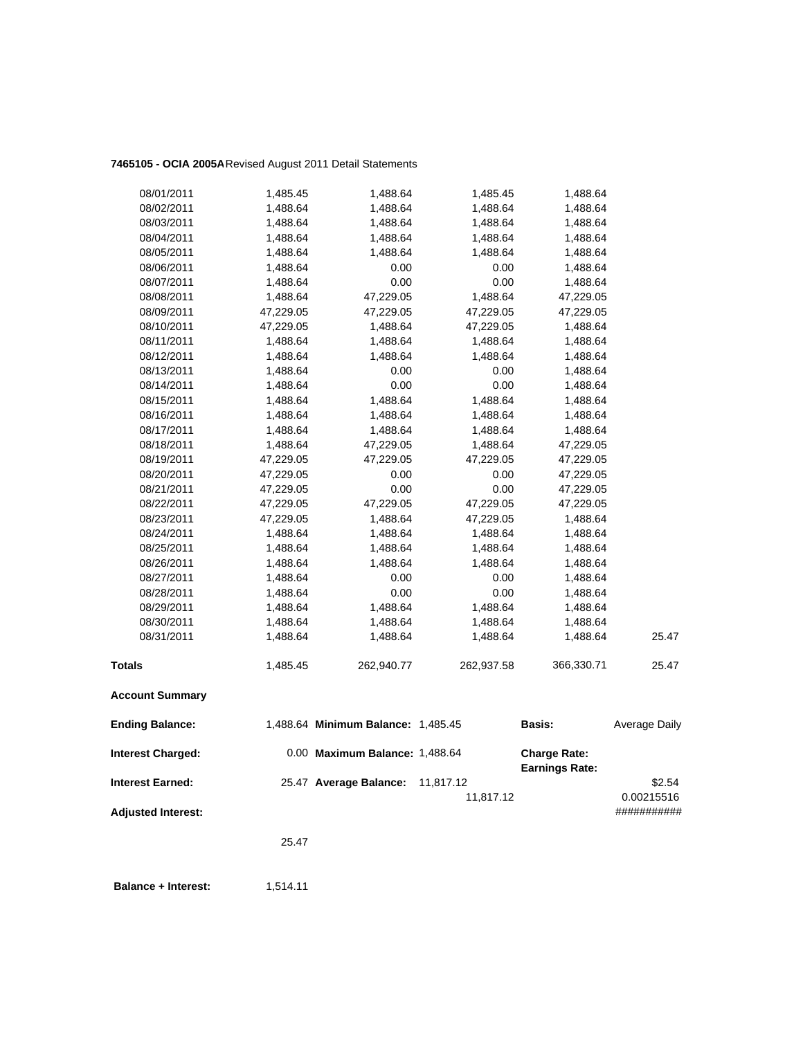# **7465105 - OCIA 2005A**Revised August 2011 Detail Statements

| 08/01/2011                | 1,485.45  | 1,488.64                           | 1,485.45   | 1,488.64                                     |               |
|---------------------------|-----------|------------------------------------|------------|----------------------------------------------|---------------|
| 08/02/2011                | 1,488.64  | 1,488.64                           | 1,488.64   | 1,488.64                                     |               |
| 08/03/2011                | 1,488.64  | 1,488.64                           | 1,488.64   | 1,488.64                                     |               |
| 08/04/2011                | 1,488.64  | 1,488.64                           | 1,488.64   | 1,488.64                                     |               |
| 08/05/2011                | 1,488.64  | 1,488.64                           | 1,488.64   | 1,488.64                                     |               |
| 08/06/2011                | 1,488.64  | 0.00                               | 0.00       | 1,488.64                                     |               |
| 08/07/2011                | 1,488.64  | 0.00                               | 0.00       | 1,488.64                                     |               |
| 08/08/2011                | 1,488.64  | 47,229.05                          | 1,488.64   | 47,229.05                                    |               |
| 08/09/2011                | 47,229.05 | 47,229.05                          | 47,229.05  | 47,229.05                                    |               |
| 08/10/2011                | 47,229.05 | 1,488.64                           | 47,229.05  | 1,488.64                                     |               |
| 08/11/2011                | 1,488.64  | 1,488.64                           | 1,488.64   | 1,488.64                                     |               |
| 08/12/2011                | 1,488.64  | 1,488.64                           | 1,488.64   | 1,488.64                                     |               |
| 08/13/2011                | 1,488.64  | 0.00                               | 0.00       | 1,488.64                                     |               |
| 08/14/2011                | 1,488.64  | 0.00                               | 0.00       | 1,488.64                                     |               |
| 08/15/2011                | 1,488.64  | 1,488.64                           | 1,488.64   | 1,488.64                                     |               |
| 08/16/2011                | 1,488.64  | 1,488.64                           | 1,488.64   | 1,488.64                                     |               |
| 08/17/2011                | 1,488.64  | 1,488.64                           | 1,488.64   | 1,488.64                                     |               |
| 08/18/2011                | 1,488.64  | 47,229.05                          | 1,488.64   | 47,229.05                                    |               |
| 08/19/2011                | 47,229.05 | 47,229.05                          | 47,229.05  | 47,229.05                                    |               |
| 08/20/2011                | 47,229.05 | 0.00                               | 0.00       | 47,229.05                                    |               |
| 08/21/2011                | 47,229.05 | 0.00                               | 0.00       | 47,229.05                                    |               |
| 08/22/2011                | 47,229.05 | 47,229.05                          | 47,229.05  | 47,229.05                                    |               |
| 08/23/2011                | 47,229.05 | 1,488.64                           | 47,229.05  | 1,488.64                                     |               |
| 08/24/2011                | 1,488.64  | 1,488.64                           | 1,488.64   | 1,488.64                                     |               |
| 08/25/2011                | 1,488.64  | 1,488.64                           | 1,488.64   | 1,488.64                                     |               |
| 08/26/2011                | 1,488.64  | 1,488.64                           | 1,488.64   | 1,488.64                                     |               |
| 08/27/2011                | 1,488.64  | 0.00                               | 0.00       | 1,488.64                                     |               |
| 08/28/2011                | 1,488.64  | 0.00                               | 0.00       | 1,488.64                                     |               |
| 08/29/2011                | 1,488.64  | 1,488.64                           | 1,488.64   | 1,488.64                                     |               |
| 08/30/2011                | 1,488.64  | 1,488.64                           | 1,488.64   | 1,488.64                                     |               |
| 08/31/2011                | 1,488.64  | 1,488.64                           | 1,488.64   | 1,488.64                                     | 25.47         |
| <b>Totals</b>             | 1,485.45  | 262,940.77                         | 262,937.58 | 366,330.71                                   | 25.47         |
| <b>Account Summary</b>    |           |                                    |            |                                              |               |
| <b>Ending Balance:</b>    |           | 1,488.64 Minimum Balance: 1,485.45 |            | Basis:                                       | Average Daily |
| <b>Interest Charged:</b>  |           | 0.00 Maximum Balance: 1,488.64     |            | <b>Charge Rate:</b><br><b>Earnings Rate:</b> |               |
| <b>Interest Earned:</b>   |           | 25.47 Average Balance:             | 11,817.12  |                                              | \$2.54        |
|                           |           |                                    | 11,817.12  |                                              | 0.00215516    |
| <b>Adjusted Interest:</b> |           |                                    |            |                                              | ###########   |
|                           | 25.47     |                                    |            |                                              |               |
|                           |           |                                    |            |                                              |               |

**Balance + Interest:** 1,514.11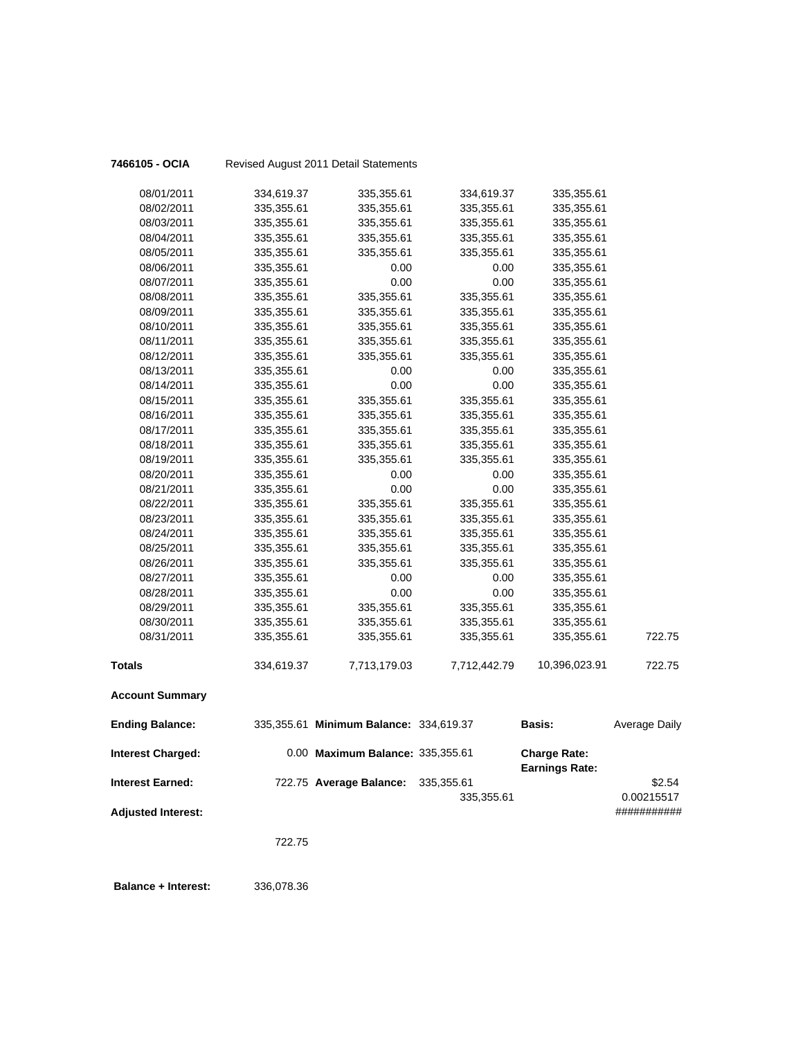| 7466105 - OCIA             |            | Revised August 2011 Detail Statements  |              |                                              |                           |
|----------------------------|------------|----------------------------------------|--------------|----------------------------------------------|---------------------------|
| 08/01/2011                 | 334,619.37 | 335,355.61                             | 334,619.37   | 335,355.61                                   |                           |
| 08/02/2011                 | 335,355.61 | 335,355.61                             | 335,355.61   | 335,355.61                                   |                           |
| 08/03/2011                 | 335,355.61 | 335,355.61                             | 335,355.61   | 335,355.61                                   |                           |
| 08/04/2011                 | 335,355.61 | 335,355.61                             | 335,355.61   | 335,355.61                                   |                           |
| 08/05/2011                 | 335,355.61 | 335,355.61                             | 335,355.61   | 335,355.61                                   |                           |
| 08/06/2011                 | 335,355.61 | 0.00                                   | 0.00         | 335,355.61                                   |                           |
| 08/07/2011                 | 335,355.61 | 0.00                                   | 0.00         | 335,355.61                                   |                           |
| 08/08/2011                 | 335,355.61 | 335,355.61                             | 335,355.61   | 335,355.61                                   |                           |
| 08/09/2011                 | 335,355.61 | 335,355.61                             | 335,355.61   | 335,355.61                                   |                           |
| 08/10/2011                 | 335,355.61 | 335,355.61                             | 335,355.61   | 335,355.61                                   |                           |
| 08/11/2011                 | 335,355.61 | 335,355.61                             | 335,355.61   | 335,355.61                                   |                           |
| 08/12/2011                 | 335,355.61 | 335,355.61                             | 335,355.61   | 335,355.61                                   |                           |
| 08/13/2011                 | 335,355.61 | 0.00                                   | 0.00         | 335,355.61                                   |                           |
| 08/14/2011                 | 335,355.61 | 0.00                                   | 0.00         | 335,355.61                                   |                           |
| 08/15/2011                 | 335,355.61 | 335,355.61                             | 335,355.61   | 335,355.61                                   |                           |
| 08/16/2011                 | 335,355.61 | 335,355.61                             | 335,355.61   | 335,355.61                                   |                           |
| 08/17/2011                 | 335,355.61 | 335,355.61                             | 335,355.61   | 335,355.61                                   |                           |
| 08/18/2011                 | 335,355.61 | 335,355.61                             | 335,355.61   | 335,355.61                                   |                           |
| 08/19/2011                 | 335,355.61 | 335,355.61                             | 335,355.61   | 335,355.61                                   |                           |
| 08/20/2011                 | 335,355.61 | 0.00                                   | 0.00         | 335,355.61                                   |                           |
| 08/21/2011                 | 335,355.61 | 0.00                                   | 0.00         | 335,355.61                                   |                           |
| 08/22/2011                 | 335,355.61 | 335,355.61                             | 335,355.61   | 335,355.61                                   |                           |
| 08/23/2011                 | 335,355.61 | 335,355.61                             | 335,355.61   | 335,355.61                                   |                           |
| 08/24/2011                 | 335,355.61 | 335,355.61                             | 335,355.61   | 335,355.61                                   |                           |
| 08/25/2011                 | 335,355.61 | 335,355.61                             | 335,355.61   | 335,355.61                                   |                           |
| 08/26/2011                 | 335,355.61 | 335,355.61                             | 335,355.61   | 335,355.61                                   |                           |
| 08/27/2011                 | 335,355.61 | 0.00                                   | 0.00         | 335,355.61                                   |                           |
| 08/28/2011                 | 335,355.61 | 0.00                                   | 0.00         | 335,355.61                                   |                           |
| 08/29/2011                 | 335,355.61 | 335,355.61                             | 335,355.61   | 335,355.61                                   |                           |
| 08/30/2011                 | 335,355.61 | 335,355.61                             | 335,355.61   | 335,355.61                                   |                           |
| 08/31/2011                 | 335,355.61 | 335,355.61                             | 335,355.61   | 335,355.61                                   | 722.75                    |
| <b>Totals</b>              | 334,619.37 | 7,713,179.03                           | 7,712,442.79 | 10,396,023.91                                | 722.75                    |
| <b>Account Summary</b>     |            |                                        |              |                                              |                           |
| <b>Ending Balance:</b>     |            | 335,355.61 Minimum Balance: 334,619.37 |              | <b>Basis:</b>                                | <b>Average Daily</b>      |
| <b>Interest Charged:</b>   |            | 0.00 Maximum Balance: 335,355.61       |              | <b>Charge Rate:</b><br><b>Earnings Rate:</b> |                           |
| <b>Interest Earned:</b>    |            | 722.75 Average Balance:                | 335,355.61   |                                              | \$2.54                    |
| <b>Adjusted Interest:</b>  |            |                                        | 335,355.61   |                                              | 0.00215517<br>########### |
|                            |            |                                        |              |                                              |                           |
|                            | 722.75     |                                        |              |                                              |                           |
| <b>Balance + Interest:</b> | 336,078.36 |                                        |              |                                              |                           |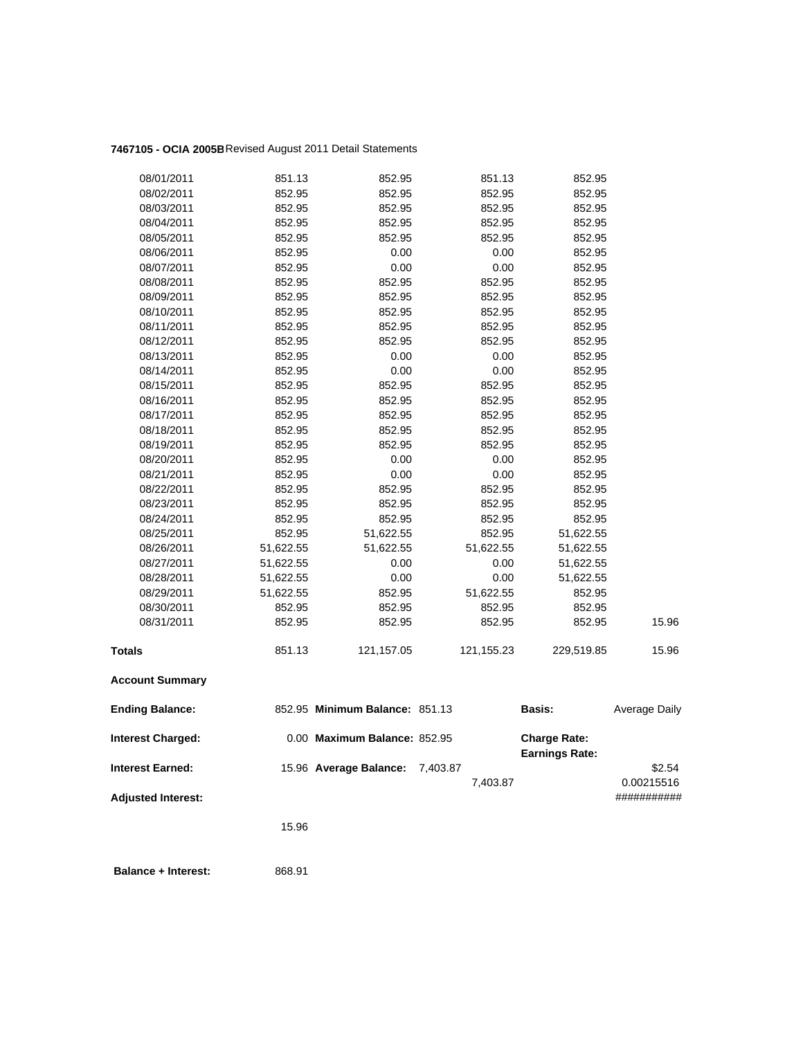# **7467105 - OCIA 2005B**Revised August 2011 Detail Statements

| 08/01/2011                | 851.13    | 852.95                          | 851.13     | 852.95                                       |                      |
|---------------------------|-----------|---------------------------------|------------|----------------------------------------------|----------------------|
| 08/02/2011                | 852.95    | 852.95                          | 852.95     | 852.95                                       |                      |
| 08/03/2011                | 852.95    | 852.95                          | 852.95     | 852.95                                       |                      |
| 08/04/2011                | 852.95    | 852.95                          | 852.95     | 852.95                                       |                      |
| 08/05/2011                | 852.95    | 852.95                          | 852.95     | 852.95                                       |                      |
| 08/06/2011                | 852.95    | 0.00                            | 0.00       | 852.95                                       |                      |
| 08/07/2011                | 852.95    | 0.00                            | 0.00       | 852.95                                       |                      |
| 08/08/2011                | 852.95    | 852.95                          | 852.95     | 852.95                                       |                      |
| 08/09/2011                | 852.95    | 852.95                          | 852.95     | 852.95                                       |                      |
| 08/10/2011                | 852.95    | 852.95                          | 852.95     | 852.95                                       |                      |
| 08/11/2011                | 852.95    | 852.95                          | 852.95     | 852.95                                       |                      |
| 08/12/2011                | 852.95    | 852.95                          | 852.95     | 852.95                                       |                      |
| 08/13/2011                | 852.95    | 0.00                            | 0.00       | 852.95                                       |                      |
| 08/14/2011                | 852.95    | 0.00                            | 0.00       | 852.95                                       |                      |
| 08/15/2011                | 852.95    | 852.95                          | 852.95     | 852.95                                       |                      |
| 08/16/2011                | 852.95    | 852.95                          | 852.95     | 852.95                                       |                      |
| 08/17/2011                | 852.95    | 852.95                          | 852.95     | 852.95                                       |                      |
| 08/18/2011                | 852.95    | 852.95                          | 852.95     | 852.95                                       |                      |
| 08/19/2011                | 852.95    | 852.95                          | 852.95     | 852.95                                       |                      |
| 08/20/2011                | 852.95    | 0.00                            | 0.00       | 852.95                                       |                      |
| 08/21/2011                | 852.95    | 0.00                            | 0.00       | 852.95                                       |                      |
| 08/22/2011                | 852.95    | 852.95                          | 852.95     | 852.95                                       |                      |
| 08/23/2011                | 852.95    | 852.95                          | 852.95     | 852.95                                       |                      |
| 08/24/2011                | 852.95    | 852.95                          | 852.95     | 852.95                                       |                      |
| 08/25/2011                | 852.95    | 51,622.55                       | 852.95     | 51,622.55                                    |                      |
| 08/26/2011                | 51,622.55 | 51,622.55                       | 51,622.55  | 51,622.55                                    |                      |
| 08/27/2011                | 51,622.55 | 0.00                            | 0.00       | 51,622.55                                    |                      |
| 08/28/2011                | 51,622.55 | 0.00                            | 0.00       | 51,622.55                                    |                      |
| 08/29/2011                | 51,622.55 | 852.95                          | 51,622.55  | 852.95                                       |                      |
| 08/30/2011                | 852.95    | 852.95                          | 852.95     | 852.95                                       |                      |
| 08/31/2011                | 852.95    | 852.95                          | 852.95     | 852.95                                       | 15.96                |
| <b>Totals</b>             | 851.13    | 121,157.05                      | 121,155.23 | 229,519.85                                   | 15.96                |
| <b>Account Summary</b>    |           |                                 |            |                                              |                      |
| <b>Ending Balance:</b>    |           | 852.95 Minimum Balance: 851.13  |            | Basis:                                       | <b>Average Daily</b> |
| <b>Interest Charged:</b>  |           | 0.00 Maximum Balance: 852.95    |            | <b>Charge Rate:</b><br><b>Earnings Rate:</b> |                      |
| <b>Interest Earned:</b>   |           | 15.96 Average Balance: 7,403.87 |            |                                              | \$2.54               |
|                           |           |                                 | 7,403.87   |                                              | 0.00215516           |
| <b>Adjusted Interest:</b> |           |                                 |            |                                              | ###########          |
|                           | 15.96     |                                 |            |                                              |                      |
|                           |           |                                 |            |                                              |                      |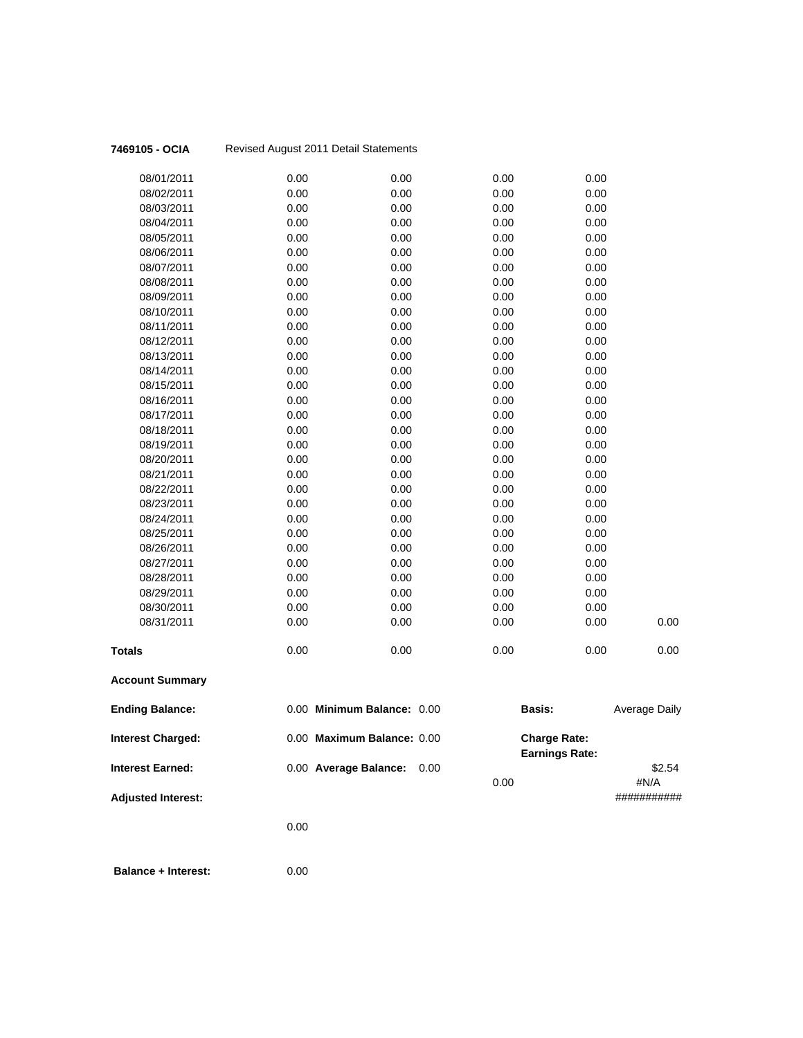| 7469105 - OCIA            |      | Revised August 2011 Detail Statements |              |                                              |                      |
|---------------------------|------|---------------------------------------|--------------|----------------------------------------------|----------------------|
| 08/01/2011                | 0.00 | 0.00                                  | 0.00         | 0.00                                         |                      |
| 08/02/2011                | 0.00 | 0.00                                  | 0.00         | 0.00                                         |                      |
| 08/03/2011                | 0.00 | 0.00                                  | 0.00         | 0.00                                         |                      |
| 08/04/2011                | 0.00 | 0.00                                  | 0.00         | 0.00                                         |                      |
| 08/05/2011                | 0.00 | 0.00                                  | 0.00         | 0.00                                         |                      |
| 08/06/2011                | 0.00 | 0.00                                  | 0.00         | 0.00                                         |                      |
| 08/07/2011                | 0.00 | 0.00                                  | 0.00         | 0.00                                         |                      |
| 08/08/2011                | 0.00 | 0.00                                  | 0.00         | 0.00                                         |                      |
| 08/09/2011                | 0.00 | 0.00                                  | 0.00         | 0.00                                         |                      |
| 08/10/2011                | 0.00 | 0.00                                  | 0.00         | 0.00                                         |                      |
| 08/11/2011                | 0.00 | 0.00                                  | 0.00         | 0.00                                         |                      |
| 08/12/2011                | 0.00 | 0.00                                  | 0.00         | 0.00                                         |                      |
| 08/13/2011                | 0.00 | 0.00                                  | 0.00         | 0.00                                         |                      |
| 08/14/2011                | 0.00 | 0.00                                  | 0.00         | 0.00                                         |                      |
| 08/15/2011                | 0.00 | 0.00                                  | 0.00         | 0.00                                         |                      |
| 08/16/2011                | 0.00 | 0.00                                  | 0.00         | 0.00                                         |                      |
| 08/17/2011                | 0.00 | 0.00                                  | 0.00         | 0.00                                         |                      |
| 08/18/2011                | 0.00 | 0.00                                  | 0.00         | 0.00                                         |                      |
| 08/19/2011                | 0.00 | 0.00                                  | 0.00         | 0.00                                         |                      |
| 08/20/2011                | 0.00 | 0.00                                  | 0.00         | 0.00                                         |                      |
| 08/21/2011                | 0.00 | 0.00                                  | 0.00         | 0.00                                         |                      |
| 08/22/2011                | 0.00 | 0.00                                  | 0.00         | 0.00                                         |                      |
| 08/23/2011                | 0.00 | 0.00                                  | 0.00         | 0.00                                         |                      |
| 08/24/2011                | 0.00 | 0.00                                  | 0.00         | 0.00                                         |                      |
| 08/25/2011                | 0.00 | 0.00                                  | 0.00         | 0.00                                         |                      |
| 08/26/2011                | 0.00 | 0.00                                  | 0.00         | 0.00                                         |                      |
| 08/27/2011                | 0.00 | 0.00                                  | 0.00         | 0.00                                         |                      |
| 08/28/2011                | 0.00 | 0.00                                  | 0.00         | 0.00                                         |                      |
| 08/29/2011                | 0.00 | 0.00                                  | 0.00         | 0.00                                         |                      |
| 08/30/2011                | 0.00 | 0.00                                  | 0.00         | 0.00                                         |                      |
| 08/31/2011                | 0.00 | 0.00                                  | 0.00         | 0.00                                         | 0.00                 |
| <b>Totals</b>             | 0.00 | 0.00                                  | 0.00         | 0.00                                         | 0.00                 |
| <b>Account Summary</b>    |      |                                       |              |                                              |                      |
| <b>Ending Balance:</b>    |      | 0.00 Minimum Balance: 0.00            |              | <b>Basis:</b>                                | <b>Average Daily</b> |
| Interest Charged:         |      | 0.00 Maximum Balance: 0.00            |              | <b>Charge Rate:</b><br><b>Earnings Rate:</b> |                      |
| <b>Interest Earned:</b>   |      | 0.00 Average Balance:                 | 0.00<br>0.00 |                                              | \$2.54<br>#N/A       |
| <b>Adjusted Interest:</b> |      |                                       |              |                                              | ###########          |
|                           |      |                                       |              |                                              |                      |
|                           | 0.00 |                                       |              |                                              |                      |
|                           |      |                                       |              |                                              |                      |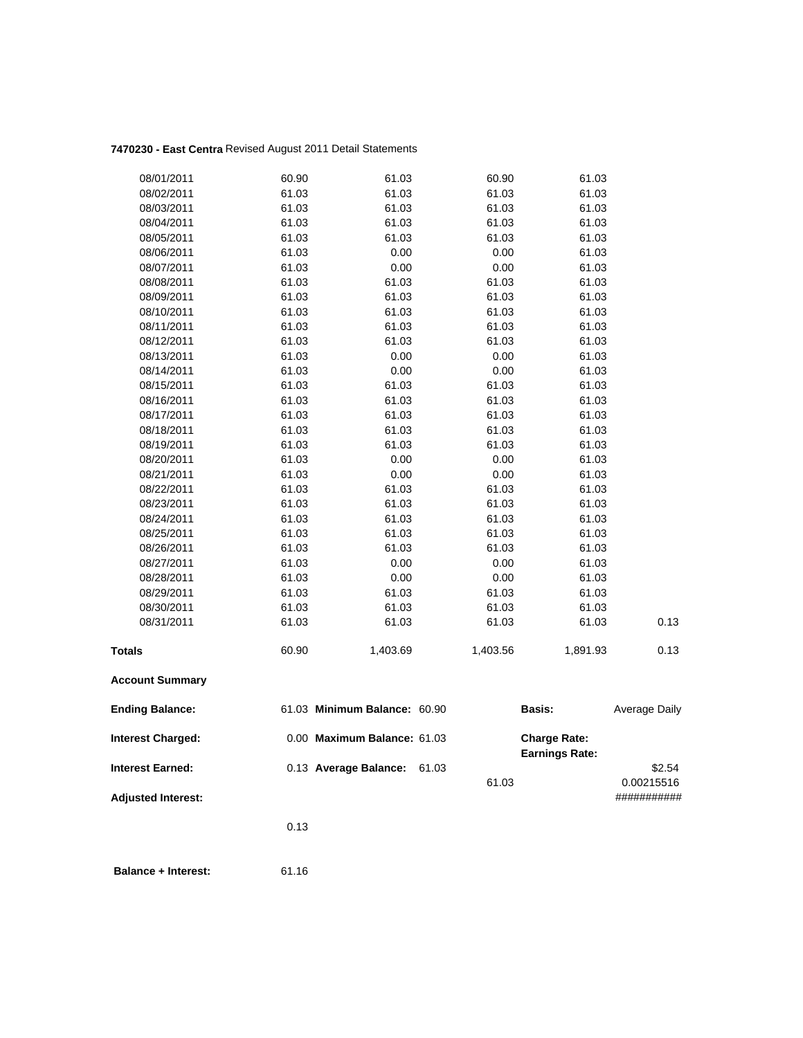# **7470230 - East Centra** Revised August 2011 Detail Statements

| 08/01/2011                | 60.90 | 61.03                        | 60.90    | 61.03                 |               |
|---------------------------|-------|------------------------------|----------|-----------------------|---------------|
| 08/02/2011                | 61.03 | 61.03                        | 61.03    | 61.03                 |               |
| 08/03/2011                | 61.03 | 61.03                        | 61.03    | 61.03                 |               |
| 08/04/2011                | 61.03 | 61.03                        | 61.03    | 61.03                 |               |
| 08/05/2011                | 61.03 | 61.03                        | 61.03    | 61.03                 |               |
| 08/06/2011                | 61.03 | 0.00                         | 0.00     | 61.03                 |               |
| 08/07/2011                | 61.03 | 0.00                         | 0.00     | 61.03                 |               |
| 08/08/2011                | 61.03 | 61.03                        | 61.03    | 61.03                 |               |
| 08/09/2011                | 61.03 | 61.03                        | 61.03    | 61.03                 |               |
| 08/10/2011                | 61.03 | 61.03                        | 61.03    | 61.03                 |               |
| 08/11/2011                | 61.03 | 61.03                        | 61.03    | 61.03                 |               |
| 08/12/2011                | 61.03 | 61.03                        | 61.03    | 61.03                 |               |
| 08/13/2011                | 61.03 | 0.00                         | $0.00\,$ | 61.03                 |               |
| 08/14/2011                | 61.03 | 0.00                         | 0.00     | 61.03                 |               |
| 08/15/2011                | 61.03 | 61.03                        | 61.03    | 61.03                 |               |
| 08/16/2011                | 61.03 | 61.03                        | 61.03    | 61.03                 |               |
| 08/17/2011                | 61.03 | 61.03                        | 61.03    | 61.03                 |               |
| 08/18/2011                | 61.03 | 61.03                        | 61.03    | 61.03                 |               |
| 08/19/2011                | 61.03 | 61.03                        | 61.03    | 61.03                 |               |
| 08/20/2011                | 61.03 | 0.00                         | 0.00     | 61.03                 |               |
| 08/21/2011                | 61.03 | 0.00                         | 0.00     | 61.03                 |               |
| 08/22/2011                | 61.03 | 61.03                        | 61.03    | 61.03                 |               |
| 08/23/2011                | 61.03 | 61.03                        | 61.03    | 61.03                 |               |
| 08/24/2011                | 61.03 | 61.03                        | 61.03    | 61.03                 |               |
| 08/25/2011                | 61.03 | 61.03                        | 61.03    | 61.03                 |               |
| 08/26/2011                | 61.03 | 61.03                        | 61.03    | 61.03                 |               |
| 08/27/2011                | 61.03 | 0.00                         | 0.00     | 61.03                 |               |
| 08/28/2011                | 61.03 | 0.00                         | 0.00     | 61.03                 |               |
| 08/29/2011                | 61.03 | 61.03                        | 61.03    | 61.03                 |               |
| 08/30/2011                | 61.03 | 61.03                        | 61.03    | 61.03                 |               |
| 08/31/2011                | 61.03 | 61.03                        | 61.03    | 61.03                 | 0.13          |
| <b>Totals</b>             | 60.90 | 1,403.69                     | 1,403.56 | 1,891.93              | 0.13          |
| <b>Account Summary</b>    |       |                              |          |                       |               |
| <b>Ending Balance:</b>    |       | 61.03 Minimum Balance: 60.90 |          | <b>Basis:</b>         | Average Daily |
| <b>Interest Charged:</b>  |       | 0.00 Maximum Balance: 61.03  |          | <b>Charge Rate:</b>   |               |
|                           |       |                              |          | <b>Earnings Rate:</b> |               |
| <b>Interest Earned:</b>   |       | 0.13 Average Balance:        | 61.03    |                       | \$2.54        |
|                           |       |                              | 61.03    |                       | 0.00215516    |
| <b>Adjusted Interest:</b> |       |                              |          |                       | ###########   |
|                           | 0.13  |                              |          |                       |               |
|                           |       |                              |          |                       |               |
|                           |       |                              |          |                       |               |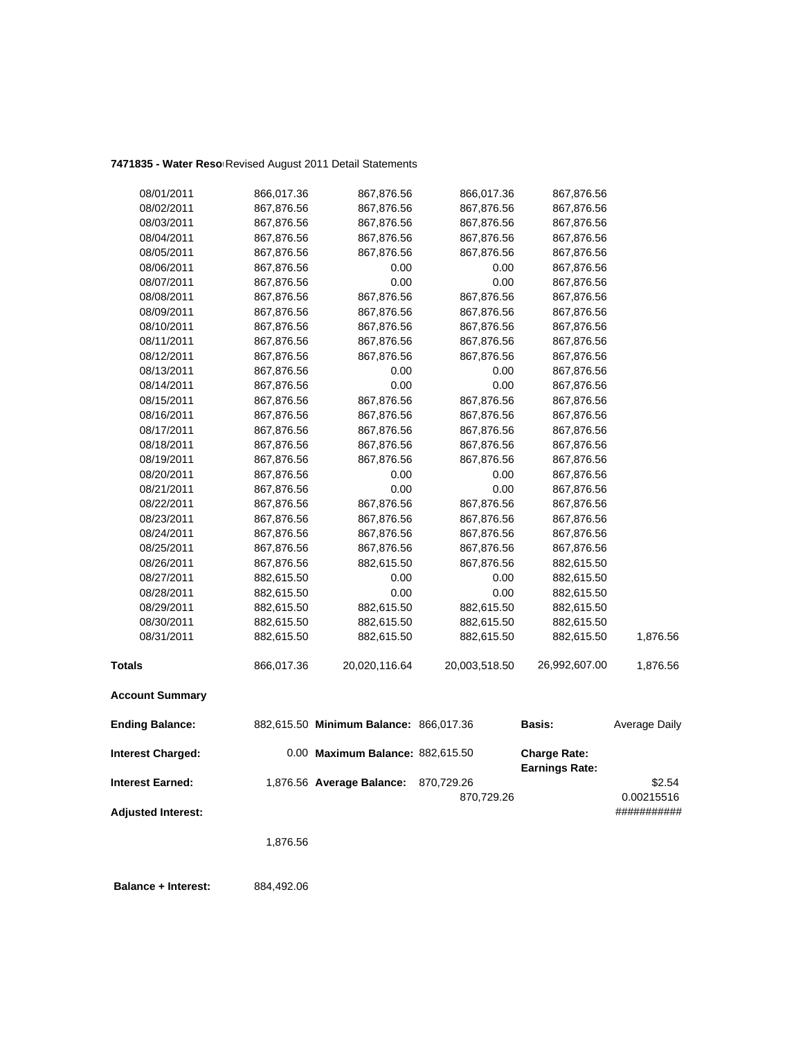| 08/01/2011                | 866,017.36 | 867,876.56                             | 866,017.36    | 867,876.56                                   |               |
|---------------------------|------------|----------------------------------------|---------------|----------------------------------------------|---------------|
| 08/02/2011                | 867,876.56 | 867,876.56                             | 867,876.56    | 867,876.56                                   |               |
| 08/03/2011                | 867,876.56 | 867,876.56                             | 867,876.56    | 867,876.56                                   |               |
| 08/04/2011                | 867,876.56 | 867,876.56                             | 867,876.56    | 867,876.56                                   |               |
| 08/05/2011                | 867,876.56 | 867,876.56                             | 867,876.56    | 867,876.56                                   |               |
| 08/06/2011                | 867,876.56 | 0.00                                   | 0.00          | 867,876.56                                   |               |
| 08/07/2011                | 867,876.56 | 0.00                                   | 0.00          | 867,876.56                                   |               |
| 08/08/2011                | 867,876.56 | 867,876.56                             | 867,876.56    | 867,876.56                                   |               |
| 08/09/2011                | 867,876.56 | 867,876.56                             | 867,876.56    | 867,876.56                                   |               |
| 08/10/2011                | 867,876.56 | 867,876.56                             | 867,876.56    | 867,876.56                                   |               |
| 08/11/2011                | 867,876.56 | 867,876.56                             | 867,876.56    | 867,876.56                                   |               |
| 08/12/2011                | 867,876.56 | 867,876.56                             | 867,876.56    | 867,876.56                                   |               |
| 08/13/2011                | 867,876.56 | 0.00                                   | 0.00          | 867,876.56                                   |               |
| 08/14/2011                | 867,876.56 | 0.00                                   | 0.00          | 867,876.56                                   |               |
| 08/15/2011                | 867,876.56 | 867,876.56                             | 867,876.56    | 867,876.56                                   |               |
| 08/16/2011                | 867,876.56 | 867,876.56                             | 867,876.56    | 867,876.56                                   |               |
| 08/17/2011                | 867,876.56 | 867,876.56                             | 867,876.56    | 867,876.56                                   |               |
| 08/18/2011                | 867,876.56 | 867,876.56                             | 867,876.56    | 867,876.56                                   |               |
| 08/19/2011                | 867,876.56 | 867,876.56                             | 867,876.56    | 867,876.56                                   |               |
| 08/20/2011                | 867,876.56 | 0.00                                   | 0.00          | 867,876.56                                   |               |
| 08/21/2011                | 867,876.56 | 0.00                                   | 0.00          | 867,876.56                                   |               |
| 08/22/2011                | 867,876.56 | 867,876.56                             | 867,876.56    | 867,876.56                                   |               |
| 08/23/2011                | 867,876.56 | 867,876.56                             | 867,876.56    | 867,876.56                                   |               |
| 08/24/2011                | 867,876.56 | 867,876.56                             | 867,876.56    | 867,876.56                                   |               |
| 08/25/2011                | 867,876.56 | 867,876.56                             | 867,876.56    | 867,876.56                                   |               |
| 08/26/2011                | 867,876.56 | 882,615.50                             | 867,876.56    | 882,615.50                                   |               |
| 08/27/2011                | 882,615.50 | 0.00                                   | 0.00          | 882,615.50                                   |               |
| 08/28/2011                | 882,615.50 | 0.00                                   | 0.00          | 882,615.50                                   |               |
| 08/29/2011                | 882,615.50 | 882,615.50                             | 882,615.50    | 882,615.50                                   |               |
| 08/30/2011                | 882,615.50 | 882,615.50                             | 882,615.50    | 882,615.50                                   |               |
| 08/31/2011                | 882,615.50 | 882,615.50                             | 882,615.50    | 882,615.50                                   | 1,876.56      |
| <b>Totals</b>             | 866,017.36 | 20,020,116.64                          | 20,003,518.50 | 26,992,607.00                                | 1,876.56      |
| <b>Account Summary</b>    |            |                                        |               |                                              |               |
| <b>Ending Balance:</b>    |            | 882,615.50 Minimum Balance: 866,017.36 |               | Basis:                                       | Average Daily |
| Interest Charged:         |            | 0.00 Maximum Balance: 882,615.50       |               | <b>Charge Rate:</b><br><b>Earnings Rate:</b> |               |
| <b>Interest Earned:</b>   |            | 1,876.56 Average Balance:              | 870,729.26    |                                              | \$2.54        |
|                           |            |                                        | 870,729.26    |                                              | 0.00215516    |
| <b>Adjusted Interest:</b> |            |                                        |               |                                              | ###########   |
|                           | 1,876.56   |                                        |               |                                              |               |
|                           |            |                                        |               |                                              |               |

 **Balance + Interest:** 884,492.06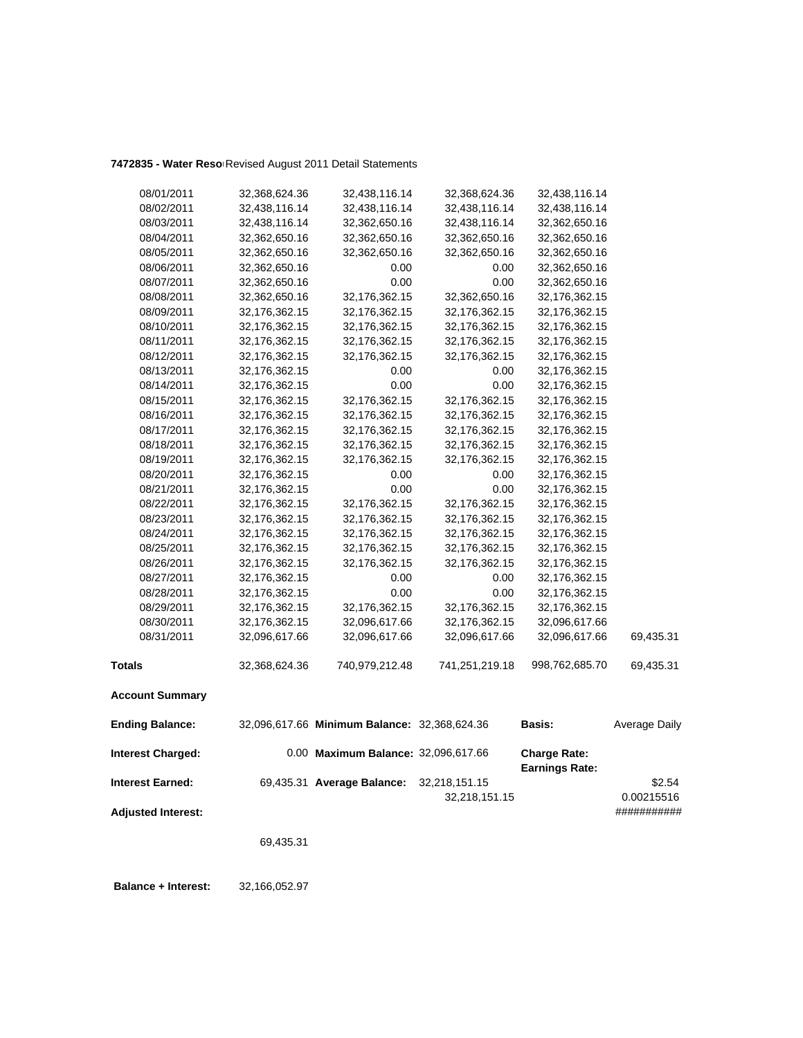| 08/01/2011                | 32,368,624.36 | 32,438,116.14                                | 32,368,624.36  | 32,438,116.14                                |               |
|---------------------------|---------------|----------------------------------------------|----------------|----------------------------------------------|---------------|
| 08/02/2011                | 32,438,116.14 | 32,438,116.14                                | 32,438,116.14  | 32,438,116.14                                |               |
| 08/03/2011                | 32,438,116.14 | 32,362,650.16                                | 32,438,116.14  | 32,362,650.16                                |               |
| 08/04/2011                | 32,362,650.16 | 32,362,650.16                                | 32,362,650.16  | 32,362,650.16                                |               |
| 08/05/2011                | 32,362,650.16 | 32,362,650.16                                | 32,362,650.16  | 32,362,650.16                                |               |
| 08/06/2011                | 32,362,650.16 | 0.00                                         | 0.00           | 32,362,650.16                                |               |
| 08/07/2011                | 32,362,650.16 | 0.00                                         | 0.00           | 32,362,650.16                                |               |
| 08/08/2011                | 32,362,650.16 | 32,176,362.15                                | 32,362,650.16  | 32,176,362.15                                |               |
| 08/09/2011                | 32,176,362.15 | 32,176,362.15                                | 32,176,362.15  | 32,176,362.15                                |               |
| 08/10/2011                | 32,176,362.15 | 32,176,362.15                                | 32,176,362.15  | 32,176,362.15                                |               |
| 08/11/2011                | 32,176,362.15 | 32,176,362.15                                | 32,176,362.15  | 32,176,362.15                                |               |
| 08/12/2011                | 32,176,362.15 | 32,176,362.15                                | 32,176,362.15  | 32,176,362.15                                |               |
| 08/13/2011                | 32,176,362.15 | 0.00                                         | 0.00           | 32,176,362.15                                |               |
| 08/14/2011                | 32,176,362.15 | 0.00                                         | 0.00           | 32,176,362.15                                |               |
| 08/15/2011                | 32,176,362.15 | 32,176,362.15                                | 32,176,362.15  | 32,176,362.15                                |               |
| 08/16/2011                | 32,176,362.15 | 32,176,362.15                                | 32,176,362.15  | 32,176,362.15                                |               |
| 08/17/2011                | 32,176,362.15 | 32,176,362.15                                | 32,176,362.15  | 32,176,362.15                                |               |
| 08/18/2011                | 32,176,362.15 | 32,176,362.15                                | 32,176,362.15  | 32,176,362.15                                |               |
| 08/19/2011                | 32,176,362.15 | 32,176,362.15                                | 32,176,362.15  | 32,176,362.15                                |               |
| 08/20/2011                | 32,176,362.15 | 0.00                                         | 0.00           | 32,176,362.15                                |               |
| 08/21/2011                | 32,176,362.15 | 0.00                                         | 0.00           | 32,176,362.15                                |               |
| 08/22/2011                | 32,176,362.15 | 32,176,362.15                                | 32,176,362.15  | 32,176,362.15                                |               |
| 08/23/2011                | 32,176,362.15 | 32,176,362.15                                | 32,176,362.15  | 32,176,362.15                                |               |
| 08/24/2011                | 32,176,362.15 | 32,176,362.15                                | 32,176,362.15  | 32,176,362.15                                |               |
| 08/25/2011                | 32,176,362.15 | 32,176,362.15                                | 32,176,362.15  | 32,176,362.15                                |               |
| 08/26/2011                | 32,176,362.15 | 32,176,362.15                                | 32,176,362.15  | 32,176,362.15                                |               |
| 08/27/2011                | 32,176,362.15 | 0.00                                         | 0.00           | 32,176,362.15                                |               |
| 08/28/2011                | 32,176,362.15 | 0.00                                         | 0.00           | 32,176,362.15                                |               |
| 08/29/2011                | 32,176,362.15 | 32,176,362.15                                | 32,176,362.15  | 32,176,362.15                                |               |
| 08/30/2011                | 32,176,362.15 | 32,096,617.66                                | 32,176,362.15  | 32,096,617.66                                |               |
| 08/31/2011                | 32,096,617.66 | 32,096,617.66                                | 32,096,617.66  | 32,096,617.66                                | 69,435.31     |
| <b>Totals</b>             | 32,368,624.36 | 740,979,212.48                               | 741,251,219.18 | 998,762,685.70                               | 69,435.31     |
| <b>Account Summary</b>    |               |                                              |                |                                              |               |
| <b>Ending Balance:</b>    |               | 32,096,617.66 Minimum Balance: 32,368,624.36 |                | <b>Basis:</b>                                | Average Daily |
| <b>Interest Charged:</b>  |               | 0.00 Maximum Balance: 32,096,617.66          |                | <b>Charge Rate:</b><br><b>Earnings Rate:</b> |               |
| <b>Interest Earned:</b>   |               | 69,435.31 Average Balance:                   | 32,218,151.15  |                                              | \$2.54        |
|                           |               |                                              | 32,218,151.15  |                                              | 0.00215516    |
| <b>Adjusted Interest:</b> |               |                                              |                |                                              | ###########   |
|                           | 69,435.31     |                                              |                |                                              |               |
|                           |               |                                              |                |                                              |               |

 **Balance + Interest:** 32,166,052.97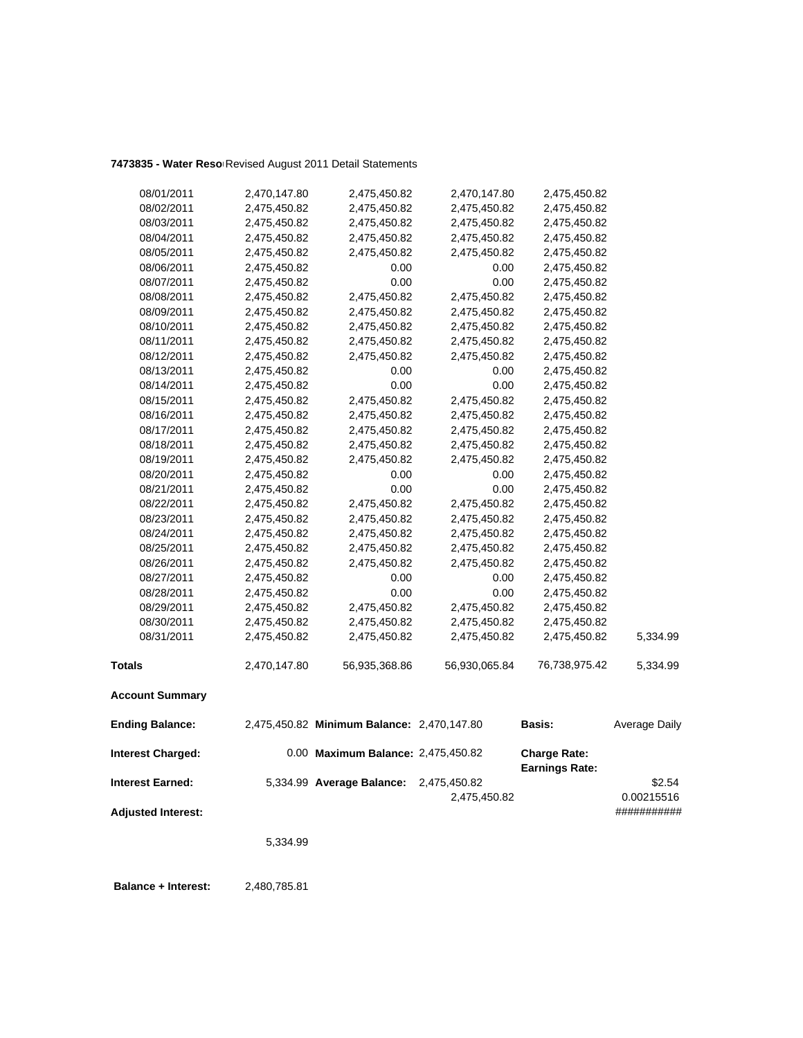| 08/01/2011                | 2,470,147.80 | 2,475,450.82                               | 2,470,147.80  | 2,475,450.82          |               |
|---------------------------|--------------|--------------------------------------------|---------------|-----------------------|---------------|
| 08/02/2011                | 2,475,450.82 | 2,475,450.82                               | 2,475,450.82  | 2,475,450.82          |               |
| 08/03/2011                | 2,475,450.82 | 2,475,450.82                               | 2,475,450.82  | 2,475,450.82          |               |
| 08/04/2011                | 2,475,450.82 | 2,475,450.82                               | 2,475,450.82  | 2,475,450.82          |               |
| 08/05/2011                | 2,475,450.82 | 2,475,450.82                               | 2,475,450.82  | 2,475,450.82          |               |
| 08/06/2011                | 2,475,450.82 | 0.00                                       | 0.00          | 2,475,450.82          |               |
| 08/07/2011                | 2,475,450.82 | 0.00                                       | 0.00          | 2,475,450.82          |               |
| 08/08/2011                | 2,475,450.82 | 2,475,450.82                               | 2,475,450.82  | 2,475,450.82          |               |
| 08/09/2011                | 2,475,450.82 | 2,475,450.82                               | 2,475,450.82  | 2,475,450.82          |               |
| 08/10/2011                | 2,475,450.82 | 2,475,450.82                               | 2,475,450.82  | 2,475,450.82          |               |
| 08/11/2011                | 2,475,450.82 | 2,475,450.82                               | 2,475,450.82  | 2,475,450.82          |               |
| 08/12/2011                | 2,475,450.82 | 2,475,450.82                               | 2,475,450.82  | 2,475,450.82          |               |
| 08/13/2011                | 2,475,450.82 | 0.00                                       | 0.00          | 2,475,450.82          |               |
| 08/14/2011                | 2,475,450.82 | 0.00                                       | 0.00          | 2,475,450.82          |               |
| 08/15/2011                | 2,475,450.82 | 2,475,450.82                               | 2,475,450.82  | 2,475,450.82          |               |
| 08/16/2011                | 2,475,450.82 | 2,475,450.82                               | 2,475,450.82  | 2,475,450.82          |               |
| 08/17/2011                | 2,475,450.82 | 2,475,450.82                               | 2,475,450.82  | 2,475,450.82          |               |
| 08/18/2011                | 2,475,450.82 | 2,475,450.82                               | 2,475,450.82  | 2,475,450.82          |               |
| 08/19/2011                | 2,475,450.82 | 2,475,450.82                               | 2,475,450.82  | 2,475,450.82          |               |
| 08/20/2011                | 2,475,450.82 | 0.00                                       | 0.00          | 2,475,450.82          |               |
| 08/21/2011                | 2,475,450.82 | 0.00                                       | 0.00          | 2,475,450.82          |               |
| 08/22/2011                | 2,475,450.82 | 2,475,450.82                               | 2,475,450.82  | 2,475,450.82          |               |
| 08/23/2011                | 2,475,450.82 | 2,475,450.82                               | 2,475,450.82  | 2,475,450.82          |               |
| 08/24/2011                | 2,475,450.82 | 2,475,450.82                               | 2,475,450.82  | 2,475,450.82          |               |
| 08/25/2011                | 2,475,450.82 | 2,475,450.82                               | 2,475,450.82  | 2,475,450.82          |               |
| 08/26/2011                | 2,475,450.82 | 2,475,450.82                               | 2,475,450.82  | 2,475,450.82          |               |
| 08/27/2011                | 2,475,450.82 | 0.00                                       | 0.00          | 2,475,450.82          |               |
| 08/28/2011                | 2,475,450.82 | 0.00                                       | 0.00          | 2,475,450.82          |               |
| 08/29/2011                | 2,475,450.82 | 2,475,450.82                               | 2,475,450.82  | 2,475,450.82          |               |
| 08/30/2011                | 2,475,450.82 | 2,475,450.82                               | 2,475,450.82  | 2,475,450.82          |               |
| 08/31/2011                | 2,475,450.82 | 2,475,450.82                               | 2,475,450.82  | 2,475,450.82          | 5,334.99      |
| <b>Totals</b>             | 2,470,147.80 | 56,935,368.86                              | 56,930,065.84 | 76,738,975.42         | 5,334.99      |
| <b>Account Summary</b>    |              |                                            |               |                       |               |
| <b>Ending Balance:</b>    |              | 2,475,450.82 Minimum Balance: 2,470,147.80 |               | <b>Basis:</b>         | Average Daily |
| <b>Interest Charged:</b>  |              | 0.00 Maximum Balance: 2,475,450.82         |               | <b>Charge Rate:</b>   |               |
| <b>Interest Earned:</b>   |              | 5,334.99 Average Balance:                  | 2,475,450.82  | <b>Earnings Rate:</b> | \$2.54        |
|                           |              |                                            | 2,475,450.82  |                       | 0.00215516    |
| <b>Adjusted Interest:</b> |              |                                            |               |                       | ###########   |
|                           |              |                                            |               |                       |               |
|                           | 5,334.99     |                                            |               |                       |               |

 **Balance + Interest:** 2,480,785.81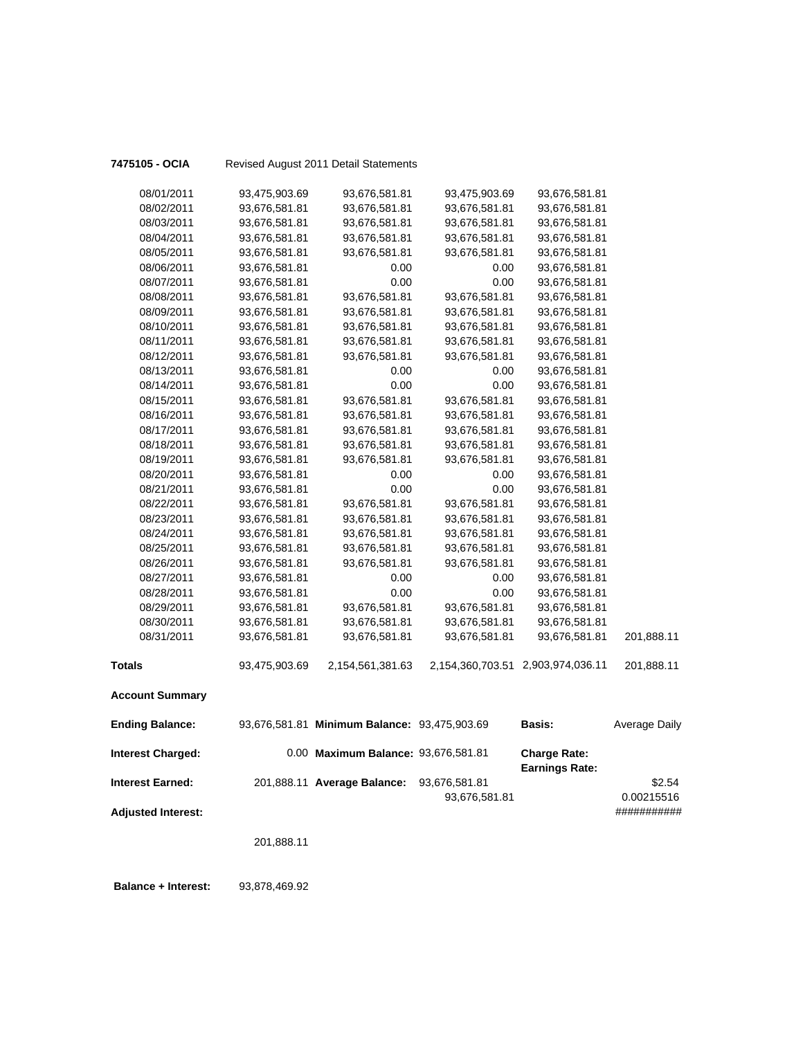| 7475105 - OCIA            |               | Revised August 2011 Detail Statements        |                  |                                              |                           |
|---------------------------|---------------|----------------------------------------------|------------------|----------------------------------------------|---------------------------|
| 08/01/2011                | 93,475,903.69 | 93,676,581.81                                | 93,475,903.69    | 93,676,581.81                                |                           |
| 08/02/2011                | 93,676,581.81 | 93,676,581.81                                | 93,676,581.81    | 93,676,581.81                                |                           |
| 08/03/2011                | 93,676,581.81 | 93,676,581.81                                | 93,676,581.81    | 93,676,581.81                                |                           |
| 08/04/2011                | 93,676,581.81 | 93,676,581.81                                | 93,676,581.81    | 93,676,581.81                                |                           |
| 08/05/2011                | 93,676,581.81 | 93,676,581.81                                | 93,676,581.81    | 93,676,581.81                                |                           |
| 08/06/2011                | 93,676,581.81 | 0.00                                         | 0.00             | 93,676,581.81                                |                           |
| 08/07/2011                | 93,676,581.81 | 0.00                                         | 0.00             | 93,676,581.81                                |                           |
| 08/08/2011                | 93,676,581.81 | 93,676,581.81                                | 93,676,581.81    | 93,676,581.81                                |                           |
| 08/09/2011                | 93,676,581.81 | 93,676,581.81                                | 93,676,581.81    | 93,676,581.81                                |                           |
| 08/10/2011                | 93,676,581.81 | 93,676,581.81                                | 93,676,581.81    | 93,676,581.81                                |                           |
| 08/11/2011                | 93,676,581.81 | 93,676,581.81                                | 93,676,581.81    | 93,676,581.81                                |                           |
| 08/12/2011                | 93,676,581.81 | 93,676,581.81                                | 93,676,581.81    | 93,676,581.81                                |                           |
| 08/13/2011                | 93,676,581.81 | 0.00                                         | 0.00             | 93,676,581.81                                |                           |
| 08/14/2011                | 93,676,581.81 | 0.00                                         | 0.00             | 93,676,581.81                                |                           |
| 08/15/2011                | 93,676,581.81 | 93,676,581.81                                | 93,676,581.81    | 93,676,581.81                                |                           |
| 08/16/2011                | 93,676,581.81 | 93,676,581.81                                | 93,676,581.81    | 93,676,581.81                                |                           |
| 08/17/2011                | 93,676,581.81 | 93,676,581.81                                | 93,676,581.81    | 93,676,581.81                                |                           |
| 08/18/2011                | 93,676,581.81 | 93,676,581.81                                | 93,676,581.81    | 93,676,581.81                                |                           |
| 08/19/2011                | 93,676,581.81 | 93,676,581.81                                | 93,676,581.81    | 93,676,581.81                                |                           |
| 08/20/2011                | 93,676,581.81 | 0.00                                         | 0.00             | 93,676,581.81                                |                           |
| 08/21/2011                | 93,676,581.81 | 0.00                                         | 0.00             | 93,676,581.81                                |                           |
| 08/22/2011                | 93,676,581.81 | 93,676,581.81                                | 93,676,581.81    | 93,676,581.81                                |                           |
| 08/23/2011                | 93,676,581.81 | 93,676,581.81                                | 93,676,581.81    | 93,676,581.81                                |                           |
| 08/24/2011                | 93,676,581.81 | 93,676,581.81                                | 93,676,581.81    | 93,676,581.81                                |                           |
| 08/25/2011                | 93,676,581.81 | 93,676,581.81                                | 93,676,581.81    | 93,676,581.81                                |                           |
| 08/26/2011                | 93,676,581.81 | 93,676,581.81                                | 93,676,581.81    | 93,676,581.81                                |                           |
| 08/27/2011                | 93,676,581.81 | 0.00                                         | 0.00             | 93,676,581.81                                |                           |
| 08/28/2011                | 93,676,581.81 | 0.00                                         | 0.00             | 93,676,581.81                                |                           |
| 08/29/2011                | 93,676,581.81 | 93,676,581.81                                | 93,676,581.81    | 93,676,581.81                                |                           |
| 08/30/2011                | 93,676,581.81 | 93,676,581.81                                | 93,676,581.81    | 93,676,581.81                                |                           |
| 08/31/2011                | 93,676,581.81 | 93,676,581.81                                | 93,676,581.81    | 93,676,581.81                                | 201,888.11                |
| <b>Totals</b>             | 93,475,903.69 | 2,154,561,381.63                             | 2,154,360,703.51 | 2,903,974,036.11                             | 201,888.11                |
| <b>Account Summary</b>    |               |                                              |                  |                                              |                           |
| <b>Ending Balance:</b>    |               | 93,676,581.81 Minimum Balance: 93,475,903.69 |                  | <b>Basis:</b>                                | <b>Average Daily</b>      |
| <b>Interest Charged:</b>  |               | 0.00 Maximum Balance: 93,676,581.81          |                  | <b>Charge Rate:</b><br><b>Earnings Rate:</b> |                           |
| <b>Interest Earned:</b>   |               | 201,888.11 Average Balance:                  | 93,676,581.81    |                                              | \$2.54                    |
| <b>Adjusted Interest:</b> |               |                                              | 93,676,581.81    |                                              | 0.00215516<br>########### |
|                           |               |                                              |                  |                                              |                           |
|                           | 201,888.11    |                                              |                  |                                              |                           |
|                           |               |                                              |                  |                                              |                           |
|                           |               |                                              |                  |                                              |                           |

 **Balance + Interest:** 93,878,469.92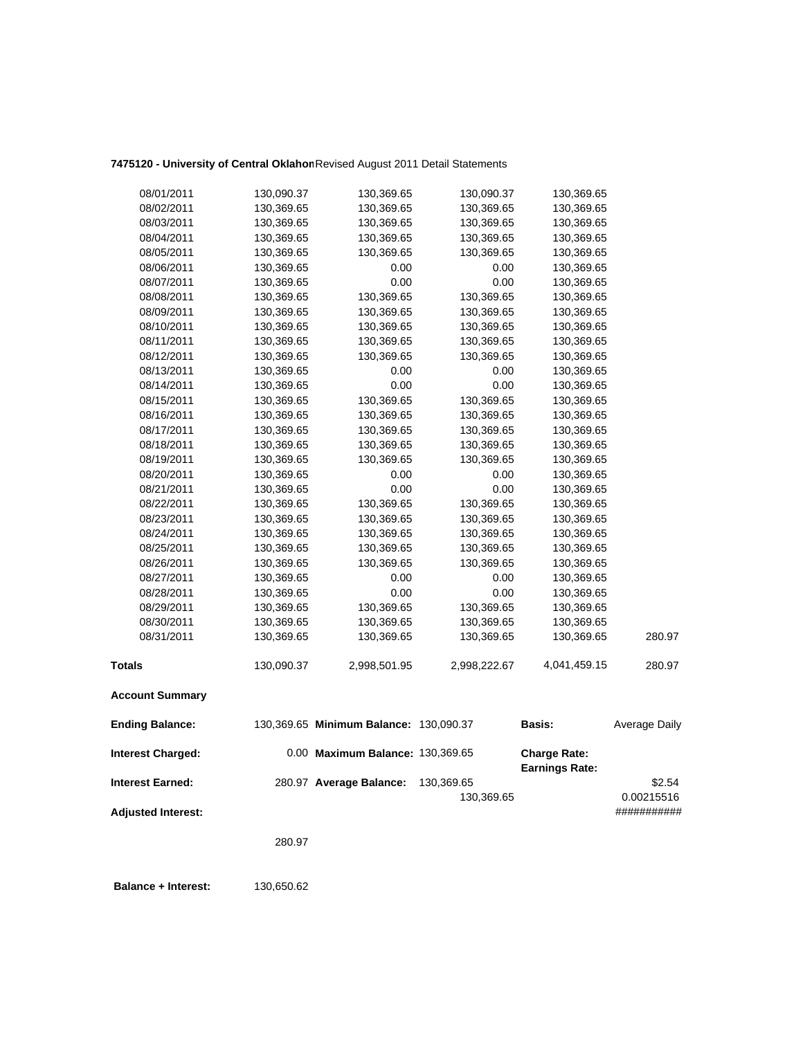# **7475120 - University of Central Oklahom**Revised August 2011 Detail Statements

| <b>Interest Earned:</b>  |            | 280.97 Average Balance:                | 130,369.65   | <b>Earnings Rate:</b> | \$2.54        |
|--------------------------|------------|----------------------------------------|--------------|-----------------------|---------------|
| <b>Interest Charged:</b> |            | 0.00 Maximum Balance: 130,369.65       |              | <b>Charge Rate:</b>   |               |
| <b>Ending Balance:</b>   |            | 130,369.65 Minimum Balance: 130,090.37 |              | <b>Basis:</b>         | Average Daily |
| <b>Account Summary</b>   |            |                                        |              |                       |               |
| <b>Totals</b>            | 130,090.37 | 2,998,501.95                           | 2,998,222.67 | 4,041,459.15          | 280.97        |
| 08/31/2011               | 130,369.65 | 130,369.65                             | 130,369.65   | 130,369.65            | 280.97        |
| 08/30/2011               | 130,369.65 | 130,369.65                             | 130,369.65   | 130,369.65            |               |
| 08/29/2011               | 130,369.65 | 130,369.65                             | 130,369.65   | 130,369.65            |               |
| 08/28/2011               | 130,369.65 | 0.00                                   | 0.00         | 130,369.65            |               |
| 08/27/2011               | 130,369.65 | 0.00                                   | 0.00         | 130,369.65            |               |
| 08/26/2011               | 130,369.65 | 130,369.65                             | 130,369.65   | 130,369.65            |               |
| 08/25/2011               | 130,369.65 | 130,369.65                             | 130,369.65   | 130,369.65            |               |
| 08/24/2011               | 130,369.65 | 130,369.65                             | 130,369.65   | 130,369.65            |               |
| 08/23/2011               | 130,369.65 | 130,369.65                             | 130,369.65   | 130,369.65            |               |
| 08/22/2011               | 130,369.65 | 130,369.65                             | 130,369.65   | 130,369.65            |               |
| 08/21/2011               | 130,369.65 | 0.00                                   | 0.00         | 130,369.65            |               |
| 08/20/2011               | 130,369.65 | 0.00                                   | 0.00         | 130,369.65            |               |
| 08/19/2011               | 130,369.65 | 130,369.65                             | 130,369.65   | 130,369.65            |               |
| 08/18/2011               | 130,369.65 | 130,369.65                             | 130,369.65   | 130,369.65            |               |
| 08/17/2011               | 130,369.65 | 130,369.65                             | 130,369.65   | 130,369.65            |               |
| 08/16/2011               | 130,369.65 | 130,369.65                             | 130,369.65   | 130,369.65            |               |
| 08/15/2011               | 130,369.65 | 130,369.65                             | 130,369.65   | 130,369.65            |               |
| 08/14/2011               | 130,369.65 | 0.00                                   | 0.00         | 130,369.65            |               |
| 08/13/2011               | 130,369.65 | 0.00                                   | 0.00         | 130,369.65            |               |
| 08/12/2011               | 130,369.65 | 130,369.65                             | 130,369.65   | 130,369.65            |               |
| 08/11/2011               | 130,369.65 | 130,369.65                             | 130,369.65   | 130,369.65            |               |
| 08/10/2011               | 130,369.65 | 130,369.65                             | 130,369.65   | 130,369.65            |               |
| 08/09/2011               | 130,369.65 | 130,369.65                             | 130,369.65   | 130,369.65            |               |
| 08/08/2011               | 130,369.65 | 130,369.65                             | 130,369.65   | 130,369.65            |               |
| 08/07/2011               | 130,369.65 | 0.00                                   | 0.00         | 130,369.65            |               |
| 08/06/2011               | 130,369.65 | 0.00                                   | 0.00         | 130,369.65            |               |
| 08/05/2011               | 130,369.65 | 130,369.65                             | 130,369.65   | 130,369.65            |               |
| 08/04/2011               | 130,369.65 | 130,369.65                             | 130,369.65   | 130,369.65            |               |
| 08/03/2011               | 130,369.65 | 130,369.65                             | 130,369.65   | 130,369.65            |               |
| 08/02/2011               | 130,369.65 | 130,369.65                             | 130,369.65   | 130,369.65            |               |
| 08/01/2011               | 130,090.37 | 130,369.65                             | 130,090.37   | 130,369.65            |               |

**Adjusted Interest:** ###########

130,369.65 0.00215516

280.97

 **Balance + Interest:** 130,650.62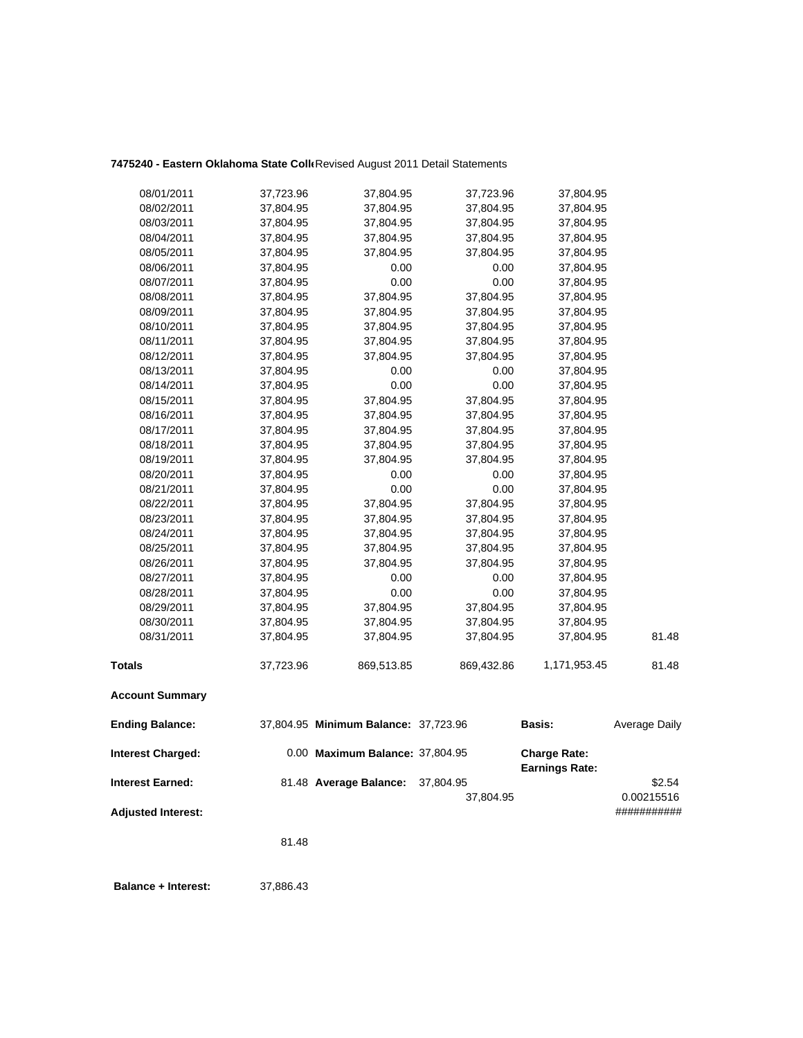# **7475240 - Eastern Oklahoma State Colle**Revised August 2011 Detail Statements

| 08/01/2011                | 37,723.96 | 37,804.95                            | 37,723.96  | 37,804.95                                    |               |
|---------------------------|-----------|--------------------------------------|------------|----------------------------------------------|---------------|
| 08/02/2011                | 37,804.95 | 37,804.95                            | 37,804.95  | 37,804.95                                    |               |
| 08/03/2011                | 37,804.95 | 37,804.95                            | 37,804.95  | 37,804.95                                    |               |
| 08/04/2011                | 37,804.95 | 37,804.95                            | 37,804.95  | 37,804.95                                    |               |
| 08/05/2011                | 37,804.95 | 37,804.95                            | 37,804.95  | 37,804.95                                    |               |
| 08/06/2011                | 37,804.95 | 0.00                                 | 0.00       | 37,804.95                                    |               |
| 08/07/2011                | 37,804.95 | 0.00                                 | 0.00       | 37,804.95                                    |               |
| 08/08/2011                | 37,804.95 | 37,804.95                            | 37,804.95  | 37,804.95                                    |               |
| 08/09/2011                | 37,804.95 | 37,804.95                            | 37,804.95  | 37,804.95                                    |               |
| 08/10/2011                | 37,804.95 | 37,804.95                            | 37,804.95  | 37,804.95                                    |               |
| 08/11/2011                | 37,804.95 | 37,804.95                            | 37,804.95  | 37,804.95                                    |               |
| 08/12/2011                | 37,804.95 | 37,804.95                            | 37,804.95  | 37,804.95                                    |               |
| 08/13/2011                | 37,804.95 | 0.00                                 | 0.00       | 37,804.95                                    |               |
| 08/14/2011                | 37,804.95 | 0.00                                 | 0.00       | 37,804.95                                    |               |
| 08/15/2011                | 37,804.95 | 37,804.95                            | 37,804.95  | 37,804.95                                    |               |
| 08/16/2011                | 37,804.95 | 37,804.95                            | 37,804.95  | 37,804.95                                    |               |
| 08/17/2011                | 37,804.95 | 37,804.95                            | 37,804.95  | 37,804.95                                    |               |
| 08/18/2011                | 37,804.95 | 37,804.95                            | 37,804.95  | 37,804.95                                    |               |
| 08/19/2011                | 37,804.95 | 37,804.95                            | 37,804.95  | 37,804.95                                    |               |
| 08/20/2011                | 37,804.95 | 0.00                                 | 0.00       | 37,804.95                                    |               |
| 08/21/2011                | 37,804.95 | 0.00                                 | 0.00       | 37,804.95                                    |               |
| 08/22/2011                | 37,804.95 | 37,804.95                            | 37,804.95  | 37,804.95                                    |               |
| 08/23/2011                | 37,804.95 | 37,804.95                            | 37,804.95  | 37,804.95                                    |               |
| 08/24/2011                | 37,804.95 | 37,804.95                            | 37,804.95  | 37,804.95                                    |               |
| 08/25/2011                | 37,804.95 | 37,804.95                            | 37,804.95  | 37,804.95                                    |               |
| 08/26/2011                | 37,804.95 | 37,804.95                            | 37,804.95  | 37,804.95                                    |               |
| 08/27/2011                | 37,804.95 | 0.00                                 | 0.00       | 37,804.95                                    |               |
| 08/28/2011                | 37,804.95 | 0.00                                 | 0.00       | 37,804.95                                    |               |
| 08/29/2011                | 37,804.95 | 37,804.95                            | 37,804.95  | 37,804.95                                    |               |
| 08/30/2011                | 37,804.95 | 37,804.95                            | 37,804.95  | 37,804.95                                    |               |
| 08/31/2011                | 37,804.95 | 37,804.95                            | 37,804.95  | 37,804.95                                    | 81.48         |
| <b>Totals</b>             | 37,723.96 | 869,513.85                           | 869,432.86 | 1,171,953.45                                 | 81.48         |
| <b>Account Summary</b>    |           |                                      |            |                                              |               |
| <b>Ending Balance:</b>    |           | 37,804.95 Minimum Balance: 37,723.96 |            | Basis:                                       | Average Daily |
| <b>Interest Charged:</b>  |           | 0.00 Maximum Balance: 37,804.95      |            | <b>Charge Rate:</b><br><b>Earnings Rate:</b> |               |
| <b>Interest Earned:</b>   |           | 81.48 Average Balance:               | 37,804.95  |                                              | \$2.54        |
|                           |           |                                      | 37,804.95  |                                              | 0.00215516    |
| <b>Adjusted Interest:</b> |           |                                      |            |                                              | ###########   |

81.48

 **Balance + Interest:** 37,886.43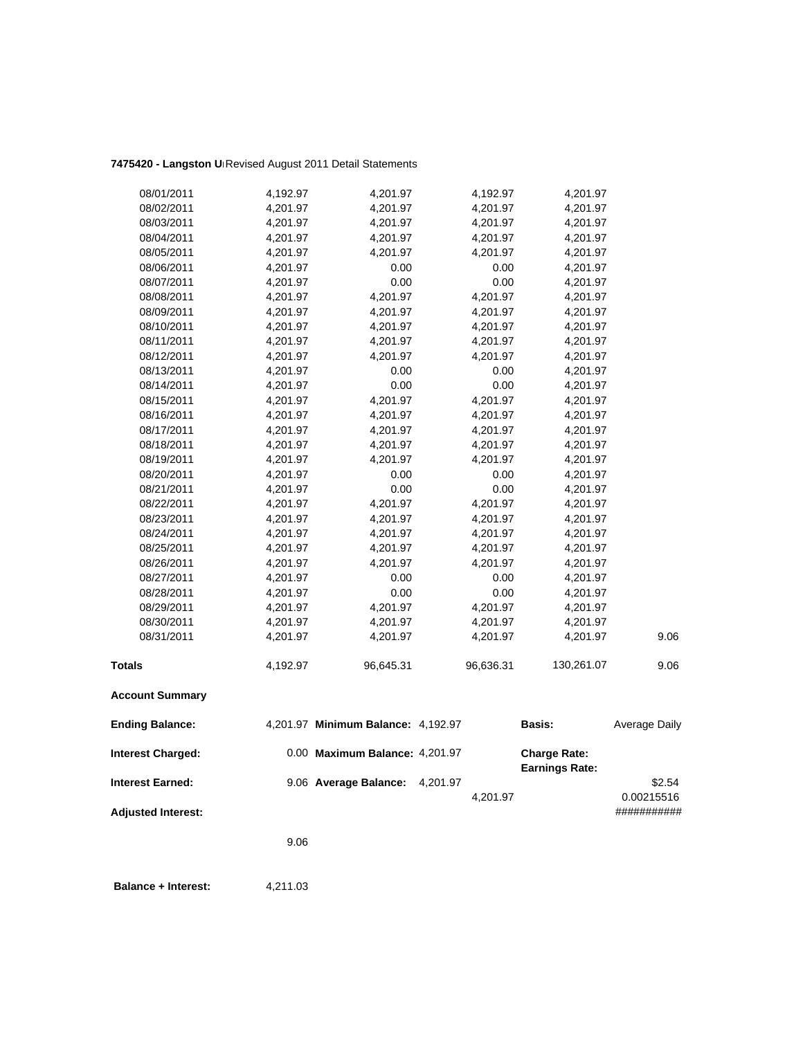# **7475420 - Langston Un**Revised August 2011 Detail Statements

| 08/01/2011                | 4,192.97 | 4,201.97                           | 4,192.97  | 4,201.97                                     |               |
|---------------------------|----------|------------------------------------|-----------|----------------------------------------------|---------------|
| 08/02/2011                | 4,201.97 | 4,201.97                           | 4,201.97  | 4,201.97                                     |               |
| 08/03/2011                | 4,201.97 | 4,201.97                           | 4,201.97  | 4,201.97                                     |               |
| 08/04/2011                | 4,201.97 | 4,201.97                           | 4,201.97  | 4,201.97                                     |               |
| 08/05/2011                | 4,201.97 | 4,201.97                           | 4,201.97  | 4,201.97                                     |               |
| 08/06/2011                | 4,201.97 | 0.00                               | 0.00      | 4,201.97                                     |               |
| 08/07/2011                | 4,201.97 | 0.00                               | 0.00      | 4,201.97                                     |               |
| 08/08/2011                | 4,201.97 | 4,201.97                           | 4,201.97  | 4,201.97                                     |               |
| 08/09/2011                | 4,201.97 | 4,201.97                           | 4,201.97  | 4,201.97                                     |               |
| 08/10/2011                | 4,201.97 | 4,201.97                           | 4,201.97  | 4,201.97                                     |               |
| 08/11/2011                | 4,201.97 | 4,201.97                           | 4,201.97  | 4,201.97                                     |               |
| 08/12/2011                | 4,201.97 | 4,201.97                           | 4,201.97  | 4,201.97                                     |               |
| 08/13/2011                | 4,201.97 | 0.00                               | 0.00      | 4,201.97                                     |               |
| 08/14/2011                | 4,201.97 | 0.00                               | 0.00      | 4,201.97                                     |               |
| 08/15/2011                | 4,201.97 | 4,201.97                           | 4,201.97  | 4,201.97                                     |               |
| 08/16/2011                | 4,201.97 | 4,201.97                           | 4,201.97  | 4,201.97                                     |               |
| 08/17/2011                | 4,201.97 | 4,201.97                           | 4,201.97  | 4,201.97                                     |               |
| 08/18/2011                | 4,201.97 | 4,201.97                           | 4,201.97  | 4,201.97                                     |               |
| 08/19/2011                | 4,201.97 | 4,201.97                           | 4,201.97  | 4,201.97                                     |               |
| 08/20/2011                | 4,201.97 | 0.00                               | 0.00      | 4,201.97                                     |               |
| 08/21/2011                | 4,201.97 | 0.00                               | 0.00      | 4,201.97                                     |               |
| 08/22/2011                | 4,201.97 | 4,201.97                           | 4,201.97  | 4,201.97                                     |               |
| 08/23/2011                | 4,201.97 | 4,201.97                           | 4,201.97  | 4,201.97                                     |               |
| 08/24/2011                | 4,201.97 | 4,201.97                           | 4,201.97  | 4,201.97                                     |               |
| 08/25/2011                | 4,201.97 | 4,201.97                           | 4,201.97  | 4,201.97                                     |               |
| 08/26/2011                | 4,201.97 | 4,201.97                           | 4,201.97  | 4,201.97                                     |               |
| 08/27/2011                | 4,201.97 | 0.00                               | 0.00      | 4,201.97                                     |               |
| 08/28/2011                | 4,201.97 | 0.00                               | 0.00      | 4,201.97                                     |               |
| 08/29/2011                | 4,201.97 | 4,201.97                           | 4,201.97  | 4,201.97                                     |               |
| 08/30/2011                | 4,201.97 | 4,201.97                           | 4,201.97  | 4,201.97                                     |               |
| 08/31/2011                | 4,201.97 | 4,201.97                           | 4,201.97  | 4,201.97                                     | 9.06          |
| <b>Totals</b>             | 4,192.97 | 96,645.31                          | 96,636.31 | 130,261.07                                   | 9.06          |
| <b>Account Summary</b>    |          |                                    |           |                                              |               |
| <b>Ending Balance:</b>    |          | 4,201.97 Minimum Balance: 4,192.97 |           | <b>Basis:</b>                                | Average Daily |
| <b>Interest Charged:</b>  |          | 0.00 Maximum Balance: 4,201.97     |           | <b>Charge Rate:</b><br><b>Earnings Rate:</b> |               |
| <b>Interest Earned:</b>   |          | 9.06 Average Balance:              | 4,201.97  |                                              | \$2.54        |
|                           |          |                                    | 4,201.97  |                                              | 0.00215516    |
| <b>Adjusted Interest:</b> |          |                                    |           |                                              | ###########   |
|                           | 9.06     |                                    |           |                                              |               |

**Balance + Interest:** 4,211.03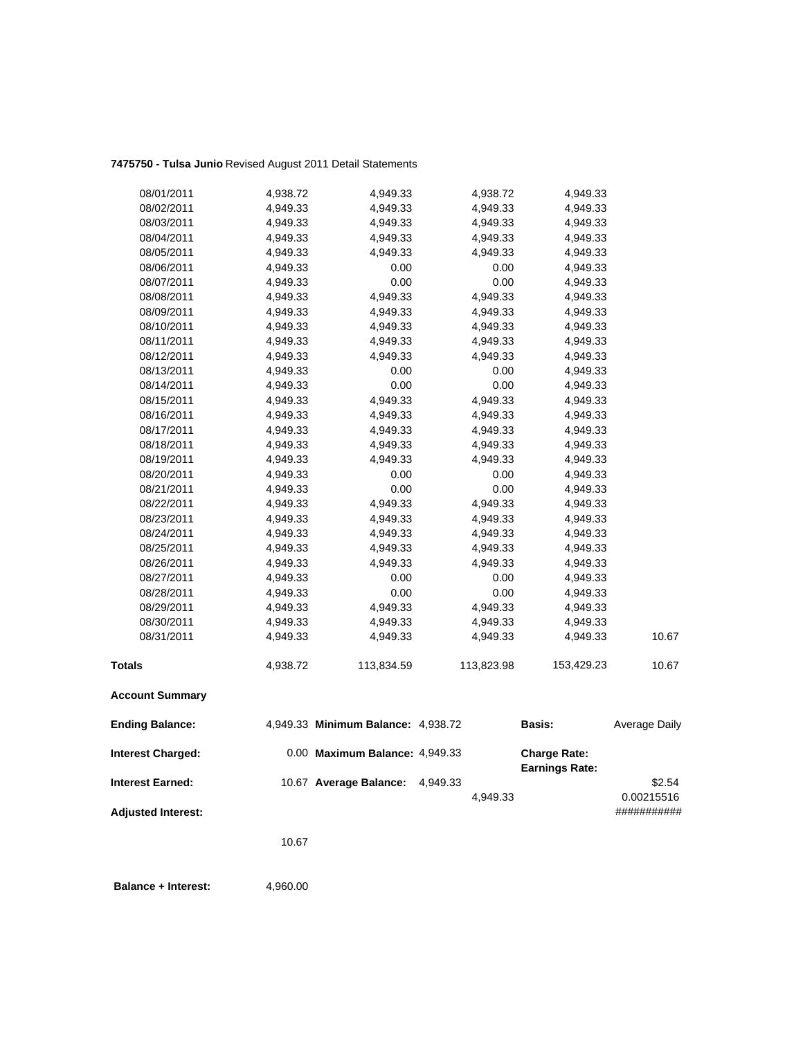## **7475750 - Tulsa Junio** Revised August 2011 Detail Statements

| 08/01/2011                | 4,938.72 | 4,949.33                           | 4,938.72   | 4,949.33              |               |
|---------------------------|----------|------------------------------------|------------|-----------------------|---------------|
| 08/02/2011                | 4,949.33 | 4,949.33                           | 4,949.33   | 4,949.33              |               |
| 08/03/2011                | 4,949.33 | 4,949.33                           | 4,949.33   | 4,949.33              |               |
| 08/04/2011                | 4,949.33 | 4,949.33                           | 4,949.33   | 4,949.33              |               |
| 08/05/2011                | 4,949.33 | 4,949.33                           | 4,949.33   | 4,949.33              |               |
| 08/06/2011                | 4,949.33 | 0.00                               | 0.00       | 4,949.33              |               |
| 08/07/2011                | 4,949.33 | 0.00                               | 0.00       | 4,949.33              |               |
| 08/08/2011                | 4,949.33 | 4,949.33                           | 4,949.33   | 4,949.33              |               |
| 08/09/2011                | 4,949.33 | 4,949.33                           | 4,949.33   | 4,949.33              |               |
| 08/10/2011                | 4,949.33 | 4,949.33                           | 4,949.33   | 4,949.33              |               |
| 08/11/2011                | 4,949.33 | 4,949.33                           | 4,949.33   | 4,949.33              |               |
| 08/12/2011                | 4,949.33 | 4,949.33                           | 4,949.33   | 4,949.33              |               |
| 08/13/2011                | 4,949.33 | 0.00                               | 0.00       | 4,949.33              |               |
| 08/14/2011                | 4,949.33 | 0.00                               | 0.00       | 4,949.33              |               |
| 08/15/2011                | 4,949.33 | 4,949.33                           | 4,949.33   | 4,949.33              |               |
| 08/16/2011                | 4,949.33 | 4,949.33                           | 4,949.33   | 4,949.33              |               |
| 08/17/2011                | 4,949.33 | 4,949.33                           | 4,949.33   | 4,949.33              |               |
| 08/18/2011                | 4,949.33 | 4,949.33                           | 4,949.33   | 4,949.33              |               |
| 08/19/2011                | 4,949.33 | 4,949.33                           | 4,949.33   | 4,949.33              |               |
| 08/20/2011                | 4,949.33 | 0.00                               | 0.00       | 4,949.33              |               |
| 08/21/2011                | 4,949.33 | 0.00                               | 0.00       | 4,949.33              |               |
| 08/22/2011                | 4,949.33 | 4,949.33                           | 4,949.33   | 4,949.33              |               |
| 08/23/2011                | 4,949.33 | 4,949.33                           | 4,949.33   | 4,949.33              |               |
| 08/24/2011                | 4,949.33 | 4,949.33                           | 4,949.33   | 4,949.33              |               |
| 08/25/2011                | 4,949.33 | 4,949.33                           | 4,949.33   | 4,949.33              |               |
| 08/26/2011                | 4,949.33 | 4,949.33                           | 4,949.33   | 4,949.33              |               |
| 08/27/2011                | 4,949.33 | 0.00                               | 0.00       | 4,949.33              |               |
| 08/28/2011                | 4,949.33 | 0.00                               | 0.00       | 4,949.33              |               |
| 08/29/2011                | 4,949.33 | 4,949.33                           | 4,949.33   | 4,949.33              |               |
| 08/30/2011                | 4,949.33 | 4,949.33                           | 4,949.33   | 4,949.33              |               |
| 08/31/2011                | 4,949.33 | 4,949.33                           | 4,949.33   | 4,949.33              | 10.67         |
| <b>Totals</b>             | 4,938.72 | 113,834.59                         | 113,823.98 | 153,429.23            | 10.67         |
| <b>Account Summary</b>    |          |                                    |            |                       |               |
| <b>Ending Balance:</b>    |          | 4,949.33 Minimum Balance: 4,938.72 |            | Basis:                | Average Daily |
| <b>Interest Charged:</b>  |          | 0.00 Maximum Balance: 4,949.33     |            | <b>Charge Rate:</b>   |               |
| <b>Interest Earned:</b>   |          | 10.67 Average Balance:             | 4,949.33   | <b>Earnings Rate:</b> | \$2.54        |
|                           |          |                                    | 4,949.33   |                       | 0.00215516    |
|                           |          |                                    |            |                       | ###########   |
| <b>Adjusted Interest:</b> |          |                                    |            |                       |               |
|                           | 10.67    |                                    |            |                       |               |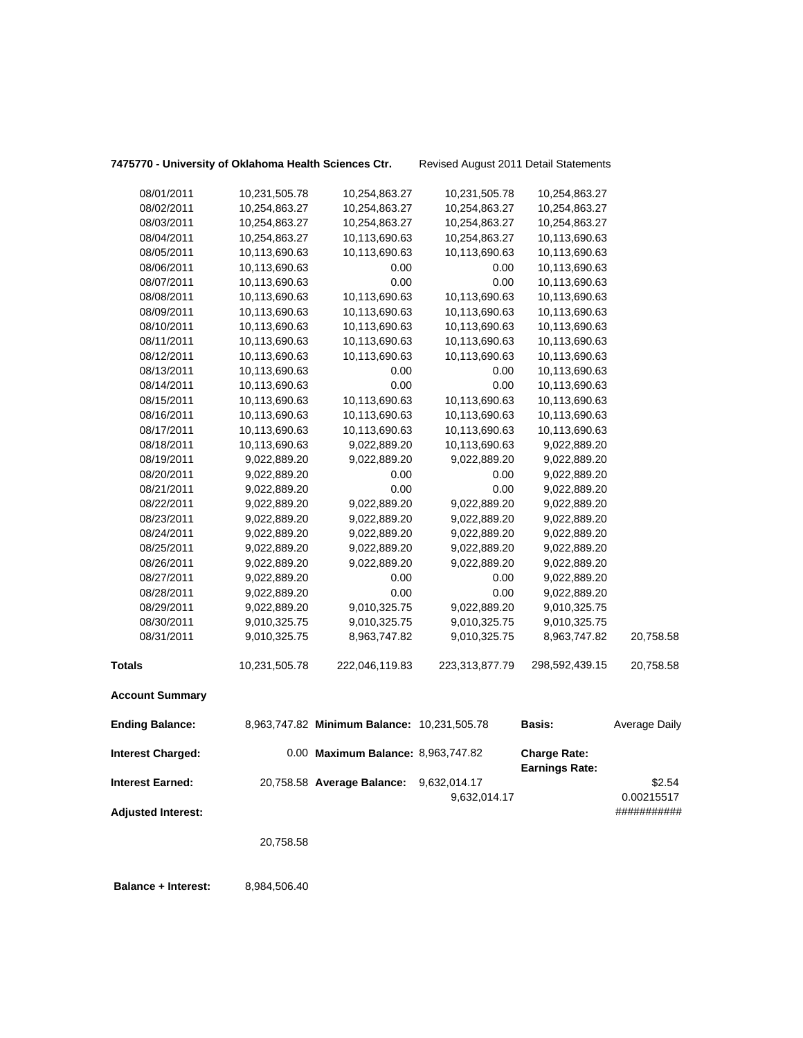## **7475770 - University of Oklahoma Health Sciences Ctr.** Revised August 2011 Detail Statements

|                                                      | 20,758.58                      |                                             |                                |                                              |                                     |
|------------------------------------------------------|--------------------------------|---------------------------------------------|--------------------------------|----------------------------------------------|-------------------------------------|
| <b>Interest Earned:</b><br><b>Adjusted Interest:</b> |                                | 20,758.58 Average Balance:                  | 9,632,014.17<br>9,632,014.17   |                                              | \$2.54<br>0.00215517<br>########### |
| <b>Interest Charged:</b>                             |                                | 0.00 Maximum Balance: 8,963,747.82          |                                | <b>Charge Rate:</b><br><b>Earnings Rate:</b> |                                     |
| <b>Ending Balance:</b>                               |                                | 8,963,747.82 Minimum Balance: 10,231,505.78 |                                | <b>Basis:</b>                                | Average Daily                       |
| <b>Account Summary</b>                               |                                |                                             |                                |                                              |                                     |
| <b>Totals</b>                                        | 10,231,505.78                  | 222,046,119.83                              | 223,313,877.79                 | 298,592,439.15                               | 20,758.58                           |
| 08/31/2011                                           | 9,010,325.75                   | 8,963,747.82                                | 9,010,325.75                   | 8,963,747.82                                 | 20,758.58                           |
| 08/30/2011                                           | 9,010,325.75                   | 9,010,325.75                                | 9,010,325.75                   | 9,010,325.75                                 |                                     |
| 08/29/2011                                           | 9,022,889.20                   | 9,010,325.75                                | 9,022,889.20                   | 9,010,325.75                                 |                                     |
| 08/28/2011                                           | 9,022,889.20                   | 0.00                                        | 0.00                           | 9,022,889.20                                 |                                     |
| 08/27/2011                                           | 9,022,889.20                   | 0.00                                        | 0.00                           | 9,022,889.20                                 |                                     |
| 08/26/2011                                           | 9,022,889.20                   | 9,022,889.20                                | 9,022,889.20                   | 9,022,889.20                                 |                                     |
| 08/25/2011                                           | 9,022,889.20                   | 9,022,889.20                                | 9,022,889.20                   | 9,022,889.20                                 |                                     |
| 08/24/2011                                           | 9,022,889.20                   | 9,022,889.20                                | 9,022,889.20                   | 9,022,889.20                                 |                                     |
| 08/23/2011                                           | 9,022,889.20                   | 9,022,889.20                                | 9,022,889.20                   | 9,022,889.20                                 |                                     |
| 08/22/2011                                           | 9,022,889.20                   | 9,022,889.20                                | 9,022,889.20                   | 9,022,889.20                                 |                                     |
| 08/21/2011                                           | 9,022,889.20                   | 0.00                                        | 0.00                           | 9,022,889.20                                 |                                     |
| 08/20/2011                                           | 9,022,889.20                   | 0.00                                        | 0.00                           | 9,022,889.20                                 |                                     |
| 08/19/2011                                           | 9,022,889.20                   | 9,022,889.20                                | 9,022,889.20                   | 9,022,889.20                                 |                                     |
| 08/18/2011                                           | 10,113,690.63                  | 9,022,889.20                                | 10,113,690.63                  | 9,022,889.20                                 |                                     |
| 08/17/2011                                           | 10,113,690.63                  | 10,113,690.63                               | 10,113,690.63                  | 10,113,690.63                                |                                     |
| 08/16/2011                                           | 10,113,690.63                  | 10,113,690.63                               | 10,113,690.63                  | 10,113,690.63                                |                                     |
| 08/15/2011                                           | 10,113,690.63                  | 10,113,690.63                               | 10,113,690.63                  | 10,113,690.63                                |                                     |
| 08/14/2011                                           | 10,113,690.63                  | 0.00                                        | 0.00                           | 10,113,690.63                                |                                     |
| 08/13/2011                                           | 10,113,690.63                  | 0.00                                        | 0.00                           | 10,113,690.63                                |                                     |
| 08/12/2011                                           | 10,113,690.63                  | 10,113,690.63                               | 10,113,690.63                  | 10,113,690.63                                |                                     |
| 08/11/2011                                           | 10,113,690.63                  | 10,113,690.63                               | 10,113,690.63                  | 10,113,690.63                                |                                     |
| 08/10/2011                                           | 10,113,690.63                  | 10,113,690.63                               | 10,113,690.63                  | 10,113,690.63                                |                                     |
| 08/09/2011                                           | 10,113,690.63                  | 10,113,690.63                               | 10,113,690.63                  | 10,113,690.63                                |                                     |
| 08/08/2011                                           | 10,113,690.63                  | 10,113,690.63                               | 10,113,690.63                  | 10,113,690.63                                |                                     |
| 08/07/2011                                           | 10,113,690.63                  | 0.00                                        | 0.00                           | 10,113,690.63                                |                                     |
| 08/06/2011                                           | 10,113,690.63<br>10,113,690.63 | 0.00                                        | 0.00                           | 10,113,690.63<br>10,113,690.63               |                                     |
| 08/04/2011<br>08/05/2011                             | 10,254,863.27                  | 10,113,690.63<br>10,113,690.63              | 10,254,863.27<br>10,113,690.63 | 10,113,690.63                                |                                     |
| 08/03/2011                                           | 10,254,863.27                  | 10,254,863.27                               | 10,254,863.27                  | 10,254,863.27                                |                                     |
| 08/02/2011                                           | 10,254,863.27                  | 10,254,863.27                               | 10,254,863.27                  | 10,254,863.27                                |                                     |
| 08/01/2011                                           | 10,231,505.78                  | 10,254,863.27                               | 10,231,505.78                  | 10,254,863.27                                |                                     |
|                                                      |                                |                                             |                                |                                              |                                     |

 **Balance + Interest:** 8,984,506.40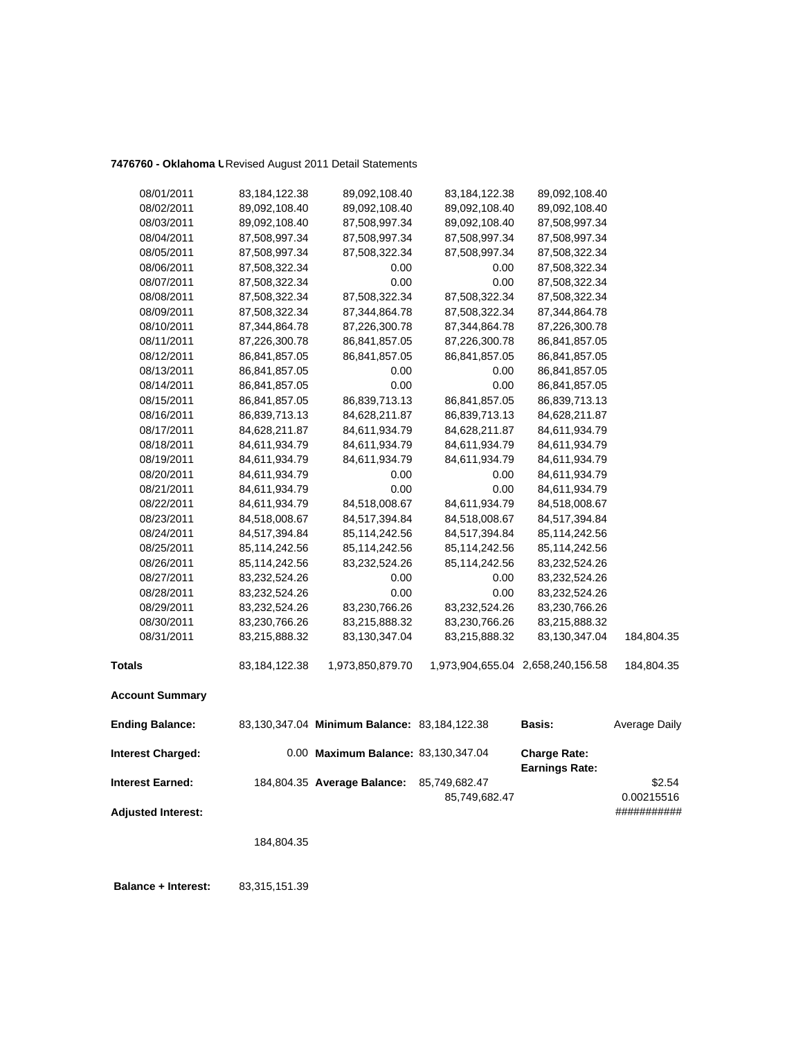## **7476760 - Oklahoma U**Revised August 2011 Detail Statements

| 08/01/2011                | 83,184,122.38 | 89,092,108.40                                | 83,184,122.38 | 89,092,108.40                                |               |
|---------------------------|---------------|----------------------------------------------|---------------|----------------------------------------------|---------------|
| 08/02/2011                | 89,092,108.40 | 89,092,108.40                                | 89,092,108.40 | 89,092,108.40                                |               |
| 08/03/2011                | 89,092,108.40 | 87,508,997.34                                | 89,092,108.40 | 87,508,997.34                                |               |
| 08/04/2011                | 87,508,997.34 | 87,508,997.34                                | 87,508,997.34 | 87,508,997.34                                |               |
| 08/05/2011                | 87,508,997.34 | 87,508,322.34                                | 87,508,997.34 | 87,508,322.34                                |               |
| 08/06/2011                | 87,508,322.34 | 0.00                                         | 0.00          | 87,508,322.34                                |               |
| 08/07/2011                | 87,508,322.34 | 0.00                                         | 0.00          | 87,508,322.34                                |               |
| 08/08/2011                | 87,508,322.34 | 87,508,322.34                                | 87,508,322.34 | 87,508,322.34                                |               |
| 08/09/2011                | 87,508,322.34 | 87,344,864.78                                | 87,508,322.34 | 87,344,864.78                                |               |
| 08/10/2011                | 87,344,864.78 | 87,226,300.78                                | 87,344,864.78 | 87,226,300.78                                |               |
| 08/11/2011                | 87,226,300.78 | 86,841,857.05                                | 87,226,300.78 | 86,841,857.05                                |               |
| 08/12/2011                | 86,841,857.05 | 86,841,857.05                                | 86,841,857.05 | 86,841,857.05                                |               |
| 08/13/2011                | 86,841,857.05 | 0.00                                         | 0.00          | 86,841,857.05                                |               |
| 08/14/2011                | 86,841,857.05 | 0.00                                         | 0.00          | 86,841,857.05                                |               |
| 08/15/2011                | 86,841,857.05 | 86,839,713.13                                | 86,841,857.05 | 86,839,713.13                                |               |
| 08/16/2011                | 86,839,713.13 | 84,628,211.87                                | 86,839,713.13 | 84,628,211.87                                |               |
| 08/17/2011                | 84,628,211.87 | 84,611,934.79                                | 84,628,211.87 | 84,611,934.79                                |               |
| 08/18/2011                | 84,611,934.79 | 84,611,934.79                                | 84,611,934.79 | 84,611,934.79                                |               |
| 08/19/2011                | 84,611,934.79 | 84,611,934.79                                | 84,611,934.79 | 84,611,934.79                                |               |
| 08/20/2011                | 84,611,934.79 | 0.00                                         | 0.00          | 84,611,934.79                                |               |
| 08/21/2011                | 84,611,934.79 | 0.00                                         | 0.00          | 84,611,934.79                                |               |
| 08/22/2011                | 84,611,934.79 | 84,518,008.67                                | 84,611,934.79 | 84,518,008.67                                |               |
| 08/23/2011                | 84,518,008.67 | 84,517,394.84                                | 84,518,008.67 | 84,517,394.84                                |               |
| 08/24/2011                | 84,517,394.84 | 85,114,242.56                                | 84,517,394.84 | 85,114,242.56                                |               |
| 08/25/2011                | 85,114,242.56 | 85,114,242.56                                | 85,114,242.56 | 85,114,242.56                                |               |
| 08/26/2011                | 85,114,242.56 | 83,232,524.26                                | 85,114,242.56 | 83,232,524.26                                |               |
| 08/27/2011                | 83,232,524.26 | 0.00                                         | 0.00          | 83,232,524.26                                |               |
| 08/28/2011                | 83,232,524.26 | 0.00                                         | 0.00          | 83,232,524.26                                |               |
| 08/29/2011                | 83,232,524.26 | 83,230,766.26                                | 83,232,524.26 | 83,230,766.26                                |               |
| 08/30/2011                | 83,230,766.26 | 83,215,888.32                                | 83,230,766.26 | 83,215,888.32                                |               |
| 08/31/2011                | 83,215,888.32 | 83,130,347.04                                | 83,215,888.32 | 83,130,347.04                                | 184,804.35    |
| <b>Totals</b>             | 83,184,122.38 | 1,973,850,879.70                             |               | 1,973,904,655.04 2,658,240,156.58            | 184,804.35    |
| <b>Account Summary</b>    |               |                                              |               |                                              |               |
| <b>Ending Balance:</b>    |               | 83,130,347.04 Minimum Balance: 83,184,122.38 |               | <b>Basis:</b>                                | Average Daily |
| <b>Interest Charged:</b>  |               | 0.00 Maximum Balance: 83,130,347.04          |               | <b>Charge Rate:</b><br><b>Earnings Rate:</b> |               |
| <b>Interest Earned:</b>   |               | 184,804.35 Average Balance:                  | 85,749,682.47 |                                              | \$2.54        |
|                           |               |                                              | 85,749,682.47 |                                              | 0.00215516    |
| <b>Adjusted Interest:</b> |               |                                              |               |                                              | ###########   |
|                           | 184,804.35    |                                              |               |                                              |               |
|                           |               |                                              |               |                                              |               |
|                           |               |                                              |               |                                              |               |

 **Balance + Interest:** 83,315,151.39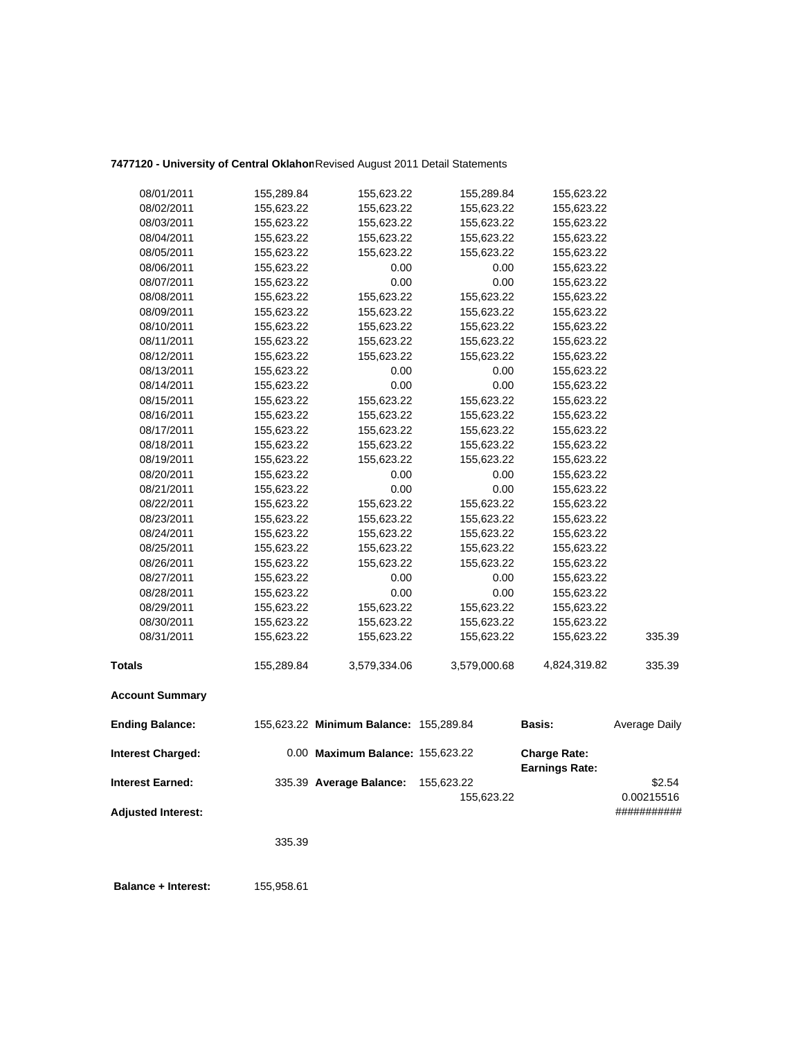## **7477120 - University of Central Oklahom**Revised August 2011 Detail Statements

| 08/02/2011               | 155,623.22 | 155,623.22                             | 155,623.22   | 155,623.22                                   |               |  |
|--------------------------|------------|----------------------------------------|--------------|----------------------------------------------|---------------|--|
| 08/03/2011               | 155,623.22 | 155,623.22                             | 155,623.22   | 155,623.22                                   |               |  |
| 08/04/2011               | 155,623.22 | 155,623.22                             | 155,623.22   | 155,623.22                                   |               |  |
| 08/05/2011               | 155,623.22 | 155,623.22                             | 155,623.22   | 155,623.22                                   |               |  |
| 08/06/2011               | 155,623.22 | 0.00                                   | 0.00         | 155,623.22                                   |               |  |
| 08/07/2011               | 155,623.22 | 0.00                                   | 0.00         | 155,623.22                                   |               |  |
| 08/08/2011               | 155,623.22 | 155,623.22                             | 155,623.22   | 155,623.22                                   |               |  |
| 08/09/2011               | 155,623.22 | 155,623.22                             | 155,623.22   | 155,623.22                                   |               |  |
| 08/10/2011               | 155,623.22 | 155,623.22                             | 155,623.22   | 155,623.22                                   |               |  |
| 08/11/2011               | 155,623.22 | 155,623.22                             | 155,623.22   | 155,623.22                                   |               |  |
| 08/12/2011               | 155,623.22 | 155,623.22                             | 155,623.22   | 155,623.22                                   |               |  |
| 08/13/2011               | 155,623.22 | 0.00                                   | 0.00         | 155,623.22                                   |               |  |
| 08/14/2011               | 155,623.22 | 0.00                                   | 0.00         | 155,623.22                                   |               |  |
| 08/15/2011               | 155,623.22 | 155,623.22                             | 155,623.22   | 155,623.22                                   |               |  |
| 08/16/2011               | 155,623.22 | 155,623.22                             | 155,623.22   | 155,623.22                                   |               |  |
| 08/17/2011               | 155,623.22 | 155,623.22                             | 155,623.22   | 155,623.22                                   |               |  |
| 08/18/2011               | 155,623.22 | 155,623.22                             | 155,623.22   | 155,623.22                                   |               |  |
| 08/19/2011               | 155,623.22 | 155,623.22                             | 155,623.22   | 155,623.22                                   |               |  |
| 08/20/2011               | 155,623.22 | 0.00                                   | 0.00         | 155,623.22                                   |               |  |
| 08/21/2011               | 155,623.22 | 0.00                                   | 0.00         | 155,623.22                                   |               |  |
| 08/22/2011               | 155,623.22 | 155,623.22                             | 155,623.22   | 155,623.22                                   |               |  |
| 08/23/2011               | 155,623.22 | 155,623.22                             | 155,623.22   | 155,623.22                                   |               |  |
| 08/24/2011               | 155,623.22 | 155,623.22                             | 155,623.22   | 155,623.22                                   |               |  |
| 08/25/2011               | 155,623.22 | 155,623.22                             | 155,623.22   | 155,623.22                                   |               |  |
| 08/26/2011               | 155,623.22 | 155,623.22                             | 155,623.22   | 155,623.22                                   |               |  |
| 08/27/2011               | 155,623.22 | 0.00                                   | 0.00         | 155,623.22                                   |               |  |
| 08/28/2011               | 155,623.22 | 0.00                                   | 0.00         | 155,623.22                                   |               |  |
| 08/29/2011               | 155,623.22 | 155,623.22                             | 155,623.22   | 155,623.22                                   |               |  |
| 08/30/2011               | 155,623.22 | 155,623.22                             | 155,623.22   | 155,623.22                                   |               |  |
| 08/31/2011               | 155,623.22 | 155,623.22                             | 155,623.22   | 155,623.22                                   | 335.39        |  |
| <b>Totals</b>            | 155,289.84 | 3,579,334.06                           | 3,579,000.68 | 4,824,319.82                                 | 335.39        |  |
| <b>Account Summary</b>   |            |                                        |              |                                              |               |  |
| <b>Ending Balance:</b>   |            | 155,623.22 Minimum Balance: 155,289.84 |              | <b>Basis:</b>                                | Average Daily |  |
| <b>Interest Charged:</b> |            | 0.00 Maximum Balance: 155,623.22       |              | <b>Charge Rate:</b><br><b>Earnings Rate:</b> |               |  |
| <b>Interest Earned:</b>  |            | 335.39 Average Balance:                | 155,623.22   |                                              | \$2.54        |  |
|                          |            |                                        | 155,623.22   | 0.00215516                                   |               |  |

**Adjusted Interest:** ###########

335.39

 **Balance + Interest:** 155,958.61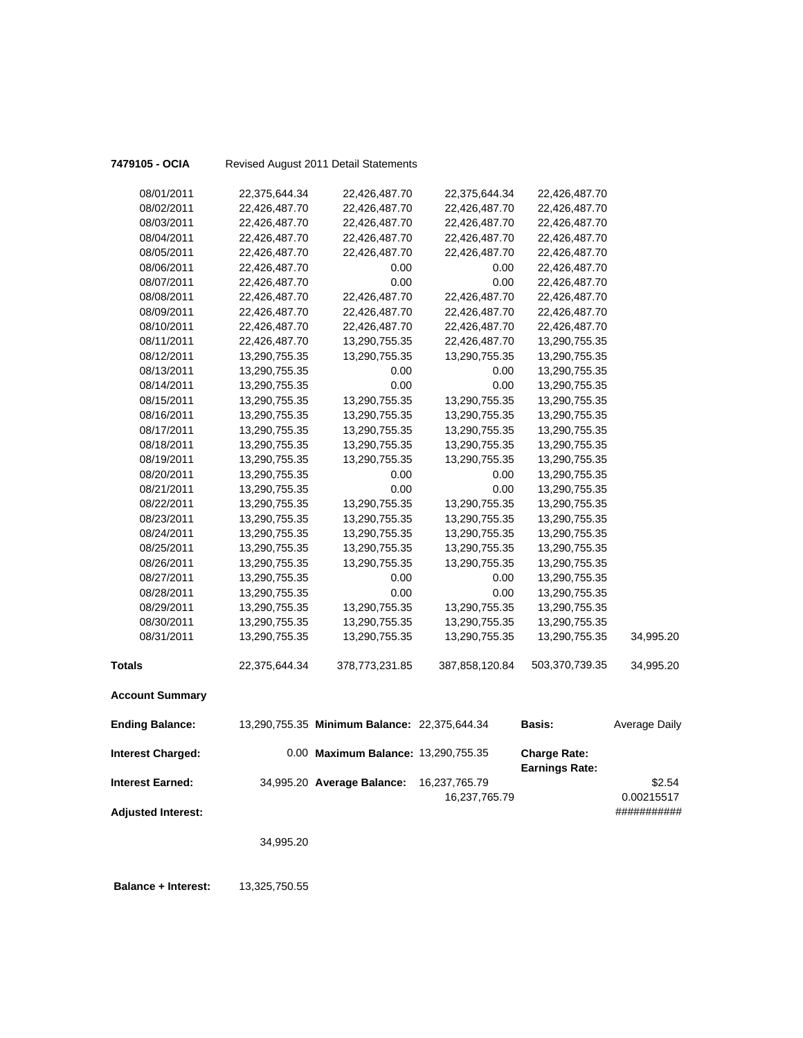| 7479105 - OCIA            |               | Revised August 2011 Detail Statements        |                |                                              |                      |
|---------------------------|---------------|----------------------------------------------|----------------|----------------------------------------------|----------------------|
| 08/01/2011                | 22,375,644.34 | 22,426,487.70                                | 22,375,644.34  | 22,426,487.70                                |                      |
| 08/02/2011                | 22,426,487.70 | 22,426,487.70                                | 22,426,487.70  | 22,426,487.70                                |                      |
| 08/03/2011                | 22,426,487.70 | 22,426,487.70                                | 22,426,487.70  | 22,426,487.70                                |                      |
| 08/04/2011                | 22,426,487.70 | 22,426,487.70                                | 22,426,487.70  | 22,426,487.70                                |                      |
| 08/05/2011                | 22,426,487.70 | 22,426,487.70                                | 22,426,487.70  | 22,426,487.70                                |                      |
| 08/06/2011                | 22,426,487.70 | 0.00                                         | 0.00           | 22,426,487.70                                |                      |
| 08/07/2011                | 22,426,487.70 | 0.00                                         | 0.00           | 22,426,487.70                                |                      |
| 08/08/2011                | 22,426,487.70 | 22,426,487.70                                | 22,426,487.70  | 22,426,487.70                                |                      |
| 08/09/2011                | 22,426,487.70 | 22,426,487.70                                | 22,426,487.70  | 22,426,487.70                                |                      |
| 08/10/2011                | 22,426,487.70 | 22,426,487.70                                | 22,426,487.70  | 22,426,487.70                                |                      |
| 08/11/2011                | 22,426,487.70 | 13,290,755.35                                | 22,426,487.70  | 13,290,755.35                                |                      |
| 08/12/2011                | 13,290,755.35 | 13,290,755.35                                | 13,290,755.35  | 13,290,755.35                                |                      |
| 08/13/2011                | 13,290,755.35 | 0.00                                         | 0.00           | 13,290,755.35                                |                      |
| 08/14/2011                | 13,290,755.35 | 0.00                                         | 0.00           | 13,290,755.35                                |                      |
| 08/15/2011                | 13,290,755.35 | 13,290,755.35                                | 13,290,755.35  | 13,290,755.35                                |                      |
| 08/16/2011                | 13,290,755.35 | 13,290,755.35                                | 13,290,755.35  | 13,290,755.35                                |                      |
| 08/17/2011                | 13,290,755.35 | 13,290,755.35                                | 13,290,755.35  | 13,290,755.35                                |                      |
| 08/18/2011                | 13,290,755.35 | 13,290,755.35                                | 13,290,755.35  | 13,290,755.35                                |                      |
| 08/19/2011                | 13,290,755.35 | 13,290,755.35                                | 13,290,755.35  | 13,290,755.35                                |                      |
| 08/20/2011                | 13,290,755.35 | 0.00                                         | 0.00           | 13,290,755.35                                |                      |
| 08/21/2011                | 13,290,755.35 | 0.00                                         | 0.00           | 13,290,755.35                                |                      |
| 08/22/2011                | 13,290,755.35 | 13,290,755.35                                | 13,290,755.35  | 13,290,755.35                                |                      |
| 08/23/2011                | 13,290,755.35 | 13,290,755.35                                | 13,290,755.35  | 13,290,755.35                                |                      |
| 08/24/2011                | 13,290,755.35 | 13,290,755.35                                | 13,290,755.35  | 13,290,755.35                                |                      |
| 08/25/2011                | 13,290,755.35 | 13,290,755.35                                | 13,290,755.35  | 13,290,755.35                                |                      |
| 08/26/2011                | 13,290,755.35 | 13,290,755.35                                | 13,290,755.35  | 13,290,755.35                                |                      |
| 08/27/2011                | 13,290,755.35 | 0.00                                         | 0.00           | 13,290,755.35                                |                      |
| 08/28/2011                | 13,290,755.35 | 0.00                                         | 0.00           | 13,290,755.35                                |                      |
| 08/29/2011                | 13,290,755.35 | 13,290,755.35                                | 13,290,755.35  | 13,290,755.35                                |                      |
| 08/30/2011                | 13,290,755.35 | 13,290,755.35                                | 13,290,755.35  | 13,290,755.35                                |                      |
| 08/31/2011                | 13,290,755.35 | 13,290,755.35                                | 13,290,755.35  | 13,290,755.35                                | 34,995.20            |
| <b>Totals</b>             | 22,375,644.34 | 378,773,231.85                               | 387,858,120.84 | 503,370,739.35                               | 34,995.20            |
| <b>Account Summary</b>    |               |                                              |                |                                              |                      |
| <b>Ending Balance:</b>    |               | 13,290,755.35 Minimum Balance: 22,375,644.34 |                | <b>Basis:</b>                                | <b>Average Daily</b> |
| <b>Interest Charged:</b>  |               | 0.00 Maximum Balance: 13,290,755.35          |                | <b>Charge Rate:</b><br><b>Earnings Rate:</b> |                      |
| <b>Interest Earned:</b>   |               | 34,995.20 Average Balance:                   | 16,237,765.79  |                                              | \$2.54               |
|                           |               |                                              | 16,237,765.79  |                                              | 0.00215517           |
| <b>Adjusted Interest:</b> |               |                                              |                |                                              | ###########          |
|                           |               |                                              |                |                                              |                      |
|                           | 34,995.20     |                                              |                |                                              |                      |
|                           |               |                                              |                |                                              |                      |

 **Balance + Interest:** 13,325,750.55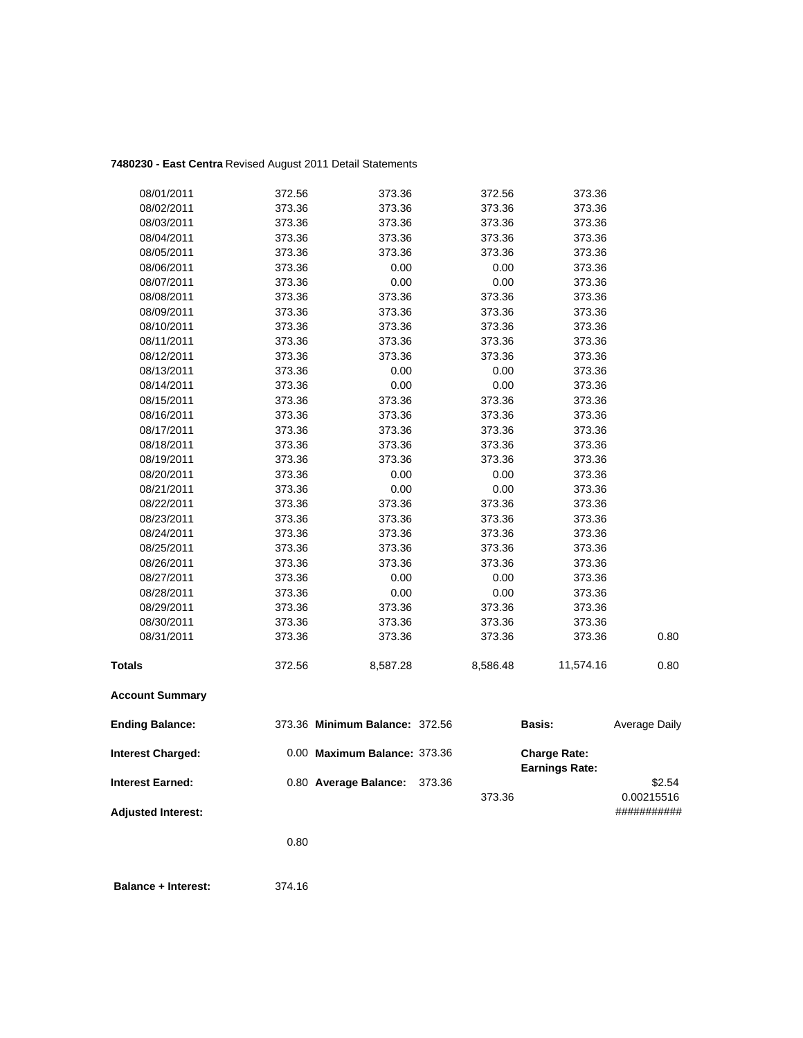## **7480230 - East Centra** Revised August 2011 Detail Statements

| 08/01/2011                | 372.56 | 373.36                         | 372.56   | 373.36                |                           |
|---------------------------|--------|--------------------------------|----------|-----------------------|---------------------------|
| 08/02/2011                | 373.36 | 373.36                         | 373.36   | 373.36                |                           |
| 08/03/2011                | 373.36 | 373.36                         | 373.36   | 373.36                |                           |
| 08/04/2011                | 373.36 | 373.36                         | 373.36   | 373.36                |                           |
| 08/05/2011                | 373.36 | 373.36                         | 373.36   | 373.36                |                           |
| 08/06/2011                | 373.36 | 0.00                           | 0.00     | 373.36                |                           |
| 08/07/2011                | 373.36 | 0.00                           | 0.00     | 373.36                |                           |
| 08/08/2011                | 373.36 | 373.36                         | 373.36   | 373.36                |                           |
| 08/09/2011                | 373.36 | 373.36                         | 373.36   | 373.36                |                           |
| 08/10/2011                | 373.36 | 373.36                         | 373.36   | 373.36                |                           |
| 08/11/2011                | 373.36 | 373.36                         | 373.36   | 373.36                |                           |
| 08/12/2011                | 373.36 | 373.36                         | 373.36   | 373.36                |                           |
| 08/13/2011                | 373.36 | 0.00                           | 0.00     | 373.36                |                           |
| 08/14/2011                | 373.36 | 0.00                           | 0.00     | 373.36                |                           |
| 08/15/2011                | 373.36 | 373.36                         | 373.36   | 373.36                |                           |
| 08/16/2011                | 373.36 | 373.36                         | 373.36   | 373.36                |                           |
| 08/17/2011                | 373.36 | 373.36                         | 373.36   | 373.36                |                           |
| 08/18/2011                | 373.36 | 373.36                         | 373.36   | 373.36                |                           |
| 08/19/2011                | 373.36 | 373.36                         | 373.36   | 373.36                |                           |
| 08/20/2011                | 373.36 | 0.00                           | 0.00     | 373.36                |                           |
| 08/21/2011                | 373.36 | 0.00                           | 0.00     | 373.36                |                           |
| 08/22/2011                | 373.36 | 373.36                         | 373.36   | 373.36                |                           |
| 08/23/2011                | 373.36 | 373.36                         | 373.36   | 373.36                |                           |
| 08/24/2011                | 373.36 | 373.36                         | 373.36   | 373.36                |                           |
| 08/25/2011                | 373.36 | 373.36                         | 373.36   | 373.36                |                           |
| 08/26/2011                | 373.36 | 373.36                         | 373.36   | 373.36                |                           |
| 08/27/2011                | 373.36 | 0.00                           | 0.00     | 373.36                |                           |
| 08/28/2011                | 373.36 | 0.00                           | 0.00     | 373.36                |                           |
| 08/29/2011                | 373.36 | 373.36                         | 373.36   | 373.36                |                           |
| 08/30/2011                | 373.36 | 373.36                         | 373.36   | 373.36                |                           |
| 08/31/2011                | 373.36 | 373.36                         | 373.36   | 373.36                | 0.80                      |
| <b>Totals</b>             | 372.56 | 8,587.28                       | 8,586.48 | 11,574.16             | 0.80                      |
| <b>Account Summary</b>    |        |                                |          |                       |                           |
| <b>Ending Balance:</b>    |        | 373.36 Minimum Balance: 372.56 |          | <b>Basis:</b>         | Average Daily             |
| <b>Interest Charged:</b>  |        | 0.00 Maximum Balance: 373.36   |          | <b>Charge Rate:</b>   |                           |
|                           |        |                                |          | <b>Earnings Rate:</b> |                           |
| <b>Interest Earned:</b>   |        | 0.80 Average Balance:          | 373.36   |                       | \$2.54                    |
|                           |        |                                | 373.36   |                       | 0.00215516<br>########### |
| <b>Adjusted Interest:</b> |        |                                |          |                       |                           |
|                           | 0.80   |                                |          |                       |                           |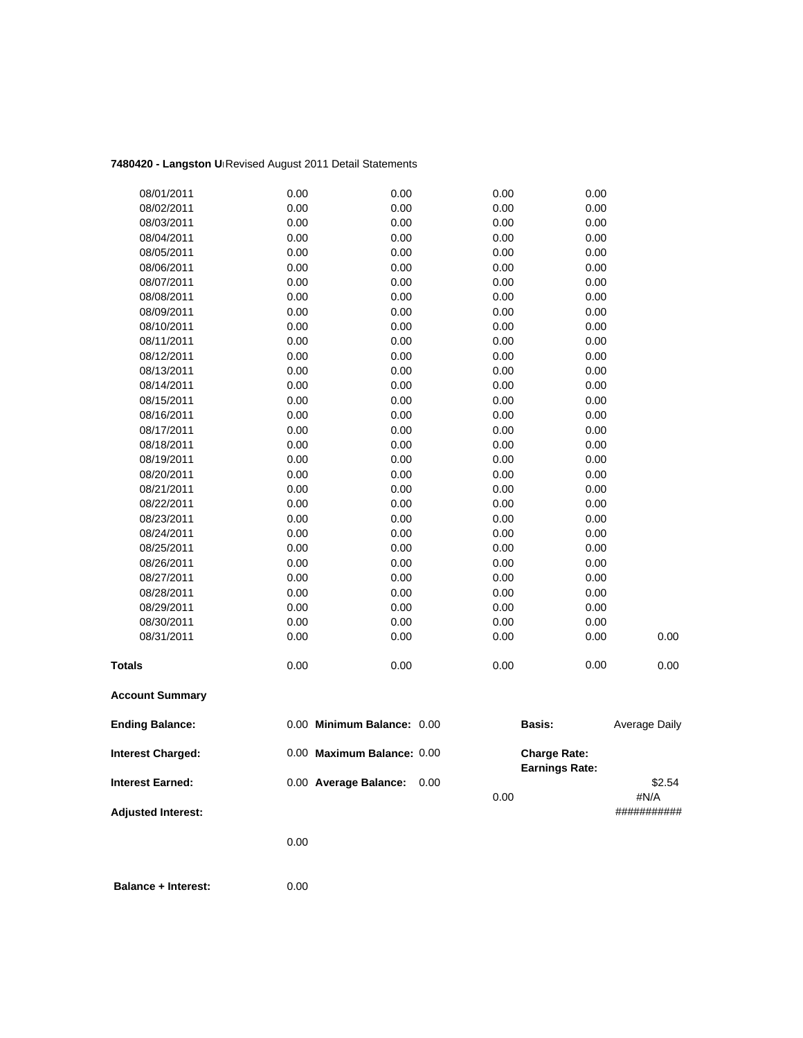## **7480420 - Langston Un**Revised August 2011 Detail Statements

| 08/01/2011                | 0.00 | 0.00                       | 0.00         | 0.00                                         |                |
|---------------------------|------|----------------------------|--------------|----------------------------------------------|----------------|
| 08/02/2011                | 0.00 | 0.00                       | 0.00         | 0.00                                         |                |
| 08/03/2011                | 0.00 | 0.00                       | 0.00         | 0.00                                         |                |
| 08/04/2011                | 0.00 | 0.00                       | 0.00         | 0.00                                         |                |
| 08/05/2011                | 0.00 | 0.00                       | 0.00         | 0.00                                         |                |
| 08/06/2011                | 0.00 | 0.00                       | 0.00         | 0.00                                         |                |
| 08/07/2011                | 0.00 | 0.00                       | 0.00         | 0.00                                         |                |
| 08/08/2011                | 0.00 | 0.00                       | 0.00         | 0.00                                         |                |
| 08/09/2011                | 0.00 | 0.00                       | 0.00         | 0.00                                         |                |
| 08/10/2011                | 0.00 | 0.00                       | 0.00         | 0.00                                         |                |
| 08/11/2011                | 0.00 | 0.00                       | 0.00         | 0.00                                         |                |
| 08/12/2011                | 0.00 | 0.00                       | 0.00         | 0.00                                         |                |
| 08/13/2011                | 0.00 | 0.00                       | 0.00         | 0.00                                         |                |
| 08/14/2011                | 0.00 | 0.00                       | 0.00         | 0.00                                         |                |
| 08/15/2011                | 0.00 | 0.00                       | 0.00         | 0.00                                         |                |
| 08/16/2011                | 0.00 | 0.00                       | 0.00         | 0.00                                         |                |
| 08/17/2011                | 0.00 | 0.00                       | 0.00         | 0.00                                         |                |
| 08/18/2011                | 0.00 | 0.00                       | 0.00         | 0.00                                         |                |
| 08/19/2011                | 0.00 | 0.00                       | 0.00         | 0.00                                         |                |
| 08/20/2011                | 0.00 | 0.00                       | 0.00         | 0.00                                         |                |
| 08/21/2011                | 0.00 | 0.00                       | 0.00         | 0.00                                         |                |
| 08/22/2011                | 0.00 | 0.00                       | 0.00         | 0.00                                         |                |
| 08/23/2011                | 0.00 | 0.00                       | 0.00         | 0.00                                         |                |
| 08/24/2011                | 0.00 | 0.00                       | 0.00         | 0.00                                         |                |
| 08/25/2011                | 0.00 | 0.00                       | 0.00         | 0.00                                         |                |
| 08/26/2011                | 0.00 | 0.00                       | 0.00         | 0.00                                         |                |
| 08/27/2011                | 0.00 | 0.00                       | 0.00         | 0.00                                         |                |
| 08/28/2011                | 0.00 | 0.00                       | 0.00         | 0.00                                         |                |
| 08/29/2011                | 0.00 | 0.00                       | 0.00         | 0.00                                         |                |
| 08/30/2011                | 0.00 | 0.00                       | 0.00         | 0.00                                         |                |
| 08/31/2011                | 0.00 | 0.00                       | 0.00         | 0.00                                         | 0.00           |
| <b>Totals</b>             | 0.00 | 0.00                       | 0.00         | 0.00                                         | 0.00           |
| <b>Account Summary</b>    |      |                            |              |                                              |                |
| <b>Ending Balance:</b>    |      | 0.00 Minimum Balance: 0.00 |              | <b>Basis:</b>                                | Average Daily  |
| <b>Interest Charged:</b>  |      | 0.00 Maximum Balance: 0.00 |              | <b>Charge Rate:</b><br><b>Earnings Rate:</b> |                |
| <b>Interest Earned:</b>   |      | 0.00 Average Balance:      | 0.00<br>0.00 |                                              | \$2.54<br>#N/A |
| <b>Adjusted Interest:</b> |      |                            |              |                                              | ###########    |

0.00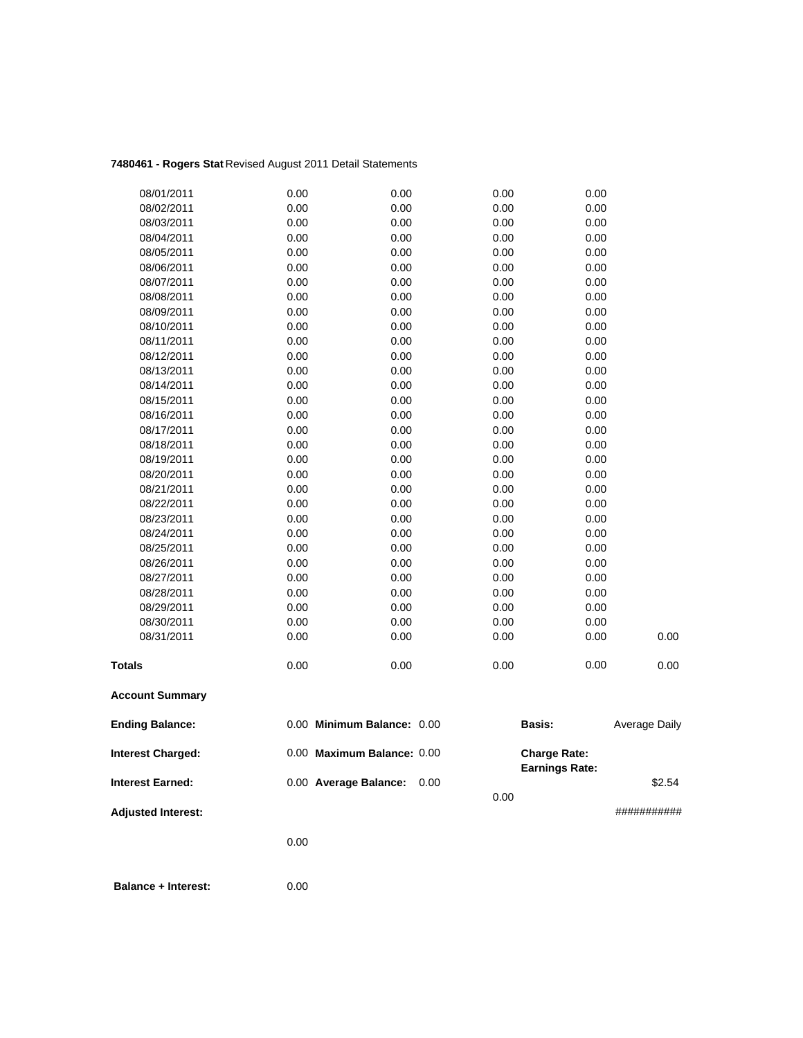## **7480461 - Rogers Stat** Revised August 2011 Detail Statements

| 08/01/2011                | 0.00 | 0.00                       | 0.00 | 0.00                  |               |
|---------------------------|------|----------------------------|------|-----------------------|---------------|
| 08/02/2011                | 0.00 | 0.00                       | 0.00 | 0.00                  |               |
| 08/03/2011                | 0.00 | 0.00                       | 0.00 | 0.00                  |               |
| 08/04/2011                | 0.00 | 0.00                       | 0.00 | 0.00                  |               |
| 08/05/2011                | 0.00 | 0.00                       | 0.00 | 0.00                  |               |
| 08/06/2011                | 0.00 | 0.00                       | 0.00 | 0.00                  |               |
| 08/07/2011                | 0.00 | 0.00                       | 0.00 | 0.00                  |               |
| 08/08/2011                | 0.00 | 0.00                       | 0.00 | 0.00                  |               |
| 08/09/2011                | 0.00 | 0.00                       | 0.00 | 0.00                  |               |
| 08/10/2011                | 0.00 | 0.00                       | 0.00 | 0.00                  |               |
| 08/11/2011                | 0.00 | 0.00                       | 0.00 | 0.00                  |               |
| 08/12/2011                | 0.00 | 0.00                       | 0.00 | 0.00                  |               |
| 08/13/2011                | 0.00 | 0.00                       | 0.00 | 0.00                  |               |
| 08/14/2011                | 0.00 | 0.00                       | 0.00 | 0.00                  |               |
| 08/15/2011                | 0.00 | 0.00                       | 0.00 | 0.00                  |               |
| 08/16/2011                | 0.00 | 0.00                       | 0.00 | 0.00                  |               |
| 08/17/2011                | 0.00 | 0.00                       | 0.00 | 0.00                  |               |
| 08/18/2011                | 0.00 | 0.00                       | 0.00 | 0.00                  |               |
| 08/19/2011                | 0.00 | 0.00                       | 0.00 | 0.00                  |               |
| 08/20/2011                | 0.00 | 0.00                       | 0.00 | 0.00                  |               |
| 08/21/2011                | 0.00 | 0.00                       | 0.00 | 0.00                  |               |
| 08/22/2011                | 0.00 | 0.00                       | 0.00 | 0.00                  |               |
| 08/23/2011                | 0.00 | 0.00                       | 0.00 | 0.00                  |               |
| 08/24/2011                | 0.00 | 0.00                       | 0.00 | 0.00                  |               |
| 08/25/2011                | 0.00 | 0.00                       | 0.00 | 0.00                  |               |
| 08/26/2011                | 0.00 | 0.00                       | 0.00 | 0.00                  |               |
| 08/27/2011                | 0.00 | 0.00                       | 0.00 | 0.00                  |               |
| 08/28/2011                | 0.00 | 0.00                       | 0.00 | 0.00                  |               |
| 08/29/2011                | 0.00 | 0.00                       | 0.00 | 0.00                  |               |
| 08/30/2011                | 0.00 | 0.00                       | 0.00 | 0.00                  |               |
| 08/31/2011                | 0.00 | 0.00                       | 0.00 | 0.00                  | 0.00          |
| <b>Totals</b>             | 0.00 | 0.00                       | 0.00 | 0.00                  | 0.00          |
| <b>Account Summary</b>    |      |                            |      |                       |               |
| <b>Ending Balance:</b>    |      | 0.00 Minimum Balance: 0.00 |      | <b>Basis:</b>         | Average Daily |
| <b>Interest Charged:</b>  |      | 0.00 Maximum Balance: 0.00 |      | <b>Charge Rate:</b>   |               |
| Interest Earned:          |      | 0.00 Average Balance:      | 0.00 | <b>Earnings Rate:</b> | \$2.54        |
|                           |      |                            | 0.00 |                       |               |
| <b>Adjusted Interest:</b> |      |                            |      |                       | ###########   |
|                           |      |                            |      |                       |               |

0.00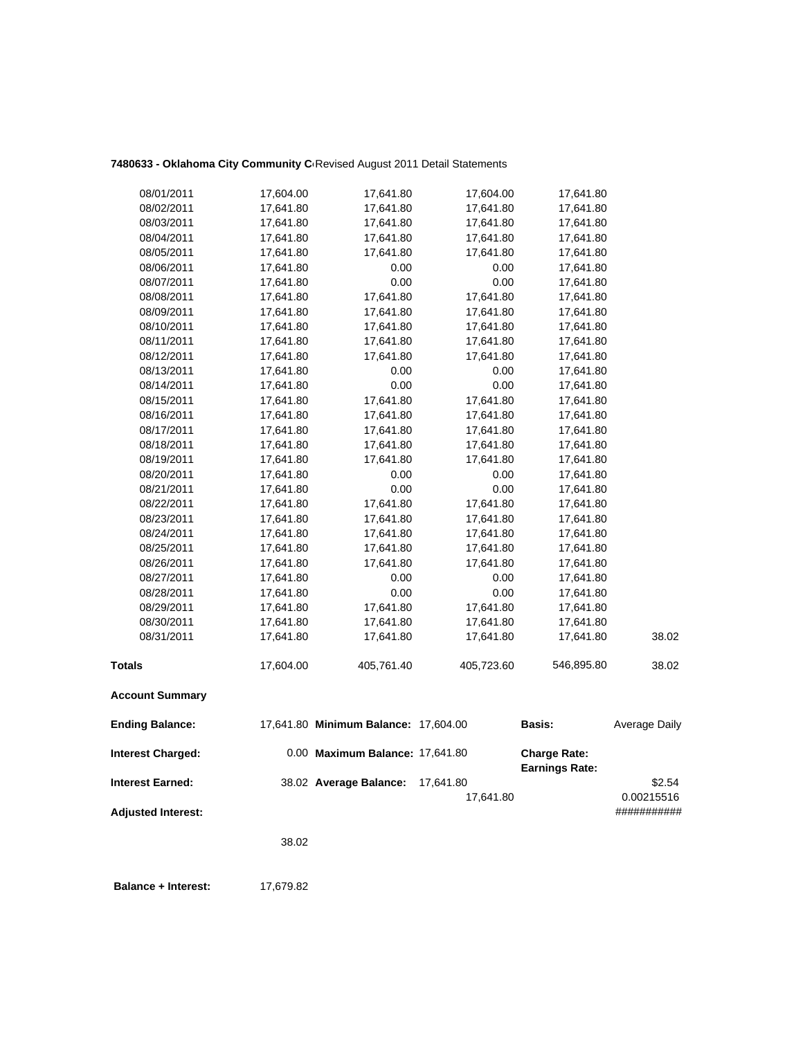## 7480633 - Oklahoma City Community C<sub>'</sub>Revised August 2011 Detail Statements

| 08/01/2011                | 17,604.00 | 17,641.80                            | 17,604.00              | 17,641.80                                    |                      |
|---------------------------|-----------|--------------------------------------|------------------------|----------------------------------------------|----------------------|
| 08/02/2011                | 17,641.80 | 17,641.80                            | 17,641.80              | 17,641.80                                    |                      |
| 08/03/2011                | 17,641.80 | 17,641.80                            | 17,641.80              | 17,641.80                                    |                      |
| 08/04/2011                | 17,641.80 | 17,641.80                            | 17,641.80              | 17,641.80                                    |                      |
| 08/05/2011                | 17,641.80 | 17,641.80                            | 17,641.80              | 17,641.80                                    |                      |
| 08/06/2011                | 17,641.80 | 0.00                                 | 0.00                   | 17,641.80                                    |                      |
| 08/07/2011                | 17,641.80 | 0.00                                 | 0.00                   | 17,641.80                                    |                      |
| 08/08/2011                | 17,641.80 | 17,641.80                            | 17,641.80              | 17,641.80                                    |                      |
| 08/09/2011                | 17,641.80 | 17,641.80                            | 17,641.80              | 17,641.80                                    |                      |
| 08/10/2011                | 17,641.80 | 17,641.80                            | 17,641.80              | 17,641.80                                    |                      |
| 08/11/2011                | 17,641.80 | 17,641.80                            | 17,641.80              | 17,641.80                                    |                      |
| 08/12/2011                | 17,641.80 | 17,641.80                            | 17,641.80              | 17,641.80                                    |                      |
| 08/13/2011                | 17,641.80 | 0.00                                 | 0.00                   | 17,641.80                                    |                      |
| 08/14/2011                | 17,641.80 | 0.00                                 | 0.00                   | 17,641.80                                    |                      |
| 08/15/2011                | 17,641.80 | 17,641.80                            | 17,641.80              | 17,641.80                                    |                      |
| 08/16/2011                | 17,641.80 | 17,641.80                            | 17,641.80              | 17,641.80                                    |                      |
| 08/17/2011                | 17,641.80 | 17,641.80                            | 17,641.80              | 17,641.80                                    |                      |
| 08/18/2011                | 17,641.80 | 17,641.80                            | 17,641.80              | 17,641.80                                    |                      |
| 08/19/2011                | 17,641.80 | 17,641.80                            | 17,641.80              | 17,641.80                                    |                      |
| 08/20/2011                | 17,641.80 | 0.00                                 | 0.00                   | 17,641.80                                    |                      |
| 08/21/2011                | 17,641.80 | 0.00                                 | 0.00                   | 17,641.80                                    |                      |
| 08/22/2011                | 17,641.80 | 17,641.80                            | 17,641.80              | 17,641.80                                    |                      |
| 08/23/2011                | 17,641.80 | 17,641.80                            | 17,641.80              | 17,641.80                                    |                      |
| 08/24/2011                | 17,641.80 | 17,641.80                            | 17,641.80              | 17,641.80                                    |                      |
| 08/25/2011                | 17,641.80 | 17,641.80                            | 17,641.80              | 17,641.80                                    |                      |
| 08/26/2011                | 17,641.80 | 17,641.80                            | 17,641.80              | 17,641.80                                    |                      |
| 08/27/2011                | 17,641.80 | 0.00                                 | 0.00                   | 17,641.80                                    |                      |
| 08/28/2011                | 17,641.80 | 0.00                                 | 0.00                   | 17,641.80                                    |                      |
| 08/29/2011                | 17,641.80 | 17,641.80                            | 17,641.80              | 17,641.80                                    |                      |
| 08/30/2011                | 17,641.80 | 17,641.80                            | 17,641.80              | 17,641.80                                    |                      |
| 08/31/2011                | 17,641.80 | 17,641.80                            | 17,641.80              | 17,641.80                                    | 38.02                |
| <b>Totals</b>             | 17,604.00 | 405,761.40                           | 405,723.60             | 546,895.80                                   | 38.02                |
| <b>Account Summary</b>    |           |                                      |                        |                                              |                      |
| <b>Ending Balance:</b>    |           | 17,641.80 Minimum Balance: 17,604.00 |                        | <b>Basis:</b>                                | Average Daily        |
| <b>Interest Charged:</b>  |           | 0.00 Maximum Balance: 17,641.80      |                        | <b>Charge Rate:</b><br><b>Earnings Rate:</b> |                      |
| <b>Interest Earned:</b>   |           | 38.02 Average Balance:               | 17,641.80<br>17,641.80 |                                              | \$2.54<br>0.00215516 |
| <b>Adjusted Interest:</b> |           |                                      |                        |                                              | ###########          |

38.02

**Balance + Interest:** 17,679.82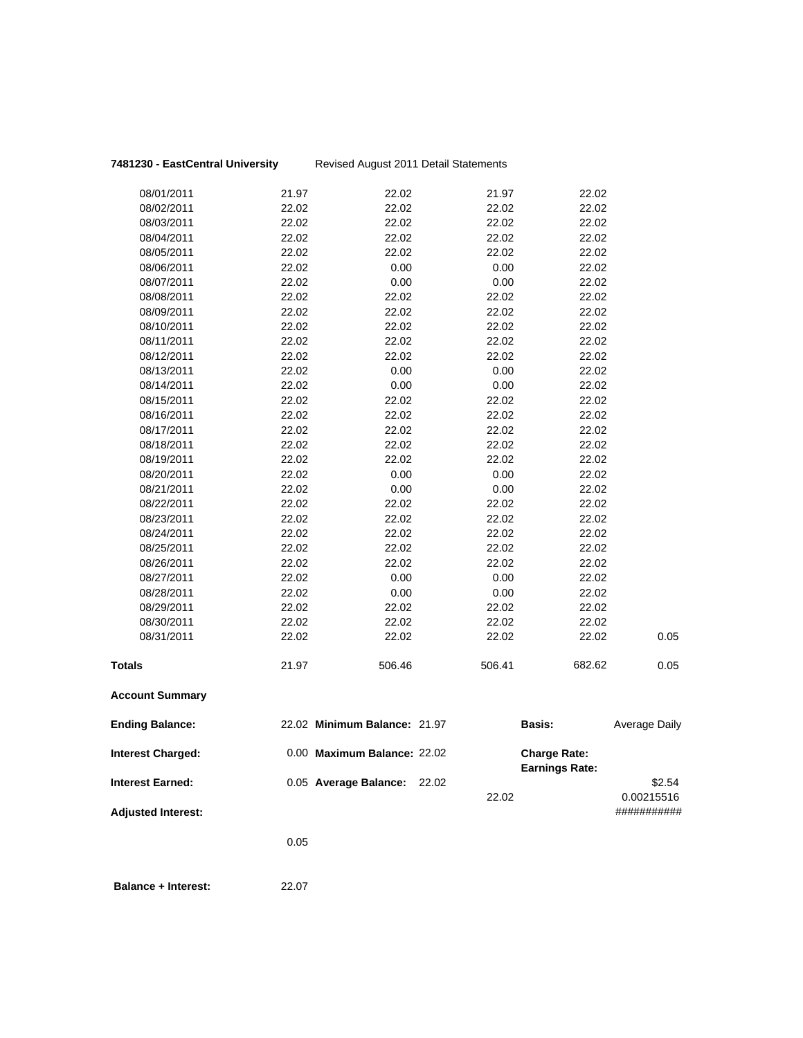## **7481230 - EastCentral University** Revised August 2011 Detail Statements

| <b>Interest Earned:</b>  |       | 0.05 Average Balance:        | 22.02 | 22.02  |                                              | \$2.54<br>0.00215516 |
|--------------------------|-------|------------------------------|-------|--------|----------------------------------------------|----------------------|
| <b>Interest Charged:</b> |       | 0.00 Maximum Balance: 22.02  |       |        | <b>Charge Rate:</b><br><b>Earnings Rate:</b> |                      |
| <b>Ending Balance:</b>   |       | 22.02 Minimum Balance: 21.97 |       |        | Basis:                                       | Average Daily        |
| <b>Account Summary</b>   |       |                              |       |        |                                              |                      |
| Totals                   | 21.97 | 506.46                       |       | 506.41 | 682.62                                       | 0.05                 |
| 08/31/2011               | 22.02 | 22.02                        |       | 22.02  | 22.02                                        | 0.05                 |
| 08/30/2011               | 22.02 | 22.02                        |       | 22.02  | 22.02                                        |                      |
| 08/29/2011               | 22.02 | 22.02                        |       | 22.02  | 22.02                                        |                      |
| 08/28/2011               | 22.02 | 0.00                         |       | 0.00   | 22.02                                        |                      |
| 08/27/2011               | 22.02 | 0.00                         |       | 0.00   | 22.02                                        |                      |
| 08/26/2011               | 22.02 | 22.02                        |       | 22.02  | 22.02                                        |                      |
| 08/25/2011               | 22.02 | 22.02                        |       | 22.02  | 22.02                                        |                      |
| 08/24/2011               | 22.02 | 22.02                        |       | 22.02  | 22.02                                        |                      |
| 08/23/2011               | 22.02 | 22.02                        |       | 22.02  | 22.02                                        |                      |
| 08/22/2011               | 22.02 | 22.02                        |       | 22.02  | 22.02                                        |                      |
| 08/21/2011               | 22.02 | 0.00                         |       | 0.00   | 22.02                                        |                      |
| 08/20/2011               | 22.02 | 0.00                         |       | 0.00   | 22.02                                        |                      |
| 08/19/2011               | 22.02 | 22.02                        |       | 22.02  | 22.02                                        |                      |
| 08/18/2011               | 22.02 | 22.02                        |       | 22.02  | 22.02                                        |                      |
| 08/17/2011               | 22.02 | 22.02                        |       | 22.02  | 22.02                                        |                      |
| 08/16/2011               | 22.02 | 22.02                        |       | 22.02  | 22.02                                        |                      |
| 08/15/2011               | 22.02 | 22.02                        |       | 22.02  | 22.02                                        |                      |
| 08/14/2011               | 22.02 | 0.00                         |       | 0.00   | 22.02                                        |                      |
| 08/13/2011               | 22.02 | 0.00                         |       | 0.00   | 22.02                                        |                      |
| 08/12/2011               | 22.02 | 22.02                        |       | 22.02  | 22.02                                        |                      |
| 08/11/2011               | 22.02 | 22.02                        |       | 22.02  | 22.02                                        |                      |
| 08/10/2011               | 22.02 | 22.02                        |       | 22.02  | 22.02                                        |                      |
| 08/09/2011               | 22.02 | 22.02                        |       | 22.02  | 22.02                                        |                      |
| 08/08/2011               | 22.02 | 22.02                        |       | 22.02  | 22.02                                        |                      |
| 08/07/2011               | 22.02 | 0.00                         |       | 0.00   | 22.02                                        |                      |
| 08/06/2011               | 22.02 | 0.00                         |       | 0.00   | 22.02                                        |                      |
| 08/05/2011               | 22.02 | 22.02                        |       | 22.02  | 22.02                                        |                      |
| 08/04/2011               | 22.02 | 22.02                        |       | 22.02  | 22.02                                        |                      |
| 08/03/2011               | 22.02 | 22.02                        |       | 22.02  | 22.02                                        |                      |
| 08/02/2011               | 22.02 | 22.02                        |       | 22.02  | 22.02                                        |                      |
| 08/01/2011               | 21.97 | 22.02                        |       | 21.97  | 22.02                                        |                      |

**Adjusted Interest:** ###########

0.05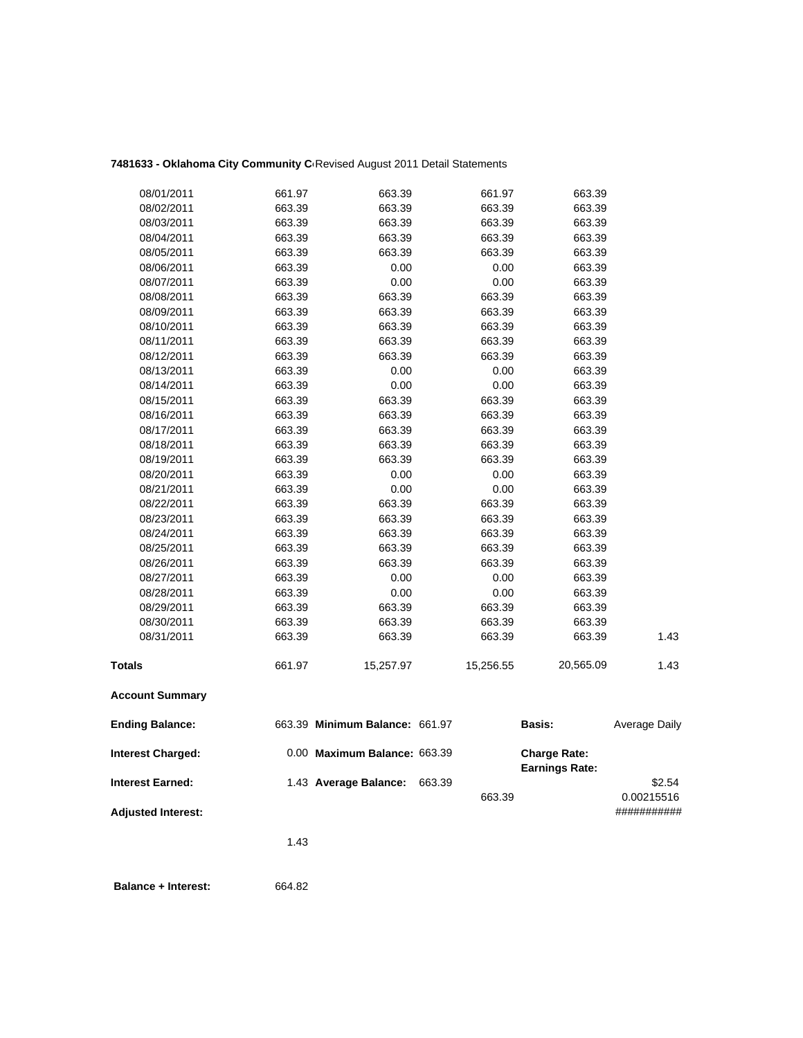## 7481633 - Oklahoma City Community C<sub>'</sub>Revised August 2011 Detail Statements

| 08/01/2011                | 661.97 | 663.39                         |        | 661.97    | 663.39                                       |               |
|---------------------------|--------|--------------------------------|--------|-----------|----------------------------------------------|---------------|
| 08/02/2011                | 663.39 | 663.39                         |        | 663.39    | 663.39                                       |               |
| 08/03/2011                | 663.39 | 663.39                         |        | 663.39    | 663.39                                       |               |
| 08/04/2011                | 663.39 | 663.39                         |        | 663.39    | 663.39                                       |               |
| 08/05/2011                | 663.39 | 663.39                         |        | 663.39    | 663.39                                       |               |
| 08/06/2011                | 663.39 | 0.00                           |        | 0.00      | 663.39                                       |               |
| 08/07/2011                | 663.39 | 0.00                           |        | 0.00      | 663.39                                       |               |
| 08/08/2011                | 663.39 | 663.39                         |        | 663.39    | 663.39                                       |               |
| 08/09/2011                | 663.39 | 663.39                         |        | 663.39    | 663.39                                       |               |
| 08/10/2011                | 663.39 | 663.39                         |        | 663.39    | 663.39                                       |               |
| 08/11/2011                | 663.39 | 663.39                         |        | 663.39    | 663.39                                       |               |
| 08/12/2011                | 663.39 | 663.39                         |        | 663.39    | 663.39                                       |               |
| 08/13/2011                | 663.39 | 0.00                           |        | 0.00      | 663.39                                       |               |
| 08/14/2011                | 663.39 | 0.00                           |        | 0.00      | 663.39                                       |               |
| 08/15/2011                | 663.39 | 663.39                         |        | 663.39    | 663.39                                       |               |
| 08/16/2011                | 663.39 | 663.39                         |        | 663.39    | 663.39                                       |               |
| 08/17/2011                | 663.39 | 663.39                         |        | 663.39    | 663.39                                       |               |
| 08/18/2011                | 663.39 | 663.39                         |        | 663.39    | 663.39                                       |               |
| 08/19/2011                | 663.39 | 663.39                         |        | 663.39    | 663.39                                       |               |
| 08/20/2011                | 663.39 | 0.00                           |        | 0.00      | 663.39                                       |               |
| 08/21/2011                | 663.39 | 0.00                           |        | 0.00      | 663.39                                       |               |
| 08/22/2011                | 663.39 | 663.39                         |        | 663.39    | 663.39                                       |               |
| 08/23/2011                | 663.39 | 663.39                         |        | 663.39    | 663.39                                       |               |
| 08/24/2011                | 663.39 | 663.39                         |        | 663.39    | 663.39                                       |               |
| 08/25/2011                | 663.39 | 663.39                         |        | 663.39    | 663.39                                       |               |
| 08/26/2011                | 663.39 | 663.39                         |        | 663.39    | 663.39                                       |               |
| 08/27/2011                | 663.39 | 0.00                           |        | 0.00      | 663.39                                       |               |
| 08/28/2011                | 663.39 | 0.00                           |        | 0.00      | 663.39                                       |               |
| 08/29/2011                | 663.39 | 663.39                         |        | 663.39    | 663.39                                       |               |
| 08/30/2011                | 663.39 | 663.39                         |        | 663.39    | 663.39                                       |               |
| 08/31/2011                | 663.39 | 663.39                         |        | 663.39    | 663.39                                       | 1.43          |
| <b>Totals</b>             | 661.97 | 15,257.97                      |        | 15,256.55 | 20,565.09                                    | 1.43          |
| <b>Account Summary</b>    |        |                                |        |           |                                              |               |
| <b>Ending Balance:</b>    |        | 663.39 Minimum Balance: 661.97 |        |           | Basis:                                       | Average Daily |
| <b>Interest Charged:</b>  |        | 0.00 Maximum Balance: 663.39   |        |           | <b>Charge Rate:</b><br><b>Earnings Rate:</b> |               |
| <b>Interest Earned:</b>   |        | 1.43 Average Balance:          | 663.39 |           |                                              | \$2.54        |
|                           |        |                                |        | 663.39    |                                              | 0.00215516    |
| <b>Adjusted Interest:</b> |        |                                |        |           |                                              | ###########   |
|                           | 1.43   |                                |        |           |                                              |               |
|                           |        |                                |        |           |                                              |               |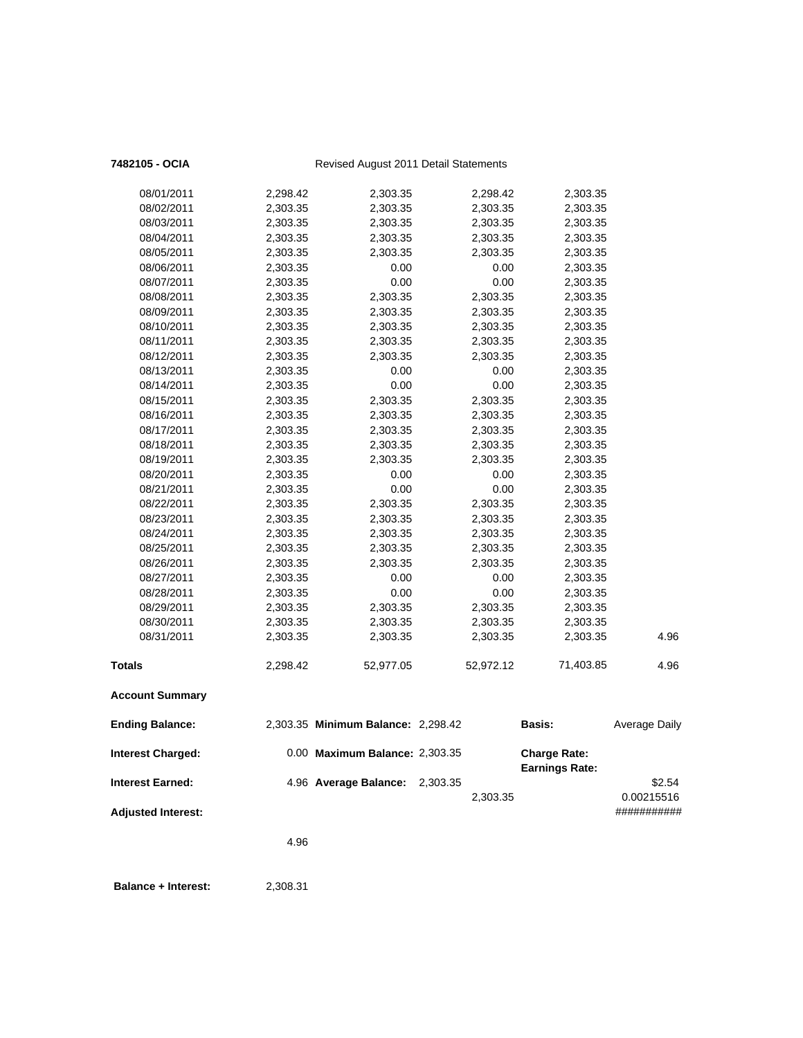| 7482105 - OCIA            |          | Revised August 2011 Detail Statements |          |           |                                              |                      |
|---------------------------|----------|---------------------------------------|----------|-----------|----------------------------------------------|----------------------|
| 08/01/2011                | 2,298.42 | 2,303.35                              |          | 2,298.42  | 2,303.35                                     |                      |
| 08/02/2011                | 2,303.35 | 2,303.35                              |          | 2,303.35  | 2,303.35                                     |                      |
| 08/03/2011                | 2,303.35 | 2,303.35                              |          | 2,303.35  | 2,303.35                                     |                      |
| 08/04/2011                | 2,303.35 | 2,303.35                              |          | 2,303.35  | 2,303.35                                     |                      |
| 08/05/2011                | 2,303.35 | 2,303.35                              |          | 2,303.35  | 2,303.35                                     |                      |
| 08/06/2011                | 2,303.35 | 0.00                                  |          | 0.00      | 2,303.35                                     |                      |
| 08/07/2011                | 2,303.35 | 0.00                                  |          | 0.00      | 2,303.35                                     |                      |
| 08/08/2011                | 2,303.35 | 2,303.35                              |          | 2,303.35  | 2,303.35                                     |                      |
| 08/09/2011                | 2,303.35 | 2,303.35                              |          | 2,303.35  | 2,303.35                                     |                      |
| 08/10/2011                | 2,303.35 | 2,303.35                              |          | 2,303.35  | 2,303.35                                     |                      |
| 08/11/2011                | 2,303.35 | 2,303.35                              |          | 2,303.35  | 2,303.35                                     |                      |
| 08/12/2011                | 2,303.35 | 2,303.35                              |          | 2,303.35  | 2,303.35                                     |                      |
| 08/13/2011                | 2,303.35 | 0.00                                  |          | 0.00      | 2,303.35                                     |                      |
| 08/14/2011                | 2,303.35 | 0.00                                  |          | 0.00      | 2,303.35                                     |                      |
| 08/15/2011                | 2,303.35 | 2,303.35                              |          | 2,303.35  | 2,303.35                                     |                      |
| 08/16/2011                | 2,303.35 | 2,303.35                              |          | 2,303.35  | 2,303.35                                     |                      |
| 08/17/2011                | 2,303.35 | 2,303.35                              |          | 2,303.35  | 2,303.35                                     |                      |
| 08/18/2011                | 2,303.35 | 2,303.35                              |          | 2,303.35  | 2,303.35                                     |                      |
| 08/19/2011                | 2,303.35 | 2,303.35                              |          | 2,303.35  | 2,303.35                                     |                      |
| 08/20/2011                | 2,303.35 | 0.00                                  |          | 0.00      | 2,303.35                                     |                      |
| 08/21/2011                | 2,303.35 | 0.00                                  |          | 0.00      | 2,303.35                                     |                      |
| 08/22/2011                | 2,303.35 | 2,303.35                              |          | 2,303.35  | 2,303.35                                     |                      |
| 08/23/2011                | 2,303.35 | 2,303.35                              |          | 2,303.35  | 2,303.35                                     |                      |
| 08/24/2011                | 2,303.35 | 2,303.35                              |          | 2,303.35  | 2,303.35                                     |                      |
| 08/25/2011                | 2,303.35 | 2,303.35                              |          | 2,303.35  | 2,303.35                                     |                      |
| 08/26/2011                | 2,303.35 | 2,303.35                              |          | 2,303.35  | 2,303.35                                     |                      |
| 08/27/2011                | 2,303.35 | 0.00                                  |          | 0.00      | 2,303.35                                     |                      |
| 08/28/2011                | 2,303.35 | 0.00                                  |          | 0.00      | 2,303.35                                     |                      |
| 08/29/2011                | 2,303.35 | 2,303.35                              |          | 2,303.35  | 2,303.35                                     |                      |
| 08/30/2011                | 2,303.35 | 2,303.35                              |          | 2,303.35  | 2,303.35                                     |                      |
| 08/31/2011                | 2,303.35 | 2,303.35                              |          | 2,303.35  | 2,303.35                                     | 4.96                 |
| <b>Totals</b>             | 2,298.42 | 52,977.05                             |          | 52,972.12 | 71,403.85                                    | 4.96                 |
| <b>Account Summary</b>    |          |                                       |          |           |                                              |                      |
| <b>Ending Balance:</b>    |          | 2,303.35 Minimum Balance: 2,298.42    |          |           | <b>Basis:</b>                                | <b>Average Daily</b> |
| <b>Interest Charged:</b>  |          | 0.00 Maximum Balance: 2,303.35        |          |           | <b>Charge Rate:</b><br><b>Earnings Rate:</b> |                      |
| <b>Interest Earned:</b>   |          | 4.96 Average Balance:                 | 2,303.35 | 2,303.35  |                                              | \$2.54<br>0.00215516 |
| <b>Adjusted Interest:</b> |          |                                       |          |           |                                              | ###########          |
|                           | 4.96     |                                       |          |           |                                              |                      |
|                           |          |                                       |          |           |                                              |                      |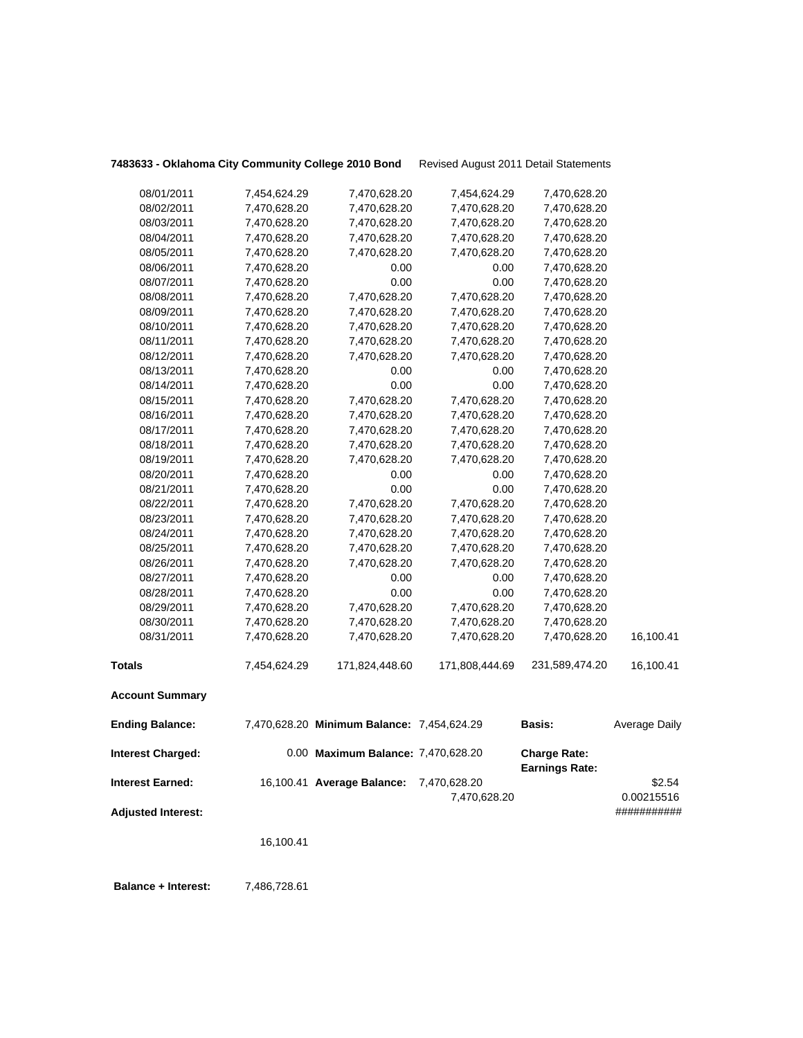| 7483633 - Oklahoma City Community College 2010 Bond |              |                                            | Revised August 2011 Detail Statements |                                              |                      |
|-----------------------------------------------------|--------------|--------------------------------------------|---------------------------------------|----------------------------------------------|----------------------|
| 08/01/2011                                          | 7,454,624.29 | 7,470,628.20                               | 7,454,624.29                          | 7,470,628.20                                 |                      |
| 08/02/2011                                          | 7,470,628.20 | 7,470,628.20                               | 7,470,628.20                          | 7,470,628.20                                 |                      |
| 08/03/2011                                          | 7,470,628.20 | 7,470,628.20                               | 7,470,628.20                          | 7,470,628.20                                 |                      |
| 08/04/2011                                          | 7,470,628.20 | 7,470,628.20                               | 7,470,628.20                          | 7,470,628.20                                 |                      |
| 08/05/2011                                          | 7,470,628.20 | 7,470,628.20                               | 7,470,628.20                          | 7,470,628.20                                 |                      |
| 08/06/2011                                          | 7,470,628.20 | 0.00                                       | 0.00                                  | 7,470,628.20                                 |                      |
| 08/07/2011                                          | 7,470,628.20 | 0.00                                       | 0.00                                  | 7,470,628.20                                 |                      |
| 08/08/2011                                          | 7,470,628.20 | 7,470,628.20                               | 7,470,628.20                          | 7,470,628.20                                 |                      |
| 08/09/2011                                          | 7,470,628.20 | 7,470,628.20                               | 7,470,628.20                          | 7,470,628.20                                 |                      |
| 08/10/2011                                          | 7,470,628.20 | 7,470,628.20                               | 7,470,628.20                          | 7,470,628.20                                 |                      |
| 08/11/2011                                          | 7,470,628.20 | 7,470,628.20                               | 7,470,628.20                          | 7,470,628.20                                 |                      |
| 08/12/2011                                          | 7,470,628.20 | 7,470,628.20                               | 7,470,628.20                          | 7,470,628.20                                 |                      |
| 08/13/2011                                          | 7,470,628.20 | 0.00                                       | 0.00                                  | 7,470,628.20                                 |                      |
| 08/14/2011                                          | 7,470,628.20 | 0.00                                       | 0.00                                  | 7,470,628.20                                 |                      |
| 08/15/2011                                          | 7,470,628.20 | 7,470,628.20                               | 7,470,628.20                          | 7,470,628.20                                 |                      |
| 08/16/2011                                          | 7,470,628.20 | 7,470,628.20                               | 7,470,628.20                          | 7,470,628.20                                 |                      |
| 08/17/2011                                          | 7,470,628.20 | 7,470,628.20                               | 7,470,628.20                          | 7,470,628.20                                 |                      |
| 08/18/2011                                          | 7,470,628.20 | 7,470,628.20                               | 7,470,628.20                          | 7,470,628.20                                 |                      |
| 08/19/2011                                          | 7,470,628.20 | 7,470,628.20                               | 7,470,628.20                          | 7,470,628.20                                 |                      |
| 08/20/2011                                          | 7,470,628.20 | 0.00                                       | 0.00                                  | 7,470,628.20                                 |                      |
| 08/21/2011                                          | 7,470,628.20 | 0.00                                       | 0.00                                  | 7,470,628.20                                 |                      |
| 08/22/2011                                          | 7,470,628.20 | 7,470,628.20                               | 7,470,628.20                          | 7,470,628.20                                 |                      |
| 08/23/2011                                          | 7,470,628.20 | 7,470,628.20                               | 7,470,628.20                          | 7,470,628.20                                 |                      |
| 08/24/2011                                          | 7,470,628.20 | 7,470,628.20                               | 7,470,628.20                          | 7,470,628.20                                 |                      |
| 08/25/2011                                          | 7,470,628.20 | 7,470,628.20                               | 7,470,628.20                          | 7,470,628.20                                 |                      |
| 08/26/2011                                          | 7,470,628.20 | 7,470,628.20                               | 7,470,628.20                          | 7,470,628.20                                 |                      |
| 08/27/2011                                          | 7,470,628.20 | 0.00                                       | 0.00                                  | 7,470,628.20                                 |                      |
| 08/28/2011                                          | 7,470,628.20 | 0.00                                       | 0.00                                  | 7,470,628.20                                 |                      |
| 08/29/2011                                          | 7,470,628.20 | 7,470,628.20                               | 7,470,628.20                          | 7,470,628.20                                 |                      |
| 08/30/2011                                          | 7,470,628.20 | 7,470,628.20                               | 7,470,628.20                          | 7,470,628.20                                 |                      |
| 08/31/2011                                          | 7,470,628.20 | 7,470,628.20                               | 7,470,628.20                          | 7,470,628.20                                 | 16,100.41            |
| <b>Totals</b>                                       | 7,454,624.29 | 171,824,448.60                             | 171,808,444.69                        | 231,589,474.20                               | 16,100.41            |
| <b>Account Summary</b>                              |              |                                            |                                       |                                              |                      |
| <b>Ending Balance:</b>                              |              | 7,470,628.20 Minimum Balance: 7,454,624.29 |                                       | <b>Basis:</b>                                | <b>Average Daily</b> |
| <b>Interest Charged:</b>                            |              | 0.00 Maximum Balance: 7,470,628.20         |                                       | <b>Charge Rate:</b><br><b>Earnings Rate:</b> |                      |
| <b>Interest Earned:</b>                             |              | 16,100.41 Average Balance:                 | 7,470,628.20                          |                                              | \$2.54               |
|                                                     |              |                                            | 7,470,628.20                          |                                              | 0.00215516           |
| <b>Adjusted Interest:</b>                           |              |                                            |                                       |                                              | ###########          |
|                                                     | 16,100.41    |                                            |                                       |                                              |                      |
|                                                     |              |                                            |                                       |                                              |                      |

 **Balance + Interest:** 7,486,728.61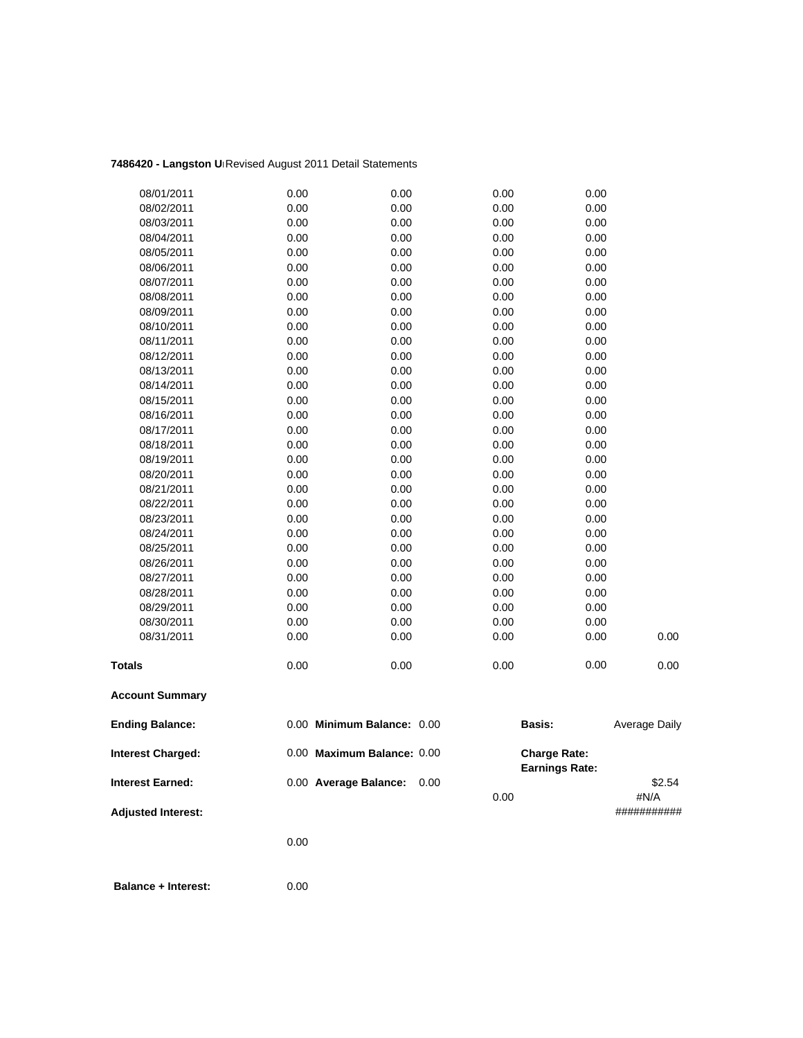## **7486420 - Langston Un**Revised August 2011 Detail Statements

| 08/01/2011                | 0.00 | 0.00                       | 0.00         | 0.00                                         |                |
|---------------------------|------|----------------------------|--------------|----------------------------------------------|----------------|
| 08/02/2011                | 0.00 | 0.00                       | 0.00         | 0.00                                         |                |
| 08/03/2011                | 0.00 | 0.00                       | 0.00         | 0.00                                         |                |
| 08/04/2011                | 0.00 | 0.00                       | 0.00         | 0.00                                         |                |
| 08/05/2011                | 0.00 | 0.00                       | 0.00         | 0.00                                         |                |
| 08/06/2011                | 0.00 | 0.00                       | 0.00         | 0.00                                         |                |
| 08/07/2011                | 0.00 | 0.00                       | 0.00         | 0.00                                         |                |
| 08/08/2011                | 0.00 | 0.00                       | 0.00         | 0.00                                         |                |
| 08/09/2011                | 0.00 | 0.00                       | 0.00         | 0.00                                         |                |
| 08/10/2011                | 0.00 | 0.00                       | 0.00         | 0.00                                         |                |
| 08/11/2011                | 0.00 | 0.00                       | 0.00         | 0.00                                         |                |
| 08/12/2011                | 0.00 | 0.00                       | 0.00         | 0.00                                         |                |
| 08/13/2011                | 0.00 | 0.00                       | 0.00         | 0.00                                         |                |
| 08/14/2011                | 0.00 | 0.00                       | 0.00         | 0.00                                         |                |
| 08/15/2011                | 0.00 | 0.00                       | 0.00         | 0.00                                         |                |
| 08/16/2011                | 0.00 | 0.00                       | 0.00         | 0.00                                         |                |
| 08/17/2011                | 0.00 | 0.00                       | 0.00         | 0.00                                         |                |
| 08/18/2011                | 0.00 | 0.00                       | 0.00         | 0.00                                         |                |
| 08/19/2011                | 0.00 | 0.00                       | 0.00         | 0.00                                         |                |
| 08/20/2011                | 0.00 | 0.00                       | 0.00         | 0.00                                         |                |
| 08/21/2011                | 0.00 | 0.00                       | 0.00         | 0.00                                         |                |
| 08/22/2011                | 0.00 | 0.00                       | 0.00         | 0.00                                         |                |
| 08/23/2011                | 0.00 | 0.00                       | 0.00         | 0.00                                         |                |
| 08/24/2011                | 0.00 | 0.00                       | 0.00         | 0.00                                         |                |
| 08/25/2011                | 0.00 | 0.00                       | 0.00         | 0.00                                         |                |
| 08/26/2011                | 0.00 | 0.00                       | 0.00         | 0.00                                         |                |
| 08/27/2011                | 0.00 | 0.00                       | 0.00         | 0.00                                         |                |
| 08/28/2011                | 0.00 | 0.00                       | 0.00         | 0.00                                         |                |
| 08/29/2011                | 0.00 | 0.00                       | 0.00         | 0.00                                         |                |
| 08/30/2011                | 0.00 | 0.00                       | 0.00         | 0.00                                         |                |
| 08/31/2011                | 0.00 | 0.00                       | 0.00         | 0.00                                         | 0.00           |
| <b>Totals</b>             | 0.00 | 0.00                       | 0.00         | 0.00                                         | 0.00           |
| <b>Account Summary</b>    |      |                            |              |                                              |                |
| <b>Ending Balance:</b>    |      | 0.00 Minimum Balance: 0.00 |              | Basis:                                       | Average Daily  |
| <b>Interest Charged:</b>  |      | 0.00 Maximum Balance: 0.00 |              | <b>Charge Rate:</b><br><b>Earnings Rate:</b> |                |
| <b>Interest Earned:</b>   |      | 0.00 Average Balance:      | 0.00<br>0.00 |                                              | \$2.54<br>#N/A |
| <b>Adjusted Interest:</b> |      |                            |              |                                              | ###########    |

0.00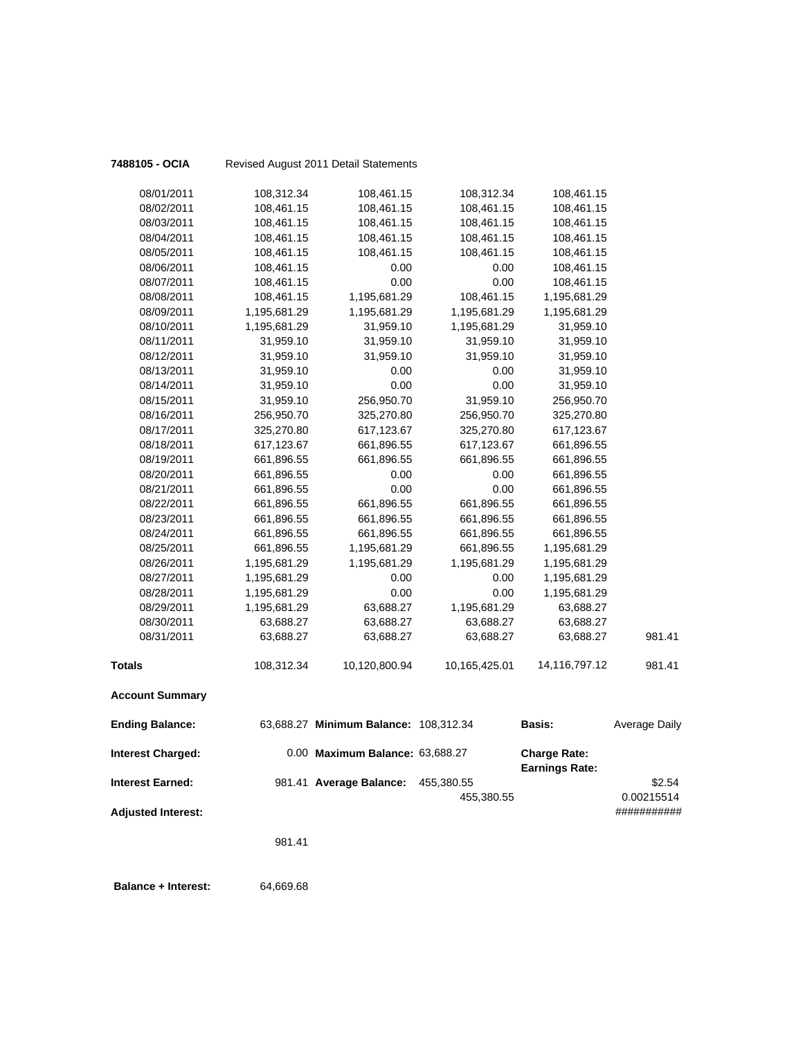| 7488105 - OCIA             |              | Revised August 2011 Detail Statements |               |                                              |                      |
|----------------------------|--------------|---------------------------------------|---------------|----------------------------------------------|----------------------|
| 08/01/2011                 | 108,312.34   | 108,461.15                            | 108,312.34    | 108,461.15                                   |                      |
| 08/02/2011                 | 108,461.15   | 108,461.15                            | 108,461.15    | 108,461.15                                   |                      |
| 08/03/2011                 | 108,461.15   | 108,461.15                            | 108,461.15    | 108,461.15                                   |                      |
| 08/04/2011                 | 108,461.15   | 108,461.15                            | 108,461.15    | 108,461.15                                   |                      |
| 08/05/2011                 | 108,461.15   | 108,461.15                            | 108,461.15    | 108,461.15                                   |                      |
| 08/06/2011                 | 108,461.15   | 0.00                                  | 0.00          | 108,461.15                                   |                      |
| 08/07/2011                 | 108,461.15   | 0.00                                  | 0.00          | 108,461.15                                   |                      |
| 08/08/2011                 | 108,461.15   | 1,195,681.29                          | 108,461.15    | 1,195,681.29                                 |                      |
| 08/09/2011                 | 1,195,681.29 | 1,195,681.29                          | 1,195,681.29  | 1,195,681.29                                 |                      |
| 08/10/2011                 | 1,195,681.29 | 31,959.10                             | 1,195,681.29  | 31,959.10                                    |                      |
| 08/11/2011                 | 31,959.10    | 31,959.10                             | 31,959.10     | 31,959.10                                    |                      |
| 08/12/2011                 | 31,959.10    | 31,959.10                             | 31,959.10     | 31,959.10                                    |                      |
| 08/13/2011                 | 31,959.10    | 0.00                                  | 0.00          | 31,959.10                                    |                      |
| 08/14/2011                 | 31,959.10    | 0.00                                  | 0.00          | 31,959.10                                    |                      |
| 08/15/2011                 | 31,959.10    | 256,950.70                            | 31,959.10     | 256,950.70                                   |                      |
| 08/16/2011                 | 256,950.70   | 325,270.80                            | 256,950.70    | 325,270.80                                   |                      |
| 08/17/2011                 | 325,270.80   | 617,123.67                            | 325,270.80    | 617,123.67                                   |                      |
| 08/18/2011                 | 617,123.67   | 661,896.55                            | 617,123.67    | 661,896.55                                   |                      |
| 08/19/2011                 | 661,896.55   | 661,896.55                            | 661,896.55    | 661,896.55                                   |                      |
| 08/20/2011                 | 661,896.55   | 0.00                                  | 0.00          | 661,896.55                                   |                      |
| 08/21/2011                 | 661,896.55   | 0.00                                  | 0.00          | 661,896.55                                   |                      |
| 08/22/2011                 | 661,896.55   | 661,896.55                            | 661,896.55    | 661,896.55                                   |                      |
| 08/23/2011                 | 661,896.55   | 661,896.55                            | 661,896.55    | 661,896.55                                   |                      |
| 08/24/2011                 | 661,896.55   | 661,896.55                            | 661,896.55    | 661,896.55                                   |                      |
| 08/25/2011                 | 661,896.55   | 1,195,681.29                          | 661,896.55    | 1,195,681.29                                 |                      |
| 08/26/2011                 | 1,195,681.29 | 1,195,681.29                          | 1,195,681.29  | 1,195,681.29                                 |                      |
| 08/27/2011                 | 1,195,681.29 | 0.00                                  | 0.00          | 1,195,681.29                                 |                      |
| 08/28/2011                 | 1,195,681.29 | 0.00                                  | 0.00          | 1,195,681.29                                 |                      |
| 08/29/2011                 | 1,195,681.29 | 63,688.27                             | 1,195,681.29  | 63,688.27                                    |                      |
| 08/30/2011                 | 63,688.27    | 63,688.27                             | 63,688.27     | 63,688.27                                    |                      |
| 08/31/2011                 | 63,688.27    | 63,688.27                             | 63,688.27     | 63,688.27                                    | 981.41               |
| <b>Totals</b>              | 108,312.34   | 10,120,800.94                         | 10,165,425.01 | 14,116,797.12                                | 981.41               |
| <b>Account Summary</b>     |              |                                       |               |                                              |                      |
| <b>Ending Balance:</b>     |              | 63,688.27 Minimum Balance: 108,312.34 |               | <b>Basis:</b>                                | <b>Average Daily</b> |
| <b>Interest Charged:</b>   |              | 0.00 Maximum Balance: 63,688.27       |               | <b>Charge Rate:</b><br><b>Earnings Rate:</b> |                      |
| <b>Interest Earned:</b>    |              | 981.41 Average Balance:               | 455,380.55    |                                              | \$2.54               |
|                            |              |                                       | 455,380.55    |                                              | 0.00215514           |
| <b>Adjusted Interest:</b>  |              |                                       |               |                                              | ###########          |
|                            | 981.41       |                                       |               |                                              |                      |
| <b>Balance + Interest:</b> | 64,669.68    |                                       |               |                                              |                      |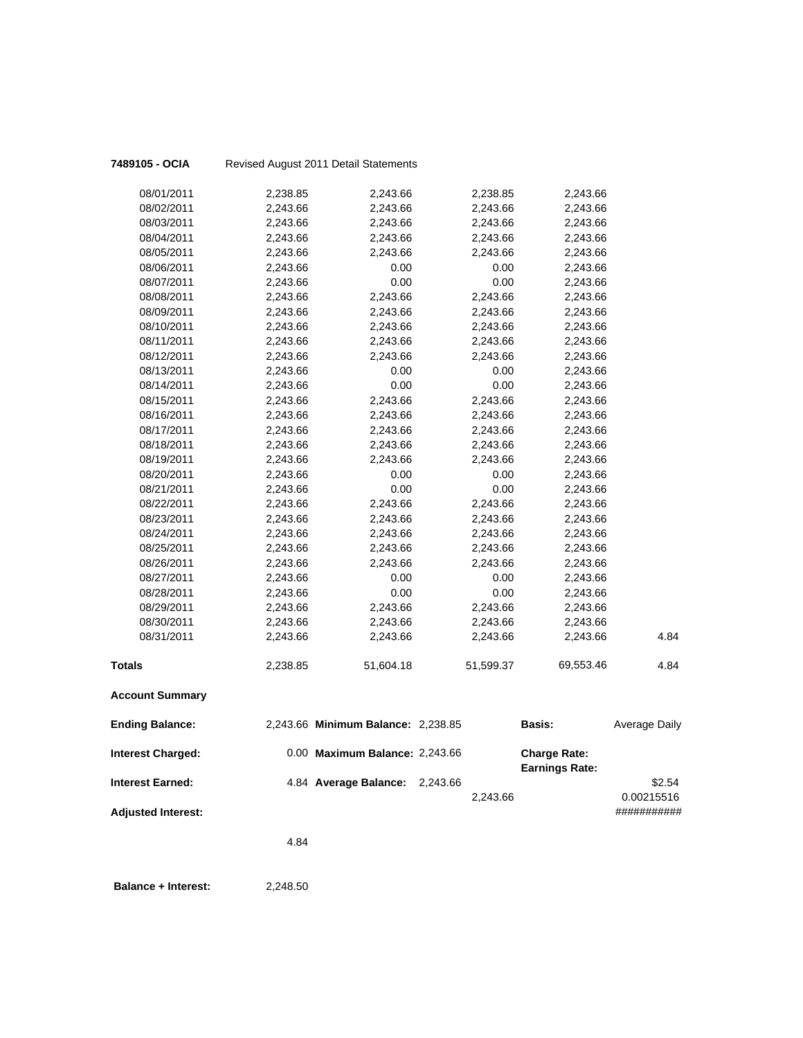| 7489105 - OCIA            |          | Revised August 2011 Detail Statements |           |                       |                           |
|---------------------------|----------|---------------------------------------|-----------|-----------------------|---------------------------|
| 08/01/2011                | 2,238.85 | 2,243.66                              | 2,238.85  | 2,243.66              |                           |
| 08/02/2011                | 2,243.66 | 2,243.66                              | 2,243.66  | 2,243.66              |                           |
| 08/03/2011                | 2,243.66 | 2,243.66                              | 2,243.66  | 2,243.66              |                           |
| 08/04/2011                | 2,243.66 | 2,243.66                              | 2,243.66  | 2,243.66              |                           |
| 08/05/2011                | 2,243.66 | 2,243.66                              | 2,243.66  | 2,243.66              |                           |
| 08/06/2011                | 2,243.66 | 0.00                                  | 0.00      | 2,243.66              |                           |
| 08/07/2011                | 2,243.66 | 0.00                                  | 0.00      | 2,243.66              |                           |
| 08/08/2011                | 2,243.66 | 2,243.66                              | 2,243.66  | 2,243.66              |                           |
| 08/09/2011                | 2,243.66 | 2,243.66                              | 2,243.66  | 2,243.66              |                           |
| 08/10/2011                | 2,243.66 | 2,243.66                              | 2,243.66  | 2,243.66              |                           |
| 08/11/2011                | 2,243.66 | 2,243.66                              | 2,243.66  | 2,243.66              |                           |
| 08/12/2011                | 2,243.66 | 2,243.66                              | 2,243.66  | 2,243.66              |                           |
| 08/13/2011                | 2,243.66 | 0.00                                  | 0.00      | 2,243.66              |                           |
| 08/14/2011                | 2,243.66 | 0.00                                  | 0.00      | 2,243.66              |                           |
| 08/15/2011                | 2,243.66 | 2,243.66                              | 2,243.66  | 2,243.66              |                           |
| 08/16/2011                | 2,243.66 | 2,243.66                              | 2,243.66  | 2,243.66              |                           |
| 08/17/2011                | 2,243.66 | 2,243.66                              | 2,243.66  | 2,243.66              |                           |
| 08/18/2011                | 2,243.66 | 2,243.66                              | 2,243.66  | 2,243.66              |                           |
| 08/19/2011                | 2,243.66 | 2,243.66                              | 2,243.66  | 2,243.66              |                           |
| 08/20/2011                | 2,243.66 | 0.00                                  | 0.00      | 2,243.66              |                           |
| 08/21/2011                | 2,243.66 | 0.00                                  | 0.00      | 2,243.66              |                           |
| 08/22/2011                | 2,243.66 | 2,243.66                              | 2,243.66  | 2,243.66              |                           |
| 08/23/2011                | 2,243.66 | 2,243.66                              | 2,243.66  | 2,243.66              |                           |
| 08/24/2011                | 2,243.66 | 2,243.66                              | 2,243.66  | 2,243.66              |                           |
| 08/25/2011                | 2,243.66 | 2,243.66                              | 2,243.66  | 2,243.66              |                           |
| 08/26/2011                | 2,243.66 | 2,243.66                              | 2,243.66  | 2,243.66              |                           |
| 08/27/2011                | 2,243.66 | 0.00                                  | 0.00      | 2,243.66              |                           |
| 08/28/2011                | 2,243.66 | 0.00                                  | 0.00      | 2,243.66              |                           |
| 08/29/2011                | 2,243.66 | 2,243.66                              | 2,243.66  | 2,243.66              |                           |
| 08/30/2011                | 2,243.66 | 2,243.66                              | 2,243.66  | 2,243.66              |                           |
| 08/31/2011                | 2,243.66 | 2,243.66                              | 2,243.66  | 2,243.66              | 4.84                      |
| <b>Totals</b>             | 2,238.85 | 51,604.18                             | 51,599.37 | 69,553.46             | 4.84                      |
| <b>Account Summary</b>    |          |                                       |           |                       |                           |
| <b>Ending Balance:</b>    |          | 2,243.66 Minimum Balance: 2,238.85    |           | <b>Basis:</b>         | <b>Average Daily</b>      |
| <b>Interest Charged:</b>  |          | 0.00 Maximum Balance: 2,243.66        |           | <b>Charge Rate:</b>   |                           |
| <b>Interest Earned:</b>   |          | 4.84 Average Balance: 2,243.66        |           | <b>Earnings Rate:</b> | \$2.54                    |
| <b>Adjusted Interest:</b> |          |                                       | 2,243.66  |                       | 0.00215516<br>########### |
|                           | 4.84     |                                       |           |                       |                           |
|                           |          |                                       |           |                       |                           |

**Balance + Interest:** 2,248.50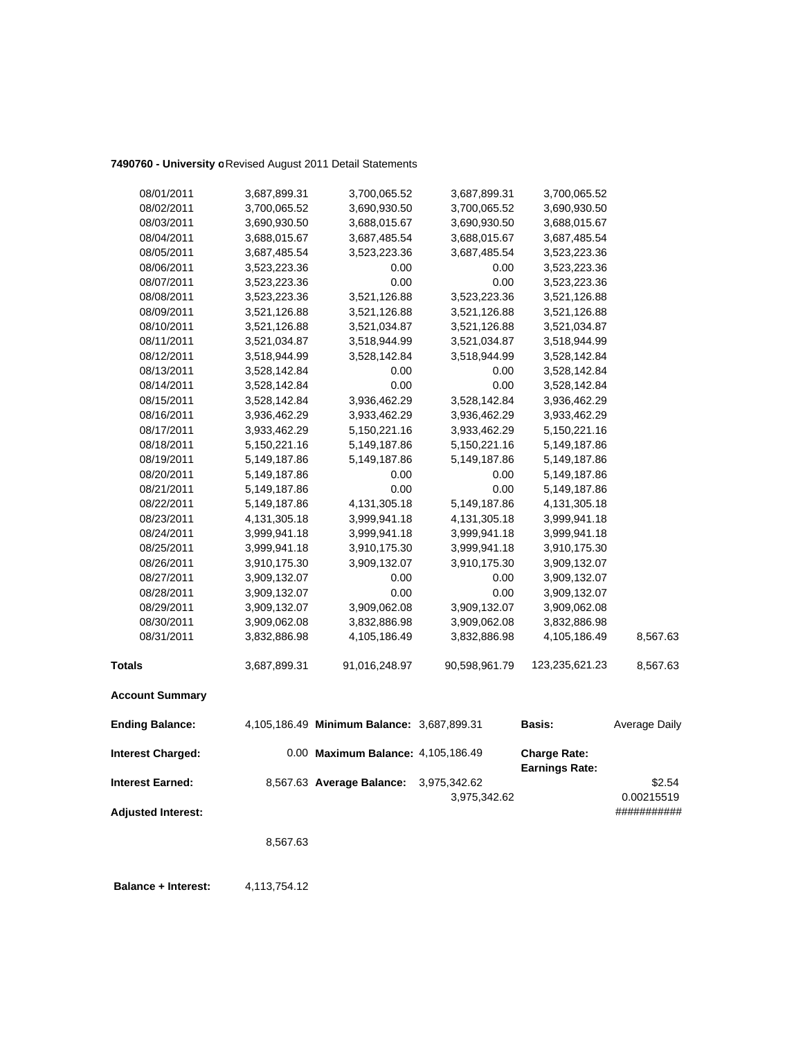## **7490760 - University o**Revised August 2011 Detail Statements

| 08/01/2011                | 3,687,899.31 | 3,700,065.52                               | 3,687,899.31                 | 3,700,065.52                                 |                      |
|---------------------------|--------------|--------------------------------------------|------------------------------|----------------------------------------------|----------------------|
| 08/02/2011                | 3,700,065.52 | 3,690,930.50                               | 3,700,065.52                 | 3,690,930.50                                 |                      |
| 08/03/2011                | 3,690,930.50 | 3,688,015.67                               | 3,690,930.50                 | 3,688,015.67                                 |                      |
| 08/04/2011                | 3,688,015.67 | 3,687,485.54                               | 3,688,015.67                 | 3,687,485.54                                 |                      |
| 08/05/2011                | 3,687,485.54 | 3,523,223.36                               | 3,687,485.54                 | 3,523,223.36                                 |                      |
| 08/06/2011                | 3,523,223.36 | 0.00                                       | 0.00                         | 3,523,223.36                                 |                      |
| 08/07/2011                | 3,523,223.36 | 0.00                                       | 0.00                         | 3,523,223.36                                 |                      |
| 08/08/2011                | 3,523,223.36 | 3,521,126.88                               | 3,523,223.36                 | 3,521,126.88                                 |                      |
| 08/09/2011                | 3,521,126.88 | 3,521,126.88                               | 3,521,126.88                 | 3,521,126.88                                 |                      |
| 08/10/2011                | 3,521,126.88 | 3,521,034.87                               | 3,521,126.88                 | 3,521,034.87                                 |                      |
| 08/11/2011                | 3,521,034.87 | 3,518,944.99                               | 3,521,034.87                 | 3,518,944.99                                 |                      |
| 08/12/2011                | 3,518,944.99 | 3,528,142.84                               | 3,518,944.99                 | 3,528,142.84                                 |                      |
| 08/13/2011                | 3,528,142.84 | 0.00                                       | 0.00                         | 3,528,142.84                                 |                      |
| 08/14/2011                | 3,528,142.84 | 0.00                                       | 0.00                         | 3,528,142.84                                 |                      |
| 08/15/2011                | 3,528,142.84 | 3,936,462.29                               | 3,528,142.84                 | 3,936,462.29                                 |                      |
| 08/16/2011                | 3,936,462.29 | 3,933,462.29                               | 3,936,462.29                 | 3,933,462.29                                 |                      |
| 08/17/2011                | 3,933,462.29 | 5,150,221.16                               | 3,933,462.29                 | 5,150,221.16                                 |                      |
| 08/18/2011                | 5,150,221.16 | 5,149,187.86                               | 5,150,221.16                 | 5,149,187.86                                 |                      |
| 08/19/2011                | 5,149,187.86 | 5,149,187.86                               | 5,149,187.86                 | 5,149,187.86                                 |                      |
| 08/20/2011                | 5,149,187.86 | 0.00                                       | 0.00                         | 5,149,187.86                                 |                      |
| 08/21/2011                | 5,149,187.86 | 0.00                                       | 0.00                         | 5,149,187.86                                 |                      |
| 08/22/2011                | 5,149,187.86 | 4, 131, 305. 18                            | 5,149,187.86                 | 4,131,305.18                                 |                      |
| 08/23/2011                | 4,131,305.18 | 3,999,941.18                               | 4,131,305.18                 | 3,999,941.18                                 |                      |
| 08/24/2011                | 3,999,941.18 | 3,999,941.18                               | 3,999,941.18                 | 3,999,941.18                                 |                      |
| 08/25/2011                | 3,999,941.18 | 3,910,175.30                               | 3,999,941.18                 | 3,910,175.30                                 |                      |
| 08/26/2011                | 3,910,175.30 | 3,909,132.07                               | 3,910,175.30                 | 3,909,132.07                                 |                      |
| 08/27/2011                | 3,909,132.07 | 0.00                                       | 0.00                         | 3,909,132.07                                 |                      |
| 08/28/2011                | 3,909,132.07 | 0.00                                       | 0.00                         | 3,909,132.07                                 |                      |
| 08/29/2011                | 3,909,132.07 | 3,909,062.08                               | 3,909,132.07                 | 3,909,062.08                                 |                      |
| 08/30/2011                | 3,909,062.08 | 3,832,886.98                               | 3,909,062.08                 | 3,832,886.98                                 |                      |
| 08/31/2011                | 3,832,886.98 | 4,105,186.49                               | 3,832,886.98                 | 4,105,186.49                                 | 8,567.63             |
| <b>Totals</b>             | 3,687,899.31 | 91,016,248.97                              | 90,598,961.79                | 123,235,621.23                               | 8,567.63             |
| <b>Account Summary</b>    |              |                                            |                              |                                              |                      |
| <b>Ending Balance:</b>    |              | 4,105,186.49 Minimum Balance: 3,687,899.31 |                              | Basis:                                       | Average Daily        |
| <b>Interest Charged:</b>  |              | 0.00 Maximum Balance: 4,105,186.49         |                              | <b>Charge Rate:</b><br><b>Earnings Rate:</b> |                      |
| <b>Interest Earned:</b>   |              | 8,567.63 Average Balance:                  | 3,975,342.62<br>3,975,342.62 |                                              | \$2.54<br>0.00215519 |
| <b>Adjusted Interest:</b> |              |                                            |                              |                                              | ###########          |

8,567.63

**Balance + Interest:** 4,113,754.12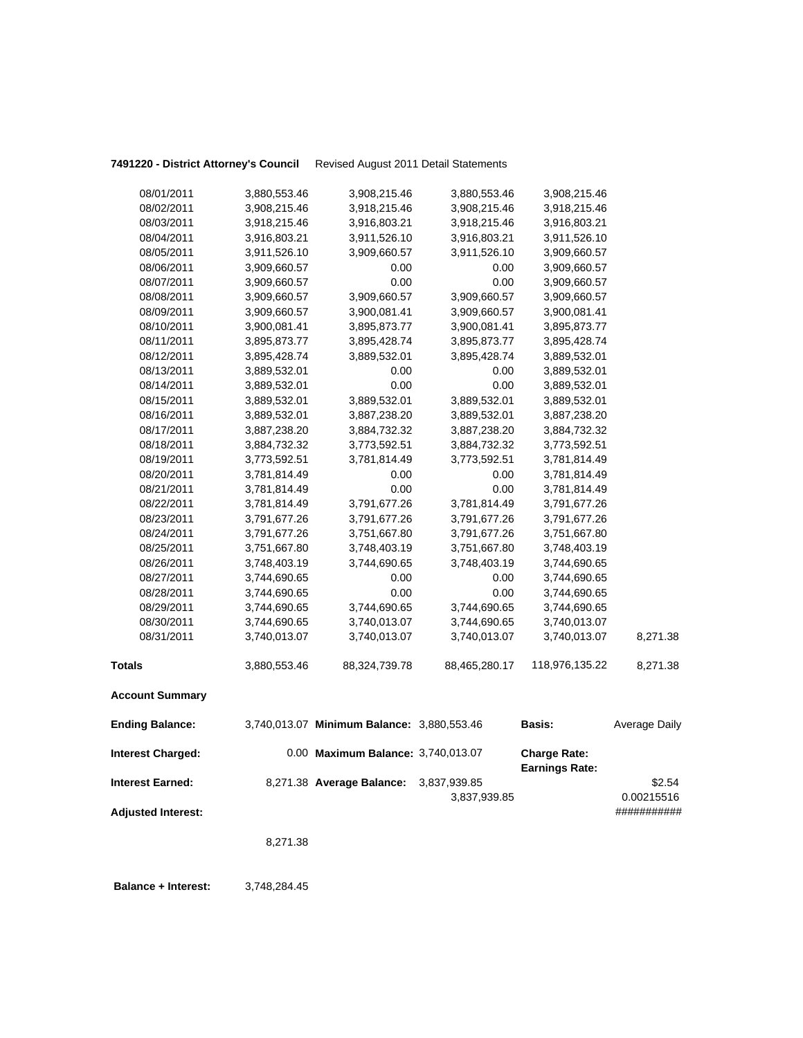## **7491220 - District Attorney's Council** Revised August 2011 Detail Statements

| <b>Ending Balance:</b> |              | 3,740,013.07 Minimum Balance: 3,880,553.46 |               | <b>Basis:</b>  | Average Daily |
|------------------------|--------------|--------------------------------------------|---------------|----------------|---------------|
| <b>Account Summary</b> |              |                                            |               |                |               |
| <b>Totals</b>          | 3,880,553.46 | 88,324,739.78                              | 88,465,280.17 | 118,976,135.22 | 8,271.38      |
| 08/31/2011             | 3,740,013.07 | 3,740,013.07                               | 3,740,013.07  | 3,740,013.07   | 8,271.38      |
| 08/30/2011             | 3,744,690.65 | 3,740,013.07                               | 3,744,690.65  | 3,740,013.07   |               |
| 08/29/2011             | 3,744,690.65 | 3,744,690.65                               | 3,744,690.65  | 3,744,690.65   |               |
| 08/28/2011             | 3,744,690.65 | 0.00                                       | 0.00          | 3,744,690.65   |               |
| 08/27/2011             | 3,744,690.65 | 0.00                                       | 0.00          | 3,744,690.65   |               |
| 08/26/2011             | 3,748,403.19 | 3,744,690.65                               | 3,748,403.19  | 3,744,690.65   |               |
| 08/25/2011             | 3,751,667.80 | 3,748,403.19                               | 3,751,667.80  | 3,748,403.19   |               |
| 08/24/2011             | 3,791,677.26 | 3,751,667.80                               | 3,791,677.26  | 3,751,667.80   |               |
| 08/23/2011             | 3,791,677.26 | 3,791,677.26                               | 3,791,677.26  | 3,791,677.26   |               |
| 08/22/2011             | 3,781,814.49 | 3,791,677.26                               | 3,781,814.49  | 3,791,677.26   |               |
| 08/21/2011             | 3,781,814.49 | 0.00                                       | 0.00          | 3,781,814.49   |               |
| 08/20/2011             | 3,781,814.49 | 0.00                                       | 0.00          | 3,781,814.49   |               |
| 08/19/2011             | 3,773,592.51 | 3,781,814.49                               | 3,773,592.51  | 3,781,814.49   |               |
| 08/18/2011             | 3,884,732.32 | 3,773,592.51                               | 3,884,732.32  | 3,773,592.51   |               |
| 08/17/2011             | 3,887,238.20 | 3,884,732.32                               | 3,887,238.20  | 3,884,732.32   |               |
| 08/16/2011             | 3,889,532.01 | 3,887,238.20                               | 3,889,532.01  | 3,887,238.20   |               |
| 08/15/2011             | 3,889,532.01 | 3,889,532.01                               | 3,889,532.01  | 3,889,532.01   |               |
| 08/14/2011             | 3,889,532.01 | 0.00                                       | 0.00          | 3,889,532.01   |               |
| 08/13/2011             | 3,889,532.01 | 0.00                                       | 0.00          | 3,889,532.01   |               |
| 08/12/2011             | 3,895,428.74 | 3,889,532.01                               | 3,895,428.74  | 3,889,532.01   |               |
| 08/11/2011             | 3,895,873.77 | 3,895,428.74                               | 3,895,873.77  | 3,895,428.74   |               |
| 08/10/2011             | 3,900,081.41 | 3,895,873.77                               | 3,900,081.41  | 3,895,873.77   |               |
| 08/09/2011             | 3,909,660.57 | 3,900,081.41                               | 3,909,660.57  | 3,900,081.41   |               |
| 08/08/2011             | 3,909,660.57 | 3,909,660.57                               | 3,909,660.57  | 3,909,660.57   |               |
| 08/07/2011             | 3,909,660.57 | 0.00                                       | 0.00          | 3,909,660.57   |               |
| 08/06/2011             | 3,909,660.57 | 0.00                                       | 0.00          | 3,909,660.57   |               |
| 08/05/2011             | 3,911,526.10 | 3,909,660.57                               | 3,911,526.10  | 3,909,660.57   |               |
| 08/04/2011             | 3,916,803.21 | 3,911,526.10                               | 3,916,803.21  | 3,911,526.10   |               |
| 08/03/2011             | 3,918,215.46 | 3,916,803.21                               | 3,918,215.46  | 3,916,803.21   |               |
| 08/02/2011             | 3,908,215.46 | 3,918,215.46                               | 3,908,215.46  | 3,918,215.46   |               |
| 08/01/2011             | 3,880,553.46 | 3,908,215.46                               | 3,880,553.46  | 3,908,215.46   |               |

| <b>Interest Charged:</b>  | 0.00 Maximum Balance: 3,740,013.07     |              | <b>Charge Rate:</b><br><b>Earnings Rate:</b> |             |
|---------------------------|----------------------------------------|--------------|----------------------------------------------|-------------|
| <b>Interest Earned:</b>   | 8,271.38 Average Balance: 3,837,939.85 |              |                                              | \$2.54      |
|                           |                                        | 3.837.939.85 |                                              | 0.00215516  |
| <b>Adjusted Interest:</b> |                                        |              |                                              | ########### |

8,271.38

 **Balance + Interest:** 3,748,284.45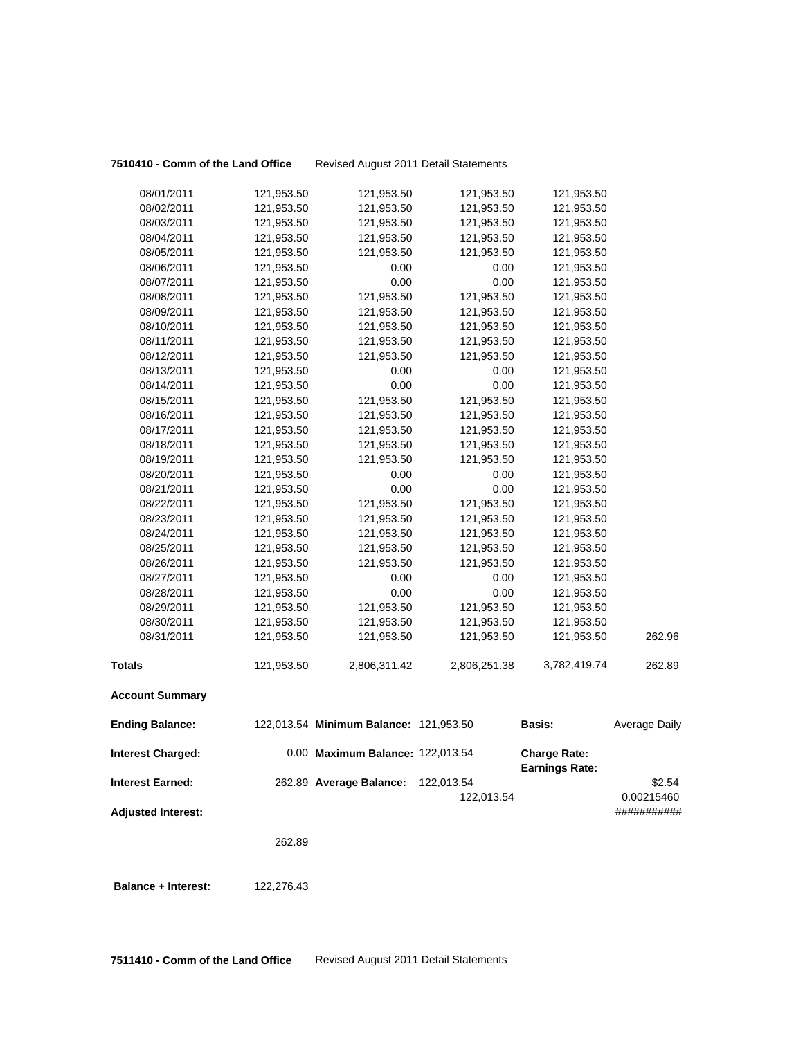**7510410 - Comm of the Land Office** Revised August 2011 Detail Statements

| 08/01/2011                 | 121,953.50 | 121,953.50                             | 121,953.50               | 121,953.50                                   |                           |
|----------------------------|------------|----------------------------------------|--------------------------|----------------------------------------------|---------------------------|
| 08/02/2011                 | 121,953.50 | 121,953.50                             | 121,953.50               | 121,953.50                                   |                           |
| 08/03/2011                 | 121,953.50 | 121,953.50                             | 121,953.50               | 121,953.50                                   |                           |
| 08/04/2011                 | 121,953.50 | 121,953.50                             | 121,953.50               | 121,953.50                                   |                           |
| 08/05/2011                 | 121,953.50 | 121,953.50                             | 121,953.50               | 121,953.50                                   |                           |
| 08/06/2011                 | 121,953.50 | 0.00                                   | 0.00                     | 121,953.50                                   |                           |
| 08/07/2011                 | 121,953.50 | 0.00                                   | 0.00                     | 121,953.50                                   |                           |
| 08/08/2011                 | 121,953.50 | 121,953.50                             | 121,953.50               | 121,953.50                                   |                           |
| 08/09/2011                 | 121,953.50 | 121,953.50                             | 121,953.50               | 121,953.50                                   |                           |
| 08/10/2011                 | 121,953.50 | 121,953.50                             | 121,953.50               | 121,953.50                                   |                           |
| 08/11/2011                 | 121,953.50 | 121,953.50                             | 121,953.50               | 121,953.50                                   |                           |
| 08/12/2011                 | 121,953.50 | 121,953.50                             | 121,953.50               | 121,953.50                                   |                           |
| 08/13/2011                 | 121,953.50 | 0.00                                   | 0.00                     | 121,953.50                                   |                           |
| 08/14/2011                 | 121,953.50 | 0.00                                   | 0.00                     | 121,953.50                                   |                           |
| 08/15/2011                 | 121,953.50 | 121,953.50                             | 121,953.50               | 121,953.50                                   |                           |
| 08/16/2011                 | 121,953.50 | 121,953.50                             | 121,953.50               | 121,953.50                                   |                           |
| 08/17/2011                 | 121,953.50 | 121,953.50                             | 121,953.50               | 121,953.50                                   |                           |
| 08/18/2011                 | 121,953.50 | 121,953.50                             | 121,953.50               | 121,953.50                                   |                           |
| 08/19/2011                 | 121,953.50 | 121,953.50                             | 121,953.50               | 121,953.50                                   |                           |
| 08/20/2011                 | 121,953.50 | 0.00                                   | 0.00                     | 121,953.50                                   |                           |
| 08/21/2011                 | 121,953.50 | 0.00                                   | 0.00                     | 121,953.50                                   |                           |
| 08/22/2011                 | 121,953.50 | 121,953.50                             | 121,953.50               | 121,953.50                                   |                           |
| 08/23/2011                 | 121,953.50 | 121,953.50                             | 121,953.50               | 121,953.50                                   |                           |
| 08/24/2011                 | 121,953.50 | 121,953.50                             | 121,953.50               | 121,953.50                                   |                           |
| 08/25/2011                 | 121,953.50 | 121,953.50                             | 121,953.50               | 121,953.50                                   |                           |
| 08/26/2011                 | 121,953.50 | 121,953.50                             | 121,953.50               | 121,953.50                                   |                           |
| 08/27/2011                 | 121,953.50 | 0.00                                   | 0.00                     | 121,953.50                                   |                           |
| 08/28/2011                 | 121,953.50 | 0.00                                   | 0.00                     | 121,953.50                                   |                           |
| 08/29/2011                 | 121,953.50 | 121,953.50                             | 121,953.50               | 121,953.50                                   |                           |
| 08/30/2011                 | 121,953.50 | 121,953.50                             | 121,953.50               | 121,953.50                                   |                           |
| 08/31/2011                 | 121,953.50 | 121,953.50                             | 121,953.50               | 121,953.50                                   | 262.96                    |
| <b>Totals</b>              | 121,953.50 | 2,806,311.42                           | 2,806,251.38             | 3,782,419.74                                 | 262.89                    |
| <b>Account Summary</b>     |            |                                        |                          |                                              |                           |
| <b>Ending Balance:</b>     |            | 122,013.54 Minimum Balance: 121,953.50 |                          | <b>Basis:</b>                                | Average Daily             |
| <b>Interest Charged:</b>   |            | 0.00 Maximum Balance: 122,013.54       |                          | <b>Charge Rate:</b><br><b>Earnings Rate:</b> |                           |
| <b>Interest Earned:</b>    |            | 262.89 Average Balance:                | 122,013.54<br>122,013.54 |                                              | \$2.54                    |
| <b>Adjusted Interest:</b>  |            |                                        |                          |                                              | 0.00215460<br>########### |
|                            | 262.89     |                                        |                          |                                              |                           |
| <b>Balance + Interest:</b> | 122,276.43 |                                        |                          |                                              |                           |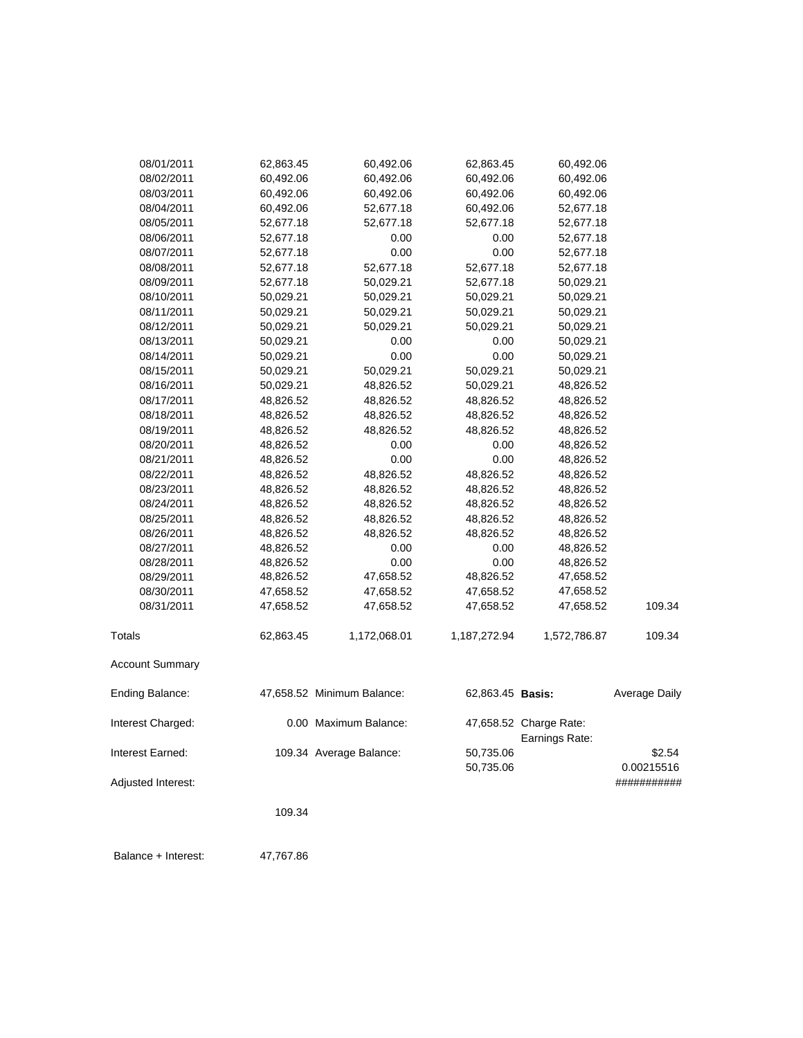| 08/01/2011             | 62,863.45 | 60,492.06                  | 62,863.45        | 60,492.06                                |               |
|------------------------|-----------|----------------------------|------------------|------------------------------------------|---------------|
| 08/02/2011             | 60,492.06 | 60,492.06                  | 60,492.06        | 60,492.06                                |               |
| 08/03/2011             | 60,492.06 | 60,492.06                  | 60,492.06        | 60,492.06                                |               |
| 08/04/2011             | 60,492.06 | 52,677.18                  | 60,492.06        | 52,677.18                                |               |
| 08/05/2011             | 52,677.18 | 52,677.18                  | 52,677.18        | 52,677.18                                |               |
| 08/06/2011             | 52,677.18 | 0.00                       | 0.00             | 52,677.18                                |               |
| 08/07/2011             | 52,677.18 | 0.00                       | 0.00             | 52,677.18                                |               |
| 08/08/2011             | 52,677.18 | 52,677.18                  | 52,677.18        | 52,677.18                                |               |
| 08/09/2011             | 52,677.18 | 50,029.21                  | 52,677.18        | 50,029.21                                |               |
| 08/10/2011             | 50,029.21 | 50,029.21                  | 50,029.21        | 50,029.21                                |               |
| 08/11/2011             | 50,029.21 | 50,029.21                  | 50,029.21        | 50,029.21                                |               |
| 08/12/2011             | 50,029.21 | 50,029.21                  | 50,029.21        | 50,029.21                                |               |
| 08/13/2011             | 50,029.21 | 0.00                       | 0.00             | 50,029.21                                |               |
| 08/14/2011             | 50,029.21 | 0.00                       | 0.00             | 50,029.21                                |               |
| 08/15/2011             | 50,029.21 | 50,029.21                  | 50,029.21        | 50,029.21                                |               |
| 08/16/2011             | 50,029.21 | 48,826.52                  | 50,029.21        | 48,826.52                                |               |
| 08/17/2011             | 48,826.52 | 48,826.52                  | 48,826.52        | 48,826.52                                |               |
| 08/18/2011             | 48,826.52 | 48,826.52                  | 48,826.52        | 48,826.52                                |               |
| 08/19/2011             | 48,826.52 | 48,826.52                  | 48,826.52        | 48,826.52                                |               |
| 08/20/2011             | 48,826.52 | 0.00                       | 0.00             | 48,826.52                                |               |
| 08/21/2011             | 48,826.52 | 0.00                       | 0.00             | 48,826.52                                |               |
| 08/22/2011             | 48,826.52 | 48,826.52                  | 48,826.52        | 48,826.52                                |               |
| 08/23/2011             | 48,826.52 | 48,826.52                  | 48,826.52        | 48,826.52                                |               |
| 08/24/2011             | 48,826.52 | 48,826.52                  | 48,826.52        | 48,826.52                                |               |
| 08/25/2011             | 48,826.52 | 48,826.52                  | 48,826.52        | 48,826.52                                |               |
| 08/26/2011             | 48,826.52 | 48,826.52                  | 48,826.52        | 48,826.52                                |               |
| 08/27/2011             | 48,826.52 | 0.00                       | 0.00             | 48,826.52                                |               |
| 08/28/2011             | 48,826.52 | 0.00                       | 0.00             | 48,826.52                                |               |
| 08/29/2011             | 48,826.52 | 47,658.52                  | 48,826.52        | 47,658.52                                |               |
| 08/30/2011             | 47,658.52 | 47,658.52                  | 47,658.52        | 47,658.52                                |               |
| 08/31/2011             | 47,658.52 | 47,658.52                  | 47,658.52        | 47,658.52                                | 109.34        |
| <b>Totals</b>          | 62,863.45 | 1,172,068.01               | 1,187,272.94     | 1,572,786.87                             | 109.34        |
| <b>Account Summary</b> |           |                            |                  |                                          |               |
| Ending Balance:        |           | 47,658.52 Minimum Balance: | 62,863.45 Basis: |                                          | Average Daily |
| Interest Charged:      |           | 0.00 Maximum Balance:      |                  | 47,658.52 Charge Rate:<br>Earnings Rate: |               |
| Interest Earned:       |           | 109.34 Average Balance:    | 50,735.06        |                                          | \$2.54        |
|                        |           |                            | 50,735.06        |                                          | 0.00215516    |
| Adjusted Interest:     |           |                            |                  |                                          | ###########   |
|                        | 109.34    |                            |                  |                                          |               |
|                        |           |                            |                  |                                          |               |

Balance + Interest: 47,767.86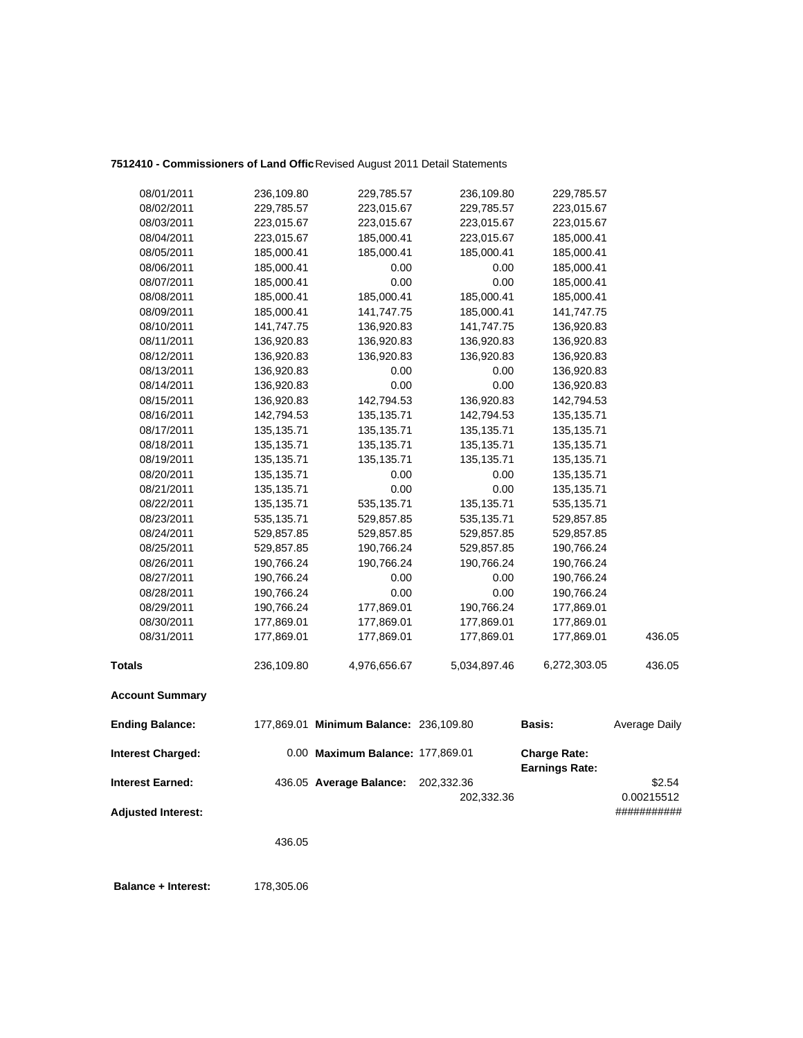## **7512410 - Commissioners of Land Offic**Revised August 2011 Detail Statements

| 08/01/2011                                           | 236,109.80   | 229,785.57                             | 236,109.80               | 229,785.57                                   |                                     |
|------------------------------------------------------|--------------|----------------------------------------|--------------------------|----------------------------------------------|-------------------------------------|
| 08/02/2011                                           | 229,785.57   | 223,015.67                             | 229,785.57               | 223,015.67                                   |                                     |
| 08/03/2011                                           | 223,015.67   | 223,015.67                             | 223,015.67               | 223,015.67                                   |                                     |
| 08/04/2011                                           | 223,015.67   | 185,000.41                             | 223,015.67               | 185,000.41                                   |                                     |
| 08/05/2011                                           | 185,000.41   | 185,000.41                             | 185,000.41               | 185,000.41                                   |                                     |
| 08/06/2011                                           | 185,000.41   | 0.00                                   | 0.00                     | 185,000.41                                   |                                     |
| 08/07/2011                                           | 185,000.41   | 0.00                                   | 0.00                     | 185,000.41                                   |                                     |
| 08/08/2011                                           | 185,000.41   | 185,000.41                             | 185,000.41               | 185,000.41                                   |                                     |
| 08/09/2011                                           | 185,000.41   | 141,747.75                             | 185,000.41               | 141,747.75                                   |                                     |
| 08/10/2011                                           | 141,747.75   | 136,920.83                             | 141,747.75               | 136,920.83                                   |                                     |
| 08/11/2011                                           | 136,920.83   | 136,920.83                             | 136,920.83               | 136,920.83                                   |                                     |
| 08/12/2011                                           | 136,920.83   | 136,920.83                             | 136,920.83               | 136,920.83                                   |                                     |
| 08/13/2011                                           | 136,920.83   | 0.00                                   | 0.00                     | 136,920.83                                   |                                     |
| 08/14/2011                                           | 136,920.83   | 0.00                                   | 0.00                     | 136,920.83                                   |                                     |
| 08/15/2011                                           | 136,920.83   | 142,794.53                             | 136,920.83               | 142,794.53                                   |                                     |
| 08/16/2011                                           | 142,794.53   | 135, 135. 71                           | 142,794.53               | 135, 135.71                                  |                                     |
| 08/17/2011                                           | 135, 135. 71 | 135,135.71                             | 135,135.71               | 135, 135. 71                                 |                                     |
| 08/18/2011                                           | 135, 135. 71 | 135,135.71                             | 135,135.71               | 135, 135. 71                                 |                                     |
| 08/19/2011                                           | 135, 135. 71 | 135,135.71                             | 135,135.71               | 135, 135. 71                                 |                                     |
| 08/20/2011                                           | 135, 135. 71 | 0.00                                   | 0.00                     | 135, 135. 71                                 |                                     |
| 08/21/2011                                           | 135, 135. 71 | 0.00                                   | 0.00                     | 135, 135. 71                                 |                                     |
| 08/22/2011                                           | 135, 135. 71 | 535,135.71                             | 135, 135. 71             | 535, 135. 71                                 |                                     |
| 08/23/2011                                           | 535, 135. 71 | 529,857.85                             | 535,135.71               | 529,857.85                                   |                                     |
| 08/24/2011                                           | 529,857.85   | 529,857.85                             | 529,857.85               | 529,857.85                                   |                                     |
| 08/25/2011                                           | 529,857.85   | 190,766.24                             | 529,857.85               | 190,766.24                                   |                                     |
| 08/26/2011                                           | 190,766.24   | 190,766.24                             | 190,766.24               | 190,766.24                                   |                                     |
| 08/27/2011                                           | 190,766.24   | 0.00                                   | 0.00                     | 190,766.24                                   |                                     |
| 08/28/2011                                           | 190,766.24   | 0.00                                   | 0.00                     | 190,766.24                                   |                                     |
| 08/29/2011                                           | 190,766.24   | 177,869.01                             | 190,766.24               | 177,869.01                                   |                                     |
| 08/30/2011                                           | 177,869.01   | 177,869.01                             | 177,869.01               | 177,869.01                                   |                                     |
| 08/31/2011                                           | 177,869.01   | 177,869.01                             | 177,869.01               | 177,869.01                                   | 436.05                              |
| <b>Totals</b>                                        | 236,109.80   | 4,976,656.67                           | 5,034,897.46             | 6,272,303.05                                 | 436.05                              |
| <b>Account Summary</b>                               |              |                                        |                          |                                              |                                     |
| <b>Ending Balance:</b>                               |              | 177,869.01 Minimum Balance: 236,109.80 |                          | Basis:                                       | Average Daily                       |
| <b>Interest Charged:</b>                             |              | 0.00 Maximum Balance: 177,869.01       |                          | <b>Charge Rate:</b><br><b>Earnings Rate:</b> |                                     |
| <b>Interest Earned:</b><br><b>Adjusted Interest:</b> |              | 436.05 Average Balance:                | 202,332.36<br>202,332.36 |                                              | \$2.54<br>0.00215512<br>########### |
|                                                      |              |                                        |                          |                                              |                                     |

436.05

**Balance + Interest:** 178,305.06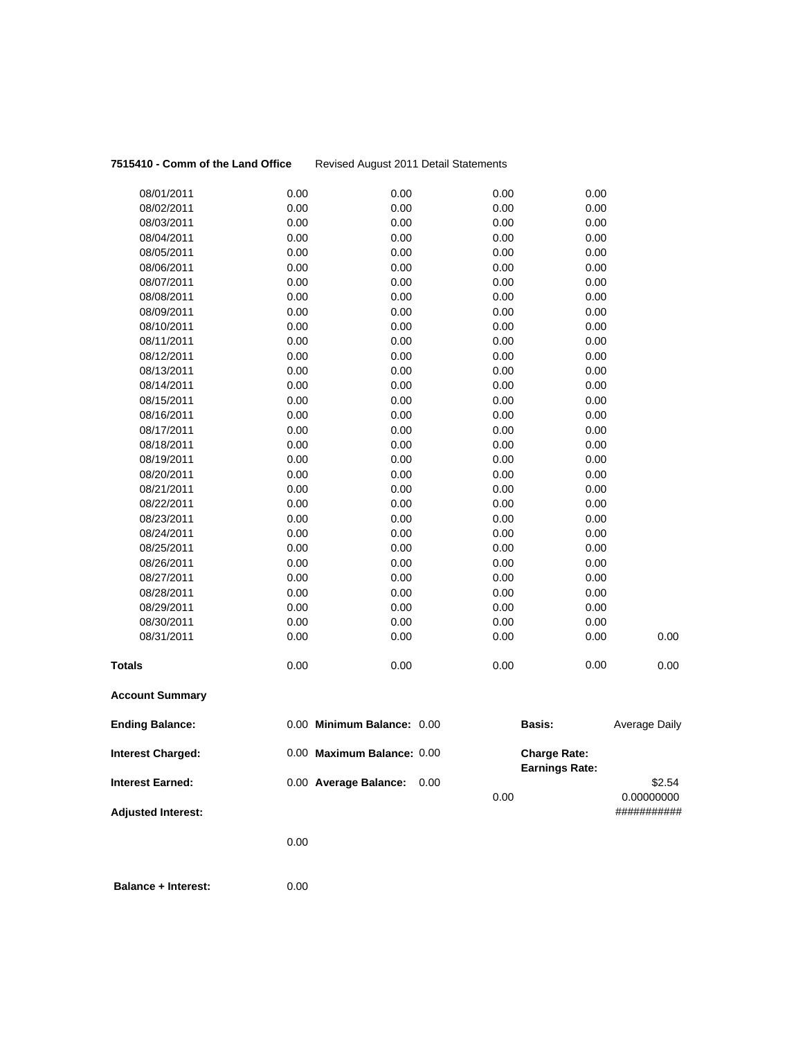### **7515410 - Comm of the Land Office** Revised August 2011 Detail Statements

| <b>Interest Charged:</b> |      | 0.00 Maximum Balance: 0.00 |      | <b>Charge Rate:</b><br><b>Earnings Rate:</b> |               |      |
|--------------------------|------|----------------------------|------|----------------------------------------------|---------------|------|
| <b>Ending Balance:</b>   |      | 0.00 Minimum Balance: 0.00 |      | <b>Basis:</b>                                | Average Daily |      |
| <b>Account Summary</b>   |      |                            |      |                                              |               |      |
| <b>Totals</b>            | 0.00 | 0.00                       | 0.00 |                                              | 0.00          | 0.00 |
| 08/31/2011               | 0.00 | 0.00                       | 0.00 |                                              | 0.00          | 0.00 |
| 08/30/2011               | 0.00 | 0.00                       |      | 0.00                                         | 0.00          |      |
| 08/29/2011               | 0.00 | 0.00                       | 0.00 |                                              | 0.00          |      |
| 08/28/2011               | 0.00 | 0.00                       |      | 0.00                                         | 0.00          |      |
| 08/27/2011               | 0.00 | 0.00                       |      | 0.00                                         | 0.00          |      |
| 08/26/2011               | 0.00 | 0.00                       |      | 0.00                                         | 0.00          |      |
| 08/25/2011               | 0.00 | 0.00                       | 0.00 |                                              | 0.00          |      |
| 08/24/2011               | 0.00 | 0.00                       | 0.00 |                                              | 0.00          |      |
| 08/23/2011               | 0.00 | 0.00                       | 0.00 |                                              | 0.00          |      |
| 08/22/2011               | 0.00 | 0.00                       | 0.00 |                                              | 0.00          |      |
| 08/21/2011               | 0.00 | 0.00                       | 0.00 |                                              | 0.00          |      |
| 08/20/2011               | 0.00 | 0.00                       | 0.00 |                                              | 0.00          |      |
| 08/19/2011               | 0.00 | 0.00                       |      | 0.00                                         | 0.00          |      |
| 08/18/2011               | 0.00 | 0.00                       |      | 0.00                                         | 0.00          |      |
| 08/17/2011               | 0.00 | 0.00                       | 0.00 |                                              | 0.00          |      |
| 08/16/2011               | 0.00 | 0.00                       | 0.00 |                                              | 0.00          |      |
| 08/15/2011               | 0.00 | 0.00                       | 0.00 |                                              | 0.00          |      |
| 08/14/2011               | 0.00 | 0.00                       |      | 0.00                                         | 0.00          |      |
| 08/13/2011               | 0.00 | 0.00                       | 0.00 |                                              | 0.00          |      |
| 08/12/2011               | 0.00 | 0.00                       | 0.00 |                                              | 0.00          |      |
| 08/11/2011               | 0.00 | 0.00                       |      | 0.00                                         | 0.00          |      |
| 08/10/2011               | 0.00 | 0.00                       |      | 0.00                                         | 0.00          |      |
| 08/09/2011               | 0.00 | 0.00                       |      | 0.00                                         | 0.00          |      |
| 08/08/2011               | 0.00 | 0.00                       | 0.00 |                                              | 0.00          |      |
| 08/07/2011               | 0.00 | 0.00                       | 0.00 |                                              | 0.00          |      |
| 08/06/2011               | 0.00 | 0.00                       | 0.00 |                                              | 0.00          |      |
| 08/05/2011               | 0.00 | 0.00                       |      | 0.00                                         | 0.00          |      |
| 08/04/2011               | 0.00 | 0.00                       | 0.00 |                                              | 0.00          |      |
| 08/03/2011               | 0.00 | 0.00                       |      | 0.00                                         | 0.00          |      |
| 08/02/2011               | 0.00 | 0.00                       |      | 0.00                                         | 0.00          |      |
| 08/01/2011               | 0.00 | 0.00                       | 0.00 |                                              | 0.00          |      |

0.00 0.00000000

**Interest Earned:** 0.00 **Average Balance:** 0.00 \$2.54

**Adjusted Interest:** ###########

0.00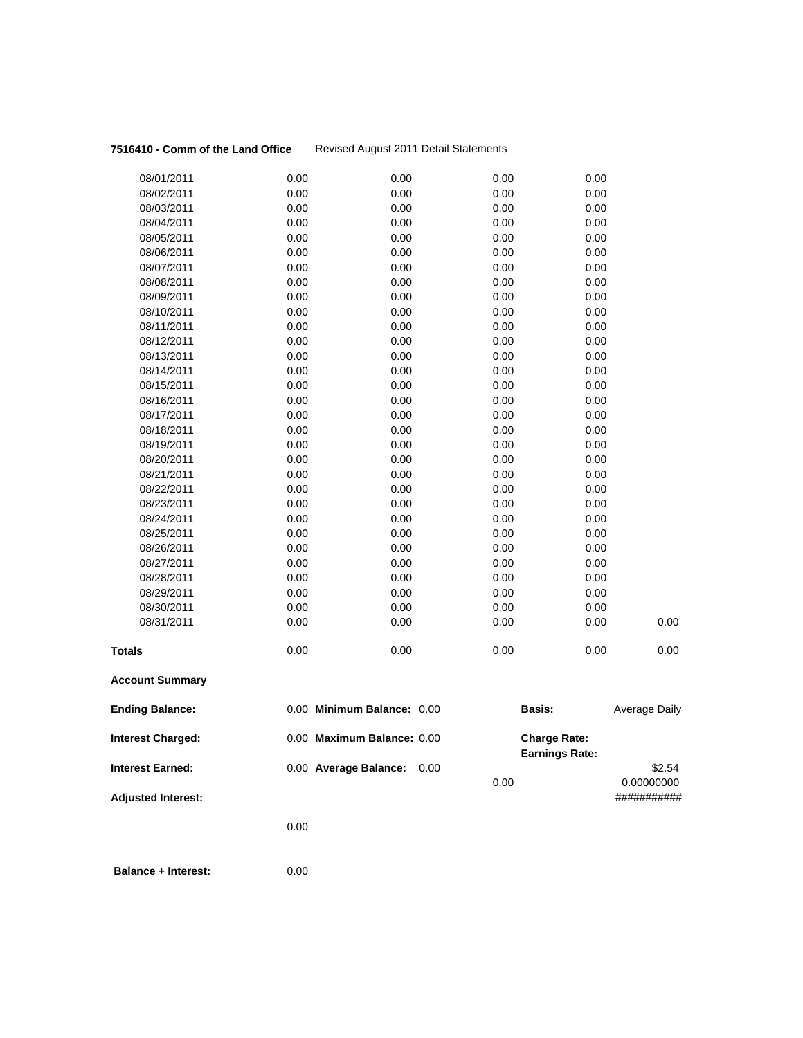### **7516410 - Comm of the Land Office** Revised August 2011 Detail Statements

| <b>Adjusted Interest:</b>                           |              |                                                     |      | 0.00                                         | 0.00000000<br>########### |
|-----------------------------------------------------|--------------|-----------------------------------------------------|------|----------------------------------------------|---------------------------|
| <b>Interest Charged:</b><br><b>Interest Earned:</b> |              | 0.00 Maximum Balance: 0.00<br>0.00 Average Balance: | 0.00 | <b>Charge Rate:</b><br><b>Earnings Rate:</b> | \$2.54                    |
| <b>Ending Balance:</b>                              |              | 0.00 Minimum Balance: 0.00                          |      | <b>Basis:</b>                                | Average Daily             |
| <b>Account Summary</b>                              |              |                                                     |      |                                              |                           |
| <b>Totals</b>                                       | 0.00         | 0.00                                                |      | 0.00<br>0.00                                 | 0.00                      |
| 08/31/2011                                          | 0.00         | 0.00                                                |      | 0.00<br>0.00                                 | 0.00                      |
| 08/30/2011                                          | 0.00         | 0.00                                                |      | 0.00<br>0.00                                 |                           |
| 08/29/2011                                          | 0.00         | 0.00                                                |      | 0.00<br>0.00                                 |                           |
| 08/28/2011                                          | 0.00         | 0.00                                                |      | 0.00<br>0.00                                 |                           |
| 08/27/2011                                          | 0.00         | 0.00                                                |      | 0.00<br>0.00                                 |                           |
| 08/26/2011                                          | 0.00         | 0.00                                                |      | 0.00<br>0.00                                 |                           |
| 08/25/2011                                          | 0.00         | 0.00                                                |      | 0.00<br>0.00                                 |                           |
| 08/24/2011                                          | 0.00         | 0.00                                                |      | 0.00<br>0.00                                 |                           |
| 08/23/2011                                          | 0.00         | 0.00                                                |      | 0.00<br>0.00                                 |                           |
| 08/22/2011                                          | 0.00         | 0.00                                                |      | 0.00<br>0.00                                 |                           |
| 08/21/2011                                          | 0.00         | 0.00                                                |      | 0.00<br>0.00                                 |                           |
| 08/20/2011                                          | 0.00         | 0.00                                                |      | 0.00<br>0.00                                 |                           |
| 08/19/2011                                          | 0.00         | 0.00                                                |      | 0.00<br>0.00                                 |                           |
| 08/18/2011                                          | 0.00         | 0.00                                                |      | 0.00<br>0.00                                 |                           |
| 08/17/2011                                          | 0.00         | 0.00                                                |      | 0.00<br>0.00                                 |                           |
| 08/16/2011                                          | 0.00         | 0.00                                                |      | 0.00<br>0.00                                 |                           |
| 08/15/2011                                          | 0.00         | 0.00                                                |      | 0.00<br>0.00                                 |                           |
| 08/14/2011                                          | 0.00         | 0.00                                                |      | 0.00<br>0.00                                 |                           |
| 08/13/2011                                          | 0.00         | 0.00                                                |      | 0.00<br>0.00                                 |                           |
| 08/12/2011                                          | 0.00         | 0.00                                                |      | 0.00<br>0.00                                 |                           |
| 08/11/2011                                          | 0.00         | 0.00                                                |      | 0.00<br>0.00                                 |                           |
| 08/10/2011                                          | 0.00         | 0.00                                                |      | 0.00<br>0.00                                 |                           |
| 08/09/2011                                          | 0.00         | 0.00                                                |      | 0.00<br>0.00                                 |                           |
| 08/07/2011<br>08/08/2011                            | 0.00         | 0.00                                                |      | 0.00<br>0.00                                 |                           |
| 08/06/2011                                          | 0.00<br>0.00 | 0.00<br>0.00                                        |      | 0.00<br>0.00<br>0.00<br>0.00                 |                           |
| 08/05/2011                                          | 0.00         | 0.00                                                |      | 0.00<br>0.00                                 |                           |
| 08/04/2011                                          | 0.00         | 0.00                                                |      | 0.00<br>0.00                                 |                           |
| 08/03/2011                                          | 0.00         | 0.00                                                |      | 0.00<br>0.00                                 |                           |
| 08/02/2011                                          | 0.00         | 0.00                                                |      | 0.00<br>0.00                                 |                           |
| 08/01/2011                                          | 0.00         | 0.00                                                |      | 0.00<br>0.00                                 |                           |
|                                                     |              |                                                     |      |                                              |                           |

0.00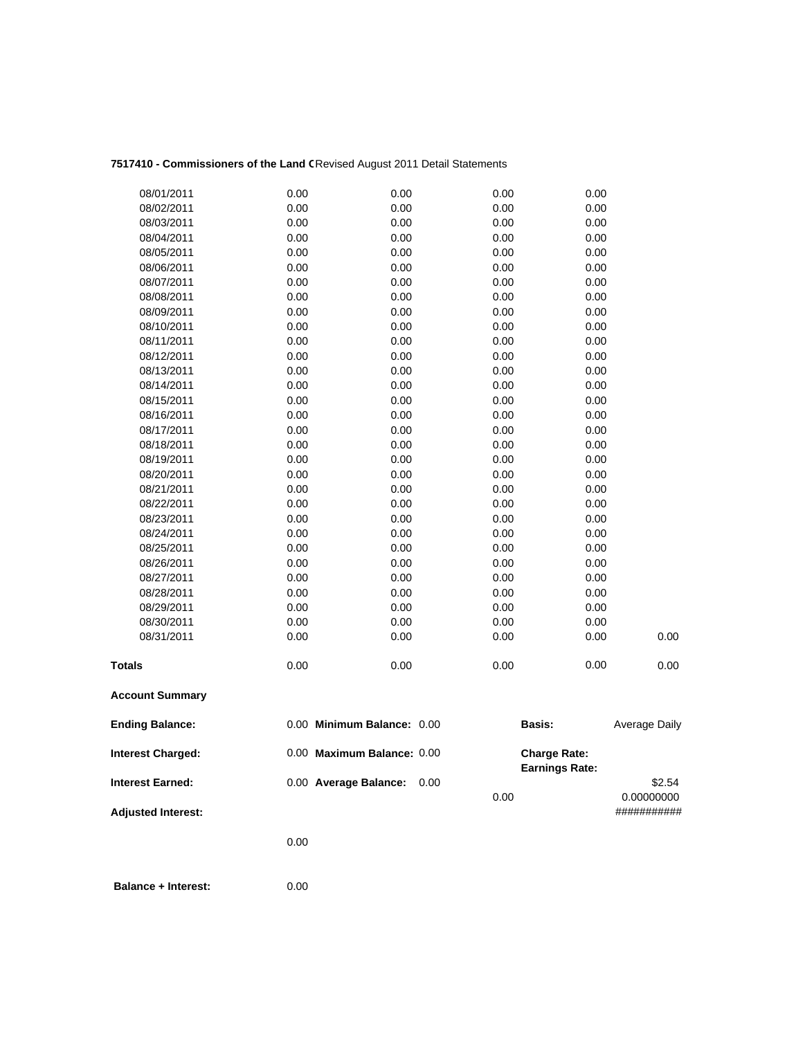## 7517410 - Commissioners of the Land CRevised August 2011 Detail Statements

| 08/01/2011                | 0.00 | 0.00                       | 0.00 | 0.00                  |               |
|---------------------------|------|----------------------------|------|-----------------------|---------------|
| 08/02/2011                | 0.00 | 0.00                       | 0.00 | 0.00                  |               |
| 08/03/2011                | 0.00 | 0.00                       | 0.00 | 0.00                  |               |
| 08/04/2011                | 0.00 | 0.00                       | 0.00 | 0.00                  |               |
| 08/05/2011                | 0.00 | 0.00                       | 0.00 | 0.00                  |               |
| 08/06/2011                | 0.00 | 0.00                       | 0.00 | 0.00                  |               |
| 08/07/2011                | 0.00 | 0.00                       | 0.00 | 0.00                  |               |
| 08/08/2011                | 0.00 | 0.00                       | 0.00 | 0.00                  |               |
| 08/09/2011                | 0.00 | 0.00                       | 0.00 | 0.00                  |               |
| 08/10/2011                | 0.00 | 0.00                       | 0.00 | 0.00                  |               |
| 08/11/2011                | 0.00 | 0.00                       | 0.00 | 0.00                  |               |
| 08/12/2011                | 0.00 | 0.00                       | 0.00 | 0.00                  |               |
| 08/13/2011                | 0.00 | 0.00                       | 0.00 | 0.00                  |               |
| 08/14/2011                | 0.00 | 0.00                       | 0.00 | 0.00                  |               |
| 08/15/2011                | 0.00 | 0.00                       | 0.00 | 0.00                  |               |
| 08/16/2011                | 0.00 | 0.00                       | 0.00 | 0.00                  |               |
| 08/17/2011                | 0.00 | 0.00                       | 0.00 | 0.00                  |               |
| 08/18/2011                | 0.00 | 0.00                       | 0.00 | 0.00                  |               |
| 08/19/2011                | 0.00 | 0.00                       | 0.00 | 0.00                  |               |
| 08/20/2011                | 0.00 | 0.00                       | 0.00 | 0.00                  |               |
| 08/21/2011                | 0.00 | 0.00                       | 0.00 | 0.00                  |               |
| 08/22/2011                | 0.00 | 0.00                       | 0.00 | 0.00                  |               |
| 08/23/2011                | 0.00 | 0.00                       | 0.00 | 0.00                  |               |
| 08/24/2011                | 0.00 | 0.00                       | 0.00 | 0.00                  |               |
| 08/25/2011                | 0.00 | 0.00                       | 0.00 | 0.00                  |               |
| 08/26/2011                | 0.00 | 0.00                       | 0.00 | 0.00                  |               |
| 08/27/2011                | 0.00 | 0.00                       | 0.00 | 0.00                  |               |
| 08/28/2011                | 0.00 | 0.00                       | 0.00 | 0.00                  |               |
| 08/29/2011                | 0.00 | 0.00                       | 0.00 | 0.00                  |               |
| 08/30/2011                | 0.00 | 0.00                       | 0.00 | 0.00                  |               |
| 08/31/2011                | 0.00 | 0.00                       | 0.00 | 0.00                  | 0.00          |
| <b>Totals</b>             | 0.00 | 0.00                       | 0.00 | 0.00                  | 0.00          |
| <b>Account Summary</b>    |      |                            |      |                       |               |
| <b>Ending Balance:</b>    |      | 0.00 Minimum Balance: 0.00 |      | Basis:                | Average Daily |
| <b>Interest Charged:</b>  |      | 0.00 Maximum Balance: 0.00 |      | <b>Charge Rate:</b>   |               |
| <b>Interest Earned:</b>   |      | 0.00 Average Balance:      | 0.00 | <b>Earnings Rate:</b> | \$2.54        |
|                           |      |                            | 0.00 |                       | 0.00000000    |
| <b>Adjusted Interest:</b> |      |                            |      |                       | ###########   |
|                           |      |                            |      |                       |               |
|                           | 0.00 |                            |      |                       |               |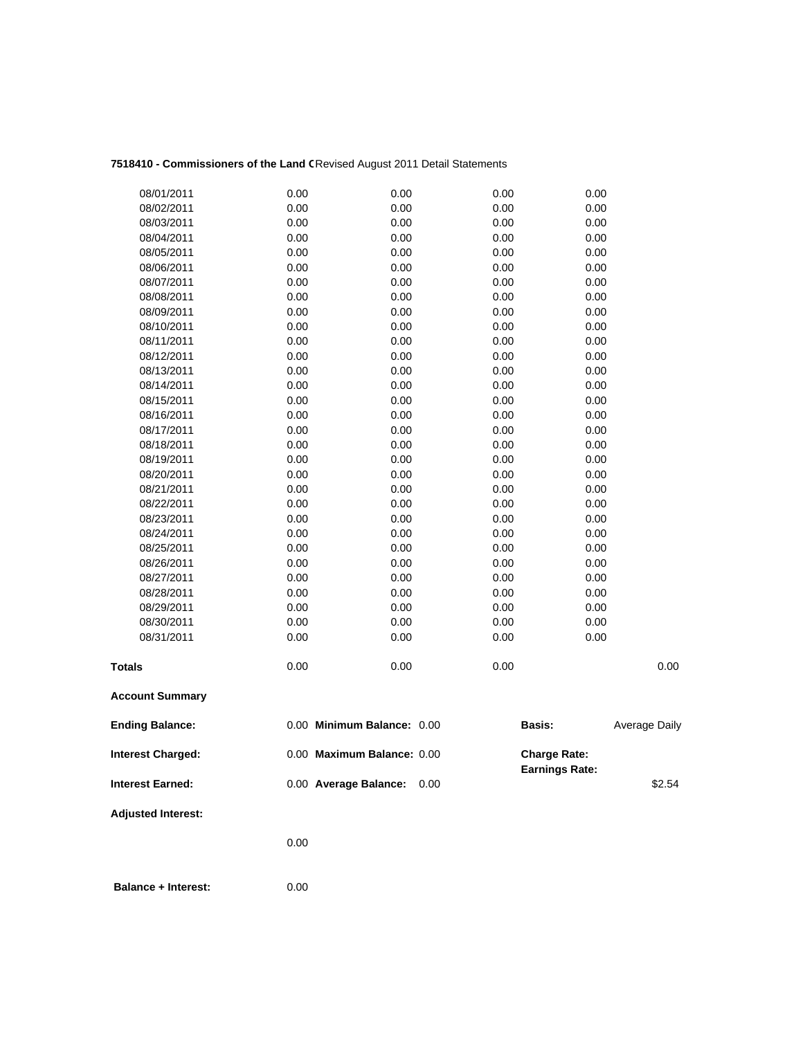## 7518410 - Commissioners of the Land CRevised August 2011 Detail Statements

| 08/01/2011<br>0.00        | 0.00                       | 0.00 | 0.00                                         |               |
|---------------------------|----------------------------|------|----------------------------------------------|---------------|
| 0.00<br>08/02/2011        | 0.00                       | 0.00 | 0.00                                         |               |
| 0.00<br>08/03/2011        | 0.00                       | 0.00 | 0.00                                         |               |
| 0.00<br>08/04/2011        | 0.00                       | 0.00 | 0.00                                         |               |
| 0.00<br>08/05/2011        | 0.00                       | 0.00 | 0.00                                         |               |
| 0.00<br>08/06/2011        | 0.00                       | 0.00 | 0.00                                         |               |
| 0.00<br>08/07/2011        | 0.00                       | 0.00 | 0.00                                         |               |
| 0.00<br>08/08/2011        | 0.00                       | 0.00 | 0.00                                         |               |
| 0.00<br>08/09/2011        | 0.00                       | 0.00 | 0.00                                         |               |
| 08/10/2011<br>0.00        | 0.00                       | 0.00 | 0.00                                         |               |
| 0.00<br>08/11/2011        | 0.00                       | 0.00 | 0.00                                         |               |
| 0.00<br>08/12/2011        | 0.00                       | 0.00 | 0.00                                         |               |
| 0.00<br>08/13/2011        | 0.00                       | 0.00 | 0.00                                         |               |
| 0.00<br>08/14/2011        | 0.00                       | 0.00 | 0.00                                         |               |
| 0.00<br>08/15/2011        | 0.00                       | 0.00 | 0.00                                         |               |
| 0.00<br>08/16/2011        | 0.00                       | 0.00 | 0.00                                         |               |
| 0.00<br>08/17/2011        | 0.00                       | 0.00 | 0.00                                         |               |
| 0.00<br>08/18/2011        | 0.00                       | 0.00 | 0.00                                         |               |
| 0.00<br>08/19/2011        | 0.00                       | 0.00 | 0.00                                         |               |
| 0.00<br>08/20/2011        | 0.00                       | 0.00 | 0.00                                         |               |
| 0.00<br>08/21/2011        | 0.00                       | 0.00 | 0.00                                         |               |
| 08/22/2011<br>0.00        | 0.00                       | 0.00 | 0.00                                         |               |
| 0.00<br>08/23/2011        | 0.00                       | 0.00 | 0.00                                         |               |
| 0.00<br>08/24/2011        | 0.00                       | 0.00 | 0.00                                         |               |
| 08/25/2011<br>0.00        | 0.00                       | 0.00 | 0.00                                         |               |
| 0.00<br>08/26/2011        | 0.00                       | 0.00 | 0.00                                         |               |
| 0.00<br>08/27/2011        | 0.00                       | 0.00 | 0.00                                         |               |
| 08/28/2011<br>0.00        | 0.00                       | 0.00 | 0.00                                         |               |
| 0.00<br>08/29/2011        | 0.00                       | 0.00 | 0.00                                         |               |
| 0.00<br>08/30/2011        | 0.00                       | 0.00 | 0.00                                         |               |
| 0.00<br>08/31/2011        | 0.00                       | 0.00 | 0.00                                         |               |
| 0.00<br><b>Totals</b>     | 0.00                       | 0.00 |                                              | 0.00          |
| <b>Account Summary</b>    |                            |      |                                              |               |
| <b>Ending Balance:</b>    | 0.00 Minimum Balance: 0.00 |      | Basis:                                       | Average Daily |
| <b>Interest Charged:</b>  | 0.00 Maximum Balance: 0.00 |      | <b>Charge Rate:</b><br><b>Earnings Rate:</b> |               |
| <b>Interest Earned:</b>   | 0.00 Average Balance:      | 0.00 |                                              | \$2.54        |
| <b>Adjusted Interest:</b> |                            |      |                                              |               |
| 0.00                      |                            |      |                                              |               |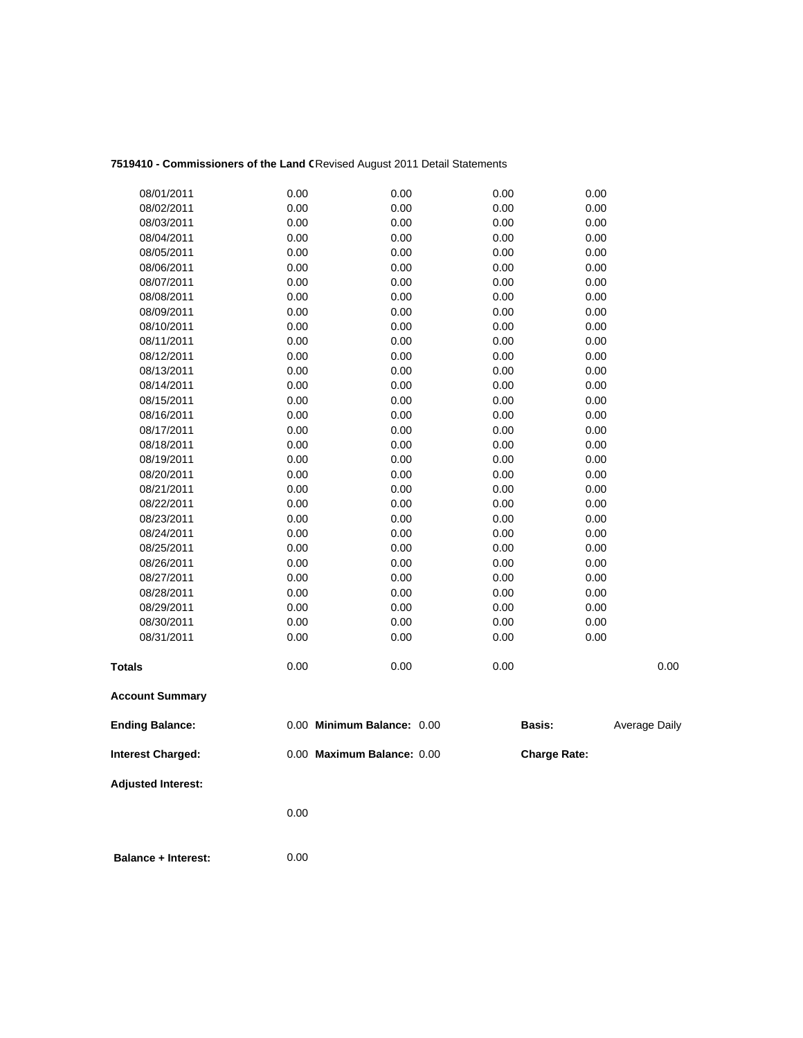## 7519410 - Commissioners of the Land CRevised August 2011 Detail Statements

| 08/01/2011                 | 0.00 | 0.00                       | 0.00          | 0.00                |
|----------------------------|------|----------------------------|---------------|---------------------|
| 08/02/2011                 | 0.00 | 0.00                       | 0.00          | 0.00                |
| 08/03/2011                 | 0.00 | 0.00                       | 0.00          | 0.00                |
| 08/04/2011                 | 0.00 | 0.00                       | 0.00          | 0.00                |
| 08/05/2011                 | 0.00 | 0.00                       | 0.00          | 0.00                |
| 08/06/2011                 | 0.00 | 0.00                       | 0.00          | 0.00                |
| 08/07/2011                 | 0.00 | 0.00                       | 0.00          | 0.00                |
| 08/08/2011                 | 0.00 | 0.00                       | 0.00          | 0.00                |
| 08/09/2011                 | 0.00 | 0.00                       | 0.00          | 0.00                |
| 08/10/2011                 | 0.00 | 0.00                       | 0.00          | 0.00                |
| 08/11/2011                 | 0.00 | 0.00                       | 0.00          | 0.00                |
| 08/12/2011                 | 0.00 | 0.00                       | 0.00          | 0.00                |
| 08/13/2011                 | 0.00 | 0.00                       | 0.00          | 0.00                |
| 08/14/2011                 | 0.00 | 0.00                       | 0.00          | 0.00                |
| 08/15/2011                 | 0.00 | 0.00                       | 0.00          | 0.00                |
| 08/16/2011                 | 0.00 | 0.00                       | 0.00          | 0.00                |
| 08/17/2011                 | 0.00 | 0.00                       | 0.00          | 0.00                |
| 08/18/2011                 | 0.00 | 0.00                       | 0.00          | 0.00                |
| 08/19/2011                 | 0.00 | 0.00                       | 0.00          | 0.00                |
| 08/20/2011                 | 0.00 | 0.00                       | 0.00          | 0.00                |
| 08/21/2011                 | 0.00 | 0.00                       | 0.00          | 0.00                |
| 08/22/2011                 | 0.00 | 0.00                       | 0.00          | 0.00                |
| 08/23/2011                 | 0.00 | 0.00                       | 0.00          | 0.00                |
| 08/24/2011                 | 0.00 | 0.00                       | 0.00          | 0.00                |
| 08/25/2011                 | 0.00 | 0.00                       | 0.00          | 0.00                |
| 08/26/2011                 | 0.00 | 0.00                       | 0.00          | 0.00                |
| 08/27/2011                 | 0.00 | 0.00                       | 0.00          | 0.00                |
| 08/28/2011                 | 0.00 | 0.00                       | 0.00          | 0.00                |
| 08/29/2011                 | 0.00 | 0.00                       | 0.00          | 0.00                |
| 08/30/2011                 | 0.00 | 0.00                       | 0.00          | 0.00                |
| 08/31/2011                 | 0.00 | 0.00                       | 0.00          | 0.00                |
| <b>Totals</b>              | 0.00 | 0.00                       | 0.00          | 0.00                |
|                            |      |                            |               |                     |
| <b>Account Summary</b>     |      |                            |               |                     |
| <b>Ending Balance:</b>     |      | 0.00 Minimum Balance: 0.00 | <b>Basis:</b> | Average Daily       |
| <b>Interest Charged:</b>   |      | 0.00 Maximum Balance: 0.00 |               | <b>Charge Rate:</b> |
| <b>Adjusted Interest:</b>  |      |                            |               |                     |
|                            | 0.00 |                            |               |                     |
|                            |      |                            |               |                     |
| <b>Balance + Interest:</b> | 0.00 |                            |               |                     |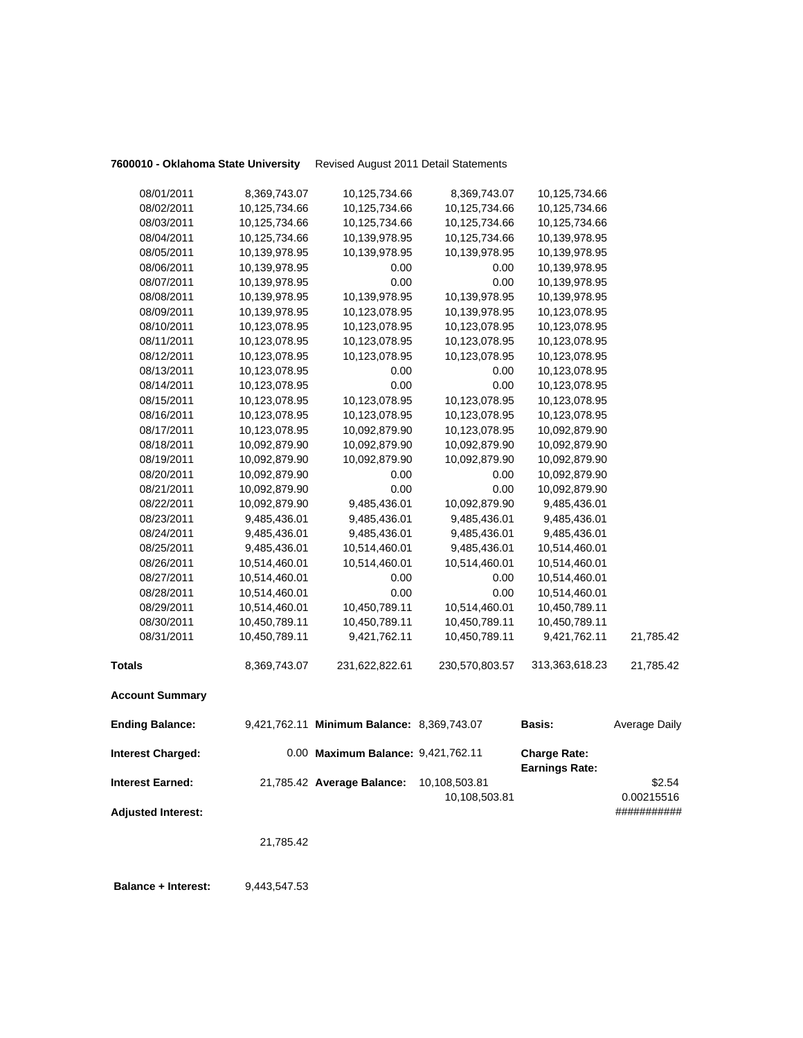**7600010 - Oklahoma State University** Revised August 2011 Detail Statements

| 08/01/2011                | 8,369,743.07  | 10,125,734.66                              | 8,369,743.07   | 10,125,734.66                                |               |
|---------------------------|---------------|--------------------------------------------|----------------|----------------------------------------------|---------------|
| 08/02/2011                | 10,125,734.66 | 10,125,734.66                              | 10,125,734.66  | 10,125,734.66                                |               |
| 08/03/2011                | 10,125,734.66 | 10,125,734.66                              | 10,125,734.66  | 10,125,734.66                                |               |
| 08/04/2011                | 10,125,734.66 | 10,139,978.95                              | 10,125,734.66  | 10,139,978.95                                |               |
| 08/05/2011                | 10,139,978.95 | 10,139,978.95                              | 10,139,978.95  | 10,139,978.95                                |               |
| 08/06/2011                | 10,139,978.95 | 0.00                                       | 0.00           | 10,139,978.95                                |               |
| 08/07/2011                | 10,139,978.95 | 0.00                                       | 0.00           | 10,139,978.95                                |               |
| 08/08/2011                | 10,139,978.95 | 10,139,978.95                              | 10,139,978.95  | 10,139,978.95                                |               |
| 08/09/2011                | 10,139,978.95 | 10,123,078.95                              | 10,139,978.95  | 10,123,078.95                                |               |
| 08/10/2011                | 10,123,078.95 | 10,123,078.95                              | 10,123,078.95  | 10,123,078.95                                |               |
| 08/11/2011                | 10,123,078.95 | 10,123,078.95                              | 10,123,078.95  | 10,123,078.95                                |               |
| 08/12/2011                | 10,123,078.95 | 10,123,078.95                              | 10,123,078.95  | 10,123,078.95                                |               |
| 08/13/2011                | 10,123,078.95 | 0.00                                       | 0.00           | 10,123,078.95                                |               |
| 08/14/2011                | 10,123,078.95 | 0.00                                       | 0.00           | 10,123,078.95                                |               |
| 08/15/2011                | 10,123,078.95 | 10,123,078.95                              | 10,123,078.95  | 10,123,078.95                                |               |
| 08/16/2011                | 10,123,078.95 | 10,123,078.95                              | 10,123,078.95  | 10,123,078.95                                |               |
| 08/17/2011                | 10,123,078.95 | 10,092,879.90                              | 10,123,078.95  | 10,092,879.90                                |               |
| 08/18/2011                | 10,092,879.90 | 10,092,879.90                              | 10,092,879.90  | 10,092,879.90                                |               |
| 08/19/2011                | 10,092,879.90 | 10,092,879.90                              | 10,092,879.90  | 10,092,879.90                                |               |
| 08/20/2011                | 10,092,879.90 | 0.00                                       | 0.00           | 10,092,879.90                                |               |
| 08/21/2011                | 10,092,879.90 | 0.00                                       | 0.00           | 10,092,879.90                                |               |
| 08/22/2011                | 10,092,879.90 | 9,485,436.01                               | 10,092,879.90  | 9,485,436.01                                 |               |
| 08/23/2011                | 9,485,436.01  | 9,485,436.01                               | 9,485,436.01   | 9,485,436.01                                 |               |
| 08/24/2011                | 9,485,436.01  | 9,485,436.01                               | 9,485,436.01   | 9,485,436.01                                 |               |
| 08/25/2011                | 9,485,436.01  | 10,514,460.01                              | 9,485,436.01   | 10,514,460.01                                |               |
| 08/26/2011                | 10,514,460.01 | 10,514,460.01                              | 10,514,460.01  | 10,514,460.01                                |               |
| 08/27/2011                | 10,514,460.01 | 0.00                                       | 0.00           | 10,514,460.01                                |               |
| 08/28/2011                | 10,514,460.01 | 0.00                                       | 0.00           | 10,514,460.01                                |               |
| 08/29/2011                | 10,514,460.01 | 10,450,789.11                              | 10,514,460.01  | 10,450,789.11                                |               |
| 08/30/2011                | 10,450,789.11 | 10,450,789.11                              | 10,450,789.11  | 10,450,789.11                                |               |
| 08/31/2011                | 10,450,789.11 | 9,421,762.11                               | 10,450,789.11  | 9,421,762.11                                 | 21,785.42     |
| <b>Totals</b>             | 8,369,743.07  | 231,622,822.61                             | 230,570,803.57 | 313,363,618.23                               | 21,785.42     |
| <b>Account Summary</b>    |               |                                            |                |                                              |               |
| <b>Ending Balance:</b>    |               | 9,421,762.11 Minimum Balance: 8,369,743.07 |                | <b>Basis:</b>                                | Average Daily |
| Interest Charged:         |               | 0.00 Maximum Balance: 9,421,762.11         |                | <b>Charge Rate:</b><br><b>Earnings Rate:</b> |               |
| <b>Interest Earned:</b>   |               | 21,785.42 Average Balance:                 | 10,108,503.81  |                                              | \$2.54        |
|                           |               |                                            | 10,108,503.81  |                                              | 0.00215516    |
| <b>Adjusted Interest:</b> |               |                                            |                |                                              | ###########   |
|                           | 21,785.42     |                                            |                |                                              |               |
|                           |               |                                            |                |                                              |               |

**Balance + Interest:** 9,443,547.53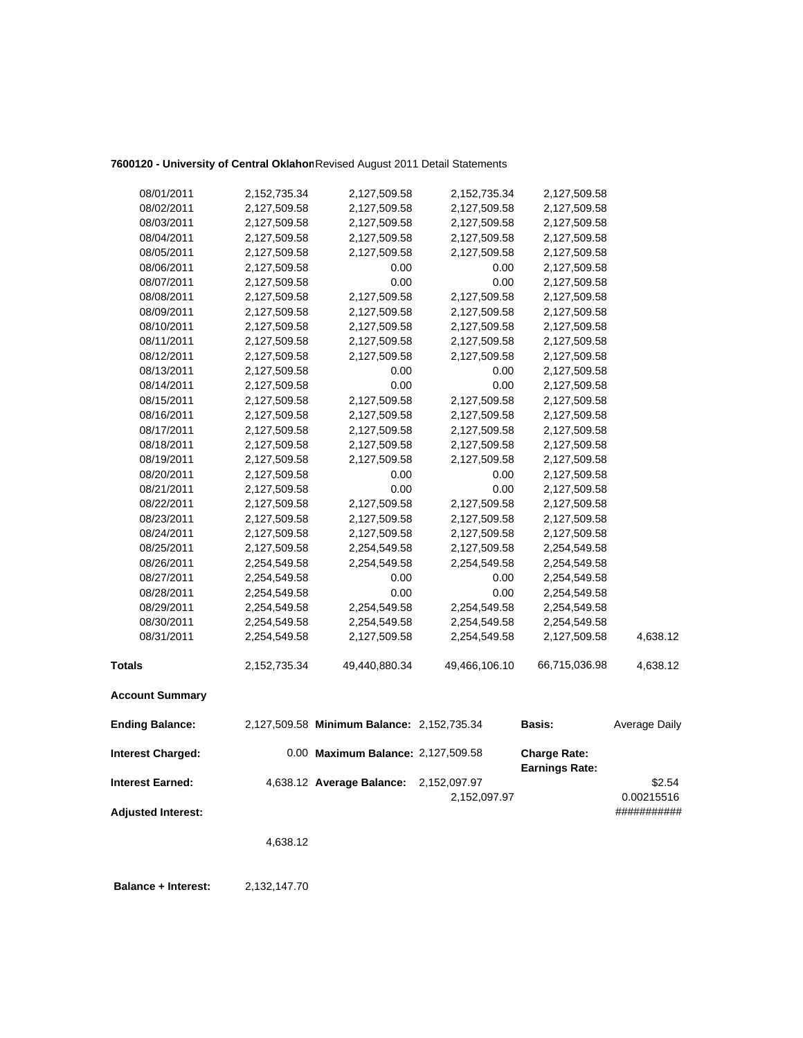## **7600120 - University of Central Oklahom**Revised August 2011 Detail Statements

| 08/01/2011                | 2,152,735.34 | 2,127,509.58                               | 2,152,735.34  | 2,127,509.58          |               |
|---------------------------|--------------|--------------------------------------------|---------------|-----------------------|---------------|
| 08/02/2011                | 2,127,509.58 | 2,127,509.58                               | 2,127,509.58  | 2,127,509.58          |               |
| 08/03/2011                | 2,127,509.58 | 2,127,509.58                               | 2,127,509.58  | 2,127,509.58          |               |
| 08/04/2011                | 2,127,509.58 | 2,127,509.58                               | 2,127,509.58  | 2,127,509.58          |               |
| 08/05/2011                | 2,127,509.58 | 2,127,509.58                               | 2,127,509.58  | 2,127,509.58          |               |
| 08/06/2011                | 2,127,509.58 | 0.00                                       | 0.00          | 2,127,509.58          |               |
| 08/07/2011                | 2,127,509.58 | 0.00                                       | 0.00          | 2,127,509.58          |               |
| 08/08/2011                | 2,127,509.58 | 2,127,509.58                               | 2,127,509.58  | 2,127,509.58          |               |
| 08/09/2011                | 2,127,509.58 | 2,127,509.58                               | 2,127,509.58  | 2,127,509.58          |               |
| 08/10/2011                | 2,127,509.58 | 2,127,509.58                               | 2,127,509.58  | 2,127,509.58          |               |
| 08/11/2011                | 2,127,509.58 | 2,127,509.58                               | 2,127,509.58  | 2,127,509.58          |               |
| 08/12/2011                | 2,127,509.58 | 2,127,509.58                               | 2,127,509.58  | 2,127,509.58          |               |
| 08/13/2011                | 2,127,509.58 | 0.00                                       | 0.00          | 2,127,509.58          |               |
| 08/14/2011                | 2,127,509.58 | 0.00                                       | 0.00          | 2,127,509.58          |               |
| 08/15/2011                | 2,127,509.58 | 2,127,509.58                               | 2,127,509.58  | 2,127,509.58          |               |
| 08/16/2011                | 2,127,509.58 | 2,127,509.58                               | 2,127,509.58  | 2,127,509.58          |               |
| 08/17/2011                | 2,127,509.58 | 2,127,509.58                               | 2,127,509.58  | 2,127,509.58          |               |
| 08/18/2011                | 2,127,509.58 | 2,127,509.58                               | 2,127,509.58  | 2,127,509.58          |               |
| 08/19/2011                | 2,127,509.58 | 2,127,509.58                               | 2,127,509.58  | 2,127,509.58          |               |
| 08/20/2011                | 2,127,509.58 | 0.00                                       | 0.00          | 2,127,509.58          |               |
| 08/21/2011                | 2,127,509.58 | 0.00                                       | 0.00          | 2,127,509.58          |               |
| 08/22/2011                | 2,127,509.58 | 2,127,509.58                               | 2,127,509.58  | 2,127,509.58          |               |
| 08/23/2011                | 2,127,509.58 | 2,127,509.58                               | 2,127,509.58  | 2,127,509.58          |               |
| 08/24/2011                | 2,127,509.58 | 2,127,509.58                               | 2,127,509.58  | 2,127,509.58          |               |
| 08/25/2011                | 2,127,509.58 | 2,254,549.58                               | 2,127,509.58  | 2,254,549.58          |               |
| 08/26/2011                | 2,254,549.58 | 2,254,549.58                               | 2,254,549.58  | 2,254,549.58          |               |
| 08/27/2011                | 2,254,549.58 | 0.00                                       | 0.00          | 2,254,549.58          |               |
| 08/28/2011                | 2,254,549.58 | 0.00                                       | 0.00          | 2,254,549.58          |               |
| 08/29/2011                | 2,254,549.58 | 2,254,549.58                               | 2,254,549.58  | 2,254,549.58          |               |
| 08/30/2011                | 2,254,549.58 | 2,254,549.58                               | 2,254,549.58  | 2,254,549.58          |               |
| 08/31/2011                | 2,254,549.58 | 2,127,509.58                               | 2,254,549.58  | 2,127,509.58          | 4,638.12      |
| <b>Totals</b>             | 2,152,735.34 | 49,440,880.34                              | 49,466,106.10 | 66,715,036.98         | 4,638.12      |
| <b>Account Summary</b>    |              |                                            |               |                       |               |
| <b>Ending Balance:</b>    |              | 2,127,509.58 Minimum Balance: 2,152,735.34 |               | <b>Basis:</b>         | Average Daily |
| <b>Interest Charged:</b>  |              | 0.00 Maximum Balance: 2,127,509.58         |               | <b>Charge Rate:</b>   |               |
|                           |              |                                            |               | <b>Earnings Rate:</b> |               |
| <b>Interest Earned:</b>   |              | 4,638.12 Average Balance:                  | 2,152,097.97  |                       | \$2.54        |
|                           |              |                                            | 2,152,097.97  |                       | 0.00215516    |
| <b>Adjusted Interest:</b> |              |                                            |               |                       | ###########   |
|                           | 4,638.12     |                                            |               |                       |               |

 **Balance + Interest:** 2,132,147.70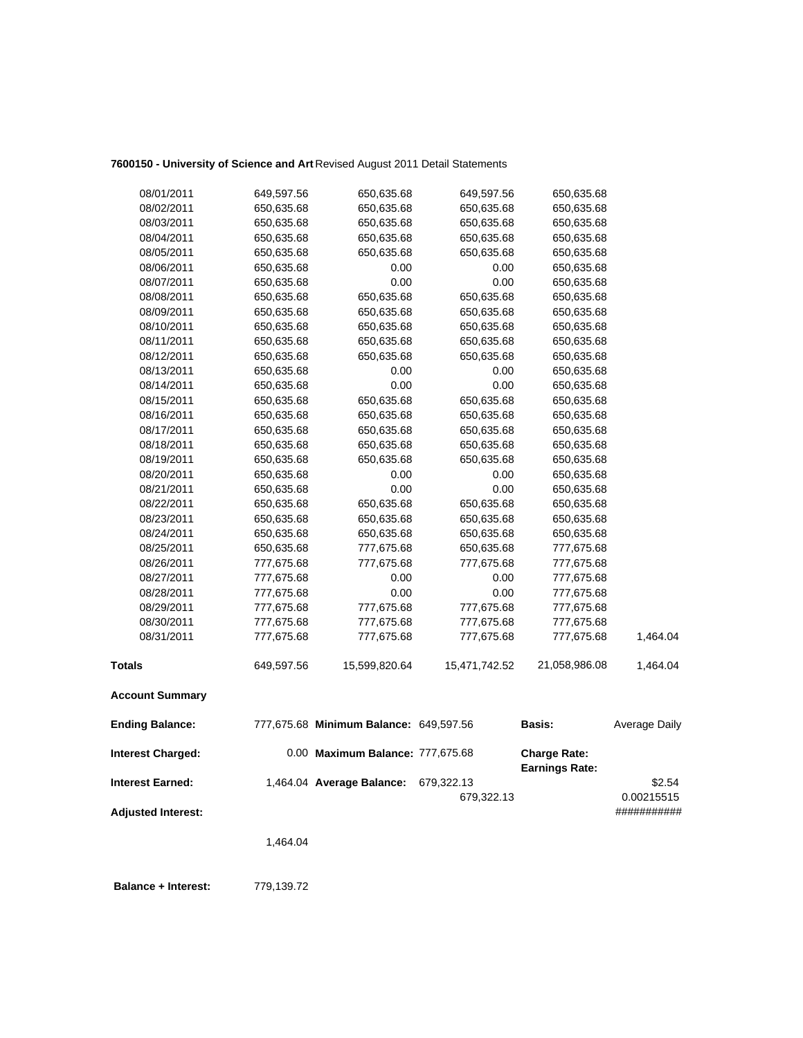## **7600150 - University of Science and Art** Revised August 2011 Detail Statements

| <b>Interest Charged:</b><br><b>Interest Earned:</b> |                          | 0.00 Maximum Balance: 777,675.68<br>1,464.04 Average Balance: | 679,322.13               | <b>Charge Rate:</b><br><b>Earnings Rate:</b> | \$2.54        |
|-----------------------------------------------------|--------------------------|---------------------------------------------------------------|--------------------------|----------------------------------------------|---------------|
| <b>Ending Balance:</b>                              |                          | 777,675.68 Minimum Balance: 649,597.56                        |                          | Basis:                                       | Average Daily |
| <b>Account Summary</b>                              |                          |                                                               |                          |                                              |               |
| <b>Totals</b>                                       | 649,597.56               | 15,599,820.64                                                 | 15,471,742.52            | 21,058,986.08                                | 1,464.04      |
| 08/31/2011                                          | 777,675.68               | 777,675.68                                                    | 777,675.68               | 777,675.68                                   | 1,464.04      |
| 08/30/2011                                          | 777,675.68               | 777,675.68                                                    | 777,675.68               | 777,675.68                                   |               |
| 08/29/2011                                          | 777,675.68               | 777,675.68                                                    | 777,675.68               | 777,675.68                                   |               |
| 08/28/2011                                          | 777,675.68               | 0.00                                                          | 0.00                     | 777,675.68                                   |               |
| 08/27/2011                                          | 777,675.68               | 0.00                                                          | 0.00                     | 777,675.68                                   |               |
| 08/26/2011                                          | 777,675.68               | 777,675.68                                                    | 777,675.68               | 777,675.68                                   |               |
| 08/25/2011                                          | 650,635.68               | 777,675.68                                                    | 650,635.68               | 777,675.68                                   |               |
| 08/24/2011                                          | 650,635.68               | 650,635.68                                                    | 650,635.68               | 650,635.68                                   |               |
| 08/23/2011                                          | 650,635.68               | 650,635.68                                                    | 650,635.68               | 650,635.68                                   |               |
| 08/22/2011                                          | 650,635.68               | 650,635.68                                                    | 650,635.68               | 650,635.68                                   |               |
| 08/21/2011                                          | 650,635.68               | 0.00                                                          | 0.00                     | 650,635.68                                   |               |
| 08/20/2011                                          | 650,635.68               | 0.00                                                          | 0.00                     | 650,635.68                                   |               |
| 08/19/2011                                          | 650,635.68               | 650,635.68                                                    | 650,635.68               | 650,635.68                                   |               |
| 08/18/2011                                          | 650,635.68               | 650,635.68                                                    | 650,635.68               | 650,635.68                                   |               |
| 08/17/2011                                          | 650,635.68               | 650,635.68                                                    | 650,635.68               | 650,635.68                                   |               |
| 08/16/2011                                          | 650,635.68               | 650,635.68                                                    | 650,635.68               | 650,635.68                                   |               |
| 08/15/2011                                          | 650,635.68               | 650,635.68                                                    | 650,635.68               | 650,635.68                                   |               |
| 08/14/2011                                          | 650,635.68               | 0.00                                                          | 0.00                     | 650,635.68                                   |               |
| 08/13/2011                                          | 650,635.68               | 0.00                                                          | 0.00                     | 650,635.68                                   |               |
| 08/12/2011                                          | 650,635.68               | 650,635.68                                                    | 650,635.68               | 650,635.68                                   |               |
| 08/11/2011                                          | 650,635.68               | 650,635.68                                                    | 650,635.68               | 650,635.68                                   |               |
| 08/10/2011                                          | 650,635.68               | 650,635.68                                                    | 650,635.68               | 650,635.68                                   |               |
| 08/09/2011                                          | 650,635.68               | 650,635.68                                                    | 650,635.68               | 650,635.68                                   |               |
| 08/08/2011                                          | 650,635.68               | 650,635.68                                                    | 650,635.68               | 650,635.68                                   |               |
| 08/07/2011                                          | 650,635.68               | 0.00                                                          | 0.00                     | 650,635.68                                   |               |
| 08/06/2011                                          | 650,635.68               | 0.00                                                          | 0.00                     | 650,635.68                                   |               |
| 08/05/2011                                          | 650,635.68               | 650,635.68                                                    | 650,635.68<br>650,635.68 | 650,635.68<br>650,635.68                     |               |
| 08/04/2011                                          | 650,635.68<br>650,635.68 | 650,635.68<br>650,635.68                                      | 650,635.68               | 650,635.68                                   |               |
| 08/02/2011<br>08/03/2011                            | 650,635.68               | 650,635.68                                                    | 650,635.68               | 650,635.68                                   |               |
| 08/01/2011                                          | 649,597.56               | 650,635.68                                                    | 649,597.56               | 650,635.68                                   |               |
|                                                     |                          |                                                               |                          |                                              |               |

**Adjusted Interest:** ###########

679,322.13 0.00215515

1,464.04

 **Balance + Interest:** 779,139.72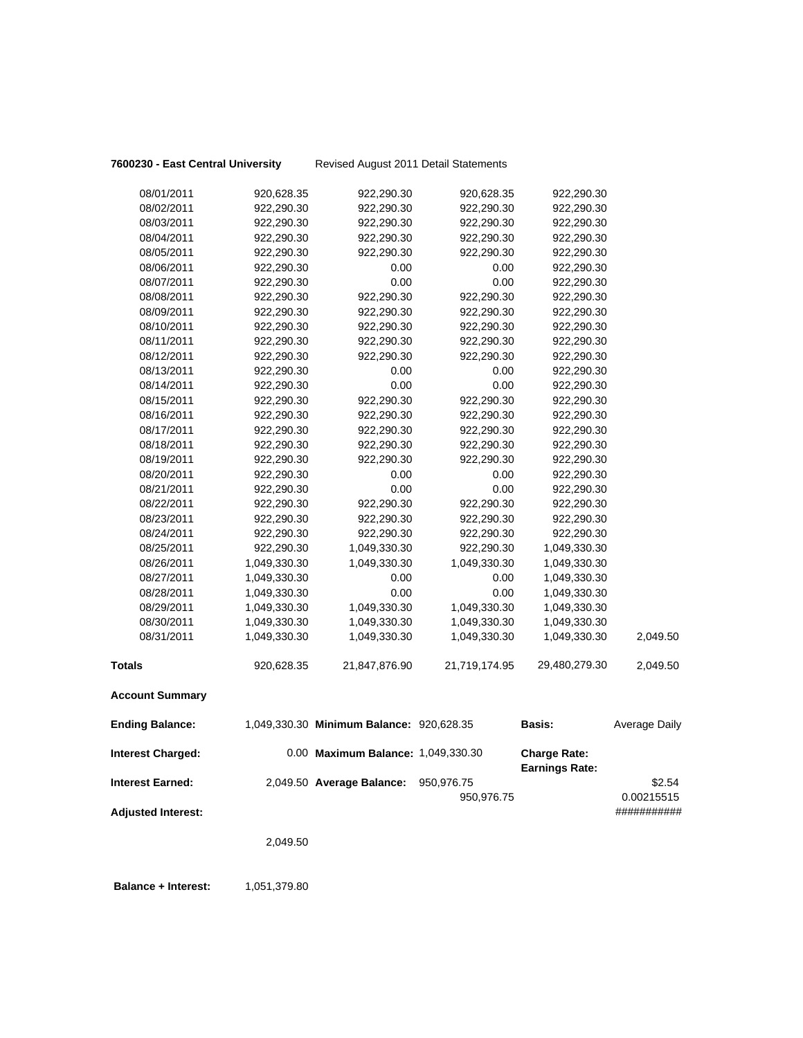|  |  |  | 7600230 - East Central University |
|--|--|--|-----------------------------------|
|--|--|--|-----------------------------------|

**7600230 - East Central University** Revised August 2011 Detail Statements

| <b>Ending Balance:</b>   |                          | 1,049,330.30 Minimum Balance: 920,628.35 |                          | <b>Basis:</b>            | Average Daily |
|--------------------------|--------------------------|------------------------------------------|--------------------------|--------------------------|---------------|
| <b>Account Summary</b>   |                          |                                          |                          |                          |               |
| <b>Totals</b>            | 920,628.35               | 21,847,876.90                            | 21,719,174.95            | 29,480,279.30            | 2,049.50      |
| 08/31/2011               | 1,049,330.30             | 1,049,330.30                             | 1,049,330.30             | 1,049,330.30             | 2,049.50      |
| 08/30/2011               | 1,049,330.30             | 1,049,330.30                             | 1,049,330.30             | 1,049,330.30             |               |
| 08/29/2011               | 1,049,330.30             | 1,049,330.30                             | 1,049,330.30             | 1,049,330.30             |               |
| 08/28/2011               | 1,049,330.30             | 0.00                                     | 0.00                     | 1,049,330.30             |               |
| 08/27/2011               | 1,049,330.30             | 0.00                                     | 0.00                     | 1,049,330.30             |               |
| 08/26/2011               | 1,049,330.30             | 1,049,330.30                             | 1,049,330.30             | 1,049,330.30             |               |
| 08/25/2011               | 922,290.30               | 1,049,330.30                             | 922,290.30               | 1,049,330.30             |               |
| 08/24/2011               | 922,290.30               | 922,290.30                               | 922,290.30               | 922,290.30               |               |
| 08/23/2011               | 922,290.30               | 922,290.30                               | 922,290.30               | 922,290.30               |               |
| 08/22/2011               | 922,290.30               | 922,290.30                               | 922,290.30               | 922,290.30               |               |
| 08/21/2011               | 922,290.30               | 0.00                                     | 0.00                     | 922,290.30               |               |
| 08/20/2011               | 922,290.30               | 0.00                                     | 0.00                     | 922,290.30               |               |
| 08/19/2011               | 922,290.30               | 922,290.30                               | 922,290.30               | 922,290.30               |               |
| 08/18/2011               | 922,290.30               | 922,290.30                               | 922,290.30               | 922,290.30               |               |
| 08/17/2011               | 922,290.30               | 922,290.30                               | 922,290.30               | 922,290.30               |               |
| 08/16/2011               | 922,290.30               | 922,290.30                               | 922,290.30               | 922,290.30               |               |
| 08/15/2011               | 922,290.30               | 922,290.30                               | 922,290.30               | 922,290.30               |               |
| 08/14/2011               | 922,290.30               | 0.00                                     | 0.00                     | 922,290.30               |               |
| 08/13/2011               | 922,290.30               | 0.00                                     | 0.00                     | 922,290.30               |               |
| 08/12/2011               | 922,290.30               | 922,290.30                               | 922,290.30               | 922,290.30               |               |
| 08/11/2011               | 922,290.30               | 922,290.30                               | 922,290.30               | 922,290.30               |               |
| 08/10/2011               | 922,290.30               | 922,290.30                               | 922,290.30               | 922,290.30               |               |
| 08/09/2011               | 922,290.30               | 922,290.30                               | 922,290.30               | 922,290.30               |               |
| 08/08/2011               | 922,290.30               | 922,290.30                               | 922,290.30               | 922,290.30               |               |
| 08/07/2011               | 922,290.30               | 0.00                                     | 0.00                     | 922,290.30               |               |
| 08/06/2011               | 922,290.30               | 0.00                                     | 0.00                     | 922,290.30               |               |
| 08/05/2011               | 922,290.30               | 922,290.30                               | 922,290.30               | 922,290.30               |               |
| 08/04/2011               | 922,290.30               | 922,290.30                               | 922,290.30               | 922,290.30               |               |
| 08/02/2011<br>08/03/2011 | 922,290.30<br>922,290.30 | 922,290.30<br>922,290.30                 | 922,290.30<br>922,290.30 | 922,290.30<br>922,290.30 |               |
|                          | 920,628.35               |                                          | 920,628.35               |                          |               |
| 08/01/2011               |                          | 922,290.30                               |                          | 922,290.30               |               |

| <b>Interest Charged:</b>  | 0.00 Maximum Balance: 1,049,330.30 |            | <b>Charge Rate:</b><br><b>Earnings Rate:</b> |                           |
|---------------------------|------------------------------------|------------|----------------------------------------------|---------------------------|
| Interest Earned:          | 2,049.50 Average Balance:          | 950.976.75 |                                              | \$2.54                    |
| <b>Adjusted Interest:</b> |                                    | 950.976.75 |                                              | 0.00215515<br>########### |

2,049.50

**Balance + Interest:** 1,051,379.80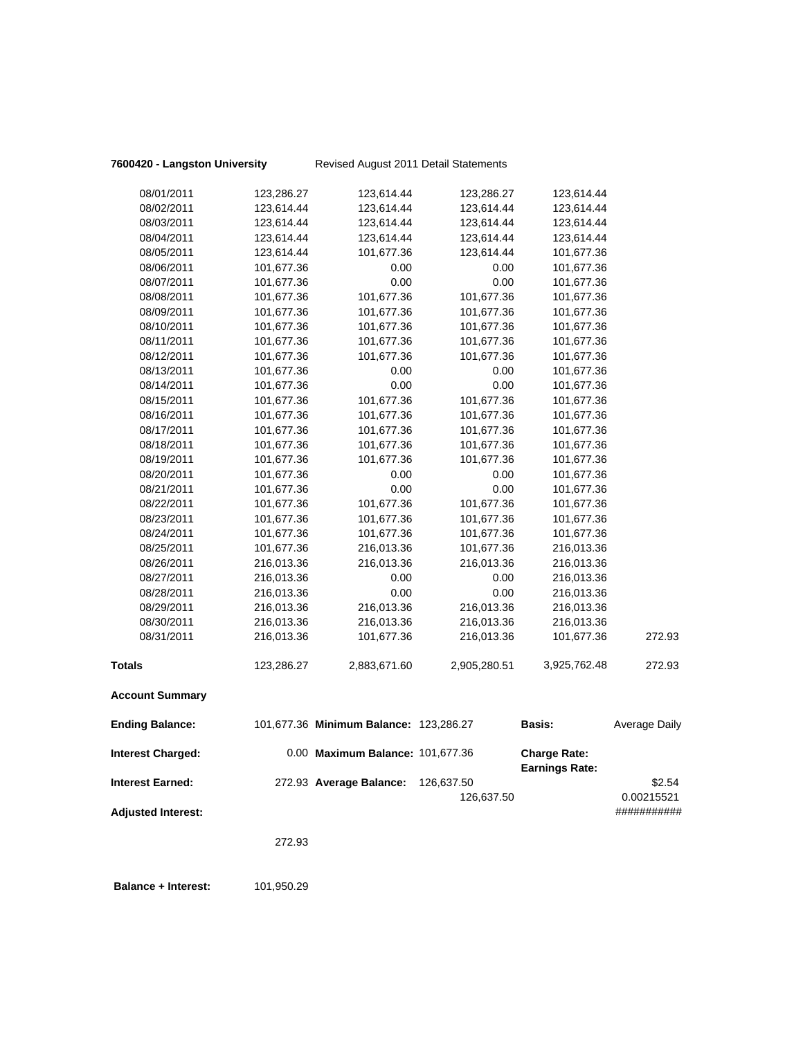# **7600420 - Langston University** Revised August 2011 Detail Statements

| <b>Account Summary</b> |            |              |              |              |        |
|------------------------|------------|--------------|--------------|--------------|--------|
| <b>Totals</b>          | 123,286.27 | 2,883,671.60 | 2,905,280.51 | 3,925,762.48 | 272.93 |
| 08/31/2011             | 216,013.36 | 101,677.36   | 216,013.36   | 101,677.36   | 272.93 |
| 08/30/2011             | 216,013.36 | 216,013.36   | 216,013.36   | 216,013.36   |        |
| 08/29/2011             | 216,013.36 | 216,013.36   | 216,013.36   | 216,013.36   |        |
| 08/28/2011             | 216,013.36 | 0.00         | 0.00         | 216,013.36   |        |
| 08/27/2011             | 216,013.36 | 0.00         | 0.00         | 216,013.36   |        |
| 08/26/2011             | 216,013.36 | 216,013.36   | 216,013.36   | 216,013.36   |        |
| 08/25/2011             | 101,677.36 | 216,013.36   | 101,677.36   | 216,013.36   |        |
| 08/24/2011             | 101,677.36 | 101,677.36   | 101,677.36   | 101,677.36   |        |
| 08/23/2011             | 101,677.36 | 101,677.36   | 101,677.36   | 101,677.36   |        |
| 08/22/2011             | 101,677.36 | 101,677.36   | 101,677.36   | 101,677.36   |        |
| 08/21/2011             | 101,677.36 | 0.00         | 0.00         | 101,677.36   |        |
| 08/20/2011             | 101,677.36 | 0.00         | 0.00         | 101,677.36   |        |
| 08/19/2011             | 101,677.36 | 101,677.36   | 101,677.36   | 101,677.36   |        |
| 08/18/2011             | 101,677.36 | 101,677.36   | 101,677.36   | 101,677.36   |        |
| 08/17/2011             | 101,677.36 | 101,677.36   | 101,677.36   | 101,677.36   |        |
| 08/16/2011             | 101,677.36 | 101,677.36   | 101,677.36   | 101,677.36   |        |
| 08/15/2011             | 101,677.36 | 101,677.36   | 101,677.36   | 101,677.36   |        |
| 08/14/2011             | 101,677.36 | 0.00         | 0.00         | 101,677.36   |        |
| 08/13/2011             | 101,677.36 | 0.00         | 0.00         | 101,677.36   |        |
| 08/12/2011             | 101,677.36 | 101,677.36   | 101,677.36   | 101,677.36   |        |
| 08/11/2011             | 101,677.36 | 101,677.36   | 101,677.36   | 101,677.36   |        |
| 08/10/2011             | 101,677.36 | 101,677.36   | 101,677.36   | 101,677.36   |        |
| 08/09/2011             | 101,677.36 | 101,677.36   | 101,677.36   | 101,677.36   |        |
| 08/08/2011             | 101,677.36 | 101,677.36   | 101,677.36   | 101,677.36   |        |
| 08/07/2011             | 101,677.36 | 0.00         | 0.00         | 101,677.36   |        |
| 08/06/2011             | 101,677.36 | 0.00         | 0.00         | 101,677.36   |        |
| 08/05/2011             | 123,614.44 | 101,677.36   | 123,614.44   | 101,677.36   |        |
| 08/04/2011             | 123,614.44 | 123,614.44   | 123,614.44   | 123,614.44   |        |
| 08/03/2011             | 123,614.44 | 123,614.44   | 123,614.44   | 123,614.44   |        |
| 08/02/2011             | 123,614.44 | 123,614.44   | 123,614.44   | 123,614.44   |        |
| 08/01/2011             | 123,286.27 | 123,614.44   | 123,286.27   | 123,614.44   |        |

| <b>Ending Balance:</b>    | 101,677.36 Minimum Balance: 123,286.27 |                          | <b>Basis:</b>                                | Average Daily        |
|---------------------------|----------------------------------------|--------------------------|----------------------------------------------|----------------------|
| <b>Interest Charged:</b>  | 0.00 Maximum Balance: 101,677.36       |                          | <b>Charge Rate:</b><br><b>Earnings Rate:</b> |                      |
| <b>Interest Earned:</b>   | 272.93 Average Balance:                | 126.637.50<br>126.637.50 |                                              | \$2.54<br>0.00215521 |
| <b>Adjusted Interest:</b> |                                        |                          |                                              | ###########          |

272.93

**Balance + Interest:** 101,950.29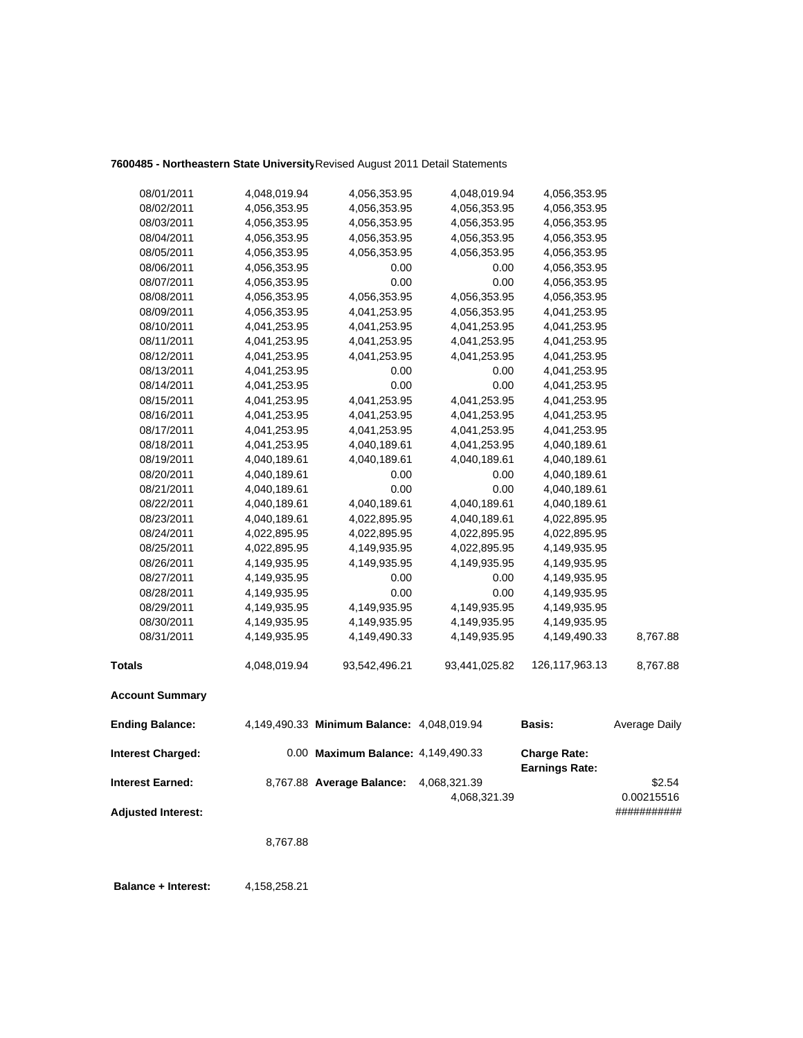## **7600485 - Northeastern State University**Revised August 2011 Detail Statements

| <b>Interest Charged:</b> |              | 0.00 Maximum Balance: 4,149,490.33         |               | <b>Charge Rate:</b><br>Farninge Pate: |               |
|--------------------------|--------------|--------------------------------------------|---------------|---------------------------------------|---------------|
| <b>Ending Balance:</b>   |              | 4,149,490.33 Minimum Balance: 4,048,019.94 |               | <b>Basis:</b>                         | Average Daily |
| <b>Account Summary</b>   |              |                                            |               |                                       |               |
| <b>Totals</b>            | 4,048,019.94 | 93,542,496.21                              | 93,441,025.82 | 126,117,963.13                        | 8,767.88      |
| 08/31/2011               | 4,149,935.95 | 4,149,490.33                               | 4,149,935.95  | 4,149,490.33                          | 8,767.88      |
| 08/30/2011               | 4,149,935.95 | 4,149,935.95                               | 4,149,935.95  | 4,149,935.95                          |               |
| 08/29/2011               | 4,149,935.95 | 4,149,935.95                               | 4,149,935.95  | 4,149,935.95                          |               |
| 08/28/2011               | 4,149,935.95 | 0.00                                       | 0.00          | 4,149,935.95                          |               |
| 08/27/2011               | 4,149,935.95 | 0.00                                       | 0.00          | 4,149,935.95                          |               |
| 08/26/2011               | 4,149,935.95 | 4,149,935.95                               | 4,149,935.95  | 4,149,935.95                          |               |
| 08/25/2011               | 4,022,895.95 | 4,149,935.95                               | 4,022,895.95  | 4,149,935.95                          |               |
| 08/24/2011               | 4,022,895.95 | 4,022,895.95                               | 4,022,895.95  | 4,022,895.95                          |               |
| 08/23/2011               | 4,040,189.61 | 4,022,895.95                               | 4,040,189.61  | 4,022,895.95                          |               |
| 08/22/2011               | 4,040,189.61 | 4,040,189.61                               | 4,040,189.61  | 4,040,189.61                          |               |
| 08/21/2011               | 4,040,189.61 | 0.00                                       | 0.00          | 4,040,189.61                          |               |
| 08/20/2011               | 4,040,189.61 | 0.00                                       | 0.00          | 4,040,189.61                          |               |
| 08/19/2011               | 4,040,189.61 | 4,040,189.61                               | 4,040,189.61  | 4,040,189.61                          |               |
| 08/18/2011               | 4,041,253.95 | 4,040,189.61                               | 4,041,253.95  | 4,040,189.61                          |               |
| 08/17/2011               | 4,041,253.95 | 4,041,253.95                               | 4,041,253.95  | 4,041,253.95                          |               |
| 08/16/2011               | 4,041,253.95 | 4,041,253.95                               | 4,041,253.95  | 4,041,253.95                          |               |
| 08/15/2011               | 4,041,253.95 | 4,041,253.95                               | 4,041,253.95  | 4,041,253.95                          |               |
| 08/14/2011               | 4,041,253.95 | 0.00                                       | 0.00          | 4,041,253.95                          |               |
| 08/13/2011               | 4,041,253.95 | 0.00                                       | 0.00          | 4,041,253.95                          |               |
| 08/12/2011               | 4,041,253.95 | 4,041,253.95                               | 4,041,253.95  | 4,041,253.95                          |               |
| 08/11/2011               | 4,041,253.95 | 4,041,253.95                               | 4,041,253.95  | 4,041,253.95                          |               |
| 08/10/2011               | 4,041,253.95 | 4,041,253.95                               | 4,041,253.95  | 4,041,253.95                          |               |
| 08/09/2011               | 4,056,353.95 | 4,041,253.95                               | 4,056,353.95  | 4,041,253.95                          |               |
| 08/08/2011               | 4,056,353.95 | 4,056,353.95                               | 4,056,353.95  | 4,056,353.95                          |               |
| 08/07/2011               | 4,056,353.95 | 0.00                                       | 0.00          | 4,056,353.95                          |               |
| 08/06/2011               | 4,056,353.95 | 0.00                                       | 0.00          | 4,056,353.95                          |               |
| 08/05/2011               | 4,056,353.95 | 4,056,353.95                               | 4,056,353.95  | 4,056,353.95                          |               |
| 08/04/2011               | 4,056,353.95 | 4,056,353.95                               | 4,056,353.95  | 4,056,353.95                          |               |
| 08/03/2011               | 4,056,353.95 | 4,056,353.95                               | 4,056,353.95  | 4,056,353.95                          |               |
| 08/02/2011               | 4,056,353.95 | 4,056,353.95                               | 4,056,353.95  | 4,056,353.95                          |               |
| 08/01/2011               | 4,048,019.94 | 4,056,353.95                               | 4,048,019.94  | 4,056,353.95                          |               |

**Earnings Rate: Interest Earned:** 8,767.88 **Average Balance:** 4,068,321.39 \$2.54 4,068,321.39 0.00215516 **Adjusted Interest:** ###########

8,767.88

**Balance + Interest:** 4,158,258.21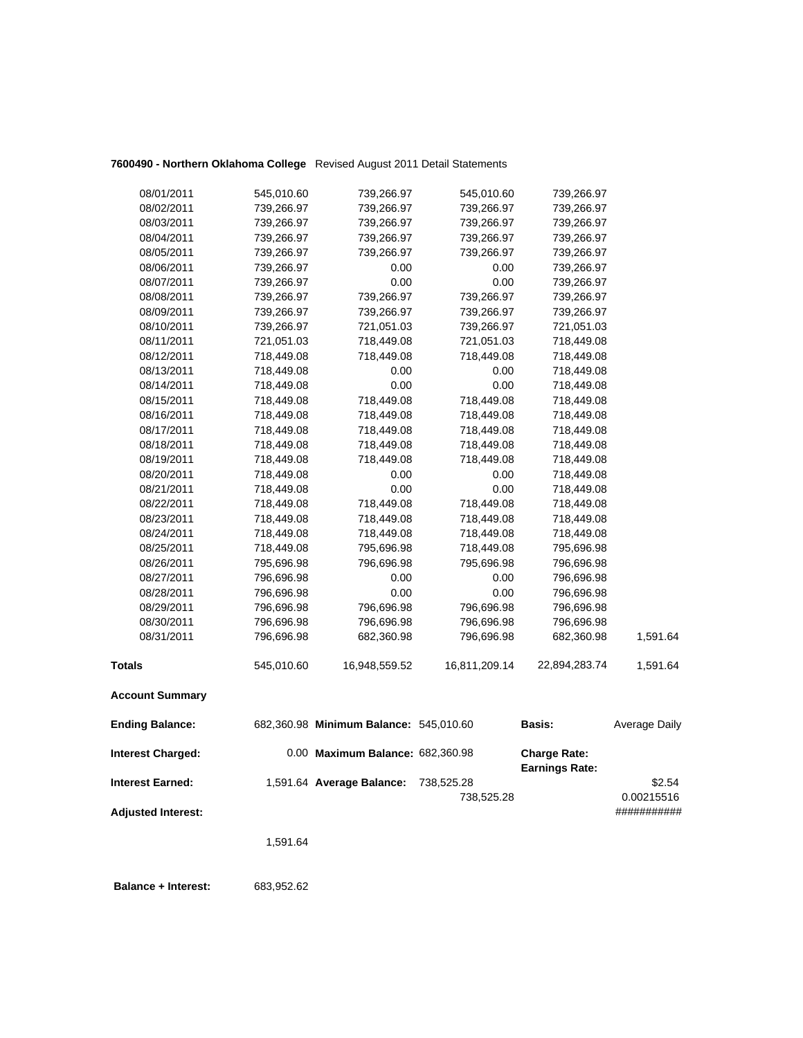## **7600490 - Northern Oklahoma College** Revised August 2011 Detail Statements

| 08/31/2011 | 796,696.98 | 682,360.98 | 796,696.98 | 682,360.98 | 1,591.64 |
|------------|------------|------------|------------|------------|----------|
| 08/30/2011 | 796,696.98 | 796,696.98 | 796,696.98 | 796,696.98 |          |
| 08/29/2011 | 796,696.98 | 796,696.98 | 796,696.98 | 796,696.98 |          |
| 08/28/2011 | 796,696.98 | 0.00       | 0.00       | 796,696.98 |          |
| 08/27/2011 | 796,696.98 | 0.00       | 0.00       | 796,696.98 |          |
| 08/26/2011 | 795,696.98 | 796,696.98 | 795,696.98 | 796,696.98 |          |
| 08/25/2011 | 718,449.08 | 795,696.98 | 718,449.08 | 795,696.98 |          |
| 08/24/2011 | 718,449.08 | 718,449.08 | 718,449.08 | 718,449.08 |          |
| 08/23/2011 | 718,449.08 | 718,449.08 | 718,449.08 | 718,449.08 |          |
| 08/22/2011 | 718,449.08 | 718,449.08 | 718,449.08 | 718,449.08 |          |
| 08/21/2011 | 718,449.08 | 0.00       | 0.00       | 718,449.08 |          |
| 08/20/2011 | 718,449.08 | 0.00       | 0.00       | 718,449.08 |          |
| 08/19/2011 | 718,449.08 | 718,449.08 | 718,449.08 | 718,449.08 |          |
| 08/18/2011 | 718,449.08 | 718,449.08 | 718,449.08 | 718,449.08 |          |
| 08/17/2011 | 718,449.08 | 718,449.08 | 718,449.08 | 718,449.08 |          |
| 08/16/2011 | 718,449.08 | 718,449.08 | 718,449.08 | 718,449.08 |          |
| 08/15/2011 | 718,449.08 | 718,449.08 | 718,449.08 | 718,449.08 |          |
| 08/14/2011 | 718,449.08 | 0.00       | 0.00       | 718,449.08 |          |
| 08/13/2011 | 718,449.08 | 0.00       | 0.00       | 718,449.08 |          |
| 08/12/2011 | 718,449.08 | 718,449.08 | 718,449.08 | 718,449.08 |          |
| 08/11/2011 | 721,051.03 | 718,449.08 | 721,051.03 | 718,449.08 |          |
| 08/10/2011 | 739,266.97 | 721,051.03 | 739,266.97 | 721,051.03 |          |
| 08/09/2011 | 739,266.97 | 739,266.97 | 739,266.97 | 739,266.97 |          |
| 08/08/2011 | 739,266.97 | 739,266.97 | 739,266.97 | 739,266.97 |          |
| 08/07/2011 | 739,266.97 | 0.00       | 0.00       | 739,266.97 |          |
| 08/06/2011 | 739,266.97 | 0.00       | 0.00       | 739,266.97 |          |
| 08/05/2011 | 739,266.97 | 739,266.97 | 739,266.97 | 739,266.97 |          |
| 08/04/2011 | 739,266.97 | 739,266.97 | 739,266.97 | 739,266.97 |          |
| 08/03/2011 | 739,266.97 | 739,266.97 | 739,266.97 | 739,266.97 |          |
| 08/02/2011 | 739,266.97 | 739,266.97 | 739,266.97 | 739,266.97 |          |
| 08/01/2011 | 545,010.60 | 739,266.97 | 545,010.60 | 739,266.97 |          |

| Interest Charged:  | 0.00 Maximum Balance: 682.360.98 |            | <b>Charge Rate:</b><br><b>Earnings Rate:</b> |             |
|--------------------|----------------------------------|------------|----------------------------------------------|-------------|
| Interest Earned:   | 1,591.64 Average Balance:        | 738.525.28 |                                              | \$2.54      |
|                    |                                  | 738.525.28 |                                              | 0.00215516  |
| Adjusted Interest: |                                  |            |                                              | ########### |

<sup>1,591.64</sup>

 **Balance + Interest:** 683,952.62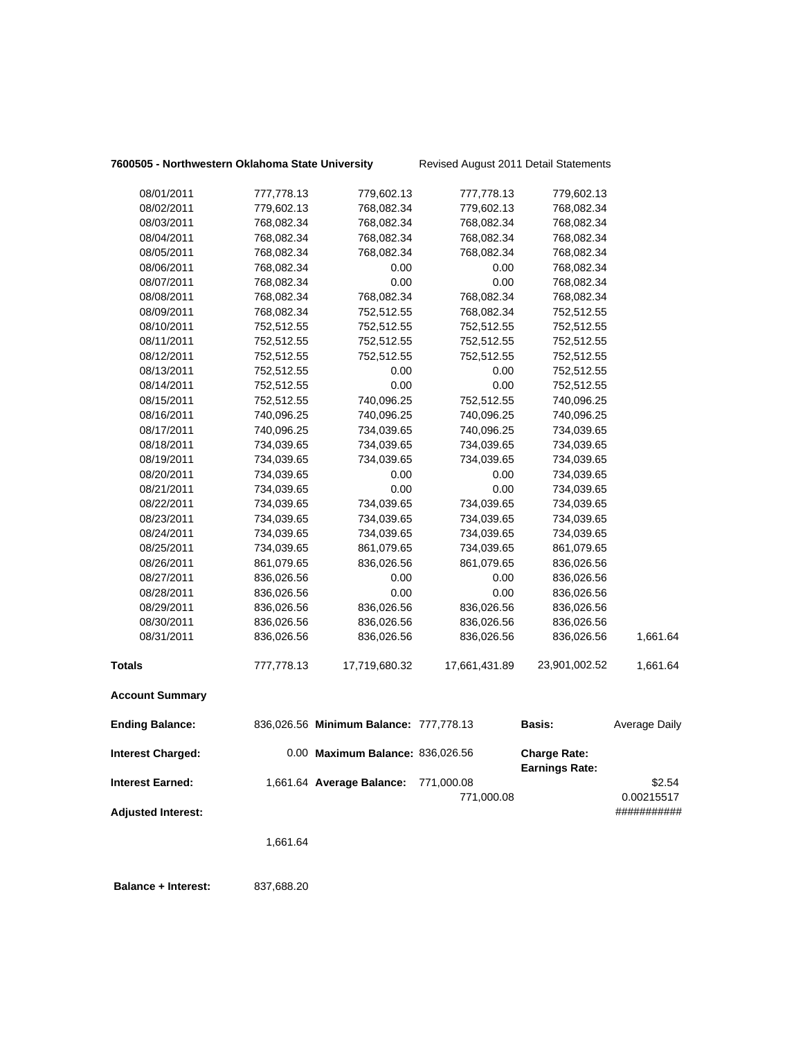## **7600505 - Northwestern Oklahoma State University** Revised August 2011 Detail Statements

| 08/01/2011                | 777,778.13 | 779,602.13                             | 777,778.13    | 779,602.13                                   |                      |
|---------------------------|------------|----------------------------------------|---------------|----------------------------------------------|----------------------|
| 08/02/2011                | 779,602.13 | 768,082.34                             | 779,602.13    | 768,082.34                                   |                      |
| 08/03/2011                | 768,082.34 | 768,082.34                             | 768,082.34    | 768,082.34                                   |                      |
| 08/04/2011                | 768,082.34 | 768,082.34                             | 768,082.34    | 768,082.34                                   |                      |
| 08/05/2011                | 768,082.34 | 768,082.34                             | 768,082.34    | 768,082.34                                   |                      |
| 08/06/2011                | 768,082.34 | 0.00                                   | 0.00          | 768,082.34                                   |                      |
| 08/07/2011                | 768,082.34 | 0.00                                   | 0.00          | 768,082.34                                   |                      |
| 08/08/2011                | 768,082.34 | 768,082.34                             | 768,082.34    | 768,082.34                                   |                      |
| 08/09/2011                | 768,082.34 | 752,512.55                             | 768,082.34    | 752,512.55                                   |                      |
| 08/10/2011                | 752,512.55 | 752,512.55                             | 752,512.55    | 752,512.55                                   |                      |
| 08/11/2011                | 752,512.55 | 752,512.55                             | 752,512.55    | 752,512.55                                   |                      |
| 08/12/2011                | 752,512.55 | 752,512.55                             | 752,512.55    | 752,512.55                                   |                      |
| 08/13/2011                | 752,512.55 | 0.00                                   | 0.00          | 752,512.55                                   |                      |
| 08/14/2011                | 752,512.55 | 0.00                                   | 0.00          | 752,512.55                                   |                      |
| 08/15/2011                | 752,512.55 | 740,096.25                             | 752,512.55    | 740,096.25                                   |                      |
| 08/16/2011                | 740,096.25 | 740,096.25                             | 740,096.25    | 740,096.25                                   |                      |
| 08/17/2011                | 740,096.25 | 734,039.65                             | 740,096.25    | 734,039.65                                   |                      |
| 08/18/2011                | 734,039.65 | 734,039.65                             | 734,039.65    | 734,039.65                                   |                      |
| 08/19/2011                | 734,039.65 | 734,039.65                             | 734,039.65    | 734,039.65                                   |                      |
| 08/20/2011                | 734,039.65 | 0.00                                   | 0.00          | 734,039.65                                   |                      |
| 08/21/2011                | 734,039.65 | 0.00                                   | 0.00          | 734,039.65                                   |                      |
| 08/22/2011                | 734,039.65 | 734,039.65                             | 734,039.65    | 734,039.65                                   |                      |
| 08/23/2011                | 734,039.65 | 734,039.65                             | 734,039.65    | 734,039.65                                   |                      |
| 08/24/2011                | 734,039.65 | 734,039.65                             | 734,039.65    | 734,039.65                                   |                      |
| 08/25/2011                | 734,039.65 | 861,079.65                             | 734,039.65    | 861,079.65                                   |                      |
| 08/26/2011                | 861,079.65 | 836,026.56                             | 861,079.65    | 836,026.56                                   |                      |
| 08/27/2011                | 836,026.56 | 0.00                                   | 0.00          | 836,026.56                                   |                      |
| 08/28/2011                | 836,026.56 | 0.00                                   | 0.00          | 836,026.56                                   |                      |
| 08/29/2011                | 836,026.56 | 836,026.56                             | 836,026.56    | 836,026.56                                   |                      |
| 08/30/2011                | 836,026.56 | 836,026.56                             | 836,026.56    | 836,026.56                                   |                      |
| 08/31/2011                | 836,026.56 | 836,026.56                             | 836,026.56    | 836,026.56                                   | 1,661.64             |
| <b>Totals</b>             | 777,778.13 | 17,719,680.32                          | 17,661,431.89 | 23,901,002.52                                | 1,661.64             |
| <b>Account Summary</b>    |            |                                        |               |                                              |                      |
| <b>Ending Balance:</b>    |            | 836,026.56 Minimum Balance: 777,778.13 |               | <b>Basis:</b>                                | <b>Average Daily</b> |
| <b>Interest Charged:</b>  |            | 0.00 Maximum Balance: 836,026.56       |               | <b>Charge Rate:</b><br><b>Earnings Rate:</b> |                      |
| <b>Interest Earned:</b>   |            | 1,661.64 Average Balance:              | 771,000.08    |                                              | \$2.54               |
|                           |            |                                        | 771,000.08    |                                              | 0.00215517           |
| <b>Adjusted Interest:</b> |            |                                        |               |                                              | ###########          |
|                           | 1,661.64   |                                        |               |                                              |                      |
|                           |            |                                        |               |                                              |                      |
|                           |            |                                        |               |                                              |                      |

 **Balance + Interest:** 837,688.20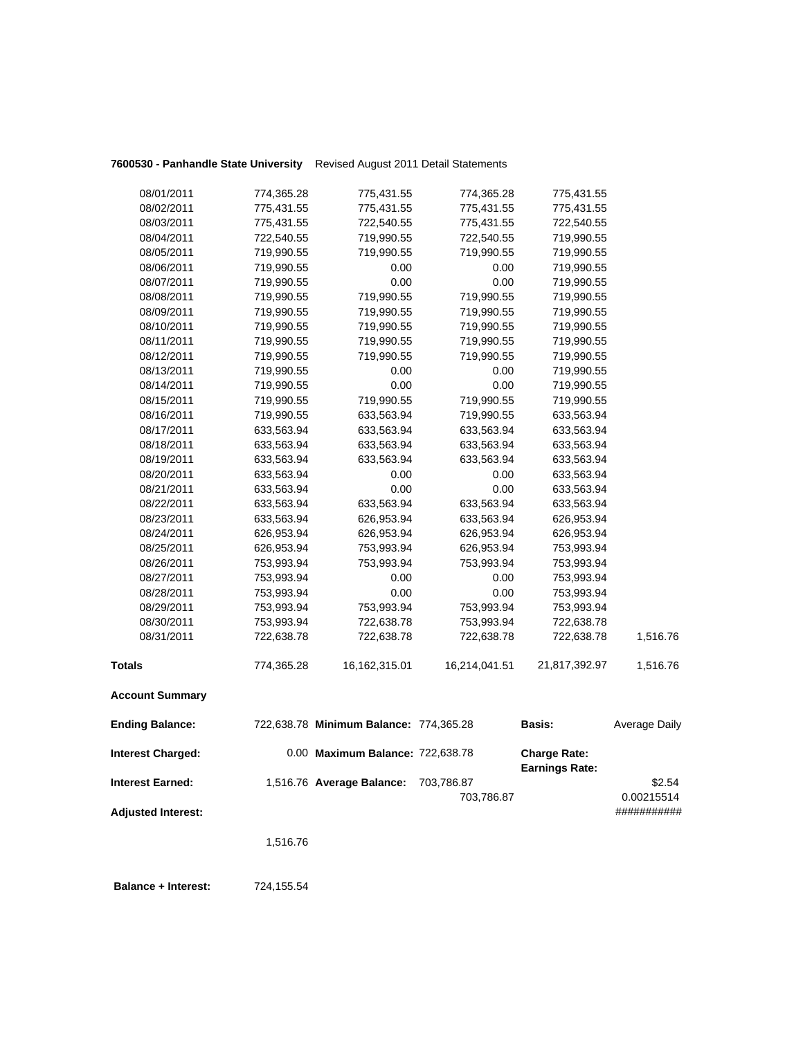|                           | 1,516.76                 |                                        |                          |                                              |                           |
|---------------------------|--------------------------|----------------------------------------|--------------------------|----------------------------------------------|---------------------------|
| <b>Adjusted Interest:</b> |                          |                                        | 703,786.87               |                                              | 0.00215514<br>########### |
| Interest Earned:          |                          | 1,516.76 Average Balance:              | 703,786.87               |                                              | \$2.54                    |
| <b>Interest Charged:</b>  |                          | 0.00 Maximum Balance: 722,638.78       |                          | <b>Charge Rate:</b><br><b>Earnings Rate:</b> |                           |
| <b>Ending Balance:</b>    |                          | 722,638.78 Minimum Balance: 774,365.28 |                          | <b>Basis:</b>                                | <b>Average Daily</b>      |
| <b>Account Summary</b>    |                          |                                        |                          |                                              |                           |
| Totals                    | 774,365.28               | 16,162,315.01                          | 16,214,041.51            | 21,817,392.97                                | 1,516.76                  |
| 08/31/2011                | 722,638.78               | 722,638.78                             | 722,638.78               | 722,638.78                                   | 1,516.76                  |
| 08/30/2011                | 753,993.94               | 722,638.78                             | 753,993.94               | 722,638.78                                   |                           |
| 08/29/2011                | 753,993.94               | 753,993.94                             | 753,993.94               | 753,993.94                                   |                           |
| 08/28/2011                | 753,993.94               | 0.00                                   | 0.00                     | 753,993.94                                   |                           |
| 08/27/2011                | 753,993.94               | 0.00                                   | 0.00                     | 753,993.94                                   |                           |
| 08/26/2011                | 753,993.94               | 753,993.94                             | 753,993.94               | 753,993.94                                   |                           |
| 08/25/2011                | 626,953.94               | 753,993.94                             | 626,953.94               | 753,993.94                                   |                           |
| 08/24/2011                | 626,953.94               | 626,953.94                             | 626,953.94               | 626,953.94                                   |                           |
| 08/23/2011                | 633,563.94               | 626,953.94                             | 633,563.94               | 626,953.94                                   |                           |
| 08/22/2011                | 633,563.94               | 633,563.94                             | 633,563.94               | 633,563.94                                   |                           |
| 08/21/2011                | 633,563.94               | 0.00                                   | 0.00                     | 633,563.94                                   |                           |
| 08/20/2011                | 633,563.94               | 0.00                                   | 0.00                     | 633,563.94                                   |                           |
| 08/19/2011                | 633,563.94               | 633,563.94                             | 633,563.94               | 633,563.94                                   |                           |
| 08/18/2011                | 633,563.94               | 633,563.94                             | 633,563.94               | 633,563.94                                   |                           |
| 08/17/2011                | 633,563.94               | 633,563.94                             | 633,563.94               | 633,563.94                                   |                           |
| 08/16/2011                | 719,990.55               | 633,563.94                             | 719,990.55               | 633,563.94                                   |                           |
| 08/15/2011                | 719,990.55               | 719,990.55                             | 719,990.55               | 719,990.55                                   |                           |
| 08/14/2011                | 719,990.55               | 0.00                                   | 0.00                     | 719,990.55                                   |                           |
| 08/13/2011                | 719,990.55               | 0.00                                   | 0.00                     | 719,990.55                                   |                           |
| 08/12/2011                | 719,990.55               | 719,990.55                             | 719,990.55               | 719,990.55                                   |                           |
| 08/11/2011                | 719,990.55               | 719,990.55                             | 719,990.55               | 719,990.55                                   |                           |
| 08/10/2011                | 719,990.55               | 719,990.55                             | 719,990.55               | 719,990.55                                   |                           |
| 08/09/2011                | 719,990.55               | 719,990.55                             | 719,990.55               | 719,990.55                                   |                           |
| 08/08/2011                | 719,990.55               | 719,990.55                             | 719,990.55               | 719,990.55                                   |                           |
| 08/07/2011                | 719,990.55               | 0.00                                   | 0.00                     | 719,990.55                                   |                           |
| 08/06/2011                | 719,990.55               | 0.00                                   | 0.00                     | 719,990.55                                   |                           |
| 08/05/2011                | 719,990.55               | 719,990.55                             | 719,990.55               | 719,990.55                                   |                           |
| 08/04/2011                | 722,540.55               | 719,990.55                             | 722,540.55               | 719,990.55                                   |                           |
| 08/03/2011                | 775,431.55               | 722,540.55                             | 775,431.55               | 722,540.55                                   |                           |
|                           |                          |                                        |                          |                                              |                           |
|                           |                          |                                        |                          |                                              |                           |
| 08/01/2011<br>08/02/2011  | 774,365.28<br>775,431.55 | 775,431.55<br>775,431.55               | 774,365.28<br>775,431.55 | 775,431.55<br>775,431.55                     |                           |

**7600530 - Panhandle State University** Revised August 2011 Detail Statements

 **Balance + Interest:** 724,155.54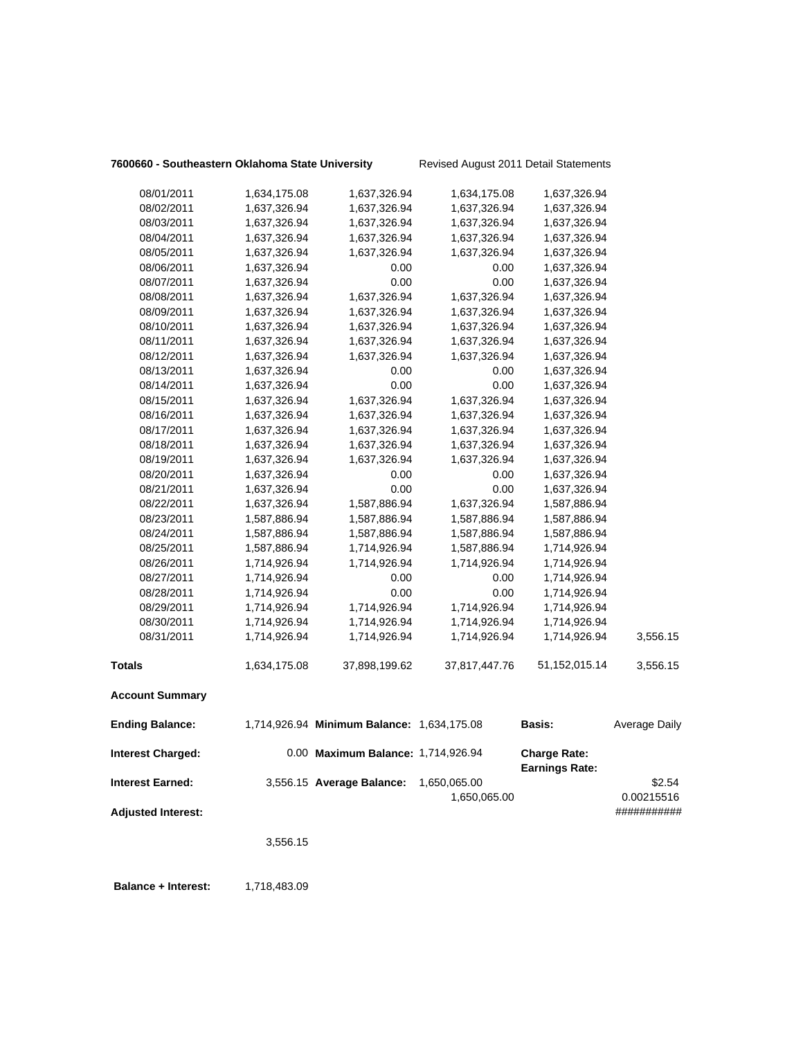## **7600660 - Southeastern Oklahoma State University** Revised August 2011 Detail Statements

| 08/01/2011                | 1,634,175.08 | 1,637,326.94                               | 1,634,175.08  | 1,637,326.94                                 |               |
|---------------------------|--------------|--------------------------------------------|---------------|----------------------------------------------|---------------|
| 08/02/2011                | 1,637,326.94 | 1,637,326.94                               | 1,637,326.94  | 1,637,326.94                                 |               |
| 08/03/2011                | 1,637,326.94 | 1,637,326.94                               | 1,637,326.94  | 1,637,326.94                                 |               |
| 08/04/2011                | 1,637,326.94 | 1,637,326.94                               | 1,637,326.94  | 1,637,326.94                                 |               |
| 08/05/2011                | 1,637,326.94 | 1,637,326.94                               | 1,637,326.94  | 1,637,326.94                                 |               |
| 08/06/2011                | 1,637,326.94 | 0.00                                       | 0.00          | 1,637,326.94                                 |               |
| 08/07/2011                | 1,637,326.94 | 0.00                                       | 0.00          | 1,637,326.94                                 |               |
| 08/08/2011                | 1,637,326.94 | 1,637,326.94                               | 1,637,326.94  | 1,637,326.94                                 |               |
| 08/09/2011                | 1,637,326.94 | 1,637,326.94                               | 1,637,326.94  | 1,637,326.94                                 |               |
| 08/10/2011                | 1,637,326.94 | 1,637,326.94                               | 1,637,326.94  | 1,637,326.94                                 |               |
| 08/11/2011                | 1,637,326.94 | 1,637,326.94                               | 1,637,326.94  | 1,637,326.94                                 |               |
| 08/12/2011                | 1,637,326.94 | 1,637,326.94                               | 1,637,326.94  | 1,637,326.94                                 |               |
| 08/13/2011                | 1,637,326.94 | 0.00                                       | 0.00          | 1,637,326.94                                 |               |
| 08/14/2011                | 1,637,326.94 | 0.00                                       | 0.00          | 1,637,326.94                                 |               |
| 08/15/2011                | 1,637,326.94 | 1,637,326.94                               | 1,637,326.94  | 1,637,326.94                                 |               |
| 08/16/2011                | 1,637,326.94 | 1,637,326.94                               | 1,637,326.94  | 1,637,326.94                                 |               |
| 08/17/2011                | 1,637,326.94 | 1,637,326.94                               | 1,637,326.94  | 1,637,326.94                                 |               |
| 08/18/2011                | 1,637,326.94 | 1,637,326.94                               | 1,637,326.94  | 1,637,326.94                                 |               |
| 08/19/2011                | 1,637,326.94 | 1,637,326.94                               | 1,637,326.94  | 1,637,326.94                                 |               |
| 08/20/2011                | 1,637,326.94 | 0.00                                       | 0.00          | 1,637,326.94                                 |               |
| 08/21/2011                | 1,637,326.94 | 0.00                                       | 0.00          | 1,637,326.94                                 |               |
| 08/22/2011                | 1,637,326.94 | 1,587,886.94                               | 1,637,326.94  | 1,587,886.94                                 |               |
| 08/23/2011                | 1,587,886.94 | 1,587,886.94                               | 1,587,886.94  | 1,587,886.94                                 |               |
| 08/24/2011                | 1,587,886.94 | 1,587,886.94                               | 1,587,886.94  | 1,587,886.94                                 |               |
| 08/25/2011                | 1,587,886.94 | 1,714,926.94                               | 1,587,886.94  | 1,714,926.94                                 |               |
| 08/26/2011                | 1,714,926.94 | 1,714,926.94                               | 1,714,926.94  | 1,714,926.94                                 |               |
| 08/27/2011                | 1,714,926.94 | 0.00                                       | 0.00          | 1,714,926.94                                 |               |
| 08/28/2011                | 1,714,926.94 | 0.00                                       | 0.00          | 1,714,926.94                                 |               |
| 08/29/2011                | 1,714,926.94 | 1,714,926.94                               | 1,714,926.94  | 1,714,926.94                                 |               |
| 08/30/2011                | 1,714,926.94 | 1,714,926.94                               | 1,714,926.94  | 1,714,926.94                                 |               |
| 08/31/2011                | 1,714,926.94 | 1,714,926.94                               | 1,714,926.94  | 1,714,926.94                                 | 3,556.15      |
| <b>Totals</b>             | 1,634,175.08 | 37,898,199.62                              | 37,817,447.76 | 51,152,015.14                                | 3,556.15      |
| <b>Account Summary</b>    |              |                                            |               |                                              |               |
| <b>Ending Balance:</b>    |              | 1,714,926.94 Minimum Balance: 1,634,175.08 |               | <b>Basis:</b>                                | Average Daily |
| <b>Interest Charged:</b>  |              | 0.00 Maximum Balance: 1,714,926.94         |               | <b>Charge Rate:</b><br><b>Earnings Rate:</b> |               |
| <b>Interest Earned:</b>   |              | 3,556.15 Average Balance:                  | 1,650,065.00  |                                              | \$2.54        |
|                           |              |                                            | 1,650,065.00  |                                              | 0.00215516    |
| <b>Adjusted Interest:</b> |              |                                            |               |                                              | ###########   |
|                           | 3,556.15     |                                            |               |                                              |               |
|                           |              |                                            |               |                                              |               |

**Balance + Interest:** 1,718,483.09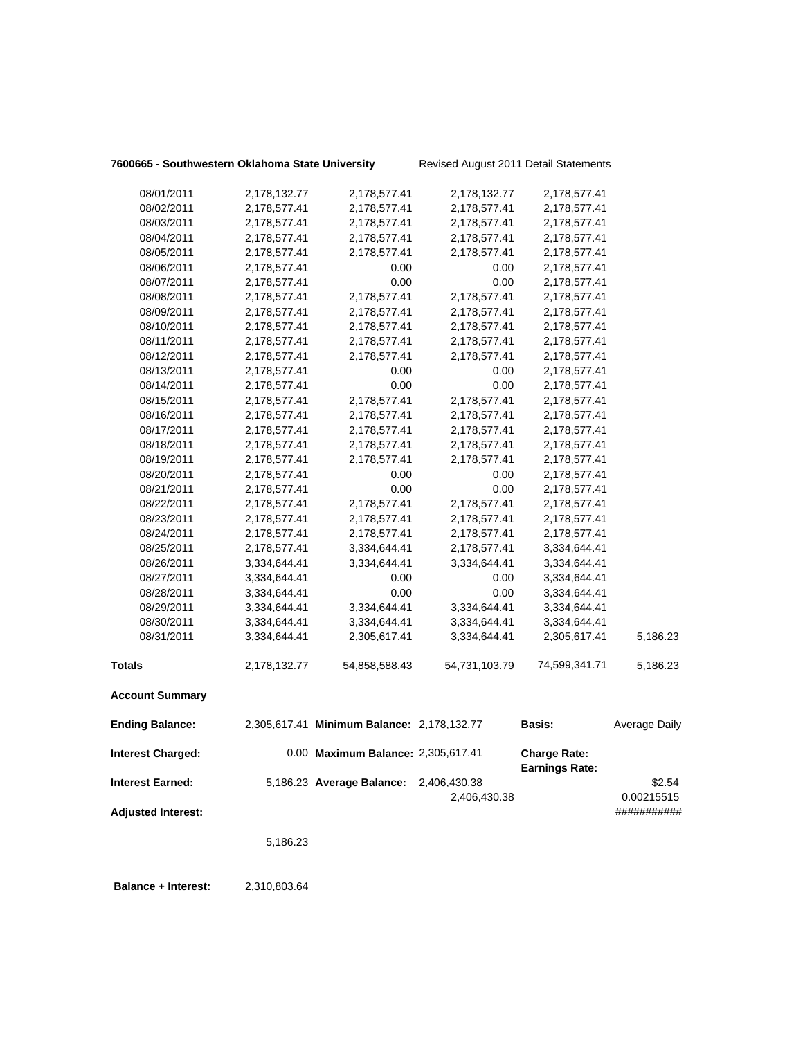## **7600665 - Southwestern Oklahoma State University** Revised August 2011 Detail Statements

|                                                      | 5,186.23     |                                            |                              |                                              |                                     |
|------------------------------------------------------|--------------|--------------------------------------------|------------------------------|----------------------------------------------|-------------------------------------|
| <b>Interest Earned:</b><br><b>Adjusted Interest:</b> |              | 5,186.23 Average Balance:                  | 2,406,430.38<br>2,406,430.38 |                                              | \$2.54<br>0.00215515<br>########### |
| <b>Interest Charged:</b>                             |              | 0.00 Maximum Balance: 2,305,617.41         |                              | <b>Charge Rate:</b><br><b>Earnings Rate:</b> |                                     |
| <b>Ending Balance:</b>                               |              | 2,305,617.41 Minimum Balance: 2,178,132.77 |                              | <b>Basis:</b>                                | Average Daily                       |
| <b>Account Summary</b>                               |              |                                            |                              |                                              |                                     |
| <b>Totals</b>                                        | 2,178,132.77 | 54,858,588.43                              | 54,731,103.79                | 74,599,341.71                                | 5,186.23                            |
| 08/31/2011                                           | 3,334,644.41 | 2,305,617.41                               | 3,334,644.41                 | 2,305,617.41                                 | 5,186.23                            |
| 08/30/2011                                           | 3,334,644.41 | 3,334,644.41                               | 3,334,644.41                 | 3,334,644.41                                 |                                     |
| 08/29/2011                                           | 3,334,644.41 | 3,334,644.41                               | 3,334,644.41                 | 3,334,644.41                                 |                                     |
| 08/28/2011                                           | 3,334,644.41 | 0.00                                       | 0.00                         | 3,334,644.41                                 |                                     |
| 08/27/2011                                           | 3,334,644.41 | 0.00                                       | 0.00                         | 3,334,644.41                                 |                                     |
| 08/26/2011                                           | 3,334,644.41 | 3,334,644.41                               | 3,334,644.41                 | 3,334,644.41                                 |                                     |
| 08/25/2011                                           | 2,178,577.41 | 3,334,644.41                               | 2,178,577.41                 | 3,334,644.41                                 |                                     |
| 08/24/2011                                           | 2,178,577.41 | 2,178,577.41                               | 2,178,577.41                 | 2,178,577.41                                 |                                     |
| 08/23/2011                                           | 2,178,577.41 | 2,178,577.41                               | 2,178,577.41                 | 2,178,577.41                                 |                                     |
| 08/22/2011                                           | 2,178,577.41 | 2,178,577.41                               | 2,178,577.41                 | 2,178,577.41                                 |                                     |
| 08/21/2011                                           | 2,178,577.41 | 0.00                                       | 0.00                         | 2,178,577.41                                 |                                     |
| 08/20/2011                                           | 2,178,577.41 | 0.00                                       | 0.00                         | 2,178,577.41                                 |                                     |
| 08/19/2011                                           | 2,178,577.41 | 2,178,577.41                               | 2,178,577.41                 | 2,178,577.41                                 |                                     |
| 08/18/2011                                           | 2,178,577.41 | 2,178,577.41                               | 2,178,577.41                 | 2,178,577.41                                 |                                     |
| 08/17/2011                                           | 2,178,577.41 | 2,178,577.41                               | 2,178,577.41                 | 2,178,577.41                                 |                                     |
| 08/16/2011                                           | 2,178,577.41 | 2,178,577.41                               | 2,178,577.41                 | 2,178,577.41                                 |                                     |
| 08/15/2011                                           | 2,178,577.41 | 2,178,577.41                               | 2,178,577.41                 | 2,178,577.41                                 |                                     |
| 08/14/2011                                           | 2,178,577.41 | 0.00                                       | 0.00                         | 2,178,577.41                                 |                                     |
| 08/13/2011                                           | 2,178,577.41 | 0.00                                       | 0.00                         | 2,178,577.41                                 |                                     |
| 08/12/2011                                           | 2,178,577.41 | 2,178,577.41                               | 2,178,577.41                 | 2,178,577.41                                 |                                     |
| 08/11/2011                                           | 2,178,577.41 | 2,178,577.41                               | 2,178,577.41                 | 2,178,577.41                                 |                                     |
| 08/10/2011                                           | 2,178,577.41 | 2,178,577.41                               | 2,178,577.41                 | 2,178,577.41                                 |                                     |
| 08/09/2011                                           | 2,178,577.41 | 2,178,577.41                               | 2,178,577.41                 | 2,178,577.41                                 |                                     |
| 08/08/2011                                           | 2,178,577.41 | 2,178,577.41                               | 2,178,577.41                 | 2,178,577.41                                 |                                     |
| 08/07/2011                                           | 2,178,577.41 | 0.00                                       | 0.00                         | 2,178,577.41                                 |                                     |
| 08/06/2011                                           | 2,178,577.41 | 0.00                                       | 0.00                         | 2,178,577.41                                 |                                     |
| 08/05/2011                                           | 2,178,577.41 | 2,178,577.41                               | 2,178,577.41                 | 2,178,577.41                                 |                                     |
| 08/04/2011                                           | 2,178,577.41 | 2,178,577.41                               | 2,178,577.41                 | 2,178,577.41                                 |                                     |
| 08/03/2011                                           | 2,178,577.41 | 2,178,577.41                               | 2,178,577.41                 | 2,178,577.41                                 |                                     |
| 08/02/2011                                           | 2,178,577.41 | 2,178,577.41                               | 2,178,577.41                 | 2,178,577.41                                 |                                     |
| 08/01/2011                                           | 2,178,132.77 | 2,178,577.41                               | 2,178,132.77                 | 2,178,577.41                                 |                                     |
|                                                      |              |                                            |                              |                                              |                                     |

 **Balance + Interest:** 2,310,803.64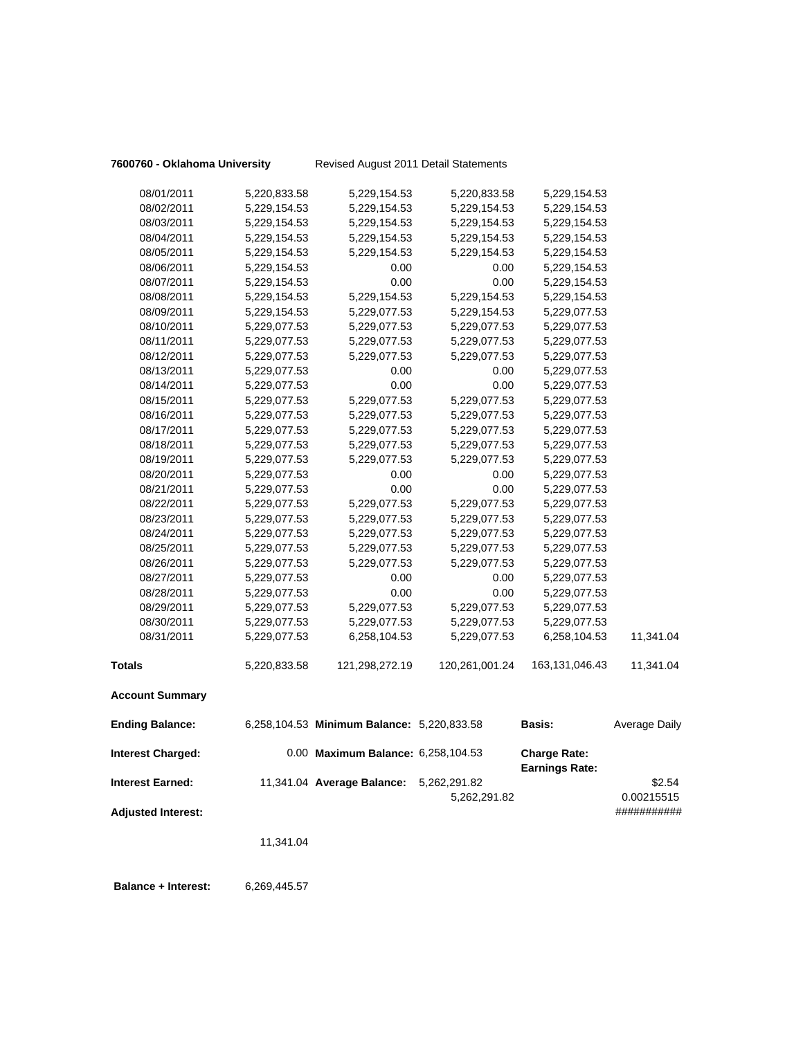## **7600760 - Oklahoma University** Revised August 2011 Detail Statements

| <b>Interest Charged:</b> |                              | 0.00 Maximum Balance: 6,258,104.53         |                              | <b>Charge Rate:</b><br><b>Earnings Rate:</b> |               |
|--------------------------|------------------------------|--------------------------------------------|------------------------------|----------------------------------------------|---------------|
| <b>Ending Balance:</b>   |                              | 6,258,104.53 Minimum Balance: 5,220,833.58 |                              | <b>Basis:</b>                                | Average Daily |
| <b>Account Summary</b>   |                              |                                            |                              |                                              |               |
| <b>Totals</b>            | 5,220,833.58                 | 121,298,272.19                             | 120,261,001.24               | 163,131,046.43                               | 11,341.04     |
| 08/31/2011               | 5,229,077.53                 | 6,258,104.53                               | 5,229,077.53                 | 6,258,104.53                                 | 11,341.04     |
| 08/30/2011               | 5,229,077.53                 | 5,229,077.53                               | 5,229,077.53                 | 5,229,077.53                                 |               |
| 08/29/2011               | 5,229,077.53                 | 5,229,077.53                               | 5,229,077.53                 | 5,229,077.53                                 |               |
| 08/28/2011               | 5,229,077.53                 | 0.00                                       | 0.00                         | 5,229,077.53                                 |               |
| 08/27/2011               | 5,229,077.53                 | 0.00                                       | 0.00                         | 5,229,077.53                                 |               |
| 08/26/2011               | 5,229,077.53                 | 5,229,077.53                               | 5,229,077.53                 | 5,229,077.53                                 |               |
| 08/25/2011               | 5,229,077.53                 | 5,229,077.53                               | 5,229,077.53                 | 5,229,077.53                                 |               |
| 08/24/2011               | 5,229,077.53                 | 5,229,077.53                               | 5,229,077.53                 | 5,229,077.53                                 |               |
| 08/23/2011               | 5,229,077.53                 | 5,229,077.53                               | 5,229,077.53                 | 5,229,077.53                                 |               |
| 08/22/2011               | 5,229,077.53                 | 5,229,077.53                               | 5,229,077.53                 | 5,229,077.53                                 |               |
| 08/21/2011               | 5,229,077.53                 | 0.00                                       | 0.00                         | 5,229,077.53                                 |               |
| 08/20/2011               | 5,229,077.53                 | 0.00                                       | 0.00                         | 5,229,077.53                                 |               |
| 08/19/2011               | 5,229,077.53                 | 5,229,077.53                               | 5,229,077.53                 | 5,229,077.53                                 |               |
| 08/18/2011               | 5,229,077.53                 | 5,229,077.53                               | 5,229,077.53                 | 5,229,077.53                                 |               |
| 08/17/2011               | 5,229,077.53                 | 5,229,077.53                               | 5,229,077.53                 | 5,229,077.53                                 |               |
| 08/16/2011               | 5,229,077.53                 | 5,229,077.53                               | 5,229,077.53                 | 5,229,077.53                                 |               |
| 08/15/2011               | 5,229,077.53                 | 5,229,077.53                               | 5,229,077.53                 | 5,229,077.53                                 |               |
| 08/14/2011               | 5,229,077.53                 | 0.00                                       | 0.00                         | 5,229,077.53                                 |               |
| 08/13/2011               | 5,229,077.53                 | 0.00                                       | 0.00                         | 5,229,077.53                                 |               |
| 08/12/2011               | 5,229,077.53                 | 5,229,077.53                               | 5,229,077.53                 | 5,229,077.53                                 |               |
| 08/11/2011               | 5,229,077.53                 | 5,229,077.53                               | 5,229,077.53                 | 5,229,077.53                                 |               |
| 08/10/2011               | 5,229,077.53                 | 5,229,077.53                               | 5,229,077.53                 | 5,229,077.53                                 |               |
| 08/09/2011               | 5,229,154.53                 | 5,229,077.53                               | 5,229,154.53                 | 5,229,077.53                                 |               |
| 08/08/2011               | 5,229,154.53                 | 5,229,154.53                               | 5,229,154.53                 | 5,229,154.53                                 |               |
| 08/07/2011               | 5,229,154.53                 | 0.00                                       | 0.00                         | 5,229,154.53                                 |               |
| 08/06/2011               | 5,229,154.53                 | 0.00                                       | 0.00                         | 5,229,154.53                                 |               |
| 08/05/2011               | 5,229,154.53                 | 5,229,154.53                               | 5,229,154.53                 | 5,229,154.53                                 |               |
| 08/04/2011               | 5,229,154.53                 | 5,229,154.53                               | 5,229,154.53                 | 5,229,154.53                                 |               |
| 08/02/2011<br>08/03/2011 | 5,229,154.53<br>5,229,154.53 | 5,229,154.53<br>5,229,154.53               | 5,229,154.53<br>5,229,154.53 | 5,229,154.53<br>5,229,154.53                 |               |
| 08/01/2011               | 5,220,833.58                 | 5,229,154.53                               | 5,220,833.58                 | 5,229,154.53                                 |               |
|                          |                              |                                            |                              |                                              |               |

**Interest Earned:** 11,341.04 **Average Balance:** 5,262,291.82 \$2.54 5,262,291.82 0.00215515 **Adjusted Interest:** ###########

11,341.04

 **Balance + Interest:** 6,269,445.57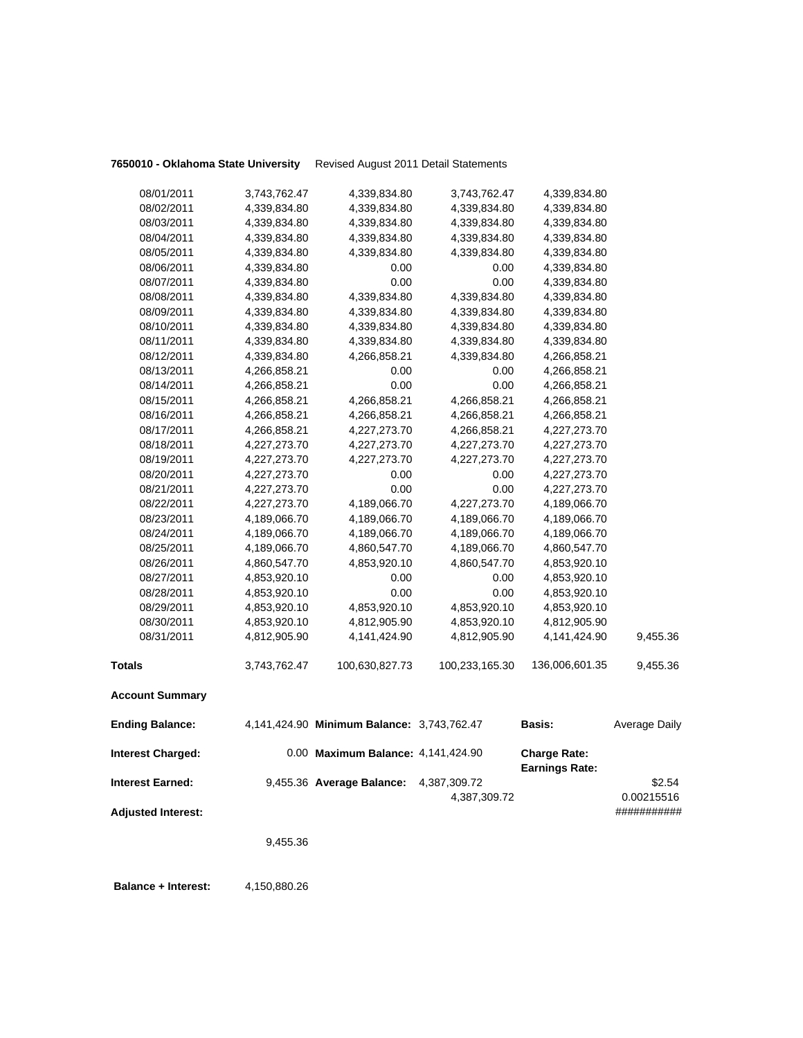## **7650010 - Oklahoma State University** Revised August 2011 Detail Statements

| <b>Account Summary</b> |              |                |                |                |          |
|------------------------|--------------|----------------|----------------|----------------|----------|
| <b>Totals</b>          | 3,743,762.47 | 100,630,827.73 | 100,233,165.30 | 136,006,601.35 | 9,455.36 |
| 08/31/2011             | 4,812,905.90 | 4,141,424.90   | 4,812,905.90   | 4,141,424.90   | 9,455.36 |
| 08/30/2011             | 4,853,920.10 | 4,812,905.90   | 4,853,920.10   | 4,812,905.90   |          |
| 08/29/2011             | 4,853,920.10 | 4,853,920.10   | 4,853,920.10   | 4,853,920.10   |          |
| 08/28/2011             | 4,853,920.10 | 0.00           | 0.00           | 4,853,920.10   |          |
| 08/27/2011             | 4,853,920.10 | 0.00           | 0.00           | 4,853,920.10   |          |
| 08/26/2011             | 4,860,547.70 | 4,853,920.10   | 4,860,547.70   | 4,853,920.10   |          |
| 08/25/2011             | 4,189,066.70 | 4,860,547.70   | 4,189,066.70   | 4,860,547.70   |          |
| 08/24/2011             | 4,189,066.70 | 4,189,066.70   | 4,189,066.70   | 4,189,066.70   |          |
| 08/23/2011             | 4,189,066.70 | 4,189,066.70   | 4,189,066.70   | 4,189,066.70   |          |
| 08/22/2011             | 4,227,273.70 | 4,189,066.70   | 4,227,273.70   | 4,189,066.70   |          |
| 08/21/2011             | 4,227,273.70 | 0.00           | 0.00           | 4,227,273.70   |          |
| 08/20/2011             | 4,227,273.70 | 0.00           | 0.00           | 4,227,273.70   |          |
| 08/19/2011             | 4,227,273.70 | 4,227,273.70   | 4,227,273.70   | 4,227,273.70   |          |
| 08/18/2011             | 4,227,273.70 | 4,227,273.70   | 4,227,273.70   | 4,227,273.70   |          |
| 08/17/2011             | 4,266,858.21 | 4,227,273.70   | 4,266,858.21   | 4,227,273.70   |          |
| 08/16/2011             | 4,266,858.21 | 4,266,858.21   | 4,266,858.21   | 4,266,858.21   |          |
| 08/15/2011             | 4,266,858.21 | 4,266,858.21   | 4,266,858.21   | 4,266,858.21   |          |
| 08/14/2011             | 4,266,858.21 | 0.00           | 0.00           | 4,266,858.21   |          |
| 08/13/2011             | 4,266,858.21 | 0.00           | 0.00           | 4,266,858.21   |          |
| 08/12/2011             | 4,339,834.80 | 4,266,858.21   | 4,339,834.80   | 4,266,858.21   |          |
| 08/11/2011             | 4,339,834.80 | 4,339,834.80   | 4,339,834.80   | 4,339,834.80   |          |
| 08/10/2011             | 4,339,834.80 | 4,339,834.80   | 4,339,834.80   | 4,339,834.80   |          |
| 08/09/2011             | 4,339,834.80 | 4,339,834.80   | 4,339,834.80   | 4,339,834.80   |          |
| 08/08/2011             | 4,339,834.80 | 4,339,834.80   | 4,339,834.80   | 4,339,834.80   |          |
| 08/07/2011             | 4,339,834.80 | 0.00           | 0.00           | 4,339,834.80   |          |
| 08/06/2011             | 4,339,834.80 | 0.00           | 0.00           | 4,339,834.80   |          |
| 08/05/2011             | 4,339,834.80 | 4,339,834.80   | 4,339,834.80   | 4,339,834.80   |          |
| 08/04/2011             | 4,339,834.80 | 4,339,834.80   | 4,339,834.80   | 4,339,834.80   |          |
| 08/03/2011             | 4,339,834.80 | 4,339,834.80   | 4,339,834.80   | 4,339,834.80   |          |
| 08/02/2011             | 4,339,834.80 | 4,339,834.80   | 4,339,834.80   | 4,339,834.80   |          |
| 08/01/2011             | 3,743,762.47 | 4,339,834.80   | 3,743,762.47   | 4,339,834.80   |          |
|                        |              |                |                |                |          |

| <b>Ending Balance:</b>    | 4,141,424.90 Minimum Balance: 3,743,762.47 |              | <b>Basis:</b>                                | Average Daily |
|---------------------------|--------------------------------------------|--------------|----------------------------------------------|---------------|
| <b>Interest Charged:</b>  | 0.00 Maximum Balance: 4,141,424.90         |              | <b>Charge Rate:</b><br><b>Earnings Rate:</b> |               |
| <b>Interest Earned:</b>   | 9,455.36 Average Balance:                  | 4,387,309.72 |                                              | \$2.54        |
|                           |                                            | 4.387.309.72 |                                              | 0.00215516    |
| <b>Adjusted Interest:</b> |                                            |              |                                              | *#########    |

9,455.36

**Balance + Interest:** 4,150,880.26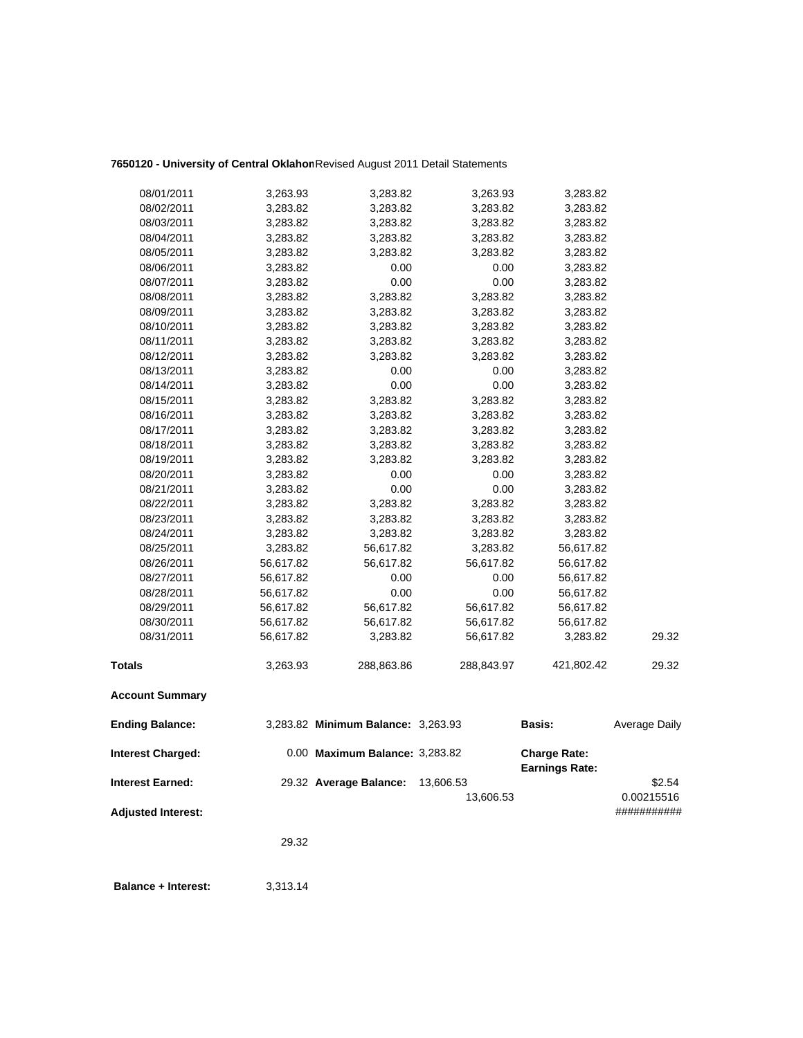## **7650120 - University of Central Oklahom**Revised August 2011 Detail Statements

| 08/01/2011                | 3,263.93  | 3,283.82                           | 3,263.93   | 3,283.82              |               |
|---------------------------|-----------|------------------------------------|------------|-----------------------|---------------|
| 08/02/2011                | 3,283.82  | 3,283.82                           | 3,283.82   | 3,283.82              |               |
| 08/03/2011                | 3,283.82  | 3,283.82                           | 3,283.82   | 3,283.82              |               |
| 08/04/2011                | 3,283.82  | 3,283.82                           | 3,283.82   | 3,283.82              |               |
| 08/05/2011                | 3,283.82  | 3,283.82                           | 3,283.82   | 3,283.82              |               |
| 08/06/2011                | 3,283.82  | 0.00                               | 0.00       | 3,283.82              |               |
| 08/07/2011                | 3,283.82  | 0.00                               | 0.00       | 3,283.82              |               |
| 08/08/2011                | 3,283.82  | 3,283.82                           | 3,283.82   | 3,283.82              |               |
| 08/09/2011                | 3,283.82  | 3,283.82                           | 3,283.82   | 3,283.82              |               |
| 08/10/2011                | 3,283.82  | 3,283.82                           | 3,283.82   | 3,283.82              |               |
| 08/11/2011                | 3,283.82  | 3,283.82                           | 3,283.82   | 3,283.82              |               |
| 08/12/2011                | 3,283.82  | 3,283.82                           | 3,283.82   | 3,283.82              |               |
| 08/13/2011                | 3,283.82  | 0.00                               | 0.00       | 3,283.82              |               |
| 08/14/2011                | 3,283.82  | 0.00                               | 0.00       | 3,283.82              |               |
| 08/15/2011                | 3,283.82  | 3,283.82                           | 3,283.82   | 3,283.82              |               |
| 08/16/2011                | 3,283.82  | 3,283.82                           | 3,283.82   | 3,283.82              |               |
| 08/17/2011                | 3,283.82  | 3,283.82                           | 3,283.82   | 3,283.82              |               |
| 08/18/2011                | 3,283.82  | 3,283.82                           | 3,283.82   | 3,283.82              |               |
| 08/19/2011                | 3,283.82  | 3,283.82                           | 3,283.82   | 3,283.82              |               |
| 08/20/2011                | 3,283.82  | 0.00                               | 0.00       | 3,283.82              |               |
| 08/21/2011                | 3,283.82  | 0.00                               | 0.00       | 3,283.82              |               |
| 08/22/2011                | 3,283.82  | 3,283.82                           | 3,283.82   | 3,283.82              |               |
| 08/23/2011                | 3,283.82  | 3,283.82                           | 3,283.82   | 3,283.82              |               |
| 08/24/2011                | 3,283.82  | 3,283.82                           | 3,283.82   | 3,283.82              |               |
| 08/25/2011                | 3,283.82  | 56,617.82                          | 3,283.82   | 56,617.82             |               |
| 08/26/2011                | 56,617.82 | 56,617.82                          | 56,617.82  | 56,617.82             |               |
| 08/27/2011                | 56,617.82 | 0.00                               | 0.00       | 56,617.82             |               |
| 08/28/2011                | 56,617.82 | 0.00                               | 0.00       | 56,617.82             |               |
| 08/29/2011                | 56,617.82 | 56,617.82                          | 56,617.82  | 56,617.82             |               |
| 08/30/2011                | 56,617.82 | 56,617.82                          | 56,617.82  | 56,617.82             |               |
| 08/31/2011                | 56,617.82 | 3,283.82                           | 56,617.82  | 3,283.82              | 29.32         |
| Totals                    | 3,263.93  | 288,863.86                         | 288,843.97 | 421,802.42            | 29.32         |
| <b>Account Summary</b>    |           |                                    |            |                       |               |
| <b>Ending Balance:</b>    |           | 3,283.82 Minimum Balance: 3,263.93 |            | <b>Basis:</b>         | Average Daily |
| <b>Interest Charged:</b>  |           | 0.00 Maximum Balance: 3,283.82     |            | <b>Charge Rate:</b>   |               |
|                           |           |                                    |            | <b>Earnings Rate:</b> |               |
| <b>Interest Earned:</b>   |           | 29.32 Average Balance:             | 13,606.53  |                       | \$2.54        |
|                           |           |                                    | 13,606.53  |                       | 0.00215516    |
| <b>Adjusted Interest:</b> |           |                                    |            |                       | ###########   |
|                           | 29.32     |                                    |            |                       |               |

**Balance + Interest:** 3,313.14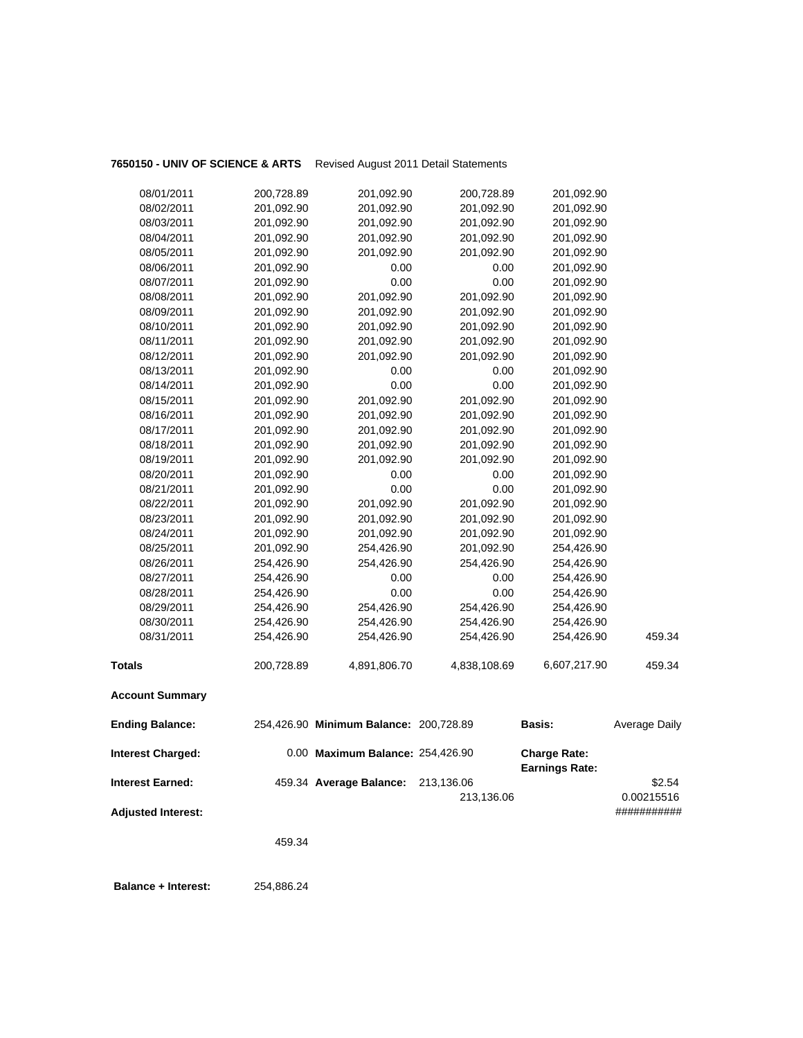## **7650150 - UNIV OF SCIENCE & ARTS** Revised August 2011 Detail Statements

| <b>Adjusted Interest:</b>                           |            |                                                             | 213,136.06   |                                              | 0.00215516<br>########### |
|-----------------------------------------------------|------------|-------------------------------------------------------------|--------------|----------------------------------------------|---------------------------|
| <b>Interest Charged:</b><br><b>Interest Earned:</b> |            | 0.00 Maximum Balance: 254,426.90<br>459.34 Average Balance: | 213,136.06   | <b>Charge Rate:</b><br><b>Earnings Rate:</b> | \$2.54                    |
| <b>Ending Balance:</b>                              |            | 254,426.90 Minimum Balance: 200,728.89                      |              | <b>Basis:</b>                                | Average Daily             |
| <b>Account Summary</b>                              |            |                                                             |              |                                              |                           |
| <b>Totals</b>                                       | 200,728.89 | 4,891,806.70                                                | 4,838,108.69 | 6,607,217.90                                 | 459.34                    |
| 08/31/2011                                          | 254,426.90 | 254,426.90                                                  | 254,426.90   | 254,426.90                                   | 459.34                    |
| 08/30/2011                                          | 254,426.90 | 254,426.90                                                  | 254,426.90   | 254,426.90                                   |                           |
| 08/29/2011                                          | 254,426.90 | 254,426.90                                                  | 254,426.90   | 254,426.90                                   |                           |
| 08/28/2011                                          | 254,426.90 | 0.00                                                        | 0.00         | 254,426.90                                   |                           |
| 08/27/2011                                          | 254,426.90 | 0.00                                                        | 0.00         | 254,426.90                                   |                           |
| 08/26/2011                                          | 254,426.90 | 254,426.90                                                  | 254,426.90   | 254,426.90                                   |                           |
| 08/25/2011                                          | 201,092.90 | 254,426.90                                                  | 201,092.90   | 254,426.90                                   |                           |
| 08/24/2011                                          | 201,092.90 | 201,092.90                                                  | 201,092.90   | 201,092.90                                   |                           |
| 08/23/2011                                          | 201,092.90 | 201,092.90                                                  | 201,092.90   | 201,092.90                                   |                           |
| 08/22/2011                                          | 201,092.90 | 201,092.90                                                  | 201,092.90   | 201,092.90                                   |                           |
| 08/21/2011                                          | 201,092.90 | 0.00                                                        | 0.00         | 201,092.90                                   |                           |
| 08/20/2011                                          | 201,092.90 | 0.00                                                        | 0.00         | 201,092.90                                   |                           |
| 08/19/2011                                          | 201,092.90 | 201,092.90                                                  | 201,092.90   | 201,092.90                                   |                           |
| 08/18/2011                                          | 201,092.90 | 201,092.90                                                  | 201,092.90   | 201,092.90                                   |                           |
| 08/17/2011                                          | 201,092.90 | 201,092.90                                                  | 201,092.90   | 201,092.90                                   |                           |
| 08/16/2011                                          | 201,092.90 | 201,092.90                                                  | 201,092.90   | 201,092.90                                   |                           |
| 08/15/2011                                          | 201,092.90 | 201,092.90                                                  | 201,092.90   | 201,092.90                                   |                           |
| 08/14/2011                                          | 201,092.90 | 0.00                                                        | 0.00         | 201,092.90                                   |                           |
| 08/13/2011                                          | 201,092.90 | 0.00                                                        | 0.00         | 201,092.90                                   |                           |
| 08/12/2011                                          | 201,092.90 | 201,092.90                                                  | 201,092.90   | 201,092.90                                   |                           |
| 08/11/2011                                          | 201,092.90 | 201,092.90                                                  | 201,092.90   | 201,092.90                                   |                           |
| 08/10/2011                                          | 201,092.90 | 201,092.90                                                  | 201,092.90   | 201,092.90                                   |                           |
| 08/09/2011                                          | 201,092.90 | 201,092.90                                                  | 201,092.90   | 201,092.90                                   |                           |
| 08/08/2011                                          | 201,092.90 | 201,092.90                                                  | 201,092.90   | 201,092.90                                   |                           |
| 08/07/2011                                          | 201,092.90 | 0.00                                                        | 0.00         | 201,092.90                                   |                           |
| 08/06/2011                                          | 201,092.90 | 0.00                                                        | 0.00         | 201,092.90                                   |                           |
| 08/05/2011                                          | 201,092.90 | 201,092.90                                                  | 201,092.90   | 201,092.90                                   |                           |
| 08/04/2011                                          | 201,092.90 | 201,092.90                                                  | 201,092.90   | 201,092.90                                   |                           |
| 08/03/2011                                          | 201,092.90 | 201,092.90                                                  | 201,092.90   | 201,092.90                                   |                           |
| 08/02/2011                                          | 201,092.90 | 201,092.90                                                  | 201,092.90   | 201,092.90                                   |                           |
| 08/01/2011                                          | 200,728.89 | 201,092.90                                                  | 200,728.89   | 201,092.90                                   |                           |

459.34

 **Balance + Interest:** 254,886.24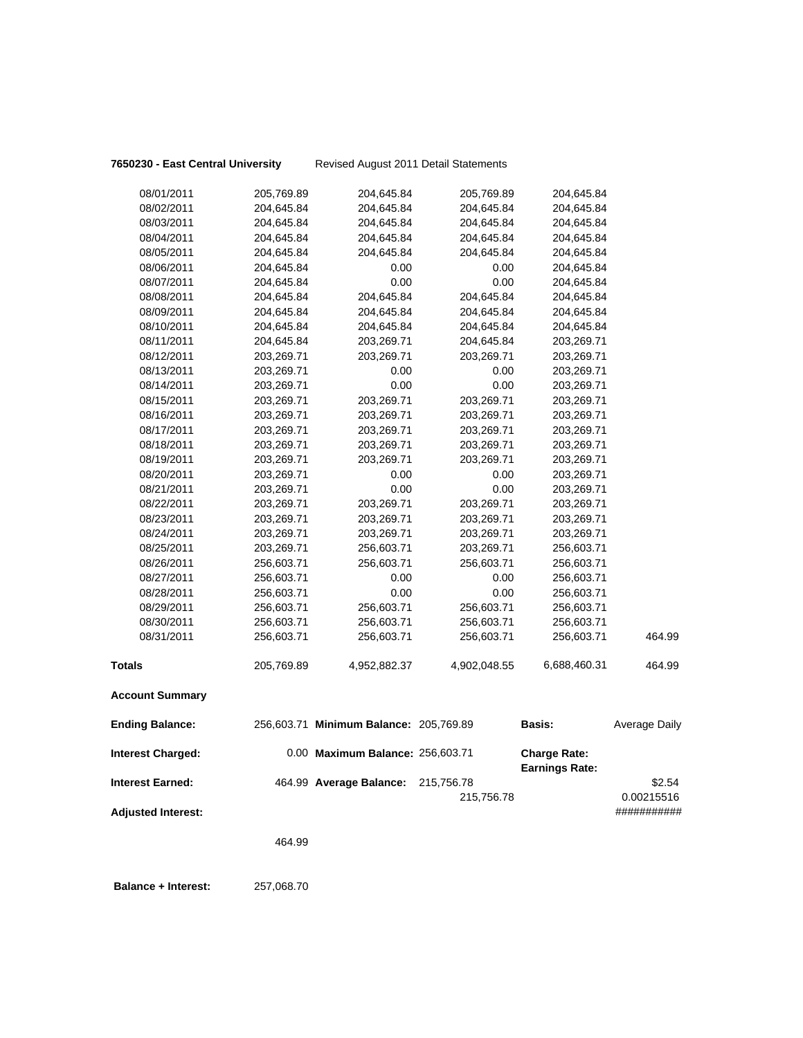**7650230 - East Central University** Revised August 2011 Detail Statements

| 08/01/2011                | 205,769.89 | 204,645.84                             | 205,769.89   | 204,645.84            |                           |
|---------------------------|------------|----------------------------------------|--------------|-----------------------|---------------------------|
| 08/02/2011                | 204,645.84 | 204,645.84                             | 204,645.84   | 204,645.84            |                           |
| 08/03/2011                | 204,645.84 | 204,645.84                             | 204,645.84   | 204,645.84            |                           |
| 08/04/2011                | 204,645.84 | 204,645.84                             | 204,645.84   | 204,645.84            |                           |
| 08/05/2011                | 204,645.84 | 204,645.84                             | 204,645.84   | 204,645.84            |                           |
| 08/06/2011                | 204,645.84 | 0.00                                   | 0.00         | 204,645.84            |                           |
| 08/07/2011                | 204,645.84 | 0.00                                   | 0.00         | 204,645.84            |                           |
| 08/08/2011                | 204,645.84 | 204,645.84                             | 204,645.84   | 204,645.84            |                           |
| 08/09/2011                | 204,645.84 | 204,645.84                             | 204,645.84   | 204,645.84            |                           |
| 08/10/2011                | 204,645.84 | 204,645.84                             | 204,645.84   | 204,645.84            |                           |
| 08/11/2011                | 204,645.84 | 203,269.71                             | 204,645.84   | 203,269.71            |                           |
| 08/12/2011                | 203,269.71 | 203,269.71                             | 203,269.71   | 203,269.71            |                           |
| 08/13/2011                | 203,269.71 | 0.00                                   | 0.00         | 203,269.71            |                           |
| 08/14/2011                | 203,269.71 | 0.00                                   | 0.00         | 203,269.71            |                           |
| 08/15/2011                | 203,269.71 | 203,269.71                             | 203,269.71   | 203,269.71            |                           |
| 08/16/2011                | 203,269.71 | 203,269.71                             | 203,269.71   | 203,269.71            |                           |
| 08/17/2011                | 203,269.71 | 203,269.71                             | 203,269.71   | 203,269.71            |                           |
| 08/18/2011                | 203,269.71 | 203,269.71                             | 203,269.71   | 203,269.71            |                           |
| 08/19/2011                | 203,269.71 | 203,269.71                             | 203,269.71   | 203,269.71            |                           |
| 08/20/2011                | 203,269.71 | 0.00                                   | 0.00         | 203,269.71            |                           |
| 08/21/2011                | 203,269.71 | 0.00                                   | 0.00         | 203,269.71            |                           |
| 08/22/2011                | 203,269.71 | 203,269.71                             | 203,269.71   | 203,269.71            |                           |
| 08/23/2011                | 203,269.71 | 203,269.71                             | 203,269.71   | 203,269.71            |                           |
| 08/24/2011                | 203,269.71 | 203,269.71                             | 203,269.71   | 203,269.71            |                           |
| 08/25/2011                | 203,269.71 | 256,603.71                             | 203,269.71   | 256,603.71            |                           |
| 08/26/2011                | 256,603.71 | 256,603.71                             | 256,603.71   | 256,603.71            |                           |
| 08/27/2011                | 256,603.71 | 0.00                                   | 0.00         | 256,603.71            |                           |
| 08/28/2011                | 256,603.71 | 0.00                                   | 0.00         | 256,603.71            |                           |
| 08/29/2011                | 256,603.71 | 256,603.71                             | 256,603.71   | 256,603.71            |                           |
| 08/30/2011                | 256,603.71 | 256,603.71                             | 256,603.71   | 256,603.71            |                           |
| 08/31/2011                | 256,603.71 | 256,603.71                             | 256,603.71   | 256,603.71            | 464.99                    |
| <b>Totals</b>             | 205,769.89 | 4,952,882.37                           | 4,902,048.55 | 6,688,460.31          | 464.99                    |
| <b>Account Summary</b>    |            |                                        |              |                       |                           |
| <b>Ending Balance:</b>    |            | 256,603.71 Minimum Balance: 205,769.89 |              | <b>Basis:</b>         | Average Daily             |
| <b>Interest Charged:</b>  |            | 0.00 Maximum Balance: 256,603.71       |              | <b>Charge Rate:</b>   |                           |
| <b>Interest Earned:</b>   |            | 464.99 Average Balance:                | 215,756.78   | <b>Earnings Rate:</b> | \$2.54                    |
| <b>Adjusted Interest:</b> |            |                                        | 215,756.78   |                       | 0.00215516<br>########### |

464.99

 **Balance + Interest:** 257,068.70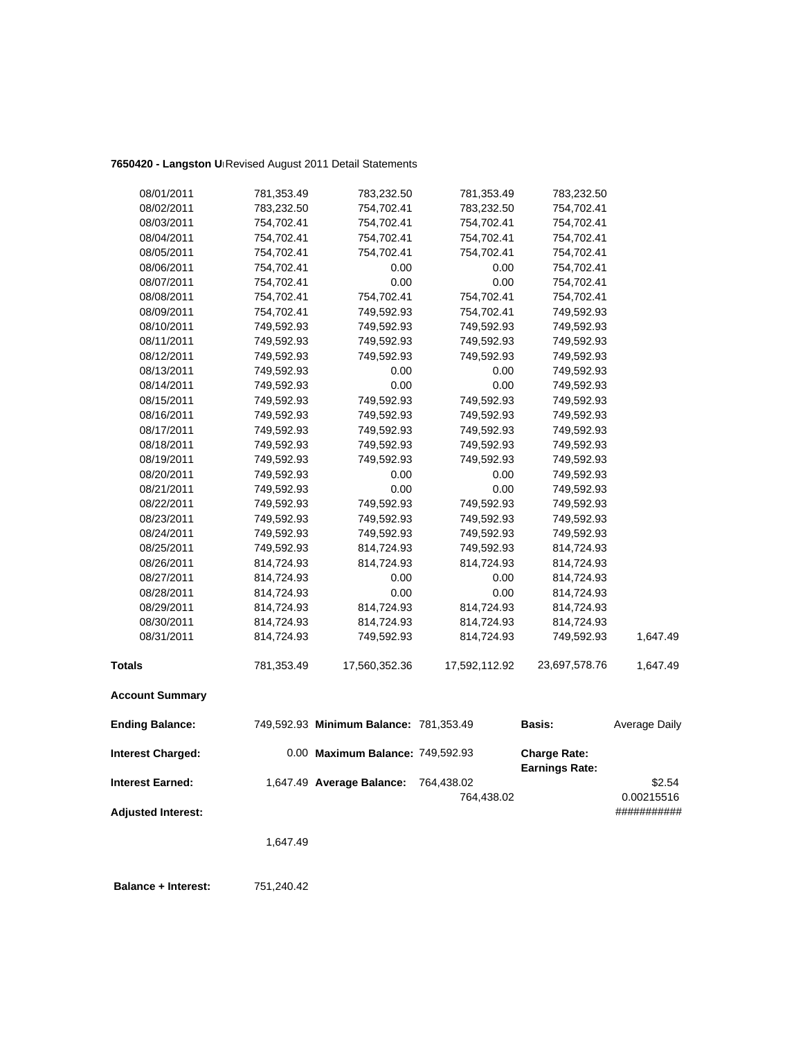## **7650420 - Langston Un**Revised August 2011 Detail Statements

| 08/01/2011                | 781,353.49 | 783,232.50                             | 781,353.49    | 783,232.50                                   |               |
|---------------------------|------------|----------------------------------------|---------------|----------------------------------------------|---------------|
| 08/02/2011                | 783,232.50 | 754,702.41                             | 783,232.50    | 754,702.41                                   |               |
| 08/03/2011                | 754,702.41 | 754,702.41                             | 754,702.41    | 754,702.41                                   |               |
| 08/04/2011                | 754,702.41 | 754,702.41                             | 754,702.41    | 754,702.41                                   |               |
| 08/05/2011                | 754,702.41 | 754,702.41                             | 754,702.41    | 754,702.41                                   |               |
| 08/06/2011                | 754,702.41 | 0.00                                   | 0.00          | 754,702.41                                   |               |
| 08/07/2011                | 754,702.41 | 0.00                                   | 0.00          | 754,702.41                                   |               |
| 08/08/2011                | 754,702.41 | 754,702.41                             | 754,702.41    | 754,702.41                                   |               |
| 08/09/2011                | 754,702.41 | 749,592.93                             | 754,702.41    | 749,592.93                                   |               |
| 08/10/2011                | 749,592.93 | 749,592.93                             | 749,592.93    | 749,592.93                                   |               |
| 08/11/2011                | 749,592.93 | 749,592.93                             | 749,592.93    | 749,592.93                                   |               |
| 08/12/2011                | 749,592.93 | 749,592.93                             | 749,592.93    | 749,592.93                                   |               |
| 08/13/2011                | 749,592.93 | 0.00                                   | 0.00          | 749,592.93                                   |               |
| 08/14/2011                | 749,592.93 | 0.00                                   | 0.00          | 749,592.93                                   |               |
| 08/15/2011                | 749,592.93 | 749,592.93                             | 749,592.93    | 749,592.93                                   |               |
| 08/16/2011                | 749,592.93 | 749,592.93                             | 749,592.93    | 749,592.93                                   |               |
| 08/17/2011                | 749,592.93 | 749,592.93                             | 749,592.93    | 749,592.93                                   |               |
| 08/18/2011                | 749,592.93 | 749,592.93                             | 749,592.93    | 749,592.93                                   |               |
| 08/19/2011                | 749,592.93 | 749,592.93                             | 749,592.93    | 749,592.93                                   |               |
| 08/20/2011                | 749,592.93 | 0.00                                   | 0.00          | 749,592.93                                   |               |
| 08/21/2011                | 749,592.93 | 0.00                                   | 0.00          | 749,592.93                                   |               |
| 08/22/2011                | 749,592.93 | 749,592.93                             | 749,592.93    | 749,592.93                                   |               |
| 08/23/2011                | 749,592.93 | 749,592.93                             | 749,592.93    | 749,592.93                                   |               |
| 08/24/2011                | 749,592.93 | 749,592.93                             | 749,592.93    | 749,592.93                                   |               |
| 08/25/2011                | 749,592.93 | 814,724.93                             | 749,592.93    | 814,724.93                                   |               |
| 08/26/2011                | 814,724.93 | 814,724.93                             | 814,724.93    | 814,724.93                                   |               |
| 08/27/2011                | 814,724.93 | 0.00                                   | 0.00          | 814,724.93                                   |               |
| 08/28/2011                | 814,724.93 | 0.00                                   | 0.00          | 814,724.93                                   |               |
| 08/29/2011                | 814,724.93 | 814,724.93                             | 814,724.93    | 814,724.93                                   |               |
| 08/30/2011                | 814,724.93 | 814,724.93                             | 814,724.93    | 814,724.93                                   |               |
| 08/31/2011                | 814,724.93 | 749,592.93                             | 814,724.93    | 749,592.93                                   | 1,647.49      |
| <b>Totals</b>             | 781,353.49 | 17,560,352.36                          | 17,592,112.92 | 23,697,578.76                                | 1,647.49      |
| <b>Account Summary</b>    |            |                                        |               |                                              |               |
| <b>Ending Balance:</b>    |            | 749,592.93 Minimum Balance: 781,353.49 |               | <b>Basis:</b>                                | Average Daily |
| <b>Interest Charged:</b>  |            | 0.00 Maximum Balance: 749,592.93       |               | <b>Charge Rate:</b><br><b>Earnings Rate:</b> |               |
| <b>Interest Earned:</b>   |            | 1,647.49 Average Balance:              | 764,438.02    |                                              | \$2.54        |
|                           |            |                                        | 764,438.02    |                                              | 0.00215516    |
| <b>Adjusted Interest:</b> |            |                                        |               |                                              | ###########   |
|                           |            |                                        |               |                                              |               |

1,647.49

 **Balance + Interest:** 751,240.42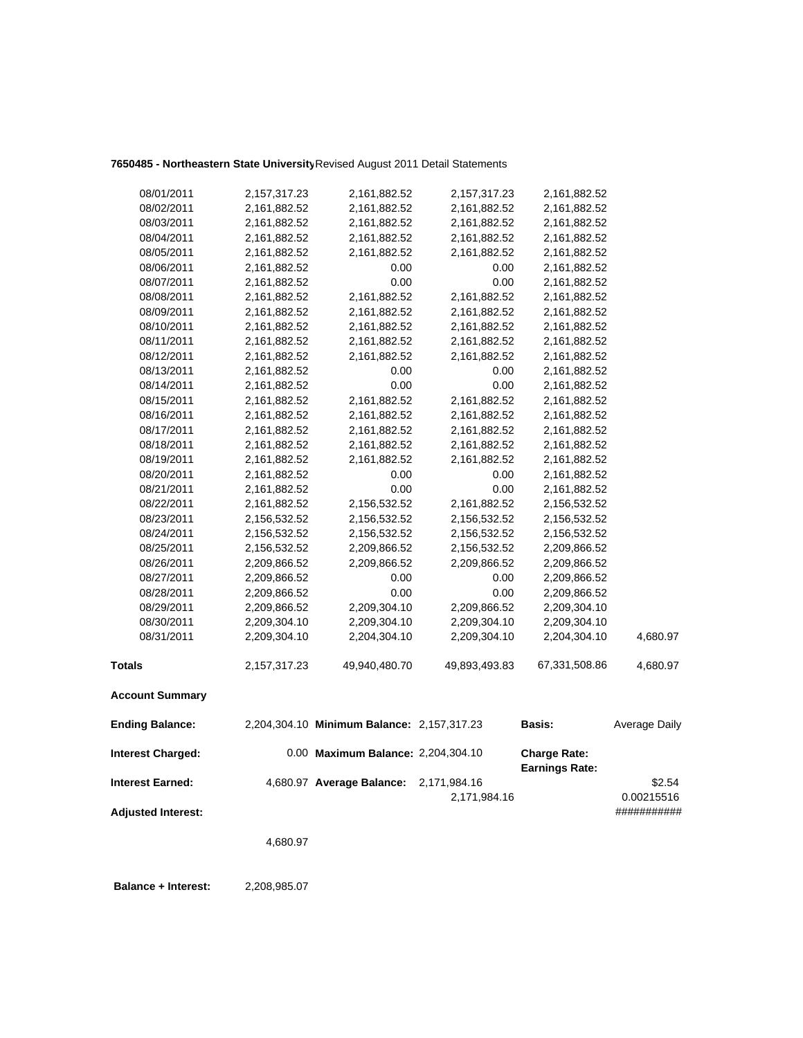# **7650485 - Northeastern State University**Revised August 2011 Detail Statements

| 08/01/2011                | 2,157,317.23 | 2,161,882.52                               | 2,157,317.23  | 2,161,882.52          |               |
|---------------------------|--------------|--------------------------------------------|---------------|-----------------------|---------------|
| 08/02/2011                | 2,161,882.52 | 2,161,882.52                               | 2,161,882.52  | 2,161,882.52          |               |
| 08/03/2011                | 2,161,882.52 | 2,161,882.52                               | 2,161,882.52  | 2,161,882.52          |               |
| 08/04/2011                | 2,161,882.52 | 2,161,882.52                               | 2,161,882.52  | 2,161,882.52          |               |
| 08/05/2011                | 2,161,882.52 | 2,161,882.52                               | 2,161,882.52  | 2,161,882.52          |               |
| 08/06/2011                | 2,161,882.52 | 0.00                                       | 0.00          | 2,161,882.52          |               |
| 08/07/2011                | 2,161,882.52 | 0.00                                       | 0.00          | 2,161,882.52          |               |
| 08/08/2011                | 2,161,882.52 | 2,161,882.52                               | 2,161,882.52  | 2,161,882.52          |               |
| 08/09/2011                | 2,161,882.52 | 2,161,882.52                               | 2,161,882.52  | 2,161,882.52          |               |
| 08/10/2011                | 2,161,882.52 | 2,161,882.52                               | 2,161,882.52  | 2,161,882.52          |               |
| 08/11/2011                | 2,161,882.52 | 2,161,882.52                               | 2,161,882.52  | 2,161,882.52          |               |
| 08/12/2011                | 2,161,882.52 | 2,161,882.52                               | 2,161,882.52  | 2,161,882.52          |               |
| 08/13/2011                | 2,161,882.52 | 0.00                                       | 0.00          | 2,161,882.52          |               |
| 08/14/2011                | 2,161,882.52 | 0.00                                       | 0.00          | 2,161,882.52          |               |
| 08/15/2011                | 2,161,882.52 | 2,161,882.52                               | 2,161,882.52  | 2,161,882.52          |               |
| 08/16/2011                | 2,161,882.52 | 2,161,882.52                               | 2,161,882.52  | 2,161,882.52          |               |
| 08/17/2011                | 2,161,882.52 | 2,161,882.52                               | 2,161,882.52  | 2,161,882.52          |               |
| 08/18/2011                | 2,161,882.52 | 2,161,882.52                               | 2,161,882.52  | 2,161,882.52          |               |
| 08/19/2011                | 2,161,882.52 | 2,161,882.52                               | 2,161,882.52  | 2,161,882.52          |               |
| 08/20/2011                | 2,161,882.52 | 0.00                                       | 0.00          | 2,161,882.52          |               |
| 08/21/2011                | 2,161,882.52 | 0.00                                       | 0.00          | 2,161,882.52          |               |
| 08/22/2011                | 2,161,882.52 | 2,156,532.52                               | 2,161,882.52  | 2,156,532.52          |               |
| 08/23/2011                | 2,156,532.52 | 2,156,532.52                               | 2,156,532.52  | 2,156,532.52          |               |
| 08/24/2011                | 2,156,532.52 | 2,156,532.52                               | 2,156,532.52  | 2,156,532.52          |               |
| 08/25/2011                | 2,156,532.52 | 2,209,866.52                               | 2,156,532.52  | 2,209,866.52          |               |
| 08/26/2011                | 2,209,866.52 | 2,209,866.52                               | 2,209,866.52  | 2,209,866.52          |               |
| 08/27/2011                | 2,209,866.52 | 0.00                                       | 0.00          | 2,209,866.52          |               |
| 08/28/2011                | 2,209,866.52 | 0.00                                       | 0.00          | 2,209,866.52          |               |
| 08/29/2011                | 2,209,866.52 | 2,209,304.10                               | 2,209,866.52  | 2,209,304.10          |               |
| 08/30/2011                | 2,209,304.10 | 2,209,304.10                               | 2,209,304.10  | 2,209,304.10          |               |
| 08/31/2011                | 2,209,304.10 | 2,204,304.10                               | 2,209,304.10  | 2,204,304.10          | 4,680.97      |
| <b>Totals</b>             | 2,157,317.23 | 49,940,480.70                              | 49,893,493.83 | 67,331,508.86         | 4,680.97      |
| <b>Account Summary</b>    |              |                                            |               |                       |               |
| <b>Ending Balance:</b>    |              | 2,204,304.10 Minimum Balance: 2,157,317.23 |               | Basis:                | Average Daily |
| <b>Interest Charged:</b>  |              | 0.00 Maximum Balance: 2,204,304.10         |               | <b>Charge Rate:</b>   |               |
| <b>Interest Earned:</b>   |              | 4,680.97 Average Balance:                  | 2,171,984.16  | <b>Earnings Rate:</b> | \$2.54        |
|                           |              |                                            | 2,171,984.16  |                       | 0.00215516    |
| <b>Adjusted Interest:</b> |              |                                            |               |                       | ###########   |
|                           |              |                                            |               |                       |               |
|                           | 4,680.97     |                                            |               |                       |               |

 **Balance + Interest:** 2,208,985.07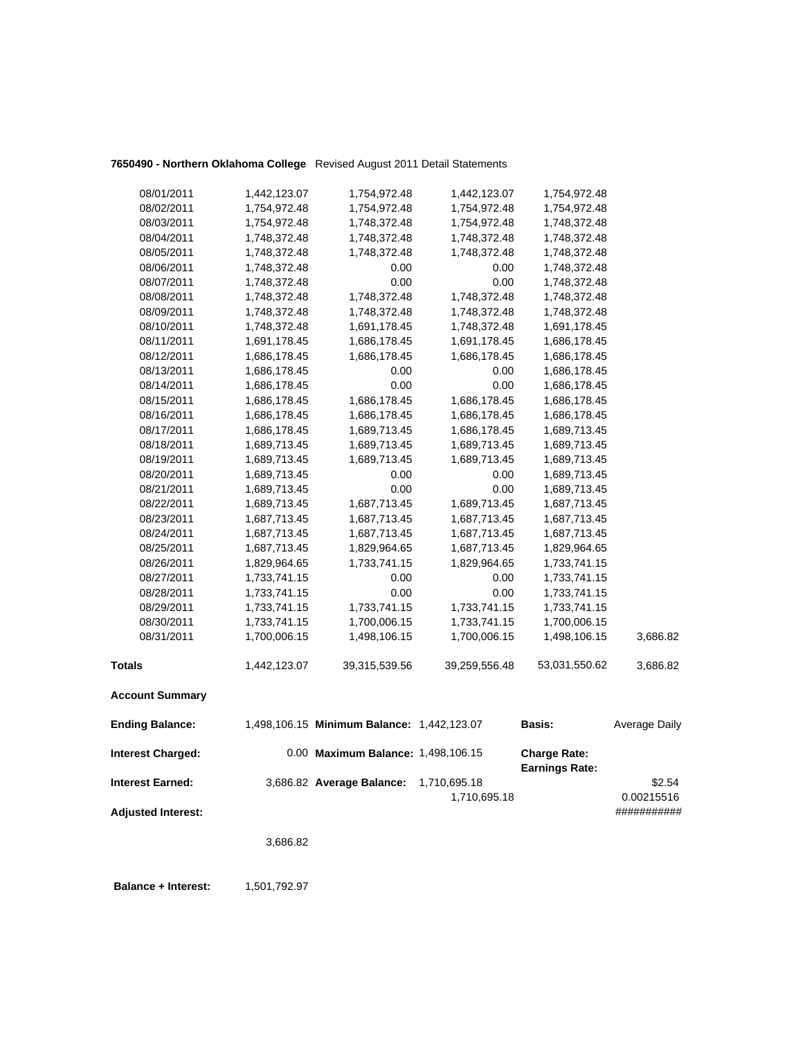|  | 7650490 - Northern Oklahoma College Revised August 2011 Detail Statements |
|--|---------------------------------------------------------------------------|
|--|---------------------------------------------------------------------------|

| <b>Interest Charged:</b> |              | 0.00 Maximum Balance: 1,498,106.15         |               | <b>Charge Rate:</b> |               |
|--------------------------|--------------|--------------------------------------------|---------------|---------------------|---------------|
| <b>Ending Balance:</b>   |              | 1,498,106.15 Minimum Balance: 1,442,123.07 |               | <b>Basis:</b>       | Average Daily |
| <b>Account Summary</b>   |              |                                            |               |                     |               |
| <b>Totals</b>            | 1,442,123.07 | 39,315,539.56                              | 39,259,556.48 | 53,031,550.62       | 3,686.82      |
| 08/31/2011               | 1,700,006.15 | 1,498,106.15                               | 1,700,006.15  | 1,498,106.15        | 3,686.82      |
| 08/30/2011               | 1,733,741.15 | 1,700,006.15                               | 1,733,741.15  | 1,700,006.15        |               |
| 08/29/2011               | 1,733,741.15 | 1,733,741.15                               | 1,733,741.15  | 1,733,741.15        |               |
| 08/28/2011               | 1,733,741.15 | 0.00                                       | 0.00          | 1,733,741.15        |               |
| 08/27/2011               | 1,733,741.15 | 0.00                                       | 0.00          | 1,733,741.15        |               |
| 08/26/2011               | 1,829,964.65 | 1,733,741.15                               | 1,829,964.65  | 1,733,741.15        |               |
| 08/25/2011               | 1,687,713.45 | 1,829,964.65                               | 1,687,713.45  | 1,829,964.65        |               |
| 08/24/2011               | 1,687,713.45 | 1,687,713.45                               | 1,687,713.45  | 1,687,713.45        |               |
| 08/23/2011               | 1,687,713.45 | 1,687,713.45                               | 1,687,713.45  | 1,687,713.45        |               |
| 08/22/2011               | 1,689,713.45 | 1,687,713.45                               | 1,689,713.45  | 1,687,713.45        |               |
| 08/21/2011               | 1,689,713.45 | 0.00                                       | 0.00          | 1,689,713.45        |               |
| 08/20/2011               | 1,689,713.45 | 0.00                                       | 0.00          | 1,689,713.45        |               |
| 08/19/2011               | 1,689,713.45 | 1,689,713.45                               | 1,689,713.45  | 1,689,713.45        |               |
| 08/18/2011               | 1,689,713.45 | 1,689,713.45                               | 1,689,713.45  | 1,689,713.45        |               |
| 08/17/2011               | 1,686,178.45 | 1,689,713.45                               | 1,686,178.45  | 1,689,713.45        |               |
| 08/16/2011               | 1,686,178.45 | 1,686,178.45                               | 1,686,178.45  | 1,686,178.45        |               |
| 08/15/2011               | 1,686,178.45 | 1,686,178.45                               | 1,686,178.45  | 1,686,178.45        |               |
| 08/14/2011               | 1,686,178.45 | 0.00                                       | 0.00          | 1,686,178.45        |               |
| 08/13/2011               | 1,686,178.45 | 0.00                                       | 0.00          | 1,686,178.45        |               |
| 08/12/2011               | 1,686,178.45 | 1,686,178.45                               | 1,686,178.45  | 1,686,178.45        |               |
| 08/11/2011               | 1,691,178.45 | 1,686,178.45                               | 1,691,178.45  | 1,686,178.45        |               |
| 08/10/2011               | 1,748,372.48 | 1,691,178.45                               | 1,748,372.48  | 1,691,178.45        |               |
| 08/09/2011               | 1,748,372.48 | 1,748,372.48                               | 1,748,372.48  | 1,748,372.48        |               |
| 08/08/2011               | 1,748,372.48 | 1,748,372.48                               | 1,748,372.48  | 1,748,372.48        |               |
| 08/07/2011               | 1,748,372.48 | 0.00                                       | 0.00          | 1,748,372.48        |               |
| 08/06/2011               | 1,748,372.48 | 0.00                                       | 0.00          | 1,748,372.48        |               |
| 08/05/2011               | 1,748,372.48 | 1,748,372.48                               | 1,748,372.48  | 1,748,372.48        |               |
| 08/04/2011               | 1,748,372.48 | 1,748,372.48                               | 1,748,372.48  | 1,748,372.48        |               |
| 08/03/2011               | 1,754,972.48 | 1,748,372.48                               | 1,754,972.48  | 1,748,372.48        |               |
| 08/02/2011               | 1,754,972.48 | 1,754,972.48                               | 1,754,972.48  | 1,754,972.48        |               |
| 08/01/2011               | 1,442,123.07 | 1,754,972.48                               | 1,442,123.07  | 1,754,972.48        |               |

|                    |                                        |              | <b>Earnings Rate:</b> |             |
|--------------------|----------------------------------------|--------------|-----------------------|-------------|
| Interest Earned:   | 3,686.82 Average Balance: 1,710,695.18 |              |                       | \$2.54      |
|                    |                                        | 1.710.695.18 |                       | 0.00215516  |
| Adjusted Interest: |                                        |              |                       | ########### |
|                    |                                        |              |                       |             |

3,686.82

**Balance + Interest:** 1,501,792.97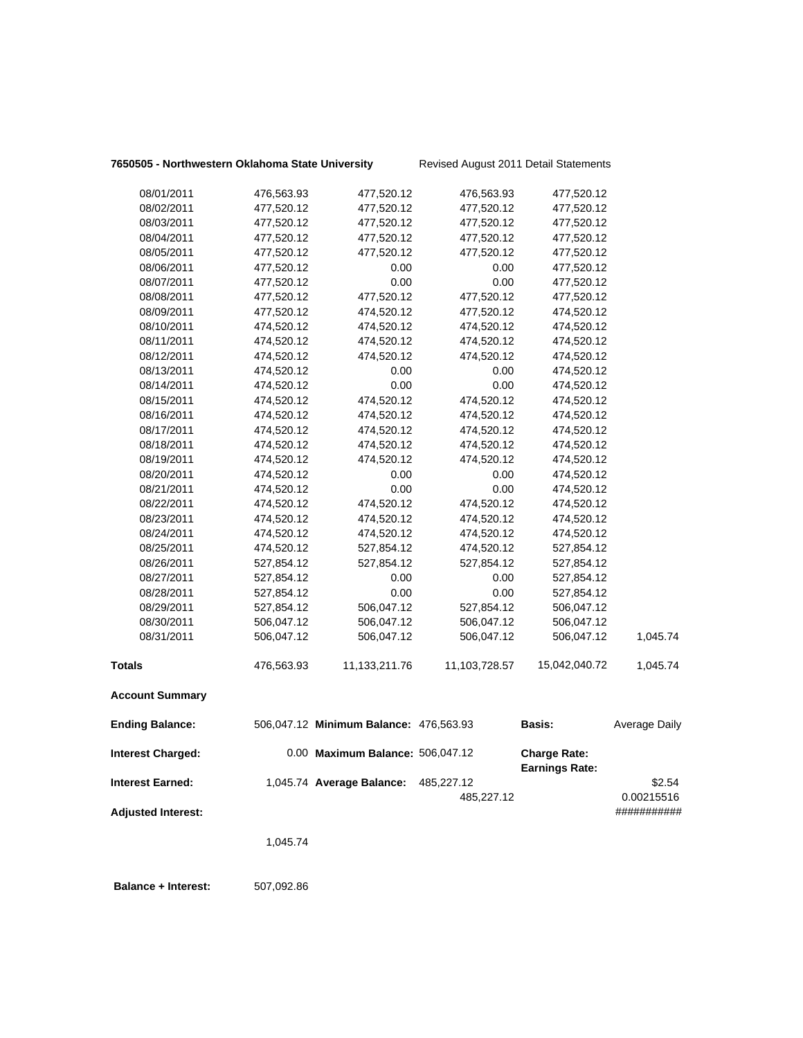## **7650505 - Northwestern Oklahoma State University** Revised August 2011 Detail Statements

| 08/01/2011                | 476,563.93 | 477,520.12                             | 476,563.93    | 477,520.12                                   |               |
|---------------------------|------------|----------------------------------------|---------------|----------------------------------------------|---------------|
| 08/02/2011                | 477,520.12 | 477,520.12                             | 477,520.12    | 477,520.12                                   |               |
| 08/03/2011                | 477,520.12 | 477,520.12                             | 477,520.12    | 477,520.12                                   |               |
| 08/04/2011                | 477,520.12 | 477,520.12                             | 477,520.12    | 477,520.12                                   |               |
| 08/05/2011                | 477,520.12 | 477,520.12                             | 477,520.12    | 477,520.12                                   |               |
| 08/06/2011                | 477,520.12 | 0.00                                   | 0.00          | 477,520.12                                   |               |
| 08/07/2011                | 477,520.12 | 0.00                                   | 0.00          | 477,520.12                                   |               |
| 08/08/2011                | 477,520.12 | 477,520.12                             | 477,520.12    | 477,520.12                                   |               |
| 08/09/2011                | 477,520.12 | 474,520.12                             | 477,520.12    | 474,520.12                                   |               |
| 08/10/2011                | 474,520.12 | 474,520.12                             | 474,520.12    | 474,520.12                                   |               |
| 08/11/2011                | 474,520.12 | 474,520.12                             | 474,520.12    | 474,520.12                                   |               |
| 08/12/2011                | 474,520.12 | 474,520.12                             | 474,520.12    | 474,520.12                                   |               |
| 08/13/2011                | 474,520.12 | 0.00                                   | 0.00          | 474,520.12                                   |               |
| 08/14/2011                | 474,520.12 | 0.00                                   | 0.00          | 474,520.12                                   |               |
| 08/15/2011                | 474,520.12 | 474,520.12                             | 474,520.12    | 474,520.12                                   |               |
| 08/16/2011                | 474,520.12 | 474,520.12                             | 474,520.12    | 474,520.12                                   |               |
| 08/17/2011                | 474,520.12 | 474,520.12                             | 474,520.12    | 474,520.12                                   |               |
| 08/18/2011                | 474,520.12 | 474,520.12                             | 474,520.12    | 474,520.12                                   |               |
| 08/19/2011                | 474,520.12 | 474,520.12                             | 474,520.12    | 474,520.12                                   |               |
| 08/20/2011                | 474,520.12 | 0.00                                   | 0.00          | 474,520.12                                   |               |
| 08/21/2011                | 474,520.12 | 0.00                                   | 0.00          | 474,520.12                                   |               |
| 08/22/2011                | 474,520.12 | 474,520.12                             | 474,520.12    | 474,520.12                                   |               |
| 08/23/2011                | 474,520.12 | 474,520.12                             | 474,520.12    | 474,520.12                                   |               |
| 08/24/2011                | 474,520.12 | 474,520.12                             | 474,520.12    | 474,520.12                                   |               |
| 08/25/2011                | 474,520.12 | 527,854.12                             | 474,520.12    | 527,854.12                                   |               |
| 08/26/2011                | 527,854.12 | 527,854.12                             | 527,854.12    | 527,854.12                                   |               |
| 08/27/2011                | 527,854.12 | 0.00                                   | 0.00          | 527,854.12                                   |               |
| 08/28/2011                | 527,854.12 | 0.00                                   | 0.00          | 527,854.12                                   |               |
| 08/29/2011                | 527,854.12 | 506,047.12                             | 527,854.12    | 506,047.12                                   |               |
| 08/30/2011                | 506,047.12 | 506,047.12                             | 506,047.12    | 506,047.12                                   |               |
| 08/31/2011                | 506,047.12 | 506,047.12                             | 506,047.12    | 506,047.12                                   | 1,045.74      |
| <b>Totals</b>             | 476,563.93 | 11,133,211.76                          | 11,103,728.57 | 15,042,040.72                                | 1,045.74      |
| <b>Account Summary</b>    |            |                                        |               |                                              |               |
| <b>Ending Balance:</b>    |            | 506,047.12 Minimum Balance: 476,563.93 |               | <b>Basis:</b>                                | Average Daily |
| <b>Interest Charged:</b>  |            | 0.00 Maximum Balance: 506,047.12       |               | <b>Charge Rate:</b><br><b>Earnings Rate:</b> |               |
| <b>Interest Earned:</b>   |            | 1,045.74 Average Balance:              | 485,227.12    |                                              | \$2.54        |
|                           |            |                                        | 485,227.12    |                                              | 0.00215516    |
| <b>Adjusted Interest:</b> |            |                                        |               |                                              | ###########   |
|                           | 1,045.74   |                                        |               |                                              |               |
|                           |            |                                        |               |                                              |               |

**Balance + Interest:** 507,092.86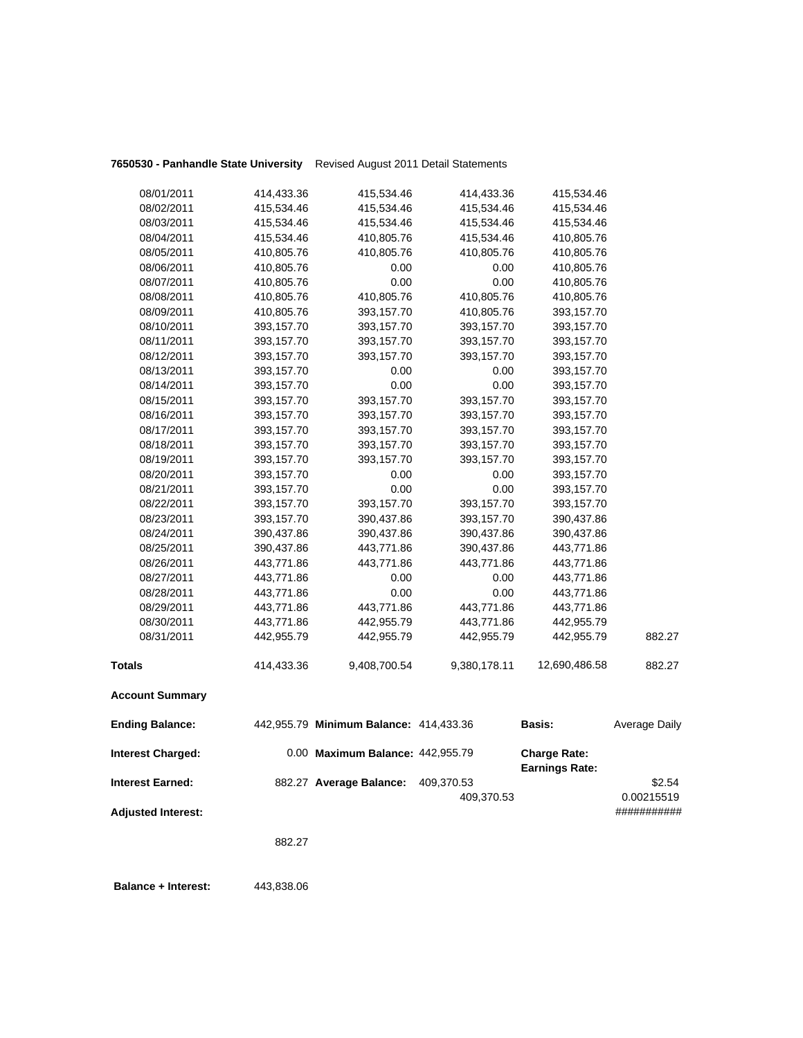|                                              | 882.27     |                                                             |              |                                              |                           |
|----------------------------------------------|------------|-------------------------------------------------------------|--------------|----------------------------------------------|---------------------------|
| <b>Adjusted Interest:</b>                    |            |                                                             | 409,370.53   |                                              | 0.00215519<br>########### |
| <b>Interest Charged:</b><br>Interest Earned: |            | 0.00 Maximum Balance: 442,955.79<br>882.27 Average Balance: | 409,370.53   | <b>Charge Rate:</b><br><b>Earnings Rate:</b> | \$2.54                    |
| <b>Ending Balance:</b>                       |            | 442,955.79 Minimum Balance: 414,433.36                      |              | <b>Basis:</b>                                | Average Daily             |
| <b>Account Summary</b>                       |            |                                                             |              |                                              |                           |
| Totals                                       | 414,433.36 | 9,408,700.54                                                | 9,380,178.11 | 12,690,486.58                                | 882.27                    |
| 08/31/2011                                   | 442,955.79 | 442,955.79                                                  | 442,955.79   | 442,955.79                                   | 882.27                    |
| 08/30/2011                                   | 443,771.86 | 442,955.79                                                  | 443,771.86   | 442,955.79                                   |                           |
| 08/29/2011                                   | 443,771.86 | 443,771.86                                                  | 443,771.86   | 443,771.86                                   |                           |
| 08/28/2011                                   | 443,771.86 | 0.00                                                        | 0.00         | 443,771.86                                   |                           |
| 08/27/2011                                   | 443,771.86 | 0.00                                                        | 0.00         | 443,771.86                                   |                           |
| 08/26/2011                                   | 443,771.86 | 443,771.86                                                  | 443,771.86   | 443,771.86                                   |                           |
| 08/25/2011                                   | 390,437.86 | 443,771.86                                                  | 390,437.86   | 443,771.86                                   |                           |
| 08/24/2011                                   | 390,437.86 | 390,437.86                                                  | 390,437.86   | 390,437.86                                   |                           |
| 08/23/2011                                   | 393,157.70 | 390,437.86                                                  | 393,157.70   | 390,437.86                                   |                           |
| 08/22/2011                                   | 393,157.70 | 393,157.70                                                  | 393,157.70   | 393,157.70                                   |                           |
| 08/21/2011                                   | 393,157.70 | 0.00                                                        | 0.00         | 393,157.70                                   |                           |
| 08/20/2011                                   | 393,157.70 | 0.00                                                        | 0.00         | 393,157.70                                   |                           |
| 08/19/2011                                   | 393,157.70 | 393,157.70                                                  | 393,157.70   | 393,157.70                                   |                           |
| 08/18/2011                                   | 393,157.70 | 393,157.70                                                  | 393,157.70   | 393,157.70                                   |                           |
| 08/17/2011                                   | 393,157.70 | 393,157.70                                                  | 393,157.70   | 393,157.70                                   |                           |
| 08/16/2011                                   | 393,157.70 | 393,157.70                                                  | 393,157.70   | 393,157.70                                   |                           |
| 08/15/2011                                   | 393,157.70 | 393,157.70                                                  | 393,157.70   | 393,157.70                                   |                           |
| 08/14/2011                                   | 393,157.70 | 0.00                                                        | 0.00         | 393,157.70                                   |                           |
| 08/13/2011                                   | 393,157.70 | 0.00                                                        | 0.00         | 393,157.70                                   |                           |
| 08/12/2011                                   | 393,157.70 | 393,157.70                                                  | 393,157.70   | 393,157.70                                   |                           |
| 08/11/2011                                   | 393,157.70 | 393,157.70                                                  | 393,157.70   | 393,157.70                                   |                           |
| 08/10/2011                                   | 393,157.70 | 393,157.70                                                  | 393,157.70   | 393,157.70                                   |                           |
| 08/09/2011                                   | 410,805.76 | 393,157.70                                                  | 410,805.76   | 393,157.70                                   |                           |
| 08/08/2011                                   | 410,805.76 | 410,805.76                                                  | 410,805.76   | 410,805.76                                   |                           |
| 08/07/2011                                   | 410,805.76 | 0.00                                                        | 0.00         | 410,805.76                                   |                           |
| 08/06/2011                                   | 410,805.76 | 0.00                                                        | 0.00         | 410,805.76                                   |                           |
| 08/05/2011                                   | 410,805.76 | 410,805.76                                                  | 410,805.76   | 410,805.76                                   |                           |
| 08/04/2011                                   | 415,534.46 | 410,805.76                                                  | 415,534.46   | 410,805.76                                   |                           |
| 08/03/2011                                   | 415,534.46 | 415,534.46                                                  | 415,534.46   | 415,534.46                                   |                           |
| 08/02/2011                                   | 415,534.46 | 415,534.46                                                  | 415,534.46   | 415,534.46                                   |                           |
| 08/01/2011                                   | 414,433.36 | 415,534.46                                                  | 414,433.36   | 415,534.46                                   |                           |
|                                              |            |                                                             |              |                                              |                           |

 **Balance + Interest:** 443,838.06

## **7650530 - Panhandle State University** Revised August 2011 Detail Statements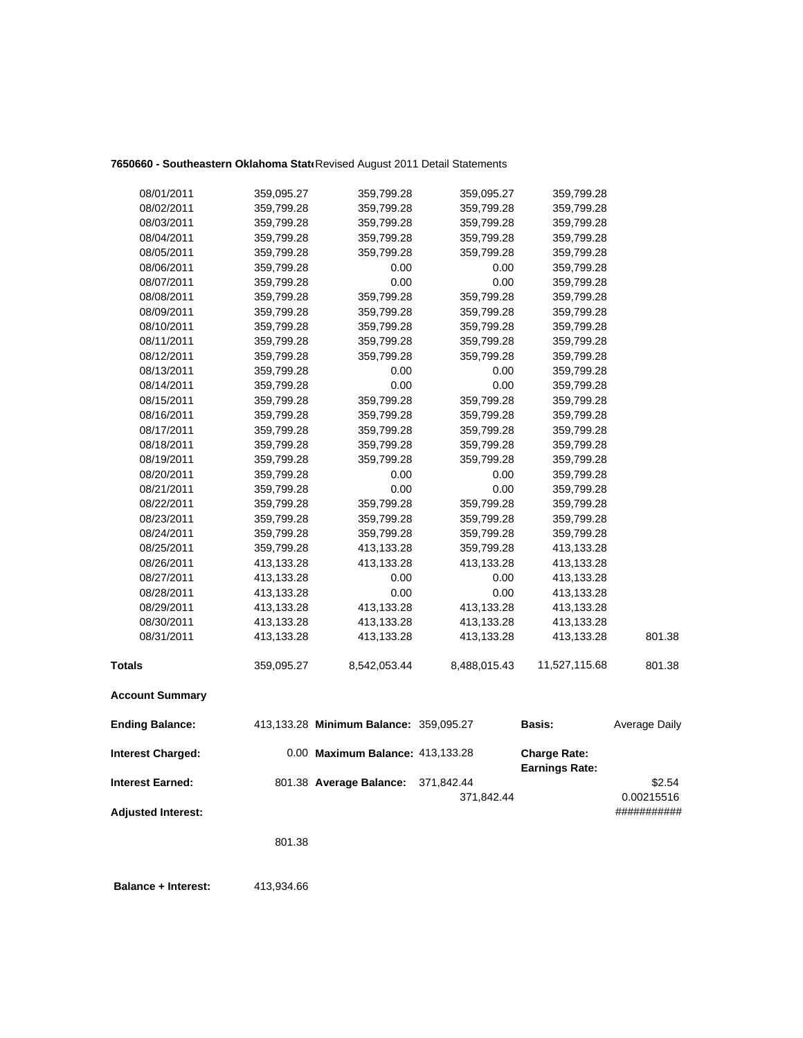## **7650660 - Southeastern Oklahoma State**Revised August 2011 Detail Statements

| <b>Interest Earned:</b>  |                          | 801.38 Average Balance:                | 371,842.44         | <b>Earnings Rate:</b>    | \$2.54        |
|--------------------------|--------------------------|----------------------------------------|--------------------|--------------------------|---------------|
| <b>Interest Charged:</b> |                          | 0.00 Maximum Balance: 413,133.28       |                    | <b>Charge Rate:</b>      |               |
| <b>Ending Balance:</b>   |                          | 413,133.28 Minimum Balance: 359,095.27 |                    | <b>Basis:</b>            | Average Daily |
| <b>Account Summary</b>   |                          |                                        |                    |                          |               |
| <b>Totals</b>            | 359,095.27               | 8,542,053.44                           | 8,488,015.43       | 11,527,115.68            | 801.38        |
| 08/31/2011               | 413,133.28               | 413,133.28                             | 413,133.28         | 413,133.28               | 801.38        |
| 08/30/2011               | 413,133.28               | 413,133.28                             | 413,133.28         | 413,133.28               |               |
| 08/29/2011               | 413,133.28               | 413,133.28                             | 413,133.28         | 413,133.28               |               |
| 08/28/2011               | 413,133.28               | 0.00                                   | 0.00               | 413,133.28               |               |
| 08/27/2011               | 413,133.28               | 0.00                                   | 0.00               | 413,133.28               |               |
| 08/26/2011               | 413,133.28               | 413,133.28                             | 413,133.28         | 413,133.28               |               |
| 08/25/2011               | 359,799.28               | 413,133.28                             | 359,799.28         | 413,133.28               |               |
| 08/24/2011               | 359,799.28               | 359,799.28                             | 359,799.28         | 359,799.28               |               |
| 08/23/2011               | 359,799.28               | 359,799.28                             | 359,799.28         | 359,799.28               |               |
| 08/22/2011               | 359,799.28               | 359,799.28                             | 359,799.28         | 359,799.28               |               |
| 08/21/2011               | 359,799.28               | 0.00                                   | 0.00               | 359,799.28               |               |
| 08/20/2011               | 359,799.28               | 0.00                                   | 0.00               | 359,799.28               |               |
| 08/19/2011               | 359,799.28               | 359,799.28                             | 359,799.28         | 359,799.28               |               |
| 08/18/2011               | 359,799.28               | 359,799.28                             | 359,799.28         | 359,799.28               |               |
| 08/17/2011               | 359,799.28               | 359,799.28                             | 359,799.28         | 359,799.28               |               |
| 08/16/2011               | 359,799.28               | 359,799.28                             | 359,799.28         | 359,799.28               |               |
| 08/15/2011               | 359,799.28               | 359,799.28                             | 359,799.28         | 359,799.28               |               |
| 08/14/2011               | 359,799.28               | 0.00                                   | 0.00               | 359,799.28               |               |
| 08/13/2011               | 359,799.28               | 0.00                                   | 0.00               | 359,799.28               |               |
| 08/12/2011               | 359,799.28               | 359,799.28                             | 359,799.28         | 359,799.28               |               |
| 08/11/2011               | 359,799.28               | 359,799.28                             | 359,799.28         | 359,799.28               |               |
| 08/10/2011               | 359,799.28               | 359,799.28                             | 359,799.28         | 359,799.28               |               |
| 08/09/2011               | 359,799.28               | 359,799.28                             | 359,799.28         | 359,799.28               |               |
| 08/08/2011               | 359,799.28               | 359,799.28                             | 359,799.28         | 359,799.28               |               |
| 08/07/2011               | 359,799.28               | 0.00                                   | 0.00               | 359,799.28               |               |
| 08/06/2011               | 359,799.28<br>359,799.28 | 359,799.28<br>0.00                     | 359,799.28<br>0.00 | 359,799.28<br>359,799.28 |               |
| 08/04/2011<br>08/05/2011 | 359,799.28               | 359,799.28                             | 359,799.28         | 359,799.28               |               |
| 08/03/2011               | 359,799.28               | 359,799.28                             | 359,799.28         | 359,799.28               |               |
| 08/02/2011               | 359,799.28               | 359,799.28                             | 359,799.28         | 359,799.28               |               |
| 08/01/2011               | 359,095.27               | 359,799.28                             | 359,095.27         | 359,799.28               |               |
|                          |                          |                                        |                    |                          |               |

371,842.44 0.00215516

**Adjusted Interest:** ###########

801.38

**Balance + Interest:** 413,934.66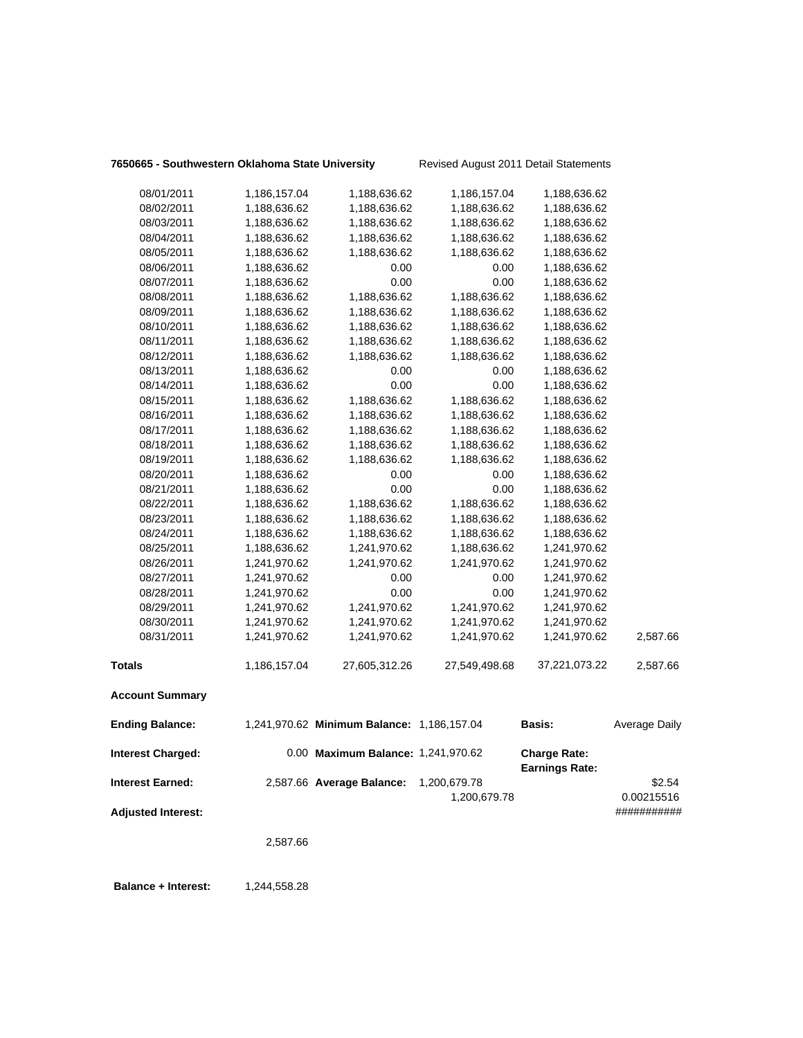## **7650665 - Southwestern Oklahoma State University** Revised August 2011 Detail Statements

| 08/01/2011                | 1,186,157.04 | 1,188,636.62                               | 1,186,157.04  | 1,188,636.62                                 |                      |
|---------------------------|--------------|--------------------------------------------|---------------|----------------------------------------------|----------------------|
| 08/02/2011                | 1,188,636.62 | 1,188,636.62                               | 1,188,636.62  | 1,188,636.62                                 |                      |
| 08/03/2011                | 1,188,636.62 | 1,188,636.62                               | 1,188,636.62  | 1,188,636.62                                 |                      |
| 08/04/2011                | 1,188,636.62 | 1,188,636.62                               | 1,188,636.62  | 1,188,636.62                                 |                      |
| 08/05/2011                | 1,188,636.62 | 1,188,636.62                               | 1,188,636.62  | 1,188,636.62                                 |                      |
| 08/06/2011                | 1,188,636.62 | 0.00                                       | 0.00          | 1,188,636.62                                 |                      |
| 08/07/2011                | 1,188,636.62 | 0.00                                       | 0.00          | 1,188,636.62                                 |                      |
| 08/08/2011                | 1,188,636.62 | 1,188,636.62                               | 1,188,636.62  | 1,188,636.62                                 |                      |
| 08/09/2011                | 1,188,636.62 | 1,188,636.62                               | 1,188,636.62  | 1,188,636.62                                 |                      |
| 08/10/2011                | 1,188,636.62 | 1,188,636.62                               | 1,188,636.62  | 1,188,636.62                                 |                      |
| 08/11/2011                | 1,188,636.62 | 1,188,636.62                               | 1,188,636.62  | 1,188,636.62                                 |                      |
| 08/12/2011                | 1,188,636.62 | 1,188,636.62                               | 1,188,636.62  | 1,188,636.62                                 |                      |
| 08/13/2011                | 1,188,636.62 | 0.00                                       | 0.00          | 1,188,636.62                                 |                      |
| 08/14/2011                | 1,188,636.62 | 0.00                                       | 0.00          | 1,188,636.62                                 |                      |
| 08/15/2011                | 1,188,636.62 | 1,188,636.62                               | 1,188,636.62  | 1,188,636.62                                 |                      |
| 08/16/2011                | 1,188,636.62 | 1,188,636.62                               | 1,188,636.62  | 1,188,636.62                                 |                      |
| 08/17/2011                | 1,188,636.62 | 1,188,636.62                               | 1,188,636.62  | 1,188,636.62                                 |                      |
| 08/18/2011                | 1,188,636.62 | 1,188,636.62                               | 1,188,636.62  | 1,188,636.62                                 |                      |
| 08/19/2011                | 1,188,636.62 | 1,188,636.62                               | 1,188,636.62  | 1,188,636.62                                 |                      |
| 08/20/2011                | 1,188,636.62 | 0.00                                       | 0.00          | 1,188,636.62                                 |                      |
| 08/21/2011                | 1,188,636.62 | 0.00                                       | 0.00          | 1,188,636.62                                 |                      |
| 08/22/2011                | 1,188,636.62 | 1,188,636.62                               | 1,188,636.62  | 1,188,636.62                                 |                      |
| 08/23/2011                | 1,188,636.62 | 1,188,636.62                               | 1,188,636.62  | 1,188,636.62                                 |                      |
| 08/24/2011                | 1,188,636.62 | 1,188,636.62                               | 1,188,636.62  | 1,188,636.62                                 |                      |
| 08/25/2011                | 1,188,636.62 | 1,241,970.62                               | 1,188,636.62  | 1,241,970.62                                 |                      |
| 08/26/2011                | 1,241,970.62 | 1,241,970.62                               | 1,241,970.62  | 1,241,970.62                                 |                      |
| 08/27/2011                | 1,241,970.62 | 0.00                                       | 0.00          | 1,241,970.62                                 |                      |
| 08/28/2011                | 1,241,970.62 | 0.00                                       | 0.00          | 1,241,970.62                                 |                      |
| 08/29/2011                | 1,241,970.62 | 1,241,970.62                               | 1,241,970.62  | 1,241,970.62                                 |                      |
| 08/30/2011                | 1,241,970.62 | 1,241,970.62                               | 1,241,970.62  | 1,241,970.62                                 |                      |
| 08/31/2011                | 1,241,970.62 | 1,241,970.62                               | 1,241,970.62  | 1,241,970.62                                 | 2,587.66             |
| <b>Totals</b>             | 1,186,157.04 | 27,605,312.26                              | 27,549,498.68 | 37,221,073.22                                | 2,587.66             |
| <b>Account Summary</b>    |              |                                            |               |                                              |                      |
| <b>Ending Balance:</b>    |              | 1,241,970.62 Minimum Balance: 1,186,157.04 |               | <b>Basis:</b>                                | <b>Average Daily</b> |
| <b>Interest Charged:</b>  |              | 0.00 Maximum Balance: 1,241,970.62         |               | <b>Charge Rate:</b><br><b>Earnings Rate:</b> |                      |
| <b>Interest Earned:</b>   |              | 2,587.66 Average Balance:                  | 1,200,679.78  |                                              | \$2.54               |
|                           |              |                                            | 1,200,679.78  |                                              | 0.00215516           |
| <b>Adjusted Interest:</b> |              |                                            |               |                                              | ###########          |
|                           | 2,587.66     |                                            |               |                                              |                      |
|                           |              |                                            |               |                                              |                      |

**Balance + Interest:** 1,244,558.28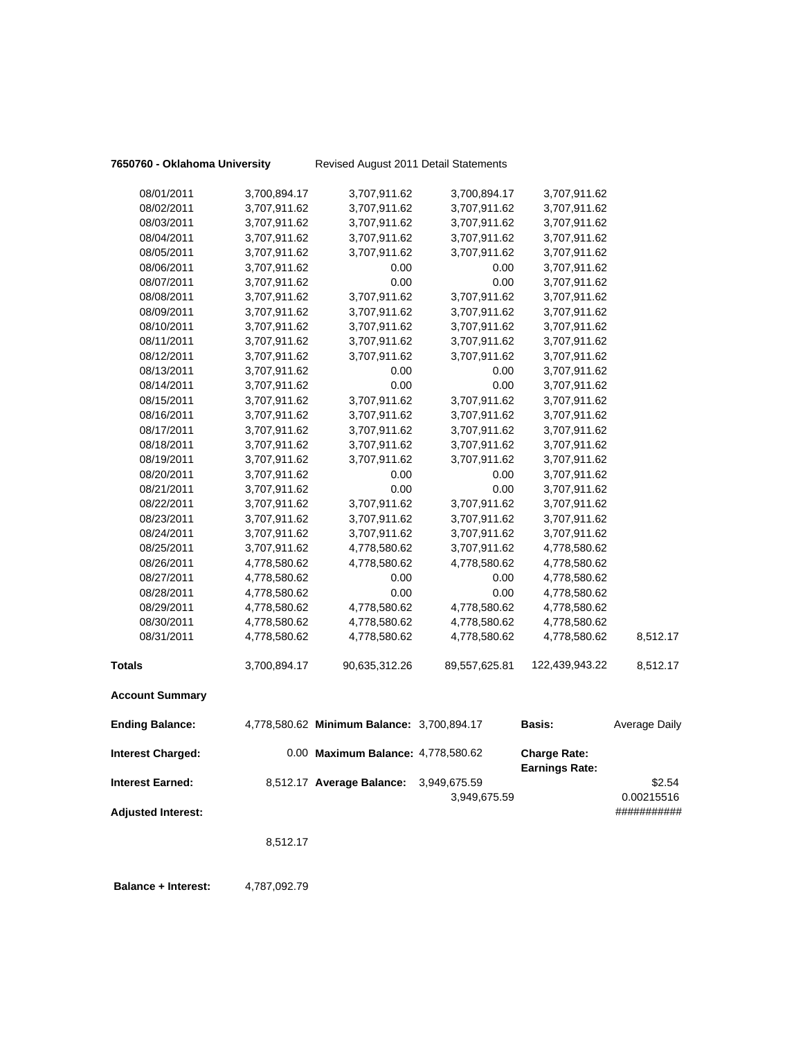|  |  |  | 7650760 - Oklahoma University |  |  |
|--|--|--|-------------------------------|--|--|
|--|--|--|-------------------------------|--|--|

**7650760 - Oklahoma University** Revised August 2011 Detail Statements

| 08/07/2011                | 3,707,911.62 | 0.00                                       | 0.00          | 3,707,911.62          |                      |
|---------------------------|--------------|--------------------------------------------|---------------|-----------------------|----------------------|
| 08/08/2011                | 3,707,911.62 | 3,707,911.62                               | 3,707,911.62  | 3,707,911.62          |                      |
| 08/09/2011                | 3,707,911.62 | 3,707,911.62                               | 3,707,911.62  | 3,707,911.62          |                      |
| 08/10/2011                | 3,707,911.62 | 3,707,911.62                               | 3,707,911.62  | 3,707,911.62          |                      |
| 08/11/2011                | 3,707,911.62 | 3,707,911.62                               | 3,707,911.62  | 3,707,911.62          |                      |
| 08/12/2011                | 3,707,911.62 | 3,707,911.62                               | 3,707,911.62  | 3,707,911.62          |                      |
| 08/13/2011                | 3,707,911.62 | 0.00                                       | 0.00          | 3,707,911.62          |                      |
| 08/14/2011                | 3,707,911.62 | 0.00                                       | 0.00          | 3,707,911.62          |                      |
| 08/15/2011                | 3,707,911.62 | 3,707,911.62                               | 3,707,911.62  | 3,707,911.62          |                      |
| 08/16/2011                | 3,707,911.62 | 3,707,911.62                               | 3,707,911.62  | 3,707,911.62          |                      |
| 08/17/2011                | 3,707,911.62 | 3,707,911.62                               | 3,707,911.62  | 3,707,911.62          |                      |
| 08/18/2011                | 3,707,911.62 | 3,707,911.62                               | 3,707,911.62  | 3,707,911.62          |                      |
| 08/19/2011                | 3,707,911.62 | 3,707,911.62                               | 3,707,911.62  | 3,707,911.62          |                      |
| 08/20/2011                | 3,707,911.62 | 0.00                                       | 0.00          | 3,707,911.62          |                      |
| 08/21/2011                | 3,707,911.62 | 0.00                                       | 0.00          | 3,707,911.62          |                      |
| 08/22/2011                | 3,707,911.62 | 3,707,911.62                               | 3,707,911.62  | 3,707,911.62          |                      |
| 08/23/2011                | 3,707,911.62 | 3,707,911.62                               | 3,707,911.62  | 3,707,911.62          |                      |
| 08/24/2011                | 3,707,911.62 | 3,707,911.62                               | 3,707,911.62  | 3,707,911.62          |                      |
| 08/25/2011                | 3,707,911.62 | 4,778,580.62                               | 3,707,911.62  | 4,778,580.62          |                      |
| 08/26/2011                | 4,778,580.62 | 4,778,580.62                               | 4,778,580.62  | 4,778,580.62          |                      |
| 08/27/2011                | 4,778,580.62 | 0.00                                       | 0.00          | 4,778,580.62          |                      |
| 08/28/2011                | 4,778,580.62 | 0.00                                       | 0.00          | 4,778,580.62          |                      |
| 08/29/2011                | 4,778,580.62 | 4,778,580.62                               | 4,778,580.62  | 4,778,580.62          |                      |
| 08/30/2011                | 4,778,580.62 | 4,778,580.62                               | 4,778,580.62  | 4,778,580.62          |                      |
| 08/31/2011                | 4,778,580.62 | 4,778,580.62                               | 4,778,580.62  | 4,778,580.62          | 8,512.17             |
| <b>Totals</b>             | 3,700,894.17 | 90,635,312.26                              | 89,557,625.81 | 122,439,943.22        | 8,512.17             |
| <b>Account Summary</b>    |              |                                            |               |                       |                      |
| <b>Ending Balance:</b>    |              | 4,778,580.62 Minimum Balance: 3,700,894.17 |               | Basis:                | <b>Average Daily</b> |
| <b>Interest Charged:</b>  |              | 0.00 Maximum Balance: 4,778,580.62         |               | <b>Charge Rate:</b>   |                      |
|                           |              |                                            |               | <b>Earnings Rate:</b> |                      |
| <b>Interest Earned:</b>   |              | 8,512.17 Average Balance:                  | 3,949,675.59  |                       | \$2.54               |
|                           |              |                                            | 3,949,675.59  |                       | 0.00215516           |
| <b>Adjusted Interest:</b> |              |                                            |               |                       | ###########          |
|                           | 8,512.17     |                                            |               |                       |                      |

**Balance + Interest:** 4,787,092.79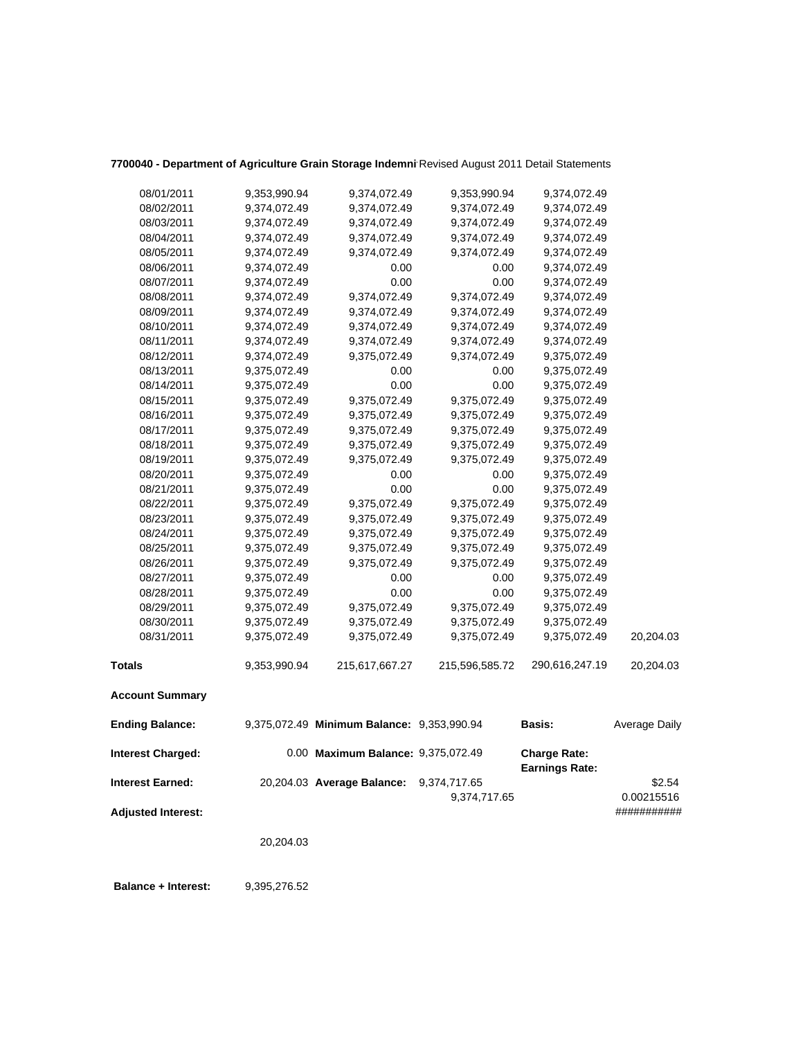| Totals<br><b>Account Summary</b><br><b>Ending Balance:</b><br><b>Interest Charged:</b> | 08/30/2011<br>08/31/2011 | 9,375,072.49<br>9,375,072.49<br>9,375,072.49<br>9,353,990.94 | 9,375,072.49<br>9,375,072.49<br>9,375,072.49<br>215,617,667.27<br>9,375,072.49 Minimum Balance: 9,353,990.94<br>0.00 Maximum Balance: 9,375,072.49 | 9,375,072.49<br>9,375,072.49<br>9,375,072.49<br>215,596,585.72<br>9,374,717.65 | 9,375,072.49<br>9,375,072.49<br>9,375,072.49<br>290,616,247.19<br>Basis:<br><b>Charge Rate:</b><br><b>Earnings Rate:</b> | 20,204.03<br>20,204.03<br>Average Daily<br>\$2.54 |
|----------------------------------------------------------------------------------------|--------------------------|--------------------------------------------------------------|----------------------------------------------------------------------------------------------------------------------------------------------------|--------------------------------------------------------------------------------|--------------------------------------------------------------------------------------------------------------------------|---------------------------------------------------|
|                                                                                        |                          |                                                              |                                                                                                                                                    |                                                                                |                                                                                                                          |                                                   |
|                                                                                        |                          |                                                              |                                                                                                                                                    |                                                                                |                                                                                                                          |                                                   |
|                                                                                        |                          |                                                              |                                                                                                                                                    |                                                                                |                                                                                                                          |                                                   |
|                                                                                        |                          |                                                              |                                                                                                                                                    |                                                                                |                                                                                                                          |                                                   |
|                                                                                        |                          |                                                              |                                                                                                                                                    |                                                                                |                                                                                                                          |                                                   |
|                                                                                        |                          |                                                              |                                                                                                                                                    |                                                                                |                                                                                                                          |                                                   |
| 08/29/2011                                                                             |                          |                                                              |                                                                                                                                                    |                                                                                |                                                                                                                          |                                                   |
|                                                                                        | 08/28/2011               | 9,375,072.49                                                 | 0.00                                                                                                                                               | 0.00                                                                           | 9,375,072.49                                                                                                             |                                                   |
|                                                                                        | 08/27/2011               | 9,375,072.49                                                 | 0.00                                                                                                                                               | 0.00                                                                           | 9,375,072.49                                                                                                             |                                                   |
|                                                                                        | 08/26/2011               | 9,375,072.49                                                 | 9,375,072.49                                                                                                                                       | 9,375,072.49                                                                   | 9,375,072.49                                                                                                             |                                                   |
|                                                                                        | 08/25/2011               | 9,375,072.49                                                 | 9,375,072.49                                                                                                                                       | 9,375,072.49                                                                   | 9,375,072.49                                                                                                             |                                                   |
|                                                                                        | 08/24/2011               | 9,375,072.49                                                 | 9,375,072.49                                                                                                                                       | 9,375,072.49                                                                   | 9,375,072.49                                                                                                             |                                                   |
|                                                                                        | 08/23/2011               | 9,375,072.49                                                 | 9,375,072.49                                                                                                                                       | 9,375,072.49                                                                   | 9,375,072.49                                                                                                             |                                                   |
|                                                                                        | 08/22/2011               | 9,375,072.49                                                 | 9,375,072.49                                                                                                                                       | 9,375,072.49                                                                   | 9,375,072.49                                                                                                             |                                                   |
|                                                                                        | 08/21/2011               | 9,375,072.49                                                 | 0.00                                                                                                                                               | 0.00                                                                           | 9,375,072.49                                                                                                             |                                                   |
|                                                                                        | 08/20/2011               | 9,375,072.49                                                 | 0.00                                                                                                                                               | 0.00                                                                           | 9,375,072.49                                                                                                             |                                                   |
|                                                                                        | 08/19/2011               | 9,375,072.49                                                 | 9,375,072.49                                                                                                                                       | 9,375,072.49                                                                   | 9,375,072.49                                                                                                             |                                                   |
|                                                                                        | 08/18/2011               | 9,375,072.49                                                 | 9,375,072.49                                                                                                                                       | 9,375,072.49                                                                   | 9,375,072.49                                                                                                             |                                                   |
|                                                                                        | 08/17/2011               | 9,375,072.49                                                 | 9,375,072.49                                                                                                                                       | 9,375,072.49                                                                   | 9,375,072.49                                                                                                             |                                                   |
|                                                                                        | 08/16/2011               | 9,375,072.49                                                 | 9,375,072.49                                                                                                                                       | 9,375,072.49                                                                   | 9,375,072.49                                                                                                             |                                                   |
|                                                                                        | 08/15/2011               | 9,375,072.49                                                 | 9,375,072.49                                                                                                                                       | 9,375,072.49                                                                   | 9,375,072.49                                                                                                             |                                                   |
|                                                                                        | 08/14/2011               | 9,375,072.49                                                 | 0.00                                                                                                                                               | 0.00                                                                           | 9,375,072.49                                                                                                             |                                                   |
|                                                                                        | 08/13/2011               | 9,375,072.49                                                 | 0.00                                                                                                                                               | 0.00                                                                           | 9,375,072.49                                                                                                             |                                                   |
|                                                                                        | 08/12/2011               | 9,374,072.49                                                 | 9,375,072.49                                                                                                                                       | 9,374,072.49                                                                   | 9,375,072.49                                                                                                             |                                                   |
|                                                                                        | 08/11/2011               | 9,374,072.49                                                 | 9,374,072.49                                                                                                                                       | 9,374,072.49                                                                   | 9,374,072.49                                                                                                             |                                                   |
|                                                                                        | 08/10/2011               | 9,374,072.49                                                 | 9,374,072.49                                                                                                                                       | 9,374,072.49                                                                   | 9,374,072.49                                                                                                             |                                                   |
|                                                                                        | 08/09/2011               | 9,374,072.49                                                 | 9,374,072.49                                                                                                                                       | 9,374,072.49                                                                   | 9,374,072.49                                                                                                             |                                                   |
|                                                                                        | 08/08/2011               | 9,374,072.49                                                 | 9,374,072.49                                                                                                                                       | 9,374,072.49                                                                   | 9,374,072.49                                                                                                             |                                                   |
|                                                                                        | 08/07/2011               | 9,374,072.49                                                 | 0.00                                                                                                                                               | 0.00                                                                           | 9,374,072.49                                                                                                             |                                                   |
|                                                                                        | 08/06/2011               | 9,374,072.49                                                 | 0.00                                                                                                                                               | 0.00                                                                           | 9,374,072.49                                                                                                             |                                                   |
|                                                                                        | 08/05/2011               | 9,374,072.49                                                 | 9,374,072.49                                                                                                                                       | 9,374,072.49                                                                   | 9,374,072.49                                                                                                             |                                                   |
|                                                                                        | 08/04/2011               | 9,374,072.49                                                 | 9,374,072.49                                                                                                                                       | 9,374,072.49                                                                   | 9,374,072.49                                                                                                             |                                                   |
|                                                                                        | 08/03/2011               | 9,374,072.49                                                 | 9,374,072.49                                                                                                                                       | 9,374,072.49                                                                   | 9,374,072.49                                                                                                             |                                                   |
|                                                                                        | 08/02/2011               | 9,374,072.49                                                 | 9,374,072.49                                                                                                                                       | 9,374,072.49                                                                   | 9,374,072.49                                                                                                             |                                                   |
|                                                                                        | 08/01/2011               | 9,353,990.94                                                 | 9,374,072.49                                                                                                                                       | 9,353,990.94                                                                   | 9,374,072.49                                                                                                             |                                                   |

# 7700040 - Department of Agriculture Grain Storage Indemni Revised August 2011 Detail Statements

20,204.03

 **Balance + Interest:** 9,395,276.52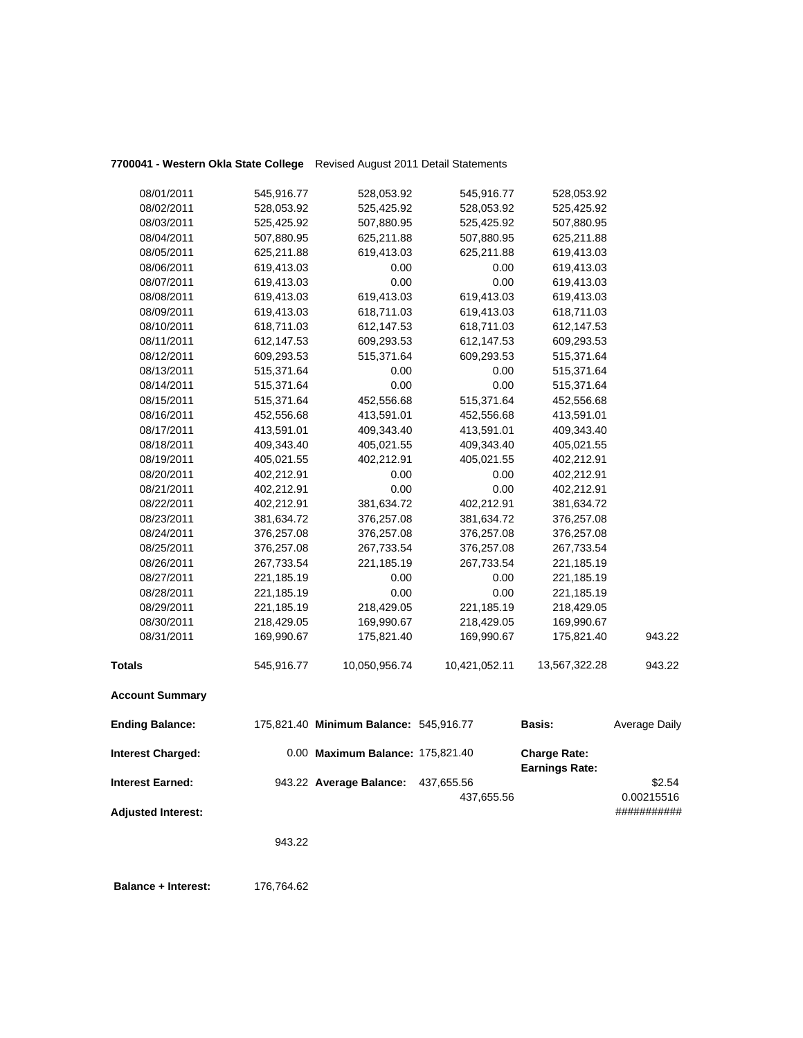## **7700041 - Western Okla State College** Revised August 2011 Detail Statements

| <b>Account Summary</b> |            |               |               |               |        |
|------------------------|------------|---------------|---------------|---------------|--------|
| <b>Totals</b>          | 545,916.77 | 10,050,956.74 | 10,421,052.11 | 13,567,322.28 | 943.22 |
| 08/31/2011             | 169,990.67 | 175,821.40    | 169,990.67    | 175,821.40    | 943.22 |
| 08/30/2011             | 218,429.05 | 169,990.67    | 218,429.05    | 169,990.67    |        |
| 08/29/2011             | 221,185.19 | 218,429.05    | 221,185.19    | 218,429.05    |        |
| 08/28/2011             | 221,185.19 | 0.00          | 0.00          | 221,185.19    |        |
| 08/27/2011             | 221,185.19 | 0.00          | 0.00          | 221,185.19    |        |
| 08/26/2011             | 267,733.54 | 221,185.19    | 267,733.54    | 221,185.19    |        |
| 08/25/2011             | 376,257.08 | 267,733.54    | 376,257.08    | 267,733.54    |        |
| 08/24/2011             | 376,257.08 | 376,257.08    | 376,257.08    | 376,257.08    |        |
| 08/23/2011             | 381,634.72 | 376,257.08    | 381,634.72    | 376,257.08    |        |
| 08/22/2011             | 402,212.91 | 381,634.72    | 402,212.91    | 381,634.72    |        |
| 08/21/2011             | 402,212.91 | 0.00          | 0.00          | 402,212.91    |        |
| 08/20/2011             | 402,212.91 | 0.00          | 0.00          | 402,212.91    |        |
| 08/19/2011             | 405,021.55 | 402,212.91    | 405,021.55    | 402,212.91    |        |
| 08/18/2011             | 409,343.40 | 405,021.55    | 409,343.40    | 405,021.55    |        |
| 08/17/2011             | 413,591.01 | 409,343.40    | 413,591.01    | 409,343.40    |        |
| 08/16/2011             | 452,556.68 | 413,591.01    | 452,556.68    | 413,591.01    |        |
| 08/15/2011             | 515,371.64 | 452,556.68    | 515,371.64    | 452,556.68    |        |
| 08/14/2011             | 515,371.64 | 0.00          | 0.00          | 515,371.64    |        |
| 08/13/2011             | 515,371.64 | 0.00          | 0.00          | 515,371.64    |        |
| 08/12/2011             | 609,293.53 | 515,371.64    | 609,293.53    | 515,371.64    |        |
| 08/11/2011             | 612,147.53 | 609,293.53    | 612,147.53    | 609,293.53    |        |
| 08/10/2011             | 618,711.03 | 612,147.53    | 618,711.03    | 612,147.53    |        |
| 08/09/2011             | 619,413.03 | 618,711.03    | 619,413.03    | 618,711.03    |        |
| 08/08/2011             | 619,413.03 | 619,413.03    | 619,413.03    | 619,413.03    |        |
| 08/07/2011             | 619,413.03 | 0.00          | 0.00          | 619,413.03    |        |
| 08/06/2011             | 619,413.03 | 0.00          | 0.00          | 619,413.03    |        |
| 08/05/2011             | 625,211.88 | 619,413.03    | 625,211.88    | 619,413.03    |        |
| 08/04/2011             | 507,880.95 | 625,211.88    | 507,880.95    | 625,211.88    |        |
| 08/03/2011             | 525,425.92 | 507,880.95    | 525,425.92    | 507,880.95    |        |
| 08/02/2011             | 528,053.92 | 525,425.92    | 528,053.92    | 525,425.92    |        |
| 08/01/2011             | 545,916.77 | 528,053.92    | 545,916.77    | 528,053.92    |        |
|                        |            |               |               |               |        |

| <b>Ending Balance:</b>    | 175,821.40 Minimum Balance: 545,916.77 |            | <b>Basis:</b>                                | Average Daily             |
|---------------------------|----------------------------------------|------------|----------------------------------------------|---------------------------|
| <b>Interest Charged:</b>  | 0.00 Maximum Balance: 175,821.40       |            | <b>Charge Rate:</b><br><b>Earnings Rate:</b> |                           |
| <b>Interest Earned:</b>   | 943.22 Average Balance:                | 437,655.56 |                                              | \$2.54                    |
| <b>Adjusted Interest:</b> |                                        | 437,655.56 |                                              | 0.00215516<br>########### |

943.22

 **Balance + Interest:** 176,764.62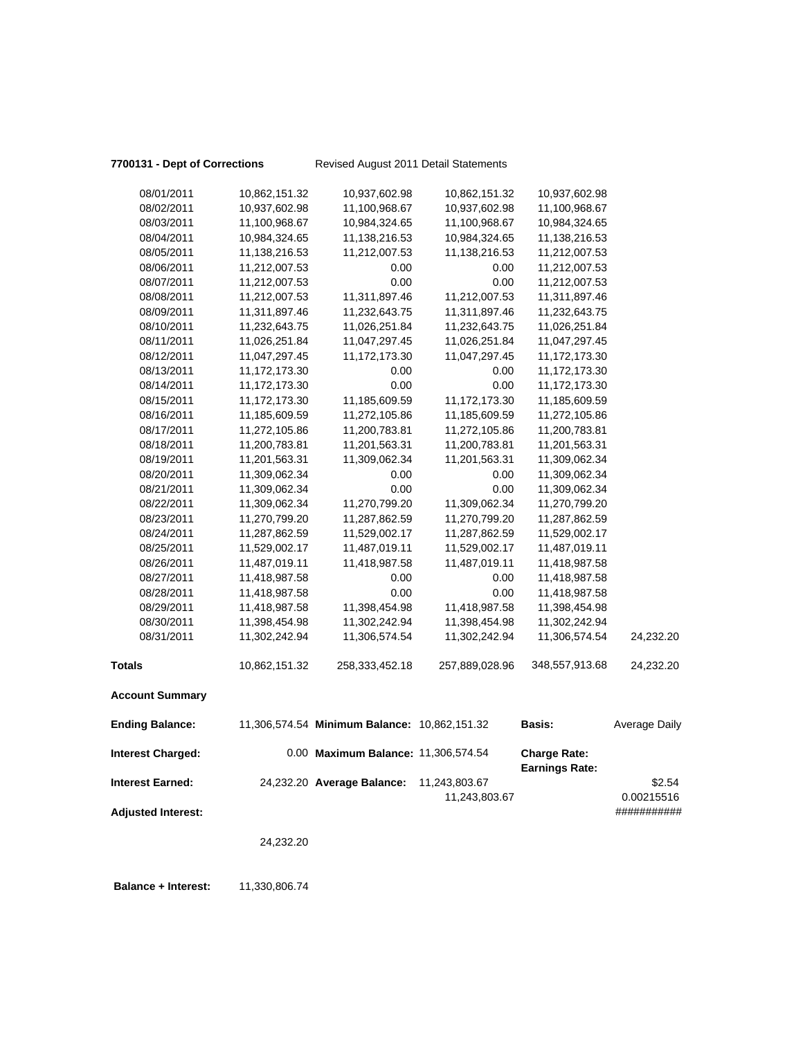## **7700131 - Dept of Corrections** Revised August 2011 Detail Statements

| 08/01/2011                | 10,862,151.32   | 10,937,602.98                                | 10,862,151.32  | 10,937,602.98         |                      |
|---------------------------|-----------------|----------------------------------------------|----------------|-----------------------|----------------------|
| 08/02/2011                | 10,937,602.98   | 11,100,968.67                                | 10,937,602.98  | 11,100,968.67         |                      |
| 08/03/2011                | 11,100,968.67   | 10,984,324.65                                | 11,100,968.67  | 10,984,324.65         |                      |
| 08/04/2011                | 10,984,324.65   | 11,138,216.53                                | 10,984,324.65  | 11,138,216.53         |                      |
| 08/05/2011                | 11,138,216.53   | 11,212,007.53                                | 11,138,216.53  | 11,212,007.53         |                      |
| 08/06/2011                | 11,212,007.53   | 0.00                                         | 0.00           | 11,212,007.53         |                      |
| 08/07/2011                | 11,212,007.53   | 0.00                                         | 0.00           | 11,212,007.53         |                      |
| 08/08/2011                | 11,212,007.53   | 11,311,897.46                                | 11,212,007.53  | 11,311,897.46         |                      |
| 08/09/2011                | 11,311,897.46   | 11,232,643.75                                | 11,311,897.46  | 11,232,643.75         |                      |
| 08/10/2011                | 11,232,643.75   | 11,026,251.84                                | 11,232,643.75  | 11,026,251.84         |                      |
| 08/11/2011                | 11,026,251.84   | 11,047,297.45                                | 11,026,251.84  | 11,047,297.45         |                      |
| 08/12/2011                | 11,047,297.45   | 11,172,173.30                                | 11,047,297.45  | 11,172,173.30         |                      |
| 08/13/2011                | 11,172,173.30   | 0.00                                         | 0.00           | 11,172,173.30         |                      |
| 08/14/2011                | 11, 172, 173.30 | 0.00                                         | 0.00           | 11,172,173.30         |                      |
| 08/15/2011                | 11,172,173.30   | 11,185,609.59                                | 11,172,173.30  | 11,185,609.59         |                      |
| 08/16/2011                | 11,185,609.59   | 11,272,105.86                                | 11,185,609.59  | 11,272,105.86         |                      |
| 08/17/2011                | 11,272,105.86   | 11,200,783.81                                | 11,272,105.86  | 11,200,783.81         |                      |
| 08/18/2011                | 11,200,783.81   | 11,201,563.31                                | 11,200,783.81  | 11,201,563.31         |                      |
| 08/19/2011                | 11,201,563.31   | 11,309,062.34                                | 11,201,563.31  | 11,309,062.34         |                      |
| 08/20/2011                | 11,309,062.34   | 0.00                                         | 0.00           | 11,309,062.34         |                      |
| 08/21/2011                | 11,309,062.34   | 0.00                                         | 0.00           | 11,309,062.34         |                      |
| 08/22/2011                | 11,309,062.34   | 11,270,799.20                                | 11,309,062.34  | 11,270,799.20         |                      |
| 08/23/2011                | 11,270,799.20   | 11,287,862.59                                | 11,270,799.20  | 11,287,862.59         |                      |
| 08/24/2011                | 11,287,862.59   | 11,529,002.17                                | 11,287,862.59  | 11,529,002.17         |                      |
| 08/25/2011                | 11,529,002.17   | 11,487,019.11                                | 11,529,002.17  | 11,487,019.11         |                      |
| 08/26/2011                | 11,487,019.11   | 11,418,987.58                                | 11,487,019.11  | 11,418,987.58         |                      |
| 08/27/2011                | 11,418,987.58   | 0.00                                         | 0.00           | 11,418,987.58         |                      |
| 08/28/2011                | 11,418,987.58   | 0.00                                         | 0.00           | 11,418,987.58         |                      |
| 08/29/2011                | 11,418,987.58   | 11,398,454.98                                | 11,418,987.58  | 11,398,454.98         |                      |
| 08/30/2011                | 11,398,454.98   | 11,302,242.94                                | 11,398,454.98  | 11,302,242.94         |                      |
| 08/31/2011                | 11,302,242.94   | 11,306,574.54                                | 11,302,242.94  | 11,306,574.54         | 24,232.20            |
| <b>Totals</b>             | 10,862,151.32   | 258,333,452.18                               | 257,889,028.96 | 348,557,913.68        | 24,232.20            |
| <b>Account Summary</b>    |                 |                                              |                |                       |                      |
| <b>Ending Balance:</b>    |                 | 11,306,574.54 Minimum Balance: 10,862,151.32 |                | Basis:                | <b>Average Daily</b> |
| <b>Interest Charged:</b>  |                 | 0.00 Maximum Balance: 11,306,574.54          |                | <b>Charge Rate:</b>   |                      |
|                           |                 |                                              |                | <b>Earnings Rate:</b> |                      |
| <b>Interest Earned:</b>   |                 | 24,232.20 Average Balance:                   | 11,243,803.67  |                       | \$2.54               |
|                           |                 |                                              | 11,243,803.67  |                       | 0.00215516           |
| <b>Adjusted Interest:</b> |                 |                                              |                |                       | ###########          |
|                           | 24,232.20       |                                              |                |                       |                      |

 **Balance + Interest:** 11,330,806.74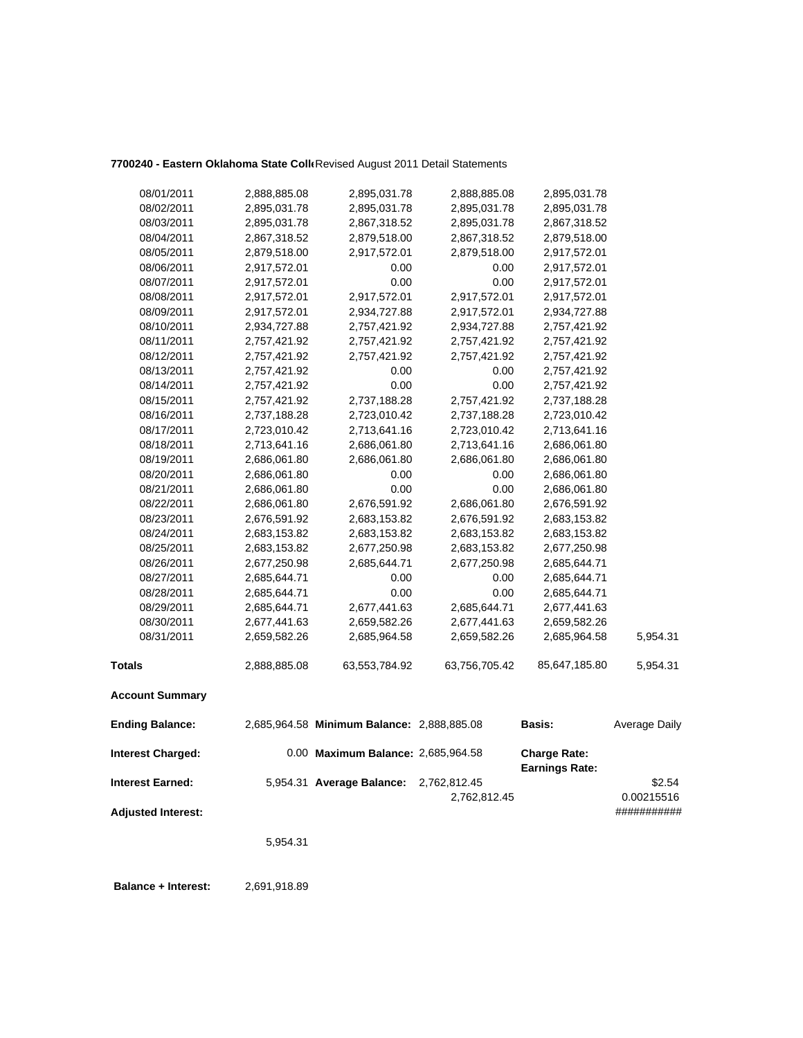## **7700240 - Eastern Oklahoma State Colle**Revised August 2011 Detail Statements

| 08/01/2011                | 2,888,885.08 | 2,895,031.78                               | 2,888,885.08  | 2,895,031.78                                 |                           |
|---------------------------|--------------|--------------------------------------------|---------------|----------------------------------------------|---------------------------|
| 08/02/2011                | 2,895,031.78 | 2,895,031.78                               | 2,895,031.78  | 2,895,031.78                                 |                           |
| 08/03/2011                | 2,895,031.78 | 2,867,318.52                               | 2,895,031.78  | 2,867,318.52                                 |                           |
| 08/04/2011                | 2,867,318.52 | 2,879,518.00                               | 2,867,318.52  | 2,879,518.00                                 |                           |
| 08/05/2011                | 2,879,518.00 | 2,917,572.01                               | 2,879,518.00  | 2,917,572.01                                 |                           |
| 08/06/2011                | 2,917,572.01 | 0.00                                       | 0.00          | 2,917,572.01                                 |                           |
| 08/07/2011                | 2,917,572.01 | 0.00                                       | 0.00          | 2,917,572.01                                 |                           |
| 08/08/2011                | 2,917,572.01 | 2,917,572.01                               | 2,917,572.01  | 2,917,572.01                                 |                           |
| 08/09/2011                | 2,917,572.01 | 2,934,727.88                               | 2,917,572.01  | 2,934,727.88                                 |                           |
| 08/10/2011                | 2,934,727.88 | 2,757,421.92                               | 2,934,727.88  | 2,757,421.92                                 |                           |
| 08/11/2011                | 2,757,421.92 | 2,757,421.92                               | 2,757,421.92  | 2,757,421.92                                 |                           |
| 08/12/2011                | 2,757,421.92 | 2,757,421.92                               | 2,757,421.92  | 2,757,421.92                                 |                           |
| 08/13/2011                | 2,757,421.92 | 0.00                                       | 0.00          | 2,757,421.92                                 |                           |
| 08/14/2011                | 2,757,421.92 | 0.00                                       | 0.00          | 2,757,421.92                                 |                           |
| 08/15/2011                | 2,757,421.92 | 2,737,188.28                               | 2,757,421.92  | 2,737,188.28                                 |                           |
| 08/16/2011                | 2,737,188.28 | 2,723,010.42                               | 2,737,188.28  | 2,723,010.42                                 |                           |
| 08/17/2011                | 2,723,010.42 | 2,713,641.16                               | 2,723,010.42  | 2,713,641.16                                 |                           |
| 08/18/2011                | 2,713,641.16 | 2,686,061.80                               | 2,713,641.16  | 2,686,061.80                                 |                           |
| 08/19/2011                | 2,686,061.80 | 2,686,061.80                               | 2,686,061.80  | 2,686,061.80                                 |                           |
| 08/20/2011                | 2,686,061.80 | 0.00                                       | 0.00          | 2,686,061.80                                 |                           |
| 08/21/2011                | 2,686,061.80 | 0.00                                       | 0.00          | 2,686,061.80                                 |                           |
| 08/22/2011                | 2,686,061.80 | 2,676,591.92                               | 2,686,061.80  | 2,676,591.92                                 |                           |
| 08/23/2011                | 2,676,591.92 | 2,683,153.82                               | 2,676,591.92  | 2,683,153.82                                 |                           |
| 08/24/2011                | 2,683,153.82 | 2,683,153.82                               | 2,683,153.82  | 2,683,153.82                                 |                           |
| 08/25/2011                | 2,683,153.82 | 2,677,250.98                               | 2,683,153.82  | 2,677,250.98                                 |                           |
| 08/26/2011                | 2,677,250.98 | 2,685,644.71                               | 2,677,250.98  | 2,685,644.71                                 |                           |
| 08/27/2011                | 2,685,644.71 | 0.00                                       | 0.00          | 2,685,644.71                                 |                           |
| 08/28/2011                | 2,685,644.71 | 0.00                                       | 0.00          | 2,685,644.71                                 |                           |
| 08/29/2011                | 2,685,644.71 | 2,677,441.63                               | 2,685,644.71  | 2,677,441.63                                 |                           |
| 08/30/2011                | 2,677,441.63 | 2,659,582.26                               | 2,677,441.63  | 2,659,582.26                                 |                           |
| 08/31/2011                | 2,659,582.26 | 2,685,964.58                               | 2,659,582.26  | 2,685,964.58                                 | 5,954.31                  |
| <b>Totals</b>             | 2,888,885.08 | 63,553,784.92                              | 63,756,705.42 | 85,647,185.80                                | 5,954.31                  |
| <b>Account Summary</b>    |              |                                            |               |                                              |                           |
| <b>Ending Balance:</b>    |              | 2,685,964.58 Minimum Balance: 2,888,885.08 |               | Basis:                                       | Average Daily             |
| <b>Interest Charged:</b>  |              | 0.00 Maximum Balance: 2,685,964.58         |               | <b>Charge Rate:</b><br><b>Earnings Rate:</b> |                           |
| <b>Interest Earned:</b>   |              | 5,954.31 Average Balance:                  | 2,762,812.45  |                                              | \$2.54                    |
| <b>Adjusted Interest:</b> |              |                                            | 2,762,812.45  |                                              | 0.00215516<br>########### |

5,954.31

 **Balance + Interest:** 2,691,918.89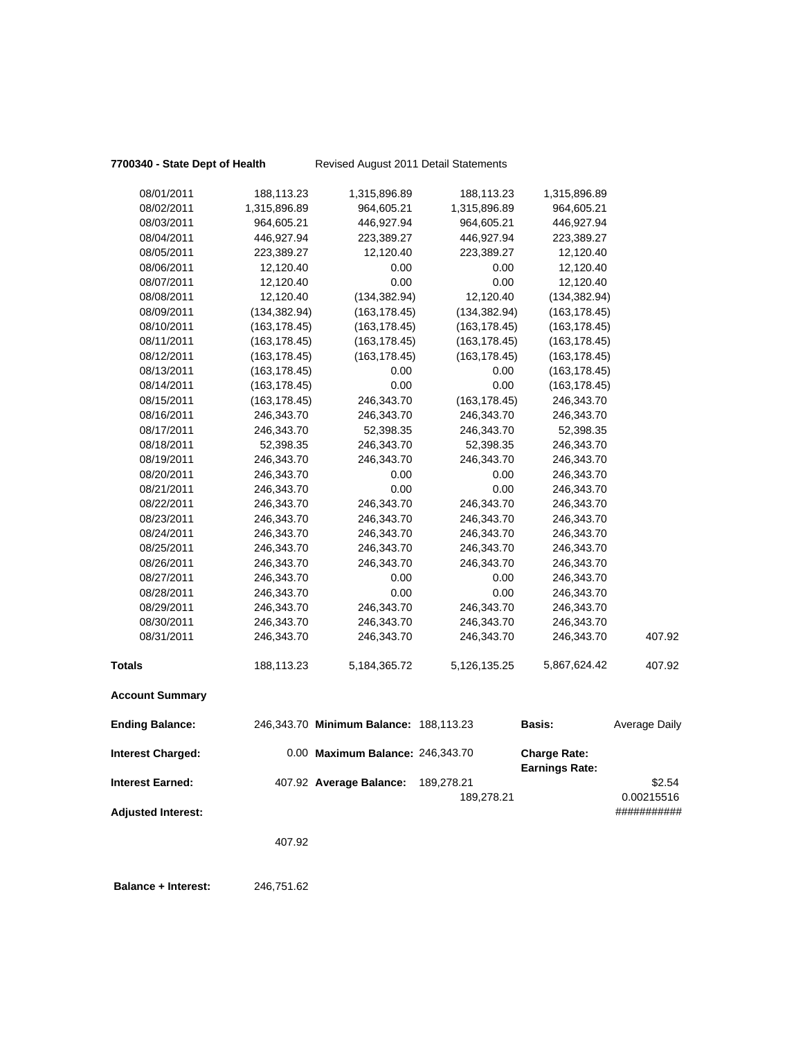## **7700340 - State Dept of Health** Revised August 2011 Detail Statements

| Internet Charged.      |               | $0.00$ Maximum Ralance: $248.242.70$   |               | Charge Date:  |               |
|------------------------|---------------|----------------------------------------|---------------|---------------|---------------|
| <b>Ending Balance:</b> |               | 246,343.70 Minimum Balance: 188,113.23 |               | <b>Basis:</b> | Average Daily |
| <b>Account Summary</b> |               |                                        |               |               |               |
| <b>Totals</b>          | 188,113.23    | 5, 184, 365. 72                        | 5,126,135.25  | 5,867,624.42  | 407.92        |
| 08/31/2011             | 246,343.70    | 246,343.70                             | 246,343.70    | 246,343.70    | 407.92        |
| 08/30/2011             | 246,343.70    | 246,343.70                             | 246,343.70    | 246,343.70    |               |
| 08/29/2011             | 246,343.70    | 246,343.70                             | 246,343.70    | 246,343.70    |               |
| 08/28/2011             | 246,343.70    | 0.00                                   | 0.00          | 246,343.70    |               |
| 08/27/2011             | 246,343.70    | 0.00                                   | 0.00          | 246,343.70    |               |
| 08/26/2011             | 246,343.70    | 246,343.70                             | 246,343.70    | 246,343.70    |               |
| 08/25/2011             | 246,343.70    | 246,343.70                             | 246,343.70    | 246,343.70    |               |
| 08/24/2011             | 246,343.70    | 246,343.70                             | 246,343.70    | 246,343.70    |               |
| 08/23/2011             | 246,343.70    | 246,343.70                             | 246,343.70    | 246,343.70    |               |
| 08/22/2011             | 246,343.70    | 246,343.70                             | 246,343.70    | 246,343.70    |               |
| 08/21/2011             | 246,343.70    | 0.00                                   | 0.00          | 246,343.70    |               |
| 08/20/2011             | 246,343.70    | 0.00                                   | 0.00          | 246,343.70    |               |
| 08/19/2011             | 246,343.70    | 246,343.70                             | 246,343.70    | 246,343.70    |               |
| 08/18/2011             | 52,398.35     | 246,343.70                             | 52,398.35     | 246,343.70    |               |
| 08/17/2011             | 246,343.70    | 52,398.35                              | 246,343.70    | 52,398.35     |               |
| 08/16/2011             | 246,343.70    | 246,343.70                             | 246,343.70    | 246,343.70    |               |
| 08/15/2011             | (163, 178.45) | 246,343.70                             | (163, 178.45) | 246,343.70    |               |
| 08/14/2011             | (163, 178.45) | 0.00                                   | 0.00          | (163, 178.45) |               |
| 08/13/2011             | (163, 178.45) | 0.00                                   | 0.00          | (163, 178.45) |               |
| 08/12/2011             | (163, 178.45) | (163, 178.45)                          | (163, 178.45) | (163, 178.45) |               |
| 08/11/2011             | (163, 178.45) | (163, 178.45)                          | (163, 178.45) | (163, 178.45) |               |
| 08/10/2011             | (163, 178.45) | (163, 178.45)                          | (163, 178.45) | (163, 178.45) |               |
| 08/09/2011             | (134, 382.94) | (163, 178.45)                          | (134, 382.94) | (163, 178.45) |               |
| 08/08/2011             | 12,120.40     | (134, 382.94)                          | 12,120.40     | (134, 382.94) |               |
| 08/07/2011             | 12,120.40     | 0.00                                   | 0.00          | 12,120.40     |               |
| 08/06/2011             | 12,120.40     | 0.00                                   | 0.00          | 12,120.40     |               |
| 08/05/2011             | 223,389.27    | 12,120.40                              | 223,389.27    | 12,120.40     |               |
| 08/04/2011             | 446,927.94    | 223,389.27                             | 446,927.94    | 223,389.27    |               |
| 08/03/2011             | 964,605.21    | 446,927.94                             | 964,605.21    | 446,927.94    |               |
| 08/02/2011             | 1,315,896.89  | 964,605.21                             | 1,315,896.89  | 964,605.21    |               |
| 08/01/2011             | 188,113.23    | 1,315,896.89                           | 188,113.23    | 1,315,896.89  |               |

| Interest Charged:  | 0.00 Maximum Balance: 246.343.70 |            | <b>Charge Rate:</b>   |             |
|--------------------|----------------------------------|------------|-----------------------|-------------|
|                    |                                  |            | <b>Earnings Rate:</b> |             |
| Interest Earned:   | 407.92 Average Balance:          | 189.278.21 |                       | \$2.54      |
|                    |                                  | 189.278.21 |                       | 0.00215516  |
| Adiusted Interest: |                                  |            |                       | ########### |
|                    |                                  |            |                       |             |

407.92

 **Balance + Interest:** 246,751.62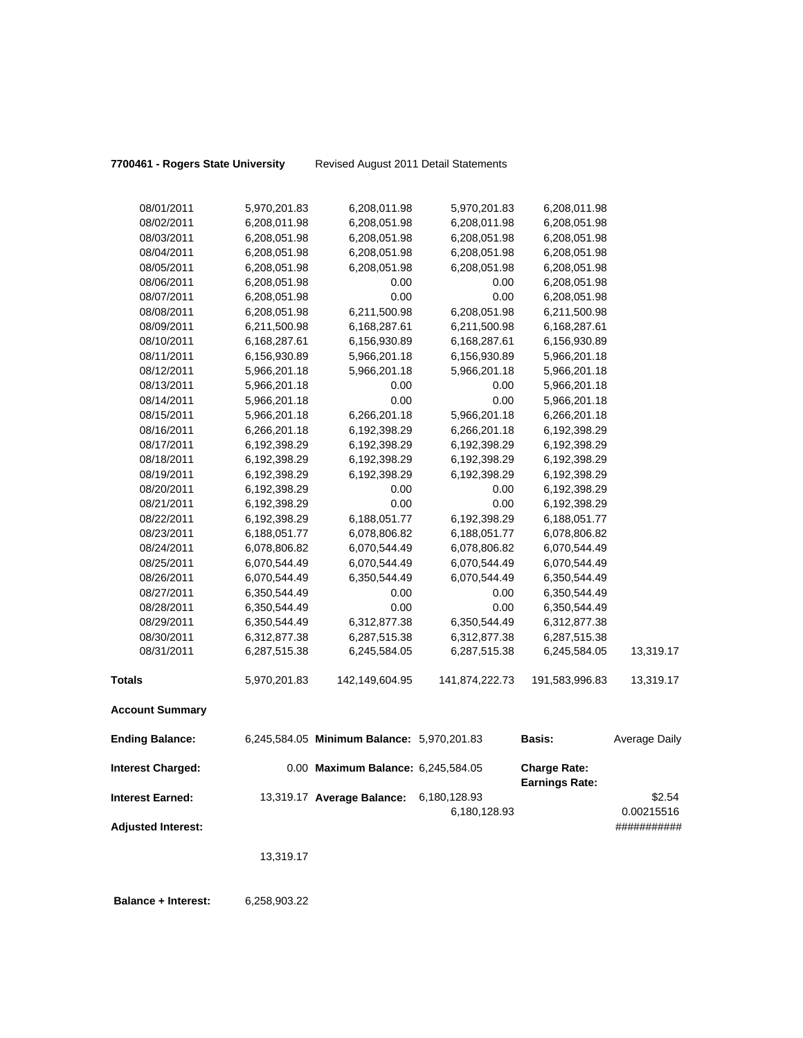**7700461 - Rogers State University** Revised August 2011 Detail Statements

| 08/01/2011                 | 5,970,201.83 | 6,208,011.98                               | 5,970,201.83   | 6,208,011.98                                 |               |
|----------------------------|--------------|--------------------------------------------|----------------|----------------------------------------------|---------------|
| 08/02/2011                 | 6,208,011.98 | 6,208,051.98                               | 6,208,011.98   | 6,208,051.98                                 |               |
| 08/03/2011                 | 6,208,051.98 | 6,208,051.98                               | 6,208,051.98   | 6,208,051.98                                 |               |
| 08/04/2011                 | 6,208,051.98 | 6,208,051.98                               | 6,208,051.98   | 6,208,051.98                                 |               |
| 08/05/2011                 | 6,208,051.98 | 6,208,051.98                               | 6,208,051.98   | 6,208,051.98                                 |               |
| 08/06/2011                 | 6,208,051.98 | 0.00                                       | 0.00           | 6,208,051.98                                 |               |
| 08/07/2011                 | 6,208,051.98 | 0.00                                       | 0.00           | 6,208,051.98                                 |               |
| 08/08/2011                 | 6,208,051.98 | 6,211,500.98                               | 6,208,051.98   | 6,211,500.98                                 |               |
| 08/09/2011                 | 6,211,500.98 | 6,168,287.61                               | 6,211,500.98   | 6,168,287.61                                 |               |
| 08/10/2011                 | 6,168,287.61 | 6,156,930.89                               | 6,168,287.61   | 6,156,930.89                                 |               |
| 08/11/2011                 | 6,156,930.89 | 5,966,201.18                               | 6,156,930.89   | 5,966,201.18                                 |               |
| 08/12/2011                 | 5,966,201.18 | 5,966,201.18                               | 5,966,201.18   | 5,966,201.18                                 |               |
| 08/13/2011                 | 5,966,201.18 | 0.00                                       | 0.00           | 5,966,201.18                                 |               |
| 08/14/2011                 | 5,966,201.18 | 0.00                                       | 0.00           | 5,966,201.18                                 |               |
| 08/15/2011                 | 5,966,201.18 | 6,266,201.18                               | 5,966,201.18   | 6,266,201.18                                 |               |
| 08/16/2011                 | 6,266,201.18 | 6,192,398.29                               | 6,266,201.18   | 6,192,398.29                                 |               |
| 08/17/2011                 | 6,192,398.29 | 6,192,398.29                               | 6,192,398.29   | 6,192,398.29                                 |               |
| 08/18/2011                 | 6,192,398.29 | 6,192,398.29                               | 6,192,398.29   | 6,192,398.29                                 |               |
| 08/19/2011                 | 6,192,398.29 | 6,192,398.29                               | 6,192,398.29   | 6,192,398.29                                 |               |
| 08/20/2011                 | 6,192,398.29 | 0.00                                       | 0.00           | 6,192,398.29                                 |               |
| 08/21/2011                 | 6,192,398.29 | 0.00                                       | 0.00           | 6,192,398.29                                 |               |
| 08/22/2011                 | 6,192,398.29 | 6,188,051.77                               | 6,192,398.29   | 6,188,051.77                                 |               |
| 08/23/2011                 | 6,188,051.77 | 6,078,806.82                               | 6,188,051.77   | 6,078,806.82                                 |               |
| 08/24/2011                 | 6,078,806.82 | 6,070,544.49                               | 6,078,806.82   | 6,070,544.49                                 |               |
| 08/25/2011                 | 6,070,544.49 | 6,070,544.49                               | 6,070,544.49   | 6,070,544.49                                 |               |
| 08/26/2011                 | 6,070,544.49 | 6,350,544.49                               | 6,070,544.49   | 6,350,544.49                                 |               |
| 08/27/2011                 | 6,350,544.49 | 0.00                                       | 0.00           | 6,350,544.49                                 |               |
| 08/28/2011                 | 6,350,544.49 | 0.00                                       | 0.00           | 6,350,544.49                                 |               |
| 08/29/2011                 | 6,350,544.49 | 6,312,877.38                               | 6,350,544.49   | 6,312,877.38                                 |               |
| 08/30/2011                 | 6,312,877.38 | 6,287,515.38                               | 6,312,877.38   | 6,287,515.38                                 |               |
| 08/31/2011                 | 6,287,515.38 | 6,245,584.05                               | 6,287,515.38   | 6,245,584.05                                 | 13,319.17     |
|                            |              |                                            |                |                                              |               |
| <b>Totals</b>              | 5,970,201.83 | 142,149,604.95                             | 141,874,222.73 | 191,583,996.83                               | 13,319.17     |
| <b>Account Summary</b>     |              |                                            |                |                                              |               |
| <b>Ending Balance:</b>     |              | 6,245,584.05 Minimum Balance: 5,970,201.83 |                | Basis:                                       | Average Daily |
| <b>Interest Charged:</b>   |              | 0.00 Maximum Balance: 6,245,584.05         |                | <b>Charge Rate:</b><br><b>Earnings Rate:</b> |               |
| <b>Interest Earned:</b>    |              | 13,319.17 Average Balance:                 | 6,180,128.93   |                                              | \$2.54        |
|                            |              |                                            | 6,180,128.93   |                                              | 0.00215516    |
| <b>Adjusted Interest:</b>  |              |                                            |                |                                              | ###########   |
|                            | 13,319.17    |                                            |                |                                              |               |
| <b>Balance + Interest:</b> | 6,258,903.22 |                                            |                |                                              |               |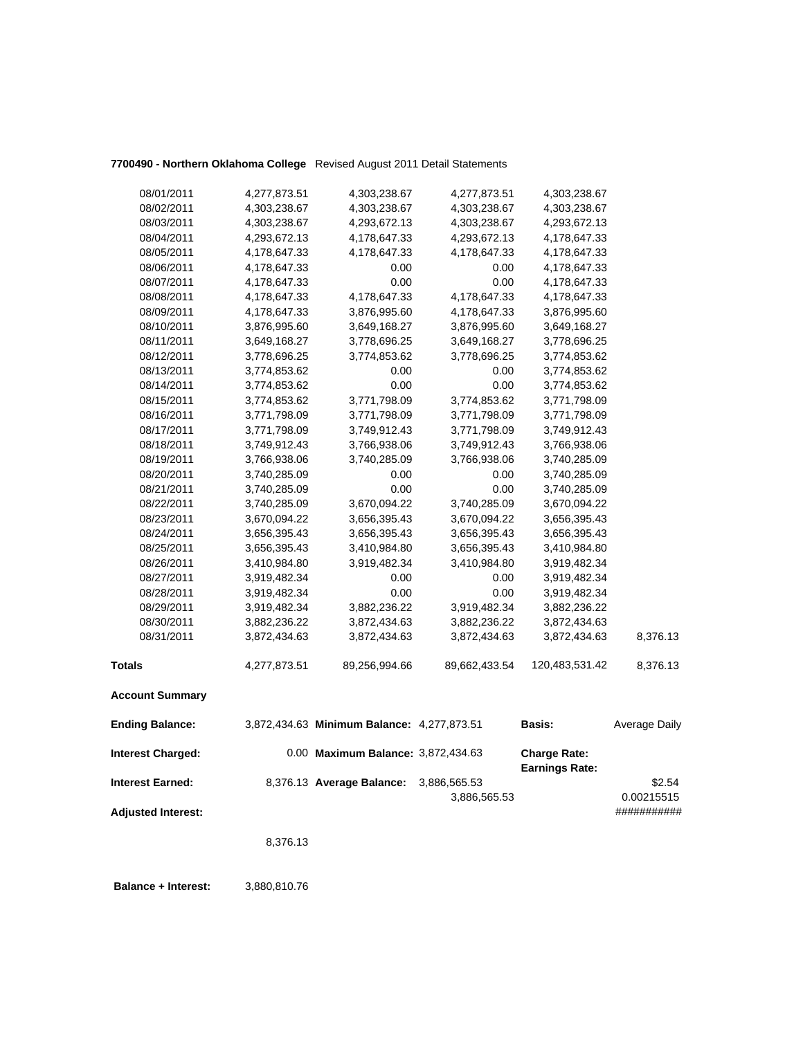## **7700490 - Northern Oklahoma College** Revised August 2011 Detail Statements

| <b>Interest Earned:</b><br><b>Adjusted Interest:</b> |                              | 8,376.13 Average Balance:                  | 3,886,565.53<br>3,886,565.53 |                                              | \$2.54<br>0.00215515<br>########### |
|------------------------------------------------------|------------------------------|--------------------------------------------|------------------------------|----------------------------------------------|-------------------------------------|
| <b>Interest Charged:</b>                             |                              | 0.00 Maximum Balance: 3,872,434.63         |                              | <b>Charge Rate:</b><br><b>Earnings Rate:</b> |                                     |
| <b>Ending Balance:</b>                               |                              | 3,872,434.63 Minimum Balance: 4,277,873.51 |                              | <b>Basis:</b>                                | Average Daily                       |
| <b>Account Summary</b>                               |                              |                                            |                              |                                              |                                     |
| <b>Totals</b>                                        | 4,277,873.51                 | 89,256,994.66                              | 89,662,433.54                | 120,483,531.42                               | 8,376.13                            |
| 08/31/2011                                           | 3,872,434.63                 | 3,872,434.63                               | 3,872,434.63                 | 3,872,434.63                                 | 8,376.13                            |
| 08/30/2011                                           | 3,882,236.22                 | 3,872,434.63                               | 3,882,236.22                 | 3,872,434.63                                 |                                     |
| 08/29/2011                                           | 3,919,482.34                 | 3,882,236.22                               | 3,919,482.34                 | 3,882,236.22                                 |                                     |
| 08/28/2011                                           | 3,919,482.34                 | 0.00                                       | 0.00                         | 3,919,482.34                                 |                                     |
| 08/27/2011                                           | 3,919,482.34                 | 0.00                                       | 0.00                         | 3,919,482.34                                 |                                     |
| 08/26/2011                                           | 3,410,984.80                 | 3,919,482.34                               | 3,410,984.80                 | 3,919,482.34                                 |                                     |
| 08/25/2011                                           | 3,656,395.43                 | 3,410,984.80                               | 3,656,395.43                 | 3,410,984.80                                 |                                     |
| 08/24/2011                                           | 3,656,395.43                 | 3,656,395.43                               | 3,656,395.43                 | 3,656,395.43                                 |                                     |
| 08/23/2011                                           | 3,670,094.22                 | 3,656,395.43                               | 3,670,094.22                 | 3,656,395.43                                 |                                     |
| 08/22/2011                                           | 3,740,285.09                 | 3,670,094.22                               | 3,740,285.09                 | 3,670,094.22                                 |                                     |
| 08/21/2011                                           | 3,740,285.09                 | 0.00                                       | 0.00                         | 3,740,285.09                                 |                                     |
| 08/20/2011                                           | 3,740,285.09                 | 0.00                                       | 0.00                         | 3,740,285.09                                 |                                     |
| 08/19/2011                                           | 3,766,938.06                 | 3,740,285.09                               | 3,766,938.06                 | 3,740,285.09                                 |                                     |
| 08/18/2011                                           | 3,749,912.43                 | 3,766,938.06                               | 3,749,912.43                 | 3,766,938.06                                 |                                     |
| 08/17/2011                                           | 3,771,798.09                 | 3,749,912.43                               | 3,771,798.09                 | 3,749,912.43                                 |                                     |
| 08/16/2011                                           | 3,771,798.09                 | 3,771,798.09                               | 3,771,798.09                 | 3,771,798.09                                 |                                     |
| 08/15/2011                                           | 3,774,853.62                 | 3,771,798.09                               | 3,774,853.62                 | 3,771,798.09                                 |                                     |
| 08/14/2011                                           | 3,774,853.62                 | 0.00                                       | 0.00                         | 3,774,853.62                                 |                                     |
| 08/13/2011                                           | 3,774,853.62                 | 0.00                                       | 0.00                         | 3,774,853.62                                 |                                     |
| 08/12/2011                                           | 3,778,696.25                 | 3,774,853.62                               | 3,778,696.25                 | 3,774,853.62                                 |                                     |
| 08/11/2011                                           | 3,649,168.27                 | 3,778,696.25                               | 3,649,168.27                 | 3,778,696.25                                 |                                     |
| 08/10/2011                                           | 3,876,995.60                 | 3,649,168.27                               | 3,876,995.60                 | 3,649,168.27                                 |                                     |
| 08/09/2011                                           | 4,178,647.33                 | 3,876,995.60                               | 4,178,647.33                 | 3,876,995.60                                 |                                     |
| 08/08/2011                                           | 4,178,647.33                 | 4,178,647.33                               | 4,178,647.33                 | 4,178,647.33                                 |                                     |
| 08/07/2011                                           | 4,178,647.33                 | 0.00                                       | 0.00                         | 4,178,647.33                                 |                                     |
| 08/06/2011                                           | 4,178,647.33                 | 0.00                                       | 0.00                         | 4,178,647.33                                 |                                     |
| 08/05/2011                                           | 4,178,647.33                 | 4,178,647.33                               | 4,178,647.33                 | 4,178,647.33                                 |                                     |
| 08/04/2011                                           | 4,293,672.13                 | 4,178,647.33                               | 4,293,672.13                 | 4,178,647.33                                 |                                     |
| 08/02/2011<br>08/03/2011                             | 4,303,238.67<br>4,303,238.67 | 4,303,238.67<br>4,293,672.13               | 4,303,238.67<br>4,303,238.67 | 4,303,238.67<br>4,293,672.13                 |                                     |
|                                                      |                              |                                            |                              |                                              |                                     |
| 08/01/2011                                           | 4,277,873.51                 | 4,303,238.67                               | 4,277,873.51                 | 4,303,238.67                                 |                                     |

8,376.13

 **Balance + Interest:** 3,880,810.76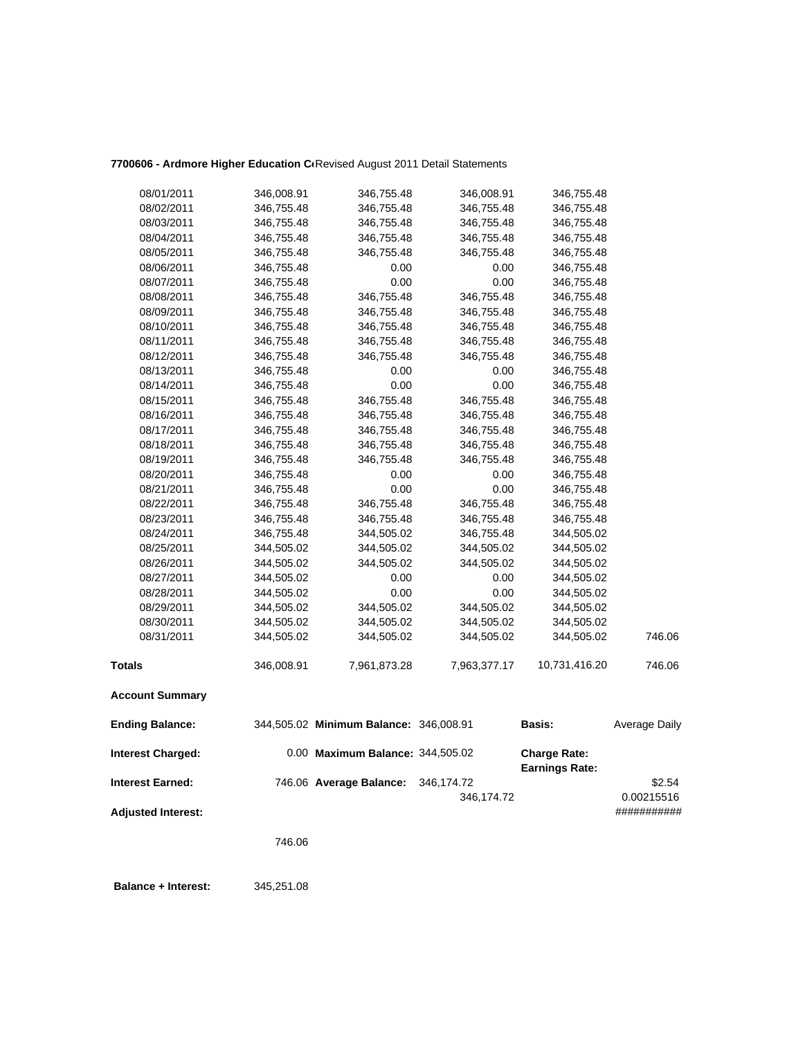## 7700606 - Ardmore Higher Education C<sub>'</sub>Revised August 2011 Detail Statements

| <b>Ending Balance:</b> |            | 344,505.02 Minimum Balance: 346,008.91 |              | <b>Basis:</b> | Average Daily |
|------------------------|------------|----------------------------------------|--------------|---------------|---------------|
| <b>Account Summary</b> |            |                                        |              |               |               |
| <b>Totals</b>          | 346,008.91 | 7,961,873.28                           | 7,963,377.17 | 10,731,416.20 | 746.06        |
| 08/31/2011             | 344,505.02 | 344,505.02                             | 344,505.02   | 344,505.02    | 746.06        |
| 08/30/2011             | 344,505.02 | 344,505.02                             | 344,505.02   | 344,505.02    |               |
| 08/29/2011             | 344,505.02 | 344,505.02                             | 344,505.02   | 344,505.02    |               |
| 08/28/2011             | 344,505.02 | 0.00                                   | 0.00         | 344,505.02    |               |
| 08/27/2011             | 344,505.02 | 0.00                                   | 0.00         | 344,505.02    |               |
| 08/26/2011             | 344,505.02 | 344,505.02                             | 344,505.02   | 344,505.02    |               |
| 08/25/2011             | 344,505.02 | 344,505.02                             | 344,505.02   | 344,505.02    |               |
| 08/24/2011             | 346,755.48 | 344,505.02                             | 346,755.48   | 344,505.02    |               |
| 08/23/2011             | 346,755.48 | 346,755.48                             | 346,755.48   | 346,755.48    |               |
| 08/22/2011             | 346,755.48 | 346,755.48                             | 346,755.48   | 346,755.48    |               |
| 08/21/2011             | 346,755.48 | 0.00                                   | 0.00         | 346,755.48    |               |
| 08/20/2011             | 346,755.48 | 0.00                                   | 0.00         | 346,755.48    |               |
| 08/19/2011             | 346,755.48 | 346,755.48                             | 346,755.48   | 346,755.48    |               |
| 08/18/2011             | 346,755.48 | 346,755.48                             | 346,755.48   | 346,755.48    |               |
| 08/17/2011             | 346,755.48 | 346,755.48                             | 346,755.48   | 346,755.48    |               |
| 08/16/2011             | 346,755.48 | 346,755.48                             | 346,755.48   | 346,755.48    |               |
| 08/15/2011             | 346,755.48 | 346,755.48                             | 346,755.48   | 346,755.48    |               |
| 08/14/2011             | 346,755.48 | 0.00                                   | 0.00         | 346,755.48    |               |
| 08/13/2011             | 346,755.48 | 0.00                                   | 0.00         | 346,755.48    |               |
| 08/12/2011             | 346,755.48 | 346,755.48                             | 346,755.48   | 346,755.48    |               |
| 08/11/2011             | 346,755.48 | 346,755.48                             | 346,755.48   | 346,755.48    |               |
| 08/10/2011             | 346,755.48 | 346,755.48                             | 346,755.48   | 346,755.48    |               |
| 08/09/2011             | 346,755.48 | 346,755.48                             | 346,755.48   | 346,755.48    |               |
| 08/08/2011             | 346,755.48 | 346,755.48                             | 346,755.48   | 346,755.48    |               |
| 08/07/2011             | 346,755.48 | 0.00                                   | 0.00         | 346,755.48    |               |
| 08/06/2011             | 346,755.48 | 0.00                                   | 0.00         | 346,755.48    |               |
| 08/05/2011             | 346,755.48 | 346,755.48                             | 346,755.48   | 346,755.48    |               |
| 08/04/2011             | 346,755.48 | 346,755.48                             | 346,755.48   | 346,755.48    |               |
| 08/03/2011             | 346,755.48 | 346,755.48                             | 346,755.48   | 346,755.48    |               |
| 08/02/2011             | 346,755.48 | 346,755.48                             | 346,755.48   | 346,755.48    |               |
| 08/01/2011             | 346,008.91 | 346,755.48                             | 346,008.91   | 346,755.48    |               |

**Interest Charged:** 0.00 **Maximum Balance:** 344,505.02 **Charge Rate: Earnings Rate: Interest Earned:** 746.06 **Average Balance:** 346,174.72 \$2.54 346,174.72 0.00215516 **Adjusted Interest:** ###########

746.06

 **Balance + Interest:** 345,251.08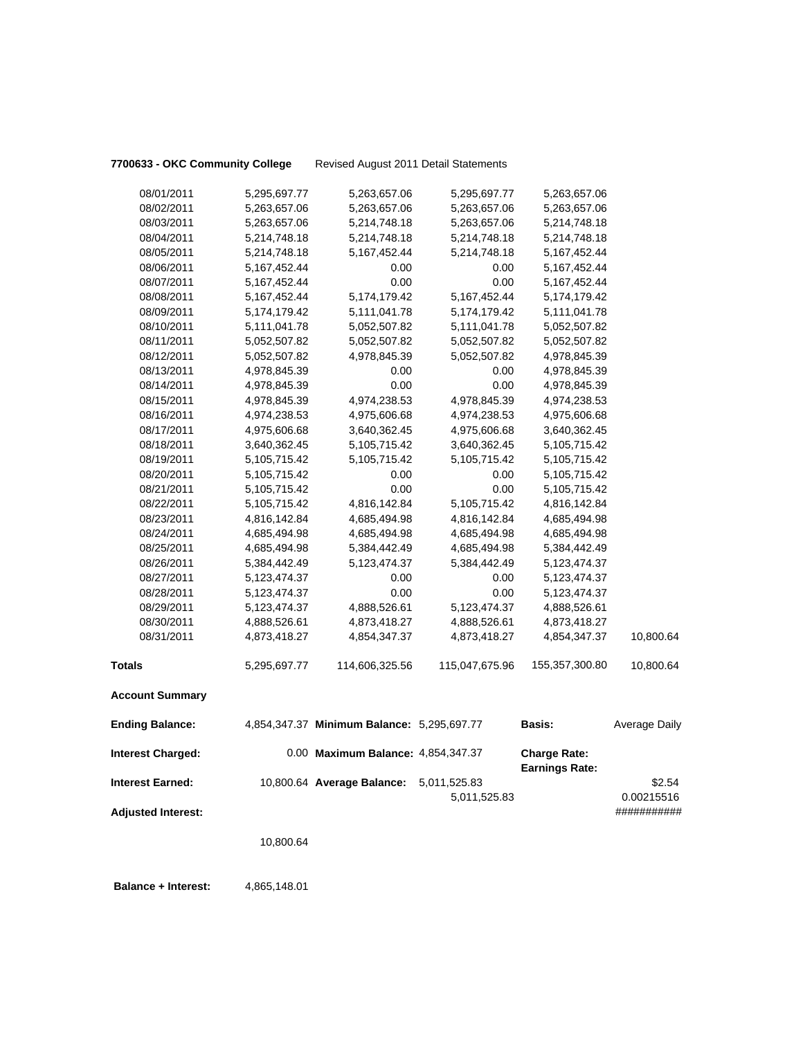**7700633 - OKC Community College** Revised August 2011 Detail Statements

| 08/01/2011                | 5,295,697.77    | 5,263,657.06                               | 5,295,697.77   | 5,263,657.06                                 |               |
|---------------------------|-----------------|--------------------------------------------|----------------|----------------------------------------------|---------------|
| 08/02/2011                | 5,263,657.06    | 5,263,657.06                               | 5,263,657.06   | 5,263,657.06                                 |               |
| 08/03/2011                | 5,263,657.06    | 5,214,748.18                               | 5,263,657.06   | 5,214,748.18                                 |               |
| 08/04/2011                | 5,214,748.18    | 5,214,748.18                               | 5,214,748.18   | 5,214,748.18                                 |               |
| 08/05/2011                | 5,214,748.18    | 5,167,452.44                               | 5,214,748.18   | 5, 167, 452. 44                              |               |
| 08/06/2011                | 5,167,452.44    | 0.00                                       | 0.00           | 5, 167, 452. 44                              |               |
| 08/07/2011                | 5,167,452.44    | 0.00                                       | 0.00           | 5, 167, 452. 44                              |               |
| 08/08/2011                | 5, 167, 452. 44 | 5, 174, 179. 42                            | 5,167,452.44   | 5,174,179.42                                 |               |
| 08/09/2011                | 5,174,179.42    | 5,111,041.78                               | 5,174,179.42   | 5,111,041.78                                 |               |
| 08/10/2011                | 5,111,041.78    | 5,052,507.82                               | 5,111,041.78   | 5,052,507.82                                 |               |
| 08/11/2011                | 5,052,507.82    | 5,052,507.82                               | 5,052,507.82   | 5,052,507.82                                 |               |
| 08/12/2011                | 5,052,507.82    | 4,978,845.39                               | 5,052,507.82   | 4,978,845.39                                 |               |
| 08/13/2011                | 4,978,845.39    | 0.00                                       | 0.00           | 4,978,845.39                                 |               |
| 08/14/2011                | 4,978,845.39    | 0.00                                       | 0.00           | 4,978,845.39                                 |               |
| 08/15/2011                | 4,978,845.39    | 4,974,238.53                               | 4,978,845.39   | 4,974,238.53                                 |               |
| 08/16/2011                | 4,974,238.53    | 4,975,606.68                               | 4,974,238.53   | 4,975,606.68                                 |               |
| 08/17/2011                | 4,975,606.68    | 3,640,362.45                               | 4,975,606.68   | 3,640,362.45                                 |               |
| 08/18/2011                | 3,640,362.45    | 5,105,715.42                               | 3,640,362.45   | 5,105,715.42                                 |               |
| 08/19/2011                | 5,105,715.42    | 5,105,715.42                               | 5,105,715.42   | 5,105,715.42                                 |               |
| 08/20/2011                | 5,105,715.42    | 0.00                                       | 0.00           | 5,105,715.42                                 |               |
| 08/21/2011                | 5,105,715.42    | 0.00                                       | 0.00           | 5,105,715.42                                 |               |
| 08/22/2011                | 5,105,715.42    | 4,816,142.84                               | 5,105,715.42   | 4,816,142.84                                 |               |
| 08/23/2011                | 4,816,142.84    | 4,685,494.98                               | 4,816,142.84   | 4,685,494.98                                 |               |
| 08/24/2011                | 4,685,494.98    | 4,685,494.98                               | 4,685,494.98   | 4,685,494.98                                 |               |
| 08/25/2011                | 4,685,494.98    | 5,384,442.49                               | 4,685,494.98   | 5,384,442.49                                 |               |
| 08/26/2011                | 5,384,442.49    | 5,123,474.37                               | 5,384,442.49   | 5,123,474.37                                 |               |
| 08/27/2011                | 5,123,474.37    | 0.00                                       | 0.00           | 5,123,474.37                                 |               |
| 08/28/2011                | 5,123,474.37    | 0.00                                       | 0.00           | 5,123,474.37                                 |               |
| 08/29/2011                | 5,123,474.37    | 4,888,526.61                               | 5,123,474.37   | 4,888,526.61                                 |               |
| 08/30/2011                | 4,888,526.61    | 4,873,418.27                               | 4,888,526.61   | 4,873,418.27                                 |               |
| 08/31/2011                | 4,873,418.27    | 4,854,347.37                               | 4,873,418.27   | 4,854,347.37                                 | 10,800.64     |
| <b>Totals</b>             | 5,295,697.77    | 114,606,325.56                             | 115,047,675.96 | 155,357,300.80                               | 10,800.64     |
| <b>Account Summary</b>    |                 |                                            |                |                                              |               |
| <b>Ending Balance:</b>    |                 | 4,854,347.37 Minimum Balance: 5,295,697.77 |                | <b>Basis:</b>                                | Average Daily |
| <b>Interest Charged:</b>  |                 | 0.00 Maximum Balance: 4,854,347.37         |                | <b>Charge Rate:</b><br><b>Earnings Rate:</b> |               |
| <b>Interest Earned:</b>   |                 | 10,800.64 Average Balance:                 | 5,011,525.83   |                                              | \$2.54        |
|                           |                 |                                            | 5,011,525.83   |                                              | 0.00215516    |
| <b>Adjusted Interest:</b> |                 |                                            |                |                                              | ###########   |
|                           | 10,800.64       |                                            |                |                                              |               |
|                           |                 |                                            |                |                                              |               |

**Balance + Interest:** 4,865,148.01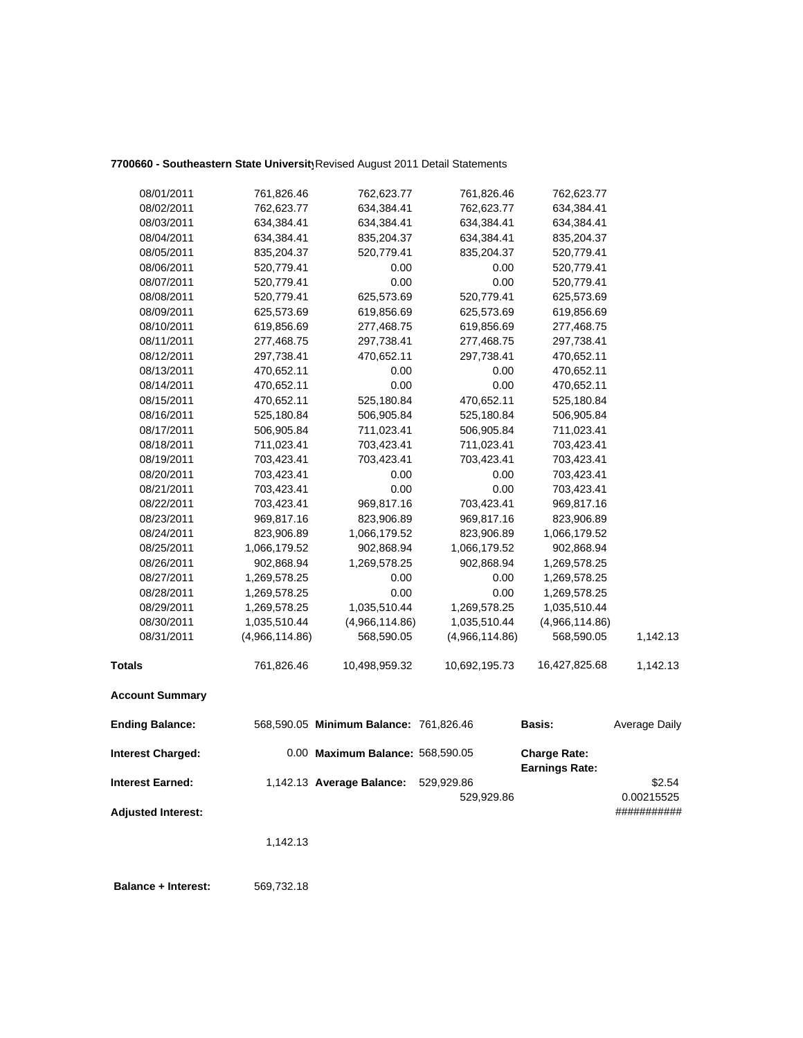## **7700660 - Southeastern State University**Revised August 2011 Detail Statements

| 08/01/2011 | 761,826.46     | 762,623.77     | 761,826.46     | 762,623.77     |          |
|------------|----------------|----------------|----------------|----------------|----------|
| 08/02/2011 | 762,623.77     | 634,384.41     | 762,623.77     | 634,384.41     |          |
| 08/03/2011 | 634,384.41     | 634,384.41     | 634,384.41     | 634,384.41     |          |
| 08/04/2011 | 634,384.41     | 835,204.37     | 634,384.41     | 835,204.37     |          |
| 08/05/2011 | 835,204.37     | 520,779.41     | 835,204.37     | 520,779.41     |          |
| 08/06/2011 | 520,779.41     | 0.00           | 0.00           | 520,779.41     |          |
| 08/07/2011 | 520,779.41     | 0.00           | 0.00           | 520,779.41     |          |
| 08/08/2011 | 520,779.41     | 625,573.69     | 520,779.41     | 625,573.69     |          |
| 08/09/2011 | 625,573.69     | 619,856.69     | 625,573.69     | 619,856.69     |          |
| 08/10/2011 | 619,856.69     | 277,468.75     | 619,856.69     | 277,468.75     |          |
| 08/11/2011 | 277,468.75     | 297,738.41     | 277,468.75     | 297,738.41     |          |
| 08/12/2011 | 297,738.41     | 470,652.11     | 297,738.41     | 470,652.11     |          |
| 08/13/2011 | 470,652.11     | 0.00           | 0.00           | 470,652.11     |          |
| 08/14/2011 | 470,652.11     | 0.00           | 0.00           | 470,652.11     |          |
| 08/15/2011 | 470,652.11     | 525,180.84     | 470,652.11     | 525,180.84     |          |
| 08/16/2011 | 525,180.84     | 506,905.84     | 525,180.84     | 506,905.84     |          |
| 08/17/2011 | 506,905.84     | 711,023.41     | 506,905.84     | 711,023.41     |          |
| 08/18/2011 | 711,023.41     | 703,423.41     | 711,023.41     | 703,423.41     |          |
| 08/19/2011 | 703,423.41     | 703,423.41     | 703,423.41     | 703,423.41     |          |
| 08/20/2011 | 703,423.41     | 0.00           | 0.00           | 703,423.41     |          |
| 08/21/2011 | 703,423.41     | 0.00           | 0.00           | 703,423.41     |          |
| 08/22/2011 | 703,423.41     | 969,817.16     | 703,423.41     | 969,817.16     |          |
| 08/23/2011 | 969,817.16     | 823,906.89     | 969,817.16     | 823,906.89     |          |
| 08/24/2011 | 823,906.89     | 1,066,179.52   | 823,906.89     | 1,066,179.52   |          |
| 08/25/2011 | 1,066,179.52   | 902,868.94     | 1,066,179.52   | 902,868.94     |          |
| 08/26/2011 | 902,868.94     | 1,269,578.25   | 902,868.94     | 1,269,578.25   |          |
| 08/27/2011 | 1,269,578.25   | 0.00           | 0.00           | 1,269,578.25   |          |
| 08/28/2011 | 1,269,578.25   | 0.00           | 0.00           | 1,269,578.25   |          |
| 08/29/2011 | 1,269,578.25   | 1,035,510.44   | 1,269,578.25   | 1,035,510.44   |          |
| 08/30/2011 | 1,035,510.44   | (4,966,114.86) | 1,035,510.44   | (4,966,114.86) |          |
| 08/31/2011 | (4,966,114.86) | 568,590.05     | (4,966,114.86) | 568,590.05     | 1,142.13 |
| Totals     | 761,826.46     | 10,498,959.32  | 10,692,195.73  | 16,427,825.68  | 1,142.13 |
|            |                |                |                |                |          |

**Account Summary** 

| <b>Ending Balance:</b>    | 568,590.05 Minimum Balance: 761,826.46 |            | Basis:                                       | Average Daily |
|---------------------------|----------------------------------------|------------|----------------------------------------------|---------------|
| <b>Interest Charged:</b>  | 0.00 Maximum Balance: 568,590.05       |            | <b>Charge Rate:</b><br><b>Earnings Rate:</b> |               |
| <b>Interest Earned:</b>   | 1,142.13 Average Balance:              | 529.929.86 |                                              | \$2.54        |
|                           |                                        | 529.929.86 |                                              | 0.00215525    |
| <b>Adjusted Interest:</b> |                                        |            |                                              | ###########   |

1,142.13

 **Balance + Interest:** 569,732.18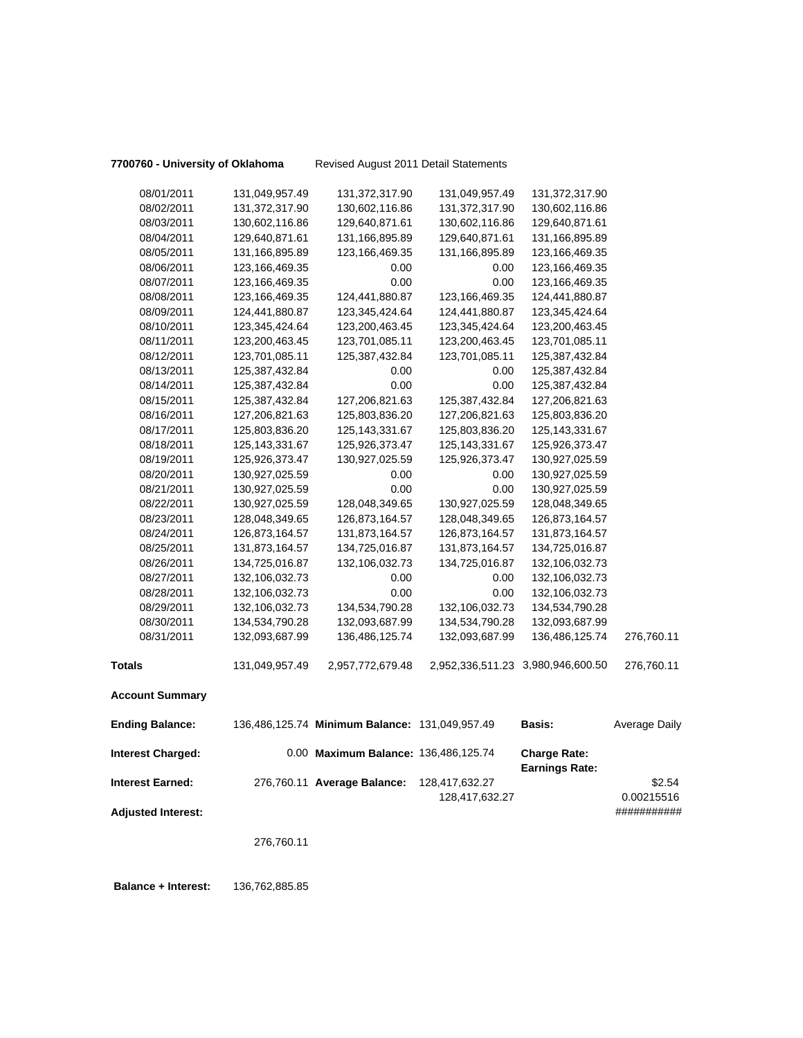**7700760 - University of Oklahoma** Revised August 2011 Detail Statements

| 08/01/2011                | 131,049,957.49    | 131,372,317.90                                 | 131,049,957.49    | 131,372,317.90                               |               |
|---------------------------|-------------------|------------------------------------------------|-------------------|----------------------------------------------|---------------|
| 08/02/2011                | 131,372,317.90    | 130,602,116.86                                 | 131,372,317.90    | 130,602,116.86                               |               |
| 08/03/2011                | 130,602,116.86    | 129,640,871.61                                 | 130,602,116.86    | 129,640,871.61                               |               |
| 08/04/2011                | 129,640,871.61    | 131,166,895.89                                 | 129,640,871.61    | 131,166,895.89                               |               |
| 08/05/2011                | 131,166,895.89    | 123, 166, 469. 35                              | 131,166,895.89    | 123,166,469.35                               |               |
| 08/06/2011                | 123,166,469.35    | 0.00                                           | 0.00              | 123,166,469.35                               |               |
| 08/07/2011                | 123,166,469.35    | 0.00                                           | 0.00              | 123,166,469.35                               |               |
| 08/08/2011                | 123,166,469.35    | 124,441,880.87                                 | 123, 166, 469. 35 | 124,441,880.87                               |               |
| 08/09/2011                | 124,441,880.87    | 123,345,424.64                                 | 124,441,880.87    | 123,345,424.64                               |               |
| 08/10/2011                | 123,345,424.64    | 123,200,463.45                                 | 123,345,424.64    | 123,200,463.45                               |               |
| 08/11/2011                | 123,200,463.45    | 123,701,085.11                                 | 123,200,463.45    | 123,701,085.11                               |               |
| 08/12/2011                | 123,701,085.11    | 125,387,432.84                                 | 123,701,085.11    | 125,387,432.84                               |               |
| 08/13/2011                | 125,387,432.84    | 0.00                                           | 0.00              | 125,387,432.84                               |               |
| 08/14/2011                | 125,387,432.84    | 0.00                                           | 0.00              | 125,387,432.84                               |               |
| 08/15/2011                | 125,387,432.84    | 127,206,821.63                                 | 125,387,432.84    | 127,206,821.63                               |               |
| 08/16/2011                | 127,206,821.63    | 125,803,836.20                                 | 127,206,821.63    | 125,803,836.20                               |               |
| 08/17/2011                | 125,803,836.20    | 125, 143, 331. 67                              | 125,803,836.20    | 125, 143, 331. 67                            |               |
| 08/18/2011                | 125, 143, 331. 67 | 125,926,373.47                                 | 125, 143, 331. 67 | 125,926,373.47                               |               |
| 08/19/2011                | 125,926,373.47    | 130,927,025.59                                 | 125,926,373.47    | 130,927,025.59                               |               |
| 08/20/2011                | 130,927,025.59    | 0.00                                           | 0.00              | 130,927,025.59                               |               |
| 08/21/2011                | 130,927,025.59    | 0.00                                           | 0.00              | 130,927,025.59                               |               |
| 08/22/2011                | 130,927,025.59    | 128,048,349.65                                 | 130,927,025.59    | 128,048,349.65                               |               |
| 08/23/2011                | 128,048,349.65    | 126,873,164.57                                 | 128,048,349.65    | 126,873,164.57                               |               |
| 08/24/2011                | 126,873,164.57    | 131,873,164.57                                 | 126,873,164.57    | 131,873,164.57                               |               |
| 08/25/2011                | 131,873,164.57    | 134,725,016.87                                 | 131,873,164.57    | 134,725,016.87                               |               |
| 08/26/2011                | 134,725,016.87    | 132,106,032.73                                 | 134,725,016.87    | 132,106,032.73                               |               |
| 08/27/2011                | 132,106,032.73    | 0.00                                           | 0.00              | 132,106,032.73                               |               |
| 08/28/2011                | 132,106,032.73    | 0.00                                           | 0.00              | 132,106,032.73                               |               |
| 08/29/2011                | 132,106,032.73    | 134,534,790.28                                 | 132,106,032.73    | 134,534,790.28                               |               |
| 08/30/2011                | 134,534,790.28    | 132,093,687.99                                 | 134,534,790.28    | 132,093,687.99                               |               |
| 08/31/2011                | 132,093,687.99    | 136,486,125.74                                 | 132,093,687.99    | 136,486,125.74                               | 276,760.11    |
| <b>Totals</b>             | 131,049,957.49    | 2,957,772,679.48                               |                   | 2,952,336,511.23 3,980,946,600.50            | 276,760.11    |
| <b>Account Summary</b>    |                   |                                                |                   |                                              |               |
| <b>Ending Balance:</b>    |                   | 136,486,125.74 Minimum Balance: 131,049,957.49 |                   | <b>Basis:</b>                                | Average Daily |
| <b>Interest Charged:</b>  |                   | 0.00 Maximum Balance: 136,486,125.74           |                   | <b>Charge Rate:</b><br><b>Earnings Rate:</b> |               |
| <b>Interest Earned:</b>   |                   | 276,760.11 Average Balance:                    | 128,417,632.27    |                                              | \$2.54        |
|                           |                   |                                                | 128,417,632.27    |                                              | 0.00215516    |
| <b>Adjusted Interest:</b> |                   |                                                |                   |                                              | ###########   |
|                           | 276,760.11        |                                                |                   |                                              |               |
|                           |                   |                                                |                   |                                              |               |

 **Balance + Interest:** 136,762,885.85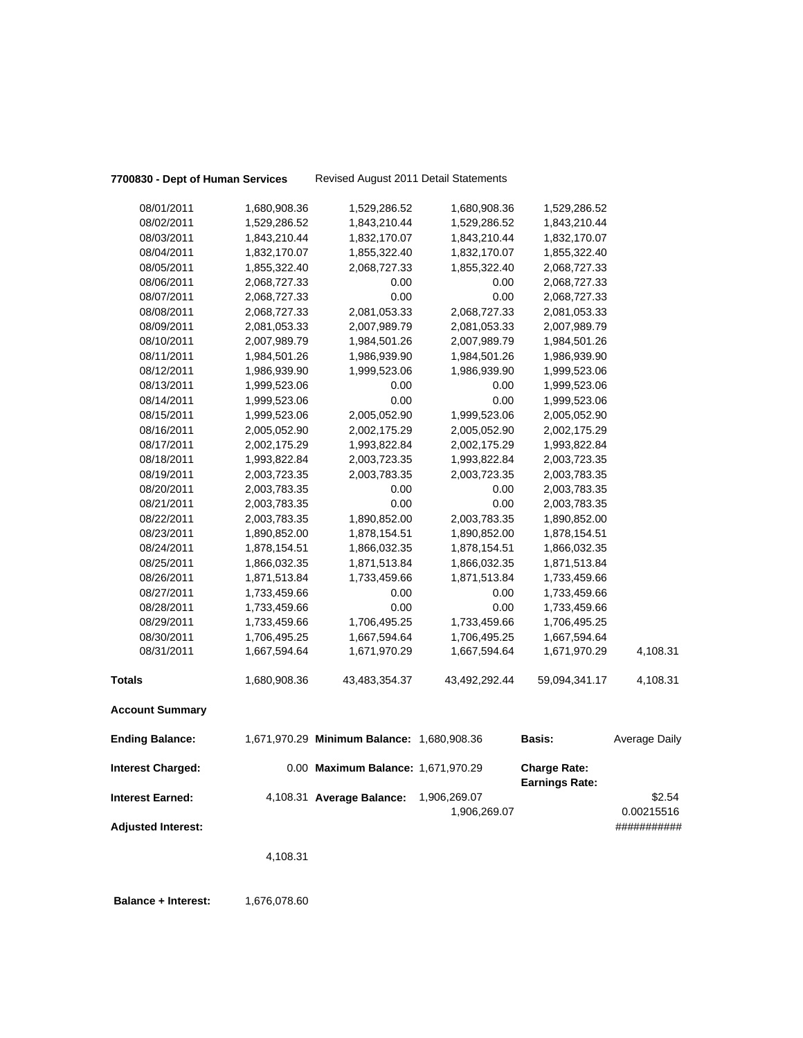|  |  |  |  |  |  |  | 7700830 - Dept of Human Servic |  |  |
|--|--|--|--|--|--|--|--------------------------------|--|--|
|--|--|--|--|--|--|--|--------------------------------|--|--|

**7700830 - Dept of Human Services** Revised August 2011 Detail Statements

| <b>Account Summary</b> |              |               |               |               |          |
|------------------------|--------------|---------------|---------------|---------------|----------|
|                        |              |               |               |               |          |
| <b>Totals</b>          | 1,680,908.36 | 43,483,354.37 | 43,492,292.44 | 59,094,341.17 | 4,108.31 |
| 08/31/2011             | 1,667,594.64 | 1,671,970.29  | 1,667,594.64  | 1,671,970.29  | 4,108.31 |
| 08/30/2011             | 1,706,495.25 | 1,667,594.64  | 1,706,495.25  | 1,667,594.64  |          |
| 08/29/2011             | 1,733,459.66 | 1,706,495.25  | 1,733,459.66  | 1,706,495.25  |          |
| 08/28/2011             | 1,733,459.66 | 0.00          | 0.00          | 1,733,459.66  |          |
| 08/27/2011             | 1,733,459.66 | 0.00          | 0.00          | 1,733,459.66  |          |
| 08/26/2011             | 1,871,513.84 | 1,733,459.66  | 1,871,513.84  | 1,733,459.66  |          |
| 08/25/2011             | 1,866,032.35 | 1,871,513.84  | 1,866,032.35  | 1,871,513.84  |          |
| 08/24/2011             | 1,878,154.51 | 1,866,032.35  | 1,878,154.51  | 1,866,032.35  |          |
| 08/23/2011             | 1,890,852.00 | 1,878,154.51  | 1,890,852.00  | 1,878,154.51  |          |
| 08/22/2011             | 2,003,783.35 | 1,890,852.00  | 2,003,783.35  | 1,890,852.00  |          |
| 08/21/2011             | 2,003,783.35 | 0.00          | 0.00          | 2,003,783.35  |          |
| 08/20/2011             | 2,003,783.35 | 0.00          | 0.00          | 2,003,783.35  |          |
| 08/19/2011             | 2,003,723.35 | 2,003,783.35  | 2,003,723.35  | 2,003,783.35  |          |
| 08/18/2011             | 1,993,822.84 | 2,003,723.35  | 1,993,822.84  | 2,003,723.35  |          |
| 08/17/2011             | 2,002,175.29 | 1,993,822.84  | 2,002,175.29  | 1,993,822.84  |          |
| 08/16/2011             | 2,005,052.90 | 2,002,175.29  | 2,005,052.90  | 2,002,175.29  |          |
| 08/15/2011             | 1,999,523.06 | 2,005,052.90  | 1,999,523.06  | 2,005,052.90  |          |
| 08/14/2011             | 1,999,523.06 | 0.00          | 0.00          | 1,999,523.06  |          |
| 08/13/2011             | 1,999,523.06 | 0.00          | 0.00          | 1,999,523.06  |          |
| 08/12/2011             | 1,986,939.90 | 1,999,523.06  | 1,986,939.90  | 1,999,523.06  |          |
| 08/11/2011             | 1,984,501.26 | 1,986,939.90  | 1,984,501.26  | 1,986,939.90  |          |
| 08/10/2011             | 2,007,989.79 | 1,984,501.26  | 2,007,989.79  | 1,984,501.26  |          |
| 08/09/2011             | 2,081,053.33 | 2,007,989.79  | 2,081,053.33  | 2,007,989.79  |          |
| 08/08/2011             | 2,068,727.33 | 2,081,053.33  | 2,068,727.33  | 2,081,053.33  |          |
| 08/07/2011             | 2,068,727.33 | 0.00          | 0.00          | 2,068,727.33  |          |
| 08/06/2011             | 2,068,727.33 | 0.00          | 0.00          | 2,068,727.33  |          |
| 08/05/2011             | 1,855,322.40 | 2,068,727.33  | 1,855,322.40  | 2,068,727.33  |          |
| 08/04/2011             | 1,832,170.07 | 1,855,322.40  | 1,832,170.07  | 1,855,322.40  |          |
| 08/03/2011             | 1,843,210.44 | 1,832,170.07  | 1,843,210.44  | 1,832,170.07  |          |
| 08/02/2011             | 1,529,286.52 | 1,843,210.44  | 1,529,286.52  | 1,843,210.44  |          |
| 08/01/2011             | 1,680,908.36 | 1,529,286.52  | 1,680,908.36  | 1,529,286.52  |          |

**Adjusted Interest:** 

4,108.31

**Balance + Interest:** 1,676,078.60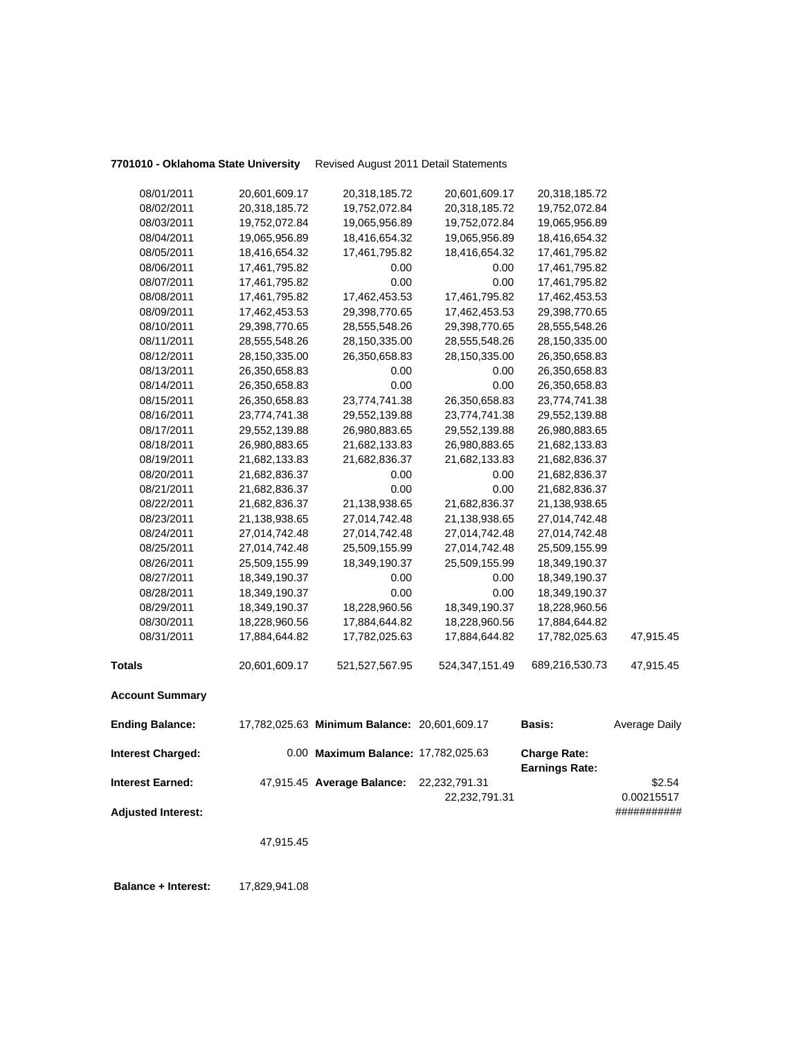**7701010 - Oklahoma State University** Revised August 2011 Detail Statements

|                           | 47,915.45     |                                              |                  |                                              |                      |
|---------------------------|---------------|----------------------------------------------|------------------|----------------------------------------------|----------------------|
| <b>Adjusted Interest:</b> |               |                                              | 22,232,791.31    |                                              | ###########          |
| <b>Interest Earned:</b>   |               | 47,915.45 Average Balance:                   | 22,232,791.31    |                                              | \$2.54<br>0.00215517 |
| <b>Interest Charged:</b>  |               | 0.00 Maximum Balance: 17,782,025.63          |                  | <b>Charge Rate:</b><br><b>Earnings Rate:</b> |                      |
| <b>Ending Balance:</b>    |               | 17,782,025.63 Minimum Balance: 20,601,609.17 |                  | <b>Basis:</b>                                | Average Daily        |
| <b>Account Summary</b>    |               |                                              |                  |                                              |                      |
| <b>Totals</b>             | 20,601,609.17 | 521,527,567.95                               | 524, 347, 151.49 | 689,216,530.73                               | 47,915.45            |
| 08/31/2011                | 17,884,644.82 | 17,782,025.63                                | 17,884,644.82    | 17,782,025.63                                | 47,915.45            |
| 08/30/2011                | 18,228,960.56 | 17,884,644.82                                | 18,228,960.56    | 17,884,644.82                                |                      |
| 08/29/2011                | 18,349,190.37 | 18,228,960.56                                | 18,349,190.37    | 18,228,960.56                                |                      |
| 08/28/2011                | 18,349,190.37 | 0.00                                         | 0.00             | 18,349,190.37                                |                      |
| 08/27/2011                | 18,349,190.37 | 0.00                                         | 0.00             | 18,349,190.37                                |                      |
| 08/26/2011                | 25,509,155.99 | 18,349,190.37                                | 25,509,155.99    | 18,349,190.37                                |                      |
| 08/25/2011                | 27,014,742.48 | 25,509,155.99                                | 27,014,742.48    | 25,509,155.99                                |                      |
| 08/24/2011                | 27,014,742.48 | 27,014,742.48                                | 27,014,742.48    | 27,014,742.48                                |                      |
| 08/23/2011                | 21,138,938.65 | 27,014,742.48                                | 21,138,938.65    | 27,014,742.48                                |                      |
| 08/22/2011                | 21,682,836.37 | 21,138,938.65                                | 21,682,836.37    | 21,138,938.65                                |                      |
| 08/21/2011                | 21,682,836.37 | 0.00                                         | 0.00             | 21,682,836.37                                |                      |
| 08/20/2011                | 21,682,836.37 | 0.00                                         | 0.00             | 21,682,836.37                                |                      |
| 08/19/2011                | 21,682,133.83 | 21,682,836.37                                | 21,682,133.83    | 21,682,836.37                                |                      |
| 08/18/2011                | 26,980,883.65 | 21,682,133.83                                | 26,980,883.65    | 21,682,133.83                                |                      |
| 08/17/2011                | 29,552,139.88 | 26,980,883.65                                | 29,552,139.88    | 26,980,883.65                                |                      |
| 08/16/2011                | 23,774,741.38 | 29,552,139.88                                | 23,774,741.38    | 29,552,139.88                                |                      |
| 08/15/2011                | 26,350,658.83 | 23,774,741.38                                | 26,350,658.83    | 23,774,741.38                                |                      |
| 08/14/2011                | 26,350,658.83 | 0.00                                         | 0.00             | 26,350,658.83                                |                      |
| 08/13/2011                | 26,350,658.83 | 0.00                                         | 0.00             | 26,350,658.83                                |                      |
| 08/12/2011                | 28,150,335.00 | 26,350,658.83                                | 28,150,335.00    | 26,350,658.83                                |                      |
| 08/11/2011                | 28,555,548.26 | 28,150,335.00                                | 28,555,548.26    | 28,150,335.00                                |                      |
| 08/10/2011                | 29,398,770.65 | 28,555,548.26                                | 29,398,770.65    | 28,555,548.26                                |                      |
| 08/09/2011                | 17,462,453.53 | 29,398,770.65                                | 17,462,453.53    | 29,398,770.65                                |                      |
| 08/08/2011                | 17,461,795.82 | 17,462,453.53                                | 17,461,795.82    | 17,462,453.53                                |                      |
| 08/07/2011                | 17,461,795.82 | 0.00                                         | 0.00             | 17,461,795.82                                |                      |
| 08/06/2011                | 17,461,795.82 | 0.00                                         | 0.00             | 17,461,795.82                                |                      |
| 08/05/2011                | 18,416,654.32 | 17,461,795.82                                | 18,416,654.32    | 17,461,795.82                                |                      |
| 08/04/2011                | 19,065,956.89 | 18,416,654.32                                | 19,065,956.89    | 18,416,654.32                                |                      |
| 08/03/2011                | 19,752,072.84 | 19,065,956.89                                | 19,752,072.84    | 19,065,956.89                                |                      |
| 08/02/2011                | 20,318,185.72 | 19,752,072.84                                | 20,318,185.72    | 19,752,072.84                                |                      |
| 08/01/2011                | 20,601,609.17 | 20,318,185.72                                | 20,601,609.17    | 20,318,185.72                                |                      |

 **Balance + Interest:** 17,829,941.08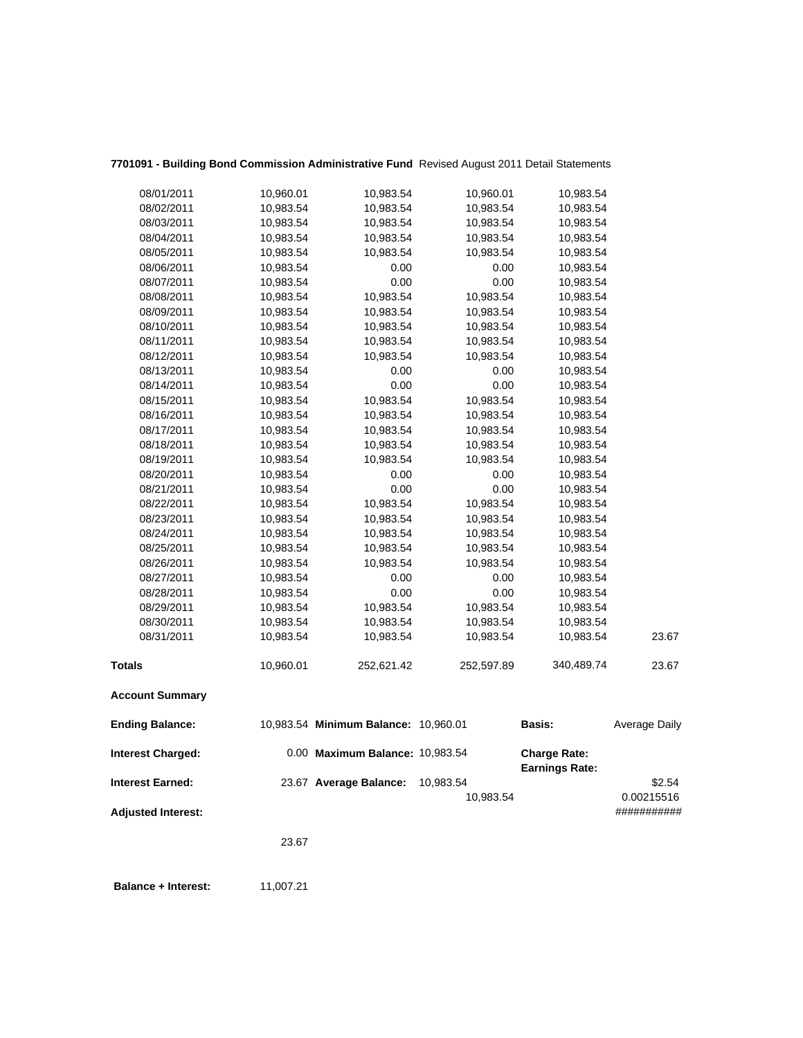| <b>Adjusted Interest:</b> | 23.67     |                                      |                        |                                              | ###########          |
|---------------------------|-----------|--------------------------------------|------------------------|----------------------------------------------|----------------------|
| <b>Interest Earned:</b>   |           | 23.67 Average Balance:               | 10,983.54<br>10,983.54 |                                              | \$2.54<br>0.00215516 |
| <b>Interest Charged:</b>  |           | 0.00 Maximum Balance: 10,983.54      |                        | <b>Charge Rate:</b><br><b>Earnings Rate:</b> |                      |
| <b>Ending Balance:</b>    |           | 10,983.54 Minimum Balance: 10,960.01 |                        | Basis:                                       | <b>Average Daily</b> |
| <b>Account Summary</b>    |           |                                      |                        |                                              |                      |
| <b>Totals</b>             | 10,960.01 | 252,621.42                           | 252,597.89             | 340,489.74                                   | 23.67                |
| 08/31/2011                | 10,983.54 | 10,983.54                            | 10,983.54              | 10,983.54                                    | 23.67                |
| 08/30/2011                | 10,983.54 | 10,983.54                            | 10,983.54              | 10,983.54                                    |                      |
| 08/29/2011                | 10,983.54 | 10,983.54                            | 10,983.54              | 10,983.54                                    |                      |
| 08/28/2011                | 10,983.54 | 0.00                                 | 0.00                   | 10,983.54                                    |                      |
| 08/27/2011                | 10,983.54 | 0.00                                 | 0.00                   | 10,983.54                                    |                      |
| 08/26/2011                | 10,983.54 | 10,983.54                            | 10,983.54              | 10,983.54                                    |                      |
| 08/25/2011                | 10,983.54 | 10,983.54                            | 10,983.54              | 10,983.54                                    |                      |
| 08/24/2011                | 10,983.54 | 10,983.54                            | 10,983.54              | 10,983.54                                    |                      |
| 08/23/2011                | 10,983.54 | 10,983.54                            | 10,983.54              | 10,983.54                                    |                      |
| 08/22/2011                | 10,983.54 | 10,983.54                            | 10,983.54              | 10,983.54                                    |                      |
| 08/21/2011                | 10,983.54 | 0.00                                 | 0.00                   | 10,983.54                                    |                      |
| 08/20/2011                | 10,983.54 | 0.00                                 | 0.00                   | 10,983.54                                    |                      |
| 08/19/2011                | 10,983.54 | 10,983.54                            | 10,983.54              | 10,983.54                                    |                      |
| 08/18/2011                | 10,983.54 | 10,983.54                            | 10,983.54              | 10,983.54                                    |                      |
| 08/17/2011                | 10,983.54 | 10,983.54                            | 10,983.54              | 10,983.54                                    |                      |
| 08/16/2011                | 10,983.54 | 10,983.54                            | 10,983.54              | 10,983.54                                    |                      |
| 08/15/2011                | 10,983.54 | 10,983.54                            | 10,983.54              | 10,983.54                                    |                      |
| 08/14/2011                | 10,983.54 | 0.00                                 | 0.00                   | 10,983.54                                    |                      |
| 08/13/2011                | 10,983.54 | 0.00                                 | 0.00                   | 10,983.54                                    |                      |
| 08/12/2011                | 10,983.54 | 10,983.54                            | 10,983.54              | 10,983.54                                    |                      |
| 08/11/2011                | 10,983.54 | 10,983.54                            | 10,983.54              | 10,983.54                                    |                      |
| 08/10/2011                | 10,983.54 | 10,983.54                            | 10,983.54              | 10,983.54                                    |                      |
| 08/09/2011                | 10,983.54 | 10,983.54                            | 10,983.54              | 10,983.54                                    |                      |
| 08/08/2011                | 10,983.54 | 10,983.54                            | 10,983.54              | 10,983.54                                    |                      |
| 08/07/2011                | 10,983.54 | 0.00                                 | 0.00                   | 10,983.54                                    |                      |
| 08/06/2011                | 10,983.54 | 0.00                                 | 0.00                   | 10,983.54                                    |                      |
| 08/05/2011                | 10,983.54 | 10,983.54                            | 10,983.54              | 10,983.54                                    |                      |
| 08/04/2011                | 10,983.54 | 10,983.54                            | 10,983.54              | 10,983.54                                    |                      |
| 08/03/2011                | 10,983.54 | 10,983.54                            | 10,983.54              | 10,983.54                                    |                      |
| 08/02/2011                | 10,983.54 | 10,983.54                            | 10,983.54              | 10,983.54                                    |                      |
| 08/01/2011                | 10,960.01 | 10,983.54                            | 10,960.01              | 10,983.54                                    |                      |
|                           |           |                                      |                        |                                              |                      |

# **7701091 - Building Bond Commission Administrative Fund** Revised August 2011 Detail Statements

**Balance + Interest:** 11,007.21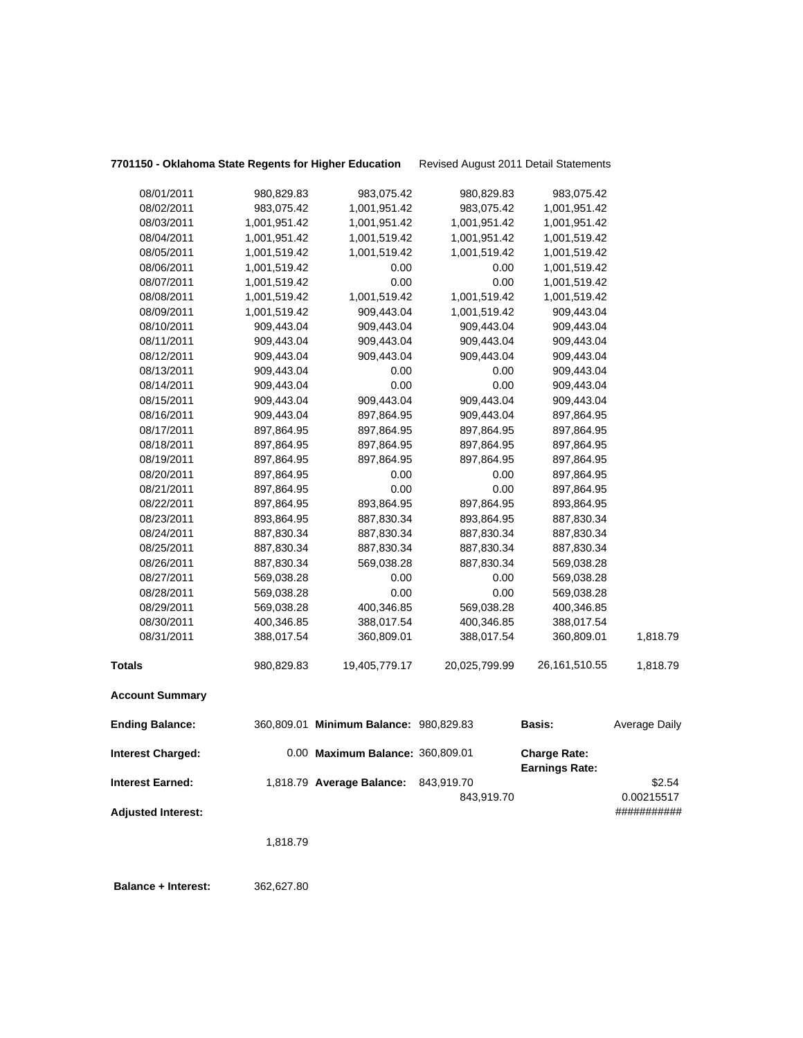| 7701150 - Oklahoma State Regents for Higher Educatior |  |  |  |  |  |  |  |
|-------------------------------------------------------|--|--|--|--|--|--|--|
|-------------------------------------------------------|--|--|--|--|--|--|--|

**9gents for Higher Education** Revised August 2011 Detail Statements

| 08/01/2011                | 980,829.83   | 983,075.42                             | 980,829.83    | 983,075.42            |                           |
|---------------------------|--------------|----------------------------------------|---------------|-----------------------|---------------------------|
| 08/02/2011                | 983,075.42   | 1,001,951.42                           | 983,075.42    | 1,001,951.42          |                           |
| 08/03/2011                | 1,001,951.42 | 1,001,951.42                           | 1,001,951.42  | 1,001,951.42          |                           |
| 08/04/2011                | 1,001,951.42 | 1,001,519.42                           | 1,001,951.42  | 1,001,519.42          |                           |
| 08/05/2011                | 1,001,519.42 | 1,001,519.42                           | 1,001,519.42  | 1,001,519.42          |                           |
| 08/06/2011                | 1,001,519.42 | 0.00                                   | 0.00          | 1,001,519.42          |                           |
| 08/07/2011                | 1,001,519.42 | 0.00                                   | 0.00          | 1,001,519.42          |                           |
| 08/08/2011                | 1,001,519.42 | 1,001,519.42                           | 1,001,519.42  | 1,001,519.42          |                           |
| 08/09/2011                | 1,001,519.42 | 909,443.04                             | 1,001,519.42  | 909,443.04            |                           |
| 08/10/2011                | 909,443.04   | 909,443.04                             | 909,443.04    | 909,443.04            |                           |
| 08/11/2011                | 909,443.04   | 909,443.04                             | 909,443.04    | 909,443.04            |                           |
| 08/12/2011                | 909,443.04   | 909,443.04                             | 909,443.04    | 909,443.04            |                           |
| 08/13/2011                | 909,443.04   | 0.00                                   | 0.00          | 909,443.04            |                           |
| 08/14/2011                | 909,443.04   | 0.00                                   | 0.00          | 909,443.04            |                           |
| 08/15/2011                | 909,443.04   | 909,443.04                             | 909,443.04    | 909,443.04            |                           |
| 08/16/2011                | 909,443.04   | 897,864.95                             | 909,443.04    | 897,864.95            |                           |
| 08/17/2011                | 897,864.95   | 897,864.95                             | 897,864.95    | 897,864.95            |                           |
| 08/18/2011                | 897,864.95   | 897,864.95                             | 897,864.95    | 897,864.95            |                           |
| 08/19/2011                | 897,864.95   | 897,864.95                             | 897,864.95    | 897,864.95            |                           |
| 08/20/2011                | 897,864.95   | 0.00                                   | 0.00          | 897,864.95            |                           |
| 08/21/2011                | 897,864.95   | 0.00                                   | 0.00          | 897,864.95            |                           |
| 08/22/2011                | 897,864.95   | 893,864.95                             | 897,864.95    | 893,864.95            |                           |
| 08/23/2011                | 893,864.95   | 887,830.34                             | 893,864.95    | 887,830.34            |                           |
| 08/24/2011                | 887,830.34   | 887,830.34                             | 887,830.34    | 887,830.34            |                           |
| 08/25/2011                | 887,830.34   | 887,830.34                             | 887,830.34    | 887,830.34            |                           |
| 08/26/2011                | 887,830.34   | 569,038.28                             | 887,830.34    | 569,038.28            |                           |
| 08/27/2011                | 569,038.28   | 0.00                                   | 0.00          | 569,038.28            |                           |
| 08/28/2011                | 569,038.28   | 0.00                                   | 0.00          | 569,038.28            |                           |
| 08/29/2011                | 569,038.28   | 400,346.85                             | 569,038.28    | 400,346.85            |                           |
| 08/30/2011                | 400,346.85   | 388,017.54                             | 400,346.85    | 388,017.54            |                           |
| 08/31/2011                | 388,017.54   | 360,809.01                             | 388,017.54    | 360,809.01            | 1,818.79                  |
|                           |              |                                        |               |                       |                           |
| <b>Totals</b>             | 980,829.83   | 19,405,779.17                          | 20,025,799.99 | 26,161,510.55         | 1,818.79                  |
| <b>Account Summary</b>    |              |                                        |               |                       |                           |
| <b>Ending Balance:</b>    |              | 360,809.01 Minimum Balance: 980,829.83 |               | Basis:                | Average Daily             |
| <b>Interest Charged:</b>  |              | 0.00 Maximum Balance: 360,809.01       |               | <b>Charge Rate:</b>   |                           |
|                           |              |                                        |               | <b>Earnings Rate:</b> |                           |
| <b>Interest Earned:</b>   |              | 1,818.79 Average Balance:              | 843,919.70    |                       | \$2.54                    |
| <b>Adjusted Interest:</b> |              |                                        | 843,919.70    |                       | 0.00215517<br>########### |
|                           |              |                                        |               |                       |                           |
|                           | 1,818.79     |                                        |               |                       |                           |
|                           |              |                                        |               |                       |                           |
|                           |              |                                        |               |                       |                           |

 **Balance + Interest:** 362,627.80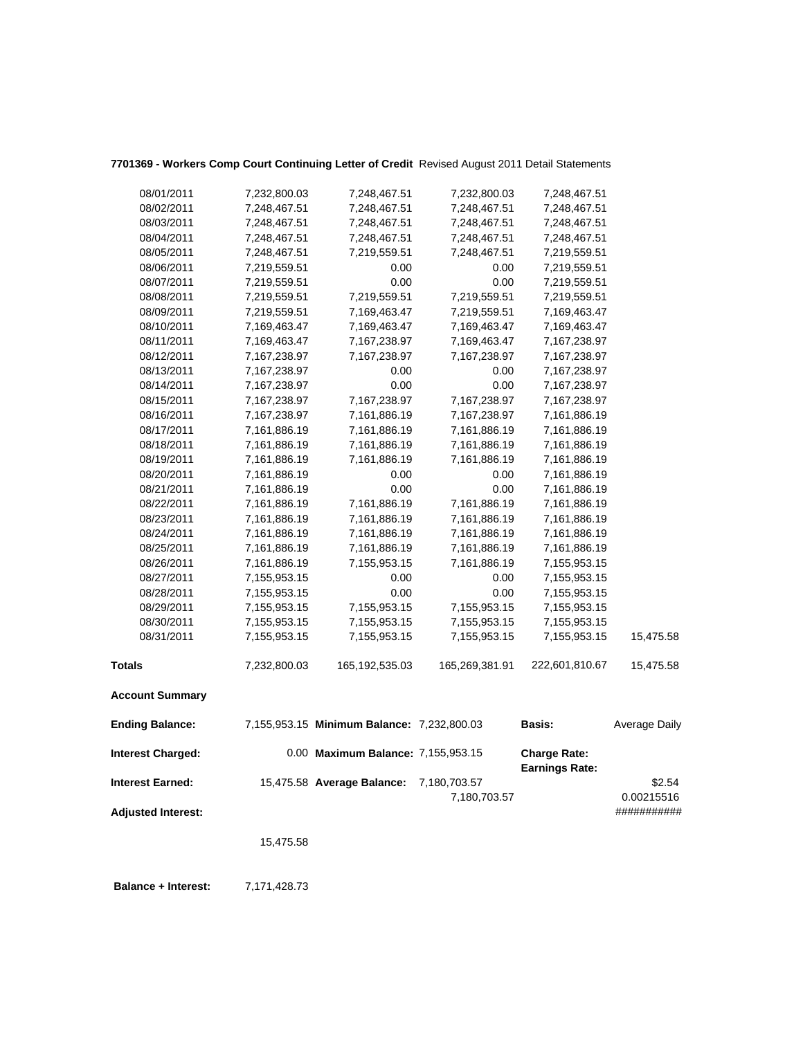| 08/01/2011                | 7,232,800.03 | 7,248,467.51                               | 7,232,800.03                 | 7,248,467.51                                 |                      |
|---------------------------|--------------|--------------------------------------------|------------------------------|----------------------------------------------|----------------------|
| 08/02/2011                | 7,248,467.51 | 7,248,467.51                               | 7,248,467.51                 | 7,248,467.51                                 |                      |
| 08/03/2011                | 7,248,467.51 | 7,248,467.51                               | 7,248,467.51                 | 7,248,467.51                                 |                      |
| 08/04/2011                | 7,248,467.51 | 7,248,467.51                               | 7,248,467.51                 | 7,248,467.51                                 |                      |
| 08/05/2011                | 7,248,467.51 | 7,219,559.51                               | 7,248,467.51                 | 7,219,559.51                                 |                      |
| 08/06/2011                | 7,219,559.51 | 0.00                                       | 0.00                         | 7,219,559.51                                 |                      |
| 08/07/2011                | 7,219,559.51 | 0.00                                       | 0.00                         | 7,219,559.51                                 |                      |
| 08/08/2011                | 7,219,559.51 | 7,219,559.51                               | 7,219,559.51                 | 7,219,559.51                                 |                      |
| 08/09/2011                | 7,219,559.51 | 7,169,463.47                               | 7,219,559.51                 | 7,169,463.47                                 |                      |
| 08/10/2011                | 7,169,463.47 | 7,169,463.47                               | 7,169,463.47                 | 7,169,463.47                                 |                      |
| 08/11/2011                | 7,169,463.47 | 7,167,238.97                               | 7,169,463.47                 | 7,167,238.97                                 |                      |
| 08/12/2011                | 7,167,238.97 | 7,167,238.97                               | 7,167,238.97                 | 7,167,238.97                                 |                      |
| 08/13/2011                | 7,167,238.97 | 0.00                                       | 0.00                         | 7,167,238.97                                 |                      |
| 08/14/2011                | 7,167,238.97 | 0.00                                       | 0.00                         | 7,167,238.97                                 |                      |
| 08/15/2011                | 7,167,238.97 | 7,167,238.97                               | 7,167,238.97                 | 7,167,238.97                                 |                      |
| 08/16/2011                | 7,167,238.97 | 7,161,886.19                               | 7,167,238.97                 | 7,161,886.19                                 |                      |
| 08/17/2011                | 7,161,886.19 | 7,161,886.19                               | 7,161,886.19                 | 7,161,886.19                                 |                      |
| 08/18/2011                | 7,161,886.19 | 7,161,886.19                               | 7,161,886.19                 | 7,161,886.19                                 |                      |
| 08/19/2011                | 7,161,886.19 | 7,161,886.19                               | 7,161,886.19                 | 7,161,886.19                                 |                      |
| 08/20/2011                | 7,161,886.19 | 0.00                                       | 0.00                         | 7,161,886.19                                 |                      |
| 08/21/2011                | 7,161,886.19 | 0.00                                       | 0.00                         | 7,161,886.19                                 |                      |
| 08/22/2011                | 7,161,886.19 | 7,161,886.19                               | 7,161,886.19                 | 7,161,886.19                                 |                      |
| 08/23/2011                | 7,161,886.19 | 7,161,886.19                               | 7,161,886.19                 | 7,161,886.19                                 |                      |
| 08/24/2011                | 7,161,886.19 | 7,161,886.19                               | 7,161,886.19                 | 7,161,886.19                                 |                      |
| 08/25/2011                | 7,161,886.19 | 7,161,886.19                               | 7,161,886.19                 | 7,161,886.19                                 |                      |
| 08/26/2011                | 7,161,886.19 | 7,155,953.15                               | 7,161,886.19                 | 7,155,953.15                                 |                      |
| 08/27/2011                | 7,155,953.15 | 0.00                                       | 0.00                         | 7,155,953.15                                 |                      |
| 08/28/2011                | 7,155,953.15 | 0.00                                       | 0.00                         | 7,155,953.15                                 |                      |
| 08/29/2011                | 7,155,953.15 | 7,155,953.15                               | 7,155,953.15                 | 7,155,953.15                                 |                      |
| 08/30/2011                | 7,155,953.15 | 7,155,953.15                               | 7,155,953.15                 | 7,155,953.15                                 |                      |
| 08/31/2011                | 7,155,953.15 | 7,155,953.15                               | 7,155,953.15                 | 7,155,953.15                                 | 15,475.58            |
| <b>Totals</b>             | 7,232,800.03 | 165, 192, 535.03                           | 165,269,381.91               | 222,601,810.67                               | 15,475.58            |
| <b>Account Summary</b>    |              |                                            |                              |                                              |                      |
| <b>Ending Balance:</b>    |              | 7,155,953.15 Minimum Balance: 7,232,800.03 |                              | <b>Basis:</b>                                | Average Daily        |
| <b>Interest Charged:</b>  |              | 0.00 Maximum Balance: 7,155,953.15         |                              | <b>Charge Rate:</b><br><b>Earnings Rate:</b> |                      |
| <b>Interest Earned:</b>   |              | 15,475.58 Average Balance:                 | 7,180,703.57<br>7,180,703.57 |                                              | \$2.54<br>0.00215516 |
| <b>Adjusted Interest:</b> |              |                                            |                              |                                              | ###########          |

# **7701369 - Workers Comp Court Continuing Letter of Credit** Revised August 2011 Detail Statements

15,475.58

 **Balance + Interest:** 7,171,428.73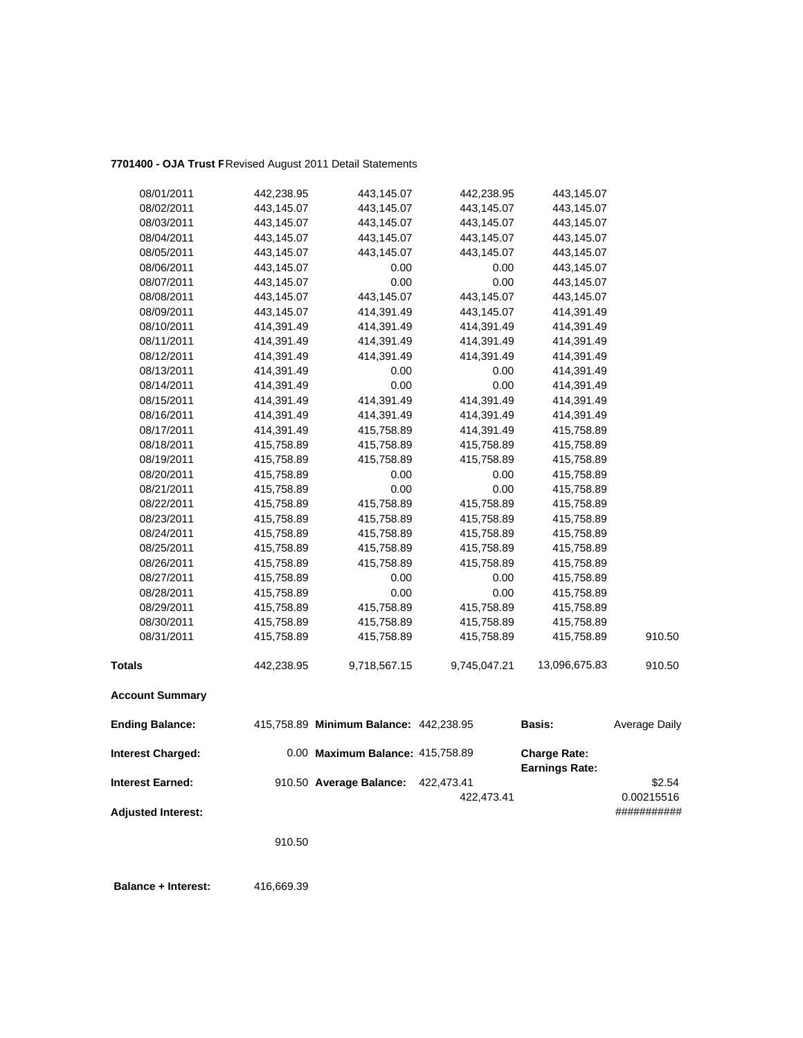## **7701400 - OJA Trust F**Revised August 2011 Detail Statements

| 08/01/2011                | 442,238.95 | 443,145.07                             | 442,238.95               | 443,145.07                                   |                      |
|---------------------------|------------|----------------------------------------|--------------------------|----------------------------------------------|----------------------|
| 08/02/2011                | 443,145.07 | 443,145.07                             | 443,145.07               | 443,145.07                                   |                      |
| 08/03/2011                | 443,145.07 | 443,145.07                             | 443,145.07               | 443,145.07                                   |                      |
| 08/04/2011                | 443,145.07 | 443,145.07                             | 443,145.07               | 443,145.07                                   |                      |
| 08/05/2011                | 443,145.07 | 443,145.07                             | 443,145.07               | 443,145.07                                   |                      |
| 08/06/2011                | 443,145.07 | 0.00                                   | 0.00                     | 443,145.07                                   |                      |
| 08/07/2011                | 443,145.07 | 0.00                                   | 0.00                     | 443,145.07                                   |                      |
| 08/08/2011                | 443,145.07 | 443,145.07                             | 443,145.07               | 443,145.07                                   |                      |
| 08/09/2011                | 443,145.07 | 414,391.49                             | 443,145.07               | 414,391.49                                   |                      |
| 08/10/2011                | 414,391.49 | 414,391.49                             | 414,391.49               | 414,391.49                                   |                      |
| 08/11/2011                | 414,391.49 | 414,391.49                             | 414,391.49               | 414,391.49                                   |                      |
| 08/12/2011                | 414,391.49 | 414,391.49                             | 414,391.49               | 414,391.49                                   |                      |
| 08/13/2011                | 414,391.49 | 0.00                                   | 0.00                     | 414,391.49                                   |                      |
| 08/14/2011                | 414,391.49 | 0.00                                   | 0.00                     | 414,391.49                                   |                      |
| 08/15/2011                | 414,391.49 | 414,391.49                             | 414,391.49               | 414,391.49                                   |                      |
| 08/16/2011                | 414,391.49 | 414,391.49                             | 414,391.49               | 414,391.49                                   |                      |
| 08/17/2011                | 414,391.49 | 415,758.89                             | 414,391.49               | 415,758.89                                   |                      |
| 08/18/2011                | 415,758.89 | 415,758.89                             | 415,758.89               | 415,758.89                                   |                      |
| 08/19/2011                | 415,758.89 | 415,758.89                             | 415,758.89               | 415,758.89                                   |                      |
| 08/20/2011                | 415,758.89 | 0.00                                   | 0.00                     | 415,758.89                                   |                      |
| 08/21/2011                | 415,758.89 | 0.00                                   | 0.00                     | 415,758.89                                   |                      |
| 08/22/2011                | 415,758.89 | 415,758.89                             | 415,758.89               | 415,758.89                                   |                      |
| 08/23/2011                | 415,758.89 | 415,758.89                             | 415,758.89               | 415,758.89                                   |                      |
| 08/24/2011                | 415,758.89 | 415,758.89                             | 415,758.89               | 415,758.89                                   |                      |
| 08/25/2011                | 415,758.89 | 415,758.89                             | 415,758.89               | 415,758.89                                   |                      |
| 08/26/2011                | 415,758.89 | 415,758.89                             | 415,758.89               | 415,758.89                                   |                      |
| 08/27/2011                | 415,758.89 | 0.00                                   | 0.00                     | 415,758.89                                   |                      |
| 08/28/2011                | 415,758.89 | 0.00                                   | 0.00                     | 415,758.89                                   |                      |
| 08/29/2011                | 415,758.89 | 415,758.89                             | 415,758.89               | 415,758.89                                   |                      |
| 08/30/2011                | 415,758.89 | 415,758.89                             | 415,758.89               | 415,758.89                                   |                      |
| 08/31/2011                | 415,758.89 | 415,758.89                             | 415,758.89               | 415,758.89                                   | 910.50               |
| <b>Totals</b>             | 442,238.95 | 9,718,567.15                           | 9,745,047.21             | 13,096,675.83                                | 910.50               |
| <b>Account Summary</b>    |            |                                        |                          |                                              |                      |
| <b>Ending Balance:</b>    |            | 415,758.89 Minimum Balance: 442,238.95 |                          | <b>Basis:</b>                                | Average Daily        |
| <b>Interest Charged:</b>  |            | 0.00 Maximum Balance: 415,758.89       |                          | <b>Charge Rate:</b><br><b>Earnings Rate:</b> |                      |
| <b>Interest Earned:</b>   |            | 910.50 Average Balance:                | 422,473.41<br>422,473.41 |                                              | \$2.54<br>0.00215516 |
| <b>Adjusted Interest:</b> |            |                                        |                          |                                              | ###########          |

910.50

**Balance + Interest:** 416,669.39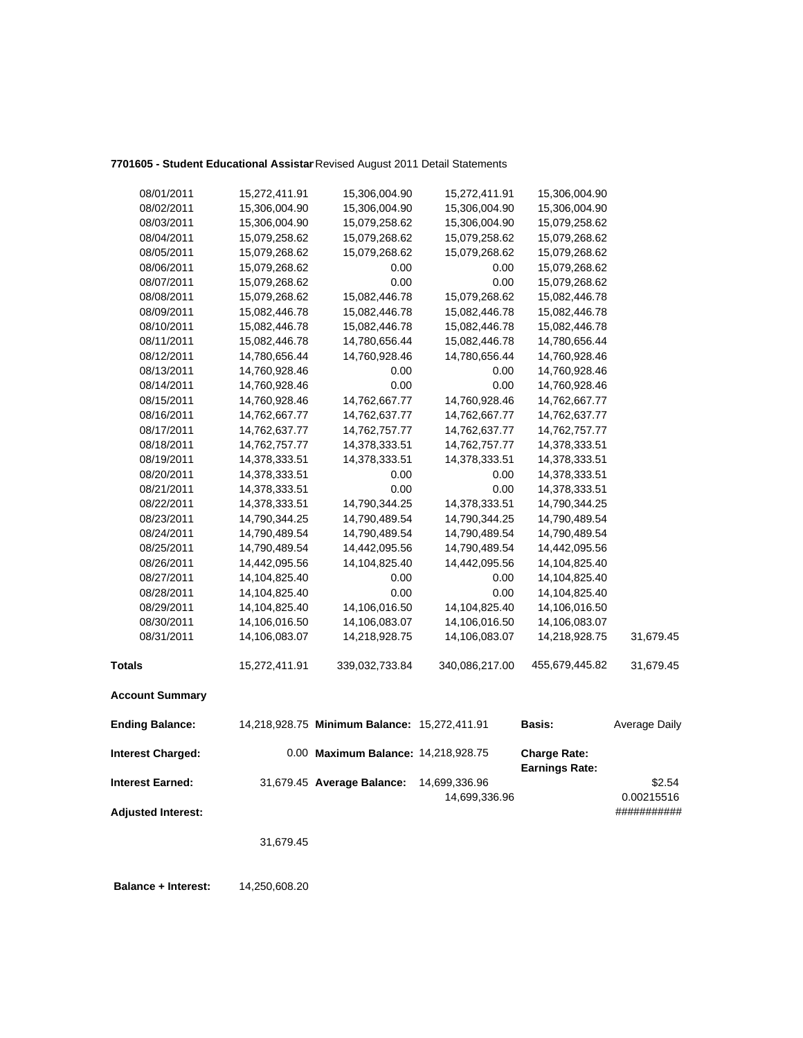## **7701605 - Student Educational Assistan**Revised August 2011 Detail Statements

| 08/01/2011                | 15,272,411.91 | 15,306,004.90                                | 15,272,411.91  | 15,306,004.90         |               |
|---------------------------|---------------|----------------------------------------------|----------------|-----------------------|---------------|
| 08/02/2011                | 15,306,004.90 | 15,306,004.90                                | 15,306,004.90  | 15,306,004.90         |               |
| 08/03/2011                | 15,306,004.90 | 15,079,258.62                                | 15,306,004.90  | 15,079,258.62         |               |
| 08/04/2011                | 15,079,258.62 | 15,079,268.62                                | 15,079,258.62  | 15,079,268.62         |               |
| 08/05/2011                | 15,079,268.62 | 15,079,268.62                                | 15,079,268.62  | 15,079,268.62         |               |
| 08/06/2011                | 15,079,268.62 | 0.00                                         | 0.00           | 15,079,268.62         |               |
| 08/07/2011                | 15,079,268.62 | 0.00                                         | 0.00           | 15,079,268.62         |               |
| 08/08/2011                | 15,079,268.62 | 15,082,446.78                                | 15,079,268.62  | 15,082,446.78         |               |
| 08/09/2011                | 15,082,446.78 | 15,082,446.78                                | 15,082,446.78  | 15,082,446.78         |               |
| 08/10/2011                | 15,082,446.78 | 15,082,446.78                                | 15,082,446.78  | 15,082,446.78         |               |
| 08/11/2011                | 15,082,446.78 | 14,780,656.44                                | 15,082,446.78  | 14,780,656.44         |               |
| 08/12/2011                | 14,780,656.44 | 14,760,928.46                                | 14,780,656.44  | 14,760,928.46         |               |
| 08/13/2011                | 14,760,928.46 | 0.00                                         | 0.00           | 14,760,928.46         |               |
| 08/14/2011                | 14,760,928.46 | 0.00                                         | 0.00           | 14,760,928.46         |               |
| 08/15/2011                | 14,760,928.46 | 14,762,667.77                                | 14,760,928.46  | 14,762,667.77         |               |
| 08/16/2011                | 14,762,667.77 | 14,762,637.77                                | 14,762,667.77  | 14,762,637.77         |               |
| 08/17/2011                | 14,762,637.77 | 14,762,757.77                                | 14,762,637.77  | 14,762,757.77         |               |
| 08/18/2011                | 14,762,757.77 | 14,378,333.51                                | 14,762,757.77  | 14,378,333.51         |               |
| 08/19/2011                | 14,378,333.51 | 14,378,333.51                                | 14,378,333.51  | 14,378,333.51         |               |
| 08/20/2011                | 14,378,333.51 | 0.00                                         | 0.00           | 14,378,333.51         |               |
| 08/21/2011                | 14,378,333.51 | 0.00                                         | 0.00           | 14,378,333.51         |               |
| 08/22/2011                | 14,378,333.51 | 14,790,344.25                                | 14,378,333.51  | 14,790,344.25         |               |
| 08/23/2011                | 14,790,344.25 | 14,790,489.54                                | 14,790,344.25  | 14,790,489.54         |               |
| 08/24/2011                | 14,790,489.54 | 14,790,489.54                                | 14,790,489.54  | 14,790,489.54         |               |
| 08/25/2011                | 14,790,489.54 | 14,442,095.56                                | 14,790,489.54  | 14,442,095.56         |               |
| 08/26/2011                | 14,442,095.56 | 14,104,825.40                                | 14,442,095.56  | 14,104,825.40         |               |
| 08/27/2011                | 14,104,825.40 | 0.00                                         | 0.00           | 14,104,825.40         |               |
| 08/28/2011                | 14,104,825.40 | 0.00                                         | 0.00           | 14,104,825.40         |               |
| 08/29/2011                | 14,104,825.40 | 14,106,016.50                                | 14,104,825.40  | 14,106,016.50         |               |
| 08/30/2011                | 14,106,016.50 | 14,106,083.07                                | 14,106,016.50  | 14,106,083.07         |               |
| 08/31/2011                | 14,106,083.07 | 14,218,928.75                                | 14,106,083.07  | 14,218,928.75         | 31,679.45     |
| <b>Totals</b>             | 15,272,411.91 | 339,032,733.84                               | 340,086,217.00 | 455,679,445.82        | 31,679.45     |
| <b>Account Summary</b>    |               |                                              |                |                       |               |
| <b>Ending Balance:</b>    |               | 14,218,928.75 Minimum Balance: 15,272,411.91 |                | Basis:                | Average Daily |
| <b>Interest Charged:</b>  |               | 0.00 Maximum Balance: 14,218,928.75          |                | <b>Charge Rate:</b>   |               |
|                           |               |                                              |                | <b>Earnings Rate:</b> |               |
| <b>Interest Earned:</b>   |               | 31,679.45 Average Balance:                   | 14,699,336.96  |                       | \$2.54        |
|                           |               |                                              | 14,699,336.96  |                       | 0.00215516    |
| <b>Adjusted Interest:</b> |               |                                              |                |                       | ###########   |
|                           | 31,679.45     |                                              |                |                       |               |
|                           |               |                                              |                |                       |               |

 **Balance + Interest:** 14,250,608.20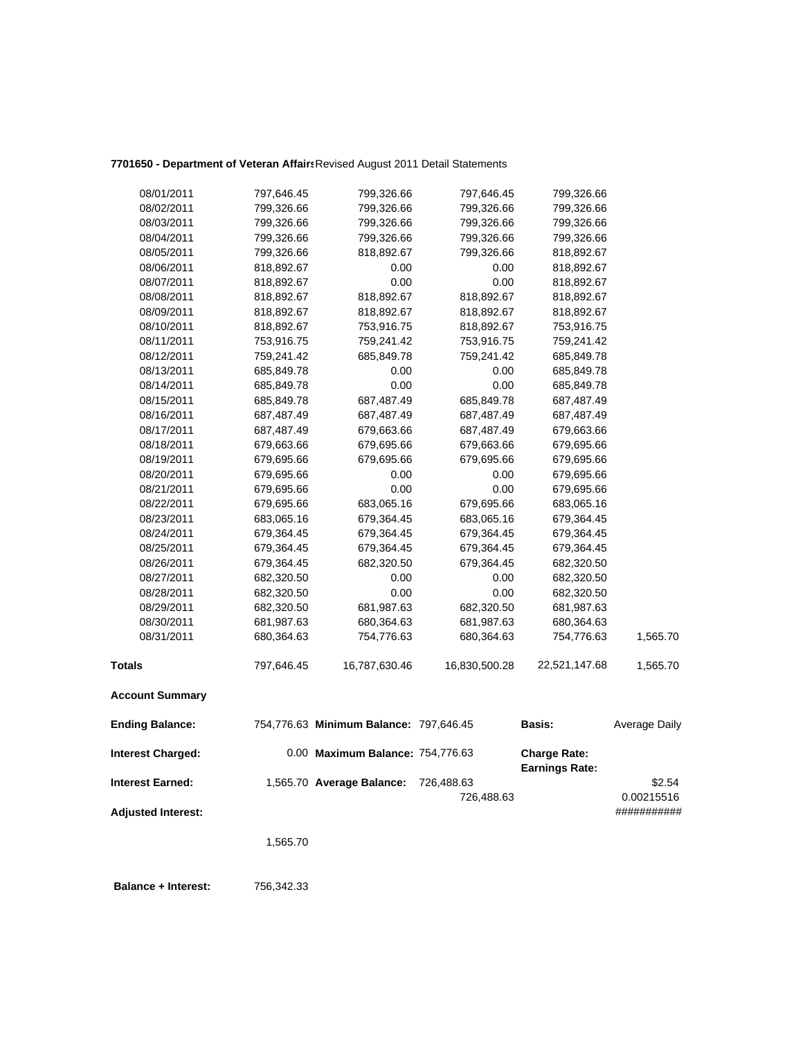## **7701650 - Department of Veteran Affairs**Revised August 2011 Detail Statements

| 08/01/2011                | 797,646.45 | 799,326.66                             | 797,646.45    | 799,326.66            |               |
|---------------------------|------------|----------------------------------------|---------------|-----------------------|---------------|
| 08/02/2011                | 799,326.66 | 799,326.66                             | 799,326.66    | 799,326.66            |               |
| 08/03/2011                | 799,326.66 | 799,326.66                             | 799,326.66    | 799,326.66            |               |
| 08/04/2011                | 799,326.66 | 799,326.66                             | 799,326.66    | 799,326.66            |               |
| 08/05/2011                | 799,326.66 | 818,892.67                             | 799,326.66    | 818,892.67            |               |
| 08/06/2011                | 818,892.67 | 0.00                                   | 0.00          | 818,892.67            |               |
| 08/07/2011                | 818,892.67 | 0.00                                   | 0.00          | 818,892.67            |               |
| 08/08/2011                | 818,892.67 | 818,892.67                             | 818,892.67    | 818,892.67            |               |
| 08/09/2011                | 818,892.67 | 818,892.67                             | 818,892.67    | 818,892.67            |               |
| 08/10/2011                | 818,892.67 | 753,916.75                             | 818,892.67    | 753,916.75            |               |
| 08/11/2011                | 753,916.75 | 759,241.42                             | 753,916.75    | 759,241.42            |               |
| 08/12/2011                | 759,241.42 | 685,849.78                             | 759,241.42    | 685,849.78            |               |
| 08/13/2011                | 685,849.78 | 0.00                                   | 0.00          | 685,849.78            |               |
| 08/14/2011                | 685,849.78 | 0.00                                   | 0.00          | 685,849.78            |               |
| 08/15/2011                | 685,849.78 | 687,487.49                             | 685,849.78    | 687,487.49            |               |
| 08/16/2011                | 687,487.49 | 687,487.49                             | 687,487.49    | 687,487.49            |               |
| 08/17/2011                | 687,487.49 | 679,663.66                             | 687,487.49    | 679,663.66            |               |
| 08/18/2011                | 679,663.66 | 679,695.66                             | 679,663.66    | 679,695.66            |               |
| 08/19/2011                | 679,695.66 | 679,695.66                             | 679,695.66    | 679,695.66            |               |
| 08/20/2011                | 679,695.66 | 0.00                                   | 0.00          | 679,695.66            |               |
| 08/21/2011                | 679,695.66 | 0.00                                   | 0.00          | 679,695.66            |               |
| 08/22/2011                | 679,695.66 | 683,065.16                             | 679,695.66    | 683,065.16            |               |
| 08/23/2011                | 683,065.16 | 679,364.45                             | 683,065.16    | 679,364.45            |               |
| 08/24/2011                | 679,364.45 | 679,364.45                             | 679,364.45    | 679,364.45            |               |
| 08/25/2011                | 679,364.45 | 679,364.45                             | 679,364.45    | 679,364.45            |               |
| 08/26/2011                | 679,364.45 | 682,320.50                             | 679,364.45    | 682,320.50            |               |
| 08/27/2011                | 682,320.50 | 0.00                                   | 0.00          | 682,320.50            |               |
| 08/28/2011                | 682,320.50 | 0.00                                   | 0.00          | 682,320.50            |               |
| 08/29/2011                | 682,320.50 | 681,987.63                             | 682,320.50    | 681,987.63            |               |
| 08/30/2011                | 681,987.63 | 680,364.63                             | 681,987.63    | 680,364.63            |               |
| 08/31/2011                | 680,364.63 | 754,776.63                             | 680,364.63    | 754,776.63            | 1,565.70      |
| <b>Totals</b>             | 797,646.45 | 16,787,630.46                          | 16,830,500.28 | 22,521,147.68         | 1,565.70      |
| <b>Account Summary</b>    |            |                                        |               |                       |               |
| <b>Ending Balance:</b>    |            | 754,776.63 Minimum Balance: 797,646.45 |               | <b>Basis:</b>         | Average Daily |
| <b>Interest Charged:</b>  |            | 0.00 Maximum Balance: 754,776.63       |               | <b>Charge Rate:</b>   |               |
|                           |            |                                        |               | <b>Earnings Rate:</b> |               |
| <b>Interest Earned:</b>   |            | 1,565.70 Average Balance:              | 726,488.63    |                       | \$2.54        |
|                           |            |                                        | 726,488.63    |                       | 0.00215516    |
| <b>Adjusted Interest:</b> |            |                                        |               |                       | ###########   |
|                           | 1,565.70   |                                        |               |                       |               |

 **Balance + Interest:** 756,342.33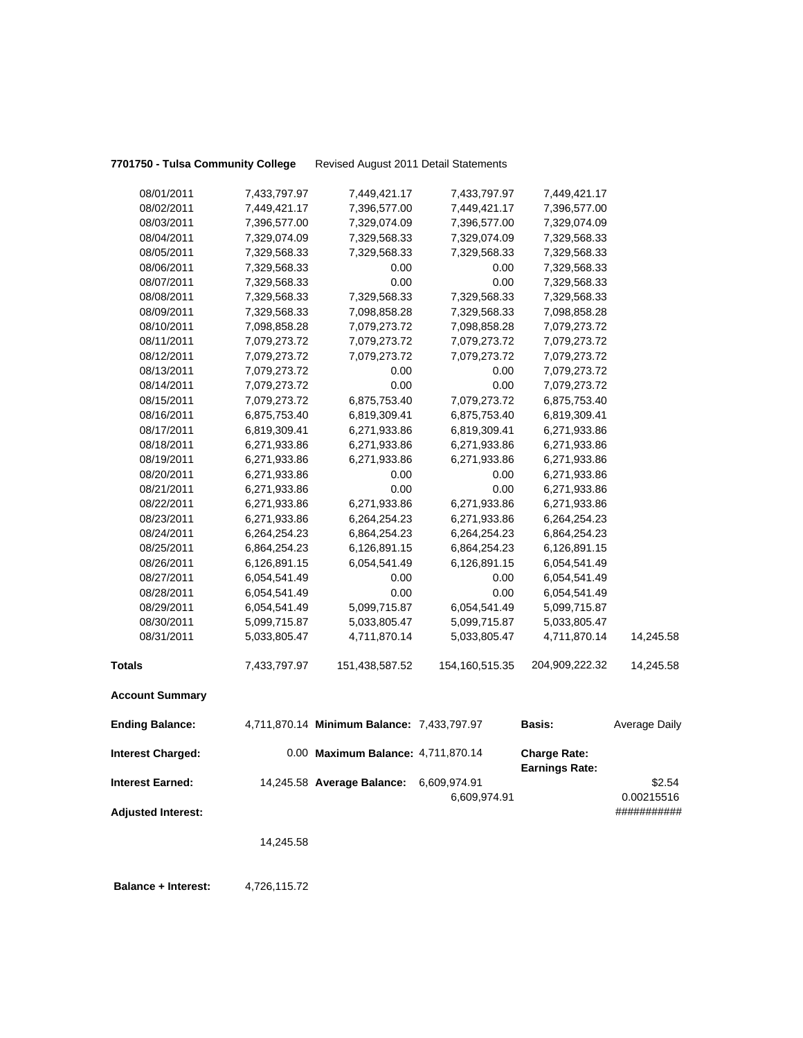**7701750 - Tulsa Community College** Revised August 2011 Detail Statements

| 08/01/2011                | 7,433,797.97 | 7,449,421.17                               | 7,433,797.97      | 7,449,421.17                          |                      |
|---------------------------|--------------|--------------------------------------------|-------------------|---------------------------------------|----------------------|
| 08/02/2011                | 7,449,421.17 | 7,396,577.00                               | 7,449,421.17      | 7,396,577.00                          |                      |
| 08/03/2011                | 7,396,577.00 | 7,329,074.09                               | 7,396,577.00      | 7,329,074.09                          |                      |
| 08/04/2011                | 7,329,074.09 | 7,329,568.33                               | 7,329,074.09      | 7,329,568.33                          |                      |
| 08/05/2011                | 7,329,568.33 | 7,329,568.33                               | 7,329,568.33      | 7,329,568.33                          |                      |
| 08/06/2011                | 7,329,568.33 | 0.00                                       | 0.00              | 7,329,568.33                          |                      |
| 08/07/2011                | 7,329,568.33 | 0.00                                       | 0.00              | 7,329,568.33                          |                      |
| 08/08/2011                | 7,329,568.33 | 7,329,568.33                               | 7,329,568.33      | 7,329,568.33                          |                      |
| 08/09/2011                | 7,329,568.33 | 7,098,858.28                               | 7,329,568.33      | 7,098,858.28                          |                      |
| 08/10/2011                | 7,098,858.28 | 7,079,273.72                               | 7,098,858.28      | 7,079,273.72                          |                      |
| 08/11/2011                | 7,079,273.72 | 7,079,273.72                               | 7,079,273.72      | 7,079,273.72                          |                      |
| 08/12/2011                | 7,079,273.72 | 7,079,273.72                               | 7,079,273.72      | 7,079,273.72                          |                      |
| 08/13/2011                | 7,079,273.72 | 0.00                                       | 0.00              | 7,079,273.72                          |                      |
| 08/14/2011                | 7,079,273.72 | 0.00                                       | 0.00              | 7,079,273.72                          |                      |
| 08/15/2011                | 7,079,273.72 | 6,875,753.40                               | 7,079,273.72      | 6,875,753.40                          |                      |
| 08/16/2011                | 6,875,753.40 | 6,819,309.41                               | 6,875,753.40      | 6,819,309.41                          |                      |
| 08/17/2011                | 6,819,309.41 | 6,271,933.86                               | 6,819,309.41      | 6,271,933.86                          |                      |
| 08/18/2011                | 6,271,933.86 | 6,271,933.86                               | 6,271,933.86      | 6,271,933.86                          |                      |
| 08/19/2011                | 6,271,933.86 | 6,271,933.86                               | 6,271,933.86      | 6,271,933.86                          |                      |
| 08/20/2011                | 6,271,933.86 | 0.00                                       | 0.00              | 6,271,933.86                          |                      |
| 08/21/2011                | 6,271,933.86 | 0.00                                       | 0.00              | 6,271,933.86                          |                      |
| 08/22/2011                | 6,271,933.86 | 6,271,933.86                               | 6,271,933.86      | 6,271,933.86                          |                      |
| 08/23/2011                | 6,271,933.86 | 6,264,254.23                               | 6,271,933.86      | 6,264,254.23                          |                      |
| 08/24/2011                | 6,264,254.23 | 6,864,254.23                               | 6,264,254.23      | 6,864,254.23                          |                      |
| 08/25/2011                | 6,864,254.23 | 6,126,891.15                               | 6,864,254.23      | 6,126,891.15                          |                      |
| 08/26/2011                | 6,126,891.15 | 6,054,541.49                               | 6,126,891.15      | 6,054,541.49                          |                      |
| 08/27/2011                | 6,054,541.49 | 0.00                                       | 0.00              | 6,054,541.49                          |                      |
| 08/28/2011                | 6,054,541.49 | 0.00                                       | 0.00              | 6,054,541.49                          |                      |
| 08/29/2011                | 6,054,541.49 | 5,099,715.87                               | 6,054,541.49      | 5,099,715.87                          |                      |
| 08/30/2011                | 5,099,715.87 | 5,033,805.47                               | 5,099,715.87      | 5,033,805.47                          |                      |
| 08/31/2011                | 5,033,805.47 | 4,711,870.14                               | 5,033,805.47      | 4,711,870.14                          | 14,245.58            |
| <b>Totals</b>             | 7,433,797.97 | 151,438,587.52                             | 154, 160, 515. 35 | 204,909,222.32                        | 14,245.58            |
| <b>Account Summary</b>    |              |                                            |                   |                                       |                      |
| <b>Ending Balance:</b>    |              | 4,711,870.14 Minimum Balance: 7,433,797.97 |                   | <b>Basis:</b>                         | <b>Average Daily</b> |
| <b>Interest Charged:</b>  |              | 0.00 Maximum Balance: 4,711,870.14         |                   | <b>Charge Rate:</b><br>Earnings Rate: |                      |
| <b>Interest Earned:</b>   |              | 14,245.58 Average Balance:                 | 6,609,974.91      |                                       | \$2.54               |
|                           |              |                                            | 6,609,974.91      |                                       | 0.00215516           |
| <b>Adjusted Interest:</b> |              |                                            |                   |                                       | ###########          |
|                           |              |                                            |                   |                                       |                      |
|                           | 14,245.58    |                                            |                   |                                       |                      |
|                           |              |                                            |                   |                                       |                      |
|                           |              |                                            |                   |                                       |                      |

**Balance + Interest:** 4,726,115.72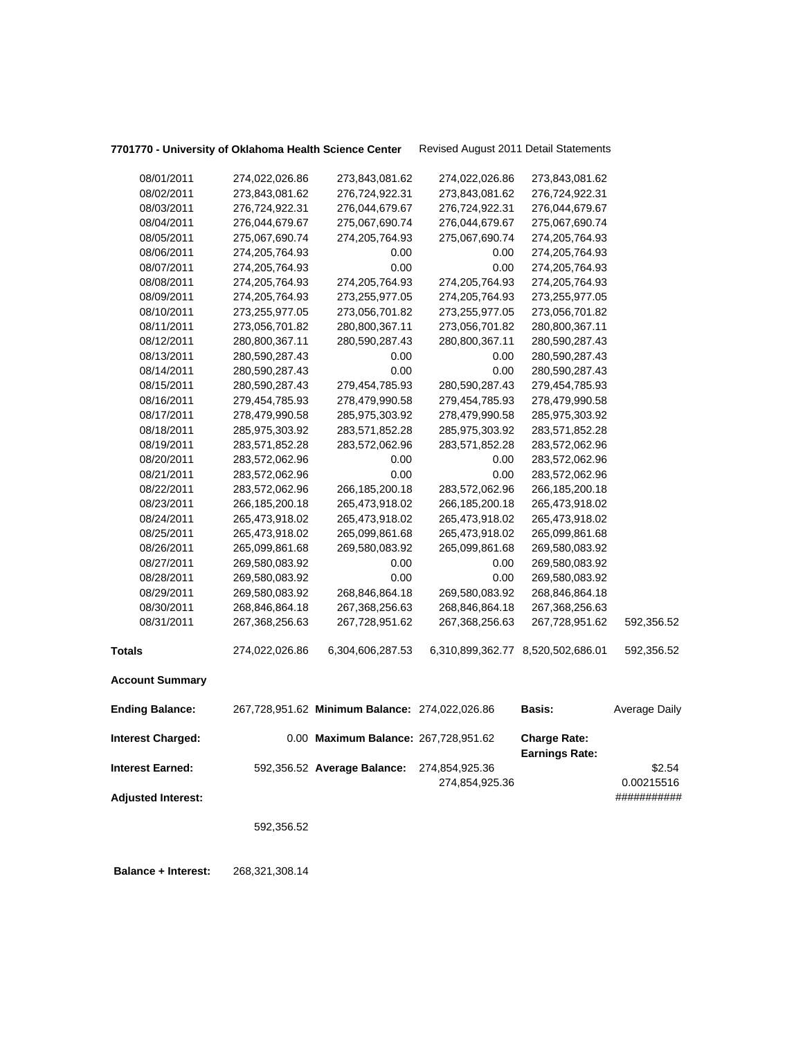# **7701770 - University of Oklahoma Health Science Center** Revised August 2011 Detail Statements

|                           | 592,356.52                       |                                                |                                  |                                              |                           |
|---------------------------|----------------------------------|------------------------------------------------|----------------------------------|----------------------------------------------|---------------------------|
| <b>Adjusted Interest:</b> |                                  |                                                | 274,854,925.36                   |                                              | 0.00215516<br>########### |
| Interest Earned:          |                                  | 592,356.52 Average Balance:                    | 274,854,925.36                   |                                              | \$2.54                    |
| <b>Interest Charged:</b>  |                                  | 0.00 Maximum Balance: 267,728,951.62           |                                  | <b>Charge Rate:</b><br><b>Earnings Rate:</b> |                           |
| <b>Ending Balance:</b>    |                                  | 267,728,951.62 Minimum Balance: 274,022,026.86 |                                  | <b>Basis:</b>                                | Average Daily             |
| <b>Account Summary</b>    |                                  |                                                |                                  |                                              |                           |
| Totals                    | 274,022,026.86                   | 6,304,606,287.53                               |                                  | 6,310,899,362.77 8,520,502,686.01            | 592,356.52                |
|                           |                                  |                                                |                                  |                                              |                           |
| 08/31/2011                | 267,368,256.63                   | 267,728,951.62                                 | 267,368,256.63                   | 267,728,951.62                               | 592,356.52                |
| 08/30/2011                | 268,846,864.18                   | 267,368,256.63                                 | 268,846,864.18                   | 267,368,256.63                               |                           |
| 08/29/2011                | 269,580,083.92                   | 268,846,864.18                                 | 269,580,083.92                   | 268,846,864.18                               |                           |
| 08/28/2011                | 269,580,083.92                   | 0.00                                           | 0.00                             | 269,580,083.92                               |                           |
| 08/27/2011                | 269,580,083.92                   | 0.00                                           | 0.00                             | 269,580,083.92                               |                           |
| 08/26/2011                | 265,099,861.68                   | 269,580,083.92                                 | 265,099,861.68                   | 269,580,083.92                               |                           |
| 08/25/2011                | 265,473,918.02                   | 265,099,861.68                                 | 265,473,918.02                   | 265,099,861.68                               |                           |
| 08/24/2011                | 265,473,918.02                   | 265,473,918.02                                 | 265,473,918.02                   | 265,473,918.02                               |                           |
| 08/23/2011                | 266,185,200.18                   | 265,473,918.02                                 | 266, 185, 200. 18                | 265,473,918.02                               |                           |
| 08/22/2011                | 283,572,062.96                   | 266,185,200.18                                 | 283,572,062.96                   | 266,185,200.18                               |                           |
| 08/21/2011                | 283,572,062.96                   | 0.00                                           | 0.00                             | 283,572,062.96                               |                           |
| 08/20/2011                | 283,572,062.96                   | 0.00                                           | 0.00                             | 283,572,062.96                               |                           |
| 08/19/2011                | 283,571,852.28                   | 283,572,062.96                                 | 283,571,852.28                   | 283,572,062.96                               |                           |
| 08/18/2011                | 285,975,303.92                   | 283,571,852.28                                 | 285,975,303.92                   | 283,571,852.28                               |                           |
| 08/17/2011                | 278,479,990.58                   | 285,975,303.92                                 | 278,479,990.58                   | 285,975,303.92                               |                           |
| 08/16/2011                | 279,454,785.93                   | 278,479,990.58                                 | 279,454,785.93                   | 278,479,990.58                               |                           |
| 08/15/2011                | 280,590,287.43                   | 279,454,785.93                                 | 280,590,287.43                   | 279,454,785.93                               |                           |
| 08/14/2011                | 280,590,287.43                   | 0.00                                           | 0.00                             | 280,590,287.43                               |                           |
| 08/13/2011                | 280,590,287.43                   | 0.00                                           | 0.00                             | 280,590,287.43                               |                           |
| 08/12/2011                | 280,800,367.11                   | 280,590,287.43                                 | 280,800,367.11                   | 280,590,287.43                               |                           |
| 08/11/2011                | 273,056,701.82                   | 280,800,367.11                                 | 273,056,701.82                   | 280,800,367.11                               |                           |
| 08/10/2011                | 273,255,977.05                   | 273,056,701.82                                 | 273,255,977.05                   | 273,056,701.82                               |                           |
| 08/09/2011                | 274,205,764.93                   | 273,255,977.05                                 | 274,205,764.93                   | 273,255,977.05                               |                           |
| 08/08/2011                | 274,205,764.93                   | 274,205,764.93                                 | 274,205,764.93                   | 274,205,764.93                               |                           |
| 08/07/2011                | 274,205,764.93                   | 0.00                                           | 0.00                             | 274,205,764.93                               |                           |
| 08/06/2011                | 274,205,764.93                   | 0.00                                           | 0.00                             | 274,205,764.93                               |                           |
| 08/05/2011                | 275,067,690.74                   | 274,205,764.93                                 | 275,067,690.74                   | 274,205,764.93                               |                           |
| 08/04/2011                | 276,044,679.67                   | 275,067,690.74                                 | 276,044,679.67                   | 275,067,690.74                               |                           |
| 08/03/2011                | 276,724,922.31                   | 276,044,679.67                                 | 276,724,922.31                   | 276,044,679.67                               |                           |
| 08/01/2011<br>08/02/2011  | 274,022,026.86<br>273,843,081.62 | 273,843,081.62<br>276,724,922.31               | 274,022,026.86<br>273,843,081.62 | 273,843,081.62<br>276,724,922.31             |                           |
|                           |                                  |                                                |                                  |                                              |                           |

 **Balance + Interest:** 268,321,308.14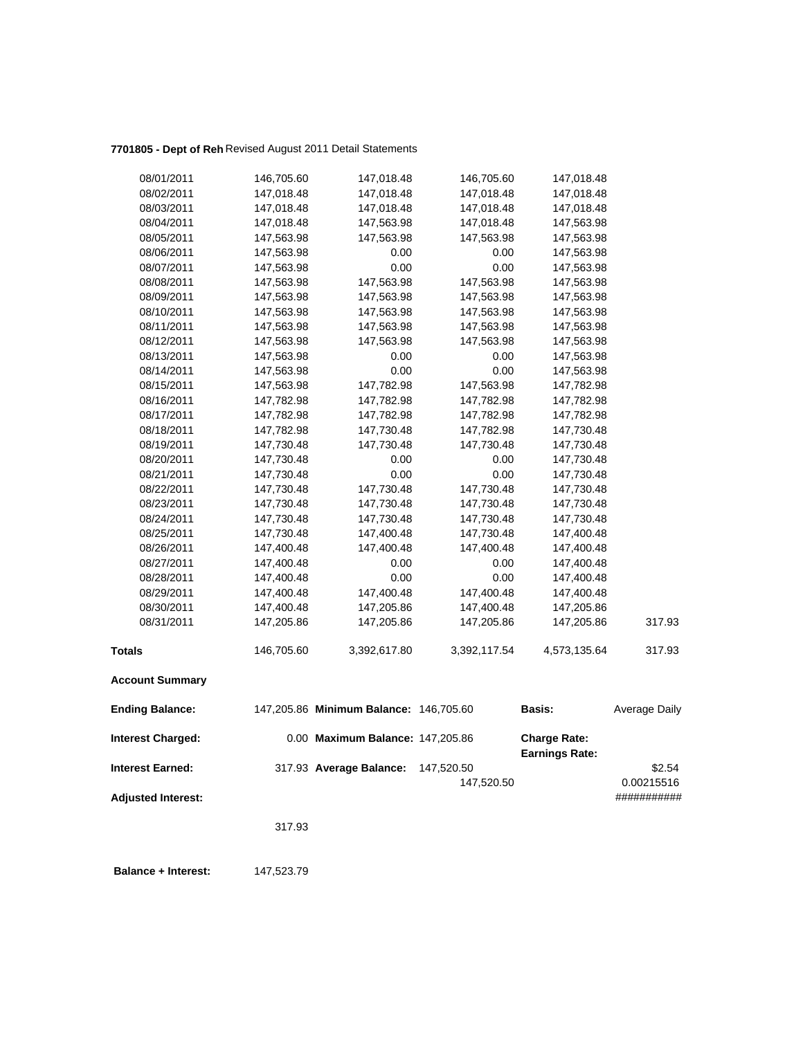## **7701805 - Dept of Reh** Revised August 2011 Detail Statements

| 08/01/2011                | 146,705.60 | 147,018.48                             | 146,705.60   | 147,018.48                            |               |
|---------------------------|------------|----------------------------------------|--------------|---------------------------------------|---------------|
| 08/02/2011                | 147,018.48 | 147,018.48                             | 147,018.48   | 147,018.48                            |               |
| 08/03/2011                | 147,018.48 | 147,018.48                             | 147,018.48   | 147,018.48                            |               |
| 08/04/2011                | 147,018.48 | 147,563.98                             | 147,018.48   | 147,563.98                            |               |
| 08/05/2011                | 147,563.98 | 147,563.98                             | 147,563.98   | 147,563.98                            |               |
| 08/06/2011                | 147,563.98 | 0.00                                   | 0.00         | 147,563.98                            |               |
| 08/07/2011                | 147,563.98 | 0.00                                   | 0.00         | 147,563.98                            |               |
| 08/08/2011                | 147,563.98 | 147,563.98                             | 147,563.98   | 147,563.98                            |               |
| 08/09/2011                | 147,563.98 | 147,563.98                             | 147,563.98   | 147,563.98                            |               |
| 08/10/2011                | 147,563.98 | 147,563.98                             | 147,563.98   | 147,563.98                            |               |
| 08/11/2011                | 147,563.98 | 147,563.98                             | 147,563.98   | 147,563.98                            |               |
| 08/12/2011                | 147,563.98 | 147,563.98                             | 147,563.98   | 147,563.98                            |               |
| 08/13/2011                | 147,563.98 | 0.00                                   | 0.00         | 147,563.98                            |               |
| 08/14/2011                | 147,563.98 | 0.00                                   | 0.00         | 147,563.98                            |               |
| 08/15/2011                | 147,563.98 | 147,782.98                             | 147,563.98   | 147,782.98                            |               |
| 08/16/2011                | 147,782.98 | 147,782.98                             | 147,782.98   | 147,782.98                            |               |
| 08/17/2011                | 147,782.98 | 147,782.98                             | 147,782.98   | 147,782.98                            |               |
| 08/18/2011                | 147,782.98 | 147,730.48                             | 147,782.98   | 147,730.48                            |               |
| 08/19/2011                | 147,730.48 | 147,730.48                             | 147,730.48   | 147,730.48                            |               |
| 08/20/2011                | 147,730.48 | 0.00                                   | 0.00         | 147,730.48                            |               |
| 08/21/2011                | 147,730.48 | 0.00                                   | 0.00         | 147,730.48                            |               |
| 08/22/2011                | 147,730.48 | 147,730.48                             | 147,730.48   | 147,730.48                            |               |
| 08/23/2011                | 147,730.48 | 147,730.48                             | 147,730.48   | 147,730.48                            |               |
| 08/24/2011                | 147,730.48 | 147,730.48                             | 147,730.48   | 147,730.48                            |               |
| 08/25/2011                | 147,730.48 | 147,400.48                             | 147,730.48   | 147,400.48                            |               |
| 08/26/2011                | 147,400.48 | 147,400.48                             | 147,400.48   | 147,400.48                            |               |
| 08/27/2011                | 147,400.48 | 0.00                                   | 0.00         | 147,400.48                            |               |
| 08/28/2011                | 147,400.48 | 0.00                                   | 0.00         | 147,400.48                            |               |
| 08/29/2011                | 147,400.48 | 147,400.48                             | 147,400.48   | 147,400.48                            |               |
| 08/30/2011                | 147,400.48 | 147,205.86                             | 147,400.48   | 147,205.86                            |               |
| 08/31/2011                | 147,205.86 | 147,205.86                             | 147,205.86   | 147,205.86                            | 317.93        |
| <b>Totals</b>             | 146,705.60 | 3,392,617.80                           | 3,392,117.54 | 4,573,135.64                          | 317.93        |
| <b>Account Summary</b>    |            |                                        |              |                                       |               |
| <b>Ending Balance:</b>    |            | 147,205.86 Minimum Balance: 146,705.60 |              | <b>Basis:</b>                         | Average Daily |
| <b>Interest Charged:</b>  |            | 0.00 Maximum Balance: 147,205.86       |              | <b>Charge Rate:</b><br>Earnings Rate: |               |
| <b>Interest Earned:</b>   |            | 317.93 Average Balance:                | 147,520.50   |                                       | \$2.54        |
|                           |            |                                        | 147,520.50   |                                       | 0.00215516    |
| <b>Adjusted Interest:</b> |            |                                        |              |                                       | ###########   |
|                           |            |                                        |              |                                       |               |
|                           | 317.93     |                                        |              |                                       |               |
|                           |            |                                        |              |                                       |               |
|                           |            |                                        |              |                                       |               |

 **Balance + Interest:** 147,523.79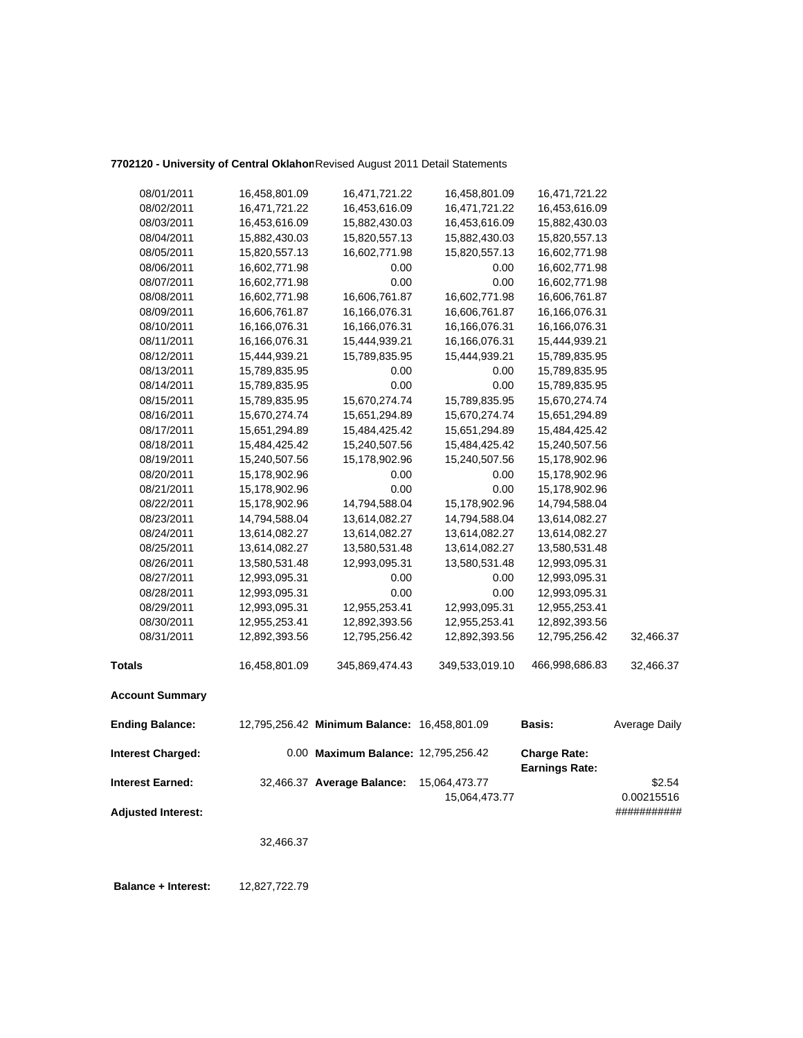### **7702120 - University of Central Oklahom**Revised August 2011 Detail Statements

|                           | 32,466.37     |                                              |                |                                              |                           |
|---------------------------|---------------|----------------------------------------------|----------------|----------------------------------------------|---------------------------|
| <b>Adjusted Interest:</b> |               |                                              | 15,064,473.77  |                                              | 0.00215516<br>########### |
| <b>Interest Earned:</b>   |               | 32,466.37 Average Balance:                   | 15,064,473.77  |                                              | \$2.54                    |
| <b>Interest Charged:</b>  |               | 0.00 Maximum Balance: 12,795,256.42          |                | <b>Charge Rate:</b><br><b>Earnings Rate:</b> |                           |
| <b>Ending Balance:</b>    |               | 12,795,256.42 Minimum Balance: 16,458,801.09 |                | <b>Basis:</b>                                | Average Daily             |
| <b>Account Summary</b>    |               |                                              |                |                                              |                           |
| <b>Totals</b>             | 16,458,801.09 | 345,869,474.43                               | 349,533,019.10 | 466,998,686.83                               | 32,466.37                 |
| 08/31/2011                | 12,892,393.56 | 12,795,256.42                                | 12,892,393.56  | 12,795,256.42                                | 32,466.37                 |
| 08/30/2011                | 12,955,253.41 | 12,892,393.56                                | 12,955,253.41  | 12,892,393.56                                |                           |
| 08/29/2011                | 12,993,095.31 | 12,955,253.41                                | 12,993,095.31  | 12,955,253.41                                |                           |
| 08/28/2011                | 12,993,095.31 | 0.00                                         | 0.00           | 12,993,095.31                                |                           |
| 08/27/2011                | 12,993,095.31 | 0.00                                         | 0.00           | 12,993,095.31                                |                           |
| 08/26/2011                | 13,580,531.48 | 12,993,095.31                                | 13,580,531.48  | 12,993,095.31                                |                           |
| 08/25/2011                | 13,614,082.27 | 13,580,531.48                                | 13,614,082.27  | 13,580,531.48                                |                           |
| 08/24/2011                | 13,614,082.27 | 13,614,082.27                                | 13,614,082.27  | 13,614,082.27                                |                           |
| 08/23/2011                | 14,794,588.04 | 13,614,082.27                                | 14,794,588.04  | 13,614,082.27                                |                           |
| 08/22/2011                | 15,178,902.96 | 14,794,588.04                                | 15,178,902.96  | 14,794,588.04                                |                           |
| 08/21/2011                | 15,178,902.96 | 0.00                                         | 0.00           | 15,178,902.96                                |                           |
| 08/20/2011                | 15,178,902.96 | 0.00                                         | 0.00           | 15,178,902.96                                |                           |
| 08/19/2011                | 15,240,507.56 | 15,178,902.96                                | 15,240,507.56  | 15,178,902.96                                |                           |
| 08/18/2011                | 15,484,425.42 | 15,240,507.56                                | 15,484,425.42  | 15,240,507.56                                |                           |
| 08/17/2011                | 15,651,294.89 | 15,484,425.42                                | 15,651,294.89  | 15,484,425.42                                |                           |
| 08/16/2011                | 15,670,274.74 | 15,651,294.89                                | 15,670,274.74  | 15,651,294.89                                |                           |
| 08/15/2011                | 15,789,835.95 | 15,670,274.74                                | 15,789,835.95  | 15,670,274.74                                |                           |
| 08/14/2011                | 15,789,835.95 | 0.00                                         | 0.00           | 15,789,835.95                                |                           |
| 08/13/2011                | 15,789,835.95 | 0.00                                         | 0.00           | 15,789,835.95                                |                           |
| 08/12/2011                | 15,444,939.21 | 15,789,835.95                                | 15,444,939.21  | 15,789,835.95                                |                           |
| 08/11/2011                | 16,166,076.31 | 15,444,939.21                                | 16,166,076.31  | 15,444,939.21                                |                           |
| 08/10/2011                | 16,166,076.31 | 16,166,076.31                                | 16,166,076.31  | 16,166,076.31                                |                           |
| 08/09/2011                | 16,606,761.87 | 16,166,076.31                                | 16,606,761.87  | 16,166,076.31                                |                           |
| 08/08/2011                | 16,602,771.98 | 16,606,761.87                                | 16,602,771.98  | 16,606,761.87                                |                           |
| 08/07/2011                | 16,602,771.98 | 0.00                                         | 0.00           | 16,602,771.98                                |                           |
| 08/06/2011                | 16,602,771.98 | 0.00                                         | 0.00           | 16,602,771.98                                |                           |
| 08/05/2011                | 15,820,557.13 | 16,602,771.98                                | 15,820,557.13  | 16,602,771.98                                |                           |
| 08/04/2011                | 15,882,430.03 | 15,820,557.13                                | 15,882,430.03  | 15,820,557.13                                |                           |
| 08/03/2011                | 16,453,616.09 | 15,882,430.03                                | 16,453,616.09  | 15,882,430.03                                |                           |
| 08/02/2011                | 16,471,721.22 | 16,453,616.09                                | 16,471,721.22  | 16,453,616.09                                |                           |
| 08/01/2011                | 16,458,801.09 | 16,471,721.22                                | 16,458,801.09  | 16,471,721.22                                |                           |

 **Balance + Interest:** 12,827,722.79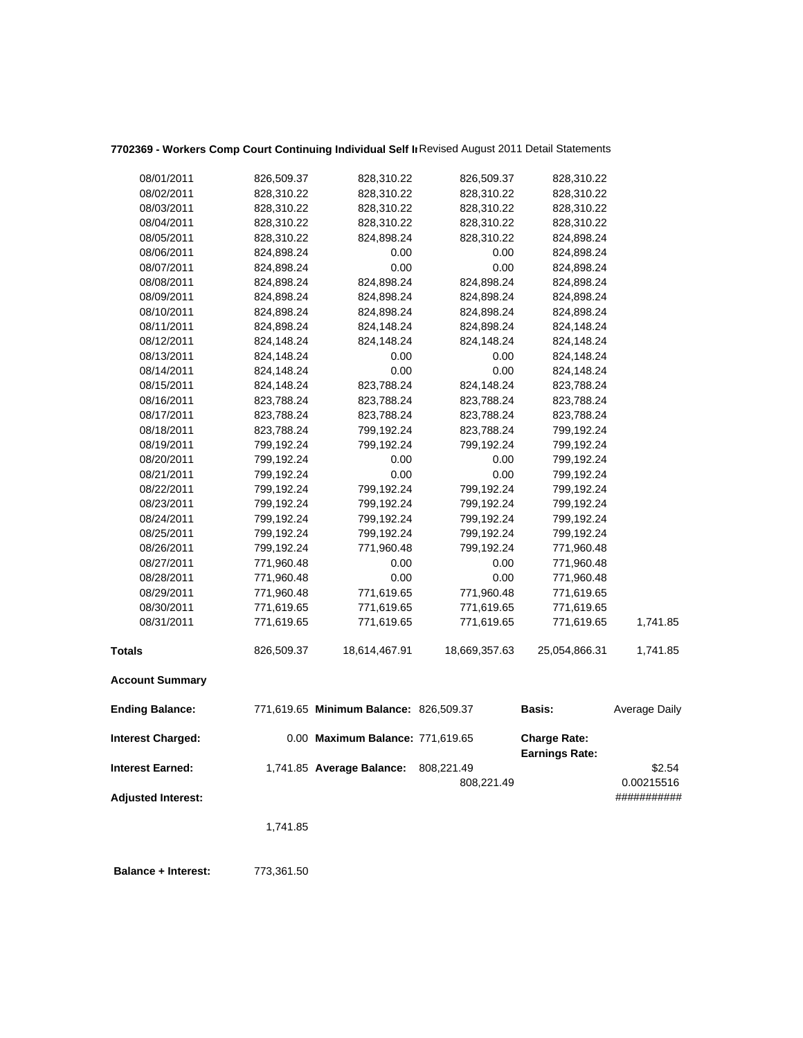## **7702369 - Workers Comp Court Continuing Individual Self In**Revised August 2011 Detail Statements

| 08/01/2011                | 826,509.37 | 828,310.22                             | 826,509.37    | 828,310.22                                   |                      |
|---------------------------|------------|----------------------------------------|---------------|----------------------------------------------|----------------------|
| 08/02/2011                | 828,310.22 | 828,310.22                             | 828,310.22    | 828,310.22                                   |                      |
| 08/03/2011                | 828,310.22 | 828,310.22                             | 828,310.22    | 828,310.22                                   |                      |
| 08/04/2011                | 828,310.22 | 828,310.22                             | 828,310.22    | 828,310.22                                   |                      |
| 08/05/2011                | 828,310.22 | 824,898.24                             | 828,310.22    | 824,898.24                                   |                      |
| 08/06/2011                | 824,898.24 | 0.00                                   | 0.00          | 824,898.24                                   |                      |
| 08/07/2011                | 824,898.24 | 0.00                                   | 0.00          | 824,898.24                                   |                      |
| 08/08/2011                | 824,898.24 | 824,898.24                             | 824,898.24    | 824,898.24                                   |                      |
| 08/09/2011                | 824,898.24 | 824,898.24                             | 824,898.24    | 824,898.24                                   |                      |
| 08/10/2011                | 824,898.24 | 824,898.24                             | 824,898.24    | 824,898.24                                   |                      |
| 08/11/2011                | 824,898.24 | 824,148.24                             | 824,898.24    | 824,148.24                                   |                      |
| 08/12/2011                | 824,148.24 | 824,148.24                             | 824,148.24    | 824,148.24                                   |                      |
| 08/13/2011                | 824,148.24 | 0.00                                   | 0.00          | 824,148.24                                   |                      |
| 08/14/2011                | 824,148.24 | 0.00                                   | 0.00          | 824,148.24                                   |                      |
| 08/15/2011                | 824,148.24 | 823,788.24                             | 824,148.24    | 823,788.24                                   |                      |
| 08/16/2011                | 823,788.24 | 823,788.24                             | 823,788.24    | 823,788.24                                   |                      |
| 08/17/2011                | 823,788.24 | 823,788.24                             | 823,788.24    | 823,788.24                                   |                      |
| 08/18/2011                | 823,788.24 | 799,192.24                             | 823,788.24    | 799,192.24                                   |                      |
| 08/19/2011                | 799,192.24 | 799,192.24                             | 799,192.24    | 799,192.24                                   |                      |
| 08/20/2011                | 799,192.24 | 0.00                                   | 0.00          | 799,192.24                                   |                      |
| 08/21/2011                | 799,192.24 | 0.00                                   | 0.00          | 799,192.24                                   |                      |
| 08/22/2011                | 799,192.24 | 799,192.24                             | 799,192.24    | 799,192.24                                   |                      |
| 08/23/2011                | 799,192.24 | 799,192.24                             | 799,192.24    | 799,192.24                                   |                      |
| 08/24/2011                | 799,192.24 | 799,192.24                             | 799,192.24    | 799,192.24                                   |                      |
| 08/25/2011                | 799,192.24 | 799,192.24                             | 799,192.24    | 799,192.24                                   |                      |
| 08/26/2011                | 799,192.24 | 771,960.48                             | 799,192.24    | 771,960.48                                   |                      |
| 08/27/2011                | 771,960.48 | 0.00                                   | 0.00          | 771,960.48                                   |                      |
| 08/28/2011                | 771,960.48 | 0.00                                   | 0.00          | 771,960.48                                   |                      |
| 08/29/2011                | 771,960.48 | 771,619.65                             | 771,960.48    | 771,619.65                                   |                      |
| 08/30/2011                | 771,619.65 | 771,619.65                             | 771,619.65    | 771,619.65                                   |                      |
| 08/31/2011                | 771,619.65 | 771,619.65                             | 771,619.65    | 771,619.65                                   | 1,741.85             |
| <b>Totals</b>             | 826,509.37 | 18,614,467.91                          | 18,669,357.63 | 25,054,866.31                                | 1,741.85             |
| <b>Account Summary</b>    |            |                                        |               |                                              |                      |
| <b>Ending Balance:</b>    |            | 771,619.65 Minimum Balance: 826,509.37 |               | <b>Basis:</b>                                | <b>Average Daily</b> |
| <b>Interest Charged:</b>  |            | 0.00 Maximum Balance: 771,619.65       |               | <b>Charge Rate:</b><br><b>Earnings Rate:</b> |                      |
| <b>Interest Earned:</b>   |            | 1,741.85 Average Balance:              | 808,221.49    |                                              | \$2.54               |
|                           |            |                                        | 808,221.49    |                                              | 0.00215516           |
| <b>Adjusted Interest:</b> |            |                                        |               |                                              | ###########          |
|                           |            |                                        |               |                                              |                      |
|                           | 1,741.85   |                                        |               |                                              |                      |
|                           |            |                                        |               |                                              |                      |
|                           |            |                                        |               |                                              |                      |

**Balance + Interest:** 773,361.50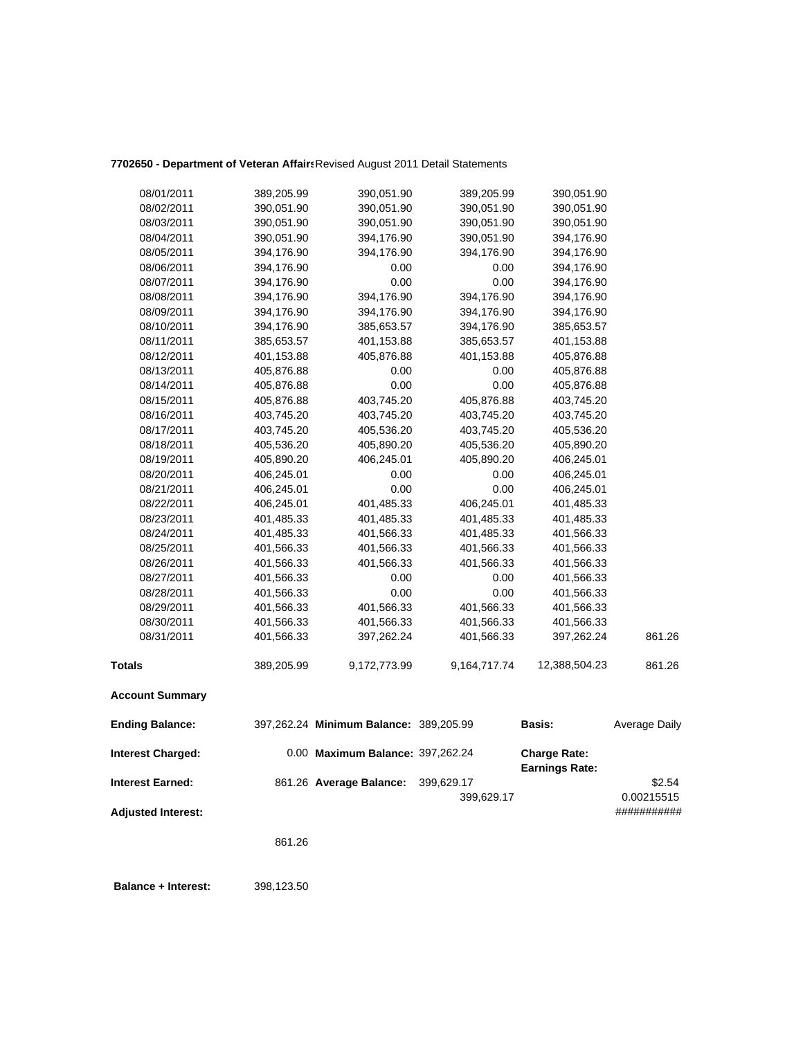### **7702650 - Department of Veteran Affairs**Revised August 2011 Detail Statements

| <b>Adjusted Interest:</b> |            |                                        | 399,629.17   |                                              | 0.00215515<br>########### |
|---------------------------|------------|----------------------------------------|--------------|----------------------------------------------|---------------------------|
| <b>Interest Earned:</b>   |            | 861.26 Average Balance:                | 399,629.17   |                                              | \$2.54                    |
| <b>Interest Charged:</b>  |            | 0.00 Maximum Balance: 397,262.24       |              | <b>Charge Rate:</b><br><b>Earnings Rate:</b> |                           |
| <b>Ending Balance:</b>    |            | 397,262.24 Minimum Balance: 389,205.99 |              | <b>Basis:</b>                                | Average Daily             |
| <b>Account Summary</b>    |            |                                        |              |                                              |                           |
| <b>Totals</b>             | 389,205.99 | 9,172,773.99                           | 9,164,717.74 | 12,388,504.23                                | 861.26                    |
| 08/31/2011                | 401,566.33 | 397,262.24                             | 401,566.33   | 397,262.24                                   | 861.26                    |
| 08/30/2011                | 401,566.33 | 401,566.33                             | 401,566.33   | 401,566.33                                   |                           |
| 08/29/2011                | 401,566.33 | 401,566.33                             | 401,566.33   | 401,566.33                                   |                           |
| 08/28/2011                | 401,566.33 | 0.00                                   | 0.00         | 401,566.33                                   |                           |
| 08/27/2011                | 401,566.33 | 0.00                                   | 0.00         | 401,566.33                                   |                           |
| 08/26/2011                | 401,566.33 | 401,566.33                             | 401,566.33   | 401,566.33                                   |                           |
| 08/25/2011                | 401,566.33 | 401,566.33                             | 401,566.33   | 401,566.33                                   |                           |
| 08/24/2011                | 401,485.33 | 401,566.33                             | 401,485.33   | 401,566.33                                   |                           |
| 08/23/2011                | 401,485.33 | 401,485.33                             | 401,485.33   | 401,485.33                                   |                           |
| 08/22/2011                | 406,245.01 | 401,485.33                             | 406,245.01   | 401,485.33                                   |                           |
| 08/21/2011                | 406,245.01 | 0.00                                   | 0.00         | 406,245.01                                   |                           |
| 08/20/2011                | 406,245.01 | 0.00                                   | 0.00         | 406,245.01                                   |                           |
| 08/19/2011                | 405,890.20 | 406,245.01                             | 405,890.20   | 406,245.01                                   |                           |
| 08/18/2011                | 405,536.20 | 405,890.20                             | 405,536.20   | 405,890.20                                   |                           |
| 08/17/2011                | 403,745.20 | 405,536.20                             | 403,745.20   | 405,536.20                                   |                           |
| 08/16/2011                | 403,745.20 | 403,745.20                             | 403,745.20   | 403,745.20                                   |                           |
| 08/15/2011                | 405,876.88 | 403,745.20                             | 405,876.88   | 403,745.20                                   |                           |
| 08/14/2011                | 405,876.88 | 0.00                                   | 0.00         | 405,876.88                                   |                           |
| 08/13/2011                | 405,876.88 | 0.00                                   | 0.00         | 405,876.88                                   |                           |
| 08/12/2011                | 401,153.88 | 405,876.88                             | 401,153.88   | 405,876.88                                   |                           |
| 08/11/2011                | 385,653.57 | 401,153.88                             | 385,653.57   | 401,153.88                                   |                           |
| 08/10/2011                | 394,176.90 | 385,653.57                             | 394,176.90   | 385,653.57                                   |                           |
| 08/09/2011                | 394,176.90 | 394,176.90                             | 394,176.90   | 394,176.90                                   |                           |
| 08/08/2011                | 394,176.90 | 394,176.90                             | 394,176.90   | 394,176.90                                   |                           |
| 08/07/2011                | 394,176.90 | 0.00                                   | 0.00         | 394,176.90                                   |                           |
| 08/06/2011                | 394,176.90 | 0.00                                   | 0.00         | 394,176.90                                   |                           |
| 08/05/2011                | 394,176.90 | 394,176.90                             | 394,176.90   | 394,176.90                                   |                           |
| 08/04/2011                | 390,051.90 | 394,176.90                             | 390,051.90   | 394,176.90                                   |                           |
| 08/03/2011                | 390,051.90 | 390,051.90                             | 390,051.90   | 390,051.90                                   |                           |
| 08/02/2011                | 390,051.90 | 390,051.90                             | 390,051.90   | 390,051.90                                   |                           |
| 08/01/2011                | 389,205.99 | 390,051.90                             | 389,205.99   | 390,051.90                                   |                           |

861.26

 **Balance + Interest:** 398,123.50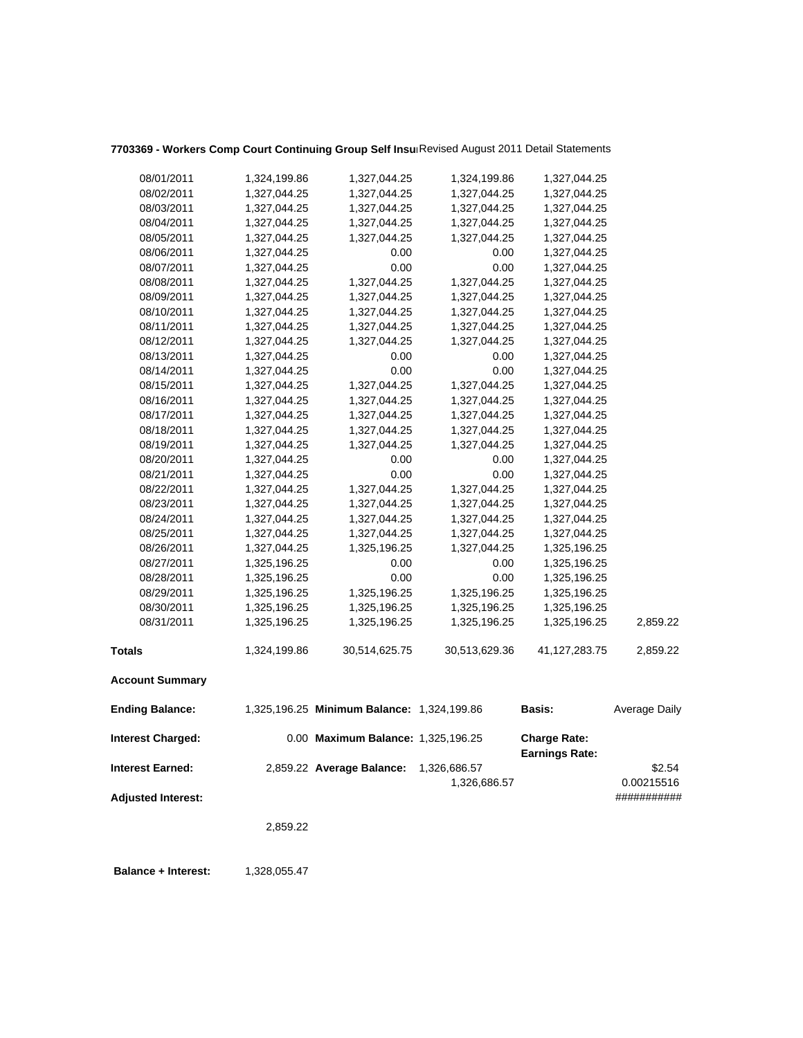## **7703369 - Workers Comp Court Continuing Group Self Insur**Revised August 2011 Detail Statements

|                           | 2,859.22     |                                            |               |                       |                           |
|---------------------------|--------------|--------------------------------------------|---------------|-----------------------|---------------------------|
| <b>Adjusted Interest:</b> |              |                                            | 1,326,686.57  |                       | 0.00215516<br>########### |
| <b>Interest Earned:</b>   |              | 2,859.22 Average Balance:                  | 1,326,686.57  | <b>Earnings Rate:</b> | \$2.54                    |
| <b>Interest Charged:</b>  |              | 0.00 Maximum Balance: 1,325,196.25         |               | <b>Charge Rate:</b>   |                           |
| <b>Ending Balance:</b>    |              | 1,325,196.25 Minimum Balance: 1,324,199.86 |               | Basis:                | Average Daily             |
| <b>Account Summary</b>    |              |                                            |               |                       |                           |
| <b>Totals</b>             | 1,324,199.86 | 30,514,625.75                              | 30,513,629.36 | 41,127,283.75         | 2,859.22                  |
| 08/31/2011                | 1,325,196.25 | 1,325,196.25                               | 1,325,196.25  | 1,325,196.25          | 2,859.22                  |
| 08/30/2011                | 1,325,196.25 | 1,325,196.25                               | 1,325,196.25  | 1,325,196.25          |                           |
| 08/29/2011                | 1,325,196.25 | 1,325,196.25                               | 1,325,196.25  | 1,325,196.25          |                           |
| 08/28/2011                | 1,325,196.25 | 0.00                                       | 0.00          | 1,325,196.25          |                           |
| 08/27/2011                | 1,325,196.25 | 0.00                                       | 0.00          | 1,325,196.25          |                           |
| 08/26/2011                | 1,327,044.25 | 1,325,196.25                               | 1,327,044.25  | 1,325,196.25          |                           |
| 08/25/2011                | 1,327,044.25 | 1,327,044.25                               | 1,327,044.25  | 1,327,044.25          |                           |
| 08/24/2011                | 1,327,044.25 | 1,327,044.25                               | 1,327,044.25  | 1,327,044.25          |                           |
| 08/23/2011                | 1,327,044.25 | 1,327,044.25                               | 1,327,044.25  | 1,327,044.25          |                           |
| 08/22/2011                | 1,327,044.25 | 1,327,044.25                               | 1,327,044.25  | 1,327,044.25          |                           |
| 08/21/2011                | 1,327,044.25 | 0.00                                       | 0.00          | 1,327,044.25          |                           |
| 08/20/2011                | 1,327,044.25 | 0.00                                       | 0.00          | 1,327,044.25          |                           |
| 08/19/2011                | 1,327,044.25 | 1,327,044.25                               | 1,327,044.25  | 1,327,044.25          |                           |
| 08/18/2011                | 1,327,044.25 | 1,327,044.25                               | 1,327,044.25  | 1,327,044.25          |                           |
| 08/17/2011                | 1,327,044.25 | 1,327,044.25                               | 1,327,044.25  | 1,327,044.25          |                           |
| 08/16/2011                | 1,327,044.25 | 1,327,044.25                               | 1,327,044.25  | 1,327,044.25          |                           |
| 08/15/2011                | 1,327,044.25 | 1,327,044.25                               | 1,327,044.25  | 1,327,044.25          |                           |
| 08/14/2011                | 1,327,044.25 | 0.00                                       | 0.00          | 1,327,044.25          |                           |
| 08/13/2011                | 1,327,044.25 | 0.00                                       | 0.00          | 1,327,044.25          |                           |
| 08/12/2011                | 1,327,044.25 | 1,327,044.25                               | 1,327,044.25  | 1,327,044.25          |                           |
| 08/11/2011                | 1,327,044.25 | 1,327,044.25                               | 1,327,044.25  | 1,327,044.25          |                           |
| 08/10/2011                | 1,327,044.25 | 1,327,044.25                               | 1,327,044.25  | 1,327,044.25          |                           |
| 08/09/2011                | 1,327,044.25 | 1,327,044.25                               | 1,327,044.25  | 1,327,044.25          |                           |
| 08/08/2011                | 1,327,044.25 | 1,327,044.25                               | 1,327,044.25  | 1,327,044.25          |                           |
| 08/07/2011                | 1,327,044.25 | 0.00                                       | 0.00          | 1,327,044.25          |                           |
| 08/06/2011                | 1,327,044.25 | 0.00                                       | 0.00          | 1,327,044.25          |                           |
| 08/05/2011                | 1,327,044.25 | 1,327,044.25                               | 1,327,044.25  | 1,327,044.25          |                           |
| 08/04/2011                | 1,327,044.25 | 1,327,044.25                               | 1,327,044.25  | 1,327,044.25          |                           |
| 08/03/2011                | 1,327,044.25 | 1,327,044.25                               | 1,327,044.25  | 1,327,044.25          |                           |
| 08/02/2011                | 1,327,044.25 | 1,327,044.25                               | 1,327,044.25  | 1,327,044.25          |                           |
| 08/01/2011                | 1,324,199.86 | 1,327,044.25                               | 1,324,199.86  | 1,327,044.25          |                           |

**Balance + Interest:** 1,328,055.47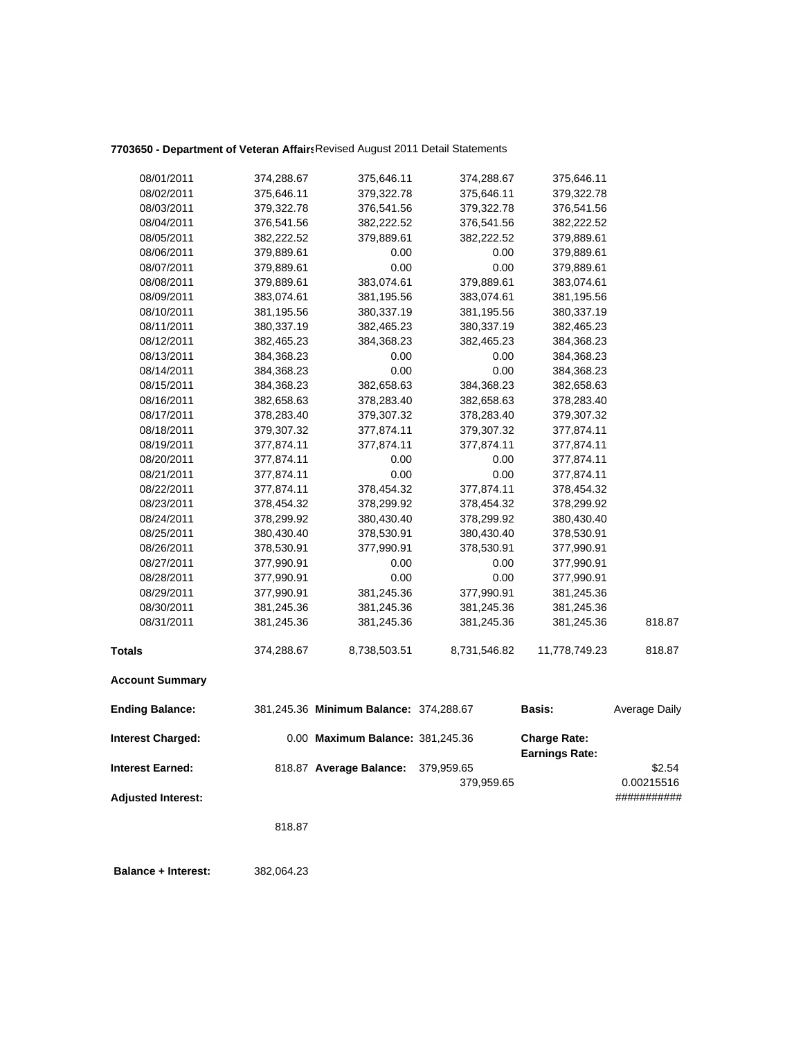## **7703650 - Department of Veteran Affairs**Revised August 2011 Detail Statements

| 08/01/2011                | 374,288.67               | 375,646.11                             | 374,288.67   | 375,646.11                                   |                      |
|---------------------------|--------------------------|----------------------------------------|--------------|----------------------------------------------|----------------------|
| 08/02/2011                | 375,646.11               | 379,322.78                             | 375,646.11   | 379,322.78                                   |                      |
| 08/03/2011                | 379,322.78               | 376,541.56                             | 379,322.78   | 376,541.56                                   |                      |
| 08/04/2011                | 376,541.56               | 382,222.52                             | 376,541.56   | 382,222.52                                   |                      |
| 08/05/2011                | 382,222.52               | 379,889.61                             | 382,222.52   | 379,889.61                                   |                      |
| 08/06/2011                | 379,889.61               | 0.00                                   | 0.00         | 379,889.61                                   |                      |
| 08/07/2011                | 379,889.61               | 0.00                                   | 0.00         | 379,889.61                                   |                      |
| 08/08/2011                | 379,889.61               | 383,074.61                             | 379,889.61   | 383,074.61                                   |                      |
| 08/09/2011                | 383,074.61               | 381,195.56                             | 383,074.61   | 381,195.56                                   |                      |
| 08/10/2011                | 381,195.56               | 380,337.19                             | 381,195.56   | 380,337.19                                   |                      |
| 08/11/2011                | 380,337.19               | 382,465.23                             | 380,337.19   | 382,465.23                                   |                      |
| 08/12/2011                | 382,465.23               | 384,368.23                             | 382,465.23   | 384,368.23                                   |                      |
| 08/13/2011                | 384,368.23               | 0.00                                   | 0.00         | 384,368.23                                   |                      |
| 08/14/2011                | 384,368.23               | 0.00                                   | 0.00         | 384,368.23                                   |                      |
| 08/15/2011                | 384,368.23               | 382,658.63                             | 384,368.23   | 382,658.63                                   |                      |
| 08/16/2011                | 382,658.63               | 378,283.40                             | 382,658.63   | 378,283.40                                   |                      |
| 08/17/2011                | 378,283.40               | 379,307.32                             | 378,283.40   | 379,307.32                                   |                      |
| 08/18/2011                | 379,307.32               | 377,874.11                             | 379,307.32   | 377,874.11                                   |                      |
| 08/19/2011                | 377,874.11               | 377,874.11                             | 377,874.11   | 377,874.11                                   |                      |
| 08/20/2011                | 377,874.11               | 0.00                                   | 0.00         | 377,874.11                                   |                      |
| 08/21/2011                | 377,874.11               | 0.00                                   | 0.00         | 377,874.11                                   |                      |
| 08/22/2011                | 377,874.11               | 378,454.32                             | 377,874.11   | 378,454.32                                   |                      |
| 08/23/2011                | 378,454.32               | 378,299.92                             | 378,454.32   | 378,299.92                                   |                      |
| 08/24/2011                | 378,299.92               | 380,430.40                             | 378,299.92   | 380,430.40                                   |                      |
| 08/25/2011                | 380,430.40               | 378,530.91                             | 380,430.40   | 378,530.91                                   |                      |
| 08/26/2011                | 378,530.91               | 377,990.91                             | 378,530.91   | 377,990.91                                   |                      |
| 08/27/2011                |                          | 0.00                                   |              |                                              |                      |
| 08/28/2011                | 377,990.91<br>377,990.91 | 0.00                                   | 0.00<br>0.00 | 377,990.91<br>377,990.91                     |                      |
| 08/29/2011                | 377,990.91               | 381,245.36                             | 377,990.91   | 381,245.36                                   |                      |
| 08/30/2011                | 381,245.36               | 381,245.36                             | 381,245.36   | 381,245.36                                   |                      |
| 08/31/2011                | 381,245.36               | 381,245.36                             | 381,245.36   | 381,245.36                                   | 818.87               |
|                           |                          |                                        |              |                                              |                      |
| <b>Totals</b>             | 374,288.67               | 8,738,503.51                           | 8,731,546.82 | 11,778,749.23                                | 818.87               |
| <b>Account Summary</b>    |                          |                                        |              |                                              |                      |
| <b>Ending Balance:</b>    |                          | 381,245.36 Minimum Balance: 374,288.67 |              | <b>Basis:</b>                                | <b>Average Daily</b> |
| <b>Interest Charged:</b>  |                          | 0.00 Maximum Balance: 381,245.36       |              | <b>Charge Rate:</b><br><b>Earnings Rate:</b> |                      |
| <b>Interest Earned:</b>   |                          | 818.87 Average Balance:                | 379,959.65   |                                              | \$2.54               |
|                           |                          |                                        | 379,959.65   |                                              | 0.00215516           |
| <b>Adjusted Interest:</b> |                          |                                        |              |                                              | ###########          |
|                           |                          |                                        |              |                                              |                      |
|                           | 818.87                   |                                        |              |                                              |                      |
|                           |                          |                                        |              |                                              |                      |

 **Balance + Interest:** 382,064.23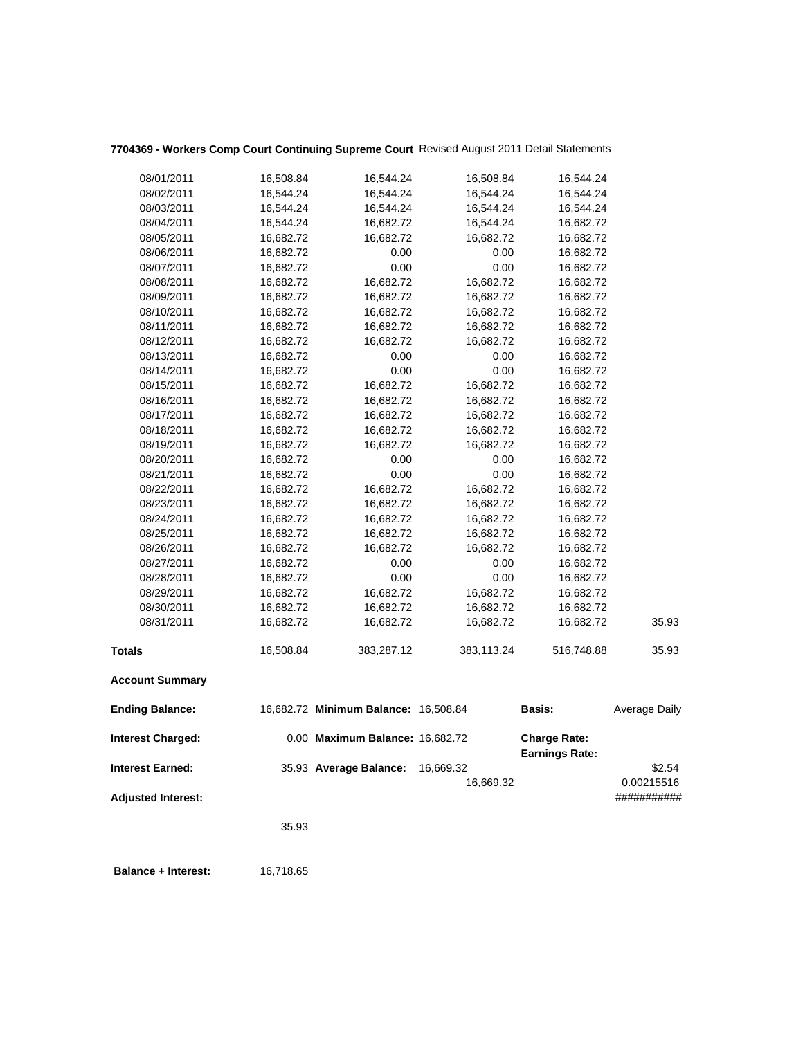|            | 35.93                                                                                                                                                                                                                                                                                                                                                     |                                                                                                                                                                                                                           |                                                                                                                                                                                                                                 |                                                                                                                                                                                                                                                                                  |                                                                                                                                                                                                                                                    |
|------------|-----------------------------------------------------------------------------------------------------------------------------------------------------------------------------------------------------------------------------------------------------------------------------------------------------------------------------------------------------------|---------------------------------------------------------------------------------------------------------------------------------------------------------------------------------------------------------------------------|---------------------------------------------------------------------------------------------------------------------------------------------------------------------------------------------------------------------------------|----------------------------------------------------------------------------------------------------------------------------------------------------------------------------------------------------------------------------------------------------------------------------------|----------------------------------------------------------------------------------------------------------------------------------------------------------------------------------------------------------------------------------------------------|
|            |                                                                                                                                                                                                                                                                                                                                                           |                                                                                                                                                                                                                           |                                                                                                                                                                                                                                 |                                                                                                                                                                                                                                                                                  | 0.00215516<br>###########                                                                                                                                                                                                                          |
|            |                                                                                                                                                                                                                                                                                                                                                           |                                                                                                                                                                                                                           | 16,669.32                                                                                                                                                                                                                       |                                                                                                                                                                                                                                                                                  | \$2.54                                                                                                                                                                                                                                             |
|            |                                                                                                                                                                                                                                                                                                                                                           |                                                                                                                                                                                                                           |                                                                                                                                                                                                                                 | <b>Charge Rate:</b>                                                                                                                                                                                                                                                              |                                                                                                                                                                                                                                                    |
|            |                                                                                                                                                                                                                                                                                                                                                           |                                                                                                                                                                                                                           |                                                                                                                                                                                                                                 | Basis:                                                                                                                                                                                                                                                                           | Average Daily                                                                                                                                                                                                                                      |
|            |                                                                                                                                                                                                                                                                                                                                                           |                                                                                                                                                                                                                           |                                                                                                                                                                                                                                 |                                                                                                                                                                                                                                                                                  |                                                                                                                                                                                                                                                    |
|            | 16,508.84                                                                                                                                                                                                                                                                                                                                                 | 383,287.12                                                                                                                                                                                                                | 383,113.24                                                                                                                                                                                                                      | 516,748.88                                                                                                                                                                                                                                                                       | 35.93                                                                                                                                                                                                                                              |
| 08/31/2011 | 16,682.72                                                                                                                                                                                                                                                                                                                                                 | 16,682.72                                                                                                                                                                                                                 | 16,682.72                                                                                                                                                                                                                       | 16,682.72                                                                                                                                                                                                                                                                        | 35.93                                                                                                                                                                                                                                              |
| 08/30/2011 | 16,682.72                                                                                                                                                                                                                                                                                                                                                 | 16,682.72                                                                                                                                                                                                                 | 16,682.72                                                                                                                                                                                                                       | 16,682.72                                                                                                                                                                                                                                                                        |                                                                                                                                                                                                                                                    |
| 08/29/2011 | 16,682.72                                                                                                                                                                                                                                                                                                                                                 | 16,682.72                                                                                                                                                                                                                 | 16,682.72                                                                                                                                                                                                                       | 16,682.72                                                                                                                                                                                                                                                                        |                                                                                                                                                                                                                                                    |
| 08/28/2011 | 16,682.72                                                                                                                                                                                                                                                                                                                                                 | 0.00                                                                                                                                                                                                                      | 0.00                                                                                                                                                                                                                            | 16,682.72                                                                                                                                                                                                                                                                        |                                                                                                                                                                                                                                                    |
| 08/27/2011 | 16,682.72                                                                                                                                                                                                                                                                                                                                                 | 0.00                                                                                                                                                                                                                      | 0.00                                                                                                                                                                                                                            |                                                                                                                                                                                                                                                                                  |                                                                                                                                                                                                                                                    |
| 08/26/2011 |                                                                                                                                                                                                                                                                                                                                                           |                                                                                                                                                                                                                           |                                                                                                                                                                                                                                 |                                                                                                                                                                                                                                                                                  |                                                                                                                                                                                                                                                    |
|            |                                                                                                                                                                                                                                                                                                                                                           |                                                                                                                                                                                                                           |                                                                                                                                                                                                                                 |                                                                                                                                                                                                                                                                                  |                                                                                                                                                                                                                                                    |
|            |                                                                                                                                                                                                                                                                                                                                                           |                                                                                                                                                                                                                           |                                                                                                                                                                                                                                 |                                                                                                                                                                                                                                                                                  |                                                                                                                                                                                                                                                    |
|            |                                                                                                                                                                                                                                                                                                                                                           |                                                                                                                                                                                                                           |                                                                                                                                                                                                                                 |                                                                                                                                                                                                                                                                                  |                                                                                                                                                                                                                                                    |
|            |                                                                                                                                                                                                                                                                                                                                                           |                                                                                                                                                                                                                           |                                                                                                                                                                                                                                 |                                                                                                                                                                                                                                                                                  |                                                                                                                                                                                                                                                    |
|            |                                                                                                                                                                                                                                                                                                                                                           |                                                                                                                                                                                                                           |                                                                                                                                                                                                                                 |                                                                                                                                                                                                                                                                                  |                                                                                                                                                                                                                                                    |
|            |                                                                                                                                                                                                                                                                                                                                                           |                                                                                                                                                                                                                           |                                                                                                                                                                                                                                 |                                                                                                                                                                                                                                                                                  |                                                                                                                                                                                                                                                    |
|            |                                                                                                                                                                                                                                                                                                                                                           |                                                                                                                                                                                                                           |                                                                                                                                                                                                                                 |                                                                                                                                                                                                                                                                                  |                                                                                                                                                                                                                                                    |
|            |                                                                                                                                                                                                                                                                                                                                                           |                                                                                                                                                                                                                           |                                                                                                                                                                                                                                 |                                                                                                                                                                                                                                                                                  |                                                                                                                                                                                                                                                    |
|            |                                                                                                                                                                                                                                                                                                                                                           |                                                                                                                                                                                                                           |                                                                                                                                                                                                                                 |                                                                                                                                                                                                                                                                                  |                                                                                                                                                                                                                                                    |
|            |                                                                                                                                                                                                                                                                                                                                                           |                                                                                                                                                                                                                           |                                                                                                                                                                                                                                 |                                                                                                                                                                                                                                                                                  |                                                                                                                                                                                                                                                    |
|            |                                                                                                                                                                                                                                                                                                                                                           |                                                                                                                                                                                                                           |                                                                                                                                                                                                                                 |                                                                                                                                                                                                                                                                                  |                                                                                                                                                                                                                                                    |
|            |                                                                                                                                                                                                                                                                                                                                                           |                                                                                                                                                                                                                           |                                                                                                                                                                                                                                 |                                                                                                                                                                                                                                                                                  |                                                                                                                                                                                                                                                    |
|            |                                                                                                                                                                                                                                                                                                                                                           |                                                                                                                                                                                                                           |                                                                                                                                                                                                                                 |                                                                                                                                                                                                                                                                                  |                                                                                                                                                                                                                                                    |
|            |                                                                                                                                                                                                                                                                                                                                                           |                                                                                                                                                                                                                           |                                                                                                                                                                                                                                 |                                                                                                                                                                                                                                                                                  |                                                                                                                                                                                                                                                    |
| 08/10/2011 | 16,682.72                                                                                                                                                                                                                                                                                                                                                 | 16,682.72                                                                                                                                                                                                                 | 16,682.72                                                                                                                                                                                                                       | 16,682.72                                                                                                                                                                                                                                                                        |                                                                                                                                                                                                                                                    |
| 08/09/2011 | 16,682.72                                                                                                                                                                                                                                                                                                                                                 |                                                                                                                                                                                                                           | 16,682.72                                                                                                                                                                                                                       | 16,682.72                                                                                                                                                                                                                                                                        |                                                                                                                                                                                                                                                    |
| 08/08/2011 | 16,682.72                                                                                                                                                                                                                                                                                                                                                 | 16,682.72                                                                                                                                                                                                                 | 16,682.72                                                                                                                                                                                                                       | 16,682.72                                                                                                                                                                                                                                                                        |                                                                                                                                                                                                                                                    |
| 08/07/2011 | 16,682.72                                                                                                                                                                                                                                                                                                                                                 | 0.00                                                                                                                                                                                                                      | 0.00                                                                                                                                                                                                                            | 16,682.72                                                                                                                                                                                                                                                                        |                                                                                                                                                                                                                                                    |
| 08/06/2011 | 16,682.72                                                                                                                                                                                                                                                                                                                                                 | 0.00                                                                                                                                                                                                                      | 0.00                                                                                                                                                                                                                            | 16,682.72                                                                                                                                                                                                                                                                        |                                                                                                                                                                                                                                                    |
| 08/05/2011 | 16,682.72                                                                                                                                                                                                                                                                                                                                                 | 16,682.72                                                                                                                                                                                                                 | 16,682.72                                                                                                                                                                                                                       | 16,682.72                                                                                                                                                                                                                                                                        |                                                                                                                                                                                                                                                    |
| 08/04/2011 | 16,544.24                                                                                                                                                                                                                                                                                                                                                 | 16,682.72                                                                                                                                                                                                                 | 16,544.24                                                                                                                                                                                                                       | 16,682.72                                                                                                                                                                                                                                                                        |                                                                                                                                                                                                                                                    |
| 08/03/2011 | 16,544.24                                                                                                                                                                                                                                                                                                                                                 | 16,544.24                                                                                                                                                                                                                 | 16,544.24                                                                                                                                                                                                                       | 16,544.24                                                                                                                                                                                                                                                                        |                                                                                                                                                                                                                                                    |
| 08/02/2011 | 16,544.24                                                                                                                                                                                                                                                                                                                                                 | 16,544.24                                                                                                                                                                                                                 | 16,544.24                                                                                                                                                                                                                       | 16,544.24                                                                                                                                                                                                                                                                        |                                                                                                                                                                                                                                                    |
| 08/01/2011 |                                                                                                                                                                                                                                                                                                                                                           | 16,544.24                                                                                                                                                                                                                 | 16,508.84                                                                                                                                                                                                                       | 16,544.24                                                                                                                                                                                                                                                                        |                                                                                                                                                                                                                                                    |
|            | 08/11/2011<br>08/12/2011<br>08/13/2011<br>08/14/2011<br>08/15/2011<br>08/16/2011<br>08/17/2011<br>08/18/2011<br>08/19/2011<br>08/20/2011<br>08/21/2011<br>08/22/2011<br>08/23/2011<br>08/24/2011<br>08/25/2011<br>Totals<br><b>Account Summary</b><br><b>Ending Balance:</b><br><b>Interest Charged:</b><br>Interest Earned:<br><b>Adjusted Interest:</b> | 16,508.84<br>16,682.72<br>16,682.72<br>16,682.72<br>16,682.72<br>16,682.72<br>16,682.72<br>16,682.72<br>16,682.72<br>16,682.72<br>16,682.72<br>16,682.72<br>16,682.72<br>16,682.72<br>16,682.72<br>16,682.72<br>16,682.72 | 16,682.72<br>16,682.72<br>16,682.72<br>0.00<br>0.00<br>16,682.72<br>16,682.72<br>16,682.72<br>16,682.72<br>16,682.72<br>0.00<br>0.00<br>16,682.72<br>16,682.72<br>16,682.72<br>16,682.72<br>16,682.72<br>35.93 Average Balance: | 16,682.72<br>16,682.72<br>0.00<br>0.00<br>16,682.72<br>16,682.72<br>16,682.72<br>16,682.72<br>16,682.72<br>0.00<br>0.00<br>16,682.72<br>16,682.72<br>16,682.72<br>16,682.72<br>16,682.72<br>16,682.72 Minimum Balance: 16,508.84<br>0.00 Maximum Balance: 16,682.72<br>16,669.32 | 16,682.72<br>16,682.72<br>16,682.72<br>16,682.72<br>16,682.72<br>16,682.72<br>16,682.72<br>16,682.72<br>16,682.72<br>16,682.72<br>16,682.72<br>16,682.72<br>16,682.72<br>16,682.72<br>16,682.72<br>16,682.72<br>16,682.72<br><b>Earnings Rate:</b> |

## **7704369 - Workers Comp Court Continuing Supreme Court** Revised August 2011 Detail Statements

**Balance + Interest:** 16,718.65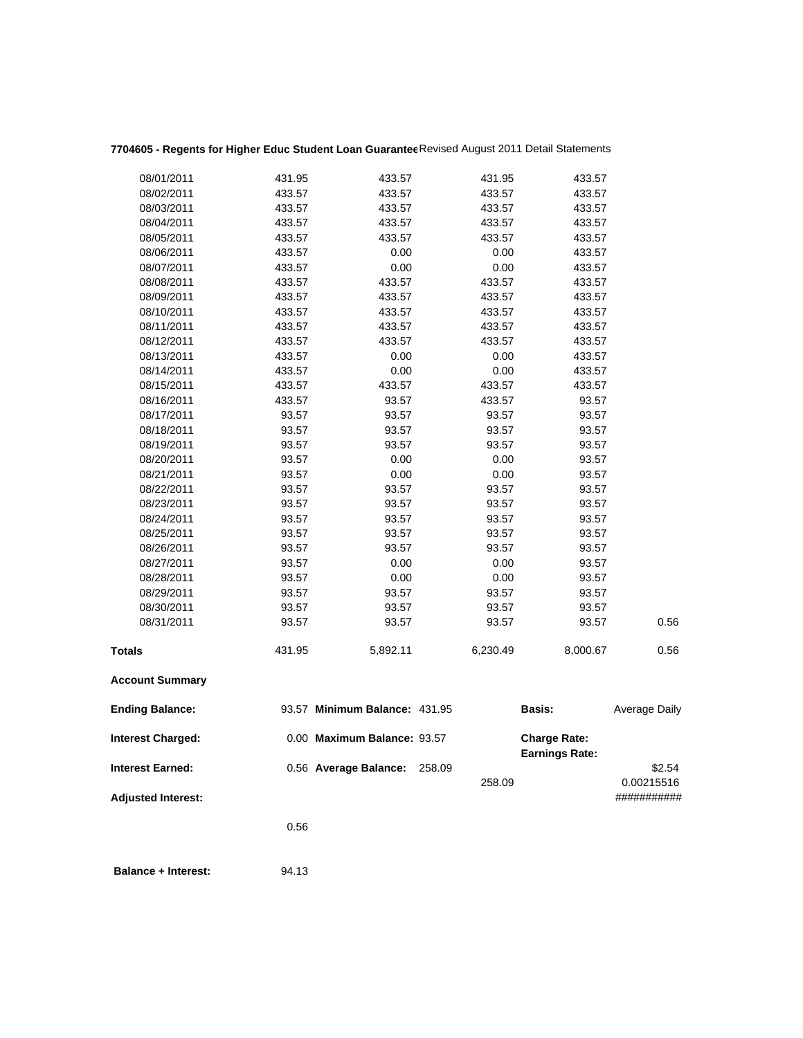| 08/01/2011                 | 431.95 | 433.57                        | 431.95   | 433.57                                       |               |
|----------------------------|--------|-------------------------------|----------|----------------------------------------------|---------------|
| 08/02/2011                 | 433.57 | 433.57                        | 433.57   | 433.57                                       |               |
| 08/03/2011                 | 433.57 | 433.57                        | 433.57   | 433.57                                       |               |
| 08/04/2011                 | 433.57 | 433.57                        | 433.57   | 433.57                                       |               |
| 08/05/2011                 | 433.57 | 433.57                        | 433.57   | 433.57                                       |               |
| 08/06/2011                 | 433.57 | 0.00                          | 0.00     | 433.57                                       |               |
| 08/07/2011                 | 433.57 | 0.00                          | 0.00     | 433.57                                       |               |
| 08/08/2011                 | 433.57 | 433.57                        | 433.57   | 433.57                                       |               |
| 08/09/2011                 | 433.57 | 433.57                        | 433.57   | 433.57                                       |               |
| 08/10/2011                 | 433.57 | 433.57                        | 433.57   | 433.57                                       |               |
| 08/11/2011                 | 433.57 | 433.57                        | 433.57   | 433.57                                       |               |
| 08/12/2011                 | 433.57 | 433.57                        | 433.57   | 433.57                                       |               |
| 08/13/2011                 | 433.57 | 0.00                          | 0.00     | 433.57                                       |               |
| 08/14/2011                 | 433.57 | 0.00                          | 0.00     | 433.57                                       |               |
| 08/15/2011                 | 433.57 | 433.57                        | 433.57   | 433.57                                       |               |
| 08/16/2011                 | 433.57 | 93.57                         | 433.57   | 93.57                                        |               |
| 08/17/2011                 | 93.57  | 93.57                         | 93.57    | 93.57                                        |               |
| 08/18/2011                 | 93.57  | 93.57                         | 93.57    | 93.57                                        |               |
| 08/19/2011                 | 93.57  | 93.57                         | 93.57    | 93.57                                        |               |
| 08/20/2011                 | 93.57  | 0.00                          | 0.00     | 93.57                                        |               |
| 08/21/2011                 | 93.57  | 0.00                          | 0.00     | 93.57                                        |               |
| 08/22/2011                 | 93.57  | 93.57                         | 93.57    | 93.57                                        |               |
| 08/23/2011                 | 93.57  | 93.57                         | 93.57    | 93.57                                        |               |
| 08/24/2011                 | 93.57  | 93.57                         | 93.57    | 93.57                                        |               |
| 08/25/2011                 | 93.57  | 93.57                         | 93.57    | 93.57                                        |               |
| 08/26/2011                 | 93.57  | 93.57                         | 93.57    | 93.57                                        |               |
| 08/27/2011                 | 93.57  | 0.00                          | 0.00     | 93.57                                        |               |
| 08/28/2011                 | 93.57  | 0.00                          | 0.00     | 93.57                                        |               |
| 08/29/2011                 | 93.57  | 93.57                         | 93.57    | 93.57                                        |               |
| 08/30/2011                 | 93.57  | 93.57                         | 93.57    | 93.57                                        |               |
| 08/31/2011                 | 93.57  | 93.57                         | 93.57    | 93.57                                        | 0.56          |
| Totals                     | 431.95 | 5,892.11                      | 6,230.49 | 8,000.67                                     | 0.56          |
| <b>Account Summary</b>     |        |                               |          |                                              |               |
| <b>Ending Balance:</b>     |        | 93.57 Minimum Balance: 431.95 |          | <b>Basis:</b>                                | Average Daily |
| <b>Interest Charged:</b>   |        | 0.00 Maximum Balance: 93.57   |          | <b>Charge Rate:</b><br><b>Earnings Rate:</b> |               |
| <b>Interest Earned:</b>    |        | 0.56 Average Balance: 258.09  |          |                                              | \$2.54        |
|                            |        |                               | 258.09   |                                              | 0.00215516    |
| <b>Adjusted Interest:</b>  |        |                               |          |                                              | ###########   |
|                            | 0.56   |                               |          |                                              |               |
| <b>Balance + Interest:</b> | 94.13  |                               |          |                                              |               |

# **7704605 - Regents for Higher Educ Student Loan Guarantee**Revised August 2011 Detail Statements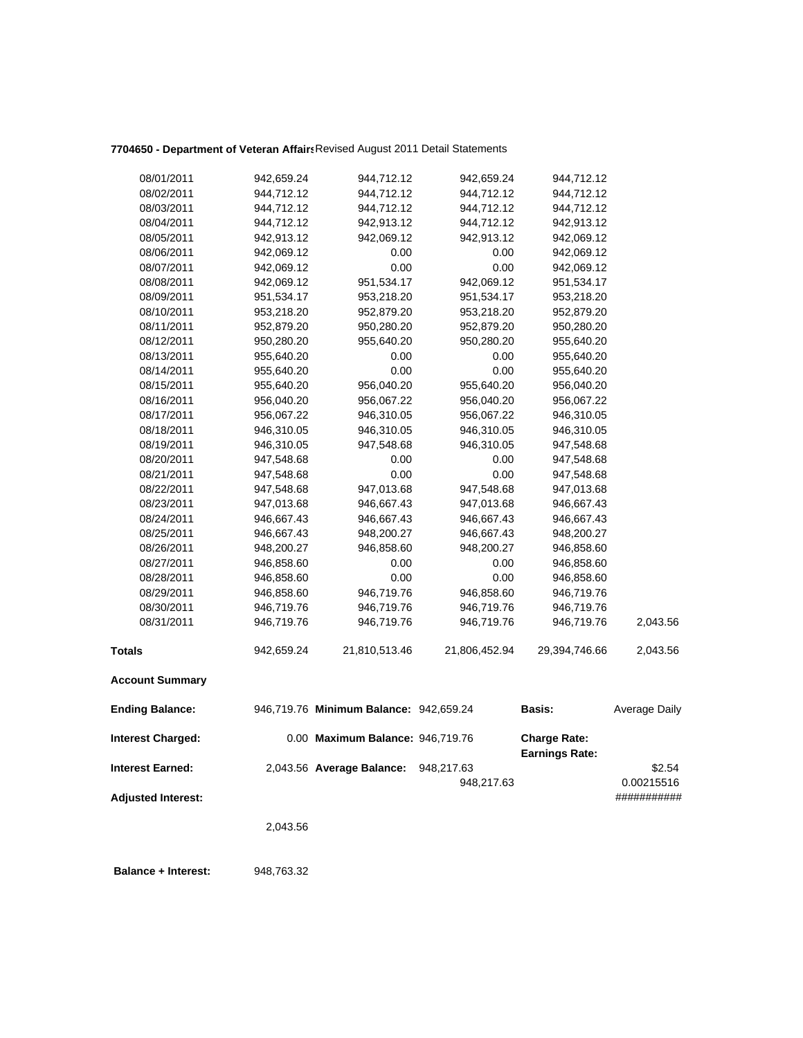## **7704650 - Department of Veteran Affairs**Revised August 2011 Detail Statements

| 08/01/2011                | 942,659.24 | 944,712.12                             | 942,659.24    | 944,712.12                                   |               |
|---------------------------|------------|----------------------------------------|---------------|----------------------------------------------|---------------|
| 08/02/2011                | 944,712.12 | 944,712.12                             | 944,712.12    | 944,712.12                                   |               |
| 08/03/2011                | 944,712.12 | 944,712.12                             | 944,712.12    | 944,712.12                                   |               |
| 08/04/2011                | 944,712.12 | 942,913.12                             | 944,712.12    | 942,913.12                                   |               |
| 08/05/2011                | 942,913.12 | 942,069.12                             | 942,913.12    | 942,069.12                                   |               |
| 08/06/2011                | 942,069.12 | 0.00                                   | 0.00          | 942,069.12                                   |               |
| 08/07/2011                | 942,069.12 | 0.00                                   | 0.00          | 942,069.12                                   |               |
| 08/08/2011                | 942,069.12 | 951,534.17                             | 942,069.12    | 951,534.17                                   |               |
| 08/09/2011                | 951,534.17 | 953,218.20                             | 951,534.17    | 953,218.20                                   |               |
| 08/10/2011                | 953,218.20 | 952,879.20                             | 953,218.20    | 952,879.20                                   |               |
| 08/11/2011                | 952,879.20 | 950,280.20                             | 952,879.20    | 950,280.20                                   |               |
| 08/12/2011                | 950,280.20 | 955,640.20                             | 950,280.20    | 955,640.20                                   |               |
| 08/13/2011                | 955,640.20 | 0.00                                   | 0.00          | 955,640.20                                   |               |
| 08/14/2011                | 955,640.20 | 0.00                                   | 0.00          | 955,640.20                                   |               |
| 08/15/2011                | 955,640.20 | 956,040.20                             | 955,640.20    | 956,040.20                                   |               |
| 08/16/2011                | 956,040.20 | 956,067.22                             | 956,040.20    | 956,067.22                                   |               |
| 08/17/2011                | 956,067.22 | 946,310.05                             | 956,067.22    | 946,310.05                                   |               |
| 08/18/2011                | 946,310.05 | 946,310.05                             | 946,310.05    | 946,310.05                                   |               |
| 08/19/2011                | 946,310.05 | 947,548.68                             | 946,310.05    | 947,548.68                                   |               |
| 08/20/2011                | 947,548.68 | 0.00                                   | 0.00          | 947,548.68                                   |               |
| 08/21/2011                | 947,548.68 | 0.00                                   | 0.00          | 947,548.68                                   |               |
| 08/22/2011                | 947,548.68 | 947,013.68                             | 947,548.68    | 947,013.68                                   |               |
| 08/23/2011                | 947,013.68 | 946,667.43                             | 947,013.68    | 946,667.43                                   |               |
| 08/24/2011                | 946,667.43 | 946,667.43                             | 946,667.43    | 946,667.43                                   |               |
| 08/25/2011                | 946,667.43 | 948,200.27                             | 946,667.43    | 948,200.27                                   |               |
| 08/26/2011                | 948,200.27 | 946,858.60                             | 948,200.27    | 946,858.60                                   |               |
| 08/27/2011                | 946,858.60 | 0.00                                   | 0.00          | 946,858.60                                   |               |
| 08/28/2011                | 946,858.60 | 0.00                                   | 0.00          | 946,858.60                                   |               |
| 08/29/2011                | 946,858.60 | 946,719.76                             | 946,858.60    | 946,719.76                                   |               |
| 08/30/2011                | 946,719.76 | 946,719.76                             | 946,719.76    | 946,719.76                                   |               |
| 08/31/2011                | 946,719.76 | 946,719.76                             | 946,719.76    | 946,719.76                                   | 2,043.56      |
| <b>Totals</b>             | 942,659.24 | 21,810,513.46                          | 21,806,452.94 | 29,394,746.66                                | 2,043.56      |
| <b>Account Summary</b>    |            |                                        |               |                                              |               |
| <b>Ending Balance:</b>    |            | 946,719.76 Minimum Balance: 942,659.24 |               | Basis:                                       | Average Daily |
| <b>Interest Charged:</b>  |            | 0.00 Maximum Balance: 946,719.76       |               | <b>Charge Rate:</b><br><b>Earnings Rate:</b> |               |
| <b>Interest Earned:</b>   |            | 2,043.56 Average Balance:              | 948,217.63    |                                              | \$2.54        |
|                           |            |                                        | 948,217.63    |                                              | 0.00215516    |
| <b>Adjusted Interest:</b> |            |                                        |               |                                              | ###########   |
|                           |            |                                        |               |                                              |               |
|                           | 2,043.56   |                                        |               |                                              |               |
|                           |            |                                        |               |                                              |               |
|                           |            |                                        |               |                                              |               |

 **Balance + Interest:** 948,763.32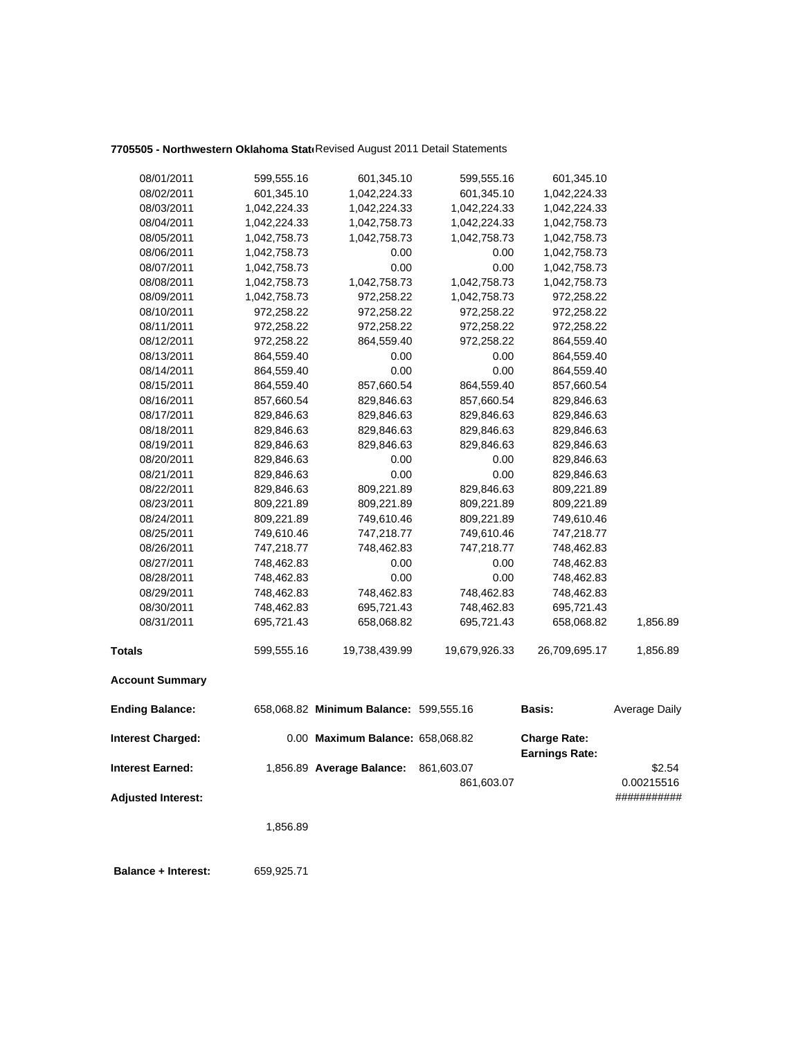## 7705505 - Northwestern Oklahoma Stati Revised August 2011 Detail Statements

| 08/01/2011                | 599,555.16   | 601,345.10                             | 599,555.16    | 601,345.10                                   |               |
|---------------------------|--------------|----------------------------------------|---------------|----------------------------------------------|---------------|
| 08/02/2011                | 601,345.10   | 1,042,224.33                           | 601,345.10    | 1,042,224.33                                 |               |
| 08/03/2011                | 1,042,224.33 | 1,042,224.33                           | 1,042,224.33  | 1,042,224.33                                 |               |
| 08/04/2011                | 1,042,224.33 | 1,042,758.73                           | 1,042,224.33  | 1,042,758.73                                 |               |
| 08/05/2011                | 1,042,758.73 | 1,042,758.73                           | 1,042,758.73  | 1,042,758.73                                 |               |
| 08/06/2011                | 1,042,758.73 | 0.00                                   | 0.00          | 1,042,758.73                                 |               |
| 08/07/2011                | 1,042,758.73 | 0.00                                   | 0.00          | 1,042,758.73                                 |               |
| 08/08/2011                | 1,042,758.73 | 1,042,758.73                           | 1,042,758.73  | 1,042,758.73                                 |               |
| 08/09/2011                | 1,042,758.73 | 972,258.22                             | 1,042,758.73  | 972,258.22                                   |               |
| 08/10/2011                | 972,258.22   | 972,258.22                             | 972,258.22    | 972,258.22                                   |               |
| 08/11/2011                | 972,258.22   | 972,258.22                             | 972,258.22    | 972,258.22                                   |               |
| 08/12/2011                | 972,258.22   | 864,559.40                             | 972,258.22    | 864,559.40                                   |               |
| 08/13/2011                | 864,559.40   | 0.00                                   | 0.00          | 864,559.40                                   |               |
| 08/14/2011                | 864,559.40   | 0.00                                   | 0.00          | 864,559.40                                   |               |
| 08/15/2011                | 864,559.40   | 857,660.54                             | 864,559.40    | 857,660.54                                   |               |
| 08/16/2011                | 857,660.54   | 829,846.63                             | 857,660.54    | 829,846.63                                   |               |
| 08/17/2011                | 829,846.63   | 829,846.63                             | 829,846.63    | 829,846.63                                   |               |
| 08/18/2011                | 829,846.63   | 829,846.63                             | 829,846.63    | 829,846.63                                   |               |
| 08/19/2011                | 829,846.63   | 829,846.63                             | 829,846.63    | 829,846.63                                   |               |
| 08/20/2011                | 829,846.63   | 0.00                                   | 0.00          | 829,846.63                                   |               |
| 08/21/2011                | 829,846.63   | 0.00                                   | 0.00          | 829,846.63                                   |               |
| 08/22/2011                | 829,846.63   | 809,221.89                             | 829,846.63    | 809,221.89                                   |               |
| 08/23/2011                | 809,221.89   | 809,221.89                             | 809,221.89    | 809,221.89                                   |               |
| 08/24/2011                | 809,221.89   | 749,610.46                             | 809,221.89    | 749,610.46                                   |               |
| 08/25/2011                | 749,610.46   | 747,218.77                             | 749,610.46    | 747,218.77                                   |               |
| 08/26/2011                | 747,218.77   | 748,462.83                             | 747,218.77    | 748,462.83                                   |               |
| 08/27/2011                | 748,462.83   | 0.00                                   | 0.00          | 748,462.83                                   |               |
| 08/28/2011                | 748,462.83   | 0.00                                   | 0.00          | 748,462.83                                   |               |
| 08/29/2011                | 748,462.83   | 748,462.83                             | 748,462.83    | 748,462.83                                   |               |
| 08/30/2011                | 748,462.83   | 695,721.43                             | 748,462.83    | 695,721.43                                   |               |
| 08/31/2011                | 695,721.43   | 658,068.82                             | 695,721.43    | 658,068.82                                   | 1,856.89      |
| <b>Totals</b>             | 599,555.16   | 19,738,439.99                          | 19,679,926.33 | 26,709,695.17                                | 1,856.89      |
| <b>Account Summary</b>    |              |                                        |               |                                              |               |
| <b>Ending Balance:</b>    |              | 658,068.82 Minimum Balance: 599,555.16 |               | Basis:                                       | Average Daily |
| <b>Interest Charged:</b>  |              | 0.00 Maximum Balance: 658,068.82       |               | <b>Charge Rate:</b><br><b>Earnings Rate:</b> |               |
| <b>Interest Earned:</b>   |              | 1,856.89 Average Balance:              | 861,603.07    |                                              | \$2.54        |
|                           |              |                                        | 861,603.07    |                                              | 0.00215516    |
| <b>Adjusted Interest:</b> |              |                                        |               |                                              | ###########   |
|                           | 1,856.89     |                                        |               |                                              |               |
|                           |              |                                        |               |                                              |               |

 **Balance + Interest:** 659,925.71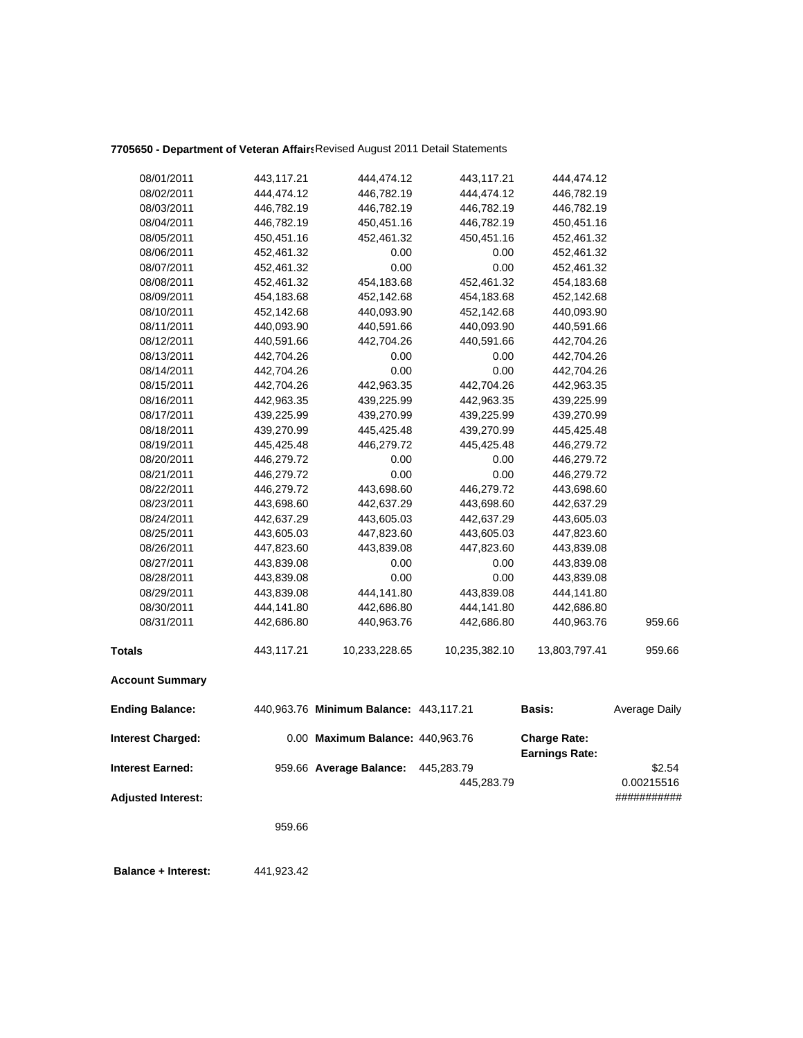## **7705650 - Department of Veteran Affairs**Revised August 2011 Detail Statements

| 08/01/2011                | 443,117.21 | 444,474.12                             | 443,117.21    | 444,474.12                                   |               |
|---------------------------|------------|----------------------------------------|---------------|----------------------------------------------|---------------|
| 08/02/2011                | 444,474.12 | 446,782.19                             | 444,474.12    | 446,782.19                                   |               |
| 08/03/2011                | 446,782.19 | 446,782.19                             | 446,782.19    | 446,782.19                                   |               |
| 08/04/2011                | 446,782.19 | 450,451.16                             | 446,782.19    | 450,451.16                                   |               |
| 08/05/2011                | 450,451.16 | 452,461.32                             | 450,451.16    | 452,461.32                                   |               |
| 08/06/2011                | 452,461.32 | 0.00                                   | 0.00          | 452,461.32                                   |               |
| 08/07/2011                | 452,461.32 | 0.00                                   | 0.00          | 452,461.32                                   |               |
| 08/08/2011                | 452,461.32 | 454,183.68                             | 452,461.32    | 454,183.68                                   |               |
| 08/09/2011                | 454,183.68 | 452,142.68                             | 454,183.68    | 452,142.68                                   |               |
| 08/10/2011                | 452,142.68 | 440,093.90                             | 452,142.68    | 440,093.90                                   |               |
| 08/11/2011                | 440,093.90 | 440,591.66                             | 440,093.90    | 440,591.66                                   |               |
| 08/12/2011                | 440,591.66 | 442,704.26                             | 440,591.66    | 442,704.26                                   |               |
| 08/13/2011                | 442,704.26 | 0.00                                   | 0.00          | 442,704.26                                   |               |
| 08/14/2011                | 442,704.26 | 0.00                                   | 0.00          | 442,704.26                                   |               |
| 08/15/2011                | 442,704.26 | 442,963.35                             | 442,704.26    | 442,963.35                                   |               |
| 08/16/2011                | 442,963.35 | 439,225.99                             | 442,963.35    | 439,225.99                                   |               |
| 08/17/2011                | 439,225.99 | 439,270.99                             | 439,225.99    | 439,270.99                                   |               |
| 08/18/2011                | 439,270.99 | 445,425.48                             | 439,270.99    | 445,425.48                                   |               |
| 08/19/2011                | 445,425.48 | 446,279.72                             | 445,425.48    | 446,279.72                                   |               |
| 08/20/2011                | 446,279.72 | 0.00                                   | 0.00          | 446,279.72                                   |               |
| 08/21/2011                | 446,279.72 | 0.00                                   | 0.00          | 446,279.72                                   |               |
| 08/22/2011                | 446,279.72 | 443,698.60                             | 446,279.72    | 443,698.60                                   |               |
| 08/23/2011                | 443,698.60 | 442,637.29                             | 443,698.60    | 442,637.29                                   |               |
| 08/24/2011                | 442,637.29 | 443,605.03                             | 442,637.29    | 443,605.03                                   |               |
| 08/25/2011                | 443,605.03 | 447,823.60                             | 443,605.03    | 447,823.60                                   |               |
| 08/26/2011                | 447,823.60 | 443,839.08                             | 447,823.60    | 443,839.08                                   |               |
| 08/27/2011                | 443,839.08 | 0.00                                   | 0.00          | 443,839.08                                   |               |
| 08/28/2011                | 443,839.08 | 0.00                                   | 0.00          | 443,839.08                                   |               |
| 08/29/2011                | 443,839.08 | 444,141.80                             | 443,839.08    | 444,141.80                                   |               |
| 08/30/2011                | 444,141.80 | 442,686.80                             | 444,141.80    | 442,686.80                                   |               |
| 08/31/2011                | 442,686.80 | 440,963.76                             | 442,686.80    | 440,963.76                                   | 959.66        |
| <b>Totals</b>             | 443,117.21 | 10,233,228.65                          | 10,235,382.10 | 13,803,797.41                                | 959.66        |
| <b>Account Summary</b>    |            |                                        |               |                                              |               |
| <b>Ending Balance:</b>    |            | 440,963.76 Minimum Balance: 443,117.21 |               | <b>Basis:</b>                                | Average Daily |
| <b>Interest Charged:</b>  |            | 0.00 Maximum Balance: 440,963.76       |               | <b>Charge Rate:</b><br><b>Earnings Rate:</b> |               |
| <b>Interest Earned:</b>   |            | 959.66 Average Balance:                | 445,283.79    |                                              | \$2.54        |
|                           |            |                                        | 445,283.79    |                                              | 0.00215516    |
| <b>Adjusted Interest:</b> |            |                                        |               |                                              | ###########   |
|                           |            |                                        |               |                                              |               |
|                           | 959.66     |                                        |               |                                              |               |
|                           |            |                                        |               |                                              |               |

 **Balance + Interest:** 441,923.42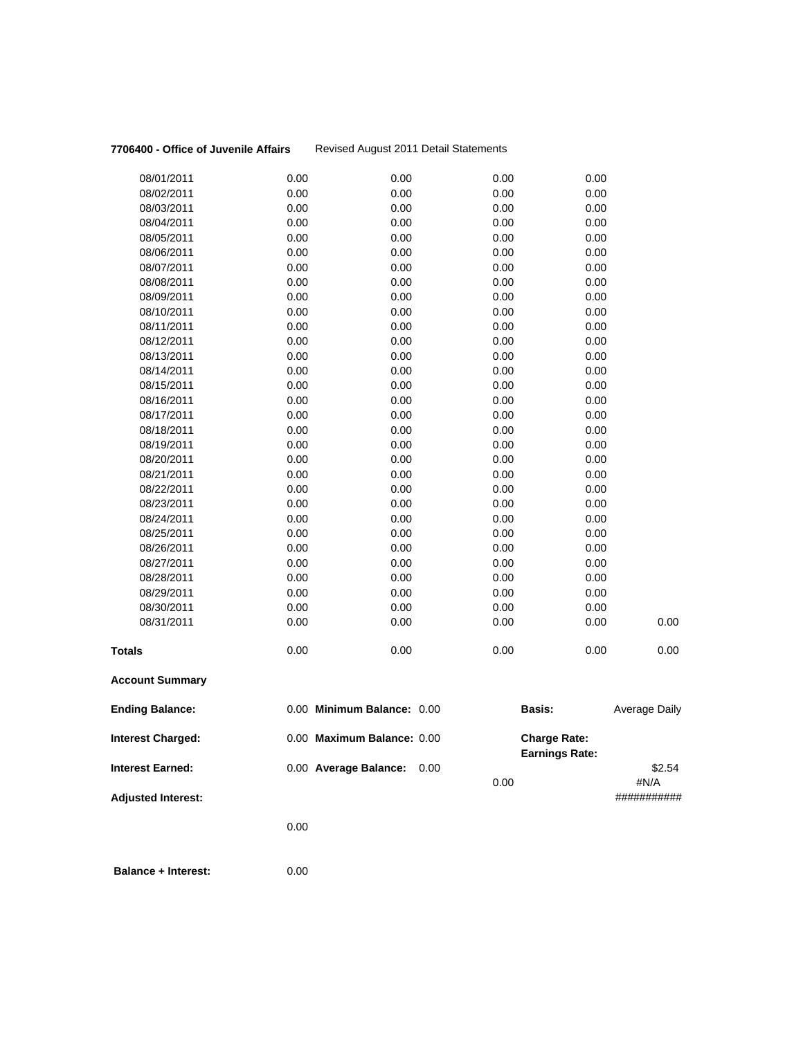### **7706400 - Office of Juvenile Affairs** Revised August 2011 Detail Statements

|                           | 0.00         |                            |              |                       |                     |
|---------------------------|--------------|----------------------------|--------------|-----------------------|---------------------|
| <b>Adjusted Interest:</b> |              |                            | 0.00         |                       | #N/A<br>########### |
| Interest Earned:          |              | 0.00 Average Balance:      | 0.00         | <b>Earnings Rate:</b> | \$2.54              |
| <b>Interest Charged:</b>  |              | 0.00 Maximum Balance: 0.00 |              | <b>Charge Rate:</b>   |                     |
| <b>Ending Balance:</b>    |              | 0.00 Minimum Balance: 0.00 |              | <b>Basis:</b>         | Average Daily       |
| <b>Account Summary</b>    |              |                            |              |                       |                     |
| Totals                    | 0.00         | 0.00                       | 0.00         | 0.00                  | 0.00                |
| 08/31/2011                | 0.00         | 0.00                       | 0.00         | 0.00                  | 0.00                |
| 08/30/2011                | 0.00         | 0.00                       | 0.00         | 0.00                  |                     |
| 08/29/2011                | 0.00         | 0.00                       | 0.00         | 0.00                  |                     |
| 08/28/2011                | 0.00         | 0.00                       | 0.00         | 0.00                  |                     |
| 08/27/2011                | 0.00         | 0.00                       | 0.00         | 0.00                  |                     |
| 08/26/2011                | 0.00         | 0.00                       | 0.00         | 0.00                  |                     |
| 08/25/2011                | 0.00         | 0.00                       | 0.00         | 0.00                  |                     |
| 08/24/2011                | 0.00         | 0.00                       | 0.00         | 0.00                  |                     |
| 08/23/2011                | 0.00         | 0.00                       | 0.00         | 0.00                  |                     |
| 08/22/2011                | 0.00         | 0.00                       | 0.00         | 0.00                  |                     |
| 08/21/2011                | 0.00         | 0.00                       | 0.00         | 0.00                  |                     |
| 08/20/2011                | 0.00         | 0.00                       | 0.00         | 0.00                  |                     |
| 08/19/2011                | 0.00         | 0.00                       | 0.00         | 0.00                  |                     |
| 08/18/2011                | 0.00         | 0.00                       | 0.00         | 0.00                  |                     |
| 08/17/2011                | 0.00         | 0.00                       | 0.00         | 0.00                  |                     |
| 08/16/2011                | 0.00         | 0.00                       | 0.00         | 0.00                  |                     |
| 08/15/2011                | 0.00         | 0.00                       | 0.00         | 0.00                  |                     |
| 08/14/2011                | 0.00         | 0.00                       | 0.00         | 0.00                  |                     |
| 08/13/2011                | 0.00         | 0.00                       | 0.00         | 0.00                  |                     |
| 08/12/2011                | 0.00         | 0.00                       | 0.00         | 0.00                  |                     |
| 08/11/2011                | 0.00         | 0.00                       | 0.00         | 0.00                  |                     |
| 08/10/2011                | 0.00         | 0.00                       | 0.00         | 0.00                  |                     |
| 08/09/2011                | 0.00         | 0.00                       | 0.00         | 0.00                  |                     |
| 08/08/2011                | 0.00         | 0.00                       | 0.00         | 0.00                  |                     |
| 08/07/2011                | 0.00         | 0.00                       | 0.00         | 0.00                  |                     |
| 08/06/2011                | 0.00         | 0.00                       | 0.00         | 0.00                  |                     |
| 08/04/2011<br>08/05/2011  | 0.00<br>0.00 | 0.00<br>0.00               | 0.00<br>0.00 | 0.00<br>0.00          |                     |
| 08/03/2011                | 0.00         | 0.00                       | 0.00         | 0.00                  |                     |
| 08/02/2011                | 0.00         | 0.00                       | 0.00         | 0.00                  |                     |
| 08/01/2011                | 0.00         | 0.00                       | 0.00         | 0.00                  |                     |
|                           |              |                            |              |                       |                     |

 **Balance + Interest:** 0.00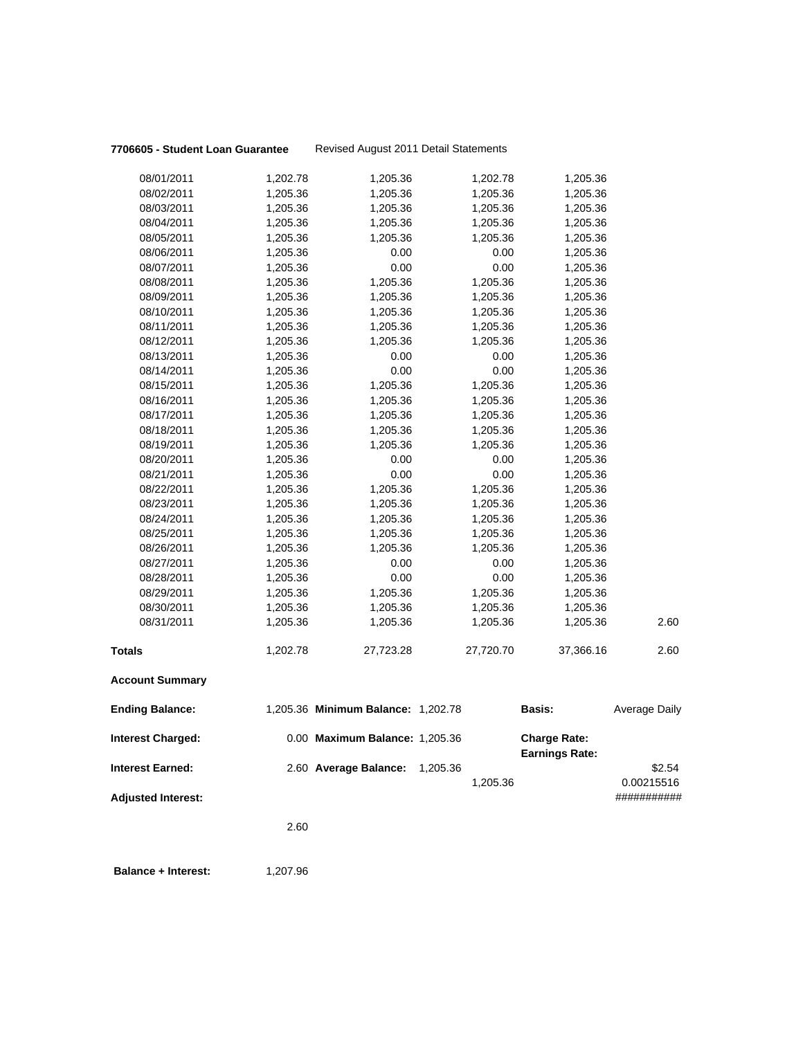### **7706605 - Student Loan Guarantee** Revised August 2011 Detail Statements

| 08/01/2011                | 1,202.78 | 1,205.36                           | 1,202.78  | 1,205.36                                     |               |
|---------------------------|----------|------------------------------------|-----------|----------------------------------------------|---------------|
| 08/02/2011                | 1,205.36 | 1,205.36                           | 1,205.36  | 1,205.36                                     |               |
| 08/03/2011                | 1,205.36 | 1,205.36                           | 1,205.36  | 1,205.36                                     |               |
| 08/04/2011                | 1,205.36 | 1,205.36                           | 1,205.36  | 1,205.36                                     |               |
| 08/05/2011                | 1,205.36 | 1,205.36                           | 1,205.36  | 1,205.36                                     |               |
| 08/06/2011                | 1,205.36 | 0.00                               | 0.00      | 1,205.36                                     |               |
| 08/07/2011                | 1,205.36 | 0.00                               | 0.00      | 1,205.36                                     |               |
| 08/08/2011                | 1,205.36 | 1,205.36                           | 1,205.36  | 1,205.36                                     |               |
| 08/09/2011                | 1,205.36 | 1,205.36                           | 1,205.36  | 1,205.36                                     |               |
| 08/10/2011                | 1,205.36 | 1,205.36                           | 1,205.36  | 1,205.36                                     |               |
| 08/11/2011                | 1,205.36 | 1,205.36                           | 1,205.36  | 1,205.36                                     |               |
| 08/12/2011                | 1,205.36 | 1,205.36                           | 1,205.36  | 1,205.36                                     |               |
| 08/13/2011                | 1,205.36 | 0.00                               | 0.00      | 1,205.36                                     |               |
| 08/14/2011                | 1,205.36 | 0.00                               | 0.00      | 1,205.36                                     |               |
| 08/15/2011                | 1,205.36 | 1,205.36                           | 1,205.36  | 1,205.36                                     |               |
| 08/16/2011                | 1,205.36 | 1,205.36                           | 1,205.36  | 1,205.36                                     |               |
| 08/17/2011                | 1,205.36 | 1,205.36                           | 1,205.36  | 1,205.36                                     |               |
| 08/18/2011                | 1,205.36 | 1,205.36                           | 1,205.36  | 1,205.36                                     |               |
| 08/19/2011                | 1,205.36 | 1,205.36                           | 1,205.36  | 1,205.36                                     |               |
| 08/20/2011                | 1,205.36 | 0.00                               | 0.00      | 1,205.36                                     |               |
| 08/21/2011                | 1,205.36 | 0.00                               | 0.00      | 1,205.36                                     |               |
| 08/22/2011                | 1,205.36 | 1,205.36                           | 1,205.36  | 1,205.36                                     |               |
| 08/23/2011                | 1,205.36 | 1,205.36                           | 1,205.36  | 1,205.36                                     |               |
| 08/24/2011                | 1,205.36 | 1,205.36                           | 1,205.36  | 1,205.36                                     |               |
| 08/25/2011                | 1,205.36 | 1,205.36                           | 1,205.36  | 1,205.36                                     |               |
| 08/26/2011                | 1,205.36 | 1,205.36                           | 1,205.36  | 1,205.36                                     |               |
| 08/27/2011                | 1,205.36 | 0.00                               | 0.00      | 1,205.36                                     |               |
| 08/28/2011                | 1,205.36 | 0.00                               | 0.00      | 1,205.36                                     |               |
| 08/29/2011                | 1,205.36 | 1,205.36                           | 1,205.36  | 1,205.36                                     |               |
| 08/30/2011                | 1,205.36 | 1,205.36                           | 1,205.36  | 1,205.36                                     |               |
| 08/31/2011                | 1,205.36 | 1,205.36                           | 1,205.36  | 1,205.36                                     | 2.60          |
| <b>Totals</b>             | 1,202.78 | 27,723.28                          | 27,720.70 | 37,366.16                                    | 2.60          |
| <b>Account Summary</b>    |          |                                    |           |                                              |               |
| <b>Ending Balance:</b>    |          | 1,205.36 Minimum Balance: 1,202.78 |           | <b>Basis:</b>                                | Average Daily |
| <b>Interest Charged:</b>  |          | 0.00 Maximum Balance: 1,205.36     |           | <b>Charge Rate:</b><br><b>Earnings Rate:</b> |               |
| <b>Interest Earned:</b>   |          | 2.60 Average Balance:              | 1,205.36  |                                              | \$2.54        |
|                           |          |                                    | 1,205.36  |                                              | 0.00215516    |
| <b>Adjusted Interest:</b> |          |                                    |           |                                              | ###########   |
|                           |          |                                    |           |                                              |               |
|                           | 2.60     |                                    |           |                                              |               |
|                           |          |                                    |           |                                              |               |

**Balance + Interest:** 1,207.96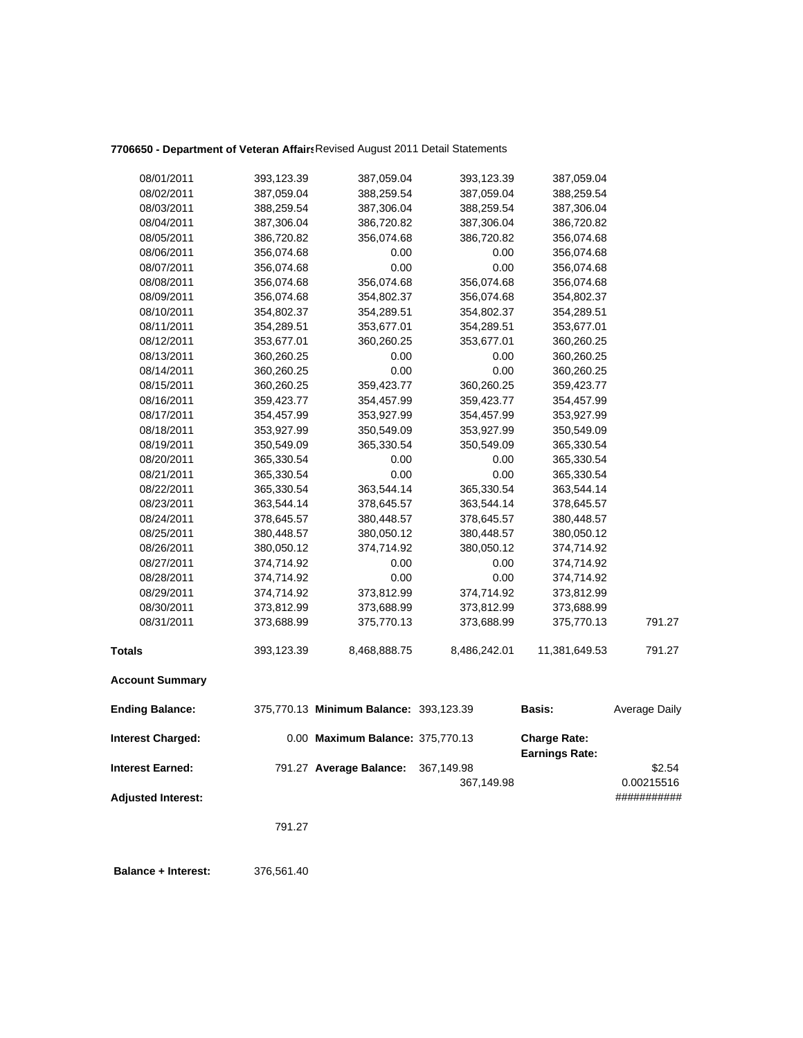## **7706650 - Department of Veteran Affairs**Revised August 2011 Detail Statements

| 08/01/2011                | 393,123.39 | 387,059.04                             | 393,123.39   | 387,059.04                                   |               |
|---------------------------|------------|----------------------------------------|--------------|----------------------------------------------|---------------|
| 08/02/2011                | 387,059.04 | 388,259.54                             | 387,059.04   | 388,259.54                                   |               |
| 08/03/2011                | 388,259.54 | 387,306.04                             | 388,259.54   | 387,306.04                                   |               |
| 08/04/2011                | 387,306.04 | 386,720.82                             | 387,306.04   | 386,720.82                                   |               |
| 08/05/2011                | 386,720.82 | 356,074.68                             | 386,720.82   | 356,074.68                                   |               |
| 08/06/2011                | 356,074.68 | 0.00                                   | 0.00         | 356,074.68                                   |               |
| 08/07/2011                | 356,074.68 | 0.00                                   | 0.00         | 356,074.68                                   |               |
| 08/08/2011                | 356,074.68 | 356,074.68                             | 356,074.68   | 356,074.68                                   |               |
| 08/09/2011                | 356,074.68 | 354,802.37                             | 356,074.68   | 354,802.37                                   |               |
| 08/10/2011                | 354,802.37 | 354,289.51                             | 354,802.37   | 354,289.51                                   |               |
| 08/11/2011                | 354,289.51 | 353,677.01                             | 354,289.51   | 353,677.01                                   |               |
| 08/12/2011                | 353,677.01 | 360,260.25                             | 353,677.01   | 360,260.25                                   |               |
| 08/13/2011                | 360,260.25 | 0.00                                   | 0.00         | 360,260.25                                   |               |
| 08/14/2011                | 360,260.25 | 0.00                                   | 0.00         | 360,260.25                                   |               |
| 08/15/2011                | 360,260.25 | 359,423.77                             | 360,260.25   | 359,423.77                                   |               |
| 08/16/2011                | 359,423.77 | 354,457.99                             | 359,423.77   | 354,457.99                                   |               |
| 08/17/2011                | 354,457.99 | 353,927.99                             | 354,457.99   | 353,927.99                                   |               |
| 08/18/2011                | 353,927.99 | 350,549.09                             | 353,927.99   | 350,549.09                                   |               |
| 08/19/2011                | 350,549.09 | 365,330.54                             | 350,549.09   | 365,330.54                                   |               |
| 08/20/2011                | 365,330.54 | 0.00                                   | 0.00         | 365,330.54                                   |               |
| 08/21/2011                | 365,330.54 | 0.00                                   | 0.00         | 365,330.54                                   |               |
| 08/22/2011                | 365,330.54 | 363,544.14                             | 365,330.54   | 363,544.14                                   |               |
| 08/23/2011                | 363,544.14 | 378,645.57                             | 363,544.14   | 378,645.57                                   |               |
| 08/24/2011                | 378,645.57 | 380,448.57                             | 378,645.57   | 380,448.57                                   |               |
| 08/25/2011                | 380,448.57 | 380,050.12                             | 380,448.57   | 380,050.12                                   |               |
| 08/26/2011                | 380,050.12 | 374,714.92                             | 380,050.12   | 374,714.92                                   |               |
| 08/27/2011                | 374,714.92 | 0.00                                   | 0.00         | 374,714.92                                   |               |
| 08/28/2011                | 374,714.92 | 0.00                                   | 0.00         | 374,714.92                                   |               |
| 08/29/2011                | 374,714.92 | 373,812.99                             | 374,714.92   | 373,812.99                                   |               |
| 08/30/2011                | 373,812.99 | 373,688.99                             | 373,812.99   | 373,688.99                                   |               |
| 08/31/2011                | 373,688.99 | 375,770.13                             | 373,688.99   | 375,770.13                                   | 791.27        |
| <b>Totals</b>             | 393,123.39 | 8,468,888.75                           | 8,486,242.01 | 11,381,649.53                                | 791.27        |
| <b>Account Summary</b>    |            |                                        |              |                                              |               |
| <b>Ending Balance:</b>    |            | 375,770.13 Minimum Balance: 393,123.39 |              | <b>Basis:</b>                                | Average Daily |
| <b>Interest Charged:</b>  |            | 0.00 Maximum Balance: 375,770.13       |              | <b>Charge Rate:</b><br><b>Earnings Rate:</b> |               |
| <b>Interest Earned:</b>   |            | 791.27 Average Balance:                | 367,149.98   |                                              | \$2.54        |
|                           |            |                                        | 367,149.98   |                                              | 0.00215516    |
| <b>Adjusted Interest:</b> |            |                                        |              |                                              | ###########   |
|                           |            |                                        |              |                                              |               |
|                           | 791.27     |                                        |              |                                              |               |
|                           |            |                                        |              |                                              |               |
|                           |            |                                        |              |                                              |               |

 **Balance + Interest:** 376,561.40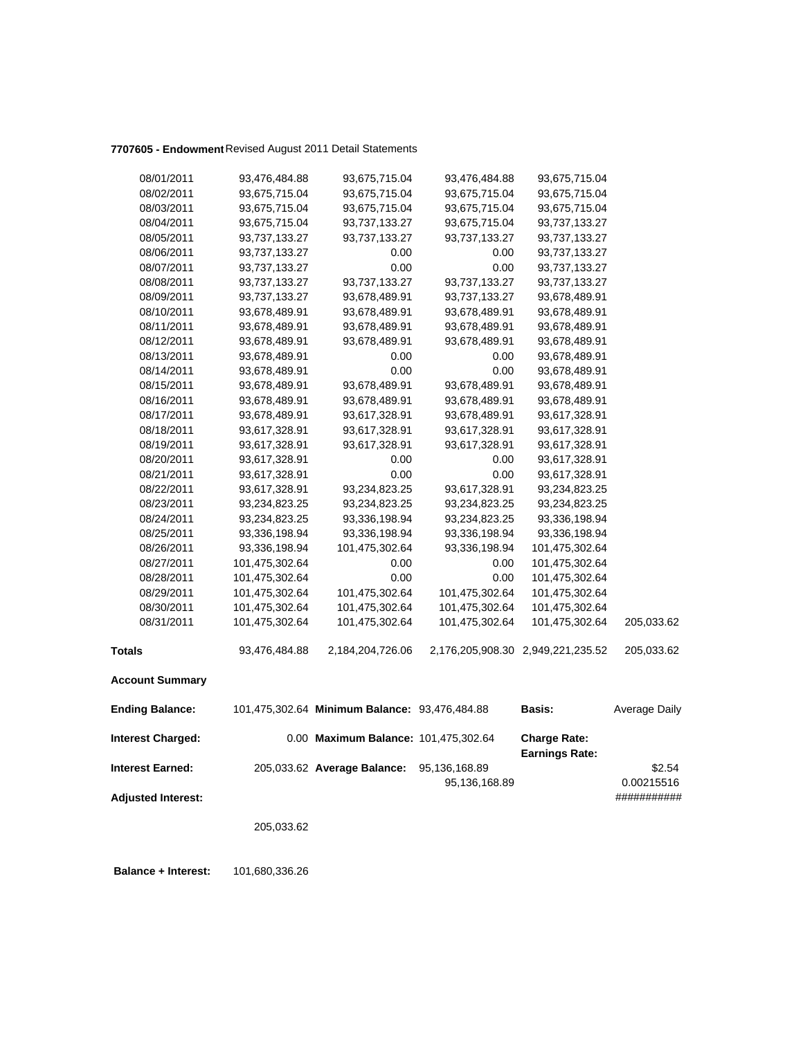## **7707605 - Endowment**Revised August 2011 Detail Statements

| 08/01/2011                | 93,476,484.88  | 93,675,715.04                                 | 93,476,484.88  | 93,675,715.04                                |               |
|---------------------------|----------------|-----------------------------------------------|----------------|----------------------------------------------|---------------|
| 08/02/2011                | 93,675,715.04  | 93,675,715.04                                 | 93,675,715.04  | 93,675,715.04                                |               |
| 08/03/2011                | 93,675,715.04  | 93,675,715.04                                 | 93,675,715.04  | 93,675,715.04                                |               |
| 08/04/2011                | 93,675,715.04  | 93,737,133.27                                 | 93,675,715.04  | 93,737,133.27                                |               |
| 08/05/2011                | 93,737,133.27  | 93,737,133.27                                 | 93,737,133.27  | 93,737,133.27                                |               |
| 08/06/2011                | 93,737,133.27  | 0.00                                          | 0.00           | 93,737,133.27                                |               |
| 08/07/2011                | 93,737,133.27  | 0.00                                          | 0.00           | 93,737,133.27                                |               |
| 08/08/2011                | 93,737,133.27  | 93,737,133.27                                 | 93,737,133.27  | 93,737,133.27                                |               |
| 08/09/2011                | 93,737,133.27  | 93,678,489.91                                 | 93,737,133.27  | 93,678,489.91                                |               |
| 08/10/2011                | 93,678,489.91  | 93,678,489.91                                 | 93,678,489.91  | 93,678,489.91                                |               |
| 08/11/2011                | 93,678,489.91  | 93,678,489.91                                 | 93,678,489.91  | 93,678,489.91                                |               |
| 08/12/2011                | 93,678,489.91  | 93,678,489.91                                 | 93,678,489.91  | 93,678,489.91                                |               |
| 08/13/2011                | 93,678,489.91  | 0.00                                          | 0.00           | 93,678,489.91                                |               |
| 08/14/2011                | 93,678,489.91  | 0.00                                          | 0.00           | 93,678,489.91                                |               |
| 08/15/2011                | 93,678,489.91  | 93,678,489.91                                 | 93,678,489.91  | 93,678,489.91                                |               |
| 08/16/2011                | 93,678,489.91  | 93,678,489.91                                 | 93,678,489.91  | 93,678,489.91                                |               |
| 08/17/2011                | 93,678,489.91  | 93,617,328.91                                 | 93,678,489.91  | 93,617,328.91                                |               |
| 08/18/2011                | 93,617,328.91  | 93,617,328.91                                 | 93,617,328.91  | 93,617,328.91                                |               |
| 08/19/2011                | 93,617,328.91  | 93,617,328.91                                 | 93,617,328.91  | 93,617,328.91                                |               |
| 08/20/2011                | 93,617,328.91  | 0.00                                          | 0.00           | 93,617,328.91                                |               |
| 08/21/2011                | 93,617,328.91  | 0.00                                          | 0.00           | 93,617,328.91                                |               |
| 08/22/2011                | 93,617,328.91  | 93,234,823.25                                 | 93,617,328.91  | 93,234,823.25                                |               |
| 08/23/2011                | 93,234,823.25  | 93,234,823.25                                 | 93,234,823.25  | 93,234,823.25                                |               |
| 08/24/2011                | 93,234,823.25  | 93,336,198.94                                 | 93,234,823.25  | 93,336,198.94                                |               |
| 08/25/2011                | 93,336,198.94  | 93,336,198.94                                 | 93,336,198.94  | 93,336,198.94                                |               |
| 08/26/2011                | 93,336,198.94  | 101,475,302.64                                | 93,336,198.94  | 101,475,302.64                               |               |
| 08/27/2011                | 101,475,302.64 | 0.00                                          | 0.00           | 101,475,302.64                               |               |
| 08/28/2011                | 101,475,302.64 | 0.00                                          | 0.00           | 101,475,302.64                               |               |
| 08/29/2011                | 101,475,302.64 | 101,475,302.64                                | 101,475,302.64 | 101,475,302.64                               |               |
| 08/30/2011                | 101,475,302.64 | 101,475,302.64                                | 101,475,302.64 | 101,475,302.64                               |               |
| 08/31/2011                | 101,475,302.64 | 101,475,302.64                                | 101,475,302.64 | 101,475,302.64                               | 205,033.62    |
| <b>Totals</b>             | 93,476,484.88  | 2,184,204,726.06                              |                | 2,176,205,908.30 2,949,221,235.52            | 205,033.62    |
| <b>Account Summary</b>    |                |                                               |                |                                              |               |
| <b>Ending Balance:</b>    |                | 101,475,302.64 Minimum Balance: 93,476,484.88 |                | <b>Basis:</b>                                | Average Daily |
| <b>Interest Charged:</b>  |                | 0.00 Maximum Balance: 101,475,302.64          |                | <b>Charge Rate:</b><br><b>Earnings Rate:</b> |               |
| <b>Interest Earned:</b>   |                | 205,033.62 Average Balance:                   | 95,136,168.89  |                                              | \$2.54        |
|                           |                |                                               | 95,136,168.89  |                                              | 0.00215516    |
| <b>Adjusted Interest:</b> |                |                                               |                |                                              | ###########   |
|                           |                |                                               |                |                                              |               |
|                           | 205,033.62     |                                               |                |                                              |               |
|                           |                |                                               |                |                                              |               |

 **Balance + Interest:** 101,680,336.26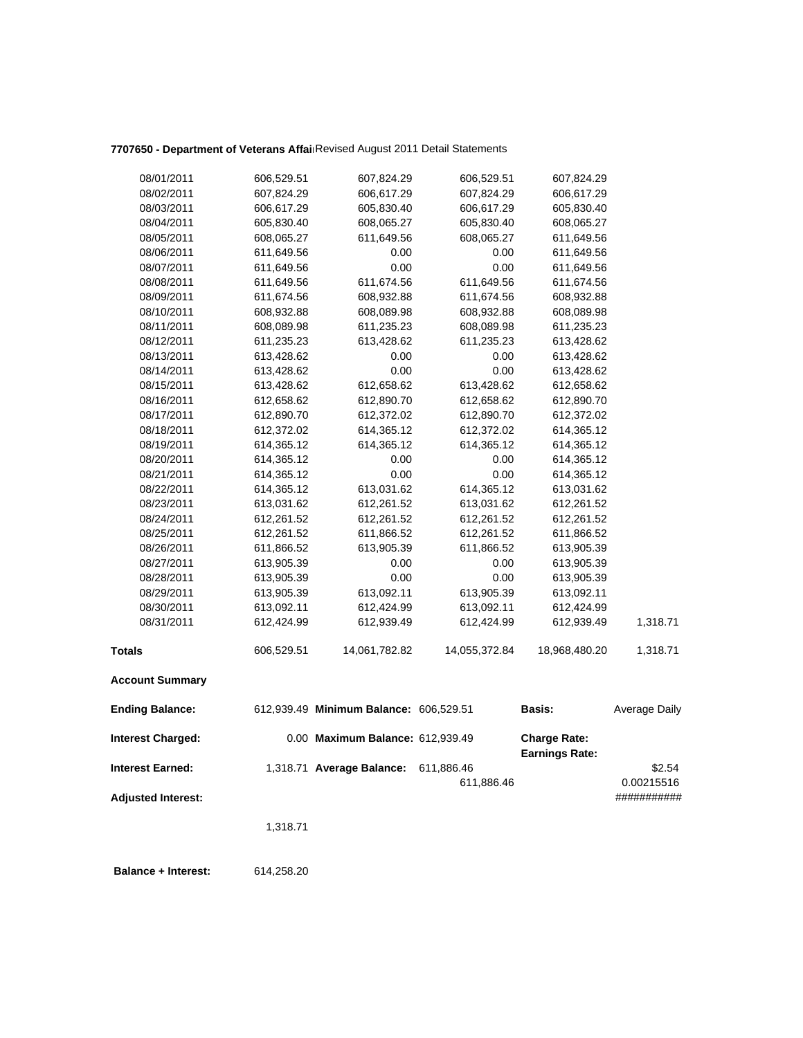# **7707650 - Department of Veterans Affair**Revised August 2011 Detail Statements

| 08/01/2011                | 606,529.51 | 607,824.29                             | 606,529.51    | 607,824.29                            |               |
|---------------------------|------------|----------------------------------------|---------------|---------------------------------------|---------------|
| 08/02/2011                | 607,824.29 | 606,617.29                             | 607,824.29    | 606,617.29                            |               |
| 08/03/2011                | 606,617.29 | 605,830.40                             | 606,617.29    | 605,830.40                            |               |
| 08/04/2011                | 605,830.40 | 608,065.27                             | 605,830.40    | 608,065.27                            |               |
| 08/05/2011                | 608,065.27 | 611,649.56                             | 608,065.27    | 611,649.56                            |               |
| 08/06/2011                | 611,649.56 | 0.00                                   | 0.00          | 611,649.56                            |               |
| 08/07/2011                | 611,649.56 | 0.00                                   | 0.00          | 611,649.56                            |               |
| 08/08/2011                | 611,649.56 | 611,674.56                             | 611,649.56    | 611,674.56                            |               |
| 08/09/2011                | 611,674.56 | 608,932.88                             | 611,674.56    | 608,932.88                            |               |
| 08/10/2011                | 608,932.88 | 608,089.98                             | 608,932.88    | 608,089.98                            |               |
| 08/11/2011                | 608,089.98 | 611,235.23                             | 608,089.98    | 611,235.23                            |               |
| 08/12/2011                | 611,235.23 | 613,428.62                             | 611,235.23    | 613,428.62                            |               |
| 08/13/2011                | 613,428.62 | 0.00                                   | 0.00          | 613,428.62                            |               |
| 08/14/2011                | 613,428.62 | 0.00                                   | 0.00          | 613,428.62                            |               |
| 08/15/2011                | 613,428.62 | 612,658.62                             | 613,428.62    | 612,658.62                            |               |
| 08/16/2011                | 612,658.62 | 612,890.70                             | 612,658.62    | 612,890.70                            |               |
| 08/17/2011                | 612,890.70 | 612,372.02                             | 612,890.70    | 612,372.02                            |               |
| 08/18/2011                | 612,372.02 | 614,365.12                             | 612,372.02    | 614,365.12                            |               |
| 08/19/2011                | 614,365.12 | 614,365.12                             | 614,365.12    | 614,365.12                            |               |
| 08/20/2011                | 614,365.12 | 0.00                                   | 0.00          | 614,365.12                            |               |
| 08/21/2011                | 614,365.12 | 0.00                                   | 0.00          | 614,365.12                            |               |
| 08/22/2011                | 614,365.12 | 613,031.62                             | 614,365.12    | 613,031.62                            |               |
| 08/23/2011                | 613,031.62 | 612,261.52                             | 613,031.62    | 612,261.52                            |               |
| 08/24/2011                | 612,261.52 | 612,261.52                             | 612,261.52    | 612,261.52                            |               |
| 08/25/2011                | 612,261.52 | 611,866.52                             | 612,261.52    | 611,866.52                            |               |
| 08/26/2011                | 611,866.52 | 613,905.39                             | 611,866.52    | 613,905.39                            |               |
| 08/27/2011                | 613,905.39 | 0.00                                   | 0.00          | 613,905.39                            |               |
| 08/28/2011                | 613,905.39 | 0.00                                   | 0.00          | 613,905.39                            |               |
| 08/29/2011                | 613,905.39 | 613,092.11                             | 613,905.39    | 613,092.11                            |               |
| 08/30/2011                | 613,092.11 | 612,424.99                             | 613,092.11    | 612,424.99                            |               |
| 08/31/2011                | 612,424.99 | 612,939.49                             | 612,424.99    | 612,939.49                            | 1,318.71      |
| <b>Totals</b>             | 606,529.51 | 14,061,782.82                          | 14,055,372.84 | 18,968,480.20                         | 1,318.71      |
| <b>Account Summary</b>    |            |                                        |               |                                       |               |
| <b>Ending Balance:</b>    |            | 612,939.49 Minimum Balance: 606,529.51 |               | Basis:                                | Average Daily |
| <b>Interest Charged:</b>  |            | 0.00 Maximum Balance: 612,939.49       |               | <b>Charge Rate:</b><br>Earnings Rate: |               |
| <b>Interest Earned:</b>   |            | 1,318.71 Average Balance:              | 611,886.46    |                                       | \$2.54        |
|                           |            |                                        | 611,886.46    |                                       | 0.00215516    |
| <b>Adjusted Interest:</b> |            |                                        |               |                                       | ###########   |
|                           |            |                                        |               |                                       |               |
|                           | 1,318.71   |                                        |               |                                       |               |
|                           |            |                                        |               |                                       |               |
|                           |            |                                        |               |                                       |               |

 **Balance + Interest:** 614,258.20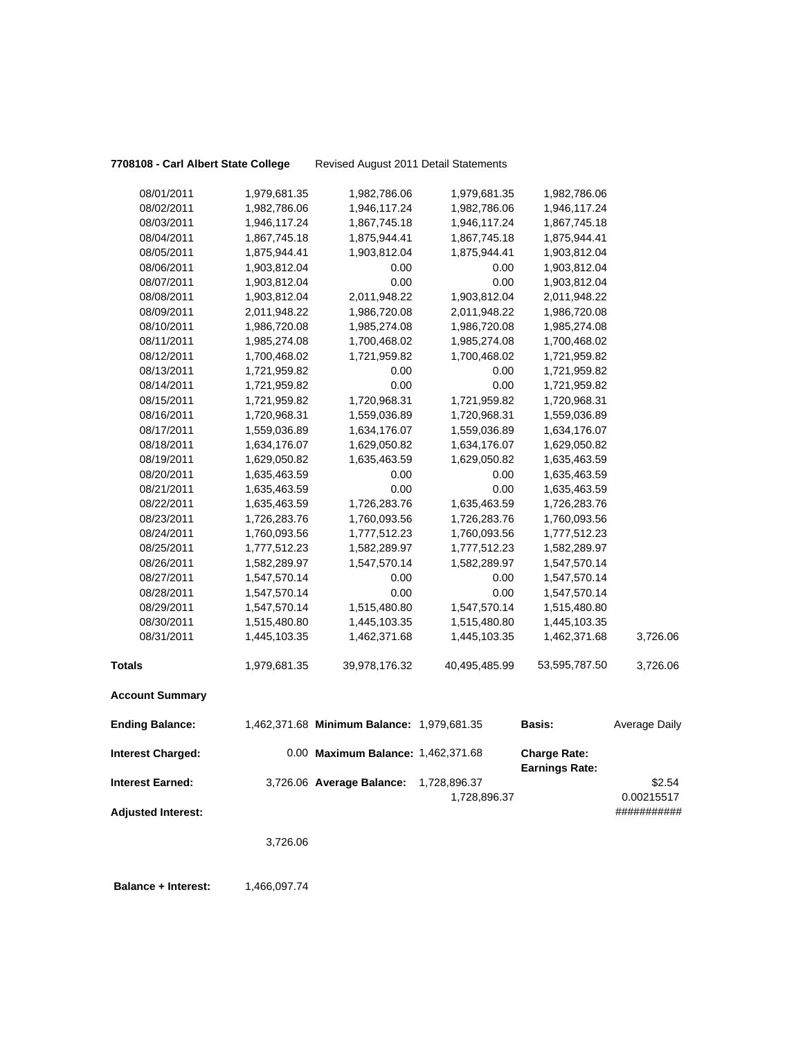**7708108 - Carl Albert State College** Revised August 2011 Detail Statements

| 08/01/2011                                           | 1,979,681.35 | 1,982,786.06                               | 1,979,681.35                 | 1,982,786.06          |                                     |
|------------------------------------------------------|--------------|--------------------------------------------|------------------------------|-----------------------|-------------------------------------|
| 08/02/2011                                           | 1,982,786.06 | 1,946,117.24                               | 1,982,786.06                 | 1,946,117.24          |                                     |
| 08/03/2011                                           | 1,946,117.24 | 1,867,745.18                               | 1,946,117.24                 | 1,867,745.18          |                                     |
| 08/04/2011                                           | 1,867,745.18 | 1,875,944.41                               | 1,867,745.18                 | 1,875,944.41          |                                     |
| 08/05/2011                                           | 1,875,944.41 | 1,903,812.04                               | 1,875,944.41                 | 1,903,812.04          |                                     |
| 08/06/2011                                           | 1,903,812.04 | 0.00                                       | 0.00                         | 1,903,812.04          |                                     |
| 08/07/2011                                           | 1,903,812.04 | 0.00                                       | 0.00                         | 1,903,812.04          |                                     |
| 08/08/2011                                           | 1,903,812.04 | 2,011,948.22                               | 1,903,812.04                 | 2,011,948.22          |                                     |
| 08/09/2011                                           | 2,011,948.22 | 1,986,720.08                               | 2,011,948.22                 | 1,986,720.08          |                                     |
| 08/10/2011                                           | 1,986,720.08 | 1,985,274.08                               | 1,986,720.08                 | 1,985,274.08          |                                     |
| 08/11/2011                                           | 1,985,274.08 | 1,700,468.02                               | 1,985,274.08                 | 1,700,468.02          |                                     |
| 08/12/2011                                           | 1,700,468.02 | 1,721,959.82                               | 1,700,468.02                 | 1,721,959.82          |                                     |
| 08/13/2011                                           | 1,721,959.82 | 0.00                                       | 0.00                         | 1,721,959.82          |                                     |
| 08/14/2011                                           | 1,721,959.82 | 0.00                                       | 0.00                         | 1,721,959.82          |                                     |
| 08/15/2011                                           | 1,721,959.82 | 1,720,968.31                               | 1,721,959.82                 | 1,720,968.31          |                                     |
| 08/16/2011                                           | 1,720,968.31 | 1,559,036.89                               | 1,720,968.31                 | 1,559,036.89          |                                     |
| 08/17/2011                                           | 1,559,036.89 | 1,634,176.07                               | 1,559,036.89                 | 1,634,176.07          |                                     |
| 08/18/2011                                           | 1,634,176.07 | 1,629,050.82                               | 1,634,176.07                 | 1,629,050.82          |                                     |
| 08/19/2011                                           | 1,629,050.82 | 1,635,463.59                               | 1,629,050.82                 | 1,635,463.59          |                                     |
| 08/20/2011                                           | 1,635,463.59 | 0.00                                       | 0.00                         | 1,635,463.59          |                                     |
| 08/21/2011                                           | 1,635,463.59 | 0.00                                       | 0.00                         | 1,635,463.59          |                                     |
| 08/22/2011                                           | 1,635,463.59 | 1,726,283.76                               | 1,635,463.59                 | 1,726,283.76          |                                     |
| 08/23/2011                                           | 1,726,283.76 | 1,760,093.56                               | 1,726,283.76                 | 1,760,093.56          |                                     |
| 08/24/2011                                           | 1,760,093.56 | 1,777,512.23                               | 1,760,093.56                 | 1,777,512.23          |                                     |
| 08/25/2011                                           | 1,777,512.23 | 1,582,289.97                               | 1,777,512.23                 | 1,582,289.97          |                                     |
| 08/26/2011                                           | 1,582,289.97 | 1,547,570.14                               | 1,582,289.97                 | 1,547,570.14          |                                     |
| 08/27/2011                                           | 1,547,570.14 | 0.00                                       | 0.00                         | 1,547,570.14          |                                     |
| 08/28/2011                                           | 1,547,570.14 | 0.00                                       | 0.00                         | 1,547,570.14          |                                     |
| 08/29/2011                                           | 1,547,570.14 | 1,515,480.80                               | 1,547,570.14                 | 1,515,480.80          |                                     |
| 08/30/2011                                           | 1,515,480.80 | 1,445,103.35                               | 1,515,480.80                 | 1,445,103.35          |                                     |
| 08/31/2011                                           | 1,445,103.35 | 1,462,371.68                               | 1,445,103.35                 | 1,462,371.68          | 3,726.06                            |
| <b>Totals</b>                                        | 1,979,681.35 | 39,978,176.32                              | 40,495,485.99                | 53,595,787.50         | 3,726.06                            |
| <b>Account Summary</b>                               |              |                                            |                              |                       |                                     |
| <b>Ending Balance:</b>                               |              | 1,462,371.68 Minimum Balance: 1,979,681.35 |                              | Basis:                | Average Daily                       |
| <b>Interest Charged:</b>                             |              | 0.00 Maximum Balance: 1,462,371.68         |                              | <b>Charge Rate:</b>   |                                     |
| <b>Interest Earned:</b><br><b>Adjusted Interest:</b> |              | 3,726.06 Average Balance:                  | 1,728,896.37<br>1,728,896.37 | <b>Earnings Rate:</b> | \$2.54<br>0.00215517<br>########### |
|                                                      |              |                                            |                              |                       |                                     |

3,726.06

**Balance + Interest:** 1,466,097.74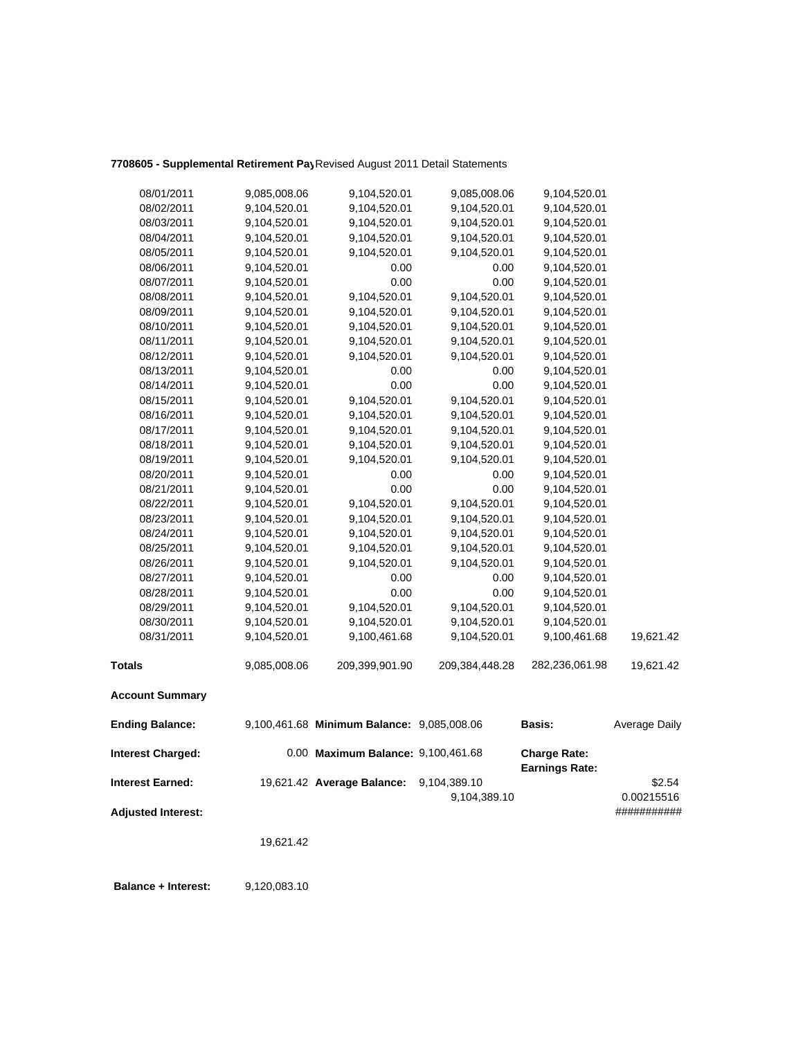## **7708605 - Supplemental Retirement Pay**Revised August 2011 Detail Statements

| 08/01/2011                | 9,085,008.06 | 9,104,520.01                               | 9,085,008.06                 | 9,104,520.01                                 |                      |
|---------------------------|--------------|--------------------------------------------|------------------------------|----------------------------------------------|----------------------|
| 08/02/2011                | 9,104,520.01 | 9,104,520.01                               | 9,104,520.01                 | 9,104,520.01                                 |                      |
| 08/03/2011                | 9,104,520.01 | 9,104,520.01                               | 9,104,520.01                 | 9,104,520.01                                 |                      |
| 08/04/2011                | 9,104,520.01 | 9,104,520.01                               | 9,104,520.01                 | 9,104,520.01                                 |                      |
| 08/05/2011                | 9,104,520.01 | 9,104,520.01                               | 9,104,520.01                 | 9,104,520.01                                 |                      |
| 08/06/2011                | 9,104,520.01 | 0.00                                       | 0.00                         | 9,104,520.01                                 |                      |
| 08/07/2011                | 9,104,520.01 | 0.00                                       | 0.00                         | 9,104,520.01                                 |                      |
| 08/08/2011                | 9,104,520.01 | 9,104,520.01                               | 9,104,520.01                 | 9,104,520.01                                 |                      |
| 08/09/2011                | 9,104,520.01 | 9,104,520.01                               | 9,104,520.01                 | 9,104,520.01                                 |                      |
| 08/10/2011                | 9,104,520.01 | 9,104,520.01                               | 9,104,520.01                 | 9,104,520.01                                 |                      |
| 08/11/2011                | 9,104,520.01 | 9,104,520.01                               | 9,104,520.01                 | 9,104,520.01                                 |                      |
| 08/12/2011                | 9,104,520.01 | 9,104,520.01                               | 9,104,520.01                 | 9,104,520.01                                 |                      |
| 08/13/2011                | 9,104,520.01 | 0.00                                       | 0.00                         | 9,104,520.01                                 |                      |
| 08/14/2011                | 9,104,520.01 | 0.00                                       | 0.00                         | 9,104,520.01                                 |                      |
| 08/15/2011                | 9,104,520.01 | 9,104,520.01                               | 9,104,520.01                 | 9,104,520.01                                 |                      |
| 08/16/2011                | 9,104,520.01 | 9,104,520.01                               | 9,104,520.01                 | 9,104,520.01                                 |                      |
| 08/17/2011                | 9,104,520.01 | 9,104,520.01                               | 9,104,520.01                 | 9,104,520.01                                 |                      |
| 08/18/2011                | 9,104,520.01 | 9,104,520.01                               | 9,104,520.01                 | 9,104,520.01                                 |                      |
| 08/19/2011                | 9,104,520.01 | 9,104,520.01                               | 9,104,520.01                 | 9,104,520.01                                 |                      |
| 08/20/2011                | 9,104,520.01 | 0.00                                       | 0.00                         | 9,104,520.01                                 |                      |
| 08/21/2011                | 9,104,520.01 | 0.00                                       | 0.00                         | 9,104,520.01                                 |                      |
| 08/22/2011                | 9,104,520.01 | 9,104,520.01                               | 9,104,520.01                 | 9,104,520.01                                 |                      |
| 08/23/2011                | 9,104,520.01 | 9,104,520.01                               | 9,104,520.01                 | 9,104,520.01                                 |                      |
| 08/24/2011                | 9,104,520.01 | 9,104,520.01                               | 9,104,520.01                 | 9,104,520.01                                 |                      |
| 08/25/2011                | 9,104,520.01 | 9,104,520.01                               | 9,104,520.01                 | 9,104,520.01                                 |                      |
| 08/26/2011                | 9,104,520.01 | 9,104,520.01                               | 9,104,520.01                 | 9,104,520.01                                 |                      |
| 08/27/2011                | 9,104,520.01 | 0.00                                       | 0.00                         | 9,104,520.01                                 |                      |
| 08/28/2011                | 9,104,520.01 | 0.00                                       | 0.00                         | 9,104,520.01                                 |                      |
| 08/29/2011                | 9,104,520.01 | 9,104,520.01                               | 9,104,520.01                 | 9,104,520.01                                 |                      |
| 08/30/2011                | 9,104,520.01 | 9,104,520.01                               | 9,104,520.01                 | 9,104,520.01                                 |                      |
| 08/31/2011                | 9,104,520.01 | 9,100,461.68                               | 9,104,520.01                 | 9,100,461.68                                 | 19,621.42            |
| <b>Totals</b>             | 9,085,008.06 | 209,399,901.90                             | 209,384,448.28               | 282,236,061.98                               | 19,621.42            |
| <b>Account Summary</b>    |              |                                            |                              |                                              |                      |
| <b>Ending Balance:</b>    |              | 9,100,461.68 Minimum Balance: 9,085,008.06 |                              | <b>Basis:</b>                                | Average Daily        |
| <b>Interest Charged:</b>  |              | 0.00 Maximum Balance: 9,100,461.68         |                              | <b>Charge Rate:</b><br><b>Earnings Rate:</b> |                      |
| <b>Interest Earned:</b>   |              | 19,621.42 Average Balance:                 | 9,104,389.10<br>9,104,389.10 |                                              | \$2.54<br>0.00215516 |
| <b>Adjusted Interest:</b> |              |                                            |                              |                                              | ###########          |

19,621.42

**Balance + Interest:** 9,120,083.10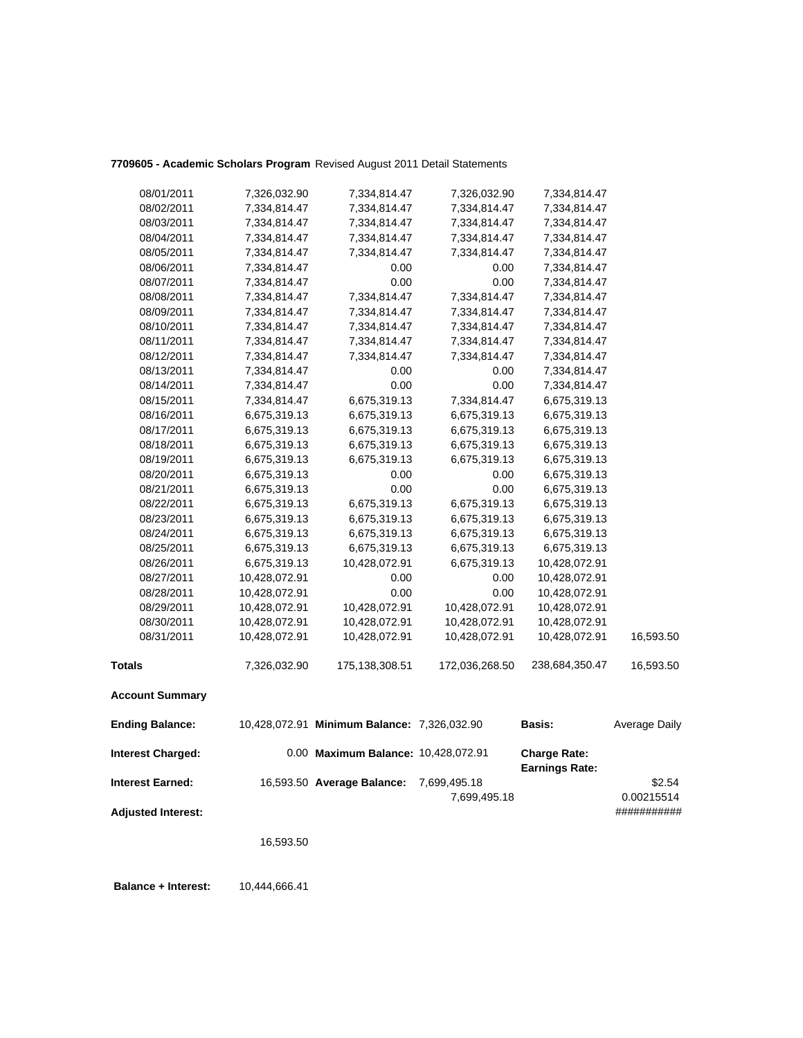### **7709605 - Academic Scholars Program** Revised August 2011 Detail Statements

| 08/01/2011               | 7,326,032.90  | 7,334,814.47                                | 7,326,032.90                 | 7,334,814.47                                 |                      |
|--------------------------|---------------|---------------------------------------------|------------------------------|----------------------------------------------|----------------------|
| 08/02/2011               | 7,334,814.47  | 7,334,814.47                                | 7,334,814.47                 | 7,334,814.47                                 |                      |
| 08/03/2011               | 7,334,814.47  | 7,334,814.47                                | 7,334,814.47                 | 7,334,814.47                                 |                      |
| 08/04/2011               | 7,334,814.47  | 7,334,814.47                                | 7,334,814.47                 | 7,334,814.47                                 |                      |
| 08/05/2011               | 7,334,814.47  | 7,334,814.47                                | 7,334,814.47                 | 7,334,814.47                                 |                      |
| 08/06/2011               | 7,334,814.47  | 0.00                                        | 0.00                         | 7,334,814.47                                 |                      |
| 08/07/2011               | 7,334,814.47  | 0.00                                        | 0.00                         | 7,334,814.47                                 |                      |
| 08/08/2011               | 7,334,814.47  | 7,334,814.47                                | 7,334,814.47                 | 7,334,814.47                                 |                      |
| 08/09/2011               | 7,334,814.47  | 7,334,814.47                                | 7,334,814.47                 | 7,334,814.47                                 |                      |
| 08/10/2011               | 7,334,814.47  | 7,334,814.47                                | 7,334,814.47                 | 7,334,814.47                                 |                      |
| 08/11/2011               | 7,334,814.47  | 7,334,814.47                                | 7,334,814.47                 | 7,334,814.47                                 |                      |
| 08/12/2011               | 7,334,814.47  | 7,334,814.47                                | 7,334,814.47                 | 7,334,814.47                                 |                      |
| 08/13/2011               | 7,334,814.47  | 0.00                                        | 0.00                         | 7,334,814.47                                 |                      |
| 08/14/2011               | 7,334,814.47  | 0.00                                        | 0.00                         | 7,334,814.47                                 |                      |
| 08/15/2011               | 7,334,814.47  | 6,675,319.13                                | 7,334,814.47                 | 6,675,319.13                                 |                      |
| 08/16/2011               | 6,675,319.13  | 6,675,319.13                                | 6,675,319.13                 | 6,675,319.13                                 |                      |
| 08/17/2011               | 6,675,319.13  | 6,675,319.13                                | 6,675,319.13                 | 6,675,319.13                                 |                      |
| 08/18/2011               | 6,675,319.13  | 6,675,319.13                                | 6,675,319.13                 | 6,675,319.13                                 |                      |
| 08/19/2011               | 6,675,319.13  | 6,675,319.13                                | 6,675,319.13                 | 6,675,319.13                                 |                      |
| 08/20/2011               | 6,675,319.13  | 0.00                                        | 0.00                         | 6,675,319.13                                 |                      |
| 08/21/2011               | 6,675,319.13  | 0.00                                        | 0.00                         | 6,675,319.13                                 |                      |
| 08/22/2011               | 6,675,319.13  | 6,675,319.13                                | 6,675,319.13                 | 6,675,319.13                                 |                      |
| 08/23/2011               | 6,675,319.13  | 6,675,319.13                                | 6,675,319.13                 | 6,675,319.13                                 |                      |
| 08/24/2011               | 6,675,319.13  | 6,675,319.13                                | 6,675,319.13                 | 6,675,319.13                                 |                      |
| 08/25/2011               | 6,675,319.13  | 6,675,319.13                                | 6,675,319.13                 | 6,675,319.13                                 |                      |
| 08/26/2011               | 6,675,319.13  | 10,428,072.91                               | 6,675,319.13                 | 10,428,072.91                                |                      |
| 08/27/2011               | 10,428,072.91 | 0.00                                        | 0.00                         | 10,428,072.91                                |                      |
| 08/28/2011               | 10,428,072.91 | 0.00                                        | 0.00                         | 10,428,072.91                                |                      |
| 08/29/2011               | 10,428,072.91 | 10,428,072.91                               | 10,428,072.91                | 10,428,072.91                                |                      |
| 08/30/2011               | 10,428,072.91 | 10,428,072.91                               | 10,428,072.91                | 10,428,072.91                                |                      |
| 08/31/2011               | 10,428,072.91 | 10,428,072.91                               | 10,428,072.91                | 10,428,072.91                                | 16,593.50            |
| <b>Totals</b>            | 7,326,032.90  | 175, 138, 308.51                            | 172,036,268.50               | 238,684,350.47                               | 16,593.50            |
| <b>Account Summary</b>   |               |                                             |                              |                                              |                      |
| <b>Ending Balance:</b>   |               | 10,428,072.91 Minimum Balance: 7,326,032.90 |                              | Basis:                                       | Average Daily        |
| <b>Interest Charged:</b> |               | 0.00 Maximum Balance: 10,428,072.91         |                              | <b>Charge Rate:</b><br><b>Earnings Rate:</b> |                      |
| <b>Interest Earned:</b>  |               | 16,593.50 Average Balance:                  | 7,699,495.18<br>7,699,495.18 |                                              | \$2.54<br>0.00215514 |

**Adjusted Interest:** ###########

16,593.50

 **Balance + Interest:** 10,444,666.41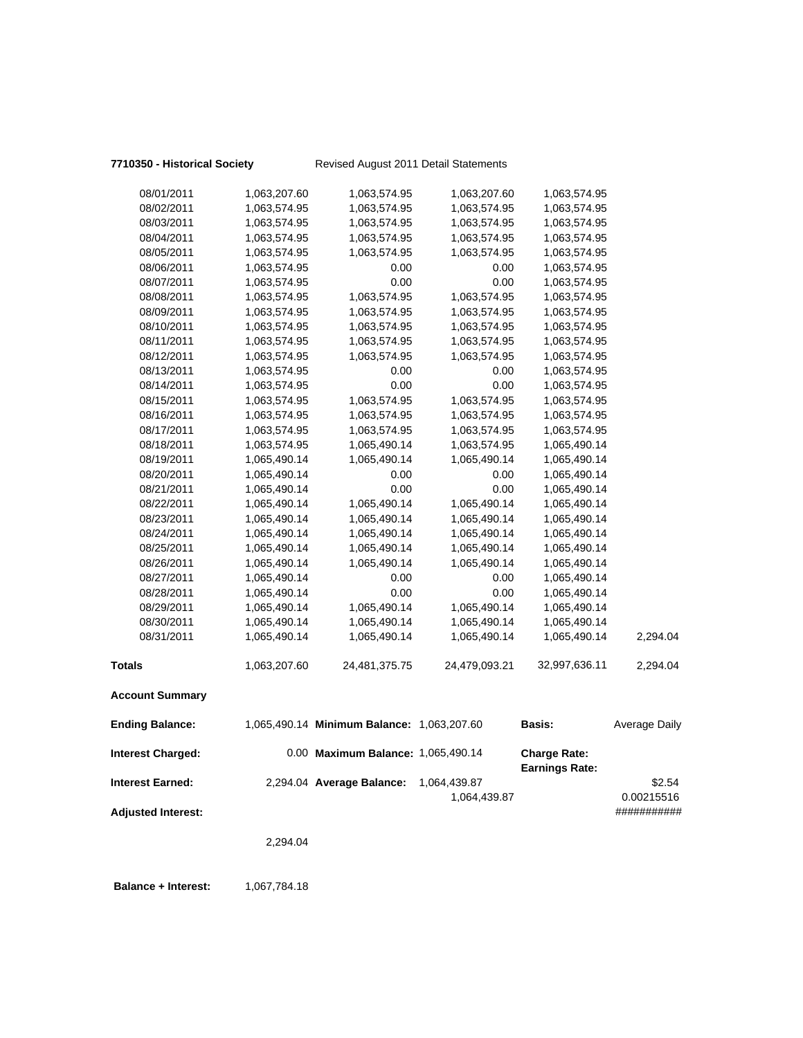### **7710350 - Historical Society** Revised August 2011 Detail Statements

| <b>Interest Charged:</b><br><b>Interest Earned:</b> |                              | 0.00 Maximum Balance: 1,065,490.14<br>2,294.04 Average Balance: | 1,064,439.87                 | <b>Charge Rate:</b><br><b>Earnings Rate:</b> | \$2.54        |
|-----------------------------------------------------|------------------------------|-----------------------------------------------------------------|------------------------------|----------------------------------------------|---------------|
| <b>Ending Balance:</b>                              |                              | 1,065,490.14 Minimum Balance: 1,063,207.60                      |                              | <b>Basis:</b>                                | Average Daily |
| <b>Account Summary</b>                              |                              |                                                                 |                              |                                              |               |
| <b>Totals</b>                                       | 1,063,207.60                 | 24,481,375.75                                                   | 24,479,093.21                | 32,997,636.11                                | 2,294.04      |
| 08/31/2011                                          | 1,065,490.14                 | 1,065,490.14                                                    | 1,065,490.14                 | 1,065,490.14                                 | 2,294.04      |
| 08/30/2011                                          | 1,065,490.14                 | 1,065,490.14                                                    | 1,065,490.14                 | 1,065,490.14                                 |               |
| 08/29/2011                                          | 1,065,490.14                 | 1,065,490.14                                                    | 1,065,490.14                 | 1,065,490.14                                 |               |
| 08/28/2011                                          | 1,065,490.14                 | 0.00                                                            | 0.00                         | 1,065,490.14                                 |               |
| 08/27/2011                                          | 1,065,490.14                 | 0.00                                                            | 0.00                         | 1,065,490.14                                 |               |
| 08/26/2011                                          | 1,065,490.14                 | 1,065,490.14                                                    | 1,065,490.14                 | 1,065,490.14                                 |               |
| 08/25/2011                                          | 1,065,490.14                 | 1,065,490.14                                                    | 1,065,490.14                 | 1,065,490.14                                 |               |
| 08/24/2011                                          | 1,065,490.14                 | 1,065,490.14                                                    | 1,065,490.14                 | 1,065,490.14                                 |               |
| 08/23/2011                                          | 1,065,490.14                 | 1,065,490.14                                                    | 1,065,490.14                 | 1,065,490.14                                 |               |
| 08/22/2011                                          | 1,065,490.14                 | 1,065,490.14                                                    | 1,065,490.14                 | 1,065,490.14                                 |               |
| 08/21/2011                                          | 1,065,490.14                 | 0.00                                                            | 0.00                         | 1,065,490.14                                 |               |
| 08/20/2011                                          | 1,065,490.14                 | 0.00                                                            | 0.00                         | 1,065,490.14                                 |               |
| 08/19/2011                                          | 1,065,490.14                 | 1,065,490.14                                                    | 1,065,490.14                 | 1,065,490.14                                 |               |
| 08/18/2011                                          | 1,063,574.95                 | 1,065,490.14                                                    | 1,063,574.95                 | 1,065,490.14                                 |               |
| 08/17/2011                                          | 1,063,574.95                 | 1,063,574.95                                                    | 1,063,574.95                 | 1,063,574.95                                 |               |
| 08/16/2011                                          | 1,063,574.95                 | 1,063,574.95                                                    | 1,063,574.95                 | 1,063,574.95                                 |               |
| 08/15/2011                                          | 1,063,574.95                 | 1,063,574.95                                                    | 1,063,574.95                 | 1,063,574.95                                 |               |
| 08/14/2011                                          | 1,063,574.95                 | 0.00                                                            | 0.00                         | 1,063,574.95                                 |               |
| 08/13/2011                                          | 1,063,574.95                 | 0.00                                                            | 0.00                         | 1,063,574.95                                 |               |
| 08/12/2011                                          | 1,063,574.95                 | 1,063,574.95                                                    | 1,063,574.95                 | 1,063,574.95                                 |               |
| 08/11/2011                                          | 1,063,574.95                 | 1,063,574.95                                                    | 1,063,574.95                 | 1,063,574.95                                 |               |
| 08/10/2011                                          | 1,063,574.95                 | 1,063,574.95                                                    | 1,063,574.95                 | 1,063,574.95                                 |               |
| 08/09/2011                                          | 1,063,574.95                 | 1,063,574.95                                                    | 1,063,574.95                 | 1,063,574.95                                 |               |
| 08/08/2011                                          | 1,063,574.95                 | 1,063,574.95                                                    | 1,063,574.95                 | 1,063,574.95                                 |               |
| 08/07/2011                                          | 1,063,574.95                 | 0.00                                                            | 0.00                         | 1,063,574.95                                 |               |
| 08/06/2011                                          | 1,063,574.95                 | 0.00                                                            | 0.00                         | 1,063,574.95                                 |               |
| 08/05/2011                                          | 1,063,574.95                 | 1,063,574.95                                                    | 1,063,574.95                 | 1,063,574.95                                 |               |
| 08/04/2011                                          | 1,063,574.95                 | 1,063,574.95                                                    | 1,063,574.95                 | 1,063,574.95                                 |               |
| 08/03/2011                                          | 1,063,574.95                 | 1,063,574.95                                                    | 1,063,574.95                 | 1,063,574.95                                 |               |
| 08/01/2011<br>08/02/2011                            | 1,063,207.60<br>1,063,574.95 | 1,063,574.95<br>1,063,574.95                                    | 1,063,207.60<br>1,063,574.95 | 1,063,574.95<br>1,063,574.95                 |               |
|                                                     |                              |                                                                 |                              |                                              |               |

1,064,439.87 0.00215516

**Adjusted Interest:** ###########

2,294.04

**Balance + Interest:** 1,067,784.18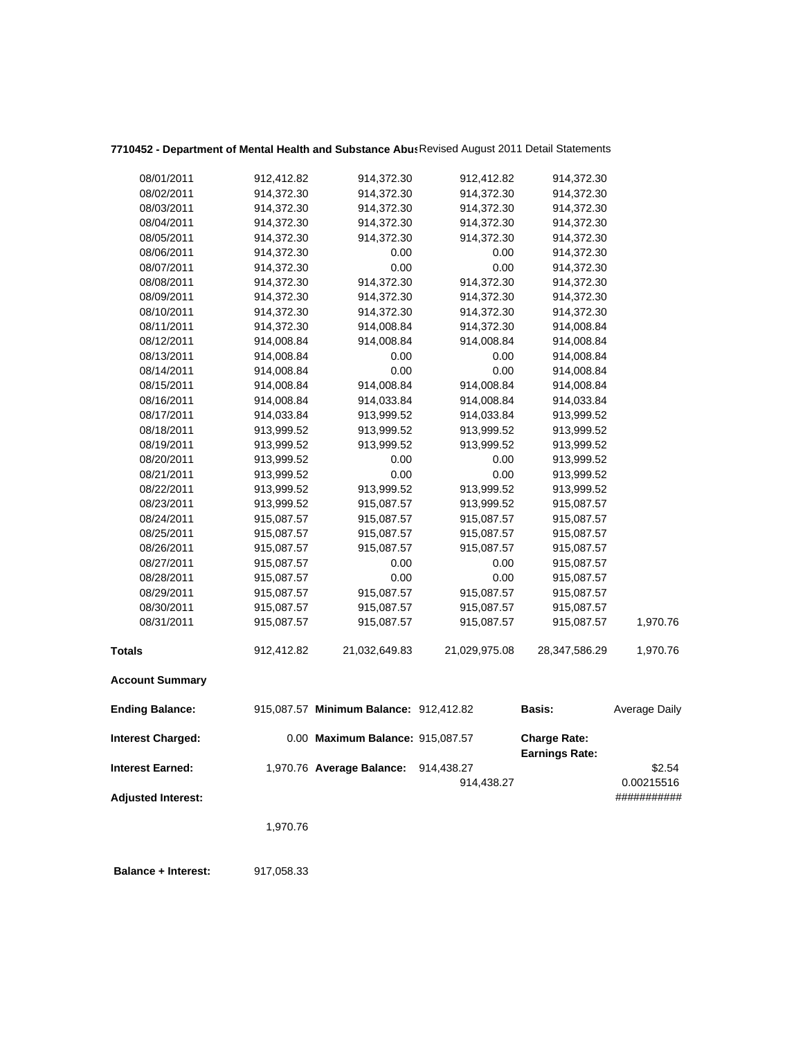## **7710452 - Department of Mental Health and Substance Abus**Revised August 2011 Detail Statements

| 08/01/2011                | 912,412.82 | 914,372.30                             | 912,412.82    | 914,372.30                                   |               |
|---------------------------|------------|----------------------------------------|---------------|----------------------------------------------|---------------|
| 08/02/2011                | 914,372.30 | 914,372.30                             | 914,372.30    | 914,372.30                                   |               |
| 08/03/2011                | 914,372.30 | 914,372.30                             | 914,372.30    | 914,372.30                                   |               |
| 08/04/2011                | 914,372.30 | 914,372.30                             | 914,372.30    | 914,372.30                                   |               |
| 08/05/2011                | 914,372.30 | 914,372.30                             | 914,372.30    | 914,372.30                                   |               |
| 08/06/2011                | 914,372.30 | 0.00                                   | 0.00          | 914,372.30                                   |               |
| 08/07/2011                | 914,372.30 | 0.00                                   | 0.00          | 914,372.30                                   |               |
| 08/08/2011                | 914,372.30 | 914,372.30                             | 914,372.30    | 914,372.30                                   |               |
| 08/09/2011                | 914,372.30 | 914,372.30                             | 914,372.30    | 914,372.30                                   |               |
| 08/10/2011                | 914,372.30 | 914,372.30                             | 914,372.30    | 914,372.30                                   |               |
| 08/11/2011                | 914,372.30 | 914,008.84                             | 914,372.30    | 914,008.84                                   |               |
| 08/12/2011                | 914,008.84 | 914,008.84                             | 914,008.84    | 914,008.84                                   |               |
| 08/13/2011                | 914,008.84 | 0.00                                   | 0.00          | 914,008.84                                   |               |
| 08/14/2011                | 914,008.84 | 0.00                                   | 0.00          | 914,008.84                                   |               |
| 08/15/2011                | 914,008.84 | 914,008.84                             | 914,008.84    | 914,008.84                                   |               |
| 08/16/2011                | 914,008.84 | 914,033.84                             | 914,008.84    | 914,033.84                                   |               |
| 08/17/2011                | 914,033.84 | 913,999.52                             | 914,033.84    | 913,999.52                                   |               |
| 08/18/2011                | 913,999.52 | 913,999.52                             | 913,999.52    | 913,999.52                                   |               |
| 08/19/2011                | 913,999.52 | 913,999.52                             | 913,999.52    | 913,999.52                                   |               |
| 08/20/2011                | 913,999.52 | 0.00                                   | 0.00          | 913,999.52                                   |               |
| 08/21/2011                | 913,999.52 | 0.00                                   | 0.00          | 913,999.52                                   |               |
| 08/22/2011                | 913,999.52 | 913,999.52                             | 913,999.52    | 913,999.52                                   |               |
| 08/23/2011                | 913,999.52 | 915,087.57                             | 913,999.52    | 915,087.57                                   |               |
| 08/24/2011                | 915,087.57 | 915,087.57                             | 915,087.57    | 915,087.57                                   |               |
| 08/25/2011                | 915,087.57 | 915,087.57                             | 915,087.57    | 915,087.57                                   |               |
| 08/26/2011                | 915,087.57 | 915,087.57                             | 915,087.57    | 915,087.57                                   |               |
| 08/27/2011                | 915,087.57 | 0.00                                   | 0.00          | 915,087.57                                   |               |
| 08/28/2011                | 915,087.57 | 0.00                                   | 0.00          | 915,087.57                                   |               |
| 08/29/2011                | 915,087.57 | 915,087.57                             | 915,087.57    | 915,087.57                                   |               |
| 08/30/2011                | 915,087.57 | 915,087.57                             | 915,087.57    | 915,087.57                                   |               |
| 08/31/2011                | 915,087.57 | 915,087.57                             | 915,087.57    | 915,087.57                                   | 1,970.76      |
| <b>Totals</b>             | 912,412.82 | 21,032,649.83                          | 21,029,975.08 | 28,347,586.29                                | 1,970.76      |
| <b>Account Summary</b>    |            |                                        |               |                                              |               |
| <b>Ending Balance:</b>    |            | 915,087.57 Minimum Balance: 912,412.82 |               | Basis:                                       | Average Daily |
| <b>Interest Charged:</b>  |            | 0.00 Maximum Balance: 915,087.57       |               | <b>Charge Rate:</b><br><b>Earnings Rate:</b> |               |
| <b>Interest Earned:</b>   |            | 1,970.76 Average Balance:              | 914,438.27    |                                              | \$2.54        |
|                           |            |                                        | 914,438.27    |                                              | 0.00215516    |
| <b>Adjusted Interest:</b> |            |                                        |               |                                              | ###########   |
|                           | 1,970.76   |                                        |               |                                              |               |
|                           |            |                                        |               |                                              |               |

 **Balance + Interest:** 917,058.33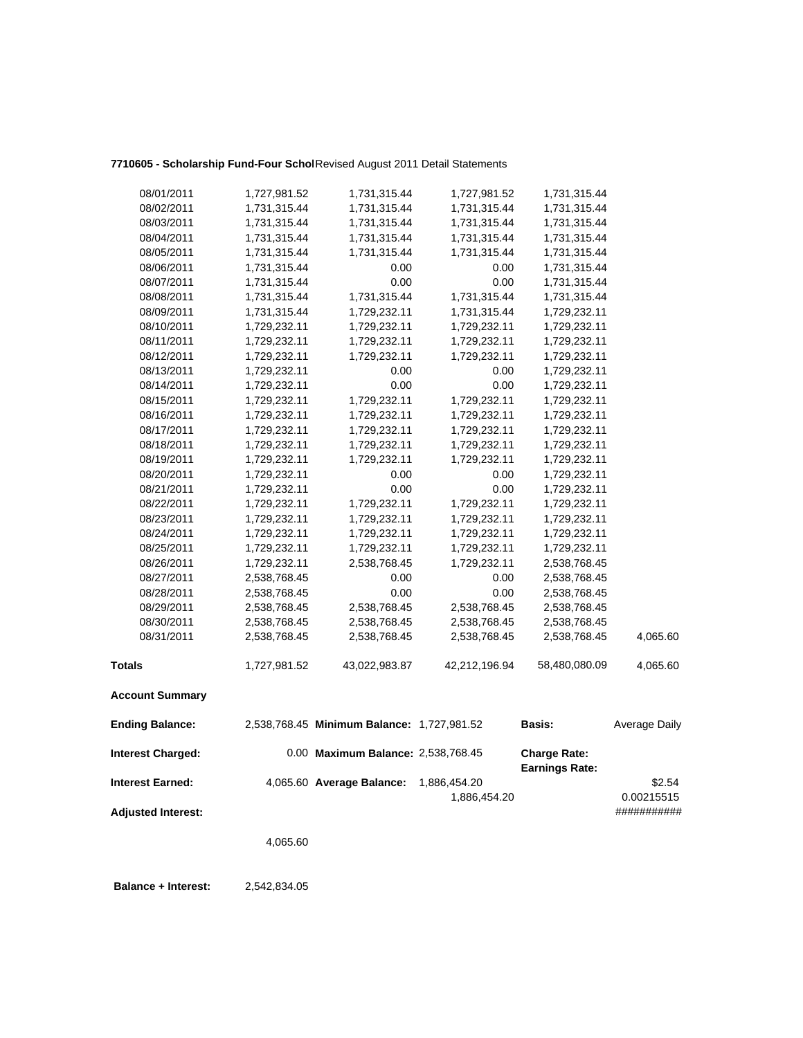| 08/01/2011                | 1,727,981.52 | 1,731,315.44                               | 1,727,981.52  | 1,731,315.44                                 |               |
|---------------------------|--------------|--------------------------------------------|---------------|----------------------------------------------|---------------|
| 08/02/2011                | 1,731,315.44 | 1,731,315.44                               | 1,731,315.44  | 1,731,315.44                                 |               |
| 08/03/2011                | 1,731,315.44 | 1,731,315.44                               | 1,731,315.44  | 1,731,315.44                                 |               |
| 08/04/2011                | 1,731,315.44 | 1,731,315.44                               | 1,731,315.44  | 1,731,315.44                                 |               |
| 08/05/2011                | 1,731,315.44 | 1,731,315.44                               | 1,731,315.44  | 1,731,315.44                                 |               |
| 08/06/2011                | 1,731,315.44 | 0.00                                       | 0.00          | 1,731,315.44                                 |               |
| 08/07/2011                | 1,731,315.44 | 0.00                                       | 0.00          | 1,731,315.44                                 |               |
| 08/08/2011                | 1,731,315.44 | 1,731,315.44                               | 1,731,315.44  | 1,731,315.44                                 |               |
| 08/09/2011                | 1,731,315.44 | 1,729,232.11                               | 1,731,315.44  | 1,729,232.11                                 |               |
| 08/10/2011                | 1,729,232.11 | 1,729,232.11                               | 1,729,232.11  | 1,729,232.11                                 |               |
| 08/11/2011                | 1,729,232.11 | 1,729,232.11                               | 1,729,232.11  | 1,729,232.11                                 |               |
| 08/12/2011                | 1,729,232.11 | 1,729,232.11                               | 1,729,232.11  | 1,729,232.11                                 |               |
| 08/13/2011                | 1,729,232.11 | 0.00                                       | 0.00          | 1,729,232.11                                 |               |
| 08/14/2011                | 1,729,232.11 | 0.00                                       | 0.00          | 1,729,232.11                                 |               |
| 08/15/2011                | 1,729,232.11 | 1,729,232.11                               | 1,729,232.11  | 1,729,232.11                                 |               |
| 08/16/2011                | 1,729,232.11 | 1,729,232.11                               | 1,729,232.11  | 1,729,232.11                                 |               |
| 08/17/2011                | 1,729,232.11 | 1,729,232.11                               | 1,729,232.11  | 1,729,232.11                                 |               |
| 08/18/2011                | 1,729,232.11 | 1,729,232.11                               | 1,729,232.11  | 1,729,232.11                                 |               |
| 08/19/2011                | 1,729,232.11 | 1,729,232.11                               | 1,729,232.11  | 1,729,232.11                                 |               |
| 08/20/2011                | 1,729,232.11 | 0.00                                       | 0.00          | 1,729,232.11                                 |               |
| 08/21/2011                | 1,729,232.11 | 0.00                                       | 0.00          | 1,729,232.11                                 |               |
| 08/22/2011                | 1,729,232.11 | 1,729,232.11                               | 1,729,232.11  | 1,729,232.11                                 |               |
| 08/23/2011                | 1,729,232.11 | 1,729,232.11                               | 1,729,232.11  | 1,729,232.11                                 |               |
| 08/24/2011                | 1,729,232.11 | 1,729,232.11                               | 1,729,232.11  | 1,729,232.11                                 |               |
| 08/25/2011                | 1,729,232.11 | 1,729,232.11                               | 1,729,232.11  | 1,729,232.11                                 |               |
| 08/26/2011                | 1,729,232.11 | 2,538,768.45                               | 1,729,232.11  | 2,538,768.45                                 |               |
| 08/27/2011                | 2,538,768.45 | 0.00                                       | 0.00          | 2,538,768.45                                 |               |
| 08/28/2011                | 2,538,768.45 | 0.00                                       | 0.00          | 2,538,768.45                                 |               |
| 08/29/2011                | 2,538,768.45 | 2,538,768.45                               | 2,538,768.45  | 2,538,768.45                                 |               |
| 08/30/2011                | 2,538,768.45 | 2,538,768.45                               | 2,538,768.45  | 2,538,768.45                                 |               |
| 08/31/2011                | 2,538,768.45 | 2,538,768.45                               | 2,538,768.45  | 2,538,768.45                                 | 4,065.60      |
| <b>Totals</b>             | 1,727,981.52 | 43,022,983.87                              | 42,212,196.94 | 58,480,080.09                                | 4,065.60      |
| <b>Account Summary</b>    |              |                                            |               |                                              |               |
| <b>Ending Balance:</b>    |              | 2,538,768.45 Minimum Balance: 1,727,981.52 |               | Basis:                                       | Average Daily |
| <b>Interest Charged:</b>  |              | 0.00 Maximum Balance: 2,538,768.45         |               | <b>Charge Rate:</b><br><b>Earnings Rate:</b> |               |
| <b>Interest Earned:</b>   |              | 4,065.60 Average Balance:                  | 1,886,454.20  |                                              | \$2.54        |
|                           |              |                                            | 1,886,454.20  |                                              | 0.00215515    |
| <b>Adjusted Interest:</b> |              |                                            |               |                                              | ###########   |

4,065.60

 **Balance + Interest:** 2,542,834.05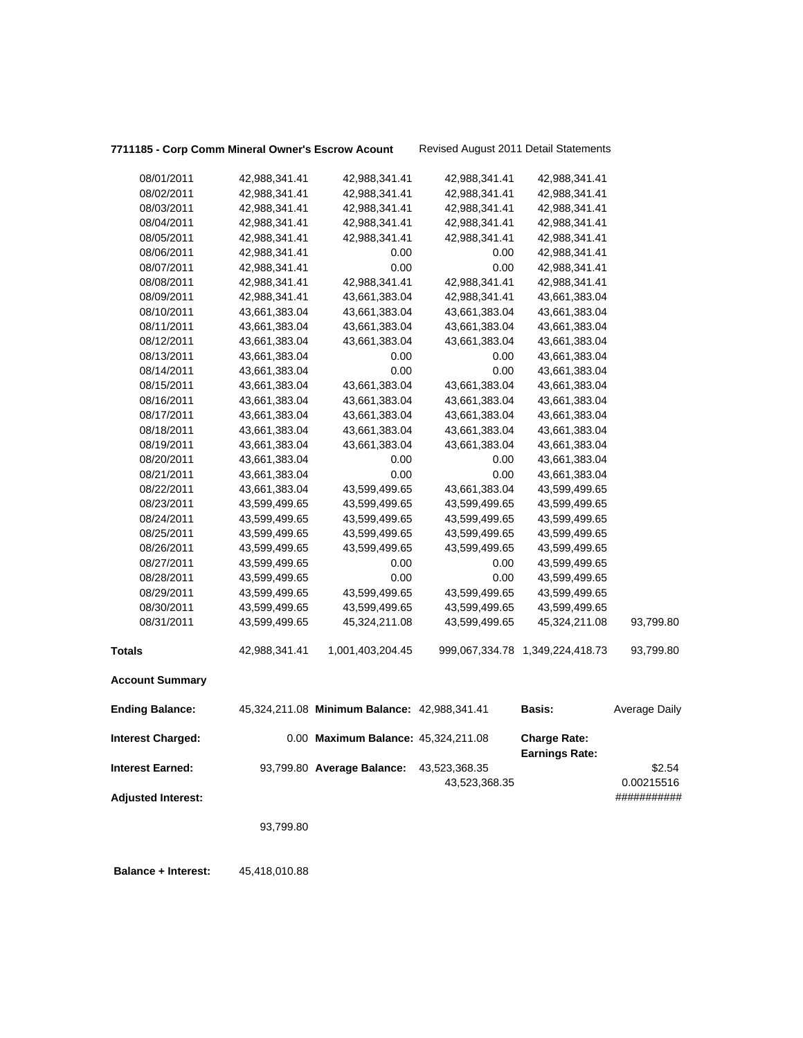### **7711185 - Corp Comm Mineral Owner's Escrow Acount** Revised August 2011 Detail Statements

| 08/01/2011                | 42,988,341.41 | 42,988,341.41                                | 42,988,341.41 | 42,988,341.41                                |               |
|---------------------------|---------------|----------------------------------------------|---------------|----------------------------------------------|---------------|
| 08/02/2011                | 42,988,341.41 | 42,988,341.41                                | 42,988,341.41 | 42,988,341.41                                |               |
| 08/03/2011                | 42,988,341.41 | 42,988,341.41                                | 42,988,341.41 | 42,988,341.41                                |               |
| 08/04/2011                | 42,988,341.41 | 42,988,341.41                                | 42,988,341.41 | 42,988,341.41                                |               |
| 08/05/2011                | 42,988,341.41 | 42,988,341.41                                | 42,988,341.41 | 42,988,341.41                                |               |
| 08/06/2011                | 42,988,341.41 | 0.00                                         | 0.00          | 42,988,341.41                                |               |
| 08/07/2011                | 42,988,341.41 | 0.00                                         | 0.00          | 42,988,341.41                                |               |
| 08/08/2011                | 42,988,341.41 | 42,988,341.41                                | 42,988,341.41 | 42,988,341.41                                |               |
| 08/09/2011                | 42,988,341.41 | 43,661,383.04                                | 42,988,341.41 | 43,661,383.04                                |               |
| 08/10/2011                | 43,661,383.04 | 43,661,383.04                                | 43,661,383.04 | 43,661,383.04                                |               |
| 08/11/2011                | 43,661,383.04 | 43,661,383.04                                | 43,661,383.04 | 43,661,383.04                                |               |
| 08/12/2011                | 43,661,383.04 | 43,661,383.04                                | 43,661,383.04 | 43,661,383.04                                |               |
| 08/13/2011                | 43,661,383.04 | 0.00                                         | 0.00          | 43,661,383.04                                |               |
| 08/14/2011                | 43,661,383.04 | 0.00                                         | 0.00          | 43,661,383.04                                |               |
| 08/15/2011                | 43,661,383.04 | 43,661,383.04                                | 43,661,383.04 | 43,661,383.04                                |               |
| 08/16/2011                | 43,661,383.04 | 43,661,383.04                                | 43,661,383.04 | 43,661,383.04                                |               |
| 08/17/2011                | 43,661,383.04 | 43,661,383.04                                | 43,661,383.04 | 43,661,383.04                                |               |
| 08/18/2011                | 43,661,383.04 | 43,661,383.04                                | 43,661,383.04 | 43,661,383.04                                |               |
| 08/19/2011                | 43,661,383.04 | 43,661,383.04                                | 43,661,383.04 | 43,661,383.04                                |               |
| 08/20/2011                | 43,661,383.04 | 0.00                                         | 0.00          | 43,661,383.04                                |               |
| 08/21/2011                | 43,661,383.04 | 0.00                                         | 0.00          | 43,661,383.04                                |               |
| 08/22/2011                | 43,661,383.04 | 43,599,499.65                                | 43,661,383.04 | 43,599,499.65                                |               |
| 08/23/2011                | 43,599,499.65 | 43,599,499.65                                | 43,599,499.65 | 43,599,499.65                                |               |
| 08/24/2011                | 43,599,499.65 | 43,599,499.65                                | 43,599,499.65 | 43,599,499.65                                |               |
| 08/25/2011                | 43,599,499.65 | 43,599,499.65                                | 43,599,499.65 | 43,599,499.65                                |               |
| 08/26/2011                | 43,599,499.65 | 43,599,499.65                                | 43,599,499.65 | 43,599,499.65                                |               |
| 08/27/2011                | 43,599,499.65 | 0.00                                         | 0.00          | 43,599,499.65                                |               |
| 08/28/2011                | 43,599,499.65 | 0.00                                         | 0.00          | 43,599,499.65                                |               |
| 08/29/2011                | 43,599,499.65 | 43,599,499.65                                | 43,599,499.65 | 43,599,499.65                                |               |
| 08/30/2011                | 43,599,499.65 | 43,599,499.65                                | 43,599,499.65 | 43,599,499.65                                |               |
| 08/31/2011                | 43,599,499.65 | 45,324,211.08                                | 43,599,499.65 | 45,324,211.08                                | 93,799.80     |
| <b>Totals</b>             | 42,988,341.41 | 1,001,403,204.45                             |               | 999,067,334.78 1,349,224,418.73              | 93,799.80     |
| <b>Account Summary</b>    |               |                                              |               |                                              |               |
| <b>Ending Balance:</b>    |               | 45,324,211.08 Minimum Balance: 42,988,341.41 |               | <b>Basis:</b>                                | Average Daily |
| <b>Interest Charged:</b>  |               | 0.00 Maximum Balance: 45,324,211.08          |               | <b>Charge Rate:</b><br><b>Earnings Rate:</b> |               |
| <b>Interest Earned:</b>   |               | 93,799.80 Average Balance:                   | 43,523,368.35 |                                              | \$2.54        |
|                           |               |                                              | 43,523,368.35 |                                              | 0.00215516    |
| <b>Adjusted Interest:</b> |               |                                              |               |                                              | ###########   |
|                           |               |                                              |               |                                              |               |
|                           | 93,799.80     |                                              |               |                                              |               |
|                           |               |                                              |               |                                              |               |

 **Balance + Interest:** 45,418,010.88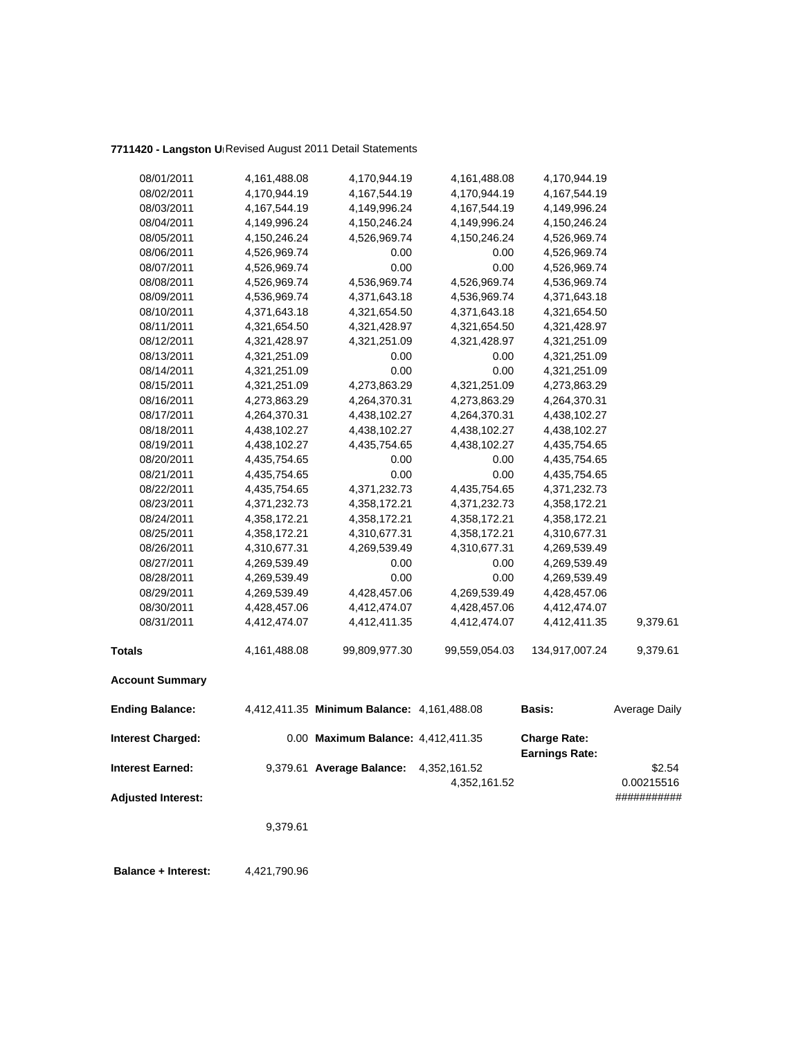## **7711420 - Langston Un**Revised August 2011 Detail Statements

| <b>Totals</b> | 08/18/2011<br>08/19/2011<br>08/20/2011<br>08/21/2011<br>08/22/2011<br>08/23/2011<br>08/24/2011<br>08/25/2011<br>08/26/2011<br>08/27/2011<br>08/28/2011<br>08/29/2011<br>08/30/2011<br>08/31/2011<br><b>Account Summary</b><br><b>Ending Balance:</b> | 4,438,102.27<br>4,435,754.65<br>4,435,754.65<br>4,435,754.65<br>4,371,232.73<br>4,358,172.21<br>4,358,172.21<br>4,310,677.31<br>4,269,539.49<br>4,269,539.49<br>4,269,539.49<br>4,428,457.06<br>4,412,474.07<br>4,161,488.08 | 4,435,754.65<br>0.00<br>0.00<br>4,371,232.73<br>4,358,172.21<br>4,358,172.21<br>4,310,677.31<br>4,269,539.49<br>0.00<br>0.00<br>4,428,457.06<br>4,412,474.07<br>4,412,411.35<br>99,809,977.30<br>4,412,411.35 Minimum Balance: 4,161,488.08 | 4,438,102.27<br>0.00<br>0.00<br>4,435,754.65<br>4,371,232.73<br>4,358,172.21<br>4,358,172.21<br>4,310,677.31<br>0.00<br>0.00<br>4,269,539.49<br>4,428,457.06<br>4,412,474.07<br>99,559,054.03 | 4,435,754.65<br>4,435,754.65<br>4,371,232.73<br>4,358,172.21<br>4,358,172.21<br>4,310,677.31<br>4,269,539.49<br>4,269,539.49<br>4,269,539.49<br>4,428,457.06<br>4,412,474.07<br>4,412,411.35<br>134,917,007.24<br><b>Basis:</b> | 9,379.61<br>9,379.61<br>Average Daily |
|---------------|------------------------------------------------------------------------------------------------------------------------------------------------------------------------------------------------------------------------------------------------------|------------------------------------------------------------------------------------------------------------------------------------------------------------------------------------------------------------------------------|---------------------------------------------------------------------------------------------------------------------------------------------------------------------------------------------------------------------------------------------|-----------------------------------------------------------------------------------------------------------------------------------------------------------------------------------------------|---------------------------------------------------------------------------------------------------------------------------------------------------------------------------------------------------------------------------------|---------------------------------------|
|               |                                                                                                                                                                                                                                                      |                                                                                                                                                                                                                              |                                                                                                                                                                                                                                             |                                                                                                                                                                                               |                                                                                                                                                                                                                                 |                                       |
|               |                                                                                                                                                                                                                                                      |                                                                                                                                                                                                                              |                                                                                                                                                                                                                                             |                                                                                                                                                                                               |                                                                                                                                                                                                                                 |                                       |
|               |                                                                                                                                                                                                                                                      |                                                                                                                                                                                                                              |                                                                                                                                                                                                                                             |                                                                                                                                                                                               |                                                                                                                                                                                                                                 |                                       |
|               |                                                                                                                                                                                                                                                      |                                                                                                                                                                                                                              |                                                                                                                                                                                                                                             |                                                                                                                                                                                               |                                                                                                                                                                                                                                 |                                       |
|               |                                                                                                                                                                                                                                                      |                                                                                                                                                                                                                              |                                                                                                                                                                                                                                             |                                                                                                                                                                                               |                                                                                                                                                                                                                                 |                                       |
|               |                                                                                                                                                                                                                                                      |                                                                                                                                                                                                                              |                                                                                                                                                                                                                                             |                                                                                                                                                                                               |                                                                                                                                                                                                                                 |                                       |
|               |                                                                                                                                                                                                                                                      |                                                                                                                                                                                                                              |                                                                                                                                                                                                                                             |                                                                                                                                                                                               |                                                                                                                                                                                                                                 |                                       |
|               |                                                                                                                                                                                                                                                      |                                                                                                                                                                                                                              |                                                                                                                                                                                                                                             |                                                                                                                                                                                               |                                                                                                                                                                                                                                 |                                       |
|               |                                                                                                                                                                                                                                                      |                                                                                                                                                                                                                              |                                                                                                                                                                                                                                             |                                                                                                                                                                                               |                                                                                                                                                                                                                                 |                                       |
|               |                                                                                                                                                                                                                                                      |                                                                                                                                                                                                                              |                                                                                                                                                                                                                                             |                                                                                                                                                                                               |                                                                                                                                                                                                                                 |                                       |
|               |                                                                                                                                                                                                                                                      |                                                                                                                                                                                                                              |                                                                                                                                                                                                                                             |                                                                                                                                                                                               |                                                                                                                                                                                                                                 |                                       |
|               |                                                                                                                                                                                                                                                      |                                                                                                                                                                                                                              |                                                                                                                                                                                                                                             |                                                                                                                                                                                               |                                                                                                                                                                                                                                 |                                       |
|               |                                                                                                                                                                                                                                                      |                                                                                                                                                                                                                              |                                                                                                                                                                                                                                             |                                                                                                                                                                                               |                                                                                                                                                                                                                                 |                                       |
|               |                                                                                                                                                                                                                                                      |                                                                                                                                                                                                                              |                                                                                                                                                                                                                                             |                                                                                                                                                                                               |                                                                                                                                                                                                                                 |                                       |
|               |                                                                                                                                                                                                                                                      |                                                                                                                                                                                                                              |                                                                                                                                                                                                                                             |                                                                                                                                                                                               |                                                                                                                                                                                                                                 |                                       |
|               |                                                                                                                                                                                                                                                      |                                                                                                                                                                                                                              |                                                                                                                                                                                                                                             |                                                                                                                                                                                               | 4,435,754.65                                                                                                                                                                                                                    |                                       |
|               |                                                                                                                                                                                                                                                      | 4,438,102.27                                                                                                                                                                                                                 | 4,438,102.27                                                                                                                                                                                                                                | 4,438,102.27                                                                                                                                                                                  | 4,438,102.27                                                                                                                                                                                                                    |                                       |
|               | 08/17/2011                                                                                                                                                                                                                                           | 4,264,370.31                                                                                                                                                                                                                 | 4,438,102.27                                                                                                                                                                                                                                | 4,264,370.31                                                                                                                                                                                  | 4,438,102.27                                                                                                                                                                                                                    |                                       |
|               | 08/16/2011                                                                                                                                                                                                                                           | 4,273,863.29                                                                                                                                                                                                                 | 4,264,370.31                                                                                                                                                                                                                                | 4,273,863.29                                                                                                                                                                                  | 4,264,370.31                                                                                                                                                                                                                    |                                       |
|               | 08/15/2011                                                                                                                                                                                                                                           | 4,321,251.09                                                                                                                                                                                                                 | 4,273,863.29                                                                                                                                                                                                                                | 4,321,251.09                                                                                                                                                                                  | 4,273,863.29                                                                                                                                                                                                                    |                                       |
|               | 08/14/2011                                                                                                                                                                                                                                           | 4,321,251.09                                                                                                                                                                                                                 | 0.00                                                                                                                                                                                                                                        | 0.00                                                                                                                                                                                          | 4,321,251.09                                                                                                                                                                                                                    |                                       |
|               | 08/13/2011                                                                                                                                                                                                                                           | 4,321,251.09                                                                                                                                                                                                                 | 0.00                                                                                                                                                                                                                                        | 0.00                                                                                                                                                                                          | 4,321,251.09                                                                                                                                                                                                                    |                                       |
|               | 08/12/2011                                                                                                                                                                                                                                           | 4,321,428.97                                                                                                                                                                                                                 | 4,321,251.09                                                                                                                                                                                                                                | 4,321,428.97                                                                                                                                                                                  | 4,321,251.09                                                                                                                                                                                                                    |                                       |
|               | 08/11/2011                                                                                                                                                                                                                                           | 4,321,654.50                                                                                                                                                                                                                 | 4,321,428.97                                                                                                                                                                                                                                | 4,321,654.50                                                                                                                                                                                  | 4,321,428.97                                                                                                                                                                                                                    |                                       |
|               | 08/10/2011                                                                                                                                                                                                                                           | 4,371,643.18                                                                                                                                                                                                                 | 4,321,654.50                                                                                                                                                                                                                                | 4,371,643.18                                                                                                                                                                                  | 4,321,654.50                                                                                                                                                                                                                    |                                       |
|               | 08/09/2011                                                                                                                                                                                                                                           | 4,536,969.74                                                                                                                                                                                                                 | 4,371,643.18                                                                                                                                                                                                                                | 4,536,969.74                                                                                                                                                                                  | 4,371,643.18                                                                                                                                                                                                                    |                                       |
|               | 08/08/2011                                                                                                                                                                                                                                           | 4,526,969.74                                                                                                                                                                                                                 | 4,536,969.74                                                                                                                                                                                                                                | 4,526,969.74                                                                                                                                                                                  | 4,536,969.74                                                                                                                                                                                                                    |                                       |
|               | 08/07/2011                                                                                                                                                                                                                                           | 4,526,969.74                                                                                                                                                                                                                 | 0.00                                                                                                                                                                                                                                        | 0.00                                                                                                                                                                                          | 4,526,969.74                                                                                                                                                                                                                    |                                       |
|               | 08/06/2011                                                                                                                                                                                                                                           | 4,526,969.74                                                                                                                                                                                                                 | 0.00                                                                                                                                                                                                                                        | 0.00                                                                                                                                                                                          | 4,526,969.74                                                                                                                                                                                                                    |                                       |
|               | 08/05/2011                                                                                                                                                                                                                                           | 4,150,246.24                                                                                                                                                                                                                 | 4,526,969.74                                                                                                                                                                                                                                | 4,150,246.24                                                                                                                                                                                  | 4,526,969.74                                                                                                                                                                                                                    |                                       |
|               | 08/04/2011                                                                                                                                                                                                                                           | 4,149,996.24                                                                                                                                                                                                                 | 4,150,246.24                                                                                                                                                                                                                                | 4,149,996.24                                                                                                                                                                                  | 4,150,246.24                                                                                                                                                                                                                    |                                       |
|               | 08/03/2011                                                                                                                                                                                                                                           | 4,167,544.19                                                                                                                                                                                                                 | 4,149,996.24                                                                                                                                                                                                                                | 4, 167, 544. 19                                                                                                                                                                               | 4,149,996.24                                                                                                                                                                                                                    |                                       |
|               | 08/02/2011                                                                                                                                                                                                                                           | 4,170,944.19                                                                                                                                                                                                                 | 4,167,544.19                                                                                                                                                                                                                                | 4,170,944.19                                                                                                                                                                                  | 4,167,544.19                                                                                                                                                                                                                    |                                       |
|               | 08/01/2011                                                                                                                                                                                                                                           | 4,161,488.08                                                                                                                                                                                                                 | 4,170,944.19                                                                                                                                                                                                                                | 4,161,488.08                                                                                                                                                                                  | 4,170,944.19                                                                                                                                                                                                                    |                                       |

**Balance + Interest:** 4,421,790.96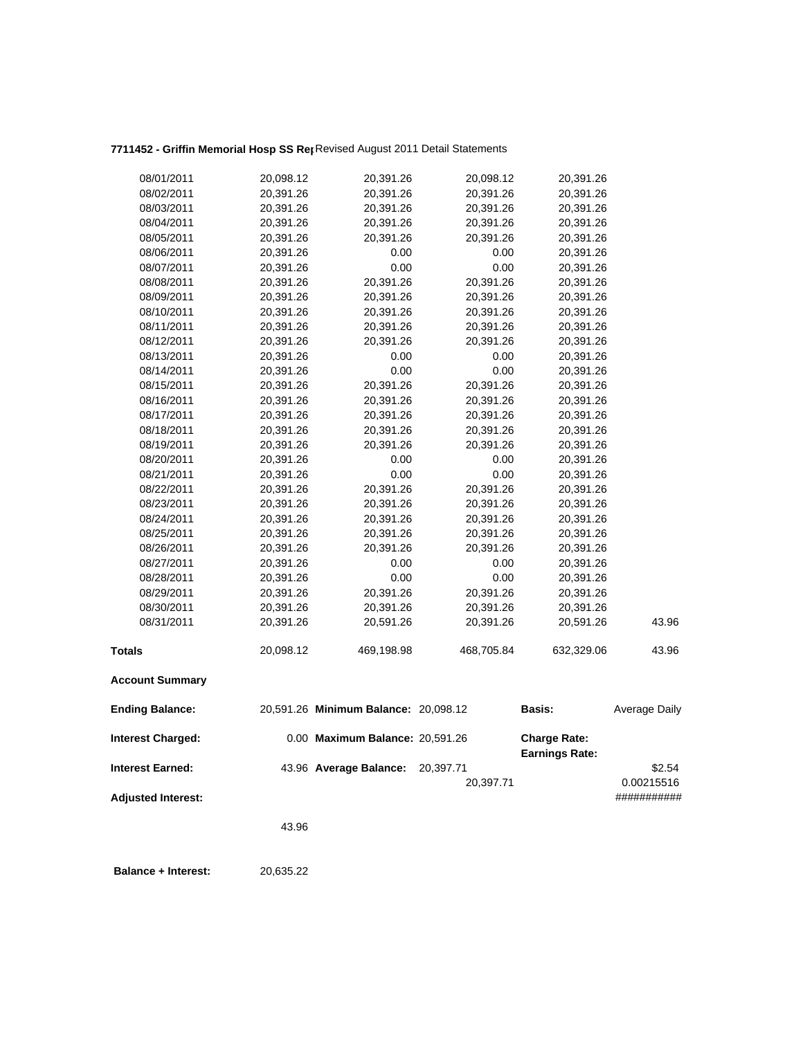# **7711452 - Griffin Memorial Hosp SS Rep**Revised August 2011 Detail Statements

| <b>Ending Balance:</b><br><b>Interest Charged:</b><br><b>Interest Earned:</b> |           | 20,591.26 Minimum Balance: 20,098.12<br>0.00 Maximum Balance: 20,591.26<br>43.96 Average Balance: | 20,397.71  | Basis:<br><b>Charge Rate:</b><br><b>Earnings Rate:</b> | Average Daily<br>\$2.54 |
|-------------------------------------------------------------------------------|-----------|---------------------------------------------------------------------------------------------------|------------|--------------------------------------------------------|-------------------------|
| <b>Account Summary</b>                                                        |           |                                                                                                   |            |                                                        |                         |
| <b>Totals</b>                                                                 | 20,098.12 | 469,198.98                                                                                        | 468,705.84 | 632,329.06                                             | 43.96                   |
| 08/31/2011                                                                    | 20,391.26 | 20,591.26                                                                                         | 20,391.26  | 20,591.26                                              | 43.96                   |
| 08/30/2011                                                                    | 20,391.26 | 20,391.26                                                                                         | 20,391.26  | 20,391.26                                              |                         |
| 08/29/2011                                                                    | 20,391.26 | 20,391.26                                                                                         | 20,391.26  | 20,391.26                                              |                         |
| 08/28/2011                                                                    | 20,391.26 | 0.00                                                                                              | 0.00       | 20,391.26                                              |                         |
| 08/27/2011                                                                    | 20,391.26 | 0.00                                                                                              | 0.00       | 20,391.26                                              |                         |
| 08/26/2011                                                                    | 20,391.26 | 20,391.26                                                                                         | 20,391.26  | 20,391.26                                              |                         |
| 08/25/2011                                                                    | 20,391.26 | 20,391.26                                                                                         | 20,391.26  | 20,391.26                                              |                         |
| 08/24/2011                                                                    | 20,391.26 | 20,391.26                                                                                         | 20,391.26  | 20,391.26                                              |                         |
| 08/23/2011                                                                    | 20,391.26 | 20,391.26                                                                                         | 20,391.26  | 20,391.26                                              |                         |
| 08/22/2011                                                                    | 20,391.26 | 20,391.26                                                                                         | 20,391.26  | 20,391.26                                              |                         |
| 08/21/2011                                                                    | 20,391.26 | 0.00                                                                                              | 0.00       | 20,391.26                                              |                         |
| 08/20/2011                                                                    | 20,391.26 | 0.00                                                                                              | 0.00       | 20,391.26                                              |                         |
| 08/19/2011                                                                    | 20,391.26 | 20,391.26                                                                                         | 20,391.26  | 20,391.26                                              |                         |
| 08/18/2011                                                                    | 20,391.26 | 20,391.26                                                                                         | 20,391.26  | 20,391.26                                              |                         |
| 08/17/2011                                                                    | 20,391.26 | 20,391.26                                                                                         | 20,391.26  | 20,391.26                                              |                         |
| 08/16/2011                                                                    | 20,391.26 | 20,391.26                                                                                         | 20,391.26  | 20,391.26                                              |                         |
| 08/15/2011                                                                    | 20,391.26 | 20,391.26                                                                                         | 20,391.26  | 20,391.26                                              |                         |
| 08/14/2011                                                                    | 20,391.26 | 0.00                                                                                              | 0.00       | 20,391.26                                              |                         |
| 08/13/2011                                                                    | 20,391.26 | 0.00                                                                                              | 0.00       | 20,391.26                                              |                         |
| 08/12/2011                                                                    | 20,391.26 | 20,391.26                                                                                         | 20,391.26  | 20,391.26                                              |                         |
| 08/11/2011                                                                    | 20,391.26 | 20,391.26                                                                                         | 20,391.26  | 20,391.26                                              |                         |
| 08/10/2011                                                                    | 20,391.26 | 20,391.26                                                                                         | 20,391.26  | 20,391.26                                              |                         |
| 08/09/2011                                                                    | 20,391.26 | 20,391.26                                                                                         | 20,391.26  | 20,391.26                                              |                         |
| 08/08/2011                                                                    | 20,391.26 | 20,391.26                                                                                         | 20,391.26  | 20,391.26                                              |                         |
| 08/07/2011                                                                    | 20,391.26 | 0.00                                                                                              | 0.00       | 20,391.26                                              |                         |
| 08/06/2011                                                                    | 20,391.26 | 0.00                                                                                              | 0.00       | 20,391.26                                              |                         |
| 08/05/2011                                                                    | 20,391.26 | 20,391.26                                                                                         | 20,391.26  | 20,391.26                                              |                         |
| 08/04/2011                                                                    | 20,391.26 | 20,391.26                                                                                         | 20,391.26  | 20,391.26                                              |                         |
| 08/03/2011                                                                    | 20,391.26 | 20,391.26                                                                                         | 20,391.26  | 20,391.26                                              |                         |
| 08/02/2011                                                                    | 20,391.26 | 20,391.26                                                                                         | 20,391.26  | 20,391.26                                              |                         |
| 08/01/2011                                                                    | 20,098.12 | 20,391.26                                                                                         | 20,098.12  | 20,391.26                                              |                         |
|                                                                               |           |                                                                                                   |            |                                                        |                         |

 **Balance + Interest:** 20,635.22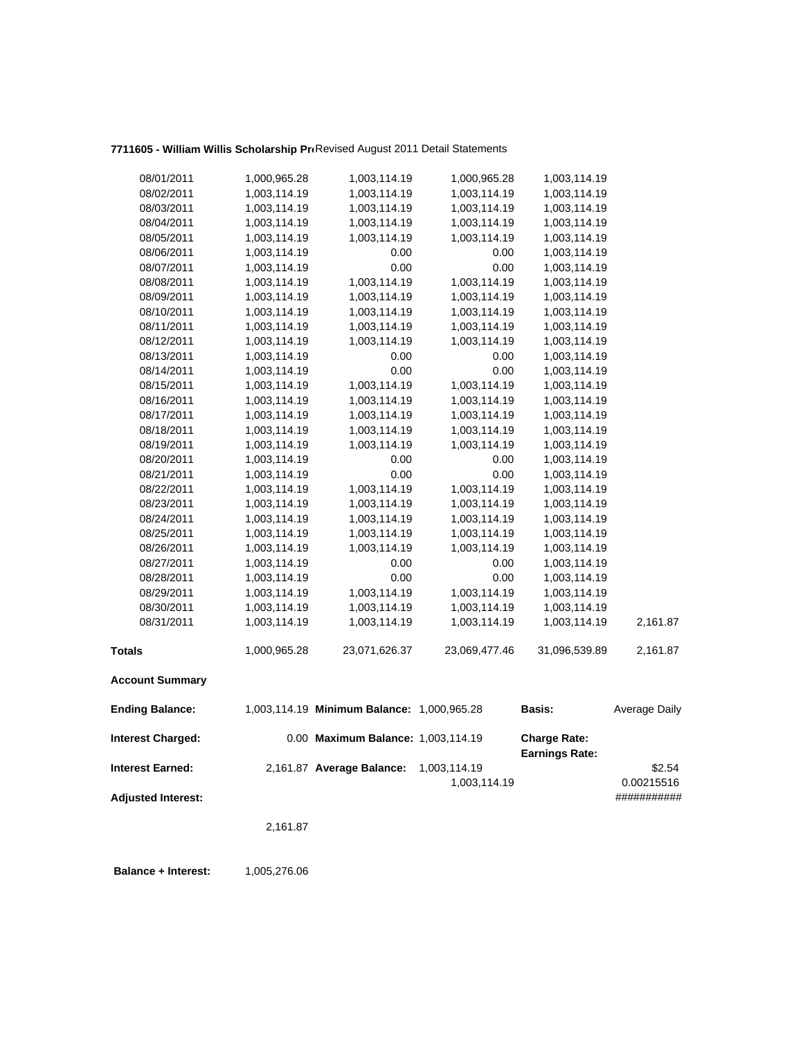## 7711605 - William Willis Scholarship ProRevised August 2011 Detail Statements

| 08/01/2011                | 1,000,965.28 | 1,003,114.19                               | 1,000,965.28  | 1,003,114.19                                 |               |
|---------------------------|--------------|--------------------------------------------|---------------|----------------------------------------------|---------------|
| 08/02/2011                | 1,003,114.19 | 1,003,114.19                               | 1,003,114.19  | 1,003,114.19                                 |               |
| 08/03/2011                | 1,003,114.19 | 1,003,114.19                               | 1,003,114.19  | 1,003,114.19                                 |               |
| 08/04/2011                | 1,003,114.19 | 1,003,114.19                               | 1,003,114.19  | 1,003,114.19                                 |               |
| 08/05/2011                | 1,003,114.19 | 1,003,114.19                               | 1,003,114.19  | 1,003,114.19                                 |               |
| 08/06/2011                | 1,003,114.19 | 0.00                                       | 0.00          | 1,003,114.19                                 |               |
| 08/07/2011                | 1,003,114.19 | 0.00                                       | 0.00          | 1,003,114.19                                 |               |
| 08/08/2011                | 1,003,114.19 | 1,003,114.19                               | 1,003,114.19  | 1,003,114.19                                 |               |
| 08/09/2011                | 1,003,114.19 | 1,003,114.19                               | 1,003,114.19  | 1,003,114.19                                 |               |
| 08/10/2011                | 1,003,114.19 | 1,003,114.19                               | 1,003,114.19  | 1,003,114.19                                 |               |
| 08/11/2011                | 1,003,114.19 | 1,003,114.19                               | 1,003,114.19  | 1,003,114.19                                 |               |
| 08/12/2011                | 1,003,114.19 | 1,003,114.19                               | 1,003,114.19  | 1,003,114.19                                 |               |
| 08/13/2011                | 1,003,114.19 | 0.00                                       | 0.00          | 1,003,114.19                                 |               |
| 08/14/2011                | 1,003,114.19 | 0.00                                       | 0.00          | 1,003,114.19                                 |               |
| 08/15/2011                | 1,003,114.19 | 1,003,114.19                               | 1,003,114.19  | 1,003,114.19                                 |               |
| 08/16/2011                | 1,003,114.19 | 1,003,114.19                               | 1,003,114.19  | 1,003,114.19                                 |               |
| 08/17/2011                | 1,003,114.19 | 1,003,114.19                               | 1,003,114.19  | 1,003,114.19                                 |               |
| 08/18/2011                | 1,003,114.19 | 1,003,114.19                               | 1,003,114.19  | 1,003,114.19                                 |               |
| 08/19/2011                | 1,003,114.19 | 1,003,114.19                               | 1,003,114.19  | 1,003,114.19                                 |               |
| 08/20/2011                | 1,003,114.19 | 0.00                                       | 0.00          | 1,003,114.19                                 |               |
| 08/21/2011                | 1,003,114.19 | 0.00                                       | 0.00          | 1,003,114.19                                 |               |
| 08/22/2011                | 1,003,114.19 | 1,003,114.19                               | 1,003,114.19  | 1,003,114.19                                 |               |
| 08/23/2011                | 1,003,114.19 | 1,003,114.19                               | 1,003,114.19  | 1,003,114.19                                 |               |
| 08/24/2011                | 1,003,114.19 | 1,003,114.19                               | 1,003,114.19  | 1,003,114.19                                 |               |
| 08/25/2011                | 1,003,114.19 | 1,003,114.19                               | 1,003,114.19  | 1,003,114.19                                 |               |
| 08/26/2011                | 1,003,114.19 | 1,003,114.19                               | 1,003,114.19  | 1,003,114.19                                 |               |
| 08/27/2011                | 1,003,114.19 | 0.00                                       | 0.00          | 1,003,114.19                                 |               |
| 08/28/2011                | 1,003,114.19 | 0.00                                       | 0.00          | 1,003,114.19                                 |               |
| 08/29/2011                | 1,003,114.19 | 1,003,114.19                               | 1,003,114.19  | 1,003,114.19                                 |               |
| 08/30/2011                | 1,003,114.19 | 1,003,114.19                               | 1,003,114.19  | 1,003,114.19                                 |               |
| 08/31/2011                | 1,003,114.19 | 1,003,114.19                               | 1,003,114.19  | 1,003,114.19                                 | 2,161.87      |
| <b>Totals</b>             | 1,000,965.28 | 23,071,626.37                              | 23,069,477.46 | 31,096,539.89                                | 2,161.87      |
| <b>Account Summary</b>    |              |                                            |               |                                              |               |
| <b>Ending Balance:</b>    |              | 1,003,114.19 Minimum Balance: 1,000,965.28 |               | <b>Basis:</b>                                | Average Daily |
| <b>Interest Charged:</b>  |              | 0.00 Maximum Balance: 1,003,114.19         |               | <b>Charge Rate:</b><br><b>Earnings Rate:</b> |               |
| <b>Interest Earned:</b>   |              | 2,161.87 Average Balance:                  | 1,003,114.19  |                                              | \$2.54        |
|                           |              |                                            | 1,003,114.19  |                                              | 0.00215516    |
| <b>Adjusted Interest:</b> |              |                                            |               |                                              | ###########   |
|                           | 2,161.87     |                                            |               |                                              |               |
|                           |              |                                            |               |                                              |               |
|                           |              |                                            |               |                                              |               |

**Balance + Interest:** 1,005,276.06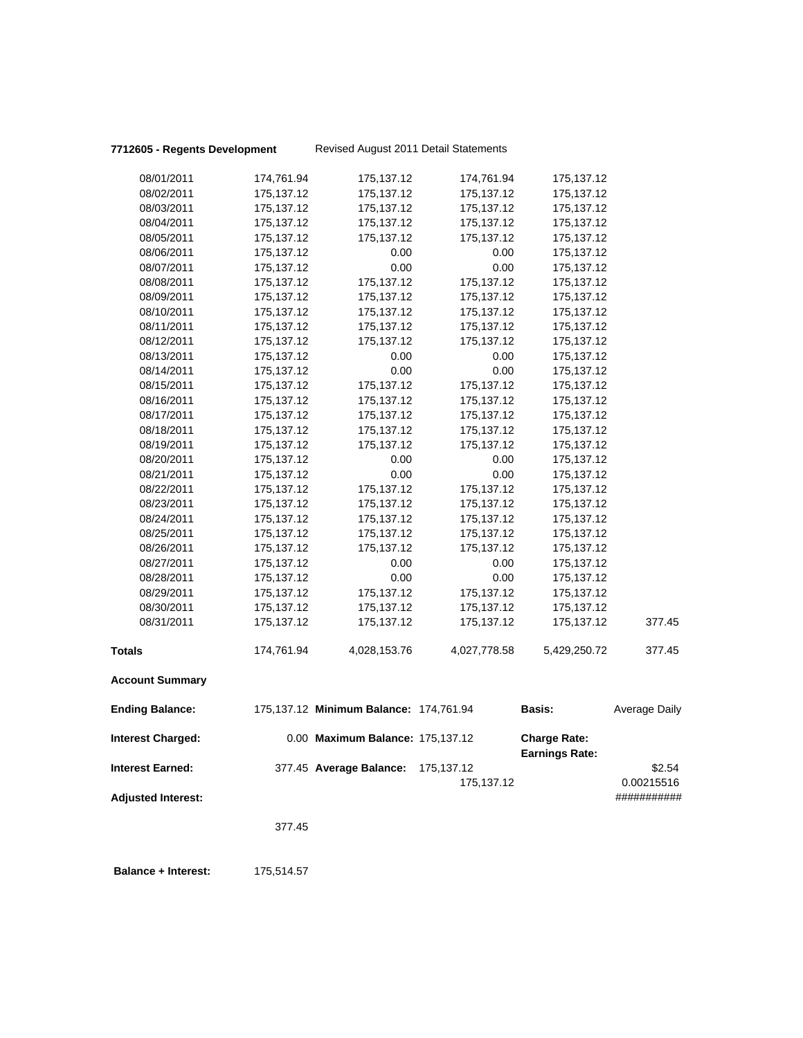### **7712605 - Regents Development** Revised August 2011 Detail Statements

|                           | 377.45                   |                                        |                          |                          |                           |
|---------------------------|--------------------------|----------------------------------------|--------------------------|--------------------------|---------------------------|
| <b>Adjusted Interest:</b> |                          |                                        | 175,137.12               |                          | 0.00215516<br>########### |
| <b>Interest Earned:</b>   |                          | 377.45 Average Balance:                | 175,137.12               | Earnings Rate:           | \$2.54                    |
| <b>Interest Charged:</b>  |                          | 0.00 Maximum Balance: 175,137.12       |                          | <b>Charge Rate:</b>      |                           |
| <b>Ending Balance:</b>    |                          | 175,137.12 Minimum Balance: 174,761.94 |                          | <b>Basis:</b>            | <b>Average Daily</b>      |
| <b>Account Summary</b>    |                          |                                        |                          |                          |                           |
| Totals                    | 174,761.94               | 4,028,153.76                           | 4,027,778.58             | 5,429,250.72             | 377.45                    |
| 08/31/2011                | 175,137.12               | 175,137.12                             | 175,137.12               | 175,137.12               | 377.45                    |
| 08/30/2011                | 175,137.12               | 175,137.12                             | 175,137.12               | 175, 137. 12             |                           |
| 08/29/2011                | 175,137.12               | 175,137.12                             | 175,137.12               | 175,137.12               |                           |
| 08/28/2011                | 175,137.12               | 0.00                                   | 0.00                     | 175,137.12               |                           |
| 08/27/2011                | 175,137.12               | 0.00                                   | 0.00                     | 175,137.12               |                           |
| 08/26/2011                | 175,137.12               | 175,137.12                             | 175,137.12               | 175,137.12               |                           |
| 08/25/2011                | 175,137.12               | 175,137.12                             | 175,137.12               | 175,137.12               |                           |
| 08/24/2011                | 175,137.12               | 175,137.12                             | 175,137.12               | 175,137.12               |                           |
| 08/23/2011                | 175,137.12               | 175,137.12                             | 175,137.12               | 175,137.12               |                           |
| 08/22/2011                | 175,137.12               | 175,137.12                             | 175,137.12               | 175, 137. 12             |                           |
| 08/21/2011                | 175,137.12               | 0.00                                   | 0.00                     | 175,137.12               |                           |
| 08/20/2011                | 175, 137. 12             | 0.00                                   | 0.00                     | 175,137.12               |                           |
| 08/19/2011                | 175, 137. 12             | 175,137.12                             | 175,137.12               | 175,137.12               |                           |
| 08/18/2011                | 175,137.12               | 175,137.12                             | 175,137.12               | 175,137.12               |                           |
| 08/17/2011                | 175,137.12               | 175,137.12                             | 175,137.12               | 175, 137. 12             |                           |
| 08/16/2011                | 175,137.12               | 175,137.12                             | 175,137.12               | 175,137.12               |                           |
| 08/15/2011                | 175,137.12               | 175,137.12                             | 175,137.12               | 175,137.12               |                           |
| 08/14/2011                | 175,137.12               | 0.00                                   | 0.00                     | 175,137.12               |                           |
| 08/13/2011                | 175,137.12               | 0.00                                   | 0.00                     | 175,137.12               |                           |
| 08/12/2011                | 175,137.12               | 175,137.12                             | 175,137.12               | 175, 137. 12             |                           |
| 08/11/2011                | 175,137.12               | 175,137.12                             | 175,137.12               | 175, 137.12              |                           |
| 08/10/2011                | 175,137.12               | 175,137.12                             | 175,137.12               | 175,137.12               |                           |
| 08/09/2011                | 175,137.12               | 175,137.12                             | 175,137.12               | 175, 137. 12             |                           |
| 08/08/2011                | 175,137.12               | 175,137.12                             | 175,137.12               | 175,137.12               |                           |
| 08/07/2011                | 175,137.12               | 0.00                                   | 0.00                     | 175,137.12               |                           |
| 08/06/2011                | 175,137.12               | 0.00                                   | 0.00                     | 175,137.12               |                           |
| 08/05/2011                | 175, 137. 12             | 175,137.12                             | 175,137.12               | 175, 137. 12             |                           |
| 08/04/2011                | 175,137.12               | 175,137.12                             | 175,137.12               | 175,137.12               |                           |
| 08/03/2011                | 175,137.12<br>175,137.12 | 175,137.12<br>175,137.12               | 175,137.12<br>175,137.12 | 175,137.12<br>175,137.12 |                           |
| 08/01/2011<br>08/02/2011  | 174,761.94               | 175,137.12                             | 174,761.94               | 175, 137. 12             |                           |
|                           |                          |                                        |                          |                          |                           |

 **Balance + Interest:** 175,514.57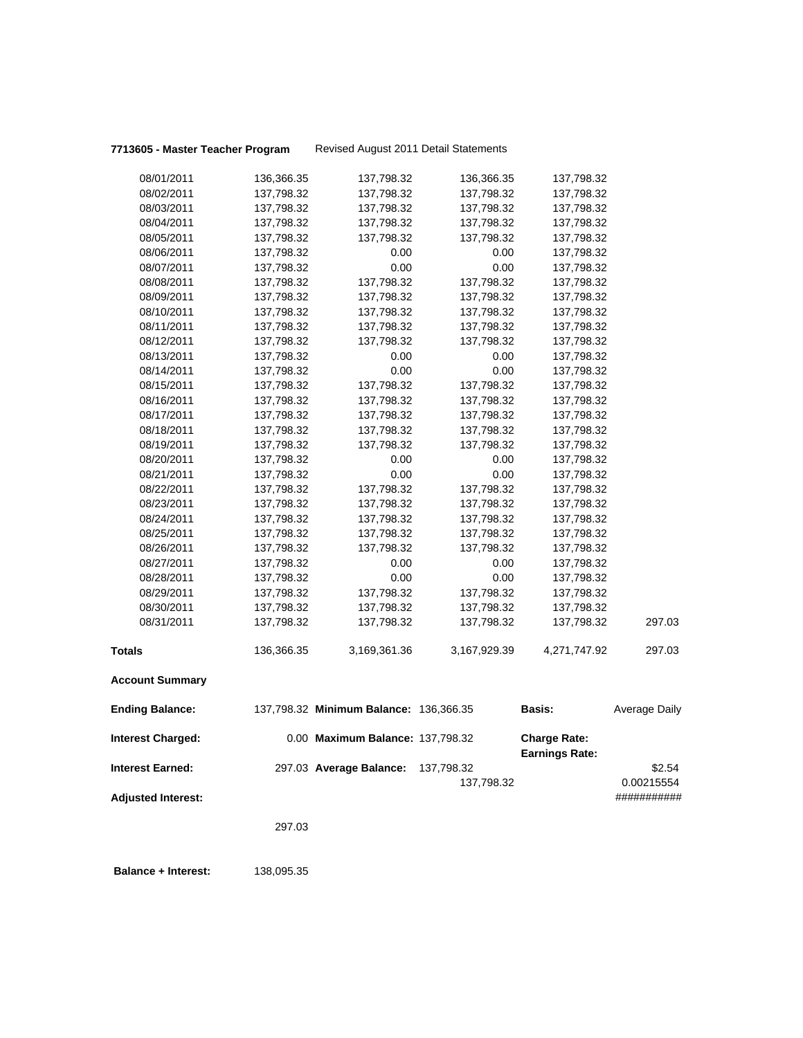### **7713605 - Master Teacher Program** Revised August 2011 Detail Statements

|                           | 297.03                   |                                        |              |                       |                           |
|---------------------------|--------------------------|----------------------------------------|--------------|-----------------------|---------------------------|
| <b>Adjusted Interest:</b> |                          |                                        | 137,798.32   |                       | 0.00215554<br>########### |
| Interest Earned:          |                          | 297.03 Average Balance:                | 137,798.32   | <b>Earnings Rate:</b> | \$2.54                    |
| <b>Interest Charged:</b>  |                          | 0.00 Maximum Balance: 137,798.32       |              | <b>Charge Rate:</b>   |                           |
| <b>Ending Balance:</b>    |                          | 137,798.32 Minimum Balance: 136,366.35 |              | <b>Basis:</b>         | <b>Average Daily</b>      |
| <b>Account Summary</b>    |                          |                                        |              |                       |                           |
| Totals                    | 136,366.35               | 3,169,361.36                           | 3,167,929.39 | 4,271,747.92          | 297.03                    |
| 08/31/2011                | 137,798.32               | 137,798.32                             | 137,798.32   | 137,798.32            | 297.03                    |
| 08/30/2011                | 137,798.32               | 137,798.32                             | 137,798.32   | 137,798.32            |                           |
| 08/29/2011                | 137,798.32               | 137,798.32                             | 137,798.32   | 137,798.32            |                           |
|                           |                          |                                        |              | 137,798.32            |                           |
| 08/27/2011<br>08/28/2011  | 137,798.32<br>137,798.32 | 0.00<br>0.00                           | 0.00<br>0.00 | 137,798.32            |                           |
| 08/26/2011                | 137,798.32               | 137,798.32                             | 137,798.32   | 137,798.32            |                           |
| 08/25/2011                | 137,798.32               | 137,798.32                             | 137,798.32   | 137,798.32            |                           |
| 08/24/2011                | 137,798.32               | 137,798.32                             | 137,798.32   | 137,798.32            |                           |
| 08/23/2011                | 137,798.32               | 137,798.32                             | 137,798.32   | 137,798.32            |                           |
| 08/22/2011                | 137,798.32               | 137,798.32                             | 137,798.32   | 137,798.32            |                           |
| 08/21/2011                | 137,798.32               |                                        |              | 137,798.32            |                           |
| 08/20/2011                |                          | 0.00<br>0.00                           | 0.00<br>0.00 | 137,798.32            |                           |
| 08/19/2011                | 137,798.32               | 137,798.32                             | 137,798.32   | 137,798.32            |                           |
| 08/18/2011                | 137,798.32<br>137,798.32 | 137,798.32                             | 137,798.32   | 137,798.32            |                           |
| 08/17/2011                | 137,798.32               | 137,798.32                             | 137,798.32   | 137,798.32            |                           |
| 08/16/2011                | 137,798.32               | 137,798.32                             | 137,798.32   | 137,798.32            |                           |
| 08/15/2011                | 137,798.32               | 137,798.32                             | 137,798.32   | 137,798.32            |                           |
| 08/14/2011                | 137,798.32               | 0.00                                   | 0.00         | 137,798.32            |                           |
| 08/13/2011                | 137,798.32               | 0.00                                   | 0.00         | 137,798.32            |                           |
| 08/12/2011                | 137,798.32               | 137,798.32                             | 137,798.32   | 137,798.32            |                           |
| 08/11/2011                | 137,798.32               | 137,798.32                             | 137,798.32   | 137,798.32            |                           |
| 08/10/2011                | 137,798.32               | 137,798.32                             | 137,798.32   | 137,798.32            |                           |
| 08/09/2011                | 137,798.32               | 137,798.32                             | 137,798.32   | 137,798.32            |                           |
| 08/08/2011                | 137,798.32               | 137,798.32                             | 137,798.32   | 137,798.32            |                           |
| 08/07/2011                | 137,798.32               | 0.00                                   | 0.00         | 137,798.32            |                           |
| 08/06/2011                | 137,798.32               | 0.00                                   | 0.00         | 137,798.32            |                           |
| 08/05/2011                | 137,798.32               | 137,798.32                             | 137,798.32   | 137,798.32            |                           |
| 08/04/2011                | 137,798.32               | 137,798.32                             | 137,798.32   | 137,798.32            |                           |
| 08/03/2011                | 137,798.32               | 137,798.32                             | 137,798.32   | 137,798.32            |                           |
| 08/02/2011                | 137,798.32               | 137,798.32                             | 137,798.32   | 137,798.32            |                           |
| 08/01/2011                | 136,366.35               | 137,798.32                             | 136,366.35   | 137,798.32            |                           |
|                           |                          |                                        |              |                       |                           |

 **Balance + Interest:** 138,095.35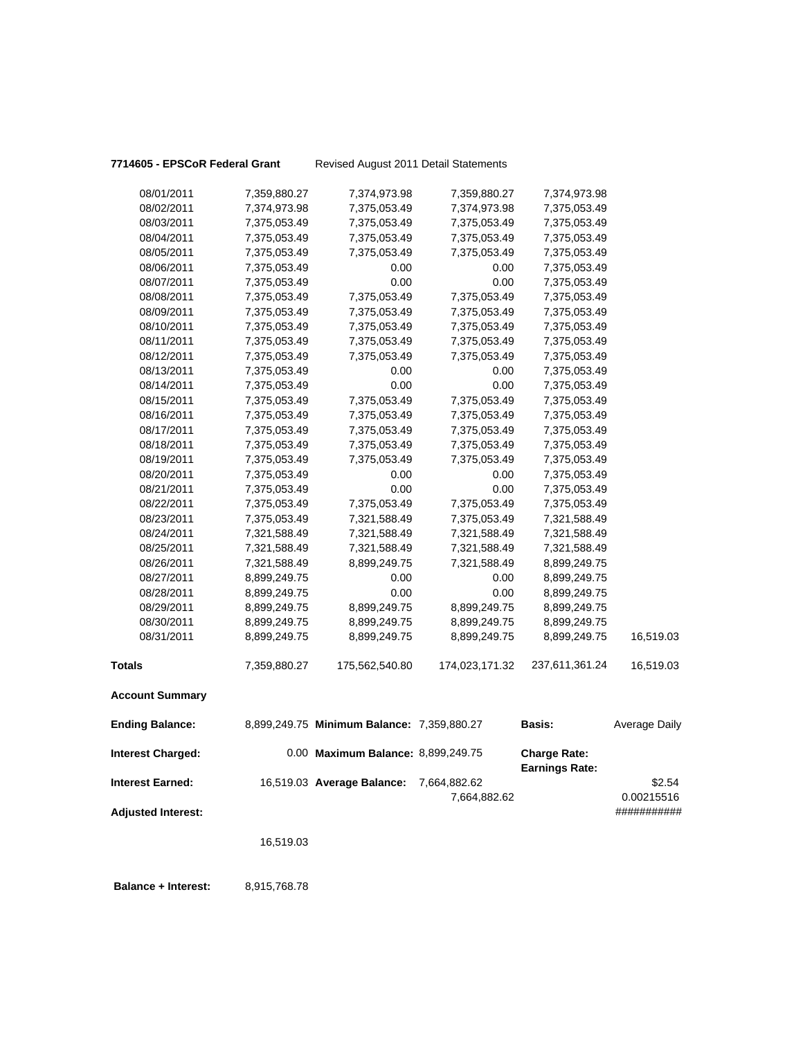### **7714605 - EPSCoR Federal Grant** Revised August 2011 Detail Statements

| <b>Interest Earned:</b>  |              | 16,519.03 Average Balance:                 | 7,664,882.62<br>7,664,882.62 |                                              | \$2.54<br>0.00215516 |
|--------------------------|--------------|--------------------------------------------|------------------------------|----------------------------------------------|----------------------|
| <b>Interest Charged:</b> |              | 0.00 Maximum Balance: 8,899,249.75         |                              | <b>Charge Rate:</b><br><b>Earnings Rate:</b> |                      |
| <b>Ending Balance:</b>   |              | 8,899,249.75 Minimum Balance: 7,359,880.27 |                              | <b>Basis:</b>                                | Average Daily        |
| <b>Account Summary</b>   |              |                                            |                              |                                              |                      |
| <b>Totals</b>            | 7,359,880.27 | 175,562,540.80                             | 174,023,171.32               | 237,611,361.24                               | 16,519.03            |
| 08/31/2011               | 8,899,249.75 | 8,899,249.75                               | 8,899,249.75                 | 8,899,249.75                                 | 16,519.03            |
| 08/30/2011               | 8,899,249.75 | 8,899,249.75                               | 8,899,249.75                 | 8,899,249.75                                 |                      |
| 08/29/2011               | 8,899,249.75 | 8,899,249.75                               | 8,899,249.75                 | 8,899,249.75                                 |                      |
| 08/28/2011               | 8,899,249.75 | 0.00                                       | 0.00                         | 8,899,249.75                                 |                      |
| 08/27/2011               | 8,899,249.75 | 0.00                                       | 0.00                         | 8,899,249.75                                 |                      |
| 08/26/2011               | 7,321,588.49 | 8,899,249.75                               | 7,321,588.49                 | 8,899,249.75                                 |                      |
| 08/25/2011               | 7,321,588.49 | 7,321,588.49                               | 7,321,588.49                 | 7,321,588.49                                 |                      |
| 08/24/2011               | 7,321,588.49 | 7,321,588.49                               | 7,321,588.49                 | 7,321,588.49                                 |                      |
| 08/23/2011               | 7,375,053.49 | 7,321,588.49                               | 7,375,053.49                 | 7,321,588.49                                 |                      |
| 08/22/2011               | 7,375,053.49 | 7,375,053.49                               | 7,375,053.49                 | 7,375,053.49                                 |                      |
| 08/21/2011               | 7,375,053.49 | 0.00                                       | 0.00                         | 7,375,053.49                                 |                      |
| 08/20/2011               | 7,375,053.49 | 0.00                                       | 0.00                         | 7,375,053.49                                 |                      |
| 08/19/2011               | 7,375,053.49 | 7,375,053.49                               | 7,375,053.49                 | 7,375,053.49                                 |                      |
| 08/18/2011               | 7,375,053.49 | 7,375,053.49                               | 7,375,053.49                 | 7,375,053.49                                 |                      |
| 08/17/2011               | 7,375,053.49 | 7,375,053.49                               | 7,375,053.49                 | 7,375,053.49                                 |                      |
| 08/16/2011               | 7,375,053.49 | 7,375,053.49                               | 7,375,053.49                 | 7,375,053.49                                 |                      |
| 08/15/2011               | 7,375,053.49 | 7,375,053.49                               | 7,375,053.49                 | 7,375,053.49                                 |                      |
| 08/14/2011               | 7,375,053.49 | 0.00                                       | 0.00                         | 7,375,053.49                                 |                      |
| 08/13/2011               | 7,375,053.49 | 0.00                                       | 0.00                         | 7,375,053.49                                 |                      |
| 08/12/2011               | 7,375,053.49 | 7,375,053.49                               | 7,375,053.49                 | 7,375,053.49                                 |                      |
| 08/11/2011               | 7,375,053.49 | 7,375,053.49                               | 7,375,053.49                 | 7,375,053.49                                 |                      |
| 08/10/2011               | 7,375,053.49 | 7,375,053.49                               | 7,375,053.49                 | 7,375,053.49                                 |                      |
| 08/09/2011               | 7,375,053.49 | 7,375,053.49                               | 7,375,053.49                 | 7,375,053.49                                 |                      |
| 08/08/2011               | 7,375,053.49 | 7,375,053.49                               | 7,375,053.49                 | 7,375,053.49                                 |                      |
| 08/07/2011               | 7,375,053.49 | 0.00                                       | 0.00                         | 7,375,053.49                                 |                      |
| 08/06/2011               | 7,375,053.49 | 0.00                                       | 0.00                         | 7,375,053.49                                 |                      |
| 08/05/2011               | 7,375,053.49 | 7,375,053.49                               | 7,375,053.49                 | 7,375,053.49                                 |                      |
| 08/04/2011               | 7,375,053.49 | 7,375,053.49                               | 7,375,053.49                 | 7,375,053.49                                 |                      |
| 08/03/2011               | 7,375,053.49 | 7,375,053.49                               | 7,375,053.49                 | 7,375,053.49                                 |                      |
| 08/02/2011               | 7,374,973.98 | 7,375,053.49                               | 7,374,973.98                 | 7,375,053.49                                 |                      |
| 08/01/2011               | 7,359,880.27 | 7,374,973.98                               | 7,359,880.27                 | 7,374,973.98                                 |                      |
|                          |              |                                            |                              |                                              |                      |

**Adjusted Interest:** ###########

16,519.03

 **Balance + Interest:** 8,915,768.78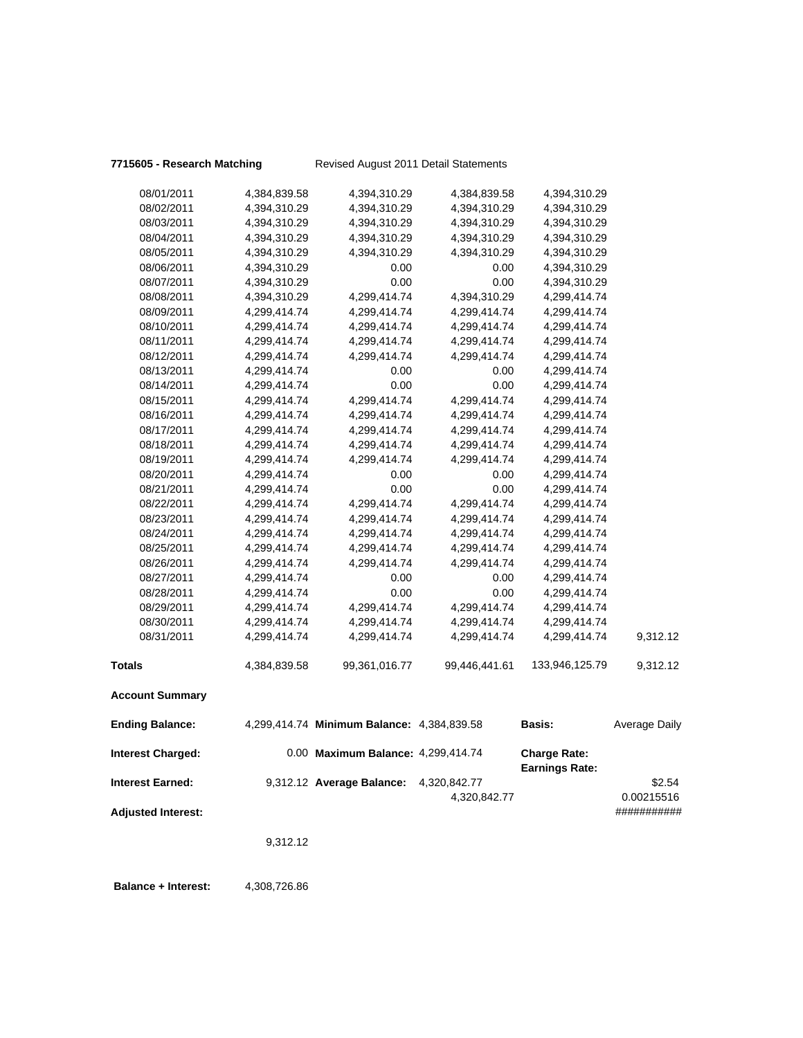### **7715605 - Research Matching** Revised August 2011 Detail Statements

| Interest Corneal         |              | 0.212.12 Average Pelanes: 1.220.812.77     |               |                                              | ድን ፍለ         |
|--------------------------|--------------|--------------------------------------------|---------------|----------------------------------------------|---------------|
| <b>Interest Charged:</b> |              | 0.00 Maximum Balance: 4,299,414.74         |               | <b>Charge Rate:</b><br><b>Earnings Rate:</b> |               |
| <b>Ending Balance:</b>   |              | 4,299,414.74 Minimum Balance: 4,384,839.58 |               | <b>Basis:</b>                                | Average Daily |
| <b>Account Summary</b>   |              |                                            |               |                                              |               |
| <b>Totals</b>            | 4,384,839.58 | 99,361,016.77                              | 99,446,441.61 | 133,946,125.79                               | 9,312.12      |
| 08/31/2011               | 4,299,414.74 | 4,299,414.74                               | 4,299,414.74  | 4,299,414.74                                 | 9,312.12      |
| 08/30/2011               | 4,299,414.74 | 4,299,414.74                               | 4,299,414.74  | 4,299,414.74                                 |               |
| 08/29/2011               | 4,299,414.74 | 4,299,414.74                               | 4,299,414.74  | 4,299,414.74                                 |               |
| 08/28/2011               | 4,299,414.74 | 0.00                                       | 0.00          | 4,299,414.74                                 |               |
| 08/27/2011               | 4,299,414.74 | 0.00                                       | 0.00          | 4,299,414.74                                 |               |
| 08/26/2011               | 4,299,414.74 | 4,299,414.74                               | 4,299,414.74  | 4,299,414.74                                 |               |
| 08/25/2011               | 4,299,414.74 | 4,299,414.74                               | 4,299,414.74  | 4,299,414.74                                 |               |
| 08/24/2011               | 4,299,414.74 | 4,299,414.74                               | 4,299,414.74  | 4,299,414.74                                 |               |
| 08/23/2011               | 4,299,414.74 | 4,299,414.74                               | 4,299,414.74  | 4,299,414.74                                 |               |
| 08/22/2011               | 4,299,414.74 | 4,299,414.74                               | 4,299,414.74  | 4,299,414.74                                 |               |
| 08/21/2011               | 4,299,414.74 | 0.00                                       | 0.00          | 4,299,414.74                                 |               |
| 08/20/2011               | 4,299,414.74 | 0.00                                       | 0.00          | 4,299,414.74                                 |               |
| 08/19/2011               | 4,299,414.74 | 4,299,414.74                               | 4,299,414.74  | 4,299,414.74                                 |               |
| 08/18/2011               | 4,299,414.74 | 4,299,414.74                               | 4,299,414.74  | 4,299,414.74                                 |               |
| 08/17/2011               | 4,299,414.74 | 4,299,414.74                               | 4,299,414.74  | 4,299,414.74                                 |               |
| 08/16/2011               | 4,299,414.74 | 4,299,414.74                               | 4,299,414.74  | 4,299,414.74                                 |               |
| 08/15/2011               | 4,299,414.74 | 4,299,414.74                               | 4,299,414.74  | 4,299,414.74                                 |               |
| 08/14/2011               | 4,299,414.74 | 0.00                                       | 0.00          | 4,299,414.74                                 |               |
| 08/13/2011               | 4,299,414.74 | 0.00                                       | 0.00          | 4,299,414.74                                 |               |
| 08/12/2011               | 4,299,414.74 | 4,299,414.74                               | 4,299,414.74  | 4,299,414.74                                 |               |
| 08/11/2011               | 4,299,414.74 | 4,299,414.74                               | 4,299,414.74  | 4,299,414.74                                 |               |
| 08/10/2011               | 4,299,414.74 | 4,299,414.74                               | 4,299,414.74  | 4,299,414.74                                 |               |
| 08/09/2011               | 4,299,414.74 | 4,299,414.74                               | 4,299,414.74  | 4,299,414.74                                 |               |
| 08/08/2011               | 4,394,310.29 | 4,299,414.74                               | 4,394,310.29  | 4,299,414.74                                 |               |
| 08/07/2011               | 4,394,310.29 | 0.00                                       | 0.00          | 4,394,310.29                                 |               |
| 08/06/2011               | 4,394,310.29 | 0.00                                       | 0.00          | 4,394,310.29                                 |               |
| 08/05/2011               | 4,394,310.29 | 4,394,310.29                               | 4,394,310.29  | 4,394,310.29                                 |               |
| 08/04/2011               | 4,394,310.29 | 4,394,310.29                               | 4,394,310.29  | 4,394,310.29                                 |               |
| 08/03/2011               | 4,394,310.29 | 4,394,310.29                               | 4,394,310.29  | 4,394,310.29                                 |               |
| 08/02/2011               | 4,394,310.29 | 4,394,310.29                               | 4,394,310.29  | 4,394,310.29                                 |               |
| 08/01/2011               | 4,384,839.58 | 4,394,310.29                               | 4,384,839.58  | 4,394,310.29                                 |               |

**Interest Earned:** 9,312.12 **Average Balance:** 4,320,842.77 \$2.54 4,320,842.77 0.00215516 **Adjusted Interest:** ###########

9,312.12

**Balance + Interest:** 4,308,726.86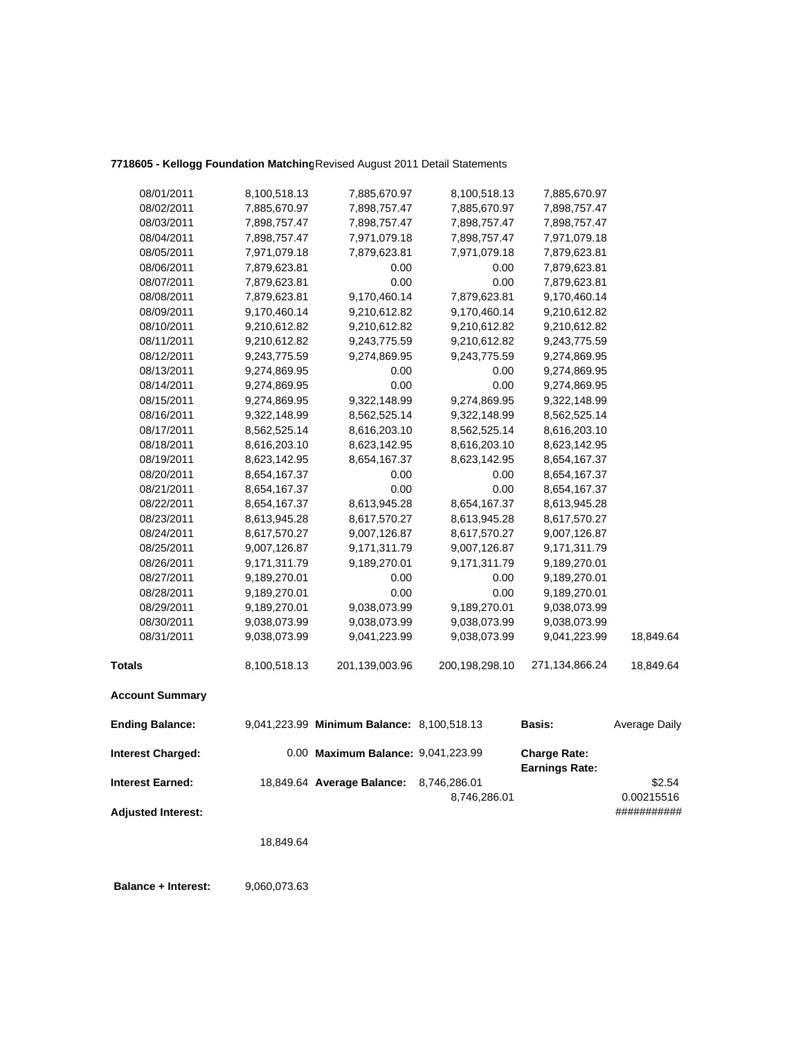## **7718605 - Kellogg Foundation Matching**Revised August 2011 Detail Statements

| 08/01/2011                | 8,100,518.13 | 7,885,670.97                               | 8,100,518.13   | 7,885,670.97                                 |               |
|---------------------------|--------------|--------------------------------------------|----------------|----------------------------------------------|---------------|
| 08/02/2011                | 7,885,670.97 | 7,898,757.47                               | 7,885,670.97   | 7,898,757.47                                 |               |
| 08/03/2011                | 7,898,757.47 | 7,898,757.47                               | 7,898,757.47   | 7,898,757.47                                 |               |
| 08/04/2011                | 7,898,757.47 | 7,971,079.18                               | 7,898,757.47   | 7,971,079.18                                 |               |
| 08/05/2011                | 7,971,079.18 | 7,879,623.81                               | 7,971,079.18   | 7,879,623.81                                 |               |
| 08/06/2011                | 7,879,623.81 | 0.00                                       | 0.00           | 7,879,623.81                                 |               |
| 08/07/2011                | 7,879,623.81 | 0.00                                       | 0.00           | 7,879,623.81                                 |               |
| 08/08/2011                | 7,879,623.81 | 9,170,460.14                               | 7,879,623.81   | 9,170,460.14                                 |               |
| 08/09/2011                | 9,170,460.14 | 9,210,612.82                               | 9,170,460.14   | 9,210,612.82                                 |               |
| 08/10/2011                | 9,210,612.82 | 9,210,612.82                               | 9,210,612.82   | 9,210,612.82                                 |               |
| 08/11/2011                | 9,210,612.82 | 9,243,775.59                               | 9,210,612.82   | 9,243,775.59                                 |               |
| 08/12/2011                | 9,243,775.59 | 9,274,869.95                               | 9,243,775.59   | 9,274,869.95                                 |               |
| 08/13/2011                | 9,274,869.95 | 0.00                                       | 0.00           | 9,274,869.95                                 |               |
| 08/14/2011                | 9,274,869.95 | 0.00                                       | 0.00           | 9,274,869.95                                 |               |
| 08/15/2011                | 9,274,869.95 | 9,322,148.99                               | 9,274,869.95   | 9,322,148.99                                 |               |
| 08/16/2011                | 9,322,148.99 | 8,562,525.14                               | 9,322,148.99   | 8,562,525.14                                 |               |
| 08/17/2011                | 8,562,525.14 | 8,616,203.10                               | 8,562,525.14   | 8,616,203.10                                 |               |
| 08/18/2011                | 8,616,203.10 | 8,623,142.95                               | 8,616,203.10   | 8,623,142.95                                 |               |
| 08/19/2011                | 8,623,142.95 | 8,654,167.37                               | 8,623,142.95   | 8,654,167.37                                 |               |
| 08/20/2011                | 8,654,167.37 | 0.00                                       | 0.00           | 8,654,167.37                                 |               |
| 08/21/2011                | 8,654,167.37 | 0.00                                       | 0.00           | 8,654,167.37                                 |               |
| 08/22/2011                | 8,654,167.37 | 8,613,945.28                               | 8,654,167.37   | 8,613,945.28                                 |               |
| 08/23/2011                | 8,613,945.28 | 8,617,570.27                               | 8,613,945.28   | 8,617,570.27                                 |               |
| 08/24/2011                | 8,617,570.27 | 9,007,126.87                               | 8,617,570.27   | 9,007,126.87                                 |               |
| 08/25/2011                | 9,007,126.87 | 9,171,311.79                               | 9,007,126.87   | 9,171,311.79                                 |               |
| 08/26/2011                | 9,171,311.79 | 9,189,270.01                               | 9,171,311.79   | 9,189,270.01                                 |               |
| 08/27/2011                | 9,189,270.01 | 0.00                                       | 0.00           | 9,189,270.01                                 |               |
| 08/28/2011                | 9,189,270.01 | 0.00                                       | 0.00           | 9,189,270.01                                 |               |
| 08/29/2011                | 9,189,270.01 | 9,038,073.99                               | 9,189,270.01   | 9,038,073.99                                 |               |
| 08/30/2011                | 9,038,073.99 | 9,038,073.99                               | 9,038,073.99   | 9,038,073.99                                 |               |
| 08/31/2011                | 9,038,073.99 | 9,041,223.99                               | 9,038,073.99   | 9,041,223.99                                 | 18,849.64     |
| <b>Totals</b>             | 8,100,518.13 | 201,139,003.96                             | 200,198,298.10 | 271,134,866.24                               | 18,849.64     |
| <b>Account Summary</b>    |              |                                            |                |                                              |               |
| <b>Ending Balance:</b>    |              | 9,041,223.99 Minimum Balance: 8,100,518.13 |                | <b>Basis:</b>                                | Average Daily |
| <b>Interest Charged:</b>  |              | 0.00 Maximum Balance: 9,041,223.99         |                | <b>Charge Rate:</b><br><b>Earnings Rate:</b> |               |
| <b>Interest Earned:</b>   |              | 18,849.64 Average Balance:                 | 8,746,286.01   |                                              | \$2.54        |
|                           |              |                                            | 8,746,286.01   |                                              | 0.00215516    |
| <b>Adjusted Interest:</b> |              |                                            |                |                                              | ###########   |
|                           | 18,849.64    |                                            |                |                                              |               |
|                           |              |                                            |                |                                              |               |

**Balance + Interest:** 9,060,073.63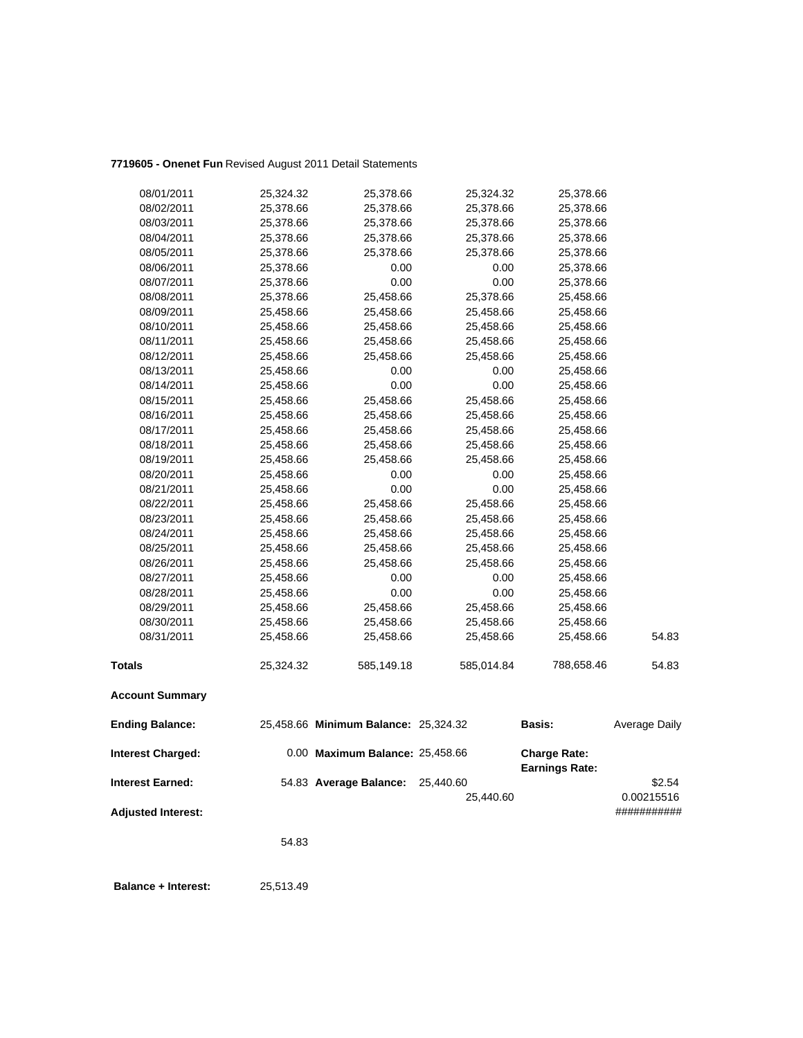### **7719605 - Onenet Fun** Revised August 2011 Detail Statements

|                           | 54.83     |                                      |                        |                                              |                      |
|---------------------------|-----------|--------------------------------------|------------------------|----------------------------------------------|----------------------|
| <b>Adjusted Interest:</b> |           |                                      |                        |                                              | ###########          |
| <b>Interest Earned:</b>   |           | 54.83 Average Balance:               | 25,440.60<br>25,440.60 |                                              | \$2.54<br>0.00215516 |
| <b>Interest Charged:</b>  |           | 0.00 Maximum Balance: 25,458.66      |                        | <b>Charge Rate:</b><br><b>Earnings Rate:</b> |                      |
| <b>Ending Balance:</b>    |           | 25,458.66 Minimum Balance: 25,324.32 |                        | Basis:                                       | Average Daily        |
| <b>Account Summary</b>    |           |                                      |                        |                                              |                      |
| <b>Totals</b>             | 25,324.32 | 585,149.18                           | 585,014.84             | 788,658.46                                   | 54.83                |
| 08/31/2011                | 25,458.66 | 25,458.66                            | 25,458.66              | 25,458.66                                    | 54.83                |
| 08/30/2011                | 25,458.66 | 25,458.66                            | 25,458.66              | 25,458.66                                    |                      |
| 08/29/2011                | 25,458.66 | 25,458.66                            | 25,458.66              | 25,458.66                                    |                      |
| 08/28/2011                | 25,458.66 | 0.00                                 | 0.00                   | 25,458.66                                    |                      |
| 08/27/2011                | 25,458.66 | 0.00                                 | 0.00                   | 25,458.66                                    |                      |
| 08/26/2011                | 25,458.66 | 25,458.66                            | 25,458.66              | 25,458.66                                    |                      |
| 08/25/2011                | 25,458.66 | 25,458.66                            | 25,458.66              | 25,458.66                                    |                      |
| 08/24/2011                | 25,458.66 | 25,458.66                            | 25,458.66              | 25,458.66                                    |                      |
| 08/23/2011                | 25,458.66 | 25,458.66                            | 25,458.66              | 25,458.66                                    |                      |
| 08/22/2011                | 25,458.66 | 25,458.66                            | 25,458.66              | 25,458.66                                    |                      |
| 08/21/2011                | 25,458.66 | 0.00                                 | 0.00                   | 25,458.66                                    |                      |
| 08/20/2011                | 25,458.66 | 0.00                                 | 0.00                   | 25,458.66                                    |                      |
| 08/19/2011                | 25,458.66 | 25,458.66                            | 25,458.66              | 25,458.66                                    |                      |
| 08/18/2011                | 25,458.66 | 25,458.66                            | 25,458.66              | 25,458.66                                    |                      |
| 08/17/2011                | 25,458.66 | 25,458.66                            | 25,458.66              | 25,458.66                                    |                      |
| 08/16/2011                | 25,458.66 | 25,458.66                            | 25,458.66              | 25,458.66                                    |                      |
| 08/15/2011                | 25,458.66 | 25,458.66                            | 25,458.66              | 25,458.66                                    |                      |
| 08/14/2011                | 25,458.66 | 0.00                                 | 0.00                   | 25,458.66                                    |                      |
| 08/13/2011                | 25,458.66 | 0.00                                 | 0.00                   | 25,458.66                                    |                      |
| 08/12/2011                | 25,458.66 | 25,458.66                            | 25,458.66              | 25,458.66                                    |                      |
| 08/11/2011                | 25,458.66 | 25,458.66                            | 25,458.66              | 25,458.66                                    |                      |
| 08/10/2011                | 25,458.66 | 25,458.66                            | 25,458.66              | 25,458.66                                    |                      |
| 08/09/2011                | 25,458.66 | 25,458.66                            | 25,458.66              | 25,458.66                                    |                      |
| 08/08/2011                | 25,378.66 | 25,458.66                            | 25,378.66              | 25,458.66                                    |                      |
| 08/07/2011                | 25,378.66 | 0.00                                 | 0.00                   | 25,378.66                                    |                      |
| 08/06/2011                | 25,378.66 | 0.00                                 | 0.00                   | 25,378.66                                    |                      |
| 08/05/2011                | 25,378.66 | 25,378.66                            | 25,378.66              | 25,378.66                                    |                      |
| 08/04/2011                | 25,378.66 | 25,378.66                            | 25,378.66              | 25,378.66                                    |                      |
| 08/03/2011                | 25,378.66 | 25,378.66                            | 25,378.66              | 25,378.66                                    |                      |
| 08/02/2011                | 25,378.66 | 25,378.66<br>25,378.66               | 25,378.66              | 25,378.66<br>25,378.66                       |                      |
| 08/01/2011                | 25,324.32 |                                      | 25,324.32              |                                              |                      |

 **Balance + Interest:** 25,513.49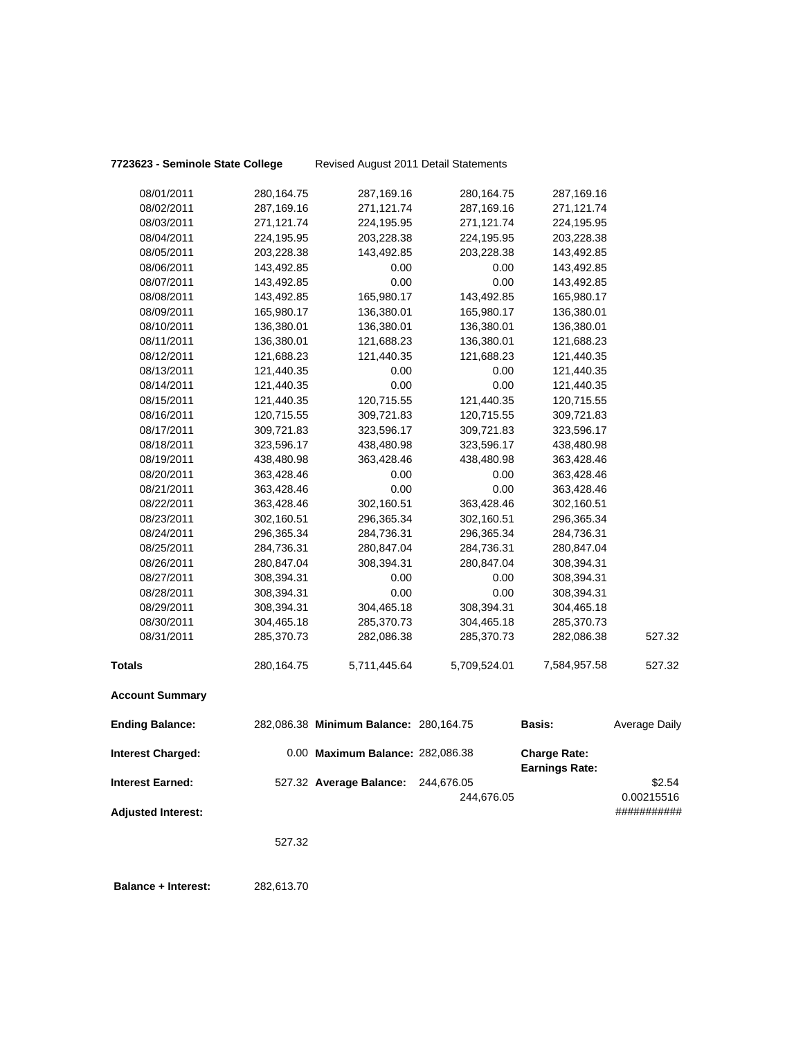### **7723623 - Seminole State College** Revised August 2011 Detail Statements

| <b>Interest Charged:</b> |                          | 0.00 Maximum Balance: 282,086.38       |                          | <b>Charge Rate:</b><br><b>Earnings Rate:</b> |               |
|--------------------------|--------------------------|----------------------------------------|--------------------------|----------------------------------------------|---------------|
| <b>Ending Balance:</b>   |                          | 282,086.38 Minimum Balance: 280,164.75 |                          | <b>Basis:</b>                                | Average Daily |
| <b>Account Summary</b>   |                          |                                        |                          |                                              |               |
| <b>Totals</b>            | 280,164.75               | 5,711,445.64                           | 5,709,524.01             | 7,584,957.58                                 | 527.32        |
| 08/31/2011               | 285,370.73               | 282,086.38                             | 285,370.73               | 282,086.38                                   | 527.32        |
| 08/30/2011               | 304,465.18               | 285,370.73                             | 304,465.18               | 285,370.73                                   |               |
| 08/29/2011               | 308,394.31               | 304,465.18                             | 308,394.31               | 304,465.18                                   |               |
| 08/28/2011               | 308,394.31               | 0.00                                   | $0.00\,$                 | 308,394.31                                   |               |
| 08/27/2011               | 308,394.31               | 0.00                                   | 0.00                     | 308,394.31                                   |               |
| 08/26/2011               | 280,847.04               | 308,394.31                             | 280,847.04               | 308,394.31                                   |               |
| 08/25/2011               | 284,736.31               | 280,847.04                             | 284,736.31               | 280,847.04                                   |               |
| 08/24/2011               | 296,365.34               | 284,736.31                             | 296,365.34               | 284,736.31                                   |               |
| 08/23/2011               | 302,160.51               | 296,365.34                             | 302,160.51               | 296,365.34                                   |               |
| 08/22/2011               | 363,428.46               | 302,160.51                             | 363,428.46               | 302,160.51                                   |               |
| 08/21/2011               | 363,428.46               | 0.00                                   | 0.00                     | 363,428.46                                   |               |
| 08/20/2011               | 363,428.46               | 0.00                                   | 0.00                     | 363,428.46                                   |               |
| 08/19/2011               | 438,480.98               | 363,428.46                             | 438,480.98               | 363,428.46                                   |               |
| 08/18/2011               | 323,596.17               | 438,480.98                             | 323,596.17               | 438,480.98                                   |               |
| 08/17/2011               | 309,721.83               | 323,596.17                             | 309,721.83               | 323,596.17                                   |               |
| 08/16/2011               | 120,715.55               | 309,721.83                             | 120,715.55               | 309,721.83                                   |               |
| 08/15/2011               | 121,440.35               | 120,715.55                             | 121,440.35               | 120,715.55                                   |               |
| 08/14/2011               | 121,440.35               | 0.00                                   | 0.00                     | 121,440.35                                   |               |
| 08/13/2011               | 121,440.35               | 0.00                                   | 0.00                     | 121,440.35                                   |               |
| 08/12/2011               | 121,688.23               | 121,440.35                             | 121,688.23               | 121,440.35                                   |               |
| 08/11/2011               | 136,380.01               | 121,688.23                             | 136,380.01               | 121,688.23                                   |               |
| 08/10/2011               | 136,380.01               | 136,380.01                             | 136,380.01               | 136,380.01                                   |               |
| 08/09/2011               | 165,980.17               | 136,380.01                             | 165,980.17               | 136,380.01                                   |               |
| 08/08/2011               | 143,492.85               | 165,980.17                             | 143,492.85               | 165,980.17                                   |               |
| 08/07/2011               | 143,492.85               | 0.00                                   | 0.00                     | 143,492.85                                   |               |
| 08/06/2011               | 143,492.85               | 0.00                                   | 0.00                     | 143,492.85                                   |               |
| 08/05/2011               | 203,228.38               | 143,492.85                             | 203,228.38               | 143,492.85                                   |               |
| 08/04/2011               | 224,195.95               | 203,228.38                             | 224,195.95               | 203,228.38                                   |               |
| 08/02/2011<br>08/03/2011 | 287,169.16<br>271,121.74 | 271,121.74<br>224,195.95               | 287,169.16<br>271,121.74 | 271,121.74<br>224,195.95                     |               |
| 08/01/2011               | 280,164.75               | 287,169.16                             | 280,164.75               | 287,169.16                                   |               |
|                          |                          |                                        |                          |                                              |               |

**Interest Earned:** 527.32 **Average Balance:** 244,676.05 \$2.54 244,676.05 0.00215516 **Adjusted Interest:** ###########

527.32

 **Balance + Interest:** 282,613.70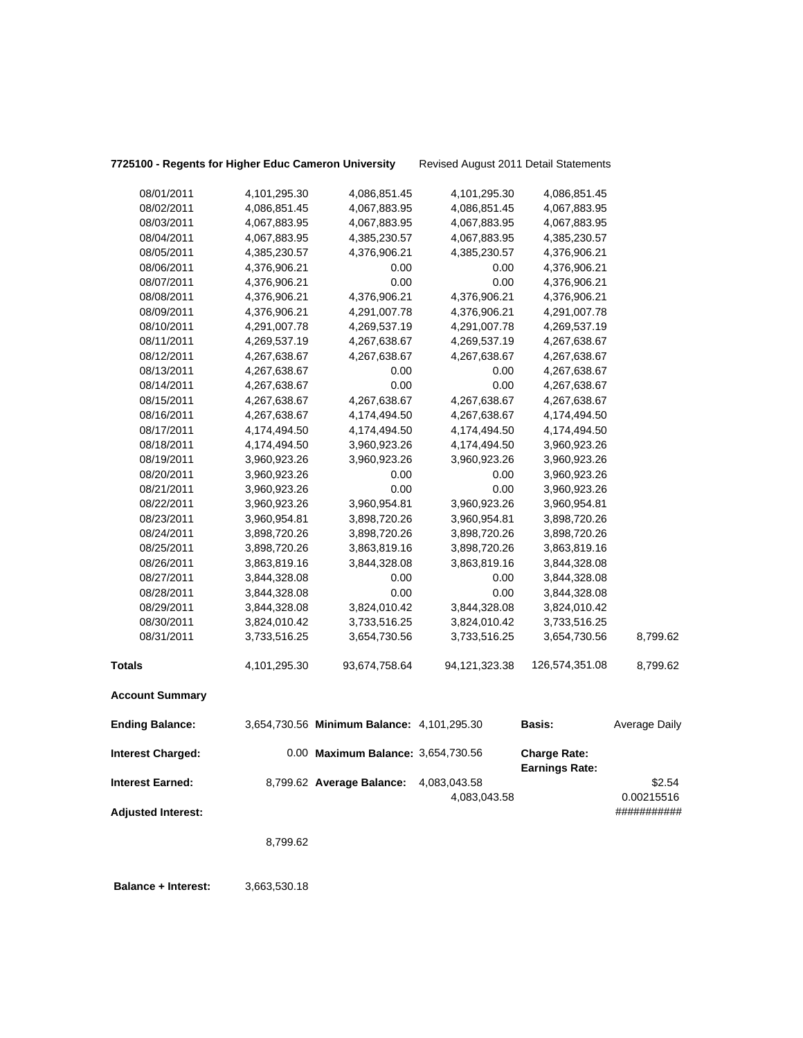| 7725100 - Regents for Higher Educ Cameron University |              |                                            | Revised August 2011 Detail Statements |                |                      |
|------------------------------------------------------|--------------|--------------------------------------------|---------------------------------------|----------------|----------------------|
| 08/01/2011                                           | 4,101,295.30 | 4,086,851.45                               | 4,101,295.30                          | 4,086,851.45   |                      |
| 08/02/2011                                           | 4,086,851.45 | 4,067,883.95                               | 4,086,851.45                          | 4,067,883.95   |                      |
| 08/03/2011                                           | 4,067,883.95 | 4,067,883.95                               | 4,067,883.95                          | 4,067,883.95   |                      |
| 08/04/2011                                           | 4,067,883.95 | 4,385,230.57                               | 4,067,883.95                          | 4,385,230.57   |                      |
| 08/05/2011                                           | 4,385,230.57 | 4,376,906.21                               | 4,385,230.57                          | 4,376,906.21   |                      |
| 08/06/2011                                           | 4,376,906.21 | 0.00                                       | 0.00                                  | 4,376,906.21   |                      |
| 08/07/2011                                           | 4,376,906.21 | 0.00                                       | 0.00                                  | 4,376,906.21   |                      |
| 08/08/2011                                           | 4,376,906.21 | 4,376,906.21                               | 4,376,906.21                          | 4,376,906.21   |                      |
| 08/09/2011                                           | 4,376,906.21 | 4,291,007.78                               | 4,376,906.21                          | 4,291,007.78   |                      |
| 08/10/2011                                           | 4,291,007.78 | 4,269,537.19                               | 4,291,007.78                          | 4,269,537.19   |                      |
| 08/11/2011                                           | 4,269,537.19 | 4,267,638.67                               | 4,269,537.19                          | 4,267,638.67   |                      |
| 08/12/2011                                           | 4,267,638.67 | 4,267,638.67                               | 4,267,638.67                          | 4,267,638.67   |                      |
| 08/13/2011                                           | 4,267,638.67 | 0.00                                       | 0.00                                  | 4,267,638.67   |                      |
| 08/14/2011                                           | 4,267,638.67 | 0.00                                       | 0.00                                  | 4,267,638.67   |                      |
| 08/15/2011                                           | 4,267,638.67 | 4,267,638.67                               | 4,267,638.67                          | 4,267,638.67   |                      |
| 08/16/2011                                           | 4,267,638.67 | 4,174,494.50                               | 4,267,638.67                          | 4,174,494.50   |                      |
| 08/17/2011                                           | 4,174,494.50 | 4,174,494.50                               | 4,174,494.50                          | 4,174,494.50   |                      |
| 08/18/2011                                           | 4,174,494.50 | 3,960,923.26                               | 4,174,494.50                          | 3,960,923.26   |                      |
| 08/19/2011                                           | 3,960,923.26 | 3,960,923.26                               | 3,960,923.26                          | 3,960,923.26   |                      |
| 08/20/2011                                           | 3,960,923.26 | 0.00                                       | 0.00                                  | 3,960,923.26   |                      |
| 08/21/2011                                           | 3,960,923.26 | 0.00                                       | 0.00                                  | 3,960,923.26   |                      |
| 08/22/2011                                           | 3,960,923.26 | 3,960,954.81                               | 3,960,923.26                          | 3,960,954.81   |                      |
| 08/23/2011                                           | 3,960,954.81 | 3,898,720.26                               | 3,960,954.81                          | 3,898,720.26   |                      |
| 08/24/2011                                           | 3,898,720.26 | 3,898,720.26                               | 3,898,720.26                          | 3,898,720.26   |                      |
| 08/25/2011                                           | 3,898,720.26 | 3,863,819.16                               | 3,898,720.26                          | 3,863,819.16   |                      |
| 08/26/2011                                           | 3,863,819.16 | 3,844,328.08                               | 3,863,819.16                          | 3,844,328.08   |                      |
| 08/27/2011                                           | 3,844,328.08 | 0.00                                       | 0.00                                  | 3,844,328.08   |                      |
| 08/28/2011                                           | 3,844,328.08 | 0.00                                       | 0.00                                  | 3,844,328.08   |                      |
| 08/29/2011                                           | 3,844,328.08 | 3,824,010.42                               | 3,844,328.08                          | 3,824,010.42   |                      |
| 08/30/2011                                           | 3,824,010.42 | 3,733,516.25                               | 3,824,010.42                          | 3,733,516.25   |                      |
| 08/31/2011                                           | 3,733,516.25 | 3,654,730.56                               | 3,733,516.25                          | 3,654,730.56   | 8,799.62             |
| Totals                                               | 4,101,295.30 | 93,674,758.64                              | 94,121,323.38                         | 126,574,351.08 | 8,799.62             |
| <b>Account Summary</b>                               |              |                                            |                                       |                |                      |
| <b>Ending Balance:</b>                               |              | 3,654,730.56 Minimum Balance: 4,101,295.30 |                                       | <b>Basis:</b>  | <b>Average Daily</b> |

| <b>Interest Charged:</b>  | 0.00 Maximum Balance: 3,654,730.56 |              | <b>Charge Rate:</b><br><b>Earnings Rate:</b> |             |
|---------------------------|------------------------------------|--------------|----------------------------------------------|-------------|
| <b>Interest Earned:</b>   | 8,799.62 Average Balance:          | 4,083,043.58 |                                              | \$2.54      |
|                           |                                    | 4.083.043.58 |                                              | 0.00215516  |
| <b>Adjusted Interest:</b> |                                    |              |                                              | ########### |

8,799.62

 **Balance + Interest:** 3,663,530.18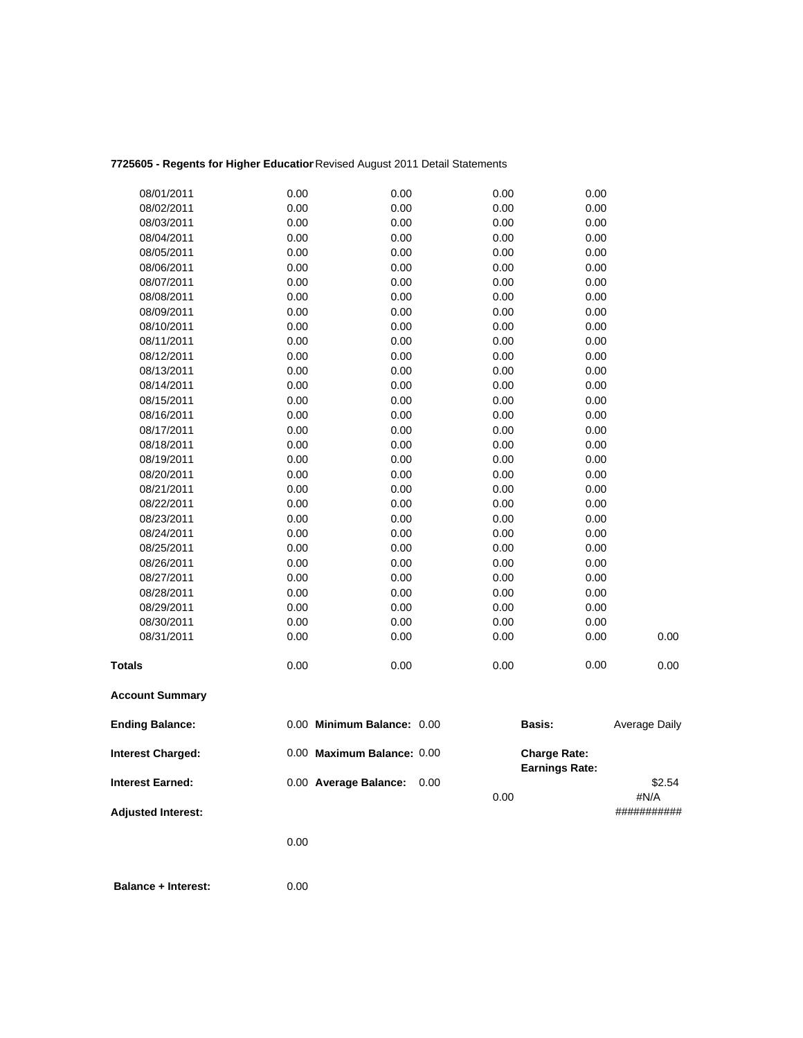### **7725605 - Regents for Higher Education**Revised August 2011 Detail Statements

| <b>Adjusted Interest:</b> |      |                            |              |                                              | ###########    |
|---------------------------|------|----------------------------|--------------|----------------------------------------------|----------------|
| <b>Interest Earned:</b>   |      | 0.00 Average Balance:      | 0.00<br>0.00 |                                              | \$2.54<br>#N/A |
| <b>Interest Charged:</b>  |      | 0.00 Maximum Balance: 0.00 |              | <b>Charge Rate:</b><br><b>Earnings Rate:</b> |                |
| <b>Ending Balance:</b>    |      | 0.00 Minimum Balance: 0.00 |              | <b>Basis:</b>                                | Average Daily  |
| <b>Account Summary</b>    |      |                            |              |                                              |                |
| Totals                    | 0.00 | 0.00                       | 0.00         | 0.00                                         | 0.00           |
| 08/31/2011                | 0.00 | 0.00                       | 0.00         | 0.00                                         | 0.00           |
| 08/30/2011                | 0.00 | 0.00                       | 0.00         | 0.00                                         |                |
| 08/29/2011                | 0.00 | 0.00                       | 0.00         | 0.00                                         |                |
| 08/28/2011                | 0.00 | 0.00                       | 0.00         | 0.00                                         |                |
| 08/27/2011                | 0.00 | 0.00                       | 0.00         | 0.00                                         |                |
| 08/26/2011                | 0.00 | 0.00                       | 0.00         | 0.00                                         |                |
| 08/25/2011                | 0.00 | 0.00                       | 0.00         | 0.00                                         |                |
| 08/24/2011                | 0.00 | 0.00                       | 0.00         | 0.00                                         |                |
| 08/23/2011                | 0.00 | 0.00                       | 0.00         | 0.00                                         |                |
| 08/22/2011                | 0.00 | 0.00                       | 0.00         | 0.00                                         |                |
| 08/21/2011                | 0.00 | 0.00                       | 0.00         | 0.00                                         |                |
| 08/20/2011                | 0.00 | 0.00                       | 0.00         | 0.00                                         |                |
| 08/19/2011                | 0.00 | 0.00                       | 0.00         | 0.00                                         |                |
| 08/18/2011                | 0.00 | 0.00                       | 0.00         | 0.00                                         |                |
| 08/17/2011                | 0.00 | 0.00                       | 0.00         | 0.00                                         |                |
| 08/16/2011                | 0.00 | 0.00                       | 0.00         | 0.00                                         |                |
| 08/15/2011                | 0.00 | 0.00                       | 0.00         | 0.00                                         |                |
| 08/14/2011                | 0.00 | 0.00                       | 0.00         | 0.00                                         |                |
| 08/13/2011                | 0.00 | 0.00                       | 0.00         | 0.00                                         |                |
| 08/12/2011                | 0.00 | 0.00                       | 0.00         | 0.00                                         |                |
| 08/11/2011                | 0.00 | 0.00                       | 0.00         | 0.00                                         |                |
| 08/10/2011                | 0.00 | 0.00                       | 0.00         | 0.00                                         |                |
| 08/09/2011                | 0.00 | 0.00                       | 0.00         | 0.00                                         |                |
| 08/08/2011                | 0.00 | 0.00                       | 0.00         | 0.00                                         |                |
| 08/07/2011                | 0.00 | 0.00                       | 0.00         | 0.00                                         |                |
| 08/06/2011                | 0.00 | 0.00                       | 0.00         | 0.00                                         |                |
| 08/05/2011                | 0.00 | 0.00                       | 0.00         | 0.00                                         |                |
| 08/03/2011<br>08/04/2011  | 0.00 | 0.00                       | 0.00         | 0.00                                         |                |
| 08/02/2011                | 0.00 | 0.00                       | 0.00         | 0.00                                         |                |
| 08/01/2011                | 0.00 | 0.00                       | 0.00         | 0.00                                         |                |
|                           | 0.00 | 0.00                       | 0.00         | 0.00                                         |                |

0.00

 **Balance + Interest:** 0.00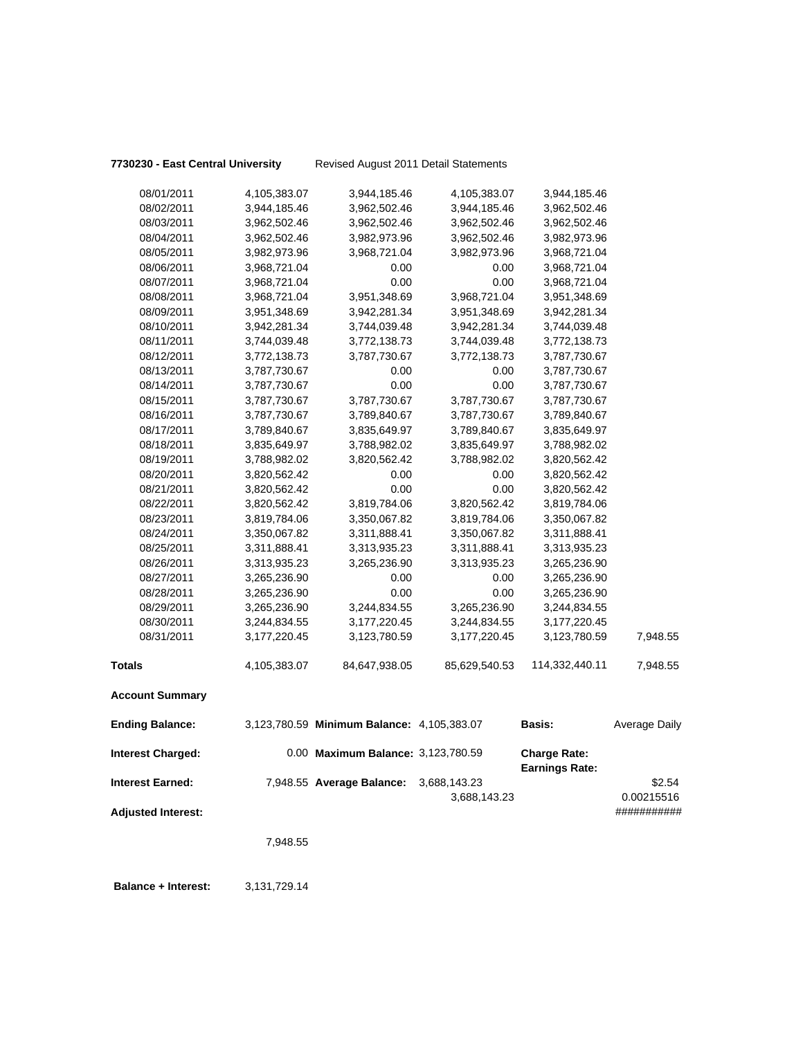**7730230 - East Central University** Revised August 2011 Detail Statements

| 08/01/2011                | 4,105,383.07 | 3,944,185.46                               | 4,105,383.07  | 3,944,185.46                                 |               |
|---------------------------|--------------|--------------------------------------------|---------------|----------------------------------------------|---------------|
| 08/02/2011                | 3,944,185.46 | 3,962,502.46                               | 3,944,185.46  | 3,962,502.46                                 |               |
| 08/03/2011                | 3,962,502.46 | 3,962,502.46                               | 3,962,502.46  | 3,962,502.46                                 |               |
| 08/04/2011                | 3,962,502.46 | 3,982,973.96                               | 3,962,502.46  | 3,982,973.96                                 |               |
| 08/05/2011                | 3,982,973.96 | 3,968,721.04                               | 3,982,973.96  | 3,968,721.04                                 |               |
| 08/06/2011                | 3,968,721.04 | 0.00                                       | 0.00          | 3,968,721.04                                 |               |
| 08/07/2011                | 3,968,721.04 | 0.00                                       | 0.00          | 3,968,721.04                                 |               |
| 08/08/2011                | 3,968,721.04 | 3,951,348.69                               | 3,968,721.04  | 3,951,348.69                                 |               |
| 08/09/2011                | 3,951,348.69 | 3,942,281.34                               | 3,951,348.69  | 3,942,281.34                                 |               |
| 08/10/2011                | 3,942,281.34 | 3,744,039.48                               | 3,942,281.34  | 3,744,039.48                                 |               |
| 08/11/2011                | 3,744,039.48 | 3,772,138.73                               | 3,744,039.48  | 3,772,138.73                                 |               |
| 08/12/2011                | 3,772,138.73 | 3,787,730.67                               | 3,772,138.73  | 3,787,730.67                                 |               |
| 08/13/2011                | 3,787,730.67 | 0.00                                       | 0.00          | 3,787,730.67                                 |               |
| 08/14/2011                | 3,787,730.67 | 0.00                                       | 0.00          | 3,787,730.67                                 |               |
| 08/15/2011                | 3,787,730.67 | 3,787,730.67                               | 3,787,730.67  | 3,787,730.67                                 |               |
| 08/16/2011                | 3,787,730.67 | 3,789,840.67                               | 3,787,730.67  | 3,789,840.67                                 |               |
| 08/17/2011                | 3,789,840.67 | 3,835,649.97                               | 3,789,840.67  | 3,835,649.97                                 |               |
| 08/18/2011                | 3,835,649.97 | 3,788,982.02                               | 3,835,649.97  | 3,788,982.02                                 |               |
| 08/19/2011                | 3,788,982.02 | 3,820,562.42                               | 3,788,982.02  | 3,820,562.42                                 |               |
| 08/20/2011                | 3,820,562.42 | 0.00                                       | 0.00          | 3,820,562.42                                 |               |
| 08/21/2011                | 3,820,562.42 | 0.00                                       | 0.00          | 3,820,562.42                                 |               |
| 08/22/2011                | 3,820,562.42 | 3,819,784.06                               | 3,820,562.42  | 3,819,784.06                                 |               |
| 08/23/2011                | 3,819,784.06 | 3,350,067.82                               | 3,819,784.06  | 3,350,067.82                                 |               |
| 08/24/2011                | 3,350,067.82 | 3,311,888.41                               | 3,350,067.82  | 3,311,888.41                                 |               |
| 08/25/2011                | 3,311,888.41 | 3,313,935.23                               | 3,311,888.41  | 3,313,935.23                                 |               |
| 08/26/2011                | 3,313,935.23 | 3,265,236.90                               | 3,313,935.23  | 3,265,236.90                                 |               |
| 08/27/2011                | 3,265,236.90 | 0.00                                       | 0.00          | 3,265,236.90                                 |               |
| 08/28/2011                | 3,265,236.90 | 0.00                                       | 0.00          | 3,265,236.90                                 |               |
| 08/29/2011                | 3,265,236.90 | 3,244,834.55                               | 3,265,236.90  | 3,244,834.55                                 |               |
| 08/30/2011                | 3,244,834.55 | 3,177,220.45                               | 3,244,834.55  | 3,177,220.45                                 |               |
| 08/31/2011                | 3,177,220.45 | 3,123,780.59                               | 3,177,220.45  | 3,123,780.59                                 | 7,948.55      |
| <b>Totals</b>             | 4,105,383.07 | 84,647,938.05                              | 85,629,540.53 | 114,332,440.11                               | 7,948.55      |
| <b>Account Summary</b>    |              |                                            |               |                                              |               |
| <b>Ending Balance:</b>    |              | 3,123,780.59 Minimum Balance: 4,105,383.07 |               | <b>Basis:</b>                                | Average Daily |
| <b>Interest Charged:</b>  |              | 0.00 Maximum Balance: 3,123,780.59         |               | <b>Charge Rate:</b><br><b>Earnings Rate:</b> |               |
| <b>Interest Earned:</b>   |              | 7,948.55 Average Balance:                  | 3,688,143.23  |                                              | \$2.54        |
|                           |              |                                            | 3,688,143.23  |                                              | 0.00215516    |
| <b>Adjusted Interest:</b> |              |                                            |               |                                              | ###########   |
|                           | 7,948.55     |                                            |               |                                              |               |
|                           |              |                                            |               |                                              |               |

 **Balance + Interest:** 3,131,729.14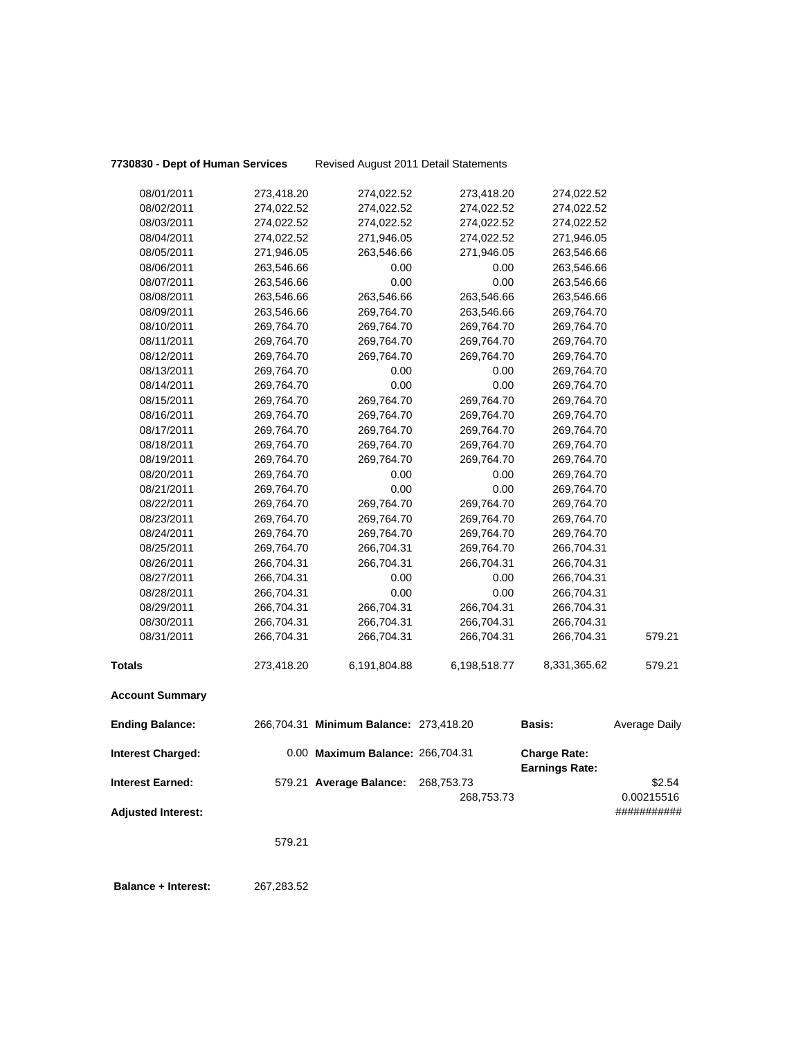**7730830 - Dept of Human Services** Revised August 2011 Detail Statements

|                           | 579.21     |                                        |                          |                                              |                      |
|---------------------------|------------|----------------------------------------|--------------------------|----------------------------------------------|----------------------|
| <b>Adjusted Interest:</b> |            |                                        |                          |                                              | ###########          |
| <b>Interest Earned:</b>   |            | 579.21 Average Balance:                | 268,753.73<br>268,753.73 |                                              | \$2.54<br>0.00215516 |
| <b>Interest Charged:</b>  |            | 0.00 Maximum Balance: 266,704.31       |                          | <b>Charge Rate:</b><br><b>Earnings Rate:</b> |                      |
| <b>Ending Balance:</b>    |            | 266,704.31 Minimum Balance: 273,418.20 |                          | <b>Basis:</b>                                | Average Daily        |
| <b>Account Summary</b>    |            |                                        |                          |                                              |                      |
| <b>Totals</b>             | 273,418.20 | 6,191,804.88                           | 6,198,518.77             | 8,331,365.62                                 | 579.21               |
| 08/31/2011                | 266,704.31 | 266,704.31                             | 266,704.31               | 266,704.31                                   | 579.21               |
| 08/30/2011                | 266,704.31 | 266,704.31                             | 266,704.31               | 266,704.31                                   |                      |
| 08/29/2011                | 266,704.31 | 266,704.31                             | 266,704.31               | 266,704.31                                   |                      |
| 08/28/2011                | 266,704.31 | 0.00                                   | 0.00                     | 266,704.31                                   |                      |
| 08/27/2011                | 266,704.31 | 0.00                                   | 0.00                     | 266,704.31                                   |                      |
| 08/26/2011                | 266,704.31 | 266,704.31                             | 266,704.31               | 266,704.31                                   |                      |
| 08/25/2011                | 269,764.70 | 266,704.31                             | 269,764.70               | 266,704.31                                   |                      |
| 08/24/2011                | 269,764.70 | 269,764.70                             | 269,764.70               | 269,764.70                                   |                      |
| 08/23/2011                | 269,764.70 | 269,764.70                             | 269,764.70               | 269,764.70                                   |                      |
| 08/22/2011                | 269,764.70 | 269,764.70                             | 269,764.70               | 269,764.70                                   |                      |
| 08/21/2011                | 269,764.70 | 0.00                                   | 0.00                     | 269,764.70                                   |                      |
| 08/20/2011                | 269,764.70 | 0.00                                   | 0.00                     | 269,764.70                                   |                      |
| 08/19/2011                | 269,764.70 | 269,764.70                             | 269,764.70               | 269,764.70                                   |                      |
| 08/18/2011                | 269,764.70 | 269,764.70                             | 269,764.70               | 269,764.70                                   |                      |
| 08/17/2011                | 269,764.70 | 269,764.70                             | 269,764.70               | 269,764.70                                   |                      |
| 08/16/2011                | 269,764.70 | 269,764.70                             | 269,764.70               | 269,764.70                                   |                      |
| 08/15/2011                | 269,764.70 | 269,764.70                             | 269,764.70               | 269,764.70                                   |                      |
| 08/14/2011                | 269,764.70 | 0.00                                   | 0.00                     | 269,764.70                                   |                      |
| 08/13/2011                | 269,764.70 | 0.00                                   | 0.00                     | 269,764.70                                   |                      |
| 08/12/2011                | 269,764.70 | 269,764.70                             | 269,764.70               | 269,764.70                                   |                      |
| 08/11/2011                | 269,764.70 | 269,764.70                             | 269,764.70               | 269,764.70                                   |                      |
| 08/10/2011                | 269,764.70 | 269,764.70                             | 269,764.70               | 269,764.70                                   |                      |
| 08/09/2011                | 263,546.66 | 269,764.70                             | 263,546.66               | 269,764.70                                   |                      |
| 08/08/2011                | 263,546.66 | 263,546.66                             | 263,546.66               | 263,546.66                                   |                      |
| 08/07/2011                | 263,546.66 | 0.00                                   | 0.00                     | 263,546.66                                   |                      |
| 08/06/2011                | 263,546.66 | 0.00                                   | 0.00                     | 263,546.66                                   |                      |
| 08/05/2011                | 271,946.05 | 263,546.66                             | 271,946.05               | 263,546.66                                   |                      |
| 08/04/2011                | 274,022.52 | 271,946.05                             | 274,022.52               | 271,946.05                                   |                      |
| 08/03/2011                | 274,022.52 | 274,022.52                             | 274,022.52               | 274,022.52                                   |                      |
| 08/02/2011                | 274,022.52 | 274,022.52                             | 274,022.52               | 274,022.52                                   |                      |
| 08/01/2011                | 273,418.20 | 274,022.52                             | 273,418.20               | 274,022.52                                   |                      |

 **Balance + Interest:** 267,283.52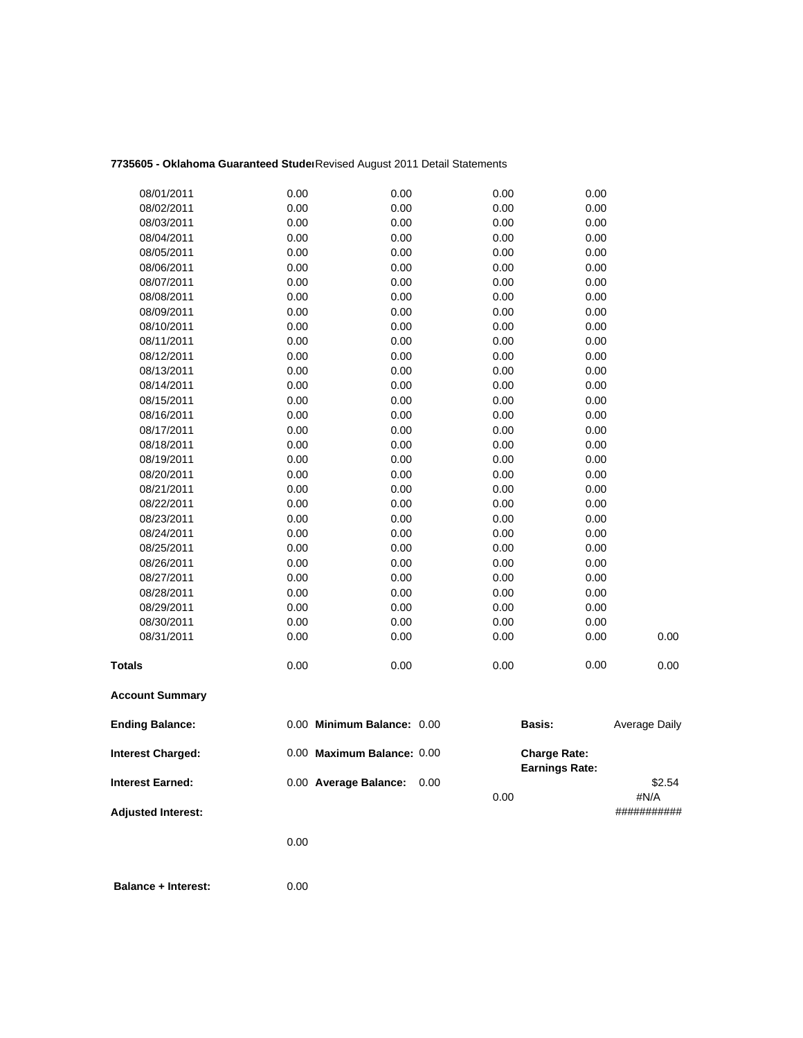## **7735605 - Oklahoma Guaranteed Studen**Revised August 2011 Detail Statements

| <b>Adjusted Interest:</b>                           |              |                                                     | 0.00         |                                              | #N/A<br>########### |
|-----------------------------------------------------|--------------|-----------------------------------------------------|--------------|----------------------------------------------|---------------------|
| <b>Interest Charged:</b><br><b>Interest Earned:</b> |              | 0.00 Maximum Balance: 0.00<br>0.00 Average Balance: | 0.00         | <b>Charge Rate:</b><br><b>Earnings Rate:</b> | \$2.54              |
| <b>Ending Balance:</b>                              |              | 0.00 Minimum Balance: 0.00                          |              | Basis:                                       | Average Daily       |
| <b>Account Summary</b>                              |              |                                                     |              |                                              |                     |
| Totals                                              | 0.00         | 0.00                                                | 0.00         | 0.00                                         | 0.00                |
| 08/31/2011                                          | 0.00         | 0.00                                                | 0.00         | 0.00                                         | 0.00                |
| 08/30/2011                                          | 0.00         | 0.00                                                | 0.00         | 0.00                                         |                     |
| 08/29/2011                                          | 0.00         | 0.00                                                | 0.00         | 0.00                                         |                     |
| 08/28/2011                                          | 0.00         | 0.00                                                | 0.00         | 0.00                                         |                     |
| 08/27/2011                                          | 0.00         | 0.00                                                | 0.00         | 0.00                                         |                     |
| 08/26/2011                                          | 0.00         | 0.00                                                | 0.00         | 0.00                                         |                     |
| 08/25/2011                                          | 0.00         | 0.00                                                | 0.00         | 0.00                                         |                     |
| 08/24/2011                                          | 0.00         | 0.00                                                | 0.00         | 0.00                                         |                     |
| 08/23/2011                                          | 0.00         | 0.00                                                | 0.00         | 0.00                                         |                     |
| 08/22/2011                                          | 0.00         | 0.00                                                | 0.00         | 0.00                                         |                     |
| 08/21/2011                                          | 0.00         | 0.00                                                | 0.00         | 0.00                                         |                     |
| 08/20/2011                                          | 0.00         | 0.00                                                | 0.00         | 0.00                                         |                     |
| 08/19/2011                                          | 0.00         | 0.00                                                | 0.00         | 0.00                                         |                     |
| 08/18/2011                                          | 0.00         | 0.00                                                | 0.00         | 0.00                                         |                     |
| 08/17/2011                                          | 0.00         | 0.00                                                | 0.00         | 0.00                                         |                     |
| 08/16/2011                                          | 0.00         | 0.00                                                | 0.00         | 0.00                                         |                     |
| 08/15/2011                                          | 0.00         | 0.00                                                | 0.00         | 0.00                                         |                     |
| 08/14/2011                                          | 0.00         | 0.00                                                | 0.00         | 0.00                                         |                     |
| 08/13/2011                                          | 0.00         | 0.00                                                | 0.00         | 0.00                                         |                     |
| 08/12/2011                                          | 0.00         | 0.00                                                | 0.00         | 0.00                                         |                     |
| 08/11/2011                                          | 0.00         | 0.00                                                | 0.00         | 0.00                                         |                     |
| 08/10/2011                                          | 0.00         | 0.00                                                | 0.00         | 0.00                                         |                     |
| 08/09/2011                                          | 0.00         | 0.00                                                | 0.00         | 0.00                                         |                     |
| 08/08/2011                                          | 0.00         | 0.00                                                | 0.00         | 0.00                                         |                     |
| 08/07/2011                                          | 0.00         | 0.00                                                | 0.00         | 0.00                                         |                     |
| 08/05/2011<br>08/06/2011                            | 0.00         | 0.00                                                | 0.00<br>0.00 | 0.00                                         |                     |
| 08/04/2011                                          | 0.00<br>0.00 | 0.00<br>0.00                                        | 0.00         | 0.00<br>0.00                                 |                     |
| 08/03/2011                                          | 0.00         | 0.00                                                | 0.00         | 0.00                                         |                     |
| 08/02/2011                                          | 0.00         | 0.00                                                | 0.00         | 0.00                                         |                     |
| 08/01/2011                                          | 0.00         | 0.00                                                | 0.00         | 0.00                                         |                     |
|                                                     |              |                                                     |              |                                              |                     |

0.00

 **Balance + Interest:** 0.00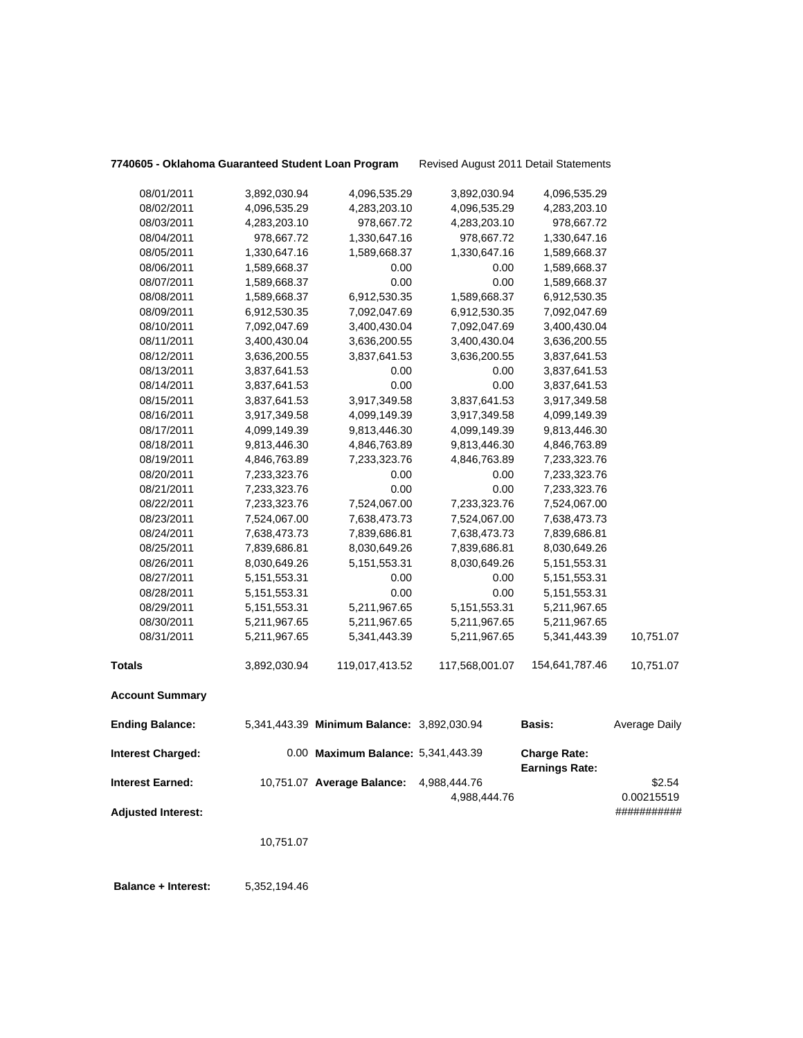| 7740605 - Oklahoma Guaranteed Student Loan Program |                 |                                            | Revised August 2011 Detail Statements |                                              |                           |
|----------------------------------------------------|-----------------|--------------------------------------------|---------------------------------------|----------------------------------------------|---------------------------|
| 08/01/2011                                         | 3,892,030.94    | 4,096,535.29                               | 3,892,030.94                          | 4,096,535.29                                 |                           |
| 08/02/2011                                         | 4,096,535.29    | 4,283,203.10                               | 4,096,535.29                          | 4,283,203.10                                 |                           |
| 08/03/2011                                         | 4,283,203.10    | 978,667.72                                 | 4,283,203.10                          | 978,667.72                                   |                           |
| 08/04/2011                                         | 978,667.72      | 1,330,647.16                               | 978,667.72                            | 1,330,647.16                                 |                           |
| 08/05/2011                                         | 1,330,647.16    | 1,589,668.37                               | 1,330,647.16                          | 1,589,668.37                                 |                           |
| 08/06/2011                                         | 1,589,668.37    | 0.00                                       | 0.00                                  | 1,589,668.37                                 |                           |
| 08/07/2011                                         | 1,589,668.37    | 0.00                                       | 0.00                                  | 1,589,668.37                                 |                           |
| 08/08/2011                                         | 1,589,668.37    | 6,912,530.35                               | 1,589,668.37                          | 6,912,530.35                                 |                           |
| 08/09/2011                                         | 6,912,530.35    | 7,092,047.69                               | 6,912,530.35                          | 7,092,047.69                                 |                           |
| 08/10/2011                                         | 7,092,047.69    | 3,400,430.04                               | 7,092,047.69                          | 3,400,430.04                                 |                           |
| 08/11/2011                                         | 3,400,430.04    | 3,636,200.55                               | 3,400,430.04                          | 3,636,200.55                                 |                           |
| 08/12/2011                                         | 3,636,200.55    | 3,837,641.53                               | 3,636,200.55                          | 3,837,641.53                                 |                           |
| 08/13/2011                                         | 3,837,641.53    | 0.00                                       | 0.00                                  | 3,837,641.53                                 |                           |
| 08/14/2011                                         | 3,837,641.53    | 0.00                                       | 0.00                                  | 3,837,641.53                                 |                           |
| 08/15/2011                                         | 3,837,641.53    | 3,917,349.58                               | 3,837,641.53                          | 3,917,349.58                                 |                           |
| 08/16/2011                                         | 3,917,349.58    | 4,099,149.39                               | 3,917,349.58                          | 4,099,149.39                                 |                           |
| 08/17/2011                                         | 4,099,149.39    | 9,813,446.30                               | 4,099,149.39                          | 9,813,446.30                                 |                           |
| 08/18/2011                                         | 9,813,446.30    | 4,846,763.89                               | 9,813,446.30                          | 4,846,763.89                                 |                           |
| 08/19/2011                                         | 4,846,763.89    | 7,233,323.76                               | 4,846,763.89                          | 7,233,323.76                                 |                           |
| 08/20/2011                                         | 7,233,323.76    | 0.00                                       | 0.00                                  | 7,233,323.76                                 |                           |
| 08/21/2011                                         | 7,233,323.76    | 0.00                                       | 0.00                                  | 7,233,323.76                                 |                           |
| 08/22/2011                                         | 7,233,323.76    | 7,524,067.00                               | 7,233,323.76                          | 7,524,067.00                                 |                           |
| 08/23/2011                                         | 7,524,067.00    | 7,638,473.73                               | 7,524,067.00                          | 7,638,473.73                                 |                           |
| 08/24/2011                                         | 7,638,473.73    | 7,839,686.81                               | 7,638,473.73                          | 7,839,686.81                                 |                           |
| 08/25/2011                                         | 7,839,686.81    | 8,030,649.26                               | 7,839,686.81                          | 8,030,649.26                                 |                           |
| 08/26/2011                                         | 8,030,649.26    | 5, 151, 553. 31                            | 8,030,649.26                          | 5, 151, 553. 31                              |                           |
| 08/27/2011                                         | 5, 151, 553. 31 | 0.00                                       | 0.00                                  | 5, 151, 553. 31                              |                           |
| 08/28/2011                                         |                 | 0.00                                       | 0.00                                  |                                              |                           |
| 08/29/2011                                         | 5, 151, 553. 31 | 5,211,967.65                               | 5, 151, 553. 31                       | 5, 151, 553. 31                              |                           |
| 08/30/2011                                         | 5, 151, 553. 31 |                                            |                                       | 5,211,967.65                                 |                           |
| 08/31/2011                                         | 5,211,967.65    | 5,211,967.65                               | 5,211,967.65                          | 5,211,967.65                                 | 10,751.07                 |
|                                                    | 5,211,967.65    | 5,341,443.39                               | 5,211,967.65                          | 5,341,443.39                                 |                           |
| <b>Totals</b>                                      | 3,892,030.94    | 119,017,413.52                             | 117,568,001.07                        | 154,641,787.46                               | 10,751.07                 |
| <b>Account Summary</b>                             |                 |                                            |                                       |                                              |                           |
| <b>Ending Balance:</b>                             |                 | 5,341,443.39 Minimum Balance: 3,892,030.94 |                                       | <b>Basis:</b>                                | <b>Average Daily</b>      |
| <b>Interest Charged:</b>                           |                 | 0.00 Maximum Balance: 5,341,443.39         |                                       | <b>Charge Rate:</b><br><b>Earnings Rate:</b> |                           |
| <b>Interest Earned:</b>                            |                 | 10,751.07 Average Balance:                 | 4,988,444.76                          |                                              | \$2.54                    |
| <b>Adjusted Interest:</b>                          |                 |                                            | 4,988,444.76                          |                                              | 0.00215519<br>########### |
|                                                    | 10,751.07       |                                            |                                       |                                              |                           |
| <b>Balance + Interest:</b>                         | 5,352,194.46    |                                            |                                       |                                              |                           |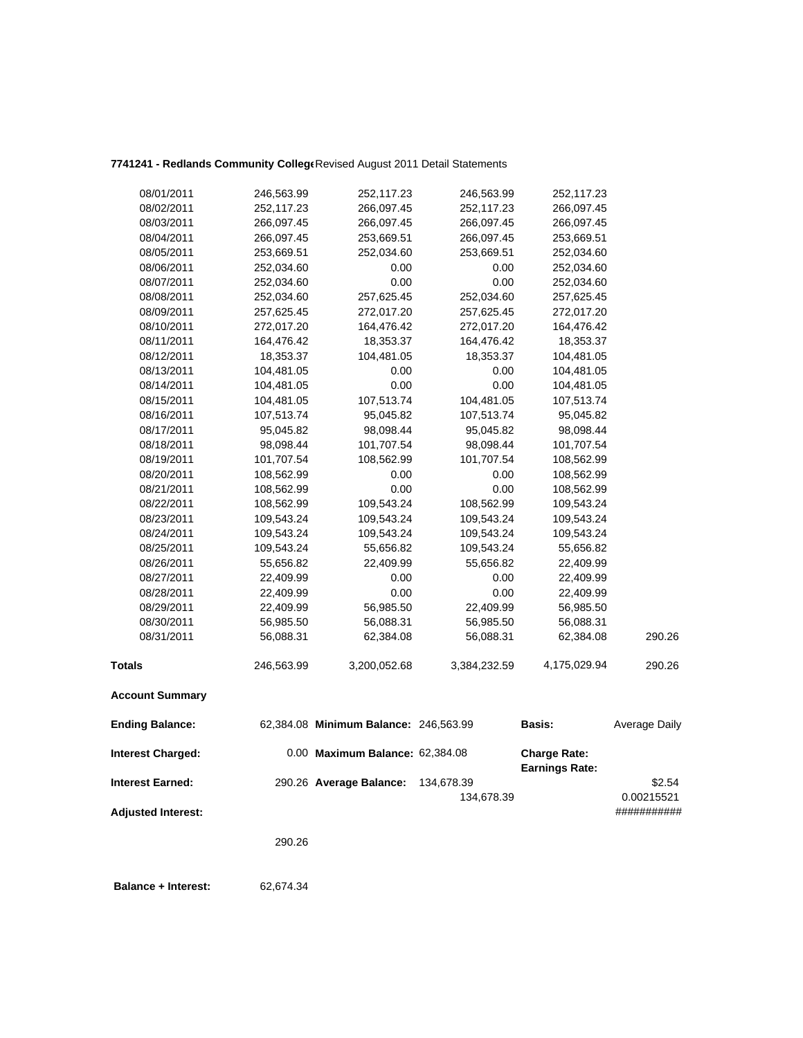## **7741241 - Redlands Community College**Revised August 2011 Detail Statements

| 08/01/2011               | 246,563.99 | 252,117.23                            | 246,563.99   | 252,117.23                                   |               |
|--------------------------|------------|---------------------------------------|--------------|----------------------------------------------|---------------|
| 08/02/2011               | 252,117.23 | 266,097.45                            | 252,117.23   | 266,097.45                                   |               |
| 08/03/2011               | 266,097.45 | 266,097.45                            | 266,097.45   | 266,097.45                                   |               |
| 08/04/2011               | 266,097.45 | 253,669.51                            | 266,097.45   | 253,669.51                                   |               |
| 08/05/2011               | 253,669.51 | 252,034.60                            | 253,669.51   | 252,034.60                                   |               |
| 08/06/2011               | 252,034.60 | 0.00                                  | 0.00         | 252,034.60                                   |               |
| 08/07/2011               | 252,034.60 | 0.00                                  | 0.00         | 252,034.60                                   |               |
| 08/08/2011               | 252,034.60 | 257,625.45                            | 252,034.60   | 257,625.45                                   |               |
| 08/09/2011               | 257,625.45 | 272,017.20                            | 257,625.45   | 272,017.20                                   |               |
| 08/10/2011               | 272,017.20 | 164,476.42                            | 272,017.20   | 164,476.42                                   |               |
| 08/11/2011               | 164,476.42 | 18,353.37                             | 164,476.42   | 18,353.37                                    |               |
| 08/12/2011               | 18,353.37  | 104,481.05                            | 18,353.37    | 104,481.05                                   |               |
| 08/13/2011               | 104,481.05 | 0.00                                  | 0.00         | 104,481.05                                   |               |
| 08/14/2011               | 104,481.05 | 0.00                                  | 0.00         | 104,481.05                                   |               |
| 08/15/2011               | 104,481.05 | 107,513.74                            | 104,481.05   | 107,513.74                                   |               |
| 08/16/2011               | 107,513.74 | 95,045.82                             | 107,513.74   | 95,045.82                                    |               |
| 08/17/2011               | 95,045.82  | 98,098.44                             | 95,045.82    | 98,098.44                                    |               |
| 08/18/2011               | 98,098.44  | 101,707.54                            | 98,098.44    | 101,707.54                                   |               |
| 08/19/2011               | 101,707.54 | 108,562.99                            | 101,707.54   | 108,562.99                                   |               |
| 08/20/2011               | 108,562.99 | 0.00                                  | 0.00         | 108,562.99                                   |               |
| 08/21/2011               | 108,562.99 | 0.00                                  | 0.00         | 108,562.99                                   |               |
| 08/22/2011               | 108,562.99 | 109,543.24                            | 108,562.99   | 109,543.24                                   |               |
| 08/23/2011               | 109,543.24 | 109,543.24                            | 109,543.24   | 109,543.24                                   |               |
| 08/24/2011               | 109,543.24 | 109,543.24                            | 109,543.24   | 109,543.24                                   |               |
| 08/25/2011               | 109,543.24 | 55,656.82                             | 109,543.24   | 55,656.82                                    |               |
| 08/26/2011               | 55,656.82  | 22,409.99                             | 55,656.82    | 22,409.99                                    |               |
| 08/27/2011               | 22,409.99  | 0.00                                  | 0.00         | 22,409.99                                    |               |
| 08/28/2011               | 22,409.99  | 0.00                                  | 0.00         | 22,409.99                                    |               |
| 08/29/2011               | 22,409.99  | 56,985.50                             | 22,409.99    | 56,985.50                                    |               |
| 08/30/2011               | 56,985.50  | 56,088.31                             | 56,985.50    | 56,088.31                                    |               |
| 08/31/2011               | 56,088.31  | 62,384.08                             | 56,088.31    | 62,384.08                                    | 290.26        |
| <b>Totals</b>            | 246,563.99 | 3,200,052.68                          | 3,384,232.59 | 4,175,029.94                                 | 290.26        |
| <b>Account Summary</b>   |            |                                       |              |                                              |               |
| <b>Ending Balance:</b>   |            | 62,384.08 Minimum Balance: 246,563.99 |              | <b>Basis:</b>                                | Average Daily |
| <b>Interest Charged:</b> |            | 0.00 Maximum Balance: 62,384.08       |              | <b>Charge Rate:</b><br><b>Earnings Rate:</b> |               |
| <b>Interest Earned:</b>  |            | 290.26 Average Balance:               | 134,678.39   |                                              | \$2.54        |
|                          |            |                                       | 134,678.39   |                                              | 0.00215521    |

**Adjusted Interest:** ###########

290.26

 **Balance + Interest:** 62,674.34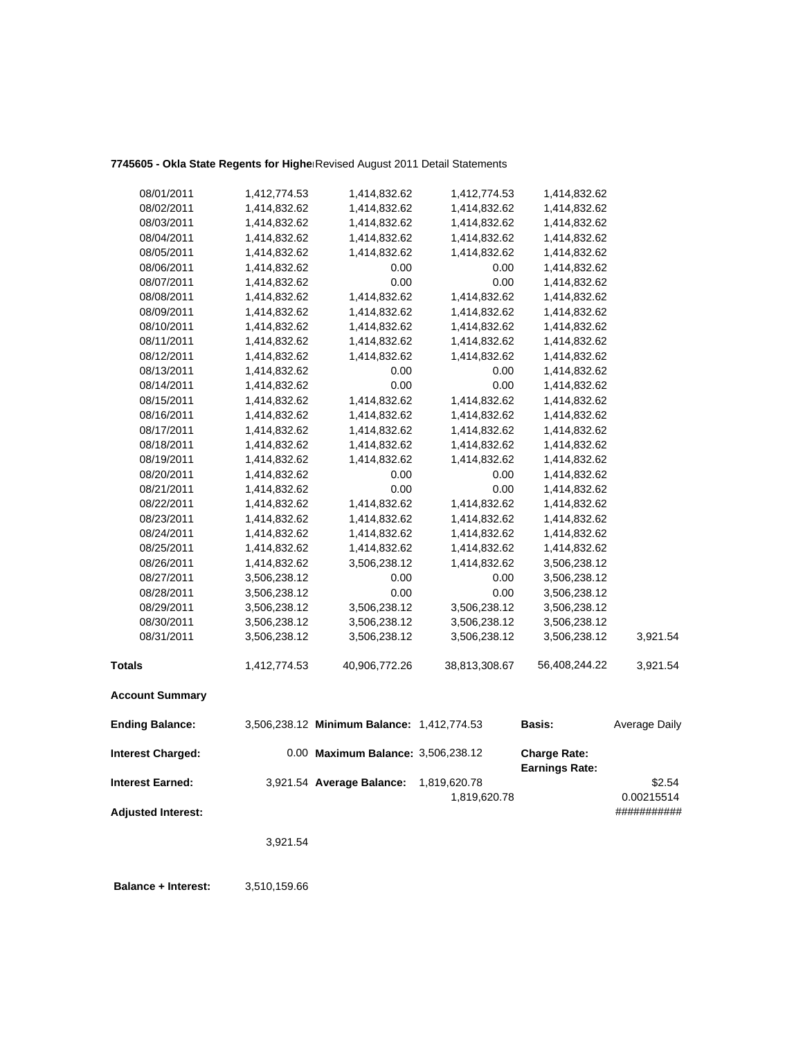# 7745605 - Okla State Regents for Highe<sup>Revised August 2011 Detail Statements</sup>

| 08/01/2011                | 1,412,774.53 | 1,414,832.62                               | 1,412,774.53  | 1,414,832.62                                 |                      |
|---------------------------|--------------|--------------------------------------------|---------------|----------------------------------------------|----------------------|
| 08/02/2011                | 1,414,832.62 | 1,414,832.62                               | 1,414,832.62  | 1,414,832.62                                 |                      |
| 08/03/2011                | 1,414,832.62 | 1,414,832.62                               | 1,414,832.62  | 1,414,832.62                                 |                      |
| 08/04/2011                | 1,414,832.62 | 1,414,832.62                               | 1,414,832.62  | 1,414,832.62                                 |                      |
| 08/05/2011                | 1,414,832.62 | 1,414,832.62                               | 1,414,832.62  | 1,414,832.62                                 |                      |
| 08/06/2011                | 1,414,832.62 | 0.00                                       | 0.00          | 1,414,832.62                                 |                      |
| 08/07/2011                | 1,414,832.62 | 0.00                                       | 0.00          | 1,414,832.62                                 |                      |
| 08/08/2011                | 1,414,832.62 | 1,414,832.62                               | 1,414,832.62  | 1,414,832.62                                 |                      |
| 08/09/2011                | 1,414,832.62 | 1,414,832.62                               | 1,414,832.62  | 1,414,832.62                                 |                      |
| 08/10/2011                | 1,414,832.62 | 1,414,832.62                               | 1,414,832.62  | 1,414,832.62                                 |                      |
| 08/11/2011                | 1,414,832.62 | 1,414,832.62                               | 1,414,832.62  | 1,414,832.62                                 |                      |
| 08/12/2011                | 1,414,832.62 | 1,414,832.62                               | 1,414,832.62  | 1,414,832.62                                 |                      |
| 08/13/2011                | 1,414,832.62 | 0.00                                       | 0.00          | 1,414,832.62                                 |                      |
| 08/14/2011                | 1,414,832.62 | 0.00                                       | 0.00          | 1,414,832.62                                 |                      |
| 08/15/2011                | 1,414,832.62 | 1,414,832.62                               | 1,414,832.62  | 1,414,832.62                                 |                      |
| 08/16/2011                | 1,414,832.62 | 1,414,832.62                               | 1,414,832.62  | 1,414,832.62                                 |                      |
| 08/17/2011                | 1,414,832.62 | 1,414,832.62                               | 1,414,832.62  | 1,414,832.62                                 |                      |
| 08/18/2011                | 1,414,832.62 | 1,414,832.62                               | 1,414,832.62  | 1,414,832.62                                 |                      |
| 08/19/2011                | 1,414,832.62 | 1,414,832.62                               | 1,414,832.62  | 1,414,832.62                                 |                      |
| 08/20/2011                | 1,414,832.62 | 0.00                                       | 0.00          | 1,414,832.62                                 |                      |
| 08/21/2011                | 1,414,832.62 | 0.00                                       | 0.00          | 1,414,832.62                                 |                      |
| 08/22/2011                | 1,414,832.62 | 1,414,832.62                               | 1,414,832.62  | 1,414,832.62                                 |                      |
| 08/23/2011                | 1,414,832.62 | 1,414,832.62                               | 1,414,832.62  | 1,414,832.62                                 |                      |
| 08/24/2011                | 1,414,832.62 | 1,414,832.62                               | 1,414,832.62  | 1,414,832.62                                 |                      |
| 08/25/2011                | 1,414,832.62 | 1,414,832.62                               | 1,414,832.62  | 1,414,832.62                                 |                      |
| 08/26/2011                | 1,414,832.62 | 3,506,238.12                               | 1,414,832.62  | 3,506,238.12                                 |                      |
| 08/27/2011                | 3,506,238.12 | 0.00                                       | 0.00          | 3,506,238.12                                 |                      |
| 08/28/2011                | 3,506,238.12 | 0.00                                       | 0.00          | 3,506,238.12                                 |                      |
| 08/29/2011                | 3,506,238.12 | 3,506,238.12                               | 3,506,238.12  | 3,506,238.12                                 |                      |
| 08/30/2011                | 3,506,238.12 | 3,506,238.12                               | 3,506,238.12  | 3,506,238.12                                 |                      |
| 08/31/2011                | 3,506,238.12 | 3,506,238.12                               | 3,506,238.12  | 3,506,238.12                                 | 3,921.54             |
| <b>Totals</b>             | 1,412,774.53 | 40,906,772.26                              | 38,813,308.67 | 56,408,244.22                                | 3,921.54             |
| <b>Account Summary</b>    |              |                                            |               |                                              |                      |
| <b>Ending Balance:</b>    |              | 3,506,238.12 Minimum Balance: 1,412,774.53 |               | Basis:                                       | <b>Average Daily</b> |
| <b>Interest Charged:</b>  |              | 0.00 Maximum Balance: 3,506,238.12         |               | <b>Charge Rate:</b><br><b>Earnings Rate:</b> |                      |
| <b>Interest Earned:</b>   |              | 3,921.54 Average Balance:                  | 1,819,620.78  |                                              | \$2.54               |
|                           |              |                                            | 1,819,620.78  |                                              | 0.00215514           |
| <b>Adjusted Interest:</b> |              |                                            |               |                                              | ###########          |
|                           | 3,921.54     |                                            |               |                                              |                      |
|                           |              |                                            |               |                                              |                      |

 **Balance + Interest:** 3,510,159.66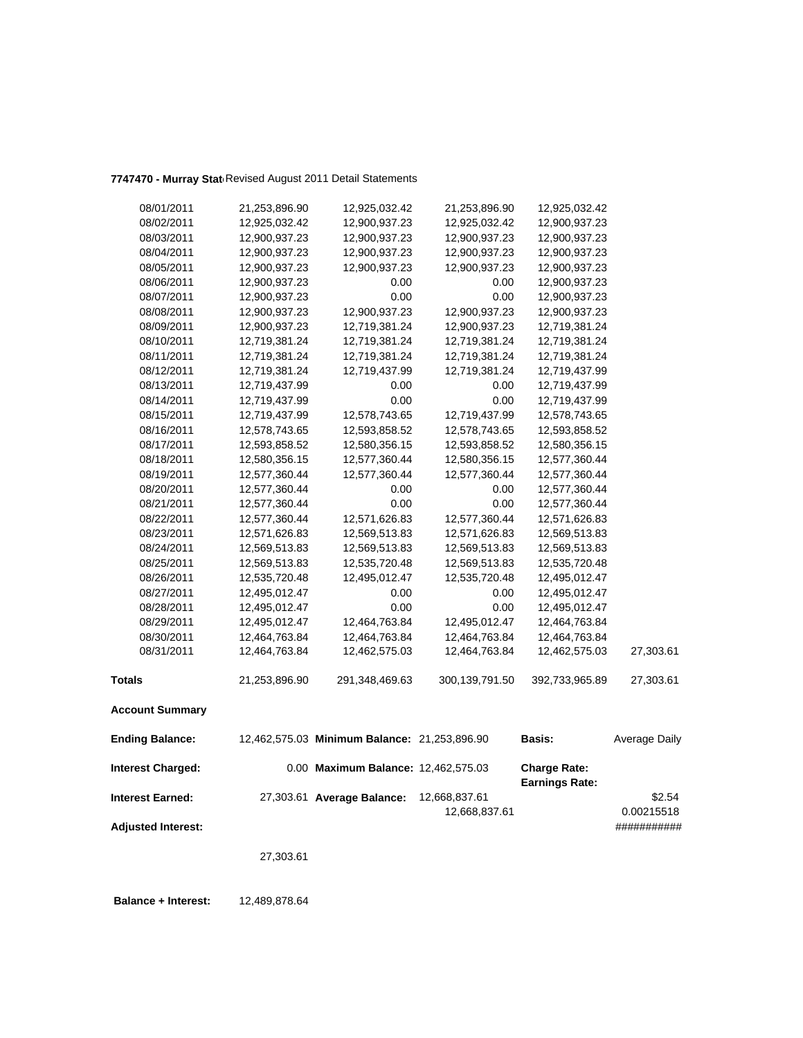| 08/01/2011                | 21,253,896.90 | 12,925,032.42                                | 21,253,896.90    | 12,925,032.42                                |               |
|---------------------------|---------------|----------------------------------------------|------------------|----------------------------------------------|---------------|
| 08/02/2011                | 12,925,032.42 | 12,900,937.23                                | 12,925,032.42    | 12,900,937.23                                |               |
| 08/03/2011                | 12,900,937.23 | 12,900,937.23                                | 12,900,937.23    | 12,900,937.23                                |               |
| 08/04/2011                | 12,900,937.23 | 12,900,937.23                                | 12,900,937.23    | 12,900,937.23                                |               |
| 08/05/2011                | 12,900,937.23 | 12,900,937.23                                | 12,900,937.23    | 12,900,937.23                                |               |
| 08/06/2011                | 12,900,937.23 | 0.00                                         | 0.00             | 12,900,937.23                                |               |
| 08/07/2011                | 12,900,937.23 | 0.00                                         | 0.00             | 12,900,937.23                                |               |
| 08/08/2011                | 12,900,937.23 | 12,900,937.23                                | 12,900,937.23    | 12,900,937.23                                |               |
| 08/09/2011                | 12,900,937.23 | 12,719,381.24                                | 12,900,937.23    | 12,719,381.24                                |               |
| 08/10/2011                | 12,719,381.24 | 12,719,381.24                                | 12,719,381.24    | 12,719,381.24                                |               |
| 08/11/2011                | 12,719,381.24 | 12,719,381.24                                | 12,719,381.24    | 12,719,381.24                                |               |
| 08/12/2011                | 12,719,381.24 | 12,719,437.99                                | 12,719,381.24    | 12,719,437.99                                |               |
| 08/13/2011                | 12,719,437.99 | 0.00                                         | 0.00             | 12,719,437.99                                |               |
| 08/14/2011                | 12,719,437.99 | 0.00                                         | 0.00             | 12,719,437.99                                |               |
| 08/15/2011                | 12,719,437.99 | 12,578,743.65                                | 12,719,437.99    | 12,578,743.65                                |               |
| 08/16/2011                | 12,578,743.65 | 12,593,858.52                                | 12,578,743.65    | 12,593,858.52                                |               |
| 08/17/2011                | 12,593,858.52 | 12,580,356.15                                | 12,593,858.52    | 12,580,356.15                                |               |
| 08/18/2011                | 12,580,356.15 | 12,577,360.44                                | 12,580,356.15    | 12,577,360.44                                |               |
| 08/19/2011                | 12,577,360.44 | 12,577,360.44                                | 12,577,360.44    | 12,577,360.44                                |               |
| 08/20/2011                | 12,577,360.44 | 0.00                                         | 0.00             | 12,577,360.44                                |               |
| 08/21/2011                | 12,577,360.44 | 0.00                                         | 0.00             | 12,577,360.44                                |               |
| 08/22/2011                | 12,577,360.44 | 12,571,626.83                                | 12,577,360.44    | 12,571,626.83                                |               |
| 08/23/2011                | 12,571,626.83 | 12,569,513.83                                | 12,571,626.83    | 12,569,513.83                                |               |
| 08/24/2011                | 12,569,513.83 | 12,569,513.83                                | 12,569,513.83    | 12,569,513.83                                |               |
| 08/25/2011                | 12,569,513.83 | 12,535,720.48                                | 12,569,513.83    | 12,535,720.48                                |               |
| 08/26/2011                | 12,535,720.48 | 12,495,012.47                                | 12,535,720.48    | 12,495,012.47                                |               |
| 08/27/2011                | 12,495,012.47 | 0.00                                         | 0.00             | 12,495,012.47                                |               |
| 08/28/2011                | 12,495,012.47 | 0.00                                         | 0.00             | 12,495,012.47                                |               |
| 08/29/2011                | 12,495,012.47 | 12,464,763.84                                | 12,495,012.47    | 12,464,763.84                                |               |
| 08/30/2011                | 12,464,763.84 | 12,464,763.84                                | 12,464,763.84    | 12,464,763.84                                |               |
| 08/31/2011                | 12,464,763.84 | 12,462,575.03                                | 12,464,763.84    | 12,462,575.03                                | 27,303.61     |
| <b>Totals</b>             | 21,253,896.90 | 291,348,469.63                               | 300, 139, 791.50 | 392,733,965.89                               | 27,303.61     |
| <b>Account Summary</b>    |               |                                              |                  |                                              |               |
| <b>Ending Balance:</b>    |               | 12,462,575.03 Minimum Balance: 21,253,896.90 |                  | Basis:                                       | Average Daily |
| <b>Interest Charged:</b>  |               | 0.00 Maximum Balance: 12,462,575.03          |                  | <b>Charge Rate:</b><br><b>Earnings Rate:</b> |               |
| <b>Interest Earned:</b>   |               | 27,303.61 Average Balance:                   | 12,668,837.61    |                                              | \$2.54        |
|                           |               |                                              | 12,668,837.61    |                                              | 0.00215518    |
| <b>Adjusted Interest:</b> |               |                                              |                  |                                              | ###########   |
|                           |               |                                              |                  |                                              |               |
|                           | 27,303.61     |                                              |                  |                                              |               |
|                           |               |                                              |                  |                                              |               |

7747470 - Murray Stat<sub>t</sub> Revised August 2011 Detail Statements

 **Balance + Interest:** 12,489,878.64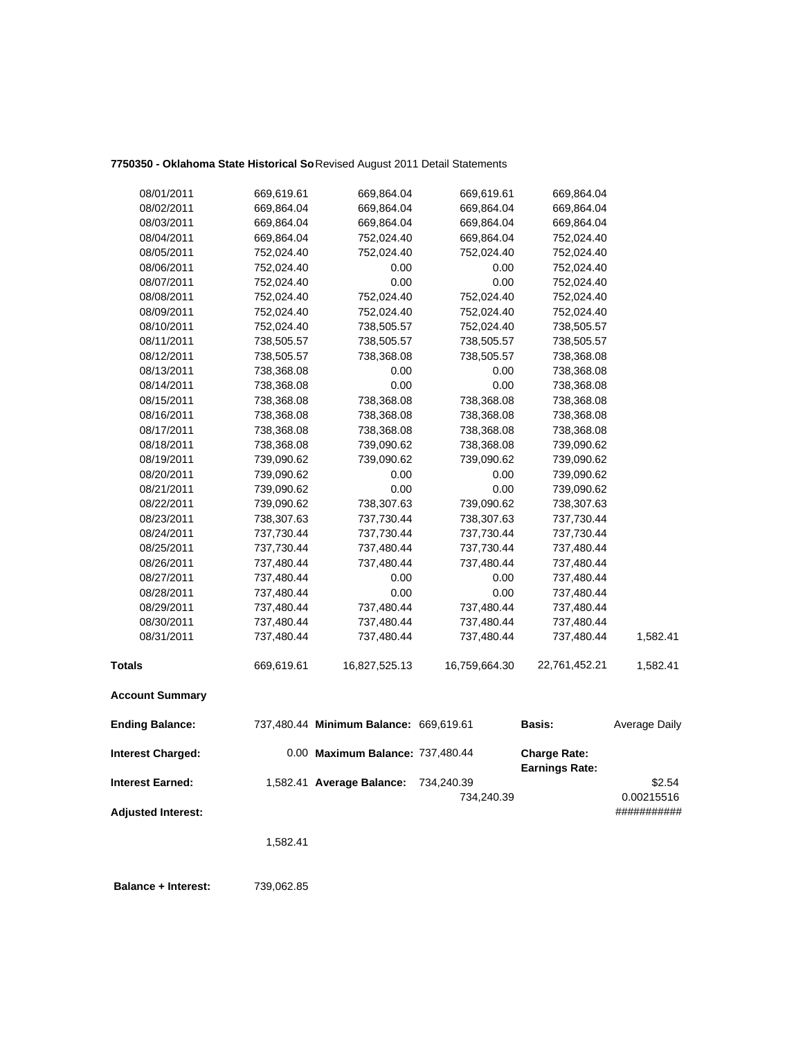## **7750350 - Oklahoma State Historical So**Revised August 2011 Detail Statements

| <b>Adjusted Interest:</b> |            |                                        | 734,240.39    |                                              | 0.00215516<br>########### |
|---------------------------|------------|----------------------------------------|---------------|----------------------------------------------|---------------------------|
| <b>Interest Earned:</b>   |            | 1,582.41 Average Balance:              | 734,240.39    |                                              | \$2.54                    |
| <b>Interest Charged:</b>  |            | 0.00 Maximum Balance: 737,480.44       |               | <b>Charge Rate:</b><br><b>Earnings Rate:</b> |                           |
| <b>Ending Balance:</b>    |            | 737,480.44 Minimum Balance: 669,619.61 |               | <b>Basis:</b>                                | Average Daily             |
| <b>Account Summary</b>    |            |                                        |               |                                              |                           |
| <b>Totals</b>             | 669,619.61 | 16,827,525.13                          | 16,759,664.30 | 22,761,452.21                                | 1,582.41                  |
| 08/31/2011                | 737,480.44 | 737,480.44                             | 737,480.44    | 737,480.44                                   | 1,582.41                  |
| 08/30/2011                | 737,480.44 | 737,480.44                             | 737,480.44    | 737,480.44                                   |                           |
| 08/29/2011                | 737,480.44 | 737,480.44                             | 737,480.44    | 737,480.44                                   |                           |
| 08/28/2011                | 737,480.44 | 0.00                                   | 0.00          | 737,480.44                                   |                           |
| 08/27/2011                | 737,480.44 | 0.00                                   | 0.00          | 737,480.44                                   |                           |
| 08/26/2011                | 737,480.44 | 737,480.44                             | 737,480.44    | 737,480.44                                   |                           |
| 08/25/2011                | 737,730.44 | 737,480.44                             | 737,730.44    | 737,480.44                                   |                           |
| 08/24/2011                | 737,730.44 | 737,730.44                             | 737,730.44    | 737,730.44                                   |                           |
| 08/23/2011                | 738,307.63 | 737,730.44                             | 738,307.63    | 737,730.44                                   |                           |
| 08/22/2011                | 739,090.62 | 738,307.63                             | 739,090.62    | 738,307.63                                   |                           |
| 08/21/2011                | 739,090.62 | 0.00                                   | 0.00          | 739,090.62                                   |                           |
| 08/20/2011                | 739,090.62 | 0.00                                   | 0.00          | 739,090.62                                   |                           |
| 08/19/2011                | 739,090.62 | 739,090.62                             | 739,090.62    | 739,090.62                                   |                           |
| 08/18/2011                | 738,368.08 | 739,090.62                             | 738,368.08    | 739,090.62                                   |                           |
| 08/17/2011                | 738,368.08 | 738,368.08                             | 738,368.08    | 738,368.08                                   |                           |
| 08/16/2011                | 738,368.08 | 738,368.08                             | 738,368.08    | 738,368.08                                   |                           |
| 08/15/2011                | 738,368.08 | 738,368.08                             | 738,368.08    | 738,368.08                                   |                           |
| 08/14/2011                | 738,368.08 | 0.00                                   | 0.00          | 738,368.08                                   |                           |
| 08/13/2011                | 738,368.08 | 0.00                                   | 0.00          | 738,368.08                                   |                           |
| 08/12/2011                | 738,505.57 | 738,368.08                             | 738,505.57    | 738,368.08                                   |                           |
| 08/11/2011                | 738,505.57 | 738,505.57                             | 738,505.57    | 738,505.57                                   |                           |
| 08/10/2011                | 752,024.40 | 738,505.57                             | 752,024.40    | 738,505.57                                   |                           |
| 08/09/2011                | 752,024.40 | 752,024.40                             | 752,024.40    | 752,024.40                                   |                           |
| 08/08/2011                | 752,024.40 | 752,024.40                             | 752,024.40    | 752,024.40                                   |                           |
| 08/07/2011                | 752,024.40 | 0.00                                   | 0.00          | 752,024.40                                   |                           |
| 08/06/2011                | 752,024.40 | 0.00                                   | 0.00          | 752,024.40                                   |                           |
| 08/05/2011                | 752,024.40 | 752,024.40                             | 752,024.40    | 752,024.40                                   |                           |
| 08/04/2011                | 669,864.04 | 752,024.40                             | 669,864.04    | 752,024.40                                   |                           |
| 08/03/2011                | 669,864.04 | 669,864.04                             | 669,864.04    | 669,864.04                                   |                           |
| 08/02/2011                | 669,864.04 | 669,864.04                             | 669,864.04    | 669,864.04                                   |                           |
| 08/01/2011                | 669,619.61 | 669,864.04                             | 669,619.61    | 669,864.04                                   |                           |

1,582.41

 **Balance + Interest:** 739,062.85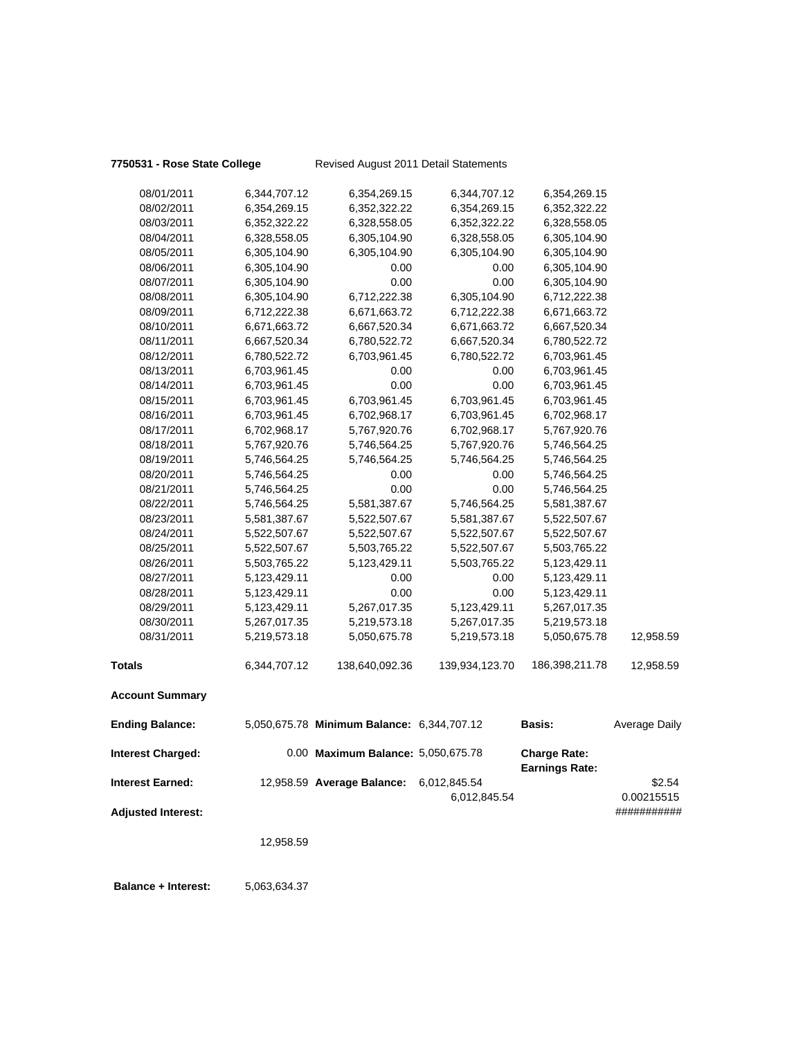## **7750531 - Rose State College** Revised August 2011 Detail Statements

| 08/01/2011                | 6,344,707.12 | 6,354,269.15                               | 6,344,707.12                 | 6,354,269.15                                 |                      |
|---------------------------|--------------|--------------------------------------------|------------------------------|----------------------------------------------|----------------------|
| 08/02/2011                | 6,354,269.15 | 6,352,322.22                               | 6,354,269.15                 | 6,352,322.22                                 |                      |
| 08/03/2011                | 6,352,322.22 | 6,328,558.05                               | 6,352,322.22                 | 6,328,558.05                                 |                      |
| 08/04/2011                | 6,328,558.05 | 6,305,104.90                               | 6,328,558.05                 | 6,305,104.90                                 |                      |
| 08/05/2011                | 6,305,104.90 | 6,305,104.90                               | 6,305,104.90                 | 6,305,104.90                                 |                      |
| 08/06/2011                | 6,305,104.90 | 0.00                                       | 0.00                         | 6,305,104.90                                 |                      |
| 08/07/2011                | 6,305,104.90 | 0.00                                       | 0.00                         | 6,305,104.90                                 |                      |
| 08/08/2011                | 6,305,104.90 | 6,712,222.38                               | 6,305,104.90                 | 6,712,222.38                                 |                      |
| 08/09/2011                | 6,712,222.38 | 6,671,663.72                               | 6,712,222.38                 | 6,671,663.72                                 |                      |
| 08/10/2011                | 6,671,663.72 | 6,667,520.34                               | 6,671,663.72                 | 6,667,520.34                                 |                      |
| 08/11/2011                | 6,667,520.34 | 6,780,522.72                               | 6,667,520.34                 | 6,780,522.72                                 |                      |
| 08/12/2011                | 6,780,522.72 | 6,703,961.45                               | 6,780,522.72                 | 6,703,961.45                                 |                      |
| 08/13/2011                | 6,703,961.45 | 0.00                                       | 0.00                         | 6,703,961.45                                 |                      |
| 08/14/2011                | 6,703,961.45 | 0.00                                       | 0.00                         | 6,703,961.45                                 |                      |
| 08/15/2011                | 6,703,961.45 | 6,703,961.45                               | 6,703,961.45                 | 6,703,961.45                                 |                      |
| 08/16/2011                | 6,703,961.45 | 6,702,968.17                               | 6,703,961.45                 | 6,702,968.17                                 |                      |
| 08/17/2011                | 6,702,968.17 | 5,767,920.76                               | 6,702,968.17                 | 5,767,920.76                                 |                      |
| 08/18/2011                | 5,767,920.76 | 5,746,564.25                               | 5,767,920.76                 | 5,746,564.25                                 |                      |
| 08/19/2011                | 5,746,564.25 | 5,746,564.25                               | 5,746,564.25                 | 5,746,564.25                                 |                      |
| 08/20/2011                | 5,746,564.25 | 0.00                                       | 0.00                         | 5,746,564.25                                 |                      |
| 08/21/2011                | 5,746,564.25 | 0.00                                       | 0.00                         | 5,746,564.25                                 |                      |
| 08/22/2011                | 5,746,564.25 | 5,581,387.67                               | 5,746,564.25                 | 5,581,387.67                                 |                      |
| 08/23/2011                | 5,581,387.67 | 5,522,507.67                               | 5,581,387.67                 | 5,522,507.67                                 |                      |
| 08/24/2011                | 5,522,507.67 | 5,522,507.67                               | 5,522,507.67                 | 5,522,507.67                                 |                      |
| 08/25/2011                | 5,522,507.67 | 5,503,765.22                               | 5,522,507.67                 | 5,503,765.22                                 |                      |
| 08/26/2011                | 5,503,765.22 | 5,123,429.11                               | 5,503,765.22                 | 5,123,429.11                                 |                      |
| 08/27/2011                | 5,123,429.11 | 0.00                                       | 0.00                         | 5,123,429.11                                 |                      |
| 08/28/2011                | 5,123,429.11 | 0.00                                       | 0.00                         | 5,123,429.11                                 |                      |
| 08/29/2011                | 5,123,429.11 | 5,267,017.35                               | 5,123,429.11                 | 5,267,017.35                                 |                      |
| 08/30/2011                | 5,267,017.35 | 5,219,573.18                               | 5,267,017.35                 | 5,219,573.18                                 |                      |
| 08/31/2011                | 5,219,573.18 | 5,050,675.78                               | 5,219,573.18                 | 5,050,675.78                                 | 12,958.59            |
| <b>Totals</b>             | 6,344,707.12 | 138,640,092.36                             | 139,934,123.70               | 186,398,211.78                               | 12,958.59            |
| <b>Account Summary</b>    |              |                                            |                              |                                              |                      |
| <b>Ending Balance:</b>    |              | 5,050,675.78 Minimum Balance: 6,344,707.12 |                              | <b>Basis:</b>                                | Average Daily        |
| <b>Interest Charged:</b>  |              | 0.00 Maximum Balance: 5,050,675.78         |                              | <b>Charge Rate:</b><br><b>Earnings Rate:</b> |                      |
| <b>Interest Earned:</b>   |              | 12,958.59 Average Balance:                 | 6,012,845.54<br>6,012,845.54 |                                              | \$2.54<br>0.00215515 |
| <b>Adjusted Interest:</b> |              |                                            |                              |                                              | ###########          |

12,958.59

 **Balance + Interest:** 5,063,634.37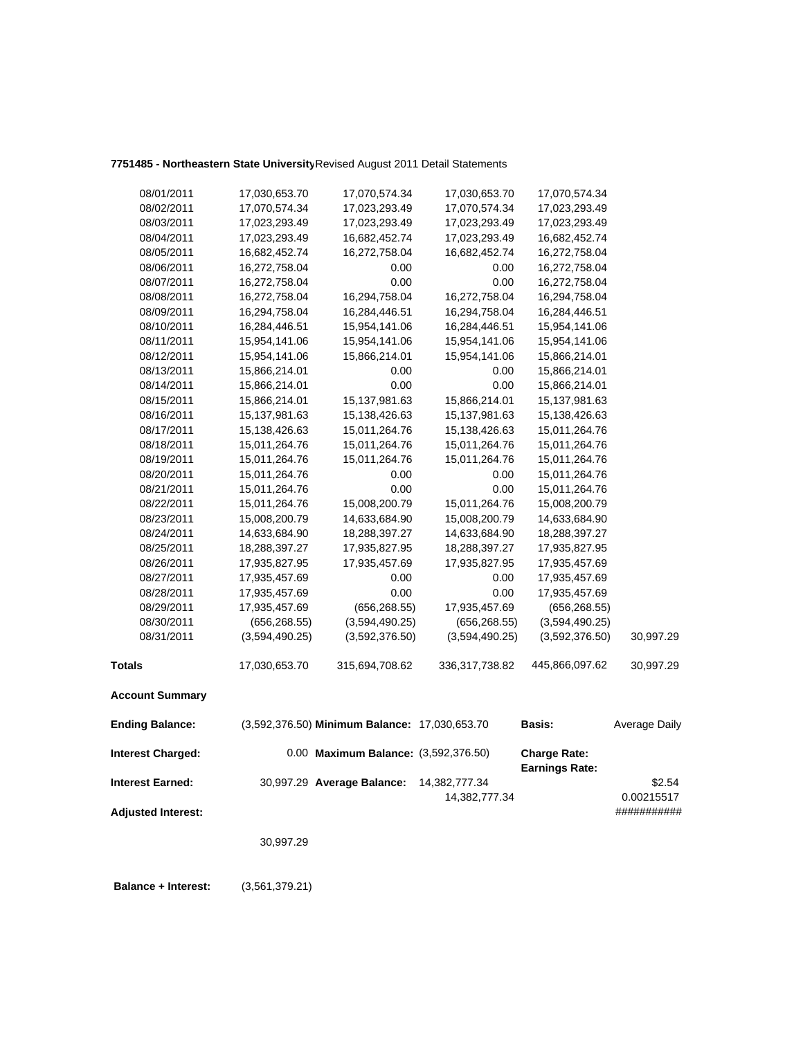## **7751485 - Northeastern State University**Revised August 2011 Detail Statements

| 08/01/2011                | 17,030,653.70  | 17,070,574.34                                 | 17,030,653.70  | 17,070,574.34         |               |
|---------------------------|----------------|-----------------------------------------------|----------------|-----------------------|---------------|
| 08/02/2011                | 17,070,574.34  | 17,023,293.49                                 | 17,070,574.34  | 17,023,293.49         |               |
| 08/03/2011                | 17,023,293.49  | 17,023,293.49                                 | 17,023,293.49  | 17,023,293.49         |               |
| 08/04/2011                | 17,023,293.49  | 16,682,452.74                                 | 17,023,293.49  | 16,682,452.74         |               |
| 08/05/2011                | 16,682,452.74  | 16,272,758.04                                 | 16,682,452.74  | 16,272,758.04         |               |
| 08/06/2011                | 16,272,758.04  | 0.00                                          | 0.00           | 16,272,758.04         |               |
| 08/07/2011                | 16,272,758.04  | 0.00                                          | 0.00           | 16,272,758.04         |               |
| 08/08/2011                | 16,272,758.04  | 16,294,758.04                                 | 16,272,758.04  | 16,294,758.04         |               |
| 08/09/2011                | 16,294,758.04  | 16,284,446.51                                 | 16,294,758.04  | 16,284,446.51         |               |
| 08/10/2011                | 16,284,446.51  | 15,954,141.06                                 | 16,284,446.51  | 15,954,141.06         |               |
| 08/11/2011                | 15,954,141.06  | 15,954,141.06                                 | 15,954,141.06  | 15,954,141.06         |               |
| 08/12/2011                | 15,954,141.06  | 15,866,214.01                                 | 15,954,141.06  | 15,866,214.01         |               |
| 08/13/2011                | 15,866,214.01  | 0.00                                          | 0.00           | 15,866,214.01         |               |
| 08/14/2011                | 15,866,214.01  | 0.00                                          | 0.00           | 15,866,214.01         |               |
| 08/15/2011                | 15,866,214.01  | 15,137,981.63                                 | 15,866,214.01  | 15,137,981.63         |               |
| 08/16/2011                | 15,137,981.63  | 15,138,426.63                                 | 15,137,981.63  | 15,138,426.63         |               |
| 08/17/2011                | 15,138,426.63  | 15,011,264.76                                 | 15,138,426.63  | 15,011,264.76         |               |
| 08/18/2011                | 15,011,264.76  | 15,011,264.76                                 | 15,011,264.76  | 15,011,264.76         |               |
| 08/19/2011                | 15,011,264.76  | 15,011,264.76                                 | 15,011,264.76  | 15,011,264.76         |               |
| 08/20/2011                | 15,011,264.76  | 0.00                                          | 0.00           | 15,011,264.76         |               |
| 08/21/2011                | 15,011,264.76  | 0.00                                          | 0.00           | 15,011,264.76         |               |
| 08/22/2011                | 15,011,264.76  | 15,008,200.79                                 | 15,011,264.76  | 15,008,200.79         |               |
| 08/23/2011                | 15,008,200.79  | 14,633,684.90                                 | 15,008,200.79  | 14,633,684.90         |               |
| 08/24/2011                | 14,633,684.90  | 18,288,397.27                                 | 14,633,684.90  | 18,288,397.27         |               |
| 08/25/2011                | 18,288,397.27  | 17,935,827.95                                 | 18,288,397.27  | 17,935,827.95         |               |
| 08/26/2011                | 17,935,827.95  | 17,935,457.69                                 | 17,935,827.95  | 17,935,457.69         |               |
| 08/27/2011                | 17,935,457.69  | 0.00                                          | 0.00           | 17,935,457.69         |               |
| 08/28/2011                | 17,935,457.69  | 0.00                                          | 0.00           | 17,935,457.69         |               |
| 08/29/2011                | 17,935,457.69  | (656, 268.55)                                 | 17,935,457.69  | (656, 268.55)         |               |
| 08/30/2011                | (656, 268.55)  | (3,594,490.25)                                | (656, 268.55)  | (3,594,490.25)        |               |
| 08/31/2011                | (3,594,490.25) | (3,592,376.50)                                | (3,594,490.25) | (3,592,376.50)        | 30,997.29     |
| <b>Totals</b>             | 17,030,653.70  | 315,694,708.62                                | 336,317,738.82 | 445,866,097.62        | 30,997.29     |
| <b>Account Summary</b>    |                |                                               |                |                       |               |
| <b>Ending Balance:</b>    |                | (3,592,376.50) Minimum Balance: 17,030,653.70 |                | <b>Basis:</b>         | Average Daily |
| <b>Interest Charged:</b>  |                | 0.00 Maximum Balance: (3,592,376.50)          |                | <b>Charge Rate:</b>   |               |
| <b>Interest Earned:</b>   |                | 30,997.29 Average Balance:                    | 14,382,777.34  | <b>Earnings Rate:</b> | \$2.54        |
|                           |                |                                               | 14,382,777.34  |                       | 0.00215517    |
| <b>Adjusted Interest:</b> |                |                                               |                |                       | ###########   |
|                           |                |                                               |                |                       |               |
|                           | 30,997.29      |                                               |                |                       |               |

 **Balance + Interest:** (3,561,379.21)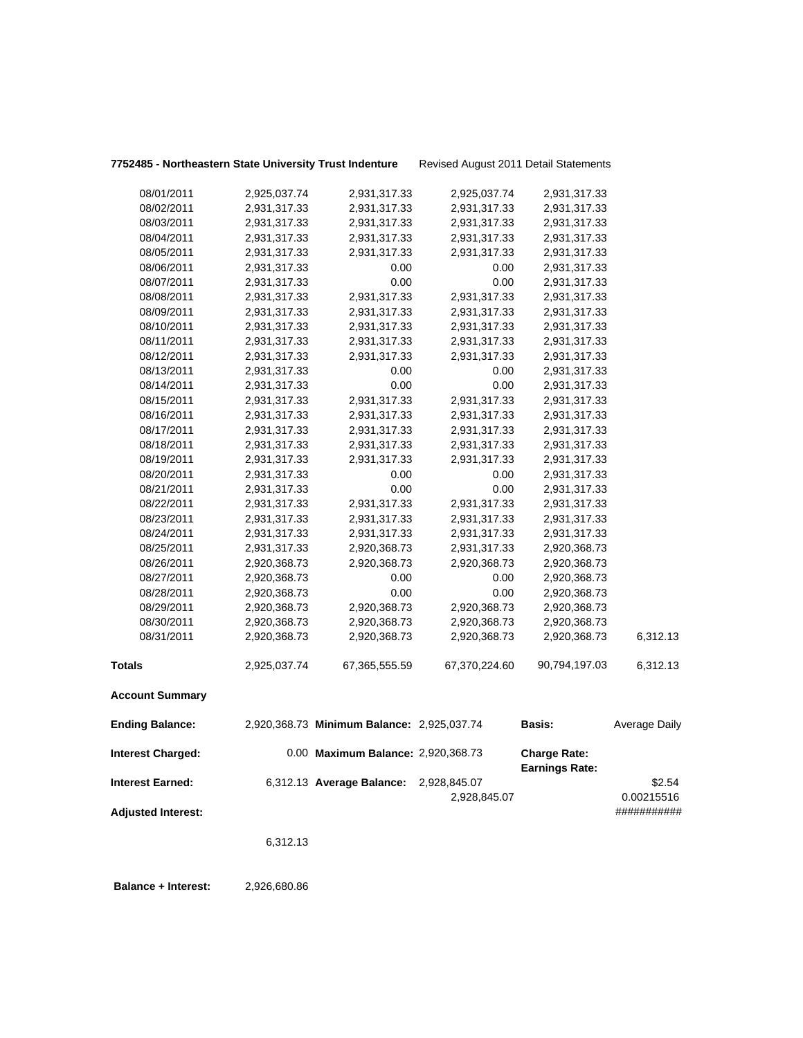| 7752485 - Northeastern State University Trust Indenture |              |                                            | Revised August 2011 Detail Statements |                                              |                      |
|---------------------------------------------------------|--------------|--------------------------------------------|---------------------------------------|----------------------------------------------|----------------------|
| 08/01/2011                                              | 2,925,037.74 | 2,931,317.33                               | 2,925,037.74                          | 2,931,317.33                                 |                      |
| 08/02/2011                                              | 2,931,317.33 | 2,931,317.33                               | 2,931,317.33                          | 2,931,317.33                                 |                      |
| 08/03/2011                                              | 2,931,317.33 | 2,931,317.33                               | 2,931,317.33                          | 2,931,317.33                                 |                      |
| 08/04/2011                                              | 2,931,317.33 | 2,931,317.33                               | 2,931,317.33                          | 2,931,317.33                                 |                      |
| 08/05/2011                                              | 2,931,317.33 | 2,931,317.33                               | 2,931,317.33                          | 2,931,317.33                                 |                      |
| 08/06/2011                                              | 2,931,317.33 | 0.00                                       | 0.00                                  | 2,931,317.33                                 |                      |
| 08/07/2011                                              | 2,931,317.33 | 0.00                                       | 0.00                                  | 2,931,317.33                                 |                      |
| 08/08/2011                                              | 2,931,317.33 | 2,931,317.33                               | 2,931,317.33                          | 2,931,317.33                                 |                      |
| 08/09/2011                                              | 2,931,317.33 | 2,931,317.33                               | 2,931,317.33                          | 2,931,317.33                                 |                      |
| 08/10/2011                                              | 2,931,317.33 | 2,931,317.33                               | 2,931,317.33                          | 2,931,317.33                                 |                      |
| 08/11/2011                                              | 2,931,317.33 | 2,931,317.33                               | 2,931,317.33                          | 2,931,317.33                                 |                      |
| 08/12/2011                                              | 2,931,317.33 | 2,931,317.33                               | 2,931,317.33                          | 2,931,317.33                                 |                      |
| 08/13/2011                                              | 2,931,317.33 | 0.00                                       | 0.00                                  | 2,931,317.33                                 |                      |
| 08/14/2011                                              | 2,931,317.33 | 0.00                                       | 0.00                                  | 2,931,317.33                                 |                      |
| 08/15/2011                                              | 2,931,317.33 | 2,931,317.33                               | 2,931,317.33                          | 2,931,317.33                                 |                      |
| 08/16/2011                                              | 2,931,317.33 | 2,931,317.33                               | 2,931,317.33                          | 2,931,317.33                                 |                      |
| 08/17/2011                                              | 2,931,317.33 | 2,931,317.33                               | 2,931,317.33                          | 2,931,317.33                                 |                      |
| 08/18/2011                                              | 2,931,317.33 | 2,931,317.33                               | 2,931,317.33                          | 2,931,317.33                                 |                      |
| 08/19/2011                                              | 2,931,317.33 | 2,931,317.33                               | 2,931,317.33                          | 2,931,317.33                                 |                      |
| 08/20/2011                                              | 2,931,317.33 | 0.00                                       | 0.00                                  | 2,931,317.33                                 |                      |
| 08/21/2011                                              | 2,931,317.33 | 0.00                                       | 0.00                                  | 2,931,317.33                                 |                      |
| 08/22/2011                                              | 2,931,317.33 | 2,931,317.33                               | 2,931,317.33                          | 2,931,317.33                                 |                      |
| 08/23/2011                                              | 2,931,317.33 | 2,931,317.33                               | 2,931,317.33                          | 2,931,317.33                                 |                      |
| 08/24/2011                                              | 2,931,317.33 | 2,931,317.33                               | 2,931,317.33                          | 2,931,317.33                                 |                      |
| 08/25/2011                                              | 2,931,317.33 | 2,920,368.73                               | 2,931,317.33                          | 2,920,368.73                                 |                      |
| 08/26/2011                                              | 2,920,368.73 | 2,920,368.73                               | 2,920,368.73                          | 2,920,368.73                                 |                      |
| 08/27/2011                                              | 2,920,368.73 | 0.00                                       | 0.00                                  | 2,920,368.73                                 |                      |
| 08/28/2011                                              | 2,920,368.73 | 0.00                                       | 0.00                                  | 2,920,368.73                                 |                      |
| 08/29/2011                                              | 2,920,368.73 | 2,920,368.73                               | 2,920,368.73                          | 2,920,368.73                                 |                      |
| 08/30/2011                                              | 2,920,368.73 | 2,920,368.73                               | 2,920,368.73                          | 2,920,368.73                                 |                      |
| 08/31/2011                                              | 2,920,368.73 | 2,920,368.73                               | 2,920,368.73                          | 2,920,368.73                                 | 6,312.13             |
| <b>Totals</b>                                           | 2,925,037.74 | 67,365,555.59                              | 67,370,224.60                         | 90,794,197.03                                | 6,312.13             |
| <b>Account Summary</b>                                  |              |                                            |                                       |                                              |                      |
| <b>Ending Balance:</b>                                  |              | 2,920,368.73 Minimum Balance: 2,925,037.74 |                                       | <b>Basis:</b>                                | <b>Average Daily</b> |
| <b>Interest Charged:</b>                                |              | 0.00 Maximum Balance: 2,920,368.73         |                                       | <b>Charge Rate:</b><br><b>Earnings Rate:</b> |                      |
| <b>Interest Earned:</b>                                 |              | 6,312.13 Average Balance:                  | 2,928,845.07                          |                                              | \$2.54               |
|                                                         |              |                                            | 2,928,845.07                          |                                              | 0.00215516           |
| <b>Adjusted Interest:</b>                               |              |                                            |                                       |                                              | ###########          |
|                                                         | 6,312.13     |                                            |                                       |                                              |                      |

 **Balance + Interest:** 2,926,680.86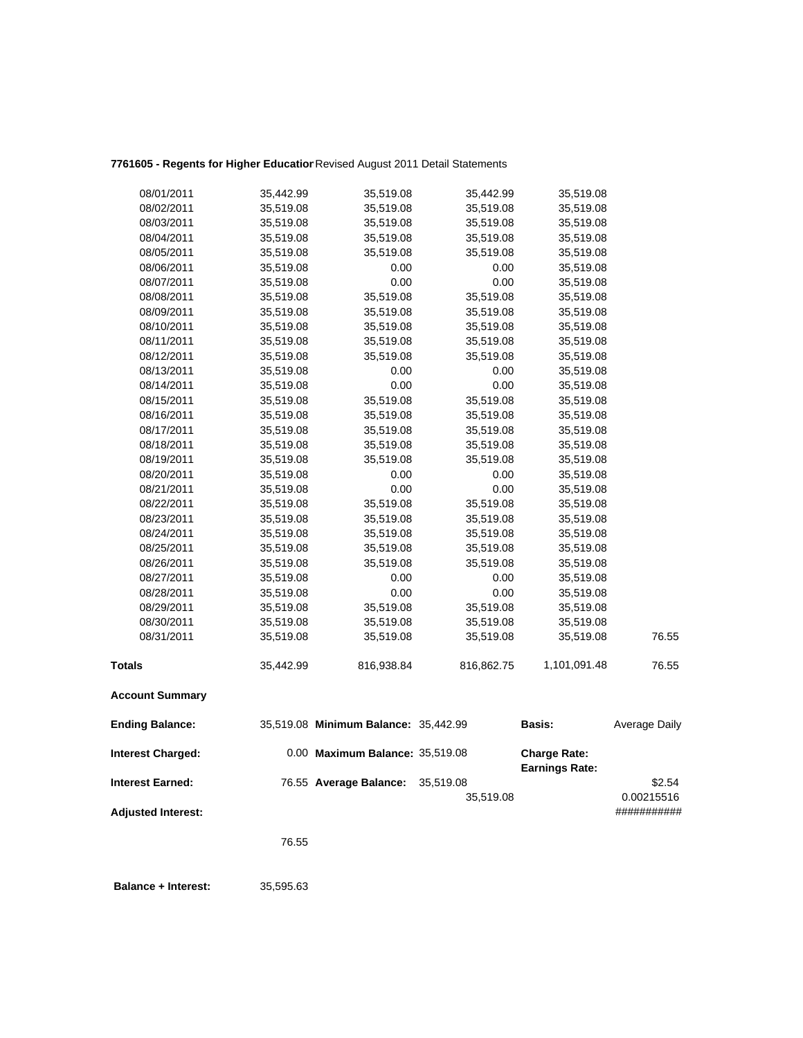# **7761605 - Regents for Higher Education**Revised August 2011 Detail Statements

| 08/01/2011                | 35,442.99 | 35,519.08                            | 35,442.99              | 35,519.08                                    |                      |
|---------------------------|-----------|--------------------------------------|------------------------|----------------------------------------------|----------------------|
| 08/02/2011                | 35,519.08 | 35,519.08                            | 35,519.08              | 35,519.08                                    |                      |
| 08/03/2011                | 35,519.08 | 35,519.08                            | 35,519.08              | 35,519.08                                    |                      |
| 08/04/2011                | 35,519.08 | 35,519.08                            | 35,519.08              | 35,519.08                                    |                      |
| 08/05/2011                | 35,519.08 | 35,519.08                            | 35,519.08              | 35,519.08                                    |                      |
| 08/06/2011                | 35,519.08 | 0.00                                 | 0.00                   | 35,519.08                                    |                      |
| 08/07/2011                | 35,519.08 | 0.00                                 | 0.00                   | 35,519.08                                    |                      |
| 08/08/2011                | 35,519.08 | 35,519.08                            | 35,519.08              | 35,519.08                                    |                      |
| 08/09/2011                | 35,519.08 | 35,519.08                            | 35,519.08              | 35,519.08                                    |                      |
| 08/10/2011                | 35,519.08 | 35,519.08                            | 35,519.08              | 35,519.08                                    |                      |
| 08/11/2011                | 35,519.08 | 35,519.08                            | 35,519.08              | 35,519.08                                    |                      |
| 08/12/2011                | 35,519.08 | 35,519.08                            | 35,519.08              | 35,519.08                                    |                      |
| 08/13/2011                | 35,519.08 | 0.00                                 | 0.00                   | 35,519.08                                    |                      |
| 08/14/2011                | 35,519.08 | 0.00                                 | 0.00                   | 35,519.08                                    |                      |
| 08/15/2011                | 35,519.08 | 35,519.08                            | 35,519.08              | 35,519.08                                    |                      |
| 08/16/2011                | 35,519.08 | 35,519.08                            | 35,519.08              | 35,519.08                                    |                      |
| 08/17/2011                | 35,519.08 | 35,519.08                            | 35,519.08              | 35,519.08                                    |                      |
| 08/18/2011                | 35,519.08 | 35,519.08                            | 35,519.08              | 35,519.08                                    |                      |
| 08/19/2011                | 35,519.08 | 35,519.08                            | 35,519.08              | 35,519.08                                    |                      |
| 08/20/2011                | 35,519.08 | 0.00                                 | 0.00                   | 35,519.08                                    |                      |
| 08/21/2011                | 35,519.08 | 0.00                                 | 0.00                   | 35,519.08                                    |                      |
| 08/22/2011                | 35,519.08 | 35,519.08                            | 35,519.08              | 35,519.08                                    |                      |
| 08/23/2011                | 35,519.08 | 35,519.08                            | 35,519.08              | 35,519.08                                    |                      |
| 08/24/2011                | 35,519.08 | 35,519.08                            | 35,519.08              | 35,519.08                                    |                      |
| 08/25/2011                | 35,519.08 | 35,519.08                            | 35,519.08              | 35,519.08                                    |                      |
| 08/26/2011                | 35,519.08 | 35,519.08                            | 35,519.08              | 35,519.08                                    |                      |
| 08/27/2011                | 35,519.08 | 0.00                                 | 0.00                   | 35,519.08                                    |                      |
| 08/28/2011                | 35,519.08 | 0.00                                 | 0.00                   | 35,519.08                                    |                      |
| 08/29/2011                | 35,519.08 | 35,519.08                            | 35,519.08              | 35,519.08                                    |                      |
| 08/30/2011                | 35,519.08 | 35,519.08                            | 35,519.08              | 35,519.08                                    |                      |
| 08/31/2011                | 35,519.08 | 35,519.08                            | 35,519.08              | 35,519.08                                    | 76.55                |
| <b>Totals</b>             | 35,442.99 | 816,938.84                           | 816,862.75             | 1,101,091.48                                 | 76.55                |
| <b>Account Summary</b>    |           |                                      |                        |                                              |                      |
| <b>Ending Balance:</b>    |           | 35,519.08 Minimum Balance: 35,442.99 |                        | <b>Basis:</b>                                | Average Daily        |
| <b>Interest Charged:</b>  |           | 0.00 Maximum Balance: 35,519.08      |                        | <b>Charge Rate:</b><br><b>Earnings Rate:</b> |                      |
| <b>Interest Earned:</b>   |           | 76.55 Average Balance:               | 35,519.08<br>35,519.08 |                                              | \$2.54<br>0.00215516 |
| <b>Adjusted Interest:</b> |           |                                      |                        |                                              | ###########          |

76.55

 **Balance + Interest:** 35,595.63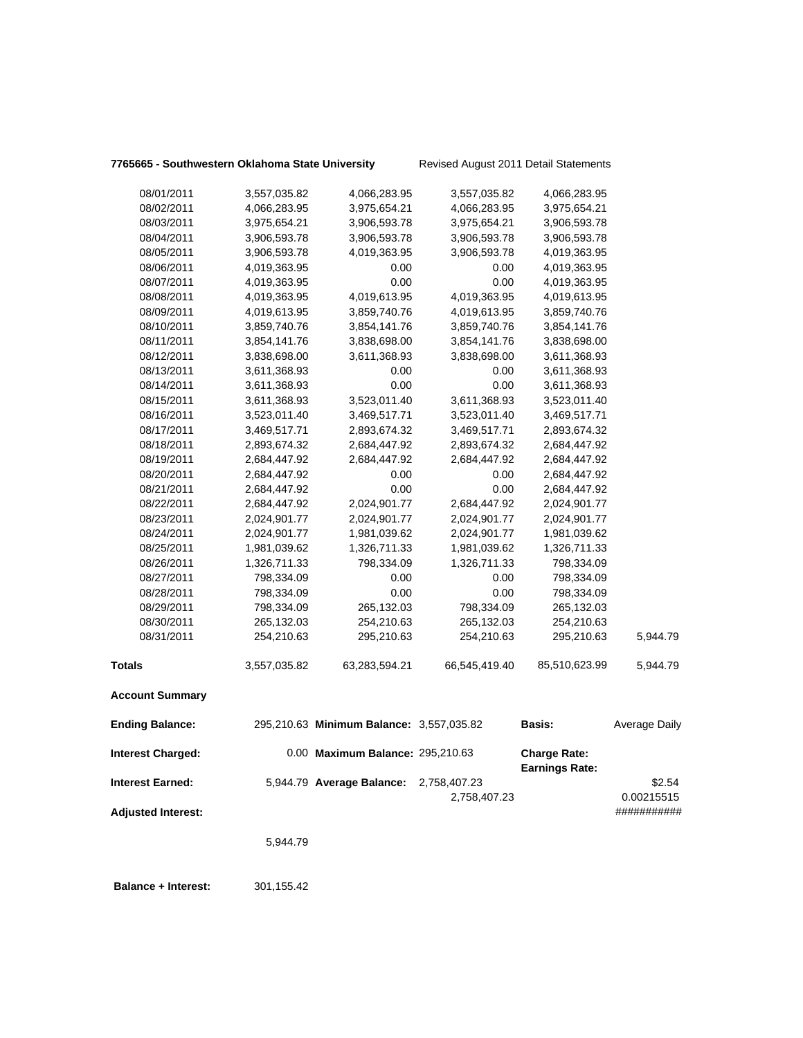## **7765665 - Southwestern Oklahoma State University** Revised August 2011 Detail Statements

**Balance + Interest:** 301,155.42

| 08/01/2011                | 3,557,035.82 | 4,066,283.95                             | 3,557,035.82  | 4,066,283.95          |               |
|---------------------------|--------------|------------------------------------------|---------------|-----------------------|---------------|
| 08/02/2011                | 4,066,283.95 | 3,975,654.21                             | 4,066,283.95  | 3,975,654.21          |               |
| 08/03/2011                | 3,975,654.21 | 3,906,593.78                             | 3,975,654.21  | 3,906,593.78          |               |
| 08/04/2011                | 3,906,593.78 | 3,906,593.78                             | 3,906,593.78  | 3,906,593.78          |               |
| 08/05/2011                | 3,906,593.78 | 4,019,363.95                             | 3,906,593.78  | 4,019,363.95          |               |
| 08/06/2011                | 4,019,363.95 | 0.00                                     | 0.00          | 4,019,363.95          |               |
| 08/07/2011                | 4,019,363.95 | 0.00                                     | 0.00          | 4,019,363.95          |               |
| 08/08/2011                | 4,019,363.95 | 4,019,613.95                             | 4,019,363.95  | 4,019,613.95          |               |
| 08/09/2011                | 4,019,613.95 | 3,859,740.76                             | 4,019,613.95  | 3,859,740.76          |               |
| 08/10/2011                | 3,859,740.76 | 3,854,141.76                             | 3,859,740.76  | 3,854,141.76          |               |
| 08/11/2011                | 3,854,141.76 | 3,838,698.00                             | 3,854,141.76  | 3,838,698.00          |               |
| 08/12/2011                | 3,838,698.00 | 3,611,368.93                             | 3,838,698.00  | 3,611,368.93          |               |
| 08/13/2011                | 3,611,368.93 | 0.00                                     | 0.00          | 3,611,368.93          |               |
| 08/14/2011                | 3,611,368.93 | 0.00                                     | 0.00          | 3,611,368.93          |               |
| 08/15/2011                | 3,611,368.93 | 3,523,011.40                             | 3,611,368.93  | 3,523,011.40          |               |
| 08/16/2011                | 3,523,011.40 | 3,469,517.71                             | 3,523,011.40  | 3,469,517.71          |               |
| 08/17/2011                | 3,469,517.71 | 2,893,674.32                             | 3,469,517.71  | 2,893,674.32          |               |
| 08/18/2011                | 2,893,674.32 | 2,684,447.92                             | 2,893,674.32  | 2,684,447.92          |               |
| 08/19/2011                | 2,684,447.92 | 2,684,447.92                             | 2,684,447.92  | 2,684,447.92          |               |
| 08/20/2011                | 2,684,447.92 | 0.00                                     | 0.00          | 2,684,447.92          |               |
| 08/21/2011                | 2,684,447.92 | 0.00                                     | 0.00          | 2,684,447.92          |               |
| 08/22/2011                | 2,684,447.92 | 2,024,901.77                             | 2,684,447.92  | 2,024,901.77          |               |
| 08/23/2011                | 2,024,901.77 | 2,024,901.77                             | 2,024,901.77  | 2,024,901.77          |               |
| 08/24/2011                | 2,024,901.77 | 1,981,039.62                             | 2,024,901.77  | 1,981,039.62          |               |
| 08/25/2011                | 1,981,039.62 | 1,326,711.33                             | 1,981,039.62  | 1,326,711.33          |               |
| 08/26/2011                | 1,326,711.33 | 798,334.09                               | 1,326,711.33  | 798,334.09            |               |
| 08/27/2011                | 798,334.09   | 0.00                                     | 0.00          | 798,334.09            |               |
| 08/28/2011                | 798,334.09   | 0.00                                     | 0.00          | 798,334.09            |               |
| 08/29/2011                | 798,334.09   | 265,132.03                               | 798,334.09    | 265,132.03            |               |
| 08/30/2011                | 265,132.03   | 254,210.63                               | 265,132.03    | 254,210.63            |               |
| 08/31/2011                | 254,210.63   | 295,210.63                               | 254,210.63    | 295,210.63            | 5,944.79      |
| <b>Totals</b>             | 3,557,035.82 | 63,283,594.21                            | 66,545,419.40 | 85,510,623.99         | 5,944.79      |
| <b>Account Summary</b>    |              |                                          |               |                       |               |
| <b>Ending Balance:</b>    |              | 295,210.63 Minimum Balance: 3,557,035.82 |               | Basis:                | Average Daily |
| <b>Interest Charged:</b>  |              | 0.00 Maximum Balance: 295,210.63         |               | <b>Charge Rate:</b>   |               |
|                           |              |                                          |               | <b>Earnings Rate:</b> |               |
| <b>Interest Earned:</b>   |              | 5,944.79 Average Balance: 2,758,407.23   |               |                       | \$2.54        |
|                           |              |                                          | 2,758,407.23  |                       | 0.00215515    |
| <b>Adjusted Interest:</b> |              |                                          |               |                       | ###########   |
|                           | 5,944.79     |                                          |               |                       |               |
|                           |              |                                          |               |                       |               |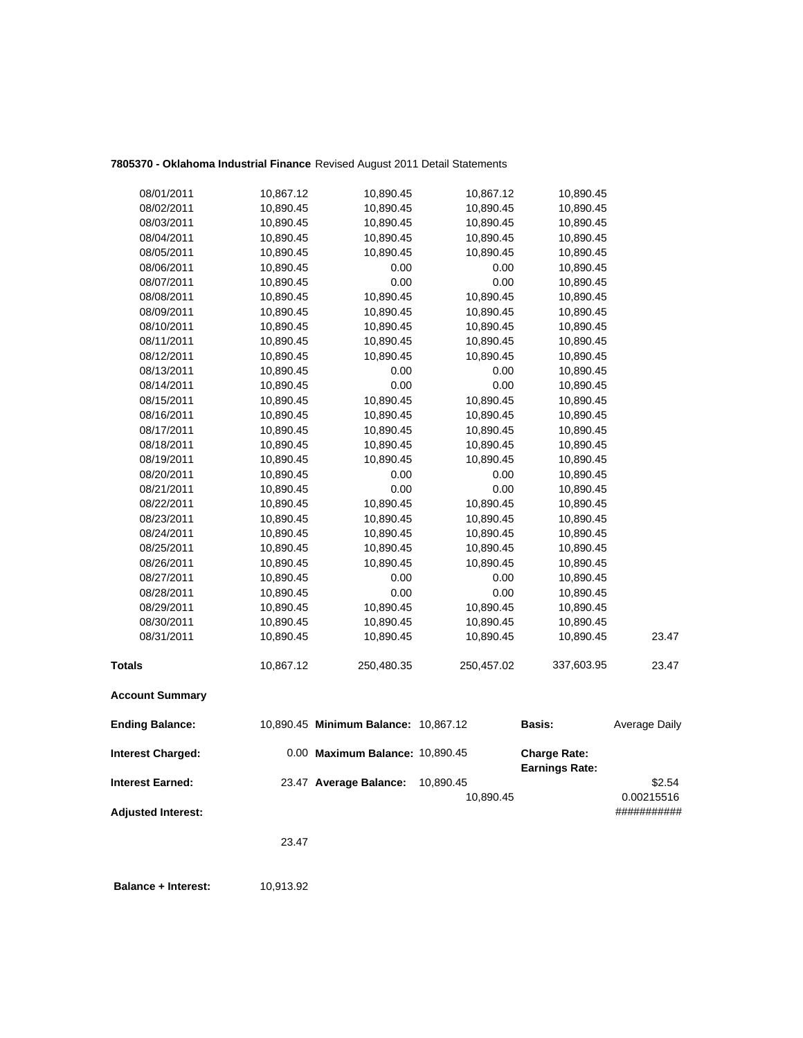## **7805370 - Oklahoma Industrial Finance** Revised August 2011 Detail Statements

| <b>Adjusted Interest:</b> |                        |                                      | 10,890.45              |                        | 0.00215516<br>########### |
|---------------------------|------------------------|--------------------------------------|------------------------|------------------------|---------------------------|
| <b>Interest Earned:</b>   |                        | 23.47 Average Balance:               | 10,890.45              | <b>Earnings Rate:</b>  | \$2.54                    |
| <b>Interest Charged:</b>  |                        | 0.00 Maximum Balance: 10,890.45      |                        | <b>Charge Rate:</b>    |                           |
| <b>Ending Balance:</b>    |                        | 10,890.45 Minimum Balance: 10,867.12 |                        | <b>Basis:</b>          | Average Daily             |
| <b>Account Summary</b>    |                        |                                      |                        |                        |                           |
| <b>Totals</b>             | 10,867.12              | 250,480.35                           | 250,457.02             | 337,603.95             | 23.47                     |
| 08/31/2011                | 10,890.45              | 10,890.45                            | 10,890.45              | 10,890.45              | 23.47                     |
| 08/30/2011                | 10,890.45              | 10,890.45                            | 10,890.45              | 10,890.45              |                           |
| 08/29/2011                | 10,890.45              | 10,890.45                            | 10,890.45              | 10,890.45              |                           |
| 08/28/2011                | 10,890.45              | 0.00                                 | 0.00                   | 10,890.45              |                           |
| 08/27/2011                | 10,890.45              | 0.00                                 | 0.00                   | 10,890.45              |                           |
| 08/26/2011                | 10,890.45              | 10,890.45                            | 10,890.45              | 10,890.45              |                           |
| 08/25/2011                | 10,890.45              | 10,890.45                            | 10,890.45              | 10,890.45              |                           |
| 08/24/2011                | 10,890.45              | 10,890.45                            | 10,890.45              | 10,890.45              |                           |
| 08/23/2011                | 10,890.45              | 10,890.45                            | 10,890.45              | 10,890.45              |                           |
| 08/22/2011                | 10,890.45              | 10,890.45                            | 10,890.45              | 10,890.45              |                           |
| 08/21/2011                | 10,890.45              | 0.00                                 | 0.00                   | 10,890.45              |                           |
| 08/20/2011                | 10,890.45              | 0.00                                 | 0.00                   | 10,890.45              |                           |
| 08/19/2011                | 10,890.45              | 10,890.45                            | 10,890.45              | 10,890.45              |                           |
| 08/18/2011                | 10,890.45              | 10,890.45                            | 10,890.45              | 10,890.45              |                           |
| 08/17/2011                | 10,890.45              | 10,890.45                            | 10,890.45              | 10,890.45              |                           |
| 08/16/2011                | 10,890.45              | 10,890.45                            | 10,890.45              | 10,890.45              |                           |
| 08/15/2011                | 10,890.45              | 10,890.45                            | 10,890.45              | 10,890.45              |                           |
| 08/14/2011                | 10,890.45              | 0.00                                 | 0.00                   | 10,890.45              |                           |
| 08/13/2011                | 10,890.45              | 0.00                                 | 0.00                   | 10,890.45              |                           |
| 08/12/2011                | 10,890.45              | 10,890.45                            | 10,890.45              | 10,890.45              |                           |
| 08/11/2011                | 10,890.45              | 10,890.45                            | 10,890.45              | 10,890.45              |                           |
| 08/10/2011                | 10,890.45              | 10,890.45                            | 10,890.45              | 10,890.45              |                           |
| 08/09/2011                | 10,890.45              | 10,890.45                            | 10,890.45              | 10,890.45              |                           |
| 08/08/2011                | 10,890.45              | 10,890.45                            | 10,890.45              | 10,890.45              |                           |
| 08/07/2011                | 10,890.45              | 0.00                                 | 0.00                   | 10,890.45              |                           |
| 08/06/2011                | 10,890.45              | 0.00                                 | 0.00                   | 10,890.45              |                           |
| 08/05/2011                | 10,890.45              | 10,890.45                            | 10,890.45              | 10,890.45              |                           |
| 08/04/2011                | 10,890.45              | 10,890.45                            | 10,890.45              | 10,890.45              |                           |
| 08/02/2011<br>08/03/2011  | 10,890.45<br>10,890.45 | 10,890.45<br>10,890.45               | 10,890.45<br>10,890.45 | 10,890.45<br>10,890.45 |                           |
|                           |                        |                                      |                        |                        |                           |
| 08/01/2011                | 10,867.12              | 10,890.45                            | 10,867.12              | 10,890.45              |                           |

23.47

**Balance + Interest:** 10,913.92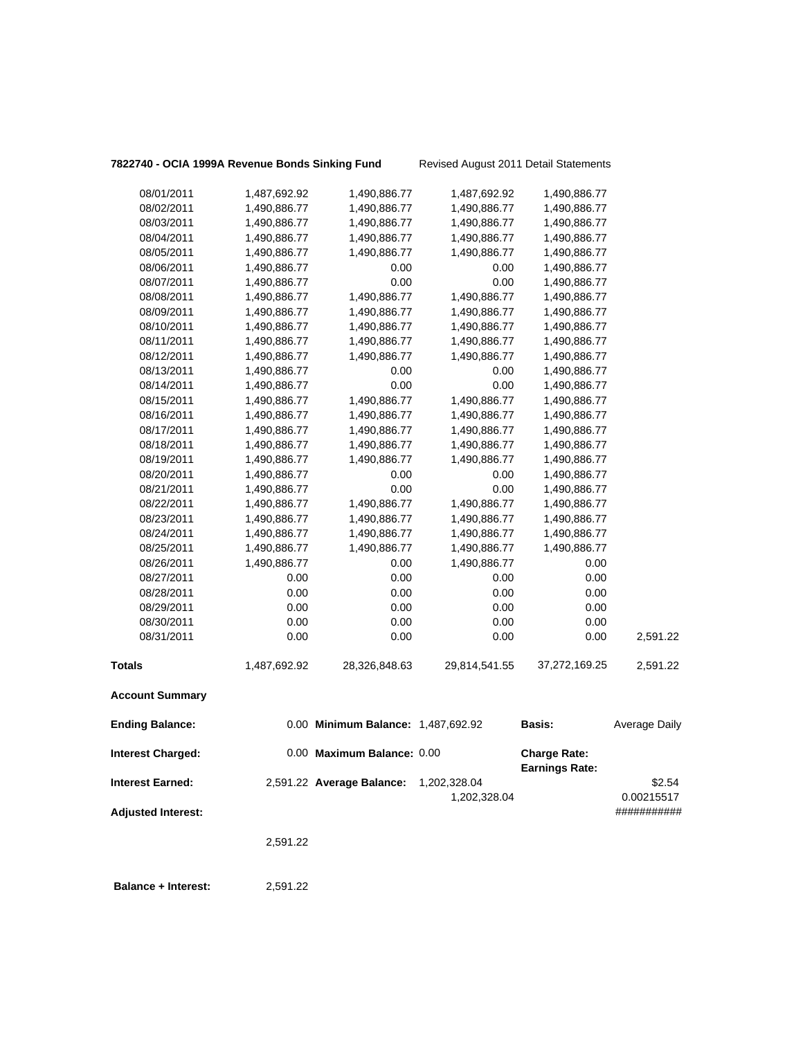| 7822740 - OCIA 1999A Revenue Bonds Sinking Fund |  |  |  |
|-------------------------------------------------|--|--|--|
|                                                 |  |  |  |

**1g Fund** Revised August 2011 Detail Statements

| 08/01/2011                 | 1,487,692.92 | 1,490,886.77                       | 1,487,692.92  | 1,490,886.77                                 |                      |
|----------------------------|--------------|------------------------------------|---------------|----------------------------------------------|----------------------|
| 08/02/2011                 | 1,490,886.77 | 1,490,886.77                       | 1,490,886.77  | 1,490,886.77                                 |                      |
| 08/03/2011                 | 1,490,886.77 | 1,490,886.77                       | 1,490,886.77  | 1,490,886.77                                 |                      |
| 08/04/2011                 | 1,490,886.77 | 1,490,886.77                       | 1,490,886.77  | 1,490,886.77                                 |                      |
| 08/05/2011                 | 1,490,886.77 | 1,490,886.77                       | 1,490,886.77  | 1,490,886.77                                 |                      |
| 08/06/2011                 | 1,490,886.77 | 0.00                               | 0.00          | 1,490,886.77                                 |                      |
| 08/07/2011                 | 1,490,886.77 | 0.00                               | 0.00          | 1,490,886.77                                 |                      |
| 08/08/2011                 | 1,490,886.77 | 1,490,886.77                       | 1,490,886.77  | 1,490,886.77                                 |                      |
| 08/09/2011                 | 1,490,886.77 | 1,490,886.77                       | 1,490,886.77  | 1,490,886.77                                 |                      |
| 08/10/2011                 | 1,490,886.77 | 1,490,886.77                       | 1,490,886.77  | 1,490,886.77                                 |                      |
| 08/11/2011                 | 1,490,886.77 | 1,490,886.77                       | 1,490,886.77  | 1,490,886.77                                 |                      |
| 08/12/2011                 | 1,490,886.77 | 1,490,886.77                       | 1,490,886.77  | 1,490,886.77                                 |                      |
| 08/13/2011                 | 1,490,886.77 | 0.00                               | 0.00          | 1,490,886.77                                 |                      |
| 08/14/2011                 | 1,490,886.77 | 0.00                               | 0.00          | 1,490,886.77                                 |                      |
| 08/15/2011                 | 1,490,886.77 | 1,490,886.77                       | 1,490,886.77  | 1,490,886.77                                 |                      |
| 08/16/2011                 | 1,490,886.77 | 1,490,886.77                       | 1,490,886.77  | 1,490,886.77                                 |                      |
| 08/17/2011                 | 1,490,886.77 | 1,490,886.77                       | 1,490,886.77  | 1,490,886.77                                 |                      |
| 08/18/2011                 | 1,490,886.77 | 1,490,886.77                       | 1,490,886.77  | 1,490,886.77                                 |                      |
| 08/19/2011                 | 1,490,886.77 | 1,490,886.77                       | 1,490,886.77  | 1,490,886.77                                 |                      |
| 08/20/2011                 | 1,490,886.77 | 0.00                               | 0.00          | 1,490,886.77                                 |                      |
| 08/21/2011                 | 1,490,886.77 | 0.00                               | 0.00          | 1,490,886.77                                 |                      |
| 08/22/2011                 | 1,490,886.77 | 1,490,886.77                       | 1,490,886.77  | 1,490,886.77                                 |                      |
| 08/23/2011                 | 1,490,886.77 | 1,490,886.77                       | 1,490,886.77  | 1,490,886.77                                 |                      |
| 08/24/2011                 | 1,490,886.77 | 1,490,886.77                       | 1,490,886.77  | 1,490,886.77                                 |                      |
| 08/25/2011                 | 1,490,886.77 | 1,490,886.77                       | 1,490,886.77  | 1,490,886.77                                 |                      |
| 08/26/2011                 | 1,490,886.77 | 0.00                               | 1,490,886.77  | 0.00                                         |                      |
| 08/27/2011                 | 0.00         | 0.00                               | 0.00          | 0.00                                         |                      |
| 08/28/2011                 | 0.00         | 0.00                               | 0.00          | 0.00                                         |                      |
| 08/29/2011                 | 0.00         | 0.00                               | 0.00          | 0.00                                         |                      |
| 08/30/2011                 | 0.00         | 0.00                               | 0.00          | 0.00                                         |                      |
| 08/31/2011                 | 0.00         | 0.00                               | 0.00          | 0.00                                         | 2,591.22             |
| Totals                     | 1,487,692.92 | 28,326,848.63                      | 29,814,541.55 | 37,272,169.25                                | 2,591.22             |
| <b>Account Summary</b>     |              |                                    |               |                                              |                      |
| <b>Ending Balance:</b>     |              | 0.00 Minimum Balance: 1,487,692.92 |               | Basis:                                       | <b>Average Daily</b> |
| <b>Interest Charged:</b>   |              | 0.00 Maximum Balance: 0.00         |               | <b>Charge Rate:</b><br><b>Earnings Rate:</b> |                      |
| Interest Earned:           |              | 2,591.22 Average Balance:          | 1,202,328.04  |                                              | \$2.54               |
|                            |              |                                    | 1,202,328.04  |                                              | 0.00215517           |
| <b>Adjusted Interest:</b>  |              |                                    |               |                                              | ###########          |
|                            | 2,591.22     |                                    |               |                                              |                      |
| <b>Balance + Interest:</b> | 2,591.22     |                                    |               |                                              |                      |
|                            |              |                                    |               |                                              |                      |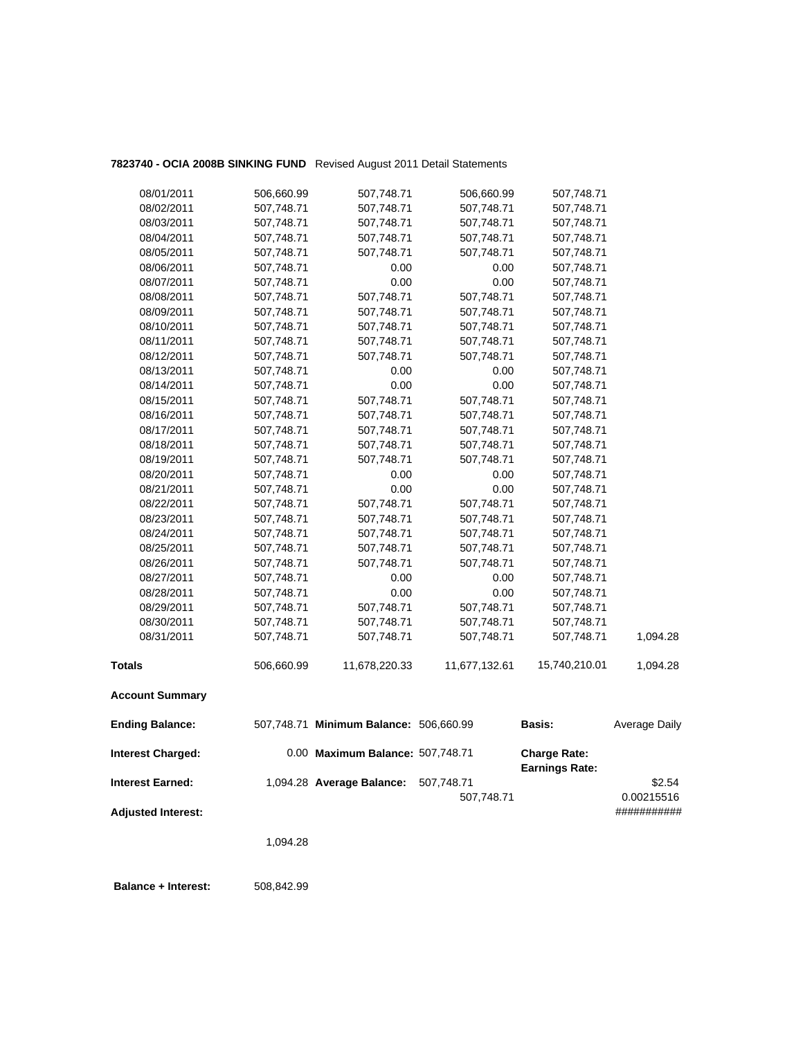## **7823740 - OCIA 2008B SINKING FUND** Revised August 2011 Detail Statements

| 08/01/2011<br>08/02/2011 | 506,660.99<br>507,748.71 | 507,748.71<br>507,748.71 | 506,660.99<br>507,748.71 | 507,748.71<br>507,748.71 |          |
|--------------------------|--------------------------|--------------------------|--------------------------|--------------------------|----------|
| 08/03/2011               | 507,748.71               | 507,748.71               | 507,748.71               | 507,748.71               |          |
| 08/04/2011               | 507,748.71               | 507,748.71               | 507,748.71               | 507,748.71               |          |
| 08/05/2011               | 507,748.71               | 507,748.71               | 507,748.71               | 507,748.71               |          |
| 08/06/2011               | 507,748.71               | 0.00                     | 0.00                     | 507,748.71               |          |
| 08/07/2011               | 507,748.71               | 0.00                     | 0.00                     | 507,748.71               |          |
| 08/08/2011               | 507,748.71               | 507,748.71               | 507,748.71               | 507,748.71               |          |
| 08/09/2011               | 507,748.71               | 507,748.71               | 507,748.71               | 507,748.71               |          |
| 08/10/2011               | 507,748.71               | 507,748.71               | 507,748.71               | 507,748.71               |          |
| 08/11/2011               | 507,748.71               | 507,748.71               | 507,748.71               | 507,748.71               |          |
| 08/12/2011               | 507,748.71               | 507,748.71               | 507,748.71               | 507,748.71               |          |
| 08/13/2011               | 507,748.71               | 0.00                     | 0.00                     | 507,748.71               |          |
| 08/14/2011               | 507,748.71               | 0.00                     | 0.00                     | 507,748.71               |          |
| 08/15/2011               | 507,748.71               | 507,748.71               | 507,748.71               | 507,748.71               |          |
| 08/16/2011               | 507,748.71               | 507,748.71               | 507,748.71               | 507,748.71               |          |
| 08/17/2011               | 507,748.71               | 507,748.71               | 507,748.71               | 507,748.71               |          |
| 08/18/2011               | 507,748.71               | 507,748.71               | 507,748.71               | 507,748.71               |          |
| 08/19/2011               | 507,748.71               | 507,748.71               | 507,748.71               | 507,748.71               |          |
| 08/20/2011               | 507,748.71               | 0.00                     | 0.00                     | 507,748.71               |          |
| 08/21/2011               | 507,748.71               | 0.00                     | 0.00                     | 507,748.71               |          |
| 08/22/2011               | 507,748.71               | 507,748.71               | 507,748.71               | 507,748.71               |          |
| 08/23/2011               | 507,748.71               | 507,748.71               | 507,748.71               | 507,748.71               |          |
| 08/24/2011               | 507,748.71               | 507,748.71               | 507,748.71               | 507,748.71               |          |
| 08/25/2011               | 507,748.71               | 507,748.71               | 507,748.71               | 507,748.71               |          |
| 08/26/2011               | 507,748.71               | 507,748.71               | 507,748.71               | 507,748.71               |          |
| 08/27/2011               | 507,748.71               | 0.00                     | 0.00                     | 507,748.71               |          |
| 08/28/2011               | 507,748.71               | 0.00                     | 0.00                     | 507,748.71               |          |
| 08/29/2011               | 507,748.71               | 507,748.71               | 507,748.71               | 507,748.71               |          |
| 08/30/2011               | 507,748.71               | 507,748.71               | 507,748.71               | 507,748.71               |          |
| 08/31/2011               | 507,748.71               | 507,748.71               | 507,748.71               | 507,748.71               | 1,094.28 |
| <b>Totals</b>            | 506,660.99               | 11,678,220.33            | 11,677,132.61            | 15,740,210.01            | 1,094.28 |
| <b>Account Summary</b>   |                          |                          |                          |                          |          |

| <b>Ending Balance:</b>    | 507,748.71 Minimum Balance: 506,660.99 |            | Basis:                                       | Average Daily |
|---------------------------|----------------------------------------|------------|----------------------------------------------|---------------|
| <b>Interest Charged:</b>  | 0.00 Maximum Balance: 507,748.71       |            | <b>Charge Rate:</b><br><b>Earnings Rate:</b> |               |
| <b>Interest Earned:</b>   | 1,094.28 Average Balance:              | 507.748.71 |                                              | \$2.54        |
|                           |                                        | 507.748.71 |                                              | 0.00215516    |
| <b>Adjusted Interest:</b> |                                        |            |                                              | ###########   |

<sup>1,094.28</sup>

 **Balance + Interest:** 508,842.99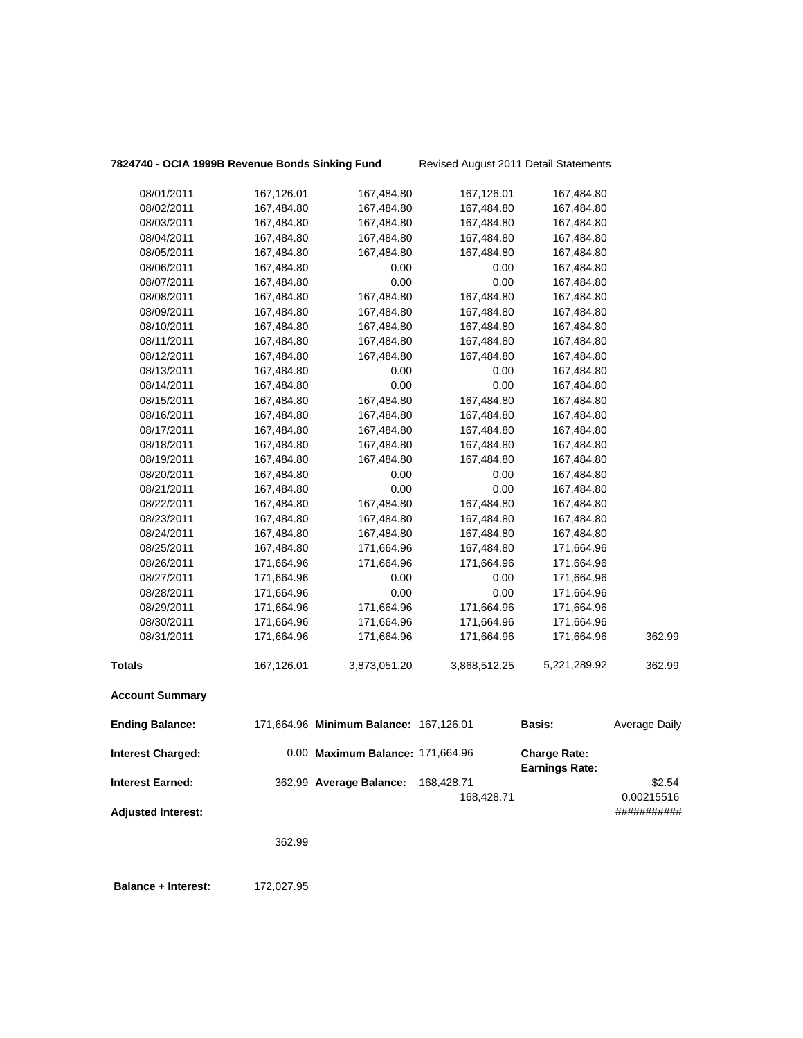| 7824740 - OCIA 1999B Revenue Bonds Sinking Fund |  |  |  |
|-------------------------------------------------|--|--|--|
|                                                 |  |  |  |

**g Fund** Revised August 2011 Detail Statements

| 08/01/2011                | 167,126.01 | 167,484.80                             | 167,126.01   | 167,484.80                            |               |
|---------------------------|------------|----------------------------------------|--------------|---------------------------------------|---------------|
| 08/02/2011                | 167,484.80 | 167,484.80                             | 167,484.80   | 167,484.80                            |               |
| 08/03/2011                | 167,484.80 | 167,484.80                             | 167,484.80   | 167,484.80                            |               |
| 08/04/2011                | 167,484.80 | 167,484.80                             | 167,484.80   | 167,484.80                            |               |
| 08/05/2011                | 167,484.80 | 167,484.80                             | 167,484.80   | 167,484.80                            |               |
| 08/06/2011                | 167,484.80 | 0.00                                   | 0.00         | 167,484.80                            |               |
| 08/07/2011                | 167,484.80 | 0.00                                   | 0.00         | 167,484.80                            |               |
| 08/08/2011                | 167,484.80 | 167,484.80                             | 167,484.80   | 167,484.80                            |               |
| 08/09/2011                | 167,484.80 | 167,484.80                             | 167,484.80   | 167,484.80                            |               |
| 08/10/2011                | 167,484.80 | 167,484.80                             | 167,484.80   | 167,484.80                            |               |
| 08/11/2011                | 167,484.80 | 167,484.80                             | 167,484.80   | 167,484.80                            |               |
| 08/12/2011                | 167,484.80 | 167,484.80                             | 167,484.80   | 167,484.80                            |               |
| 08/13/2011                | 167,484.80 | 0.00                                   | 0.00         | 167,484.80                            |               |
| 08/14/2011                | 167,484.80 | 0.00                                   | 0.00         | 167,484.80                            |               |
| 08/15/2011                | 167,484.80 | 167,484.80                             | 167,484.80   | 167,484.80                            |               |
| 08/16/2011                | 167,484.80 | 167,484.80                             | 167,484.80   | 167,484.80                            |               |
| 08/17/2011                | 167,484.80 | 167,484.80                             | 167,484.80   | 167,484.80                            |               |
| 08/18/2011                | 167,484.80 | 167,484.80                             | 167,484.80   | 167,484.80                            |               |
| 08/19/2011                | 167,484.80 | 167,484.80                             | 167,484.80   | 167,484.80                            |               |
| 08/20/2011                | 167,484.80 | 0.00                                   | 0.00         | 167,484.80                            |               |
| 08/21/2011                | 167,484.80 | 0.00                                   | 0.00         | 167,484.80                            |               |
| 08/22/2011                | 167,484.80 | 167,484.80                             | 167,484.80   | 167,484.80                            |               |
| 08/23/2011                | 167,484.80 | 167,484.80                             | 167,484.80   | 167,484.80                            |               |
| 08/24/2011                | 167,484.80 | 167,484.80                             | 167,484.80   | 167,484.80                            |               |
| 08/25/2011                | 167,484.80 | 171,664.96                             | 167,484.80   | 171,664.96                            |               |
| 08/26/2011                | 171,664.96 | 171,664.96                             | 171,664.96   | 171,664.96                            |               |
| 08/27/2011                | 171,664.96 | 0.00                                   | 0.00         | 171,664.96                            |               |
| 08/28/2011                | 171,664.96 | 0.00                                   | 0.00         | 171,664.96                            |               |
| 08/29/2011                | 171,664.96 | 171,664.96                             | 171,664.96   | 171,664.96                            |               |
| 08/30/2011                | 171,664.96 | 171,664.96                             | 171,664.96   | 171,664.96                            |               |
| 08/31/2011                | 171,664.96 | 171,664.96                             | 171,664.96   | 171,664.96                            | 362.99        |
| <b>Totals</b>             | 167,126.01 | 3,873,051.20                           | 3,868,512.25 | 5,221,289.92                          | 362.99        |
| <b>Account Summary</b>    |            |                                        |              |                                       |               |
| <b>Ending Balance:</b>    |            | 171,664.96 Minimum Balance: 167,126.01 |              | <b>Basis:</b>                         | Average Daily |
| <b>Interest Charged:</b>  |            | 0.00 Maximum Balance: 171,664.96       |              | <b>Charge Rate:</b><br>Earnings Rate: |               |
| <b>Interest Earned:</b>   |            | 362.99 Average Balance:                | 168,428.71   |                                       | \$2.54        |
|                           |            |                                        | 168,428.71   |                                       | 0.00215516    |
| <b>Adjusted Interest:</b> |            |                                        |              |                                       | ###########   |
|                           |            |                                        |              |                                       |               |
|                           | 362.99     |                                        |              |                                       |               |
|                           |            |                                        |              |                                       |               |

 **Balance + Interest:** 172,027.95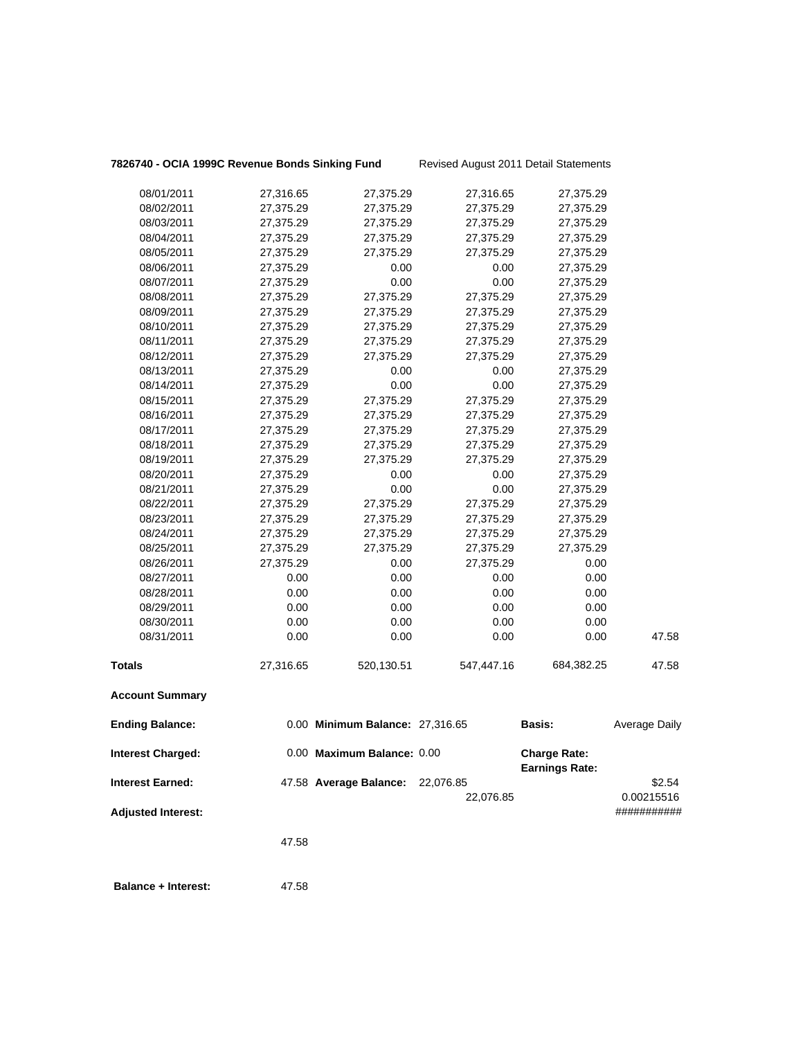| <b>Ending Balance:</b> |           | 0.00 Minimum Balance: 27,316.65 |            | Basis:     | Average Daily |
|------------------------|-----------|---------------------------------|------------|------------|---------------|
| <b>Account Summary</b> |           |                                 |            |            |               |
| <b>Totals</b>          | 27,316.65 | 520,130.51                      | 547,447.16 | 684,382.25 | 47.58         |
| 08/31/2011             | 0.00      | 0.00                            | 0.00       | 0.00       | 47.58         |
| 08/30/2011             | 0.00      | 0.00                            | 0.00       | 0.00       |               |
| 08/29/2011             | 0.00      | 0.00                            | 0.00       | 0.00       |               |
| 08/28/2011             | 0.00      | 0.00                            | 0.00       | 0.00       |               |
| 08/27/2011             | 0.00      | 0.00                            | 0.00       | 0.00       |               |
| 08/26/2011             | 27,375.29 | 0.00                            | 27,375.29  | 0.00       |               |
| 08/25/2011             | 27,375.29 | 27,375.29                       | 27,375.29  | 27,375.29  |               |
| 08/24/2011             | 27,375.29 | 27,375.29                       | 27,375.29  | 27,375.29  |               |
| 08/23/2011             | 27,375.29 | 27,375.29                       | 27,375.29  | 27,375.29  |               |
| 08/22/2011             | 27,375.29 | 27,375.29                       | 27,375.29  | 27,375.29  |               |
| 08/21/2011             | 27,375.29 | 0.00                            | 0.00       | 27,375.29  |               |
| 08/20/2011             | 27,375.29 | 0.00                            | 0.00       | 27,375.29  |               |
| 08/19/2011             | 27,375.29 | 27,375.29                       | 27,375.29  | 27,375.29  |               |
| 08/18/2011             | 27,375.29 | 27,375.29                       | 27,375.29  | 27,375.29  |               |
| 08/17/2011             | 27,375.29 | 27,375.29                       | 27,375.29  | 27,375.29  |               |
| 08/16/2011             | 27,375.29 | 27,375.29                       | 27,375.29  | 27,375.29  |               |
| 08/15/2011             | 27,375.29 | 27,375.29                       | 27,375.29  | 27,375.29  |               |
| 08/14/2011             | 27,375.29 | 0.00                            | 0.00       | 27,375.29  |               |
| 08/13/2011             | 27,375.29 | 0.00                            | 0.00       | 27,375.29  |               |
| 08/12/2011             | 27,375.29 | 27,375.29                       | 27,375.29  | 27,375.29  |               |
| 08/11/2011             | 27,375.29 | 27,375.29                       | 27,375.29  | 27,375.29  |               |
| 08/10/2011             | 27,375.29 | 27,375.29                       | 27,375.29  | 27,375.29  |               |
| 08/09/2011             | 27,375.29 | 27,375.29                       | 27,375.29  | 27,375.29  |               |
| 08/08/2011             | 27,375.29 | 27,375.29                       | 27,375.29  | 27,375.29  |               |
| 08/07/2011             | 27,375.29 | 0.00                            | 0.00       | 27,375.29  |               |
| 08/06/2011             | 27,375.29 | 0.00                            | 0.00       | 27,375.29  |               |
| 08/05/2011             | 27,375.29 | 27,375.29                       | 27,375.29  | 27,375.29  |               |
| 08/04/2011             | 27,375.29 | 27,375.29                       | 27,375.29  | 27,375.29  |               |
| 08/03/2011             | 27,375.29 | 27,375.29                       | 27,375.29  | 27,375.29  |               |
| 08/02/2011             | 27,375.29 | 27,375.29                       | 27,375.29  | 27,375.29  |               |
| 08/01/2011             | 27,316.65 | 27,375.29                       | 27,316.65  | 27,375.29  |               |
|                        |           |                                 |            |            |               |

| <b>Interest Charged:</b>  | 0.00 Maximum Balance: 0.00       |           | <b>Charge Rate:</b><br><b>Earnings Rate:</b> |                      |
|---------------------------|----------------------------------|-----------|----------------------------------------------|----------------------|
| <b>Interest Earned:</b>   | 47.58 Average Balance: 22,076.85 | 22,076.85 |                                              | \$2.54<br>0.00215516 |
| <b>Adjusted Interest:</b> |                                  |           |                                              | ###########          |

47.58

**Balance + Interest:** 47.58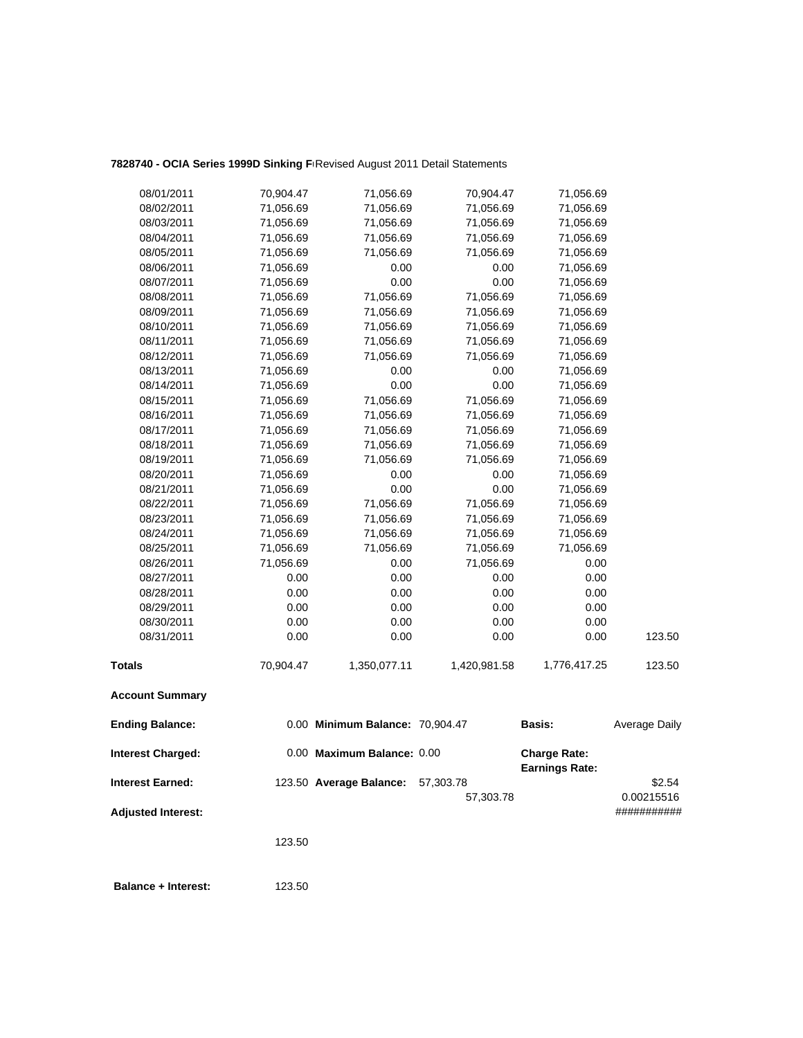## 7828740 - OCIA Series 1999D Sinking F**Revised August 2011 Detail Statements**

| 08/01/2011                | 70,904.47 | 71,056.69                       | 70,904.47    | 71,056.69                                    |                      |
|---------------------------|-----------|---------------------------------|--------------|----------------------------------------------|----------------------|
| 08/02/2011                | 71,056.69 | 71,056.69                       | 71,056.69    | 71,056.69                                    |                      |
| 08/03/2011                | 71,056.69 | 71,056.69                       | 71,056.69    | 71,056.69                                    |                      |
| 08/04/2011                | 71,056.69 | 71,056.69                       | 71,056.69    | 71,056.69                                    |                      |
| 08/05/2011                | 71,056.69 | 71,056.69                       | 71,056.69    | 71,056.69                                    |                      |
| 08/06/2011                | 71,056.69 | 0.00                            | 0.00         | 71,056.69                                    |                      |
| 08/07/2011                | 71,056.69 | 0.00                            | 0.00         | 71,056.69                                    |                      |
| 08/08/2011                | 71,056.69 | 71,056.69                       | 71,056.69    | 71,056.69                                    |                      |
| 08/09/2011                | 71,056.69 | 71,056.69                       | 71,056.69    | 71,056.69                                    |                      |
| 08/10/2011                | 71,056.69 | 71,056.69                       | 71,056.69    | 71,056.69                                    |                      |
| 08/11/2011                | 71,056.69 | 71,056.69                       | 71,056.69    | 71,056.69                                    |                      |
| 08/12/2011                | 71,056.69 | 71,056.69                       | 71,056.69    | 71,056.69                                    |                      |
| 08/13/2011                | 71,056.69 | 0.00                            | 0.00         | 71,056.69                                    |                      |
| 08/14/2011                | 71,056.69 | 0.00                            | 0.00         | 71,056.69                                    |                      |
| 08/15/2011                | 71,056.69 | 71,056.69                       | 71,056.69    | 71,056.69                                    |                      |
| 08/16/2011                | 71,056.69 | 71,056.69                       | 71,056.69    | 71,056.69                                    |                      |
| 08/17/2011                | 71,056.69 | 71,056.69                       | 71,056.69    | 71,056.69                                    |                      |
| 08/18/2011                | 71,056.69 | 71,056.69                       | 71,056.69    | 71,056.69                                    |                      |
| 08/19/2011                | 71,056.69 | 71,056.69                       | 71,056.69    | 71,056.69                                    |                      |
| 08/20/2011                | 71,056.69 | 0.00                            | 0.00         | 71,056.69                                    |                      |
| 08/21/2011                | 71,056.69 | 0.00                            | 0.00         | 71,056.69                                    |                      |
| 08/22/2011                | 71,056.69 | 71,056.69                       | 71,056.69    | 71,056.69                                    |                      |
| 08/23/2011                | 71,056.69 | 71,056.69                       | 71,056.69    | 71,056.69                                    |                      |
| 08/24/2011                | 71,056.69 | 71,056.69                       | 71,056.69    | 71,056.69                                    |                      |
| 08/25/2011                | 71,056.69 | 71,056.69                       | 71,056.69    | 71,056.69                                    |                      |
| 08/26/2011                | 71,056.69 | 0.00                            | 71,056.69    | 0.00                                         |                      |
| 08/27/2011                | 0.00      | 0.00                            | 0.00         | 0.00                                         |                      |
| 08/28/2011                | 0.00      | 0.00                            | 0.00         | 0.00                                         |                      |
| 08/29/2011                | 0.00      | 0.00                            | 0.00         | 0.00                                         |                      |
| 08/30/2011                | 0.00      | 0.00                            | 0.00         | 0.00                                         |                      |
| 08/31/2011                | 0.00      | 0.00                            | 0.00         | 0.00                                         | 123.50               |
| <b>Totals</b>             | 70,904.47 | 1,350,077.11                    | 1,420,981.58 | 1,776,417.25                                 | 123.50               |
| <b>Account Summary</b>    |           |                                 |              |                                              |                      |
| <b>Ending Balance:</b>    |           | 0.00 Minimum Balance: 70,904.47 |              | <b>Basis:</b>                                | <b>Average Daily</b> |
| <b>Interest Charged:</b>  |           | 0.00 Maximum Balance: 0.00      |              | <b>Charge Rate:</b><br><b>Earnings Rate:</b> |                      |
| <b>Interest Earned:</b>   |           | 123.50 Average Balance:         | 57,303.78    |                                              | \$2.54               |
|                           |           |                                 | 57,303.78    |                                              | 0.00215516           |
| <b>Adjusted Interest:</b> |           |                                 |              |                                              | ###########          |
|                           | 123.50    |                                 |              |                                              |                      |

**Balance + Interest:** 123.50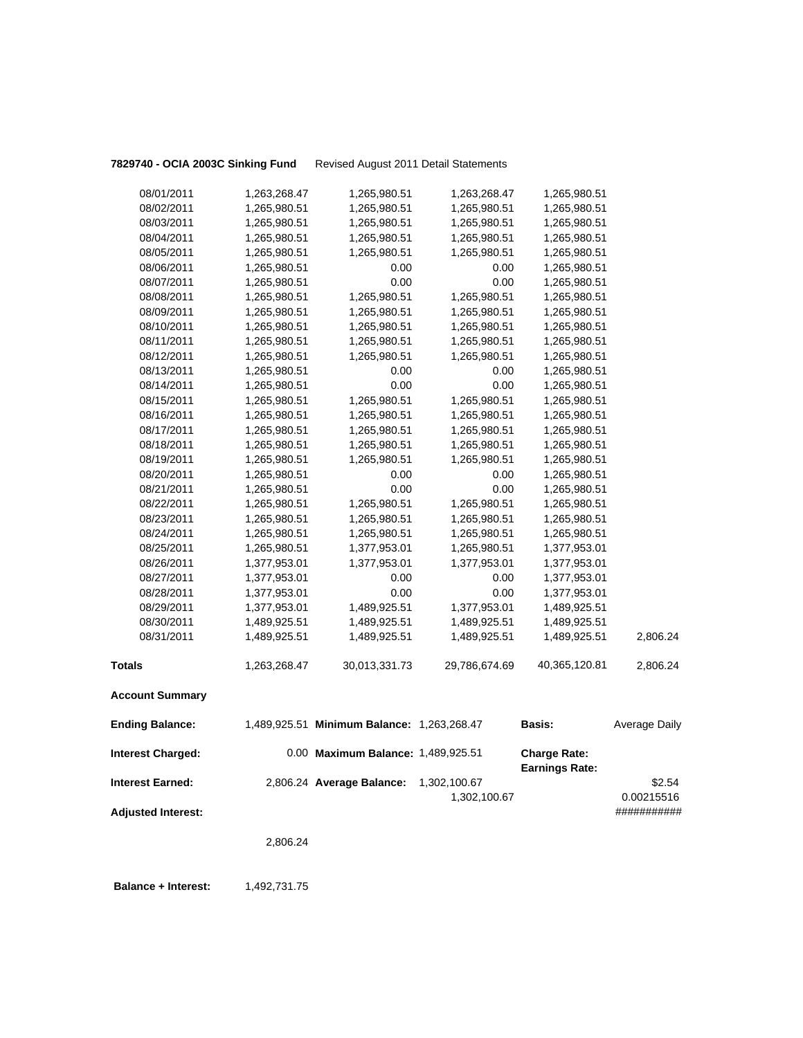**7829740 - OCIA 2003C Sinking Fund** Revised August 2011 Detail Statements

| <b>Interest Charged:</b> |                              | 0.00 Maximum Balance: 1,489,925.51         |                              | <b>Charge Rate:</b><br><b>Earnings Rate:</b> |               |
|--------------------------|------------------------------|--------------------------------------------|------------------------------|----------------------------------------------|---------------|
| <b>Ending Balance:</b>   |                              | 1,489,925.51 Minimum Balance: 1,263,268.47 |                              | <b>Basis:</b>                                | Average Daily |
| <b>Account Summary</b>   |                              |                                            |                              |                                              |               |
| <b>Totals</b>            | 1,263,268.47                 | 30,013,331.73                              | 29,786,674.69                | 40,365,120.81                                | 2,806.24      |
| 08/31/2011               | 1,489,925.51                 | 1,489,925.51                               | 1,489,925.51                 | 1,489,925.51                                 | 2,806.24      |
| 08/30/2011               | 1,489,925.51                 | 1,489,925.51                               | 1,489,925.51                 | 1,489,925.51                                 |               |
| 08/29/2011               | 1,377,953.01                 | 1,489,925.51                               | 1,377,953.01                 | 1,489,925.51                                 |               |
| 08/28/2011               | 1,377,953.01                 | 0.00                                       | 0.00                         | 1,377,953.01                                 |               |
| 08/27/2011               | 1,377,953.01                 | 0.00                                       | 0.00                         | 1,377,953.01                                 |               |
| 08/26/2011               | 1,377,953.01                 | 1,377,953.01                               | 1,377,953.01                 | 1,377,953.01                                 |               |
| 08/25/2011               | 1,265,980.51                 | 1,377,953.01                               | 1,265,980.51                 | 1,377,953.01                                 |               |
| 08/24/2011               | 1,265,980.51                 | 1,265,980.51                               | 1,265,980.51                 | 1,265,980.51                                 |               |
| 08/23/2011               | 1,265,980.51                 | 1,265,980.51                               | 1,265,980.51                 | 1,265,980.51                                 |               |
| 08/22/2011               | 1,265,980.51                 | 1,265,980.51                               | 1,265,980.51                 | 1,265,980.51                                 |               |
| 08/21/2011               | 1,265,980.51                 | 0.00                                       | $0.00\,$                     | 1,265,980.51                                 |               |
| 08/20/2011               | 1,265,980.51                 | 0.00                                       | 0.00                         | 1,265,980.51                                 |               |
| 08/19/2011               | 1,265,980.51                 | 1,265,980.51                               | 1,265,980.51                 | 1,265,980.51                                 |               |
| 08/18/2011               | 1,265,980.51                 | 1,265,980.51                               | 1,265,980.51                 | 1,265,980.51                                 |               |
| 08/17/2011               | 1,265,980.51                 | 1,265,980.51                               | 1,265,980.51                 | 1,265,980.51                                 |               |
| 08/16/2011               | 1,265,980.51                 | 1,265,980.51                               | 1,265,980.51                 | 1,265,980.51                                 |               |
| 08/15/2011               | 1,265,980.51                 | 1,265,980.51                               | 1,265,980.51                 | 1,265,980.51                                 |               |
| 08/14/2011               | 1,265,980.51                 | 0.00                                       | 0.00                         | 1,265,980.51                                 |               |
| 08/13/2011               | 1,265,980.51                 | 0.00                                       | 0.00                         | 1,265,980.51                                 |               |
| 08/12/2011               | 1,265,980.51                 | 1,265,980.51                               | 1,265,980.51                 | 1,265,980.51                                 |               |
| 08/11/2011               | 1,265,980.51                 | 1,265,980.51                               | 1,265,980.51                 | 1,265,980.51                                 |               |
| 08/10/2011               | 1,265,980.51                 | 1,265,980.51                               | 1,265,980.51                 | 1,265,980.51                                 |               |
| 08/09/2011               | 1,265,980.51                 | 1,265,980.51                               | 1,265,980.51                 | 1,265,980.51                                 |               |
| 08/08/2011               | 1,265,980.51                 | 1,265,980.51                               | 1,265,980.51                 | 1,265,980.51                                 |               |
| 08/07/2011               | 1,265,980.51                 | 0.00                                       | 0.00                         | 1,265,980.51                                 |               |
| 08/06/2011               | 1,265,980.51                 | 0.00                                       | 0.00                         | 1,265,980.51                                 |               |
| 08/04/2011<br>08/05/2011 | 1,265,980.51<br>1,265,980.51 | 1,265,980.51<br>1,265,980.51               | 1,265,980.51<br>1,265,980.51 | 1,265,980.51<br>1,265,980.51                 |               |
| 08/03/2011               | 1,265,980.51                 | 1,265,980.51                               | 1,265,980.51                 | 1,265,980.51                                 |               |
| 08/02/2011               | 1,265,980.51                 | 1,265,980.51                               | 1,265,980.51                 | 1,265,980.51                                 |               |
| 08/01/2011               | 1,263,268.47                 | 1,265,980.51                               | 1,263,268.47                 | 1,265,980.51                                 |               |
|                          |                              |                                            |                              |                                              |               |

**Interest Earned:** 2,806.24 **Average Balance:** 1,302,100.67 \$2.54 1,302,100.67 0.00215516 **Adjusted Interest:** ###########

2,806.24

**Balance + Interest:** 1,492,731.75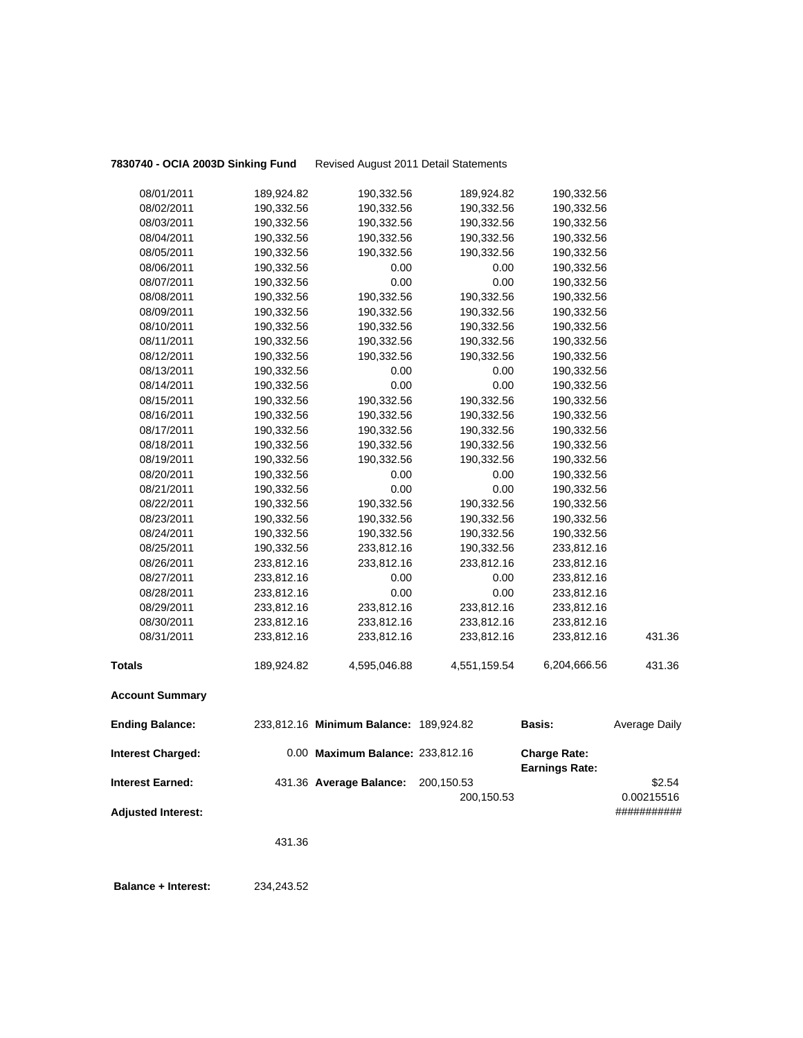**7830740 - OCIA 2003D Sinking Fund** Revised August 2011 Detail Statements

| 08/01/2011                | 189,924.82 | 190,332.56                             | 189,924.82   | 190,332.56            |               |
|---------------------------|------------|----------------------------------------|--------------|-----------------------|---------------|
| 08/02/2011                | 190,332.56 | 190,332.56                             | 190,332.56   | 190,332.56            |               |
| 08/03/2011                | 190,332.56 | 190,332.56                             | 190,332.56   | 190,332.56            |               |
| 08/04/2011                | 190,332.56 | 190,332.56                             | 190,332.56   | 190,332.56            |               |
| 08/05/2011                | 190,332.56 | 190,332.56                             | 190,332.56   | 190,332.56            |               |
| 08/06/2011                | 190,332.56 | 0.00                                   | 0.00         | 190,332.56            |               |
| 08/07/2011                | 190,332.56 | 0.00                                   | 0.00         | 190,332.56            |               |
| 08/08/2011                | 190,332.56 | 190,332.56                             | 190,332.56   | 190,332.56            |               |
| 08/09/2011                | 190,332.56 | 190,332.56                             | 190,332.56   | 190,332.56            |               |
| 08/10/2011                | 190,332.56 | 190,332.56                             | 190,332.56   | 190,332.56            |               |
| 08/11/2011                | 190,332.56 | 190,332.56                             | 190,332.56   | 190,332.56            |               |
| 08/12/2011                | 190,332.56 | 190,332.56                             | 190,332.56   | 190,332.56            |               |
| 08/13/2011                | 190,332.56 | 0.00                                   | 0.00         | 190,332.56            |               |
| 08/14/2011                | 190,332.56 | 0.00                                   | 0.00         | 190,332.56            |               |
| 08/15/2011                | 190,332.56 | 190,332.56                             | 190,332.56   | 190,332.56            |               |
| 08/16/2011                | 190,332.56 | 190,332.56                             | 190,332.56   | 190,332.56            |               |
| 08/17/2011                | 190,332.56 | 190,332.56                             | 190,332.56   | 190,332.56            |               |
| 08/18/2011                | 190,332.56 | 190,332.56                             | 190,332.56   | 190,332.56            |               |
| 08/19/2011                | 190,332.56 | 190,332.56                             | 190,332.56   | 190,332.56            |               |
| 08/20/2011                | 190,332.56 | 0.00                                   | 0.00         | 190,332.56            |               |
| 08/21/2011                | 190,332.56 | 0.00                                   | 0.00         | 190,332.56            |               |
| 08/22/2011                | 190,332.56 | 190,332.56                             | 190,332.56   | 190,332.56            |               |
| 08/23/2011                | 190,332.56 | 190,332.56                             | 190,332.56   | 190,332.56            |               |
| 08/24/2011                | 190,332.56 | 190,332.56                             | 190,332.56   | 190,332.56            |               |
| 08/25/2011                | 190,332.56 | 233,812.16                             | 190,332.56   | 233,812.16            |               |
| 08/26/2011                | 233,812.16 | 233,812.16                             | 233,812.16   | 233,812.16            |               |
| 08/27/2011                | 233,812.16 | 0.00                                   | 0.00         | 233,812.16            |               |
| 08/28/2011                | 233,812.16 | 0.00                                   | 0.00         | 233,812.16            |               |
| 08/29/2011                | 233,812.16 | 233,812.16                             | 233,812.16   | 233,812.16            |               |
| 08/30/2011                | 233,812.16 | 233,812.16                             | 233,812.16   | 233,812.16            |               |
| 08/31/2011                | 233,812.16 | 233,812.16                             | 233,812.16   | 233,812.16            | 431.36        |
| <b>Totals</b>             | 189,924.82 | 4,595,046.88                           | 4,551,159.54 | 6,204,666.56          | 431.36        |
| <b>Account Summary</b>    |            |                                        |              |                       |               |
| <b>Ending Balance:</b>    |            | 233,812.16 Minimum Balance: 189,924.82 |              | <b>Basis:</b>         | Average Daily |
| <b>Interest Charged:</b>  |            | 0.00 Maximum Balance: 233,812.16       |              | <b>Charge Rate:</b>   |               |
| <b>Interest Earned:</b>   |            | 431.36 Average Balance:                | 200,150.53   | <b>Earnings Rate:</b> | \$2.54        |
|                           |            |                                        | 200,150.53   |                       | 0.00215516    |
| <b>Adjusted Interest:</b> |            |                                        |              |                       | ###########   |
|                           |            |                                        |              |                       |               |
|                           | 431.36     |                                        |              |                       |               |

 **Balance + Interest:** 234,243.52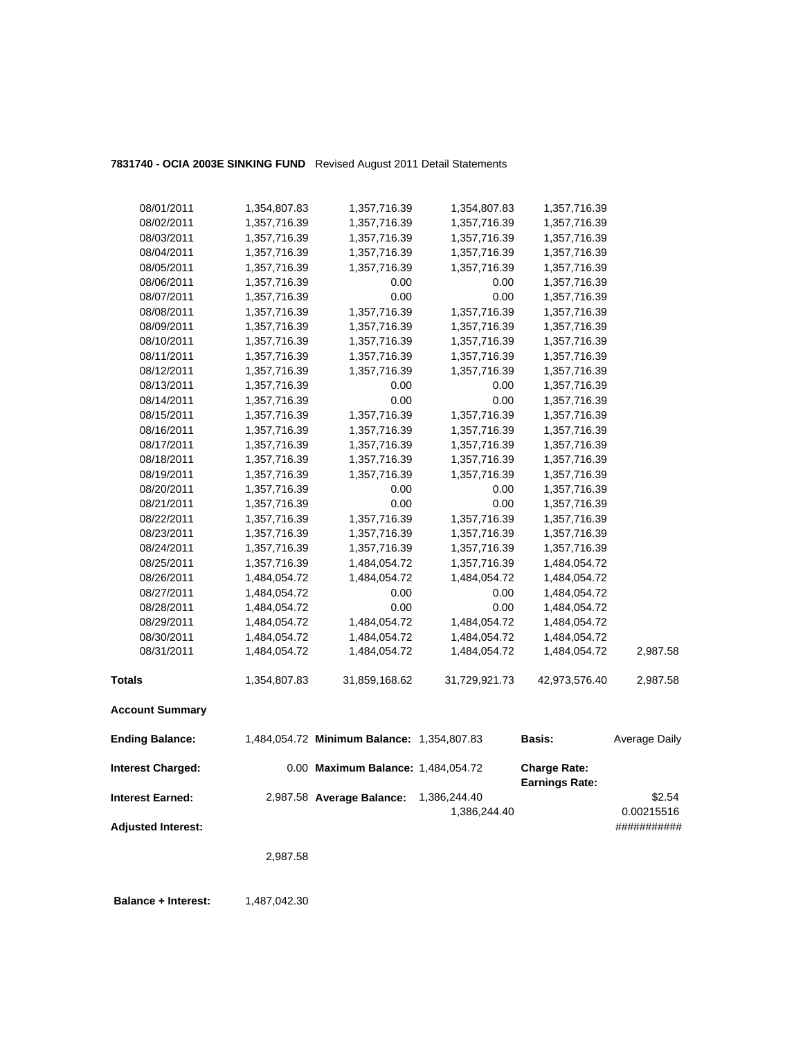## **7831740 - OCIA 2003E SINKING FUND** Revised August 2011 Detail Statements

| 08/01/2011                | 1,354,807.83 | 1,357,716.39                               | 1,354,807.83  | 1,357,716.39                                 |               |
|---------------------------|--------------|--------------------------------------------|---------------|----------------------------------------------|---------------|
| 08/02/2011                | 1,357,716.39 | 1,357,716.39                               | 1,357,716.39  | 1,357,716.39                                 |               |
| 08/03/2011                | 1,357,716.39 | 1,357,716.39                               | 1,357,716.39  | 1,357,716.39                                 |               |
| 08/04/2011                | 1,357,716.39 | 1,357,716.39                               | 1,357,716.39  | 1,357,716.39                                 |               |
| 08/05/2011                | 1,357,716.39 | 1,357,716.39                               | 1,357,716.39  | 1,357,716.39                                 |               |
| 08/06/2011                | 1,357,716.39 | 0.00                                       | 0.00          | 1,357,716.39                                 |               |
| 08/07/2011                | 1,357,716.39 | 0.00                                       | 0.00          | 1,357,716.39                                 |               |
| 08/08/2011                | 1,357,716.39 | 1,357,716.39                               | 1,357,716.39  | 1,357,716.39                                 |               |
| 08/09/2011                | 1,357,716.39 | 1,357,716.39                               | 1,357,716.39  | 1,357,716.39                                 |               |
| 08/10/2011                | 1,357,716.39 | 1,357,716.39                               | 1,357,716.39  | 1,357,716.39                                 |               |
| 08/11/2011                | 1,357,716.39 | 1,357,716.39                               | 1,357,716.39  | 1,357,716.39                                 |               |
| 08/12/2011                | 1,357,716.39 | 1,357,716.39                               | 1,357,716.39  | 1,357,716.39                                 |               |
| 08/13/2011                | 1,357,716.39 | 0.00                                       | 0.00          | 1,357,716.39                                 |               |
| 08/14/2011                | 1,357,716.39 | 0.00                                       | 0.00          | 1,357,716.39                                 |               |
| 08/15/2011                | 1,357,716.39 | 1,357,716.39                               | 1,357,716.39  | 1,357,716.39                                 |               |
| 08/16/2011                | 1,357,716.39 | 1,357,716.39                               | 1,357,716.39  | 1,357,716.39                                 |               |
| 08/17/2011                | 1,357,716.39 | 1,357,716.39                               | 1,357,716.39  | 1,357,716.39                                 |               |
| 08/18/2011                | 1,357,716.39 | 1,357,716.39                               | 1,357,716.39  | 1,357,716.39                                 |               |
| 08/19/2011                | 1,357,716.39 | 1,357,716.39                               | 1,357,716.39  | 1,357,716.39                                 |               |
| 08/20/2011                | 1,357,716.39 | 0.00                                       | 0.00          | 1,357,716.39                                 |               |
| 08/21/2011                | 1,357,716.39 | 0.00                                       | 0.00          | 1,357,716.39                                 |               |
| 08/22/2011                | 1,357,716.39 | 1,357,716.39                               | 1,357,716.39  | 1,357,716.39                                 |               |
| 08/23/2011                | 1,357,716.39 | 1,357,716.39                               | 1,357,716.39  | 1,357,716.39                                 |               |
| 08/24/2011                | 1,357,716.39 | 1,357,716.39                               | 1,357,716.39  | 1,357,716.39                                 |               |
| 08/25/2011                | 1,357,716.39 | 1,484,054.72                               | 1,357,716.39  | 1,484,054.72                                 |               |
| 08/26/2011                | 1,484,054.72 | 1,484,054.72                               | 1,484,054.72  | 1,484,054.72                                 |               |
| 08/27/2011                | 1,484,054.72 | 0.00                                       | 0.00          | 1,484,054.72                                 |               |
| 08/28/2011                | 1,484,054.72 | 0.00                                       | 0.00          | 1,484,054.72                                 |               |
| 08/29/2011                | 1,484,054.72 | 1,484,054.72                               | 1,484,054.72  | 1,484,054.72                                 |               |
| 08/30/2011                | 1,484,054.72 | 1,484,054.72                               | 1,484,054.72  | 1,484,054.72                                 |               |
| 08/31/2011                | 1,484,054.72 | 1,484,054.72                               | 1,484,054.72  | 1,484,054.72                                 | 2,987.58      |
| <b>Totals</b>             | 1,354,807.83 | 31,859,168.62                              | 31,729,921.73 | 42,973,576.40                                | 2,987.58      |
| <b>Account Summary</b>    |              |                                            |               |                                              |               |
| <b>Ending Balance:</b>    |              | 1,484,054.72 Minimum Balance: 1,354,807.83 |               | <b>Basis:</b>                                | Average Daily |
| <b>Interest Charged:</b>  |              | 0.00 Maximum Balance: 1,484,054.72         |               | <b>Charge Rate:</b><br><b>Earnings Rate:</b> |               |
| <b>Interest Earned:</b>   |              | 2,987.58 Average Balance:                  | 1,386,244.40  |                                              | \$2.54        |
|                           |              |                                            | 1,386,244.40  |                                              | 0.00215516    |
| <b>Adjusted Interest:</b> |              |                                            |               |                                              | ###########   |
|                           | 2,987.58     |                                            |               |                                              |               |
|                           |              |                                            |               |                                              |               |

**Balance + Interest:** 1,487,042.30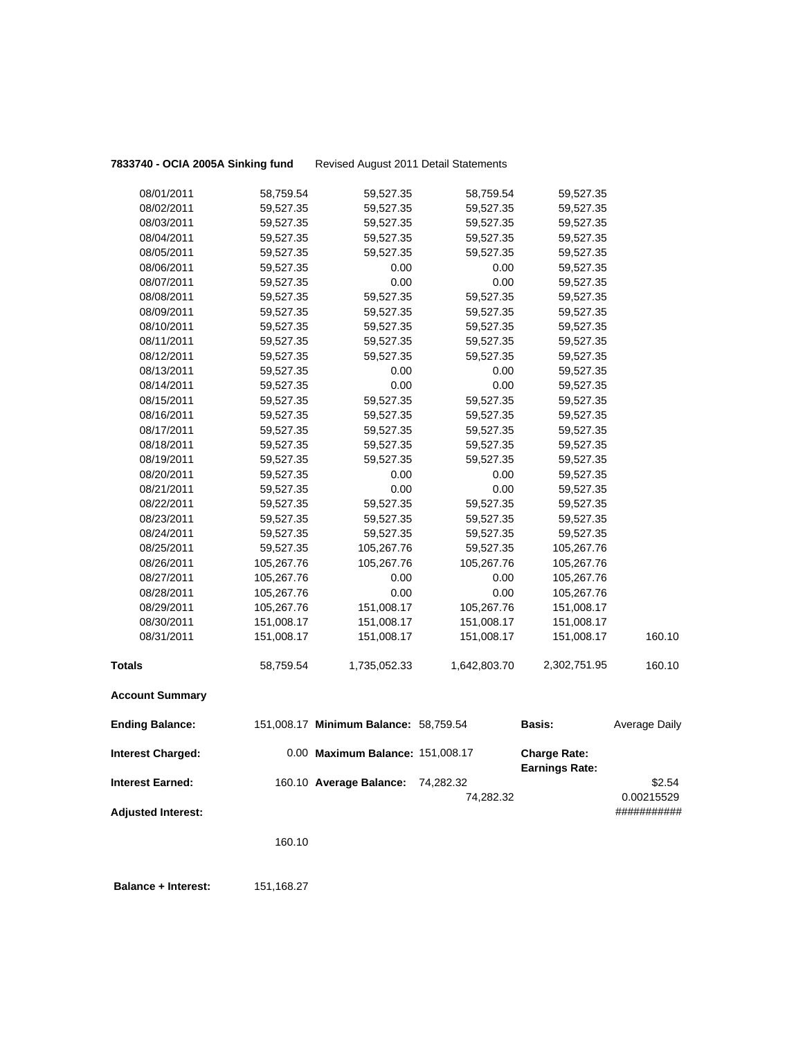## 08/01/2011 58,759.54 59,527.35 58,759.54 59,527.35 08/02/2011 59,527.35 59,527.35 59,527.35 59,527.35 08/03/2011 59,527.35 59,527.35 59,527.35 59,527.35 08/04/2011 59,527.35 59,527.35 59,527.35 59,527.35 08/05/2011 59,527.35 59,527.35 59,527.35 59,527.35 08/06/2011 59,527.35 0.00 0.00 59,527.35 08/07/2011 59,527.35 0.00 0.00 59,527.35 08/08/2011 59,527.35 59,527.35 59,527.35 59,527.35 08/09/2011 59,527.35 59,527.35 59,527.35 59,527.35 08/10/2011 59,527.35 59,527.35 59,527.35 59,527.35 08/11/2011 59,527.35 59,527.35 59,527.35 59,527.35 08/12/2011 59,527.35 59,527.35 59,527.35 59,527.35 08/13/2011 59,527.35 0.00 0.00 59,527.35 08/14/2011 59,527.35 0.00 0.00 59,527.35 08/15/2011 59,527.35 59,527.35 59,527.35 59,527.35 08/16/2011 59,527.35 59,527.35 59,527.35 59,527.35 08/17/2011 59,527.35 59,527.35 59,527.35 59,527.35 08/18/2011 59,527.35 59,527.35 59,527.35 59,527.35 08/19/2011 59,527.35 59,527.35 59,527.35 59,527.35 08/20/2011 59,527.35 0.00 0.00 59,527.35 08/21/2011 59,527.35 0.00 0.00 59,527.35 08/22/2011 59,527.35 59,527.35 59,527.35 59,527.35 08/23/2011 59,527.35 59,527.35 59,527.35 59,527.35 08/24/2011 59,527.35 59,527.35 59,527.35 59,527.35 08/25/2011 59,527.35 105,267.76 59,527.35 105,267.76 08/26/2011 105,267.76 105,267.76 105,267.76 105,267.76 08/27/2011 105,267.76 0.00 0.00 105,267.76 08/28/2011 105,267.76 0.00 0.00 105,267.76 08/29/2011 105,267.76 151,008.17 105,267.76 151,008.17 08/30/2011 151,008.17 151,008.17 151,008.17 151,008.17 08/31/2011 151,008.17 151,008.17 151,008.17 151,008.17 160.10 **Totals** 58,759.54 1,735,052.33 1,642,803.70 2,302,751.95 160.10

**7833740 - OCIA 2005A Sinking fund** Revised August 2011 Detail Statements

### **Account Summary**

| <b>Ending Balance:</b>    | 151,008.17 Minimum Balance: 58,759.54 |           | <b>Basis:</b>                                | Average Daily |
|---------------------------|---------------------------------------|-----------|----------------------------------------------|---------------|
| <b>Interest Charged:</b>  | 0.00 Maximum Balance: 151,008.17      |           | <b>Charge Rate:</b><br><b>Earnings Rate:</b> |               |
| <b>Interest Earned:</b>   | 160.10 Average Balance:               | 74.282.32 |                                              | \$2.54        |
|                           |                                       | 74.282.32 |                                              | 0.00215529    |
| <b>Adjusted Interest:</b> |                                       |           |                                              | ###########   |

160.10

 **Balance + Interest:** 151,168.27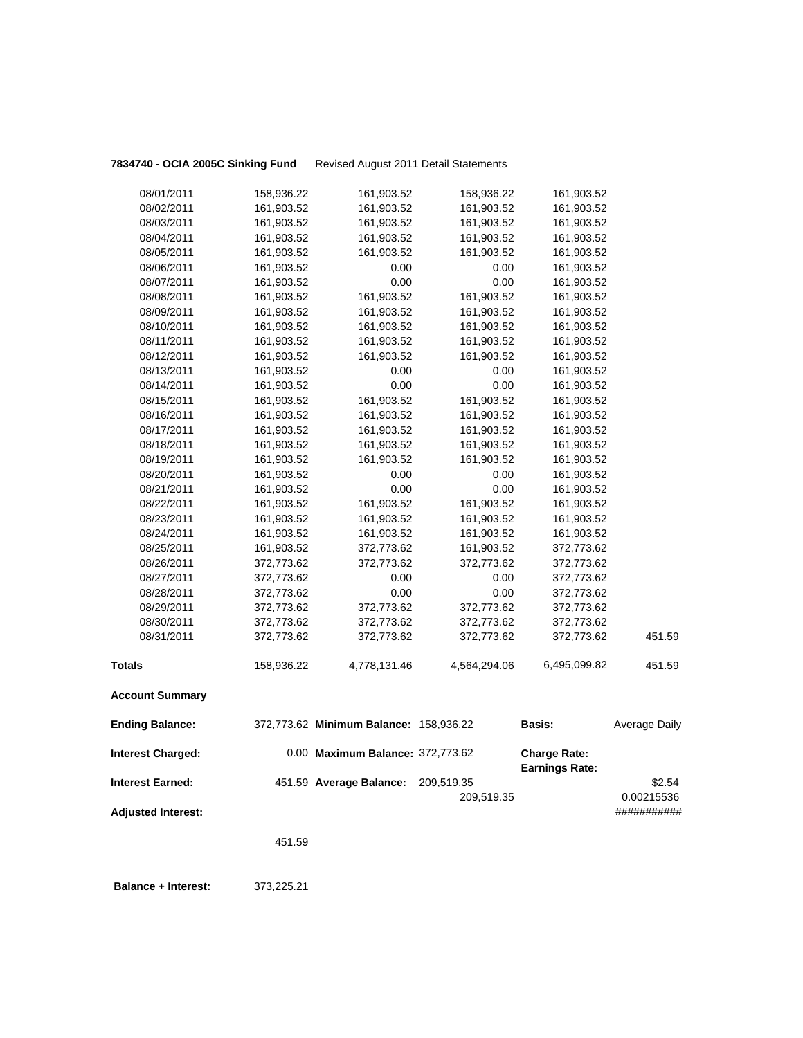**7834740 - OCIA 2005C Sinking Fund** Revised August 2011 Detail Statements

| 08/01/2011                | 158,936.22 | 161,903.52                             | 158,936.22               | 161,903.52            |                      |
|---------------------------|------------|----------------------------------------|--------------------------|-----------------------|----------------------|
| 08/02/2011                | 161,903.52 | 161,903.52                             | 161,903.52               | 161,903.52            |                      |
| 08/03/2011                | 161,903.52 | 161,903.52                             | 161,903.52               | 161,903.52            |                      |
| 08/04/2011                | 161,903.52 | 161,903.52                             | 161,903.52               | 161,903.52            |                      |
| 08/05/2011                | 161,903.52 | 161,903.52                             | 161,903.52               | 161,903.52            |                      |
| 08/06/2011                | 161,903.52 | 0.00                                   | 0.00                     | 161,903.52            |                      |
| 08/07/2011                | 161,903.52 | 0.00                                   | 0.00                     | 161,903.52            |                      |
| 08/08/2011                | 161,903.52 | 161,903.52                             | 161,903.52               | 161,903.52            |                      |
| 08/09/2011                | 161,903.52 | 161,903.52                             | 161,903.52               | 161,903.52            |                      |
| 08/10/2011                | 161,903.52 | 161,903.52                             | 161,903.52               | 161,903.52            |                      |
| 08/11/2011                | 161,903.52 | 161,903.52                             | 161,903.52               | 161,903.52            |                      |
| 08/12/2011                | 161,903.52 | 161,903.52                             | 161,903.52               | 161,903.52            |                      |
| 08/13/2011                | 161,903.52 | 0.00                                   | 0.00                     | 161,903.52            |                      |
| 08/14/2011                | 161,903.52 | 0.00                                   | 0.00                     | 161,903.52            |                      |
| 08/15/2011                | 161,903.52 | 161,903.52                             | 161,903.52               | 161,903.52            |                      |
| 08/16/2011                | 161,903.52 | 161,903.52                             | 161,903.52               | 161,903.52            |                      |
| 08/17/2011                | 161,903.52 | 161,903.52                             | 161,903.52               | 161,903.52            |                      |
| 08/18/2011                | 161,903.52 | 161,903.52                             | 161,903.52               | 161,903.52            |                      |
| 08/19/2011                | 161,903.52 | 161,903.52                             | 161,903.52               | 161,903.52            |                      |
| 08/20/2011                | 161,903.52 | 0.00                                   | 0.00                     | 161,903.52            |                      |
| 08/21/2011                | 161,903.52 | 0.00                                   | 0.00                     | 161,903.52            |                      |
| 08/22/2011                | 161,903.52 | 161,903.52                             | 161,903.52               | 161,903.52            |                      |
| 08/23/2011                | 161,903.52 | 161,903.52                             | 161,903.52               | 161,903.52            |                      |
| 08/24/2011                | 161,903.52 | 161,903.52                             | 161,903.52               | 161,903.52            |                      |
| 08/25/2011                | 161,903.52 | 372,773.62                             | 161,903.52               | 372,773.62            |                      |
| 08/26/2011                | 372,773.62 | 372,773.62                             | 372,773.62               | 372,773.62            |                      |
| 08/27/2011                | 372,773.62 | 0.00                                   | 0.00                     | 372,773.62            |                      |
| 08/28/2011                | 372,773.62 | 0.00                                   | 0.00                     | 372,773.62            |                      |
| 08/29/2011                | 372,773.62 | 372,773.62                             | 372,773.62               | 372,773.62            |                      |
| 08/30/2011                | 372,773.62 | 372,773.62                             | 372,773.62               | 372,773.62            |                      |
| 08/31/2011                | 372,773.62 | 372,773.62                             | 372,773.62               | 372,773.62            | 451.59               |
| <b>Totals</b>             | 158,936.22 | 4,778,131.46                           | 4,564,294.06             | 6,495,099.82          | 451.59               |
| <b>Account Summary</b>    |            |                                        |                          |                       |                      |
| <b>Ending Balance:</b>    |            | 372,773.62 Minimum Balance: 158,936.22 |                          | Basis:                | Average Daily        |
| <b>Interest Charged:</b>  |            | 0.00 Maximum Balance: 372,773.62       |                          | <b>Charge Rate:</b>   |                      |
| <b>Interest Earned:</b>   |            | 451.59 Average Balance:                | 209,519.35<br>209,519.35 | <b>Earnings Rate:</b> | \$2.54<br>0.00215536 |
| <b>Adjusted Interest:</b> |            |                                        |                          |                       | ###########          |

451.59

 **Balance + Interest:** 373,225.21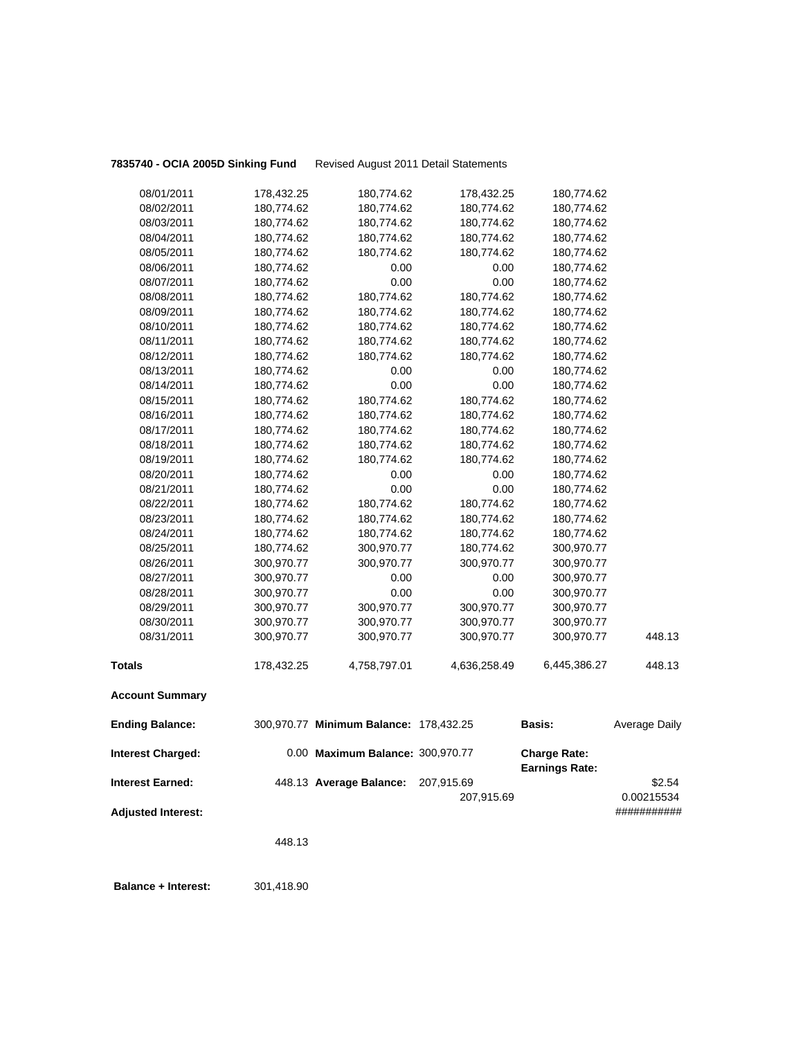**7835740 - OCIA 2005D Sinking Fund** Revised August 2011 Detail Statements

|                                                     | 448.13     |                                                             |              |                                              |                           |
|-----------------------------------------------------|------------|-------------------------------------------------------------|--------------|----------------------------------------------|---------------------------|
| <b>Adjusted Interest:</b>                           |            |                                                             | 207,915.69   |                                              | 0.00215534<br>########### |
| <b>Interest Charged:</b><br><b>Interest Earned:</b> |            | 0.00 Maximum Balance: 300,970.77<br>448.13 Average Balance: | 207,915.69   | <b>Charge Rate:</b><br><b>Earnings Rate:</b> | \$2.54                    |
| <b>Ending Balance:</b>                              |            | 300,970.77 Minimum Balance: 178,432.25                      |              | <b>Basis:</b>                                | Average Daily             |
| <b>Account Summary</b>                              |            |                                                             |              |                                              |                           |
| <b>Totals</b>                                       | 178,432.25 | 4,758,797.01                                                | 4,636,258.49 | 6,445,386.27                                 | 448.13                    |
| 08/31/2011                                          | 300,970.77 | 300,970.77                                                  | 300,970.77   | 300,970.77                                   | 448.13                    |
| 08/30/2011                                          | 300,970.77 | 300,970.77                                                  | 300,970.77   | 300,970.77                                   |                           |
| 08/29/2011                                          | 300,970.77 | 300,970.77                                                  | 300,970.77   | 300,970.77                                   |                           |
| 08/28/2011                                          | 300,970.77 | 0.00                                                        | 0.00         | 300,970.77                                   |                           |
| 08/27/2011                                          | 300,970.77 | 0.00                                                        | 0.00         | 300,970.77                                   |                           |
| 08/26/2011                                          | 300,970.77 | 300,970.77                                                  | 300,970.77   | 300,970.77                                   |                           |
| 08/25/2011                                          | 180,774.62 | 300,970.77                                                  | 180,774.62   | 300,970.77                                   |                           |
| 08/24/2011                                          | 180,774.62 | 180,774.62                                                  | 180,774.62   | 180,774.62                                   |                           |
| 08/23/2011                                          | 180,774.62 | 180,774.62                                                  | 180,774.62   | 180,774.62                                   |                           |
| 08/22/2011                                          | 180,774.62 | 180,774.62                                                  | 180,774.62   | 180,774.62                                   |                           |
| 08/21/2011                                          | 180,774.62 | 0.00                                                        | 0.00         | 180,774.62                                   |                           |
| 08/20/2011                                          | 180,774.62 | 0.00                                                        | 0.00         | 180,774.62                                   |                           |
| 08/19/2011                                          | 180,774.62 | 180,774.62                                                  | 180,774.62   | 180,774.62                                   |                           |
| 08/18/2011                                          | 180,774.62 | 180,774.62                                                  | 180,774.62   | 180,774.62                                   |                           |
| 08/17/2011                                          | 180,774.62 | 180,774.62                                                  | 180,774.62   | 180,774.62                                   |                           |
| 08/16/2011                                          | 180,774.62 | 180,774.62                                                  | 180,774.62   | 180,774.62                                   |                           |
| 08/15/2011                                          | 180,774.62 | 180,774.62                                                  | 180,774.62   | 180,774.62                                   |                           |
| 08/14/2011                                          | 180,774.62 | 0.00                                                        | 0.00         | 180,774.62                                   |                           |
| 08/13/2011                                          | 180,774.62 | 0.00                                                        | 0.00         | 180,774.62                                   |                           |
| 08/12/2011                                          | 180,774.62 | 180,774.62                                                  | 180,774.62   | 180,774.62                                   |                           |
| 08/11/2011                                          | 180,774.62 | 180,774.62                                                  | 180,774.62   | 180,774.62                                   |                           |
| 08/10/2011                                          | 180,774.62 | 180,774.62                                                  | 180,774.62   | 180,774.62                                   |                           |
| 08/09/2011                                          | 180,774.62 | 180,774.62                                                  | 180,774.62   | 180,774.62                                   |                           |
| 08/08/2011                                          | 180,774.62 | 180,774.62                                                  | 180,774.62   | 180,774.62                                   |                           |
| 08/07/2011                                          | 180,774.62 | 0.00                                                        | 0.00         | 180,774.62                                   |                           |
| 08/06/2011                                          | 180,774.62 | 0.00                                                        | 0.00         | 180,774.62                                   |                           |
| 08/05/2011                                          | 180,774.62 | 180,774.62                                                  | 180,774.62   | 180,774.62                                   |                           |
| 08/04/2011                                          | 180,774.62 | 180,774.62                                                  | 180,774.62   | 180,774.62                                   |                           |
| 08/03/2011                                          | 180,774.62 | 180,774.62                                                  | 180,774.62   | 180,774.62                                   |                           |
| 08/02/2011                                          | 180,774.62 | 180,774.62                                                  | 180,774.62   | 180,774.62                                   |                           |
| 08/01/2011                                          | 178,432.25 | 180,774.62                                                  | 178,432.25   | 180,774.62                                   |                           |

**Balance + Interest:** 301,418.90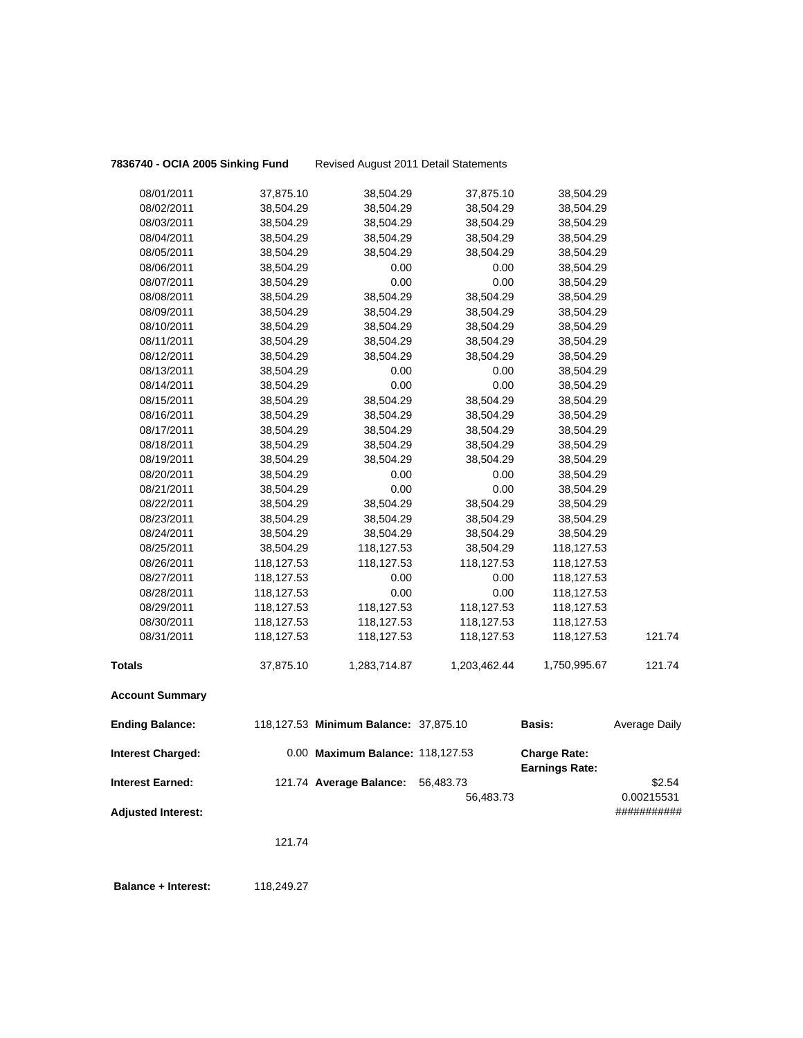| 08/01/2011                | 37,875.10  | 38,504.29                             | 37,875.10    | 38,504.29                                    |                      |
|---------------------------|------------|---------------------------------------|--------------|----------------------------------------------|----------------------|
| 08/02/2011                | 38,504.29  | 38,504.29                             | 38,504.29    | 38,504.29                                    |                      |
| 08/03/2011                | 38,504.29  | 38,504.29                             | 38,504.29    | 38,504.29                                    |                      |
| 08/04/2011                | 38,504.29  | 38,504.29                             | 38,504.29    | 38,504.29                                    |                      |
| 08/05/2011                | 38,504.29  | 38,504.29                             | 38,504.29    | 38,504.29                                    |                      |
| 08/06/2011                | 38,504.29  | 0.00                                  | 0.00         | 38,504.29                                    |                      |
| 08/07/2011                | 38,504.29  | 0.00                                  | 0.00         | 38,504.29                                    |                      |
| 08/08/2011                | 38,504.29  | 38,504.29                             | 38,504.29    | 38,504.29                                    |                      |
| 08/09/2011                | 38,504.29  | 38,504.29                             | 38,504.29    | 38,504.29                                    |                      |
| 08/10/2011                | 38,504.29  | 38,504.29                             | 38,504.29    | 38,504.29                                    |                      |
| 08/11/2011                | 38,504.29  | 38,504.29                             | 38,504.29    | 38,504.29                                    |                      |
| 08/12/2011                | 38,504.29  | 38,504.29                             | 38,504.29    | 38,504.29                                    |                      |
| 08/13/2011                | 38,504.29  | 0.00                                  | 0.00         | 38,504.29                                    |                      |
| 08/14/2011                | 38,504.29  | 0.00                                  | 0.00         | 38,504.29                                    |                      |
| 08/15/2011                | 38,504.29  | 38,504.29                             | 38,504.29    | 38,504.29                                    |                      |
| 08/16/2011                | 38,504.29  | 38,504.29                             | 38,504.29    | 38,504.29                                    |                      |
| 08/17/2011                | 38,504.29  | 38,504.29                             | 38,504.29    | 38,504.29                                    |                      |
| 08/18/2011                | 38,504.29  | 38,504.29                             | 38,504.29    | 38,504.29                                    |                      |
| 08/19/2011                | 38,504.29  | 38,504.29                             | 38,504.29    | 38,504.29                                    |                      |
| 08/20/2011                | 38,504.29  | 0.00                                  | 0.00         | 38,504.29                                    |                      |
| 08/21/2011                | 38,504.29  | 0.00                                  | 0.00         | 38,504.29                                    |                      |
| 08/22/2011                | 38,504.29  | 38,504.29                             | 38,504.29    | 38,504.29                                    |                      |
| 08/23/2011                | 38,504.29  | 38,504.29                             | 38,504.29    | 38,504.29                                    |                      |
| 08/24/2011                | 38,504.29  | 38,504.29                             | 38,504.29    | 38,504.29                                    |                      |
| 08/25/2011                | 38,504.29  | 118,127.53                            | 38,504.29    | 118,127.53                                   |                      |
| 08/26/2011                | 118,127.53 | 118,127.53                            | 118,127.53   | 118,127.53                                   |                      |
| 08/27/2011                | 118,127.53 | 0.00                                  | 0.00         | 118,127.53                                   |                      |
| 08/28/2011                | 118,127.53 | 0.00                                  | 0.00         | 118,127.53                                   |                      |
| 08/29/2011                | 118,127.53 | 118,127.53                            | 118,127.53   | 118,127.53                                   |                      |
| 08/30/2011                | 118,127.53 | 118,127.53                            | 118,127.53   | 118,127.53                                   |                      |
| 08/31/2011                | 118,127.53 | 118,127.53                            | 118,127.53   | 118,127.53                                   | 121.74               |
| <b>Totals</b>             | 37,875.10  | 1,283,714.87                          | 1,203,462.44 | 1,750,995.67                                 | 121.74               |
| <b>Account Summary</b>    |            |                                       |              |                                              |                      |
| <b>Ending Balance:</b>    |            | 118,127.53 Minimum Balance: 37,875.10 |              | <b>Basis:</b>                                | <b>Average Daily</b> |
| <b>Interest Charged:</b>  |            | 0.00 Maximum Balance: 118,127.53      |              | <b>Charge Rate:</b><br><b>Earnings Rate:</b> |                      |
| <b>Interest Earned:</b>   |            | 121.74 Average Balance:               | 56,483.73    |                                              | \$2.54               |
|                           |            |                                       | 56,483.73    |                                              | 0.00215531           |
| <b>Adjusted Interest:</b> |            |                                       |              |                                              | ###########          |
|                           |            |                                       |              |                                              |                      |
|                           | 121.74     |                                       |              |                                              |                      |
|                           |            |                                       |              |                                              |                      |

**7836740 - OCIA 2005 Sinking Fund** Revised August 2011 Detail Statements

**Balance + Interest:** 118,249.27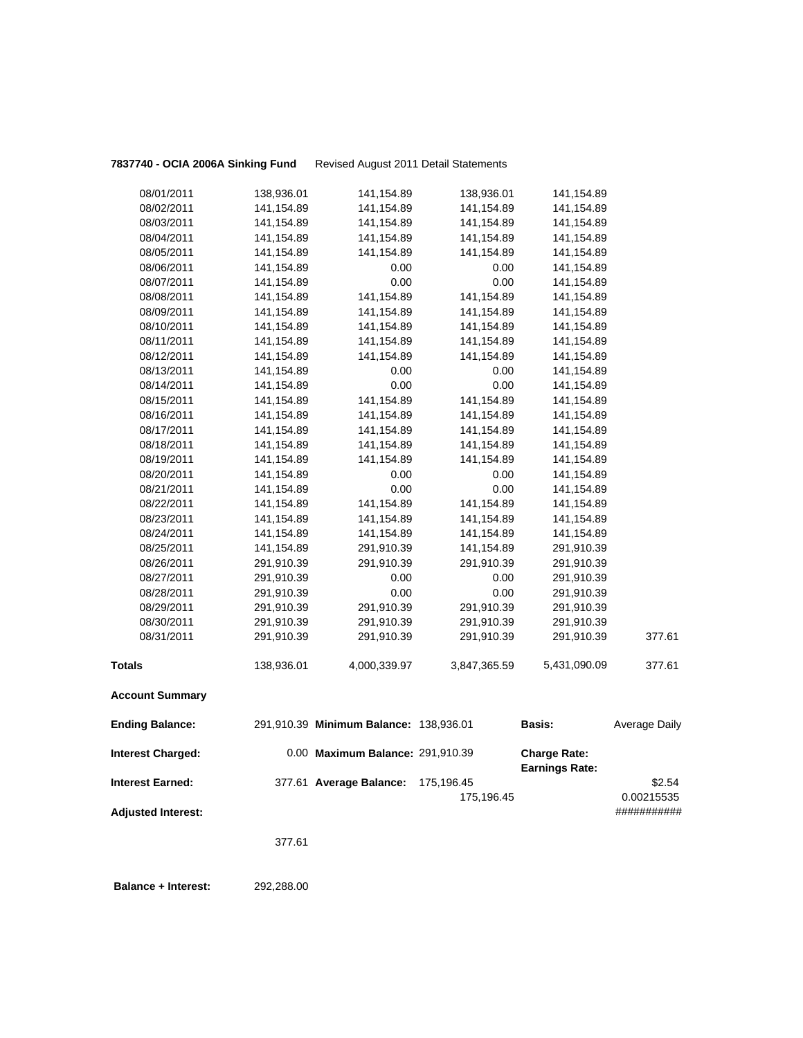**7837740 - OCIA 2006A Sinking Fund** Revised August 2011 Detail Statements

| <b>Ending Balance:</b> |            | 291,910.39 Minimum Balance: 138,936.01 |              | <b>Basis:</b> | Average Daily |
|------------------------|------------|----------------------------------------|--------------|---------------|---------------|
| <b>Account Summary</b> |            |                                        |              |               |               |
| <b>Totals</b>          | 138,936.01 | 4,000,339.97                           | 3,847,365.59 | 5,431,090.09  | 377.61        |
| 08/31/2011             | 291,910.39 | 291,910.39                             | 291,910.39   | 291,910.39    | 377.61        |
| 08/30/2011             | 291,910.39 | 291,910.39                             | 291,910.39   | 291,910.39    |               |
| 08/29/2011             | 291,910.39 | 291,910.39                             | 291,910.39   | 291,910.39    |               |
| 08/28/2011             | 291,910.39 | 0.00                                   | 0.00         | 291,910.39    |               |
| 08/27/2011             | 291,910.39 | 0.00                                   | 0.00         | 291,910.39    |               |
| 08/26/2011             | 291,910.39 | 291,910.39                             | 291,910.39   | 291,910.39    |               |
| 08/25/2011             | 141,154.89 | 291,910.39                             | 141,154.89   | 291,910.39    |               |
| 08/24/2011             | 141,154.89 | 141,154.89                             | 141,154.89   | 141,154.89    |               |
| 08/23/2011             | 141,154.89 | 141,154.89                             | 141,154.89   | 141,154.89    |               |
| 08/22/2011             | 141,154.89 | 141,154.89                             | 141,154.89   | 141,154.89    |               |
| 08/21/2011             | 141,154.89 | 0.00                                   | 0.00         | 141,154.89    |               |
| 08/20/2011             | 141,154.89 | 0.00                                   | 0.00         | 141,154.89    |               |
| 08/19/2011             | 141,154.89 | 141,154.89                             | 141,154.89   | 141, 154.89   |               |
| 08/18/2011             | 141,154.89 | 141,154.89                             | 141,154.89   | 141, 154.89   |               |
| 08/17/2011             | 141,154.89 | 141,154.89                             | 141,154.89   | 141,154.89    |               |
| 08/16/2011             | 141,154.89 | 141,154.89                             | 141,154.89   | 141, 154.89   |               |
| 08/15/2011             | 141,154.89 | 141,154.89                             | 141,154.89   | 141, 154.89   |               |
| 08/14/2011             | 141,154.89 | 0.00                                   | 0.00         | 141,154.89    |               |
| 08/13/2011             | 141,154.89 | 0.00                                   | 0.00         | 141,154.89    |               |
| 08/12/2011             | 141,154.89 | 141,154.89                             | 141,154.89   | 141, 154.89   |               |
| 08/11/2011             | 141,154.89 | 141,154.89                             | 141,154.89   | 141, 154.89   |               |
| 08/10/2011             | 141,154.89 | 141,154.89                             | 141,154.89   | 141,154.89    |               |
| 08/09/2011             | 141,154.89 | 141,154.89                             | 141,154.89   | 141, 154.89   |               |
| 08/08/2011             | 141,154.89 | 141,154.89                             | 141,154.89   | 141, 154.89   |               |
| 08/07/2011             | 141,154.89 | 0.00                                   | 0.00         | 141,154.89    |               |
| 08/06/2011             | 141,154.89 | 0.00                                   | 0.00         | 141,154.89    |               |
| 08/05/2011             | 141,154.89 | 141,154.89                             | 141,154.89   | 141,154.89    |               |
| 08/04/2011             | 141,154.89 | 141,154.89                             | 141,154.89   | 141,154.89    |               |
| 08/03/2011             | 141,154.89 | 141,154.89                             | 141,154.89   | 141,154.89    |               |
| 08/02/2011             | 141,154.89 | 141,154.89                             | 141,154.89   | 141,154.89    |               |
| 08/01/2011             | 138,936.01 | 141,154.89                             | 138,936.01   | 141,154.89    |               |

| <b>Interest Charged:</b>  | 0.00 Maximum Balance: 291,910.39   |            | <b>Charge Rate:</b><br><b>Earnings Rate:</b> |             |
|---------------------------|------------------------------------|------------|----------------------------------------------|-------------|
| <b>Interest Earned:</b>   | 377.61 Average Balance: 175,196.45 |            |                                              | \$2.54      |
|                           |                                    | 175.196.45 |                                              | 0.00215535  |
| <b>Adjusted Interest:</b> |                                    |            |                                              | ########### |

377.61

 **Balance + Interest:** 292,288.00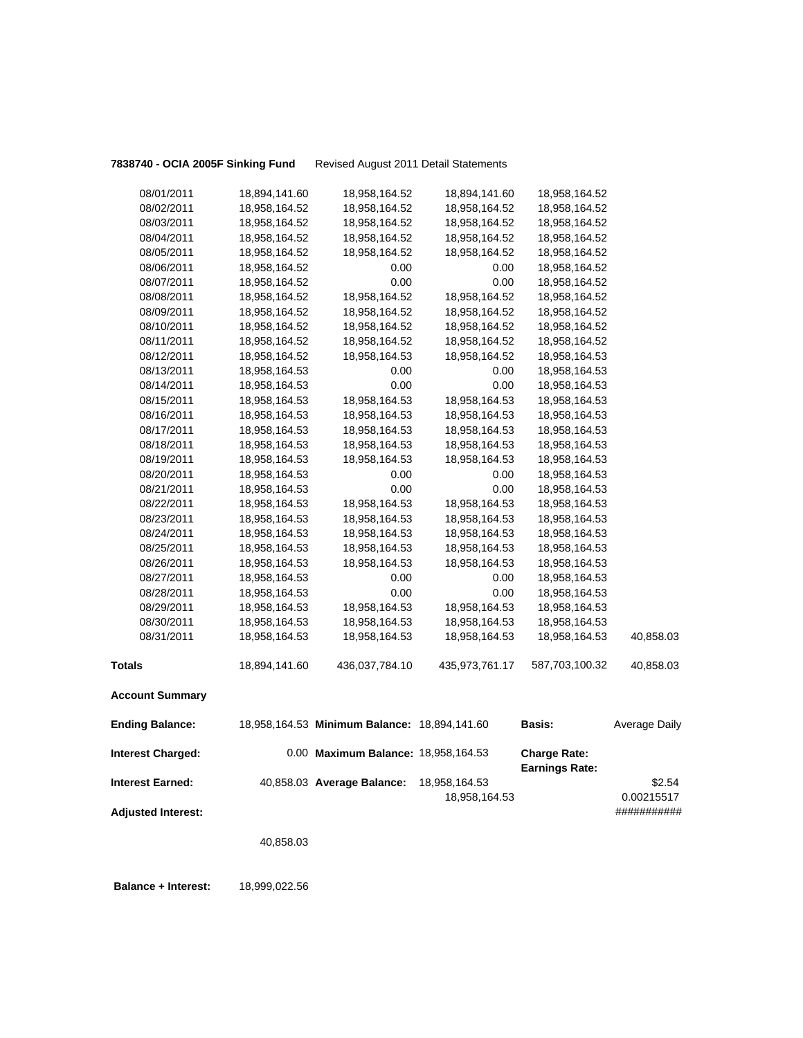**7838740 - OCIA 2005F Sinking Fund** Revised August 2011 Detail Statements

| 08/01/2011                | 18,894,141.60 | 18,958,164.52                                | 18,894,141.60  | 18,958,164.52                                |                      |
|---------------------------|---------------|----------------------------------------------|----------------|----------------------------------------------|----------------------|
| 08/02/2011                | 18,958,164.52 | 18,958,164.52                                | 18,958,164.52  | 18,958,164.52                                |                      |
| 08/03/2011                | 18,958,164.52 | 18,958,164.52                                | 18,958,164.52  | 18,958,164.52                                |                      |
| 08/04/2011                | 18,958,164.52 | 18,958,164.52                                | 18,958,164.52  | 18,958,164.52                                |                      |
| 08/05/2011                | 18,958,164.52 | 18,958,164.52                                | 18,958,164.52  | 18,958,164.52                                |                      |
| 08/06/2011                | 18,958,164.52 | 0.00                                         | 0.00           | 18,958,164.52                                |                      |
| 08/07/2011                | 18,958,164.52 | 0.00                                         | 0.00           | 18,958,164.52                                |                      |
| 08/08/2011                | 18,958,164.52 | 18,958,164.52                                | 18,958,164.52  | 18,958,164.52                                |                      |
| 08/09/2011                | 18,958,164.52 | 18,958,164.52                                | 18,958,164.52  | 18,958,164.52                                |                      |
| 08/10/2011                | 18,958,164.52 | 18,958,164.52                                | 18,958,164.52  | 18,958,164.52                                |                      |
| 08/11/2011                | 18,958,164.52 | 18,958,164.52                                | 18,958,164.52  | 18,958,164.52                                |                      |
| 08/12/2011                | 18,958,164.52 | 18,958,164.53                                | 18,958,164.52  | 18,958,164.53                                |                      |
| 08/13/2011                | 18,958,164.53 | 0.00                                         | 0.00           | 18,958,164.53                                |                      |
| 08/14/2011                | 18,958,164.53 | 0.00                                         | 0.00           | 18,958,164.53                                |                      |
| 08/15/2011                | 18,958,164.53 | 18,958,164.53                                | 18,958,164.53  | 18,958,164.53                                |                      |
| 08/16/2011                | 18,958,164.53 | 18,958,164.53                                | 18,958,164.53  | 18,958,164.53                                |                      |
| 08/17/2011                | 18,958,164.53 | 18,958,164.53                                | 18,958,164.53  | 18,958,164.53                                |                      |
| 08/18/2011                | 18,958,164.53 | 18,958,164.53                                | 18,958,164.53  | 18,958,164.53                                |                      |
| 08/19/2011                | 18,958,164.53 | 18,958,164.53                                | 18,958,164.53  | 18,958,164.53                                |                      |
| 08/20/2011                | 18,958,164.53 | 0.00                                         | 0.00           | 18,958,164.53                                |                      |
| 08/21/2011                | 18,958,164.53 | 0.00                                         | 0.00           | 18,958,164.53                                |                      |
| 08/22/2011                | 18,958,164.53 | 18,958,164.53                                | 18,958,164.53  | 18,958,164.53                                |                      |
| 08/23/2011                | 18,958,164.53 | 18,958,164.53                                | 18,958,164.53  | 18,958,164.53                                |                      |
| 08/24/2011                | 18,958,164.53 | 18,958,164.53                                | 18,958,164.53  | 18,958,164.53                                |                      |
| 08/25/2011                | 18,958,164.53 | 18,958,164.53                                | 18,958,164.53  | 18,958,164.53                                |                      |
| 08/26/2011                | 18,958,164.53 | 18,958,164.53                                | 18,958,164.53  | 18,958,164.53                                |                      |
| 08/27/2011                | 18,958,164.53 | 0.00                                         | 0.00           | 18,958,164.53                                |                      |
| 08/28/2011                | 18,958,164.53 | $0.00\,$                                     | 0.00           | 18,958,164.53                                |                      |
| 08/29/2011                | 18,958,164.53 | 18,958,164.53                                | 18,958,164.53  | 18,958,164.53                                |                      |
| 08/30/2011                | 18,958,164.53 | 18,958,164.53                                | 18,958,164.53  | 18,958,164.53                                |                      |
| 08/31/2011                | 18,958,164.53 | 18,958,164.53                                | 18,958,164.53  | 18,958,164.53                                | 40,858.03            |
| <b>Totals</b>             | 18,894,141.60 | 436,037,784.10                               | 435,973,761.17 | 587,703,100.32                               | 40,858.03            |
| <b>Account Summary</b>    |               |                                              |                |                                              |                      |
| <b>Ending Balance:</b>    |               | 18,958,164.53 Minimum Balance: 18,894,141.60 |                | <b>Basis:</b>                                | <b>Average Daily</b> |
| <b>Interest Charged:</b>  |               | 0.00 Maximum Balance: 18,958,164.53          |                | <b>Charge Rate:</b><br><b>Earnings Rate:</b> |                      |
| <b>Interest Earned:</b>   |               | 40,858.03 Average Balance:                   | 18,958,164.53  |                                              | \$2.54               |
|                           |               |                                              | 18,958,164.53  |                                              | 0.00215517           |
| <b>Adjusted Interest:</b> |               |                                              |                |                                              | ###########          |
|                           |               |                                              |                |                                              |                      |
|                           | 40,858.03     |                                              |                |                                              |                      |
|                           |               |                                              |                |                                              |                      |

 **Balance + Interest:** 18,999,022.56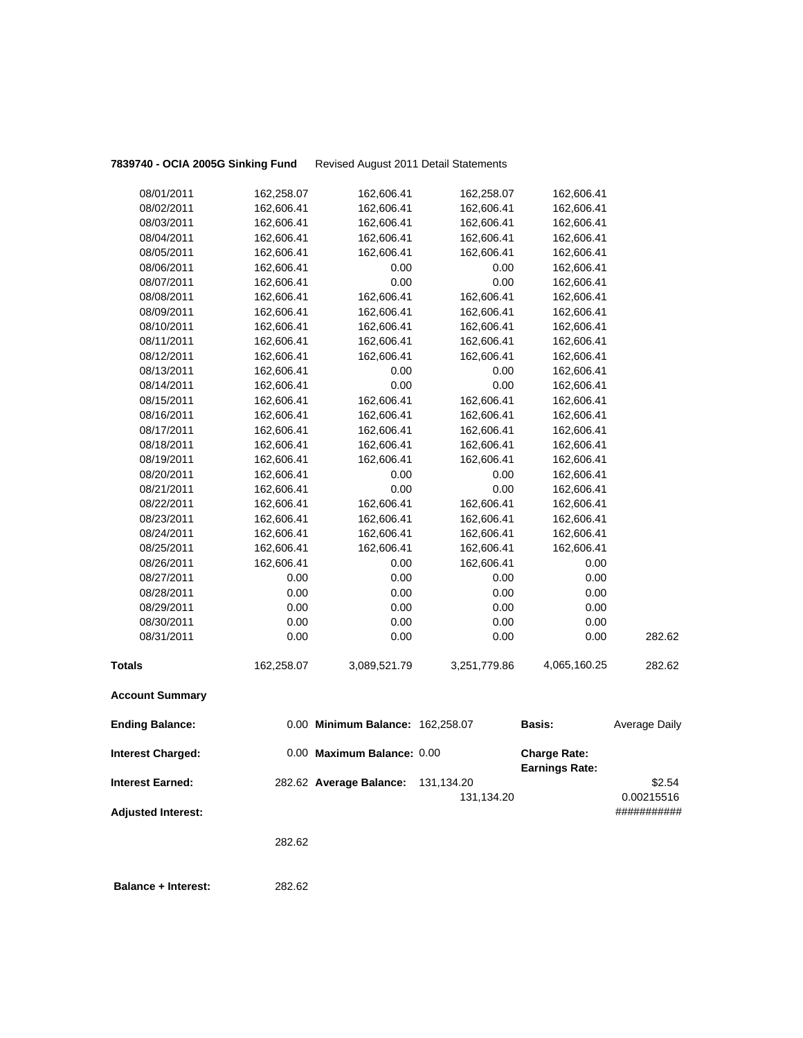**7839740 - OCIA 2005G Sinking Fund** Revised August 2011 Detail Statements

| 08/02/2011<br>162,606.41<br>162,606.41<br>162,606.41<br>162,606.41<br>08/03/2011<br>162,606.41<br>162,606.41<br>162,606.41<br>162,606.41<br>08/04/2011<br>162,606.41<br>162,606.41<br>162,606.41<br>162,606.41<br>08/05/2011<br>162,606.41<br>162,606.41<br>162,606.41<br>162,606.41<br>08/06/2011<br>162,606.41<br>0.00<br>0.00<br>162,606.41<br>0.00<br>08/07/2011<br>162,606.41<br>0.00<br>162,606.41<br>162,606.41<br>162,606.41<br>08/08/2011<br>162,606.41<br>162,606.41<br>08/09/2011<br>162,606.41<br>162,606.41<br>162,606.41<br>162,606.41<br>08/10/2011<br>162,606.41<br>162,606.41<br>162,606.41<br>162,606.41<br>08/11/2011<br>162,606.41<br>162,606.41<br>162,606.41<br>162,606.41<br>162,606.41<br>162,606.41<br>08/12/2011<br>162,606.41<br>162,606.41<br>08/13/2011<br>162,606.41<br>0.00<br>162,606.41<br>0.00<br>0.00<br>0.00<br>08/14/2011<br>162,606.41<br>162,606.41<br>08/15/2011<br>162,606.41<br>162,606.41<br>162,606.41<br>162,606.41<br>08/16/2011<br>162,606.41<br>162,606.41<br>162,606.41<br>162,606.41<br>08/17/2011<br>162,606.41<br>162,606.41<br>162,606.41<br>162,606.41<br>08/18/2011<br>162,606.41<br>162,606.41<br>162,606.41<br>162,606.41<br>08/19/2011<br>162,606.41<br>162,606.41<br>162,606.41<br>162,606.41<br>08/20/2011<br>162,606.41<br>0.00<br>0.00<br>162,606.41<br>08/21/2011<br>162,606.41<br>0.00<br>0.00<br>162,606.41<br>08/22/2011<br>162,606.41<br>162,606.41<br>162,606.41<br>162,606.41<br>08/23/2011<br>162,606.41<br>162,606.41<br>162,606.41<br>162,606.41<br>08/24/2011<br>162,606.41<br>162,606.41<br>162,606.41<br>162,606.41<br>08/25/2011<br>162,606.41<br>162,606.41<br>162,606.41<br>162,606.41<br>08/26/2011<br>162,606.41<br>0.00<br>162,606.41<br>0.00<br>08/27/2011<br>0.00<br>0.00<br>0.00<br>0.00<br>0.00<br>0.00<br>0.00<br>0.00<br>08/28/2011<br>0.00<br>0.00<br>08/29/2011<br>0.00<br>0.00<br>0.00<br>0.00<br>08/30/2011<br>0.00<br>0.00<br>0.00<br>0.00<br>0.00<br>282.62<br>08/31/2011<br>0.00<br><b>Totals</b><br>4,065,160.25<br>282.62<br>162,258.07<br>3,089,521.79<br>3,251,779.86<br><b>Account Summary</b><br><b>Ending Balance:</b><br>0.00 Minimum Balance: 162,258.07<br>Basis:<br><b>Average Daily</b><br>0.00 Maximum Balance: 0.00<br><b>Interest Charged:</b><br><b>Charge Rate:</b><br><b>Earnings Rate:</b><br>\$2.54<br><b>Interest Earned:</b><br>282.62 Average Balance:<br>131,134.20<br>0.00215516<br>131,134.20<br><b>Adjusted Interest:</b><br>###########<br>282.62 | 08/01/2011 | 162,258.07 | 162,606.41 | 162,258.07 | 162,606.41 |  |
|-----------------------------------------------------------------------------------------------------------------------------------------------------------------------------------------------------------------------------------------------------------------------------------------------------------------------------------------------------------------------------------------------------------------------------------------------------------------------------------------------------------------------------------------------------------------------------------------------------------------------------------------------------------------------------------------------------------------------------------------------------------------------------------------------------------------------------------------------------------------------------------------------------------------------------------------------------------------------------------------------------------------------------------------------------------------------------------------------------------------------------------------------------------------------------------------------------------------------------------------------------------------------------------------------------------------------------------------------------------------------------------------------------------------------------------------------------------------------------------------------------------------------------------------------------------------------------------------------------------------------------------------------------------------------------------------------------------------------------------------------------------------------------------------------------------------------------------------------------------------------------------------------------------------------------------------------------------------------------------------------------------------------------------------------------------------------------------------------------------------------------------------------------------------------------------------------------------------------------------------------------------------------------------------------------------------------------------------------------------------------------------------------------------------------------------------------------------------------------|------------|------------|------------|------------|------------|--|
|                                                                                                                                                                                                                                                                                                                                                                                                                                                                                                                                                                                                                                                                                                                                                                                                                                                                                                                                                                                                                                                                                                                                                                                                                                                                                                                                                                                                                                                                                                                                                                                                                                                                                                                                                                                                                                                                                                                                                                                                                                                                                                                                                                                                                                                                                                                                                                                                                                                                             |            |            |            |            |            |  |
|                                                                                                                                                                                                                                                                                                                                                                                                                                                                                                                                                                                                                                                                                                                                                                                                                                                                                                                                                                                                                                                                                                                                                                                                                                                                                                                                                                                                                                                                                                                                                                                                                                                                                                                                                                                                                                                                                                                                                                                                                                                                                                                                                                                                                                                                                                                                                                                                                                                                             |            |            |            |            |            |  |
|                                                                                                                                                                                                                                                                                                                                                                                                                                                                                                                                                                                                                                                                                                                                                                                                                                                                                                                                                                                                                                                                                                                                                                                                                                                                                                                                                                                                                                                                                                                                                                                                                                                                                                                                                                                                                                                                                                                                                                                                                                                                                                                                                                                                                                                                                                                                                                                                                                                                             |            |            |            |            |            |  |
|                                                                                                                                                                                                                                                                                                                                                                                                                                                                                                                                                                                                                                                                                                                                                                                                                                                                                                                                                                                                                                                                                                                                                                                                                                                                                                                                                                                                                                                                                                                                                                                                                                                                                                                                                                                                                                                                                                                                                                                                                                                                                                                                                                                                                                                                                                                                                                                                                                                                             |            |            |            |            |            |  |
|                                                                                                                                                                                                                                                                                                                                                                                                                                                                                                                                                                                                                                                                                                                                                                                                                                                                                                                                                                                                                                                                                                                                                                                                                                                                                                                                                                                                                                                                                                                                                                                                                                                                                                                                                                                                                                                                                                                                                                                                                                                                                                                                                                                                                                                                                                                                                                                                                                                                             |            |            |            |            |            |  |
|                                                                                                                                                                                                                                                                                                                                                                                                                                                                                                                                                                                                                                                                                                                                                                                                                                                                                                                                                                                                                                                                                                                                                                                                                                                                                                                                                                                                                                                                                                                                                                                                                                                                                                                                                                                                                                                                                                                                                                                                                                                                                                                                                                                                                                                                                                                                                                                                                                                                             |            |            |            |            |            |  |
|                                                                                                                                                                                                                                                                                                                                                                                                                                                                                                                                                                                                                                                                                                                                                                                                                                                                                                                                                                                                                                                                                                                                                                                                                                                                                                                                                                                                                                                                                                                                                                                                                                                                                                                                                                                                                                                                                                                                                                                                                                                                                                                                                                                                                                                                                                                                                                                                                                                                             |            |            |            |            |            |  |
|                                                                                                                                                                                                                                                                                                                                                                                                                                                                                                                                                                                                                                                                                                                                                                                                                                                                                                                                                                                                                                                                                                                                                                                                                                                                                                                                                                                                                                                                                                                                                                                                                                                                                                                                                                                                                                                                                                                                                                                                                                                                                                                                                                                                                                                                                                                                                                                                                                                                             |            |            |            |            |            |  |
|                                                                                                                                                                                                                                                                                                                                                                                                                                                                                                                                                                                                                                                                                                                                                                                                                                                                                                                                                                                                                                                                                                                                                                                                                                                                                                                                                                                                                                                                                                                                                                                                                                                                                                                                                                                                                                                                                                                                                                                                                                                                                                                                                                                                                                                                                                                                                                                                                                                                             |            |            |            |            |            |  |
|                                                                                                                                                                                                                                                                                                                                                                                                                                                                                                                                                                                                                                                                                                                                                                                                                                                                                                                                                                                                                                                                                                                                                                                                                                                                                                                                                                                                                                                                                                                                                                                                                                                                                                                                                                                                                                                                                                                                                                                                                                                                                                                                                                                                                                                                                                                                                                                                                                                                             |            |            |            |            |            |  |
|                                                                                                                                                                                                                                                                                                                                                                                                                                                                                                                                                                                                                                                                                                                                                                                                                                                                                                                                                                                                                                                                                                                                                                                                                                                                                                                                                                                                                                                                                                                                                                                                                                                                                                                                                                                                                                                                                                                                                                                                                                                                                                                                                                                                                                                                                                                                                                                                                                                                             |            |            |            |            |            |  |
|                                                                                                                                                                                                                                                                                                                                                                                                                                                                                                                                                                                                                                                                                                                                                                                                                                                                                                                                                                                                                                                                                                                                                                                                                                                                                                                                                                                                                                                                                                                                                                                                                                                                                                                                                                                                                                                                                                                                                                                                                                                                                                                                                                                                                                                                                                                                                                                                                                                                             |            |            |            |            |            |  |
|                                                                                                                                                                                                                                                                                                                                                                                                                                                                                                                                                                                                                                                                                                                                                                                                                                                                                                                                                                                                                                                                                                                                                                                                                                                                                                                                                                                                                                                                                                                                                                                                                                                                                                                                                                                                                                                                                                                                                                                                                                                                                                                                                                                                                                                                                                                                                                                                                                                                             |            |            |            |            |            |  |
|                                                                                                                                                                                                                                                                                                                                                                                                                                                                                                                                                                                                                                                                                                                                                                                                                                                                                                                                                                                                                                                                                                                                                                                                                                                                                                                                                                                                                                                                                                                                                                                                                                                                                                                                                                                                                                                                                                                                                                                                                                                                                                                                                                                                                                                                                                                                                                                                                                                                             |            |            |            |            |            |  |
|                                                                                                                                                                                                                                                                                                                                                                                                                                                                                                                                                                                                                                                                                                                                                                                                                                                                                                                                                                                                                                                                                                                                                                                                                                                                                                                                                                                                                                                                                                                                                                                                                                                                                                                                                                                                                                                                                                                                                                                                                                                                                                                                                                                                                                                                                                                                                                                                                                                                             |            |            |            |            |            |  |
|                                                                                                                                                                                                                                                                                                                                                                                                                                                                                                                                                                                                                                                                                                                                                                                                                                                                                                                                                                                                                                                                                                                                                                                                                                                                                                                                                                                                                                                                                                                                                                                                                                                                                                                                                                                                                                                                                                                                                                                                                                                                                                                                                                                                                                                                                                                                                                                                                                                                             |            |            |            |            |            |  |
|                                                                                                                                                                                                                                                                                                                                                                                                                                                                                                                                                                                                                                                                                                                                                                                                                                                                                                                                                                                                                                                                                                                                                                                                                                                                                                                                                                                                                                                                                                                                                                                                                                                                                                                                                                                                                                                                                                                                                                                                                                                                                                                                                                                                                                                                                                                                                                                                                                                                             |            |            |            |            |            |  |
|                                                                                                                                                                                                                                                                                                                                                                                                                                                                                                                                                                                                                                                                                                                                                                                                                                                                                                                                                                                                                                                                                                                                                                                                                                                                                                                                                                                                                                                                                                                                                                                                                                                                                                                                                                                                                                                                                                                                                                                                                                                                                                                                                                                                                                                                                                                                                                                                                                                                             |            |            |            |            |            |  |
|                                                                                                                                                                                                                                                                                                                                                                                                                                                                                                                                                                                                                                                                                                                                                                                                                                                                                                                                                                                                                                                                                                                                                                                                                                                                                                                                                                                                                                                                                                                                                                                                                                                                                                                                                                                                                                                                                                                                                                                                                                                                                                                                                                                                                                                                                                                                                                                                                                                                             |            |            |            |            |            |  |
|                                                                                                                                                                                                                                                                                                                                                                                                                                                                                                                                                                                                                                                                                                                                                                                                                                                                                                                                                                                                                                                                                                                                                                                                                                                                                                                                                                                                                                                                                                                                                                                                                                                                                                                                                                                                                                                                                                                                                                                                                                                                                                                                                                                                                                                                                                                                                                                                                                                                             |            |            |            |            |            |  |
|                                                                                                                                                                                                                                                                                                                                                                                                                                                                                                                                                                                                                                                                                                                                                                                                                                                                                                                                                                                                                                                                                                                                                                                                                                                                                                                                                                                                                                                                                                                                                                                                                                                                                                                                                                                                                                                                                                                                                                                                                                                                                                                                                                                                                                                                                                                                                                                                                                                                             |            |            |            |            |            |  |
|                                                                                                                                                                                                                                                                                                                                                                                                                                                                                                                                                                                                                                                                                                                                                                                                                                                                                                                                                                                                                                                                                                                                                                                                                                                                                                                                                                                                                                                                                                                                                                                                                                                                                                                                                                                                                                                                                                                                                                                                                                                                                                                                                                                                                                                                                                                                                                                                                                                                             |            |            |            |            |            |  |
|                                                                                                                                                                                                                                                                                                                                                                                                                                                                                                                                                                                                                                                                                                                                                                                                                                                                                                                                                                                                                                                                                                                                                                                                                                                                                                                                                                                                                                                                                                                                                                                                                                                                                                                                                                                                                                                                                                                                                                                                                                                                                                                                                                                                                                                                                                                                                                                                                                                                             |            |            |            |            |            |  |
|                                                                                                                                                                                                                                                                                                                                                                                                                                                                                                                                                                                                                                                                                                                                                                                                                                                                                                                                                                                                                                                                                                                                                                                                                                                                                                                                                                                                                                                                                                                                                                                                                                                                                                                                                                                                                                                                                                                                                                                                                                                                                                                                                                                                                                                                                                                                                                                                                                                                             |            |            |            |            |            |  |
|                                                                                                                                                                                                                                                                                                                                                                                                                                                                                                                                                                                                                                                                                                                                                                                                                                                                                                                                                                                                                                                                                                                                                                                                                                                                                                                                                                                                                                                                                                                                                                                                                                                                                                                                                                                                                                                                                                                                                                                                                                                                                                                                                                                                                                                                                                                                                                                                                                                                             |            |            |            |            |            |  |
|                                                                                                                                                                                                                                                                                                                                                                                                                                                                                                                                                                                                                                                                                                                                                                                                                                                                                                                                                                                                                                                                                                                                                                                                                                                                                                                                                                                                                                                                                                                                                                                                                                                                                                                                                                                                                                                                                                                                                                                                                                                                                                                                                                                                                                                                                                                                                                                                                                                                             |            |            |            |            |            |  |
|                                                                                                                                                                                                                                                                                                                                                                                                                                                                                                                                                                                                                                                                                                                                                                                                                                                                                                                                                                                                                                                                                                                                                                                                                                                                                                                                                                                                                                                                                                                                                                                                                                                                                                                                                                                                                                                                                                                                                                                                                                                                                                                                                                                                                                                                                                                                                                                                                                                                             |            |            |            |            |            |  |
|                                                                                                                                                                                                                                                                                                                                                                                                                                                                                                                                                                                                                                                                                                                                                                                                                                                                                                                                                                                                                                                                                                                                                                                                                                                                                                                                                                                                                                                                                                                                                                                                                                                                                                                                                                                                                                                                                                                                                                                                                                                                                                                                                                                                                                                                                                                                                                                                                                                                             |            |            |            |            |            |  |
|                                                                                                                                                                                                                                                                                                                                                                                                                                                                                                                                                                                                                                                                                                                                                                                                                                                                                                                                                                                                                                                                                                                                                                                                                                                                                                                                                                                                                                                                                                                                                                                                                                                                                                                                                                                                                                                                                                                                                                                                                                                                                                                                                                                                                                                                                                                                                                                                                                                                             |            |            |            |            |            |  |
|                                                                                                                                                                                                                                                                                                                                                                                                                                                                                                                                                                                                                                                                                                                                                                                                                                                                                                                                                                                                                                                                                                                                                                                                                                                                                                                                                                                                                                                                                                                                                                                                                                                                                                                                                                                                                                                                                                                                                                                                                                                                                                                                                                                                                                                                                                                                                                                                                                                                             |            |            |            |            |            |  |
|                                                                                                                                                                                                                                                                                                                                                                                                                                                                                                                                                                                                                                                                                                                                                                                                                                                                                                                                                                                                                                                                                                                                                                                                                                                                                                                                                                                                                                                                                                                                                                                                                                                                                                                                                                                                                                                                                                                                                                                                                                                                                                                                                                                                                                                                                                                                                                                                                                                                             |            |            |            |            |            |  |
|                                                                                                                                                                                                                                                                                                                                                                                                                                                                                                                                                                                                                                                                                                                                                                                                                                                                                                                                                                                                                                                                                                                                                                                                                                                                                                                                                                                                                                                                                                                                                                                                                                                                                                                                                                                                                                                                                                                                                                                                                                                                                                                                                                                                                                                                                                                                                                                                                                                                             |            |            |            |            |            |  |
|                                                                                                                                                                                                                                                                                                                                                                                                                                                                                                                                                                                                                                                                                                                                                                                                                                                                                                                                                                                                                                                                                                                                                                                                                                                                                                                                                                                                                                                                                                                                                                                                                                                                                                                                                                                                                                                                                                                                                                                                                                                                                                                                                                                                                                                                                                                                                                                                                                                                             |            |            |            |            |            |  |
|                                                                                                                                                                                                                                                                                                                                                                                                                                                                                                                                                                                                                                                                                                                                                                                                                                                                                                                                                                                                                                                                                                                                                                                                                                                                                                                                                                                                                                                                                                                                                                                                                                                                                                                                                                                                                                                                                                                                                                                                                                                                                                                                                                                                                                                                                                                                                                                                                                                                             |            |            |            |            |            |  |
|                                                                                                                                                                                                                                                                                                                                                                                                                                                                                                                                                                                                                                                                                                                                                                                                                                                                                                                                                                                                                                                                                                                                                                                                                                                                                                                                                                                                                                                                                                                                                                                                                                                                                                                                                                                                                                                                                                                                                                                                                                                                                                                                                                                                                                                                                                                                                                                                                                                                             |            |            |            |            |            |  |
|                                                                                                                                                                                                                                                                                                                                                                                                                                                                                                                                                                                                                                                                                                                                                                                                                                                                                                                                                                                                                                                                                                                                                                                                                                                                                                                                                                                                                                                                                                                                                                                                                                                                                                                                                                                                                                                                                                                                                                                                                                                                                                                                                                                                                                                                                                                                                                                                                                                                             |            |            |            |            |            |  |
|                                                                                                                                                                                                                                                                                                                                                                                                                                                                                                                                                                                                                                                                                                                                                                                                                                                                                                                                                                                                                                                                                                                                                                                                                                                                                                                                                                                                                                                                                                                                                                                                                                                                                                                                                                                                                                                                                                                                                                                                                                                                                                                                                                                                                                                                                                                                                                                                                                                                             |            |            |            |            |            |  |
|                                                                                                                                                                                                                                                                                                                                                                                                                                                                                                                                                                                                                                                                                                                                                                                                                                                                                                                                                                                                                                                                                                                                                                                                                                                                                                                                                                                                                                                                                                                                                                                                                                                                                                                                                                                                                                                                                                                                                                                                                                                                                                                                                                                                                                                                                                                                                                                                                                                                             |            |            |            |            |            |  |

 **Balance + Interest:** 282.62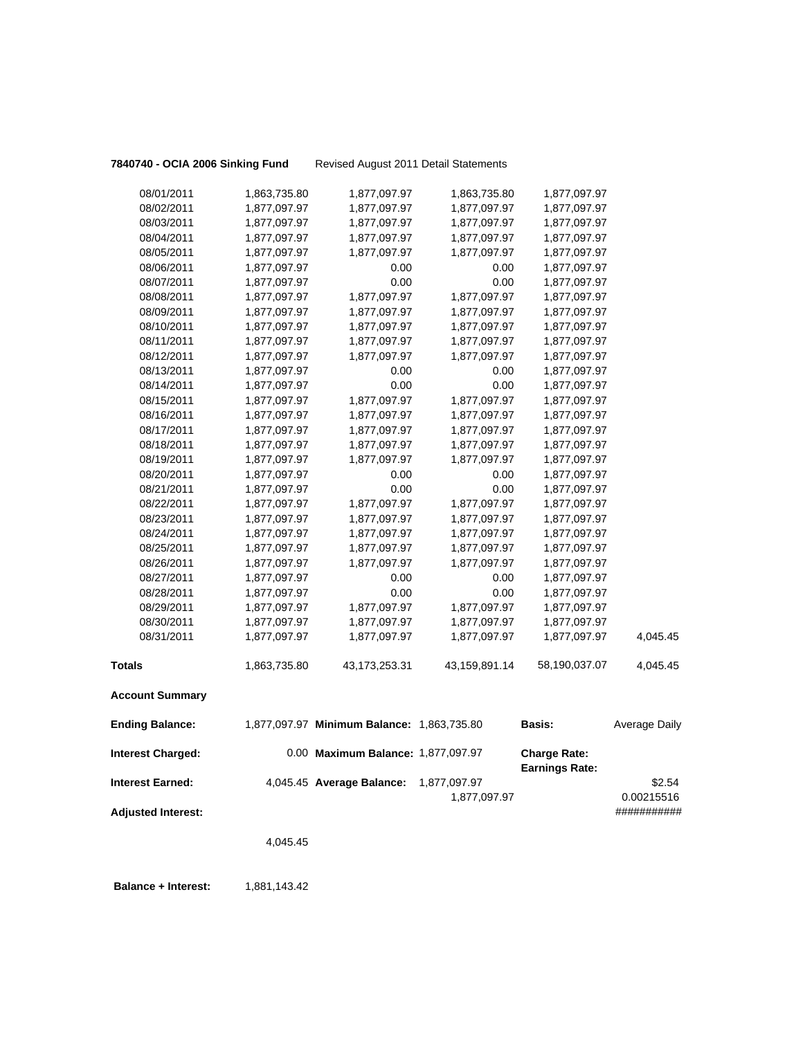**7840740 - OCIA 2006 Sinking Fund** Revised August 2011 Detail Statements

| 08/01/2011                | 1,863,735.80 | 1,877,097.97                               | 1,863,735.80  | 1,877,097.97          |               |
|---------------------------|--------------|--------------------------------------------|---------------|-----------------------|---------------|
| 08/02/2011                | 1,877,097.97 | 1,877,097.97                               | 1,877,097.97  | 1,877,097.97          |               |
| 08/03/2011                | 1,877,097.97 | 1,877,097.97                               | 1,877,097.97  | 1,877,097.97          |               |
| 08/04/2011                | 1,877,097.97 | 1,877,097.97                               | 1,877,097.97  | 1,877,097.97          |               |
| 08/05/2011                | 1,877,097.97 | 1,877,097.97                               | 1,877,097.97  | 1,877,097.97          |               |
| 08/06/2011                | 1,877,097.97 | 0.00                                       | 0.00          | 1,877,097.97          |               |
| 08/07/2011                | 1,877,097.97 | 0.00                                       | 0.00          | 1,877,097.97          |               |
| 08/08/2011                | 1,877,097.97 | 1,877,097.97                               | 1,877,097.97  | 1,877,097.97          |               |
| 08/09/2011                | 1,877,097.97 | 1,877,097.97                               | 1,877,097.97  | 1,877,097.97          |               |
| 08/10/2011                | 1,877,097.97 | 1,877,097.97                               | 1,877,097.97  | 1,877,097.97          |               |
| 08/11/2011                | 1,877,097.97 | 1,877,097.97                               | 1,877,097.97  | 1,877,097.97          |               |
| 08/12/2011                | 1,877,097.97 | 1,877,097.97                               | 1,877,097.97  | 1,877,097.97          |               |
| 08/13/2011                | 1,877,097.97 | 0.00                                       | 0.00          | 1,877,097.97          |               |
| 08/14/2011                | 1,877,097.97 | 0.00                                       | 0.00          | 1,877,097.97          |               |
| 08/15/2011                | 1,877,097.97 | 1,877,097.97                               | 1,877,097.97  | 1,877,097.97          |               |
| 08/16/2011                | 1,877,097.97 | 1,877,097.97                               | 1,877,097.97  | 1,877,097.97          |               |
| 08/17/2011                | 1,877,097.97 | 1,877,097.97                               | 1,877,097.97  | 1,877,097.97          |               |
| 08/18/2011                | 1,877,097.97 | 1,877,097.97                               | 1,877,097.97  | 1,877,097.97          |               |
| 08/19/2011                | 1,877,097.97 | 1,877,097.97                               | 1,877,097.97  | 1,877,097.97          |               |
| 08/20/2011                | 1,877,097.97 | 0.00                                       | 0.00          | 1,877,097.97          |               |
| 08/21/2011                | 1,877,097.97 | 0.00                                       | 0.00          | 1,877,097.97          |               |
| 08/22/2011                | 1,877,097.97 | 1,877,097.97                               | 1,877,097.97  | 1,877,097.97          |               |
| 08/23/2011                | 1,877,097.97 | 1,877,097.97                               | 1,877,097.97  | 1,877,097.97          |               |
| 08/24/2011                | 1,877,097.97 | 1,877,097.97                               | 1,877,097.97  | 1,877,097.97          |               |
| 08/25/2011                | 1,877,097.97 | 1,877,097.97                               | 1,877,097.97  | 1,877,097.97          |               |
| 08/26/2011                | 1,877,097.97 | 1,877,097.97                               | 1,877,097.97  | 1,877,097.97          |               |
| 08/27/2011                | 1,877,097.97 | 0.00                                       | 0.00          | 1,877,097.97          |               |
| 08/28/2011                | 1,877,097.97 | 0.00                                       | 0.00          | 1,877,097.97          |               |
| 08/29/2011                | 1,877,097.97 | 1,877,097.97                               | 1,877,097.97  | 1,877,097.97          |               |
| 08/30/2011                | 1,877,097.97 | 1,877,097.97                               | 1,877,097.97  | 1,877,097.97          |               |
| 08/31/2011                | 1,877,097.97 | 1,877,097.97                               | 1,877,097.97  | 1,877,097.97          | 4,045.45      |
| <b>Totals</b>             | 1,863,735.80 | 43,173,253.31                              | 43,159,891.14 | 58,190,037.07         | 4,045.45      |
| <b>Account Summary</b>    |              |                                            |               |                       |               |
| <b>Ending Balance:</b>    |              | 1,877,097.97 Minimum Balance: 1,863,735.80 |               | Basis:                | Average Daily |
| <b>Interest Charged:</b>  |              | 0.00 Maximum Balance: 1,877,097.97         |               | <b>Charge Rate:</b>   |               |
|                           |              |                                            |               | <b>Earnings Rate:</b> |               |
| <b>Interest Earned:</b>   |              | 4,045.45 Average Balance:                  | 1,877,097.97  |                       | \$2.54        |
|                           |              |                                            | 1,877,097.97  |                       | 0.00215516    |
| <b>Adjusted Interest:</b> |              |                                            |               |                       | ###########   |
|                           | 4,045.45     |                                            |               |                       |               |

**Balance + Interest:** 1,881,143.42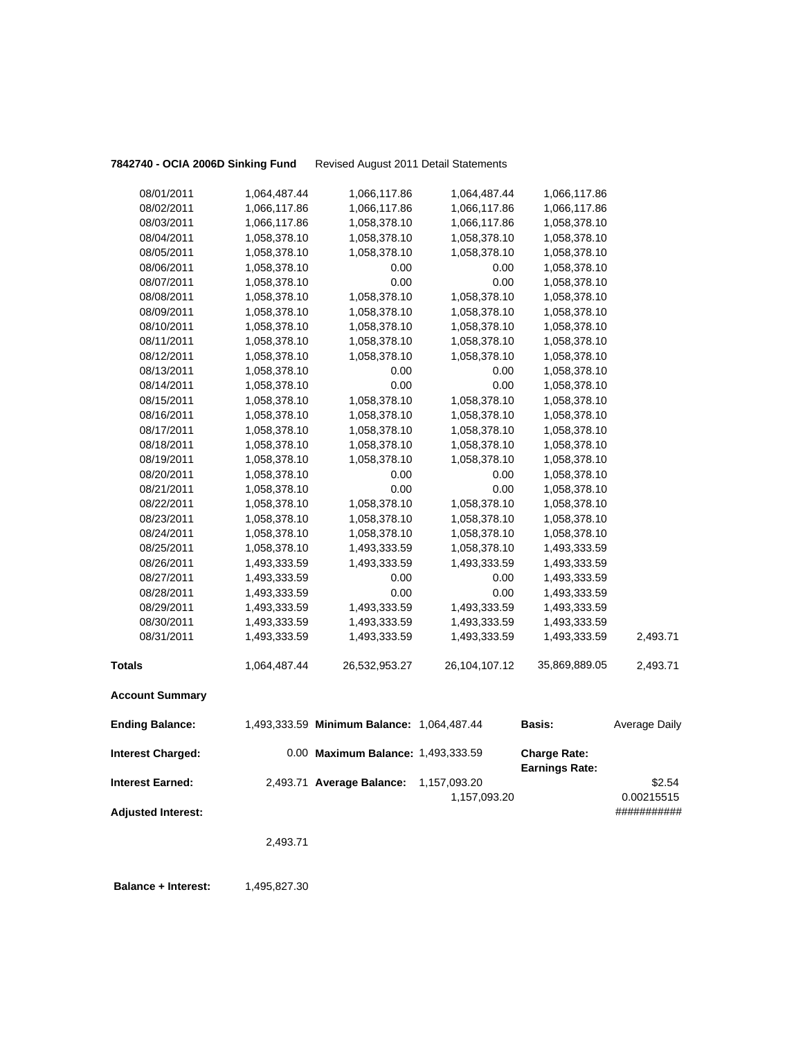**7842740 - OCIA 2006D Sinking Fund** Revised August 2011 Detail Statements

| 08/01/2011                | 1,064,487.44 | 1,066,117.86                               | 1,064,487.44                 | 1,066,117.86                                 |                      |
|---------------------------|--------------|--------------------------------------------|------------------------------|----------------------------------------------|----------------------|
| 08/02/2011                | 1,066,117.86 | 1,066,117.86                               | 1,066,117.86                 | 1,066,117.86                                 |                      |
| 08/03/2011                | 1,066,117.86 | 1,058,378.10                               | 1,066,117.86                 | 1,058,378.10                                 |                      |
| 08/04/2011                | 1,058,378.10 | 1,058,378.10                               | 1,058,378.10                 | 1,058,378.10                                 |                      |
| 08/05/2011                | 1,058,378.10 | 1,058,378.10                               | 1,058,378.10                 | 1,058,378.10                                 |                      |
| 08/06/2011                | 1,058,378.10 | 0.00                                       | 0.00                         | 1,058,378.10                                 |                      |
| 08/07/2011                | 1,058,378.10 | 0.00                                       | 0.00                         | 1,058,378.10                                 |                      |
| 08/08/2011                | 1,058,378.10 | 1,058,378.10                               | 1,058,378.10                 | 1,058,378.10                                 |                      |
| 08/09/2011                | 1,058,378.10 | 1,058,378.10                               | 1,058,378.10                 | 1,058,378.10                                 |                      |
| 08/10/2011                | 1,058,378.10 | 1,058,378.10                               | 1,058,378.10                 | 1,058,378.10                                 |                      |
| 08/11/2011                | 1,058,378.10 | 1,058,378.10                               | 1,058,378.10                 | 1,058,378.10                                 |                      |
| 08/12/2011                | 1,058,378.10 | 1,058,378.10                               | 1,058,378.10                 | 1,058,378.10                                 |                      |
| 08/13/2011                | 1,058,378.10 | 0.00                                       | 0.00                         | 1,058,378.10                                 |                      |
| 08/14/2011                | 1,058,378.10 | 0.00                                       | 0.00                         | 1,058,378.10                                 |                      |
| 08/15/2011                | 1,058,378.10 | 1,058,378.10                               | 1,058,378.10                 | 1,058,378.10                                 |                      |
| 08/16/2011                | 1,058,378.10 | 1,058,378.10                               | 1,058,378.10                 | 1,058,378.10                                 |                      |
| 08/17/2011                | 1,058,378.10 | 1,058,378.10                               | 1,058,378.10                 | 1,058,378.10                                 |                      |
| 08/18/2011                | 1,058,378.10 | 1,058,378.10                               | 1,058,378.10                 | 1,058,378.10                                 |                      |
| 08/19/2011                | 1,058,378.10 | 1,058,378.10                               | 1,058,378.10                 | 1,058,378.10                                 |                      |
| 08/20/2011                | 1,058,378.10 | 0.00                                       | 0.00                         | 1,058,378.10                                 |                      |
| 08/21/2011                | 1,058,378.10 | 0.00                                       | 0.00                         | 1,058,378.10                                 |                      |
| 08/22/2011                | 1,058,378.10 | 1,058,378.10                               | 1,058,378.10                 | 1,058,378.10                                 |                      |
| 08/23/2011                | 1,058,378.10 | 1,058,378.10                               | 1,058,378.10                 | 1,058,378.10                                 |                      |
| 08/24/2011                | 1,058,378.10 | 1,058,378.10                               | 1,058,378.10                 | 1,058,378.10                                 |                      |
| 08/25/2011                | 1,058,378.10 | 1,493,333.59                               | 1,058,378.10                 | 1,493,333.59                                 |                      |
| 08/26/2011                | 1,493,333.59 | 1,493,333.59                               | 1,493,333.59                 | 1,493,333.59                                 |                      |
| 08/27/2011                | 1,493,333.59 | 0.00                                       | 0.00                         | 1,493,333.59                                 |                      |
| 08/28/2011                | 1,493,333.59 | 0.00                                       | 0.00                         | 1,493,333.59                                 |                      |
| 08/29/2011                | 1,493,333.59 | 1,493,333.59                               | 1,493,333.59                 | 1,493,333.59                                 |                      |
| 08/30/2011                | 1,493,333.59 | 1,493,333.59                               | 1,493,333.59                 | 1,493,333.59                                 |                      |
| 08/31/2011                | 1,493,333.59 | 1,493,333.59                               | 1,493,333.59                 | 1,493,333.59                                 | 2,493.71             |
| <b>Totals</b>             | 1,064,487.44 | 26,532,953.27                              | 26,104,107.12                | 35,869,889.05                                | 2,493.71             |
| <b>Account Summary</b>    |              |                                            |                              |                                              |                      |
| <b>Ending Balance:</b>    |              | 1,493,333.59 Minimum Balance: 1,064,487.44 |                              | Basis:                                       | Average Daily        |
| <b>Interest Charged:</b>  |              | 0.00 Maximum Balance: 1,493,333.59         |                              | <b>Charge Rate:</b><br><b>Earnings Rate:</b> |                      |
| <b>Interest Earned:</b>   |              | 2,493.71 Average Balance:                  | 1,157,093.20<br>1,157,093.20 |                                              | \$2.54<br>0.00215515 |
| <b>Adjusted Interest:</b> |              |                                            |                              |                                              | ###########          |

2,493.71

**Balance + Interest:** 1,495,827.30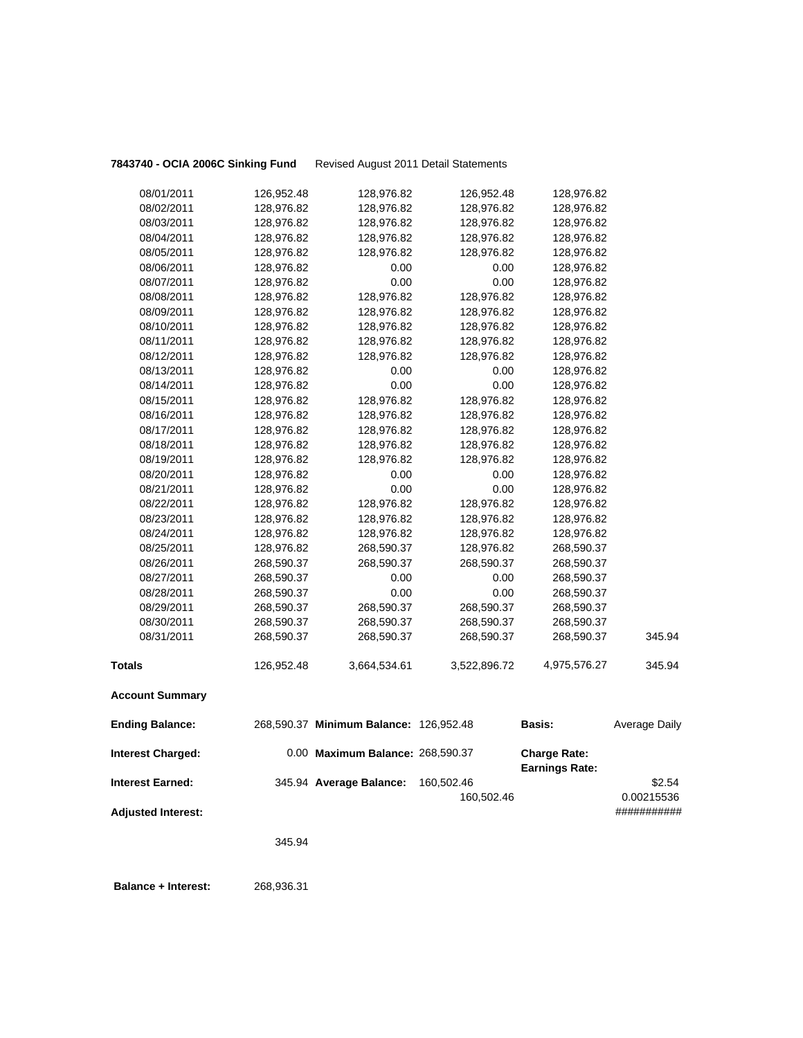**7843740 - OCIA 2006C Sinking Fund** Revised August 2011 Detail Statements

| 08/01/2011                | 126,952.48 | 128,976.82                             | 126,952.48   | 128,976.82            |               |
|---------------------------|------------|----------------------------------------|--------------|-----------------------|---------------|
| 08/02/2011                | 128,976.82 | 128,976.82                             | 128,976.82   | 128,976.82            |               |
| 08/03/2011                | 128,976.82 | 128,976.82                             | 128,976.82   | 128,976.82            |               |
| 08/04/2011                | 128,976.82 | 128,976.82                             | 128,976.82   | 128,976.82            |               |
| 08/05/2011                | 128,976.82 | 128,976.82                             | 128,976.82   | 128,976.82            |               |
| 08/06/2011                | 128,976.82 | 0.00                                   | 0.00         | 128,976.82            |               |
| 08/07/2011                | 128,976.82 | 0.00                                   | 0.00         | 128,976.82            |               |
| 08/08/2011                | 128,976.82 | 128,976.82                             | 128,976.82   | 128,976.82            |               |
| 08/09/2011                | 128,976.82 | 128,976.82                             | 128,976.82   | 128,976.82            |               |
| 08/10/2011                | 128,976.82 | 128,976.82                             | 128,976.82   | 128,976.82            |               |
| 08/11/2011                | 128,976.82 | 128,976.82                             | 128,976.82   | 128,976.82            |               |
| 08/12/2011                | 128,976.82 | 128,976.82                             | 128,976.82   | 128,976.82            |               |
| 08/13/2011                | 128,976.82 | 0.00                                   | 0.00         | 128,976.82            |               |
| 08/14/2011                | 128,976.82 | 0.00                                   | 0.00         | 128,976.82            |               |
| 08/15/2011                | 128,976.82 | 128,976.82                             | 128,976.82   | 128,976.82            |               |
| 08/16/2011                | 128,976.82 | 128,976.82                             | 128,976.82   | 128,976.82            |               |
| 08/17/2011                | 128,976.82 | 128,976.82                             | 128,976.82   | 128,976.82            |               |
| 08/18/2011                | 128,976.82 | 128,976.82                             | 128,976.82   | 128,976.82            |               |
| 08/19/2011                | 128,976.82 | 128,976.82                             | 128,976.82   | 128,976.82            |               |
| 08/20/2011                | 128,976.82 | 0.00                                   | 0.00         | 128,976.82            |               |
| 08/21/2011                | 128,976.82 | 0.00                                   | 0.00         | 128,976.82            |               |
| 08/22/2011                | 128,976.82 | 128,976.82                             | 128,976.82   | 128,976.82            |               |
| 08/23/2011                | 128,976.82 | 128,976.82                             | 128,976.82   | 128,976.82            |               |
| 08/24/2011                | 128,976.82 | 128,976.82                             | 128,976.82   | 128,976.82            |               |
| 08/25/2011                | 128,976.82 | 268,590.37                             | 128,976.82   | 268,590.37            |               |
| 08/26/2011                | 268,590.37 | 268,590.37                             | 268,590.37   | 268,590.37            |               |
| 08/27/2011                | 268,590.37 | 0.00                                   | 0.00         | 268,590.37            |               |
| 08/28/2011                | 268,590.37 | 0.00                                   | 0.00         | 268,590.37            |               |
| 08/29/2011                | 268,590.37 | 268,590.37                             | 268,590.37   | 268,590.37            |               |
| 08/30/2011                | 268,590.37 | 268,590.37                             | 268,590.37   | 268,590.37            |               |
| 08/31/2011                | 268,590.37 | 268,590.37                             | 268,590.37   | 268,590.37            | 345.94        |
| <b>Totals</b>             | 126,952.48 | 3,664,534.61                           | 3,522,896.72 | 4,975,576.27          | 345.94        |
| <b>Account Summary</b>    |            |                                        |              |                       |               |
| <b>Ending Balance:</b>    |            | 268,590.37 Minimum Balance: 126,952.48 |              | Basis:                | Average Daily |
| <b>Interest Charged:</b>  |            | 0.00 Maximum Balance: 268,590.37       |              | <b>Charge Rate:</b>   |               |
|                           |            |                                        |              | <b>Earnings Rate:</b> |               |
| <b>Interest Earned:</b>   |            | 345.94 Average Balance:                | 160,502.46   |                       | \$2.54        |
|                           |            |                                        | 160,502.46   |                       | 0.00215536    |
| <b>Adjusted Interest:</b> |            |                                        |              |                       | ###########   |
|                           | 345.94     |                                        |              |                       |               |

 **Balance + Interest:** 268,936.31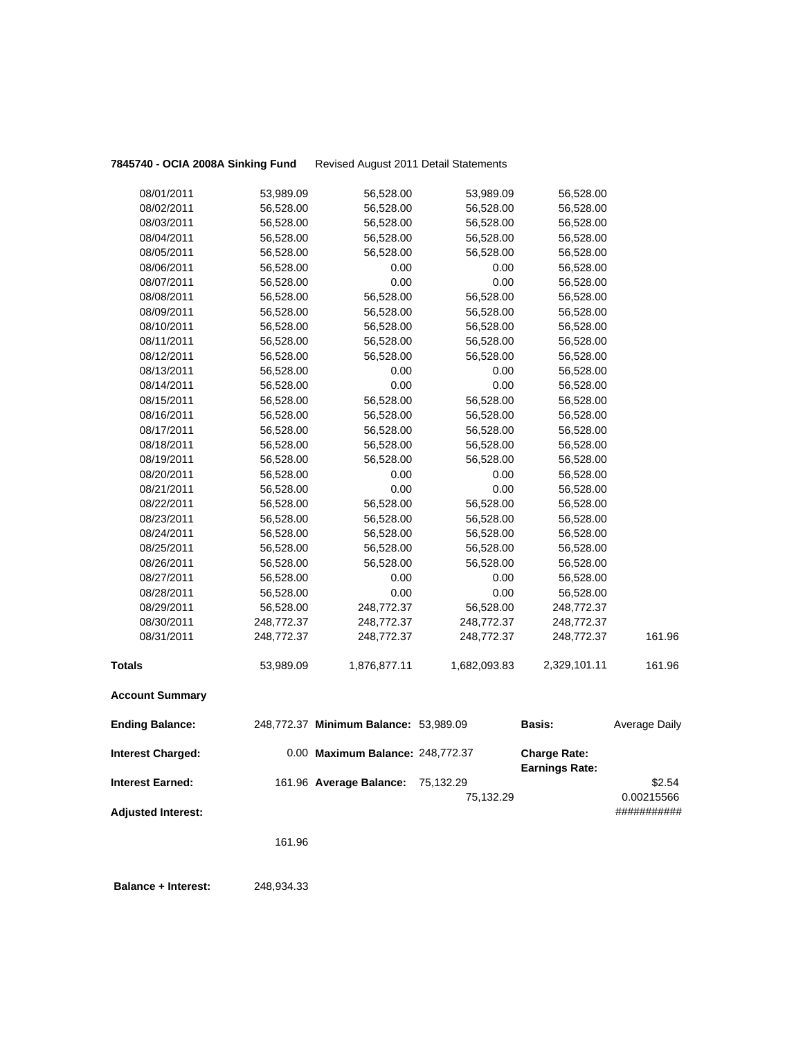**7845740 - OCIA 2008A Sinking Fund** Revised August 2011 Detail Statements

| <b>Interest Charged:</b> |                        | 0.00 Maximum Balance: 248,772.37      |                        | <b>Charge Rate:</b><br><b>Earnings Rate:</b> |                      |
|--------------------------|------------------------|---------------------------------------|------------------------|----------------------------------------------|----------------------|
| <b>Ending Balance:</b>   |                        | 248,772.37 Minimum Balance: 53,989.09 |                        | <b>Basis:</b>                                | <b>Average Daily</b> |
| <b>Account Summary</b>   |                        |                                       |                        |                                              |                      |
| <b>Totals</b>            | 53,989.09              | 1,876,877.11                          | 1,682,093.83           | 2,329,101.11                                 | 161.96               |
| 08/31/2011               | 248,772.37             | 248,772.37                            | 248,772.37             | 248,772.37                                   | 161.96               |
| 08/30/2011               | 248,772.37             | 248,772.37                            | 248,772.37             | 248,772.37                                   |                      |
| 08/29/2011               | 56,528.00              | 248,772.37                            | 56,528.00              | 248,772.37                                   |                      |
| 08/28/2011               | 56,528.00              | 0.00                                  | 0.00                   | 56,528.00                                    |                      |
| 08/27/2011               | 56,528.00              | 0.00                                  | 0.00                   | 56,528.00                                    |                      |
| 08/26/2011               | 56,528.00              | 56,528.00                             | 56,528.00              | 56,528.00                                    |                      |
| 08/25/2011               | 56,528.00              | 56,528.00                             | 56,528.00              | 56,528.00                                    |                      |
| 08/24/2011               | 56,528.00              | 56,528.00                             | 56,528.00              | 56,528.00                                    |                      |
| 08/23/2011               | 56,528.00              | 56,528.00                             | 56,528.00              | 56,528.00                                    |                      |
| 08/22/2011               | 56,528.00              | 56,528.00                             | 56,528.00              | 56,528.00                                    |                      |
| 08/21/2011               | 56,528.00              | 0.00                                  | 0.00                   | 56,528.00                                    |                      |
| 08/20/2011               | 56,528.00              | 0.00                                  | 0.00                   | 56,528.00                                    |                      |
| 08/19/2011               | 56,528.00              | 56,528.00                             | 56,528.00              | 56,528.00                                    |                      |
| 08/18/2011               | 56,528.00              | 56,528.00                             | 56,528.00              | 56,528.00                                    |                      |
| 08/17/2011               | 56,528.00              | 56,528.00                             | 56,528.00              | 56,528.00                                    |                      |
| 08/16/2011               | 56,528.00              | 56,528.00                             | 56,528.00              | 56,528.00                                    |                      |
| 08/15/2011               | 56,528.00              | 56,528.00                             | 56,528.00              | 56,528.00                                    |                      |
| 08/14/2011               | 56,528.00              | 0.00                                  | 0.00                   | 56,528.00                                    |                      |
| 08/13/2011               | 56,528.00              | 0.00                                  | 0.00                   | 56,528.00                                    |                      |
| 08/12/2011               | 56,528.00              | 56,528.00                             | 56,528.00              | 56,528.00                                    |                      |
| 08/11/2011               | 56,528.00              | 56,528.00                             | 56,528.00              | 56,528.00                                    |                      |
| 08/10/2011               | 56,528.00              | 56,528.00                             | 56,528.00              | 56,528.00                                    |                      |
| 08/09/2011               | 56,528.00              | 56,528.00                             | 56,528.00              | 56,528.00                                    |                      |
| 08/08/2011               | 56,528.00              | 56,528.00                             | 56,528.00              | 56,528.00                                    |                      |
| 08/07/2011               | 56,528.00              | 0.00                                  | 0.00                   | 56,528.00                                    |                      |
| 08/06/2011               | 56,528.00              | 56,528.00<br>0.00                     | 0.00                   | 56,528.00<br>56,528.00                       |                      |
| 08/05/2011               | 56,528.00<br>56,528.00 | 56,528.00                             | 56,528.00<br>56,528.00 | 56,528.00                                    |                      |
| 08/04/2011               | 56,528.00              | 56,528.00                             | 56,528.00              | 56,528.00                                    |                      |
| 08/02/2011<br>08/03/2011 | 56,528.00              | 56,528.00                             | 56,528.00              | 56,528.00                                    |                      |
| 08/01/2011               | 53,989.09              | 56,528.00                             | 53,989.09              | 56,528.00                                    |                      |
|                          |                        |                                       |                        |                                              |                      |

**Interest Earned:** 161.96 **Average Balance:** 75,132.29 \$2.54 75,132.29 0.00215566 **Adjusted Interest:** ###########

161.96

 **Balance + Interest:** 248,934.33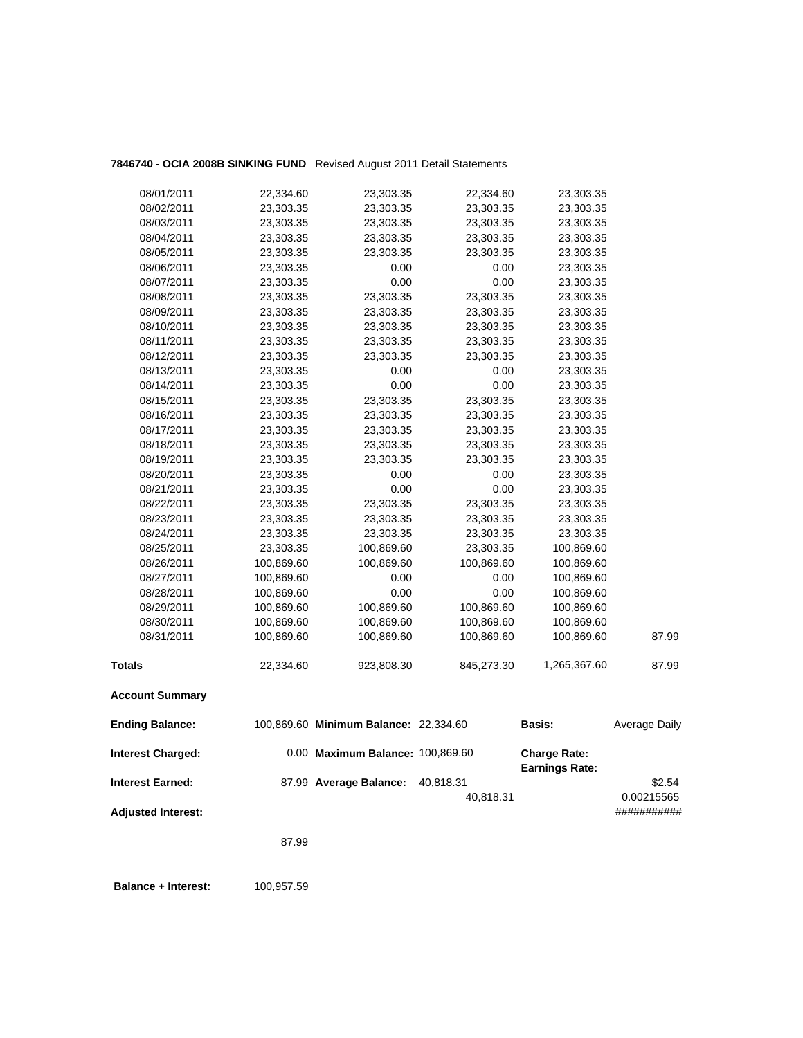## **7846740 - OCIA 2008B SINKING FUND** Revised August 2011 Detail Statements

| <b>Account Summary</b> |            |            |            |              |       |
|------------------------|------------|------------|------------|--------------|-------|
| <b>Totals</b>          | 22,334.60  | 923,808.30 | 845,273.30 | 1,265,367.60 | 87.99 |
| 08/31/2011             | 100,869.60 | 100,869.60 | 100,869.60 | 100,869.60   | 87.99 |
| 08/30/2011             | 100,869.60 | 100,869.60 | 100,869.60 | 100,869.60   |       |
| 08/29/2011             | 100,869.60 | 100,869.60 | 100,869.60 | 100,869.60   |       |
| 08/28/2011             | 100,869.60 | 0.00       | 0.00       | 100,869.60   |       |
| 08/27/2011             | 100,869.60 | 0.00       | 0.00       | 100,869.60   |       |
| 08/26/2011             | 100,869.60 | 100,869.60 | 100,869.60 | 100,869.60   |       |
| 08/25/2011             | 23,303.35  | 100,869.60 | 23,303.35  | 100,869.60   |       |
| 08/24/2011             | 23,303.35  | 23,303.35  | 23,303.35  | 23,303.35    |       |
| 08/23/2011             | 23,303.35  | 23,303.35  | 23,303.35  | 23,303.35    |       |
| 08/22/2011             | 23,303.35  | 23,303.35  | 23,303.35  | 23,303.35    |       |
| 08/21/2011             | 23,303.35  | 0.00       | 0.00       | 23,303.35    |       |
| 08/20/2011             | 23,303.35  | 0.00       | 0.00       | 23,303.35    |       |
| 08/19/2011             | 23,303.35  | 23,303.35  | 23,303.35  | 23,303.35    |       |
| 08/18/2011             | 23,303.35  | 23,303.35  | 23,303.35  | 23,303.35    |       |
| 08/17/2011             | 23,303.35  | 23,303.35  | 23,303.35  | 23,303.35    |       |
| 08/16/2011             | 23,303.35  | 23,303.35  | 23,303.35  | 23,303.35    |       |
| 08/15/2011             | 23,303.35  | 23,303.35  | 23,303.35  | 23,303.35    |       |
| 08/14/2011             | 23,303.35  | 0.00       | 0.00       | 23,303.35    |       |
| 08/13/2011             | 23,303.35  | 0.00       | 0.00       | 23,303.35    |       |
| 08/12/2011             | 23,303.35  | 23,303.35  | 23,303.35  | 23,303.35    |       |
| 08/11/2011             | 23,303.35  | 23,303.35  | 23,303.35  | 23,303.35    |       |
| 08/10/2011             | 23,303.35  | 23,303.35  | 23,303.35  | 23,303.35    |       |
| 08/09/2011             | 23,303.35  | 23,303.35  | 23,303.35  | 23,303.35    |       |
| 08/08/2011             | 23,303.35  | 23,303.35  | 23,303.35  | 23,303.35    |       |
| 08/07/2011             | 23,303.35  | 0.00       | 0.00       | 23,303.35    |       |
| 08/06/2011             | 23,303.35  | 0.00       | 0.00       | 23,303.35    |       |
| 08/05/2011             | 23,303.35  | 23,303.35  | 23,303.35  | 23,303.35    |       |
| 08/04/2011             | 23,303.35  | 23,303.35  | 23,303.35  | 23,303.35    |       |
| 08/03/2011             | 23,303.35  | 23,303.35  | 23,303.35  | 23,303.35    |       |
| 08/02/2011             | 23,303.35  | 23,303.35  | 23,303.35  | 23,303.35    |       |
| 08/01/2011             | 22,334.60  | 23,303.35  | 22,334.60  | 23,303.35    |       |
|                        |            |            |            |              |       |

| <b>Ending Balance:</b>    | 100,869.60 Minimum Balance: 22,334.60 |                        | <b>Basis:</b>                                | Average Daily        |
|---------------------------|---------------------------------------|------------------------|----------------------------------------------|----------------------|
| <b>Interest Charged:</b>  | 0.00 Maximum Balance: 100,869.60      |                        | <b>Charge Rate:</b><br><b>Earnings Rate:</b> |                      |
| <b>Interest Earned:</b>   | 87.99 Average Balance:                | 40.818.31<br>40.818.31 |                                              | \$2.54<br>0.00215565 |
| <b>Adjusted Interest:</b> |                                       |                        |                                              | ###########          |

87.99

 **Balance + Interest:** 100,957.59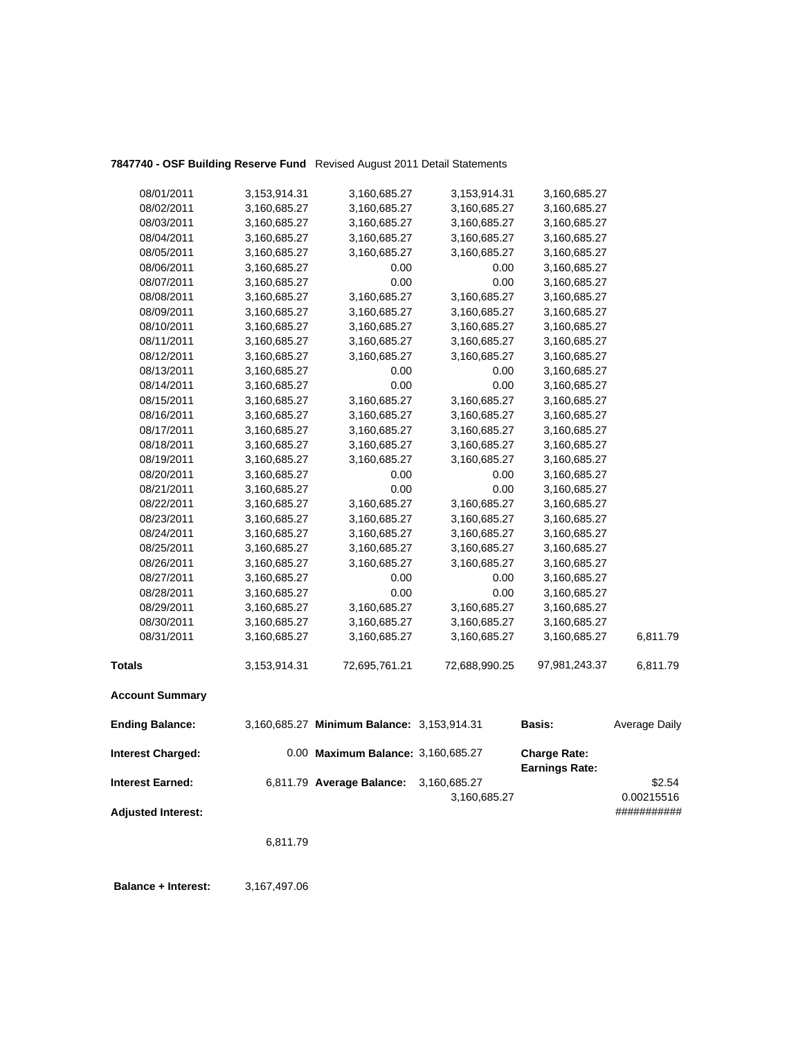## **7847740 - OSF Building Reserve Fund** Revised August 2011 Detail Statements

| 08/01/2011                | 3,153,914.31 | 3,160,685.27                               | 3,153,914.31  | 3,160,685.27          |               |
|---------------------------|--------------|--------------------------------------------|---------------|-----------------------|---------------|
| 08/02/2011                | 3,160,685.27 | 3,160,685.27                               | 3,160,685.27  | 3,160,685.27          |               |
| 08/03/2011                | 3,160,685.27 | 3,160,685.27                               | 3,160,685.27  | 3,160,685.27          |               |
| 08/04/2011                | 3,160,685.27 | 3,160,685.27                               | 3,160,685.27  | 3,160,685.27          |               |
| 08/05/2011                | 3,160,685.27 | 3,160,685.27                               | 3,160,685.27  | 3,160,685.27          |               |
| 08/06/2011                | 3,160,685.27 | 0.00                                       | 0.00          | 3,160,685.27          |               |
| 08/07/2011                | 3,160,685.27 | 0.00                                       | 0.00          | 3,160,685.27          |               |
| 08/08/2011                | 3,160,685.27 | 3,160,685.27                               | 3,160,685.27  | 3,160,685.27          |               |
| 08/09/2011                | 3,160,685.27 | 3,160,685.27                               | 3,160,685.27  | 3,160,685.27          |               |
| 08/10/2011                | 3,160,685.27 | 3,160,685.27                               | 3,160,685.27  | 3,160,685.27          |               |
| 08/11/2011                | 3,160,685.27 | 3,160,685.27                               | 3,160,685.27  | 3,160,685.27          |               |
| 08/12/2011                | 3,160,685.27 | 3,160,685.27                               | 3,160,685.27  | 3,160,685.27          |               |
| 08/13/2011                | 3,160,685.27 | 0.00                                       | 0.00          | 3,160,685.27          |               |
| 08/14/2011                | 3,160,685.27 | 0.00                                       | 0.00          | 3,160,685.27          |               |
| 08/15/2011                | 3,160,685.27 | 3,160,685.27                               | 3,160,685.27  | 3,160,685.27          |               |
| 08/16/2011                | 3,160,685.27 | 3,160,685.27                               | 3,160,685.27  | 3,160,685.27          |               |
| 08/17/2011                | 3,160,685.27 | 3,160,685.27                               | 3,160,685.27  | 3,160,685.27          |               |
| 08/18/2011                | 3,160,685.27 | 3,160,685.27                               | 3,160,685.27  | 3,160,685.27          |               |
| 08/19/2011                | 3,160,685.27 | 3,160,685.27                               | 3,160,685.27  | 3,160,685.27          |               |
| 08/20/2011                | 3,160,685.27 | 0.00                                       | 0.00          | 3,160,685.27          |               |
| 08/21/2011                | 3,160,685.27 | 0.00                                       | 0.00          | 3,160,685.27          |               |
| 08/22/2011                | 3,160,685.27 | 3,160,685.27                               | 3,160,685.27  | 3,160,685.27          |               |
| 08/23/2011                | 3,160,685.27 | 3,160,685.27                               | 3,160,685.27  | 3,160,685.27          |               |
| 08/24/2011                | 3,160,685.27 | 3,160,685.27                               | 3,160,685.27  | 3,160,685.27          |               |
| 08/25/2011                | 3,160,685.27 | 3,160,685.27                               | 3,160,685.27  | 3,160,685.27          |               |
| 08/26/2011                | 3,160,685.27 | 3,160,685.27                               | 3,160,685.27  | 3,160,685.27          |               |
| 08/27/2011                | 3,160,685.27 | 0.00                                       | 0.00          | 3,160,685.27          |               |
| 08/28/2011                | 3,160,685.27 | 0.00                                       | 0.00          | 3,160,685.27          |               |
| 08/29/2011                | 3,160,685.27 | 3,160,685.27                               | 3,160,685.27  | 3,160,685.27          |               |
| 08/30/2011                | 3,160,685.27 | 3,160,685.27                               | 3,160,685.27  | 3,160,685.27          |               |
| 08/31/2011                | 3,160,685.27 | 3,160,685.27                               | 3,160,685.27  | 3,160,685.27          | 6,811.79      |
| <b>Totals</b>             | 3,153,914.31 | 72,695,761.21                              | 72,688,990.25 | 97,981,243.37         | 6,811.79      |
| <b>Account Summary</b>    |              |                                            |               |                       |               |
| <b>Ending Balance:</b>    |              | 3,160,685.27 Minimum Balance: 3,153,914.31 |               | <b>Basis:</b>         | Average Daily |
| <b>Interest Charged:</b>  |              | 0.00 Maximum Balance: 3,160,685.27         |               | <b>Charge Rate:</b>   |               |
| <b>Interest Earned:</b>   |              | 6,811.79 Average Balance:                  | 3,160,685.27  | <b>Earnings Rate:</b> | \$2.54        |
|                           |              |                                            | 3,160,685.27  |                       | 0.00215516    |
| <b>Adjusted Interest:</b> |              |                                            |               |                       | ###########   |
|                           | 6,811.79     |                                            |               |                       |               |

 **Balance + Interest:** 3,167,497.06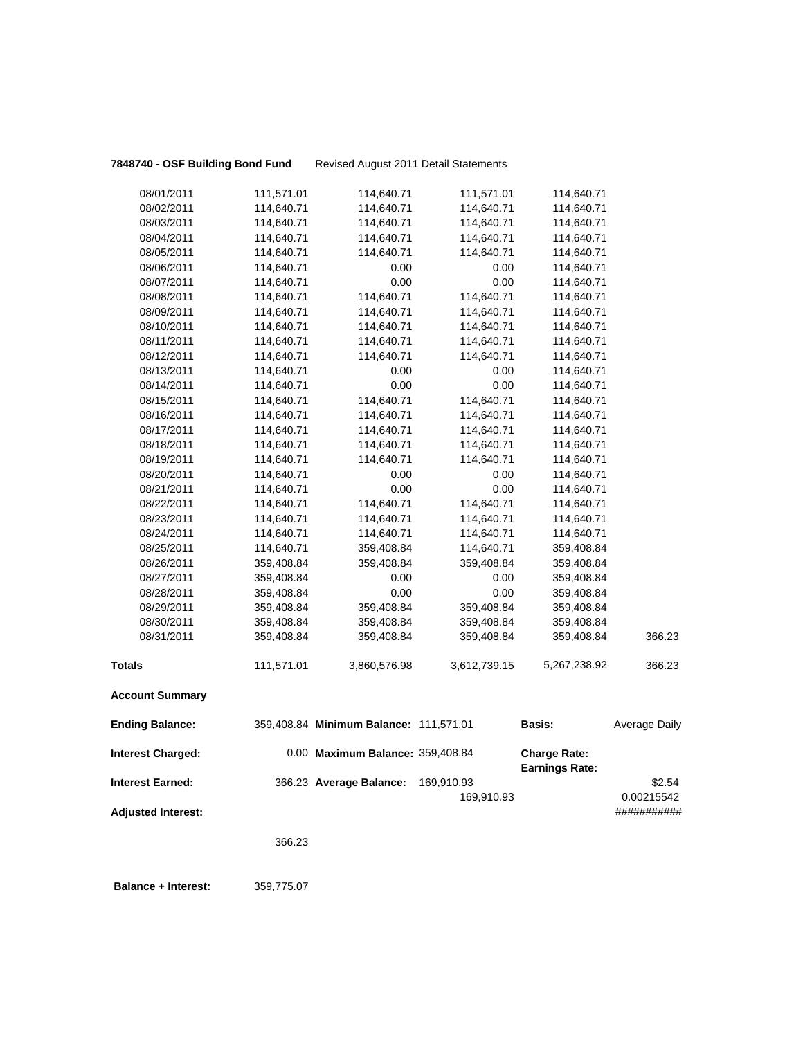# **7848740 - OSF Building Bond Fund** Revised August 2011 Detail Statements

| 08/01/2011                | 111,571.01 | 114,640.71                             | 111,571.01               | 114,640.71                                   |                      |
|---------------------------|------------|----------------------------------------|--------------------------|----------------------------------------------|----------------------|
| 08/02/2011                | 114,640.71 | 114,640.71                             | 114,640.71               | 114,640.71                                   |                      |
| 08/03/2011                | 114,640.71 | 114,640.71                             | 114,640.71               | 114,640.71                                   |                      |
| 08/04/2011                | 114,640.71 | 114,640.71                             | 114,640.71               | 114,640.71                                   |                      |
| 08/05/2011                | 114,640.71 | 114,640.71                             | 114,640.71               | 114,640.71                                   |                      |
| 08/06/2011                | 114,640.71 | 0.00                                   | 0.00                     | 114,640.71                                   |                      |
| 08/07/2011                | 114,640.71 | 0.00                                   | 0.00                     | 114,640.71                                   |                      |
| 08/08/2011                | 114,640.71 | 114,640.71                             | 114,640.71               | 114,640.71                                   |                      |
| 08/09/2011                | 114,640.71 | 114,640.71                             | 114,640.71               | 114,640.71                                   |                      |
| 08/10/2011                | 114,640.71 | 114,640.71                             | 114,640.71               | 114,640.71                                   |                      |
| 08/11/2011                | 114,640.71 | 114,640.71                             | 114,640.71               | 114,640.71                                   |                      |
| 08/12/2011                | 114,640.71 | 114,640.71                             | 114,640.71               | 114,640.71                                   |                      |
| 08/13/2011                | 114,640.71 | 0.00                                   | 0.00                     | 114,640.71                                   |                      |
| 08/14/2011                | 114,640.71 | 0.00                                   | 0.00                     | 114,640.71                                   |                      |
| 08/15/2011                | 114,640.71 | 114,640.71                             | 114,640.71               | 114,640.71                                   |                      |
| 08/16/2011                | 114,640.71 | 114,640.71                             | 114,640.71               | 114,640.71                                   |                      |
| 08/17/2011                | 114,640.71 | 114,640.71                             | 114,640.71               | 114,640.71                                   |                      |
| 08/18/2011                | 114,640.71 | 114,640.71                             | 114,640.71               | 114,640.71                                   |                      |
| 08/19/2011                | 114,640.71 | 114,640.71                             | 114,640.71               | 114,640.71                                   |                      |
| 08/20/2011                | 114,640.71 | 0.00                                   | 0.00                     | 114,640.71                                   |                      |
| 08/21/2011                | 114,640.71 | 0.00                                   | 0.00                     | 114,640.71                                   |                      |
| 08/22/2011                | 114,640.71 | 114,640.71                             | 114,640.71               | 114,640.71                                   |                      |
| 08/23/2011                | 114,640.71 | 114,640.71                             | 114,640.71               | 114,640.71                                   |                      |
| 08/24/2011                | 114,640.71 | 114,640.71                             | 114,640.71               | 114,640.71                                   |                      |
| 08/25/2011                | 114,640.71 | 359,408.84                             | 114,640.71               | 359,408.84                                   |                      |
| 08/26/2011                | 359,408.84 | 359,408.84                             | 359,408.84               | 359,408.84                                   |                      |
| 08/27/2011                | 359,408.84 | 0.00                                   | 0.00                     | 359,408.84                                   |                      |
| 08/28/2011                | 359,408.84 | 0.00                                   | 0.00                     | 359,408.84                                   |                      |
| 08/29/2011                | 359,408.84 | 359,408.84                             | 359,408.84               | 359,408.84                                   |                      |
| 08/30/2011                | 359,408.84 | 359,408.84                             | 359,408.84               | 359,408.84                                   |                      |
| 08/31/2011                | 359,408.84 | 359,408.84                             | 359,408.84               | 359,408.84                                   | 366.23               |
| <b>Totals</b>             | 111,571.01 | 3,860,576.98                           | 3,612,739.15             | 5,267,238.92                                 | 366.23               |
| <b>Account Summary</b>    |            |                                        |                          |                                              |                      |
| <b>Ending Balance:</b>    |            | 359,408.84 Minimum Balance: 111,571.01 |                          | Basis:                                       | Average Daily        |
| <b>Interest Charged:</b>  |            | 0.00 Maximum Balance: 359,408.84       |                          | <b>Charge Rate:</b><br><b>Earnings Rate:</b> |                      |
| <b>Interest Earned:</b>   |            | 366.23 Average Balance:                | 169,910.93<br>169,910.93 |                                              | \$2.54<br>0.00215542 |
| <b>Adjusted Interest:</b> |            |                                        |                          |                                              | ###########          |
|                           | 366.23     |                                        |                          |                                              |                      |
|                           |            |                                        |                          |                                              |                      |

 **Balance + Interest:** 359,775.07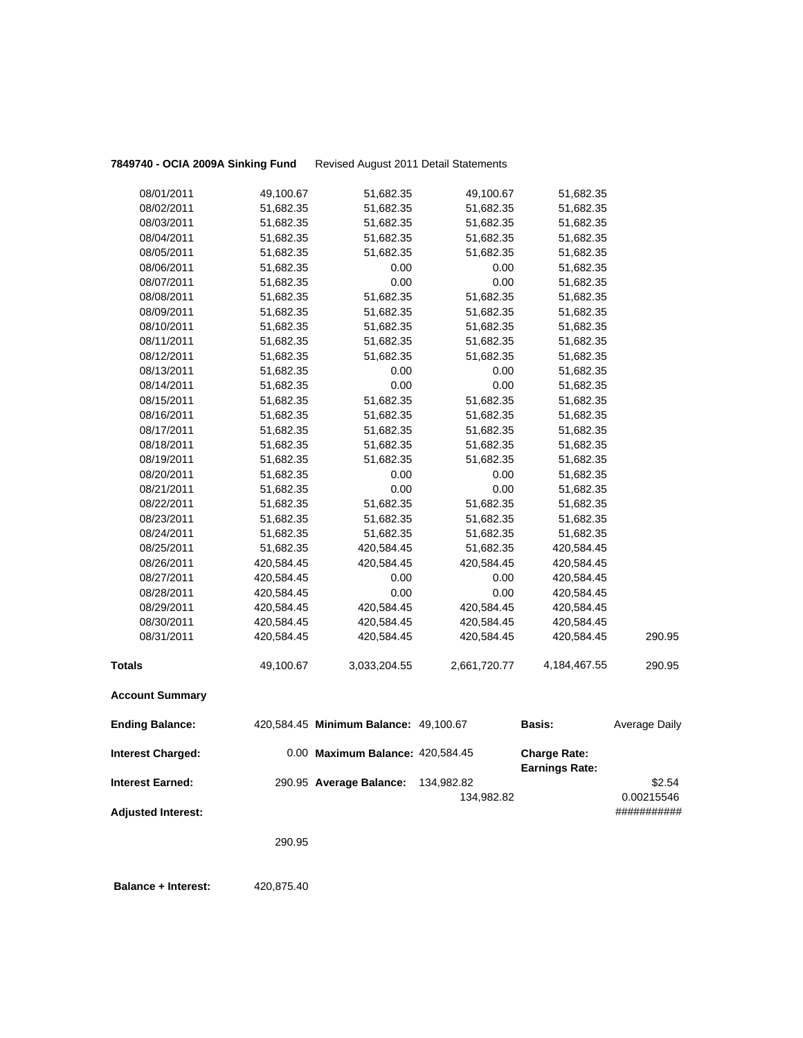**7849740 - OCIA 2009A Sinking Fund** Revised August 2011 Detail Statements

| <b>Ending Balance:</b> |            | 420,584.45 Minimum Balance: 49,100.67 |              | <b>Basis:</b> | Average Daily |
|------------------------|------------|---------------------------------------|--------------|---------------|---------------|
| <b>Account Summary</b> |            |                                       |              |               |               |
| <b>Totals</b>          | 49,100.67  | 3,033,204.55                          | 2,661,720.77 | 4,184,467.55  | 290.95        |
| 08/31/2011             | 420,584.45 | 420,584.45                            | 420,584.45   | 420,584.45    | 290.95        |
| 08/30/2011             | 420,584.45 | 420,584.45                            | 420,584.45   | 420,584.45    |               |
| 08/29/2011             | 420,584.45 | 420,584.45                            | 420,584.45   | 420,584.45    |               |
| 08/28/2011             | 420,584.45 | 0.00                                  | 0.00         | 420,584.45    |               |
| 08/27/2011             | 420,584.45 | 0.00                                  | 0.00         | 420,584.45    |               |
| 08/26/2011             | 420,584.45 | 420,584.45                            | 420,584.45   | 420,584.45    |               |
| 08/25/2011             | 51,682.35  | 420,584.45                            | 51,682.35    | 420,584.45    |               |
| 08/24/2011             | 51,682.35  | 51,682.35                             | 51,682.35    | 51,682.35     |               |
| 08/23/2011             | 51,682.35  | 51,682.35                             | 51,682.35    | 51,682.35     |               |
| 08/22/2011             | 51,682.35  | 51,682.35                             | 51,682.35    | 51,682.35     |               |
| 08/21/2011             | 51,682.35  | 0.00                                  | 0.00         | 51,682.35     |               |
| 08/20/2011             | 51,682.35  | 0.00                                  | 0.00         | 51,682.35     |               |
| 08/19/2011             | 51,682.35  | 51,682.35                             | 51,682.35    | 51,682.35     |               |
| 08/18/2011             | 51,682.35  | 51,682.35                             | 51,682.35    | 51,682.35     |               |
| 08/17/2011             | 51,682.35  | 51,682.35                             | 51,682.35    | 51,682.35     |               |
| 08/16/2011             | 51,682.35  | 51,682.35                             | 51,682.35    | 51,682.35     |               |
| 08/15/2011             | 51,682.35  | 51,682.35                             | 51,682.35    | 51,682.35     |               |
| 08/14/2011             | 51,682.35  | 0.00                                  | 0.00         | 51,682.35     |               |
| 08/13/2011             | 51,682.35  | 0.00                                  | 0.00         | 51,682.35     |               |
| 08/12/2011             | 51,682.35  | 51,682.35                             | 51,682.35    | 51,682.35     |               |
| 08/11/2011             | 51,682.35  | 51,682.35                             | 51,682.35    | 51,682.35     |               |
| 08/10/2011             | 51,682.35  | 51,682.35                             | 51,682.35    | 51,682.35     |               |
| 08/09/2011             | 51,682.35  | 51,682.35                             | 51,682.35    | 51,682.35     |               |
| 08/08/2011             | 51,682.35  | 51,682.35                             | 51,682.35    | 51,682.35     |               |
| 08/07/2011             | 51,682.35  | 0.00                                  | 0.00         | 51,682.35     |               |
| 08/06/2011             | 51,682.35  | 0.00                                  | 0.00         | 51,682.35     |               |
| 08/05/2011             | 51,682.35  | 51,682.35                             | 51,682.35    | 51,682.35     |               |
| 08/04/2011             | 51,682.35  | 51,682.35                             | 51,682.35    | 51,682.35     |               |
| 08/03/2011             | 51,682.35  | 51,682.35                             | 51,682.35    | 51,682.35     |               |
| 08/02/2011             | 51,682.35  | 51,682.35                             | 51,682.35    | 51,682.35     |               |
| 08/01/2011             | 49,100.67  | 51,682.35                             | 49,100.67    | 51,682.35     |               |
|                        |            |                                       |              |               |               |

| <b>Interest Charged:</b>  | 0.00 Maximum Balance: 420,584.45 |            | <b>Charge Rate:</b><br><b>Earnings Rate:</b> |             |
|---------------------------|----------------------------------|------------|----------------------------------------------|-------------|
| <b>Interest Earned:</b>   | 290.95 Average Balance:          | 134.982.82 |                                              | \$2.54      |
|                           |                                  | 134.982.82 |                                              | 0.00215546  |
| <b>Adjusted Interest:</b> |                                  |            |                                              | ########### |

290.95

**Balance + Interest:** 420,875.40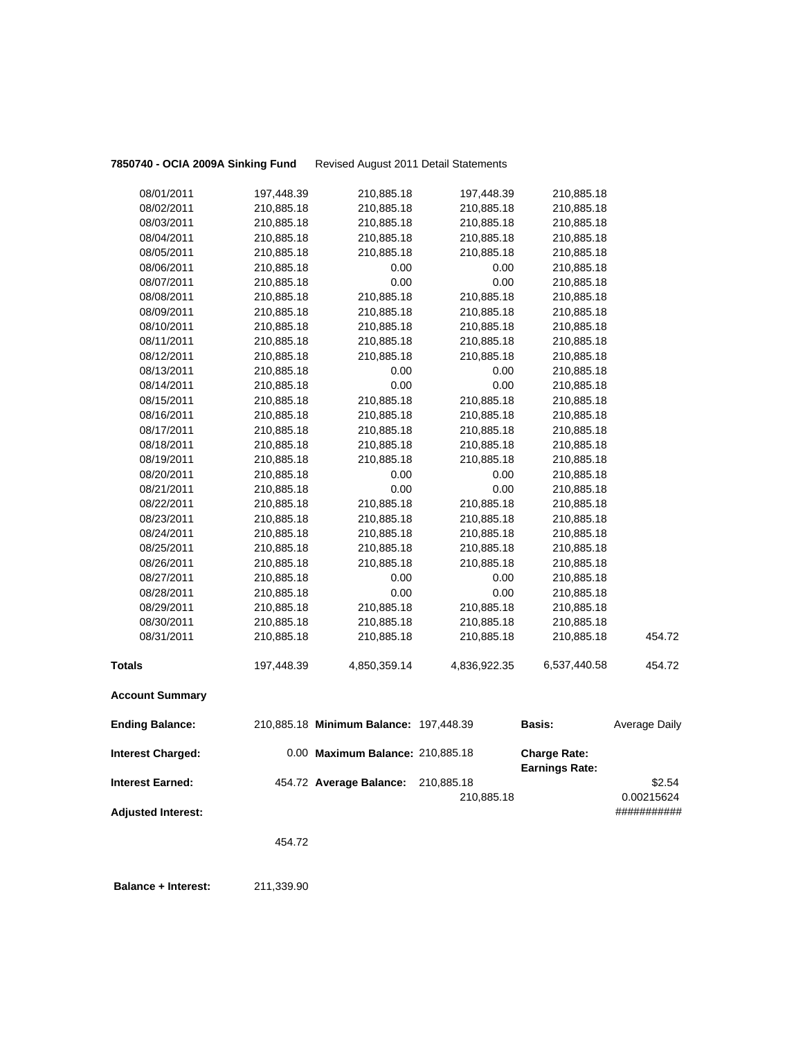**7850740 - OCIA 2009A Sinking Fund** Revised August 2011 Detail Statements

| <b>Adjusted Interest:</b> |            |                                        | 210,885.18   |                       | 0.00215624<br>########### |
|---------------------------|------------|----------------------------------------|--------------|-----------------------|---------------------------|
| <b>Interest Earned:</b>   |            | 454.72 Average Balance:                | 210,885.18   | <b>Earnings Rate:</b> | \$2.54                    |
| <b>Interest Charged:</b>  |            | 0.00 Maximum Balance: 210,885.18       |              | <b>Charge Rate:</b>   |                           |
| <b>Ending Balance:</b>    |            | 210,885.18 Minimum Balance: 197,448.39 |              | Basis:                | Average Daily             |
| <b>Account Summary</b>    |            |                                        |              |                       |                           |
| <b>Totals</b>             | 197,448.39 | 4,850,359.14                           | 4,836,922.35 | 6,537,440.58          | 454.72                    |
| 08/31/2011                | 210,885.18 | 210,885.18                             | 210,885.18   | 210,885.18            | 454.72                    |
| 08/30/2011                | 210,885.18 | 210,885.18                             | 210,885.18   | 210,885.18            |                           |
| 08/29/2011                | 210,885.18 | 210,885.18                             | 210,885.18   | 210,885.18            |                           |
| 08/28/2011                | 210,885.18 | 0.00                                   | 0.00         | 210,885.18            |                           |
| 08/27/2011                | 210,885.18 | 0.00                                   | 0.00         | 210,885.18            |                           |
| 08/26/2011                | 210,885.18 | 210,885.18                             | 210,885.18   | 210,885.18            |                           |
| 08/25/2011                | 210,885.18 | 210,885.18                             | 210,885.18   | 210,885.18            |                           |
| 08/24/2011                | 210,885.18 | 210,885.18                             | 210,885.18   | 210,885.18            |                           |
| 08/23/2011                | 210,885.18 | 210,885.18                             | 210,885.18   | 210,885.18            |                           |
| 08/22/2011                | 210,885.18 | 210,885.18                             | 210,885.18   | 210,885.18            |                           |
| 08/21/2011                | 210,885.18 | 0.00                                   | 0.00         | 210,885.18            |                           |
| 08/20/2011                | 210,885.18 | 0.00                                   | 0.00         | 210,885.18            |                           |
| 08/19/2011                | 210,885.18 | 210,885.18                             | 210,885.18   | 210,885.18            |                           |
| 08/18/2011                | 210,885.18 | 210,885.18                             | 210,885.18   | 210,885.18            |                           |
| 08/17/2011                | 210,885.18 | 210,885.18                             | 210,885.18   | 210,885.18            |                           |
| 08/16/2011                | 210,885.18 | 210,885.18                             | 210,885.18   | 210,885.18            |                           |
| 08/15/2011                | 210,885.18 | 210,885.18                             | 210,885.18   | 210,885.18            |                           |
| 08/14/2011                | 210,885.18 | 0.00                                   | 0.00         | 210,885.18            |                           |
| 08/13/2011                | 210,885.18 | 0.00                                   | 0.00         | 210,885.18            |                           |
| 08/12/2011                | 210,885.18 | 210,885.18                             | 210,885.18   | 210,885.18            |                           |
| 08/11/2011                | 210,885.18 | 210,885.18                             | 210,885.18   | 210,885.18            |                           |
| 08/10/2011                | 210,885.18 | 210,885.18                             | 210,885.18   | 210,885.18            |                           |
| 08/09/2011                | 210,885.18 | 210,885.18                             | 210,885.18   | 210,885.18            |                           |
| 08/08/2011                | 210,885.18 | 210,885.18                             | 210,885.18   | 210,885.18            |                           |
| 08/07/2011                | 210,885.18 | 0.00                                   | 0.00         | 210,885.18            |                           |
| 08/06/2011                | 210,885.18 | 0.00                                   | 0.00         | 210,885.18            |                           |
| 08/05/2011                | 210,885.18 | 210,885.18                             | 210,885.18   | 210,885.18            |                           |
| 08/04/2011                | 210,885.18 | 210,885.18                             | 210,885.18   | 210,885.18            |                           |
| 08/03/2011                | 210,885.18 | 210,885.18                             | 210,885.18   | 210,885.18            |                           |
| 08/02/2011                | 210,885.18 | 210,885.18                             | 210,885.18   | 210,885.18            |                           |
| 08/01/2011                | 197,448.39 | 210,885.18                             | 197,448.39   | 210,885.18            |                           |

454.72

 **Balance + Interest:** 211,339.90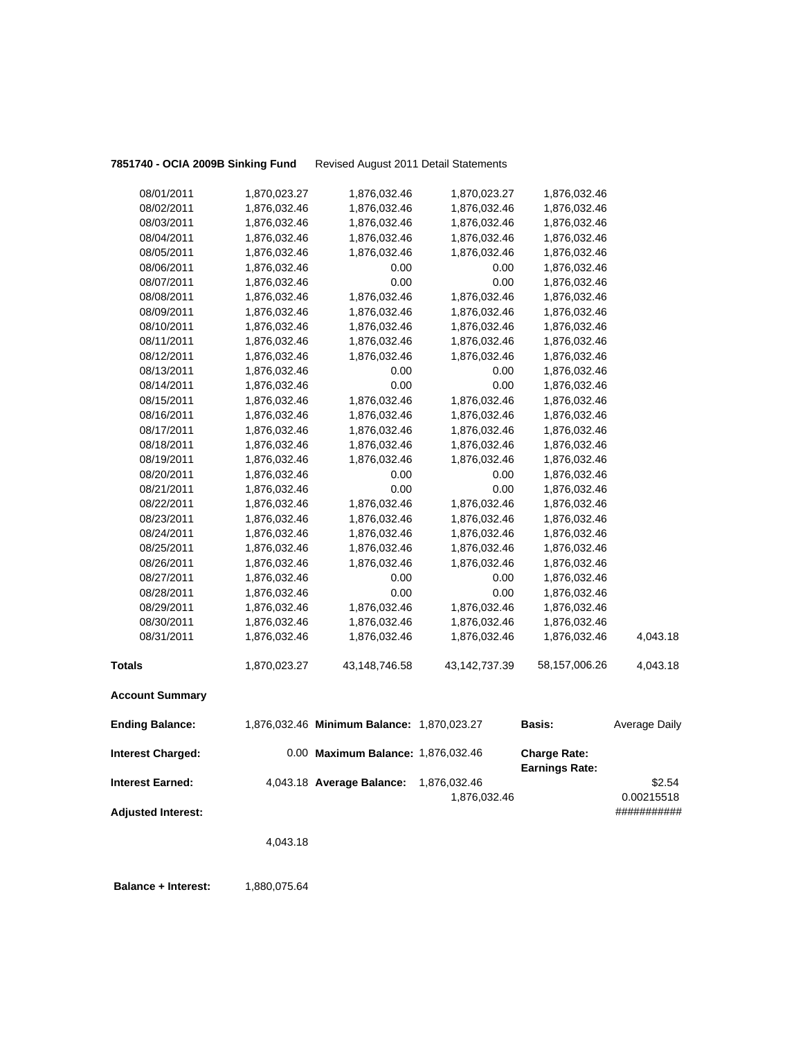**7851740 - OCIA 2009B Sinking Fund** Revised August 2011 Detail Statements

| <b>Interest Earned:</b>  |              | 4,043.18 Average Balance:                  | 1,876,032.46<br>1,876,032.46 | <b>Earnings Rate:</b> | \$2.54<br>0.00215518 |
|--------------------------|--------------|--------------------------------------------|------------------------------|-----------------------|----------------------|
| <b>Interest Charged:</b> |              | 0.00 Maximum Balance: 1,876,032.46         |                              | <b>Charge Rate:</b>   |                      |
| <b>Ending Balance:</b>   |              | 1,876,032.46 Minimum Balance: 1,870,023.27 |                              | <b>Basis:</b>         | Average Daily        |
| <b>Account Summary</b>   |              |                                            |                              |                       |                      |
| <b>Totals</b>            | 1,870,023.27 | 43,148,746.58                              | 43, 142, 737. 39             | 58,157,006.26         | 4,043.18             |
| 08/31/2011               | 1,876,032.46 | 1,876,032.46                               | 1,876,032.46                 | 1,876,032.46          | 4,043.18             |
| 08/30/2011               | 1,876,032.46 | 1,876,032.46                               | 1,876,032.46                 | 1,876,032.46          |                      |
| 08/29/2011               | 1,876,032.46 | 1,876,032.46                               | 1,876,032.46                 | 1,876,032.46          |                      |
| 08/28/2011               | 1,876,032.46 | 0.00                                       | 0.00                         | 1,876,032.46          |                      |
| 08/27/2011               | 1,876,032.46 | 0.00                                       | 0.00                         | 1,876,032.46          |                      |
| 08/26/2011               | 1,876,032.46 | 1,876,032.46                               | 1,876,032.46                 | 1,876,032.46          |                      |
| 08/25/2011               | 1,876,032.46 | 1,876,032.46                               | 1,876,032.46                 | 1,876,032.46          |                      |
| 08/24/2011               | 1,876,032.46 | 1,876,032.46                               | 1,876,032.46                 | 1,876,032.46          |                      |
| 08/23/2011               | 1,876,032.46 | 1,876,032.46                               | 1,876,032.46                 | 1,876,032.46          |                      |
| 08/22/2011               | 1,876,032.46 | 1,876,032.46                               | 1,876,032.46                 | 1,876,032.46          |                      |
| 08/21/2011               | 1,876,032.46 | 0.00                                       | 0.00                         | 1,876,032.46          |                      |
| 08/20/2011               | 1,876,032.46 | 0.00                                       | 0.00                         | 1,876,032.46          |                      |
| 08/19/2011               | 1,876,032.46 | 1,876,032.46                               | 1,876,032.46                 | 1,876,032.46          |                      |
| 08/18/2011               | 1,876,032.46 | 1,876,032.46                               | 1,876,032.46                 | 1,876,032.46          |                      |
| 08/17/2011               | 1,876,032.46 | 1,876,032.46                               | 1,876,032.46                 | 1,876,032.46          |                      |
| 08/16/2011               | 1,876,032.46 | 1,876,032.46                               | 1,876,032.46                 | 1,876,032.46          |                      |
| 08/15/2011               | 1,876,032.46 | 1,876,032.46                               | 1,876,032.46                 | 1,876,032.46          |                      |
| 08/14/2011               | 1,876,032.46 | 0.00                                       | 0.00                         | 1,876,032.46          |                      |
| 08/13/2011               | 1,876,032.46 | 0.00                                       | 0.00                         | 1,876,032.46          |                      |
| 08/12/2011               | 1,876,032.46 | 1,876,032.46                               | 1,876,032.46                 | 1,876,032.46          |                      |
| 08/11/2011               | 1,876,032.46 | 1,876,032.46                               | 1,876,032.46                 | 1,876,032.46          |                      |
| 08/10/2011               | 1,876,032.46 | 1,876,032.46                               | 1,876,032.46                 | 1,876,032.46          |                      |
| 08/09/2011               | 1,876,032.46 | 1,876,032.46                               | 1,876,032.46                 | 1,876,032.46          |                      |
| 08/08/2011               | 1,876,032.46 | 1,876,032.46                               | 1,876,032.46                 | 1,876,032.46          |                      |
| 08/07/2011               | 1,876,032.46 | 0.00                                       | 0.00                         | 1,876,032.46          |                      |
| 08/06/2011               | 1,876,032.46 | 0.00                                       | 0.00                         | 1,876,032.46          |                      |
| 08/05/2011               | 1,876,032.46 | 1,876,032.46                               | 1,876,032.46                 | 1,876,032.46          |                      |
| 08/04/2011               | 1,876,032.46 | 1,876,032.46                               | 1,876,032.46                 | 1,876,032.46          |                      |
| 08/03/2011               | 1,876,032.46 | 1,876,032.46                               | 1,876,032.46                 | 1,876,032.46          |                      |
| 08/02/2011               | 1,876,032.46 | 1,876,032.46                               | 1,876,032.46                 | 1,876,032.46          |                      |
| 08/01/2011               | 1,870,023.27 | 1,876,032.46                               | 1,870,023.27                 | 1,876,032.46          |                      |

**Adjusted Interest:** ###########

4,043.18

**Balance + Interest:** 1,880,075.64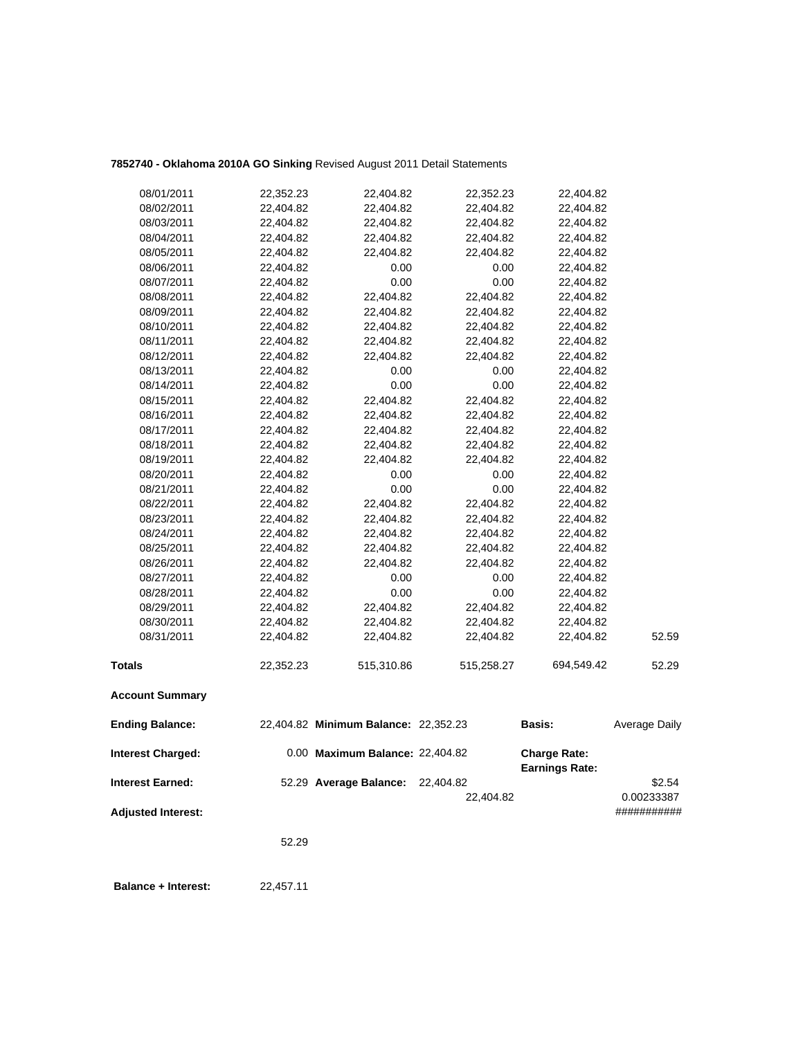# **7852740 - Oklahoma 2010A GO Sinking** Revised August 2011 Detail Statements

| <b>Adjusted Interest:</b> |                        |                                      | 22,404.82              |                        | 0.00233387<br>########### |
|---------------------------|------------------------|--------------------------------------|------------------------|------------------------|---------------------------|
| <b>Interest Earned:</b>   |                        | 52.29 Average Balance:               | 22,404.82              | <b>Earnings Rate:</b>  | \$2.54                    |
| <b>Interest Charged:</b>  |                        | 0.00 Maximum Balance: 22,404.82      |                        | <b>Charge Rate:</b>    |                           |
| <b>Ending Balance:</b>    |                        | 22,404.82 Minimum Balance: 22,352.23 |                        | <b>Basis:</b>          | Average Daily             |
| <b>Account Summary</b>    |                        |                                      |                        |                        |                           |
| Totals                    | 22,352.23              | 515,310.86                           | 515,258.27             | 694,549.42             | 52.29                     |
| 08/31/2011                | 22,404.82              | 22,404.82                            | 22,404.82              | 22,404.82              | 52.59                     |
| 08/30/2011                | 22,404.82              | 22,404.82                            | 22,404.82              | 22,404.82              |                           |
| 08/29/2011                | 22,404.82              | 22,404.82                            | 22,404.82              | 22,404.82              |                           |
| 08/28/2011                | 22,404.82              | 0.00                                 | 0.00                   | 22,404.82              |                           |
| 08/27/2011                | 22,404.82              | 0.00                                 | 0.00                   | 22,404.82              |                           |
| 08/26/2011                | 22,404.82              | 22,404.82                            | 22,404.82              | 22,404.82              |                           |
| 08/25/2011                | 22,404.82              | 22,404.82                            | 22,404.82              | 22,404.82              |                           |
| 08/24/2011                | 22,404.82              | 22,404.82                            | 22,404.82              | 22,404.82              |                           |
| 08/23/2011                | 22,404.82              | 22,404.82                            | 22,404.82              | 22,404.82              |                           |
| 08/22/2011                | 22,404.82              | 22,404.82                            | 22,404.82              | 22,404.82              |                           |
| 08/21/2011                | 22,404.82              | 0.00                                 | 0.00                   | 22,404.82              |                           |
| 08/20/2011                | 22,404.82              | 0.00                                 | 0.00                   | 22,404.82              |                           |
| 08/19/2011                | 22,404.82              | 22,404.82                            | 22,404.82              | 22,404.82              |                           |
| 08/18/2011                | 22,404.82              | 22,404.82                            | 22,404.82              | 22,404.82              |                           |
| 08/17/2011                | 22,404.82              | 22,404.82                            | 22,404.82              | 22,404.82              |                           |
| 08/16/2011                | 22,404.82              | 22,404.82                            | 22,404.82              | 22,404.82              |                           |
| 08/15/2011                | 22,404.82              | 22,404.82                            | 22,404.82              | 22,404.82              |                           |
| 08/14/2011                | 22,404.82              | 0.00                                 | 0.00                   | 22,404.82              |                           |
| 08/13/2011                | 22,404.82              | 0.00                                 | 0.00                   | 22,404.82              |                           |
| 08/12/2011                | 22,404.82              | 22,404.82                            | 22,404.82              | 22,404.82              |                           |
| 08/11/2011                | 22,404.82              | 22,404.82                            | 22,404.82              | 22,404.82              |                           |
| 08/10/2011                | 22,404.82              | 22,404.82                            | 22,404.82              | 22,404.82              |                           |
| 08/09/2011                | 22,404.82              | 22,404.82                            | 22,404.82              | 22,404.82              |                           |
| 08/08/2011                | 22,404.82              | 22,404.82                            | 22,404.82              | 22,404.82              |                           |
| 08/07/2011                | 22,404.82              | 0.00                                 | 0.00                   | 22,404.82              |                           |
| 08/06/2011                | 22,404.82              | 0.00                                 | 0.00                   | 22,404.82              |                           |
| 08/05/2011                | 22,404.82              | 22,404.82                            | 22,404.82              | 22,404.82              |                           |
| 08/04/2011                | 22,404.82              | 22,404.82                            | 22,404.82              | 22,404.82              |                           |
| 08/02/2011<br>08/03/2011  | 22,404.82<br>22,404.82 | 22,404.82<br>22,404.82               | 22,404.82<br>22,404.82 | 22,404.82<br>22,404.82 |                           |
|                           |                        |                                      |                        |                        |                           |
| 08/01/2011                | 22,352.23              | 22,404.82                            | 22,352.23              | 22,404.82              |                           |

52.29

**Balance + Interest:** 22,457.11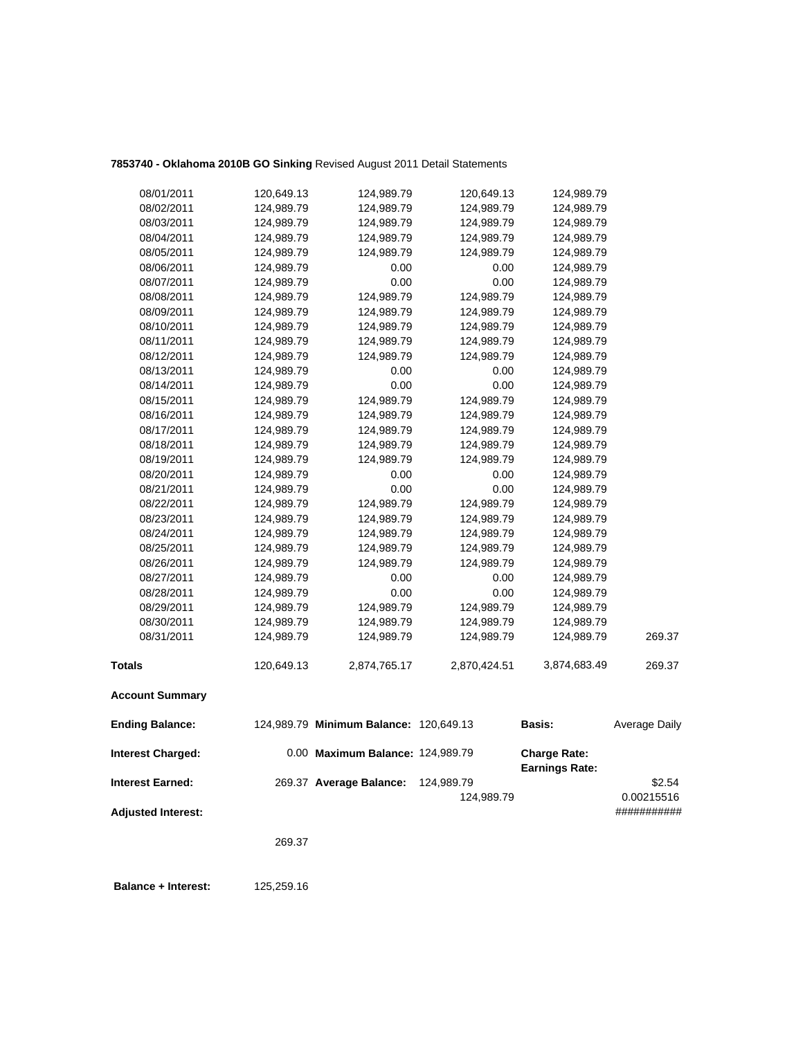# **7853740 - Oklahoma 2010B GO Sinking** Revised August 2011 Detail Statements

| <b>Adjusted Interest:</b> |            |                                        |                          |                                              | ###########          |
|---------------------------|------------|----------------------------------------|--------------------------|----------------------------------------------|----------------------|
| <b>Interest Earned:</b>   |            | 269.37 Average Balance:                | 124,989.79<br>124,989.79 |                                              | \$2.54<br>0.00215516 |
| <b>Interest Charged:</b>  |            | 0.00 Maximum Balance: 124,989.79       |                          | <b>Charge Rate:</b><br><b>Earnings Rate:</b> |                      |
| <b>Ending Balance:</b>    |            | 124,989.79 Minimum Balance: 120,649.13 |                          | <b>Basis:</b>                                | Average Daily        |
| <b>Account Summary</b>    |            |                                        |                          |                                              |                      |
| <b>Totals</b>             | 120,649.13 | 2,874,765.17                           | 2,870,424.51             | 3,874,683.49                                 | 269.37               |
| 08/31/2011                | 124,989.79 | 124,989.79                             | 124,989.79               | 124,989.79                                   | 269.37               |
| 08/30/2011                | 124,989.79 | 124,989.79                             | 124,989.79               | 124,989.79                                   |                      |
| 08/29/2011                | 124,989.79 | 124,989.79                             | 124,989.79               | 124,989.79                                   |                      |
| 08/28/2011                | 124,989.79 | 0.00                                   | 0.00                     | 124,989.79                                   |                      |
| 08/27/2011                | 124,989.79 | 0.00                                   | 0.00                     | 124,989.79                                   |                      |
| 08/26/2011                | 124,989.79 | 124,989.79                             | 124,989.79               | 124,989.79                                   |                      |
| 08/25/2011                | 124,989.79 | 124,989.79                             | 124,989.79               | 124,989.79                                   |                      |
| 08/24/2011                | 124,989.79 | 124,989.79                             | 124,989.79               | 124,989.79                                   |                      |
| 08/23/2011                | 124,989.79 | 124,989.79                             | 124,989.79               | 124,989.79                                   |                      |
| 08/22/2011                | 124,989.79 | 124,989.79                             | 124,989.79               | 124,989.79                                   |                      |
| 08/21/2011                | 124,989.79 | 0.00                                   | 0.00                     | 124,989.79                                   |                      |
| 08/20/2011                | 124,989.79 | 0.00                                   | 0.00                     | 124,989.79                                   |                      |
| 08/19/2011                | 124,989.79 | 124,989.79                             | 124,989.79               | 124,989.79                                   |                      |
| 08/18/2011                | 124,989.79 | 124,989.79                             | 124,989.79               | 124,989.79                                   |                      |
| 08/17/2011                | 124,989.79 | 124,989.79                             | 124,989.79               | 124,989.79                                   |                      |
| 08/16/2011                | 124,989.79 | 124,989.79                             | 124,989.79               | 124,989.79                                   |                      |
| 08/15/2011                | 124,989.79 | 124,989.79                             | 124,989.79               | 124,989.79                                   |                      |
| 08/14/2011                | 124,989.79 | 0.00                                   | 0.00                     | 124,989.79                                   |                      |
| 08/13/2011                | 124,989.79 | 0.00                                   | 0.00                     | 124,989.79                                   |                      |
| 08/12/2011                | 124,989.79 | 124,989.79                             | 124,989.79               | 124,989.79                                   |                      |
| 08/11/2011                | 124,989.79 | 124,989.79                             | 124,989.79               | 124,989.79                                   |                      |
| 08/10/2011                | 124,989.79 | 124,989.79                             | 124,989.79               | 124,989.79                                   |                      |
| 08/09/2011                | 124,989.79 | 124,989.79                             | 124,989.79               | 124,989.79                                   |                      |
| 08/08/2011                | 124,989.79 | 124,989.79                             | 124,989.79               | 124,989.79                                   |                      |
| 08/07/2011                | 124,989.79 | 0.00                                   | 0.00                     | 124,989.79                                   |                      |
| 08/06/2011                | 124,989.79 | 0.00                                   | 0.00                     | 124,989.79                                   |                      |
| 08/05/2011                | 124,989.79 | 124,989.79                             | 124,989.79               | 124,989.79                                   |                      |
| 08/04/2011                | 124,989.79 | 124,989.79                             | 124,989.79               | 124,989.79                                   |                      |
| 08/03/2011                | 124,989.79 | 124,989.79                             | 124,989.79               | 124,989.79                                   |                      |
| 08/02/2011                | 124,989.79 | 124,989.79                             | 124,989.79               | 124,989.79                                   |                      |
| 08/01/2011                | 120,649.13 | 124,989.79                             | 120,649.13               | 124,989.79                                   |                      |

269.37

 **Balance + Interest:** 125,259.16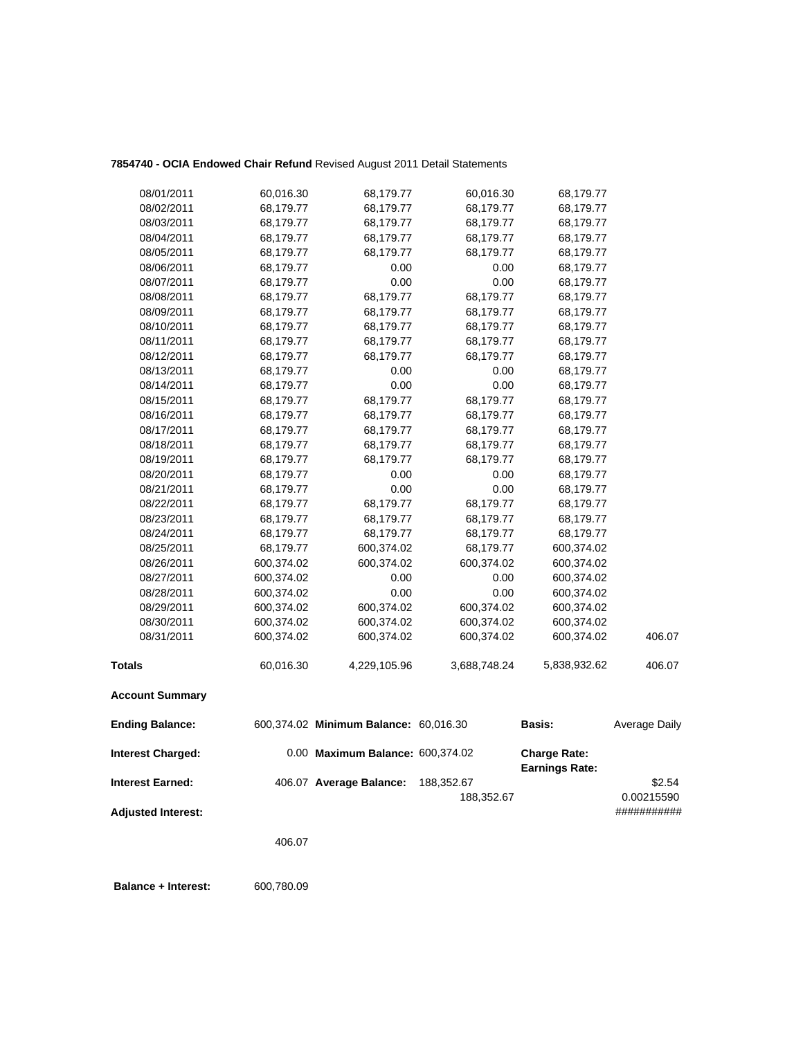## **7854740 - OCIA Endowed Chair Refund** Revised August 2011 Detail Statements

| 08/01/2011                | 60,016.30  | 68,179.77                             | 60,016.30                | 68,179.77                                    |                      |
|---------------------------|------------|---------------------------------------|--------------------------|----------------------------------------------|----------------------|
| 08/02/2011                | 68,179.77  | 68,179.77                             | 68,179.77                | 68,179.77                                    |                      |
| 08/03/2011                | 68,179.77  | 68,179.77                             | 68,179.77                | 68,179.77                                    |                      |
| 08/04/2011                | 68,179.77  | 68,179.77                             | 68,179.77                | 68,179.77                                    |                      |
| 08/05/2011                | 68,179.77  | 68,179.77                             | 68,179.77                | 68,179.77                                    |                      |
| 08/06/2011                | 68,179.77  | 0.00                                  | 0.00                     | 68,179.77                                    |                      |
| 08/07/2011                | 68,179.77  | 0.00                                  | 0.00                     | 68,179.77                                    |                      |
| 08/08/2011                | 68,179.77  | 68,179.77                             | 68,179.77                | 68,179.77                                    |                      |
| 08/09/2011                | 68,179.77  | 68,179.77                             | 68,179.77                | 68,179.77                                    |                      |
| 08/10/2011                | 68,179.77  | 68,179.77                             | 68,179.77                | 68,179.77                                    |                      |
| 08/11/2011                | 68,179.77  | 68,179.77                             | 68,179.77                | 68,179.77                                    |                      |
| 08/12/2011                | 68,179.77  | 68,179.77                             | 68,179.77                | 68,179.77                                    |                      |
| 08/13/2011                | 68,179.77  | 0.00                                  | 0.00                     | 68,179.77                                    |                      |
| 08/14/2011                | 68,179.77  | 0.00                                  | 0.00                     | 68,179.77                                    |                      |
| 08/15/2011                | 68,179.77  | 68,179.77                             | 68,179.77                | 68,179.77                                    |                      |
| 08/16/2011                | 68,179.77  | 68,179.77                             | 68,179.77                | 68,179.77                                    |                      |
| 08/17/2011                | 68,179.77  | 68,179.77                             | 68,179.77                | 68,179.77                                    |                      |
| 08/18/2011                | 68,179.77  | 68,179.77                             | 68,179.77                | 68,179.77                                    |                      |
| 08/19/2011                | 68,179.77  | 68,179.77                             | 68,179.77                | 68,179.77                                    |                      |
| 08/20/2011                | 68,179.77  | 0.00                                  | 0.00                     | 68,179.77                                    |                      |
| 08/21/2011                | 68,179.77  | 0.00                                  | 0.00                     | 68,179.77                                    |                      |
| 08/22/2011                | 68,179.77  | 68,179.77                             | 68,179.77                | 68,179.77                                    |                      |
| 08/23/2011                | 68,179.77  | 68,179.77                             | 68,179.77                | 68,179.77                                    |                      |
| 08/24/2011                | 68,179.77  | 68,179.77                             | 68,179.77                | 68,179.77                                    |                      |
| 08/25/2011                | 68,179.77  | 600,374.02                            | 68,179.77                | 600,374.02                                   |                      |
| 08/26/2011                | 600,374.02 | 600,374.02                            | 600,374.02               | 600,374.02                                   |                      |
| 08/27/2011                | 600,374.02 | 0.00                                  | 0.00                     | 600,374.02                                   |                      |
| 08/28/2011                | 600,374.02 | 0.00                                  | 0.00                     | 600,374.02                                   |                      |
| 08/29/2011                | 600,374.02 | 600,374.02                            | 600,374.02               | 600,374.02                                   |                      |
| 08/30/2011                | 600,374.02 | 600,374.02                            | 600,374.02               | 600,374.02                                   |                      |
| 08/31/2011                | 600,374.02 | 600,374.02                            | 600,374.02               | 600,374.02                                   | 406.07               |
| <b>Totals</b>             | 60,016.30  | 4,229,105.96                          | 3,688,748.24             | 5,838,932.62                                 | 406.07               |
| <b>Account Summary</b>    |            |                                       |                          |                                              |                      |
| <b>Ending Balance:</b>    |            | 600,374.02 Minimum Balance: 60,016.30 |                          | Basis:                                       | Average Daily        |
| <b>Interest Charged:</b>  |            | 0.00 Maximum Balance: 600,374.02      |                          | <b>Charge Rate:</b><br><b>Earnings Rate:</b> |                      |
| <b>Interest Earned:</b>   |            | 406.07 Average Balance:               | 188,352.67<br>188,352.67 |                                              | \$2.54<br>0.00215590 |
| <b>Adjusted Interest:</b> |            |                                       |                          |                                              | ###########          |

406.07

 **Balance + Interest:** 600,780.09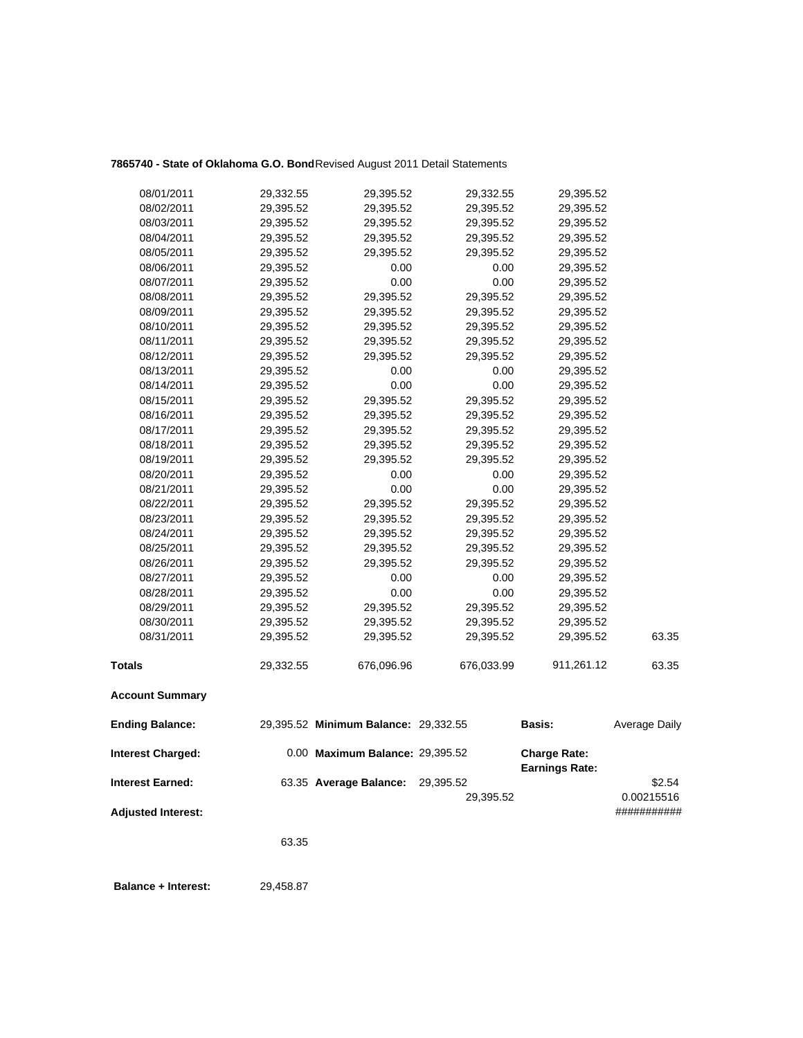## **7865740 - State of Oklahoma G.O. Bond**Revised August 2011 Detail Statements

| <b>Adjusted Interest:</b> |                        |                                      | 29,395.52              |                                              | 0.00215516<br>########### |
|---------------------------|------------------------|--------------------------------------|------------------------|----------------------------------------------|---------------------------|
| <b>Interest Earned:</b>   |                        | 63.35 Average Balance:               | 29,395.52              |                                              | \$2.54                    |
| <b>Interest Charged:</b>  |                        | 0.00 Maximum Balance: 29,395.52      |                        | <b>Charge Rate:</b><br><b>Earnings Rate:</b> |                           |
| <b>Ending Balance:</b>    |                        | 29,395.52 Minimum Balance: 29,332.55 |                        | <b>Basis:</b>                                | Average Daily             |
| <b>Account Summary</b>    |                        |                                      |                        |                                              |                           |
| <b>Totals</b>             | 29,332.55              | 676,096.96                           | 676,033.99             | 911,261.12                                   | 63.35                     |
| 08/31/2011                | 29,395.52              | 29,395.52                            | 29,395.52              | 29,395.52                                    | 63.35                     |
| 08/30/2011                | 29,395.52              | 29,395.52                            | 29,395.52              | 29,395.52                                    |                           |
| 08/29/2011                | 29,395.52              | 29,395.52                            | 29,395.52              | 29,395.52                                    |                           |
| 08/28/2011                | 29,395.52              | 0.00                                 | 0.00                   | 29,395.52                                    |                           |
| 08/27/2011                | 29,395.52              | 0.00                                 | 0.00                   | 29,395.52                                    |                           |
| 08/26/2011                | 29,395.52              | 29,395.52                            | 29,395.52              | 29,395.52                                    |                           |
| 08/25/2011                | 29,395.52              | 29,395.52                            | 29,395.52              | 29,395.52                                    |                           |
| 08/24/2011                | 29,395.52              | 29,395.52                            | 29,395.52              | 29,395.52                                    |                           |
| 08/23/2011                | 29,395.52              | 29,395.52                            | 29,395.52              | 29,395.52                                    |                           |
| 08/22/2011                | 29,395.52              | 29,395.52                            | 29,395.52              | 29,395.52                                    |                           |
| 08/21/2011                | 29,395.52              | 0.00                                 | 0.00                   | 29,395.52                                    |                           |
| 08/20/2011                | 29,395.52              | 0.00                                 | 0.00                   | 29,395.52                                    |                           |
| 08/19/2011                | 29,395.52              | 29,395.52                            | 29,395.52              | 29,395.52                                    |                           |
| 08/18/2011                | 29,395.52              | 29,395.52                            | 29,395.52              | 29,395.52                                    |                           |
| 08/17/2011                | 29,395.52              | 29,395.52                            | 29,395.52              | 29,395.52                                    |                           |
| 08/16/2011                | 29,395.52              | 29,395.52                            | 29,395.52              | 29,395.52                                    |                           |
| 08/15/2011                | 29,395.52              | 29,395.52                            | 29,395.52              | 29,395.52                                    |                           |
| 08/14/2011                | 29,395.52              | 0.00                                 | 0.00                   | 29,395.52                                    |                           |
| 08/13/2011                | 29,395.52              | 0.00                                 | 0.00                   | 29,395.52                                    |                           |
| 08/12/2011                | 29,395.52              | 29,395.52                            | 29,395.52              | 29,395.52                                    |                           |
| 08/11/2011                | 29,395.52              | 29,395.52                            | 29,395.52              | 29,395.52                                    |                           |
| 08/10/2011                | 29,395.52              | 29,395.52                            | 29,395.52              | 29,395.52                                    |                           |
| 08/09/2011                | 29,395.52              | 29,395.52                            | 29,395.52              | 29,395.52                                    |                           |
| 08/08/2011                | 29,395.52              | 29,395.52                            | 29,395.52              | 29,395.52                                    |                           |
| 08/07/2011                | 29,395.52              | 0.00                                 | 0.00                   | 29,395.52                                    |                           |
| 08/06/2011                | 29,395.52              | 0.00                                 | 0.00                   | 29,395.52                                    |                           |
| 08/05/2011                | 29,395.52              | 29,395.52                            | 29,395.52              | 29,395.52                                    |                           |
| 08/04/2011                | 29,395.52              | 29,395.52                            | 29,395.52              | 29,395.52                                    |                           |
| 08/02/2011<br>08/03/2011  | 29,395.52<br>29,395.52 | 29,395.52<br>29,395.52               | 29,395.52<br>29,395.52 | 29,395.52<br>29,395.52                       |                           |
|                           |                        |                                      |                        |                                              |                           |
| 08/01/2011                | 29,332.55              | 29,395.52                            | 29,332.55              | 29,395.52                                    |                           |

63.35

 **Balance + Interest:** 29,458.87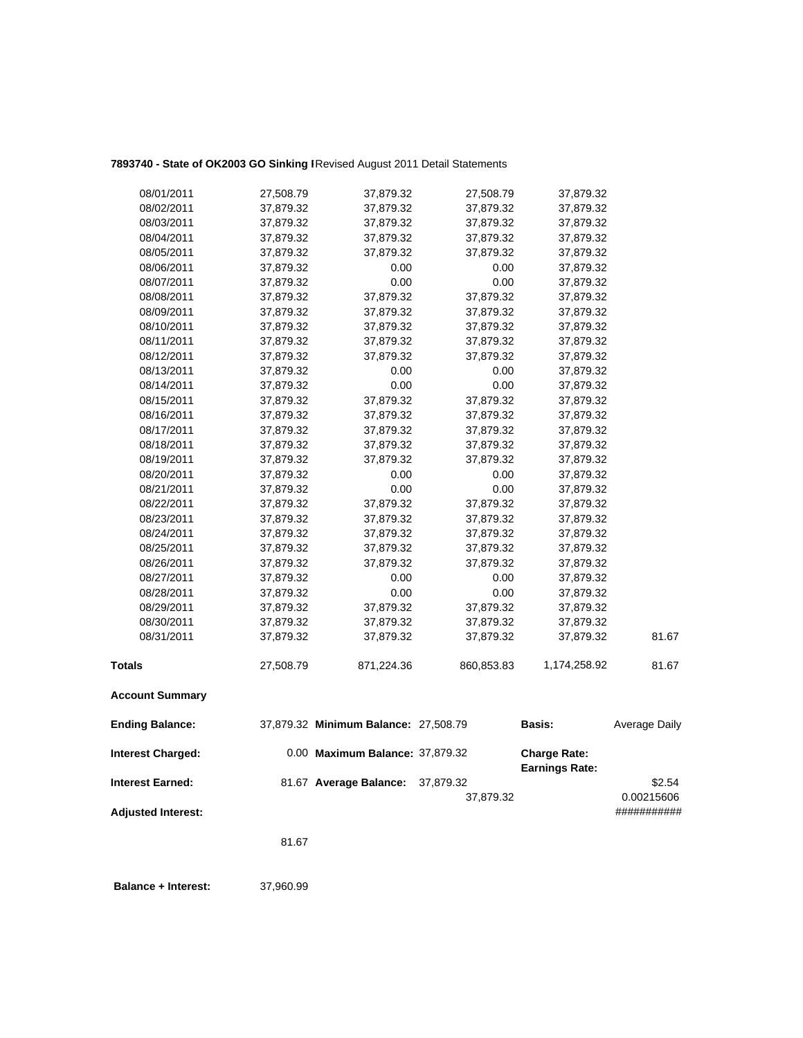# 7893740 - State of OK2003 GO Sinking I Revised August 2011 Detail Statements

| 08/01/2011                | 27,508.79 | 37,879.32                            | 27,508.79  | 37,879.32                                    |                           |
|---------------------------|-----------|--------------------------------------|------------|----------------------------------------------|---------------------------|
| 08/02/2011                | 37,879.32 | 37,879.32                            | 37,879.32  | 37,879.32                                    |                           |
| 08/03/2011                | 37,879.32 | 37,879.32                            | 37,879.32  | 37,879.32                                    |                           |
| 08/04/2011                | 37,879.32 | 37,879.32                            | 37,879.32  | 37,879.32                                    |                           |
| 08/05/2011                | 37,879.32 | 37,879.32                            | 37,879.32  | 37,879.32                                    |                           |
| 08/06/2011                | 37,879.32 | 0.00                                 | 0.00       | 37,879.32                                    |                           |
| 08/07/2011                | 37,879.32 | 0.00                                 | 0.00       | 37,879.32                                    |                           |
| 08/08/2011                | 37,879.32 | 37,879.32                            | 37,879.32  | 37,879.32                                    |                           |
| 08/09/2011                | 37,879.32 | 37,879.32                            | 37,879.32  | 37,879.32                                    |                           |
| 08/10/2011                | 37,879.32 | 37,879.32                            | 37,879.32  | 37,879.32                                    |                           |
| 08/11/2011                | 37,879.32 | 37,879.32                            | 37,879.32  | 37,879.32                                    |                           |
| 08/12/2011                | 37,879.32 | 37,879.32                            | 37,879.32  | 37,879.32                                    |                           |
| 08/13/2011                | 37,879.32 | 0.00                                 | 0.00       | 37,879.32                                    |                           |
| 08/14/2011                | 37,879.32 | 0.00                                 | 0.00       | 37,879.32                                    |                           |
| 08/15/2011                | 37,879.32 | 37,879.32                            | 37,879.32  | 37,879.32                                    |                           |
| 08/16/2011                | 37,879.32 | 37,879.32                            | 37,879.32  | 37,879.32                                    |                           |
| 08/17/2011                | 37,879.32 | 37,879.32                            | 37,879.32  | 37,879.32                                    |                           |
| 08/18/2011                | 37,879.32 | 37,879.32                            | 37,879.32  | 37,879.32                                    |                           |
| 08/19/2011                | 37,879.32 | 37,879.32                            | 37,879.32  | 37,879.32                                    |                           |
| 08/20/2011                | 37,879.32 | 0.00                                 | 0.00       | 37,879.32                                    |                           |
| 08/21/2011                | 37,879.32 | 0.00                                 | 0.00       | 37,879.32                                    |                           |
| 08/22/2011                | 37,879.32 | 37,879.32                            | 37,879.32  | 37,879.32                                    |                           |
| 08/23/2011                | 37,879.32 | 37,879.32                            | 37,879.32  | 37,879.32                                    |                           |
| 08/24/2011                | 37,879.32 | 37,879.32                            | 37,879.32  | 37,879.32                                    |                           |
| 08/25/2011                | 37,879.32 | 37,879.32                            | 37,879.32  | 37,879.32                                    |                           |
| 08/26/2011                | 37,879.32 | 37,879.32                            | 37,879.32  | 37,879.32                                    |                           |
| 08/27/2011                | 37,879.32 | 0.00                                 | 0.00       | 37,879.32                                    |                           |
| 08/28/2011                | 37,879.32 | 0.00                                 | 0.00       | 37,879.32                                    |                           |
| 08/29/2011                | 37,879.32 | 37,879.32                            | 37,879.32  | 37,879.32                                    |                           |
| 08/30/2011                | 37,879.32 | 37,879.32                            | 37,879.32  | 37,879.32                                    |                           |
| 08/31/2011                | 37,879.32 | 37,879.32                            | 37,879.32  | 37,879.32                                    | 81.67                     |
| <b>Totals</b>             | 27,508.79 | 871,224.36                           | 860,853.83 | 1,174,258.92                                 | 81.67                     |
| <b>Account Summary</b>    |           |                                      |            |                                              |                           |
| <b>Ending Balance:</b>    |           | 37,879.32 Minimum Balance: 27,508.79 |            | <b>Basis:</b>                                | Average Daily             |
| <b>Interest Charged:</b>  |           | 0.00 Maximum Balance: 37,879.32      |            | <b>Charge Rate:</b><br><b>Earnings Rate:</b> |                           |
| <b>Interest Earned:</b>   |           | 81.67 Average Balance:               | 37,879.32  |                                              | \$2.54                    |
| <b>Adjusted Interest:</b> |           |                                      | 37,879.32  |                                              | 0.00215606<br>########### |
|                           |           |                                      |            |                                              |                           |

81.67

 **Balance + Interest:** 37,960.99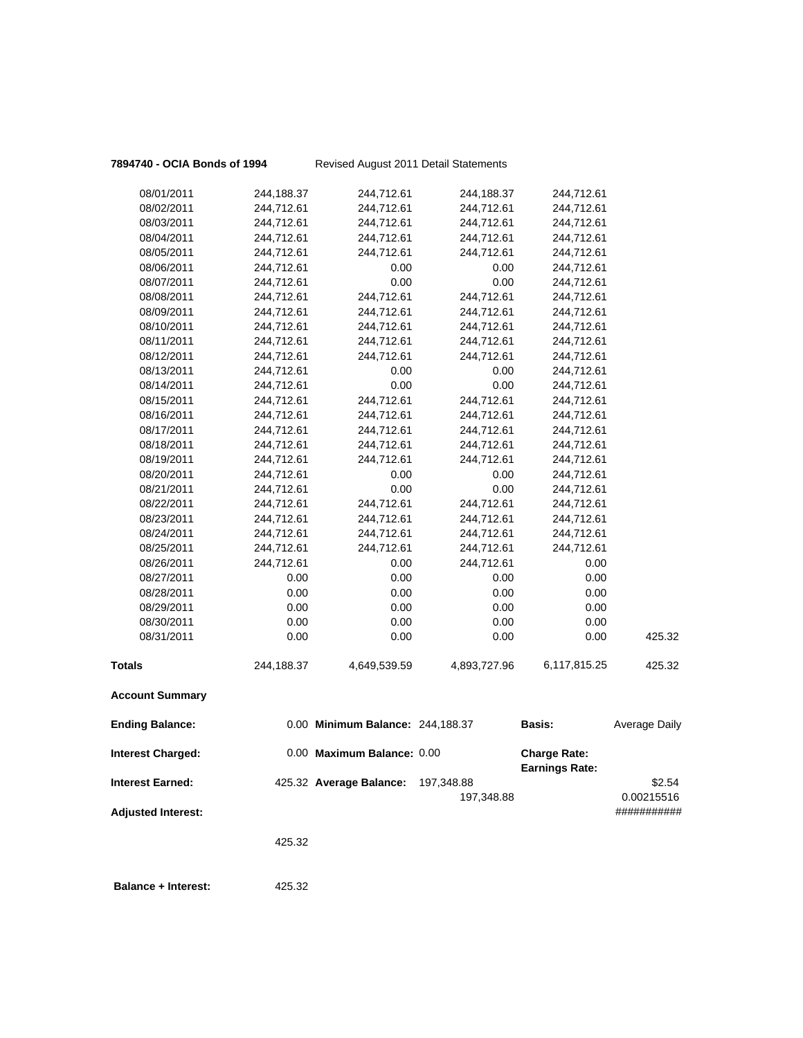| 7894740 - OCIA Bonds of 1994 |  |  |  |  |
|------------------------------|--|--|--|--|
|------------------------------|--|--|--|--|

**Revised August 2011 Detail Statements** 

| 08/01/2011                 | 244,188.37 | 244,712.61                       | 244,188.37   | 244,712.61            |                      |
|----------------------------|------------|----------------------------------|--------------|-----------------------|----------------------|
| 08/02/2011                 | 244,712.61 | 244,712.61                       | 244,712.61   | 244,712.61            |                      |
| 08/03/2011                 | 244,712.61 | 244,712.61                       | 244,712.61   | 244,712.61            |                      |
| 08/04/2011                 | 244,712.61 | 244,712.61                       | 244,712.61   | 244,712.61            |                      |
| 08/05/2011                 | 244,712.61 | 244,712.61                       | 244,712.61   | 244,712.61            |                      |
| 08/06/2011                 | 244,712.61 | 0.00                             | 0.00         | 244,712.61            |                      |
| 08/07/2011                 | 244,712.61 | 0.00                             | 0.00         | 244,712.61            |                      |
| 08/08/2011                 | 244,712.61 | 244,712.61                       | 244,712.61   | 244,712.61            |                      |
| 08/09/2011                 | 244,712.61 | 244,712.61                       | 244,712.61   | 244,712.61            |                      |
| 08/10/2011                 | 244,712.61 | 244,712.61                       | 244,712.61   | 244,712.61            |                      |
| 08/11/2011                 | 244,712.61 | 244,712.61                       | 244,712.61   | 244,712.61            |                      |
| 08/12/2011                 | 244,712.61 | 244,712.61                       | 244,712.61   | 244,712.61            |                      |
| 08/13/2011                 | 244,712.61 | 0.00                             | 0.00         | 244,712.61            |                      |
| 08/14/2011                 | 244,712.61 | 0.00                             | 0.00         | 244,712.61            |                      |
| 08/15/2011                 | 244,712.61 | 244,712.61                       | 244,712.61   | 244,712.61            |                      |
| 08/16/2011                 | 244,712.61 | 244,712.61                       | 244,712.61   | 244,712.61            |                      |
| 08/17/2011                 | 244,712.61 | 244,712.61                       | 244,712.61   | 244,712.61            |                      |
| 08/18/2011                 | 244,712.61 | 244,712.61                       | 244,712.61   | 244,712.61            |                      |
| 08/19/2011                 | 244,712.61 | 244,712.61                       | 244,712.61   | 244,712.61            |                      |
| 08/20/2011                 | 244,712.61 | 0.00                             | 0.00         | 244,712.61            |                      |
| 08/21/2011                 | 244,712.61 | 0.00                             | 0.00         | 244,712.61            |                      |
| 08/22/2011                 | 244,712.61 | 244,712.61                       | 244,712.61   | 244,712.61            |                      |
| 08/23/2011                 | 244,712.61 | 244,712.61                       | 244,712.61   | 244,712.61            |                      |
| 08/24/2011                 | 244,712.61 | 244,712.61                       | 244,712.61   | 244,712.61            |                      |
| 08/25/2011                 | 244,712.61 | 244,712.61                       | 244,712.61   | 244,712.61            |                      |
| 08/26/2011                 | 244,712.61 | 0.00                             | 244,712.61   | 0.00                  |                      |
| 08/27/2011                 | 0.00       | 0.00                             | 0.00         | 0.00                  |                      |
| 08/28/2011                 | 0.00       | 0.00                             | 0.00         | 0.00                  |                      |
| 08/29/2011                 | 0.00       | 0.00                             | 0.00         | 0.00                  |                      |
| 08/30/2011                 | 0.00       | 0.00                             | 0.00         | 0.00                  |                      |
| 08/31/2011                 | 0.00       | 0.00                             | 0.00         | 0.00                  | 425.32               |
|                            |            |                                  |              |                       |                      |
| <b>Totals</b>              | 244,188.37 | 4,649,539.59                     | 4,893,727.96 | 6,117,815.25          | 425.32               |
| <b>Account Summary</b>     |            |                                  |              |                       |                      |
| <b>Ending Balance:</b>     |            | 0.00 Minimum Balance: 244,188.37 |              | <b>Basis:</b>         | <b>Average Daily</b> |
|                            |            |                                  |              |                       |                      |
| <b>Interest Charged:</b>   |            | 0.00 Maximum Balance: 0.00       |              | <b>Charge Rate:</b>   |                      |
|                            |            |                                  |              | <b>Earnings Rate:</b> |                      |
| <b>Interest Earned:</b>    |            | 425.32 Average Balance:          | 197,348.88   |                       | \$2.54               |
|                            |            |                                  | 197,348.88   |                       | 0.00215516           |
| <b>Adjusted Interest:</b>  |            |                                  |              |                       | ###########          |
|                            | 425.32     |                                  |              |                       |                      |
|                            |            |                                  |              |                       |                      |
| <b>Balance + Interest:</b> | 425.32     |                                  |              |                       |                      |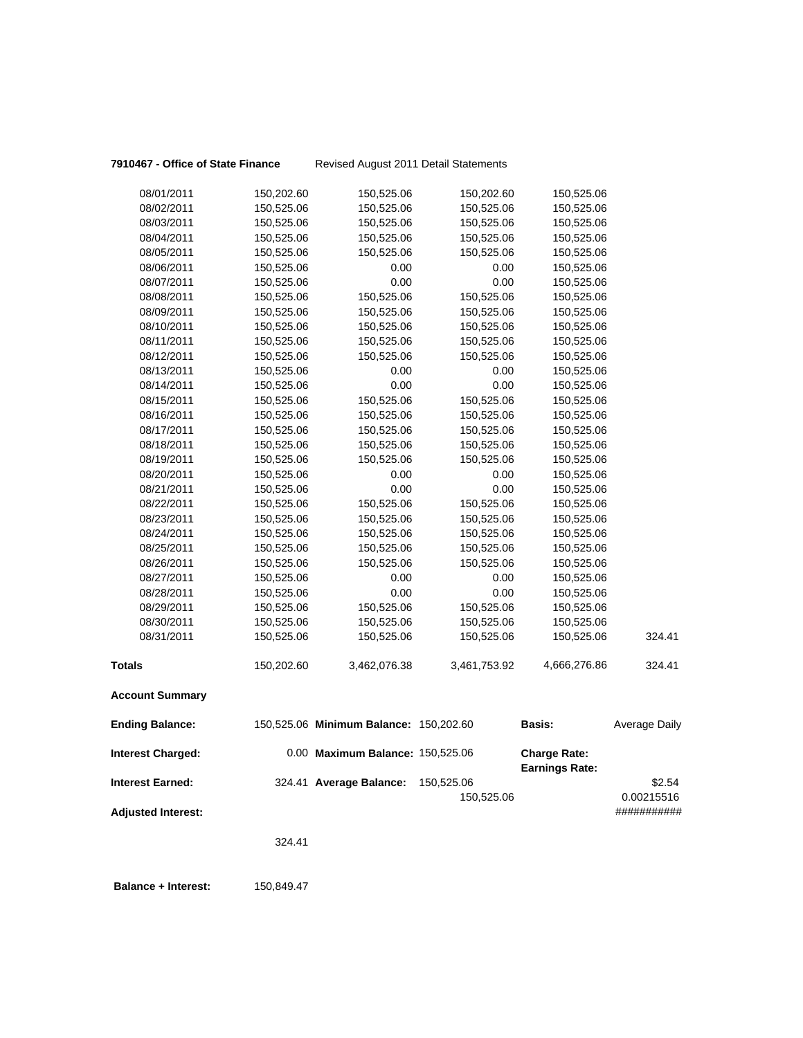**7910467 - Office of State Finance** Revised August 2011 Detail Statements

|                           | 324.41                   |                                        |                          |                                              |                      |
|---------------------------|--------------------------|----------------------------------------|--------------------------|----------------------------------------------|----------------------|
| <b>Adjusted Interest:</b> |                          |                                        |                          |                                              | ###########          |
| <b>Interest Earned:</b>   |                          | 324.41 Average Balance:                | 150,525.06<br>150,525.06 |                                              | \$2.54<br>0.00215516 |
| <b>Interest Charged:</b>  |                          | 0.00 Maximum Balance: 150,525.06       |                          | <b>Charge Rate:</b><br><b>Earnings Rate:</b> |                      |
| <b>Ending Balance:</b>    |                          | 150,525.06 Minimum Balance: 150,202.60 |                          | Basis:                                       | Average Daily        |
| <b>Account Summary</b>    |                          |                                        |                          |                                              |                      |
| <b>Totals</b>             | 150,202.60               | 3,462,076.38                           | 3,461,753.92             | 4,666,276.86                                 | 324.41               |
| 08/31/2011                | 150,525.06               | 150,525.06                             | 150,525.06               | 150,525.06                                   | 324.41               |
| 08/30/2011                | 150,525.06               | 150,525.06                             | 150,525.06               | 150,525.06                                   |                      |
| 08/29/2011                | 150,525.06               | 150,525.06                             | 150,525.06               | 150,525.06                                   |                      |
| 08/28/2011                | 150,525.06               | 0.00                                   | 0.00                     | 150,525.06                                   |                      |
| 08/27/2011                | 150,525.06               | 0.00                                   | 0.00                     | 150,525.06                                   |                      |
| 08/26/2011                | 150,525.06               | 150,525.06                             | 150,525.06               | 150,525.06                                   |                      |
| 08/25/2011                | 150,525.06               | 150,525.06                             | 150,525.06               | 150,525.06                                   |                      |
| 08/24/2011                | 150,525.06               | 150,525.06                             | 150,525.06               | 150,525.06                                   |                      |
| 08/23/2011                | 150,525.06               | 150,525.06                             | 150,525.06               | 150,525.06                                   |                      |
| 08/22/2011                | 150,525.06               | 150,525.06                             | 150,525.06               | 150,525.06                                   |                      |
| 08/21/2011                | 150,525.06               | 0.00                                   | 0.00                     | 150,525.06                                   |                      |
| 08/20/2011                | 150,525.06               | 0.00                                   | 0.00                     | 150,525.06                                   |                      |
| 08/19/2011                | 150,525.06               | 150,525.06                             | 150,525.06               | 150,525.06                                   |                      |
| 08/18/2011                | 150,525.06               | 150,525.06                             | 150,525.06               | 150,525.06                                   |                      |
| 08/17/2011                | 150,525.06               | 150,525.06                             | 150,525.06               | 150,525.06                                   |                      |
| 08/16/2011                | 150,525.06               | 150,525.06                             | 150,525.06               | 150,525.06                                   |                      |
| 08/15/2011                | 150,525.06               | 150,525.06                             | 150,525.06               | 150,525.06                                   |                      |
| 08/14/2011                | 150,525.06               | 0.00                                   | 0.00                     | 150,525.06                                   |                      |
| 08/13/2011                | 150,525.06               | 0.00                                   | 0.00                     | 150,525.06                                   |                      |
| 08/12/2011                | 150,525.06               | 150,525.06                             | 150,525.06               | 150,525.06                                   |                      |
| 08/11/2011                | 150,525.06               | 150,525.06                             | 150,525.06               | 150,525.06                                   |                      |
| 08/10/2011                | 150,525.06               | 150,525.06                             | 150,525.06               | 150,525.06                                   |                      |
| 08/09/2011                | 150,525.06               | 150,525.06                             | 150,525.06               | 150,525.06                                   |                      |
| 08/08/2011                | 150,525.06               | 150,525.06                             | 150,525.06               | 150,525.06                                   |                      |
| 08/07/2011                | 150,525.06               | 0.00                                   | 0.00                     | 150,525.06                                   |                      |
| 08/06/2011                | 150,525.06               | 0.00                                   | 0.00                     | 150,525.06                                   |                      |
| 08/05/2011                | 150,525.06               | 150,525.06                             | 150,525.06               | 150,525.06                                   |                      |
| 08/03/2011<br>08/04/2011  | 150,525.06<br>150,525.06 | 150,525.06<br>150,525.06               | 150,525.06<br>150,525.06 | 150,525.06<br>150,525.06                     |                      |
|                           |                          |                                        |                          |                                              |                      |
| 08/01/2011<br>08/02/2011  | 150,202.60<br>150,525.06 | 150,525.06<br>150,525.06               | 150,202.60<br>150,525.06 | 150,525.06<br>150,525.06                     |                      |
|                           |                          |                                        |                          |                                              |                      |

 **Balance + Interest:** 150,849.47